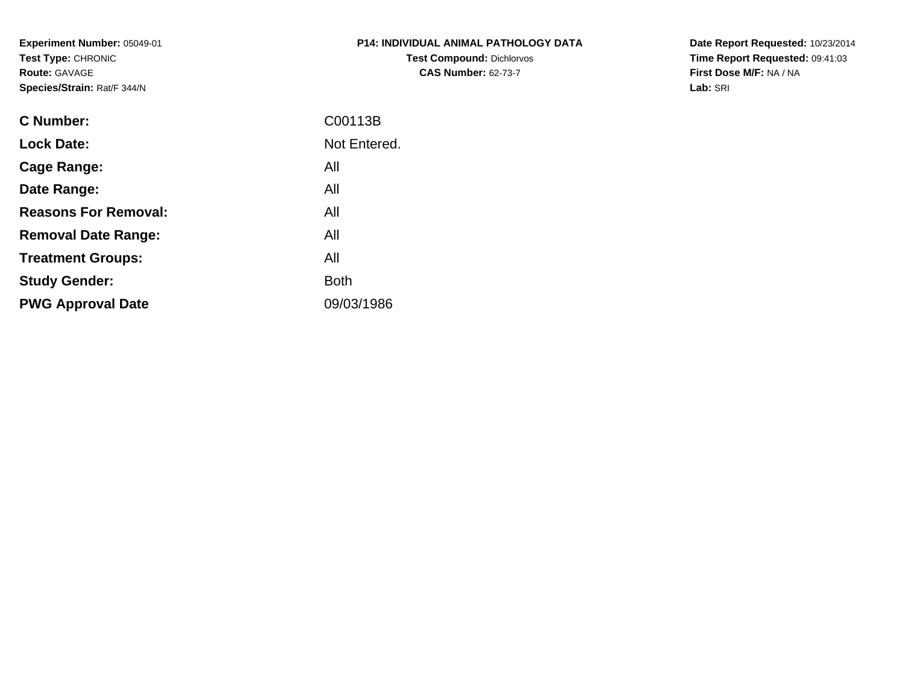**Experiment Number:** 05049-01**Test Type:** CHRONIC**Route:** GAVAGE**Species/Strain:** Rat/F 344/N

| <b>P14: INDIVIDUAL ANIMAL PATHOLOGY DATA</b> |
|----------------------------------------------|
| <b>Test Compound: Dichlorvos</b>             |
| <b>CAS Number: 62-73-7</b>                   |

**Date Report Requested:** 10/23/2014 **Time Report Requested:** 09:41:03**First Dose M/F:** NA / NA**Lab:** SRI

| <b>C</b> Number:            | C00113B      |
|-----------------------------|--------------|
| <b>Lock Date:</b>           | Not Entered. |
| Cage Range:                 | All          |
| Date Range:                 | All          |
| <b>Reasons For Removal:</b> | All          |
| <b>Removal Date Range:</b>  | All          |
| <b>Treatment Groups:</b>    | All          |
| <b>Study Gender:</b>        | <b>Both</b>  |
| <b>PWG Approval Date</b>    | 09/03/1986   |
|                             |              |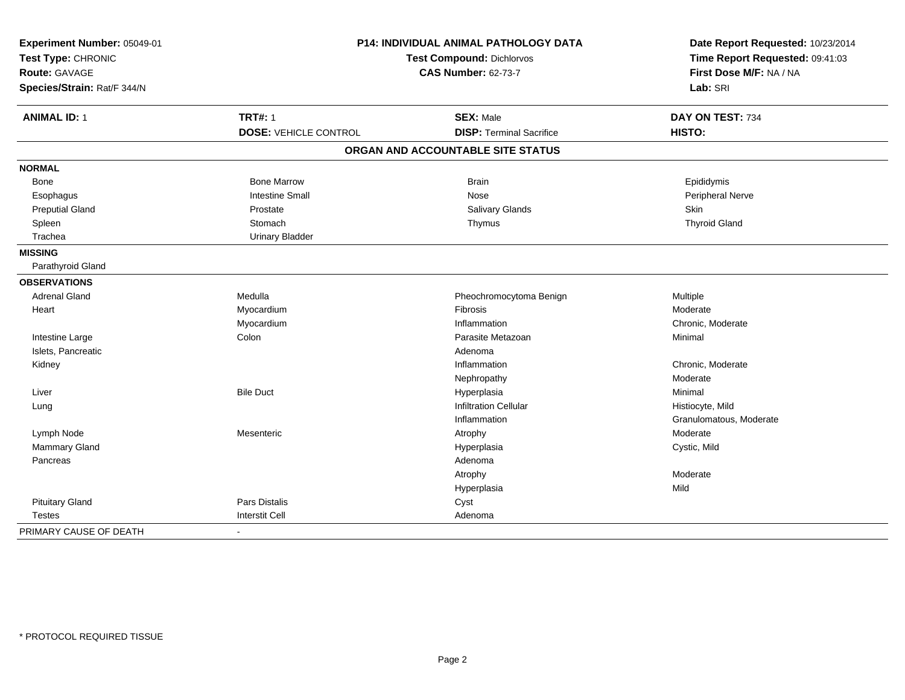| Experiment Number: 05049-01<br>Test Type: CHRONIC<br><b>Test Compound: Dichlorvos</b> |                              | P14: INDIVIDUAL ANIMAL PATHOLOGY DATA<br>Date Report Requested: 10/23/2014<br>Time Report Requested: 09:41:03 |                         |
|---------------------------------------------------------------------------------------|------------------------------|---------------------------------------------------------------------------------------------------------------|-------------------------|
| Route: GAVAGE                                                                         |                              | <b>CAS Number: 62-73-7</b>                                                                                    | First Dose M/F: NA / NA |
| Species/Strain: Rat/F 344/N                                                           |                              |                                                                                                               | Lab: SRI                |
| <b>ANIMAL ID: 1</b>                                                                   | <b>TRT#: 1</b>               | <b>SEX: Male</b>                                                                                              | DAY ON TEST: 734        |
|                                                                                       | <b>DOSE: VEHICLE CONTROL</b> | <b>DISP: Terminal Sacrifice</b>                                                                               | HISTO:                  |
|                                                                                       |                              | ORGAN AND ACCOUNTABLE SITE STATUS                                                                             |                         |
| <b>NORMAL</b>                                                                         |                              |                                                                                                               |                         |
| Bone                                                                                  | <b>Bone Marrow</b>           | <b>Brain</b>                                                                                                  | Epididymis              |
| Esophagus                                                                             | <b>Intestine Small</b>       | Nose                                                                                                          | <b>Peripheral Nerve</b> |
| <b>Preputial Gland</b>                                                                | Prostate                     | Salivary Glands                                                                                               | Skin                    |
| Spleen                                                                                | Stomach                      | Thymus                                                                                                        | <b>Thyroid Gland</b>    |
| Trachea                                                                               | <b>Urinary Bladder</b>       |                                                                                                               |                         |
| <b>MISSING</b>                                                                        |                              |                                                                                                               |                         |
| Parathyroid Gland                                                                     |                              |                                                                                                               |                         |
| <b>OBSERVATIONS</b>                                                                   |                              |                                                                                                               |                         |
| <b>Adrenal Gland</b>                                                                  | Medulla                      | Pheochromocytoma Benign                                                                                       | Multiple                |
| Heart                                                                                 | Myocardium                   | Fibrosis                                                                                                      | Moderate                |
|                                                                                       | Myocardium                   | Inflammation                                                                                                  | Chronic, Moderate       |
| Intestine Large                                                                       | Colon                        | Parasite Metazoan                                                                                             | Minimal                 |
| Islets, Pancreatic                                                                    |                              | Adenoma                                                                                                       |                         |
| Kidney                                                                                |                              | Inflammation                                                                                                  | Chronic, Moderate       |
|                                                                                       |                              | Nephropathy                                                                                                   | Moderate                |
| Liver                                                                                 | <b>Bile Duct</b>             | Hyperplasia                                                                                                   | Minimal                 |
| Lung                                                                                  |                              | <b>Infiltration Cellular</b>                                                                                  | Histiocyte, Mild        |
|                                                                                       |                              | Inflammation                                                                                                  | Granulomatous, Moderate |
| Lymph Node                                                                            | Mesenteric                   | Atrophy                                                                                                       | Moderate                |
| Mammary Gland                                                                         |                              | Hyperplasia                                                                                                   | Cystic, Mild            |
| Pancreas                                                                              |                              | Adenoma                                                                                                       |                         |
|                                                                                       |                              | Atrophy                                                                                                       | Moderate                |
|                                                                                       |                              | Hyperplasia                                                                                                   | Mild                    |
| <b>Pituitary Gland</b>                                                                | Pars Distalis                | Cyst                                                                                                          |                         |
| <b>Testes</b>                                                                         | <b>Interstit Cell</b>        | Adenoma                                                                                                       |                         |
| PRIMARY CAUSE OF DEATH                                                                |                              |                                                                                                               |                         |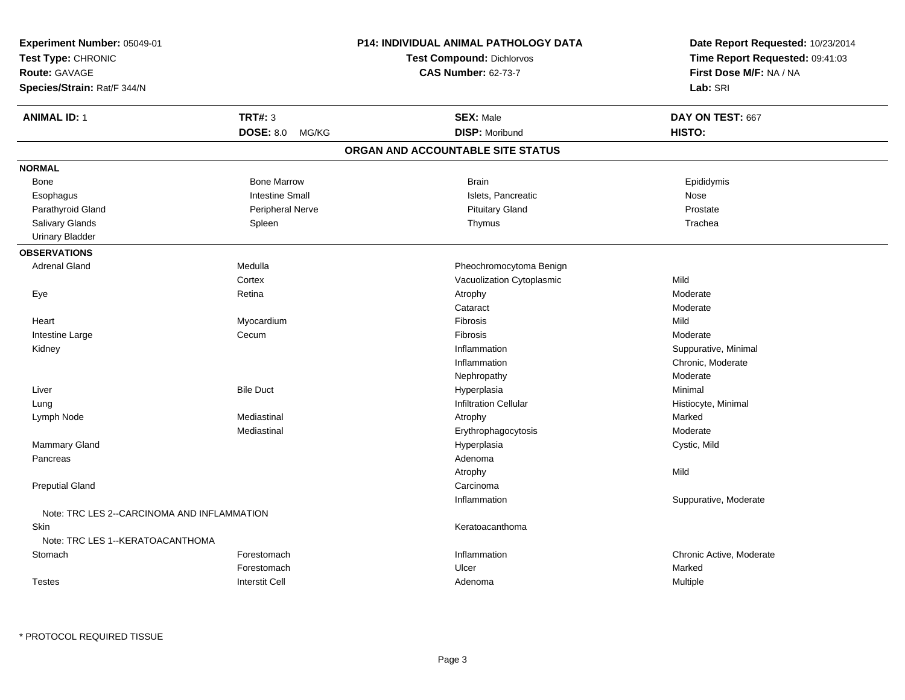| Experiment Number: 05049-01<br>Test Type: CHRONIC<br><b>Route: GAVAGE</b><br>Species/Strain: Rat/F 344/N |                        | <b>P14: INDIVIDUAL ANIMAL PATHOLOGY DATA</b><br>Test Compound: Dichlorvos<br><b>CAS Number: 62-73-7</b> | Date Report Requested: 10/23/2014<br>Time Report Requested: 09:41:03<br>First Dose M/F: NA / NA<br>Lab: SRI |
|----------------------------------------------------------------------------------------------------------|------------------------|---------------------------------------------------------------------------------------------------------|-------------------------------------------------------------------------------------------------------------|
| <b>ANIMAL ID: 1</b>                                                                                      | <b>TRT#: 3</b>         | <b>SEX: Male</b>                                                                                        | DAY ON TEST: 667                                                                                            |
|                                                                                                          | DOSE: 8.0 MG/KG        | <b>DISP: Moribund</b>                                                                                   | HISTO:                                                                                                      |
|                                                                                                          |                        | ORGAN AND ACCOUNTABLE SITE STATUS                                                                       |                                                                                                             |
| <b>NORMAL</b>                                                                                            |                        |                                                                                                         |                                                                                                             |
| Bone                                                                                                     | <b>Bone Marrow</b>     | <b>Brain</b>                                                                                            | Epididymis                                                                                                  |
| Esophagus                                                                                                | <b>Intestine Small</b> | Islets, Pancreatic                                                                                      | Nose                                                                                                        |
| Parathyroid Gland                                                                                        | Peripheral Nerve       | <b>Pituitary Gland</b>                                                                                  | Prostate                                                                                                    |
| Salivary Glands                                                                                          | Spleen                 | Thymus                                                                                                  | Trachea                                                                                                     |
| <b>Urinary Bladder</b>                                                                                   |                        |                                                                                                         |                                                                                                             |
| <b>OBSERVATIONS</b>                                                                                      |                        |                                                                                                         |                                                                                                             |
| <b>Adrenal Gland</b>                                                                                     | Medulla                | Pheochromocytoma Benign                                                                                 |                                                                                                             |
|                                                                                                          | Cortex                 | Vacuolization Cytoplasmic                                                                               | Mild                                                                                                        |
| Eye                                                                                                      | Retina                 | Atrophy                                                                                                 | Moderate                                                                                                    |
|                                                                                                          |                        | Cataract                                                                                                | Moderate                                                                                                    |
| Heart                                                                                                    | Myocardium             | Fibrosis                                                                                                | Mild                                                                                                        |
| Intestine Large                                                                                          | Cecum                  | Fibrosis                                                                                                | Moderate                                                                                                    |
| Kidney                                                                                                   |                        | Inflammation                                                                                            | Suppurative, Minimal                                                                                        |
|                                                                                                          |                        | Inflammation                                                                                            | Chronic, Moderate                                                                                           |
|                                                                                                          |                        | Nephropathy                                                                                             | Moderate                                                                                                    |
| Liver                                                                                                    | <b>Bile Duct</b>       | Hyperplasia                                                                                             | Minimal                                                                                                     |
| Lung                                                                                                     |                        | Infiltration Cellular                                                                                   | Histiocyte, Minimal                                                                                         |
| Lymph Node                                                                                               | Mediastinal            | Atrophy                                                                                                 | Marked                                                                                                      |
|                                                                                                          | Mediastinal            | Erythrophagocytosis                                                                                     | Moderate                                                                                                    |
| Mammary Gland                                                                                            |                        | Hyperplasia                                                                                             | Cystic, Mild                                                                                                |
| Pancreas                                                                                                 |                        | Adenoma                                                                                                 |                                                                                                             |
|                                                                                                          |                        | Atrophy                                                                                                 | Mild                                                                                                        |
| <b>Preputial Gland</b>                                                                                   |                        | Carcinoma                                                                                               |                                                                                                             |
|                                                                                                          |                        | Inflammation                                                                                            | Suppurative, Moderate                                                                                       |
| Note: TRC LES 2--CARCINOMA AND INFLAMMATION                                                              |                        |                                                                                                         |                                                                                                             |
| Skin                                                                                                     |                        | Keratoacanthoma                                                                                         |                                                                                                             |
| Note: TRC LES 1--KERATOACANTHOMA                                                                         |                        |                                                                                                         |                                                                                                             |
| Stomach                                                                                                  | Forestomach            | Inflammation                                                                                            | Chronic Active, Moderate                                                                                    |
|                                                                                                          | Forestomach            | Ulcer                                                                                                   | Marked                                                                                                      |
| <b>Testes</b>                                                                                            | <b>Interstit Cell</b>  | Adenoma                                                                                                 | Multiple                                                                                                    |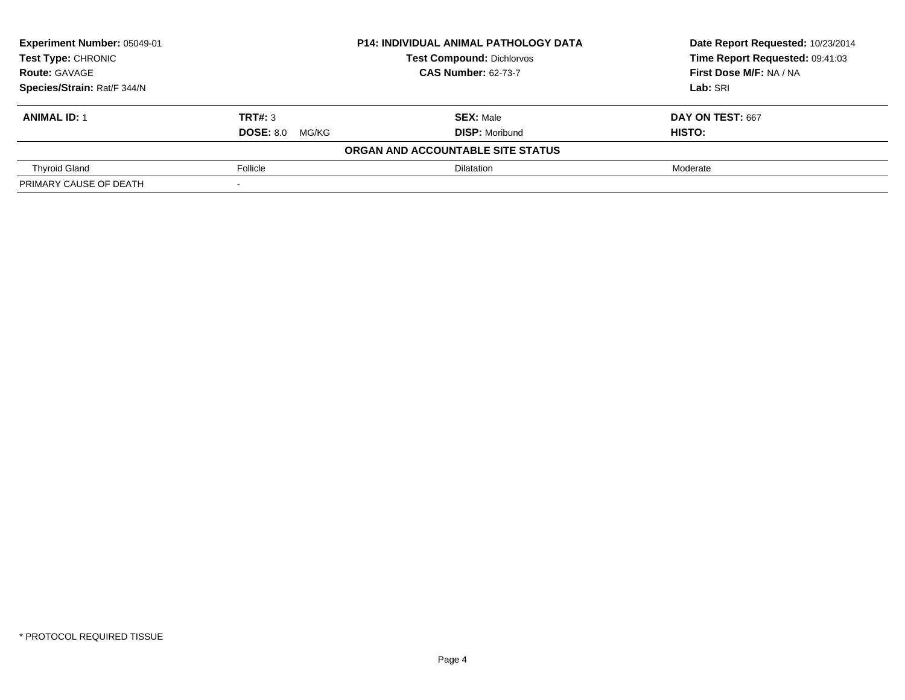| Experiment Number: 05049-01<br><b>P14: INDIVIDUAL ANIMAL PATHOLOGY DATA</b> |                           | Date Report Requested: 10/23/2014 |                                 |
|-----------------------------------------------------------------------------|---------------------------|-----------------------------------|---------------------------------|
| <b>Test Type: CHRONIC</b>                                                   |                           | <b>Test Compound: Dichlorvos</b>  | Time Report Requested: 09:41:03 |
| <b>Route: GAVAGE</b>                                                        |                           | <b>CAS Number: 62-73-7</b>        | First Dose M/F: NA / NA         |
| Species/Strain: Rat/F 344/N                                                 |                           |                                   | Lab: SRI                        |
| <b>ANIMAL ID: 1</b>                                                         | TRT#: 3                   | <b>SEX: Male</b>                  | DAY ON TEST: 667                |
|                                                                             | <b>DOSE: 8.0</b><br>MG/KG | <b>DISP:</b> Moribund             | HISTO:                          |
|                                                                             |                           | ORGAN AND ACCOUNTABLE SITE STATUS |                                 |
| <b>Thyroid Gland</b>                                                        | Follicle                  | <b>Dilatation</b>                 | Moderate                        |
| PRIMARY CAUSE OF DEATH                                                      |                           |                                   |                                 |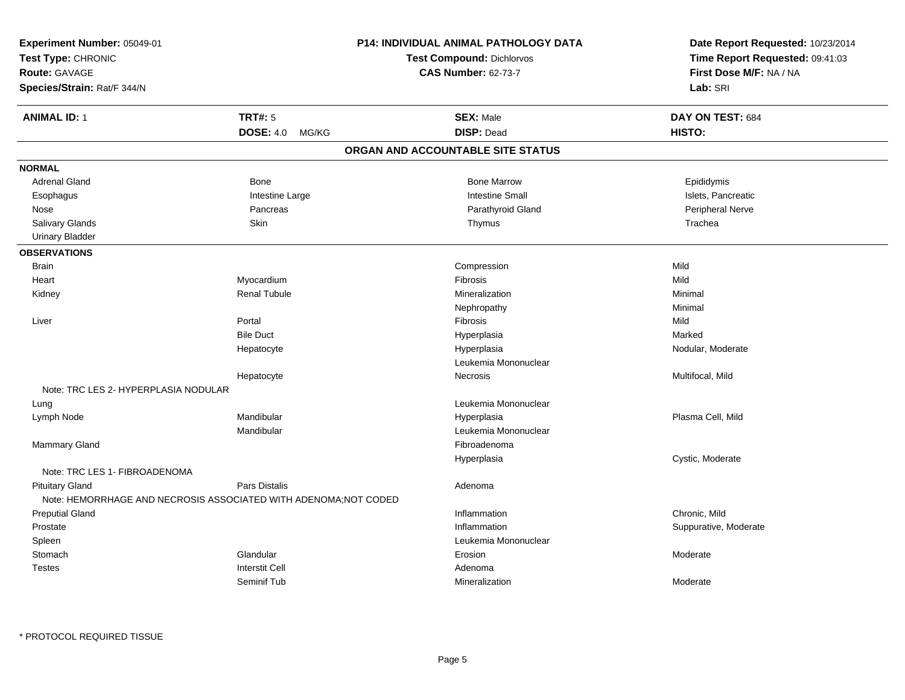| Experiment Number: 05049-01<br>Test Type: CHRONIC<br>Route: GAVAGE<br>Species/Strain: Rat/F 344/N |                                                                                   | P14: INDIVIDUAL ANIMAL PATHOLOGY DATA<br><b>Test Compound: Dichlorvos</b><br><b>CAS Number: 62-73-7</b> | Date Report Requested: 10/23/2014<br>Time Report Requested: 09:41:03<br>First Dose M/F: NA / NA<br>Lab: SRI |
|---------------------------------------------------------------------------------------------------|-----------------------------------------------------------------------------------|---------------------------------------------------------------------------------------------------------|-------------------------------------------------------------------------------------------------------------|
| <b>ANIMAL ID: 1</b>                                                                               | <b>TRT#: 5</b>                                                                    | <b>SEX: Male</b>                                                                                        | DAY ON TEST: 684                                                                                            |
|                                                                                                   | DOSE: 4.0 MG/KG                                                                   | <b>DISP: Dead</b>                                                                                       | HISTO:                                                                                                      |
|                                                                                                   |                                                                                   | ORGAN AND ACCOUNTABLE SITE STATUS                                                                       |                                                                                                             |
| <b>NORMAL</b>                                                                                     |                                                                                   |                                                                                                         |                                                                                                             |
| <b>Adrenal Gland</b>                                                                              | Bone                                                                              | <b>Bone Marrow</b>                                                                                      | Epididymis                                                                                                  |
| Esophagus                                                                                         | Intestine Large                                                                   | <b>Intestine Small</b>                                                                                  | Islets, Pancreatic                                                                                          |
| Nose                                                                                              | Pancreas                                                                          | Parathyroid Gland                                                                                       | Peripheral Nerve                                                                                            |
| Salivary Glands                                                                                   | Skin                                                                              | Thymus                                                                                                  | Trachea                                                                                                     |
| <b>Urinary Bladder</b>                                                                            |                                                                                   |                                                                                                         |                                                                                                             |
| <b>OBSERVATIONS</b>                                                                               |                                                                                   |                                                                                                         |                                                                                                             |
| <b>Brain</b>                                                                                      |                                                                                   | Compression                                                                                             | Mild                                                                                                        |
| Heart                                                                                             | Myocardium                                                                        | Fibrosis                                                                                                | Mild                                                                                                        |
| Kidney                                                                                            | <b>Renal Tubule</b>                                                               | Mineralization                                                                                          | Minimal                                                                                                     |
|                                                                                                   |                                                                                   | Nephropathy                                                                                             | Minimal                                                                                                     |
| Liver                                                                                             | Portal                                                                            | Fibrosis                                                                                                | Mild                                                                                                        |
|                                                                                                   | <b>Bile Duct</b>                                                                  | Hyperplasia                                                                                             | Marked                                                                                                      |
|                                                                                                   | Hepatocyte                                                                        | Hyperplasia                                                                                             | Nodular, Moderate                                                                                           |
|                                                                                                   |                                                                                   | Leukemia Mononuclear                                                                                    |                                                                                                             |
|                                                                                                   | Hepatocyte                                                                        | Necrosis                                                                                                | Multifocal, Mild                                                                                            |
| Note: TRC LES 2- HYPERPLASIA NODULAR                                                              |                                                                                   |                                                                                                         |                                                                                                             |
| Lung                                                                                              |                                                                                   | Leukemia Mononuclear                                                                                    |                                                                                                             |
| Lymph Node                                                                                        | Mandibular                                                                        | Hyperplasia                                                                                             | Plasma Cell, Mild                                                                                           |
|                                                                                                   | Mandibular                                                                        | Leukemia Mononuclear                                                                                    |                                                                                                             |
| Mammary Gland                                                                                     |                                                                                   | Fibroadenoma                                                                                            |                                                                                                             |
|                                                                                                   |                                                                                   | Hyperplasia                                                                                             | Cystic, Moderate                                                                                            |
| Note: TRC LES 1- FIBROADENOMA                                                                     |                                                                                   |                                                                                                         |                                                                                                             |
| <b>Pituitary Gland</b>                                                                            | Pars Distalis<br>Note: HEMORRHAGE AND NECROSIS ASSOCIATED WITH ADENOMA; NOT CODED | Adenoma                                                                                                 |                                                                                                             |
| <b>Preputial Gland</b>                                                                            |                                                                                   | Inflammation                                                                                            | Chronic, Mild                                                                                               |
| Prostate                                                                                          |                                                                                   | Inflammation                                                                                            | Suppurative, Moderate                                                                                       |
| Spleen                                                                                            |                                                                                   | Leukemia Mononuclear                                                                                    |                                                                                                             |
| Stomach                                                                                           | Glandular                                                                         | Erosion                                                                                                 | Moderate                                                                                                    |
| <b>Testes</b>                                                                                     | <b>Interstit Cell</b>                                                             | Adenoma                                                                                                 |                                                                                                             |
|                                                                                                   | Seminif Tub                                                                       | Mineralization                                                                                          | Moderate                                                                                                    |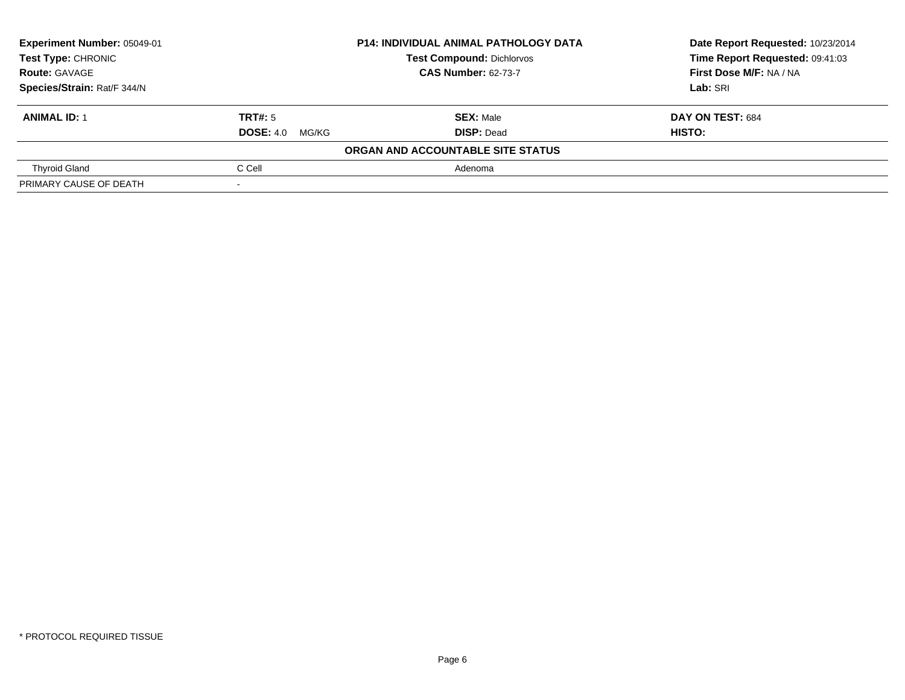| Experiment Number: 05049-01 | <b>P14: INDIVIDUAL ANIMAL PATHOLOGY DATA</b> |                                   | Date Report Requested: 10/23/2014 |  |  |
|-----------------------------|----------------------------------------------|-----------------------------------|-----------------------------------|--|--|
| Test Type: CHRONIC          |                                              | <b>Test Compound: Dichlorvos</b>  | Time Report Requested: 09:41:03   |  |  |
| <b>Route: GAVAGE</b>        |                                              | <b>CAS Number: 62-73-7</b>        | First Dose M/F: NA / NA           |  |  |
| Species/Strain: Rat/F 344/N |                                              |                                   | Lab: SRI                          |  |  |
| <b>ANIMAL ID: 1</b>         | TRT#: 5                                      | <b>SEX: Male</b>                  | DAY ON TEST: 684                  |  |  |
|                             | <b>DOSE:</b> 4.0 MG/KG                       | <b>DISP: Dead</b>                 | HISTO:                            |  |  |
|                             |                                              | ORGAN AND ACCOUNTABLE SITE STATUS |                                   |  |  |
| <b>Thyroid Gland</b>        | C Cell                                       | Adenoma                           |                                   |  |  |
| PRIMARY CAUSE OF DEATH      |                                              |                                   |                                   |  |  |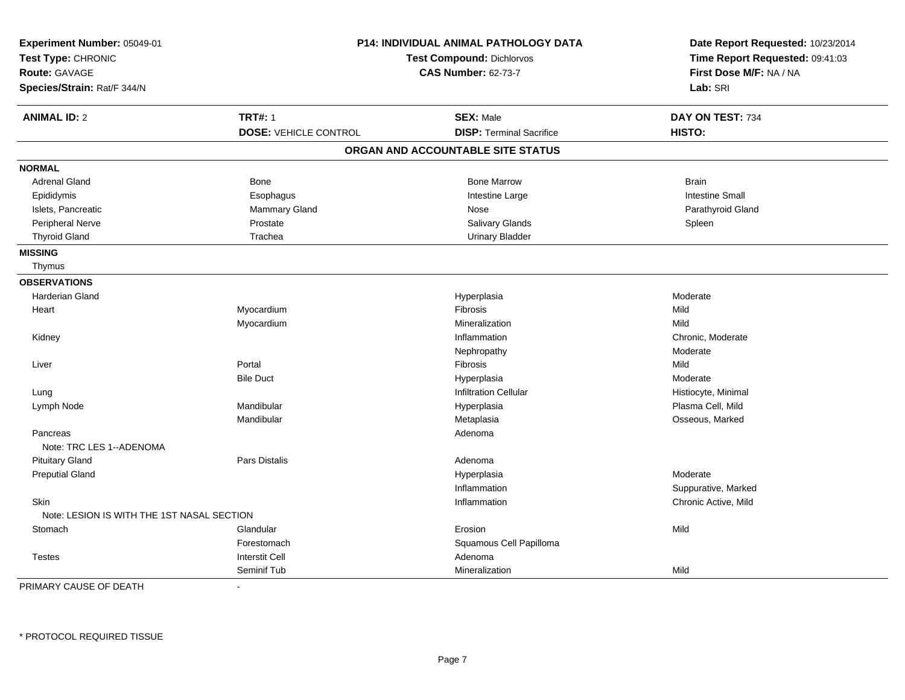| Experiment Number: 05049-01<br>Test Type: CHRONIC<br><b>Route: GAVAGE</b><br>Species/Strain: Rat/F 344/N |                              | P14: INDIVIDUAL ANIMAL PATHOLOGY DATA<br>Test Compound: Dichlorvos<br><b>CAS Number: 62-73-7</b> | Date Report Requested: 10/23/2014<br>Time Report Requested: 09:41:03<br>First Dose M/F: NA / NA<br>Lab: SRI |
|----------------------------------------------------------------------------------------------------------|------------------------------|--------------------------------------------------------------------------------------------------|-------------------------------------------------------------------------------------------------------------|
| <b>ANIMAL ID: 2</b>                                                                                      | <b>TRT#: 1</b>               | <b>SEX: Male</b>                                                                                 | DAY ON TEST: 734                                                                                            |
|                                                                                                          | <b>DOSE: VEHICLE CONTROL</b> | <b>DISP: Terminal Sacrifice</b>                                                                  | HISTO:                                                                                                      |
|                                                                                                          |                              | ORGAN AND ACCOUNTABLE SITE STATUS                                                                |                                                                                                             |
| <b>NORMAL</b>                                                                                            |                              |                                                                                                  |                                                                                                             |
| <b>Adrenal Gland</b>                                                                                     | Bone                         | <b>Bone Marrow</b>                                                                               | <b>Brain</b>                                                                                                |
| Epididymis                                                                                               | Esophagus                    | Intestine Large                                                                                  | <b>Intestine Small</b>                                                                                      |
| Islets, Pancreatic                                                                                       | Mammary Gland                | Nose                                                                                             | Parathyroid Gland                                                                                           |
| Peripheral Nerve                                                                                         | Prostate                     | <b>Salivary Glands</b>                                                                           | Spleen                                                                                                      |
| <b>Thyroid Gland</b>                                                                                     | Trachea                      | <b>Urinary Bladder</b>                                                                           |                                                                                                             |
| <b>MISSING</b>                                                                                           |                              |                                                                                                  |                                                                                                             |
| Thymus                                                                                                   |                              |                                                                                                  |                                                                                                             |
| <b>OBSERVATIONS</b>                                                                                      |                              |                                                                                                  |                                                                                                             |
| <b>Harderian Gland</b>                                                                                   |                              | Hyperplasia                                                                                      | Moderate                                                                                                    |
| Heart                                                                                                    | Myocardium                   | Fibrosis                                                                                         | Mild                                                                                                        |
|                                                                                                          | Myocardium                   | Mineralization                                                                                   | Mild                                                                                                        |
| Kidney                                                                                                   |                              | Inflammation                                                                                     | Chronic, Moderate                                                                                           |
|                                                                                                          |                              | Nephropathy                                                                                      | Moderate                                                                                                    |
| Liver                                                                                                    | Portal                       | Fibrosis                                                                                         | Mild                                                                                                        |
|                                                                                                          | <b>Bile Duct</b>             | Hyperplasia                                                                                      | Moderate                                                                                                    |
| Lung                                                                                                     |                              | <b>Infiltration Cellular</b>                                                                     | Histiocyte, Minimal                                                                                         |
| Lymph Node                                                                                               | Mandibular                   | Hyperplasia                                                                                      | Plasma Cell, Mild                                                                                           |
|                                                                                                          | Mandibular                   | Metaplasia                                                                                       | Osseous, Marked                                                                                             |
| Pancreas                                                                                                 |                              | Adenoma                                                                                          |                                                                                                             |
| Note: TRC LES 1--ADENOMA                                                                                 |                              |                                                                                                  |                                                                                                             |
| <b>Pituitary Gland</b>                                                                                   | Pars Distalis                | Adenoma                                                                                          |                                                                                                             |
| <b>Preputial Gland</b>                                                                                   |                              | Hyperplasia                                                                                      | Moderate                                                                                                    |
|                                                                                                          |                              | Inflammation                                                                                     | Suppurative, Marked                                                                                         |
| Skin                                                                                                     |                              | Inflammation                                                                                     | Chronic Active, Mild                                                                                        |
| Note: LESION IS WITH THE 1ST NASAL SECTION                                                               |                              |                                                                                                  |                                                                                                             |
| Stomach                                                                                                  | Glandular                    | Erosion                                                                                          | Mild                                                                                                        |
|                                                                                                          | Forestomach                  | Squamous Cell Papilloma                                                                          |                                                                                                             |
| <b>Testes</b>                                                                                            | <b>Interstit Cell</b>        | Adenoma                                                                                          |                                                                                                             |
|                                                                                                          | Seminif Tub                  | Mineralization                                                                                   | Mild                                                                                                        |

PRIMARY CAUSE OF DEATH-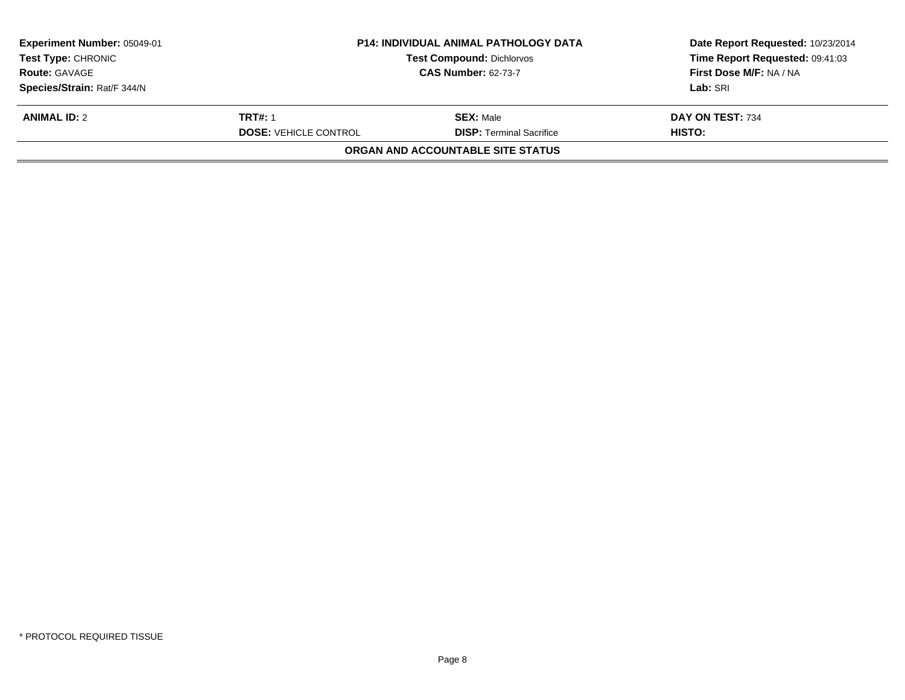| Experiment Number: 05049-01<br><b>Test Type: CHRONIC</b><br><b>Route: GAVAGE</b><br>Species/Strain: Rat/F 344/N | <b>P14: INDIVIDUAL ANIMAL PATHOLOGY DATA</b><br><b>Test Compound: Dichlorvos</b><br><b>CAS Number: 62-73-7</b> |                                                                                          | Date Report Requested: 10/23/2014<br>Time Report Requested: 09:41:03<br>First Dose M/F: NA / NA<br>Lab: SRI |
|-----------------------------------------------------------------------------------------------------------------|----------------------------------------------------------------------------------------------------------------|------------------------------------------------------------------------------------------|-------------------------------------------------------------------------------------------------------------|
| <b>ANIMAL ID: 2</b>                                                                                             | <b>TRT#: 1</b><br><b>DOSE: VEHICLE CONTROL</b>                                                                 | <b>SEX: Male</b><br><b>DISP: Terminal Sacrifice</b><br>ORGAN AND ACCOUNTABLE SITE STATUS | DAY ON TEST: 734<br>HISTO:                                                                                  |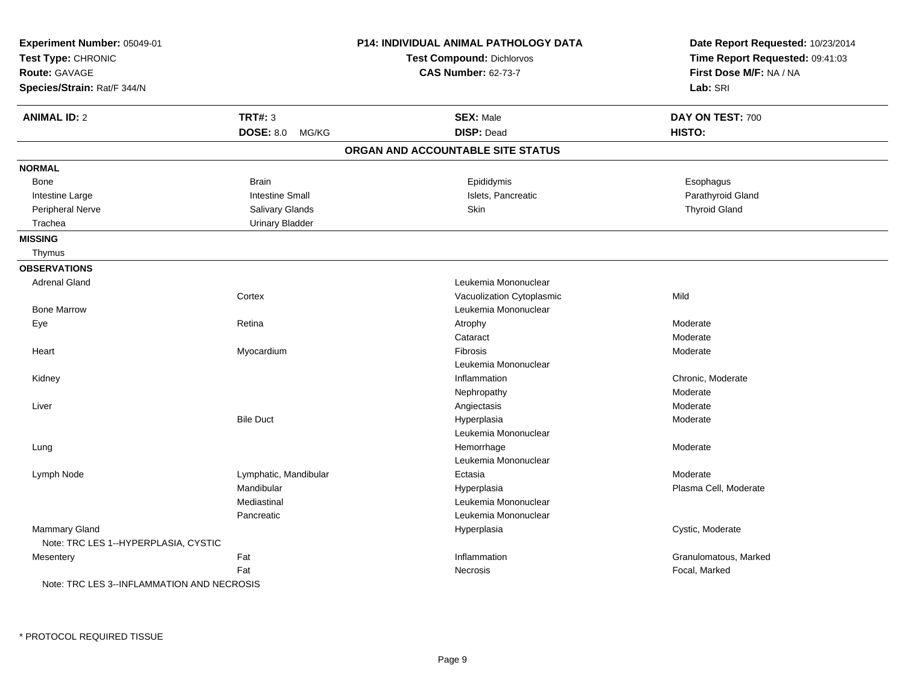| Experiment Number: 05049-01<br>Test Type: CHRONIC<br><b>Route: GAVAGE</b><br>Species/Strain: Rat/F 344/N |                        | <b>P14: INDIVIDUAL ANIMAL PATHOLOGY DATA</b><br><b>Test Compound: Dichlorvos</b><br><b>CAS Number: 62-73-7</b> | Date Report Requested: 10/23/2014<br>Time Report Requested: 09:41:03<br>First Dose M/F: NA / NA<br>Lab: SRI |
|----------------------------------------------------------------------------------------------------------|------------------------|----------------------------------------------------------------------------------------------------------------|-------------------------------------------------------------------------------------------------------------|
| <b>ANIMAL ID: 2</b>                                                                                      | <b>TRT#: 3</b>         | <b>SEX: Male</b>                                                                                               | DAY ON TEST: 700                                                                                            |
|                                                                                                          | DOSE: 8.0 MG/KG        | <b>DISP: Dead</b>                                                                                              | HISTO:                                                                                                      |
|                                                                                                          |                        | ORGAN AND ACCOUNTABLE SITE STATUS                                                                              |                                                                                                             |
| <b>NORMAL</b>                                                                                            |                        |                                                                                                                |                                                                                                             |
| <b>Bone</b>                                                                                              | <b>Brain</b>           | Epididymis                                                                                                     | Esophagus                                                                                                   |
| Intestine Large                                                                                          | <b>Intestine Small</b> | Islets, Pancreatic                                                                                             | Parathyroid Gland                                                                                           |
| Peripheral Nerve                                                                                         | Salivary Glands        | <b>Skin</b>                                                                                                    | <b>Thyroid Gland</b>                                                                                        |
| Trachea                                                                                                  | <b>Urinary Bladder</b> |                                                                                                                |                                                                                                             |
| <b>MISSING</b>                                                                                           |                        |                                                                                                                |                                                                                                             |
| Thymus                                                                                                   |                        |                                                                                                                |                                                                                                             |
| <b>OBSERVATIONS</b>                                                                                      |                        |                                                                                                                |                                                                                                             |
| <b>Adrenal Gland</b>                                                                                     |                        | Leukemia Mononuclear                                                                                           |                                                                                                             |
|                                                                                                          | Cortex                 | Vacuolization Cytoplasmic                                                                                      | Mild                                                                                                        |
| <b>Bone Marrow</b>                                                                                       |                        | Leukemia Mononuclear                                                                                           |                                                                                                             |
| Eye                                                                                                      | Retina                 | Atrophy                                                                                                        | Moderate                                                                                                    |
|                                                                                                          |                        | Cataract                                                                                                       | Moderate                                                                                                    |
| Heart                                                                                                    | Myocardium             | Fibrosis                                                                                                       | Moderate                                                                                                    |
|                                                                                                          |                        | Leukemia Mononuclear                                                                                           |                                                                                                             |
| Kidney                                                                                                   |                        | Inflammation                                                                                                   | Chronic, Moderate                                                                                           |
|                                                                                                          |                        | Nephropathy                                                                                                    | Moderate                                                                                                    |
| Liver                                                                                                    |                        | Angiectasis                                                                                                    | Moderate                                                                                                    |
|                                                                                                          | <b>Bile Duct</b>       | Hyperplasia                                                                                                    | Moderate                                                                                                    |
|                                                                                                          |                        | Leukemia Mononuclear                                                                                           |                                                                                                             |
| Lung                                                                                                     |                        | Hemorrhage                                                                                                     | Moderate                                                                                                    |
|                                                                                                          |                        | Leukemia Mononuclear                                                                                           |                                                                                                             |
| Lymph Node                                                                                               | Lymphatic, Mandibular  | Ectasia                                                                                                        | Moderate                                                                                                    |
|                                                                                                          | Mandibular             | Hyperplasia                                                                                                    | Plasma Cell, Moderate                                                                                       |
|                                                                                                          | Mediastinal            | Leukemia Mononuclear                                                                                           |                                                                                                             |
|                                                                                                          | Pancreatic             | Leukemia Mononuclear                                                                                           |                                                                                                             |
| <b>Mammary Gland</b><br>Note: TRC LES 1--HYPERPLASIA, CYSTIC                                             |                        | Hyperplasia                                                                                                    | Cystic, Moderate                                                                                            |
| Mesentery                                                                                                | Fat                    | Inflammation                                                                                                   | Granulomatous, Marked                                                                                       |
|                                                                                                          | Fat                    | Necrosis                                                                                                       | Focal, Marked                                                                                               |
| Note: TRC LES 3--INFLAMMATION AND NECROSIS                                                               |                        |                                                                                                                |                                                                                                             |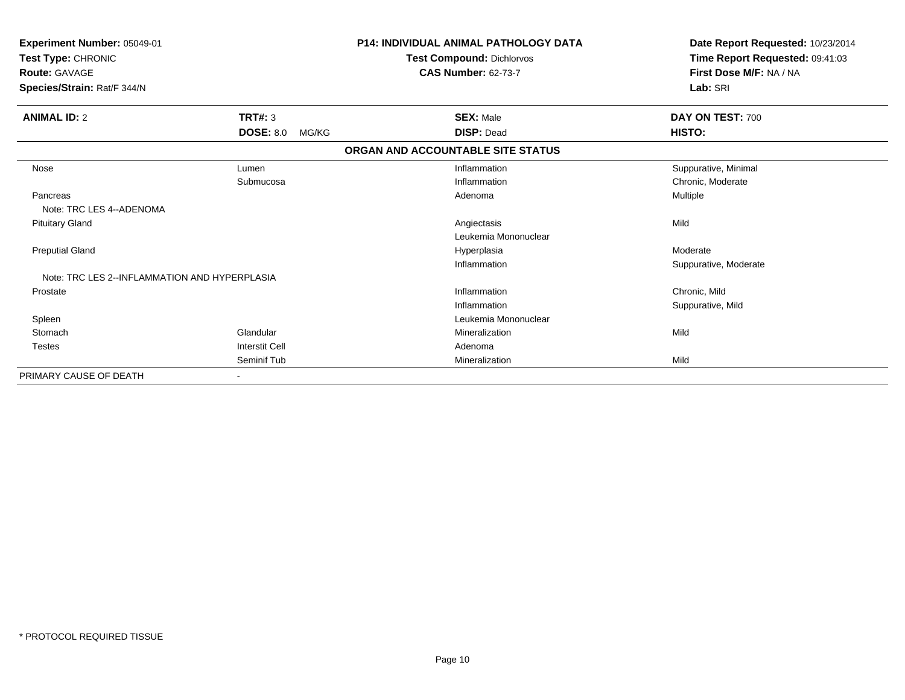| Experiment Number: 05049-01<br>Test Type: CHRONIC<br><b>Route: GAVAGE</b><br>Species/Strain: Rat/F 344/N |                           | <b>P14: INDIVIDUAL ANIMAL PATHOLOGY DATA</b><br><b>Test Compound: Dichlorvos</b><br><b>CAS Number: 62-73-7</b> | Date Report Requested: 10/23/2014<br>Time Report Requested: 09:41:03<br>First Dose M/F: NA / NA<br>Lab: SRI |
|----------------------------------------------------------------------------------------------------------|---------------------------|----------------------------------------------------------------------------------------------------------------|-------------------------------------------------------------------------------------------------------------|
| <b>ANIMAL ID: 2</b>                                                                                      | <b>TRT#: 3</b>            | <b>SEX: Male</b>                                                                                               | DAY ON TEST: 700                                                                                            |
|                                                                                                          | <b>DOSE: 8.0</b><br>MG/KG | <b>DISP: Dead</b>                                                                                              | HISTO:                                                                                                      |
|                                                                                                          |                           | ORGAN AND ACCOUNTABLE SITE STATUS                                                                              |                                                                                                             |
| Nose                                                                                                     | Lumen                     | Inflammation                                                                                                   | Suppurative, Minimal                                                                                        |
|                                                                                                          | Submucosa                 | Inflammation                                                                                                   | Chronic, Moderate                                                                                           |
| Pancreas                                                                                                 |                           | Adenoma                                                                                                        | Multiple                                                                                                    |
| Note: TRC LES 4--ADENOMA                                                                                 |                           |                                                                                                                |                                                                                                             |
| <b>Pituitary Gland</b>                                                                                   |                           | Angiectasis                                                                                                    | Mild                                                                                                        |
|                                                                                                          |                           | Leukemia Mononuclear                                                                                           |                                                                                                             |
| <b>Preputial Gland</b>                                                                                   |                           | Hyperplasia                                                                                                    | Moderate                                                                                                    |
|                                                                                                          |                           | Inflammation                                                                                                   | Suppurative, Moderate                                                                                       |
| Note: TRC LES 2--INFLAMMATION AND HYPERPLASIA                                                            |                           |                                                                                                                |                                                                                                             |
| Prostate                                                                                                 |                           | Inflammation                                                                                                   | Chronic, Mild                                                                                               |
|                                                                                                          |                           | Inflammation                                                                                                   | Suppurative, Mild                                                                                           |
| Spleen                                                                                                   |                           | Leukemia Mononuclear                                                                                           |                                                                                                             |
| Stomach                                                                                                  | Glandular                 | Mineralization                                                                                                 | Mild                                                                                                        |
| <b>Testes</b>                                                                                            | <b>Interstit Cell</b>     | Adenoma                                                                                                        |                                                                                                             |
|                                                                                                          | Seminif Tub               | Mineralization                                                                                                 | Mild                                                                                                        |
| PRIMARY CAUSE OF DEATH                                                                                   |                           |                                                                                                                |                                                                                                             |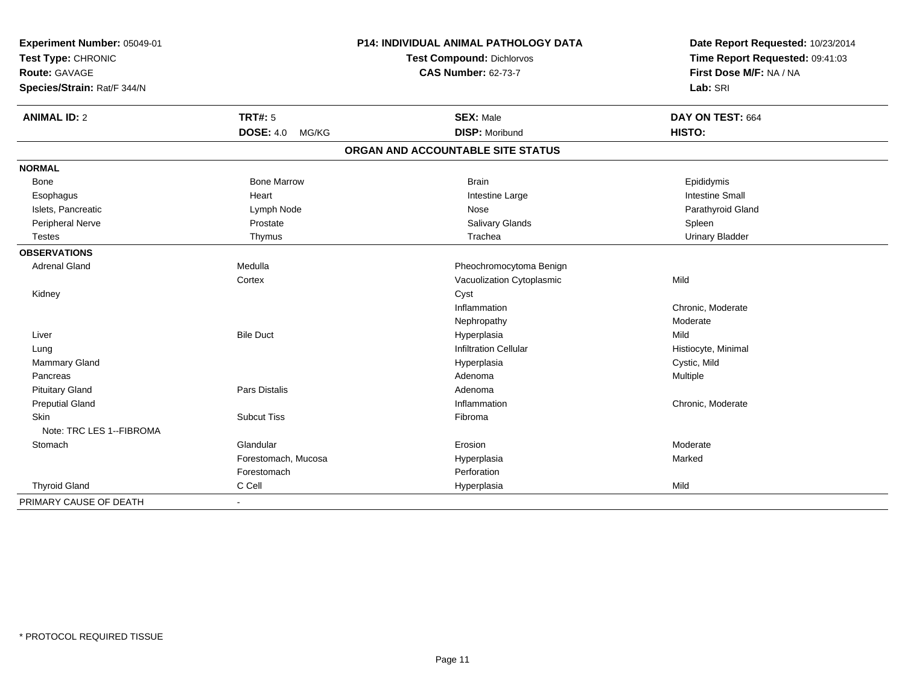| Experiment Number: 05049-01<br>Test Type: CHRONIC |                           | P14: INDIVIDUAL ANIMAL PATHOLOGY DATA | Date Report Requested: 10/23/2014 |
|---------------------------------------------------|---------------------------|---------------------------------------|-----------------------------------|
|                                                   |                           | <b>Test Compound: Dichlorvos</b>      | Time Report Requested: 09:41:03   |
| Route: GAVAGE                                     |                           | <b>CAS Number: 62-73-7</b>            | First Dose M/F: NA / NA           |
| Species/Strain: Rat/F 344/N                       |                           |                                       | Lab: SRI                          |
| <b>ANIMAL ID: 2</b>                               | TRT#: 5                   | <b>SEX: Male</b>                      | DAY ON TEST: 664                  |
|                                                   | <b>DOSE: 4.0</b><br>MG/KG | <b>DISP: Moribund</b>                 | HISTO:                            |
|                                                   |                           | ORGAN AND ACCOUNTABLE SITE STATUS     |                                   |
| <b>NORMAL</b>                                     |                           |                                       |                                   |
| Bone                                              | <b>Bone Marrow</b>        | <b>Brain</b>                          | Epididymis                        |
| Esophagus                                         | Heart                     | Intestine Large                       | <b>Intestine Small</b>            |
| Islets, Pancreatic                                | Lymph Node                | Nose                                  | Parathyroid Gland                 |
| Peripheral Nerve                                  | Prostate                  | <b>Salivary Glands</b>                | Spleen                            |
| <b>Testes</b>                                     | Thymus                    | Trachea                               | <b>Urinary Bladder</b>            |
| <b>OBSERVATIONS</b>                               |                           |                                       |                                   |
| <b>Adrenal Gland</b>                              | Medulla                   | Pheochromocytoma Benign               |                                   |
|                                                   | Cortex                    | Vacuolization Cytoplasmic             | Mild                              |
| Kidney                                            |                           | Cyst                                  |                                   |
|                                                   |                           | Inflammation                          | Chronic, Moderate                 |
|                                                   |                           | Nephropathy                           | Moderate                          |
| Liver                                             | <b>Bile Duct</b>          | Hyperplasia                           | Mild                              |
| Lung                                              |                           | <b>Infiltration Cellular</b>          | Histiocyte, Minimal               |
| Mammary Gland                                     |                           | Hyperplasia                           | Cystic, Mild                      |
| Pancreas                                          |                           | Adenoma                               | Multiple                          |
| <b>Pituitary Gland</b>                            | <b>Pars Distalis</b>      | Adenoma                               |                                   |
| <b>Preputial Gland</b>                            |                           | Inflammation                          | Chronic, Moderate                 |
| Skin                                              | <b>Subcut Tiss</b>        | Fibroma                               |                                   |
| Note: TRC LES 1--FIBROMA                          |                           |                                       |                                   |
| Stomach                                           | Glandular                 | Erosion                               | Moderate                          |
|                                                   | Forestomach, Mucosa       | Hyperplasia                           | Marked                            |
|                                                   | Forestomach               | Perforation                           |                                   |
| <b>Thyroid Gland</b>                              | C Cell                    | Hyperplasia                           | Mild                              |
| PRIMARY CAUSE OF DEATH                            |                           |                                       |                                   |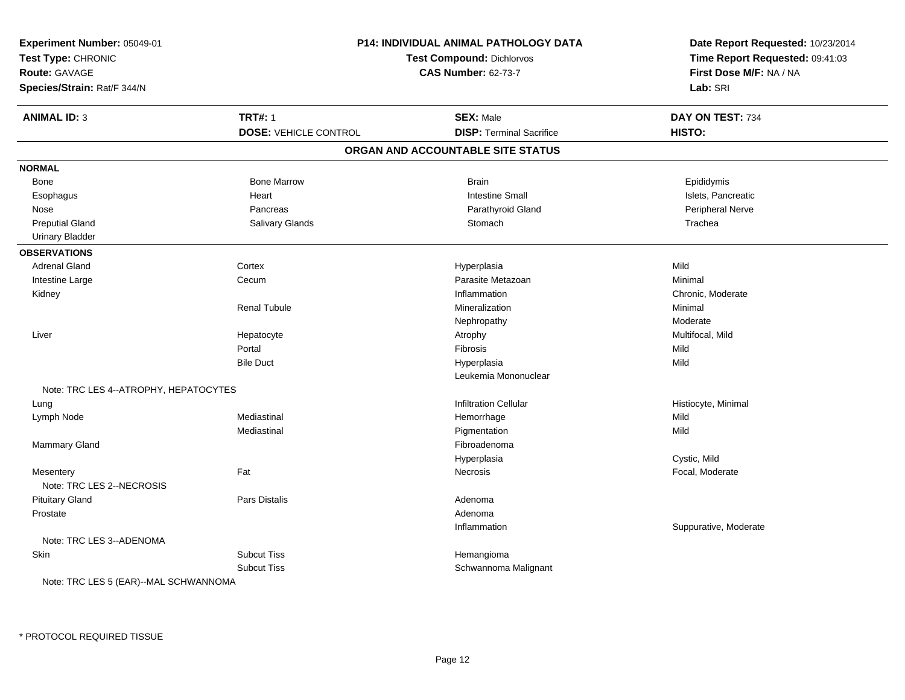| Experiment Number: 05049-01<br>Test Type: CHRONIC<br>Route: GAVAGE<br>Species/Strain: Rat/F 344/N |                                                | P14: INDIVIDUAL ANIMAL PATHOLOGY DATA<br><b>Test Compound: Dichlorvos</b><br><b>CAS Number: 62-73-7</b> |                            |
|---------------------------------------------------------------------------------------------------|------------------------------------------------|---------------------------------------------------------------------------------------------------------|----------------------------|
| <b>ANIMAL ID: 3</b>                                                                               | <b>TRT#: 1</b><br><b>DOSE: VEHICLE CONTROL</b> | <b>SEX: Male</b><br><b>DISP: Terminal Sacrifice</b>                                                     | DAY ON TEST: 734<br>HISTO: |
|                                                                                                   |                                                | ORGAN AND ACCOUNTABLE SITE STATUS                                                                       |                            |
|                                                                                                   |                                                |                                                                                                         |                            |
| <b>NORMAL</b>                                                                                     |                                                |                                                                                                         |                            |
| Bone                                                                                              | <b>Bone Marrow</b>                             | <b>Brain</b>                                                                                            | Epididymis                 |
| Esophagus                                                                                         | Heart                                          | <b>Intestine Small</b>                                                                                  | Islets, Pancreatic         |
| Nose                                                                                              | Pancreas                                       | Parathyroid Gland                                                                                       | Peripheral Nerve           |
| <b>Preputial Gland</b>                                                                            | Salivary Glands                                | Stomach                                                                                                 | Trachea                    |
| <b>Urinary Bladder</b>                                                                            |                                                |                                                                                                         |                            |
| <b>OBSERVATIONS</b>                                                                               |                                                |                                                                                                         |                            |
| <b>Adrenal Gland</b>                                                                              | Cortex                                         | Hyperplasia                                                                                             | Mild                       |
| Intestine Large                                                                                   | Cecum                                          | Parasite Metazoan                                                                                       | Minimal                    |
| Kidney                                                                                            |                                                | Inflammation                                                                                            | Chronic, Moderate          |
|                                                                                                   | <b>Renal Tubule</b>                            | Mineralization                                                                                          | Minimal                    |
|                                                                                                   |                                                | Nephropathy                                                                                             | Moderate                   |
| Liver                                                                                             | Hepatocyte                                     | Atrophy                                                                                                 | Multifocal, Mild           |
|                                                                                                   | Portal                                         | Fibrosis                                                                                                | Mild                       |
|                                                                                                   | <b>Bile Duct</b>                               | Hyperplasia                                                                                             | Mild                       |
|                                                                                                   |                                                | Leukemia Mononuclear                                                                                    |                            |
| Note: TRC LES 4--ATROPHY, HEPATOCYTES                                                             |                                                |                                                                                                         |                            |
| Lung                                                                                              |                                                | <b>Infiltration Cellular</b>                                                                            | Histiocyte, Minimal        |
| Lymph Node                                                                                        | Mediastinal                                    | Hemorrhage                                                                                              | Mild                       |
|                                                                                                   | Mediastinal                                    | Pigmentation                                                                                            | Mild                       |
| <b>Mammary Gland</b>                                                                              |                                                | Fibroadenoma                                                                                            |                            |
|                                                                                                   |                                                | Hyperplasia                                                                                             | Cystic, Mild               |
| Mesentery<br>Note: TRC LES 2--NECROSIS                                                            | Fat                                            | <b>Necrosis</b>                                                                                         | Focal, Moderate            |
| <b>Pituitary Gland</b>                                                                            | Pars Distalis                                  | Adenoma                                                                                                 |                            |
| Prostate                                                                                          |                                                | Adenoma                                                                                                 |                            |
|                                                                                                   |                                                | Inflammation                                                                                            | Suppurative, Moderate      |
| Note: TRC LES 3--ADENOMA                                                                          |                                                |                                                                                                         |                            |
| Skin                                                                                              | <b>Subcut Tiss</b>                             | Hemangioma                                                                                              |                            |
|                                                                                                   | <b>Subcut Tiss</b>                             |                                                                                                         |                            |
| Note: TRC LES 5 (EAR)--MAL SCHWANNOMA                                                             |                                                | Schwannoma Malignant                                                                                    |                            |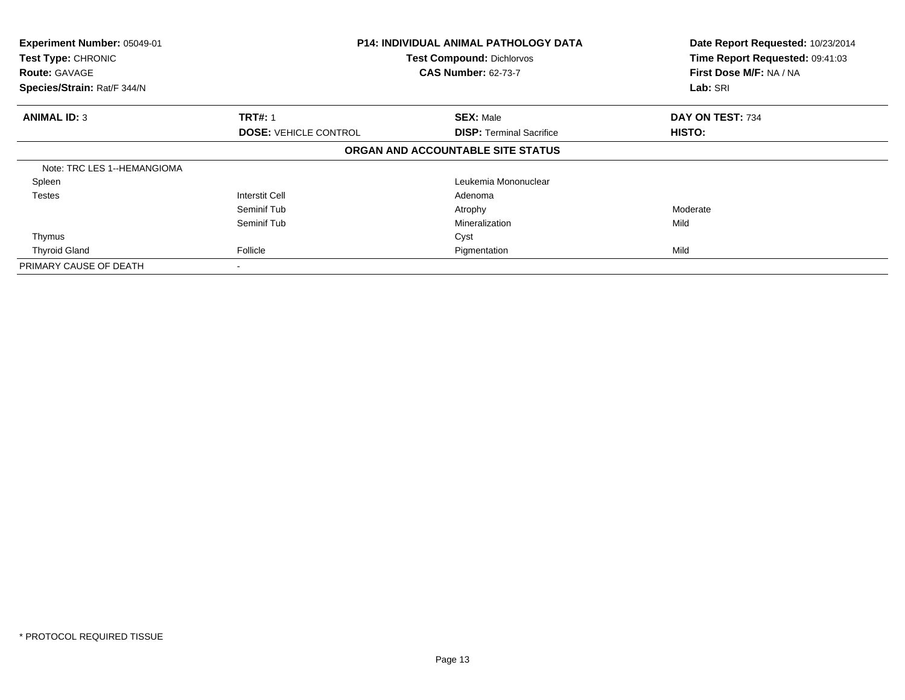| Experiment Number: 05049-01<br>Test Type: CHRONIC<br><b>Route: GAVAGE</b><br>Species/Strain: Rat/F 344/N | <b>P14: INDIVIDUAL ANIMAL PATHOLOGY DATA</b><br><b>Test Compound: Dichlorvos</b><br><b>CAS Number: 62-73-7</b> |                                   | Date Report Requested: 10/23/2014<br>Time Report Requested: 09:41:03<br>First Dose M/F: NA / NA<br>Lab: SRI |
|----------------------------------------------------------------------------------------------------------|----------------------------------------------------------------------------------------------------------------|-----------------------------------|-------------------------------------------------------------------------------------------------------------|
|                                                                                                          |                                                                                                                |                                   |                                                                                                             |
| <b>ANIMAL ID: 3</b>                                                                                      | <b>TRT#: 1</b>                                                                                                 | <b>SEX: Male</b>                  | DAY ON TEST: 734                                                                                            |
|                                                                                                          | <b>DOSE: VEHICLE CONTROL</b>                                                                                   | <b>DISP:</b> Terminal Sacrifice   | HISTO:                                                                                                      |
|                                                                                                          |                                                                                                                | ORGAN AND ACCOUNTABLE SITE STATUS |                                                                                                             |
| Note: TRC LES 1--HEMANGIOMA                                                                              |                                                                                                                |                                   |                                                                                                             |
| Spleen                                                                                                   |                                                                                                                | Leukemia Mononuclear              |                                                                                                             |
| <b>Testes</b>                                                                                            | <b>Interstit Cell</b>                                                                                          | Adenoma                           |                                                                                                             |
|                                                                                                          | Seminif Tub                                                                                                    | Atrophy                           | Moderate                                                                                                    |
|                                                                                                          | Seminif Tub                                                                                                    | Mineralization                    | Mild                                                                                                        |
| Thymus                                                                                                   |                                                                                                                | Cyst                              |                                                                                                             |
| <b>Thyroid Gland</b>                                                                                     | Follicle                                                                                                       | Pigmentation                      | Mild                                                                                                        |
| PRIMARY CAUSE OF DEATH                                                                                   |                                                                                                                |                                   |                                                                                                             |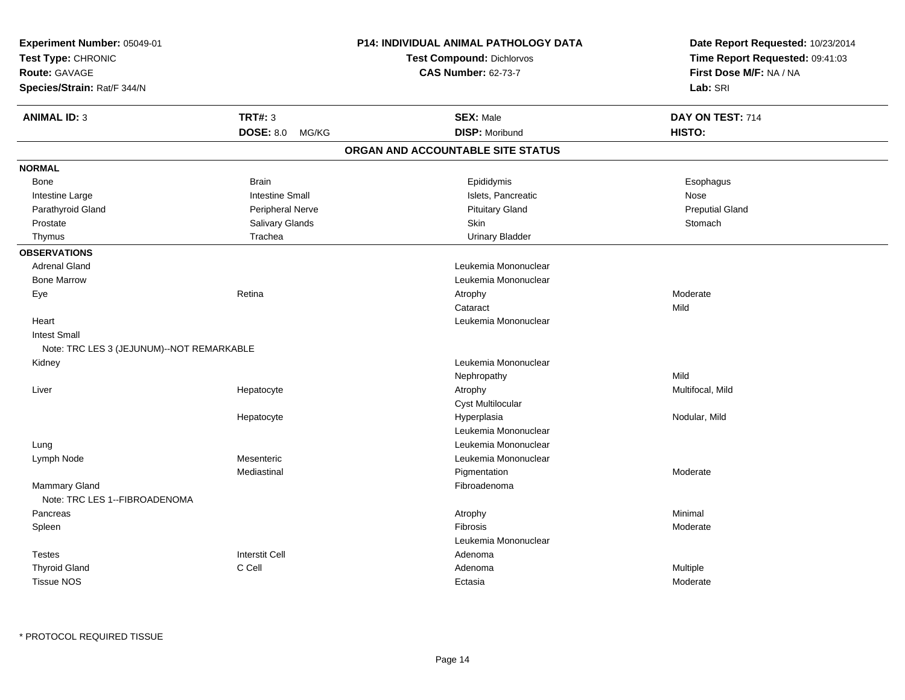| Experiment Number: 05049-01<br>Test Type: CHRONIC<br><b>Route: GAVAGE</b><br>Species/Strain: Rat/F 344/N |                        | <b>P14: INDIVIDUAL ANIMAL PATHOLOGY DATA</b><br>Test Compound: Dichlorvos<br><b>CAS Number: 62-73-7</b> | Date Report Requested: 10/23/2014<br>Time Report Requested: 09:41:03<br>First Dose M/F: NA / NA<br>Lab: SRI |
|----------------------------------------------------------------------------------------------------------|------------------------|---------------------------------------------------------------------------------------------------------|-------------------------------------------------------------------------------------------------------------|
| <b>ANIMAL ID: 3</b>                                                                                      | <b>TRT#: 3</b>         | <b>SEX: Male</b>                                                                                        | DAY ON TEST: 714                                                                                            |
|                                                                                                          | DOSE: 8.0 MG/KG        | <b>DISP: Moribund</b>                                                                                   | HISTO:                                                                                                      |
|                                                                                                          |                        | ORGAN AND ACCOUNTABLE SITE STATUS                                                                       |                                                                                                             |
| <b>NORMAL</b>                                                                                            |                        |                                                                                                         |                                                                                                             |
| Bone                                                                                                     | <b>Brain</b>           | Epididymis                                                                                              | Esophagus                                                                                                   |
| Intestine Large                                                                                          | <b>Intestine Small</b> | Islets, Pancreatic                                                                                      | Nose                                                                                                        |
| Parathyroid Gland                                                                                        | Peripheral Nerve       | <b>Pituitary Gland</b>                                                                                  | <b>Preputial Gland</b>                                                                                      |
| Prostate                                                                                                 | Salivary Glands        | Skin                                                                                                    | Stomach                                                                                                     |
| Thymus                                                                                                   | Trachea                | <b>Urinary Bladder</b>                                                                                  |                                                                                                             |
| <b>OBSERVATIONS</b>                                                                                      |                        |                                                                                                         |                                                                                                             |
| <b>Adrenal Gland</b>                                                                                     |                        | Leukemia Mononuclear                                                                                    |                                                                                                             |
| <b>Bone Marrow</b>                                                                                       |                        | Leukemia Mononuclear                                                                                    |                                                                                                             |
| Eye                                                                                                      | Retina                 | Atrophy                                                                                                 | Moderate                                                                                                    |
|                                                                                                          |                        | Cataract                                                                                                | Mild                                                                                                        |
| Heart                                                                                                    |                        | Leukemia Mononuclear                                                                                    |                                                                                                             |
| <b>Intest Small</b>                                                                                      |                        |                                                                                                         |                                                                                                             |
| Note: TRC LES 3 (JEJUNUM)--NOT REMARKABLE                                                                |                        |                                                                                                         |                                                                                                             |
| Kidney                                                                                                   |                        | Leukemia Mononuclear                                                                                    |                                                                                                             |
|                                                                                                          |                        | Nephropathy                                                                                             | Mild                                                                                                        |
| Liver                                                                                                    | Hepatocyte             | Atrophy                                                                                                 | Multifocal, Mild                                                                                            |
|                                                                                                          |                        | Cyst Multilocular                                                                                       |                                                                                                             |
|                                                                                                          | Hepatocyte             | Hyperplasia                                                                                             | Nodular, Mild                                                                                               |
|                                                                                                          |                        | Leukemia Mononuclear                                                                                    |                                                                                                             |
| Lung                                                                                                     |                        | Leukemia Mononuclear                                                                                    |                                                                                                             |
| Lymph Node                                                                                               | Mesenteric             | Leukemia Mononuclear                                                                                    |                                                                                                             |
|                                                                                                          | Mediastinal            | Pigmentation                                                                                            | Moderate                                                                                                    |
| Mammary Gland<br>Note: TRC LES 1--FIBROADENOMA                                                           |                        | Fibroadenoma                                                                                            |                                                                                                             |
| Pancreas                                                                                                 |                        | Atrophy                                                                                                 | Minimal                                                                                                     |
| Spleen                                                                                                   |                        | <b>Fibrosis</b>                                                                                         | Moderate                                                                                                    |
|                                                                                                          |                        | Leukemia Mononuclear                                                                                    |                                                                                                             |
| <b>Testes</b>                                                                                            | <b>Interstit Cell</b>  | Adenoma                                                                                                 |                                                                                                             |
| <b>Thyroid Gland</b>                                                                                     | C Cell                 | Adenoma                                                                                                 | Multiple                                                                                                    |
| <b>Tissue NOS</b>                                                                                        |                        | Ectasia                                                                                                 | Moderate                                                                                                    |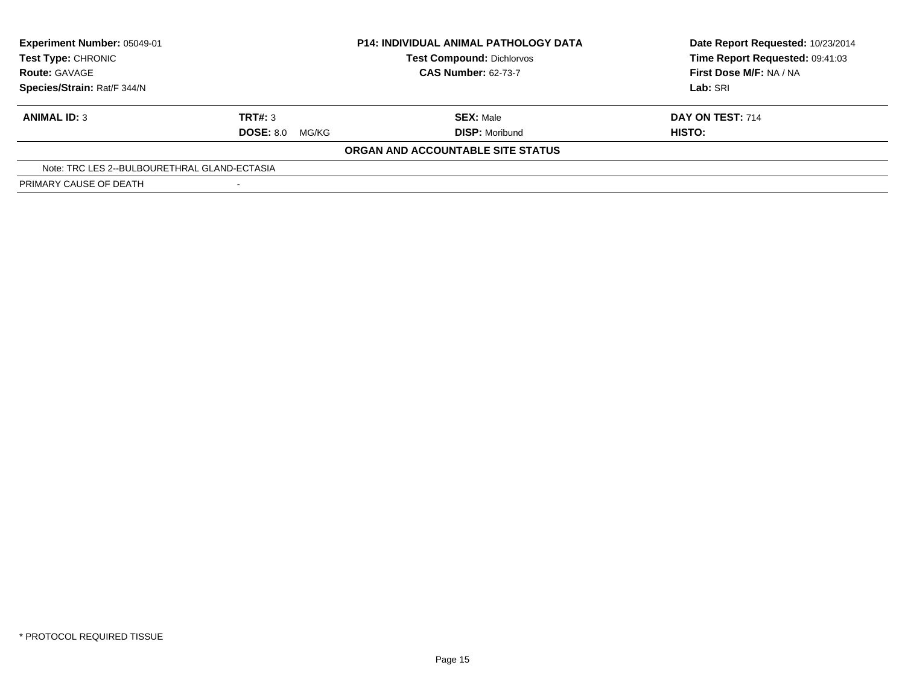| Experiment Number: 05049-01<br><b>Test Type: CHRONIC</b><br><b>Route: GAVAGE</b> |                           | <b>P14: INDIVIDUAL ANIMAL PATHOLOGY DATA</b><br><b>Test Compound: Dichlorvos</b><br><b>CAS Number: 62-73-7</b> | Date Report Requested: 10/23/2014<br>Time Report Requested: 09:41:03<br>First Dose M/F: NA / NA |
|----------------------------------------------------------------------------------|---------------------------|----------------------------------------------------------------------------------------------------------------|-------------------------------------------------------------------------------------------------|
| Species/Strain: Rat/F 344/N                                                      |                           |                                                                                                                | Lab: SRI                                                                                        |
| <b>ANIMAL ID: 3</b>                                                              | TRT#: 3                   | <b>SEX: Male</b>                                                                                               | DAY ON TEST: 714                                                                                |
|                                                                                  | <b>DOSE: 8.0</b><br>MG/KG | <b>DISP: Moribund</b>                                                                                          | HISTO:                                                                                          |
|                                                                                  |                           | ORGAN AND ACCOUNTABLE SITE STATUS                                                                              |                                                                                                 |
| Note: TRC LES 2--BULBOURETHRAL GLAND-ECTASIA                                     |                           |                                                                                                                |                                                                                                 |
| PRIMARY CAUSE OF DEATH                                                           |                           |                                                                                                                |                                                                                                 |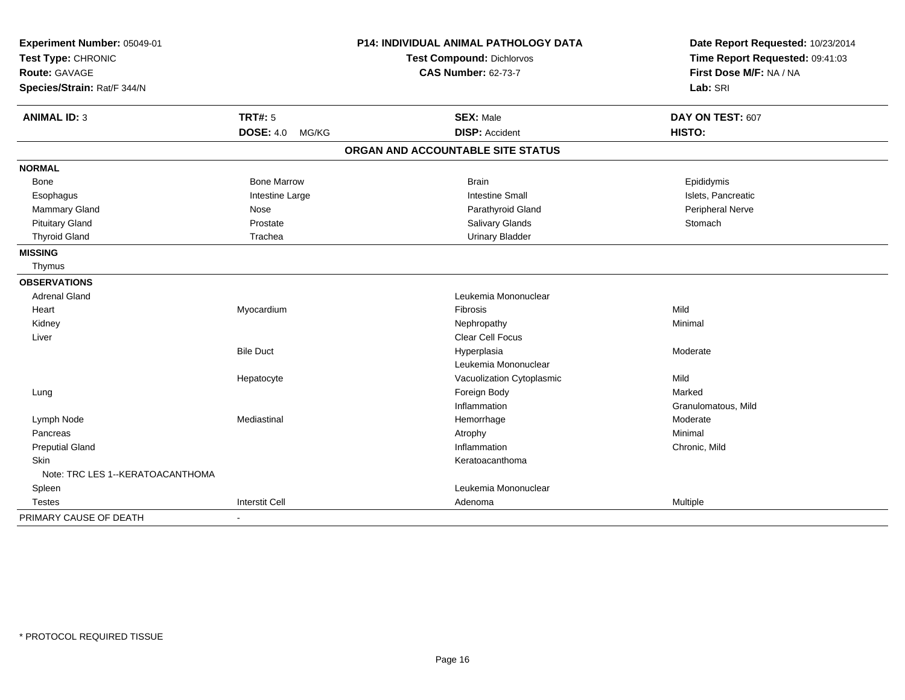| Experiment Number: 05049-01<br>Test Type: CHRONIC |                           | <b>P14: INDIVIDUAL ANIMAL PATHOLOGY DATA</b> | Date Report Requested: 10/23/2014<br>Time Report Requested: 09:41:03 |
|---------------------------------------------------|---------------------------|----------------------------------------------|----------------------------------------------------------------------|
|                                                   |                           | <b>Test Compound: Dichlorvos</b>             |                                                                      |
| <b>Route: GAVAGE</b>                              |                           | <b>CAS Number: 62-73-7</b>                   | First Dose M/F: NA / NA                                              |
| Species/Strain: Rat/F 344/N                       |                           |                                              | Lab: SRI                                                             |
| <b>ANIMAL ID: 3</b>                               | <b>TRT#: 5</b>            | <b>SEX: Male</b>                             | DAY ON TEST: 607                                                     |
|                                                   | <b>DOSE: 4.0</b><br>MG/KG | <b>DISP: Accident</b>                        | HISTO:                                                               |
|                                                   |                           | ORGAN AND ACCOUNTABLE SITE STATUS            |                                                                      |
| <b>NORMAL</b>                                     |                           |                                              |                                                                      |
| <b>Bone</b>                                       | <b>Bone Marrow</b>        | <b>Brain</b>                                 | Epididymis                                                           |
| Esophagus                                         | Intestine Large           | <b>Intestine Small</b>                       | Islets, Pancreatic                                                   |
| <b>Mammary Gland</b>                              | Nose                      | Parathyroid Gland                            | Peripheral Nerve                                                     |
| <b>Pituitary Gland</b>                            | Prostate                  | Salivary Glands                              | Stomach                                                              |
| <b>Thyroid Gland</b>                              | Trachea                   | <b>Urinary Bladder</b>                       |                                                                      |
| <b>MISSING</b>                                    |                           |                                              |                                                                      |
| Thymus                                            |                           |                                              |                                                                      |
| <b>OBSERVATIONS</b>                               |                           |                                              |                                                                      |
| <b>Adrenal Gland</b>                              |                           | Leukemia Mononuclear                         |                                                                      |
| Heart                                             | Myocardium                | Fibrosis                                     | Mild                                                                 |
| Kidney                                            |                           | Nephropathy                                  | Minimal                                                              |
| Liver                                             |                           | <b>Clear Cell Focus</b>                      |                                                                      |
|                                                   | <b>Bile Duct</b>          | Hyperplasia                                  | Moderate                                                             |
|                                                   |                           | Leukemia Mononuclear                         |                                                                      |
|                                                   | Hepatocyte                | Vacuolization Cytoplasmic                    | Mild                                                                 |
| Lung                                              |                           | Foreign Body                                 | Marked                                                               |
|                                                   |                           | Inflammation                                 | Granulomatous, Mild                                                  |
| Lymph Node                                        | Mediastinal               | Hemorrhage                                   | Moderate                                                             |
| Pancreas                                          |                           | Atrophy                                      | Minimal                                                              |
| <b>Preputial Gland</b>                            |                           | Inflammation                                 | Chronic, Mild                                                        |
| <b>Skin</b>                                       |                           | Keratoacanthoma                              |                                                                      |
| Note: TRC LES 1--KERATOACANTHOMA                  |                           |                                              |                                                                      |
| Spleen                                            |                           | Leukemia Mononuclear                         |                                                                      |
| <b>Testes</b>                                     | <b>Interstit Cell</b>     | Adenoma                                      | Multiple                                                             |
| PRIMARY CAUSE OF DEATH                            |                           |                                              |                                                                      |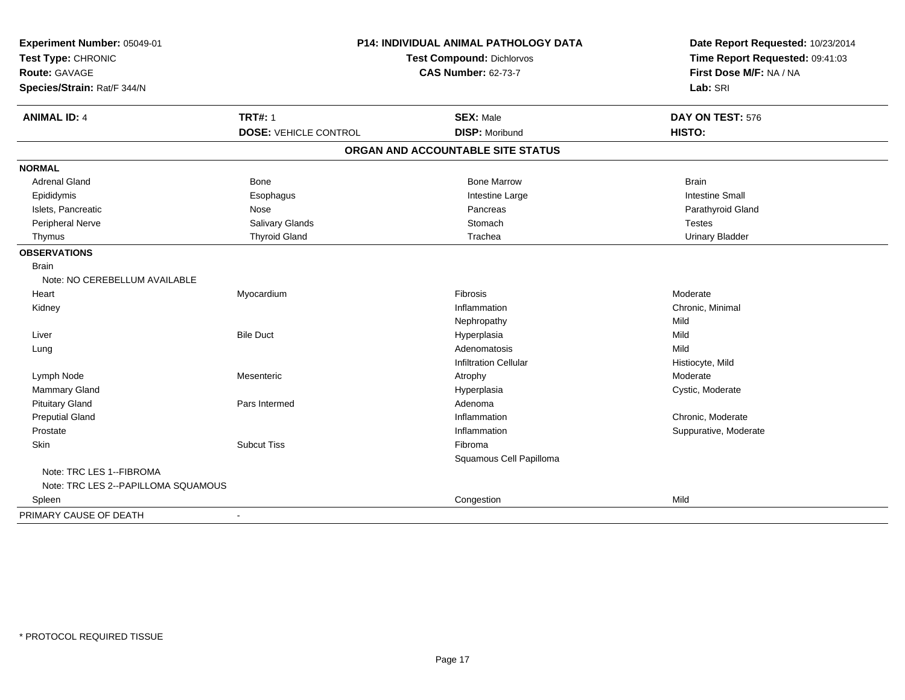| Experiment Number: 05049-01<br>Test Type: CHRONIC |                              | <b>P14: INDIVIDUAL ANIMAL PATHOLOGY DATA</b><br>Test Compound: Dichlorvos | Date Report Requested: 10/23/2014<br>Time Report Requested: 09:41:03<br>First Dose M/F: NA / NA |  |
|---------------------------------------------------|------------------------------|---------------------------------------------------------------------------|-------------------------------------------------------------------------------------------------|--|
| Route: GAVAGE                                     |                              | <b>CAS Number: 62-73-7</b>                                                |                                                                                                 |  |
| Species/Strain: Rat/F 344/N                       |                              |                                                                           | Lab: SRI                                                                                        |  |
| <b>ANIMAL ID: 4</b>                               | <b>TRT#: 1</b>               | <b>SEX: Male</b>                                                          | DAY ON TEST: 576                                                                                |  |
|                                                   | <b>DOSE: VEHICLE CONTROL</b> | <b>DISP: Moribund</b>                                                     | HISTO:                                                                                          |  |
|                                                   |                              | ORGAN AND ACCOUNTABLE SITE STATUS                                         |                                                                                                 |  |
| <b>NORMAL</b>                                     |                              |                                                                           |                                                                                                 |  |
| <b>Adrenal Gland</b>                              | <b>Bone</b>                  | <b>Bone Marrow</b>                                                        | <b>Brain</b>                                                                                    |  |
| Epididymis                                        | Esophagus                    | Intestine Large                                                           | <b>Intestine Small</b>                                                                          |  |
| Islets, Pancreatic                                | Nose                         | Pancreas                                                                  | Parathyroid Gland                                                                               |  |
| Peripheral Nerve                                  | Salivary Glands              | Stomach                                                                   | <b>Testes</b>                                                                                   |  |
| Thymus                                            | <b>Thyroid Gland</b>         | Trachea                                                                   | <b>Urinary Bladder</b>                                                                          |  |
| <b>OBSERVATIONS</b>                               |                              |                                                                           |                                                                                                 |  |
| <b>Brain</b>                                      |                              |                                                                           |                                                                                                 |  |
| Note: NO CEREBELLUM AVAILABLE                     |                              |                                                                           |                                                                                                 |  |
| Heart                                             | Myocardium                   | Fibrosis                                                                  | Moderate                                                                                        |  |
| Kidney                                            |                              | Inflammation                                                              | Chronic, Minimal                                                                                |  |
|                                                   |                              | Nephropathy                                                               | Mild                                                                                            |  |
| Liver                                             | <b>Bile Duct</b>             | Hyperplasia                                                               | Mild                                                                                            |  |
| Lung                                              |                              | Adenomatosis                                                              | Mild                                                                                            |  |
|                                                   |                              | <b>Infiltration Cellular</b>                                              | Histiocyte, Mild                                                                                |  |
| Lymph Node                                        | Mesenteric                   | Atrophy                                                                   | Moderate                                                                                        |  |
| Mammary Gland                                     |                              | Hyperplasia                                                               | Cystic, Moderate                                                                                |  |
| <b>Pituitary Gland</b>                            | Pars Intermed                | Adenoma                                                                   |                                                                                                 |  |
| <b>Preputial Gland</b>                            |                              | Inflammation                                                              | Chronic, Moderate                                                                               |  |
| Prostate                                          |                              | Inflammation                                                              | Suppurative, Moderate                                                                           |  |
| Skin                                              | <b>Subcut Tiss</b>           | Fibroma                                                                   |                                                                                                 |  |
|                                                   |                              | Squamous Cell Papilloma                                                   |                                                                                                 |  |
| Note: TRC LES 1--FIBROMA                          |                              |                                                                           |                                                                                                 |  |
| Note: TRC LES 2--PAPILLOMA SQUAMOUS               |                              |                                                                           |                                                                                                 |  |
| Spleen                                            |                              | Congestion                                                                | Mild                                                                                            |  |
| PRIMARY CAUSE OF DEATH                            |                              |                                                                           |                                                                                                 |  |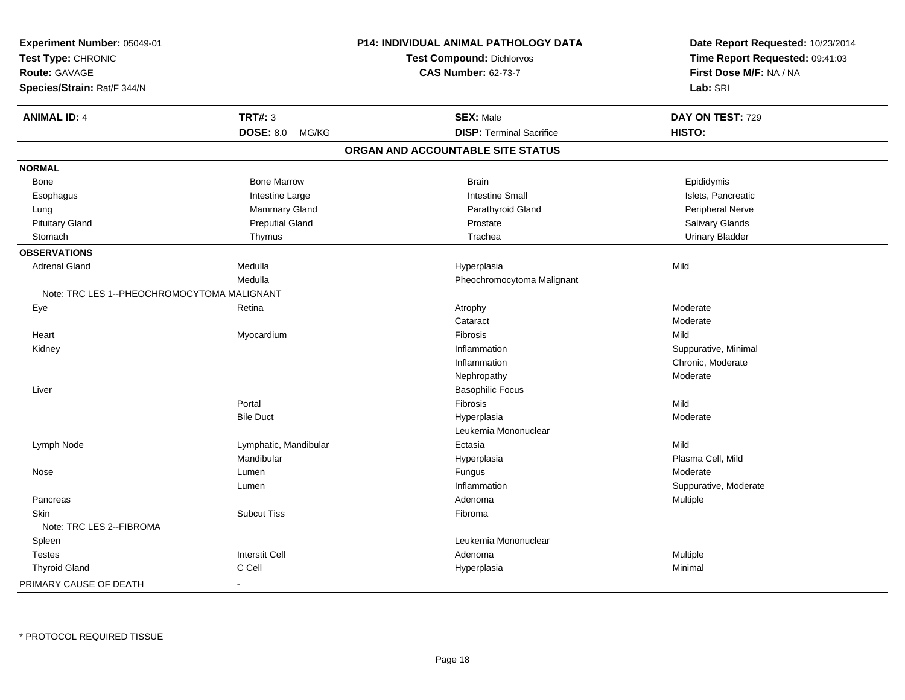| Experiment Number: 05049-01<br>Test Type: CHRONIC<br>Route: GAVAGE |                           | P14: INDIVIDUAL ANIMAL PATHOLOGY DATA<br><b>Test Compound: Dichlorvos</b><br><b>CAS Number: 62-73-7</b> | Date Report Requested: 10/23/2014<br>Time Report Requested: 09:41:03<br>First Dose M/F: NA / NA |
|--------------------------------------------------------------------|---------------------------|---------------------------------------------------------------------------------------------------------|-------------------------------------------------------------------------------------------------|
| Species/Strain: Rat/F 344/N                                        |                           |                                                                                                         | Lab: SRI                                                                                        |
| <b>ANIMAL ID: 4</b>                                                | <b>TRT#: 3</b>            | <b>SEX: Male</b>                                                                                        | DAY ON TEST: 729                                                                                |
|                                                                    | <b>DOSE: 8.0</b><br>MG/KG | <b>DISP: Terminal Sacrifice</b>                                                                         | HISTO:                                                                                          |
|                                                                    |                           | ORGAN AND ACCOUNTABLE SITE STATUS                                                                       |                                                                                                 |
| <b>NORMAL</b>                                                      |                           |                                                                                                         |                                                                                                 |
| Bone                                                               | <b>Bone Marrow</b>        | <b>Brain</b>                                                                                            | Epididymis                                                                                      |
| Esophagus                                                          | Intestine Large           | <b>Intestine Small</b>                                                                                  | Islets, Pancreatic                                                                              |
| Lung                                                               | Mammary Gland             | Parathyroid Gland                                                                                       | Peripheral Nerve                                                                                |
| <b>Pituitary Gland</b>                                             | <b>Preputial Gland</b>    | Prostate                                                                                                | Salivary Glands                                                                                 |
| Stomach                                                            | Thymus                    | Trachea                                                                                                 | <b>Urinary Bladder</b>                                                                          |
| <b>OBSERVATIONS</b>                                                |                           |                                                                                                         |                                                                                                 |
| <b>Adrenal Gland</b>                                               | Medulla                   | Hyperplasia                                                                                             | Mild                                                                                            |
|                                                                    | Medulla                   | Pheochromocytoma Malignant                                                                              |                                                                                                 |
| Note: TRC LES 1--PHEOCHROMOCYTOMA MALIGNANT                        |                           |                                                                                                         |                                                                                                 |
| Eye                                                                | Retina                    | Atrophy                                                                                                 | Moderate                                                                                        |
|                                                                    |                           | Cataract                                                                                                | Moderate                                                                                        |
| Heart                                                              | Myocardium                | Fibrosis                                                                                                | Mild                                                                                            |
| Kidney                                                             |                           | Inflammation                                                                                            | Suppurative, Minimal                                                                            |
|                                                                    |                           | Inflammation                                                                                            | Chronic, Moderate                                                                               |
|                                                                    |                           | Nephropathy                                                                                             | Moderate                                                                                        |
| Liver                                                              |                           | <b>Basophilic Focus</b>                                                                                 |                                                                                                 |
|                                                                    | Portal                    | Fibrosis                                                                                                | Mild                                                                                            |
|                                                                    | <b>Bile Duct</b>          | Hyperplasia                                                                                             | Moderate                                                                                        |
|                                                                    |                           | Leukemia Mononuclear                                                                                    |                                                                                                 |
| Lymph Node                                                         | Lymphatic, Mandibular     | Ectasia                                                                                                 | Mild                                                                                            |
|                                                                    | Mandibular                | Hyperplasia                                                                                             | Plasma Cell, Mild                                                                               |
| Nose                                                               | Lumen                     | Fungus                                                                                                  | Moderate                                                                                        |
|                                                                    | Lumen                     | Inflammation                                                                                            | Suppurative, Moderate                                                                           |
| Pancreas                                                           |                           | Adenoma                                                                                                 | Multiple                                                                                        |
| <b>Skin</b><br>Note: TRC LES 2--FIBROMA                            | <b>Subcut Tiss</b>        | Fibroma                                                                                                 |                                                                                                 |
| Spleen                                                             |                           | Leukemia Mononuclear                                                                                    |                                                                                                 |
| <b>Testes</b>                                                      | <b>Interstit Cell</b>     | Adenoma                                                                                                 | Multiple                                                                                        |
| <b>Thyroid Gland</b>                                               | C Cell                    | Hyperplasia                                                                                             | Minimal                                                                                         |
| PRIMARY CAUSE OF DEATH                                             |                           |                                                                                                         |                                                                                                 |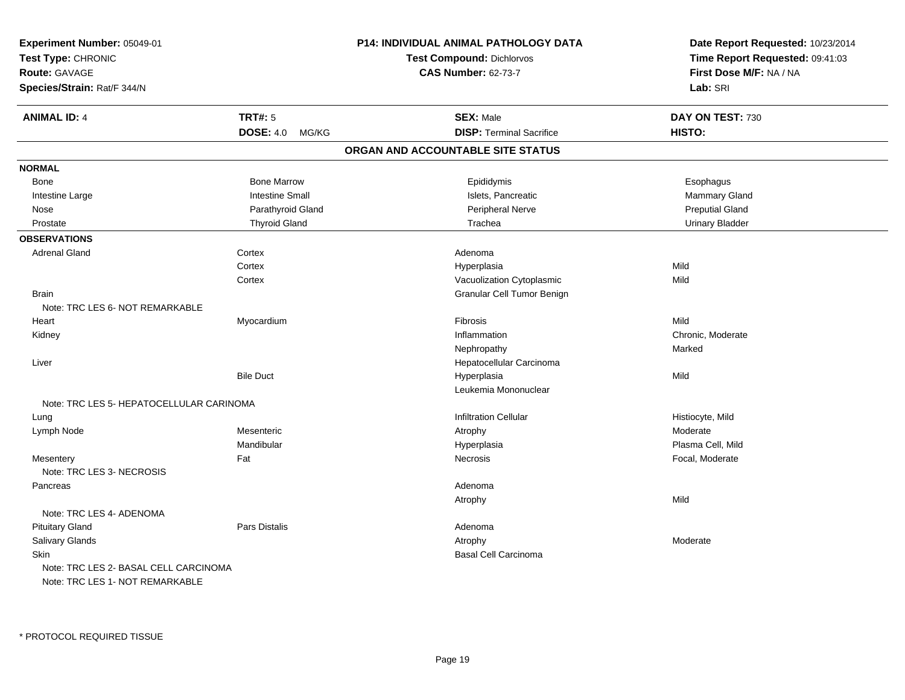| Experiment Number: 05049-01<br>Test Type: CHRONIC<br><b>Route: GAVAGE</b> |                        | <b>P14: INDIVIDUAL ANIMAL PATHOLOGY DATA</b> | Date Report Requested: 10/23/2014<br>Time Report Requested: 09:41:03<br>First Dose M/F: NA / NA |  |
|---------------------------------------------------------------------------|------------------------|----------------------------------------------|-------------------------------------------------------------------------------------------------|--|
|                                                                           |                        | <b>Test Compound: Dichlorvos</b>             |                                                                                                 |  |
|                                                                           |                        | <b>CAS Number: 62-73-7</b>                   |                                                                                                 |  |
| Species/Strain: Rat/F 344/N                                               |                        |                                              | Lab: SRI                                                                                        |  |
| <b>ANIMAL ID: 4</b>                                                       | <b>TRT#: 5</b>         | <b>SEX: Male</b>                             | DAY ON TEST: 730                                                                                |  |
|                                                                           | DOSE: 4.0 MG/KG        | <b>DISP: Terminal Sacrifice</b>              | HISTO:                                                                                          |  |
|                                                                           |                        | ORGAN AND ACCOUNTABLE SITE STATUS            |                                                                                                 |  |
| <b>NORMAL</b>                                                             |                        |                                              |                                                                                                 |  |
| Bone                                                                      | <b>Bone Marrow</b>     | Epididymis                                   | Esophagus                                                                                       |  |
| Intestine Large                                                           | <b>Intestine Small</b> | Islets, Pancreatic                           | Mammary Gland                                                                                   |  |
| Nose                                                                      | Parathyroid Gland      | Peripheral Nerve                             | <b>Preputial Gland</b>                                                                          |  |
| Prostate                                                                  | <b>Thyroid Gland</b>   | Trachea                                      | <b>Urinary Bladder</b>                                                                          |  |
| <b>OBSERVATIONS</b>                                                       |                        |                                              |                                                                                                 |  |
| <b>Adrenal Gland</b>                                                      | Cortex                 | Adenoma                                      |                                                                                                 |  |
|                                                                           | Cortex                 | Hyperplasia                                  | Mild                                                                                            |  |
|                                                                           | Cortex                 | Vacuolization Cytoplasmic                    | Mild                                                                                            |  |
| <b>Brain</b>                                                              |                        | Granular Cell Tumor Benign                   |                                                                                                 |  |
| Note: TRC LES 6- NOT REMARKABLE                                           |                        |                                              |                                                                                                 |  |
| Heart                                                                     | Myocardium             | <b>Fibrosis</b>                              | Mild                                                                                            |  |
| Kidney                                                                    |                        | Inflammation                                 | Chronic, Moderate                                                                               |  |
|                                                                           |                        | Nephropathy                                  | Marked                                                                                          |  |
| Liver                                                                     |                        | Hepatocellular Carcinoma                     |                                                                                                 |  |
|                                                                           | <b>Bile Duct</b>       | Hyperplasia                                  | Mild                                                                                            |  |
|                                                                           |                        | Leukemia Mononuclear                         |                                                                                                 |  |
| Note: TRC LES 5- HEPATOCELLULAR CARINOMA                                  |                        |                                              |                                                                                                 |  |
| Lung                                                                      |                        | <b>Infiltration Cellular</b>                 | Histiocyte, Mild                                                                                |  |
| Lymph Node                                                                | Mesenteric             | Atrophy                                      | Moderate                                                                                        |  |
|                                                                           | Mandibular             | Hyperplasia                                  | Plasma Cell, Mild                                                                               |  |
| Mesentery                                                                 | Fat                    | Necrosis                                     | Focal, Moderate                                                                                 |  |
| Note: TRC LES 3- NECROSIS                                                 |                        |                                              |                                                                                                 |  |
| Pancreas                                                                  |                        | Adenoma                                      |                                                                                                 |  |
|                                                                           |                        | Atrophy                                      | Mild                                                                                            |  |
| Note: TRC LES 4- ADENOMA                                                  |                        |                                              |                                                                                                 |  |
| <b>Pituitary Gland</b>                                                    | Pars Distalis          | Adenoma                                      |                                                                                                 |  |
| Salivary Glands                                                           |                        | Atrophy                                      | Moderate                                                                                        |  |
| Skin                                                                      |                        | <b>Basal Cell Carcinoma</b>                  |                                                                                                 |  |
| Note: TRC LES 2- BASAL CELL CARCINOMA                                     |                        |                                              |                                                                                                 |  |
| Note: TRC LES 1- NOT REMARKABLE                                           |                        |                                              |                                                                                                 |  |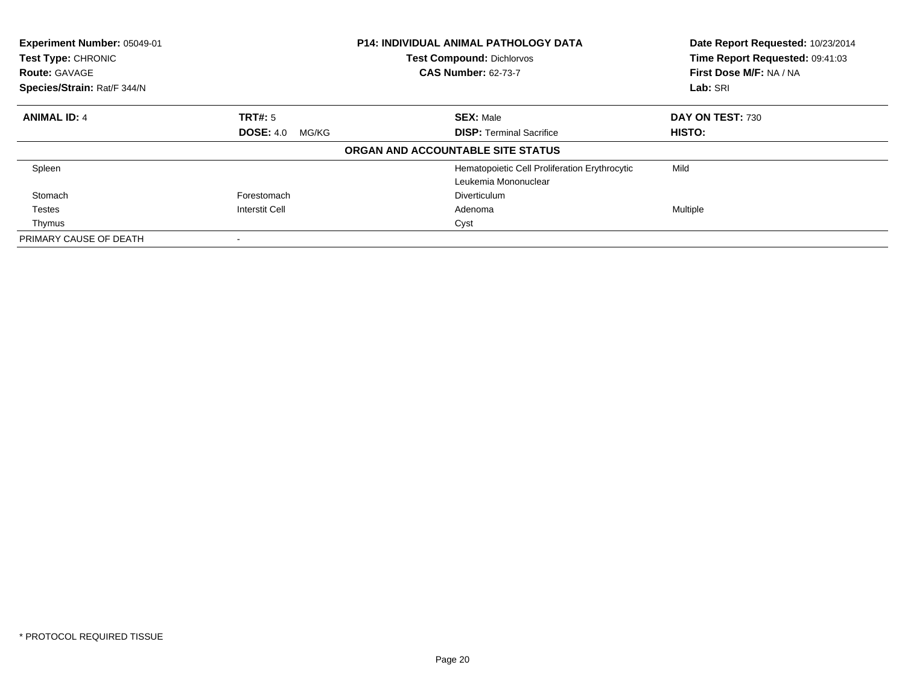| Experiment Number: 05049-01<br>Test Type: CHRONIC<br><b>Route: GAVAGE</b><br>Species/Strain: Rat/F 344/N |                           | <b>P14: INDIVIDUAL ANIMAL PATHOLOGY DATA</b><br><b>Test Compound: Dichlorvos</b><br><b>CAS Number: 62-73-7</b> | Date Report Requested: 10/23/2014<br>Time Report Requested: 09:41:03<br>First Dose M/F: NA / NA<br>Lab: SRI |
|----------------------------------------------------------------------------------------------------------|---------------------------|----------------------------------------------------------------------------------------------------------------|-------------------------------------------------------------------------------------------------------------|
| <b>ANIMAL ID: 4</b>                                                                                      | TRT#: 5                   | <b>SEX: Male</b>                                                                                               | DAY ON TEST: 730                                                                                            |
|                                                                                                          | <b>DOSE: 4.0</b><br>MG/KG | <b>DISP: Terminal Sacrifice</b>                                                                                | <b>HISTO:</b>                                                                                               |
|                                                                                                          |                           | ORGAN AND ACCOUNTABLE SITE STATUS                                                                              |                                                                                                             |
| Spleen                                                                                                   |                           | Hematopoietic Cell Proliferation Erythrocytic<br>Leukemia Mononuclear                                          | Mild                                                                                                        |
| Stomach                                                                                                  | Forestomach               | Diverticulum                                                                                                   |                                                                                                             |
| Testes                                                                                                   | <b>Interstit Cell</b>     | Adenoma                                                                                                        | Multiple                                                                                                    |
| Thymus                                                                                                   |                           | Cyst                                                                                                           |                                                                                                             |
| PRIMARY CAUSE OF DEATH                                                                                   |                           |                                                                                                                |                                                                                                             |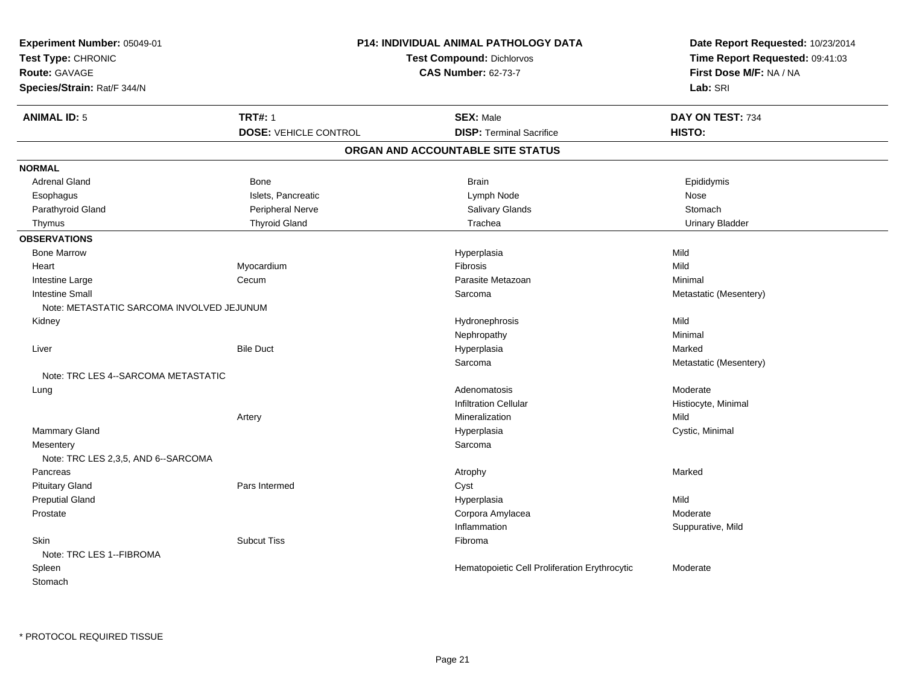| Experiment Number: 05049-01                      |                              | P14: INDIVIDUAL ANIMAL PATHOLOGY DATA         | Date Report Requested: 10/23/2014<br>Time Report Requested: 09:41:03<br>First Dose M/F: NA / NA<br>Lab: SRI |
|--------------------------------------------------|------------------------------|-----------------------------------------------|-------------------------------------------------------------------------------------------------------------|
| Test Type: CHRONIC                               |                              | <b>Test Compound: Dichlorvos</b>              |                                                                                                             |
| <b>Route: GAVAGE</b>                             |                              | <b>CAS Number: 62-73-7</b>                    |                                                                                                             |
| Species/Strain: Rat/F 344/N                      |                              |                                               |                                                                                                             |
| <b>ANIMAL ID: 5</b>                              | <b>TRT#: 1</b>               | <b>SEX: Male</b>                              | DAY ON TEST: 734                                                                                            |
|                                                  | <b>DOSE: VEHICLE CONTROL</b> | <b>DISP: Terminal Sacrifice</b>               | HISTO:                                                                                                      |
|                                                  |                              | ORGAN AND ACCOUNTABLE SITE STATUS             |                                                                                                             |
| <b>NORMAL</b>                                    |                              |                                               |                                                                                                             |
| <b>Adrenal Gland</b>                             | <b>Bone</b>                  | <b>Brain</b>                                  | Epididymis                                                                                                  |
| Esophagus                                        | Islets, Pancreatic           | Lymph Node                                    | Nose                                                                                                        |
| Parathyroid Gland                                | Peripheral Nerve             | Salivary Glands                               | Stomach                                                                                                     |
| Thymus                                           | <b>Thyroid Gland</b>         | Trachea                                       | <b>Urinary Bladder</b>                                                                                      |
| <b>OBSERVATIONS</b>                              |                              |                                               |                                                                                                             |
| <b>Bone Marrow</b>                               |                              | Hyperplasia                                   | Mild                                                                                                        |
| Heart                                            | Myocardium                   | Fibrosis                                      | Mild                                                                                                        |
| Intestine Large                                  | Cecum                        | Parasite Metazoan                             | Minimal                                                                                                     |
| <b>Intestine Small</b>                           |                              | Sarcoma                                       | Metastatic (Mesentery)                                                                                      |
| Note: METASTATIC SARCOMA INVOLVED JEJUNUM        |                              |                                               |                                                                                                             |
| Kidney                                           |                              | Hydronephrosis                                | Mild                                                                                                        |
|                                                  |                              | Nephropathy                                   | Minimal                                                                                                     |
| Liver                                            | <b>Bile Duct</b>             | Hyperplasia                                   | Marked                                                                                                      |
|                                                  |                              | Sarcoma                                       | Metastatic (Mesentery)                                                                                      |
| Note: TRC LES 4--SARCOMA METASTATIC              |                              |                                               |                                                                                                             |
| Lung                                             |                              | Adenomatosis                                  | Moderate                                                                                                    |
|                                                  |                              | <b>Infiltration Cellular</b>                  | Histiocyte, Minimal                                                                                         |
|                                                  | Artery                       | Mineralization                                | Mild                                                                                                        |
| <b>Mammary Gland</b>                             |                              | Hyperplasia                                   | Cystic, Minimal                                                                                             |
| Mesentery<br>Note: TRC LES 2,3,5, AND 6--SARCOMA |                              | Sarcoma                                       |                                                                                                             |
| Pancreas                                         |                              | Atrophy                                       | Marked                                                                                                      |
| <b>Pituitary Gland</b>                           | Pars Intermed                | Cyst                                          |                                                                                                             |
| <b>Preputial Gland</b>                           |                              | Hyperplasia                                   | Mild                                                                                                        |
| Prostate                                         |                              | Corpora Amylacea                              | Moderate                                                                                                    |
|                                                  |                              | Inflammation                                  | Suppurative, Mild                                                                                           |
| <b>Skin</b><br>Note: TRC LES 1--FIBROMA          | <b>Subcut Tiss</b>           | Fibroma                                       |                                                                                                             |
| Spleen<br>Stomach                                |                              | Hematopoietic Cell Proliferation Erythrocytic | Moderate                                                                                                    |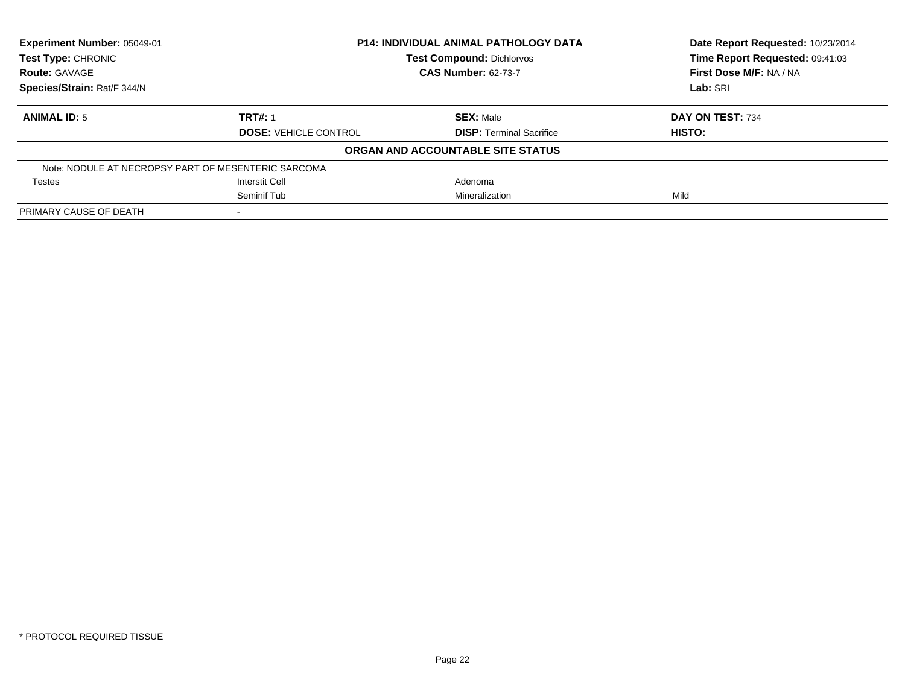| Experiment Number: 05049-01                         |                              | <b>P14: INDIVIDUAL ANIMAL PATHOLOGY DATA</b> |                                 |
|-----------------------------------------------------|------------------------------|----------------------------------------------|---------------------------------|
| <b>Test Type: CHRONIC</b>                           |                              | <b>Test Compound: Dichlorvos</b>             | Time Report Requested: 09:41:03 |
| <b>Route: GAVAGE</b>                                |                              | <b>CAS Number: 62-73-7</b>                   | First Dose M/F: NA / NA         |
| Species/Strain: Rat/F 344/N                         |                              |                                              | Lab: SRI                        |
| <b>ANIMAL ID: 5</b>                                 | <b>TRT#: 1</b>               | <b>SEX: Male</b>                             | DAY ON TEST: 734                |
|                                                     | <b>DOSE: VEHICLE CONTROL</b> | <b>DISP:</b> Terminal Sacrifice              | <b>HISTO:</b>                   |
|                                                     |                              | ORGAN AND ACCOUNTABLE SITE STATUS            |                                 |
| Note: NODULE AT NECROPSY PART OF MESENTERIC SARCOMA |                              |                                              |                                 |
| <b>Testes</b>                                       | <b>Interstit Cell</b>        | Adenoma                                      |                                 |
|                                                     | Seminif Tub                  | Mineralization                               | Mild                            |
| PRIMARY CAUSE OF DEATH                              |                              |                                              |                                 |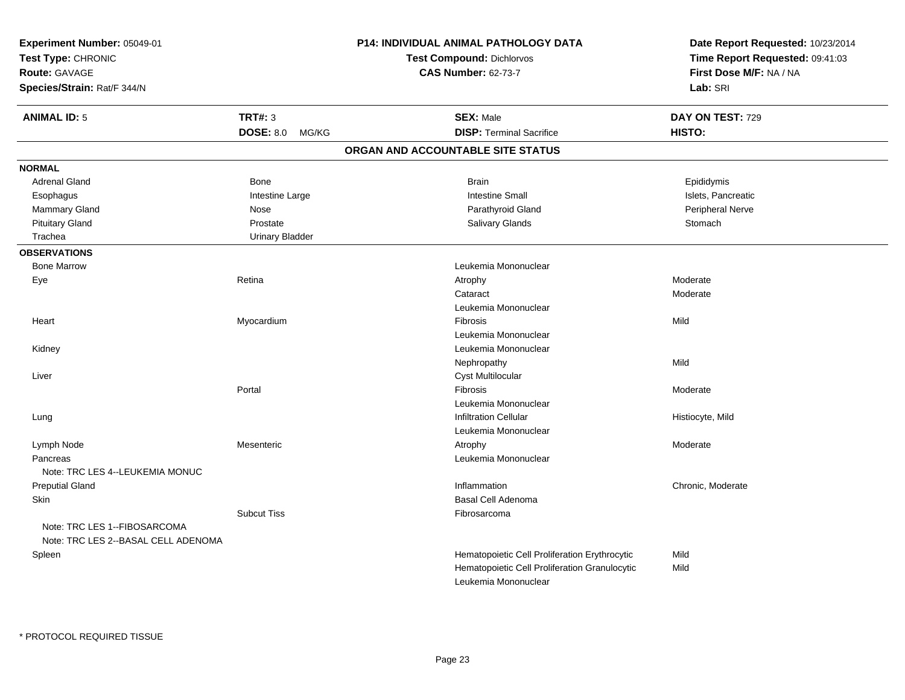| Experiment Number: 05049-01<br>Test Type: CHRONIC<br>Route: GAVAGE<br>Species/Strain: Rat/F 344/N |                           | P14: INDIVIDUAL ANIMAL PATHOLOGY DATA<br><b>Test Compound: Dichlorvos</b><br><b>CAS Number: 62-73-7</b> | Date Report Requested: 10/23/2014<br>Time Report Requested: 09:41:03<br>First Dose M/F: NA / NA<br>Lab: SRI |
|---------------------------------------------------------------------------------------------------|---------------------------|---------------------------------------------------------------------------------------------------------|-------------------------------------------------------------------------------------------------------------|
| <b>ANIMAL ID: 5</b>                                                                               | <b>TRT#: 3</b>            | <b>SEX: Male</b>                                                                                        | DAY ON TEST: 729                                                                                            |
|                                                                                                   | <b>DOSE: 8.0</b><br>MG/KG | <b>DISP: Terminal Sacrifice</b>                                                                         | HISTO:                                                                                                      |
|                                                                                                   |                           | ORGAN AND ACCOUNTABLE SITE STATUS                                                                       |                                                                                                             |
| <b>NORMAL</b>                                                                                     |                           |                                                                                                         |                                                                                                             |
| <b>Adrenal Gland</b>                                                                              | Bone                      | <b>Brain</b>                                                                                            | Epididymis                                                                                                  |
| Esophagus                                                                                         | Intestine Large           | <b>Intestine Small</b>                                                                                  | Islets, Pancreatic                                                                                          |
| <b>Mammary Gland</b>                                                                              | Nose                      | Parathyroid Gland                                                                                       | Peripheral Nerve                                                                                            |
| <b>Pituitary Gland</b>                                                                            | Prostate                  | Salivary Glands                                                                                         | Stomach                                                                                                     |
| Trachea                                                                                           | <b>Urinary Bladder</b>    |                                                                                                         |                                                                                                             |
| <b>OBSERVATIONS</b>                                                                               |                           |                                                                                                         |                                                                                                             |
| <b>Bone Marrow</b>                                                                                |                           | Leukemia Mononuclear                                                                                    |                                                                                                             |
| Eye                                                                                               | Retina                    | Atrophy                                                                                                 | Moderate                                                                                                    |
|                                                                                                   |                           | Cataract                                                                                                | Moderate                                                                                                    |
|                                                                                                   |                           | Leukemia Mononuclear                                                                                    |                                                                                                             |
| Heart                                                                                             | Myocardium                | Fibrosis                                                                                                | Mild                                                                                                        |
|                                                                                                   |                           | Leukemia Mononuclear                                                                                    |                                                                                                             |
| Kidney                                                                                            |                           | Leukemia Mononuclear                                                                                    |                                                                                                             |
|                                                                                                   |                           | Nephropathy                                                                                             | Mild                                                                                                        |
| Liver                                                                                             |                           | Cyst Multilocular                                                                                       |                                                                                                             |
|                                                                                                   | Portal                    | Fibrosis                                                                                                | Moderate                                                                                                    |
|                                                                                                   |                           | Leukemia Mononuclear                                                                                    |                                                                                                             |
| Lung                                                                                              |                           | <b>Infiltration Cellular</b>                                                                            | Histiocyte, Mild                                                                                            |
|                                                                                                   |                           | Leukemia Mononuclear                                                                                    |                                                                                                             |
| Lymph Node                                                                                        | Mesenteric                | Atrophy                                                                                                 | Moderate                                                                                                    |
| Pancreas                                                                                          |                           | Leukemia Mononuclear                                                                                    |                                                                                                             |
| Note: TRC LES 4--LEUKEMIA MONUC                                                                   |                           |                                                                                                         |                                                                                                             |
| <b>Preputial Gland</b>                                                                            |                           | Inflammation                                                                                            | Chronic, Moderate                                                                                           |
| <b>Skin</b>                                                                                       |                           | <b>Basal Cell Adenoma</b>                                                                               |                                                                                                             |
|                                                                                                   | <b>Subcut Tiss</b>        | Fibrosarcoma                                                                                            |                                                                                                             |
| Note: TRC LES 1--FIBOSARCOMA<br>Note: TRC LES 2--BASAL CELL ADENOMA                               |                           |                                                                                                         |                                                                                                             |
| Spleen                                                                                            |                           | Hematopoietic Cell Proliferation Erythrocytic                                                           | Mild                                                                                                        |
|                                                                                                   |                           | Hematopoietic Cell Proliferation Granulocytic                                                           | Mild                                                                                                        |
|                                                                                                   |                           | Leukemia Mononuclear                                                                                    |                                                                                                             |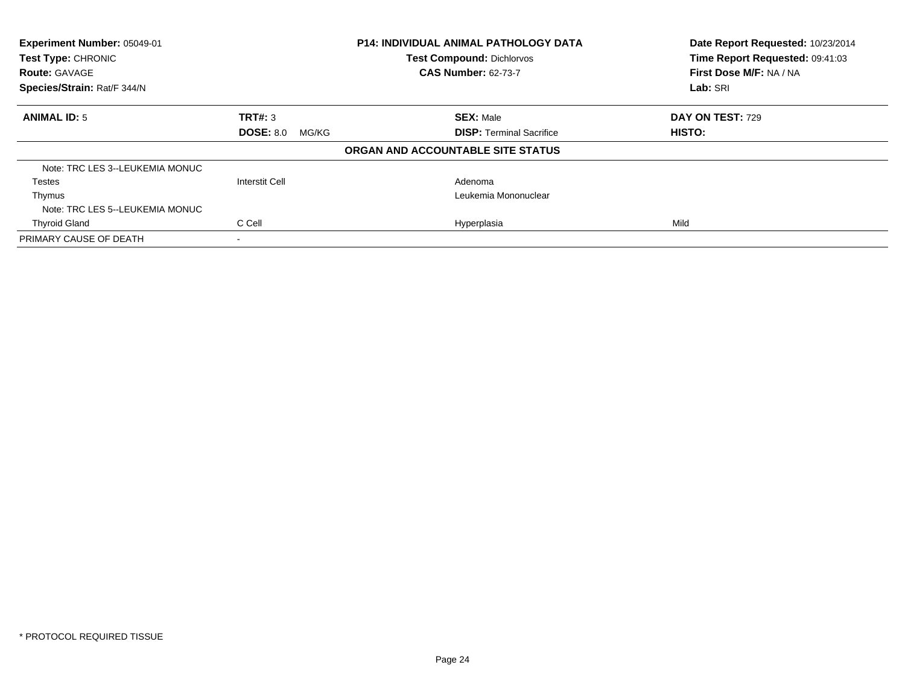| Experiment Number: 05049-01<br><b>Test Type: CHRONIC</b><br><b>Route: GAVAGE</b><br>Species/Strain: Rat/F 344/N |                           | <b>P14: INDIVIDUAL ANIMAL PATHOLOGY DATA</b><br><b>Test Compound: Dichlorvos</b><br><b>CAS Number: 62-73-7</b> | Date Report Requested: 10/23/2014<br>Time Report Requested: 09:41:03<br>First Dose M/F: NA / NA<br>Lab: SRI |
|-----------------------------------------------------------------------------------------------------------------|---------------------------|----------------------------------------------------------------------------------------------------------------|-------------------------------------------------------------------------------------------------------------|
|                                                                                                                 |                           |                                                                                                                |                                                                                                             |
| <b>ANIMAL ID: 5</b>                                                                                             | TRT#: 3                   | <b>SEX: Male</b>                                                                                               | DAY ON TEST: 729                                                                                            |
|                                                                                                                 | <b>DOSE: 8.0</b><br>MG/KG | <b>DISP:</b> Terminal Sacrifice                                                                                | <b>HISTO:</b>                                                                                               |
|                                                                                                                 |                           | ORGAN AND ACCOUNTABLE SITE STATUS                                                                              |                                                                                                             |
| Note: TRC LES 3--LEUKEMIA MONUC                                                                                 |                           |                                                                                                                |                                                                                                             |
| Testes                                                                                                          | <b>Interstit Cell</b>     | Adenoma                                                                                                        |                                                                                                             |
| Thymus                                                                                                          |                           | Leukemia Mononuclear                                                                                           |                                                                                                             |
| Note: TRC LES 5--LEUKEMIA MONUC                                                                                 |                           |                                                                                                                |                                                                                                             |
| <b>Thyroid Gland</b>                                                                                            | C Cell                    | Hyperplasia                                                                                                    | Mild                                                                                                        |
| PRIMARY CAUSE OF DEATH                                                                                          | $\overline{\phantom{a}}$  |                                                                                                                |                                                                                                             |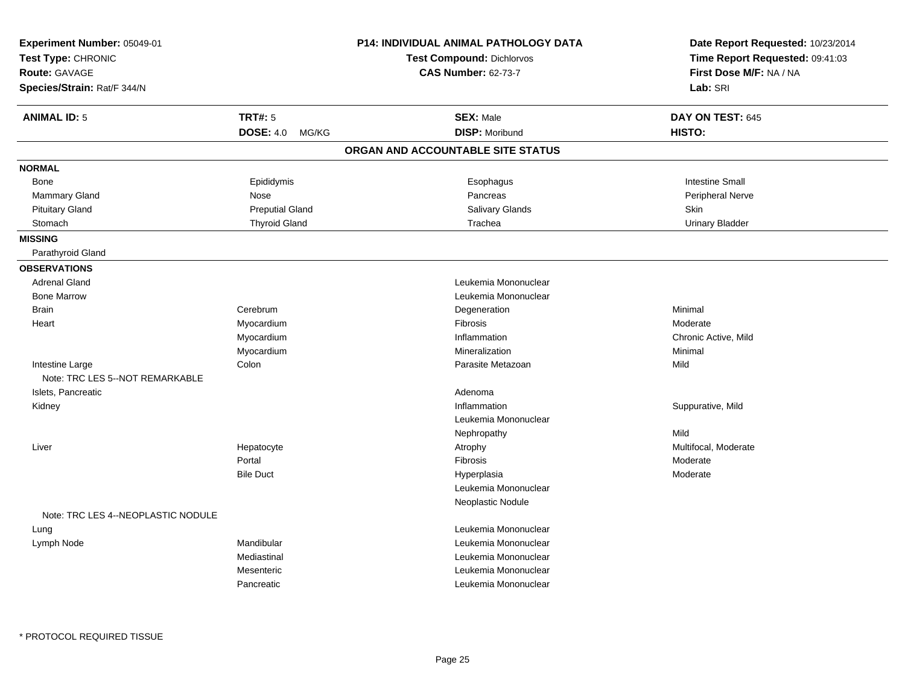| Experiment Number: 05049-01<br>Test Type: CHRONIC<br>Route: GAVAGE<br>Species/Strain: Rat/F 344/N |                                             | <b>P14: INDIVIDUAL ANIMAL PATHOLOGY DATA</b><br><b>Test Compound: Dichlorvos</b><br><b>CAS Number: 62-73-7</b> | Date Report Requested: 10/23/2014<br>Time Report Requested: 09:41:03<br>First Dose M/F: NA / NA<br>Lab: SRI |
|---------------------------------------------------------------------------------------------------|---------------------------------------------|----------------------------------------------------------------------------------------------------------------|-------------------------------------------------------------------------------------------------------------|
| <b>ANIMAL ID: 5</b>                                                                               | <b>TRT#: 5</b><br><b>DOSE: 4.0</b><br>MG/KG | <b>SEX: Male</b><br><b>DISP: Moribund</b>                                                                      | DAY ON TEST: 645<br>HISTO:                                                                                  |
|                                                                                                   |                                             | ORGAN AND ACCOUNTABLE SITE STATUS                                                                              |                                                                                                             |
| <b>NORMAL</b>                                                                                     |                                             |                                                                                                                |                                                                                                             |
| Bone                                                                                              | Epididymis                                  | Esophagus                                                                                                      | <b>Intestine Small</b>                                                                                      |
| Mammary Gland                                                                                     | Nose                                        | Pancreas                                                                                                       | Peripheral Nerve                                                                                            |
| <b>Pituitary Gland</b>                                                                            | <b>Preputial Gland</b>                      | Salivary Glands                                                                                                | Skin                                                                                                        |
| Stomach                                                                                           | <b>Thyroid Gland</b>                        | Trachea                                                                                                        | <b>Urinary Bladder</b>                                                                                      |
| <b>MISSING</b>                                                                                    |                                             |                                                                                                                |                                                                                                             |
| Parathyroid Gland                                                                                 |                                             |                                                                                                                |                                                                                                             |
| <b>OBSERVATIONS</b>                                                                               |                                             |                                                                                                                |                                                                                                             |
| <b>Adrenal Gland</b>                                                                              |                                             | Leukemia Mononuclear                                                                                           |                                                                                                             |
| <b>Bone Marrow</b>                                                                                |                                             | Leukemia Mononuclear                                                                                           |                                                                                                             |
| <b>Brain</b>                                                                                      | Cerebrum                                    | Degeneration                                                                                                   | Minimal                                                                                                     |
| Heart                                                                                             | Myocardium                                  | Fibrosis                                                                                                       | Moderate                                                                                                    |
|                                                                                                   | Myocardium                                  | Inflammation                                                                                                   | Chronic Active, Mild                                                                                        |
|                                                                                                   | Myocardium                                  | Mineralization                                                                                                 | Minimal                                                                                                     |
| Intestine Large                                                                                   | Colon                                       | Parasite Metazoan                                                                                              | Mild                                                                                                        |
| Note: TRC LES 5--NOT REMARKABLE                                                                   |                                             |                                                                                                                |                                                                                                             |
| Islets, Pancreatic                                                                                |                                             | Adenoma                                                                                                        |                                                                                                             |
| Kidney                                                                                            |                                             | Inflammation                                                                                                   | Suppurative, Mild                                                                                           |
|                                                                                                   |                                             | Leukemia Mononuclear                                                                                           |                                                                                                             |
|                                                                                                   |                                             | Nephropathy                                                                                                    | Mild                                                                                                        |
| Liver                                                                                             | Hepatocyte                                  | Atrophy                                                                                                        | Multifocal, Moderate                                                                                        |
|                                                                                                   | Portal                                      | Fibrosis                                                                                                       | Moderate                                                                                                    |
|                                                                                                   | <b>Bile Duct</b>                            | Hyperplasia                                                                                                    | Moderate                                                                                                    |
|                                                                                                   |                                             | Leukemia Mononuclear                                                                                           |                                                                                                             |
|                                                                                                   |                                             | Neoplastic Nodule                                                                                              |                                                                                                             |
| Note: TRC LES 4--NEOPLASTIC NODULE                                                                |                                             |                                                                                                                |                                                                                                             |
| Lung                                                                                              |                                             | Leukemia Mononuclear                                                                                           |                                                                                                             |
| Lymph Node                                                                                        | Mandibular                                  | Leukemia Mononuclear                                                                                           |                                                                                                             |
|                                                                                                   | Mediastinal                                 | Leukemia Mononuclear                                                                                           |                                                                                                             |
|                                                                                                   | Mesenteric                                  | Leukemia Mononuclear                                                                                           |                                                                                                             |
|                                                                                                   | Pancreatic                                  | Leukemia Mononuclear                                                                                           |                                                                                                             |

\* PROTOCOL REQUIRED TISSUE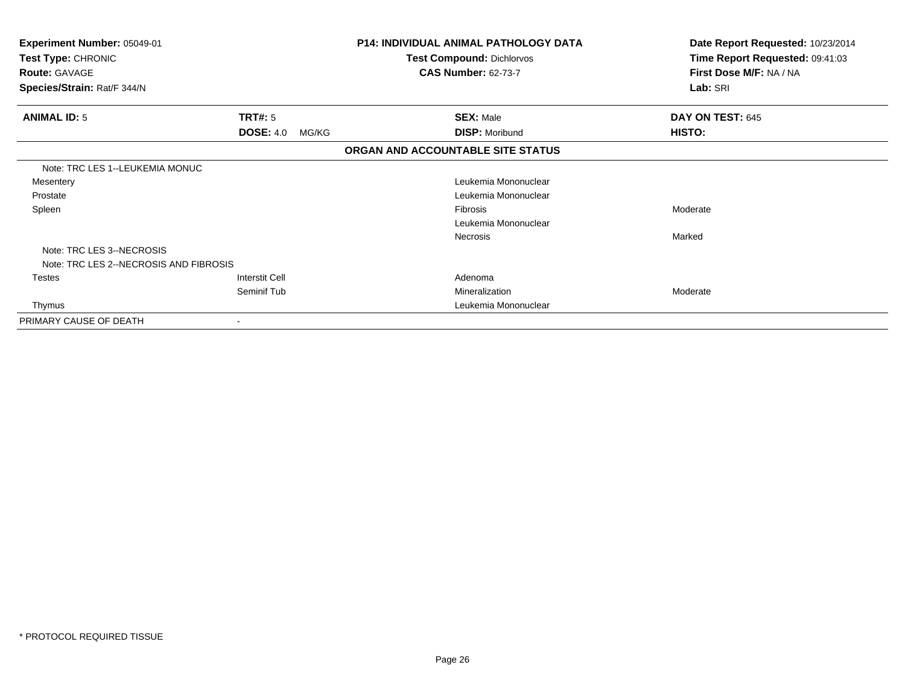| Experiment Number: 05049-01<br>Test Type: CHRONIC<br><b>Route: GAVAGE</b><br>Species/Strain: Rat/F 344/N |                           | <b>P14: INDIVIDUAL ANIMAL PATHOLOGY DATA</b><br><b>Test Compound: Dichlorvos</b><br><b>CAS Number: 62-73-7</b> | Date Report Requested: 10/23/2014<br>Time Report Requested: 09:41:03<br>First Dose M/F: NA / NA<br>Lab: SRI |
|----------------------------------------------------------------------------------------------------------|---------------------------|----------------------------------------------------------------------------------------------------------------|-------------------------------------------------------------------------------------------------------------|
|                                                                                                          |                           |                                                                                                                |                                                                                                             |
| <b>ANIMAL ID: 5</b>                                                                                      | <b>TRT#: 5</b>            | <b>SEX: Male</b>                                                                                               | DAY ON TEST: 645                                                                                            |
|                                                                                                          | <b>DOSE: 4.0</b><br>MG/KG | <b>DISP: Moribund</b>                                                                                          | HISTO:                                                                                                      |
|                                                                                                          |                           | ORGAN AND ACCOUNTABLE SITE STATUS                                                                              |                                                                                                             |
| Note: TRC LES 1--LEUKEMIA MONUC                                                                          |                           |                                                                                                                |                                                                                                             |
| Mesentery                                                                                                |                           | Leukemia Mononuclear                                                                                           |                                                                                                             |
| Prostate                                                                                                 |                           | Leukemia Mononuclear                                                                                           |                                                                                                             |
| Spleen                                                                                                   |                           | Fibrosis                                                                                                       | Moderate                                                                                                    |
|                                                                                                          |                           | Leukemia Mononuclear                                                                                           |                                                                                                             |
|                                                                                                          |                           | Necrosis                                                                                                       | Marked                                                                                                      |
| Note: TRC LES 3--NECROSIS                                                                                |                           |                                                                                                                |                                                                                                             |
| Note: TRC LES 2--NECROSIS AND FIBROSIS                                                                   |                           |                                                                                                                |                                                                                                             |
| <b>Testes</b>                                                                                            | Interstit Cell            | Adenoma                                                                                                        |                                                                                                             |
|                                                                                                          | Seminif Tub               | Mineralization                                                                                                 | Moderate                                                                                                    |
| Thymus                                                                                                   |                           | Leukemia Mononuclear                                                                                           |                                                                                                             |
| PRIMARY CAUSE OF DEATH                                                                                   |                           |                                                                                                                |                                                                                                             |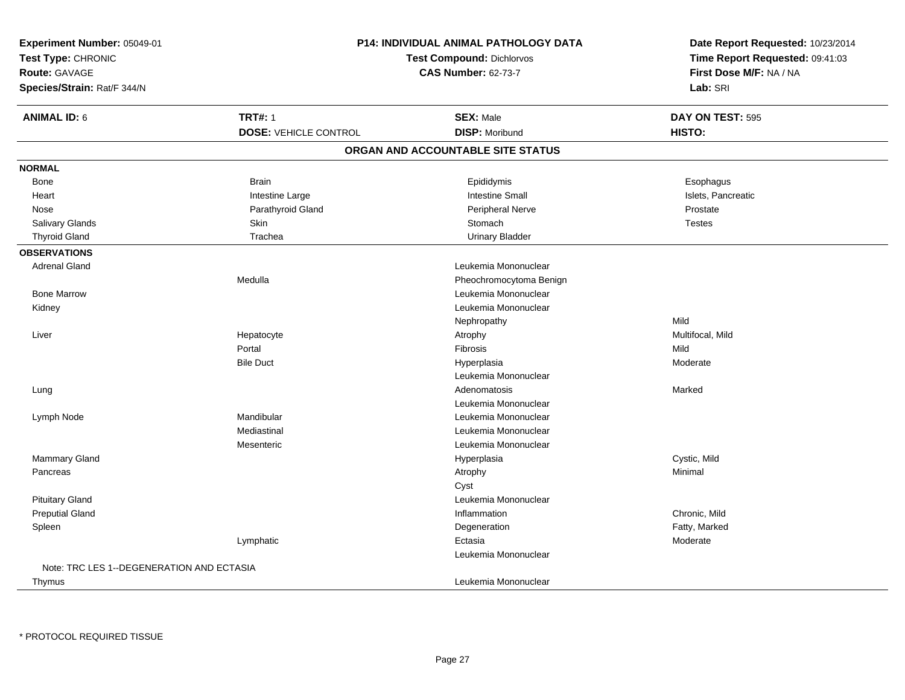| Experiment Number: 05049-01               |                              | <b>P14: INDIVIDUAL ANIMAL PATHOLOGY DATA</b> | Date Report Requested: 10/23/2014<br>Time Report Requested: 09:41:03<br>First Dose M/F: NA / NA |
|-------------------------------------------|------------------------------|----------------------------------------------|-------------------------------------------------------------------------------------------------|
| Test Type: CHRONIC                        |                              | <b>Test Compound: Dichlorvos</b>             |                                                                                                 |
| <b>Route: GAVAGE</b>                      |                              | <b>CAS Number: 62-73-7</b>                   |                                                                                                 |
| Species/Strain: Rat/F 344/N               |                              |                                              | Lab: SRI                                                                                        |
| <b>ANIMAL ID: 6</b>                       | <b>TRT#: 1</b>               | <b>SEX: Male</b>                             | DAY ON TEST: 595                                                                                |
|                                           | <b>DOSE: VEHICLE CONTROL</b> | <b>DISP: Moribund</b>                        | HISTO:                                                                                          |
|                                           |                              | ORGAN AND ACCOUNTABLE SITE STATUS            |                                                                                                 |
| <b>NORMAL</b>                             |                              |                                              |                                                                                                 |
| Bone                                      | <b>Brain</b>                 | Epididymis                                   | Esophagus                                                                                       |
| Heart                                     | Intestine Large              | <b>Intestine Small</b>                       | Islets, Pancreatic                                                                              |
| Nose                                      | Parathyroid Gland            | <b>Peripheral Nerve</b>                      | Prostate                                                                                        |
| Salivary Glands                           | Skin                         | Stomach                                      | <b>Testes</b>                                                                                   |
| <b>Thyroid Gland</b>                      | Trachea                      | <b>Urinary Bladder</b>                       |                                                                                                 |
| <b>OBSERVATIONS</b>                       |                              |                                              |                                                                                                 |
| <b>Adrenal Gland</b>                      |                              | Leukemia Mononuclear                         |                                                                                                 |
|                                           | Medulla                      | Pheochromocytoma Benign                      |                                                                                                 |
| <b>Bone Marrow</b>                        |                              | Leukemia Mononuclear                         |                                                                                                 |
| Kidney                                    |                              | Leukemia Mononuclear                         |                                                                                                 |
|                                           |                              | Nephropathy                                  | Mild                                                                                            |
| Liver                                     | Hepatocyte                   | Atrophy                                      | Multifocal, Mild                                                                                |
|                                           | Portal                       | Fibrosis                                     | Mild                                                                                            |
|                                           | <b>Bile Duct</b>             | Hyperplasia                                  | Moderate                                                                                        |
|                                           |                              | Leukemia Mononuclear                         |                                                                                                 |
| Lung                                      |                              | Adenomatosis                                 | Marked                                                                                          |
|                                           |                              | Leukemia Mononuclear                         |                                                                                                 |
| Lymph Node                                | Mandibular                   | Leukemia Mononuclear                         |                                                                                                 |
|                                           | Mediastinal                  | Leukemia Mononuclear                         |                                                                                                 |
|                                           | Mesenteric                   | Leukemia Mononuclear                         |                                                                                                 |
| <b>Mammary Gland</b>                      |                              | Hyperplasia                                  | Cystic, Mild                                                                                    |
| Pancreas                                  |                              | Atrophy                                      | Minimal                                                                                         |
|                                           |                              | Cyst                                         |                                                                                                 |
| <b>Pituitary Gland</b>                    |                              | Leukemia Mononuclear                         |                                                                                                 |
| <b>Preputial Gland</b>                    |                              | Inflammation                                 | Chronic, Mild                                                                                   |
| Spleen                                    |                              | Degeneration                                 | Fatty, Marked                                                                                   |
|                                           | Lymphatic                    | Ectasia                                      | Moderate                                                                                        |
|                                           |                              | Leukemia Mononuclear                         |                                                                                                 |
| Note: TRC LES 1--DEGENERATION AND ECTASIA |                              |                                              |                                                                                                 |
| Thymus                                    |                              | Leukemia Mononuclear                         |                                                                                                 |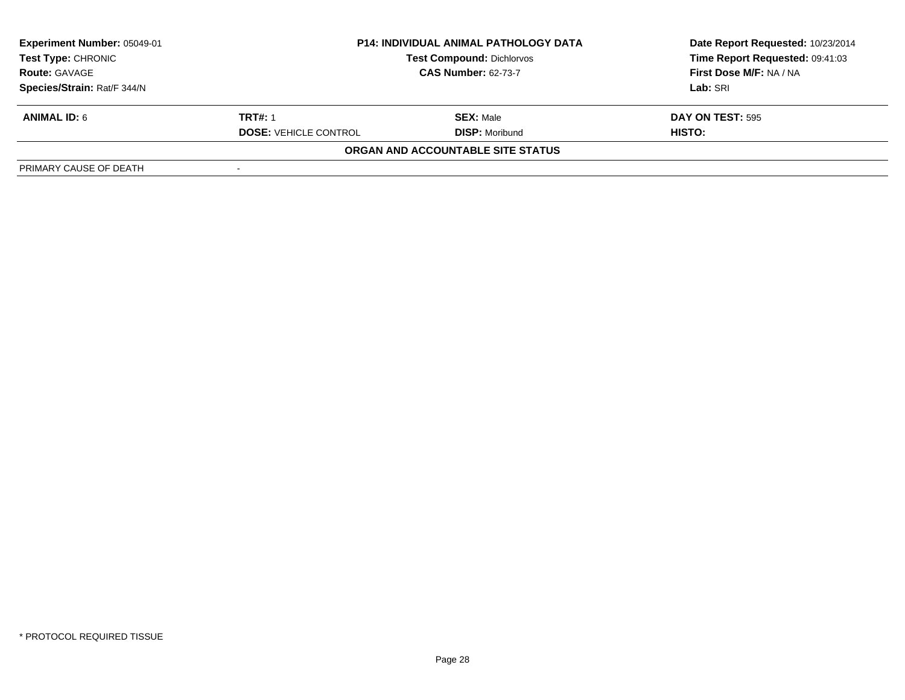| Experiment Number: 05049-01 |                              | <b>P14: INDIVIDUAL ANIMAL PATHOLOGY DATA</b> | Date Report Requested: 10/23/2014 |  |
|-----------------------------|------------------------------|----------------------------------------------|-----------------------------------|--|
| <b>Test Type: CHRONIC</b>   |                              | <b>Test Compound: Dichlorvos</b>             | Time Report Requested: 09:41:03   |  |
| <b>Route: GAVAGE</b>        | <b>CAS Number: 62-73-7</b>   |                                              | First Dose M/F: NA / NA           |  |
| Species/Strain: Rat/F 344/N |                              |                                              | Lab: SRI                          |  |
| <b>ANIMAL ID: 6</b>         | <b>TRT#: 1</b>               | <b>SEX: Male</b>                             | <b>DAY ON TEST: 595</b>           |  |
|                             | <b>DOSE: VEHICLE CONTROL</b> | <b>DISP:</b> Moribund                        | HISTO:                            |  |
|                             |                              | ORGAN AND ACCOUNTABLE SITE STATUS            |                                   |  |
| PRIMARY CAUSE OF DEATH      |                              |                                              |                                   |  |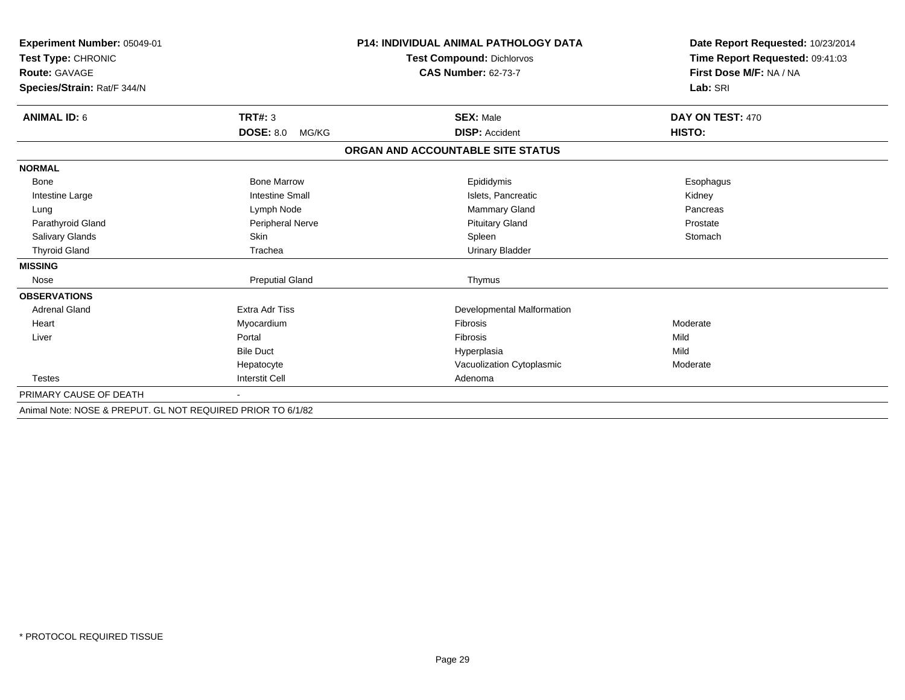| Experiment Number: 05049-01<br>Test Type: CHRONIC           |                           | <b>P14: INDIVIDUAL ANIMAL PATHOLOGY DATA</b> | Date Report Requested: 10/23/2014<br>Time Report Requested: 09:41:03 |
|-------------------------------------------------------------|---------------------------|----------------------------------------------|----------------------------------------------------------------------|
|                                                             |                           | <b>Test Compound: Dichlorvos</b>             |                                                                      |
| Route: GAVAGE                                               |                           | <b>CAS Number: 62-73-7</b>                   | First Dose M/F: NA / NA                                              |
| Species/Strain: Rat/F 344/N                                 |                           |                                              | Lab: SRI                                                             |
|                                                             |                           |                                              |                                                                      |
| <b>ANIMAL ID: 6</b>                                         | <b>TRT#: 3</b>            | <b>SEX: Male</b>                             | DAY ON TEST: 470                                                     |
|                                                             | <b>DOSE: 8.0</b><br>MG/KG | <b>DISP: Accident</b>                        | HISTO:                                                               |
|                                                             |                           | ORGAN AND ACCOUNTABLE SITE STATUS            |                                                                      |
| <b>NORMAL</b>                                               |                           |                                              |                                                                      |
| Bone                                                        | <b>Bone Marrow</b>        | Epididymis                                   | Esophagus                                                            |
| Intestine Large                                             | <b>Intestine Small</b>    | Islets, Pancreatic                           | Kidney                                                               |
| Lung                                                        | Lymph Node                | Mammary Gland                                | Pancreas                                                             |
| Parathyroid Gland                                           | Peripheral Nerve          | <b>Pituitary Gland</b>                       | Prostate                                                             |
| Salivary Glands                                             | Skin                      | Spleen                                       | Stomach                                                              |
| <b>Thyroid Gland</b>                                        | Trachea                   | <b>Urinary Bladder</b>                       |                                                                      |
| <b>MISSING</b>                                              |                           |                                              |                                                                      |
| Nose                                                        | <b>Preputial Gland</b>    | Thymus                                       |                                                                      |
| <b>OBSERVATIONS</b>                                         |                           |                                              |                                                                      |
| <b>Adrenal Gland</b>                                        | <b>Extra Adr Tiss</b>     | Developmental Malformation                   |                                                                      |
| Heart                                                       | Myocardium                | <b>Fibrosis</b>                              | Moderate                                                             |
| Liver                                                       | Portal                    | Fibrosis                                     | Mild                                                                 |
|                                                             | <b>Bile Duct</b>          | Hyperplasia                                  | Mild                                                                 |
|                                                             | Hepatocyte                | Vacuolization Cytoplasmic                    | Moderate                                                             |
| <b>Testes</b>                                               | <b>Interstit Cell</b>     | Adenoma                                      |                                                                      |
| PRIMARY CAUSE OF DEATH                                      |                           |                                              |                                                                      |
| Animal Note: NOSE & PREPUT, GL NOT REQUIRED PRIOR TO 6/1/82 |                           |                                              |                                                                      |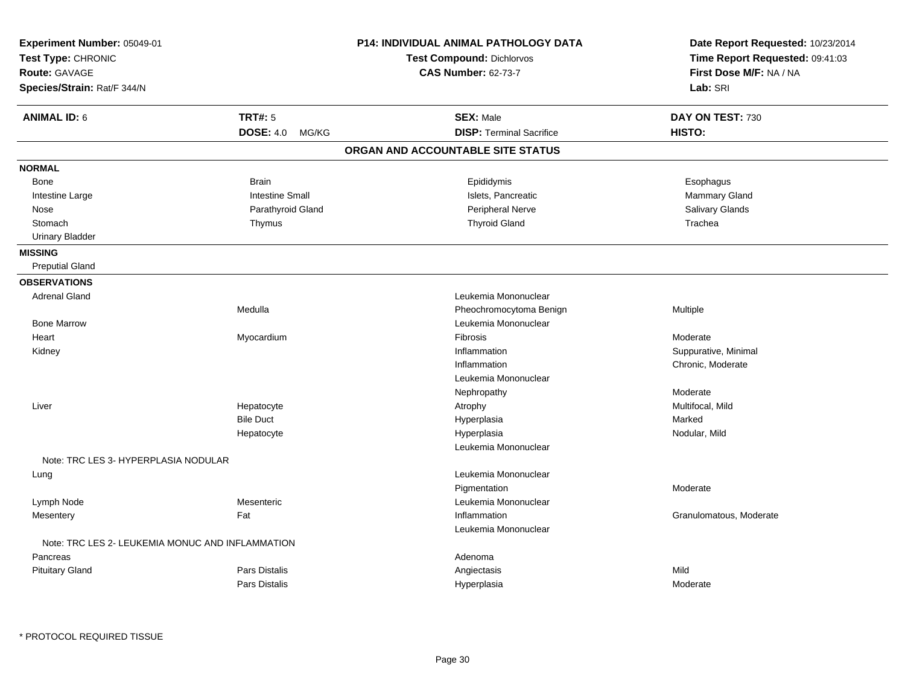| Experiment Number: 05049-01<br>Test Type: CHRONIC<br>Route: GAVAGE<br>Species/Strain: Rat/F 344/N |                        | <b>P14: INDIVIDUAL ANIMAL PATHOLOGY DATA</b><br>Test Compound: Dichlorvos<br><b>CAS Number: 62-73-7</b> | Date Report Requested: 10/23/2014<br>Time Report Requested: 09:41:03<br>First Dose M/F: NA / NA<br>Lab: SRI |
|---------------------------------------------------------------------------------------------------|------------------------|---------------------------------------------------------------------------------------------------------|-------------------------------------------------------------------------------------------------------------|
| <b>ANIMAL ID: 6</b>                                                                               | <b>TRT#: 5</b>         | <b>SEX: Male</b>                                                                                        | DAY ON TEST: 730                                                                                            |
|                                                                                                   | DOSE: 4.0 MG/KG        | <b>DISP: Terminal Sacrifice</b>                                                                         | HISTO:                                                                                                      |
|                                                                                                   |                        | ORGAN AND ACCOUNTABLE SITE STATUS                                                                       |                                                                                                             |
| <b>NORMAL</b>                                                                                     |                        |                                                                                                         |                                                                                                             |
| Bone                                                                                              | <b>Brain</b>           | Epididymis                                                                                              | Esophagus                                                                                                   |
| Intestine Large                                                                                   | <b>Intestine Small</b> | Islets, Pancreatic                                                                                      | Mammary Gland                                                                                               |
| Nose                                                                                              | Parathyroid Gland      | Peripheral Nerve                                                                                        | Salivary Glands                                                                                             |
| Stomach                                                                                           | Thymus                 | <b>Thyroid Gland</b>                                                                                    | Trachea                                                                                                     |
| <b>Urinary Bladder</b>                                                                            |                        |                                                                                                         |                                                                                                             |
| <b>MISSING</b>                                                                                    |                        |                                                                                                         |                                                                                                             |
| <b>Preputial Gland</b>                                                                            |                        |                                                                                                         |                                                                                                             |
| <b>OBSERVATIONS</b>                                                                               |                        |                                                                                                         |                                                                                                             |
| <b>Adrenal Gland</b>                                                                              |                        | Leukemia Mononuclear                                                                                    |                                                                                                             |
|                                                                                                   | Medulla                | Pheochromocytoma Benign                                                                                 | Multiple                                                                                                    |
| <b>Bone Marrow</b>                                                                                |                        | Leukemia Mononuclear                                                                                    |                                                                                                             |
| Heart                                                                                             | Myocardium             | Fibrosis                                                                                                | Moderate                                                                                                    |
| Kidney                                                                                            |                        | Inflammation                                                                                            | Suppurative, Minimal                                                                                        |
|                                                                                                   |                        | Inflammation                                                                                            | Chronic, Moderate                                                                                           |
|                                                                                                   |                        | Leukemia Mononuclear                                                                                    |                                                                                                             |
|                                                                                                   |                        | Nephropathy                                                                                             | Moderate                                                                                                    |
| Liver                                                                                             | Hepatocyte             | Atrophy                                                                                                 | Multifocal, Mild                                                                                            |
|                                                                                                   | <b>Bile Duct</b>       | Hyperplasia                                                                                             | Marked                                                                                                      |
|                                                                                                   | Hepatocyte             | Hyperplasia                                                                                             | Nodular, Mild                                                                                               |
|                                                                                                   |                        | Leukemia Mononuclear                                                                                    |                                                                                                             |
| Note: TRC LES 3- HYPERPLASIA NODULAR                                                              |                        |                                                                                                         |                                                                                                             |
| Lung                                                                                              |                        | Leukemia Mononuclear                                                                                    |                                                                                                             |
|                                                                                                   |                        | Pigmentation                                                                                            | Moderate                                                                                                    |
| Lymph Node                                                                                        | Mesenteric             | Leukemia Mononuclear                                                                                    |                                                                                                             |
| Mesentery                                                                                         | Fat                    | Inflammation                                                                                            | Granulomatous, Moderate                                                                                     |
|                                                                                                   |                        | Leukemia Mononuclear                                                                                    |                                                                                                             |
| Note: TRC LES 2- LEUKEMIA MONUC AND INFLAMMATION                                                  |                        |                                                                                                         |                                                                                                             |
| Pancreas                                                                                          |                        | Adenoma                                                                                                 |                                                                                                             |
| <b>Pituitary Gland</b>                                                                            | Pars Distalis          | Angiectasis                                                                                             | Mild                                                                                                        |
|                                                                                                   | <b>Pars Distalis</b>   | Hyperplasia                                                                                             | Moderate                                                                                                    |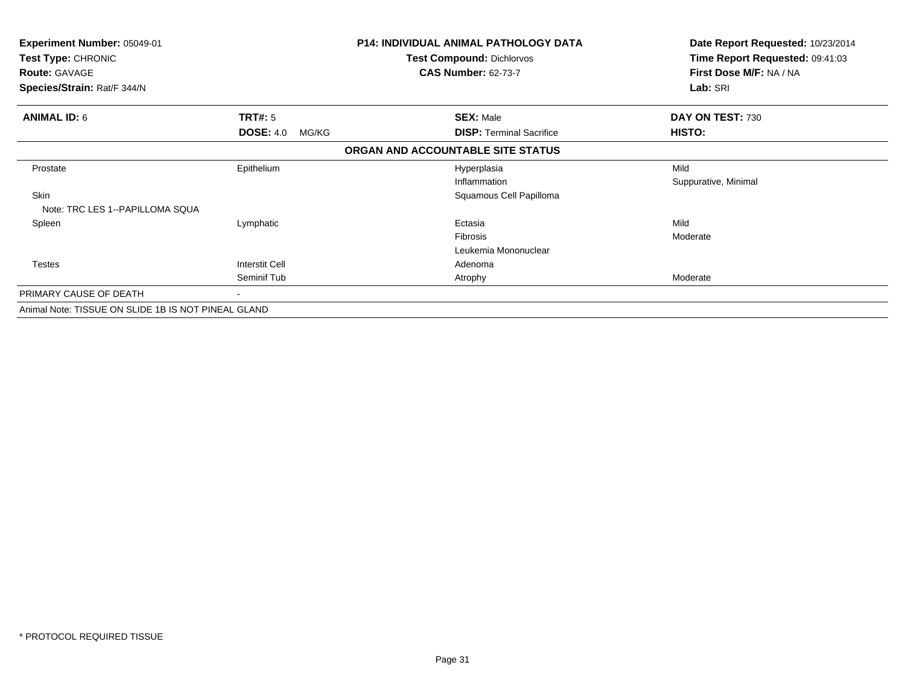| <b>Experiment Number: 05049-01</b><br>Test Type: CHRONIC<br><b>Route: GAVAGE</b><br>Species/Strain: Rat/F 344/N |                           | <b>P14: INDIVIDUAL ANIMAL PATHOLOGY DATA</b><br><b>Test Compound: Dichlorvos</b><br><b>CAS Number: 62-73-7</b> |                                 | Date Report Requested: 10/23/2014<br>Time Report Requested: 09:41:03<br>First Dose M/F: NA / NA<br>Lab: SRI |
|-----------------------------------------------------------------------------------------------------------------|---------------------------|----------------------------------------------------------------------------------------------------------------|---------------------------------|-------------------------------------------------------------------------------------------------------------|
|                                                                                                                 |                           |                                                                                                                |                                 |                                                                                                             |
| <b>ANIMAL ID: 6</b>                                                                                             | <b>TRT#: 5</b>            |                                                                                                                | <b>SEX: Male</b>                | DAY ON TEST: 730                                                                                            |
|                                                                                                                 | <b>DOSE: 4.0</b><br>MG/KG |                                                                                                                | <b>DISP:</b> Terminal Sacrifice | HISTO:                                                                                                      |
|                                                                                                                 |                           | ORGAN AND ACCOUNTABLE SITE STATUS                                                                              |                                 |                                                                                                             |
| Prostate                                                                                                        | Epithelium                |                                                                                                                | Hyperplasia                     | Mild                                                                                                        |
|                                                                                                                 |                           |                                                                                                                | Inflammation                    | Suppurative, Minimal                                                                                        |
| Skin                                                                                                            |                           |                                                                                                                | Squamous Cell Papilloma         |                                                                                                             |
| Note: TRC LES 1--PAPILLOMA SQUA                                                                                 |                           |                                                                                                                |                                 |                                                                                                             |
| Spleen                                                                                                          | Lymphatic                 |                                                                                                                | Ectasia                         | Mild                                                                                                        |
|                                                                                                                 |                           |                                                                                                                | Fibrosis                        | Moderate                                                                                                    |
|                                                                                                                 |                           |                                                                                                                | Leukemia Mononuclear            |                                                                                                             |
| <b>Testes</b>                                                                                                   | <b>Interstit Cell</b>     |                                                                                                                | Adenoma                         |                                                                                                             |
|                                                                                                                 | Seminif Tub               |                                                                                                                | Atrophy                         | Moderate                                                                                                    |
| PRIMARY CAUSE OF DEATH                                                                                          |                           |                                                                                                                |                                 |                                                                                                             |
| Animal Note: TISSUE ON SLIDE 1B IS NOT PINEAL GLAND                                                             |                           |                                                                                                                |                                 |                                                                                                             |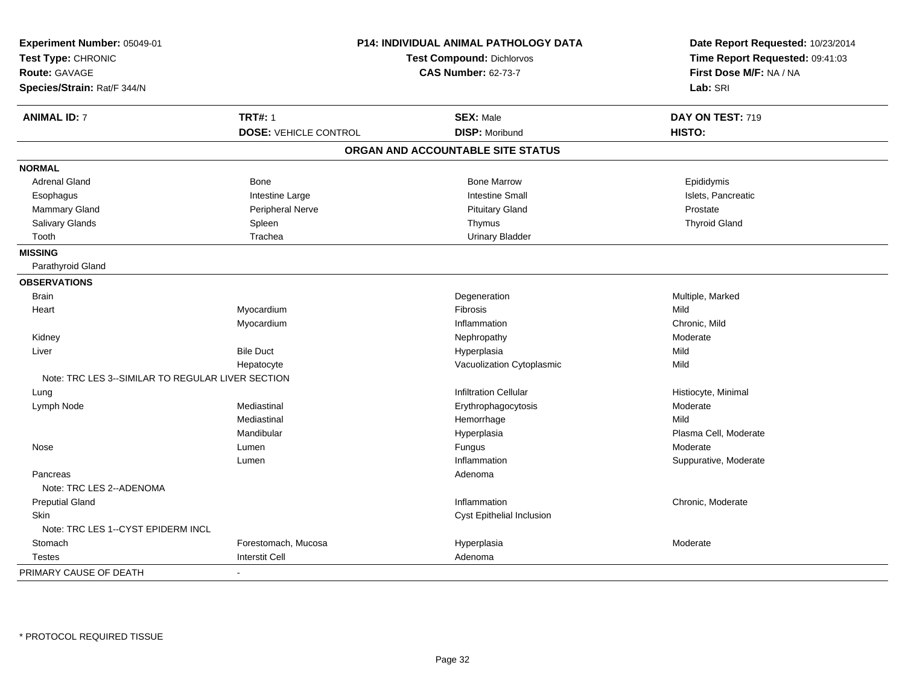| Experiment Number: 05049-01<br>Test Type: CHRONIC<br><b>Route: GAVAGE</b><br>Species/Strain: Rat/F 344/N |                              | P14: INDIVIDUAL ANIMAL PATHOLOGY DATA<br><b>Test Compound: Dichlorvos</b><br><b>CAS Number: 62-73-7</b> | Date Report Requested: 10/23/2014<br>Time Report Requested: 09:41:03<br>First Dose M/F: NA / NA<br>Lab: SRI |  |
|----------------------------------------------------------------------------------------------------------|------------------------------|---------------------------------------------------------------------------------------------------------|-------------------------------------------------------------------------------------------------------------|--|
| <b>ANIMAL ID: 7</b>                                                                                      | <b>TRT#: 1</b>               | <b>SEX: Male</b>                                                                                        | DAY ON TEST: 719                                                                                            |  |
|                                                                                                          | <b>DOSE: VEHICLE CONTROL</b> | <b>DISP: Moribund</b>                                                                                   | HISTO:                                                                                                      |  |
|                                                                                                          |                              | ORGAN AND ACCOUNTABLE SITE STATUS                                                                       |                                                                                                             |  |
| <b>NORMAL</b>                                                                                            |                              |                                                                                                         |                                                                                                             |  |
| <b>Adrenal Gland</b>                                                                                     | <b>Bone</b>                  | <b>Bone Marrow</b>                                                                                      | Epididymis                                                                                                  |  |
| Esophagus                                                                                                | Intestine Large              | <b>Intestine Small</b>                                                                                  | Islets, Pancreatic                                                                                          |  |
| <b>Mammary Gland</b>                                                                                     | Peripheral Nerve             | <b>Pituitary Gland</b>                                                                                  | Prostate                                                                                                    |  |
| Salivary Glands                                                                                          | Spleen                       | Thymus                                                                                                  | <b>Thyroid Gland</b>                                                                                        |  |
| Tooth                                                                                                    | Trachea                      | <b>Urinary Bladder</b>                                                                                  |                                                                                                             |  |
| <b>MISSING</b>                                                                                           |                              |                                                                                                         |                                                                                                             |  |
| Parathyroid Gland                                                                                        |                              |                                                                                                         |                                                                                                             |  |
| <b>OBSERVATIONS</b>                                                                                      |                              |                                                                                                         |                                                                                                             |  |
| <b>Brain</b>                                                                                             |                              | Degeneration                                                                                            | Multiple, Marked                                                                                            |  |
| Heart                                                                                                    | Myocardium                   | Fibrosis                                                                                                | Mild                                                                                                        |  |
|                                                                                                          | Myocardium                   | Inflammation                                                                                            | Chronic, Mild                                                                                               |  |
| Kidney                                                                                                   |                              | Nephropathy                                                                                             | Moderate                                                                                                    |  |
| Liver                                                                                                    | <b>Bile Duct</b>             | Hyperplasia                                                                                             | Mild                                                                                                        |  |
|                                                                                                          | Hepatocyte                   | Vacuolization Cytoplasmic                                                                               | Mild                                                                                                        |  |
| Note: TRC LES 3--SIMILAR TO REGULAR LIVER SECTION                                                        |                              |                                                                                                         |                                                                                                             |  |
| Lung                                                                                                     |                              | <b>Infiltration Cellular</b>                                                                            | Histiocyte, Minimal                                                                                         |  |
| Lymph Node                                                                                               | Mediastinal                  | Erythrophagocytosis                                                                                     | Moderate                                                                                                    |  |
|                                                                                                          | Mediastinal                  | Hemorrhage                                                                                              | Mild                                                                                                        |  |
|                                                                                                          | Mandibular                   | Hyperplasia                                                                                             | Plasma Cell, Moderate                                                                                       |  |
| Nose                                                                                                     | Lumen                        | Fungus                                                                                                  | Moderate                                                                                                    |  |
|                                                                                                          | Lumen                        | Inflammation                                                                                            | Suppurative, Moderate                                                                                       |  |
| Pancreas<br>Note: TRC LES 2--ADENOMA                                                                     |                              | Adenoma                                                                                                 |                                                                                                             |  |
| <b>Preputial Gland</b>                                                                                   |                              | Inflammation                                                                                            | Chronic, Moderate                                                                                           |  |
| <b>Skin</b>                                                                                              |                              | Cyst Epithelial Inclusion                                                                               |                                                                                                             |  |
| Note: TRC LES 1--CYST EPIDERM INCL                                                                       |                              |                                                                                                         |                                                                                                             |  |
| Stomach                                                                                                  | Forestomach, Mucosa          | Hyperplasia                                                                                             | Moderate                                                                                                    |  |
| <b>Testes</b>                                                                                            | <b>Interstit Cell</b>        | Adenoma                                                                                                 |                                                                                                             |  |
| PRIMARY CAUSE OF DEATH                                                                                   | $\sim$                       |                                                                                                         |                                                                                                             |  |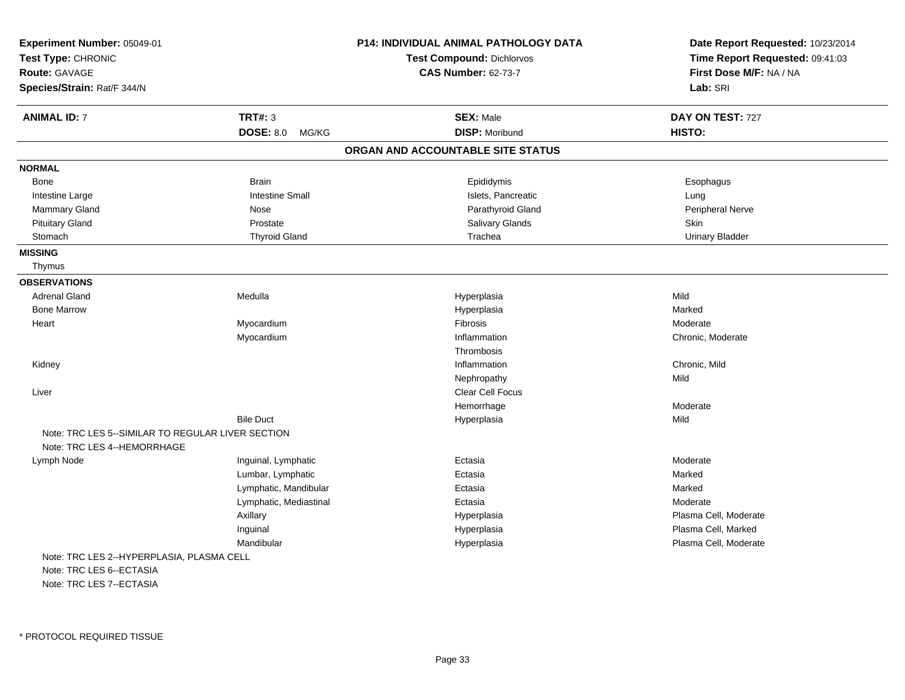| Experiment Number: 05049-01<br>Test Type: CHRONIC<br>Route: GAVAGE<br>Species/Strain: Rat/F 344/N |                           | P14: INDIVIDUAL ANIMAL PATHOLOGY DATA<br><b>Test Compound: Dichlorvos</b><br><b>CAS Number: 62-73-7</b> | Date Report Requested: 10/23/2014<br>Time Report Requested: 09:41:03<br>First Dose M/F: NA / NA<br>Lab: SRI |
|---------------------------------------------------------------------------------------------------|---------------------------|---------------------------------------------------------------------------------------------------------|-------------------------------------------------------------------------------------------------------------|
| <b>ANIMAL ID: 7</b>                                                                               | <b>TRT#: 3</b>            | <b>SEX: Male</b>                                                                                        | DAY ON TEST: 727                                                                                            |
|                                                                                                   | <b>DOSE: 8.0</b><br>MG/KG | <b>DISP: Moribund</b>                                                                                   | HISTO:                                                                                                      |
|                                                                                                   |                           | ORGAN AND ACCOUNTABLE SITE STATUS                                                                       |                                                                                                             |
| <b>NORMAL</b>                                                                                     |                           |                                                                                                         |                                                                                                             |
| Bone                                                                                              | <b>Brain</b>              | Epididymis                                                                                              | Esophagus                                                                                                   |
| Intestine Large                                                                                   | <b>Intestine Small</b>    | Islets, Pancreatic                                                                                      | Lung                                                                                                        |
| Mammary Gland                                                                                     | Nose                      | Parathyroid Gland                                                                                       | Peripheral Nerve                                                                                            |
| <b>Pituitary Gland</b>                                                                            | Prostate                  | Salivary Glands                                                                                         | Skin                                                                                                        |
| Stomach                                                                                           | <b>Thyroid Gland</b>      | Trachea                                                                                                 | <b>Urinary Bladder</b>                                                                                      |
| <b>MISSING</b>                                                                                    |                           |                                                                                                         |                                                                                                             |
| Thymus                                                                                            |                           |                                                                                                         |                                                                                                             |
| <b>OBSERVATIONS</b>                                                                               |                           |                                                                                                         |                                                                                                             |
| <b>Adrenal Gland</b>                                                                              | Medulla                   | Hyperplasia                                                                                             | Mild                                                                                                        |
| <b>Bone Marrow</b>                                                                                |                           | Hyperplasia                                                                                             | Marked                                                                                                      |
| Heart                                                                                             | Myocardium                | Fibrosis                                                                                                | Moderate                                                                                                    |
|                                                                                                   | Myocardium                | Inflammation                                                                                            | Chronic, Moderate                                                                                           |
|                                                                                                   |                           | Thrombosis                                                                                              |                                                                                                             |
| Kidney                                                                                            |                           | Inflammation                                                                                            | Chronic, Mild                                                                                               |
|                                                                                                   |                           | Nephropathy                                                                                             | Mild                                                                                                        |
| Liver                                                                                             |                           | <b>Clear Cell Focus</b>                                                                                 |                                                                                                             |
|                                                                                                   |                           | Hemorrhage                                                                                              | Moderate                                                                                                    |
|                                                                                                   | <b>Bile Duct</b>          | Hyperplasia                                                                                             | Mild                                                                                                        |
| Note: TRC LES 5--SIMILAR TO REGULAR LIVER SECTION                                                 |                           |                                                                                                         |                                                                                                             |
| Note: TRC LES 4--HEMORRHAGE                                                                       |                           |                                                                                                         |                                                                                                             |
| Lymph Node                                                                                        | Inguinal, Lymphatic       | Ectasia                                                                                                 | Moderate                                                                                                    |
|                                                                                                   | Lumbar, Lymphatic         | Ectasia                                                                                                 | Marked                                                                                                      |
|                                                                                                   | Lymphatic, Mandibular     | Ectasia                                                                                                 | Marked                                                                                                      |
|                                                                                                   | Lymphatic, Mediastinal    | Ectasia                                                                                                 | Moderate                                                                                                    |
|                                                                                                   | Axillary                  | Hyperplasia                                                                                             | Plasma Cell, Moderate                                                                                       |
|                                                                                                   | Inguinal                  | Hyperplasia                                                                                             | Plasma Cell, Marked                                                                                         |
|                                                                                                   | Mandibular                | Hyperplasia                                                                                             | Plasma Cell, Moderate                                                                                       |
| Note: TRC LES 2--HYPERPLASIA, PLASMA CELL                                                         |                           |                                                                                                         |                                                                                                             |
| Note: TRC LES 6--ECTASIA                                                                          |                           |                                                                                                         |                                                                                                             |
| Note: TRC LES 7--ECTASIA                                                                          |                           |                                                                                                         |                                                                                                             |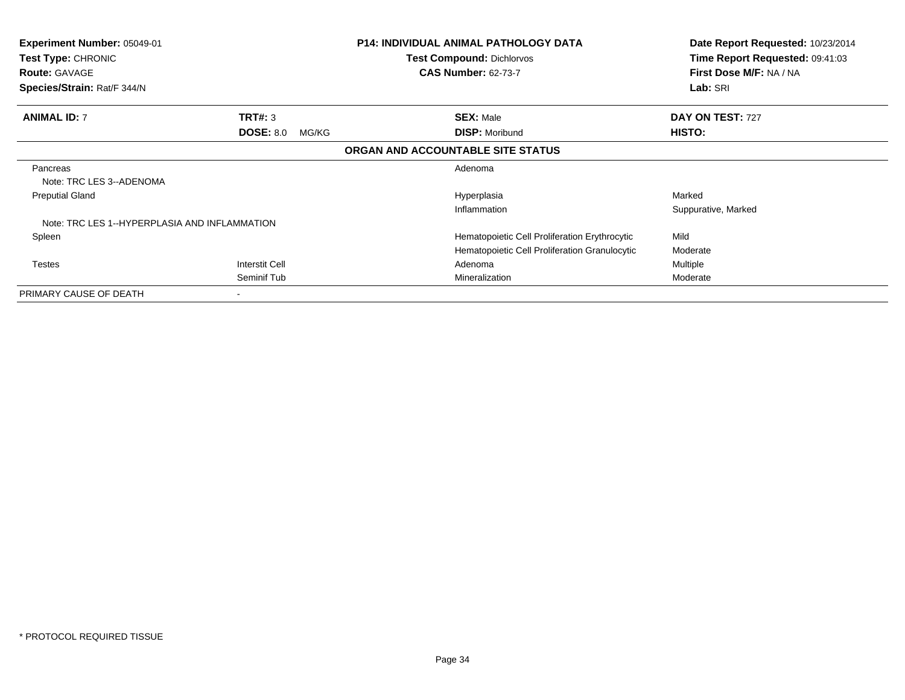| Experiment Number: 05049-01<br>Test Type: CHRONIC<br><b>Route: GAVAGE</b><br>Species/Strain: Rat/F 344/N |                           | P14: INDIVIDUAL ANIMAL PATHOLOGY DATA<br><b>Test Compound: Dichlorvos</b><br><b>CAS Number: 62-73-7</b> | Date Report Requested: 10/23/2014<br>Time Report Requested: 09:41:03<br>First Dose M/F: NA / NA<br>Lab: SRI |
|----------------------------------------------------------------------------------------------------------|---------------------------|---------------------------------------------------------------------------------------------------------|-------------------------------------------------------------------------------------------------------------|
| <b>ANIMAL ID: 7</b>                                                                                      | TRT#: 3                   | <b>SEX: Male</b>                                                                                        | DAY ON TEST: 727                                                                                            |
|                                                                                                          | <b>DOSE: 8.0</b><br>MG/KG | <b>DISP: Moribund</b>                                                                                   | HISTO:                                                                                                      |
|                                                                                                          |                           | ORGAN AND ACCOUNTABLE SITE STATUS                                                                       |                                                                                                             |
| Pancreas                                                                                                 |                           | Adenoma                                                                                                 |                                                                                                             |
| Note: TRC LES 3--ADENOMA                                                                                 |                           |                                                                                                         |                                                                                                             |
| <b>Preputial Gland</b>                                                                                   |                           | Hyperplasia                                                                                             | Marked                                                                                                      |
| Note: TRC LES 1--HYPERPLASIA AND INFLAMMATION                                                            |                           | Inflammation                                                                                            | Suppurative, Marked                                                                                         |
| Spleen                                                                                                   |                           | Hematopoietic Cell Proliferation Erythrocytic                                                           | Mild                                                                                                        |
|                                                                                                          |                           | Hematopoietic Cell Proliferation Granulocytic                                                           | Moderate                                                                                                    |
| <b>Testes</b>                                                                                            | <b>Interstit Cell</b>     | Adenoma                                                                                                 | Multiple                                                                                                    |
|                                                                                                          | Seminif Tub               | Mineralization                                                                                          | Moderate                                                                                                    |
| PRIMARY CAUSE OF DEATH                                                                                   |                           |                                                                                                         |                                                                                                             |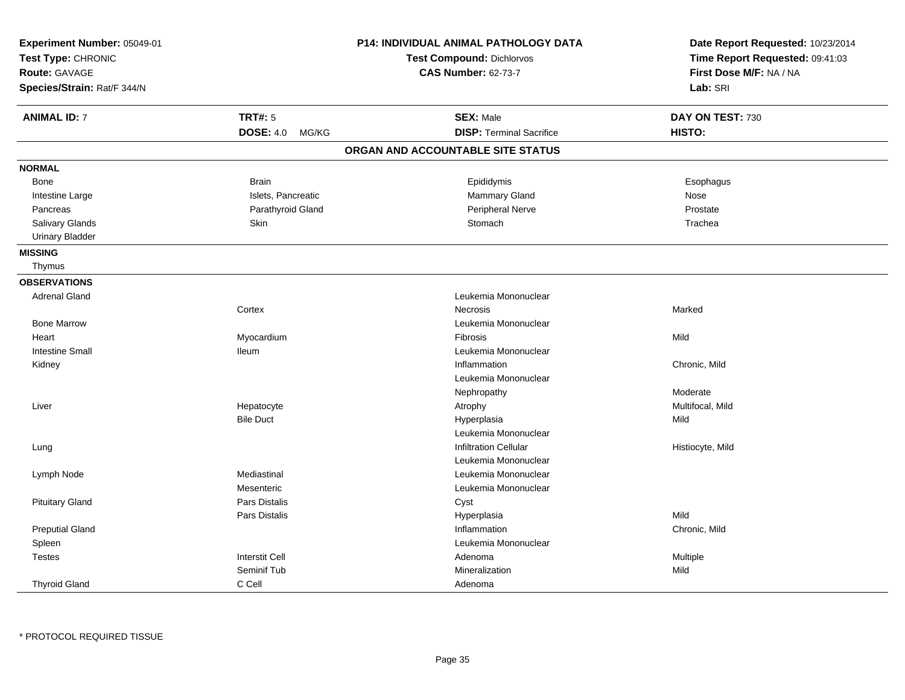| Experiment Number: 05049-01<br>Test Type: CHRONIC<br>Route: GAVAGE<br>Species/Strain: Rat/F 344/N |                           | P14: INDIVIDUAL ANIMAL PATHOLOGY DATA<br>Test Compound: Dichlorvos<br><b>CAS Number: 62-73-7</b> | Date Report Requested: 10/23/2014<br>Time Report Requested: 09:41:03<br>First Dose M/F: NA / NA<br>Lab: SRI |
|---------------------------------------------------------------------------------------------------|---------------------------|--------------------------------------------------------------------------------------------------|-------------------------------------------------------------------------------------------------------------|
| <b>ANIMAL ID: 7</b>                                                                               | <b>TRT#: 5</b>            | <b>SEX: Male</b>                                                                                 | DAY ON TEST: 730                                                                                            |
|                                                                                                   | <b>DOSE: 4.0</b><br>MG/KG | <b>DISP: Terminal Sacrifice</b>                                                                  | HISTO:                                                                                                      |
|                                                                                                   |                           | ORGAN AND ACCOUNTABLE SITE STATUS                                                                |                                                                                                             |
| <b>NORMAL</b>                                                                                     |                           |                                                                                                  |                                                                                                             |
| Bone                                                                                              | <b>Brain</b>              | Epididymis                                                                                       | Esophagus                                                                                                   |
| Intestine Large                                                                                   | Islets, Pancreatic        | Mammary Gland                                                                                    | Nose                                                                                                        |
| Pancreas                                                                                          | Parathyroid Gland         | Peripheral Nerve                                                                                 | Prostate                                                                                                    |
| <b>Salivary Glands</b>                                                                            | Skin                      | Stomach                                                                                          | Trachea                                                                                                     |
| <b>Urinary Bladder</b>                                                                            |                           |                                                                                                  |                                                                                                             |
| <b>MISSING</b>                                                                                    |                           |                                                                                                  |                                                                                                             |
| Thymus                                                                                            |                           |                                                                                                  |                                                                                                             |
| <b>OBSERVATIONS</b>                                                                               |                           |                                                                                                  |                                                                                                             |
| <b>Adrenal Gland</b>                                                                              |                           | Leukemia Mononuclear                                                                             |                                                                                                             |
|                                                                                                   | Cortex                    | Necrosis                                                                                         | Marked                                                                                                      |
| <b>Bone Marrow</b>                                                                                |                           | Leukemia Mononuclear                                                                             |                                                                                                             |
| Heart                                                                                             | Myocardium                | <b>Fibrosis</b>                                                                                  | Mild                                                                                                        |
| <b>Intestine Small</b>                                                                            | <b>Ileum</b>              | Leukemia Mononuclear                                                                             |                                                                                                             |
| Kidney                                                                                            |                           | Inflammation                                                                                     | Chronic, Mild                                                                                               |
|                                                                                                   |                           | Leukemia Mononuclear                                                                             |                                                                                                             |
|                                                                                                   |                           | Nephropathy                                                                                      | Moderate                                                                                                    |
| Liver                                                                                             | Hepatocyte                | Atrophy                                                                                          | Multifocal, Mild                                                                                            |
|                                                                                                   | <b>Bile Duct</b>          | Hyperplasia                                                                                      | Mild                                                                                                        |
|                                                                                                   |                           | Leukemia Mononuclear                                                                             |                                                                                                             |
| Lung                                                                                              |                           | <b>Infiltration Cellular</b>                                                                     | Histiocyte, Mild                                                                                            |
|                                                                                                   |                           | Leukemia Mononuclear                                                                             |                                                                                                             |
| Lymph Node                                                                                        | Mediastinal               | Leukemia Mononuclear                                                                             |                                                                                                             |
|                                                                                                   | Mesenteric                | Leukemia Mononuclear                                                                             |                                                                                                             |
| <b>Pituitary Gland</b>                                                                            | <b>Pars Distalis</b>      | Cyst                                                                                             |                                                                                                             |
|                                                                                                   | Pars Distalis             | Hyperplasia                                                                                      | Mild                                                                                                        |
| <b>Preputial Gland</b>                                                                            |                           | Inflammation                                                                                     | Chronic, Mild                                                                                               |
| Spleen                                                                                            |                           | Leukemia Mononuclear                                                                             |                                                                                                             |
| <b>Testes</b>                                                                                     | <b>Interstit Cell</b>     | Adenoma                                                                                          | Multiple                                                                                                    |
|                                                                                                   | Seminif Tub               | Mineralization                                                                                   | Mild                                                                                                        |
| <b>Thyroid Gland</b>                                                                              | C Cell                    | Adenoma                                                                                          |                                                                                                             |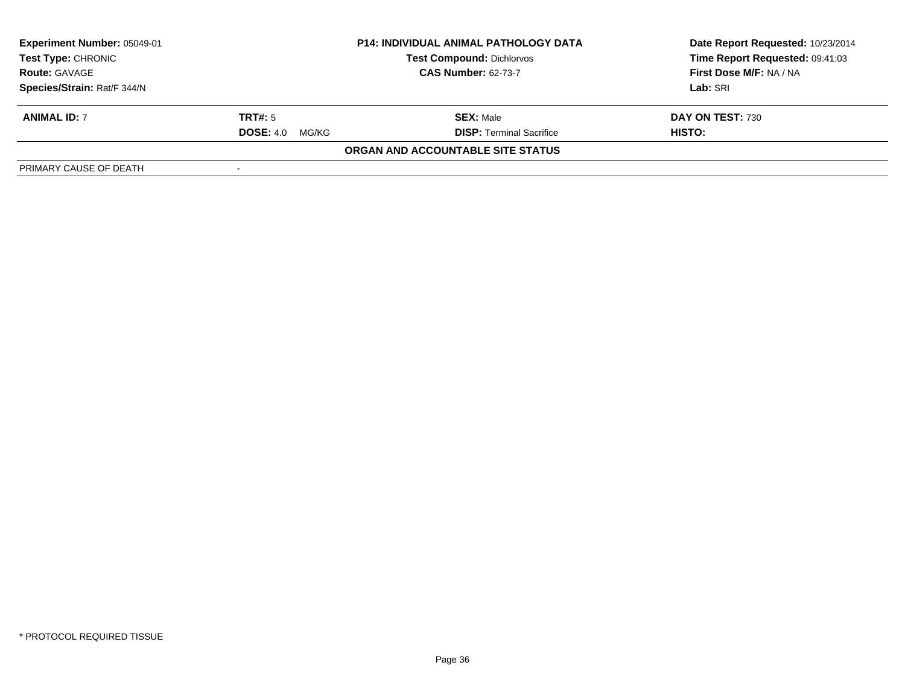| <b>Experiment Number: 05049-01</b><br>Test Type: CHRONIC<br><b>Route: GAVAGE</b> | <b>P14: INDIVIDUAL ANIMAL PATHOLOGY DATA</b><br><b>Test Compound: Dichlorvos</b><br><b>CAS Number: 62-73-7</b> |                                                     | Date Report Requested: 10/23/2014<br>Time Report Requested: 09:41:03<br>First Dose M/F: NA / NA<br>Lab: SRI |
|----------------------------------------------------------------------------------|----------------------------------------------------------------------------------------------------------------|-----------------------------------------------------|-------------------------------------------------------------------------------------------------------------|
| Species/Strain: Rat/F 344/N<br><b>ANIMAL ID: 7</b>                               | TRT#: 5<br><b>DOSE: 4.0</b><br>MG/KG                                                                           | <b>SEX: Male</b><br><b>DISP:</b> Terminal Sacrifice | DAY ON TEST: 730<br>HISTO:                                                                                  |
| PRIMARY CAUSE OF DEATH                                                           |                                                                                                                | ORGAN AND ACCOUNTABLE SITE STATUS                   |                                                                                                             |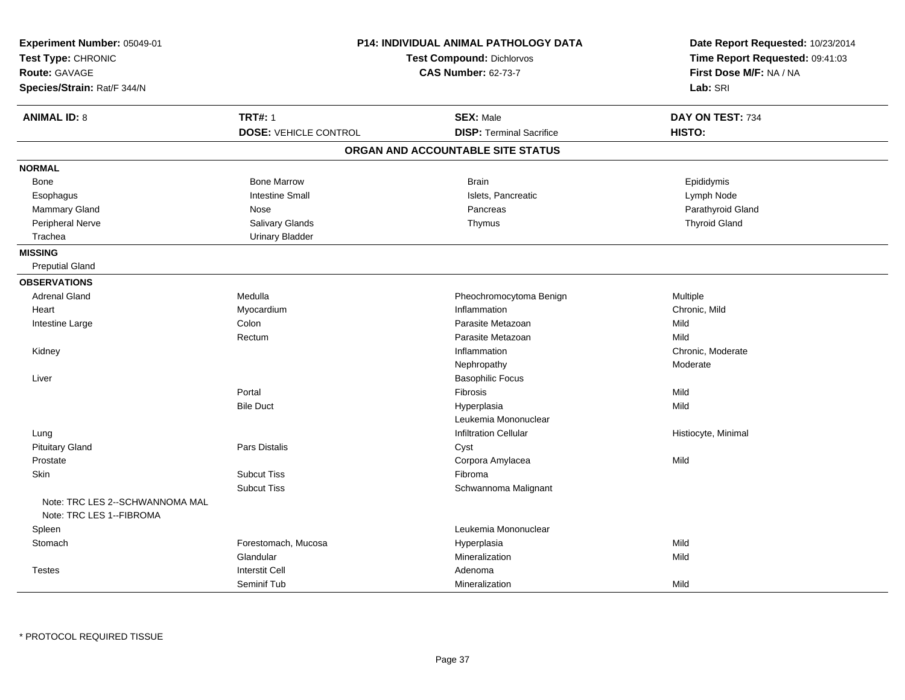| Experiment Number: 05049-01<br>Test Type: CHRONIC<br>Route: GAVAGE<br>Species/Strain: Rat/F 344/N |                              | P14: INDIVIDUAL ANIMAL PATHOLOGY DATA<br><b>Test Compound: Dichlorvos</b><br><b>CAS Number: 62-73-7</b> | Date Report Requested: 10/23/2014<br>Time Report Requested: 09:41:03<br>First Dose M/F: NA / NA<br>Lab: SRI |
|---------------------------------------------------------------------------------------------------|------------------------------|---------------------------------------------------------------------------------------------------------|-------------------------------------------------------------------------------------------------------------|
| <b>ANIMAL ID: 8</b>                                                                               | <b>TRT#: 1</b>               | <b>SEX: Male</b>                                                                                        | DAY ON TEST: 734                                                                                            |
|                                                                                                   | <b>DOSE: VEHICLE CONTROL</b> | <b>DISP: Terminal Sacrifice</b>                                                                         | HISTO:                                                                                                      |
|                                                                                                   |                              | ORGAN AND ACCOUNTABLE SITE STATUS                                                                       |                                                                                                             |
| <b>NORMAL</b>                                                                                     |                              |                                                                                                         |                                                                                                             |
| Bone                                                                                              | <b>Bone Marrow</b>           | <b>Brain</b>                                                                                            | Epididymis                                                                                                  |
| Esophagus                                                                                         | <b>Intestine Small</b>       | Islets, Pancreatic                                                                                      | Lymph Node                                                                                                  |
| Mammary Gland                                                                                     | Nose                         | Pancreas                                                                                                | Parathyroid Gland                                                                                           |
| Peripheral Nerve                                                                                  | <b>Salivary Glands</b>       | Thymus                                                                                                  | <b>Thyroid Gland</b>                                                                                        |
| Trachea                                                                                           | <b>Urinary Bladder</b>       |                                                                                                         |                                                                                                             |
| <b>MISSING</b>                                                                                    |                              |                                                                                                         |                                                                                                             |
| <b>Preputial Gland</b>                                                                            |                              |                                                                                                         |                                                                                                             |
| <b>OBSERVATIONS</b>                                                                               |                              |                                                                                                         |                                                                                                             |
| <b>Adrenal Gland</b>                                                                              | Medulla                      | Pheochromocytoma Benign                                                                                 | Multiple                                                                                                    |
| Heart                                                                                             | Myocardium                   | Inflammation                                                                                            | Chronic, Mild                                                                                               |
| Intestine Large                                                                                   | Colon                        | Parasite Metazoan                                                                                       | Mild                                                                                                        |
|                                                                                                   | Rectum                       | Parasite Metazoan                                                                                       | Mild                                                                                                        |
| Kidney                                                                                            |                              | Inflammation                                                                                            | Chronic, Moderate                                                                                           |
|                                                                                                   |                              | Nephropathy                                                                                             | Moderate                                                                                                    |
| Liver                                                                                             |                              | <b>Basophilic Focus</b>                                                                                 |                                                                                                             |
|                                                                                                   | Portal                       | Fibrosis                                                                                                | Mild                                                                                                        |
|                                                                                                   | <b>Bile Duct</b>             | Hyperplasia                                                                                             | Mild                                                                                                        |
|                                                                                                   |                              | Leukemia Mononuclear                                                                                    |                                                                                                             |
| Lung                                                                                              |                              | <b>Infiltration Cellular</b>                                                                            | Histiocyte, Minimal                                                                                         |
| <b>Pituitary Gland</b>                                                                            | Pars Distalis                | Cyst                                                                                                    |                                                                                                             |
| Prostate                                                                                          |                              | Corpora Amylacea                                                                                        | Mild                                                                                                        |
| Skin                                                                                              | <b>Subcut Tiss</b>           | Fibroma                                                                                                 |                                                                                                             |
|                                                                                                   | <b>Subcut Tiss</b>           | Schwannoma Malignant                                                                                    |                                                                                                             |
| Note: TRC LES 2--SCHWANNOMA MAL                                                                   |                              |                                                                                                         |                                                                                                             |
| Note: TRC LES 1--FIBROMA                                                                          |                              |                                                                                                         |                                                                                                             |
| Spleen                                                                                            |                              | Leukemia Mononuclear                                                                                    |                                                                                                             |
| Stomach                                                                                           | Forestomach, Mucosa          | Hyperplasia                                                                                             | Mild                                                                                                        |
|                                                                                                   | Glandular                    | Mineralization                                                                                          | Mild                                                                                                        |
| <b>Testes</b>                                                                                     | <b>Interstit Cell</b>        | Adenoma                                                                                                 |                                                                                                             |
|                                                                                                   | Seminif Tub                  | Mineralization                                                                                          | Mild                                                                                                        |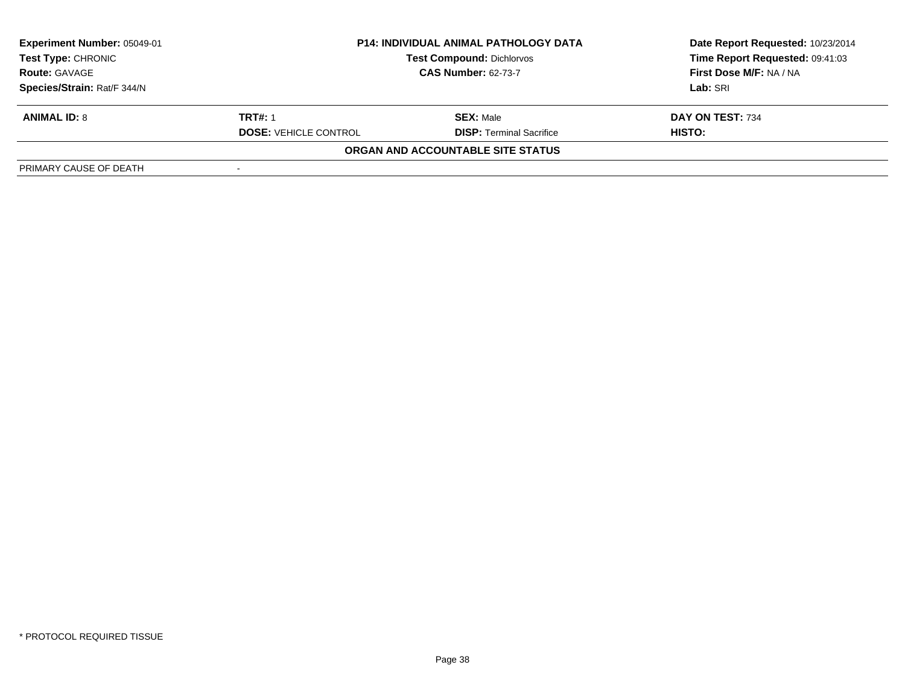| <b>Experiment Number: 05049-01</b><br>Test Type: CHRONIC<br><b>Route: GAVAGE</b> | <b>P14: INDIVIDUAL ANIMAL PATHOLOGY DATA</b><br><b>Test Compound: Dichlorvos</b><br><b>CAS Number: 62-73-7</b> |                                   | Date Report Requested: 10/23/2014<br>Time Report Requested: 09:41:03<br>First Dose M/F: NA / NA |  |
|----------------------------------------------------------------------------------|----------------------------------------------------------------------------------------------------------------|-----------------------------------|-------------------------------------------------------------------------------------------------|--|
| Species/Strain: Rat/F 344/N                                                      |                                                                                                                |                                   | Lab: SRI                                                                                        |  |
| <b>ANIMAL ID: 8</b>                                                              | <b>TRT#: 1</b>                                                                                                 | <b>SEX: Male</b>                  | DAY ON TEST: 734                                                                                |  |
|                                                                                  | <b>DOSE: VEHICLE CONTROL</b>                                                                                   | <b>DISP:</b> Terminal Sacrifice   | HISTO:                                                                                          |  |
|                                                                                  |                                                                                                                | ORGAN AND ACCOUNTABLE SITE STATUS |                                                                                                 |  |
| PRIMARY CAUSE OF DEATH                                                           |                                                                                                                |                                   |                                                                                                 |  |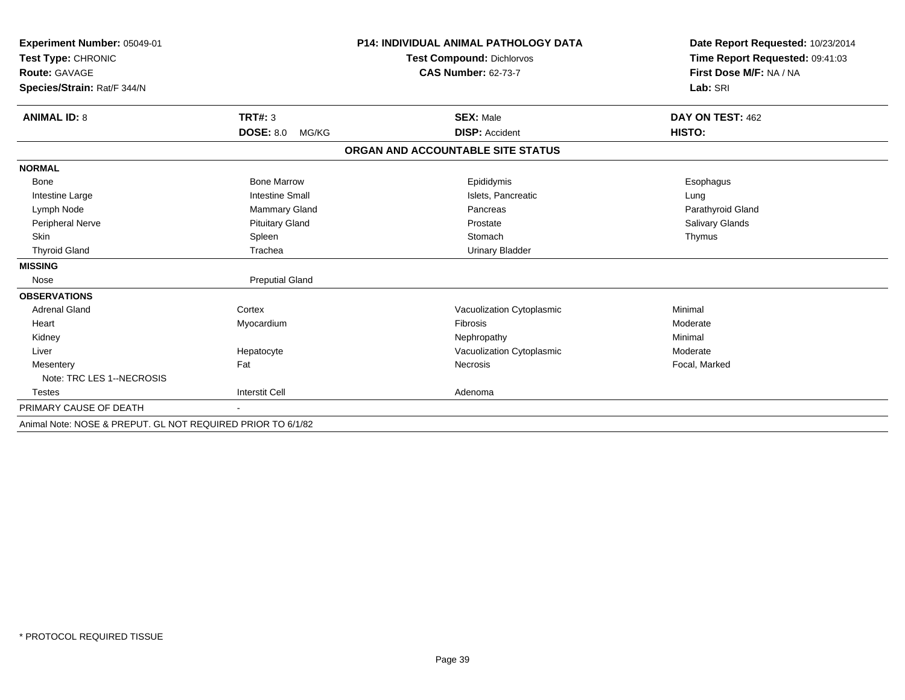| Experiment Number: 05049-01                                 |                           | <b>P14: INDIVIDUAL ANIMAL PATHOLOGY DATA</b> | Date Report Requested: 10/23/2014 |
|-------------------------------------------------------------|---------------------------|----------------------------------------------|-----------------------------------|
| Test Type: CHRONIC                                          |                           | Test Compound: Dichlorvos                    | Time Report Requested: 09:41:03   |
| Route: GAVAGE                                               |                           | <b>CAS Number: 62-73-7</b>                   | First Dose M/F: NA / NA           |
| Species/Strain: Rat/F 344/N                                 |                           |                                              | Lab: SRI                          |
|                                                             |                           |                                              |                                   |
| <b>ANIMAL ID: 8</b>                                         | <b>TRT#: 3</b>            | <b>SEX: Male</b>                             | DAY ON TEST: 462                  |
|                                                             | <b>DOSE: 8.0</b><br>MG/KG | <b>DISP: Accident</b>                        | HISTO:                            |
|                                                             |                           | ORGAN AND ACCOUNTABLE SITE STATUS            |                                   |
| <b>NORMAL</b>                                               |                           |                                              |                                   |
| <b>Bone</b>                                                 | <b>Bone Marrow</b>        | Epididymis                                   | Esophagus                         |
| Intestine Large                                             | <b>Intestine Small</b>    | Islets, Pancreatic                           | Lung                              |
| Lymph Node                                                  | <b>Mammary Gland</b>      | Pancreas                                     | Parathyroid Gland                 |
| Peripheral Nerve                                            | <b>Pituitary Gland</b>    | Prostate                                     | Salivary Glands                   |
| Skin                                                        | Spleen                    | Stomach                                      | Thymus                            |
| <b>Thyroid Gland</b>                                        | Trachea                   | <b>Urinary Bladder</b>                       |                                   |
| <b>MISSING</b>                                              |                           |                                              |                                   |
| Nose                                                        | <b>Preputial Gland</b>    |                                              |                                   |
| <b>OBSERVATIONS</b>                                         |                           |                                              |                                   |
| <b>Adrenal Gland</b>                                        | Cortex                    | Vacuolization Cytoplasmic                    | Minimal                           |
| Heart                                                       | Myocardium                | Fibrosis                                     | Moderate                          |
| Kidney                                                      |                           | Nephropathy                                  | Minimal                           |
| Liver                                                       | Hepatocyte                | Vacuolization Cytoplasmic                    | Moderate                          |
| Mesentery                                                   | Fat                       | <b>Necrosis</b>                              | Focal, Marked                     |
| Note: TRC LES 1--NECROSIS                                   |                           |                                              |                                   |
| Testes                                                      | <b>Interstit Cell</b>     | Adenoma                                      |                                   |
| PRIMARY CAUSE OF DEATH                                      |                           |                                              |                                   |
| Animal Note: NOSE & PREPUT, GL NOT REQUIRED PRIOR TO 6/1/82 |                           |                                              |                                   |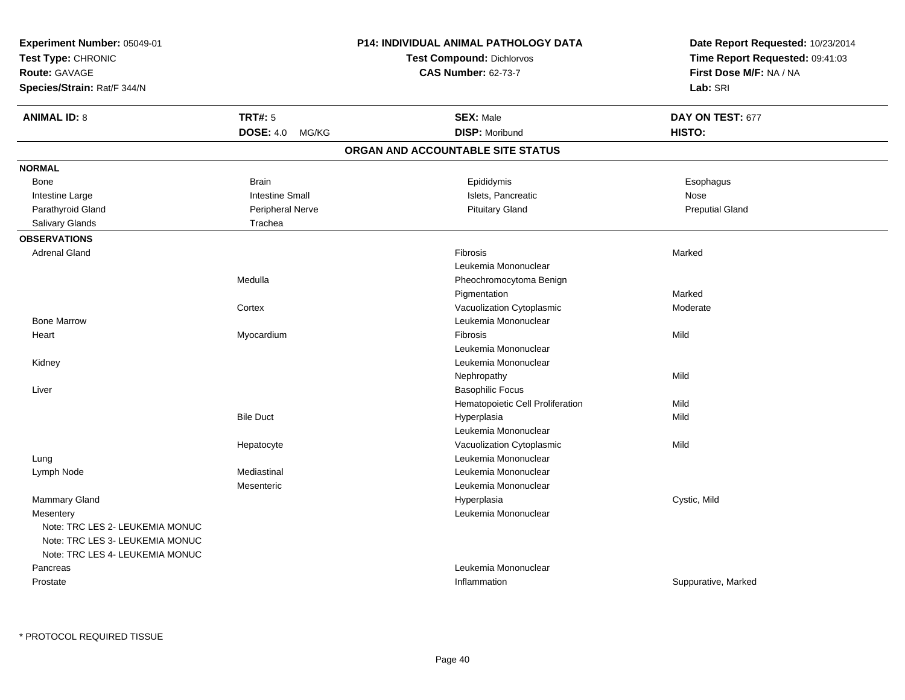| Experiment Number: 05049-01                                        |                                                                | P14: INDIVIDUAL ANIMAL PATHOLOGY DATA | Date Report Requested: 10/23/2014 |
|--------------------------------------------------------------------|----------------------------------------------------------------|---------------------------------------|-----------------------------------|
| Test Type: CHRONIC                                                 | <b>Test Compound: Dichlorvos</b><br><b>CAS Number: 62-73-7</b> |                                       | Time Report Requested: 09:41:03   |
| Route: GAVAGE                                                      |                                                                |                                       | First Dose M/F: NA / NA           |
| Species/Strain: Rat/F 344/N                                        |                                                                |                                       | Lab: SRI                          |
| <b>ANIMAL ID: 8</b>                                                | <b>TRT#: 5</b>                                                 | <b>SEX: Male</b>                      | DAY ON TEST: 677                  |
|                                                                    | <b>DOSE: 4.0</b><br>MG/KG                                      | <b>DISP: Moribund</b>                 | HISTO:                            |
|                                                                    |                                                                | ORGAN AND ACCOUNTABLE SITE STATUS     |                                   |
| <b>NORMAL</b>                                                      |                                                                |                                       |                                   |
| Bone                                                               | <b>Brain</b>                                                   | Epididymis                            | Esophagus                         |
| Intestine Large                                                    | <b>Intestine Small</b>                                         | Islets, Pancreatic                    | <b>Nose</b>                       |
| Parathyroid Gland                                                  | <b>Peripheral Nerve</b>                                        | <b>Pituitary Gland</b>                | <b>Preputial Gland</b>            |
| Salivary Glands                                                    | Trachea                                                        |                                       |                                   |
| <b>OBSERVATIONS</b>                                                |                                                                |                                       |                                   |
| <b>Adrenal Gland</b>                                               |                                                                | Fibrosis                              | Marked                            |
|                                                                    |                                                                | Leukemia Mononuclear                  |                                   |
|                                                                    | Medulla                                                        | Pheochromocytoma Benign               |                                   |
|                                                                    |                                                                | Pigmentation                          | Marked                            |
|                                                                    | Cortex                                                         | Vacuolization Cytoplasmic             | Moderate                          |
| <b>Bone Marrow</b>                                                 |                                                                | Leukemia Mononuclear                  |                                   |
| Heart                                                              | Myocardium                                                     | Fibrosis                              | Mild                              |
|                                                                    |                                                                | Leukemia Mononuclear                  |                                   |
| Kidney                                                             |                                                                | Leukemia Mononuclear                  |                                   |
|                                                                    |                                                                | Nephropathy                           | Mild                              |
| Liver                                                              |                                                                | <b>Basophilic Focus</b>               |                                   |
|                                                                    |                                                                | Hematopoietic Cell Proliferation      | Mild                              |
|                                                                    | <b>Bile Duct</b>                                               | Hyperplasia                           | Mild                              |
|                                                                    |                                                                | Leukemia Mononuclear                  |                                   |
|                                                                    | Hepatocyte                                                     | Vacuolization Cytoplasmic             | Mild                              |
| Lung                                                               |                                                                | Leukemia Mononuclear                  |                                   |
| Lymph Node                                                         | Mediastinal                                                    | Leukemia Mononuclear                  |                                   |
|                                                                    | Mesenteric                                                     | Leukemia Mononuclear                  |                                   |
| Mammary Gland                                                      |                                                                | Hyperplasia                           | Cystic, Mild                      |
| Mesentery                                                          |                                                                | Leukemia Mononuclear                  |                                   |
| Note: TRC LES 2- LEUKEMIA MONUC<br>Note: TRC LES 3- LEUKEMIA MONUC |                                                                |                                       |                                   |
| Note: TRC LES 4- LEUKEMIA MONUC                                    |                                                                |                                       |                                   |
| Pancreas                                                           |                                                                | Leukemia Mononuclear                  |                                   |
| Prostate                                                           |                                                                | Inflammation                          | Suppurative, Marked               |
|                                                                    |                                                                |                                       |                                   |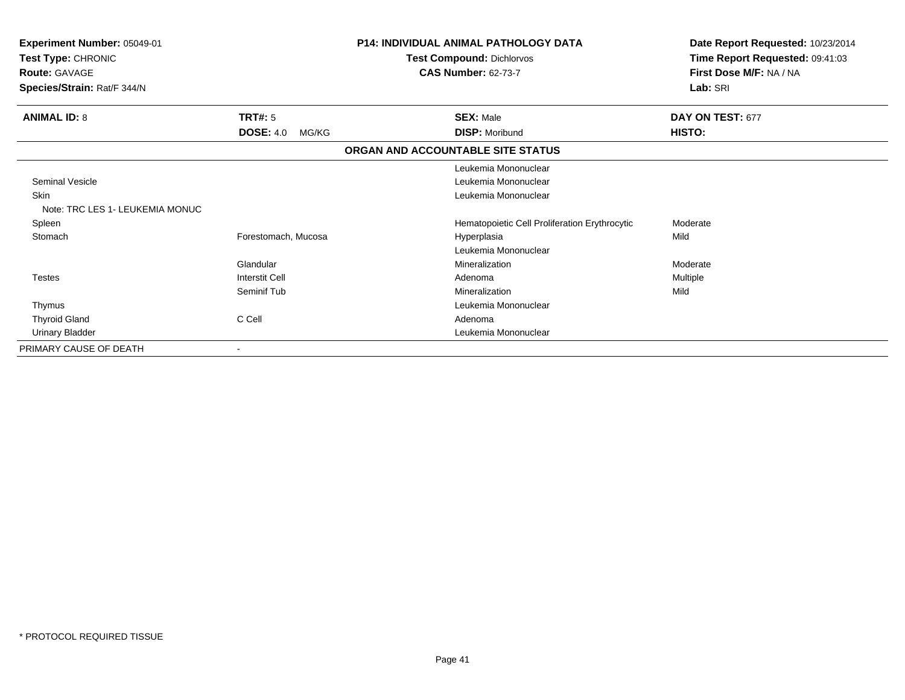| Experiment Number: 05049-01<br>Test Type: CHRONIC<br><b>Route: GAVAGE</b><br>Species/Strain: Rat/F 344/N |                           | <b>P14: INDIVIDUAL ANIMAL PATHOLOGY DATA</b><br><b>Test Compound: Dichlorvos</b><br><b>CAS Number: 62-73-7</b> | Date Report Requested: 10/23/2014<br>Time Report Requested: 09:41:03<br>First Dose M/F: NA / NA<br>Lab: SRI |
|----------------------------------------------------------------------------------------------------------|---------------------------|----------------------------------------------------------------------------------------------------------------|-------------------------------------------------------------------------------------------------------------|
| <b>ANIMAL ID: 8</b>                                                                                      | TRT#: 5                   | <b>SEX: Male</b>                                                                                               | DAY ON TEST: 677                                                                                            |
|                                                                                                          | <b>DOSE: 4.0</b><br>MG/KG | <b>DISP: Moribund</b>                                                                                          | <b>HISTO:</b>                                                                                               |
|                                                                                                          |                           | ORGAN AND ACCOUNTABLE SITE STATUS                                                                              |                                                                                                             |
|                                                                                                          |                           | Leukemia Mononuclear                                                                                           |                                                                                                             |
| <b>Seminal Vesicle</b>                                                                                   |                           | Leukemia Mononuclear                                                                                           |                                                                                                             |
| <b>Skin</b><br>Note: TRC LES 1 - LEUKEMIA MONUC                                                          |                           | Leukemia Mononuclear                                                                                           |                                                                                                             |
| Spleen                                                                                                   |                           | Hematopoietic Cell Proliferation Erythrocytic                                                                  | Moderate                                                                                                    |
| Stomach                                                                                                  | Forestomach, Mucosa       | Hyperplasia                                                                                                    | Mild                                                                                                        |
|                                                                                                          |                           | Leukemia Mononuclear                                                                                           |                                                                                                             |
|                                                                                                          | Glandular                 | Mineralization                                                                                                 | Moderate                                                                                                    |
| <b>Testes</b>                                                                                            | Interstit Cell            | Adenoma                                                                                                        | Multiple                                                                                                    |
|                                                                                                          | Seminif Tub               | Mineralization                                                                                                 | Mild                                                                                                        |
| Thymus                                                                                                   |                           | Leukemia Mononuclear                                                                                           |                                                                                                             |
| <b>Thyroid Gland</b>                                                                                     | C Cell                    | Adenoma                                                                                                        |                                                                                                             |
| <b>Urinary Bladder</b>                                                                                   |                           | Leukemia Mononuclear                                                                                           |                                                                                                             |
| PRIMARY CAUSE OF DEATH                                                                                   |                           |                                                                                                                |                                                                                                             |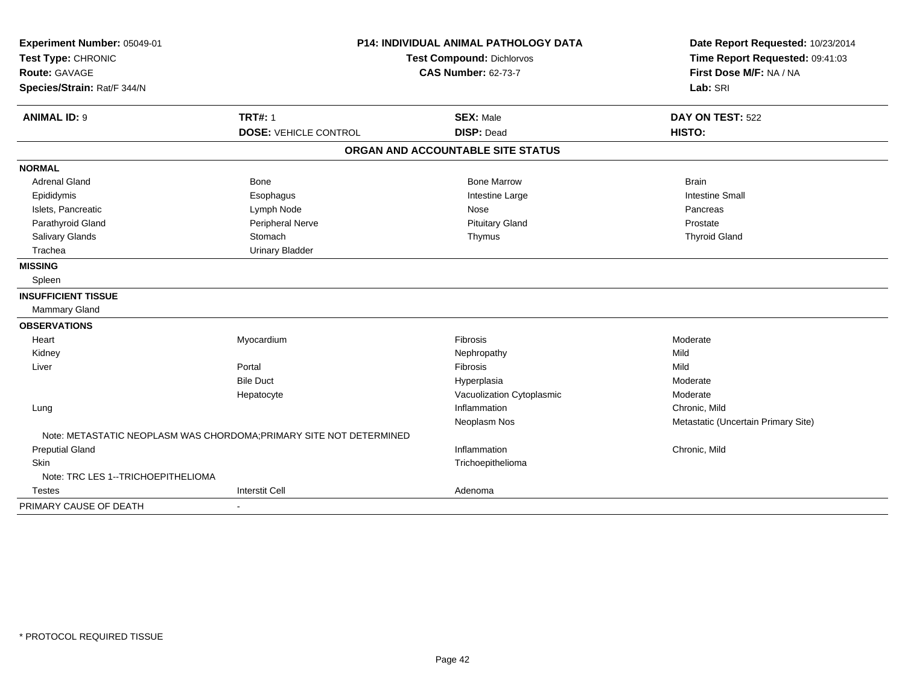| Experiment Number: 05049-01        |                                                                     | <b>P14: INDIVIDUAL ANIMAL PATHOLOGY DATA</b> | Date Report Requested: 10/23/2014   |
|------------------------------------|---------------------------------------------------------------------|----------------------------------------------|-------------------------------------|
| Test Type: CHRONIC                 | <b>Test Compound: Dichlorvos</b>                                    |                                              | Time Report Requested: 09:41:03     |
| <b>Route: GAVAGE</b>               |                                                                     | <b>CAS Number: 62-73-7</b>                   | First Dose M/F: NA / NA             |
| Species/Strain: Rat/F 344/N        |                                                                     |                                              | Lab: SRI                            |
| <b>ANIMAL ID: 9</b>                | <b>TRT#: 1</b>                                                      | <b>SEX: Male</b>                             | DAY ON TEST: 522                    |
|                                    | <b>DOSE: VEHICLE CONTROL</b>                                        | <b>DISP: Dead</b>                            | HISTO:                              |
|                                    |                                                                     | ORGAN AND ACCOUNTABLE SITE STATUS            |                                     |
| <b>NORMAL</b>                      |                                                                     |                                              |                                     |
| <b>Adrenal Gland</b>               | <b>Bone</b>                                                         | <b>Bone Marrow</b>                           | <b>Brain</b>                        |
| Epididymis                         | Esophagus                                                           | Intestine Large                              | <b>Intestine Small</b>              |
| Islets, Pancreatic                 | Lymph Node                                                          | <b>Nose</b>                                  | Pancreas                            |
| Parathyroid Gland                  | Peripheral Nerve                                                    | <b>Pituitary Gland</b>                       | Prostate                            |
| Salivary Glands                    | Stomach                                                             | Thymus                                       | <b>Thyroid Gland</b>                |
| Trachea                            | <b>Urinary Bladder</b>                                              |                                              |                                     |
| <b>MISSING</b>                     |                                                                     |                                              |                                     |
| Spleen                             |                                                                     |                                              |                                     |
| <b>INSUFFICIENT TISSUE</b>         |                                                                     |                                              |                                     |
| Mammary Gland                      |                                                                     |                                              |                                     |
| <b>OBSERVATIONS</b>                |                                                                     |                                              |                                     |
| Heart                              | Myocardium                                                          | Fibrosis                                     | Moderate                            |
| Kidney                             |                                                                     | Nephropathy                                  | Mild                                |
| Liver                              | Portal                                                              | <b>Fibrosis</b>                              | Mild                                |
|                                    | <b>Bile Duct</b>                                                    | Hyperplasia                                  | Moderate                            |
|                                    | Hepatocyte                                                          | Vacuolization Cytoplasmic                    | Moderate                            |
| Lung                               |                                                                     | Inflammation                                 | Chronic, Mild                       |
|                                    |                                                                     | Neoplasm Nos                                 | Metastatic (Uncertain Primary Site) |
|                                    | Note: METASTATIC NEOPLASM WAS CHORDOMA; PRIMARY SITE NOT DETERMINED |                                              |                                     |
| <b>Preputial Gland</b>             |                                                                     | Inflammation                                 | Chronic, Mild                       |
| <b>Skin</b>                        |                                                                     | Trichoepithelioma                            |                                     |
| Note: TRC LES 1--TRICHOEPITHELIOMA |                                                                     |                                              |                                     |
| <b>Testes</b>                      | <b>Interstit Cell</b>                                               | Adenoma                                      |                                     |
| PRIMARY CAUSE OF DEATH             |                                                                     |                                              |                                     |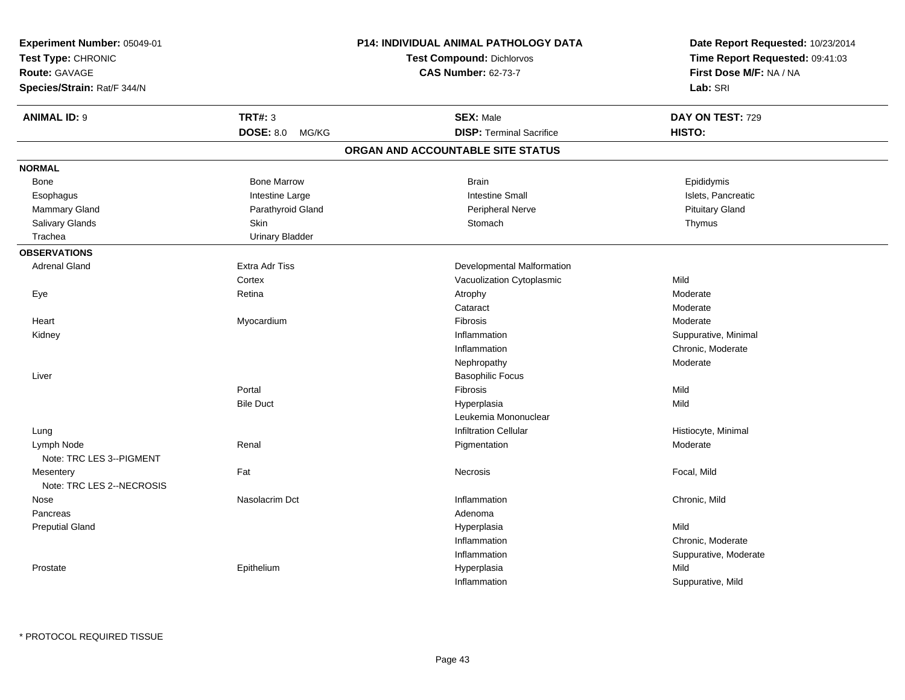| Experiment Number: 05049-01<br>Test Type: CHRONIC<br><b>Route: GAVAGE</b><br>Species/Strain: Rat/F 344/N |                        | P14: INDIVIDUAL ANIMAL PATHOLOGY DATA<br><b>Test Compound: Dichlorvos</b><br><b>CAS Number: 62-73-7</b> | Date Report Requested: 10/23/2014<br>Time Report Requested: 09:41:03<br>First Dose M/F: NA / NA<br>Lab: SRI |
|----------------------------------------------------------------------------------------------------------|------------------------|---------------------------------------------------------------------------------------------------------|-------------------------------------------------------------------------------------------------------------|
| <b>ANIMAL ID: 9</b>                                                                                      | <b>TRT#: 3</b>         | <b>SEX: Male</b>                                                                                        | DAY ON TEST: 729                                                                                            |
|                                                                                                          | DOSE: 8.0 MG/KG        | <b>DISP: Terminal Sacrifice</b>                                                                         | <b>HISTO:</b>                                                                                               |
|                                                                                                          |                        | ORGAN AND ACCOUNTABLE SITE STATUS                                                                       |                                                                                                             |
| <b>NORMAL</b>                                                                                            |                        |                                                                                                         |                                                                                                             |
| Bone                                                                                                     | <b>Bone Marrow</b>     | <b>Brain</b>                                                                                            | Epididymis                                                                                                  |
| Esophagus                                                                                                | Intestine Large        | <b>Intestine Small</b>                                                                                  | Islets, Pancreatic                                                                                          |
| Mammary Gland                                                                                            | Parathyroid Gland      | Peripheral Nerve                                                                                        | <b>Pituitary Gland</b>                                                                                      |
| Salivary Glands                                                                                          | <b>Skin</b>            | Stomach                                                                                                 | Thymus                                                                                                      |
| Trachea                                                                                                  | <b>Urinary Bladder</b> |                                                                                                         |                                                                                                             |
| <b>OBSERVATIONS</b>                                                                                      |                        |                                                                                                         |                                                                                                             |
| <b>Adrenal Gland</b>                                                                                     | <b>Extra Adr Tiss</b>  | Developmental Malformation                                                                              |                                                                                                             |
|                                                                                                          | Cortex                 | Vacuolization Cytoplasmic                                                                               | Mild                                                                                                        |
| Eye                                                                                                      | Retina                 | Atrophy                                                                                                 | Moderate                                                                                                    |
|                                                                                                          |                        | Cataract                                                                                                | Moderate                                                                                                    |
| Heart                                                                                                    | Myocardium             | Fibrosis                                                                                                | Moderate                                                                                                    |
| Kidney                                                                                                   |                        | Inflammation                                                                                            | Suppurative, Minimal                                                                                        |
|                                                                                                          |                        | Inflammation                                                                                            | Chronic, Moderate                                                                                           |
|                                                                                                          |                        | Nephropathy                                                                                             | Moderate                                                                                                    |
| Liver                                                                                                    |                        | <b>Basophilic Focus</b>                                                                                 |                                                                                                             |
|                                                                                                          | Portal                 | <b>Fibrosis</b>                                                                                         | Mild                                                                                                        |
|                                                                                                          | <b>Bile Duct</b>       | Hyperplasia                                                                                             | Mild                                                                                                        |
|                                                                                                          |                        | Leukemia Mononuclear                                                                                    |                                                                                                             |
| Lung                                                                                                     |                        | <b>Infiltration Cellular</b>                                                                            | Histiocyte, Minimal                                                                                         |
| Lymph Node                                                                                               | Renal                  | Pigmentation                                                                                            | Moderate                                                                                                    |
| Note: TRC LES 3--PIGMENT                                                                                 |                        |                                                                                                         |                                                                                                             |
| Mesentery<br>Note: TRC LES 2--NECROSIS                                                                   | Fat                    | <b>Necrosis</b>                                                                                         | Focal, Mild                                                                                                 |
|                                                                                                          |                        |                                                                                                         |                                                                                                             |
| Nose<br>Pancreas                                                                                         | Nasolacrim Dct         | Inflammation                                                                                            | Chronic, Mild                                                                                               |
|                                                                                                          |                        | Adenoma                                                                                                 | Mild                                                                                                        |
| <b>Preputial Gland</b>                                                                                   |                        | Hyperplasia<br>Inflammation                                                                             | Chronic, Moderate                                                                                           |
|                                                                                                          |                        |                                                                                                         |                                                                                                             |
|                                                                                                          |                        | Inflammation                                                                                            | Suppurative, Moderate<br>Mild                                                                               |
| Prostate                                                                                                 | Epithelium             | Hyperplasia                                                                                             |                                                                                                             |
|                                                                                                          |                        | Inflammation                                                                                            | Suppurative, Mild                                                                                           |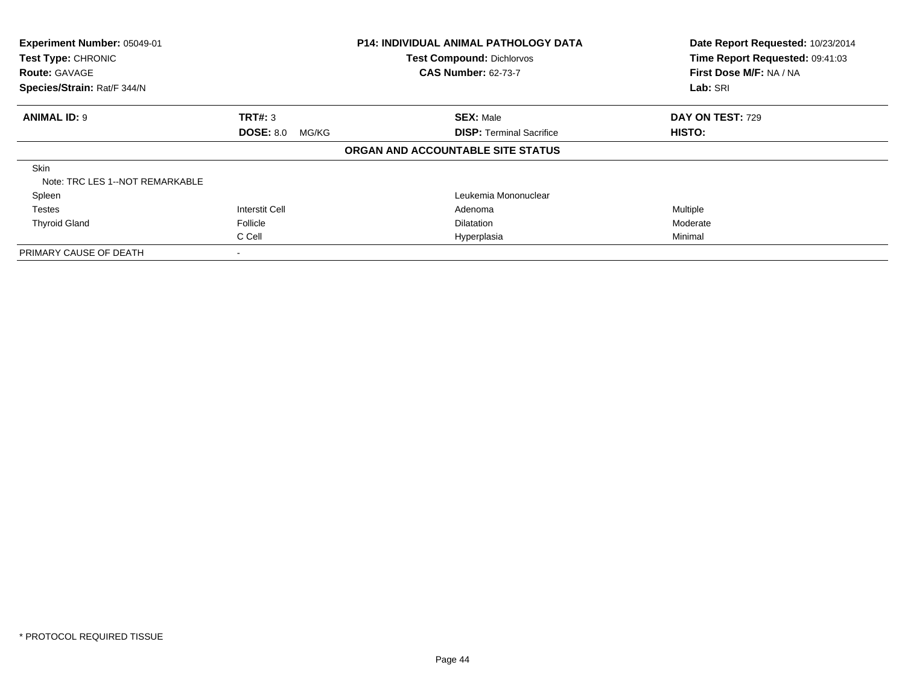| Experiment Number: 05049-01<br>Test Type: CHRONIC |                           | <b>P14: INDIVIDUAL ANIMAL PATHOLOGY DATA</b><br><b>Test Compound: Dichlorvos</b> | Date Report Requested: 10/23/2014<br>Time Report Requested: 09:41:03 |
|---------------------------------------------------|---------------------------|----------------------------------------------------------------------------------|----------------------------------------------------------------------|
| <b>Route: GAVAGE</b>                              |                           | <b>CAS Number: 62-73-7</b>                                                       | First Dose M/F: NA / NA                                              |
| Species/Strain: Rat/F 344/N                       |                           |                                                                                  | Lab: SRI                                                             |
| <b>ANIMAL ID: 9</b>                               | TRT#: 3                   | <b>SEX: Male</b>                                                                 | DAY ON TEST: 729                                                     |
|                                                   | <b>DOSE: 8.0</b><br>MG/KG | <b>DISP: Terminal Sacrifice</b>                                                  | HISTO:                                                               |
|                                                   |                           | ORGAN AND ACCOUNTABLE SITE STATUS                                                |                                                                      |
| <b>Skin</b><br>Note: TRC LES 1--NOT REMARKABLE    |                           |                                                                                  |                                                                      |
| Spleen                                            |                           | Leukemia Mononuclear                                                             |                                                                      |
| <b>Testes</b>                                     | <b>Interstit Cell</b>     | Adenoma                                                                          | Multiple                                                             |
| <b>Thyroid Gland</b>                              | Follicle                  | <b>Dilatation</b>                                                                | Moderate                                                             |
|                                                   | C Cell                    | Hyperplasia                                                                      | Minimal                                                              |
| PRIMARY CAUSE OF DEATH                            |                           |                                                                                  |                                                                      |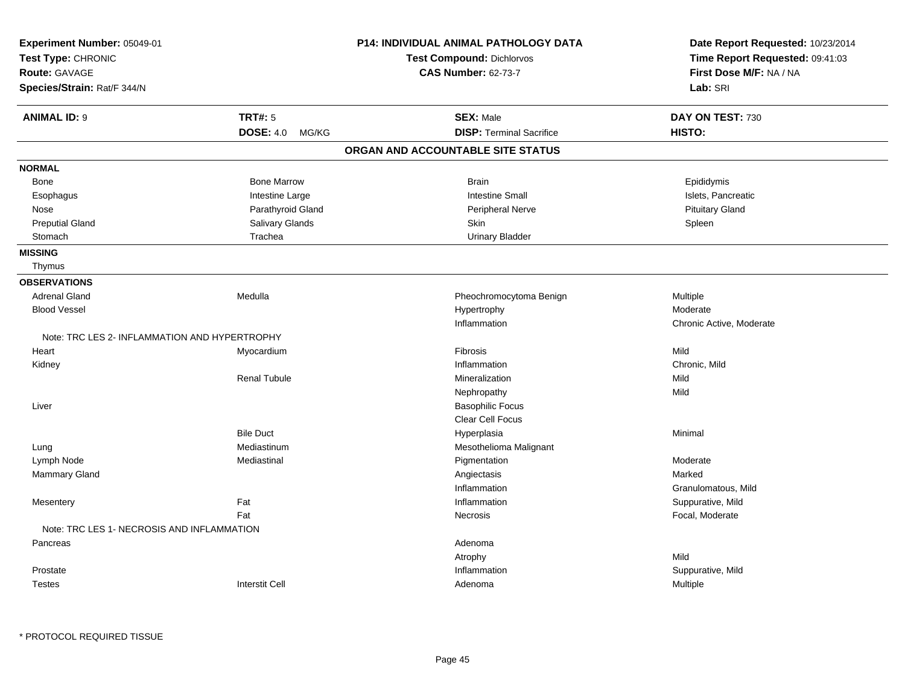| Experiment Number: 05049-01                   |                     | P14: INDIVIDUAL ANIMAL PATHOLOGY DATA | Date Report Requested: 10/23/2014 |
|-----------------------------------------------|---------------------|---------------------------------------|-----------------------------------|
| Test Type: CHRONIC                            |                     | Test Compound: Dichlorvos             | Time Report Requested: 09:41:03   |
| Route: GAVAGE                                 |                     | <b>CAS Number: 62-73-7</b>            | First Dose M/F: NA / NA           |
| Species/Strain: Rat/F 344/N                   |                     |                                       | Lab: SRI                          |
| <b>ANIMAL ID: 9</b>                           | <b>TRT#: 5</b>      | <b>SEX: Male</b>                      | DAY ON TEST: 730                  |
|                                               | DOSE: 4.0 MG/KG     | <b>DISP: Terminal Sacrifice</b>       | HISTO:                            |
|                                               |                     | ORGAN AND ACCOUNTABLE SITE STATUS     |                                   |
| <b>NORMAL</b>                                 |                     |                                       |                                   |
| Bone                                          | <b>Bone Marrow</b>  | <b>Brain</b>                          | Epididymis                        |
| Esophagus                                     | Intestine Large     | <b>Intestine Small</b>                | Islets, Pancreatic                |
| Nose                                          | Parathyroid Gland   | <b>Peripheral Nerve</b>               | <b>Pituitary Gland</b>            |
| <b>Preputial Gland</b>                        | Salivary Glands     | Skin                                  | Spleen                            |
| Stomach                                       | Trachea             | <b>Urinary Bladder</b>                |                                   |
| <b>MISSING</b>                                |                     |                                       |                                   |
| Thymus                                        |                     |                                       |                                   |
| <b>OBSERVATIONS</b>                           |                     |                                       |                                   |
| <b>Adrenal Gland</b>                          | Medulla             | Pheochromocytoma Benign               | Multiple                          |
| <b>Blood Vessel</b>                           |                     | Hypertrophy                           | Moderate                          |
|                                               |                     | Inflammation                          | Chronic Active, Moderate          |
| Note: TRC LES 2- INFLAMMATION AND HYPERTROPHY |                     |                                       |                                   |
| Heart                                         | Myocardium          | Fibrosis                              | Mild                              |
| Kidney                                        |                     | Inflammation                          | Chronic, Mild                     |
|                                               | <b>Renal Tubule</b> | Mineralization                        | Mild                              |
|                                               |                     | Nephropathy                           | Mild                              |
| Liver                                         |                     | <b>Basophilic Focus</b>               |                                   |
|                                               |                     | <b>Clear Cell Focus</b>               |                                   |
|                                               | <b>Bile Duct</b>    | Hyperplasia                           | Minimal                           |
| Lung                                          | Mediastinum         | Mesothelioma Malignant                |                                   |
| Lymph Node                                    | Mediastinal         | Pigmentation                          | Moderate                          |
| Mammary Gland                                 |                     | Angiectasis                           | Marked                            |
|                                               |                     | Inflammation                          | Granulomatous, Mild               |
| Mesentery                                     | Fat                 | Inflammation                          | Suppurative, Mild                 |
|                                               | Fat                 | Necrosis                              | Focal, Moderate                   |
| Note: TRC LES 1- NECROSIS AND INFLAMMATION    |                     |                                       |                                   |
| Pancreas                                      |                     | Adenoma                               |                                   |
|                                               |                     | Atrophy                               | Mild                              |
| Prostate                                      |                     | Inflammation                          | Suppurative, Mild                 |
| <b>Testes</b>                                 | Interstit Cell      | Adenoma                               | Multiple                          |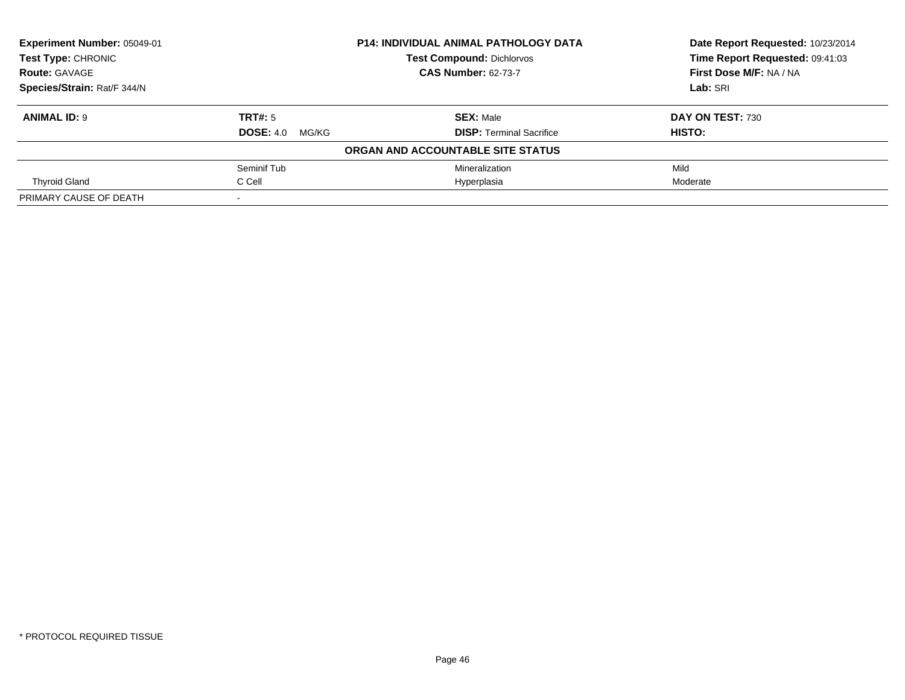| Experiment Number: 05049-01 | <b>P14: INDIVIDUAL ANIMAL PATHOLOGY DATA</b> |                                   | Date Report Requested: 10/23/2014 |
|-----------------------------|----------------------------------------------|-----------------------------------|-----------------------------------|
| <b>Test Type: CHRONIC</b>   |                                              | <b>Test Compound: Dichlorvos</b>  | Time Report Requested: 09:41:03   |
| <b>Route: GAVAGE</b>        |                                              | <b>CAS Number: 62-73-7</b>        | First Dose M/F: NA / NA           |
| Species/Strain: Rat/F 344/N |                                              |                                   | Lab: SRI                          |
| <b>ANIMAL ID: 9</b>         | TRT#: 5                                      | <b>SEX: Male</b>                  | DAY ON TEST: 730                  |
|                             | <b>DOSE: 4.0 MG/KG</b>                       | <b>DISP: Terminal Sacrifice</b>   | HISTO:                            |
|                             |                                              | ORGAN AND ACCOUNTABLE SITE STATUS |                                   |
|                             | Seminif Tub                                  | Mineralization                    | Mild                              |
| <b>Thyroid Gland</b>        | C Cell                                       | Hyperplasia                       | Moderate                          |
| PRIMARY CAUSE OF DEATH      | $\,$ $\,$                                    |                                   |                                   |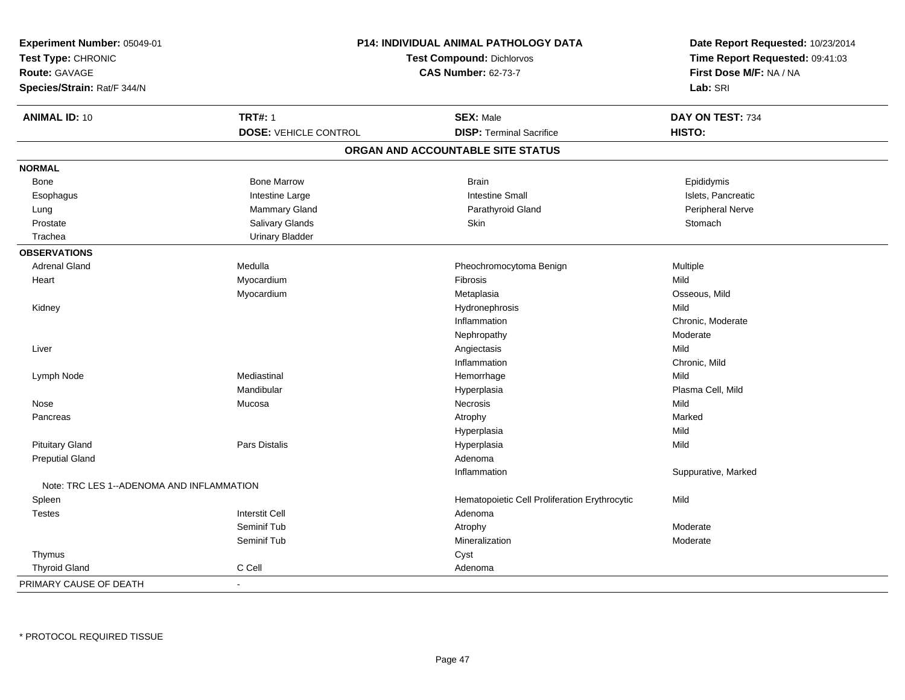| Experiment Number: 05049-01<br>Test Type: CHRONIC<br>Route: GAVAGE<br>Species/Strain: Rat/F 344/N |                              | P14: INDIVIDUAL ANIMAL PATHOLOGY DATA<br>Test Compound: Dichlorvos<br><b>CAS Number: 62-73-7</b> | Date Report Requested: 10/23/2014<br>Time Report Requested: 09:41:03<br>First Dose M/F: NA / NA<br>Lab: SRI |
|---------------------------------------------------------------------------------------------------|------------------------------|--------------------------------------------------------------------------------------------------|-------------------------------------------------------------------------------------------------------------|
| <b>ANIMAL ID: 10</b>                                                                              | <b>TRT#: 1</b>               | <b>SEX: Male</b>                                                                                 | DAY ON TEST: 734                                                                                            |
|                                                                                                   | <b>DOSE: VEHICLE CONTROL</b> | <b>DISP: Terminal Sacrifice</b>                                                                  | HISTO:                                                                                                      |
|                                                                                                   |                              | ORGAN AND ACCOUNTABLE SITE STATUS                                                                |                                                                                                             |
| <b>NORMAL</b>                                                                                     |                              |                                                                                                  |                                                                                                             |
| Bone                                                                                              | <b>Bone Marrow</b>           | <b>Brain</b>                                                                                     | Epididymis                                                                                                  |
| Esophagus                                                                                         | Intestine Large              | <b>Intestine Small</b>                                                                           | Islets, Pancreatic                                                                                          |
| Lung                                                                                              | <b>Mammary Gland</b>         | Parathyroid Gland                                                                                | Peripheral Nerve                                                                                            |
| Prostate                                                                                          | Salivary Glands              | Skin                                                                                             | Stomach                                                                                                     |
| Trachea                                                                                           | <b>Urinary Bladder</b>       |                                                                                                  |                                                                                                             |
| <b>OBSERVATIONS</b>                                                                               |                              |                                                                                                  |                                                                                                             |
| <b>Adrenal Gland</b>                                                                              | Medulla                      | Pheochromocytoma Benign                                                                          | Multiple                                                                                                    |
| Heart                                                                                             | Myocardium                   | Fibrosis                                                                                         | Mild                                                                                                        |
|                                                                                                   | Myocardium                   | Metaplasia                                                                                       | Osseous, Mild                                                                                               |
| Kidney                                                                                            |                              | Hydronephrosis                                                                                   | Mild                                                                                                        |
|                                                                                                   |                              | Inflammation                                                                                     | Chronic, Moderate                                                                                           |
|                                                                                                   |                              | Nephropathy                                                                                      | Moderate                                                                                                    |
| Liver                                                                                             |                              | Angiectasis                                                                                      | Mild                                                                                                        |
|                                                                                                   |                              | Inflammation                                                                                     | Chronic, Mild                                                                                               |
| Lymph Node                                                                                        | Mediastinal                  | Hemorrhage                                                                                       | Mild                                                                                                        |
|                                                                                                   | Mandibular                   | Hyperplasia                                                                                      | Plasma Cell, Mild                                                                                           |
| Nose                                                                                              | Mucosa                       | Necrosis                                                                                         | Mild                                                                                                        |
| Pancreas                                                                                          |                              | Atrophy                                                                                          | Marked                                                                                                      |
|                                                                                                   |                              | Hyperplasia                                                                                      | Mild                                                                                                        |
| <b>Pituitary Gland</b>                                                                            | Pars Distalis                | Hyperplasia                                                                                      | Mild                                                                                                        |
| <b>Preputial Gland</b>                                                                            |                              | Adenoma                                                                                          |                                                                                                             |
|                                                                                                   |                              | Inflammation                                                                                     | Suppurative, Marked                                                                                         |
| Note: TRC LES 1--ADENOMA AND INFLAMMATION                                                         |                              |                                                                                                  |                                                                                                             |
| Spleen                                                                                            |                              | Hematopoietic Cell Proliferation Erythrocytic                                                    | Mild                                                                                                        |
| <b>Testes</b>                                                                                     | <b>Interstit Cell</b>        | Adenoma                                                                                          |                                                                                                             |
|                                                                                                   | Seminif Tub                  | Atrophy                                                                                          | Moderate                                                                                                    |
|                                                                                                   | Seminif Tub                  | Mineralization                                                                                   | Moderate                                                                                                    |
| Thymus                                                                                            |                              | Cyst                                                                                             |                                                                                                             |
| <b>Thyroid Gland</b>                                                                              | C Cell                       | Adenoma                                                                                          |                                                                                                             |
| PRIMARY CAUSE OF DEATH                                                                            | $\blacksquare$               |                                                                                                  |                                                                                                             |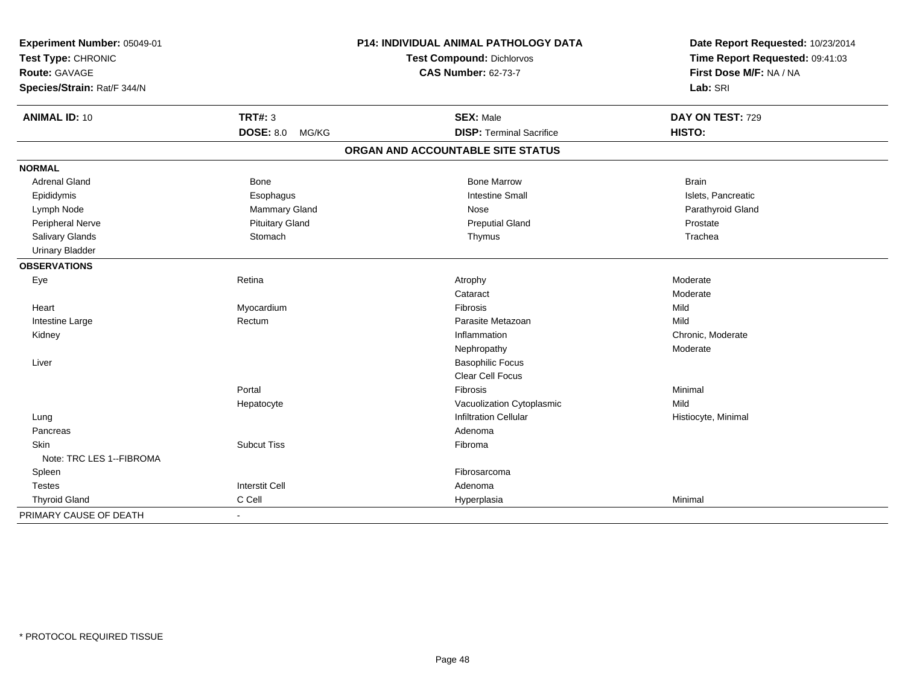| Experiment Number: 05049-01<br>Test Type: CHRONIC |                           | <b>P14: INDIVIDUAL ANIMAL PATHOLOGY DATA</b> | Date Report Requested: 10/23/2014 |
|---------------------------------------------------|---------------------------|----------------------------------------------|-----------------------------------|
|                                                   |                           | Test Compound: Dichlorvos                    | Time Report Requested: 09:41:03   |
| Route: GAVAGE                                     |                           | <b>CAS Number: 62-73-7</b>                   | First Dose M/F: NA / NA           |
| Species/Strain: Rat/F 344/N                       |                           |                                              | Lab: SRI                          |
| <b>ANIMAL ID: 10</b>                              | <b>TRT#: 3</b>            | <b>SEX: Male</b>                             | DAY ON TEST: 729                  |
|                                                   | <b>DOSE: 8.0</b><br>MG/KG | <b>DISP: Terminal Sacrifice</b>              | HISTO:                            |
|                                                   |                           | ORGAN AND ACCOUNTABLE SITE STATUS            |                                   |
| <b>NORMAL</b>                                     |                           |                                              |                                   |
| <b>Adrenal Gland</b>                              | <b>Bone</b>               | <b>Bone Marrow</b>                           | <b>Brain</b>                      |
| Epididymis                                        | Esophagus                 | <b>Intestine Small</b>                       | Islets, Pancreatic                |
| Lymph Node                                        | Mammary Gland             | Nose                                         | Parathyroid Gland                 |
| <b>Peripheral Nerve</b>                           | <b>Pituitary Gland</b>    | <b>Preputial Gland</b>                       | Prostate                          |
| Salivary Glands                                   | Stomach                   | Thymus                                       | Trachea                           |
| <b>Urinary Bladder</b>                            |                           |                                              |                                   |
| <b>OBSERVATIONS</b>                               |                           |                                              |                                   |
| Eye                                               | Retina                    | Atrophy                                      | Moderate                          |
|                                                   |                           | Cataract                                     | Moderate                          |
| Heart                                             | Myocardium                | Fibrosis                                     | Mild                              |
| Intestine Large                                   | Rectum                    | Parasite Metazoan                            | Mild                              |
| Kidney                                            |                           | Inflammation                                 | Chronic, Moderate                 |
|                                                   |                           | Nephropathy                                  | Moderate                          |
| Liver                                             |                           | <b>Basophilic Focus</b>                      |                                   |
|                                                   |                           | <b>Clear Cell Focus</b>                      |                                   |
|                                                   | Portal                    | Fibrosis                                     | Minimal                           |
|                                                   | Hepatocyte                | Vacuolization Cytoplasmic                    | Mild                              |
| Lung                                              |                           | <b>Infiltration Cellular</b>                 | Histiocyte, Minimal               |
| Pancreas                                          |                           | Adenoma                                      |                                   |
| Skin                                              | <b>Subcut Tiss</b>        | Fibroma                                      |                                   |
| Note: TRC LES 1--FIBROMA                          |                           |                                              |                                   |
| Spleen                                            |                           | Fibrosarcoma                                 |                                   |
| <b>Testes</b>                                     | <b>Interstit Cell</b>     | Adenoma                                      |                                   |
| <b>Thyroid Gland</b>                              | C Cell                    | Hyperplasia                                  | Minimal                           |
| PRIMARY CAUSE OF DEATH                            |                           |                                              |                                   |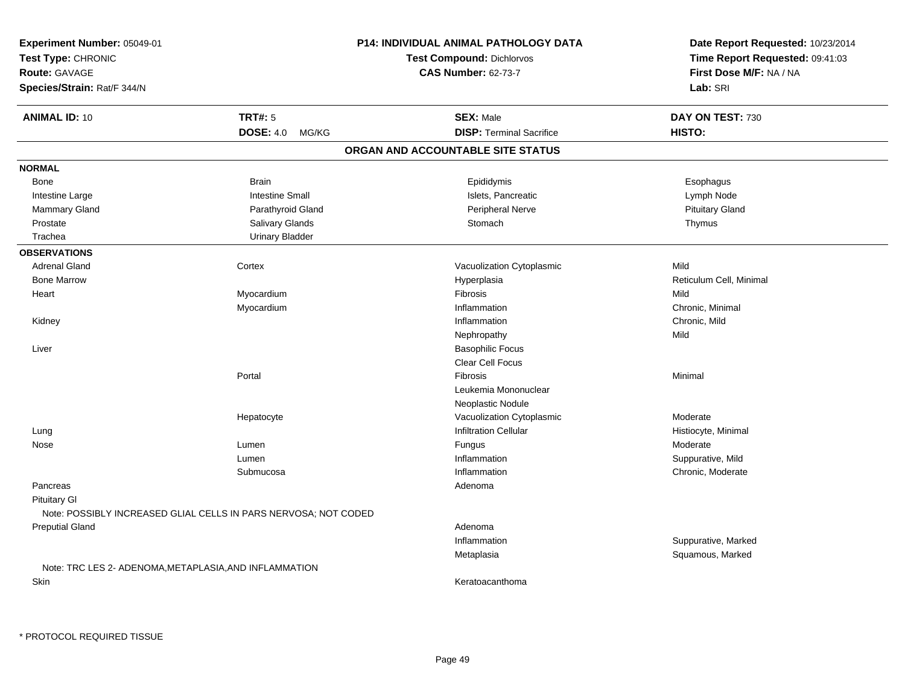| Experiment Number: 05049-01<br>Test Type: CHRONIC<br><b>Route: GAVAGE</b><br>Species/Strain: Rat/F 344/N |                        | <b>P14: INDIVIDUAL ANIMAL PATHOLOGY DATA</b><br>Test Compound: Dichlorvos<br><b>CAS Number: 62-73-7</b> | Date Report Requested: 10/23/2014<br>Time Report Requested: 09:41:03<br>First Dose M/F: NA / NA<br>Lab: SRI |
|----------------------------------------------------------------------------------------------------------|------------------------|---------------------------------------------------------------------------------------------------------|-------------------------------------------------------------------------------------------------------------|
| <b>ANIMAL ID: 10</b>                                                                                     | <b>TRT#: 5</b>         | <b>SEX: Male</b>                                                                                        | DAY ON TEST: 730                                                                                            |
|                                                                                                          | DOSE: 4.0 MG/KG        | <b>DISP: Terminal Sacrifice</b>                                                                         | HISTO:                                                                                                      |
|                                                                                                          |                        | ORGAN AND ACCOUNTABLE SITE STATUS                                                                       |                                                                                                             |
| <b>NORMAL</b>                                                                                            |                        |                                                                                                         |                                                                                                             |
| Bone                                                                                                     | <b>Brain</b>           | Epididymis                                                                                              | Esophagus                                                                                                   |
| Intestine Large                                                                                          | <b>Intestine Small</b> | Islets, Pancreatic                                                                                      | Lymph Node                                                                                                  |
| Mammary Gland                                                                                            | Parathyroid Gland      | Peripheral Nerve                                                                                        | <b>Pituitary Gland</b>                                                                                      |
| Prostate                                                                                                 | Salivary Glands        | Stomach                                                                                                 | Thymus                                                                                                      |
| Trachea                                                                                                  | <b>Urinary Bladder</b> |                                                                                                         |                                                                                                             |
| <b>OBSERVATIONS</b>                                                                                      |                        |                                                                                                         |                                                                                                             |
| <b>Adrenal Gland</b>                                                                                     | Cortex                 | Vacuolization Cytoplasmic                                                                               | Mild                                                                                                        |
| <b>Bone Marrow</b>                                                                                       |                        | Hyperplasia                                                                                             | Reticulum Cell, Minimal                                                                                     |
| Heart                                                                                                    | Myocardium             | Fibrosis                                                                                                | Mild                                                                                                        |
|                                                                                                          | Myocardium             | Inflammation                                                                                            | Chronic, Minimal                                                                                            |
| Kidney                                                                                                   |                        | Inflammation                                                                                            | Chronic, Mild                                                                                               |
|                                                                                                          |                        | Nephropathy                                                                                             | Mild                                                                                                        |
| Liver                                                                                                    |                        | <b>Basophilic Focus</b>                                                                                 |                                                                                                             |
|                                                                                                          |                        | Clear Cell Focus                                                                                        |                                                                                                             |
|                                                                                                          | Portal                 | Fibrosis                                                                                                | Minimal                                                                                                     |
|                                                                                                          |                        | Leukemia Mononuclear                                                                                    |                                                                                                             |
|                                                                                                          |                        | Neoplastic Nodule                                                                                       |                                                                                                             |
|                                                                                                          | Hepatocyte             | Vacuolization Cytoplasmic                                                                               | Moderate                                                                                                    |
| Lung                                                                                                     |                        | Infiltration Cellular                                                                                   | Histiocyte, Minimal                                                                                         |
| Nose                                                                                                     | Lumen                  | Fungus                                                                                                  | Moderate                                                                                                    |
|                                                                                                          | Lumen                  | Inflammation                                                                                            | Suppurative, Mild                                                                                           |
|                                                                                                          | Submucosa              | Inflammation                                                                                            | Chronic, Moderate                                                                                           |
| Pancreas                                                                                                 |                        | Adenoma                                                                                                 |                                                                                                             |
| <b>Pituitary GI</b><br>Note: POSSIBLY INCREASED GLIAL CELLS IN PARS NERVOSA; NOT CODED                   |                        |                                                                                                         |                                                                                                             |
| <b>Preputial Gland</b>                                                                                   |                        | Adenoma                                                                                                 |                                                                                                             |
|                                                                                                          |                        | Inflammation                                                                                            | Suppurative, Marked                                                                                         |
|                                                                                                          |                        | Metaplasia                                                                                              | Squamous, Marked                                                                                            |
| Note: TRC LES 2- ADENOMA, METAPLASIA, AND INFLAMMATION                                                   |                        |                                                                                                         |                                                                                                             |
| Skin                                                                                                     |                        | Keratoacanthoma                                                                                         |                                                                                                             |
|                                                                                                          |                        |                                                                                                         |                                                                                                             |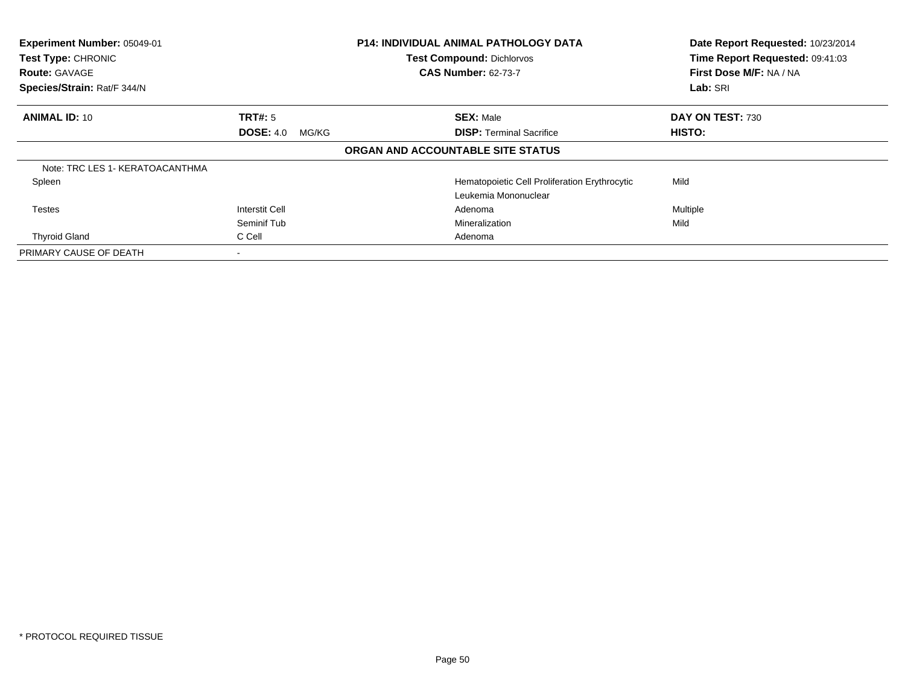| Experiment Number: 05049-01<br><b>Test Type: CHRONIC</b><br><b>Route: GAVAGE</b> |                           | <b>P14: INDIVIDUAL ANIMAL PATHOLOGY DATA</b><br><b>Test Compound: Dichlorvos</b><br><b>CAS Number: 62-73-7</b> | Date Report Requested: 10/23/2014<br>Time Report Requested: 09:41:03<br>First Dose M/F: NA / NA |
|----------------------------------------------------------------------------------|---------------------------|----------------------------------------------------------------------------------------------------------------|-------------------------------------------------------------------------------------------------|
| Species/Strain: Rat/F 344/N                                                      |                           |                                                                                                                | Lab: SRI                                                                                        |
| <b>ANIMAL ID: 10</b>                                                             | <b>TRT#:</b> 5            | <b>SEX: Male</b>                                                                                               | DAY ON TEST: 730                                                                                |
|                                                                                  | <b>DOSE: 4.0</b><br>MG/KG | <b>DISP: Terminal Sacrifice</b>                                                                                | HISTO:                                                                                          |
|                                                                                  |                           | ORGAN AND ACCOUNTABLE SITE STATUS                                                                              |                                                                                                 |
| Note: TRC LES 1- KERATOACANTHMA                                                  |                           |                                                                                                                |                                                                                                 |
| Spleen                                                                           |                           | Hematopoietic Cell Proliferation Erythrocytic                                                                  | Mild                                                                                            |
|                                                                                  |                           | Leukemia Mononuclear                                                                                           |                                                                                                 |
| Testes                                                                           | <b>Interstit Cell</b>     | Adenoma                                                                                                        | Multiple                                                                                        |
|                                                                                  | Seminif Tub               | Mineralization                                                                                                 | Mild                                                                                            |
| <b>Thyroid Gland</b>                                                             | C Cell                    | Adenoma                                                                                                        |                                                                                                 |
| PRIMARY CAUSE OF DEATH                                                           |                           |                                                                                                                |                                                                                                 |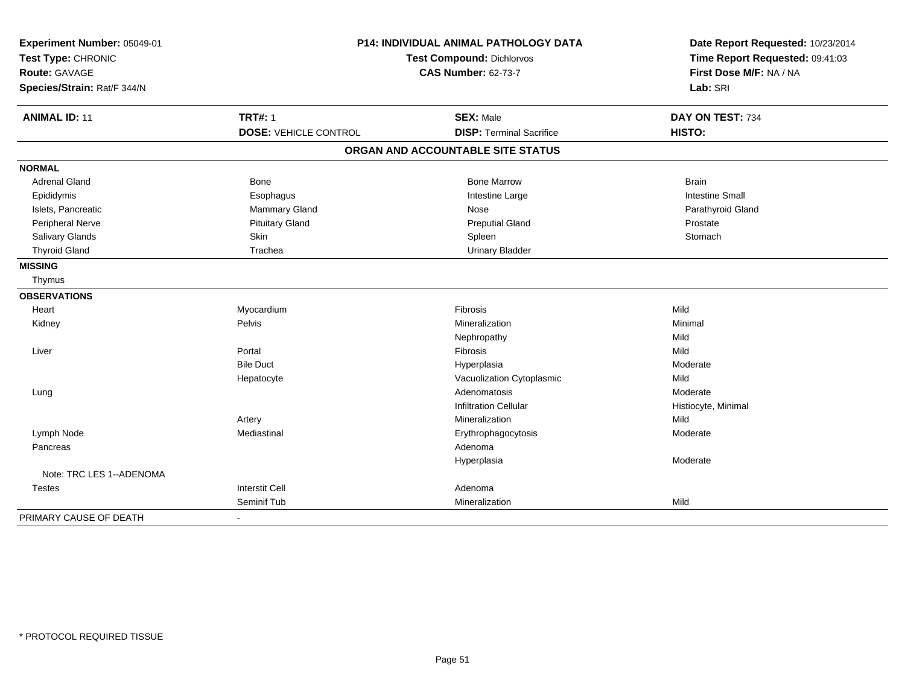| Experiment Number: 05049-01 |                                  | <b>P14: INDIVIDUAL ANIMAL PATHOLOGY DATA</b> | Date Report Requested: 10/23/2014 |
|-----------------------------|----------------------------------|----------------------------------------------|-----------------------------------|
| Test Type: CHRONIC          | <b>Test Compound: Dichlorvos</b> |                                              | Time Report Requested: 09:41:03   |
| <b>Route: GAVAGE</b>        |                                  | <b>CAS Number: 62-73-7</b>                   | First Dose M/F: NA / NA           |
| Species/Strain: Rat/F 344/N |                                  |                                              | Lab: SRI                          |
| <b>ANIMAL ID: 11</b>        | <b>TRT#: 1</b>                   | <b>SEX: Male</b>                             | DAY ON TEST: 734                  |
|                             | <b>DOSE: VEHICLE CONTROL</b>     | <b>DISP: Terminal Sacrifice</b>              | HISTO:                            |
|                             |                                  | ORGAN AND ACCOUNTABLE SITE STATUS            |                                   |
| <b>NORMAL</b>               |                                  |                                              |                                   |
| <b>Adrenal Gland</b>        | <b>Bone</b>                      | <b>Bone Marrow</b>                           | <b>Brain</b>                      |
| Epididymis                  | Esophagus                        | Intestine Large                              | <b>Intestine Small</b>            |
| Islets, Pancreatic          | Mammary Gland                    | Nose                                         | Parathyroid Gland                 |
| <b>Peripheral Nerve</b>     | <b>Pituitary Gland</b>           | <b>Preputial Gland</b>                       | Prostate                          |
| Salivary Glands             | Skin                             | Spleen                                       | Stomach                           |
| <b>Thyroid Gland</b>        | Trachea                          | <b>Urinary Bladder</b>                       |                                   |
| <b>MISSING</b>              |                                  |                                              |                                   |
| Thymus                      |                                  |                                              |                                   |
| <b>OBSERVATIONS</b>         |                                  |                                              |                                   |
| Heart                       | Myocardium                       | Fibrosis                                     | Mild                              |
| Kidney                      | Pelvis                           | Mineralization                               | Minimal                           |
|                             |                                  | Nephropathy                                  | Mild                              |
| Liver                       | Portal                           | Fibrosis                                     | Mild                              |
|                             | <b>Bile Duct</b>                 | Hyperplasia                                  | Moderate                          |
|                             | Hepatocyte                       | Vacuolization Cytoplasmic                    | Mild                              |
| Lung                        |                                  | Adenomatosis                                 | Moderate                          |
|                             |                                  | <b>Infiltration Cellular</b>                 | Histiocyte, Minimal               |
|                             | Artery                           | Mineralization                               | Mild                              |
| Lymph Node                  | Mediastinal                      | Erythrophagocytosis                          | Moderate                          |
| Pancreas                    |                                  | Adenoma                                      |                                   |
|                             |                                  | Hyperplasia                                  | Moderate                          |
| Note: TRC LES 1--ADENOMA    |                                  |                                              |                                   |
| Testes                      | <b>Interstit Cell</b>            | Adenoma                                      |                                   |
|                             | Seminif Tub                      | Mineralization                               | Mild                              |
| PRIMARY CAUSE OF DEATH      |                                  |                                              |                                   |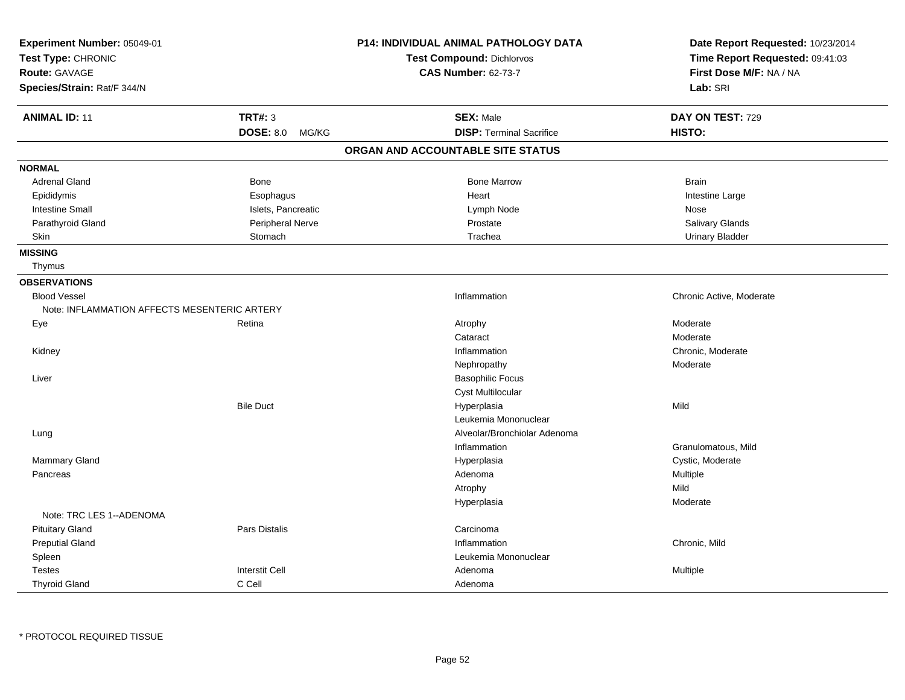| Experiment Number: 05049-01<br>Test Type: CHRONIC<br><b>Route: GAVAGE</b><br>Species/Strain: Rat/F 344/N |                           | P14: INDIVIDUAL ANIMAL PATHOLOGY DATA<br>Test Compound: Dichlorvos<br><b>CAS Number: 62-73-7</b> | Date Report Requested: 10/23/2014<br>Time Report Requested: 09:41:03<br>First Dose M/F: NA / NA<br>Lab: SRI |
|----------------------------------------------------------------------------------------------------------|---------------------------|--------------------------------------------------------------------------------------------------|-------------------------------------------------------------------------------------------------------------|
| <b>ANIMAL ID: 11</b>                                                                                     | <b>TRT#: 3</b>            | <b>SEX: Male</b>                                                                                 | DAY ON TEST: 729                                                                                            |
|                                                                                                          | <b>DOSE: 8.0</b><br>MG/KG | <b>DISP: Terminal Sacrifice</b>                                                                  | HISTO:                                                                                                      |
|                                                                                                          |                           | ORGAN AND ACCOUNTABLE SITE STATUS                                                                |                                                                                                             |
| <b>NORMAL</b>                                                                                            |                           |                                                                                                  |                                                                                                             |
| <b>Adrenal Gland</b>                                                                                     | <b>Bone</b>               | <b>Bone Marrow</b>                                                                               | <b>Brain</b>                                                                                                |
| Epididymis                                                                                               | Esophagus                 | Heart                                                                                            | Intestine Large                                                                                             |
| <b>Intestine Small</b>                                                                                   | Islets, Pancreatic        | Lymph Node                                                                                       | Nose                                                                                                        |
| Parathyroid Gland                                                                                        | Peripheral Nerve          | Prostate                                                                                         | Salivary Glands                                                                                             |
| <b>Skin</b>                                                                                              | Stomach                   | Trachea                                                                                          | <b>Urinary Bladder</b>                                                                                      |
| <b>MISSING</b>                                                                                           |                           |                                                                                                  |                                                                                                             |
| Thymus                                                                                                   |                           |                                                                                                  |                                                                                                             |
| <b>OBSERVATIONS</b>                                                                                      |                           |                                                                                                  |                                                                                                             |
| <b>Blood Vessel</b>                                                                                      |                           | Inflammation                                                                                     | Chronic Active, Moderate                                                                                    |
| Note: INFLAMMATION AFFECTS MESENTERIC ARTERY                                                             |                           |                                                                                                  |                                                                                                             |
| Eye                                                                                                      | Retina                    | Atrophy                                                                                          | Moderate                                                                                                    |
|                                                                                                          |                           | Cataract                                                                                         | Moderate                                                                                                    |
| Kidney                                                                                                   |                           | Inflammation                                                                                     | Chronic, Moderate                                                                                           |
|                                                                                                          |                           | Nephropathy                                                                                      | Moderate                                                                                                    |
| Liver                                                                                                    |                           | <b>Basophilic Focus</b>                                                                          |                                                                                                             |
|                                                                                                          |                           | <b>Cyst Multilocular</b>                                                                         |                                                                                                             |
|                                                                                                          | <b>Bile Duct</b>          | Hyperplasia                                                                                      | Mild                                                                                                        |
|                                                                                                          |                           | Leukemia Mononuclear                                                                             |                                                                                                             |
| Lung                                                                                                     |                           | Alveolar/Bronchiolar Adenoma                                                                     |                                                                                                             |
|                                                                                                          |                           | Inflammation                                                                                     | Granulomatous, Mild                                                                                         |
| Mammary Gland                                                                                            |                           | Hyperplasia                                                                                      | Cystic, Moderate                                                                                            |
| Pancreas                                                                                                 |                           | Adenoma                                                                                          | Multiple                                                                                                    |
|                                                                                                          |                           | Atrophy                                                                                          | Mild                                                                                                        |
|                                                                                                          |                           | Hyperplasia                                                                                      | Moderate                                                                                                    |
| Note: TRC LES 1--ADENOMA                                                                                 |                           |                                                                                                  |                                                                                                             |
| <b>Pituitary Gland</b>                                                                                   | Pars Distalis             | Carcinoma                                                                                        |                                                                                                             |
| <b>Preputial Gland</b>                                                                                   |                           | Inflammation                                                                                     | Chronic, Mild                                                                                               |
| Spleen                                                                                                   |                           | Leukemia Mononuclear                                                                             |                                                                                                             |
| <b>Testes</b>                                                                                            | <b>Interstit Cell</b>     | Adenoma                                                                                          | Multiple                                                                                                    |
| <b>Thyroid Gland</b>                                                                                     | C Cell                    | Adenoma                                                                                          |                                                                                                             |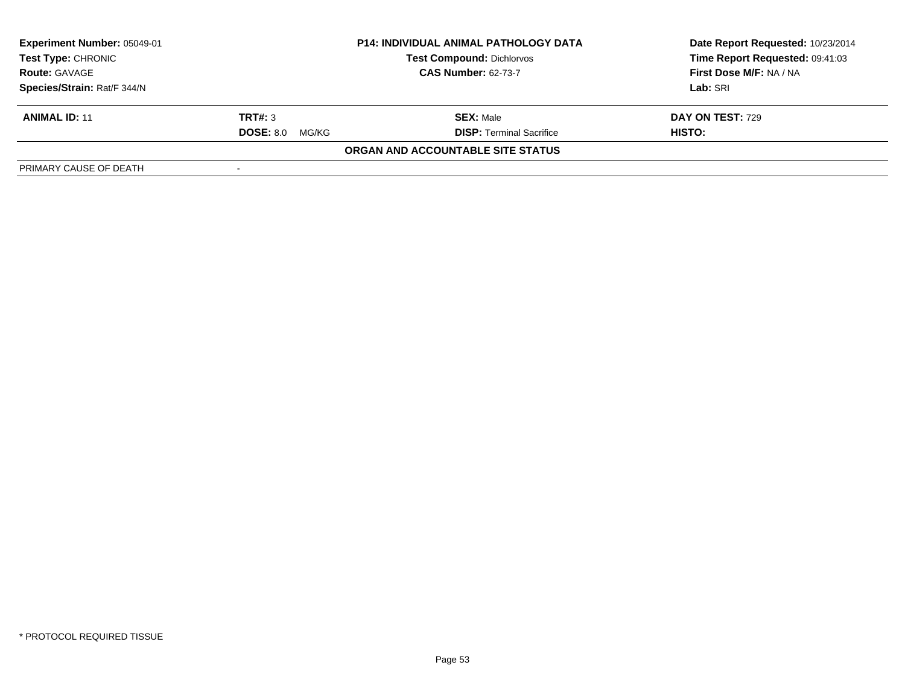| <b>Experiment Number: 05049-01</b><br><b>Test Type: CHRONIC</b><br><b>Route: GAVAGE</b> | <b>P14: INDIVIDUAL ANIMAL PATHOLOGY DATA</b><br><b>Test Compound: Dichlorvos</b><br><b>CAS Number: 62-73-7</b> |                                   | Date Report Requested: 10/23/2014<br>Time Report Requested: 09:41:03<br>First Dose M/F: NA / NA |
|-----------------------------------------------------------------------------------------|----------------------------------------------------------------------------------------------------------------|-----------------------------------|-------------------------------------------------------------------------------------------------|
| Species/Strain: Rat/F 344/N                                                             |                                                                                                                |                                   | Lab: SRI                                                                                        |
| <b>ANIMAL ID: 11</b>                                                                    | TRT#: 3                                                                                                        | <b>SEX: Male</b>                  | <b>DAY ON TEST: 729</b>                                                                         |
|                                                                                         | <b>DOSE: 8.0</b><br>MG/KG                                                                                      | <b>DISP: Terminal Sacrifice</b>   | HISTO:                                                                                          |
|                                                                                         |                                                                                                                | ORGAN AND ACCOUNTABLE SITE STATUS |                                                                                                 |
| PRIMARY CAUSE OF DEATH                                                                  |                                                                                                                |                                   |                                                                                                 |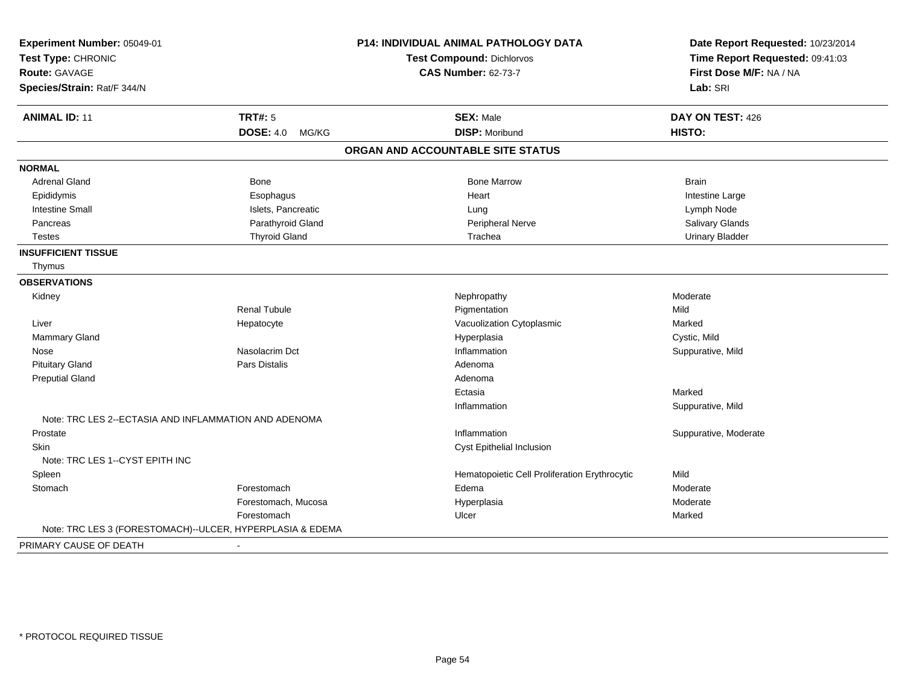| Experiment Number: 05049-01<br>Test Type: CHRONIC         |                           | P14: INDIVIDUAL ANIMAL PATHOLOGY DATA         | Date Report Requested: 10/23/2014<br>Time Report Requested: 09:41:03 |
|-----------------------------------------------------------|---------------------------|-----------------------------------------------|----------------------------------------------------------------------|
|                                                           |                           | <b>Test Compound: Dichlorvos</b>              |                                                                      |
| <b>Route: GAVAGE</b>                                      |                           | <b>CAS Number: 62-73-7</b>                    | First Dose M/F: NA / NA                                              |
| Species/Strain: Rat/F 344/N                               |                           |                                               | Lab: SRI                                                             |
| <b>ANIMAL ID: 11</b>                                      | <b>TRT#: 5</b>            | <b>SEX: Male</b>                              | DAY ON TEST: 426                                                     |
|                                                           | <b>DOSE: 4.0</b><br>MG/KG | <b>DISP: Moribund</b>                         | HISTO:                                                               |
|                                                           |                           | ORGAN AND ACCOUNTABLE SITE STATUS             |                                                                      |
| <b>NORMAL</b>                                             |                           |                                               |                                                                      |
| <b>Adrenal Gland</b>                                      | Bone                      | <b>Bone Marrow</b>                            | <b>Brain</b>                                                         |
| Epididymis                                                | Esophagus                 | Heart                                         | Intestine Large                                                      |
| <b>Intestine Small</b>                                    | Islets, Pancreatic        | Lung                                          | Lymph Node                                                           |
| Pancreas                                                  | Parathyroid Gland         | Peripheral Nerve                              | Salivary Glands                                                      |
| <b>Testes</b>                                             | <b>Thyroid Gland</b>      | Trachea                                       | <b>Urinary Bladder</b>                                               |
| <b>INSUFFICIENT TISSUE</b>                                |                           |                                               |                                                                      |
| Thymus                                                    |                           |                                               |                                                                      |
| <b>OBSERVATIONS</b>                                       |                           |                                               |                                                                      |
| Kidney                                                    |                           | Nephropathy                                   | Moderate                                                             |
|                                                           | <b>Renal Tubule</b>       | Pigmentation                                  | Mild                                                                 |
| Liver                                                     | Hepatocyte                | Vacuolization Cytoplasmic                     | Marked                                                               |
| Mammary Gland                                             |                           | Hyperplasia                                   | Cystic, Mild                                                         |
| Nose                                                      | Nasolacrim Dct            | Inflammation                                  | Suppurative, Mild                                                    |
| <b>Pituitary Gland</b>                                    | Pars Distalis             | Adenoma                                       |                                                                      |
| <b>Preputial Gland</b>                                    |                           | Adenoma                                       |                                                                      |
|                                                           |                           | Ectasia                                       | Marked                                                               |
|                                                           |                           | Inflammation                                  | Suppurative, Mild                                                    |
| Note: TRC LES 2--ECTASIA AND INFLAMMATION AND ADENOMA     |                           |                                               |                                                                      |
| Prostate                                                  |                           | Inflammation                                  | Suppurative, Moderate                                                |
| <b>Skin</b>                                               |                           | Cyst Epithelial Inclusion                     |                                                                      |
| Note: TRC LES 1--CYST EPITH INC                           |                           |                                               |                                                                      |
| Spleen                                                    |                           | Hematopoietic Cell Proliferation Erythrocytic | Mild                                                                 |
| Stomach                                                   | Forestomach               | Edema                                         | Moderate                                                             |
|                                                           | Forestomach, Mucosa       | Hyperplasia                                   | Moderate                                                             |
|                                                           | Forestomach               | Ulcer                                         | Marked                                                               |
| Note: TRC LES 3 (FORESTOMACH)--ULCER, HYPERPLASIA & EDEMA |                           |                                               |                                                                      |
| PRIMARY CAUSE OF DEATH                                    |                           |                                               |                                                                      |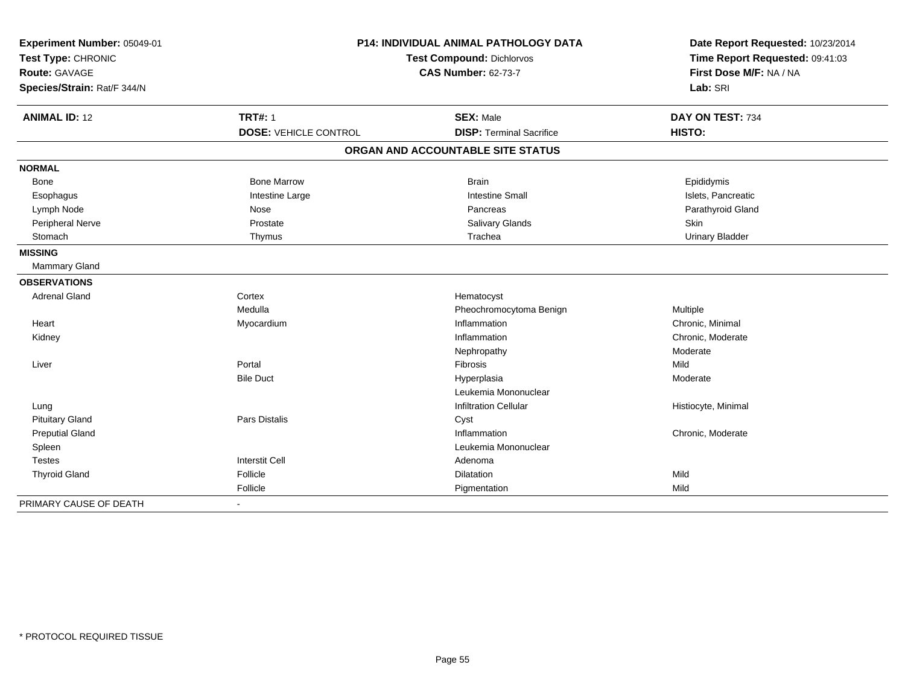| Experiment Number: 05049-01<br>Test Type: CHRONIC<br><b>Route: GAVAGE</b><br>Species/Strain: Rat/F 344/N |                                                | P14: INDIVIDUAL ANIMAL PATHOLOGY DATA<br>Test Compound: Dichlorvos<br><b>CAS Number: 62-73-7</b> | Date Report Requested: 10/23/2014<br>Time Report Requested: 09:41:03<br>First Dose M/F: NA / NA<br>Lab: SRI |  |
|----------------------------------------------------------------------------------------------------------|------------------------------------------------|--------------------------------------------------------------------------------------------------|-------------------------------------------------------------------------------------------------------------|--|
| <b>ANIMAL ID: 12</b>                                                                                     | <b>TRT#: 1</b><br><b>DOSE: VEHICLE CONTROL</b> | <b>SEX: Male</b><br><b>DISP: Terminal Sacrifice</b>                                              | DAY ON TEST: 734<br>HISTO:                                                                                  |  |
|                                                                                                          |                                                | ORGAN AND ACCOUNTABLE SITE STATUS                                                                |                                                                                                             |  |
|                                                                                                          |                                                |                                                                                                  |                                                                                                             |  |
| <b>NORMAL</b>                                                                                            |                                                |                                                                                                  |                                                                                                             |  |
| Bone                                                                                                     | <b>Bone Marrow</b>                             | <b>Brain</b>                                                                                     | Epididymis                                                                                                  |  |
| Esophagus                                                                                                | Intestine Large                                | <b>Intestine Small</b>                                                                           | Islets, Pancreatic                                                                                          |  |
| Lymph Node                                                                                               | Nose                                           | Pancreas                                                                                         | Parathyroid Gland                                                                                           |  |
| Peripheral Nerve                                                                                         | Prostate                                       | Salivary Glands                                                                                  | Skin                                                                                                        |  |
| Stomach                                                                                                  | Thymus                                         | Trachea                                                                                          | <b>Urinary Bladder</b>                                                                                      |  |
| <b>MISSING</b>                                                                                           |                                                |                                                                                                  |                                                                                                             |  |
| Mammary Gland                                                                                            |                                                |                                                                                                  |                                                                                                             |  |
| <b>OBSERVATIONS</b>                                                                                      |                                                |                                                                                                  |                                                                                                             |  |
| <b>Adrenal Gland</b>                                                                                     | Cortex                                         | Hematocyst                                                                                       |                                                                                                             |  |
|                                                                                                          | Medulla                                        | Pheochromocytoma Benign                                                                          | Multiple                                                                                                    |  |
| Heart                                                                                                    | Myocardium                                     | Inflammation                                                                                     | Chronic, Minimal                                                                                            |  |
| Kidney                                                                                                   |                                                | Inflammation                                                                                     | Chronic, Moderate                                                                                           |  |
|                                                                                                          |                                                | Nephropathy                                                                                      | Moderate                                                                                                    |  |
| Liver                                                                                                    | Portal                                         | Fibrosis                                                                                         | Mild                                                                                                        |  |
|                                                                                                          | <b>Bile Duct</b>                               | Hyperplasia                                                                                      | Moderate                                                                                                    |  |
|                                                                                                          |                                                | Leukemia Mononuclear                                                                             |                                                                                                             |  |
| Lung                                                                                                     |                                                | <b>Infiltration Cellular</b>                                                                     | Histiocyte, Minimal                                                                                         |  |
| <b>Pituitary Gland</b>                                                                                   | <b>Pars Distalis</b>                           | Cyst                                                                                             |                                                                                                             |  |
| <b>Preputial Gland</b>                                                                                   |                                                | Inflammation                                                                                     | Chronic, Moderate                                                                                           |  |
| Spleen                                                                                                   |                                                | Leukemia Mononuclear                                                                             |                                                                                                             |  |
| <b>Testes</b>                                                                                            | <b>Interstit Cell</b>                          | Adenoma                                                                                          |                                                                                                             |  |
| <b>Thyroid Gland</b>                                                                                     | Follicle                                       | Dilatation                                                                                       | Mild                                                                                                        |  |
|                                                                                                          | Follicle                                       | Pigmentation                                                                                     | Mild                                                                                                        |  |
| PRIMARY CAUSE OF DEATH                                                                                   |                                                |                                                                                                  |                                                                                                             |  |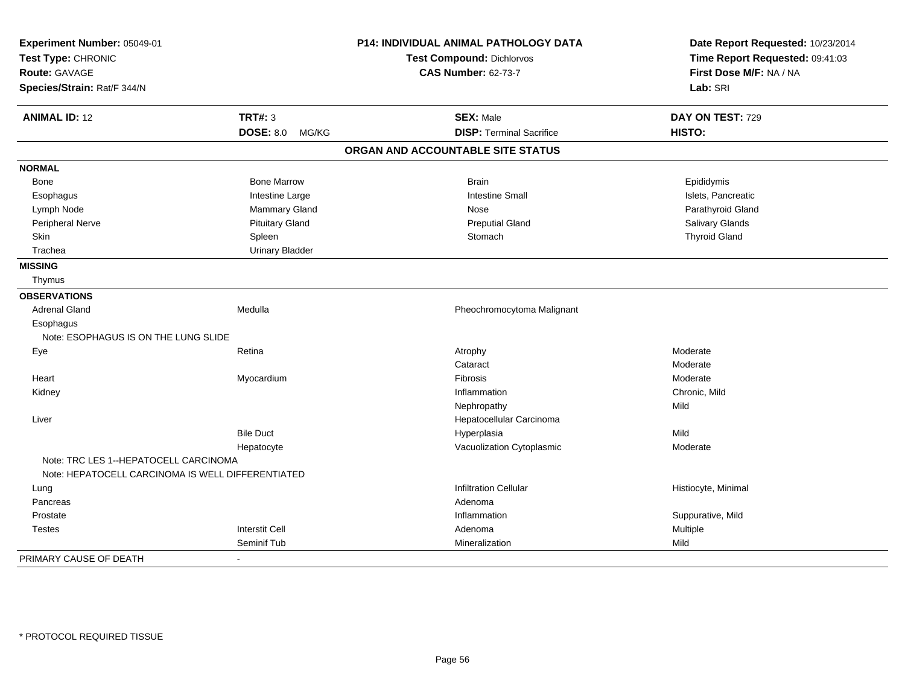| Experiment Number: 05049-01<br>Test Type: CHRONIC |                           | <b>P14: INDIVIDUAL ANIMAL PATHOLOGY DATA</b> | Date Report Requested: 10/23/2014<br>Time Report Requested: 09:41:03 |
|---------------------------------------------------|---------------------------|----------------------------------------------|----------------------------------------------------------------------|
|                                                   |                           | <b>Test Compound: Dichlorvos</b>             |                                                                      |
| <b>Route: GAVAGE</b>                              |                           | <b>CAS Number: 62-73-7</b>                   | First Dose M/F: NA / NA                                              |
| Species/Strain: Rat/F 344/N                       |                           |                                              | Lab: SRI                                                             |
| <b>ANIMAL ID: 12</b>                              | <b>TRT#: 3</b>            | <b>SEX: Male</b>                             | DAY ON TEST: 729                                                     |
|                                                   | <b>DOSE: 8.0</b><br>MG/KG | <b>DISP: Terminal Sacrifice</b>              | HISTO:                                                               |
|                                                   |                           | ORGAN AND ACCOUNTABLE SITE STATUS            |                                                                      |
| <b>NORMAL</b>                                     |                           |                                              |                                                                      |
| Bone                                              | <b>Bone Marrow</b>        | <b>Brain</b>                                 | Epididymis                                                           |
| Esophagus                                         | Intestine Large           | <b>Intestine Small</b>                       | Islets, Pancreatic                                                   |
| Lymph Node                                        | <b>Mammary Gland</b>      | Nose                                         | Parathyroid Gland                                                    |
| Peripheral Nerve                                  | <b>Pituitary Gland</b>    | <b>Preputial Gland</b>                       | Salivary Glands                                                      |
| Skin                                              | Spleen                    | Stomach                                      | <b>Thyroid Gland</b>                                                 |
| Trachea                                           | <b>Urinary Bladder</b>    |                                              |                                                                      |
| <b>MISSING</b>                                    |                           |                                              |                                                                      |
| Thymus                                            |                           |                                              |                                                                      |
| <b>OBSERVATIONS</b>                               |                           |                                              |                                                                      |
| <b>Adrenal Gland</b>                              | Medulla                   | Pheochromocytoma Malignant                   |                                                                      |
| Esophagus                                         |                           |                                              |                                                                      |
| Note: ESOPHAGUS IS ON THE LUNG SLIDE              |                           |                                              |                                                                      |
| Eye                                               | Retina                    | Atrophy                                      | Moderate                                                             |
|                                                   |                           | Cataract                                     | Moderate                                                             |
| Heart                                             | Myocardium                | Fibrosis                                     | Moderate                                                             |
| Kidney                                            |                           | Inflammation                                 | Chronic, Mild                                                        |
|                                                   |                           | Nephropathy                                  | Mild                                                                 |
| Liver                                             |                           | Hepatocellular Carcinoma                     |                                                                      |
|                                                   | <b>Bile Duct</b>          | Hyperplasia                                  | Mild                                                                 |
|                                                   | Hepatocyte                | Vacuolization Cytoplasmic                    | Moderate                                                             |
| Note: TRC LES 1--HEPATOCELL CARCINOMA             |                           |                                              |                                                                      |
| Note: HEPATOCELL CARCINOMA IS WELL DIFFERENTIATED |                           |                                              |                                                                      |
| Lung                                              |                           | <b>Infiltration Cellular</b>                 | Histiocyte, Minimal                                                  |
| Pancreas                                          |                           | Adenoma                                      |                                                                      |
| Prostate                                          |                           | Inflammation                                 | Suppurative, Mild                                                    |
| Testes                                            | <b>Interstit Cell</b>     | Adenoma                                      | Multiple                                                             |
|                                                   | Seminif Tub               | Mineralization                               | Mild                                                                 |
| PRIMARY CAUSE OF DEATH                            |                           |                                              |                                                                      |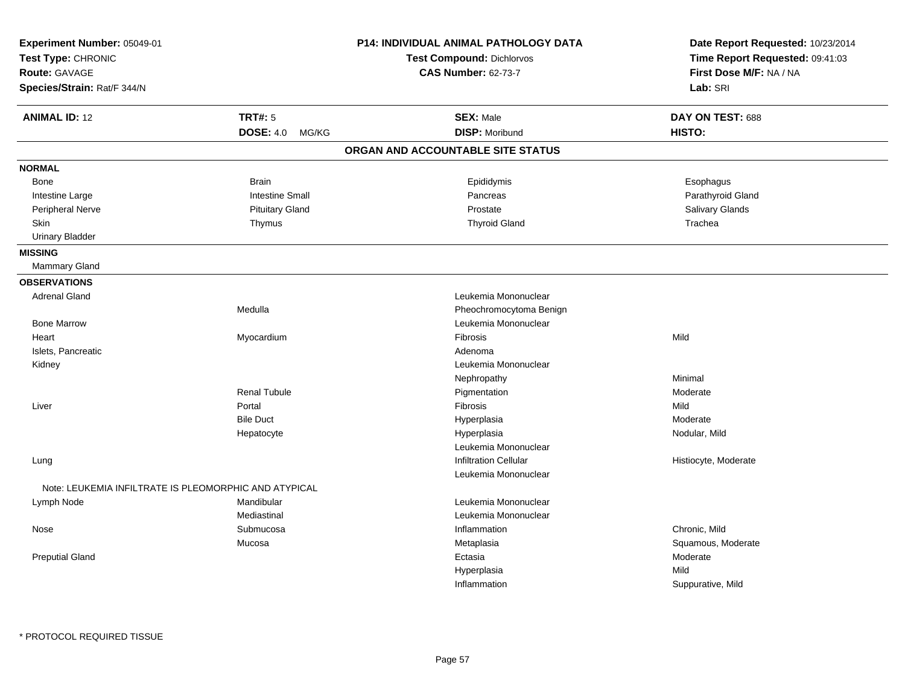| Experiment Number: 05049-01<br>Test Type: CHRONIC<br><b>Route: GAVAGE</b><br>Species/Strain: Rat/F 344/N |                           | <b>P14: INDIVIDUAL ANIMAL PATHOLOGY DATA</b><br><b>Test Compound: Dichlorvos</b><br><b>CAS Number: 62-73-7</b> | Date Report Requested: 10/23/2014<br>Time Report Requested: 09:41:03<br>First Dose M/F: NA / NA<br>Lab: SRI |
|----------------------------------------------------------------------------------------------------------|---------------------------|----------------------------------------------------------------------------------------------------------------|-------------------------------------------------------------------------------------------------------------|
| <b>ANIMAL ID: 12</b>                                                                                     | <b>TRT#: 5</b>            | <b>SEX: Male</b>                                                                                               | DAY ON TEST: 688                                                                                            |
|                                                                                                          | <b>DOSE: 4.0</b><br>MG/KG | <b>DISP: Moribund</b>                                                                                          | HISTO:                                                                                                      |
|                                                                                                          |                           | ORGAN AND ACCOUNTABLE SITE STATUS                                                                              |                                                                                                             |
| <b>NORMAL</b>                                                                                            |                           |                                                                                                                |                                                                                                             |
| Bone                                                                                                     | <b>Brain</b>              | Epididymis                                                                                                     | Esophagus                                                                                                   |
| Intestine Large                                                                                          | <b>Intestine Small</b>    | Pancreas                                                                                                       | Parathyroid Gland                                                                                           |
| Peripheral Nerve                                                                                         | <b>Pituitary Gland</b>    | Prostate                                                                                                       | Salivary Glands                                                                                             |
| <b>Skin</b>                                                                                              | Thymus                    | <b>Thyroid Gland</b>                                                                                           | Trachea                                                                                                     |
| <b>Urinary Bladder</b>                                                                                   |                           |                                                                                                                |                                                                                                             |
| <b>MISSING</b>                                                                                           |                           |                                                                                                                |                                                                                                             |
| Mammary Gland                                                                                            |                           |                                                                                                                |                                                                                                             |
| <b>OBSERVATIONS</b>                                                                                      |                           |                                                                                                                |                                                                                                             |
| <b>Adrenal Gland</b>                                                                                     |                           | Leukemia Mononuclear                                                                                           |                                                                                                             |
|                                                                                                          | Medulla                   | Pheochromocytoma Benign                                                                                        |                                                                                                             |
| <b>Bone Marrow</b>                                                                                       |                           | Leukemia Mononuclear                                                                                           |                                                                                                             |
| Heart                                                                                                    | Myocardium                | Fibrosis                                                                                                       | Mild                                                                                                        |
| Islets, Pancreatic                                                                                       |                           | Adenoma                                                                                                        |                                                                                                             |
| Kidney                                                                                                   |                           | Leukemia Mononuclear                                                                                           |                                                                                                             |
|                                                                                                          |                           | Nephropathy                                                                                                    | Minimal                                                                                                     |
|                                                                                                          | <b>Renal Tubule</b>       | Pigmentation                                                                                                   | Moderate                                                                                                    |
| Liver                                                                                                    | Portal                    | Fibrosis                                                                                                       | Mild                                                                                                        |
|                                                                                                          | <b>Bile Duct</b>          | Hyperplasia                                                                                                    | Moderate                                                                                                    |
|                                                                                                          | Hepatocyte                | Hyperplasia                                                                                                    | Nodular, Mild                                                                                               |
|                                                                                                          |                           | Leukemia Mononuclear                                                                                           |                                                                                                             |
| Lung                                                                                                     |                           | <b>Infiltration Cellular</b>                                                                                   | Histiocyte, Moderate                                                                                        |
|                                                                                                          |                           | Leukemia Mononuclear                                                                                           |                                                                                                             |
| Note: LEUKEMIA INFILTRATE IS PLEOMORPHIC AND ATYPICAL                                                    |                           |                                                                                                                |                                                                                                             |
| Lymph Node                                                                                               | Mandibular                | Leukemia Mononuclear                                                                                           |                                                                                                             |
|                                                                                                          | Mediastinal               | Leukemia Mononuclear                                                                                           |                                                                                                             |
| Nose                                                                                                     | Submucosa                 | Inflammation                                                                                                   | Chronic, Mild                                                                                               |
|                                                                                                          | Mucosa                    | Metaplasia                                                                                                     | Squamous, Moderate                                                                                          |
| <b>Preputial Gland</b>                                                                                   |                           | Ectasia                                                                                                        | Moderate                                                                                                    |
|                                                                                                          |                           | Hyperplasia                                                                                                    | Mild                                                                                                        |
|                                                                                                          |                           | Inflammation                                                                                                   | Suppurative, Mild                                                                                           |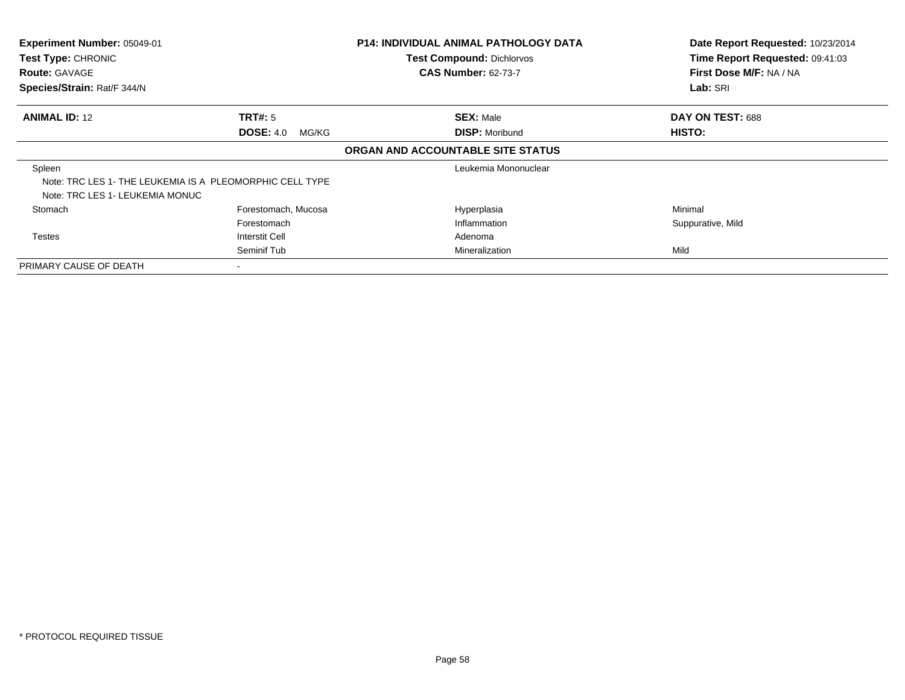| Experiment Number: 05049-01<br>Test Type: CHRONIC<br><b>Route: GAVAGE</b><br>Species/Strain: Rat/F 344/N |                                      | <b>P14: INDIVIDUAL ANIMAL PATHOLOGY DATA</b><br><b>Test Compound: Dichlorvos</b><br><b>CAS Number: 62-73-7</b> | Date Report Requested: 10/23/2014<br>Time Report Requested: 09:41:03<br>First Dose M/F: NA / NA<br>Lab: SRI |
|----------------------------------------------------------------------------------------------------------|--------------------------------------|----------------------------------------------------------------------------------------------------------------|-------------------------------------------------------------------------------------------------------------|
| <b>ANIMAL ID: 12</b>                                                                                     | TRT#: 5<br><b>DOSE: 4.0</b><br>MG/KG | <b>SEX: Male</b><br><b>DISP: Moribund</b>                                                                      | DAY ON TEST: 688<br>HISTO:                                                                                  |
|                                                                                                          |                                      | ORGAN AND ACCOUNTABLE SITE STATUS                                                                              |                                                                                                             |
| Spleen<br>Note: TRC LES 1- THE LEUKEMIA IS A PLEOMORPHIC CELL TYPE<br>Note: TRC LES 1- LEUKEMIA MONUC    |                                      | Leukemia Mononuclear                                                                                           |                                                                                                             |
| Stomach                                                                                                  | Forestomach, Mucosa                  | Hyperplasia                                                                                                    | Minimal                                                                                                     |
|                                                                                                          | Forestomach                          | Inflammation                                                                                                   | Suppurative, Mild                                                                                           |
| <b>Testes</b>                                                                                            | Interstit Cell                       | Adenoma                                                                                                        |                                                                                                             |
|                                                                                                          | Seminif Tub                          | Mineralization                                                                                                 | Mild                                                                                                        |
| PRIMARY CAUSE OF DEATH                                                                                   |                                      |                                                                                                                |                                                                                                             |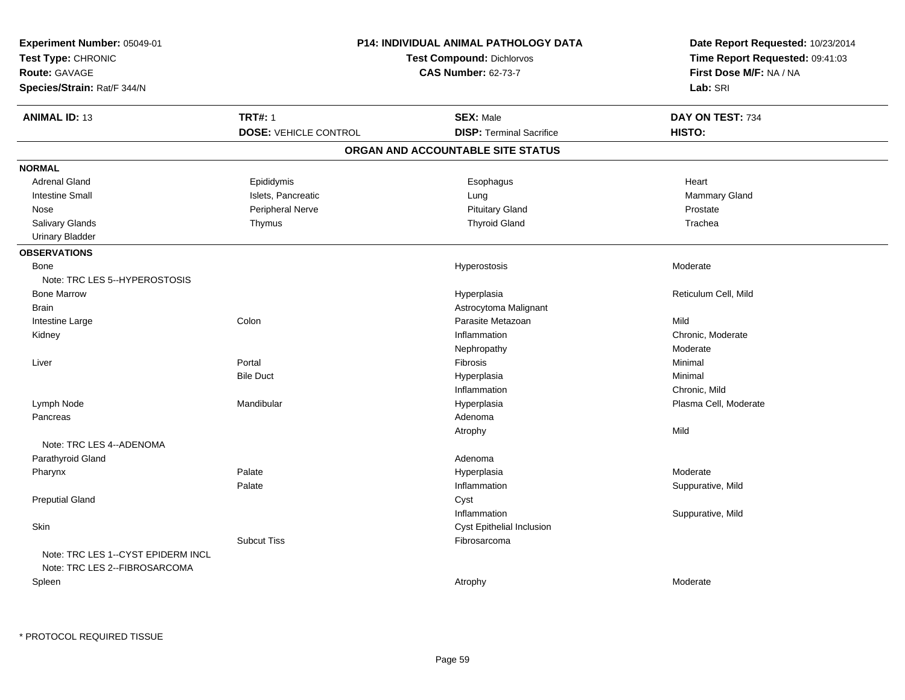| Experiment Number: 05049-01<br>Test Type: CHRONIC<br>Route: GAVAGE<br>Species/Strain: Rat/F 344/N | <b>P14: INDIVIDUAL ANIMAL PATHOLOGY DATA</b><br><b>Test Compound: Dichlorvos</b><br><b>CAS Number: 62-73-7</b> |                                                     | Date Report Requested: 10/23/2014<br>Time Report Requested: 09:41:03<br>First Dose M/F: NA / NA<br>Lab: SRI |
|---------------------------------------------------------------------------------------------------|----------------------------------------------------------------------------------------------------------------|-----------------------------------------------------|-------------------------------------------------------------------------------------------------------------|
| <b>ANIMAL ID: 13</b>                                                                              | <b>TRT#: 1</b><br><b>DOSE: VEHICLE CONTROL</b>                                                                 | <b>SEX: Male</b><br><b>DISP: Terminal Sacrifice</b> | DAY ON TEST: 734<br>HISTO:                                                                                  |
|                                                                                                   |                                                                                                                | ORGAN AND ACCOUNTABLE SITE STATUS                   |                                                                                                             |
| <b>NORMAL</b>                                                                                     |                                                                                                                |                                                     |                                                                                                             |
| <b>Adrenal Gland</b>                                                                              | Epididymis                                                                                                     | Esophagus                                           | Heart                                                                                                       |
| <b>Intestine Small</b>                                                                            | Islets, Pancreatic                                                                                             | Lung                                                | Mammary Gland                                                                                               |
| Nose                                                                                              | Peripheral Nerve                                                                                               | <b>Pituitary Gland</b>                              | Prostate                                                                                                    |
| Salivary Glands                                                                                   | Thymus                                                                                                         | <b>Thyroid Gland</b>                                | Trachea                                                                                                     |
| <b>Urinary Bladder</b>                                                                            |                                                                                                                |                                                     |                                                                                                             |
| <b>OBSERVATIONS</b>                                                                               |                                                                                                                |                                                     |                                                                                                             |
| Bone                                                                                              |                                                                                                                | Hyperostosis                                        | Moderate                                                                                                    |
| Note: TRC LES 5--HYPEROSTOSIS                                                                     |                                                                                                                |                                                     |                                                                                                             |
| <b>Bone Marrow</b>                                                                                |                                                                                                                | Hyperplasia                                         | Reticulum Cell, Mild                                                                                        |
| <b>Brain</b>                                                                                      |                                                                                                                | Astrocytoma Malignant                               |                                                                                                             |
| Intestine Large                                                                                   | Colon                                                                                                          | Parasite Metazoan                                   | Mild                                                                                                        |
| Kidney                                                                                            |                                                                                                                | Inflammation                                        | Chronic, Moderate                                                                                           |
|                                                                                                   |                                                                                                                | Nephropathy                                         | Moderate                                                                                                    |
| Liver                                                                                             | Portal                                                                                                         | Fibrosis                                            | Minimal                                                                                                     |
|                                                                                                   | <b>Bile Duct</b>                                                                                               | Hyperplasia                                         | Minimal                                                                                                     |
|                                                                                                   |                                                                                                                | Inflammation                                        | Chronic, Mild                                                                                               |
| Lymph Node                                                                                        | Mandibular                                                                                                     | Hyperplasia                                         | Plasma Cell, Moderate                                                                                       |
| Pancreas                                                                                          |                                                                                                                | Adenoma                                             |                                                                                                             |
|                                                                                                   |                                                                                                                | Atrophy                                             | Mild                                                                                                        |
| Note: TRC LES 4--ADENOMA                                                                          |                                                                                                                |                                                     |                                                                                                             |
| Parathyroid Gland                                                                                 |                                                                                                                | Adenoma                                             |                                                                                                             |
| Pharynx                                                                                           | Palate                                                                                                         | Hyperplasia                                         | Moderate                                                                                                    |
|                                                                                                   | Palate                                                                                                         | Inflammation                                        | Suppurative, Mild                                                                                           |
| <b>Preputial Gland</b>                                                                            |                                                                                                                | Cyst                                                |                                                                                                             |
|                                                                                                   |                                                                                                                | Inflammation                                        | Suppurative, Mild                                                                                           |
| Skin                                                                                              |                                                                                                                | Cyst Epithelial Inclusion                           |                                                                                                             |
|                                                                                                   | <b>Subcut Tiss</b>                                                                                             | Fibrosarcoma                                        |                                                                                                             |
| Note: TRC LES 1--CYST EPIDERM INCL<br>Note: TRC LES 2--FIBROSARCOMA                               |                                                                                                                |                                                     |                                                                                                             |
| Spleen                                                                                            |                                                                                                                | Atrophy                                             | Moderate                                                                                                    |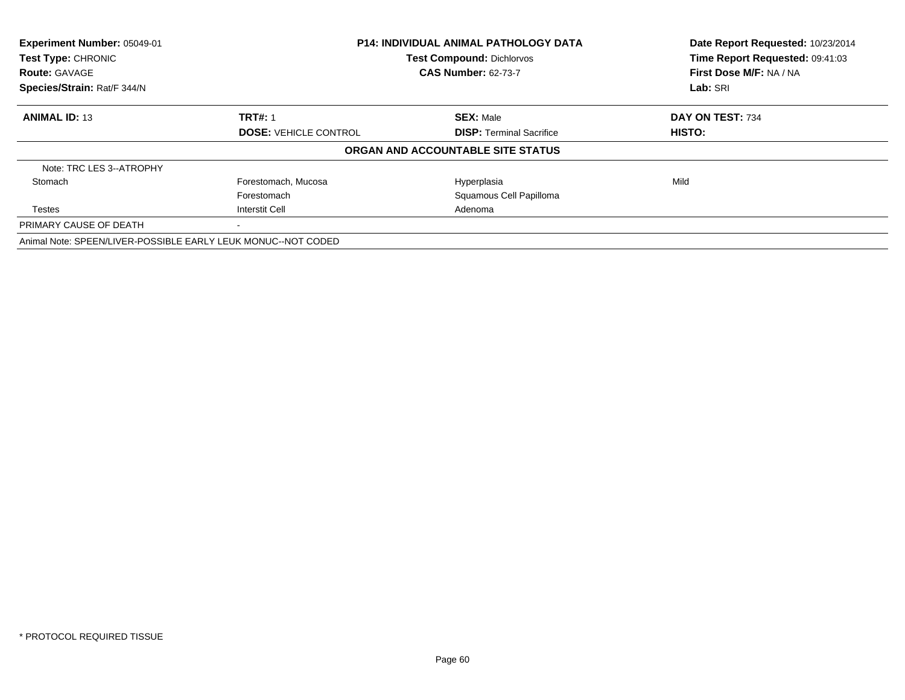| Experiment Number: 05049-01<br>Test Type: CHRONIC             | <b>P14: INDIVIDUAL ANIMAL PATHOLOGY DATA</b><br><b>Test Compound: Dichlorvos</b> |                                   | Date Report Requested: 10/23/2014<br>Time Report Requested: 09:41:03 |
|---------------------------------------------------------------|----------------------------------------------------------------------------------|-----------------------------------|----------------------------------------------------------------------|
| <b>Route: GAVAGE</b>                                          |                                                                                  | <b>CAS Number: 62-73-7</b>        | First Dose M/F: NA / NA                                              |
| Species/Strain: Rat/F 344/N                                   |                                                                                  |                                   | Lab: SRI                                                             |
| <b>ANIMAL ID: 13</b>                                          | <b>TRT#: 1</b>                                                                   | <b>SEX: Male</b>                  | DAY ON TEST: 734                                                     |
|                                                               | <b>DOSE: VEHICLE CONTROL</b><br><b>DISP: Terminal Sacrifice</b>                  | <b>HISTO:</b>                     |                                                                      |
|                                                               |                                                                                  | ORGAN AND ACCOUNTABLE SITE STATUS |                                                                      |
| Note: TRC LES 3--ATROPHY                                      |                                                                                  |                                   |                                                                      |
| Stomach                                                       | Forestomach, Mucosa                                                              | Hyperplasia                       | Mild                                                                 |
|                                                               | Forestomach                                                                      | Squamous Cell Papilloma           |                                                                      |
| Testes                                                        | <b>Interstit Cell</b>                                                            | Adenoma                           |                                                                      |
| PRIMARY CAUSE OF DEATH                                        |                                                                                  |                                   |                                                                      |
| Animal Note: SPEEN/LIVER-POSSIBLE EARLY LEUK MONUC--NOT CODED |                                                                                  |                                   |                                                                      |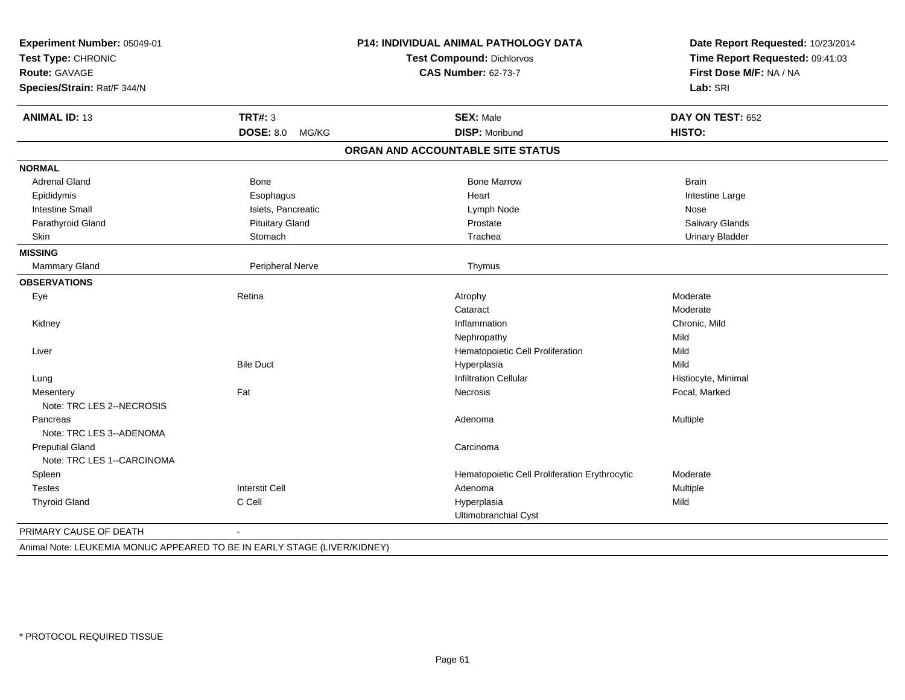| Experiment Number: 05049-01<br>Test Type: CHRONIC |                           | P14: INDIVIDUAL ANIMAL PATHOLOGY DATA         | Date Report Requested: 10/23/2014<br>Time Report Requested: 09:41:03 |
|---------------------------------------------------|---------------------------|-----------------------------------------------|----------------------------------------------------------------------|
|                                                   |                           | <b>Test Compound: Dichlorvos</b>              |                                                                      |
| Route: GAVAGE                                     |                           | <b>CAS Number: 62-73-7</b>                    | First Dose M/F: NA / NA                                              |
| Species/Strain: Rat/F 344/N                       |                           |                                               | Lab: SRI                                                             |
| <b>ANIMAL ID: 13</b>                              | <b>TRT#: 3</b>            | <b>SEX: Male</b>                              | DAY ON TEST: 652                                                     |
|                                                   | <b>DOSE: 8.0</b><br>MG/KG | <b>DISP: Moribund</b>                         | HISTO:                                                               |
|                                                   |                           | ORGAN AND ACCOUNTABLE SITE STATUS             |                                                                      |
| <b>NORMAL</b>                                     |                           |                                               |                                                                      |
| <b>Adrenal Gland</b>                              | Bone                      | <b>Bone Marrow</b>                            | <b>Brain</b>                                                         |
| Epididymis                                        | Esophagus                 | Heart                                         | Intestine Large                                                      |
| <b>Intestine Small</b>                            | Islets, Pancreatic        | Lymph Node                                    | Nose                                                                 |
| Parathyroid Gland                                 | <b>Pituitary Gland</b>    | Prostate                                      | Salivary Glands                                                      |
| <b>Skin</b>                                       | Stomach                   | Trachea                                       | <b>Urinary Bladder</b>                                               |
| <b>MISSING</b>                                    |                           |                                               |                                                                      |
| Mammary Gland                                     | Peripheral Nerve          | Thymus                                        |                                                                      |
| <b>OBSERVATIONS</b>                               |                           |                                               |                                                                      |
| Eye                                               | Retina                    | Atrophy                                       | Moderate                                                             |
|                                                   |                           | Cataract                                      | Moderate                                                             |
| Kidney                                            |                           | Inflammation                                  | Chronic, Mild                                                        |
|                                                   |                           | Nephropathy                                   | Mild                                                                 |
| Liver                                             |                           | Hematopoietic Cell Proliferation              | Mild                                                                 |
|                                                   | <b>Bile Duct</b>          | Hyperplasia                                   | Mild                                                                 |
| Lung                                              |                           | <b>Infiltration Cellular</b>                  | Histiocyte, Minimal                                                  |
| Mesentery                                         | Fat                       | <b>Necrosis</b>                               | Focal, Marked                                                        |
| Note: TRC LES 2--NECROSIS                         |                           |                                               |                                                                      |
| Pancreas                                          |                           | Adenoma                                       | Multiple                                                             |
| Note: TRC LES 3--ADENOMA                          |                           |                                               |                                                                      |
| <b>Preputial Gland</b>                            |                           | Carcinoma                                     |                                                                      |
| Note: TRC LES 1--CARCINOMA                        |                           |                                               |                                                                      |
| Spleen                                            |                           | Hematopoietic Cell Proliferation Erythrocytic | Moderate                                                             |
| <b>Testes</b>                                     | <b>Interstit Cell</b>     | Adenoma                                       | Multiple                                                             |
| <b>Thyroid Gland</b>                              | C Cell                    | Hyperplasia                                   | Mild                                                                 |
|                                                   |                           | Ultimobranchial Cyst                          |                                                                      |
| PRIMARY CAUSE OF DEATH                            | $\blacksquare$            |                                               |                                                                      |

Animal Note: LEUKEMIA MONUC APPEARED TO BE IN EARLY STAGE (LIVER/KIDNEY)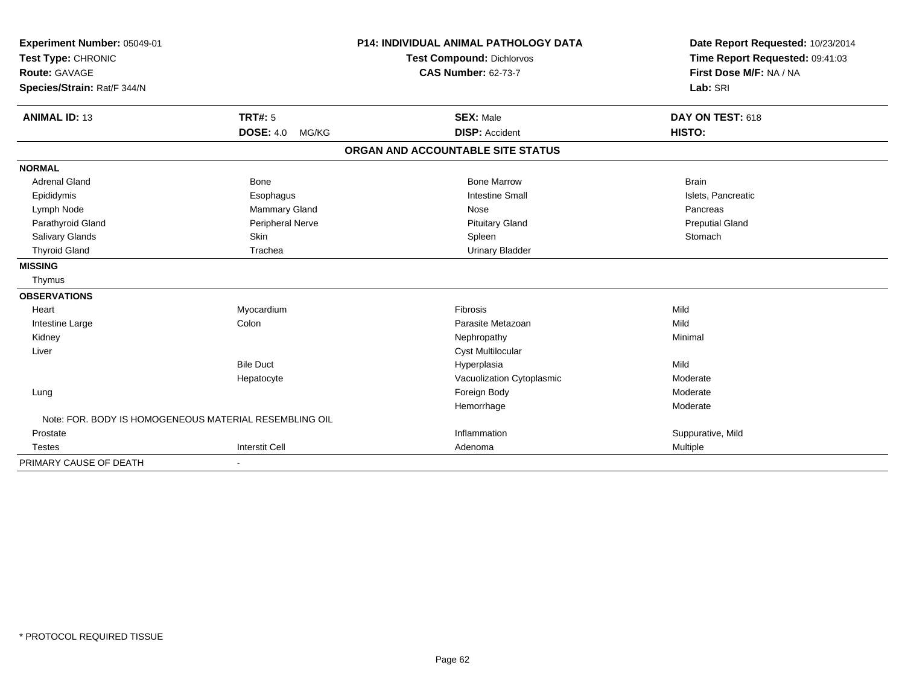| Experiment Number: 05049-01 |                                                        | <b>P14: INDIVIDUAL ANIMAL PATHOLOGY DATA</b> | Date Report Requested: 10/23/2014 |
|-----------------------------|--------------------------------------------------------|----------------------------------------------|-----------------------------------|
| Test Type: CHRONIC          |                                                        | <b>Test Compound: Dichlorvos</b>             | Time Report Requested: 09:41:03   |
| <b>Route: GAVAGE</b>        |                                                        | <b>CAS Number: 62-73-7</b>                   | First Dose M/F: NA / NA           |
| Species/Strain: Rat/F 344/N |                                                        |                                              | Lab: SRI                          |
|                             |                                                        |                                              |                                   |
| <b>ANIMAL ID: 13</b>        | <b>TRT#: 5</b>                                         | <b>SEX: Male</b>                             | DAY ON TEST: 618                  |
|                             | <b>DOSE: 4.0</b><br>MG/KG                              | <b>DISP: Accident</b>                        | HISTO:                            |
|                             |                                                        | ORGAN AND ACCOUNTABLE SITE STATUS            |                                   |
| <b>NORMAL</b>               |                                                        |                                              |                                   |
| <b>Adrenal Gland</b>        | <b>Bone</b>                                            | <b>Bone Marrow</b>                           | <b>Brain</b>                      |
| Epididymis                  | Esophagus                                              | <b>Intestine Small</b>                       | Islets, Pancreatic                |
| Lymph Node                  | <b>Mammary Gland</b>                                   | Nose                                         | Pancreas                          |
| Parathyroid Gland           | Peripheral Nerve                                       | <b>Pituitary Gland</b>                       | <b>Preputial Gland</b>            |
| Salivary Glands             | Skin                                                   | Spleen                                       | Stomach                           |
| <b>Thyroid Gland</b>        | Trachea                                                | <b>Urinary Bladder</b>                       |                                   |
| <b>MISSING</b>              |                                                        |                                              |                                   |
| Thymus                      |                                                        |                                              |                                   |
| <b>OBSERVATIONS</b>         |                                                        |                                              |                                   |
| Heart                       | Myocardium                                             | Fibrosis                                     | Mild                              |
| Intestine Large             | Colon                                                  | Parasite Metazoan                            | Mild                              |
| Kidney                      |                                                        | Nephropathy                                  | Minimal                           |
| Liver                       |                                                        | <b>Cyst Multilocular</b>                     |                                   |
|                             | <b>Bile Duct</b>                                       | Hyperplasia                                  | Mild                              |
|                             | Hepatocyte                                             | Vacuolization Cytoplasmic                    | Moderate                          |
| Lung                        |                                                        | Foreign Body                                 | Moderate                          |
|                             |                                                        | Hemorrhage                                   | Moderate                          |
|                             | Note: FOR. BODY IS HOMOGENEOUS MATERIAL RESEMBLING OIL |                                              |                                   |
| Prostate                    |                                                        | Inflammation                                 | Suppurative, Mild                 |
| <b>Testes</b>               | <b>Interstit Cell</b>                                  | Adenoma                                      | Multiple                          |
| PRIMARY CAUSE OF DEATH      |                                                        |                                              |                                   |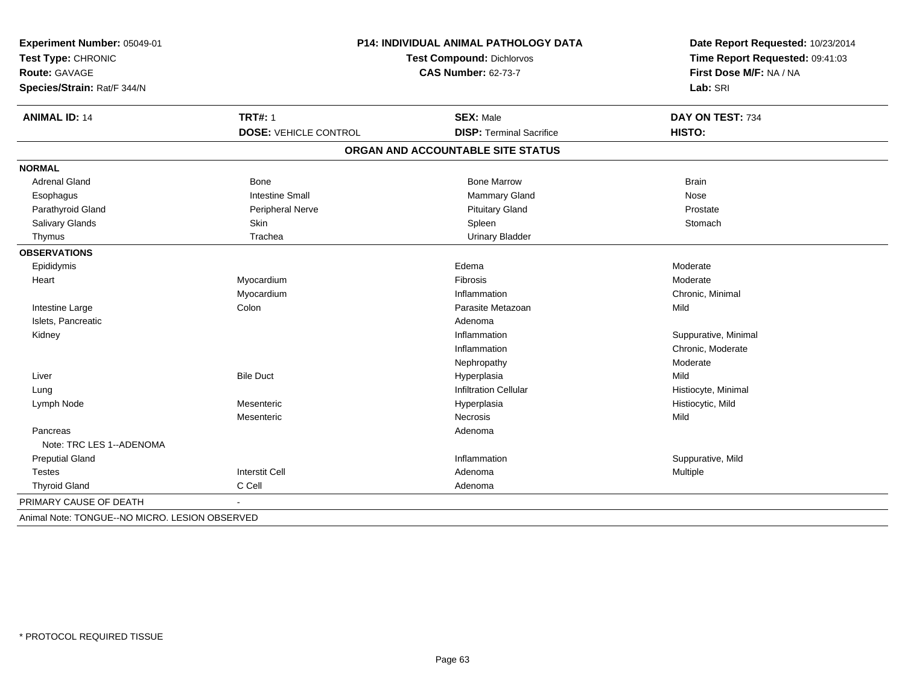| Experiment Number: 05049-01                    | <b>P14: INDIVIDUAL ANIMAL PATHOLOGY DATA</b> |                                   | Date Report Requested: 10/23/2014                          |
|------------------------------------------------|----------------------------------------------|-----------------------------------|------------------------------------------------------------|
| Test Type: CHRONIC                             |                                              | <b>Test Compound: Dichlorvos</b>  | Time Report Requested: 09:41:03<br>First Dose M/F: NA / NA |
| <b>Route: GAVAGE</b>                           |                                              | <b>CAS Number: 62-73-7</b>        |                                                            |
| Species/Strain: Rat/F 344/N                    |                                              |                                   | Lab: SRI                                                   |
| <b>ANIMAL ID: 14</b>                           | <b>TRT#: 1</b>                               | <b>SEX: Male</b>                  | DAY ON TEST: 734                                           |
|                                                | <b>DOSE: VEHICLE CONTROL</b>                 | <b>DISP: Terminal Sacrifice</b>   | HISTO:                                                     |
|                                                |                                              | ORGAN AND ACCOUNTABLE SITE STATUS |                                                            |
| <b>NORMAL</b>                                  |                                              |                                   |                                                            |
| <b>Adrenal Gland</b>                           | Bone                                         | <b>Bone Marrow</b>                | <b>Brain</b>                                               |
| Esophagus                                      | <b>Intestine Small</b>                       | Mammary Gland                     | Nose                                                       |
| Parathyroid Gland                              | <b>Peripheral Nerve</b>                      | <b>Pituitary Gland</b>            | Prostate                                                   |
| Salivary Glands                                | Skin                                         | Spleen                            | Stomach                                                    |
| Thymus                                         | Trachea                                      | <b>Urinary Bladder</b>            |                                                            |
| <b>OBSERVATIONS</b>                            |                                              |                                   |                                                            |
| Epididymis                                     |                                              | Edema                             | Moderate                                                   |
| Heart                                          | Myocardium                                   | Fibrosis                          | Moderate                                                   |
|                                                | Myocardium                                   | Inflammation                      | Chronic, Minimal                                           |
| Intestine Large                                | Colon                                        | Parasite Metazoan                 | Mild                                                       |
| Islets, Pancreatic                             |                                              | Adenoma                           |                                                            |
| Kidney                                         |                                              | Inflammation                      | Suppurative, Minimal                                       |
|                                                |                                              | Inflammation                      | Chronic, Moderate                                          |
|                                                |                                              | Nephropathy                       | Moderate                                                   |
| Liver                                          | <b>Bile Duct</b>                             | Hyperplasia                       | Mild                                                       |
| Lung                                           |                                              | <b>Infiltration Cellular</b>      | Histiocyte, Minimal                                        |
| Lymph Node                                     | Mesenteric                                   | Hyperplasia                       | Histiocytic, Mild                                          |
|                                                | Mesenteric                                   | Necrosis                          | Mild                                                       |
| Pancreas                                       |                                              | Adenoma                           |                                                            |
| Note: TRC LES 1--ADENOMA                       |                                              |                                   |                                                            |
| <b>Preputial Gland</b>                         |                                              | Inflammation                      | Suppurative, Mild                                          |
| <b>Testes</b>                                  | <b>Interstit Cell</b>                        | Adenoma                           | Multiple                                                   |
| <b>Thyroid Gland</b>                           | C Cell                                       | Adenoma                           |                                                            |
| PRIMARY CAUSE OF DEATH                         |                                              |                                   |                                                            |
| Animal Note: TONGUE--NO MICRO. LESION OBSERVED |                                              |                                   |                                                            |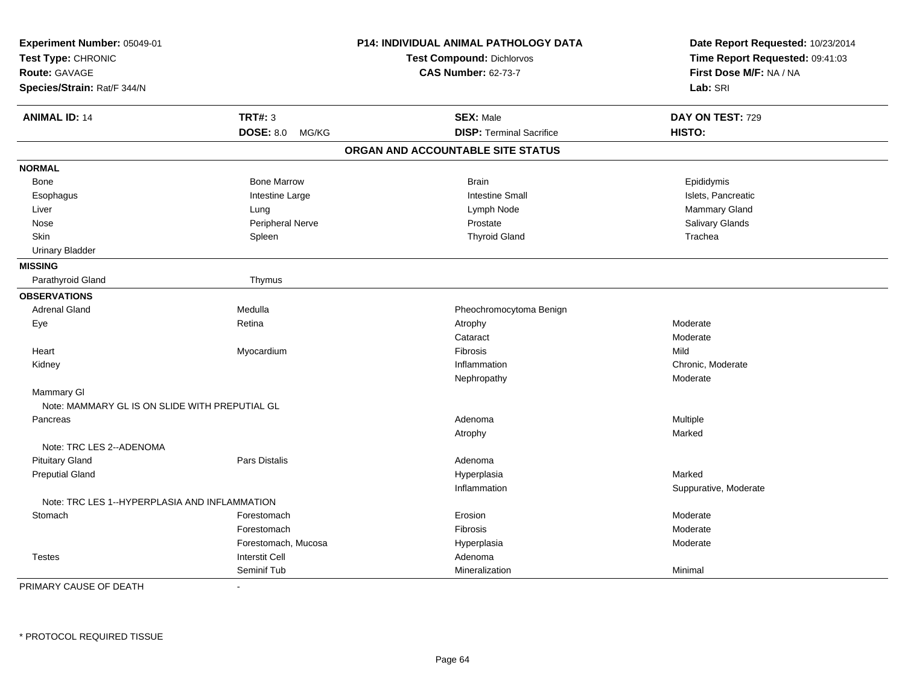| Experiment Number: 05049-01                                         |                       | P14: INDIVIDUAL ANIMAL PATHOLOGY DATA | Date Report Requested: 10/23/2014 |
|---------------------------------------------------------------------|-----------------------|---------------------------------------|-----------------------------------|
| Test Type: CHRONIC<br><b>Route: GAVAGE</b>                          |                       | <b>Test Compound: Dichlorvos</b>      | Time Report Requested: 09:41:03   |
|                                                                     |                       | <b>CAS Number: 62-73-7</b>            | First Dose M/F: NA / NA           |
| Species/Strain: Rat/F 344/N                                         |                       |                                       | Lab: SRI                          |
| <b>ANIMAL ID: 14</b>                                                | <b>TRT#: 3</b>        | <b>SEX: Male</b>                      | DAY ON TEST: 729                  |
|                                                                     | DOSE: 8.0 MG/KG       | <b>DISP: Terminal Sacrifice</b>       | HISTO:                            |
|                                                                     |                       | ORGAN AND ACCOUNTABLE SITE STATUS     |                                   |
| <b>NORMAL</b>                                                       |                       |                                       |                                   |
| Bone                                                                | <b>Bone Marrow</b>    | <b>Brain</b>                          | Epididymis                        |
| Esophagus                                                           | Intestine Large       | <b>Intestine Small</b>                | Islets, Pancreatic                |
| Liver                                                               | Lung                  | Lymph Node                            | Mammary Gland                     |
| Nose                                                                | Peripheral Nerve      | Prostate                              | Salivary Glands                   |
| Skin                                                                | Spleen                | <b>Thyroid Gland</b>                  | Trachea                           |
| <b>Urinary Bladder</b>                                              |                       |                                       |                                   |
| <b>MISSING</b>                                                      |                       |                                       |                                   |
| Parathyroid Gland                                                   | Thymus                |                                       |                                   |
| <b>OBSERVATIONS</b>                                                 |                       |                                       |                                   |
| <b>Adrenal Gland</b>                                                | Medulla               | Pheochromocytoma Benign               |                                   |
| Eye                                                                 | Retina                | Atrophy                               | Moderate                          |
|                                                                     |                       | Cataract                              | Moderate                          |
| Heart                                                               | Myocardium            | <b>Fibrosis</b>                       | Mild                              |
| Kidney                                                              |                       | Inflammation                          | Chronic, Moderate                 |
|                                                                     |                       | Nephropathy                           | Moderate                          |
| <b>Mammary GI</b><br>Note: MAMMARY GL IS ON SLIDE WITH PREPUTIAL GL |                       |                                       |                                   |
| Pancreas                                                            |                       | Adenoma                               | Multiple                          |
|                                                                     |                       | Atrophy                               | Marked                            |
| Note: TRC LES 2--ADENOMA                                            |                       |                                       |                                   |
| <b>Pituitary Gland</b>                                              | Pars Distalis         | Adenoma                               |                                   |
| <b>Preputial Gland</b>                                              |                       | Hyperplasia                           | Marked                            |
|                                                                     |                       | Inflammation                          | Suppurative, Moderate             |
| Note: TRC LES 1--HYPERPLASIA AND INFLAMMATION                       |                       |                                       |                                   |
| Stomach                                                             | Forestomach           | Erosion                               | Moderate                          |
|                                                                     | Forestomach           | <b>Fibrosis</b>                       | Moderate                          |
|                                                                     | Forestomach, Mucosa   | Hyperplasia                           | Moderate                          |
| <b>Testes</b>                                                       | <b>Interstit Cell</b> | Adenoma                               |                                   |
|                                                                     | Seminif Tub           | Mineralization                        | Minimal                           |

PRIMARY CAUSE OF DEATH-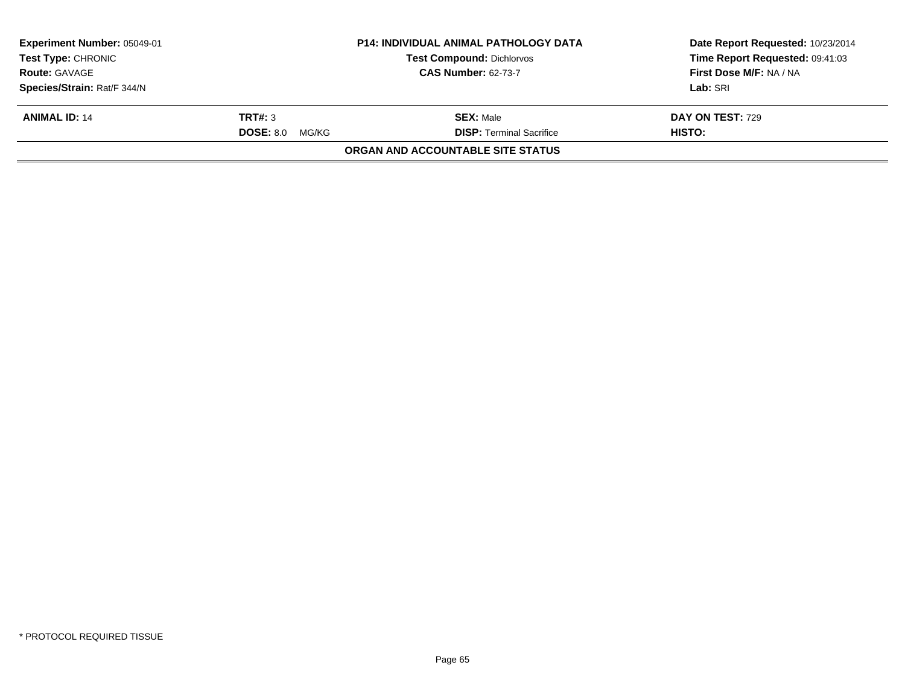| Experiment Number: 05049-01 |                        | <b>P14: INDIVIDUAL ANIMAL PATHOLOGY DATA</b> | Date Report Requested: 10/23/2014 |
|-----------------------------|------------------------|----------------------------------------------|-----------------------------------|
| <b>Test Type: CHRONIC</b>   |                        | <b>Test Compound: Dichlorvos</b>             | Time Report Requested: 09:41:03   |
| <b>Route: GAVAGE</b>        |                        | <b>CAS Number: 62-73-7</b>                   | First Dose M/F: NA / NA           |
| Species/Strain: Rat/F 344/N |                        |                                              | Lab: SRI                          |
| <b>ANIMAL ID: 14</b>        | TRT#: 3                | <b>SEX: Male</b>                             | <b>DAY ON TEST: 729</b>           |
|                             | <b>DOSE: 8.0 MG/KG</b> | <b>DISP:</b> Terminal Sacrifice              | HISTO:                            |
|                             |                        | <b>ORGAN AND ACCOUNTABLE SITE STATUS</b>     |                                   |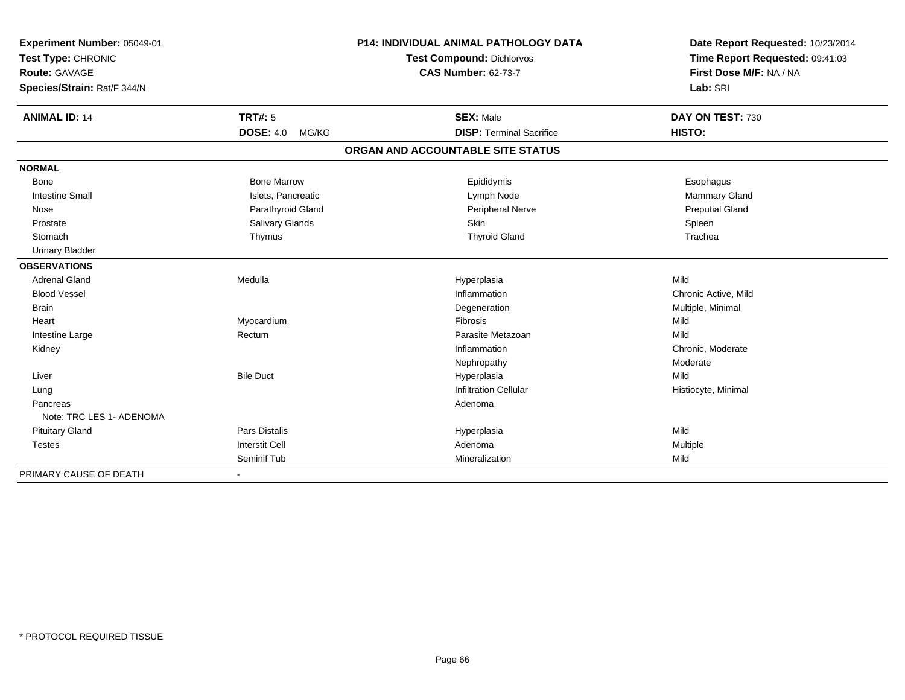| Experiment Number: 05049-01<br>Test Type: CHRONIC<br><b>Route: GAVAGE</b> |                           | <b>P14: INDIVIDUAL ANIMAL PATHOLOGY DATA</b> | Date Report Requested: 10/23/2014                          |
|---------------------------------------------------------------------------|---------------------------|----------------------------------------------|------------------------------------------------------------|
|                                                                           |                           | <b>Test Compound: Dichlorvos</b>             | Time Report Requested: 09:41:03<br>First Dose M/F: NA / NA |
|                                                                           |                           | <b>CAS Number: 62-73-7</b>                   |                                                            |
| Species/Strain: Rat/F 344/N                                               |                           |                                              | Lab: SRI                                                   |
| <b>ANIMAL ID: 14</b>                                                      | <b>TRT#: 5</b>            | <b>SEX: Male</b>                             | DAY ON TEST: 730                                           |
|                                                                           | <b>DOSE: 4.0</b><br>MG/KG | <b>DISP: Terminal Sacrifice</b>              | <b>HISTO:</b>                                              |
|                                                                           |                           | ORGAN AND ACCOUNTABLE SITE STATUS            |                                                            |
| <b>NORMAL</b>                                                             |                           |                                              |                                                            |
| <b>Bone</b>                                                               | <b>Bone Marrow</b>        | Epididymis                                   | Esophagus                                                  |
| <b>Intestine Small</b>                                                    | Islets, Pancreatic        | Lymph Node                                   | <b>Mammary Gland</b>                                       |
| Nose                                                                      | Parathyroid Gland         | Peripheral Nerve                             | <b>Preputial Gland</b>                                     |
| Prostate                                                                  | Salivary Glands           | Skin                                         | Spleen                                                     |
| Stomach                                                                   | Thymus                    | <b>Thyroid Gland</b>                         | Trachea                                                    |
| <b>Urinary Bladder</b>                                                    |                           |                                              |                                                            |
| <b>OBSERVATIONS</b>                                                       |                           |                                              |                                                            |
| <b>Adrenal Gland</b>                                                      | Medulla                   | Hyperplasia                                  | Mild                                                       |
| <b>Blood Vessel</b>                                                       |                           | Inflammation                                 | Chronic Active, Mild                                       |
| <b>Brain</b>                                                              |                           | Degeneration                                 | Multiple, Minimal                                          |
| Heart                                                                     | Myocardium                | Fibrosis                                     | Mild                                                       |
| Intestine Large                                                           | Rectum                    | Parasite Metazoan                            | Mild                                                       |
| Kidney                                                                    |                           | Inflammation                                 | Chronic, Moderate                                          |
|                                                                           |                           | Nephropathy                                  | Moderate                                                   |
| Liver                                                                     | <b>Bile Duct</b>          | Hyperplasia                                  | Mild                                                       |
| Lung                                                                      |                           | <b>Infiltration Cellular</b>                 | Histiocyte, Minimal                                        |
| Pancreas                                                                  |                           | Adenoma                                      |                                                            |
| Note: TRC LES 1- ADENOMA                                                  |                           |                                              |                                                            |
| <b>Pituitary Gland</b>                                                    | <b>Pars Distalis</b>      | Hyperplasia                                  | Mild                                                       |
| <b>Testes</b>                                                             | <b>Interstit Cell</b>     | Adenoma                                      | Multiple                                                   |
|                                                                           | Seminif Tub               | Mineralization                               | Mild                                                       |
| PRIMARY CAUSE OF DEATH                                                    |                           |                                              |                                                            |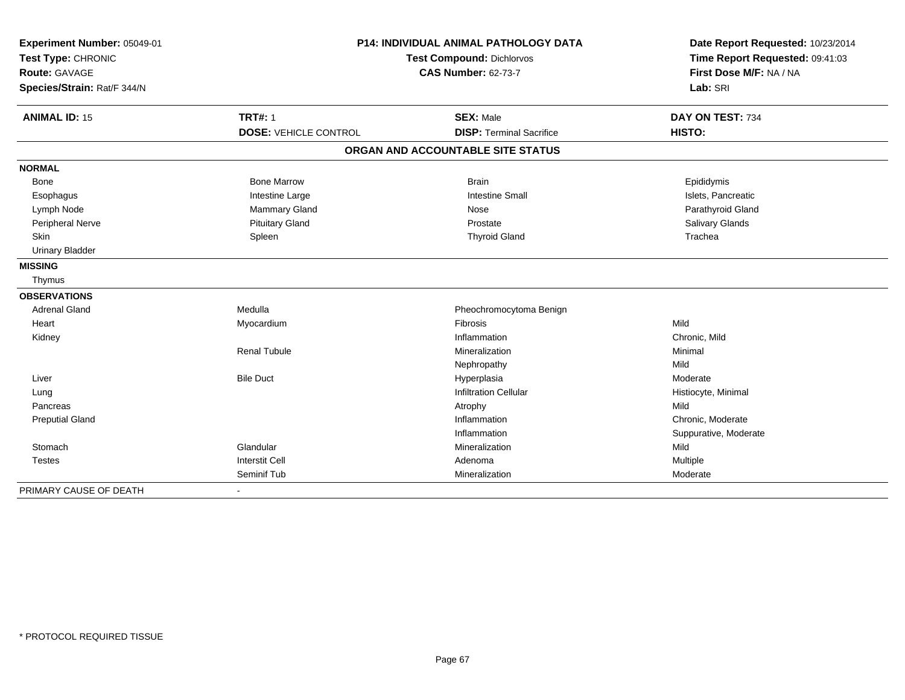| Experiment Number: 05049-01 | <b>P14: INDIVIDUAL ANIMAL PATHOLOGY DATA</b> |                                   | Date Report Requested: 10/23/2014                          |
|-----------------------------|----------------------------------------------|-----------------------------------|------------------------------------------------------------|
| Test Type: CHRONIC          |                                              | <b>Test Compound: Dichlorvos</b>  |                                                            |
| <b>Route: GAVAGE</b>        |                                              | <b>CAS Number: 62-73-7</b>        | Time Report Requested: 09:41:03<br>First Dose M/F: NA / NA |
| Species/Strain: Rat/F 344/N |                                              |                                   | Lab: SRI                                                   |
| <b>ANIMAL ID: 15</b>        | <b>TRT#: 1</b>                               | <b>SEX: Male</b>                  | DAY ON TEST: 734                                           |
|                             | <b>DOSE: VEHICLE CONTROL</b>                 | <b>DISP: Terminal Sacrifice</b>   | HISTO:                                                     |
|                             |                                              | ORGAN AND ACCOUNTABLE SITE STATUS |                                                            |
| <b>NORMAL</b>               |                                              |                                   |                                                            |
| <b>Bone</b>                 | <b>Bone Marrow</b>                           | <b>Brain</b>                      | Epididymis                                                 |
| Esophagus                   | Intestine Large                              | <b>Intestine Small</b>            | Islets, Pancreatic                                         |
| Lymph Node                  | Mammary Gland                                | Nose                              | Parathyroid Gland                                          |
| Peripheral Nerve            | <b>Pituitary Gland</b>                       | Prostate                          | Salivary Glands                                            |
| Skin                        | Spleen                                       | <b>Thyroid Gland</b>              | Trachea                                                    |
| <b>Urinary Bladder</b>      |                                              |                                   |                                                            |
| <b>MISSING</b>              |                                              |                                   |                                                            |
| Thymus                      |                                              |                                   |                                                            |
| <b>OBSERVATIONS</b>         |                                              |                                   |                                                            |
| <b>Adrenal Gland</b>        | Medulla                                      | Pheochromocytoma Benign           |                                                            |
| Heart                       | Myocardium                                   | Fibrosis                          | Mild                                                       |
| Kidney                      |                                              | Inflammation                      | Chronic, Mild                                              |
|                             | <b>Renal Tubule</b>                          | Mineralization                    | Minimal                                                    |
|                             |                                              | Nephropathy                       | Mild                                                       |
| Liver                       | <b>Bile Duct</b>                             | Hyperplasia                       | Moderate                                                   |
| Lung                        |                                              | <b>Infiltration Cellular</b>      | Histiocyte, Minimal                                        |
| Pancreas                    |                                              | Atrophy                           | Mild                                                       |
| <b>Preputial Gland</b>      |                                              | Inflammation                      | Chronic, Moderate                                          |
|                             |                                              | Inflammation                      | Suppurative, Moderate                                      |
| Stomach                     | Glandular                                    | Mineralization                    | Mild                                                       |
| <b>Testes</b>               | <b>Interstit Cell</b>                        | Adenoma                           | Multiple                                                   |
|                             | Seminif Tub                                  | Mineralization                    | Moderate                                                   |
| PRIMARY CAUSE OF DEATH      |                                              |                                   |                                                            |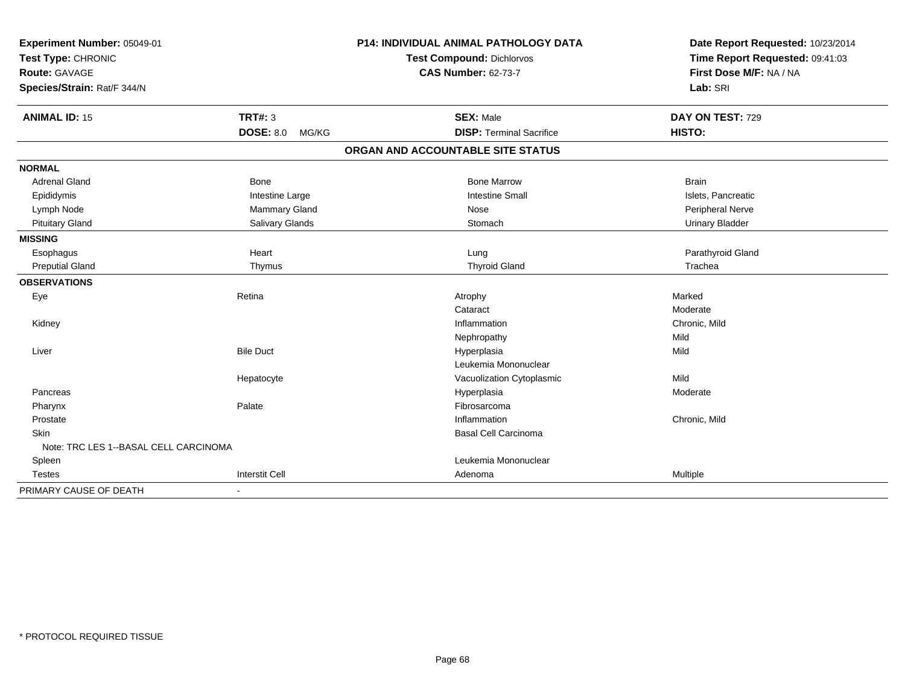| Experiment Number: 05049-01           |                           | P14: INDIVIDUAL ANIMAL PATHOLOGY DATA | Date Report Requested: 10/23/2014 |
|---------------------------------------|---------------------------|---------------------------------------|-----------------------------------|
| Test Type: CHRONIC                    |                           | <b>Test Compound: Dichlorvos</b>      | Time Report Requested: 09:41:03   |
| Route: GAVAGE                         |                           | <b>CAS Number: 62-73-7</b>            | First Dose M/F: NA / NA           |
| Species/Strain: Rat/F 344/N           |                           |                                       | Lab: SRI                          |
| <b>ANIMAL ID: 15</b>                  | <b>TRT#: 3</b>            | <b>SEX: Male</b>                      | DAY ON TEST: 729                  |
|                                       | <b>DOSE: 8.0</b><br>MG/KG | <b>DISP: Terminal Sacrifice</b>       | HISTO:                            |
|                                       |                           | ORGAN AND ACCOUNTABLE SITE STATUS     |                                   |
| <b>NORMAL</b>                         |                           |                                       |                                   |
| <b>Adrenal Gland</b>                  | <b>Bone</b>               | <b>Bone Marrow</b>                    | <b>Brain</b>                      |
| Epididymis                            | Intestine Large           | <b>Intestine Small</b>                | Islets, Pancreatic                |
| Lymph Node                            | Mammary Gland             | Nose                                  | Peripheral Nerve                  |
| <b>Pituitary Gland</b>                | Salivary Glands           | Stomach                               | <b>Urinary Bladder</b>            |
| <b>MISSING</b>                        |                           |                                       |                                   |
| Esophagus                             | Heart                     | Lung                                  | Parathyroid Gland                 |
| <b>Preputial Gland</b>                | Thymus                    | <b>Thyroid Gland</b>                  | Trachea                           |
| <b>OBSERVATIONS</b>                   |                           |                                       |                                   |
| Eye                                   | Retina                    | Atrophy                               | Marked                            |
|                                       |                           | Cataract                              | Moderate                          |
| Kidney                                |                           | Inflammation                          | Chronic. Mild                     |
|                                       |                           | Nephropathy                           | Mild                              |
| Liver                                 | <b>Bile Duct</b>          | Hyperplasia                           | Mild                              |
|                                       |                           | Leukemia Mononuclear                  |                                   |
|                                       | Hepatocyte                | Vacuolization Cytoplasmic             | Mild                              |
| Pancreas                              |                           | Hyperplasia                           | Moderate                          |
| Pharynx                               | Palate                    | Fibrosarcoma                          |                                   |
| Prostate                              |                           | Inflammation                          | Chronic, Mild                     |
| <b>Skin</b>                           |                           | <b>Basal Cell Carcinoma</b>           |                                   |
| Note: TRC LES 1--BASAL CELL CARCINOMA |                           |                                       |                                   |
| Spleen                                |                           | Leukemia Mononuclear                  |                                   |
| <b>Testes</b>                         | <b>Interstit Cell</b>     | Adenoma                               | Multiple                          |
| PRIMARY CAUSE OF DEATH                |                           |                                       |                                   |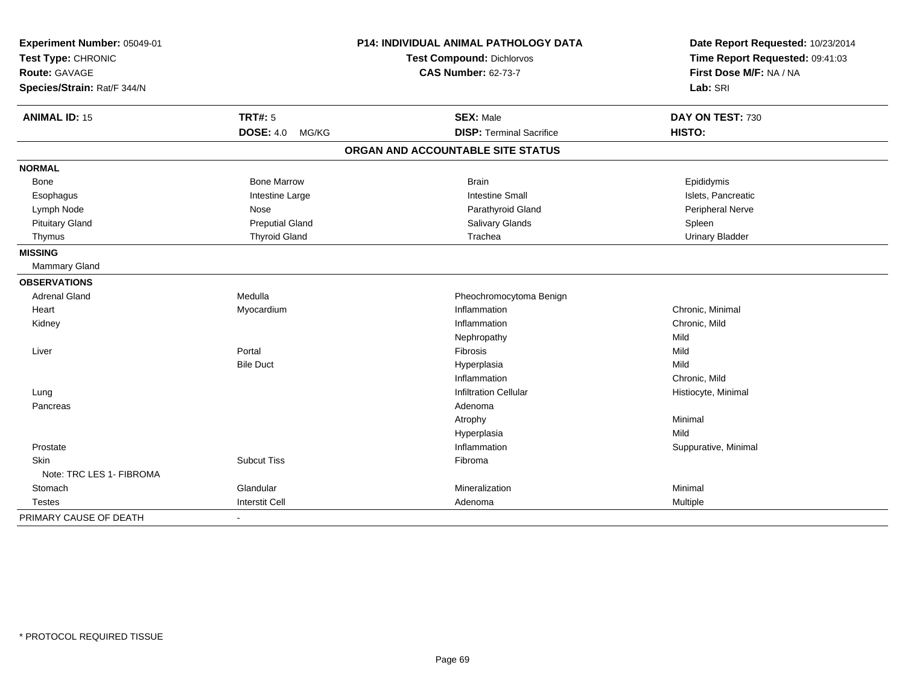| Experiment Number: 05049-01<br>Test Type: CHRONIC   |                           | <b>P14: INDIVIDUAL ANIMAL PATHOLOGY DATA</b><br>Test Compound: Dichlorvos | Date Report Requested: 10/23/2014<br>Time Report Requested: 09:41:03 |
|-----------------------------------------------------|---------------------------|---------------------------------------------------------------------------|----------------------------------------------------------------------|
| <b>Route: GAVAGE</b><br>Species/Strain: Rat/F 344/N |                           | <b>CAS Number: 62-73-7</b>                                                | First Dose M/F: NA / NA<br>Lab: SRI                                  |
| <b>ANIMAL ID: 15</b>                                | <b>TRT#: 5</b>            | <b>SEX: Male</b>                                                          | DAY ON TEST: 730                                                     |
|                                                     | <b>DOSE: 4.0</b><br>MG/KG | <b>DISP: Terminal Sacrifice</b>                                           | HISTO:                                                               |
|                                                     |                           | ORGAN AND ACCOUNTABLE SITE STATUS                                         |                                                                      |
| <b>NORMAL</b>                                       |                           |                                                                           |                                                                      |
| Bone                                                | <b>Bone Marrow</b>        | <b>Brain</b>                                                              | Epididymis                                                           |
| Esophagus                                           | Intestine Large           | <b>Intestine Small</b>                                                    | Islets, Pancreatic                                                   |
| Lymph Node                                          | Nose                      | Parathyroid Gland                                                         | Peripheral Nerve                                                     |
| <b>Pituitary Gland</b>                              | <b>Preputial Gland</b>    | Salivary Glands                                                           | Spleen                                                               |
| Thymus                                              | <b>Thyroid Gland</b>      | Trachea                                                                   | <b>Urinary Bladder</b>                                               |
| <b>MISSING</b>                                      |                           |                                                                           |                                                                      |
| Mammary Gland                                       |                           |                                                                           |                                                                      |
| <b>OBSERVATIONS</b>                                 |                           |                                                                           |                                                                      |
| <b>Adrenal Gland</b>                                | Medulla                   | Pheochromocytoma Benign                                                   |                                                                      |
| Heart                                               | Myocardium                | Inflammation                                                              | Chronic, Minimal                                                     |
| Kidney                                              |                           | Inflammation                                                              | Chronic, Mild                                                        |
|                                                     |                           | Nephropathy                                                               | Mild                                                                 |
| Liver                                               | Portal                    | Fibrosis                                                                  | Mild                                                                 |
|                                                     | <b>Bile Duct</b>          | Hyperplasia                                                               | Mild                                                                 |
|                                                     |                           | Inflammation                                                              | Chronic, Mild                                                        |
| Lung                                                |                           | <b>Infiltration Cellular</b>                                              | Histiocyte, Minimal                                                  |
| Pancreas                                            |                           | Adenoma                                                                   |                                                                      |
|                                                     |                           | Atrophy                                                                   | Minimal                                                              |
|                                                     |                           | Hyperplasia                                                               | Mild                                                                 |
| Prostate                                            |                           | Inflammation                                                              | Suppurative, Minimal                                                 |
| <b>Skin</b>                                         | <b>Subcut Tiss</b>        | Fibroma                                                                   |                                                                      |
| Note: TRC LES 1- FIBROMA                            |                           |                                                                           |                                                                      |
| Stomach                                             | Glandular                 | Mineralization                                                            | Minimal                                                              |
| Testes                                              | <b>Interstit Cell</b>     | Adenoma                                                                   | Multiple                                                             |
| PRIMARY CAUSE OF DEATH                              | $\blacksquare$            |                                                                           |                                                                      |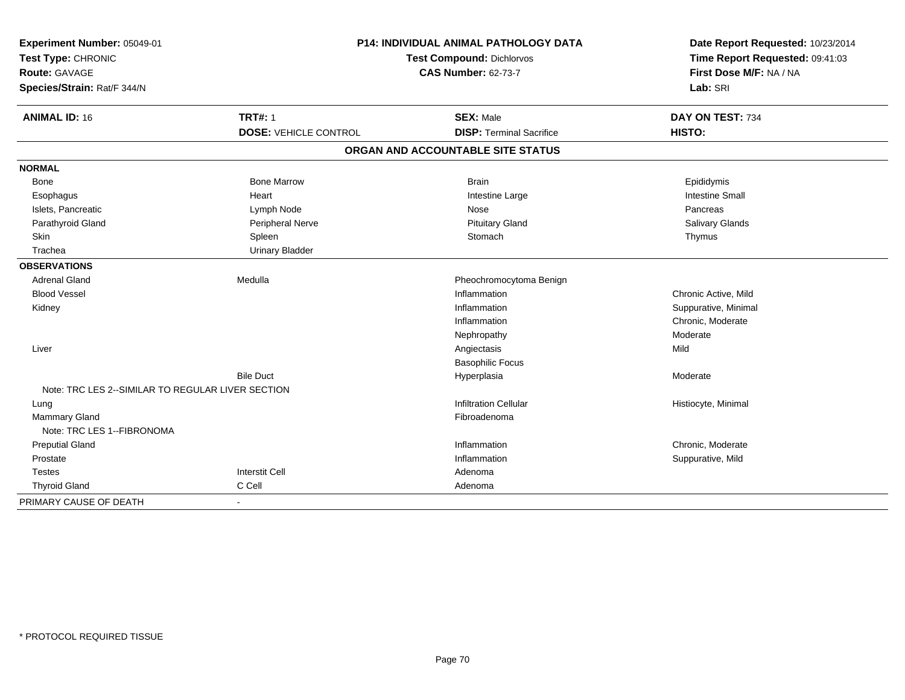| Experiment Number: 05049-01<br>Test Type: CHRONIC |                              | <b>P14: INDIVIDUAL ANIMAL PATHOLOGY DATA</b><br><b>Test Compound: Dichlorvos</b> | Date Report Requested: 10/23/2014<br>Time Report Requested: 09:41:03<br>First Dose M/F: NA / NA |
|---------------------------------------------------|------------------------------|----------------------------------------------------------------------------------|-------------------------------------------------------------------------------------------------|
| <b>Route: GAVAGE</b>                              |                              | <b>CAS Number: 62-73-7</b>                                                       |                                                                                                 |
| Species/Strain: Rat/F 344/N                       |                              |                                                                                  | Lab: SRI                                                                                        |
| <b>ANIMAL ID: 16</b>                              | <b>TRT#: 1</b>               | <b>SEX: Male</b>                                                                 | DAY ON TEST: 734                                                                                |
|                                                   | <b>DOSE: VEHICLE CONTROL</b> | <b>DISP: Terminal Sacrifice</b>                                                  | HISTO:                                                                                          |
|                                                   |                              | ORGAN AND ACCOUNTABLE SITE STATUS                                                |                                                                                                 |
| <b>NORMAL</b>                                     |                              |                                                                                  |                                                                                                 |
| Bone                                              | <b>Bone Marrow</b>           | <b>Brain</b>                                                                     | Epididymis                                                                                      |
| Esophagus                                         | Heart                        | Intestine Large                                                                  | <b>Intestine Small</b>                                                                          |
| Islets, Pancreatic                                | Lymph Node                   | Nose                                                                             | Pancreas                                                                                        |
| Parathyroid Gland                                 | Peripheral Nerve             | <b>Pituitary Gland</b>                                                           | <b>Salivary Glands</b>                                                                          |
| Skin                                              | Spleen                       | Stomach                                                                          | Thymus                                                                                          |
| Trachea                                           | <b>Urinary Bladder</b>       |                                                                                  |                                                                                                 |
| <b>OBSERVATIONS</b>                               |                              |                                                                                  |                                                                                                 |
| <b>Adrenal Gland</b>                              | Medulla                      | Pheochromocytoma Benign                                                          |                                                                                                 |
| <b>Blood Vessel</b>                               |                              | Inflammation                                                                     | Chronic Active, Mild                                                                            |
| Kidney                                            |                              | Inflammation                                                                     | Suppurative, Minimal                                                                            |
|                                                   |                              | Inflammation                                                                     | Chronic, Moderate                                                                               |
|                                                   |                              | Nephropathy                                                                      | Moderate                                                                                        |
| Liver                                             |                              | Angiectasis                                                                      | Mild                                                                                            |
|                                                   |                              | <b>Basophilic Focus</b>                                                          |                                                                                                 |
|                                                   | <b>Bile Duct</b>             | Hyperplasia                                                                      | Moderate                                                                                        |
| Note: TRC LES 2--SIMILAR TO REGULAR LIVER SECTION |                              |                                                                                  |                                                                                                 |
| Lung                                              |                              | <b>Infiltration Cellular</b>                                                     | Histiocyte, Minimal                                                                             |
| <b>Mammary Gland</b>                              |                              | Fibroadenoma                                                                     |                                                                                                 |
| Note: TRC LES 1--FIBRONOMA                        |                              |                                                                                  |                                                                                                 |
| <b>Preputial Gland</b>                            |                              | Inflammation                                                                     | Chronic, Moderate                                                                               |
| Prostate                                          |                              | Inflammation                                                                     | Suppurative, Mild                                                                               |
| <b>Testes</b>                                     | <b>Interstit Cell</b>        | Adenoma                                                                          |                                                                                                 |
| <b>Thyroid Gland</b>                              | C Cell                       | Adenoma                                                                          |                                                                                                 |
| PRIMARY CAUSE OF DEATH                            | $\blacksquare$               |                                                                                  |                                                                                                 |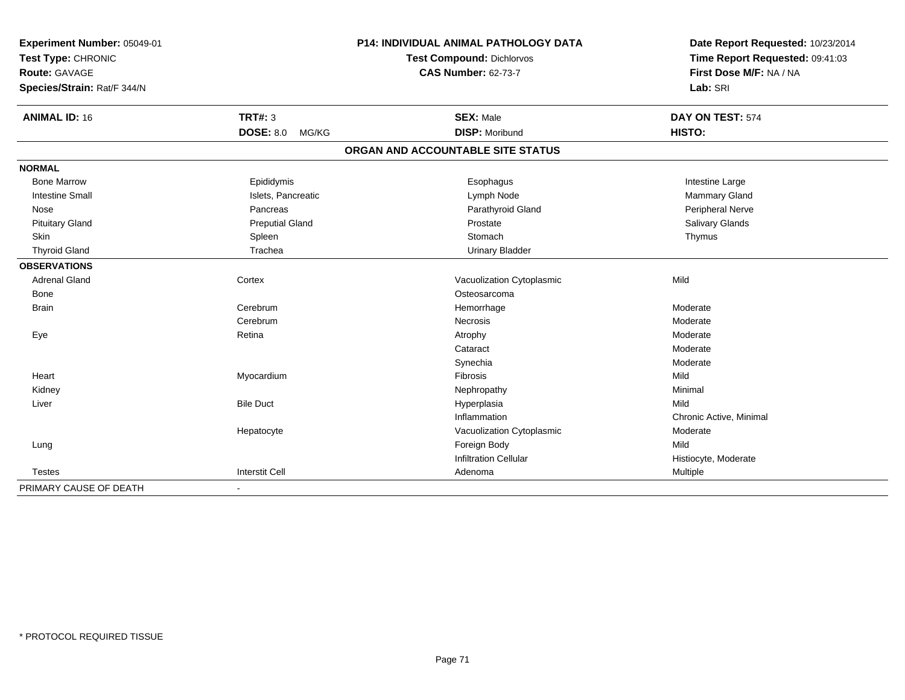| Experiment Number: 05049-01<br>Test Type: CHRONIC<br><b>Route: GAVAGE</b> |                           | <b>P14: INDIVIDUAL ANIMAL PATHOLOGY DATA</b><br>Test Compound: Dichlorvos | Date Report Requested: 10/23/2014<br>Time Report Requested: 09:41:03 |
|---------------------------------------------------------------------------|---------------------------|---------------------------------------------------------------------------|----------------------------------------------------------------------|
|                                                                           |                           | <b>CAS Number: 62-73-7</b>                                                | First Dose M/F: NA / NA                                              |
| Species/Strain: Rat/F 344/N                                               |                           |                                                                           | Lab: SRI                                                             |
| <b>ANIMAL ID: 16</b>                                                      | <b>TRT#: 3</b>            | <b>SEX: Male</b>                                                          | DAY ON TEST: 574                                                     |
|                                                                           | <b>DOSE: 8.0</b><br>MG/KG | <b>DISP: Moribund</b>                                                     | HISTO:                                                               |
|                                                                           |                           | ORGAN AND ACCOUNTABLE SITE STATUS                                         |                                                                      |
| <b>NORMAL</b>                                                             |                           |                                                                           |                                                                      |
| <b>Bone Marrow</b>                                                        | Epididymis                | Esophagus                                                                 | Intestine Large                                                      |
| <b>Intestine Small</b>                                                    | Islets, Pancreatic        | Lymph Node                                                                | Mammary Gland                                                        |
| Nose                                                                      | Pancreas                  | Parathyroid Gland                                                         | Peripheral Nerve                                                     |
| <b>Pituitary Gland</b>                                                    | <b>Preputial Gland</b>    | Prostate                                                                  | Salivary Glands                                                      |
| Skin                                                                      | Spleen                    | Stomach                                                                   | Thymus                                                               |
| <b>Thyroid Gland</b>                                                      | Trachea                   | <b>Urinary Bladder</b>                                                    |                                                                      |
| <b>OBSERVATIONS</b>                                                       |                           |                                                                           |                                                                      |
| <b>Adrenal Gland</b>                                                      | Cortex                    | Vacuolization Cytoplasmic                                                 | Mild                                                                 |
| <b>Bone</b>                                                               |                           | Osteosarcoma                                                              |                                                                      |
| <b>Brain</b>                                                              | Cerebrum                  | Hemorrhage                                                                | Moderate                                                             |
|                                                                           | Cerebrum                  | <b>Necrosis</b>                                                           | Moderate                                                             |
| Eye                                                                       | Retina                    | Atrophy                                                                   | Moderate                                                             |
|                                                                           |                           | Cataract                                                                  | Moderate                                                             |
|                                                                           |                           | Synechia                                                                  | Moderate                                                             |
| Heart                                                                     | Myocardium                | <b>Fibrosis</b>                                                           | Mild                                                                 |
| Kidney                                                                    |                           | Nephropathy                                                               | Minimal                                                              |
| Liver                                                                     | <b>Bile Duct</b>          | Hyperplasia                                                               | Mild                                                                 |
|                                                                           |                           | Inflammation                                                              | Chronic Active, Minimal                                              |
|                                                                           | Hepatocyte                | Vacuolization Cytoplasmic                                                 | Moderate                                                             |
| Lung                                                                      |                           | Foreign Body                                                              | Mild                                                                 |
|                                                                           |                           | <b>Infiltration Cellular</b>                                              | Histiocyte, Moderate                                                 |
| <b>Testes</b>                                                             | <b>Interstit Cell</b>     | Adenoma                                                                   | Multiple                                                             |
| PRIMARY CAUSE OF DEATH                                                    | $\blacksquare$            |                                                                           |                                                                      |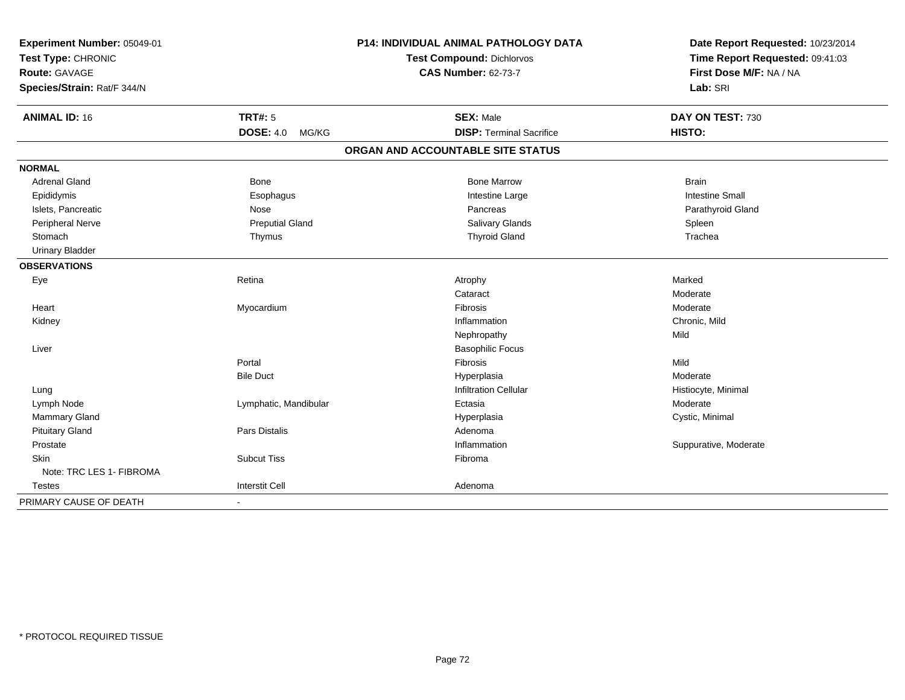| Experiment Number: 05049-01<br>Test Type: CHRONIC |                           | P14: INDIVIDUAL ANIMAL PATHOLOGY DATA | Date Report Requested: 10/23/2014<br>Time Report Requested: 09:41:03 |
|---------------------------------------------------|---------------------------|---------------------------------------|----------------------------------------------------------------------|
|                                                   |                           | <b>Test Compound: Dichlorvos</b>      |                                                                      |
| Route: GAVAGE                                     |                           | <b>CAS Number: 62-73-7</b>            | First Dose M/F: NA / NA                                              |
| Species/Strain: Rat/F 344/N                       |                           |                                       | Lab: SRI                                                             |
| <b>ANIMAL ID: 16</b>                              | <b>TRT#: 5</b>            | <b>SEX: Male</b>                      | DAY ON TEST: 730                                                     |
|                                                   | <b>DOSE: 4.0</b><br>MG/KG | <b>DISP: Terminal Sacrifice</b>       | HISTO:                                                               |
|                                                   |                           | ORGAN AND ACCOUNTABLE SITE STATUS     |                                                                      |
| <b>NORMAL</b>                                     |                           |                                       |                                                                      |
| <b>Adrenal Gland</b>                              | <b>Bone</b>               | <b>Bone Marrow</b>                    | <b>Brain</b>                                                         |
| Epididymis                                        | Esophagus                 | Intestine Large                       | <b>Intestine Small</b>                                               |
| Islets, Pancreatic                                | Nose                      | Pancreas                              | Parathyroid Gland                                                    |
| Peripheral Nerve                                  | <b>Preputial Gland</b>    | Salivary Glands                       | Spleen                                                               |
| Stomach                                           | Thymus                    | <b>Thyroid Gland</b>                  | Trachea                                                              |
| <b>Urinary Bladder</b>                            |                           |                                       |                                                                      |
| <b>OBSERVATIONS</b>                               |                           |                                       |                                                                      |
| Eye                                               | Retina                    | Atrophy                               | Marked                                                               |
|                                                   |                           | Cataract                              | Moderate                                                             |
| Heart                                             | Myocardium                | Fibrosis                              | Moderate                                                             |
| Kidney                                            |                           | Inflammation                          | Chronic, Mild                                                        |
|                                                   |                           | Nephropathy                           | Mild                                                                 |
| Liver                                             |                           | <b>Basophilic Focus</b>               |                                                                      |
|                                                   | Portal                    | Fibrosis                              | Mild                                                                 |
|                                                   | <b>Bile Duct</b>          | Hyperplasia                           | Moderate                                                             |
| Lung                                              |                           | <b>Infiltration Cellular</b>          | Histiocyte, Minimal                                                  |
| Lymph Node                                        | Lymphatic, Mandibular     | Ectasia                               | Moderate                                                             |
| Mammary Gland                                     |                           | Hyperplasia                           | Cystic, Minimal                                                      |
| <b>Pituitary Gland</b>                            | Pars Distalis             | Adenoma                               |                                                                      |
| Prostate                                          |                           | Inflammation                          | Suppurative, Moderate                                                |
| Skin                                              | <b>Subcut Tiss</b>        | Fibroma                               |                                                                      |
| Note: TRC LES 1- FIBROMA                          |                           |                                       |                                                                      |
| Testes                                            | <b>Interstit Cell</b>     | Adenoma                               |                                                                      |
| PRIMARY CAUSE OF DEATH                            | $\sim$                    |                                       |                                                                      |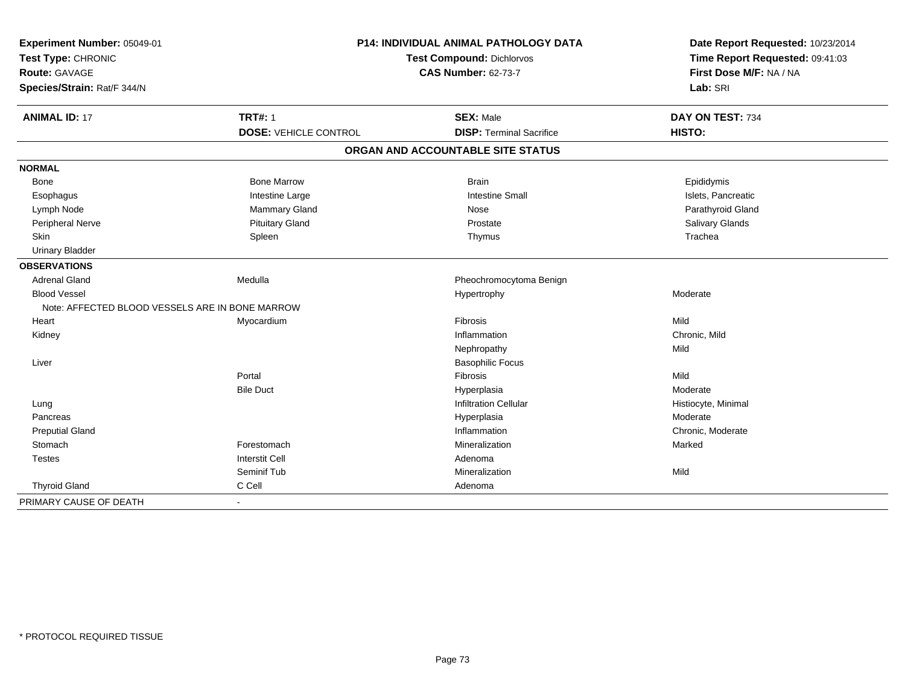| Experiment Number: 05049-01<br>Test Type: CHRONIC |                              | <b>P14: INDIVIDUAL ANIMAL PATHOLOGY DATA</b><br>Test Compound: Dichlorvos | Date Report Requested: 10/23/2014<br>Time Report Requested: 09:41:03 |
|---------------------------------------------------|------------------------------|---------------------------------------------------------------------------|----------------------------------------------------------------------|
| Route: GAVAGE<br>Species/Strain: Rat/F 344/N      |                              | <b>CAS Number: 62-73-7</b>                                                | First Dose M/F: NA / NA<br>Lab: SRI                                  |
| <b>ANIMAL ID: 17</b>                              | <b>TRT#: 1</b>               | <b>SEX: Male</b>                                                          | DAY ON TEST: 734                                                     |
|                                                   | <b>DOSE: VEHICLE CONTROL</b> | <b>DISP: Terminal Sacrifice</b>                                           | HISTO:                                                               |
|                                                   |                              | ORGAN AND ACCOUNTABLE SITE STATUS                                         |                                                                      |
| <b>NORMAL</b>                                     |                              |                                                                           |                                                                      |
| <b>Bone</b>                                       | <b>Bone Marrow</b>           | <b>Brain</b>                                                              | Epididymis                                                           |
| Esophagus                                         | Intestine Large              | <b>Intestine Small</b>                                                    | Islets, Pancreatic                                                   |
| Lymph Node                                        | <b>Mammary Gland</b>         | Nose                                                                      | Parathyroid Gland                                                    |
| Peripheral Nerve                                  | <b>Pituitary Gland</b>       | Prostate                                                                  | Salivary Glands                                                      |
| Skin                                              | Spleen                       | Thymus                                                                    | Trachea                                                              |
| <b>Urinary Bladder</b>                            |                              |                                                                           |                                                                      |
| <b>OBSERVATIONS</b>                               |                              |                                                                           |                                                                      |
| <b>Adrenal Gland</b>                              | Medulla                      | Pheochromocytoma Benign                                                   |                                                                      |
| <b>Blood Vessel</b>                               |                              | Hypertrophy                                                               | Moderate                                                             |
| Note: AFFECTED BLOOD VESSELS ARE IN BONE MARROW   |                              |                                                                           |                                                                      |
| Heart                                             | Myocardium                   | Fibrosis                                                                  | Mild                                                                 |
| Kidney                                            |                              | Inflammation                                                              | Chronic, Mild                                                        |
|                                                   |                              | Nephropathy                                                               | Mild                                                                 |
| Liver                                             |                              | <b>Basophilic Focus</b>                                                   |                                                                      |
|                                                   | Portal                       | <b>Fibrosis</b>                                                           | Mild                                                                 |
|                                                   | <b>Bile Duct</b>             | Hyperplasia                                                               | Moderate                                                             |
| Lung                                              |                              | <b>Infiltration Cellular</b>                                              | Histiocyte, Minimal                                                  |
| Pancreas                                          |                              | Hyperplasia                                                               | Moderate                                                             |
| <b>Preputial Gland</b>                            |                              | Inflammation                                                              | Chronic, Moderate                                                    |
| Stomach                                           | Forestomach                  | Mineralization                                                            | Marked                                                               |
| <b>Testes</b>                                     | <b>Interstit Cell</b>        | Adenoma                                                                   |                                                                      |
|                                                   | Seminif Tub                  | Mineralization                                                            | Mild                                                                 |
| <b>Thyroid Gland</b>                              | C Cell                       | Adenoma                                                                   |                                                                      |
| PRIMARY CAUSE OF DEATH                            |                              |                                                                           |                                                                      |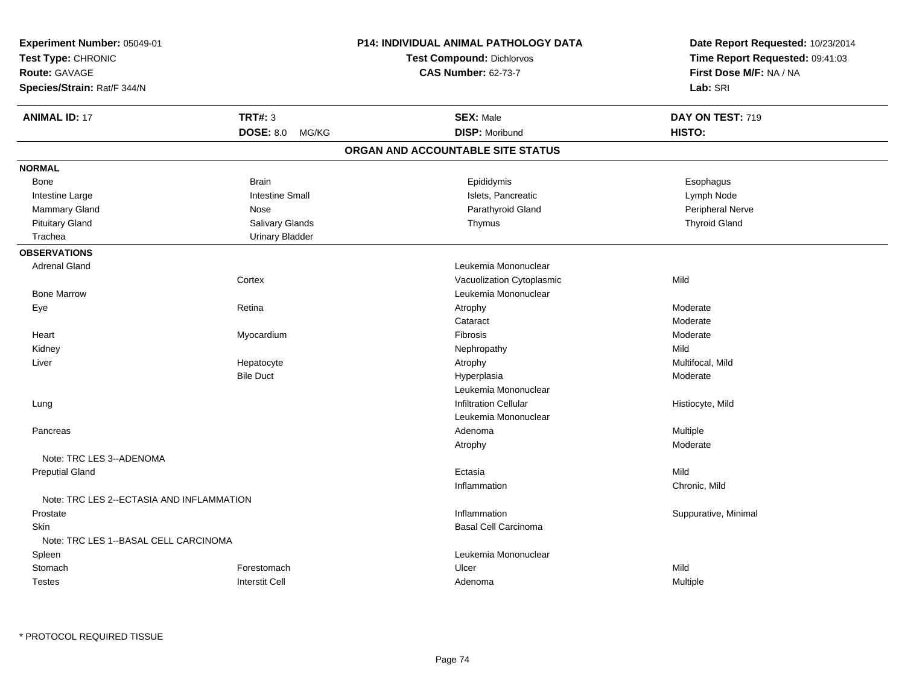| Experiment Number: 05049-01                                        |                           | P14: INDIVIDUAL ANIMAL PATHOLOGY DATA | Date Report Requested: 10/23/2014                          |
|--------------------------------------------------------------------|---------------------------|---------------------------------------|------------------------------------------------------------|
| Test Type: CHRONIC<br>Route: GAVAGE<br>Species/Strain: Rat/F 344/N |                           | <b>Test Compound: Dichlorvos</b>      | Time Report Requested: 09:41:03<br>First Dose M/F: NA / NA |
|                                                                    |                           | <b>CAS Number: 62-73-7</b>            |                                                            |
|                                                                    |                           |                                       | Lab: SRI                                                   |
|                                                                    |                           |                                       |                                                            |
| <b>ANIMAL ID: 17</b>                                               | <b>TRT#: 3</b>            | <b>SEX: Male</b>                      | DAY ON TEST: 719                                           |
|                                                                    | <b>DOSE: 8.0</b><br>MG/KG | <b>DISP: Moribund</b>                 | HISTO:                                                     |
|                                                                    |                           | ORGAN AND ACCOUNTABLE SITE STATUS     |                                                            |
| <b>NORMAL</b>                                                      |                           |                                       |                                                            |
| <b>Bone</b>                                                        | <b>Brain</b>              | Epididymis                            | Esophagus                                                  |
| Intestine Large                                                    | <b>Intestine Small</b>    | Islets, Pancreatic                    | Lymph Node                                                 |
| Mammary Gland                                                      | Nose                      | Parathyroid Gland                     | Peripheral Nerve                                           |
| <b>Pituitary Gland</b>                                             | Salivary Glands           | Thymus                                | <b>Thyroid Gland</b>                                       |
| Trachea                                                            | <b>Urinary Bladder</b>    |                                       |                                                            |
| <b>OBSERVATIONS</b>                                                |                           |                                       |                                                            |
| <b>Adrenal Gland</b>                                               |                           | Leukemia Mononuclear                  |                                                            |
|                                                                    | Cortex                    | Vacuolization Cytoplasmic             | Mild                                                       |
| <b>Bone Marrow</b>                                                 |                           | Leukemia Mononuclear                  |                                                            |
| Eye                                                                | Retina                    | Atrophy                               | Moderate                                                   |
|                                                                    |                           | Cataract                              | Moderate                                                   |
| Heart                                                              | Myocardium                | Fibrosis                              | Moderate                                                   |
| Kidney                                                             |                           | Nephropathy                           | Mild                                                       |
| Liver                                                              | Hepatocyte                | Atrophy                               | Multifocal, Mild                                           |
|                                                                    | <b>Bile Duct</b>          | Hyperplasia                           | Moderate                                                   |
|                                                                    |                           | Leukemia Mononuclear                  |                                                            |
| Lung                                                               |                           | <b>Infiltration Cellular</b>          | Histiocyte, Mild                                           |
|                                                                    |                           | Leukemia Mononuclear                  |                                                            |
| Pancreas                                                           |                           | Adenoma                               | Multiple                                                   |
|                                                                    |                           | Atrophy                               | Moderate                                                   |
| Note: TRC LES 3--ADENOMA                                           |                           |                                       |                                                            |
| <b>Preputial Gland</b>                                             |                           | Ectasia                               | Mild                                                       |
|                                                                    |                           | Inflammation                          | Chronic, Mild                                              |
| Note: TRC LES 2--ECTASIA AND INFLAMMATION                          |                           |                                       |                                                            |
| Prostate                                                           |                           | Inflammation                          | Suppurative, Minimal                                       |
| <b>Skin</b>                                                        |                           | Basal Cell Carcinoma                  |                                                            |
| Note: TRC LES 1--BASAL CELL CARCINOMA                              |                           |                                       |                                                            |
| Spleen                                                             |                           | Leukemia Mononuclear                  |                                                            |
| Stomach                                                            | Forestomach               | Ulcer                                 | Mild                                                       |
| <b>Testes</b>                                                      | <b>Interstit Cell</b>     | Adenoma                               | Multiple                                                   |
|                                                                    |                           |                                       |                                                            |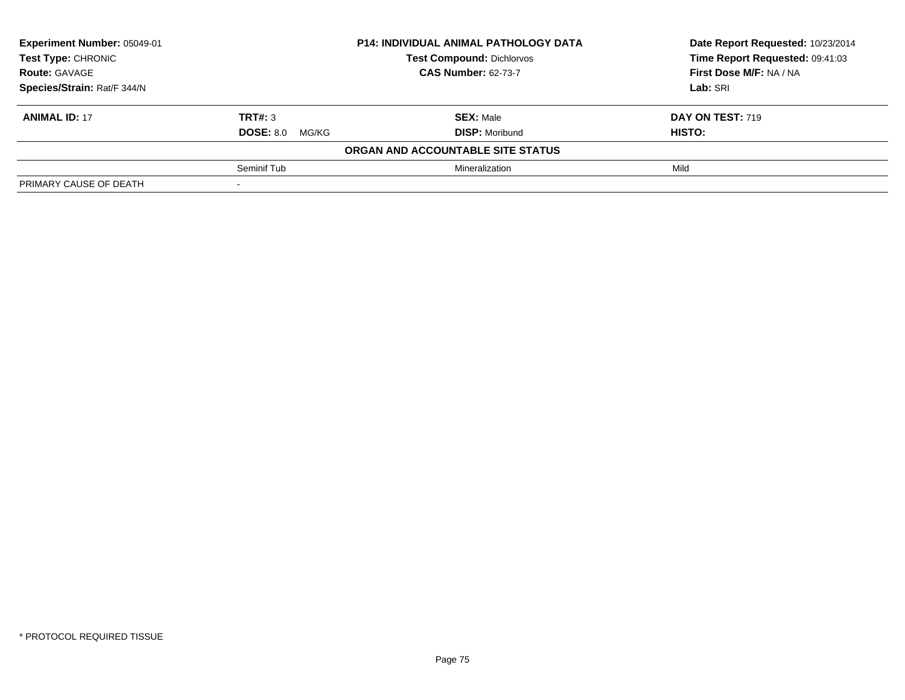| Experiment Number: 05049-01 |                           | <b>P14: INDIVIDUAL ANIMAL PATHOLOGY DATA</b> | Date Report Requested: 10/23/2014 |
|-----------------------------|---------------------------|----------------------------------------------|-----------------------------------|
| Test Type: CHRONIC          |                           | <b>Test Compound: Dichlorvos</b>             | Time Report Requested: 09:41:03   |
| <b>Route: GAVAGE</b>        |                           | <b>CAS Number: 62-73-7</b>                   | First Dose M/F: NA / NA           |
| Species/Strain: Rat/F 344/N |                           |                                              | Lab: SRI                          |
| <b>ANIMAL ID: 17</b>        | TRT#: 3                   | <b>SEX: Male</b>                             | DAY ON TEST: 719                  |
|                             | <b>DOSE: 8.0</b><br>MG/KG | <b>DISP:</b> Moribund                        | <b>HISTO:</b>                     |
|                             |                           | ORGAN AND ACCOUNTABLE SITE STATUS            |                                   |
|                             | Seminif Tub               | Mineralization                               | Mild                              |
| PRIMARY CAUSE OF DEATH      |                           |                                              |                                   |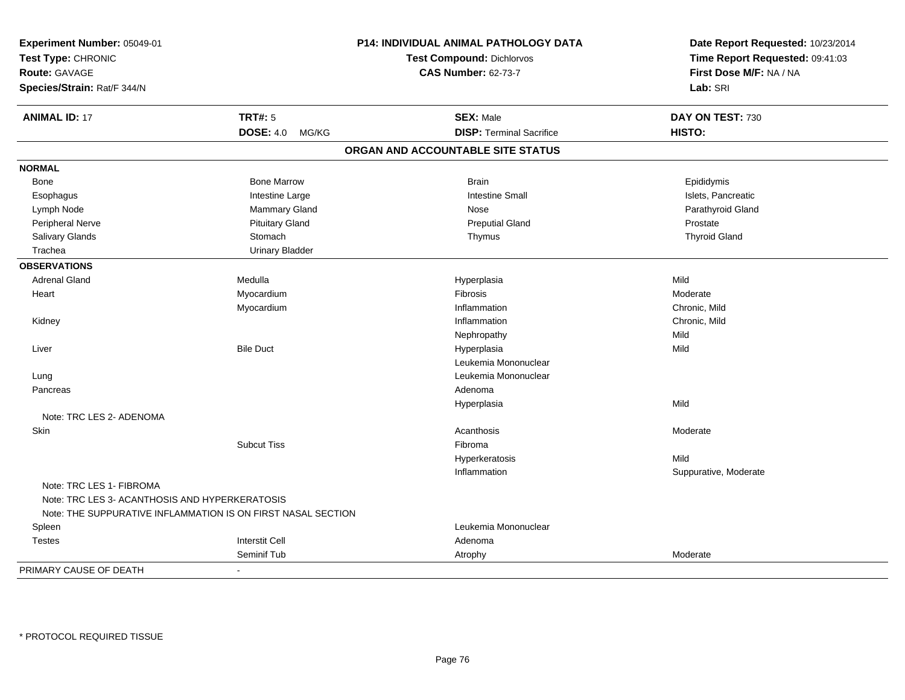| Experiment Number: 05049-01                                  |                           | P14: INDIVIDUAL ANIMAL PATHOLOGY DATA | Date Report Requested: 10/23/2014 |  |
|--------------------------------------------------------------|---------------------------|---------------------------------------|-----------------------------------|--|
| Test Type: CHRONIC<br>Route: GAVAGE                          |                           | <b>Test Compound: Dichlorvos</b>      | Time Report Requested: 09:41:03   |  |
|                                                              |                           | <b>CAS Number: 62-73-7</b>            | First Dose M/F: NA / NA           |  |
| Species/Strain: Rat/F 344/N                                  |                           |                                       | Lab: SRI                          |  |
| <b>ANIMAL ID: 17</b>                                         | <b>TRT#: 5</b>            | <b>SEX: Male</b>                      | DAY ON TEST: 730                  |  |
|                                                              | <b>DOSE: 4.0</b><br>MG/KG | <b>DISP: Terminal Sacrifice</b>       | HISTO:                            |  |
|                                                              |                           | ORGAN AND ACCOUNTABLE SITE STATUS     |                                   |  |
| <b>NORMAL</b>                                                |                           |                                       |                                   |  |
| Bone                                                         | <b>Bone Marrow</b>        | <b>Brain</b>                          | Epididymis                        |  |
| Esophagus                                                    | Intestine Large           | <b>Intestine Small</b>                | Islets, Pancreatic                |  |
| Lymph Node                                                   | Mammary Gland             | Nose                                  | Parathyroid Gland                 |  |
| Peripheral Nerve                                             | <b>Pituitary Gland</b>    | <b>Preputial Gland</b>                | Prostate                          |  |
| Salivary Glands                                              | Stomach                   | Thymus                                | <b>Thyroid Gland</b>              |  |
| Trachea                                                      | <b>Urinary Bladder</b>    |                                       |                                   |  |
| <b>OBSERVATIONS</b>                                          |                           |                                       |                                   |  |
| <b>Adrenal Gland</b>                                         | Medulla                   | Hyperplasia                           | Mild                              |  |
| Heart                                                        | Myocardium                | Fibrosis                              | Moderate                          |  |
|                                                              | Myocardium                | Inflammation                          | Chronic, Mild                     |  |
| Kidney                                                       |                           | Inflammation                          | Chronic, Mild                     |  |
|                                                              |                           | Nephropathy                           | Mild                              |  |
| Liver                                                        | <b>Bile Duct</b>          | Hyperplasia                           | Mild                              |  |
|                                                              |                           | Leukemia Mononuclear                  |                                   |  |
| Lung                                                         |                           | Leukemia Mononuclear                  |                                   |  |
| Pancreas                                                     |                           | Adenoma                               |                                   |  |
|                                                              |                           | Hyperplasia                           | Mild                              |  |
| Note: TRC LES 2- ADENOMA                                     |                           |                                       |                                   |  |
| Skin                                                         |                           | Acanthosis                            | Moderate                          |  |
|                                                              | <b>Subcut Tiss</b>        | Fibroma                               |                                   |  |
|                                                              |                           | Hyperkeratosis                        | Mild                              |  |
|                                                              |                           | Inflammation                          | Suppurative, Moderate             |  |
| Note: TRC LES 1- FIBROMA                                     |                           |                                       |                                   |  |
| Note: TRC LES 3- ACANTHOSIS AND HYPERKERATOSIS               |                           |                                       |                                   |  |
| Note: THE SUPPURATIVE INFLAMMATION IS ON FIRST NASAL SECTION |                           |                                       |                                   |  |
| Spleen                                                       |                           | Leukemia Mononuclear                  |                                   |  |
| <b>Testes</b>                                                | <b>Interstit Cell</b>     | Adenoma                               |                                   |  |
|                                                              | Seminif Tub               | Atrophy                               | Moderate                          |  |
| PRIMARY CAUSE OF DEATH                                       |                           |                                       |                                   |  |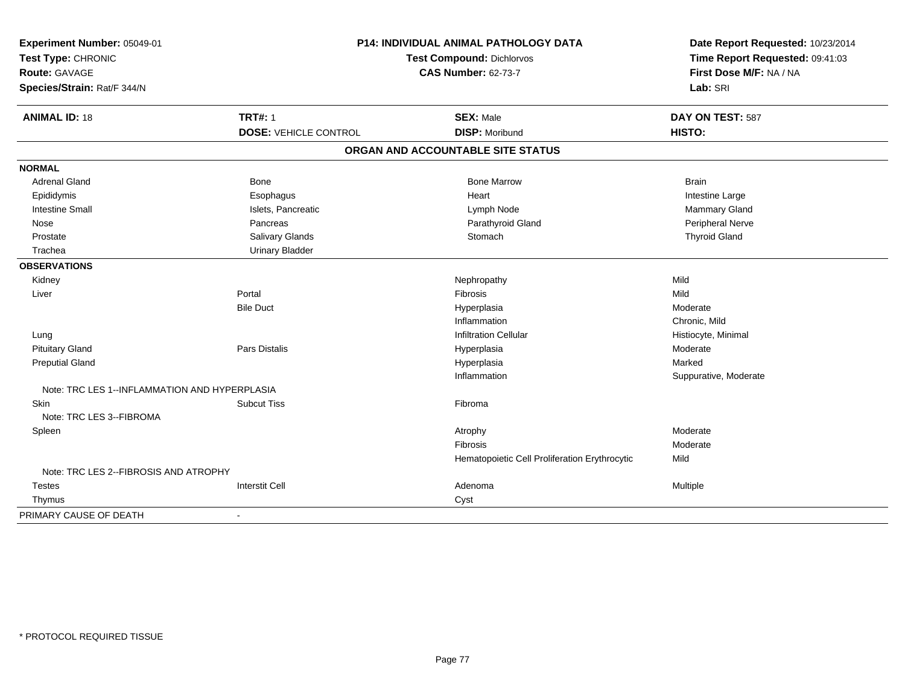| Experiment Number: 05049-01<br>Test Compound: Dichlorvos<br>Test Type: CHRONIC<br><b>CAS Number: 62-73-7</b><br>Route: GAVAGE<br>Species/Strain: Rat/F 344/N |                                                | P14: INDIVIDUAL ANIMAL PATHOLOGY DATA         | Date Report Requested: 10/23/2014<br>Time Report Requested: 09:41:03<br>First Dose M/F: NA / NA<br>Lab: SRI |
|--------------------------------------------------------------------------------------------------------------------------------------------------------------|------------------------------------------------|-----------------------------------------------|-------------------------------------------------------------------------------------------------------------|
| <b>ANIMAL ID: 18</b>                                                                                                                                         | <b>TRT#: 1</b><br><b>DOSE: VEHICLE CONTROL</b> | <b>SEX: Male</b><br><b>DISP: Moribund</b>     | DAY ON TEST: 587<br>HISTO:                                                                                  |
|                                                                                                                                                              |                                                | ORGAN AND ACCOUNTABLE SITE STATUS             |                                                                                                             |
| <b>NORMAL</b>                                                                                                                                                |                                                |                                               |                                                                                                             |
| <b>Adrenal Gland</b>                                                                                                                                         | Bone                                           | <b>Bone Marrow</b>                            | <b>Brain</b>                                                                                                |
| Epididymis                                                                                                                                                   | Esophagus                                      | Heart                                         | Intestine Large                                                                                             |
| <b>Intestine Small</b>                                                                                                                                       | Islets, Pancreatic                             | Lymph Node                                    | <b>Mammary Gland</b>                                                                                        |
| Nose                                                                                                                                                         | Pancreas                                       | Parathyroid Gland                             | Peripheral Nerve                                                                                            |
| Prostate                                                                                                                                                     | Salivary Glands                                | Stomach                                       | <b>Thyroid Gland</b>                                                                                        |
| Trachea                                                                                                                                                      | <b>Urinary Bladder</b>                         |                                               |                                                                                                             |
| <b>OBSERVATIONS</b>                                                                                                                                          |                                                |                                               |                                                                                                             |
| Kidney                                                                                                                                                       |                                                | Nephropathy                                   | Mild                                                                                                        |
| Liver                                                                                                                                                        | Portal                                         | Fibrosis                                      | Mild                                                                                                        |
|                                                                                                                                                              | <b>Bile Duct</b>                               | Hyperplasia                                   | Moderate                                                                                                    |
|                                                                                                                                                              |                                                | Inflammation                                  | Chronic, Mild                                                                                               |
| Lung                                                                                                                                                         |                                                | <b>Infiltration Cellular</b>                  | Histiocyte, Minimal                                                                                         |
| <b>Pituitary Gland</b>                                                                                                                                       | <b>Pars Distalis</b>                           | Hyperplasia                                   | Moderate                                                                                                    |
| <b>Preputial Gland</b>                                                                                                                                       |                                                | Hyperplasia                                   | Marked                                                                                                      |
|                                                                                                                                                              |                                                | Inflammation                                  | Suppurative, Moderate                                                                                       |
| Note: TRC LES 1--INFLAMMATION AND HYPERPLASIA                                                                                                                |                                                |                                               |                                                                                                             |
| Skin                                                                                                                                                         | <b>Subcut Tiss</b>                             | Fibroma                                       |                                                                                                             |
| Note: TRC LES 3--FIBROMA                                                                                                                                     |                                                |                                               |                                                                                                             |
| Spleen                                                                                                                                                       |                                                | Atrophy                                       | Moderate                                                                                                    |
|                                                                                                                                                              |                                                | Fibrosis                                      | Moderate                                                                                                    |
|                                                                                                                                                              |                                                | Hematopoietic Cell Proliferation Erythrocytic | Mild                                                                                                        |
| Note: TRC LES 2--FIBROSIS AND ATROPHY                                                                                                                        |                                                |                                               |                                                                                                             |
| <b>Testes</b>                                                                                                                                                | <b>Interstit Cell</b>                          | Adenoma                                       | Multiple                                                                                                    |
| Thymus                                                                                                                                                       |                                                | Cyst                                          |                                                                                                             |
| PRIMARY CAUSE OF DEATH                                                                                                                                       | $\blacksquare$                                 |                                               |                                                                                                             |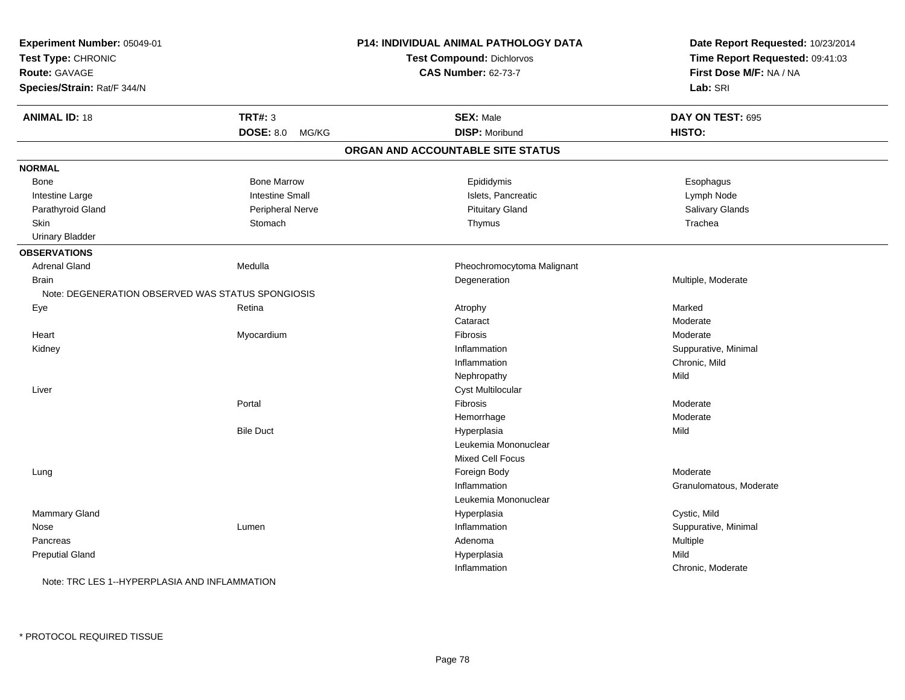| Experiment Number: 05049-01<br>Test Type: CHRONIC<br><b>Route: GAVAGE</b><br>Species/Strain: Rat/F 344/N |                           | P14: INDIVIDUAL ANIMAL PATHOLOGY DATA<br><b>Test Compound: Dichlorvos</b><br><b>CAS Number: 62-73-7</b> | Date Report Requested: 10/23/2014<br>Time Report Requested: 09:41:03<br>First Dose M/F: NA / NA<br>Lab: SRI |
|----------------------------------------------------------------------------------------------------------|---------------------------|---------------------------------------------------------------------------------------------------------|-------------------------------------------------------------------------------------------------------------|
| <b>ANIMAL ID: 18</b>                                                                                     | <b>TRT#: 3</b>            | <b>SEX: Male</b>                                                                                        | DAY ON TEST: 695                                                                                            |
|                                                                                                          | <b>DOSE: 8.0</b><br>MG/KG | <b>DISP: Moribund</b>                                                                                   | HISTO:                                                                                                      |
|                                                                                                          |                           | ORGAN AND ACCOUNTABLE SITE STATUS                                                                       |                                                                                                             |
| <b>NORMAL</b>                                                                                            |                           |                                                                                                         |                                                                                                             |
| Bone                                                                                                     | <b>Bone Marrow</b>        | Epididymis                                                                                              | Esophagus                                                                                                   |
| Intestine Large                                                                                          | <b>Intestine Small</b>    | Islets, Pancreatic                                                                                      | Lymph Node                                                                                                  |
| Parathyroid Gland                                                                                        | Peripheral Nerve          | <b>Pituitary Gland</b>                                                                                  | Salivary Glands                                                                                             |
| Skin                                                                                                     | Stomach                   | Thymus                                                                                                  | Trachea                                                                                                     |
| <b>Urinary Bladder</b>                                                                                   |                           |                                                                                                         |                                                                                                             |
| <b>OBSERVATIONS</b>                                                                                      |                           |                                                                                                         |                                                                                                             |
| <b>Adrenal Gland</b>                                                                                     | Medulla                   | Pheochromocytoma Malignant                                                                              |                                                                                                             |
| <b>Brain</b>                                                                                             |                           | Degeneration                                                                                            | Multiple, Moderate                                                                                          |
| Note: DEGENERATION OBSERVED WAS STATUS SPONGIOSIS                                                        |                           |                                                                                                         |                                                                                                             |
| Eye                                                                                                      | Retina                    | Atrophy                                                                                                 | Marked                                                                                                      |
|                                                                                                          |                           | Cataract                                                                                                | Moderate                                                                                                    |
| Heart                                                                                                    | Myocardium                | Fibrosis                                                                                                | Moderate                                                                                                    |
| Kidney                                                                                                   |                           | Inflammation                                                                                            | Suppurative, Minimal                                                                                        |
|                                                                                                          |                           | Inflammation                                                                                            | Chronic, Mild                                                                                               |
|                                                                                                          |                           | Nephropathy                                                                                             | Mild                                                                                                        |
| Liver                                                                                                    |                           | Cyst Multilocular                                                                                       |                                                                                                             |
|                                                                                                          | Portal                    | Fibrosis                                                                                                | Moderate                                                                                                    |
|                                                                                                          |                           | Hemorrhage                                                                                              | Moderate                                                                                                    |
|                                                                                                          | <b>Bile Duct</b>          | Hyperplasia                                                                                             | Mild                                                                                                        |
|                                                                                                          |                           | Leukemia Mononuclear                                                                                    |                                                                                                             |
|                                                                                                          |                           | <b>Mixed Cell Focus</b>                                                                                 |                                                                                                             |
| Lung                                                                                                     |                           | Foreign Body                                                                                            | Moderate                                                                                                    |
|                                                                                                          |                           | Inflammation                                                                                            | Granulomatous, Moderate                                                                                     |
|                                                                                                          |                           | Leukemia Mononuclear                                                                                    |                                                                                                             |
| Mammary Gland                                                                                            |                           | Hyperplasia                                                                                             | Cystic, Mild                                                                                                |
| Nose                                                                                                     | Lumen                     | Inflammation                                                                                            | Suppurative, Minimal                                                                                        |
| Pancreas                                                                                                 |                           | Adenoma                                                                                                 | Multiple                                                                                                    |
| <b>Preputial Gland</b>                                                                                   |                           | Hyperplasia                                                                                             | Mild                                                                                                        |
|                                                                                                          |                           | Inflammation                                                                                            | Chronic, Moderate                                                                                           |
| Note: TRC LES 1--HYPERPLASIA AND INFLAMMATION                                                            |                           |                                                                                                         |                                                                                                             |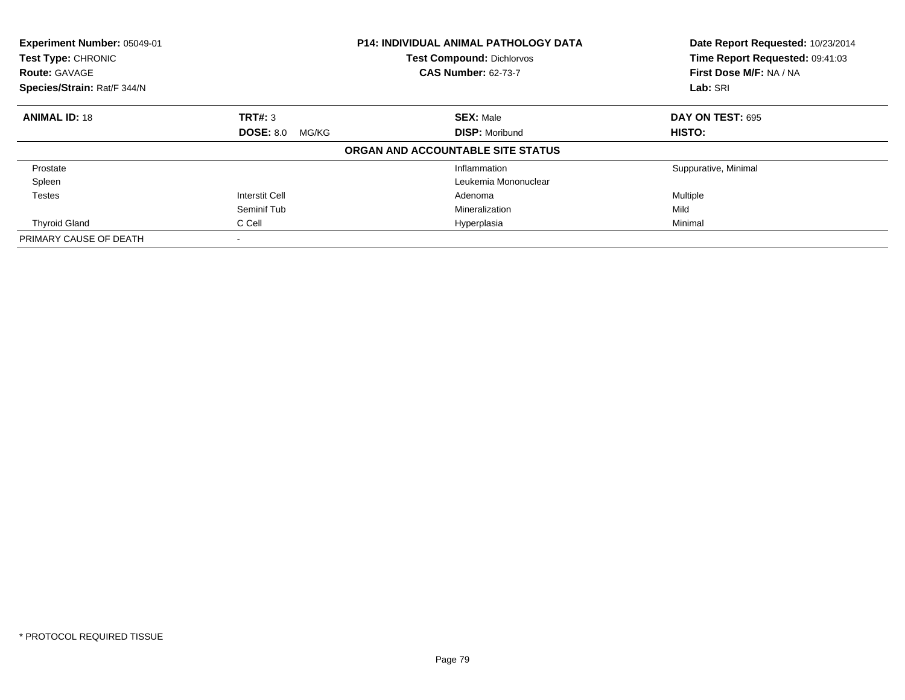| Experiment Number: 05049-01<br><b>Test Type: CHRONIC</b><br><b>Route: GAVAGE</b> |                                                    | <b>P14: INDIVIDUAL ANIMAL PATHOLOGY DATA</b><br><b>Test Compound: Dichlorvos</b><br><b>CAS Number: 62-73-7</b> | Date Report Requested: 10/23/2014<br>Time Report Requested: 09:41:03<br>First Dose M/F: NA / NA |
|----------------------------------------------------------------------------------|----------------------------------------------------|----------------------------------------------------------------------------------------------------------------|-------------------------------------------------------------------------------------------------|
| Species/Strain: Rat/F 344/N                                                      |                                                    |                                                                                                                | Lab: SRI                                                                                        |
| <b>ANIMAL ID: 18</b>                                                             | TRT#: 3                                            | <b>SEX: Male</b>                                                                                               | DAY ON TEST: 695                                                                                |
|                                                                                  | <b>DOSE: 8.0</b><br><b>DISP: Moribund</b><br>MG/KG | <b>HISTO:</b>                                                                                                  |                                                                                                 |
|                                                                                  |                                                    | ORGAN AND ACCOUNTABLE SITE STATUS                                                                              |                                                                                                 |
| Prostate                                                                         |                                                    | Inflammation                                                                                                   | Suppurative, Minimal                                                                            |
| Spleen                                                                           |                                                    | Leukemia Mononuclear                                                                                           |                                                                                                 |
| <b>Testes</b>                                                                    | Interstit Cell                                     | Adenoma                                                                                                        | Multiple                                                                                        |
|                                                                                  | Seminif Tub                                        | Mineralization                                                                                                 | Mild                                                                                            |
| <b>Thyroid Gland</b>                                                             | C Cell                                             | Hyperplasia                                                                                                    | Minimal                                                                                         |
| PRIMARY CAUSE OF DEATH                                                           | $\overline{\phantom{a}}$                           |                                                                                                                |                                                                                                 |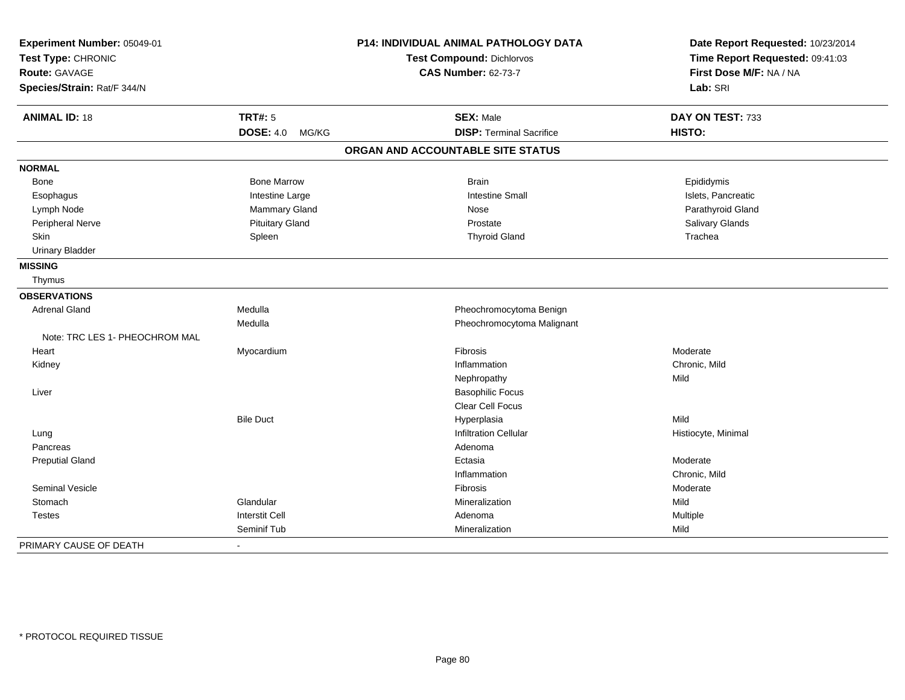| Experiment Number: 05049-01<br>Test Type: CHRONIC |                           | P14: INDIVIDUAL ANIMAL PATHOLOGY DATA | Date Report Requested: 10/23/2014<br>Time Report Requested: 09:41:03 |  |
|---------------------------------------------------|---------------------------|---------------------------------------|----------------------------------------------------------------------|--|
|                                                   |                           | Test Compound: Dichlorvos             |                                                                      |  |
| Route: GAVAGE                                     |                           | <b>CAS Number: 62-73-7</b>            | First Dose M/F: NA / NA                                              |  |
| Species/Strain: Rat/F 344/N                       |                           |                                       | Lab: SRI                                                             |  |
| <b>ANIMAL ID: 18</b>                              | <b>TRT#: 5</b>            | <b>SEX: Male</b>                      | DAY ON TEST: 733                                                     |  |
|                                                   | <b>DOSE: 4.0</b><br>MG/KG | <b>DISP: Terminal Sacrifice</b>       | HISTO:                                                               |  |
|                                                   |                           | ORGAN AND ACCOUNTABLE SITE STATUS     |                                                                      |  |
| <b>NORMAL</b>                                     |                           |                                       |                                                                      |  |
| Bone                                              | <b>Bone Marrow</b>        | <b>Brain</b>                          | Epididymis                                                           |  |
| Esophagus                                         | Intestine Large           | <b>Intestine Small</b>                | Islets, Pancreatic                                                   |  |
| Lymph Node                                        | Mammary Gland             | Nose                                  | Parathyroid Gland                                                    |  |
| Peripheral Nerve                                  | <b>Pituitary Gland</b>    | Prostate                              | Salivary Glands                                                      |  |
| Skin                                              | Spleen                    | <b>Thyroid Gland</b>                  | Trachea                                                              |  |
| <b>Urinary Bladder</b>                            |                           |                                       |                                                                      |  |
| <b>MISSING</b>                                    |                           |                                       |                                                                      |  |
| Thymus                                            |                           |                                       |                                                                      |  |
| <b>OBSERVATIONS</b>                               |                           |                                       |                                                                      |  |
| <b>Adrenal Gland</b>                              | Medulla                   | Pheochromocytoma Benign               |                                                                      |  |
|                                                   | Medulla                   | Pheochromocytoma Malignant            |                                                                      |  |
| Note: TRC LES 1- PHEOCHROM MAL                    |                           |                                       |                                                                      |  |
| Heart                                             | Myocardium                | Fibrosis                              | Moderate                                                             |  |
| Kidney                                            |                           | Inflammation                          | Chronic, Mild                                                        |  |
|                                                   |                           | Nephropathy                           | Mild                                                                 |  |
| Liver                                             |                           | <b>Basophilic Focus</b>               |                                                                      |  |
|                                                   |                           | Clear Cell Focus                      |                                                                      |  |
|                                                   | <b>Bile Duct</b>          | Hyperplasia                           | Mild                                                                 |  |
| Lung                                              |                           | <b>Infiltration Cellular</b>          | Histiocyte, Minimal                                                  |  |
| Pancreas                                          |                           | Adenoma                               |                                                                      |  |
| <b>Preputial Gland</b>                            |                           | Ectasia                               | Moderate                                                             |  |
|                                                   |                           | Inflammation                          | Chronic, Mild                                                        |  |
| Seminal Vesicle                                   |                           | <b>Fibrosis</b>                       | Moderate                                                             |  |
| Stomach                                           | Glandular                 | Mineralization                        | Mild                                                                 |  |
| <b>Testes</b>                                     | <b>Interstit Cell</b>     | Adenoma                               | Multiple                                                             |  |
|                                                   | Seminif Tub               | Mineralization                        | Mild                                                                 |  |
| PRIMARY CAUSE OF DEATH                            | $\blacksquare$            |                                       |                                                                      |  |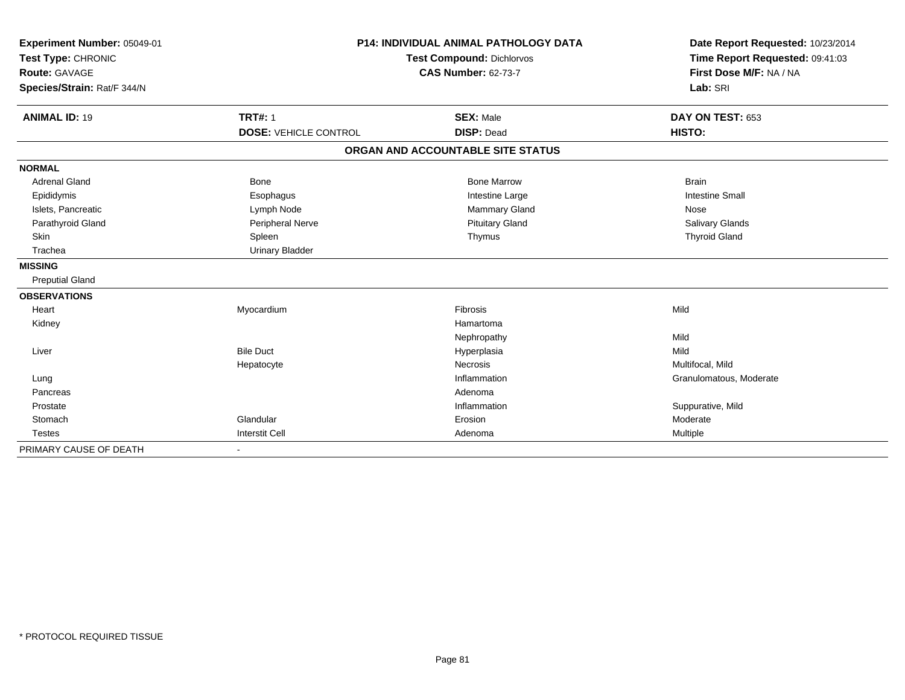| Experiment Number: 05049-01<br>Test Type: CHRONIC<br><b>Route: GAVAGE</b><br>Species/Strain: Rat/F 344/N |                              | P14: INDIVIDUAL ANIMAL PATHOLOGY DATA<br><b>Test Compound: Dichlorvos</b><br><b>CAS Number: 62-73-7</b> | Date Report Requested: 10/23/2014<br>Time Report Requested: 09:41:03<br>First Dose M/F: NA / NA<br>Lab: SRI |
|----------------------------------------------------------------------------------------------------------|------------------------------|---------------------------------------------------------------------------------------------------------|-------------------------------------------------------------------------------------------------------------|
| <b>ANIMAL ID: 19</b>                                                                                     | <b>TRT#: 1</b>               | <b>SEX: Male</b>                                                                                        | DAY ON TEST: 653                                                                                            |
|                                                                                                          | <b>DOSE: VEHICLE CONTROL</b> | <b>DISP: Dead</b>                                                                                       | HISTO:                                                                                                      |
|                                                                                                          |                              | ORGAN AND ACCOUNTABLE SITE STATUS                                                                       |                                                                                                             |
| <b>NORMAL</b>                                                                                            |                              |                                                                                                         |                                                                                                             |
| <b>Adrenal Gland</b>                                                                                     | <b>Bone</b>                  | <b>Bone Marrow</b>                                                                                      | <b>Brain</b>                                                                                                |
| Epididymis                                                                                               | Esophagus                    | Intestine Large                                                                                         | <b>Intestine Small</b>                                                                                      |
| Islets, Pancreatic                                                                                       | Lymph Node                   | Mammary Gland                                                                                           | Nose                                                                                                        |
| Parathyroid Gland                                                                                        | Peripheral Nerve             | <b>Pituitary Gland</b>                                                                                  | Salivary Glands                                                                                             |
| Skin                                                                                                     | Spleen                       | Thymus                                                                                                  | <b>Thyroid Gland</b>                                                                                        |
| Trachea                                                                                                  | <b>Urinary Bladder</b>       |                                                                                                         |                                                                                                             |
| <b>MISSING</b>                                                                                           |                              |                                                                                                         |                                                                                                             |
| <b>Preputial Gland</b>                                                                                   |                              |                                                                                                         |                                                                                                             |
| <b>OBSERVATIONS</b>                                                                                      |                              |                                                                                                         |                                                                                                             |
| Heart                                                                                                    | Myocardium                   | Fibrosis                                                                                                | Mild                                                                                                        |
| Kidney                                                                                                   |                              | Hamartoma                                                                                               |                                                                                                             |
|                                                                                                          |                              | Nephropathy                                                                                             | Mild                                                                                                        |
| Liver                                                                                                    | <b>Bile Duct</b>             | Hyperplasia                                                                                             | Mild                                                                                                        |
|                                                                                                          | Hepatocyte                   | Necrosis                                                                                                | Multifocal, Mild                                                                                            |
| Lung                                                                                                     |                              | Inflammation                                                                                            | Granulomatous, Moderate                                                                                     |
| Pancreas                                                                                                 |                              | Adenoma                                                                                                 |                                                                                                             |
| Prostate                                                                                                 |                              | Inflammation                                                                                            | Suppurative, Mild                                                                                           |
| Stomach                                                                                                  | Glandular                    | Erosion                                                                                                 | Moderate                                                                                                    |
| <b>Testes</b>                                                                                            | <b>Interstit Cell</b>        | Adenoma                                                                                                 | <b>Multiple</b>                                                                                             |
| PRIMARY CAUSE OF DEATH                                                                                   |                              |                                                                                                         |                                                                                                             |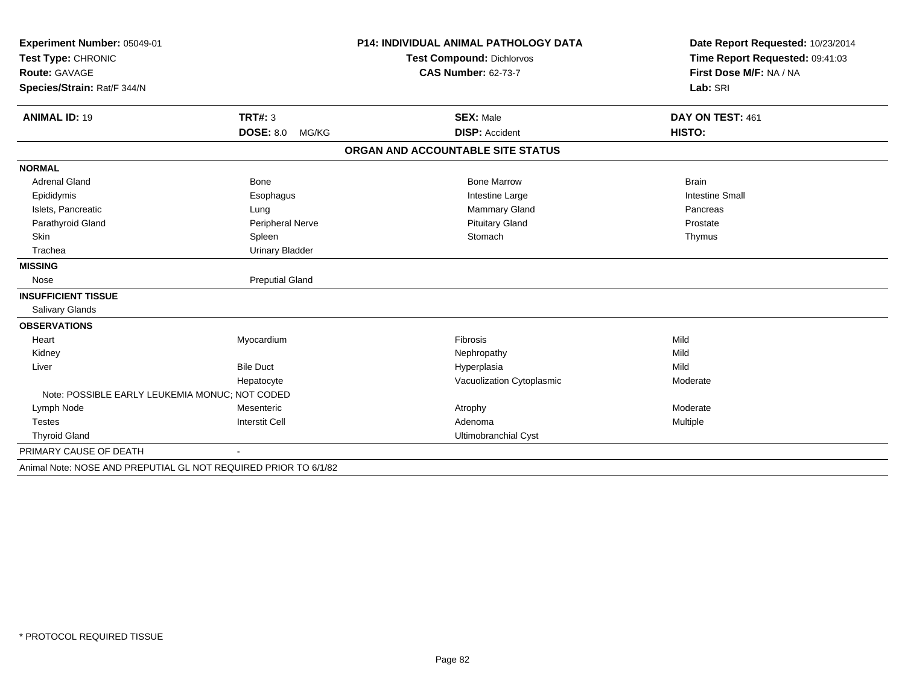| Experiment Number: 05049-01<br>Test Type: CHRONIC               |                           | <b>P14: INDIVIDUAL ANIMAL PATHOLOGY DATA</b> | Date Report Requested: 10/23/2014<br>Time Report Requested: 09:41:03 |
|-----------------------------------------------------------------|---------------------------|----------------------------------------------|----------------------------------------------------------------------|
|                                                                 |                           | <b>Test Compound: Dichlorvos</b>             |                                                                      |
| Route: GAVAGE                                                   |                           | <b>CAS Number: 62-73-7</b>                   | First Dose M/F: NA / NA                                              |
| Species/Strain: Rat/F 344/N                                     |                           |                                              | Lab: SRI                                                             |
|                                                                 |                           |                                              |                                                                      |
| <b>ANIMAL ID: 19</b>                                            | TRT#: 3                   | <b>SEX: Male</b>                             | DAY ON TEST: 461                                                     |
|                                                                 | <b>DOSE: 8.0</b><br>MG/KG | <b>DISP: Accident</b>                        | <b>HISTO:</b>                                                        |
|                                                                 |                           | ORGAN AND ACCOUNTABLE SITE STATUS            |                                                                      |
| <b>NORMAL</b>                                                   |                           |                                              |                                                                      |
| <b>Adrenal Gland</b>                                            | <b>Bone</b>               | <b>Bone Marrow</b>                           | <b>Brain</b>                                                         |
| Epididymis                                                      | Esophagus                 | Intestine Large                              | <b>Intestine Small</b>                                               |
| Islets, Pancreatic                                              | Lung                      | Mammary Gland                                | Pancreas                                                             |
| Parathyroid Gland                                               | Peripheral Nerve          | <b>Pituitary Gland</b>                       | Prostate                                                             |
| Skin                                                            | Spleen                    | Stomach                                      | Thymus                                                               |
| Trachea                                                         | <b>Urinary Bladder</b>    |                                              |                                                                      |
| <b>MISSING</b>                                                  |                           |                                              |                                                                      |
| Nose                                                            | <b>Preputial Gland</b>    |                                              |                                                                      |
| <b>INSUFFICIENT TISSUE</b>                                      |                           |                                              |                                                                      |
| <b>Salivary Glands</b>                                          |                           |                                              |                                                                      |
| <b>OBSERVATIONS</b>                                             |                           |                                              |                                                                      |
| Heart                                                           | Myocardium                | Fibrosis                                     | Mild                                                                 |
| Kidney                                                          |                           | Nephropathy                                  | Mild                                                                 |
| Liver                                                           | <b>Bile Duct</b>          | Hyperplasia                                  | Mild                                                                 |
|                                                                 | Hepatocyte                | Vacuolization Cytoplasmic                    | Moderate                                                             |
| Note: POSSIBLE EARLY LEUKEMIA MONUC: NOT CODED                  |                           |                                              |                                                                      |
| Lymph Node                                                      | Mesenteric                | Atrophy                                      | Moderate                                                             |
| <b>Testes</b>                                                   | <b>Interstit Cell</b>     | Adenoma                                      | Multiple                                                             |
| <b>Thyroid Gland</b>                                            |                           | Ultimobranchial Cyst                         |                                                                      |
| PRIMARY CAUSE OF DEATH                                          |                           |                                              |                                                                      |
| Animal Note: NOSE AND PREPUTIAL GL NOT REQUIRED PRIOR TO 6/1/82 |                           |                                              |                                                                      |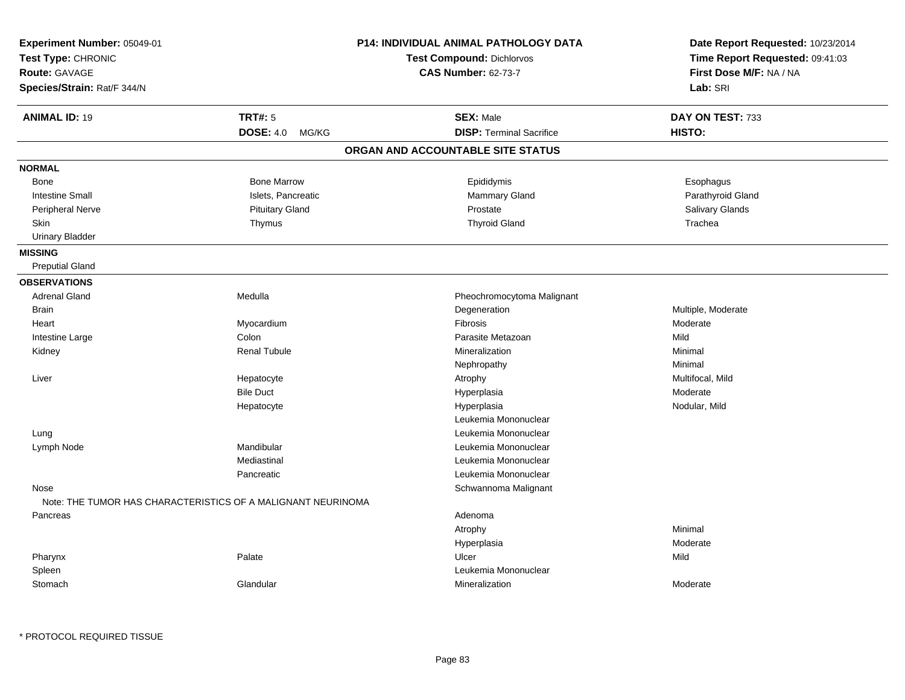| Experiment Number: 05049-01<br>Test Type: CHRONIC<br><b>Route: GAVAGE</b><br>Species/Strain: Rat/F 344/N |                        | <b>P14: INDIVIDUAL ANIMAL PATHOLOGY DATA</b><br><b>Test Compound: Dichlorvos</b><br><b>CAS Number: 62-73-7</b> | Date Report Requested: 10/23/2014<br>Time Report Requested: 09:41:03<br>First Dose M/F: NA / NA<br>Lab: SRI |
|----------------------------------------------------------------------------------------------------------|------------------------|----------------------------------------------------------------------------------------------------------------|-------------------------------------------------------------------------------------------------------------|
| <b>ANIMAL ID: 19</b>                                                                                     | <b>TRT#: 5</b>         | <b>SEX: Male</b>                                                                                               | DAY ON TEST: 733                                                                                            |
|                                                                                                          | DOSE: 4.0 MG/KG        | <b>DISP: Terminal Sacrifice</b>                                                                                | HISTO:                                                                                                      |
|                                                                                                          |                        | ORGAN AND ACCOUNTABLE SITE STATUS                                                                              |                                                                                                             |
| <b>NORMAL</b>                                                                                            |                        |                                                                                                                |                                                                                                             |
| Bone                                                                                                     | <b>Bone Marrow</b>     | Epididymis                                                                                                     | Esophagus                                                                                                   |
| <b>Intestine Small</b>                                                                                   | Islets, Pancreatic     | Mammary Gland                                                                                                  | Parathyroid Gland                                                                                           |
| <b>Peripheral Nerve</b>                                                                                  | <b>Pituitary Gland</b> | Prostate                                                                                                       | Salivary Glands                                                                                             |
| Skin                                                                                                     | Thymus                 | <b>Thyroid Gland</b>                                                                                           | Trachea                                                                                                     |
| <b>Urinary Bladder</b>                                                                                   |                        |                                                                                                                |                                                                                                             |
| <b>MISSING</b>                                                                                           |                        |                                                                                                                |                                                                                                             |
| <b>Preputial Gland</b>                                                                                   |                        |                                                                                                                |                                                                                                             |
| <b>OBSERVATIONS</b>                                                                                      |                        |                                                                                                                |                                                                                                             |
| <b>Adrenal Gland</b>                                                                                     | Medulla                | Pheochromocytoma Malignant                                                                                     |                                                                                                             |
| <b>Brain</b>                                                                                             |                        | Degeneration                                                                                                   | Multiple, Moderate                                                                                          |
| Heart                                                                                                    | Myocardium             | Fibrosis                                                                                                       | Moderate                                                                                                    |
| Intestine Large                                                                                          | Colon                  | Parasite Metazoan                                                                                              | Mild                                                                                                        |
| Kidney                                                                                                   | <b>Renal Tubule</b>    | Mineralization                                                                                                 | Minimal                                                                                                     |
|                                                                                                          |                        | Nephropathy                                                                                                    | Minimal                                                                                                     |
| Liver                                                                                                    | Hepatocyte             | Atrophy                                                                                                        | Multifocal, Mild                                                                                            |
|                                                                                                          | <b>Bile Duct</b>       | Hyperplasia                                                                                                    | Moderate                                                                                                    |
|                                                                                                          | Hepatocyte             | Hyperplasia                                                                                                    | Nodular, Mild                                                                                               |
|                                                                                                          |                        | Leukemia Mononuclear                                                                                           |                                                                                                             |
| Lung                                                                                                     |                        | Leukemia Mononuclear                                                                                           |                                                                                                             |
| Lymph Node                                                                                               | Mandibular             | Leukemia Mononuclear                                                                                           |                                                                                                             |
|                                                                                                          | Mediastinal            | Leukemia Mononuclear                                                                                           |                                                                                                             |
|                                                                                                          | Pancreatic             | Leukemia Mononuclear                                                                                           |                                                                                                             |
| Nose                                                                                                     |                        | Schwannoma Malignant                                                                                           |                                                                                                             |
| Note: THE TUMOR HAS CHARACTERISTICS OF A MALIGNANT NEURINOMA                                             |                        |                                                                                                                |                                                                                                             |
| Pancreas                                                                                                 |                        | Adenoma                                                                                                        |                                                                                                             |
|                                                                                                          |                        | Atrophy                                                                                                        | Minimal                                                                                                     |
|                                                                                                          |                        | Hyperplasia                                                                                                    | Moderate                                                                                                    |
| Pharynx                                                                                                  | Palate                 | Ulcer                                                                                                          | Mild                                                                                                        |
| Spleen                                                                                                   |                        | Leukemia Mononuclear                                                                                           |                                                                                                             |
| Stomach                                                                                                  | Glandular              | Mineralization                                                                                                 | Moderate                                                                                                    |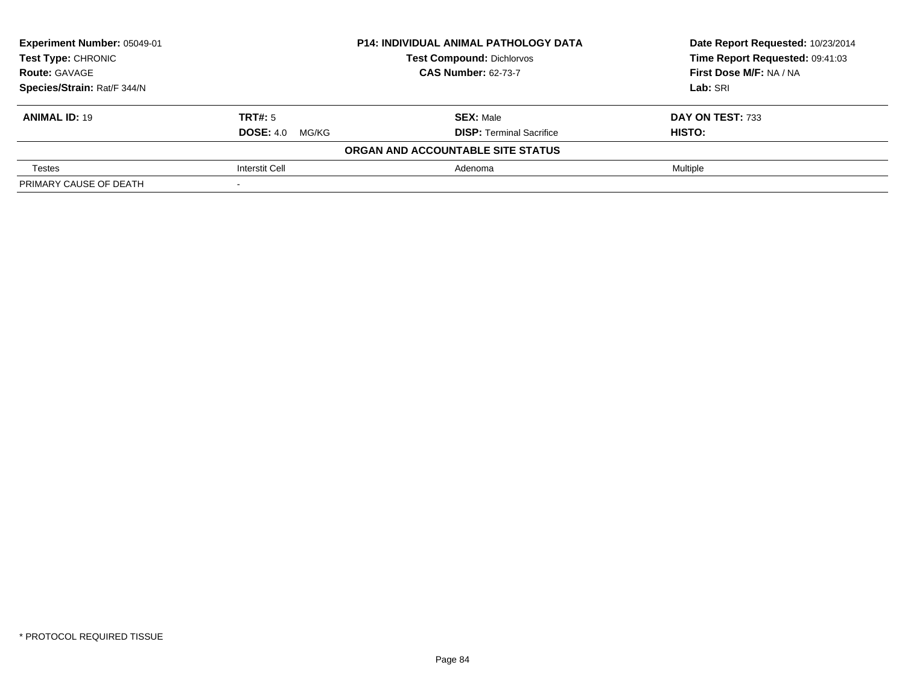| Experiment Number: 05049-01 |                        | <b>P14: INDIVIDUAL ANIMAL PATHOLOGY DATA</b> | Date Report Requested: 10/23/2014 |
|-----------------------------|------------------------|----------------------------------------------|-----------------------------------|
| <b>Test Type: CHRONIC</b>   |                        | <b>Test Compound: Dichlorvos</b>             | Time Report Requested: 09:41:03   |
| <b>Route: GAVAGE</b>        |                        | <b>CAS Number: 62-73-7</b>                   | First Dose M/F: NA / NA           |
| Species/Strain: Rat/F 344/N |                        |                                              | Lab: SRI                          |
| <b>ANIMAL ID: 19</b>        | TRT#: 5                | <b>SEX: Male</b>                             | DAY ON TEST: 733                  |
|                             | <b>DOSE:</b> 4.0 MG/KG | <b>DISP:</b> Terminal Sacrifice              | HISTO:                            |
|                             |                        | ORGAN AND ACCOUNTABLE SITE STATUS            |                                   |
| Testes                      | Interstit Cell         | Adenoma                                      | Multiple                          |
| PRIMARY CAUSE OF DEATH      |                        |                                              |                                   |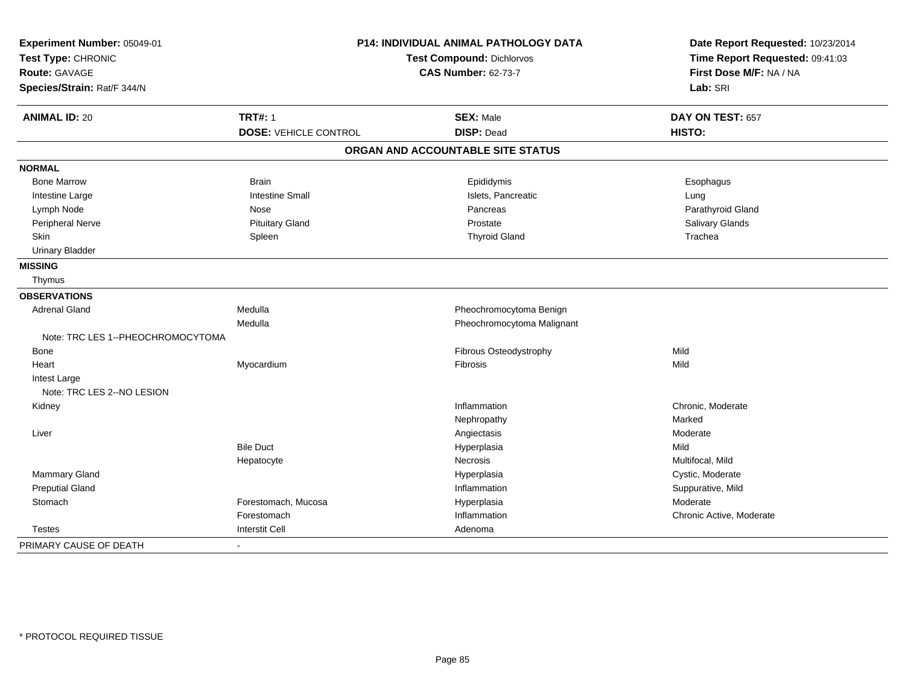| Experiment Number: 05049-01<br>Test Type: CHRONIC<br>Route: GAVAGE |                              | P14: INDIVIDUAL ANIMAL PATHOLOGY DATA<br><b>Test Compound: Dichlorvos</b><br><b>CAS Number: 62-73-7</b> | Date Report Requested: 10/23/2014<br>Time Report Requested: 09:41:03<br>First Dose M/F: NA / NA |  |
|--------------------------------------------------------------------|------------------------------|---------------------------------------------------------------------------------------------------------|-------------------------------------------------------------------------------------------------|--|
| Species/Strain: Rat/F 344/N                                        |                              |                                                                                                         | Lab: SRI                                                                                        |  |
| <b>ANIMAL ID: 20</b>                                               | <b>TRT#: 1</b>               | <b>SEX: Male</b>                                                                                        | DAY ON TEST: 657                                                                                |  |
|                                                                    | <b>DOSE: VEHICLE CONTROL</b> | <b>DISP: Dead</b>                                                                                       | HISTO:                                                                                          |  |
|                                                                    |                              | ORGAN AND ACCOUNTABLE SITE STATUS                                                                       |                                                                                                 |  |
| <b>NORMAL</b>                                                      |                              |                                                                                                         |                                                                                                 |  |
| <b>Bone Marrow</b>                                                 | <b>Brain</b>                 | Epididymis                                                                                              | Esophagus                                                                                       |  |
| Intestine Large                                                    | <b>Intestine Small</b>       | Islets, Pancreatic                                                                                      | Lung                                                                                            |  |
| Lymph Node                                                         | Nose                         | Pancreas                                                                                                | Parathyroid Gland                                                                               |  |
| Peripheral Nerve                                                   | <b>Pituitary Gland</b>       | Prostate                                                                                                | Salivary Glands                                                                                 |  |
| <b>Skin</b>                                                        | Spleen                       | <b>Thyroid Gland</b>                                                                                    | Trachea                                                                                         |  |
| <b>Urinary Bladder</b>                                             |                              |                                                                                                         |                                                                                                 |  |
| <b>MISSING</b>                                                     |                              |                                                                                                         |                                                                                                 |  |
| Thymus                                                             |                              |                                                                                                         |                                                                                                 |  |
| <b>OBSERVATIONS</b>                                                |                              |                                                                                                         |                                                                                                 |  |
| <b>Adrenal Gland</b>                                               | Medulla                      | Pheochromocytoma Benign                                                                                 |                                                                                                 |  |
|                                                                    | Medulla                      | Pheochromocytoma Malignant                                                                              |                                                                                                 |  |
| Note: TRC LES 1--PHEOCHROMOCYTOMA                                  |                              |                                                                                                         |                                                                                                 |  |
| Bone                                                               |                              | Fibrous Osteodystrophy                                                                                  | Mild                                                                                            |  |
| Heart                                                              | Myocardium                   | Fibrosis                                                                                                | Mild                                                                                            |  |
| Intest Large                                                       |                              |                                                                                                         |                                                                                                 |  |
| Note: TRC LES 2--NO LESION                                         |                              |                                                                                                         |                                                                                                 |  |
| Kidney                                                             |                              | Inflammation                                                                                            | Chronic, Moderate                                                                               |  |
|                                                                    |                              | Nephropathy                                                                                             | Marked                                                                                          |  |
| Liver                                                              |                              | Angiectasis                                                                                             | Moderate                                                                                        |  |
|                                                                    | <b>Bile Duct</b>             | Hyperplasia                                                                                             | Mild                                                                                            |  |
|                                                                    | Hepatocyte                   | <b>Necrosis</b>                                                                                         | Multifocal, Mild                                                                                |  |
| Mammary Gland                                                      |                              | Hyperplasia                                                                                             | Cystic, Moderate                                                                                |  |
| <b>Preputial Gland</b>                                             |                              | Inflammation                                                                                            | Suppurative, Mild                                                                               |  |
| Stomach                                                            | Forestomach, Mucosa          | Hyperplasia                                                                                             | Moderate                                                                                        |  |
|                                                                    | Forestomach                  | Inflammation                                                                                            | Chronic Active, Moderate                                                                        |  |
| <b>Testes</b>                                                      | Interstit Cell               | Adenoma                                                                                                 |                                                                                                 |  |
| PRIMARY CAUSE OF DEATH                                             | $\sim$                       |                                                                                                         |                                                                                                 |  |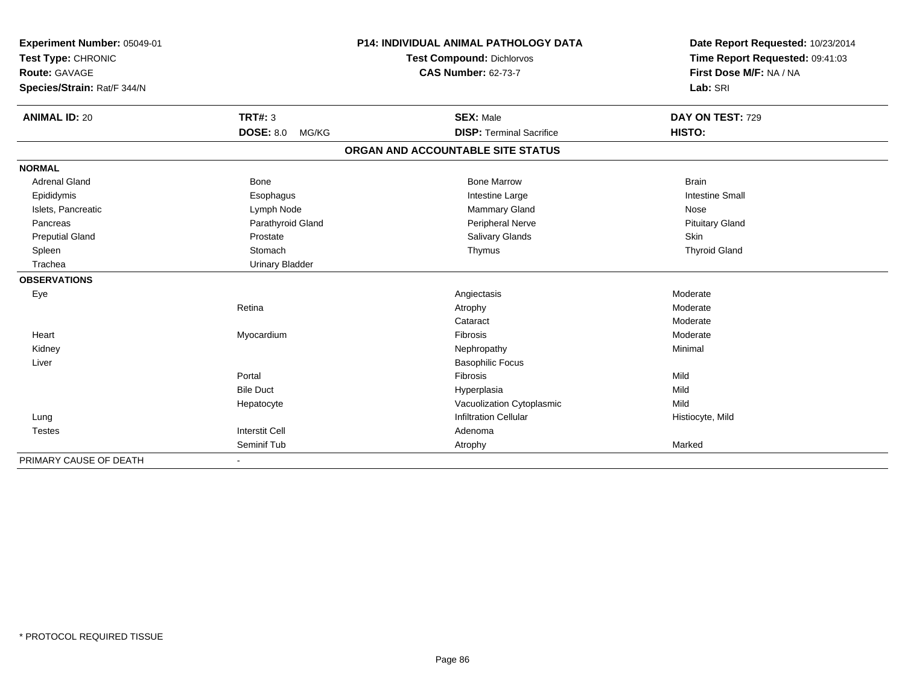| Experiment Number: 05049-01 |                           | <b>P14: INDIVIDUAL ANIMAL PATHOLOGY DATA</b> | Date Report Requested: 10/23/2014 |  |
|-----------------------------|---------------------------|----------------------------------------------|-----------------------------------|--|
| Test Type: CHRONIC          |                           | <b>Test Compound: Dichlorvos</b>             | Time Report Requested: 09:41:03   |  |
| Route: GAVAGE               |                           | <b>CAS Number: 62-73-7</b>                   | First Dose M/F: NA / NA           |  |
| Species/Strain: Rat/F 344/N |                           |                                              | Lab: SRI                          |  |
|                             |                           |                                              |                                   |  |
| <b>ANIMAL ID: 20</b>        | <b>TRT#: 3</b>            | <b>SEX: Male</b>                             | DAY ON TEST: 729                  |  |
|                             | <b>DOSE: 8.0</b><br>MG/KG | <b>DISP: Terminal Sacrifice</b>              | HISTO:                            |  |
|                             |                           | ORGAN AND ACCOUNTABLE SITE STATUS            |                                   |  |
| <b>NORMAL</b>               |                           |                                              |                                   |  |
| <b>Adrenal Gland</b>        | <b>Bone</b>               | <b>Bone Marrow</b>                           | <b>Brain</b>                      |  |
| Epididymis                  | Esophagus                 | Intestine Large                              | <b>Intestine Small</b>            |  |
| Islets, Pancreatic          | Lymph Node                | Mammary Gland                                | Nose                              |  |
| Pancreas                    | Parathyroid Gland         | Peripheral Nerve                             | <b>Pituitary Gland</b>            |  |
| <b>Preputial Gland</b>      | Prostate                  | Salivary Glands                              | Skin                              |  |
| Spleen                      | Stomach                   | Thymus                                       | <b>Thyroid Gland</b>              |  |
| Trachea                     | <b>Urinary Bladder</b>    |                                              |                                   |  |
| <b>OBSERVATIONS</b>         |                           |                                              |                                   |  |
| Eye                         |                           | Angiectasis                                  | Moderate                          |  |
|                             | Retina                    | Atrophy                                      | Moderate                          |  |
|                             |                           | Cataract                                     | Moderate                          |  |
| Heart                       | Myocardium                | Fibrosis                                     | Moderate                          |  |
| Kidney                      |                           | Nephropathy                                  | Minimal                           |  |
| Liver                       |                           | <b>Basophilic Focus</b>                      |                                   |  |
|                             | Portal                    | Fibrosis                                     | Mild                              |  |
|                             | <b>Bile Duct</b>          | Hyperplasia                                  | Mild                              |  |
|                             | Hepatocyte                | Vacuolization Cytoplasmic                    | Mild                              |  |
| Lung                        |                           | <b>Infiltration Cellular</b>                 | Histiocyte, Mild                  |  |
| <b>Testes</b>               | <b>Interstit Cell</b>     | Adenoma                                      |                                   |  |
|                             | Seminif Tub               | Atrophy                                      | Marked                            |  |
| PRIMARY CAUSE OF DEATH      |                           |                                              |                                   |  |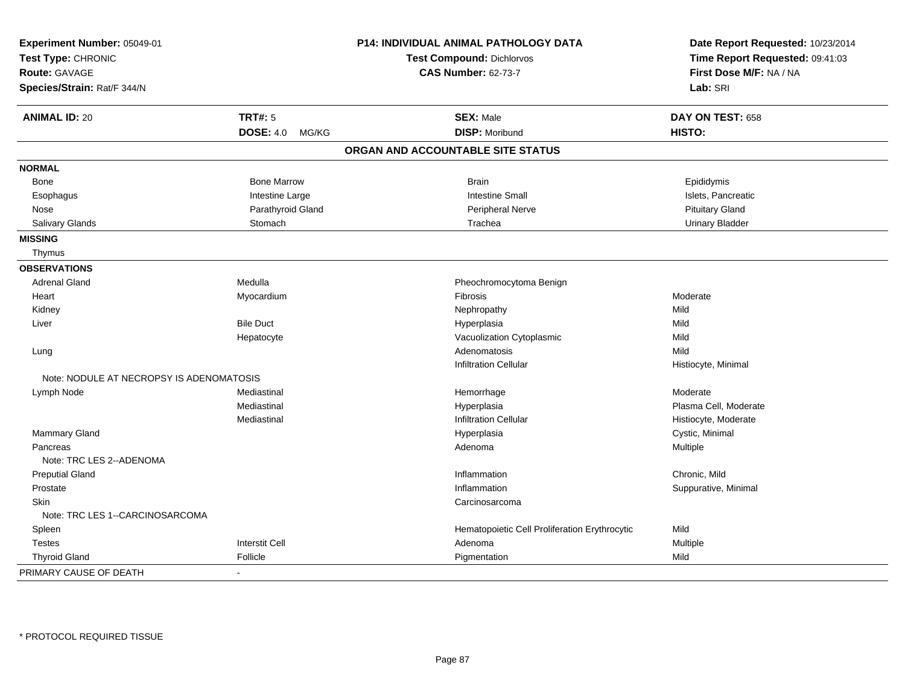| Experiment Number: 05049-01              |                           | P14: INDIVIDUAL ANIMAL PATHOLOGY DATA         | Date Report Requested: 10/23/2014 |
|------------------------------------------|---------------------------|-----------------------------------------------|-----------------------------------|
| Test Type: CHRONIC                       |                           | <b>Test Compound: Dichlorvos</b>              | Time Report Requested: 09:41:03   |
| <b>Route: GAVAGE</b>                     |                           | <b>CAS Number: 62-73-7</b>                    | First Dose M/F: NA / NA           |
| Species/Strain: Rat/F 344/N              |                           |                                               | Lab: SRI                          |
| <b>ANIMAL ID: 20</b>                     | <b>TRT#: 5</b>            | <b>SEX: Male</b>                              | DAY ON TEST: 658                  |
|                                          | <b>DOSE: 4.0</b><br>MG/KG | <b>DISP: Moribund</b>                         | HISTO:                            |
|                                          |                           | ORGAN AND ACCOUNTABLE SITE STATUS             |                                   |
| <b>NORMAL</b>                            |                           |                                               |                                   |
| Bone                                     | <b>Bone Marrow</b>        | <b>Brain</b>                                  | Epididymis                        |
| Esophagus                                | Intestine Large           | <b>Intestine Small</b>                        | Islets, Pancreatic                |
| Nose                                     | Parathyroid Gland         | Peripheral Nerve                              | <b>Pituitary Gland</b>            |
| Salivary Glands                          | Stomach                   | Trachea                                       | <b>Urinary Bladder</b>            |
| <b>MISSING</b>                           |                           |                                               |                                   |
| Thymus                                   |                           |                                               |                                   |
| <b>OBSERVATIONS</b>                      |                           |                                               |                                   |
| <b>Adrenal Gland</b>                     | Medulla                   | Pheochromocytoma Benign                       |                                   |
| Heart                                    | Myocardium                | Fibrosis                                      | Moderate                          |
| Kidney                                   |                           | Nephropathy                                   | Mild                              |
| Liver                                    | <b>Bile Duct</b>          | Hyperplasia                                   | Mild                              |
|                                          | Hepatocyte                | Vacuolization Cytoplasmic                     | Mild                              |
| Lung                                     |                           | Adenomatosis                                  | Mild                              |
|                                          |                           | <b>Infiltration Cellular</b>                  | Histiocyte, Minimal               |
| Note: NODULE AT NECROPSY IS ADENOMATOSIS |                           |                                               |                                   |
| Lymph Node                               | Mediastinal               | Hemorrhage                                    | Moderate                          |
|                                          | Mediastinal               | Hyperplasia                                   | Plasma Cell, Moderate             |
|                                          | Mediastinal               | <b>Infiltration Cellular</b>                  | Histiocyte, Moderate              |
| <b>Mammary Gland</b>                     |                           | Hyperplasia                                   | Cystic, Minimal                   |
| Pancreas                                 |                           | Adenoma                                       | Multiple                          |
| Note: TRC LES 2--ADENOMA                 |                           |                                               |                                   |
| <b>Preputial Gland</b>                   |                           | Inflammation                                  | Chronic, Mild                     |
| Prostate                                 |                           | Inflammation                                  | Suppurative, Minimal              |
| Skin                                     |                           | Carcinosarcoma                                |                                   |
| Note: TRC LES 1--CARCINOSARCOMA          |                           |                                               |                                   |
| Spleen                                   |                           | Hematopoietic Cell Proliferation Erythrocytic | Mild                              |
| <b>Testes</b>                            | <b>Interstit Cell</b>     | Adenoma                                       | Multiple                          |
| <b>Thyroid Gland</b>                     | Follicle                  | Pigmentation                                  | Mild                              |
| PRIMARY CAUSE OF DEATH                   |                           |                                               |                                   |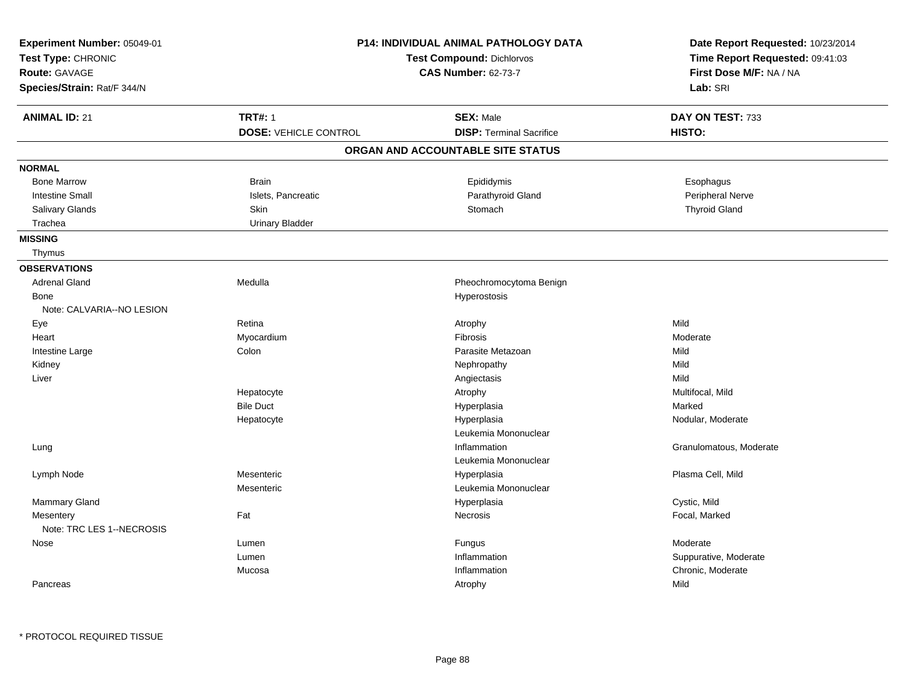| Experiment Number: 05049-01<br>Test Type: CHRONIC<br><b>Route: GAVAGE</b><br>Species/Strain: Rat/F 344/N |                              | <b>P14: INDIVIDUAL ANIMAL PATHOLOGY DATA</b><br><b>Test Compound: Dichlorvos</b><br><b>CAS Number: 62-73-7</b> | Date Report Requested: 10/23/2014<br>Time Report Requested: 09:41:03<br>First Dose M/F: NA / NA<br>Lab: SRI |
|----------------------------------------------------------------------------------------------------------|------------------------------|----------------------------------------------------------------------------------------------------------------|-------------------------------------------------------------------------------------------------------------|
| <b>ANIMAL ID: 21</b>                                                                                     | <b>TRT#: 1</b>               | <b>SEX: Male</b>                                                                                               | DAY ON TEST: 733                                                                                            |
|                                                                                                          | <b>DOSE: VEHICLE CONTROL</b> | <b>DISP: Terminal Sacrifice</b>                                                                                | HISTO:                                                                                                      |
|                                                                                                          |                              | ORGAN AND ACCOUNTABLE SITE STATUS                                                                              |                                                                                                             |
| <b>NORMAL</b>                                                                                            |                              |                                                                                                                |                                                                                                             |
| <b>Bone Marrow</b>                                                                                       | <b>Brain</b>                 | Epididymis                                                                                                     | Esophagus                                                                                                   |
| <b>Intestine Small</b>                                                                                   | Islets, Pancreatic           | Parathyroid Gland                                                                                              | Peripheral Nerve                                                                                            |
| Salivary Glands                                                                                          | Skin                         | Stomach                                                                                                        | <b>Thyroid Gland</b>                                                                                        |
| Trachea                                                                                                  | <b>Urinary Bladder</b>       |                                                                                                                |                                                                                                             |
| <b>MISSING</b>                                                                                           |                              |                                                                                                                |                                                                                                             |
| Thymus                                                                                                   |                              |                                                                                                                |                                                                                                             |
| <b>OBSERVATIONS</b>                                                                                      |                              |                                                                                                                |                                                                                                             |
| <b>Adrenal Gland</b>                                                                                     | Medulla                      | Pheochromocytoma Benign                                                                                        |                                                                                                             |
| Bone                                                                                                     |                              | Hyperostosis                                                                                                   |                                                                                                             |
| Note: CALVARIA--NO LESION                                                                                |                              |                                                                                                                |                                                                                                             |
| Eye                                                                                                      | Retina                       | Atrophy                                                                                                        | Mild                                                                                                        |
| Heart                                                                                                    | Myocardium                   | <b>Fibrosis</b>                                                                                                | Moderate                                                                                                    |
| Intestine Large                                                                                          | Colon                        | Parasite Metazoan                                                                                              | Mild                                                                                                        |
| Kidney                                                                                                   |                              | Nephropathy                                                                                                    | Mild                                                                                                        |
| Liver                                                                                                    |                              | Angiectasis                                                                                                    | Mild                                                                                                        |
|                                                                                                          | Hepatocyte                   | Atrophy                                                                                                        | Multifocal, Mild                                                                                            |
|                                                                                                          | <b>Bile Duct</b>             | Hyperplasia                                                                                                    | Marked                                                                                                      |
|                                                                                                          | Hepatocyte                   | Hyperplasia                                                                                                    | Nodular, Moderate                                                                                           |
|                                                                                                          |                              | Leukemia Mononuclear                                                                                           |                                                                                                             |
| Lung                                                                                                     |                              | Inflammation                                                                                                   | Granulomatous, Moderate                                                                                     |
|                                                                                                          |                              | Leukemia Mononuclear                                                                                           |                                                                                                             |
| Lymph Node                                                                                               | Mesenteric                   | Hyperplasia                                                                                                    | Plasma Cell, Mild                                                                                           |
|                                                                                                          | Mesenteric                   | Leukemia Mononuclear                                                                                           |                                                                                                             |
| Mammary Gland                                                                                            |                              | Hyperplasia                                                                                                    | Cystic, Mild                                                                                                |
| Mesentery                                                                                                | Fat                          | Necrosis                                                                                                       | Focal, Marked                                                                                               |
| Note: TRC LES 1--NECROSIS                                                                                |                              |                                                                                                                |                                                                                                             |
| Nose                                                                                                     | Lumen                        | Fungus                                                                                                         | Moderate                                                                                                    |
|                                                                                                          | Lumen                        | Inflammation                                                                                                   | Suppurative, Moderate                                                                                       |
|                                                                                                          | Mucosa                       | Inflammation                                                                                                   | Chronic, Moderate                                                                                           |
| Pancreas                                                                                                 |                              | Atrophy                                                                                                        | Mild                                                                                                        |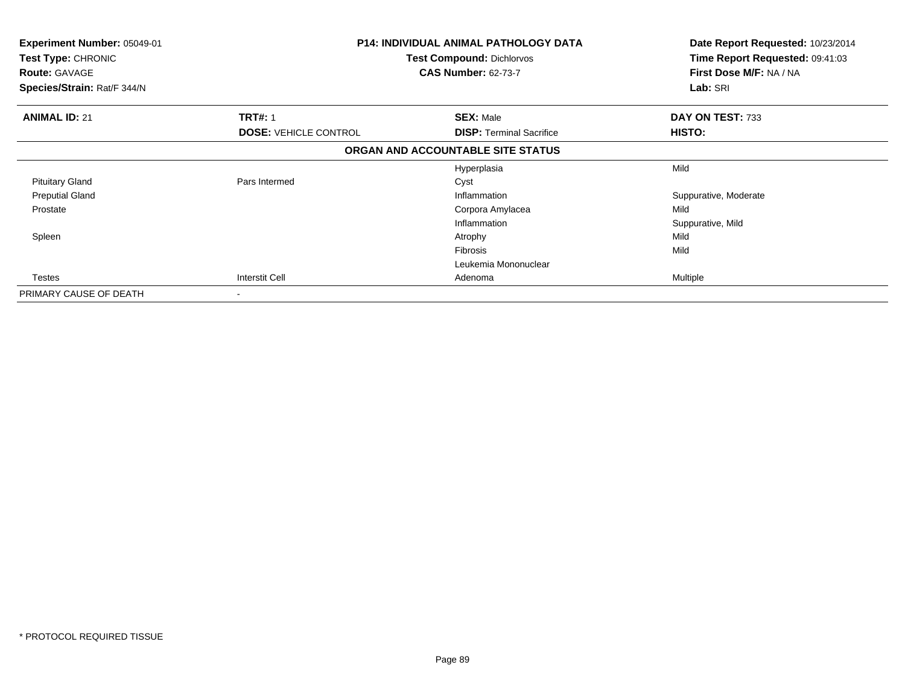| Experiment Number: 05049-01<br>Test Type: CHRONIC<br><b>Route: GAVAGE</b><br>Species/Strain: Rat/F 344/N |                              | <b>P14: INDIVIDUAL ANIMAL PATHOLOGY DATA</b><br><b>Test Compound: Dichlorvos</b><br><b>CAS Number: 62-73-7</b> | Date Report Requested: 10/23/2014<br>Time Report Requested: 09:41:03<br>First Dose M/F: NA / NA<br>Lab: SRI |
|----------------------------------------------------------------------------------------------------------|------------------------------|----------------------------------------------------------------------------------------------------------------|-------------------------------------------------------------------------------------------------------------|
| <b>ANIMAL ID: 21</b>                                                                                     | <b>TRT#: 1</b>               | <b>SEX: Male</b>                                                                                               | DAY ON TEST: 733                                                                                            |
|                                                                                                          | <b>DOSE: VEHICLE CONTROL</b> | <b>DISP:</b> Terminal Sacrifice                                                                                | HISTO:                                                                                                      |
|                                                                                                          |                              | ORGAN AND ACCOUNTABLE SITE STATUS                                                                              |                                                                                                             |
|                                                                                                          |                              | Hyperplasia                                                                                                    | Mild                                                                                                        |
| <b>Pituitary Gland</b>                                                                                   | Pars Intermed                | Cyst                                                                                                           |                                                                                                             |
| <b>Preputial Gland</b>                                                                                   |                              | Inflammation                                                                                                   | Suppurative, Moderate                                                                                       |
| Prostate                                                                                                 |                              | Corpora Amylacea                                                                                               | Mild                                                                                                        |
|                                                                                                          |                              | Inflammation                                                                                                   | Suppurative, Mild                                                                                           |
| Spleen                                                                                                   |                              | Atrophy                                                                                                        | Mild                                                                                                        |
|                                                                                                          |                              | Fibrosis                                                                                                       | Mild                                                                                                        |
|                                                                                                          |                              | Leukemia Mononuclear                                                                                           |                                                                                                             |
| Testes                                                                                                   | Interstit Cell               | Adenoma                                                                                                        | Multiple                                                                                                    |
| PRIMARY CAUSE OF DEATH                                                                                   | $\blacksquare$               |                                                                                                                |                                                                                                             |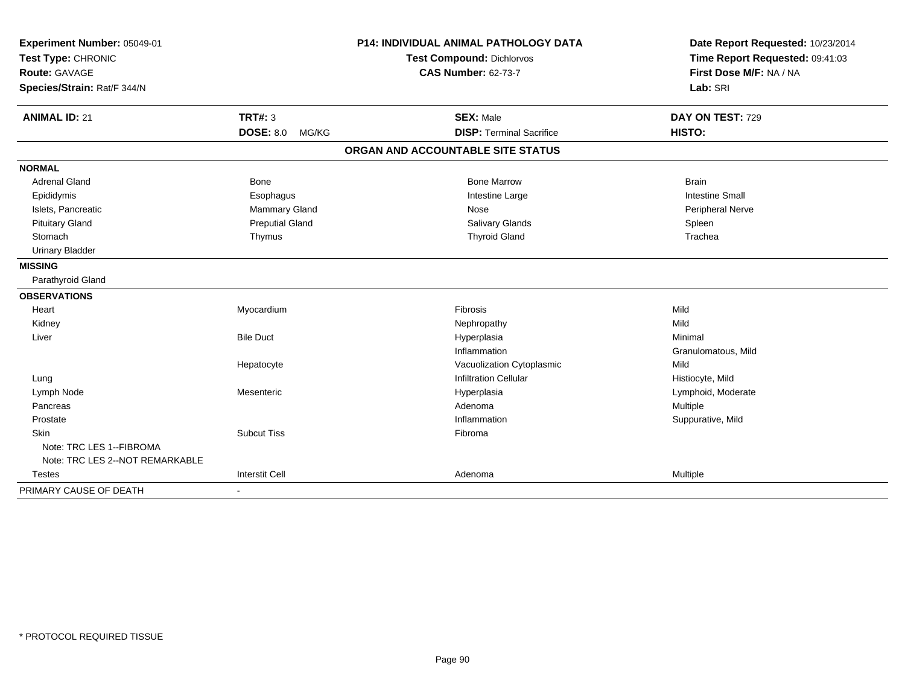| Experiment Number: 05049-01<br>Test Type: CHRONIC |                           | P14: INDIVIDUAL ANIMAL PATHOLOGY DATA | Date Report Requested: 10/23/2014 |  |
|---------------------------------------------------|---------------------------|---------------------------------------|-----------------------------------|--|
|                                                   |                           | <b>Test Compound: Dichlorvos</b>      | Time Report Requested: 09:41:03   |  |
| <b>Route: GAVAGE</b>                              |                           | <b>CAS Number: 62-73-7</b>            | First Dose M/F: NA / NA           |  |
| Species/Strain: Rat/F 344/N                       |                           |                                       | Lab: SRI                          |  |
| <b>ANIMAL ID: 21</b>                              | <b>TRT#: 3</b>            | <b>SEX: Male</b>                      | DAY ON TEST: 729                  |  |
|                                                   | <b>DOSE: 8.0</b><br>MG/KG | <b>DISP: Terminal Sacrifice</b>       | HISTO:                            |  |
|                                                   |                           | ORGAN AND ACCOUNTABLE SITE STATUS     |                                   |  |
| <b>NORMAL</b>                                     |                           |                                       |                                   |  |
| <b>Adrenal Gland</b>                              | <b>Bone</b>               | <b>Bone Marrow</b>                    | <b>Brain</b>                      |  |
| Epididymis                                        | Esophagus                 | Intestine Large                       | <b>Intestine Small</b>            |  |
| Islets, Pancreatic                                | Mammary Gland             | <b>Nose</b>                           | Peripheral Nerve                  |  |
| <b>Pituitary Gland</b>                            | <b>Preputial Gland</b>    | <b>Salivary Glands</b>                | Spleen                            |  |
| Stomach                                           | Thymus                    | <b>Thyroid Gland</b>                  | Trachea                           |  |
| <b>Urinary Bladder</b>                            |                           |                                       |                                   |  |
| <b>MISSING</b>                                    |                           |                                       |                                   |  |
| Parathyroid Gland                                 |                           |                                       |                                   |  |
| <b>OBSERVATIONS</b>                               |                           |                                       |                                   |  |
| Heart                                             | Myocardium                | Fibrosis                              | Mild                              |  |
| Kidney                                            |                           | Nephropathy                           | Mild                              |  |
| Liver                                             | <b>Bile Duct</b>          | Hyperplasia                           | Minimal                           |  |
|                                                   |                           | Inflammation                          | Granulomatous, Mild               |  |
|                                                   | Hepatocyte                | Vacuolization Cytoplasmic             | Mild                              |  |
| Lung                                              |                           | <b>Infiltration Cellular</b>          | Histiocyte, Mild                  |  |
| Lymph Node                                        | Mesenteric                | Hyperplasia                           | Lymphoid, Moderate                |  |
| Pancreas                                          |                           | Adenoma                               | Multiple                          |  |
| Prostate                                          |                           | Inflammation                          | Suppurative, Mild                 |  |
| Skin                                              | <b>Subcut Tiss</b>        | Fibroma                               |                                   |  |
| Note: TRC LES 1--FIBROMA                          |                           |                                       |                                   |  |
| Note: TRC LES 2--NOT REMARKABLE                   |                           |                                       |                                   |  |
| <b>Testes</b>                                     | <b>Interstit Cell</b>     | Adenoma                               | Multiple                          |  |
| PRIMARY CAUSE OF DEATH                            | $\blacksquare$            |                                       |                                   |  |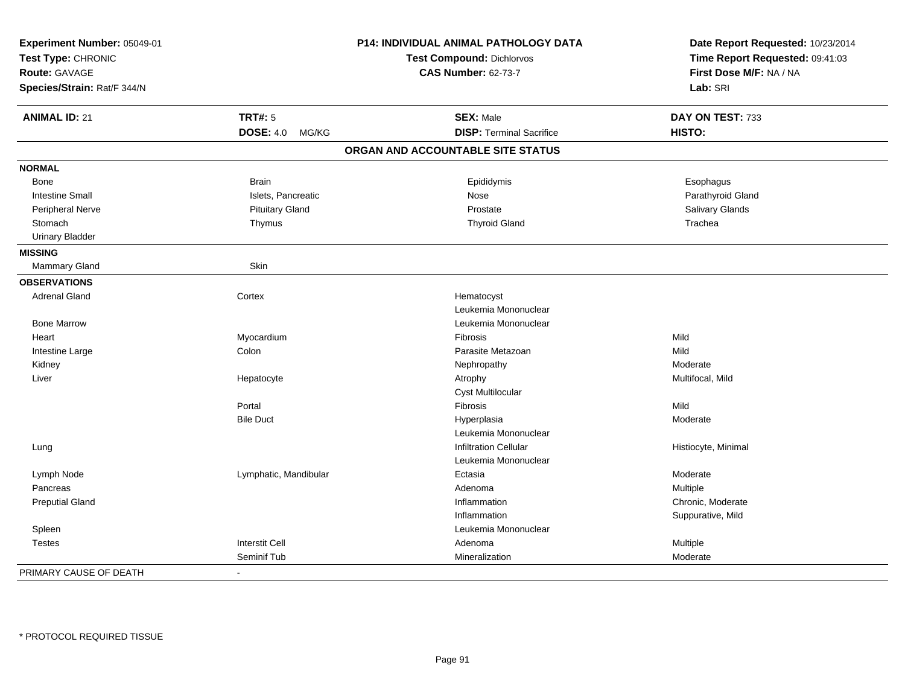| Experiment Number: 05049-01<br>Test Type: CHRONIC<br>Route: GAVAGE<br>Species/Strain: Rat/F 344/N |                           | P14: INDIVIDUAL ANIMAL PATHOLOGY DATA<br><b>Test Compound: Dichlorvos</b><br><b>CAS Number: 62-73-7</b> | Date Report Requested: 10/23/2014<br>Time Report Requested: 09:41:03<br>First Dose M/F: NA / NA<br>Lab: SRI |
|---------------------------------------------------------------------------------------------------|---------------------------|---------------------------------------------------------------------------------------------------------|-------------------------------------------------------------------------------------------------------------|
|                                                                                                   |                           |                                                                                                         |                                                                                                             |
| <b>ANIMAL ID: 21</b>                                                                              | <b>TRT#: 5</b>            | <b>SEX: Male</b>                                                                                        | DAY ON TEST: 733                                                                                            |
|                                                                                                   | <b>DOSE: 4.0</b><br>MG/KG | <b>DISP: Terminal Sacrifice</b>                                                                         | HISTO:                                                                                                      |
|                                                                                                   |                           | ORGAN AND ACCOUNTABLE SITE STATUS                                                                       |                                                                                                             |
| <b>NORMAL</b>                                                                                     |                           |                                                                                                         |                                                                                                             |
| Bone                                                                                              | <b>Brain</b>              | Epididymis                                                                                              | Esophagus                                                                                                   |
| <b>Intestine Small</b>                                                                            | Islets, Pancreatic        | Nose                                                                                                    | Parathyroid Gland                                                                                           |
| Peripheral Nerve                                                                                  | <b>Pituitary Gland</b>    | Prostate                                                                                                | Salivary Glands                                                                                             |
| Stomach                                                                                           | Thymus                    | <b>Thyroid Gland</b>                                                                                    | Trachea                                                                                                     |
| <b>Urinary Bladder</b>                                                                            |                           |                                                                                                         |                                                                                                             |
| <b>MISSING</b>                                                                                    |                           |                                                                                                         |                                                                                                             |
| Mammary Gland                                                                                     | Skin                      |                                                                                                         |                                                                                                             |
| <b>OBSERVATIONS</b>                                                                               |                           |                                                                                                         |                                                                                                             |
| <b>Adrenal Gland</b>                                                                              | Cortex                    | Hematocyst                                                                                              |                                                                                                             |
|                                                                                                   |                           | Leukemia Mononuclear                                                                                    |                                                                                                             |
| <b>Bone Marrow</b>                                                                                |                           | Leukemia Mononuclear                                                                                    |                                                                                                             |
| Heart                                                                                             | Myocardium                | Fibrosis                                                                                                | Mild                                                                                                        |
| Intestine Large                                                                                   | Colon                     | Parasite Metazoan                                                                                       | Mild                                                                                                        |
| Kidney                                                                                            |                           | Nephropathy                                                                                             | Moderate                                                                                                    |
| Liver                                                                                             | Hepatocyte                | Atrophy                                                                                                 | Multifocal, Mild                                                                                            |
|                                                                                                   |                           | <b>Cyst Multilocular</b>                                                                                |                                                                                                             |
|                                                                                                   | Portal                    | Fibrosis                                                                                                | Mild                                                                                                        |
|                                                                                                   | <b>Bile Duct</b>          | Hyperplasia                                                                                             | Moderate                                                                                                    |
|                                                                                                   |                           | Leukemia Mononuclear                                                                                    |                                                                                                             |
| Lung                                                                                              |                           | <b>Infiltration Cellular</b>                                                                            | Histiocyte, Minimal                                                                                         |
|                                                                                                   |                           | Leukemia Mononuclear                                                                                    |                                                                                                             |
| Lymph Node                                                                                        | Lymphatic, Mandibular     | Ectasia                                                                                                 | Moderate                                                                                                    |
| Pancreas                                                                                          |                           | Adenoma                                                                                                 | Multiple                                                                                                    |
| <b>Preputial Gland</b>                                                                            |                           | Inflammation                                                                                            | Chronic, Moderate                                                                                           |
|                                                                                                   |                           | Inflammation                                                                                            | Suppurative, Mild                                                                                           |
| Spleen                                                                                            |                           | Leukemia Mononuclear                                                                                    |                                                                                                             |
| <b>Testes</b>                                                                                     | <b>Interstit Cell</b>     | Adenoma                                                                                                 | Multiple                                                                                                    |
|                                                                                                   | Seminif Tub               | Mineralization                                                                                          | Moderate                                                                                                    |
| PRIMARY CAUSE OF DEATH                                                                            | $\overline{a}$            |                                                                                                         |                                                                                                             |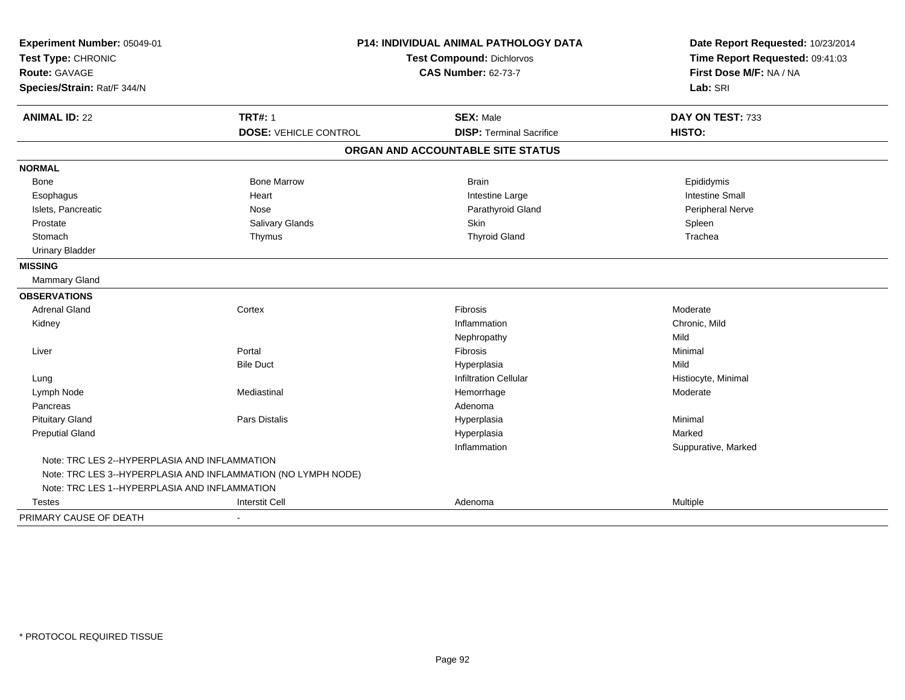| Experiment Number: 05049-01                   | <b>P14: INDIVIDUAL ANIMAL PATHOLOGY DATA</b>                  |                                   | Date Report Requested: 10/23/2014 |
|-----------------------------------------------|---------------------------------------------------------------|-----------------------------------|-----------------------------------|
| Test Type: CHRONIC                            |                                                               | Test Compound: Dichlorvos         |                                   |
| Route: GAVAGE                                 |                                                               | <b>CAS Number: 62-73-7</b>        | First Dose M/F: NA / NA           |
| Species/Strain: Rat/F 344/N                   |                                                               |                                   | Lab: SRI                          |
| <b>ANIMAL ID: 22</b>                          | <b>TRT#: 1</b>                                                | <b>SEX: Male</b>                  | DAY ON TEST: 733                  |
|                                               | <b>DOSE: VEHICLE CONTROL</b>                                  | <b>DISP: Terminal Sacrifice</b>   | HISTO:                            |
|                                               |                                                               | ORGAN AND ACCOUNTABLE SITE STATUS |                                   |
| <b>NORMAL</b>                                 |                                                               |                                   |                                   |
| Bone                                          | <b>Bone Marrow</b>                                            | <b>Brain</b>                      | Epididymis                        |
| Esophagus                                     | Heart                                                         | Intestine Large                   | <b>Intestine Small</b>            |
| Islets, Pancreatic                            | Nose                                                          | Parathyroid Gland                 | Peripheral Nerve                  |
| Prostate                                      | Salivary Glands                                               | Skin                              | Spleen                            |
| Stomach                                       | Thymus                                                        | <b>Thyroid Gland</b>              | Trachea                           |
| <b>Urinary Bladder</b>                        |                                                               |                                   |                                   |
| <b>MISSING</b>                                |                                                               |                                   |                                   |
| Mammary Gland                                 |                                                               |                                   |                                   |
| <b>OBSERVATIONS</b>                           |                                                               |                                   |                                   |
| <b>Adrenal Gland</b>                          | Cortex                                                        | Fibrosis                          | Moderate                          |
| Kidney                                        |                                                               | Inflammation                      | Chronic, Mild                     |
|                                               |                                                               | Nephropathy                       | Mild                              |
| Liver                                         | Portal                                                        | Fibrosis                          | Minimal                           |
|                                               | <b>Bile Duct</b>                                              | Hyperplasia                       | Mild                              |
| Lung                                          |                                                               | <b>Infiltration Cellular</b>      | Histiocyte, Minimal               |
| Lymph Node                                    | Mediastinal                                                   | Hemorrhage                        | Moderate                          |
| Pancreas                                      |                                                               | Adenoma                           |                                   |
| <b>Pituitary Gland</b>                        | Pars Distalis                                                 | Hyperplasia                       | Minimal                           |
| <b>Preputial Gland</b>                        |                                                               | Hyperplasia                       | Marked                            |
|                                               |                                                               | Inflammation                      | Suppurative, Marked               |
| Note: TRC LES 2--HYPERPLASIA AND INFLAMMATION |                                                               |                                   |                                   |
|                                               | Note: TRC LES 3--HYPERPLASIA AND INFLAMMATION (NO LYMPH NODE) |                                   |                                   |
| Note: TRC LES 1--HYPERPLASIA AND INFLAMMATION |                                                               |                                   |                                   |
| <b>Testes</b>                                 | <b>Interstit Cell</b>                                         | Adenoma                           | <b>Multiple</b>                   |
| PRIMARY CAUSE OF DEATH                        | $\blacksquare$                                                |                                   |                                   |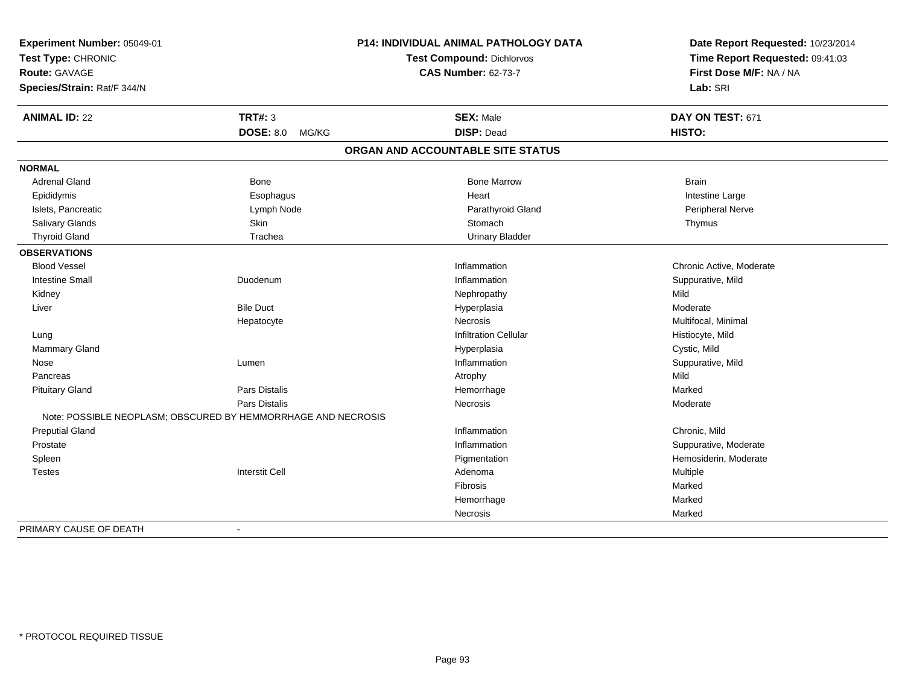| Experiment Number: 05049-01 |                                                               | <b>P14: INDIVIDUAL ANIMAL PATHOLOGY DATA</b> | Date Report Requested: 10/23/2014                          |
|-----------------------------|---------------------------------------------------------------|----------------------------------------------|------------------------------------------------------------|
| Test Type: CHRONIC          |                                                               | <b>Test Compound: Dichlorvos</b>             | Time Report Requested: 09:41:03<br>First Dose M/F: NA / NA |
| <b>Route: GAVAGE</b>        |                                                               | <b>CAS Number: 62-73-7</b>                   |                                                            |
| Species/Strain: Rat/F 344/N |                                                               |                                              | Lab: SRI                                                   |
| <b>ANIMAL ID: 22</b>        | <b>TRT#: 3</b>                                                | <b>SEX: Male</b>                             | DAY ON TEST: 671                                           |
|                             | <b>DOSE: 8.0</b><br>MG/KG                                     | <b>DISP: Dead</b>                            | HISTO:                                                     |
|                             |                                                               | ORGAN AND ACCOUNTABLE SITE STATUS            |                                                            |
| <b>NORMAL</b>               |                                                               |                                              |                                                            |
| Adrenal Gland               | <b>Bone</b>                                                   | <b>Bone Marrow</b>                           | <b>Brain</b>                                               |
| Epididymis                  | Esophagus                                                     | Heart                                        | Intestine Large                                            |
| Islets, Pancreatic          | Lymph Node                                                    | Parathyroid Gland                            | Peripheral Nerve                                           |
| Salivary Glands             | Skin                                                          | Stomach                                      | Thymus                                                     |
| <b>Thyroid Gland</b>        | Trachea                                                       | <b>Urinary Bladder</b>                       |                                                            |
| <b>OBSERVATIONS</b>         |                                                               |                                              |                                                            |
| <b>Blood Vessel</b>         |                                                               | Inflammation                                 | Chronic Active, Moderate                                   |
| <b>Intestine Small</b>      | Duodenum                                                      | Inflammation                                 | Suppurative, Mild                                          |
| Kidney                      |                                                               | Nephropathy                                  | Mild                                                       |
| Liver                       | <b>Bile Duct</b>                                              | Hyperplasia                                  | Moderate                                                   |
|                             | Hepatocyte                                                    | Necrosis                                     | Multifocal, Minimal                                        |
| Lung                        |                                                               | <b>Infiltration Cellular</b>                 | Histiocyte, Mild                                           |
| Mammary Gland               |                                                               | Hyperplasia                                  | Cystic, Mild                                               |
| Nose                        | Lumen                                                         | Inflammation                                 | Suppurative, Mild                                          |
| Pancreas                    |                                                               | Atrophy                                      | Mild                                                       |
| <b>Pituitary Gland</b>      | Pars Distalis                                                 | Hemorrhage                                   | Marked                                                     |
|                             | <b>Pars Distalis</b>                                          | Necrosis                                     | Moderate                                                   |
|                             | Note: POSSIBLE NEOPLASM; OBSCURED BY HEMMORRHAGE AND NECROSIS |                                              |                                                            |
| <b>Preputial Gland</b>      |                                                               | Inflammation                                 | Chronic, Mild                                              |
| Prostate                    |                                                               | Inflammation                                 | Suppurative, Moderate                                      |
| Spleen                      |                                                               | Pigmentation                                 | Hemosiderin, Moderate                                      |
| <b>Testes</b>               | <b>Interstit Cell</b>                                         | Adenoma                                      | Multiple                                                   |
|                             |                                                               | Fibrosis                                     | Marked                                                     |
|                             |                                                               | Hemorrhage                                   | Marked                                                     |
|                             |                                                               | Necrosis                                     | Marked                                                     |
| PRIMARY CAUSE OF DEATH      |                                                               |                                              |                                                            |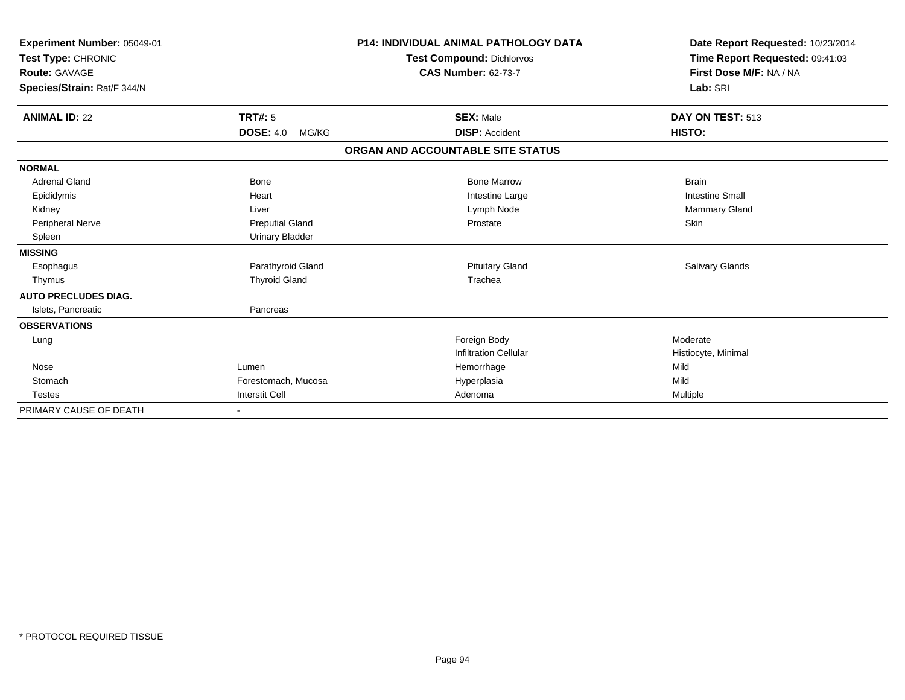| Experiment Number: 05049-01<br>Test Type: CHRONIC<br><b>Route: GAVAGE</b> |                           | <b>P14: INDIVIDUAL ANIMAL PATHOLOGY DATA</b><br><b>Test Compound: Dichlorvos</b><br><b>CAS Number: 62-73-7</b> | Date Report Requested: 10/23/2014<br>Time Report Requested: 09:41:03<br>First Dose M/F: NA / NA |
|---------------------------------------------------------------------------|---------------------------|----------------------------------------------------------------------------------------------------------------|-------------------------------------------------------------------------------------------------|
| Species/Strain: Rat/F 344/N                                               |                           |                                                                                                                | Lab: SRI                                                                                        |
| <b>ANIMAL ID: 22</b>                                                      | <b>TRT#: 5</b>            | <b>SEX: Male</b>                                                                                               | DAY ON TEST: 513                                                                                |
|                                                                           | <b>DOSE: 4.0</b><br>MG/KG | <b>DISP: Accident</b>                                                                                          | HISTO:                                                                                          |
|                                                                           |                           | ORGAN AND ACCOUNTABLE SITE STATUS                                                                              |                                                                                                 |
| <b>NORMAL</b>                                                             |                           |                                                                                                                |                                                                                                 |
| <b>Adrenal Gland</b>                                                      | <b>Bone</b>               | <b>Bone Marrow</b>                                                                                             | <b>Brain</b>                                                                                    |
| Epididymis                                                                | Heart                     | Intestine Large                                                                                                | <b>Intestine Small</b>                                                                          |
| Kidney                                                                    | Liver                     | Lymph Node                                                                                                     | Mammary Gland                                                                                   |
| Peripheral Nerve                                                          | <b>Preputial Gland</b>    | Prostate                                                                                                       | <b>Skin</b>                                                                                     |
| Spleen                                                                    | <b>Urinary Bladder</b>    |                                                                                                                |                                                                                                 |
| <b>MISSING</b>                                                            |                           |                                                                                                                |                                                                                                 |
| Esophagus                                                                 | Parathyroid Gland         | <b>Pituitary Gland</b>                                                                                         | <b>Salivary Glands</b>                                                                          |
| Thymus                                                                    | <b>Thyroid Gland</b>      | Trachea                                                                                                        |                                                                                                 |
| <b>AUTO PRECLUDES DIAG.</b>                                               |                           |                                                                                                                |                                                                                                 |
| Islets, Pancreatic                                                        | Pancreas                  |                                                                                                                |                                                                                                 |
| <b>OBSERVATIONS</b>                                                       |                           |                                                                                                                |                                                                                                 |
| Lung                                                                      |                           | Foreign Body                                                                                                   | Moderate                                                                                        |
|                                                                           |                           | <b>Infiltration Cellular</b>                                                                                   | Histiocyte, Minimal                                                                             |
| Nose                                                                      | Lumen                     | Hemorrhage                                                                                                     | Mild                                                                                            |
| Stomach                                                                   | Forestomach, Mucosa       | Hyperplasia                                                                                                    | Mild                                                                                            |
| <b>Testes</b>                                                             | <b>Interstit Cell</b>     | Adenoma                                                                                                        | <b>Multiple</b>                                                                                 |
| PRIMARY CAUSE OF DEATH                                                    |                           |                                                                                                                |                                                                                                 |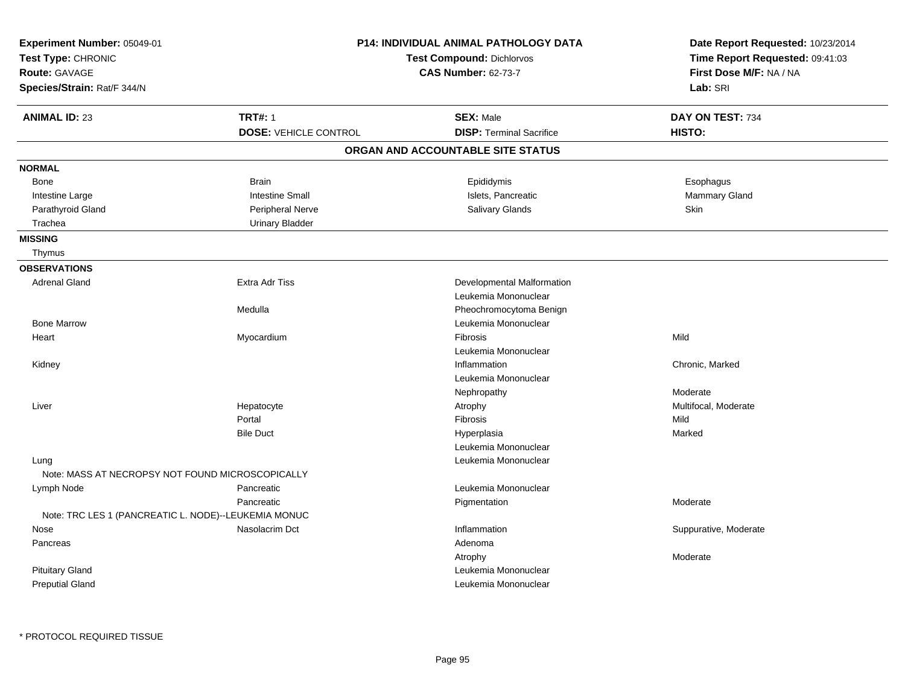| Experiment Number: 05049-01<br>Test Type: CHRONIC<br>Route: GAVAGE<br>Species/Strain: Rat/F 344/N |                              | <b>P14: INDIVIDUAL ANIMAL PATHOLOGY DATA</b><br>Test Compound: Dichlorvos<br><b>CAS Number: 62-73-7</b> | Date Report Requested: 10/23/2014<br>Time Report Requested: 09:41:03<br>First Dose M/F: NA / NA<br>Lab: SRI |
|---------------------------------------------------------------------------------------------------|------------------------------|---------------------------------------------------------------------------------------------------------|-------------------------------------------------------------------------------------------------------------|
| <b>ANIMAL ID: 23</b>                                                                              | <b>TRT#: 1</b>               | <b>SEX: Male</b>                                                                                        | DAY ON TEST: 734                                                                                            |
|                                                                                                   | <b>DOSE: VEHICLE CONTROL</b> | <b>DISP: Terminal Sacrifice</b>                                                                         | HISTO:                                                                                                      |
|                                                                                                   |                              | ORGAN AND ACCOUNTABLE SITE STATUS                                                                       |                                                                                                             |
| <b>NORMAL</b>                                                                                     |                              |                                                                                                         |                                                                                                             |
| Bone                                                                                              | <b>Brain</b>                 | Epididymis                                                                                              | Esophagus                                                                                                   |
| Intestine Large                                                                                   | <b>Intestine Small</b>       | Islets, Pancreatic                                                                                      | Mammary Gland                                                                                               |
| Parathyroid Gland                                                                                 | <b>Peripheral Nerve</b>      | <b>Salivary Glands</b>                                                                                  | Skin                                                                                                        |
| Trachea                                                                                           | <b>Urinary Bladder</b>       |                                                                                                         |                                                                                                             |
| <b>MISSING</b>                                                                                    |                              |                                                                                                         |                                                                                                             |
| Thymus                                                                                            |                              |                                                                                                         |                                                                                                             |
| <b>OBSERVATIONS</b>                                                                               |                              |                                                                                                         |                                                                                                             |
| <b>Adrenal Gland</b>                                                                              | Extra Adr Tiss               | Developmental Malformation                                                                              |                                                                                                             |
|                                                                                                   |                              | Leukemia Mononuclear                                                                                    |                                                                                                             |
|                                                                                                   | Medulla                      | Pheochromocytoma Benign                                                                                 |                                                                                                             |
| <b>Bone Marrow</b>                                                                                |                              | Leukemia Mononuclear                                                                                    |                                                                                                             |
| Heart                                                                                             | Myocardium                   | Fibrosis                                                                                                | Mild                                                                                                        |
|                                                                                                   |                              | Leukemia Mononuclear                                                                                    |                                                                                                             |
| Kidney                                                                                            |                              | Inflammation                                                                                            | Chronic, Marked                                                                                             |
|                                                                                                   |                              | Leukemia Mononuclear                                                                                    |                                                                                                             |
|                                                                                                   |                              | Nephropathy                                                                                             | Moderate                                                                                                    |
| Liver                                                                                             | Hepatocyte                   | Atrophy                                                                                                 | Multifocal, Moderate                                                                                        |
|                                                                                                   | Portal                       | Fibrosis                                                                                                | Mild                                                                                                        |
|                                                                                                   | <b>Bile Duct</b>             | Hyperplasia                                                                                             | Marked                                                                                                      |
|                                                                                                   |                              | Leukemia Mononuclear                                                                                    |                                                                                                             |
| Lung                                                                                              |                              | Leukemia Mononuclear                                                                                    |                                                                                                             |
| Note: MASS AT NECROPSY NOT FOUND MICROSCOPICALLY                                                  |                              |                                                                                                         |                                                                                                             |
| Lymph Node                                                                                        | Pancreatic                   | Leukemia Mononuclear                                                                                    |                                                                                                             |
|                                                                                                   | Pancreatic                   | Pigmentation                                                                                            | Moderate                                                                                                    |
| Note: TRC LES 1 (PANCREATIC L. NODE)--LEUKEMIA MONUC                                              |                              |                                                                                                         |                                                                                                             |
| Nose                                                                                              | Nasolacrim Dct               | Inflammation                                                                                            | Suppurative, Moderate                                                                                       |
| Pancreas                                                                                          |                              | Adenoma                                                                                                 |                                                                                                             |
|                                                                                                   |                              | Atrophy                                                                                                 | Moderate                                                                                                    |
| <b>Pituitary Gland</b>                                                                            |                              | Leukemia Mononuclear                                                                                    |                                                                                                             |
| <b>Preputial Gland</b>                                                                            |                              | Leukemia Mononuclear                                                                                    |                                                                                                             |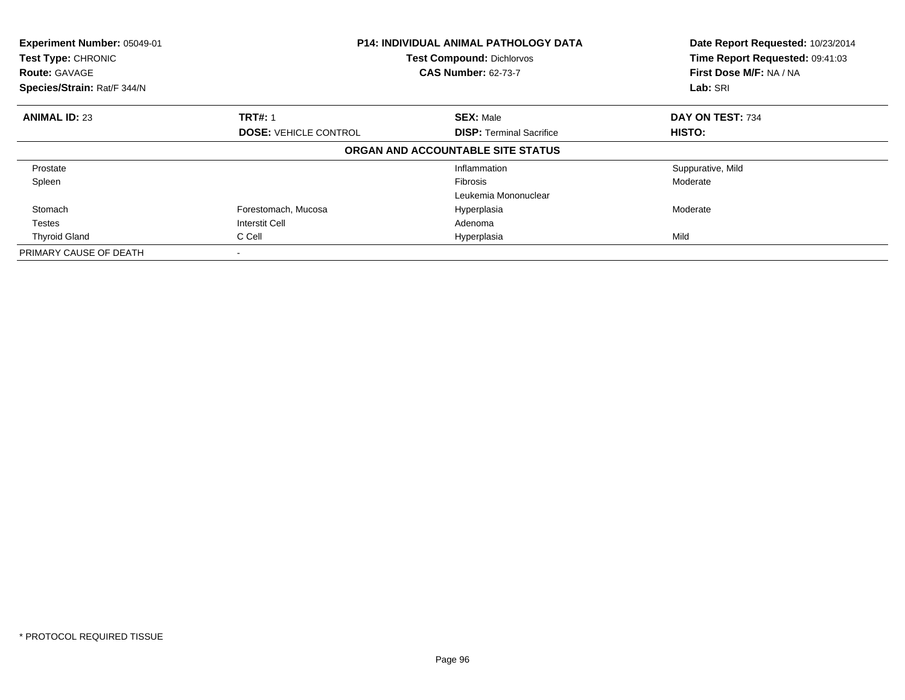| Experiment Number: 05049-01<br>Test Type: CHRONIC<br><b>Route: GAVAGE</b><br>Species/Strain: Rat/F 344/N | <b>P14: INDIVIDUAL ANIMAL PATHOLOGY DATA</b><br><b>Test Compound: Dichlorvos</b><br><b>CAS Number: 62-73-7</b> |                                   | Date Report Requested: 10/23/2014<br>Time Report Requested: 09:41:03<br>First Dose M/F: NA / NA<br>Lab: SRI |
|----------------------------------------------------------------------------------------------------------|----------------------------------------------------------------------------------------------------------------|-----------------------------------|-------------------------------------------------------------------------------------------------------------|
| <b>ANIMAL ID: 23</b>                                                                                     | <b>TRT#: 1</b>                                                                                                 | <b>SEX: Male</b>                  | DAY ON TEST: 734                                                                                            |
|                                                                                                          | <b>DOSE: VEHICLE CONTROL</b>                                                                                   | <b>DISP: Terminal Sacrifice</b>   | HISTO:                                                                                                      |
|                                                                                                          |                                                                                                                | ORGAN AND ACCOUNTABLE SITE STATUS |                                                                                                             |
| Prostate                                                                                                 |                                                                                                                | Inflammation                      | Suppurative, Mild                                                                                           |
| Spleen                                                                                                   |                                                                                                                | <b>Fibrosis</b>                   | Moderate                                                                                                    |
|                                                                                                          |                                                                                                                | Leukemia Mononuclear              |                                                                                                             |
| Stomach                                                                                                  | Forestomach, Mucosa                                                                                            | Hyperplasia                       | Moderate                                                                                                    |
| <b>Testes</b>                                                                                            | <b>Interstit Cell</b>                                                                                          | Adenoma                           |                                                                                                             |
| <b>Thyroid Gland</b>                                                                                     | C Cell                                                                                                         | Hyperplasia                       | Mild                                                                                                        |
| PRIMARY CAUSE OF DEATH                                                                                   |                                                                                                                |                                   |                                                                                                             |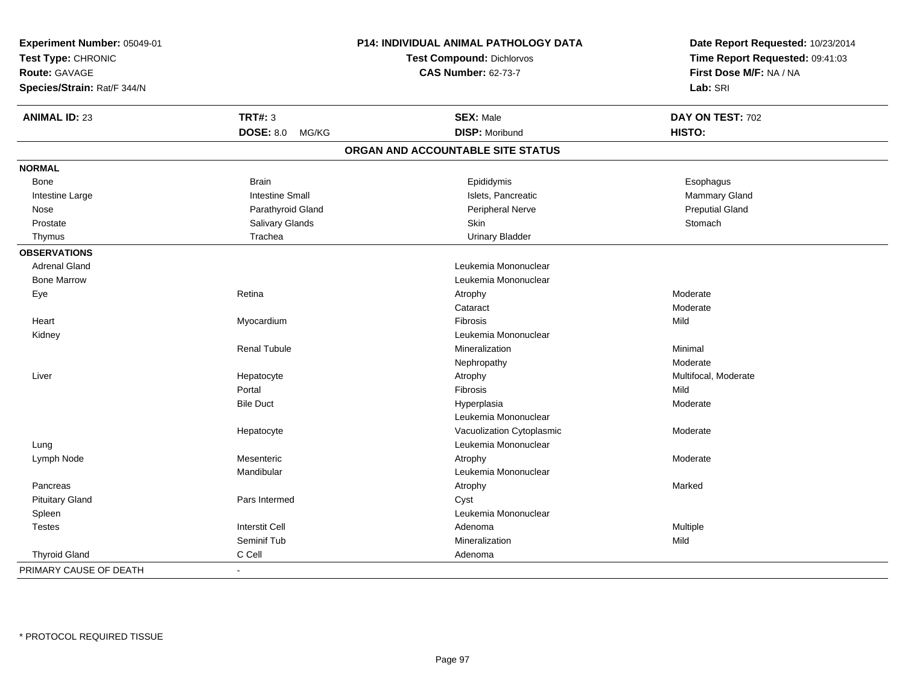| Experiment Number: 05049-01 |                           | <b>P14: INDIVIDUAL ANIMAL PATHOLOGY DATA</b> | Date Report Requested: 10/23/2014<br>Time Report Requested: 09:41:03 |  |
|-----------------------------|---------------------------|----------------------------------------------|----------------------------------------------------------------------|--|
| Test Type: CHRONIC          |                           | <b>Test Compound: Dichlorvos</b>             |                                                                      |  |
| <b>Route: GAVAGE</b>        |                           | <b>CAS Number: 62-73-7</b>                   | First Dose M/F: NA / NA                                              |  |
| Species/Strain: Rat/F 344/N |                           |                                              | Lab: SRI                                                             |  |
| <b>ANIMAL ID: 23</b>        | <b>TRT#: 3</b>            | <b>SEX: Male</b>                             | DAY ON TEST: 702                                                     |  |
|                             | <b>DOSE: 8.0</b><br>MG/KG | <b>DISP: Moribund</b>                        | HISTO:                                                               |  |
|                             |                           | ORGAN AND ACCOUNTABLE SITE STATUS            |                                                                      |  |
| <b>NORMAL</b>               |                           |                                              |                                                                      |  |
| Bone                        | <b>Brain</b>              | Epididymis                                   | Esophagus                                                            |  |
| Intestine Large             | <b>Intestine Small</b>    | Islets, Pancreatic                           | Mammary Gland                                                        |  |
| Nose                        | Parathyroid Gland         | Peripheral Nerve                             | <b>Preputial Gland</b>                                               |  |
| Prostate                    | Salivary Glands           | Skin                                         | Stomach                                                              |  |
| Thymus                      | Trachea                   | <b>Urinary Bladder</b>                       |                                                                      |  |
| <b>OBSERVATIONS</b>         |                           |                                              |                                                                      |  |
| <b>Adrenal Gland</b>        |                           | Leukemia Mononuclear                         |                                                                      |  |
| <b>Bone Marrow</b>          |                           | Leukemia Mononuclear                         |                                                                      |  |
| Eye                         | Retina                    | Atrophy                                      | Moderate                                                             |  |
|                             |                           | Cataract                                     | Moderate                                                             |  |
| Heart                       | Myocardium                | Fibrosis                                     | Mild                                                                 |  |
| Kidney                      |                           | Leukemia Mononuclear                         |                                                                      |  |
|                             | <b>Renal Tubule</b>       | Mineralization                               | Minimal                                                              |  |
|                             |                           | Nephropathy                                  | Moderate                                                             |  |
| Liver                       | Hepatocyte                | Atrophy                                      | Multifocal, Moderate                                                 |  |
|                             | Portal                    | Fibrosis                                     | Mild                                                                 |  |
|                             | <b>Bile Duct</b>          | Hyperplasia                                  | Moderate                                                             |  |
|                             |                           | Leukemia Mononuclear                         |                                                                      |  |
|                             | Hepatocyte                | Vacuolization Cytoplasmic                    | Moderate                                                             |  |
| Lung                        |                           | Leukemia Mononuclear                         |                                                                      |  |
| Lymph Node                  | Mesenteric                | Atrophy                                      | Moderate                                                             |  |
|                             | Mandibular                | Leukemia Mononuclear                         |                                                                      |  |
| Pancreas                    |                           | Atrophy                                      | Marked                                                               |  |
| <b>Pituitary Gland</b>      | Pars Intermed             | Cyst                                         |                                                                      |  |
| Spleen                      |                           | Leukemia Mononuclear                         |                                                                      |  |
| <b>Testes</b>               | <b>Interstit Cell</b>     | Adenoma                                      | Multiple                                                             |  |
|                             | Seminif Tub               | Mineralization                               | Mild                                                                 |  |
| <b>Thyroid Gland</b>        | C Cell                    | Adenoma                                      |                                                                      |  |
| PRIMARY CAUSE OF DEATH      |                           |                                              |                                                                      |  |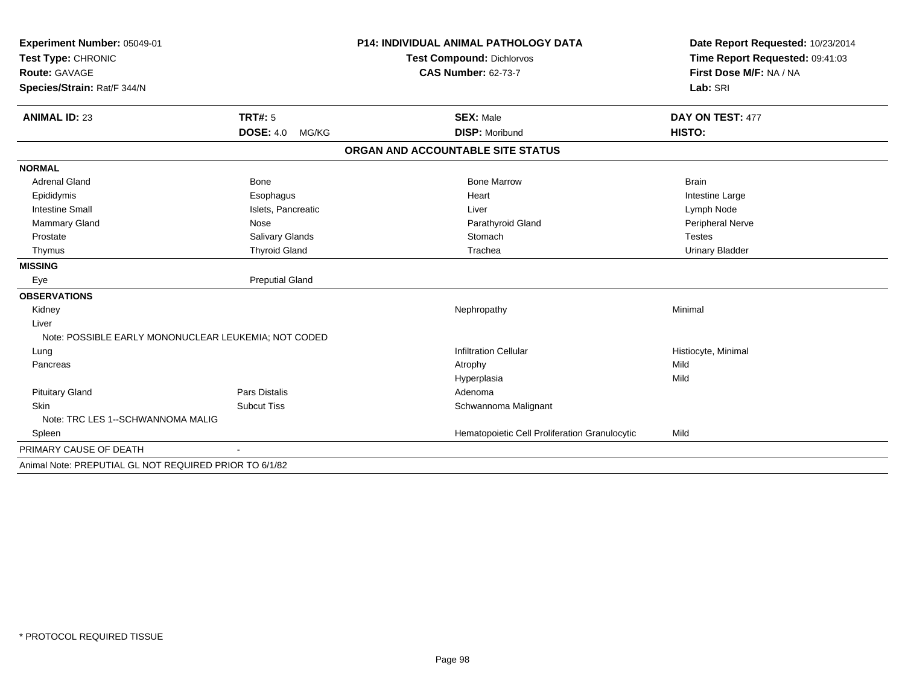| Experiment Number: 05049-01<br>Test Type: CHRONIC      |                           | <b>P14: INDIVIDUAL ANIMAL PATHOLOGY DATA</b>  | Date Report Requested: 10/23/2014<br>Time Report Requested: 09:41:03 |
|--------------------------------------------------------|---------------------------|-----------------------------------------------|----------------------------------------------------------------------|
|                                                        |                           | <b>Test Compound: Dichlorvos</b>              |                                                                      |
| Route: GAVAGE                                          |                           | <b>CAS Number: 62-73-7</b>                    | First Dose M/F: NA / NA                                              |
| Species/Strain: Rat/F 344/N                            |                           |                                               | Lab: SRI                                                             |
| <b>ANIMAL ID: 23</b>                                   | TRT#: 5                   | <b>SEX: Male</b>                              | DAY ON TEST: 477                                                     |
|                                                        | <b>DOSE: 4.0</b><br>MG/KG | <b>DISP: Moribund</b>                         | HISTO:                                                               |
|                                                        |                           | ORGAN AND ACCOUNTABLE SITE STATUS             |                                                                      |
| <b>NORMAL</b>                                          |                           |                                               |                                                                      |
| <b>Adrenal Gland</b>                                   | <b>Bone</b>               | <b>Bone Marrow</b>                            | <b>Brain</b>                                                         |
| Epididymis                                             | Esophagus                 | Heart                                         | Intestine Large                                                      |
| <b>Intestine Small</b>                                 | Islets, Pancreatic        | Liver                                         | Lymph Node                                                           |
| <b>Mammary Gland</b>                                   | Nose                      | Parathyroid Gland                             | Peripheral Nerve                                                     |
| Prostate                                               | Salivary Glands           | Stomach                                       | <b>Testes</b>                                                        |
| Thymus                                                 | <b>Thyroid Gland</b>      | Trachea                                       | <b>Urinary Bladder</b>                                               |
| <b>MISSING</b>                                         |                           |                                               |                                                                      |
| Eye                                                    | <b>Preputial Gland</b>    |                                               |                                                                      |
| <b>OBSERVATIONS</b>                                    |                           |                                               |                                                                      |
| Kidney                                                 |                           | Nephropathy                                   | Minimal                                                              |
| Liver                                                  |                           |                                               |                                                                      |
| Note: POSSIBLE EARLY MONONUCLEAR LEUKEMIA; NOT CODED   |                           |                                               |                                                                      |
| Lung                                                   |                           | <b>Infiltration Cellular</b>                  | Histiocyte, Minimal                                                  |
| Pancreas                                               |                           | Atrophy                                       | Mild                                                                 |
|                                                        |                           | Hyperplasia                                   | Mild                                                                 |
| <b>Pituitary Gland</b>                                 | Pars Distalis             | Adenoma                                       |                                                                      |
| <b>Skin</b>                                            | <b>Subcut Tiss</b>        | Schwannoma Malignant                          |                                                                      |
| Note: TRC LES 1--SCHWANNOMA MALIG                      |                           |                                               |                                                                      |
| Spleen                                                 |                           | Hematopoietic Cell Proliferation Granulocytic | Mild                                                                 |
| PRIMARY CAUSE OF DEATH                                 |                           |                                               |                                                                      |
| Animal Note: PREPUTIAL GL NOT REQUIRED PRIOR TO 6/1/82 |                           |                                               |                                                                      |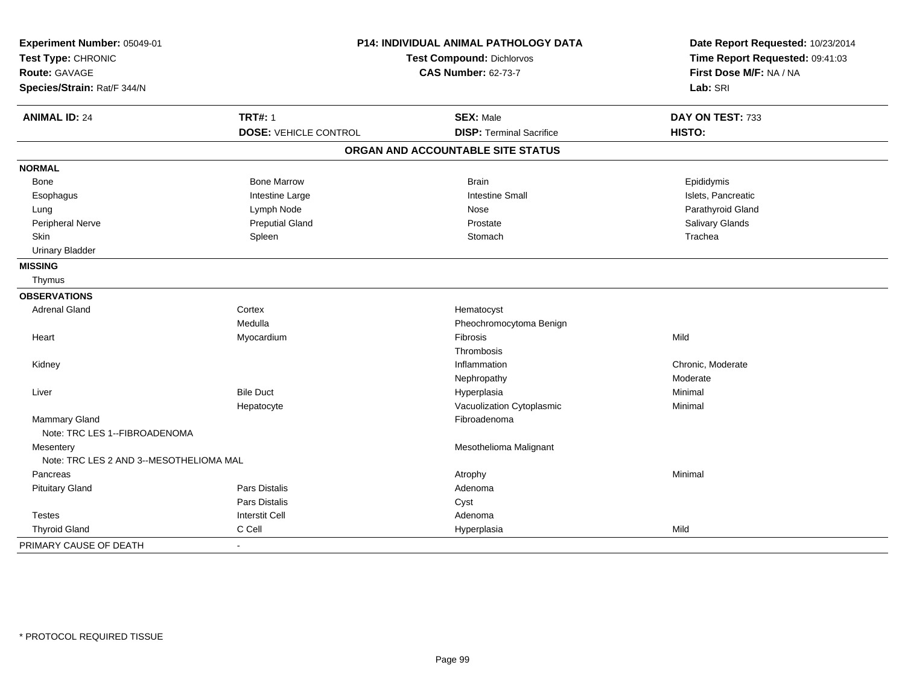| Experiment Number: 05049-01<br>Test Type: CHRONIC<br>Route: GAVAGE<br>Species/Strain: Rat/F 344/N | P14: INDIVIDUAL ANIMAL PATHOLOGY DATA<br><b>Test Compound: Dichlorvos</b><br><b>CAS Number: 62-73-7</b> |                                   | Date Report Requested: 10/23/2014<br>Time Report Requested: 09:41:03<br>First Dose M/F: NA / NA<br>Lab: SRI |
|---------------------------------------------------------------------------------------------------|---------------------------------------------------------------------------------------------------------|-----------------------------------|-------------------------------------------------------------------------------------------------------------|
| <b>ANIMAL ID: 24</b>                                                                              | <b>TRT#: 1</b>                                                                                          | <b>SEX: Male</b>                  | DAY ON TEST: 733                                                                                            |
|                                                                                                   | <b>DOSE: VEHICLE CONTROL</b>                                                                            | <b>DISP: Terminal Sacrifice</b>   | HISTO:                                                                                                      |
|                                                                                                   |                                                                                                         | ORGAN AND ACCOUNTABLE SITE STATUS |                                                                                                             |
| <b>NORMAL</b>                                                                                     |                                                                                                         |                                   |                                                                                                             |
| Bone                                                                                              | <b>Bone Marrow</b>                                                                                      | <b>Brain</b>                      | Epididymis                                                                                                  |
| Esophagus                                                                                         | Intestine Large                                                                                         | <b>Intestine Small</b>            | Islets, Pancreatic                                                                                          |
| Lung                                                                                              | Lymph Node                                                                                              | Nose                              | Parathyroid Gland                                                                                           |
| Peripheral Nerve                                                                                  | <b>Preputial Gland</b>                                                                                  | Prostate                          | Salivary Glands                                                                                             |
| Skin                                                                                              | Spleen                                                                                                  | Stomach                           | Trachea                                                                                                     |
| <b>Urinary Bladder</b>                                                                            |                                                                                                         |                                   |                                                                                                             |
| <b>MISSING</b>                                                                                    |                                                                                                         |                                   |                                                                                                             |
| Thymus                                                                                            |                                                                                                         |                                   |                                                                                                             |
| <b>OBSERVATIONS</b>                                                                               |                                                                                                         |                                   |                                                                                                             |
| <b>Adrenal Gland</b>                                                                              | Cortex                                                                                                  | Hematocyst                        |                                                                                                             |
|                                                                                                   | Medulla                                                                                                 | Pheochromocytoma Benign           |                                                                                                             |
| Heart                                                                                             | Myocardium                                                                                              | Fibrosis                          | Mild                                                                                                        |
|                                                                                                   |                                                                                                         | Thrombosis                        |                                                                                                             |
| Kidney                                                                                            |                                                                                                         | Inflammation                      | Chronic, Moderate                                                                                           |
|                                                                                                   |                                                                                                         | Nephropathy                       | Moderate                                                                                                    |
| Liver                                                                                             | <b>Bile Duct</b>                                                                                        | Hyperplasia                       | Minimal                                                                                                     |
|                                                                                                   | Hepatocyte                                                                                              | Vacuolization Cytoplasmic         | Minimal                                                                                                     |
| <b>Mammary Gland</b>                                                                              |                                                                                                         | Fibroadenoma                      |                                                                                                             |
| Note: TRC LES 1--FIBROADENOMA                                                                     |                                                                                                         |                                   |                                                                                                             |
| Mesentery                                                                                         |                                                                                                         | Mesothelioma Malignant            |                                                                                                             |
| Note: TRC LES 2 AND 3--MESOTHELIOMA MAL                                                           |                                                                                                         |                                   |                                                                                                             |
| Pancreas                                                                                          |                                                                                                         | Atrophy                           | Minimal                                                                                                     |
| <b>Pituitary Gland</b>                                                                            | <b>Pars Distalis</b>                                                                                    | Adenoma                           |                                                                                                             |
|                                                                                                   | Pars Distalis                                                                                           | Cyst                              |                                                                                                             |
| <b>Testes</b>                                                                                     | <b>Interstit Cell</b>                                                                                   | Adenoma                           |                                                                                                             |
| <b>Thyroid Gland</b>                                                                              | C Cell                                                                                                  | Hyperplasia                       | Mild                                                                                                        |
| PRIMARY CAUSE OF DEATH                                                                            |                                                                                                         |                                   |                                                                                                             |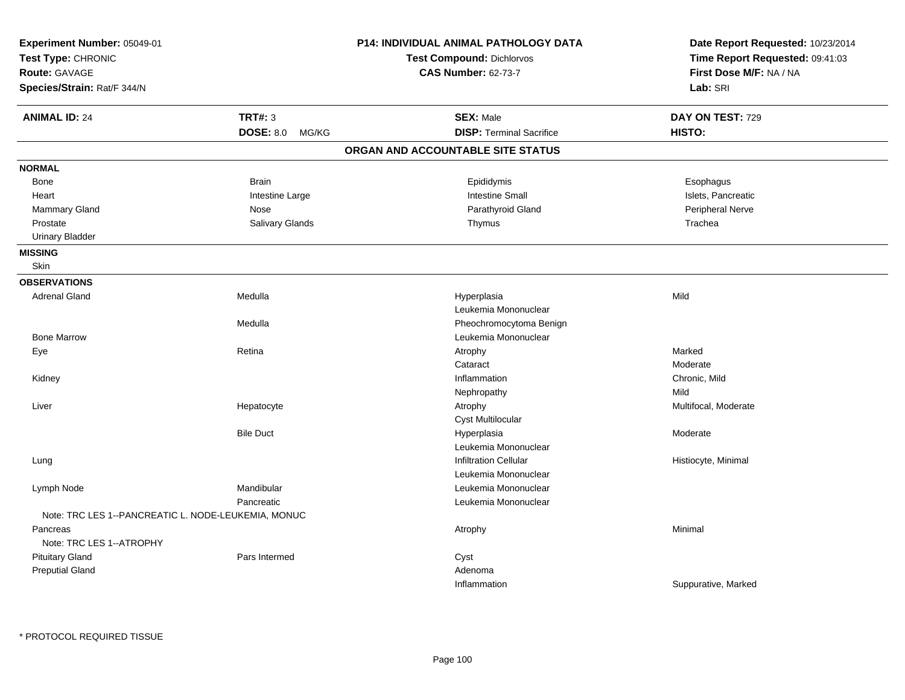| Experiment Number: 05049-01<br>Test Type: CHRONIC<br><b>Route: GAVAGE</b><br>Species/Strain: Rat/F 344/N |                           | P14: INDIVIDUAL ANIMAL PATHOLOGY DATA<br><b>Test Compound: Dichlorvos</b><br><b>CAS Number: 62-73-7</b> | Date Report Requested: 10/23/2014<br>Time Report Requested: 09:41:03<br>First Dose M/F: NA / NA<br>Lab: SRI |
|----------------------------------------------------------------------------------------------------------|---------------------------|---------------------------------------------------------------------------------------------------------|-------------------------------------------------------------------------------------------------------------|
| <b>ANIMAL ID: 24</b>                                                                                     | <b>TRT#: 3</b>            | <b>SEX: Male</b>                                                                                        | DAY ON TEST: 729                                                                                            |
|                                                                                                          | <b>DOSE: 8.0</b><br>MG/KG | <b>DISP: Terminal Sacrifice</b>                                                                         | <b>HISTO:</b>                                                                                               |
|                                                                                                          |                           | ORGAN AND ACCOUNTABLE SITE STATUS                                                                       |                                                                                                             |
| <b>NORMAL</b>                                                                                            |                           |                                                                                                         |                                                                                                             |
| <b>Bone</b>                                                                                              | <b>Brain</b>              | Epididymis                                                                                              | Esophagus                                                                                                   |
| Heart                                                                                                    | Intestine Large           | <b>Intestine Small</b>                                                                                  | Islets, Pancreatic                                                                                          |
| Mammary Gland                                                                                            | Nose                      | Parathyroid Gland                                                                                       | Peripheral Nerve                                                                                            |
| Prostate                                                                                                 | Salivary Glands           | Thymus                                                                                                  | Trachea                                                                                                     |
| <b>Urinary Bladder</b>                                                                                   |                           |                                                                                                         |                                                                                                             |
| <b>MISSING</b>                                                                                           |                           |                                                                                                         |                                                                                                             |
| Skin                                                                                                     |                           |                                                                                                         |                                                                                                             |
| <b>OBSERVATIONS</b>                                                                                      |                           |                                                                                                         |                                                                                                             |
| <b>Adrenal Gland</b>                                                                                     | Medulla                   | Hyperplasia                                                                                             | Mild                                                                                                        |
|                                                                                                          |                           | Leukemia Mononuclear                                                                                    |                                                                                                             |
|                                                                                                          | Medulla                   | Pheochromocytoma Benign                                                                                 |                                                                                                             |
| <b>Bone Marrow</b>                                                                                       |                           | Leukemia Mononuclear                                                                                    |                                                                                                             |
| Eye                                                                                                      | Retina                    | Atrophy                                                                                                 | Marked                                                                                                      |
|                                                                                                          |                           | Cataract                                                                                                | Moderate                                                                                                    |
| Kidney                                                                                                   |                           | Inflammation                                                                                            | Chronic, Mild                                                                                               |
|                                                                                                          |                           | Nephropathy                                                                                             | Mild                                                                                                        |
| Liver                                                                                                    | Hepatocyte                | Atrophy                                                                                                 | Multifocal, Moderate                                                                                        |
|                                                                                                          |                           | Cyst Multilocular                                                                                       |                                                                                                             |
|                                                                                                          | <b>Bile Duct</b>          | Hyperplasia                                                                                             | Moderate                                                                                                    |
|                                                                                                          |                           | Leukemia Mononuclear                                                                                    |                                                                                                             |
| Lung                                                                                                     |                           | <b>Infiltration Cellular</b>                                                                            | Histiocyte, Minimal                                                                                         |
|                                                                                                          |                           | Leukemia Mononuclear                                                                                    |                                                                                                             |
| Lymph Node                                                                                               | Mandibular                | Leukemia Mononuclear                                                                                    |                                                                                                             |
|                                                                                                          | Pancreatic                | Leukemia Mononuclear                                                                                    |                                                                                                             |
| Note: TRC LES 1--PANCREATIC L. NODE-LEUKEMIA, MONUC                                                      |                           |                                                                                                         |                                                                                                             |
| Pancreas                                                                                                 |                           | Atrophy                                                                                                 | Minimal                                                                                                     |
| Note: TRC LES 1--ATROPHY                                                                                 |                           |                                                                                                         |                                                                                                             |
| <b>Pituitary Gland</b>                                                                                   | Pars Intermed             | Cyst                                                                                                    |                                                                                                             |
| <b>Preputial Gland</b>                                                                                   |                           | Adenoma                                                                                                 |                                                                                                             |
|                                                                                                          |                           | Inflammation                                                                                            | Suppurative, Marked                                                                                         |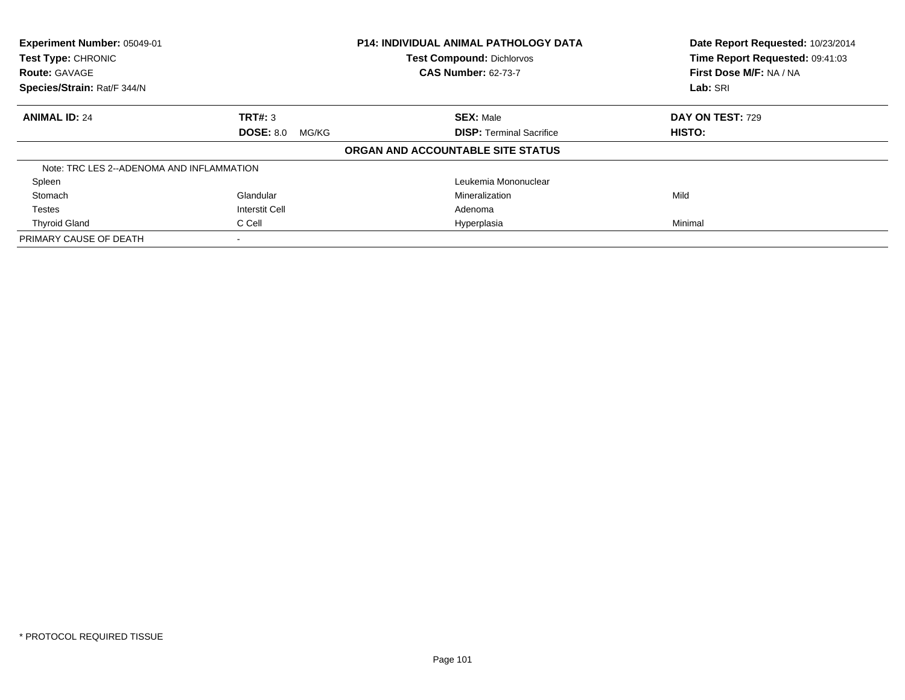| Experiment Number: 05049-01<br>Test Type: CHRONIC<br><b>Route: GAVAGE</b> |                           | <b>P14: INDIVIDUAL ANIMAL PATHOLOGY DATA</b><br><b>Test Compound: Dichlorvos</b><br><b>CAS Number: 62-73-7</b> | Date Report Requested: 10/23/2014<br>Time Report Requested: 09:41:03<br>First Dose M/F: NA / NA |
|---------------------------------------------------------------------------|---------------------------|----------------------------------------------------------------------------------------------------------------|-------------------------------------------------------------------------------------------------|
| Species/Strain: Rat/F 344/N                                               |                           |                                                                                                                | Lab: SRI                                                                                        |
| <b>ANIMAL ID: 24</b>                                                      | TRT#: 3                   | <b>SEX: Male</b>                                                                                               | DAY ON TEST: 729                                                                                |
|                                                                           | <b>DOSE: 8.0</b><br>MG/KG | <b>DISP:</b> Terminal Sacrifice                                                                                | HISTO:                                                                                          |
|                                                                           |                           | ORGAN AND ACCOUNTABLE SITE STATUS                                                                              |                                                                                                 |
| Note: TRC LES 2--ADENOMA AND INFLAMMATION                                 |                           |                                                                                                                |                                                                                                 |
| Spleen                                                                    |                           | Leukemia Mononuclear                                                                                           |                                                                                                 |
| Stomach                                                                   | Glandular                 | Mineralization                                                                                                 | Mild                                                                                            |
| <b>Testes</b>                                                             | <b>Interstit Cell</b>     | Adenoma                                                                                                        |                                                                                                 |
| <b>Thyroid Gland</b>                                                      | C Cell                    | Hyperplasia                                                                                                    | Minimal                                                                                         |
| PRIMARY CAUSE OF DEATH                                                    |                           |                                                                                                                |                                                                                                 |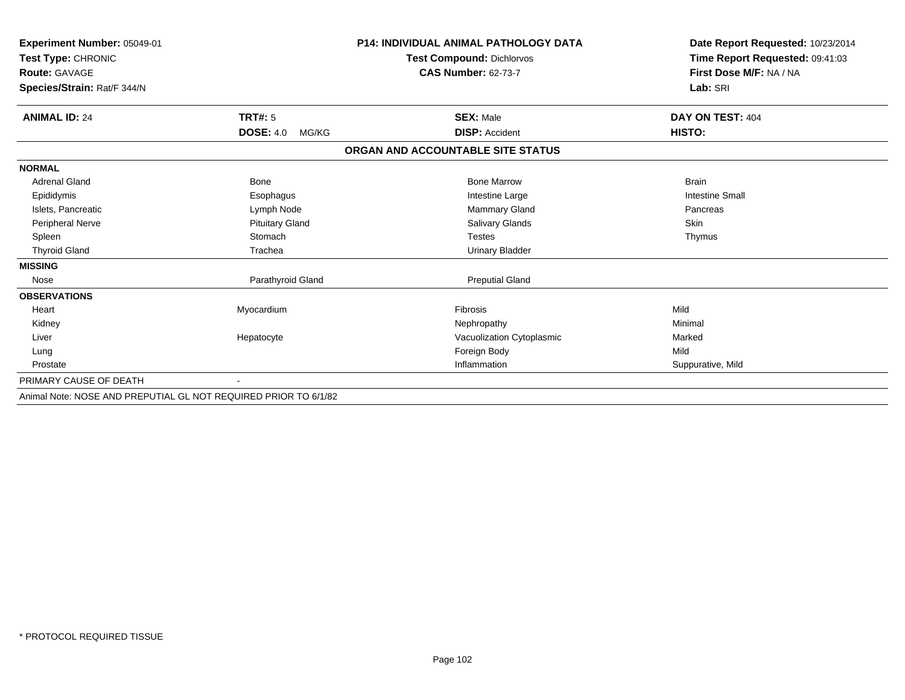| Experiment Number: 05049-01<br>Test Type: CHRONIC               |                           | <b>P14: INDIVIDUAL ANIMAL PATHOLOGY DATA</b> | Date Report Requested: 10/23/2014<br>Time Report Requested: 09:41:03 |  |
|-----------------------------------------------------------------|---------------------------|----------------------------------------------|----------------------------------------------------------------------|--|
|                                                                 |                           | <b>Test Compound: Dichlorvos</b>             |                                                                      |  |
| <b>Route: GAVAGE</b>                                            |                           | <b>CAS Number: 62-73-7</b>                   | First Dose M/F: NA / NA                                              |  |
| Species/Strain: Rat/F 344/N                                     |                           |                                              | Lab: SRI                                                             |  |
| <b>ANIMAL ID: 24</b>                                            | TRT#: 5                   | <b>SEX: Male</b>                             | DAY ON TEST: 404                                                     |  |
|                                                                 | <b>DOSE: 4.0</b><br>MG/KG | <b>DISP: Accident</b>                        | HISTO:                                                               |  |
|                                                                 |                           | ORGAN AND ACCOUNTABLE SITE STATUS            |                                                                      |  |
| <b>NORMAL</b>                                                   |                           |                                              |                                                                      |  |
| <b>Adrenal Gland</b>                                            | <b>Bone</b>               | <b>Bone Marrow</b>                           | <b>Brain</b>                                                         |  |
| Epididymis                                                      | Esophagus                 | Intestine Large                              | <b>Intestine Small</b>                                               |  |
| Islets, Pancreatic                                              | Lymph Node                | <b>Mammary Gland</b>                         | Pancreas                                                             |  |
| <b>Peripheral Nerve</b>                                         | <b>Pituitary Gland</b>    | Salivary Glands                              | Skin                                                                 |  |
| Spleen                                                          | Stomach                   | <b>Testes</b>                                | Thymus                                                               |  |
| <b>Thyroid Gland</b>                                            | Trachea                   | <b>Urinary Bladder</b>                       |                                                                      |  |
| <b>MISSING</b>                                                  |                           |                                              |                                                                      |  |
| Nose                                                            | Parathyroid Gland         | <b>Preputial Gland</b>                       |                                                                      |  |
| <b>OBSERVATIONS</b>                                             |                           |                                              |                                                                      |  |
| Heart                                                           | Myocardium                | <b>Fibrosis</b>                              | Mild                                                                 |  |
| Kidney                                                          |                           | Nephropathy                                  | Minimal                                                              |  |
| Liver                                                           | Hepatocyte                | Vacuolization Cytoplasmic                    | Marked                                                               |  |
| Lung                                                            |                           | Foreign Body                                 | Mild                                                                 |  |
| Prostate                                                        |                           | Inflammation                                 | Suppurative, Mild                                                    |  |
| PRIMARY CAUSE OF DEATH                                          |                           |                                              |                                                                      |  |
| Animal Note: NOSE AND PREPUTIAL GL NOT REQUIRED PRIOR TO 6/1/82 |                           |                                              |                                                                      |  |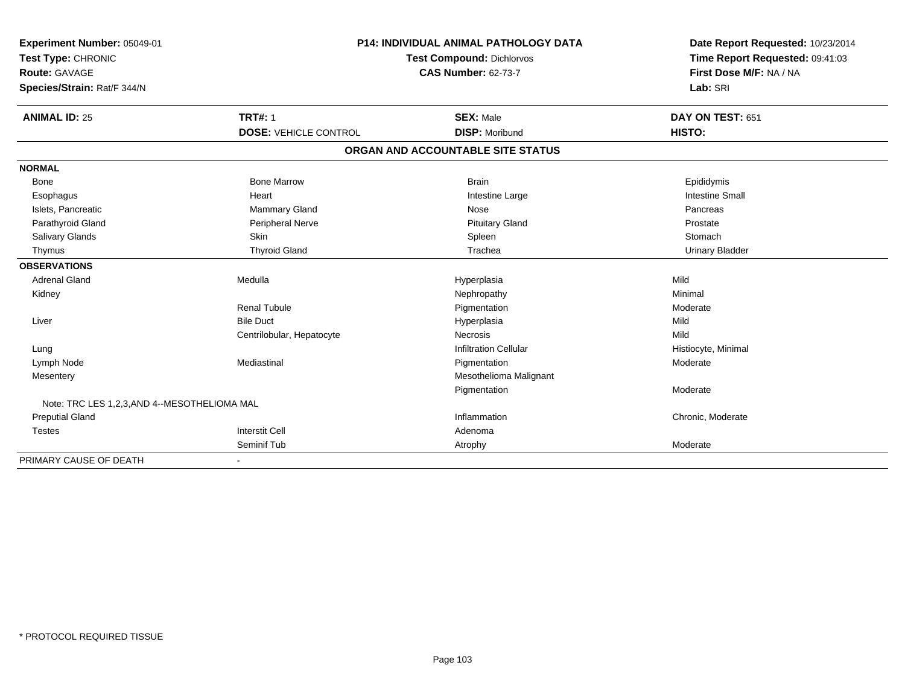| Experiment Number: 05049-01                 | <b>P14: INDIVIDUAL ANIMAL PATHOLOGY DATA</b> |                                   | Date Report Requested: 10/23/2014 |
|---------------------------------------------|----------------------------------------------|-----------------------------------|-----------------------------------|
| Test Type: CHRONIC                          |                                              | <b>Test Compound: Dichlorvos</b>  |                                   |
| Route: GAVAGE                               |                                              | <b>CAS Number: 62-73-7</b>        | First Dose M/F: NA / NA           |
| Species/Strain: Rat/F 344/N                 |                                              |                                   | Lab: SRI                          |
| <b>ANIMAL ID: 25</b>                        | <b>TRT#: 1</b>                               | <b>SEX: Male</b>                  | DAY ON TEST: 651                  |
|                                             | <b>DOSE: VEHICLE CONTROL</b>                 | <b>DISP: Moribund</b>             | HISTO:                            |
|                                             |                                              | ORGAN AND ACCOUNTABLE SITE STATUS |                                   |
| <b>NORMAL</b>                               |                                              |                                   |                                   |
| Bone                                        | <b>Bone Marrow</b>                           | <b>Brain</b>                      | Epididymis                        |
| Esophagus                                   | Heart                                        | Intestine Large                   | <b>Intestine Small</b>            |
| Islets, Pancreatic                          | <b>Mammary Gland</b>                         | Nose                              | Pancreas                          |
| Parathyroid Gland                           | Peripheral Nerve                             | <b>Pituitary Gland</b>            | Prostate                          |
| Salivary Glands                             | Skin                                         | Spleen                            | Stomach                           |
| Thymus                                      | <b>Thyroid Gland</b>                         | Trachea                           | <b>Urinary Bladder</b>            |
| <b>OBSERVATIONS</b>                         |                                              |                                   |                                   |
| <b>Adrenal Gland</b>                        | Medulla                                      | Hyperplasia                       | Mild                              |
| Kidney                                      |                                              | Nephropathy                       | Minimal                           |
|                                             | <b>Renal Tubule</b>                          | Pigmentation                      | Moderate                          |
| Liver                                       | <b>Bile Duct</b>                             | Hyperplasia                       | Mild                              |
|                                             | Centrilobular, Hepatocyte                    | Necrosis                          | Mild                              |
| Lung                                        |                                              | <b>Infiltration Cellular</b>      | Histiocyte, Minimal               |
| Lymph Node                                  | Mediastinal                                  | Pigmentation                      | Moderate                          |
| Mesentery                                   |                                              | Mesothelioma Malignant            |                                   |
|                                             |                                              | Pigmentation                      | Moderate                          |
| Note: TRC LES 1,2,3,AND 4--MESOTHELIOMA MAL |                                              |                                   |                                   |
| <b>Preputial Gland</b>                      |                                              | Inflammation                      | Chronic, Moderate                 |
| <b>Testes</b>                               | <b>Interstit Cell</b>                        | Adenoma                           |                                   |
|                                             | Seminif Tub                                  | Atrophy                           | Moderate                          |
| PRIMARY CAUSE OF DEATH                      | $\overline{\phantom{a}}$                     |                                   |                                   |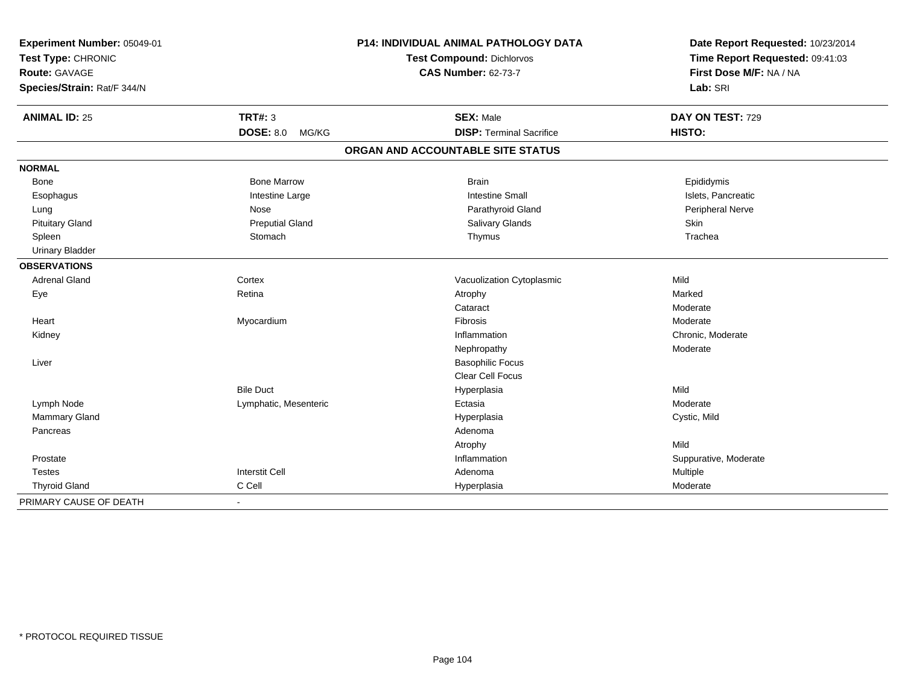| Experiment Number: 05049-01<br>Test Type: CHRONIC<br>Route: GAVAGE<br>Species/Strain: Rat/F 344/N |                           | P14: INDIVIDUAL ANIMAL PATHOLOGY DATA<br><b>Test Compound: Dichlorvos</b><br><b>CAS Number: 62-73-7</b> | Date Report Requested: 10/23/2014<br>Time Report Requested: 09:41:03<br>First Dose M/F: NA / NA<br>Lab: SRI |  |
|---------------------------------------------------------------------------------------------------|---------------------------|---------------------------------------------------------------------------------------------------------|-------------------------------------------------------------------------------------------------------------|--|
| <b>ANIMAL ID: 25</b>                                                                              | <b>TRT#: 3</b>            | <b>SEX: Male</b>                                                                                        | DAY ON TEST: 729                                                                                            |  |
|                                                                                                   | <b>DOSE: 8.0</b><br>MG/KG | <b>DISP: Terminal Sacrifice</b>                                                                         | HISTO:                                                                                                      |  |
|                                                                                                   |                           | ORGAN AND ACCOUNTABLE SITE STATUS                                                                       |                                                                                                             |  |
| <b>NORMAL</b>                                                                                     |                           |                                                                                                         |                                                                                                             |  |
| Bone                                                                                              | <b>Bone Marrow</b>        | <b>Brain</b>                                                                                            | Epididymis                                                                                                  |  |
| Esophagus                                                                                         | Intestine Large           | <b>Intestine Small</b>                                                                                  | Islets, Pancreatic                                                                                          |  |
| Lung                                                                                              | Nose                      | Parathyroid Gland                                                                                       | Peripheral Nerve                                                                                            |  |
| <b>Pituitary Gland</b>                                                                            | <b>Preputial Gland</b>    | Salivary Glands                                                                                         | Skin                                                                                                        |  |
| Spleen                                                                                            | Stomach                   | Thymus                                                                                                  | Trachea                                                                                                     |  |
| <b>Urinary Bladder</b>                                                                            |                           |                                                                                                         |                                                                                                             |  |
| <b>OBSERVATIONS</b>                                                                               |                           |                                                                                                         |                                                                                                             |  |
| <b>Adrenal Gland</b>                                                                              | Cortex                    | Vacuolization Cytoplasmic                                                                               | Mild                                                                                                        |  |
| Eye                                                                                               | Retina                    | Atrophy                                                                                                 | Marked                                                                                                      |  |
|                                                                                                   |                           | Cataract                                                                                                | Moderate                                                                                                    |  |
| Heart                                                                                             | Myocardium                | Fibrosis                                                                                                | Moderate                                                                                                    |  |
| Kidney                                                                                            |                           | Inflammation                                                                                            | Chronic, Moderate                                                                                           |  |
|                                                                                                   |                           | Nephropathy                                                                                             | Moderate                                                                                                    |  |
| Liver                                                                                             |                           | <b>Basophilic Focus</b>                                                                                 |                                                                                                             |  |
|                                                                                                   |                           | <b>Clear Cell Focus</b>                                                                                 |                                                                                                             |  |
|                                                                                                   | <b>Bile Duct</b>          | Hyperplasia                                                                                             | Mild                                                                                                        |  |
| Lymph Node                                                                                        | Lymphatic, Mesenteric     | Ectasia                                                                                                 | Moderate                                                                                                    |  |
| Mammary Gland                                                                                     |                           | Hyperplasia                                                                                             | Cystic, Mild                                                                                                |  |
| Pancreas                                                                                          |                           | Adenoma                                                                                                 |                                                                                                             |  |
|                                                                                                   |                           | Atrophy                                                                                                 | Mild                                                                                                        |  |
| Prostate                                                                                          |                           | Inflammation                                                                                            | Suppurative, Moderate                                                                                       |  |
| <b>Testes</b>                                                                                     | <b>Interstit Cell</b>     | Adenoma                                                                                                 | Multiple                                                                                                    |  |
| <b>Thyroid Gland</b>                                                                              | C Cell                    | Hyperplasia                                                                                             | Moderate                                                                                                    |  |
| PRIMARY CAUSE OF DEATH                                                                            | $\blacksquare$            |                                                                                                         |                                                                                                             |  |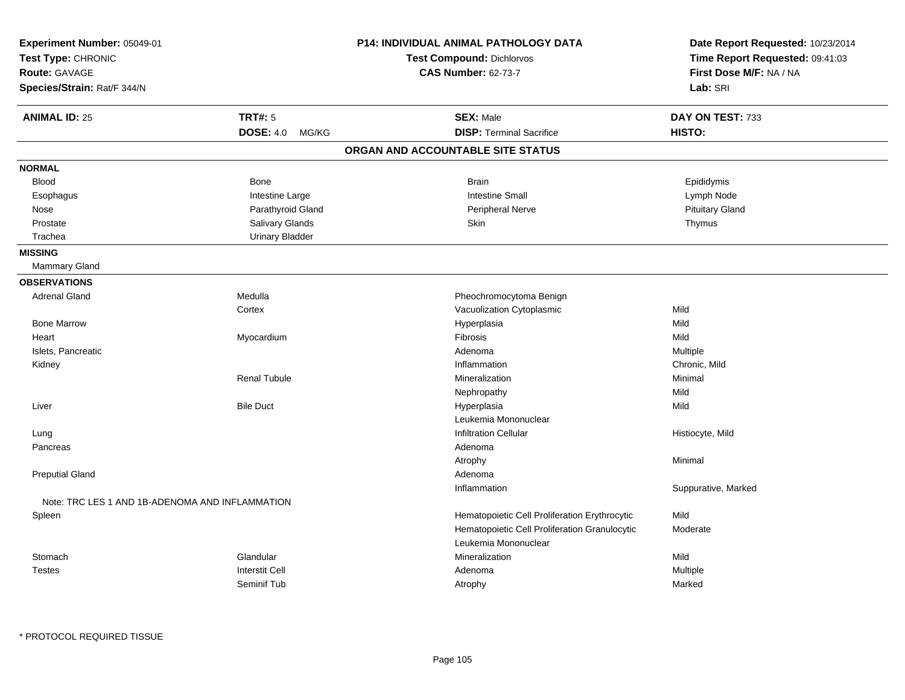| Experiment Number: 05049-01<br>Test Type: CHRONIC<br><b>Route: GAVAGE</b><br>Species/Strain: Rat/F 344/N |                           | P14: INDIVIDUAL ANIMAL PATHOLOGY DATA<br><b>Test Compound: Dichlorvos</b><br><b>CAS Number: 62-73-7</b> | Date Report Requested: 10/23/2014<br>Time Report Requested: 09:41:03<br>First Dose M/F: NA / NA<br>Lab: SRI |
|----------------------------------------------------------------------------------------------------------|---------------------------|---------------------------------------------------------------------------------------------------------|-------------------------------------------------------------------------------------------------------------|
| <b>ANIMAL ID: 25</b>                                                                                     | <b>TRT#: 5</b>            | <b>SEX: Male</b>                                                                                        | DAY ON TEST: 733                                                                                            |
|                                                                                                          | <b>DOSE: 4.0</b><br>MG/KG | <b>DISP: Terminal Sacrifice</b>                                                                         | HISTO:                                                                                                      |
|                                                                                                          |                           | ORGAN AND ACCOUNTABLE SITE STATUS                                                                       |                                                                                                             |
| <b>NORMAL</b>                                                                                            |                           |                                                                                                         |                                                                                                             |
| <b>Blood</b>                                                                                             | <b>Bone</b>               | <b>Brain</b>                                                                                            | Epididymis                                                                                                  |
| Esophagus                                                                                                | Intestine Large           | <b>Intestine Small</b>                                                                                  | Lymph Node                                                                                                  |
| Nose                                                                                                     | Parathyroid Gland         | Peripheral Nerve                                                                                        | <b>Pituitary Gland</b>                                                                                      |
| Prostate                                                                                                 | Salivary Glands           | Skin                                                                                                    | Thymus                                                                                                      |
| Trachea                                                                                                  | <b>Urinary Bladder</b>    |                                                                                                         |                                                                                                             |
| <b>MISSING</b>                                                                                           |                           |                                                                                                         |                                                                                                             |
| <b>Mammary Gland</b>                                                                                     |                           |                                                                                                         |                                                                                                             |
| <b>OBSERVATIONS</b>                                                                                      |                           |                                                                                                         |                                                                                                             |
| <b>Adrenal Gland</b>                                                                                     | Medulla                   | Pheochromocytoma Benign                                                                                 |                                                                                                             |
|                                                                                                          | Cortex                    | Vacuolization Cytoplasmic                                                                               | Mild                                                                                                        |
| <b>Bone Marrow</b>                                                                                       |                           | Hyperplasia                                                                                             | Mild                                                                                                        |
| Heart                                                                                                    | Myocardium                | Fibrosis                                                                                                | Mild                                                                                                        |
| Islets, Pancreatic                                                                                       |                           | Adenoma                                                                                                 | Multiple                                                                                                    |
| Kidney                                                                                                   |                           | Inflammation                                                                                            | Chronic, Mild                                                                                               |
|                                                                                                          | <b>Renal Tubule</b>       | Mineralization                                                                                          | Minimal                                                                                                     |
|                                                                                                          |                           | Nephropathy                                                                                             | Mild                                                                                                        |
| Liver                                                                                                    | <b>Bile Duct</b>          | Hyperplasia                                                                                             | Mild                                                                                                        |
|                                                                                                          |                           | Leukemia Mononuclear                                                                                    |                                                                                                             |
| Lung                                                                                                     |                           | <b>Infiltration Cellular</b>                                                                            | Histiocyte, Mild                                                                                            |
| Pancreas                                                                                                 |                           | Adenoma                                                                                                 |                                                                                                             |
|                                                                                                          |                           | Atrophy                                                                                                 | Minimal                                                                                                     |
| <b>Preputial Gland</b>                                                                                   |                           | Adenoma                                                                                                 |                                                                                                             |
|                                                                                                          |                           | Inflammation                                                                                            | Suppurative, Marked                                                                                         |
| Note: TRC LES 1 AND 1B-ADENOMA AND INFLAMMATION                                                          |                           |                                                                                                         |                                                                                                             |
| Spleen                                                                                                   |                           | Hematopoietic Cell Proliferation Erythrocytic                                                           | Mild                                                                                                        |
|                                                                                                          |                           | Hematopoietic Cell Proliferation Granulocytic                                                           | Moderate                                                                                                    |
|                                                                                                          |                           | Leukemia Mononuclear                                                                                    |                                                                                                             |
| Stomach                                                                                                  | Glandular                 | Mineralization                                                                                          | Mild                                                                                                        |
| <b>Testes</b>                                                                                            | <b>Interstit Cell</b>     | Adenoma                                                                                                 | Multiple                                                                                                    |
|                                                                                                          | Seminif Tub               | Atrophy                                                                                                 | Marked                                                                                                      |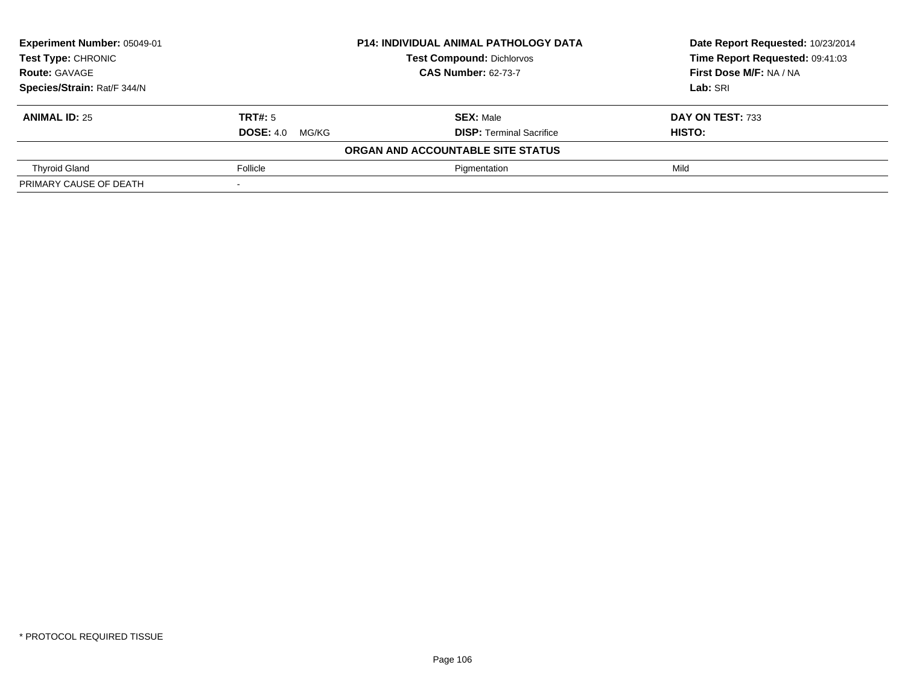| Experiment Number: 05049-01 |                        | <b>P14: INDIVIDUAL ANIMAL PATHOLOGY DATA</b> | Date Report Requested: 10/23/2014 |
|-----------------------------|------------------------|----------------------------------------------|-----------------------------------|
| <b>Test Type: CHRONIC</b>   |                        | <b>Test Compound: Dichlorvos</b>             | Time Report Requested: 09:41:03   |
| <b>Route: GAVAGE</b>        |                        | <b>CAS Number: 62-73-7</b>                   | First Dose M/F: NA / NA           |
| Species/Strain: Rat/F 344/N |                        |                                              | Lab: SRI                          |
| <b>ANIMAL ID: 25</b>        | TRT#: 5                | <b>SEX: Male</b>                             | DAY ON TEST: 733                  |
|                             | <b>DOSE: 4.0 MG/KG</b> | <b>DISP:</b> Terminal Sacrifice              | HISTO:                            |
|                             |                        | ORGAN AND ACCOUNTABLE SITE STATUS            |                                   |
| <b>Thyroid Gland</b>        | Follicle               | Pigmentation                                 | Mild                              |
| PRIMARY CAUSE OF DEATH      |                        |                                              |                                   |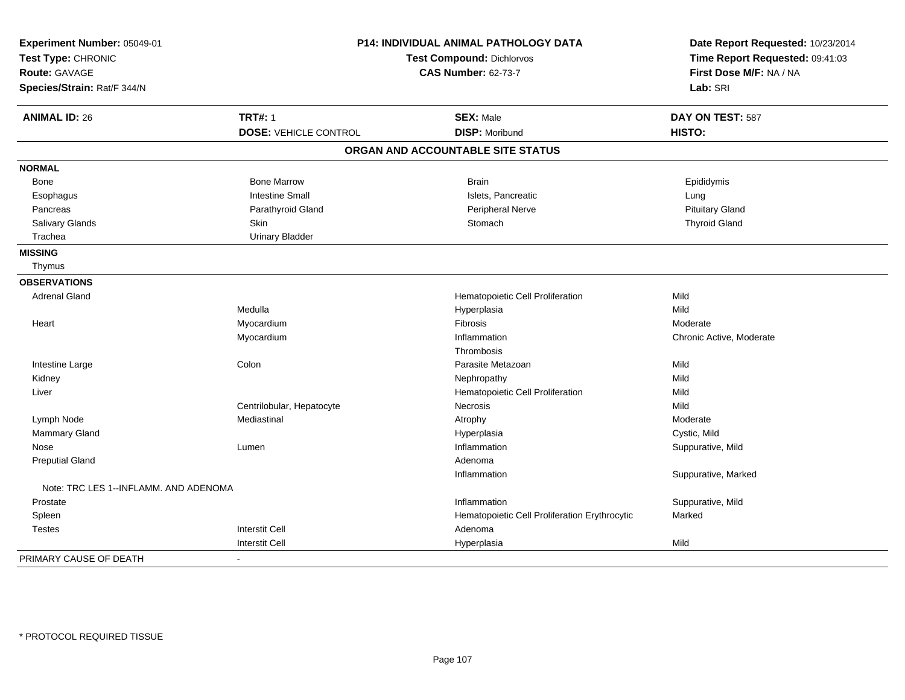| Experiment Number: 05049-01<br>Test Type: CHRONIC | <b>P14: INDIVIDUAL ANIMAL PATHOLOGY DATA</b><br><b>Test Compound: Dichlorvos</b> |                                               | Date Report Requested: 10/23/2014<br>Time Report Requested: 09:41:03 |
|---------------------------------------------------|----------------------------------------------------------------------------------|-----------------------------------------------|----------------------------------------------------------------------|
| <b>Route: GAVAGE</b>                              |                                                                                  | <b>CAS Number: 62-73-7</b>                    | First Dose M/F: NA / NA                                              |
| Species/Strain: Rat/F 344/N                       |                                                                                  |                                               | Lab: SRI                                                             |
| <b>ANIMAL ID: 26</b>                              | <b>TRT#: 1</b>                                                                   | <b>SEX: Male</b>                              | DAY ON TEST: 587                                                     |
|                                                   | <b>DOSE: VEHICLE CONTROL</b>                                                     | <b>DISP: Moribund</b>                         | HISTO:                                                               |
|                                                   |                                                                                  | ORGAN AND ACCOUNTABLE SITE STATUS             |                                                                      |
| <b>NORMAL</b>                                     |                                                                                  |                                               |                                                                      |
| Bone                                              | <b>Bone Marrow</b>                                                               | <b>Brain</b>                                  | Epididymis                                                           |
| Esophagus                                         | <b>Intestine Small</b>                                                           | Islets, Pancreatic                            | Lung                                                                 |
| Pancreas                                          | Parathyroid Gland                                                                | Peripheral Nerve                              | <b>Pituitary Gland</b>                                               |
| Salivary Glands                                   | <b>Skin</b>                                                                      | Stomach                                       | <b>Thyroid Gland</b>                                                 |
| Trachea                                           | <b>Urinary Bladder</b>                                                           |                                               |                                                                      |
| <b>MISSING</b>                                    |                                                                                  |                                               |                                                                      |
| Thymus                                            |                                                                                  |                                               |                                                                      |
| <b>OBSERVATIONS</b>                               |                                                                                  |                                               |                                                                      |
| <b>Adrenal Gland</b>                              |                                                                                  | Hematopoietic Cell Proliferation              | Mild                                                                 |
|                                                   | Medulla                                                                          | Hyperplasia                                   | Mild                                                                 |
| Heart                                             | Myocardium                                                                       | Fibrosis                                      | Moderate                                                             |
|                                                   | Myocardium                                                                       | Inflammation                                  | Chronic Active, Moderate                                             |
|                                                   |                                                                                  | Thrombosis                                    |                                                                      |
| Intestine Large                                   | Colon                                                                            | Parasite Metazoan                             | Mild                                                                 |
| Kidney                                            |                                                                                  | Nephropathy                                   | Mild                                                                 |
| Liver                                             |                                                                                  | Hematopoietic Cell Proliferation              | Mild                                                                 |
|                                                   | Centrilobular, Hepatocyte                                                        | Necrosis                                      | Mild                                                                 |
| Lymph Node                                        | Mediastinal                                                                      | Atrophy                                       | Moderate                                                             |
| Mammary Gland                                     |                                                                                  | Hyperplasia                                   | Cystic, Mild                                                         |
| Nose                                              | Lumen                                                                            | Inflammation                                  | Suppurative, Mild                                                    |
| <b>Preputial Gland</b>                            |                                                                                  | Adenoma                                       |                                                                      |
|                                                   |                                                                                  | Inflammation                                  | Suppurative, Marked                                                  |
| Note: TRC LES 1--INFLAMM, AND ADENOMA             |                                                                                  |                                               |                                                                      |
| Prostate                                          |                                                                                  | Inflammation                                  | Suppurative, Mild                                                    |
| Spleen                                            |                                                                                  | Hematopoietic Cell Proliferation Erythrocytic | Marked                                                               |
| <b>Testes</b>                                     | <b>Interstit Cell</b>                                                            | Adenoma                                       |                                                                      |
|                                                   | <b>Interstit Cell</b>                                                            | Hyperplasia                                   | Mild                                                                 |
| PRIMARY CAUSE OF DEATH                            | $\blacksquare$                                                                   |                                               |                                                                      |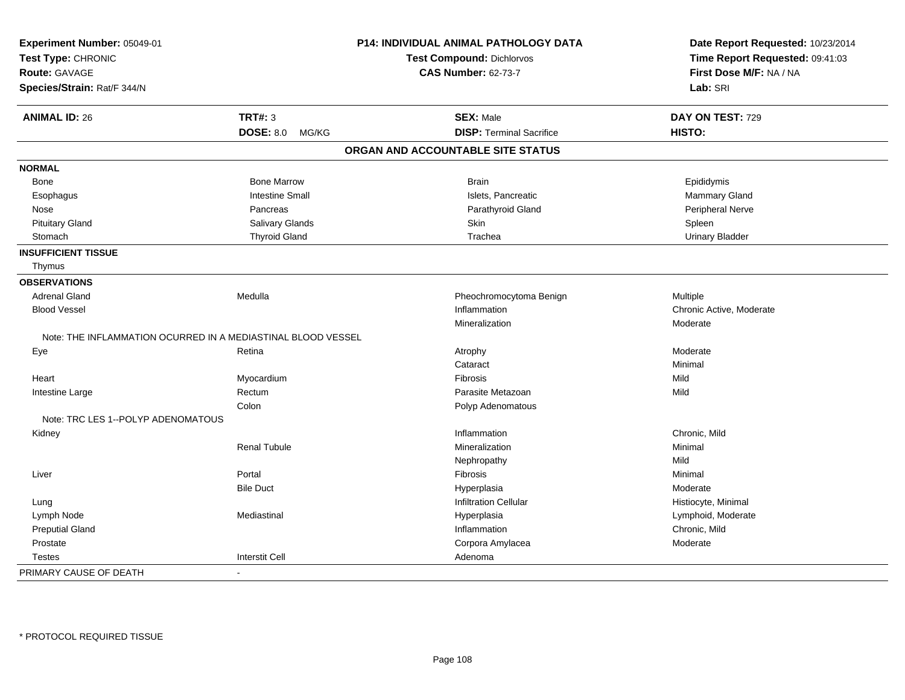| Experiment Number: 05049-01                                  |                           | P14: INDIVIDUAL ANIMAL PATHOLOGY DATA | Date Report Requested: 10/23/2014<br>Time Report Requested: 09:41:03 |
|--------------------------------------------------------------|---------------------------|---------------------------------------|----------------------------------------------------------------------|
| Test Type: CHRONIC                                           |                           | <b>Test Compound: Dichlorvos</b>      |                                                                      |
| Route: GAVAGE                                                |                           | <b>CAS Number: 62-73-7</b>            | First Dose M/F: NA / NA                                              |
| Species/Strain: Rat/F 344/N                                  |                           |                                       | Lab: SRI                                                             |
| <b>ANIMAL ID: 26</b>                                         | <b>TRT#: 3</b>            | <b>SEX: Male</b>                      | DAY ON TEST: 729                                                     |
|                                                              | <b>DOSE: 8.0</b><br>MG/KG | <b>DISP: Terminal Sacrifice</b>       | HISTO:                                                               |
|                                                              |                           | ORGAN AND ACCOUNTABLE SITE STATUS     |                                                                      |
| <b>NORMAL</b>                                                |                           |                                       |                                                                      |
| Bone                                                         | <b>Bone Marrow</b>        | <b>Brain</b>                          | Epididymis                                                           |
| Esophagus                                                    | <b>Intestine Small</b>    | Islets, Pancreatic                    | Mammary Gland                                                        |
| Nose                                                         | Pancreas                  | Parathyroid Gland                     | Peripheral Nerve                                                     |
| <b>Pituitary Gland</b>                                       | Salivary Glands           | Skin                                  | Spleen                                                               |
| Stomach                                                      | <b>Thyroid Gland</b>      | Trachea                               | <b>Urinary Bladder</b>                                               |
| <b>INSUFFICIENT TISSUE</b>                                   |                           |                                       |                                                                      |
| Thymus                                                       |                           |                                       |                                                                      |
| <b>OBSERVATIONS</b>                                          |                           |                                       |                                                                      |
| <b>Adrenal Gland</b>                                         | Medulla                   | Pheochromocytoma Benign               | Multiple                                                             |
| <b>Blood Vessel</b>                                          |                           | Inflammation                          | Chronic Active, Moderate                                             |
|                                                              |                           | Mineralization                        | Moderate                                                             |
| Note: THE INFLAMMATION OCURRED IN A MEDIASTINAL BLOOD VESSEL |                           |                                       |                                                                      |
| Eye                                                          | Retina                    | Atrophy                               | Moderate                                                             |
|                                                              |                           | Cataract                              | Minimal                                                              |
| Heart                                                        | Myocardium                | <b>Fibrosis</b>                       | Mild                                                                 |
| Intestine Large                                              | Rectum                    | Parasite Metazoan                     | Mild                                                                 |
|                                                              | Colon                     | Polyp Adenomatous                     |                                                                      |
| Note: TRC LES 1--POLYP ADENOMATOUS                           |                           |                                       |                                                                      |
| Kidney                                                       |                           | Inflammation                          | Chronic, Mild                                                        |
|                                                              | <b>Renal Tubule</b>       | Mineralization                        | Minimal                                                              |
|                                                              |                           | Nephropathy                           | Mild                                                                 |
| Liver                                                        | Portal                    | Fibrosis                              | Minimal                                                              |
|                                                              | <b>Bile Duct</b>          | Hyperplasia                           | Moderate                                                             |
| Lung                                                         |                           | <b>Infiltration Cellular</b>          | Histiocyte, Minimal                                                  |
| Lymph Node                                                   | Mediastinal               | Hyperplasia                           | Lymphoid, Moderate                                                   |
| <b>Preputial Gland</b>                                       |                           | Inflammation                          | Chronic, Mild                                                        |
| Prostate                                                     |                           | Corpora Amylacea                      | Moderate                                                             |
| <b>Testes</b>                                                | <b>Interstit Cell</b>     | Adenoma                               |                                                                      |
| PRIMARY CAUSE OF DEATH                                       |                           |                                       |                                                                      |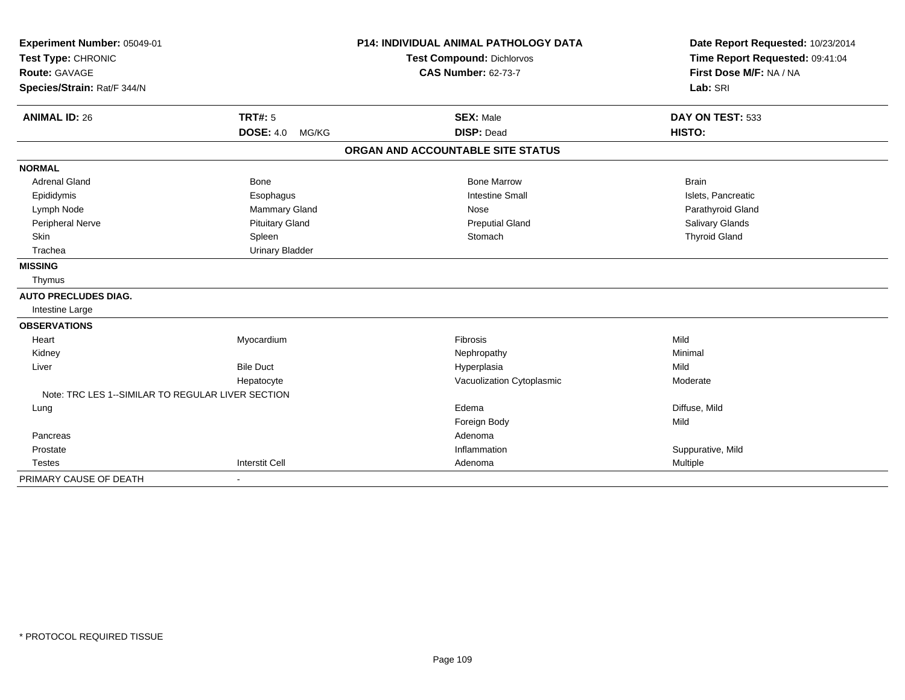| Experiment Number: 05049-01                       |                           | <b>P14: INDIVIDUAL ANIMAL PATHOLOGY DATA</b> | Date Report Requested: 10/23/2014 |  |
|---------------------------------------------------|---------------------------|----------------------------------------------|-----------------------------------|--|
| Test Type: CHRONIC                                |                           | <b>Test Compound: Dichlorvos</b>             | Time Report Requested: 09:41:04   |  |
| <b>Route: GAVAGE</b>                              |                           | <b>CAS Number: 62-73-7</b>                   | First Dose M/F: NA / NA           |  |
| Species/Strain: Rat/F 344/N                       |                           |                                              | Lab: SRI                          |  |
| <b>ANIMAL ID: 26</b>                              | <b>TRT#: 5</b>            | <b>SEX: Male</b>                             | DAY ON TEST: 533                  |  |
|                                                   | <b>DOSE: 4.0</b><br>MG/KG | <b>DISP: Dead</b>                            | HISTO:                            |  |
|                                                   |                           | ORGAN AND ACCOUNTABLE SITE STATUS            |                                   |  |
| <b>NORMAL</b>                                     |                           |                                              |                                   |  |
| <b>Adrenal Gland</b>                              | <b>Bone</b>               | <b>Bone Marrow</b>                           | <b>Brain</b>                      |  |
| Epididymis                                        | Esophagus                 | <b>Intestine Small</b>                       | Islets, Pancreatic                |  |
| Lymph Node                                        | Mammary Gland             | Nose                                         | Parathyroid Gland                 |  |
| Peripheral Nerve                                  | <b>Pituitary Gland</b>    | <b>Preputial Gland</b>                       | Salivary Glands                   |  |
| Skin                                              | Spleen                    | Stomach                                      | <b>Thyroid Gland</b>              |  |
| Trachea                                           | <b>Urinary Bladder</b>    |                                              |                                   |  |
| <b>MISSING</b>                                    |                           |                                              |                                   |  |
| Thymus                                            |                           |                                              |                                   |  |
| <b>AUTO PRECLUDES DIAG.</b>                       |                           |                                              |                                   |  |
| Intestine Large                                   |                           |                                              |                                   |  |
| <b>OBSERVATIONS</b>                               |                           |                                              |                                   |  |
| Heart                                             | Myocardium                | Fibrosis                                     | Mild                              |  |
| Kidney                                            |                           | Nephropathy                                  | Minimal                           |  |
| Liver                                             | <b>Bile Duct</b>          | Hyperplasia                                  | Mild                              |  |
|                                                   | Hepatocyte                | Vacuolization Cytoplasmic                    | Moderate                          |  |
| Note: TRC LES 1--SIMILAR TO REGULAR LIVER SECTION |                           |                                              |                                   |  |
| Lung                                              |                           | Edema                                        | Diffuse, Mild                     |  |
|                                                   |                           | Foreign Body                                 | Mild                              |  |
| Pancreas                                          |                           | Adenoma                                      |                                   |  |
| Prostate                                          |                           | Inflammation                                 | Suppurative, Mild                 |  |
| <b>Testes</b>                                     | <b>Interstit Cell</b>     | Adenoma                                      | <b>Multiple</b>                   |  |
| PRIMARY CAUSE OF DEATH                            | $\blacksquare$            |                                              |                                   |  |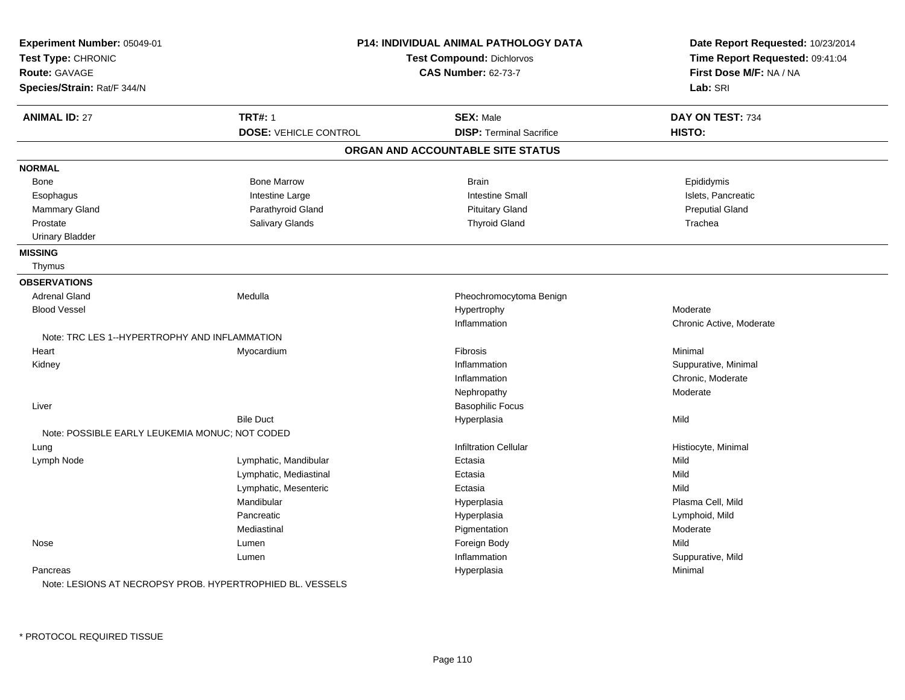| Experiment Number: 05049-01<br>Test Type: CHRONIC<br><b>Route: GAVAGE</b><br>Species/Strain: Rat/F 344/N |                              | <b>P14: INDIVIDUAL ANIMAL PATHOLOGY DATA</b><br><b>Test Compound: Dichlorvos</b><br><b>CAS Number: 62-73-7</b> | Date Report Requested: 10/23/2014<br>Time Report Requested: 09:41:04<br>First Dose M/F: NA / NA<br>Lab: SRI |
|----------------------------------------------------------------------------------------------------------|------------------------------|----------------------------------------------------------------------------------------------------------------|-------------------------------------------------------------------------------------------------------------|
| <b>ANIMAL ID: 27</b>                                                                                     | <b>TRT#: 1</b>               | <b>SEX: Male</b>                                                                                               | DAY ON TEST: 734                                                                                            |
|                                                                                                          | <b>DOSE: VEHICLE CONTROL</b> | <b>DISP: Terminal Sacrifice</b>                                                                                | HISTO:                                                                                                      |
|                                                                                                          |                              | ORGAN AND ACCOUNTABLE SITE STATUS                                                                              |                                                                                                             |
| <b>NORMAL</b>                                                                                            |                              |                                                                                                                |                                                                                                             |
| Bone                                                                                                     | <b>Bone Marrow</b>           | <b>Brain</b>                                                                                                   | Epididymis                                                                                                  |
| Esophagus                                                                                                | Intestine Large              | <b>Intestine Small</b>                                                                                         | Islets, Pancreatic                                                                                          |
| Mammary Gland                                                                                            | Parathyroid Gland            | <b>Pituitary Gland</b>                                                                                         | <b>Preputial Gland</b>                                                                                      |
| Prostate                                                                                                 | <b>Salivary Glands</b>       | <b>Thyroid Gland</b>                                                                                           | Trachea                                                                                                     |
| <b>Urinary Bladder</b>                                                                                   |                              |                                                                                                                |                                                                                                             |
| <b>MISSING</b>                                                                                           |                              |                                                                                                                |                                                                                                             |
| Thymus                                                                                                   |                              |                                                                                                                |                                                                                                             |
| <b>OBSERVATIONS</b>                                                                                      |                              |                                                                                                                |                                                                                                             |
| <b>Adrenal Gland</b>                                                                                     | Medulla                      | Pheochromocytoma Benign                                                                                        |                                                                                                             |
| <b>Blood Vessel</b>                                                                                      |                              | Hypertrophy                                                                                                    | Moderate                                                                                                    |
|                                                                                                          |                              | Inflammation                                                                                                   | Chronic Active, Moderate                                                                                    |
| Note: TRC LES 1--HYPERTROPHY AND INFLAMMATION                                                            |                              |                                                                                                                |                                                                                                             |
| Heart                                                                                                    | Myocardium                   | Fibrosis                                                                                                       | Minimal                                                                                                     |
| Kidney                                                                                                   |                              | Inflammation                                                                                                   | Suppurative, Minimal                                                                                        |
|                                                                                                          |                              | Inflammation                                                                                                   | Chronic, Moderate                                                                                           |
|                                                                                                          |                              | Nephropathy                                                                                                    | Moderate                                                                                                    |
| Liver                                                                                                    |                              | <b>Basophilic Focus</b>                                                                                        |                                                                                                             |
|                                                                                                          | <b>Bile Duct</b>             | Hyperplasia                                                                                                    | Mild                                                                                                        |
| Note: POSSIBLE EARLY LEUKEMIA MONUC; NOT CODED                                                           |                              |                                                                                                                |                                                                                                             |
| Lung                                                                                                     |                              | <b>Infiltration Cellular</b>                                                                                   | Histiocyte, Minimal                                                                                         |
| Lymph Node                                                                                               | Lymphatic, Mandibular        | Ectasia                                                                                                        | Mild                                                                                                        |
|                                                                                                          | Lymphatic, Mediastinal       | Ectasia                                                                                                        | Mild                                                                                                        |
|                                                                                                          | Lymphatic, Mesenteric        | Ectasia                                                                                                        | Mild                                                                                                        |
|                                                                                                          | Mandibular                   | Hyperplasia                                                                                                    | Plasma Cell, Mild                                                                                           |
|                                                                                                          | Pancreatic                   | Hyperplasia                                                                                                    | Lymphoid, Mild                                                                                              |
|                                                                                                          | Mediastinal                  | Pigmentation                                                                                                   | Moderate                                                                                                    |
| Nose                                                                                                     | Lumen                        | Foreign Body                                                                                                   | Mild                                                                                                        |
|                                                                                                          | Lumen                        | Inflammation                                                                                                   | Suppurative, Mild                                                                                           |
| Pancreas<br>Note: LESIONS AT NECROPSY PROB. HYPERTROPHIED BL. VESSELS                                    |                              | Hyperplasia                                                                                                    | Minimal                                                                                                     |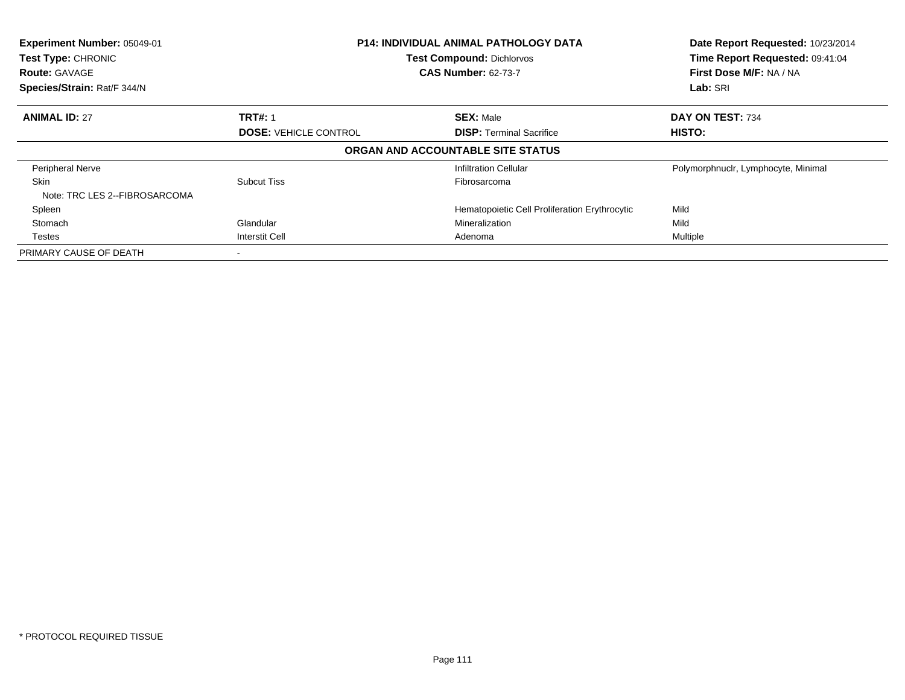| Experiment Number: 05049-01<br>Test Type: CHRONIC<br><b>Route: GAVAGE</b><br>Species/Strain: Rat/F 344/N |                              | <b>P14: INDIVIDUAL ANIMAL PATHOLOGY DATA</b><br><b>Test Compound: Dichlorvos</b><br><b>CAS Number: 62-73-7</b> | Date Report Requested: 10/23/2014<br>Time Report Requested: 09:41:04<br>First Dose M/F: NA / NA<br>Lab: SRI |
|----------------------------------------------------------------------------------------------------------|------------------------------|----------------------------------------------------------------------------------------------------------------|-------------------------------------------------------------------------------------------------------------|
|                                                                                                          |                              |                                                                                                                |                                                                                                             |
| <b>ANIMAL ID: 27</b>                                                                                     | <b>TRT#: 1</b>               | <b>SEX: Male</b>                                                                                               | DAY ON TEST: 734                                                                                            |
|                                                                                                          | <b>DOSE: VEHICLE CONTROL</b> | <b>DISP:</b> Terminal Sacrifice                                                                                | HISTO:                                                                                                      |
|                                                                                                          |                              | ORGAN AND ACCOUNTABLE SITE STATUS                                                                              |                                                                                                             |
| Peripheral Nerve                                                                                         |                              | <b>Infiltration Cellular</b>                                                                                   | Polymorphnuclr, Lymphocyte, Minimal                                                                         |
| <b>Skin</b>                                                                                              | Subcut Tiss                  | Fibrosarcoma                                                                                                   |                                                                                                             |
| Note: TRC LES 2--FIBROSARCOMA                                                                            |                              |                                                                                                                |                                                                                                             |
| Spleen                                                                                                   |                              | Hematopoietic Cell Proliferation Erythrocytic                                                                  | Mild                                                                                                        |
| Stomach                                                                                                  | Glandular                    | Mineralization                                                                                                 | Mild                                                                                                        |
| Testes                                                                                                   | Interstit Cell               | Adenoma                                                                                                        | Multiple                                                                                                    |
| PRIMARY CAUSE OF DEATH                                                                                   |                              |                                                                                                                |                                                                                                             |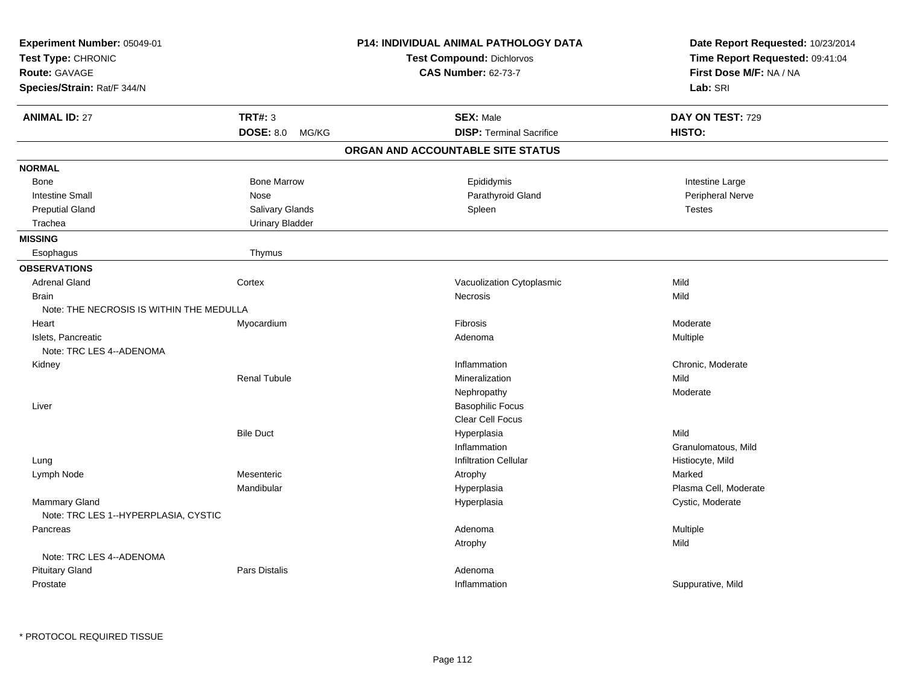| Experiment Number: 05049-01<br>Test Type: CHRONIC<br>Route: GAVAGE |                        | P14: INDIVIDUAL ANIMAL PATHOLOGY DATA<br>Test Compound: Dichlorvos<br><b>CAS Number: 62-73-7</b> | Date Report Requested: 10/23/2014<br>Time Report Requested: 09:41:04<br>First Dose M/F: NA / NA |
|--------------------------------------------------------------------|------------------------|--------------------------------------------------------------------------------------------------|-------------------------------------------------------------------------------------------------|
| Species/Strain: Rat/F 344/N                                        |                        |                                                                                                  | Lab: SRI                                                                                        |
| <b>ANIMAL ID: 27</b>                                               | <b>TRT#: 3</b>         | <b>SEX: Male</b>                                                                                 | DAY ON TEST: 729                                                                                |
|                                                                    | DOSE: 8.0 MG/KG        | <b>DISP: Terminal Sacrifice</b>                                                                  | HISTO:                                                                                          |
|                                                                    |                        | ORGAN AND ACCOUNTABLE SITE STATUS                                                                |                                                                                                 |
| <b>NORMAL</b>                                                      |                        |                                                                                                  |                                                                                                 |
| Bone                                                               | <b>Bone Marrow</b>     | Epididymis                                                                                       | Intestine Large                                                                                 |
| <b>Intestine Small</b>                                             | Nose                   | Parathyroid Gland                                                                                | Peripheral Nerve                                                                                |
| <b>Preputial Gland</b>                                             | Salivary Glands        | Spleen                                                                                           | <b>Testes</b>                                                                                   |
| Trachea                                                            | <b>Urinary Bladder</b> |                                                                                                  |                                                                                                 |
| <b>MISSING</b>                                                     |                        |                                                                                                  |                                                                                                 |
| Esophagus                                                          | Thymus                 |                                                                                                  |                                                                                                 |
| <b>OBSERVATIONS</b>                                                |                        |                                                                                                  |                                                                                                 |
| <b>Adrenal Gland</b>                                               | Cortex                 | Vacuolization Cytoplasmic                                                                        | Mild                                                                                            |
| <b>Brain</b>                                                       |                        | Necrosis                                                                                         | Mild                                                                                            |
| Note: THE NECROSIS IS WITHIN THE MEDULLA                           |                        |                                                                                                  |                                                                                                 |
| Heart                                                              | Myocardium             | Fibrosis                                                                                         | Moderate                                                                                        |
| Islets, Pancreatic                                                 |                        | Adenoma                                                                                          | Multiple                                                                                        |
| Note: TRC LES 4--ADENOMA                                           |                        |                                                                                                  |                                                                                                 |
| Kidney                                                             |                        | Inflammation                                                                                     | Chronic, Moderate                                                                               |
|                                                                    | <b>Renal Tubule</b>    | Mineralization                                                                                   | Mild                                                                                            |
|                                                                    |                        | Nephropathy                                                                                      | Moderate                                                                                        |
| Liver                                                              |                        | <b>Basophilic Focus</b>                                                                          |                                                                                                 |
|                                                                    |                        | Clear Cell Focus                                                                                 |                                                                                                 |
|                                                                    | <b>Bile Duct</b>       | Hyperplasia                                                                                      | Mild                                                                                            |
|                                                                    |                        | Inflammation                                                                                     | Granulomatous, Mild                                                                             |
| Lung                                                               |                        | <b>Infiltration Cellular</b>                                                                     | Histiocyte, Mild                                                                                |
| Lymph Node                                                         | Mesenteric             | Atrophy                                                                                          | Marked                                                                                          |
|                                                                    | Mandibular             | Hyperplasia                                                                                      | Plasma Cell, Moderate                                                                           |
| Mammary Gland<br>Note: TRC LES 1--HYPERPLASIA, CYSTIC              |                        | Hyperplasia                                                                                      | Cystic, Moderate                                                                                |
| Pancreas                                                           |                        | Adenoma                                                                                          | Multiple                                                                                        |
|                                                                    |                        | Atrophy                                                                                          | Mild                                                                                            |
| Note: TRC LES 4--ADENOMA                                           |                        |                                                                                                  |                                                                                                 |
| <b>Pituitary Gland</b>                                             | <b>Pars Distalis</b>   | Adenoma                                                                                          |                                                                                                 |
| Prostate                                                           |                        | Inflammation                                                                                     | Suppurative, Mild                                                                               |
|                                                                    |                        |                                                                                                  |                                                                                                 |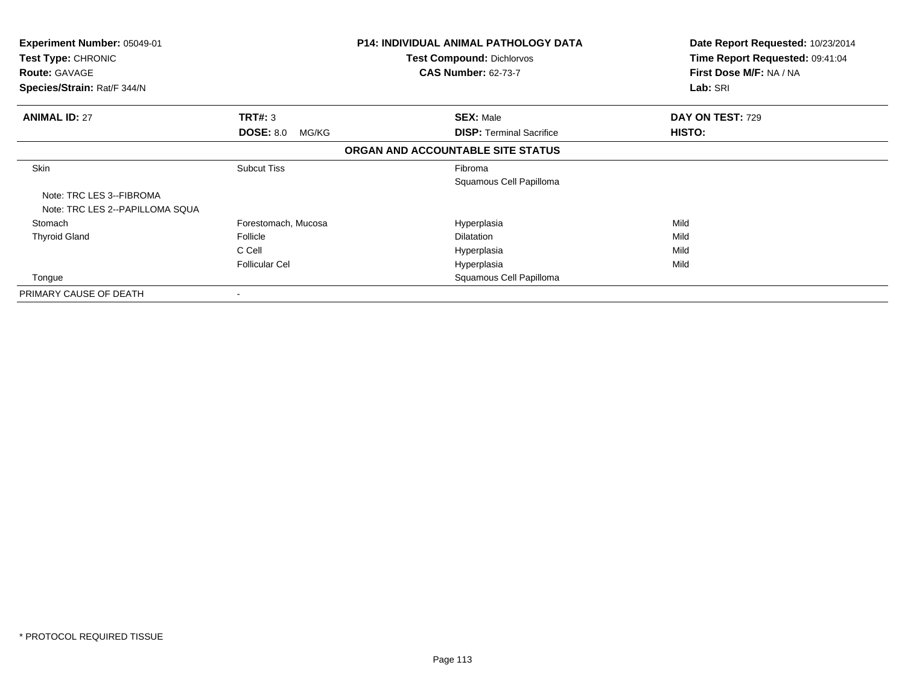| <b>Experiment Number: 05049-01</b><br>Test Type: CHRONIC<br><b>Route: GAVAGE</b><br>Species/Strain: Rat/F 344/N |                           | <b>P14: INDIVIDUAL ANIMAL PATHOLOGY DATA</b><br><b>Test Compound: Dichlorvos</b><br><b>CAS Number: 62-73-7</b> | Date Report Requested: 10/23/2014<br>Time Report Requested: 09:41:04<br>First Dose M/F: NA / NA<br>Lab: SRI |
|-----------------------------------------------------------------------------------------------------------------|---------------------------|----------------------------------------------------------------------------------------------------------------|-------------------------------------------------------------------------------------------------------------|
|                                                                                                                 |                           |                                                                                                                |                                                                                                             |
| <b>ANIMAL ID: 27</b>                                                                                            | <b>TRT#: 3</b>            | <b>SEX: Male</b>                                                                                               | DAY ON TEST: 729                                                                                            |
|                                                                                                                 | <b>DOSE: 8.0</b><br>MG/KG | <b>DISP:</b> Terminal Sacrifice                                                                                | HISTO:                                                                                                      |
|                                                                                                                 |                           | ORGAN AND ACCOUNTABLE SITE STATUS                                                                              |                                                                                                             |
| <b>Skin</b>                                                                                                     | <b>Subcut Tiss</b>        | Fibroma                                                                                                        |                                                                                                             |
|                                                                                                                 |                           | Squamous Cell Papilloma                                                                                        |                                                                                                             |
| Note: TRC LES 3--FIBROMA<br>Note: TRC LES 2--PAPILLOMA SQUA                                                     |                           |                                                                                                                |                                                                                                             |
| Stomach                                                                                                         | Forestomach, Mucosa       | Hyperplasia                                                                                                    | Mild                                                                                                        |
| <b>Thyroid Gland</b>                                                                                            | Follicle                  | <b>Dilatation</b>                                                                                              | Mild                                                                                                        |
|                                                                                                                 | C Cell                    | Hyperplasia                                                                                                    | Mild                                                                                                        |
|                                                                                                                 | <b>Follicular Cel</b>     | Hyperplasia                                                                                                    | Mild                                                                                                        |
| Tongue                                                                                                          |                           | Squamous Cell Papilloma                                                                                        |                                                                                                             |
| PRIMARY CAUSE OF DEATH                                                                                          |                           |                                                                                                                |                                                                                                             |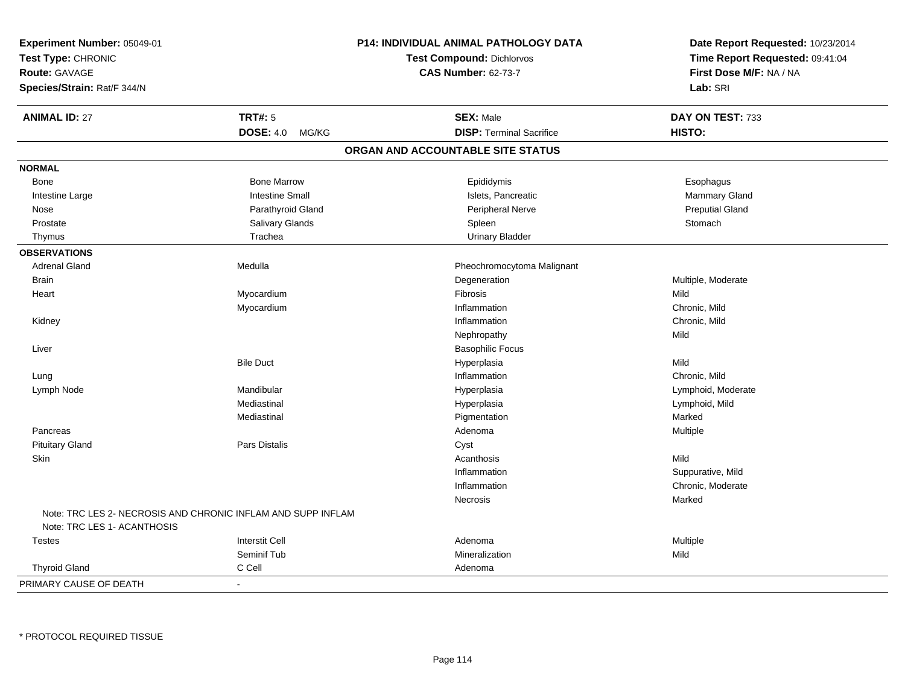| Experiment Number: 05049-01<br>Test Type: CHRONIC<br><b>Route: GAVAGE</b><br>Species/Strain: Rat/F 344/N |                           | <b>P14: INDIVIDUAL ANIMAL PATHOLOGY DATA</b><br><b>Test Compound: Dichlorvos</b><br><b>CAS Number: 62-73-7</b> | Date Report Requested: 10/23/2014<br>Time Report Requested: 09:41:04<br>First Dose M/F: NA / NA<br>Lab: SRI |
|----------------------------------------------------------------------------------------------------------|---------------------------|----------------------------------------------------------------------------------------------------------------|-------------------------------------------------------------------------------------------------------------|
| <b>ANIMAL ID: 27</b>                                                                                     | <b>TRT#: 5</b>            | <b>SEX: Male</b>                                                                                               | DAY ON TEST: 733                                                                                            |
|                                                                                                          | <b>DOSE: 4.0</b><br>MG/KG | <b>DISP: Terminal Sacrifice</b>                                                                                | HISTO:                                                                                                      |
|                                                                                                          |                           | ORGAN AND ACCOUNTABLE SITE STATUS                                                                              |                                                                                                             |
| <b>NORMAL</b>                                                                                            |                           |                                                                                                                |                                                                                                             |
| Bone                                                                                                     | <b>Bone Marrow</b>        | Epididymis                                                                                                     | Esophagus                                                                                                   |
| Intestine Large                                                                                          | <b>Intestine Small</b>    | Islets, Pancreatic                                                                                             | Mammary Gland                                                                                               |
| Nose                                                                                                     | Parathyroid Gland         | Peripheral Nerve                                                                                               | <b>Preputial Gland</b>                                                                                      |
| Prostate                                                                                                 | Salivary Glands           | Spleen                                                                                                         | Stomach                                                                                                     |
| Thymus                                                                                                   | Trachea                   | <b>Urinary Bladder</b>                                                                                         |                                                                                                             |
| <b>OBSERVATIONS</b>                                                                                      |                           |                                                                                                                |                                                                                                             |
| <b>Adrenal Gland</b>                                                                                     | Medulla                   | Pheochromocytoma Malignant                                                                                     |                                                                                                             |
| <b>Brain</b>                                                                                             |                           | Degeneration                                                                                                   | Multiple, Moderate                                                                                          |
| Heart                                                                                                    | Myocardium                | Fibrosis                                                                                                       | Mild                                                                                                        |
|                                                                                                          | Myocardium                | Inflammation                                                                                                   | Chronic, Mild                                                                                               |
| Kidney                                                                                                   |                           | Inflammation                                                                                                   | Chronic, Mild                                                                                               |
|                                                                                                          |                           | Nephropathy                                                                                                    | Mild                                                                                                        |
| Liver                                                                                                    |                           | <b>Basophilic Focus</b>                                                                                        |                                                                                                             |
|                                                                                                          | <b>Bile Duct</b>          | Hyperplasia                                                                                                    | Mild                                                                                                        |
| Lung                                                                                                     |                           | Inflammation                                                                                                   | Chronic, Mild                                                                                               |
| Lymph Node                                                                                               | Mandibular                | Hyperplasia                                                                                                    | Lymphoid, Moderate                                                                                          |
|                                                                                                          | Mediastinal               | Hyperplasia                                                                                                    | Lymphoid, Mild                                                                                              |
|                                                                                                          | Mediastinal               | Pigmentation                                                                                                   | Marked                                                                                                      |
| Pancreas                                                                                                 |                           | Adenoma                                                                                                        | Multiple                                                                                                    |
| <b>Pituitary Gland</b>                                                                                   | Pars Distalis             | Cyst                                                                                                           |                                                                                                             |
| Skin                                                                                                     |                           | Acanthosis                                                                                                     | Mild                                                                                                        |
|                                                                                                          |                           | Inflammation                                                                                                   | Suppurative, Mild                                                                                           |
|                                                                                                          |                           | Inflammation                                                                                                   | Chronic, Moderate                                                                                           |
|                                                                                                          |                           | Necrosis                                                                                                       | Marked                                                                                                      |
| Note: TRC LES 2- NECROSIS AND CHRONIC INFLAM AND SUPP INFLAM<br>Note: TRC LES 1- ACANTHOSIS              |                           |                                                                                                                |                                                                                                             |
| <b>Testes</b>                                                                                            | <b>Interstit Cell</b>     | Adenoma                                                                                                        | Multiple                                                                                                    |
|                                                                                                          | Seminif Tub               | Mineralization                                                                                                 | Mild                                                                                                        |
| <b>Thyroid Gland</b>                                                                                     | C Cell                    | Adenoma                                                                                                        |                                                                                                             |
| PRIMARY CAUSE OF DEATH                                                                                   | $\blacksquare$            |                                                                                                                |                                                                                                             |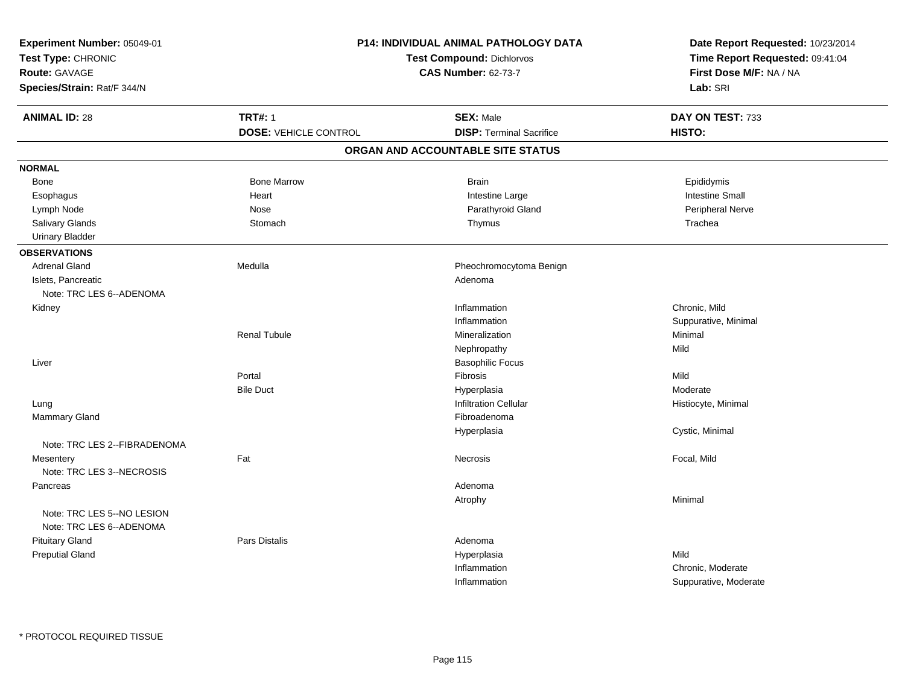| Experiment Number: 05049-01<br>Test Type: CHRONIC<br>Route: GAVAGE<br>Species/Strain: Rat/F 344/N |                              | P14: INDIVIDUAL ANIMAL PATHOLOGY DATA<br>Test Compound: Dichlorvos<br><b>CAS Number: 62-73-7</b> | Date Report Requested: 10/23/2014<br>Time Report Requested: 09:41:04<br>First Dose M/F: NA / NA<br>Lab: SRI |
|---------------------------------------------------------------------------------------------------|------------------------------|--------------------------------------------------------------------------------------------------|-------------------------------------------------------------------------------------------------------------|
| <b>ANIMAL ID: 28</b>                                                                              | <b>TRT#: 1</b>               | <b>SEX: Male</b>                                                                                 | DAY ON TEST: 733                                                                                            |
|                                                                                                   | <b>DOSE: VEHICLE CONTROL</b> | <b>DISP: Terminal Sacrifice</b>                                                                  | HISTO:                                                                                                      |
|                                                                                                   |                              | ORGAN AND ACCOUNTABLE SITE STATUS                                                                |                                                                                                             |
| <b>NORMAL</b>                                                                                     |                              |                                                                                                  |                                                                                                             |
| Bone                                                                                              | <b>Bone Marrow</b>           | <b>Brain</b>                                                                                     | Epididymis                                                                                                  |
| Esophagus                                                                                         | Heart                        | Intestine Large                                                                                  | Intestine Small                                                                                             |
| Lymph Node                                                                                        | Nose                         | Parathyroid Gland                                                                                | Peripheral Nerve                                                                                            |
| Salivary Glands                                                                                   | Stomach                      | Thymus                                                                                           | Trachea                                                                                                     |
| <b>Urinary Bladder</b>                                                                            |                              |                                                                                                  |                                                                                                             |
| <b>OBSERVATIONS</b>                                                                               |                              |                                                                                                  |                                                                                                             |
| <b>Adrenal Gland</b>                                                                              | Medulla                      | Pheochromocytoma Benign                                                                          |                                                                                                             |
| Islets, Pancreatic                                                                                |                              | Adenoma                                                                                          |                                                                                                             |
| Note: TRC LES 6--ADENOMA                                                                          |                              |                                                                                                  |                                                                                                             |
| Kidney                                                                                            |                              | Inflammation                                                                                     | Chronic, Mild                                                                                               |
|                                                                                                   |                              | Inflammation                                                                                     | Suppurative, Minimal                                                                                        |
|                                                                                                   | <b>Renal Tubule</b>          | Mineralization                                                                                   | Minimal                                                                                                     |
|                                                                                                   |                              | Nephropathy                                                                                      | Mild                                                                                                        |
| Liver                                                                                             |                              | <b>Basophilic Focus</b>                                                                          |                                                                                                             |
|                                                                                                   | Portal                       | Fibrosis                                                                                         | Mild                                                                                                        |
|                                                                                                   | <b>Bile Duct</b>             | Hyperplasia                                                                                      | Moderate                                                                                                    |
| Lung                                                                                              |                              | <b>Infiltration Cellular</b>                                                                     | Histiocyte, Minimal                                                                                         |
| Mammary Gland                                                                                     |                              | Fibroadenoma                                                                                     |                                                                                                             |
|                                                                                                   |                              | Hyperplasia                                                                                      | Cystic, Minimal                                                                                             |
| Note: TRC LES 2--FIBRADENOMA                                                                      |                              |                                                                                                  |                                                                                                             |
| Mesentery                                                                                         | Fat                          | Necrosis                                                                                         | Focal, Mild                                                                                                 |
| Note: TRC LES 3--NECROSIS                                                                         |                              |                                                                                                  |                                                                                                             |
| Pancreas                                                                                          |                              | Adenoma                                                                                          |                                                                                                             |
|                                                                                                   |                              | Atrophy                                                                                          | Minimal                                                                                                     |
| Note: TRC LES 5--NO LESION                                                                        |                              |                                                                                                  |                                                                                                             |
| Note: TRC LES 6--ADENOMA                                                                          |                              |                                                                                                  |                                                                                                             |
| <b>Pituitary Gland</b>                                                                            | Pars Distalis                | Adenoma                                                                                          |                                                                                                             |
| <b>Preputial Gland</b>                                                                            |                              | Hyperplasia                                                                                      | Mild                                                                                                        |
|                                                                                                   |                              | Inflammation                                                                                     | Chronic, Moderate                                                                                           |
|                                                                                                   |                              | Inflammation                                                                                     | Suppurative, Moderate                                                                                       |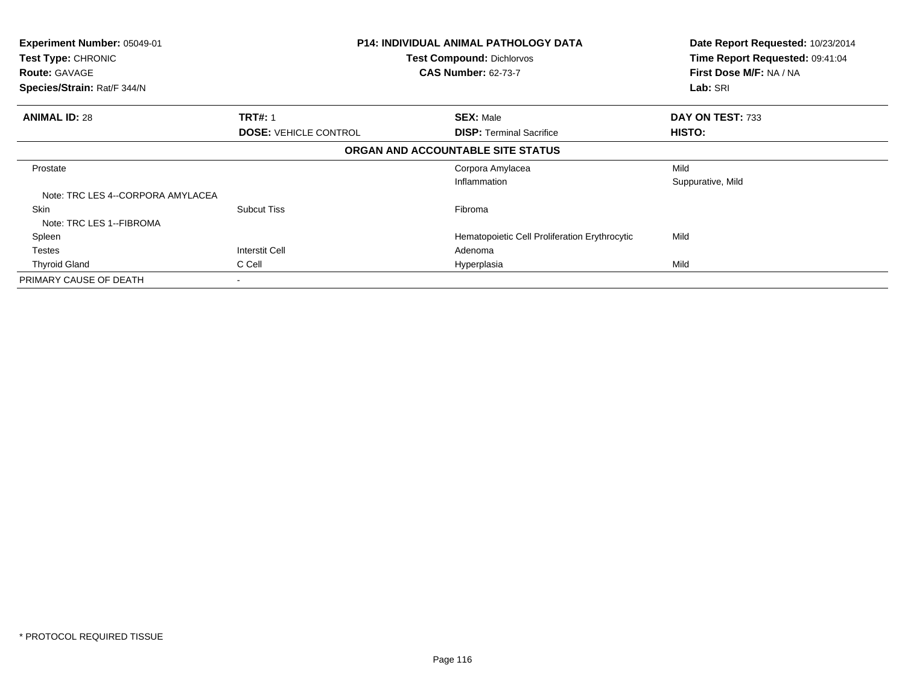| Experiment Number: 05049-01       |                              | <b>P14: INDIVIDUAL ANIMAL PATHOLOGY DATA</b>  | Date Report Requested: 10/23/2014 |
|-----------------------------------|------------------------------|-----------------------------------------------|-----------------------------------|
| Test Type: CHRONIC                |                              | <b>Test Compound: Dichlorvos</b>              | Time Report Requested: 09:41:04   |
| <b>Route: GAVAGE</b>              |                              | <b>CAS Number: 62-73-7</b>                    | First Dose M/F: NA / NA           |
| Species/Strain: Rat/F 344/N       |                              |                                               | Lab: SRI                          |
| <b>ANIMAL ID: 28</b>              | <b>TRT#: 1</b>               | <b>SEX: Male</b>                              | DAY ON TEST: 733                  |
|                                   | <b>DOSE: VEHICLE CONTROL</b> | <b>DISP: Terminal Sacrifice</b>               | HISTO:                            |
|                                   |                              | ORGAN AND ACCOUNTABLE SITE STATUS             |                                   |
| Prostate                          |                              | Corpora Amylacea                              | Mild                              |
|                                   |                              | Inflammation                                  | Suppurative, Mild                 |
| Note: TRC LES 4--CORPORA AMYLACEA |                              |                                               |                                   |
| Skin                              | <b>Subcut Tiss</b>           | Fibroma                                       |                                   |
| Note: TRC LES 1--FIBROMA          |                              |                                               |                                   |
| Spleen                            |                              | Hematopoietic Cell Proliferation Erythrocytic | Mild                              |
| <b>Testes</b>                     | <b>Interstit Cell</b>        | Adenoma                                       |                                   |
| <b>Thyroid Gland</b>              | C Cell                       | Hyperplasia                                   | Mild                              |
| PRIMARY CAUSE OF DEATH            |                              |                                               |                                   |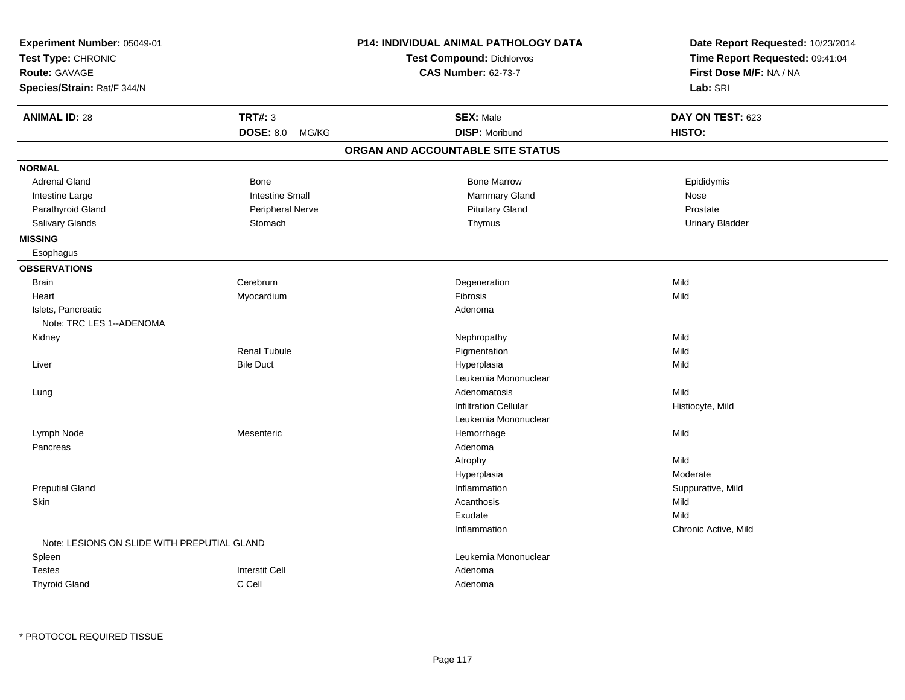| Experiment Number: 05049-01<br>Test Type: CHRONIC<br><b>Route: GAVAGE</b><br>Species/Strain: Rat/F 344/N |                                             | P14: INDIVIDUAL ANIMAL PATHOLOGY DATA<br><b>Test Compound: Dichlorvos</b><br><b>CAS Number: 62-73-7</b> | Date Report Requested: 10/23/2014<br>Time Report Requested: 09:41:04<br>First Dose M/F: NA / NA<br>Lab: SRI |
|----------------------------------------------------------------------------------------------------------|---------------------------------------------|---------------------------------------------------------------------------------------------------------|-------------------------------------------------------------------------------------------------------------|
| <b>ANIMAL ID: 28</b>                                                                                     | <b>TRT#: 3</b><br><b>DOSE: 8.0</b><br>MG/KG | <b>SEX: Male</b><br><b>DISP: Moribund</b>                                                               | DAY ON TEST: 623<br>HISTO:                                                                                  |
|                                                                                                          |                                             | ORGAN AND ACCOUNTABLE SITE STATUS                                                                       |                                                                                                             |
| <b>NORMAL</b>                                                                                            |                                             |                                                                                                         |                                                                                                             |
| <b>Adrenal Gland</b>                                                                                     | Bone                                        | <b>Bone Marrow</b>                                                                                      | Epididymis                                                                                                  |
| Intestine Large                                                                                          | <b>Intestine Small</b>                      | Mammary Gland                                                                                           | Nose                                                                                                        |
| Parathyroid Gland                                                                                        | Peripheral Nerve                            | <b>Pituitary Gland</b>                                                                                  | Prostate                                                                                                    |
| Salivary Glands                                                                                          | Stomach                                     | Thymus                                                                                                  | <b>Urinary Bladder</b>                                                                                      |
| <b>MISSING</b>                                                                                           |                                             |                                                                                                         |                                                                                                             |
| Esophagus                                                                                                |                                             |                                                                                                         |                                                                                                             |
| <b>OBSERVATIONS</b>                                                                                      |                                             |                                                                                                         |                                                                                                             |
| <b>Brain</b>                                                                                             | Cerebrum                                    | Degeneration                                                                                            | Mild                                                                                                        |
| Heart                                                                                                    | Myocardium                                  | Fibrosis                                                                                                | Mild                                                                                                        |
| Islets, Pancreatic                                                                                       |                                             | Adenoma                                                                                                 |                                                                                                             |
| Note: TRC LES 1--ADENOMA                                                                                 |                                             |                                                                                                         |                                                                                                             |
| Kidney                                                                                                   |                                             | Nephropathy                                                                                             | Mild                                                                                                        |
|                                                                                                          | <b>Renal Tubule</b>                         | Pigmentation                                                                                            | Mild                                                                                                        |
| Liver                                                                                                    | <b>Bile Duct</b>                            | Hyperplasia                                                                                             | Mild                                                                                                        |
|                                                                                                          |                                             | Leukemia Mononuclear                                                                                    |                                                                                                             |
| Lung                                                                                                     |                                             | Adenomatosis                                                                                            | Mild                                                                                                        |
|                                                                                                          |                                             | <b>Infiltration Cellular</b>                                                                            | Histiocyte, Mild                                                                                            |
|                                                                                                          |                                             | Leukemia Mononuclear                                                                                    |                                                                                                             |
| Lymph Node                                                                                               | Mesenteric                                  | Hemorrhage                                                                                              | Mild                                                                                                        |
| Pancreas                                                                                                 |                                             | Adenoma                                                                                                 |                                                                                                             |
|                                                                                                          |                                             | Atrophy                                                                                                 | Mild                                                                                                        |
|                                                                                                          |                                             | Hyperplasia                                                                                             | Moderate                                                                                                    |
| <b>Preputial Gland</b>                                                                                   |                                             | Inflammation                                                                                            | Suppurative, Mild                                                                                           |
| Skin                                                                                                     |                                             | Acanthosis                                                                                              | Mild                                                                                                        |
|                                                                                                          |                                             | Exudate                                                                                                 | Mild                                                                                                        |
|                                                                                                          |                                             | Inflammation                                                                                            | Chronic Active, Mild                                                                                        |
| Note: LESIONS ON SLIDE WITH PREPUTIAL GLAND                                                              |                                             |                                                                                                         |                                                                                                             |
| Spleen                                                                                                   |                                             | Leukemia Mononuclear                                                                                    |                                                                                                             |
| <b>Testes</b>                                                                                            | <b>Interstit Cell</b>                       | Adenoma                                                                                                 |                                                                                                             |
| <b>Thyroid Gland</b>                                                                                     | C Cell                                      | Adenoma                                                                                                 |                                                                                                             |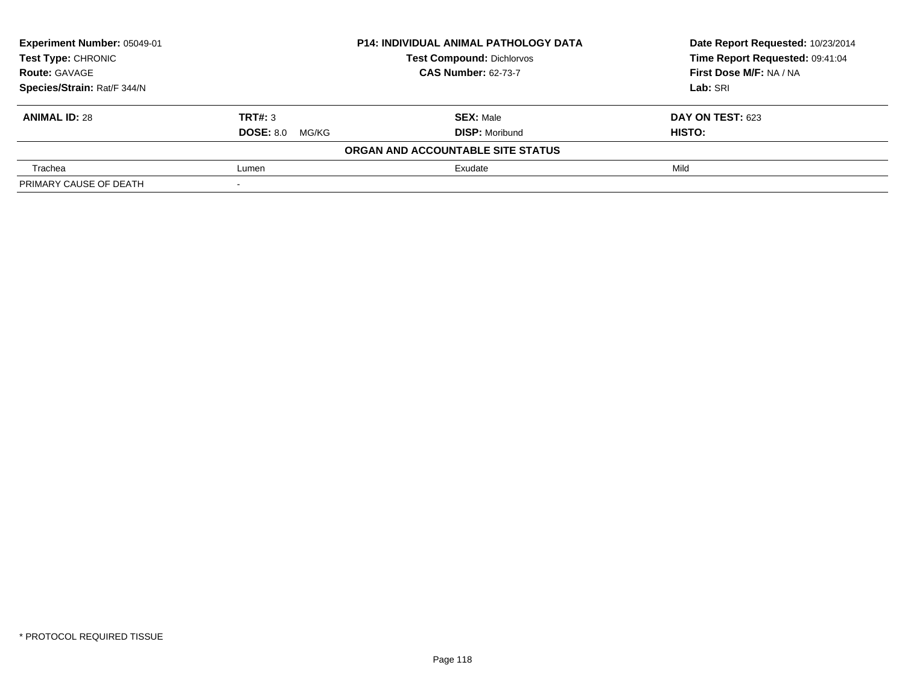| Experiment Number: 05049-01 | <b>P14: INDIVIDUAL ANIMAL PATHOLOGY DATA</b> |                                   | Date Report Requested: 10/23/2014 |  |
|-----------------------------|----------------------------------------------|-----------------------------------|-----------------------------------|--|
| Test Type: CHRONIC          |                                              | <b>Test Compound: Dichlorvos</b>  | Time Report Requested: 09:41:04   |  |
| <b>Route: GAVAGE</b>        | <b>CAS Number: 62-73-7</b>                   |                                   | First Dose M/F: NA / NA           |  |
| Species/Strain: Rat/F 344/N |                                              |                                   | Lab: SRI                          |  |
| <b>ANIMAL ID: 28</b>        | TRT#: 3                                      | <b>SEX: Male</b>                  | DAY ON TEST: 623                  |  |
|                             | <b>DOSE: 8.0 MG/KG</b>                       | <b>DISP:</b> Moribund             | HISTO:                            |  |
|                             |                                              | ORGAN AND ACCOUNTABLE SITE STATUS |                                   |  |
| Trachea                     | Lumen                                        | Exudate                           | Mild                              |  |
| PRIMARY CAUSE OF DEATH      |                                              |                                   |                                   |  |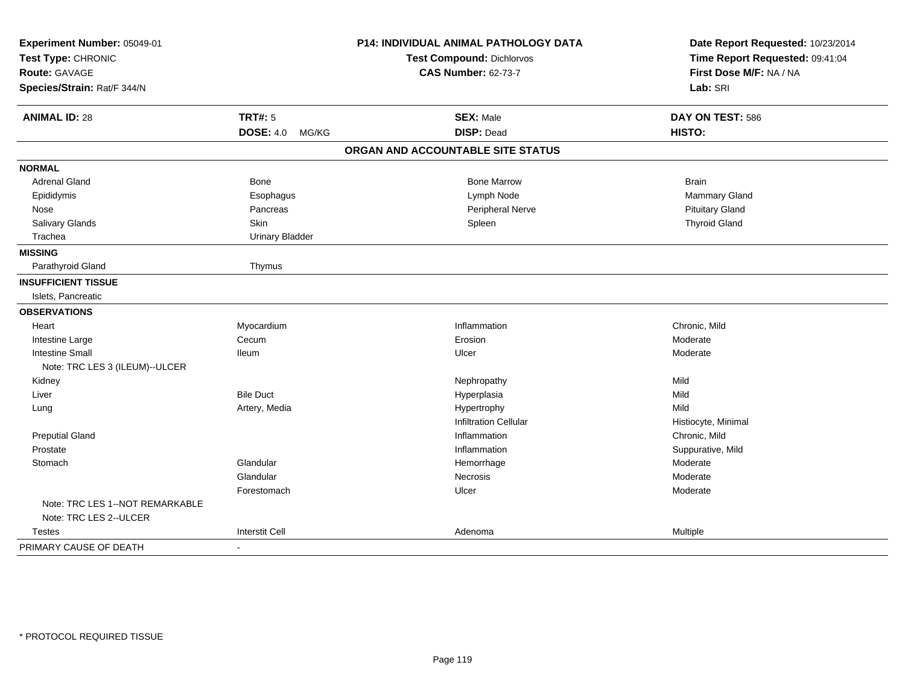| Experiment Number: 05049-01     |                           | P14: INDIVIDUAL ANIMAL PATHOLOGY DATA | Date Report Requested: 10/23/2014 |  |
|---------------------------------|---------------------------|---------------------------------------|-----------------------------------|--|
| Test Type: CHRONIC              |                           | Test Compound: Dichlorvos             | Time Report Requested: 09:41:04   |  |
| Route: GAVAGE                   |                           | <b>CAS Number: 62-73-7</b>            | First Dose M/F: NA / NA           |  |
| Species/Strain: Rat/F 344/N     |                           |                                       | Lab: SRI                          |  |
| <b>ANIMAL ID: 28</b>            | <b>TRT#: 5</b>            | <b>SEX: Male</b>                      | DAY ON TEST: 586                  |  |
|                                 | <b>DOSE: 4.0</b><br>MG/KG | <b>DISP: Dead</b>                     | HISTO:                            |  |
|                                 |                           | ORGAN AND ACCOUNTABLE SITE STATUS     |                                   |  |
| <b>NORMAL</b>                   |                           |                                       |                                   |  |
| Adrenal Gland                   | <b>Bone</b>               | <b>Bone Marrow</b>                    | <b>Brain</b>                      |  |
| Epididymis                      | Esophagus                 | Lymph Node                            | <b>Mammary Gland</b>              |  |
| Nose                            | Pancreas                  | Peripheral Nerve                      | <b>Pituitary Gland</b>            |  |
| Salivary Glands                 | <b>Skin</b>               | Spleen                                | <b>Thyroid Gland</b>              |  |
| Trachea                         | <b>Urinary Bladder</b>    |                                       |                                   |  |
| <b>MISSING</b>                  |                           |                                       |                                   |  |
| Parathyroid Gland               | Thymus                    |                                       |                                   |  |
| <b>INSUFFICIENT TISSUE</b>      |                           |                                       |                                   |  |
| Islets, Pancreatic              |                           |                                       |                                   |  |
| <b>OBSERVATIONS</b>             |                           |                                       |                                   |  |
| Heart                           | Myocardium                | Inflammation                          | Chronic, Mild                     |  |
| Intestine Large                 | Cecum                     | Erosion                               | Moderate                          |  |
| <b>Intestine Small</b>          | <b>Ileum</b>              | Ulcer                                 | Moderate                          |  |
| Note: TRC LES 3 (ILEUM)--ULCER  |                           |                                       |                                   |  |
| Kidney                          |                           | Nephropathy                           | Mild                              |  |
| Liver                           | <b>Bile Duct</b>          | Hyperplasia                           | Mild                              |  |
| Lung                            | Artery, Media             | Hypertrophy                           | Mild                              |  |
|                                 |                           | <b>Infiltration Cellular</b>          | Histiocyte, Minimal               |  |
| <b>Preputial Gland</b>          |                           | Inflammation                          | Chronic, Mild                     |  |
| Prostate                        |                           | Inflammation                          | Suppurative, Mild                 |  |
| Stomach                         | Glandular                 | Hemorrhage                            | Moderate                          |  |
|                                 | Glandular                 | <b>Necrosis</b>                       | Moderate                          |  |
|                                 | Forestomach               | Ulcer                                 | Moderate                          |  |
| Note: TRC LES 1--NOT REMARKABLE |                           |                                       |                                   |  |
| Note: TRC LES 2--ULCER          |                           |                                       |                                   |  |
| <b>Testes</b>                   | <b>Interstit Cell</b>     | Adenoma                               | Multiple                          |  |
| PRIMARY CAUSE OF DEATH          | $\sim$                    |                                       |                                   |  |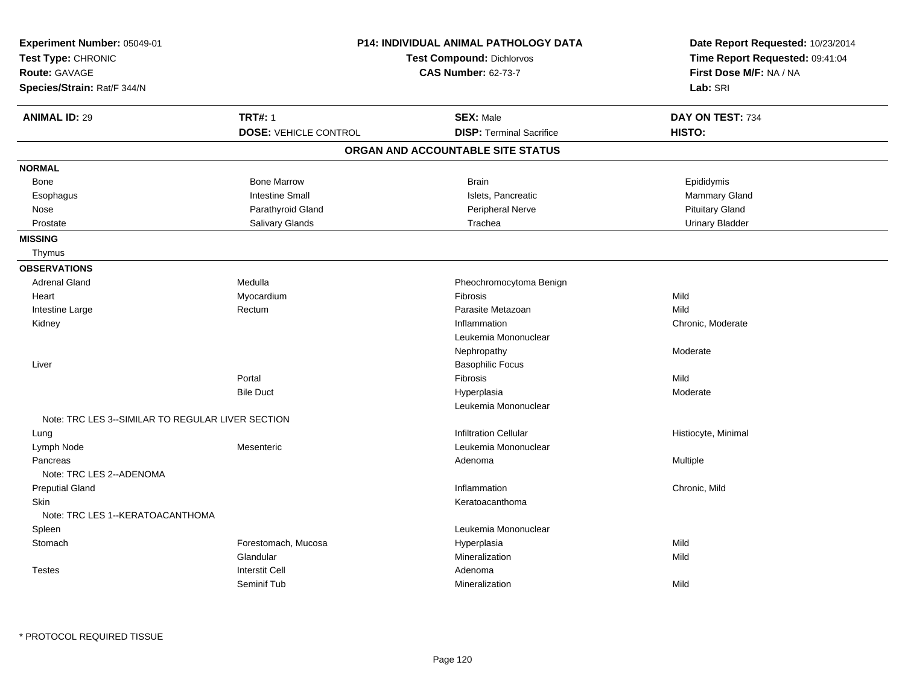| Experiment Number: 05049-01<br>Test Type: CHRONIC<br><b>Route: GAVAGE</b><br>Species/Strain: Rat/F 344/N |                              | P14: INDIVIDUAL ANIMAL PATHOLOGY DATA<br><b>Test Compound: Dichlorvos</b><br><b>CAS Number: 62-73-7</b> | Date Report Requested: 10/23/2014<br>Time Report Requested: 09:41:04<br>First Dose M/F: NA / NA<br>Lab: SRI |
|----------------------------------------------------------------------------------------------------------|------------------------------|---------------------------------------------------------------------------------------------------------|-------------------------------------------------------------------------------------------------------------|
| <b>ANIMAL ID: 29</b>                                                                                     | <b>TRT#: 1</b>               | <b>SEX: Male</b>                                                                                        | DAY ON TEST: 734                                                                                            |
|                                                                                                          | <b>DOSE: VEHICLE CONTROL</b> | <b>DISP: Terminal Sacrifice</b>                                                                         | HISTO:                                                                                                      |
|                                                                                                          |                              | ORGAN AND ACCOUNTABLE SITE STATUS                                                                       |                                                                                                             |
| <b>NORMAL</b>                                                                                            |                              |                                                                                                         |                                                                                                             |
| Bone                                                                                                     | <b>Bone Marrow</b>           | <b>Brain</b>                                                                                            | Epididymis                                                                                                  |
| Esophagus                                                                                                | <b>Intestine Small</b>       | Islets, Pancreatic                                                                                      | Mammary Gland                                                                                               |
| Nose                                                                                                     | Parathyroid Gland            | Peripheral Nerve                                                                                        | <b>Pituitary Gland</b>                                                                                      |
| Prostate                                                                                                 | Salivary Glands              | Trachea                                                                                                 | <b>Urinary Bladder</b>                                                                                      |
| <b>MISSING</b>                                                                                           |                              |                                                                                                         |                                                                                                             |
| Thymus                                                                                                   |                              |                                                                                                         |                                                                                                             |
| <b>OBSERVATIONS</b>                                                                                      |                              |                                                                                                         |                                                                                                             |
| <b>Adrenal Gland</b>                                                                                     | Medulla                      | Pheochromocytoma Benign                                                                                 |                                                                                                             |
| Heart                                                                                                    | Myocardium                   | Fibrosis                                                                                                | Mild                                                                                                        |
| Intestine Large                                                                                          | Rectum                       | Parasite Metazoan                                                                                       | Mild                                                                                                        |
| Kidney                                                                                                   |                              | Inflammation                                                                                            | Chronic, Moderate                                                                                           |
|                                                                                                          |                              | Leukemia Mononuclear                                                                                    |                                                                                                             |
|                                                                                                          |                              | Nephropathy                                                                                             | Moderate                                                                                                    |
| Liver                                                                                                    |                              | <b>Basophilic Focus</b>                                                                                 |                                                                                                             |
|                                                                                                          | Portal                       | Fibrosis                                                                                                | Mild                                                                                                        |
|                                                                                                          | <b>Bile Duct</b>             | Hyperplasia                                                                                             | Moderate                                                                                                    |
|                                                                                                          |                              | Leukemia Mononuclear                                                                                    |                                                                                                             |
| Note: TRC LES 3--SIMILAR TO REGULAR LIVER SECTION                                                        |                              |                                                                                                         |                                                                                                             |
| Lung                                                                                                     |                              | <b>Infiltration Cellular</b>                                                                            | Histiocyte, Minimal                                                                                         |
| Lymph Node                                                                                               | Mesenteric                   | Leukemia Mononuclear                                                                                    |                                                                                                             |
| Pancreas                                                                                                 |                              | Adenoma                                                                                                 | Multiple                                                                                                    |
| Note: TRC LES 2--ADENOMA                                                                                 |                              |                                                                                                         |                                                                                                             |
| <b>Preputial Gland</b>                                                                                   |                              | Inflammation                                                                                            | Chronic, Mild                                                                                               |
| <b>Skin</b>                                                                                              |                              | Keratoacanthoma                                                                                         |                                                                                                             |
| Note: TRC LES 1--KERATOACANTHOMA                                                                         |                              |                                                                                                         |                                                                                                             |
| Spleen                                                                                                   |                              | Leukemia Mononuclear                                                                                    |                                                                                                             |
| Stomach                                                                                                  | Forestomach, Mucosa          | Hyperplasia                                                                                             | Mild                                                                                                        |
|                                                                                                          | Glandular                    | Mineralization                                                                                          | Mild                                                                                                        |
| <b>Testes</b>                                                                                            | <b>Interstit Cell</b>        | Adenoma                                                                                                 |                                                                                                             |
|                                                                                                          | Seminif Tub                  | Mineralization                                                                                          | Mild                                                                                                        |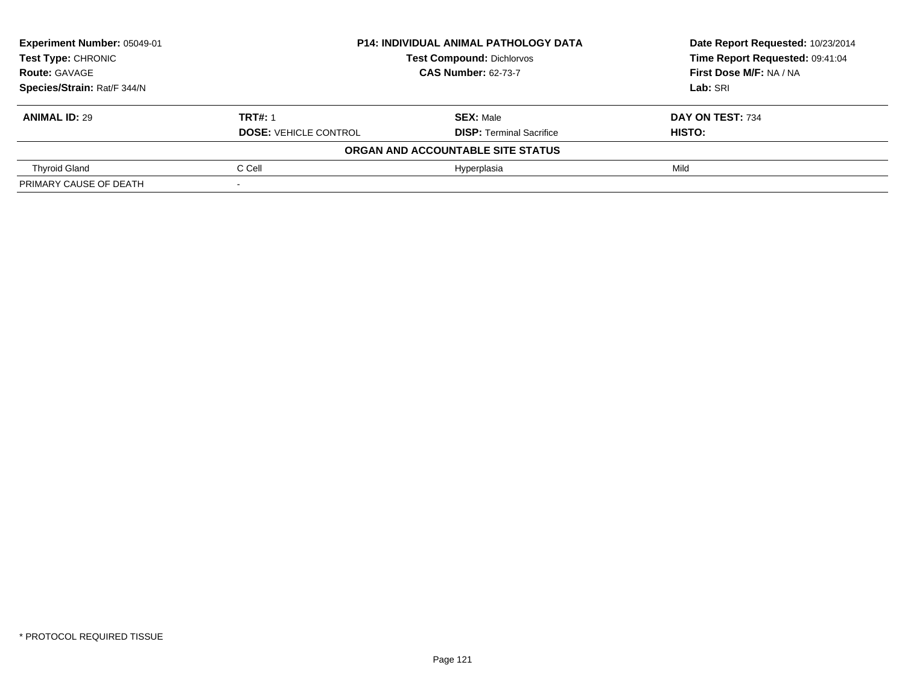| Experiment Number: 05049-01 | <b>P14: INDIVIDUAL ANIMAL PATHOLOGY DATA</b> |                                   | Date Report Requested: 10/23/2014 |
|-----------------------------|----------------------------------------------|-----------------------------------|-----------------------------------|
| Test Type: CHRONIC          |                                              | <b>Test Compound: Dichlorvos</b>  | Time Report Requested: 09:41:04   |
| <b>Route: GAVAGE</b>        |                                              | <b>CAS Number: 62-73-7</b>        |                                   |
| Species/Strain: Rat/F 344/N |                                              | Lab: SRI                          |                                   |
| <b>ANIMAL ID: 29</b>        | <b>TRT#: 1</b>                               | <b>SEX: Male</b>                  | DAY ON TEST: 734                  |
|                             | <b>DOSE: VEHICLE CONTROL</b>                 | <b>DISP:</b> Terminal Sacrifice   | <b>HISTO:</b>                     |
|                             |                                              | ORGAN AND ACCOUNTABLE SITE STATUS |                                   |
| <b>Thyroid Gland</b>        | C Cell                                       | Hyperplasia                       | Mild                              |
| PRIMARY CAUSE OF DEATH      |                                              |                                   |                                   |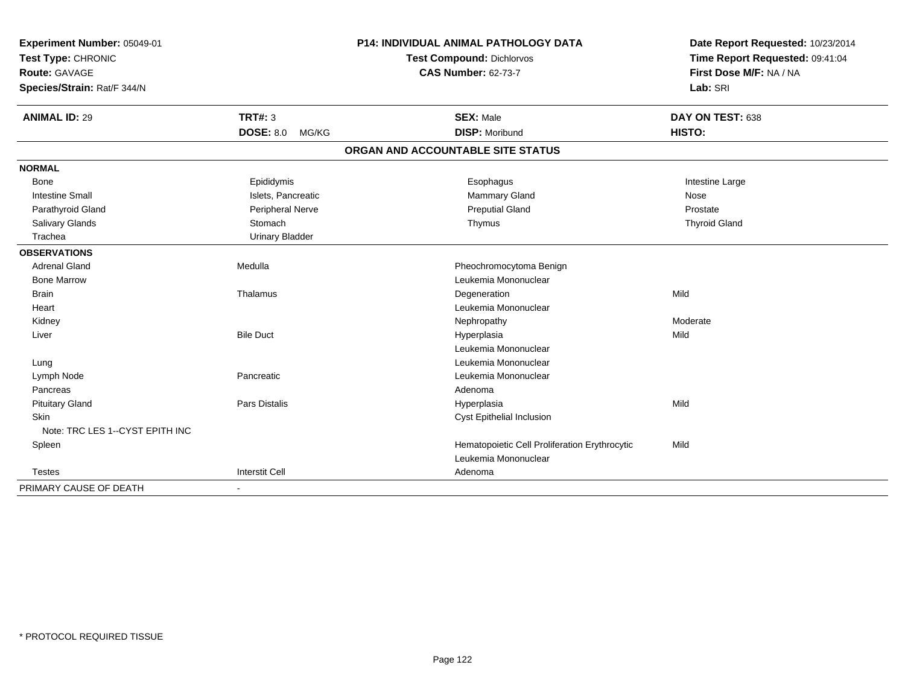| Experiment Number: 05049-01<br>Test Type: CHRONIC<br><b>Route: GAVAGE</b><br>Species/Strain: Rat/F 344/N |                           | <b>P14: INDIVIDUAL ANIMAL PATHOLOGY DATA</b><br><b>Test Compound: Dichlorvos</b><br><b>CAS Number: 62-73-7</b> | Date Report Requested: 10/23/2014<br>Time Report Requested: 09:41:04<br>First Dose M/F: NA / NA<br>Lab: SRI |
|----------------------------------------------------------------------------------------------------------|---------------------------|----------------------------------------------------------------------------------------------------------------|-------------------------------------------------------------------------------------------------------------|
| <b>ANIMAL ID: 29</b>                                                                                     | <b>TRT#: 3</b>            | <b>SEX: Male</b>                                                                                               | DAY ON TEST: 638                                                                                            |
|                                                                                                          | <b>DOSE: 8.0</b><br>MG/KG | <b>DISP: Moribund</b>                                                                                          | HISTO:                                                                                                      |
|                                                                                                          |                           | ORGAN AND ACCOUNTABLE SITE STATUS                                                                              |                                                                                                             |
| <b>NORMAL</b>                                                                                            |                           |                                                                                                                |                                                                                                             |
| <b>Bone</b>                                                                                              | Epididymis                | Esophagus                                                                                                      | Intestine Large                                                                                             |
| <b>Intestine Small</b>                                                                                   | Islets, Pancreatic        | Mammary Gland                                                                                                  | Nose                                                                                                        |
| Parathyroid Gland                                                                                        | Peripheral Nerve          | <b>Preputial Gland</b>                                                                                         | Prostate                                                                                                    |
| Salivary Glands                                                                                          | Stomach                   | Thymus                                                                                                         | <b>Thyroid Gland</b>                                                                                        |
| Trachea                                                                                                  | <b>Urinary Bladder</b>    |                                                                                                                |                                                                                                             |
| <b>OBSERVATIONS</b>                                                                                      |                           |                                                                                                                |                                                                                                             |
| <b>Adrenal Gland</b>                                                                                     | Medulla                   | Pheochromocytoma Benign                                                                                        |                                                                                                             |
| <b>Bone Marrow</b>                                                                                       |                           | Leukemia Mononuclear                                                                                           |                                                                                                             |
| <b>Brain</b>                                                                                             | Thalamus                  | Degeneration                                                                                                   | Mild                                                                                                        |
| Heart                                                                                                    |                           | Leukemia Mononuclear                                                                                           |                                                                                                             |
| Kidney                                                                                                   |                           | Nephropathy                                                                                                    | Moderate                                                                                                    |
| Liver                                                                                                    | <b>Bile Duct</b>          | Hyperplasia                                                                                                    | Mild                                                                                                        |
|                                                                                                          |                           | Leukemia Mononuclear                                                                                           |                                                                                                             |
| Lung                                                                                                     |                           | Leukemia Mononuclear                                                                                           |                                                                                                             |
| Lymph Node                                                                                               | Pancreatic                | Leukemia Mononuclear                                                                                           |                                                                                                             |
| Pancreas                                                                                                 |                           | Adenoma                                                                                                        |                                                                                                             |
| <b>Pituitary Gland</b>                                                                                   | <b>Pars Distalis</b>      | Hyperplasia                                                                                                    | Mild                                                                                                        |
| Skin                                                                                                     |                           | Cyst Epithelial Inclusion                                                                                      |                                                                                                             |
| Note: TRC LES 1--CYST EPITH INC                                                                          |                           |                                                                                                                |                                                                                                             |
| Spleen                                                                                                   |                           | Hematopoietic Cell Proliferation Erythrocytic                                                                  | Mild                                                                                                        |
|                                                                                                          |                           | Leukemia Mononuclear                                                                                           |                                                                                                             |
| <b>Testes</b>                                                                                            | <b>Interstit Cell</b>     | Adenoma                                                                                                        |                                                                                                             |
| PRIMARY CAUSE OF DEATH                                                                                   |                           |                                                                                                                |                                                                                                             |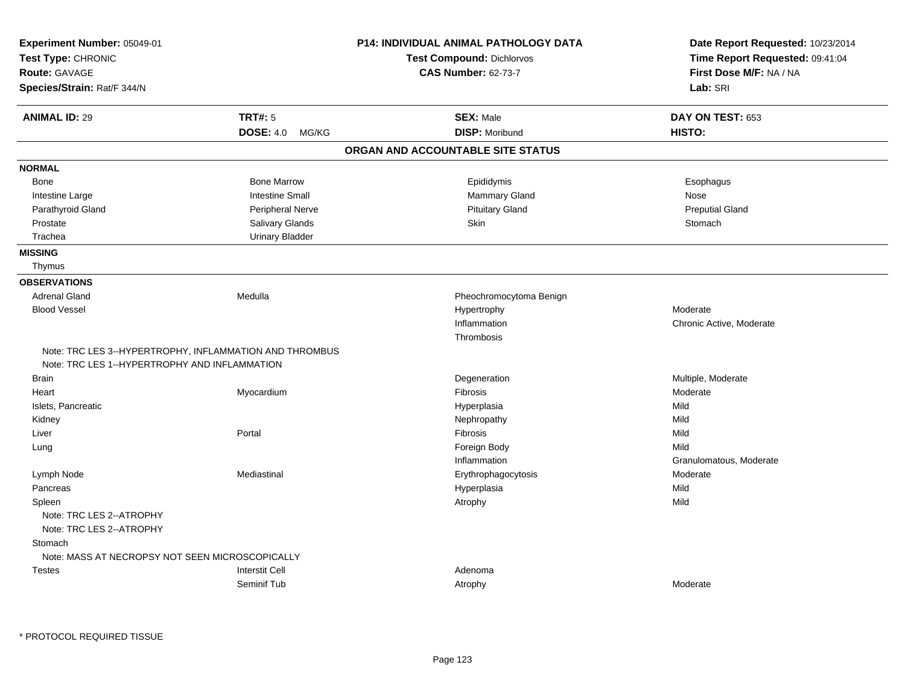| Experiment Number: 05049-01                                                                              |                           | <b>P14: INDIVIDUAL ANIMAL PATHOLOGY DATA</b> | Date Report Requested: 10/23/2014 |
|----------------------------------------------------------------------------------------------------------|---------------------------|----------------------------------------------|-----------------------------------|
| Test Type: CHRONIC                                                                                       |                           | Test Compound: Dichlorvos                    | Time Report Requested: 09:41:04   |
| <b>Route: GAVAGE</b>                                                                                     |                           | <b>CAS Number: 62-73-7</b>                   | First Dose M/F: NA / NA           |
| Species/Strain: Rat/F 344/N                                                                              |                           |                                              | Lab: SRI                          |
| <b>ANIMAL ID: 29</b>                                                                                     | <b>TRT#: 5</b>            | <b>SEX: Male</b>                             | DAY ON TEST: 653                  |
|                                                                                                          | <b>DOSE: 4.0</b><br>MG/KG | <b>DISP: Moribund</b>                        | HISTO:                            |
|                                                                                                          |                           | ORGAN AND ACCOUNTABLE SITE STATUS            |                                   |
| <b>NORMAL</b>                                                                                            |                           |                                              |                                   |
| Bone                                                                                                     | <b>Bone Marrow</b>        | Epididymis                                   | Esophagus                         |
| Intestine Large                                                                                          | <b>Intestine Small</b>    | Mammary Gland                                | Nose                              |
| Parathyroid Gland                                                                                        | Peripheral Nerve          | <b>Pituitary Gland</b>                       | <b>Preputial Gland</b>            |
| Prostate                                                                                                 | Salivary Glands           | <b>Skin</b>                                  | Stomach                           |
| Trachea                                                                                                  | <b>Urinary Bladder</b>    |                                              |                                   |
| <b>MISSING</b>                                                                                           |                           |                                              |                                   |
| Thymus                                                                                                   |                           |                                              |                                   |
| <b>OBSERVATIONS</b>                                                                                      |                           |                                              |                                   |
| <b>Adrenal Gland</b>                                                                                     | Medulla                   | Pheochromocytoma Benign                      |                                   |
| <b>Blood Vessel</b>                                                                                      |                           | Hypertrophy                                  | Moderate                          |
|                                                                                                          |                           | Inflammation                                 | Chronic Active, Moderate          |
|                                                                                                          |                           | Thrombosis                                   |                                   |
| Note: TRC LES 3--HYPERTROPHY, INFLAMMATION AND THROMBUS<br>Note: TRC LES 1--HYPERTROPHY AND INFLAMMATION |                           |                                              |                                   |
| <b>Brain</b>                                                                                             |                           | Degeneration                                 | Multiple, Moderate                |
| Heart                                                                                                    | Myocardium                | Fibrosis                                     | Moderate                          |
| Islets, Pancreatic                                                                                       |                           | Hyperplasia                                  | Mild                              |
| Kidney                                                                                                   |                           | Nephropathy                                  | Mild                              |
| Liver                                                                                                    | Portal                    | <b>Fibrosis</b>                              | Mild                              |
| Lung                                                                                                     |                           | Foreign Body                                 | Mild                              |
|                                                                                                          |                           | Inflammation                                 | Granulomatous, Moderate           |
| Lymph Node                                                                                               | Mediastinal               | Erythrophagocytosis                          | Moderate                          |
| Pancreas                                                                                                 |                           | Hyperplasia                                  | Mild                              |
| Spleen                                                                                                   |                           | Atrophy                                      | Mild                              |
| Note: TRC LES 2--ATROPHY<br>Note: TRC LES 2--ATROPHY                                                     |                           |                                              |                                   |
| Stomach                                                                                                  |                           |                                              |                                   |
| Note: MASS AT NECROPSY NOT SEEN MICROSCOPICALLY                                                          |                           |                                              |                                   |
| <b>Testes</b>                                                                                            | <b>Interstit Cell</b>     | Adenoma                                      |                                   |
|                                                                                                          | Seminif Tub               | Atrophy                                      | Moderate                          |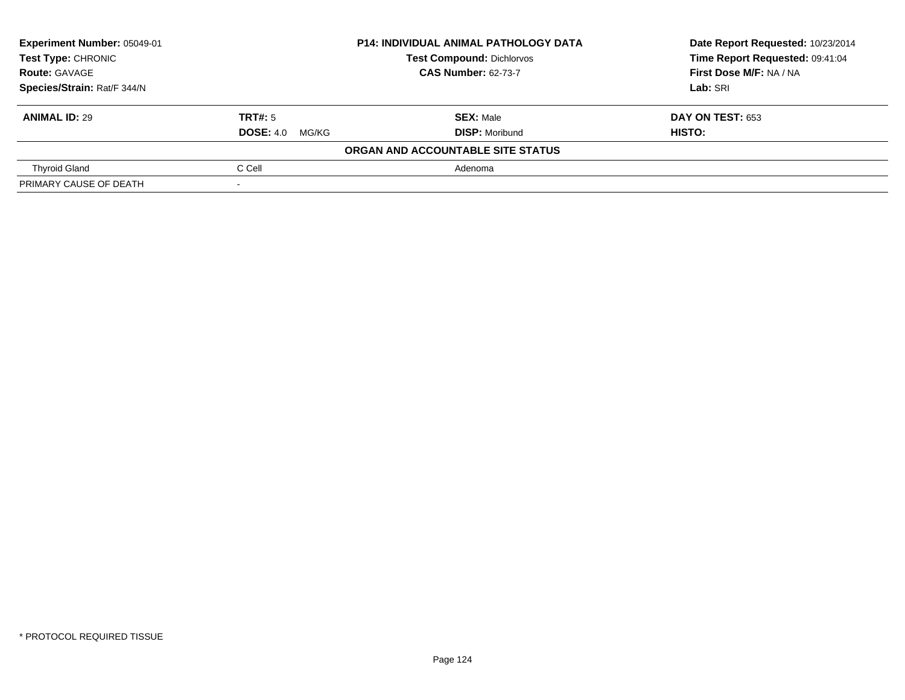| Experiment Number: 05049-01 |                        | <b>P14: INDIVIDUAL ANIMAL PATHOLOGY DATA</b> | Date Report Requested: 10/23/2014 |
|-----------------------------|------------------------|----------------------------------------------|-----------------------------------|
| Test Type: CHRONIC          |                        | <b>Test Compound: Dichlorvos</b>             | Time Report Requested: 09:41:04   |
| <b>Route: GAVAGE</b>        |                        | <b>CAS Number: 62-73-7</b>                   | First Dose M/F: NA / NA           |
| Species/Strain: Rat/F 344/N |                        |                                              | Lab: SRI                          |
| <b>ANIMAL ID: 29</b>        | TRT#: 5                | <b>SEX: Male</b>                             | DAY ON TEST: 653                  |
|                             | <b>DOSE:</b> 4.0 MG/KG | <b>DISP: Moribund</b>                        | HISTO:                            |
|                             |                        | ORGAN AND ACCOUNTABLE SITE STATUS            |                                   |
| <b>Thyroid Gland</b>        | C Cell                 | Adenoma                                      |                                   |
| PRIMARY CAUSE OF DEATH      |                        |                                              |                                   |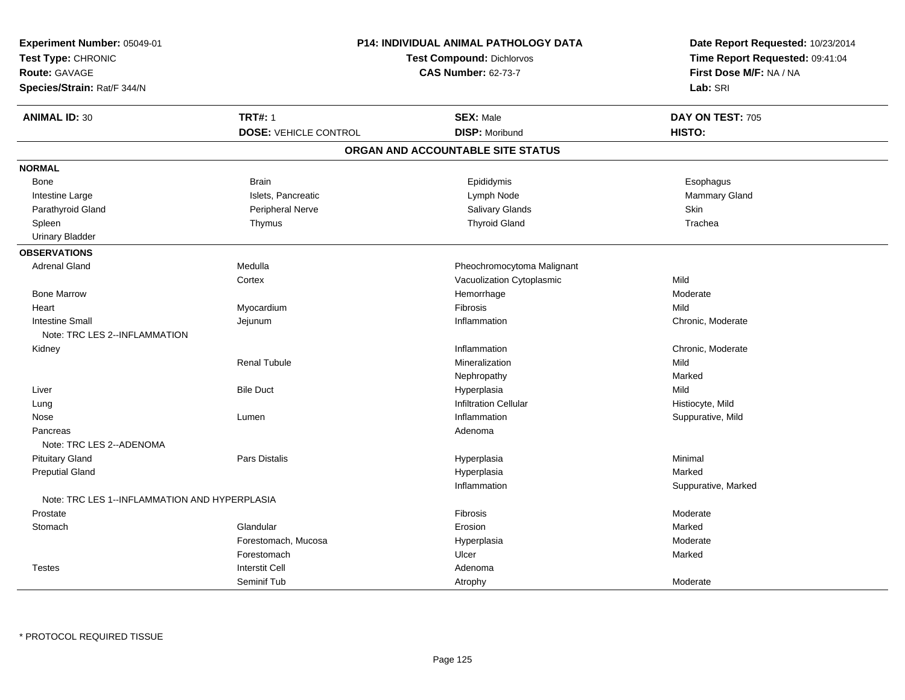| Experiment Number: 05049-01                   |                              | <b>P14: INDIVIDUAL ANIMAL PATHOLOGY DATA</b> | Date Report Requested: 10/23/2014<br>Time Report Requested: 09:41:04 |
|-----------------------------------------------|------------------------------|----------------------------------------------|----------------------------------------------------------------------|
| Test Type: CHRONIC                            |                              | <b>Test Compound: Dichlorvos</b>             |                                                                      |
| Route: GAVAGE                                 |                              | <b>CAS Number: 62-73-7</b>                   | First Dose M/F: NA / NA                                              |
| Species/Strain: Rat/F 344/N                   |                              |                                              | Lab: SRI                                                             |
| <b>ANIMAL ID: 30</b>                          | <b>TRT#: 1</b>               | <b>SEX: Male</b>                             | DAY ON TEST: 705                                                     |
|                                               | <b>DOSE: VEHICLE CONTROL</b> | <b>DISP: Moribund</b>                        | HISTO:                                                               |
|                                               |                              | ORGAN AND ACCOUNTABLE SITE STATUS            |                                                                      |
| <b>NORMAL</b>                                 |                              |                                              |                                                                      |
| Bone                                          | <b>Brain</b>                 | Epididymis                                   | Esophagus                                                            |
| Intestine Large                               | Islets, Pancreatic           | Lymph Node                                   | Mammary Gland                                                        |
| Parathyroid Gland                             | Peripheral Nerve             | Salivary Glands                              | <b>Skin</b>                                                          |
| Spleen                                        | Thymus                       | <b>Thyroid Gland</b>                         | Trachea                                                              |
| <b>Urinary Bladder</b>                        |                              |                                              |                                                                      |
| <b>OBSERVATIONS</b>                           |                              |                                              |                                                                      |
| <b>Adrenal Gland</b>                          | Medulla                      | Pheochromocytoma Malignant                   |                                                                      |
|                                               | Cortex                       | Vacuolization Cytoplasmic                    | Mild                                                                 |
| <b>Bone Marrow</b>                            |                              | Hemorrhage                                   | Moderate                                                             |
| Heart                                         | Myocardium                   | Fibrosis                                     | Mild                                                                 |
| <b>Intestine Small</b>                        | Jejunum                      | Inflammation                                 | Chronic, Moderate                                                    |
| Note: TRC LES 2--INFLAMMATION                 |                              |                                              |                                                                      |
| Kidney                                        |                              | Inflammation                                 | Chronic, Moderate                                                    |
|                                               | <b>Renal Tubule</b>          | Mineralization                               | Mild                                                                 |
|                                               |                              | Nephropathy                                  | Marked                                                               |
| Liver                                         | <b>Bile Duct</b>             | Hyperplasia                                  | Mild                                                                 |
| Lung                                          |                              | <b>Infiltration Cellular</b>                 | Histiocyte, Mild                                                     |
| Nose                                          | Lumen                        | Inflammation                                 | Suppurative, Mild                                                    |
| Pancreas                                      |                              | Adenoma                                      |                                                                      |
| Note: TRC LES 2--ADENOMA                      |                              |                                              |                                                                      |
| <b>Pituitary Gland</b>                        | <b>Pars Distalis</b>         | Hyperplasia                                  | Minimal                                                              |
| <b>Preputial Gland</b>                        |                              | Hyperplasia                                  | Marked                                                               |
|                                               |                              | Inflammation                                 | Suppurative, Marked                                                  |
| Note: TRC LES 1--INFLAMMATION AND HYPERPLASIA |                              |                                              |                                                                      |
| Prostate                                      |                              | Fibrosis                                     | Moderate                                                             |
| Stomach                                       | Glandular                    | Erosion                                      | Marked                                                               |
|                                               | Forestomach, Mucosa          | Hyperplasia                                  | Moderate                                                             |
|                                               | Forestomach                  | Ulcer                                        | Marked                                                               |
| <b>Testes</b>                                 | <b>Interstit Cell</b>        | Adenoma                                      |                                                                      |
|                                               | Seminif Tub                  | Atrophy                                      | Moderate                                                             |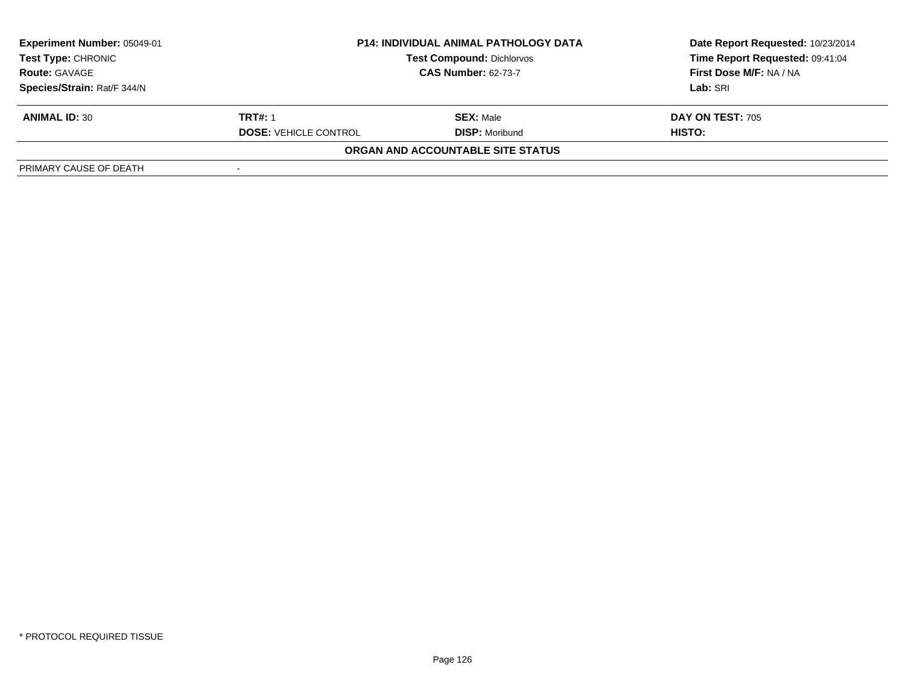| <b>Experiment Number: 05049-01</b><br><b>Test Type: CHRONIC</b> | <b>P14: INDIVIDUAL ANIMAL PATHOLOGY DATA</b><br><b>Test Compound: Dichlorvos</b> |                                   | Date Report Requested: 10/23/2014<br>Time Report Requested: 09:41:04 |
|-----------------------------------------------------------------|----------------------------------------------------------------------------------|-----------------------------------|----------------------------------------------------------------------|
| <b>CAS Number: 62-73-7</b><br><b>Route: GAVAGE</b>              |                                                                                  |                                   | First Dose M/F: NA / NA                                              |
| Species/Strain: Rat/F 344/N                                     |                                                                                  |                                   | Lab: SRI                                                             |
| <b>ANIMAL ID: 30</b>                                            | <b>TRT#: 1</b>                                                                   | <b>SEX: Male</b>                  | <b>DAY ON TEST: 705</b>                                              |
|                                                                 | <b>DOSE: VEHICLE CONTROL</b>                                                     | <b>DISP:</b> Moribund             | HISTO:                                                               |
|                                                                 |                                                                                  | ORGAN AND ACCOUNTABLE SITE STATUS |                                                                      |
| PRIMARY CAUSE OF DEATH                                          |                                                                                  |                                   |                                                                      |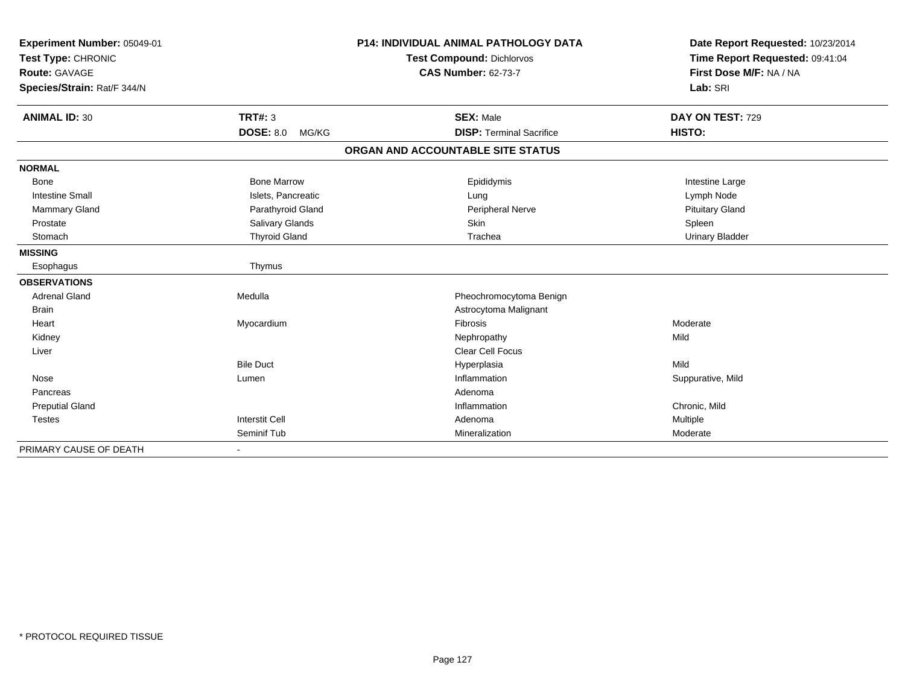| Experiment Number: 05049-01<br>Test Type: CHRONIC<br><b>Route: GAVAGE</b><br>Species/Strain: Rat/F 344/N |                           | <b>P14: INDIVIDUAL ANIMAL PATHOLOGY DATA</b><br><b>Test Compound: Dichlorvos</b><br><b>CAS Number: 62-73-7</b> | Date Report Requested: 10/23/2014<br>Time Report Requested: 09:41:04<br>First Dose M/F: NA / NA<br>Lab: SRI |
|----------------------------------------------------------------------------------------------------------|---------------------------|----------------------------------------------------------------------------------------------------------------|-------------------------------------------------------------------------------------------------------------|
|                                                                                                          |                           |                                                                                                                |                                                                                                             |
| <b>ANIMAL ID: 30</b>                                                                                     | TRT#: 3                   | <b>SEX: Male</b>                                                                                               | DAY ON TEST: 729                                                                                            |
|                                                                                                          | <b>DOSE: 8.0</b><br>MG/KG | <b>DISP: Terminal Sacrifice</b>                                                                                | HISTO:                                                                                                      |
|                                                                                                          |                           | ORGAN AND ACCOUNTABLE SITE STATUS                                                                              |                                                                                                             |
| <b>NORMAL</b>                                                                                            |                           |                                                                                                                |                                                                                                             |
| <b>Bone</b>                                                                                              | <b>Bone Marrow</b>        | Epididymis                                                                                                     | Intestine Large                                                                                             |
| <b>Intestine Small</b>                                                                                   | Islets, Pancreatic        | Lung                                                                                                           | Lymph Node                                                                                                  |
| Mammary Gland                                                                                            | Parathyroid Gland         | Peripheral Nerve                                                                                               | <b>Pituitary Gland</b>                                                                                      |
| Prostate                                                                                                 | Salivary Glands           | Skin                                                                                                           | Spleen                                                                                                      |
| Stomach                                                                                                  | <b>Thyroid Gland</b>      | Trachea                                                                                                        | <b>Urinary Bladder</b>                                                                                      |
| <b>MISSING</b>                                                                                           |                           |                                                                                                                |                                                                                                             |
| Esophagus                                                                                                | Thymus                    |                                                                                                                |                                                                                                             |
| <b>OBSERVATIONS</b>                                                                                      |                           |                                                                                                                |                                                                                                             |
| <b>Adrenal Gland</b>                                                                                     | Medulla                   | Pheochromocytoma Benign                                                                                        |                                                                                                             |
| <b>Brain</b>                                                                                             |                           | Astrocytoma Malignant                                                                                          |                                                                                                             |
| Heart                                                                                                    | Myocardium                | Fibrosis                                                                                                       | Moderate                                                                                                    |
| Kidney                                                                                                   |                           | Nephropathy                                                                                                    | Mild                                                                                                        |
| Liver                                                                                                    |                           | <b>Clear Cell Focus</b>                                                                                        |                                                                                                             |
|                                                                                                          | <b>Bile Duct</b>          | Hyperplasia                                                                                                    | Mild                                                                                                        |
| Nose                                                                                                     | Lumen                     | Inflammation                                                                                                   | Suppurative, Mild                                                                                           |
| Pancreas                                                                                                 |                           | Adenoma                                                                                                        |                                                                                                             |
| <b>Preputial Gland</b>                                                                                   |                           | Inflammation                                                                                                   | Chronic, Mild                                                                                               |
| <b>Testes</b>                                                                                            | <b>Interstit Cell</b>     | Adenoma                                                                                                        | Multiple                                                                                                    |
|                                                                                                          | Seminif Tub               | Mineralization                                                                                                 | Moderate                                                                                                    |
| PRIMARY CAUSE OF DEATH                                                                                   |                           |                                                                                                                |                                                                                                             |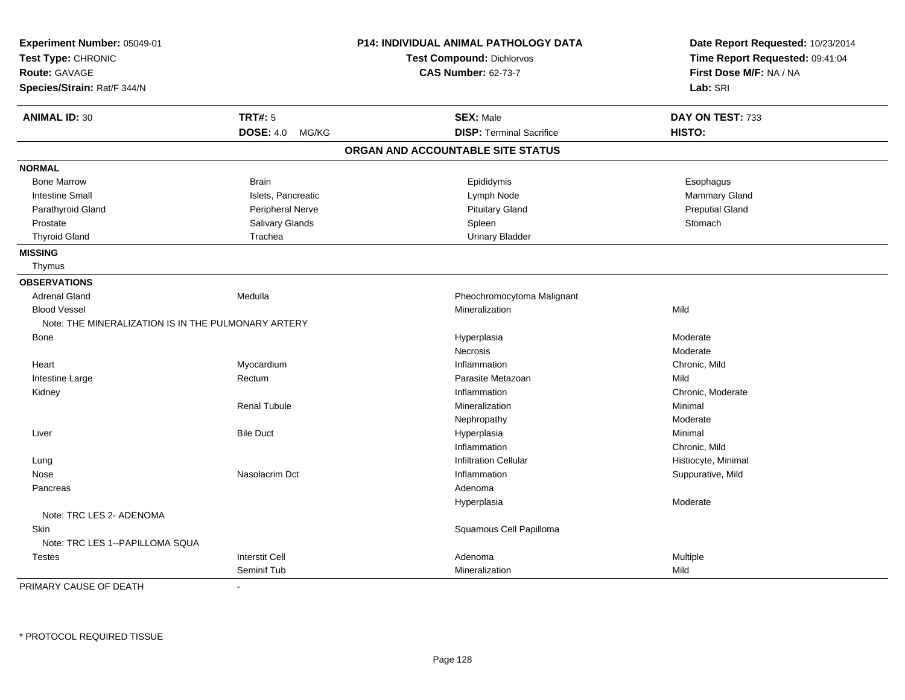| Experiment Number: 05049-01                         |                           | P14: INDIVIDUAL ANIMAL PATHOLOGY DATA | Date Report Requested: 10/23/2014 |
|-----------------------------------------------------|---------------------------|---------------------------------------|-----------------------------------|
| Test Type: CHRONIC                                  |                           | <b>Test Compound: Dichlorvos</b>      | Time Report Requested: 09:41:04   |
| <b>Route: GAVAGE</b>                                |                           | <b>CAS Number: 62-73-7</b>            | First Dose M/F: NA / NA           |
| Species/Strain: Rat/F 344/N                         |                           |                                       | Lab: SRI                          |
| <b>ANIMAL ID: 30</b>                                | <b>TRT#: 5</b>            | <b>SEX: Male</b>                      | DAY ON TEST: 733                  |
|                                                     | <b>DOSE: 4.0</b><br>MG/KG | <b>DISP: Terminal Sacrifice</b>       | <b>HISTO:</b>                     |
|                                                     |                           | ORGAN AND ACCOUNTABLE SITE STATUS     |                                   |
| <b>NORMAL</b>                                       |                           |                                       |                                   |
| <b>Bone Marrow</b>                                  | <b>Brain</b>              | Epididymis                            | Esophagus                         |
| <b>Intestine Small</b>                              | Islets, Pancreatic        | Lymph Node                            | <b>Mammary Gland</b>              |
| Parathyroid Gland                                   | Peripheral Nerve          | <b>Pituitary Gland</b>                | <b>Preputial Gland</b>            |
| Prostate                                            | Salivary Glands           | Spleen                                | Stomach                           |
| <b>Thyroid Gland</b>                                | Trachea                   | <b>Urinary Bladder</b>                |                                   |
| <b>MISSING</b>                                      |                           |                                       |                                   |
| Thymus                                              |                           |                                       |                                   |
| <b>OBSERVATIONS</b>                                 |                           |                                       |                                   |
| <b>Adrenal Gland</b>                                | Medulla                   | Pheochromocytoma Malignant            |                                   |
| <b>Blood Vessel</b>                                 |                           | Mineralization                        | Mild                              |
| Note: THE MINERALIZATION IS IN THE PULMONARY ARTERY |                           |                                       |                                   |
| Bone                                                |                           | Hyperplasia                           | Moderate                          |
|                                                     |                           | <b>Necrosis</b>                       | Moderate                          |
| Heart                                               | Myocardium                | Inflammation                          | Chronic, Mild                     |
| Intestine Large                                     | Rectum                    | Parasite Metazoan                     | Mild                              |
| Kidney                                              |                           | Inflammation                          | Chronic, Moderate                 |
|                                                     | <b>Renal Tubule</b>       | Mineralization                        | Minimal                           |
|                                                     |                           | Nephropathy                           | Moderate                          |
| Liver                                               | <b>Bile Duct</b>          | Hyperplasia                           | Minimal                           |
|                                                     |                           | Inflammation                          | Chronic, Mild                     |
| Lung                                                |                           | <b>Infiltration Cellular</b>          | Histiocyte, Minimal               |
| Nose                                                | Nasolacrim Dct            | Inflammation                          | Suppurative, Mild                 |
| Pancreas                                            |                           | Adenoma                               |                                   |
|                                                     |                           | Hyperplasia                           | Moderate                          |
| Note: TRC LES 2- ADENOMA                            |                           |                                       |                                   |
| Skin                                                |                           | Squamous Cell Papilloma               |                                   |
| Note: TRC LES 1--PAPILLOMA SQUA                     |                           |                                       |                                   |
| <b>Testes</b>                                       | <b>Interstit Cell</b>     | Adenoma                               | Multiple                          |
|                                                     | Seminif Tub               | Mineralization                        | Mild                              |

PRIMARY CAUSE OF DEATH-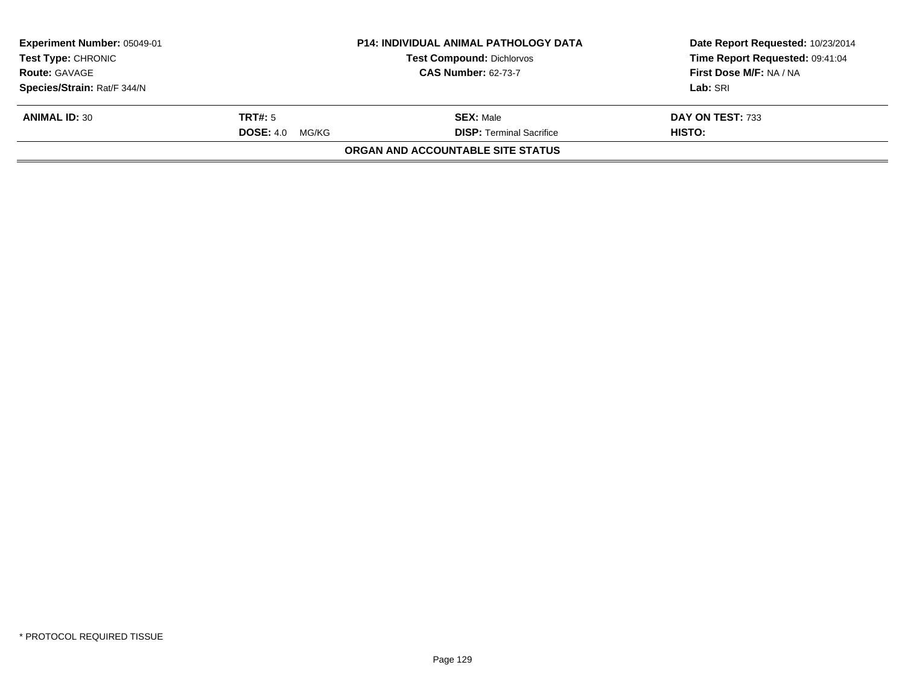| <b>Experiment Number: 05049-01</b><br><b>Test Type: CHRONIC</b> |                           | <b>P14: INDIVIDUAL ANIMAL PATHOLOGY DATA</b><br><b>Test Compound: Dichlorvos</b> | Date Report Requested: 10/23/2014<br>Time Report Requested: 09:41:04 |
|-----------------------------------------------------------------|---------------------------|----------------------------------------------------------------------------------|----------------------------------------------------------------------|
| <b>Route: GAVAGE</b>                                            |                           | <b>CAS Number: 62-73-7</b>                                                       | First Dose M/F: NA / NA                                              |
| Species/Strain: Rat/F 344/N                                     |                           |                                                                                  | Lab: SRI                                                             |
| <b>ANIMAL ID: 30</b>                                            | TRT#: 5                   | <b>SEX: Male</b>                                                                 | DAY ON TEST: 733                                                     |
|                                                                 | <b>DOSE: 4.0</b><br>MG/KG | <b>DISP: Terminal Sacrifice</b>                                                  | <b>HISTO:</b>                                                        |
|                                                                 |                           | <b>ORGAN AND ACCOUNTABLE SITE STATUS</b>                                         |                                                                      |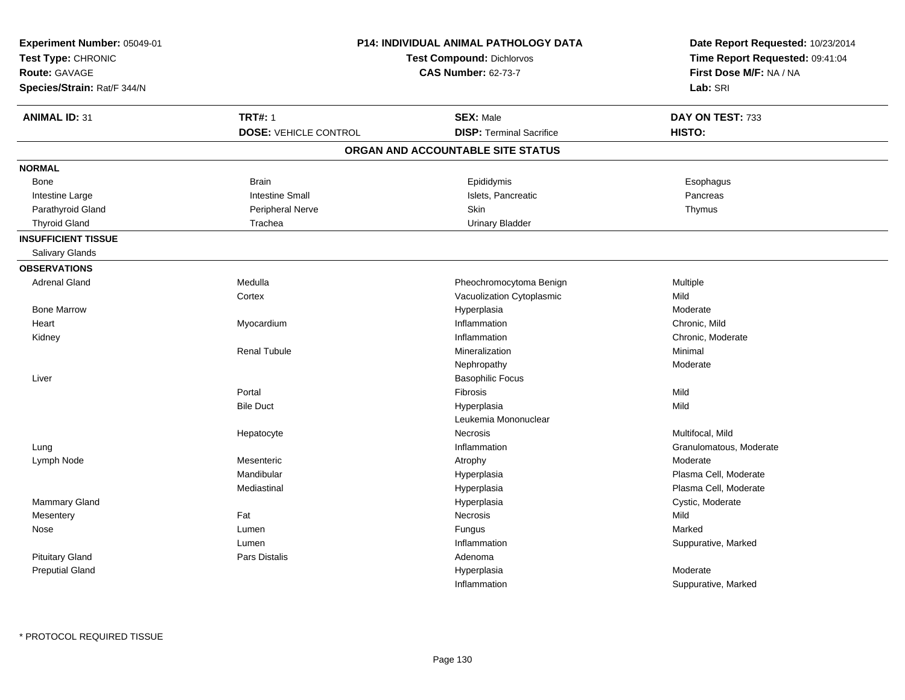| Experiment Number: 05049-01<br>Test Type: CHRONIC<br><b>Route: GAVAGE</b><br>Species/Strain: Rat/F 344/N |                              | P14: INDIVIDUAL ANIMAL PATHOLOGY DATA<br><b>Test Compound: Dichlorvos</b><br><b>CAS Number: 62-73-7</b> | Date Report Requested: 10/23/2014<br>Time Report Requested: 09:41:04<br>First Dose M/F: NA / NA<br>Lab: SRI |
|----------------------------------------------------------------------------------------------------------|------------------------------|---------------------------------------------------------------------------------------------------------|-------------------------------------------------------------------------------------------------------------|
| <b>ANIMAL ID: 31</b>                                                                                     | <b>TRT#: 1</b>               | <b>SEX: Male</b>                                                                                        | DAY ON TEST: 733                                                                                            |
|                                                                                                          | <b>DOSE: VEHICLE CONTROL</b> | <b>DISP: Terminal Sacrifice</b>                                                                         | HISTO:                                                                                                      |
|                                                                                                          |                              | ORGAN AND ACCOUNTABLE SITE STATUS                                                                       |                                                                                                             |
| <b>NORMAL</b>                                                                                            |                              |                                                                                                         |                                                                                                             |
| Bone                                                                                                     | <b>Brain</b>                 | Epididymis                                                                                              | Esophagus                                                                                                   |
| Intestine Large                                                                                          | <b>Intestine Small</b>       | Islets, Pancreatic                                                                                      | Pancreas                                                                                                    |
| Parathyroid Gland                                                                                        | Peripheral Nerve             | Skin                                                                                                    | Thymus                                                                                                      |
| <b>Thyroid Gland</b>                                                                                     | Trachea                      | <b>Urinary Bladder</b>                                                                                  |                                                                                                             |
| <b>INSUFFICIENT TISSUE</b>                                                                               |                              |                                                                                                         |                                                                                                             |
| Salivary Glands                                                                                          |                              |                                                                                                         |                                                                                                             |
| <b>OBSERVATIONS</b>                                                                                      |                              |                                                                                                         |                                                                                                             |
| <b>Adrenal Gland</b>                                                                                     | Medulla                      | Pheochromocytoma Benign                                                                                 | Multiple                                                                                                    |
|                                                                                                          | Cortex                       | Vacuolization Cytoplasmic                                                                               | Mild                                                                                                        |
| <b>Bone Marrow</b>                                                                                       |                              | Hyperplasia                                                                                             | Moderate                                                                                                    |
| Heart                                                                                                    | Myocardium                   | Inflammation                                                                                            | Chronic, Mild                                                                                               |
| Kidney                                                                                                   |                              | Inflammation                                                                                            | Chronic, Moderate                                                                                           |
|                                                                                                          | <b>Renal Tubule</b>          | Mineralization                                                                                          | Minimal                                                                                                     |
|                                                                                                          |                              | Nephropathy                                                                                             | Moderate                                                                                                    |
| Liver                                                                                                    |                              | <b>Basophilic Focus</b>                                                                                 |                                                                                                             |
|                                                                                                          | Portal                       | Fibrosis                                                                                                | Mild                                                                                                        |
|                                                                                                          | <b>Bile Duct</b>             | Hyperplasia                                                                                             | Mild                                                                                                        |
|                                                                                                          |                              | Leukemia Mononuclear                                                                                    |                                                                                                             |
|                                                                                                          | Hepatocyte                   | Necrosis                                                                                                | Multifocal, Mild                                                                                            |
| Lung                                                                                                     |                              | Inflammation                                                                                            | Granulomatous, Moderate                                                                                     |
| Lymph Node                                                                                               | Mesenteric                   | Atrophy                                                                                                 | Moderate                                                                                                    |
|                                                                                                          | Mandibular                   | Hyperplasia                                                                                             | Plasma Cell, Moderate                                                                                       |
|                                                                                                          | Mediastinal                  | Hyperplasia                                                                                             | Plasma Cell, Moderate                                                                                       |
| Mammary Gland                                                                                            |                              | Hyperplasia                                                                                             | Cystic, Moderate                                                                                            |
| Mesentery                                                                                                | Fat                          | Necrosis                                                                                                | Mild                                                                                                        |
| Nose                                                                                                     | Lumen                        | Fungus                                                                                                  | Marked                                                                                                      |
|                                                                                                          | Lumen                        | Inflammation                                                                                            | Suppurative, Marked                                                                                         |
| <b>Pituitary Gland</b>                                                                                   | Pars Distalis                | Adenoma                                                                                                 |                                                                                                             |
| <b>Preputial Gland</b>                                                                                   |                              | Hyperplasia                                                                                             | Moderate                                                                                                    |
|                                                                                                          |                              | Inflammation                                                                                            | Suppurative, Marked                                                                                         |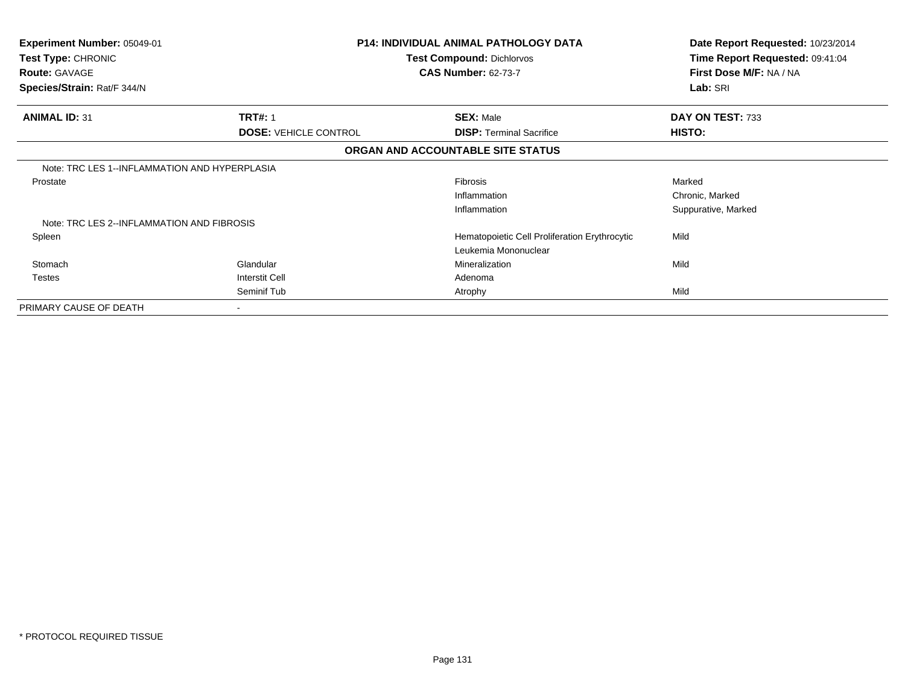| Experiment Number: 05049-01<br>Test Type: CHRONIC<br><b>Route: GAVAGE</b><br>Species/Strain: Rat/F 344/N |                              | <b>P14: INDIVIDUAL ANIMAL PATHOLOGY DATA</b><br><b>Test Compound: Dichlorvos</b><br><b>CAS Number: 62-73-7</b> | Date Report Requested: 10/23/2014<br>Time Report Requested: 09:41:04<br>First Dose M/F: NA / NA<br>Lab: SRI |  |
|----------------------------------------------------------------------------------------------------------|------------------------------|----------------------------------------------------------------------------------------------------------------|-------------------------------------------------------------------------------------------------------------|--|
| <b>ANIMAL ID: 31</b>                                                                                     | <b>TRT#: 1</b>               | <b>SEX: Male</b>                                                                                               | DAY ON TEST: 733                                                                                            |  |
|                                                                                                          | <b>DOSE: VEHICLE CONTROL</b> | <b>DISP:</b> Terminal Sacrifice                                                                                | HISTO:                                                                                                      |  |
|                                                                                                          |                              | ORGAN AND ACCOUNTABLE SITE STATUS                                                                              |                                                                                                             |  |
| Note: TRC LES 1--INFLAMMATION AND HYPERPLASIA                                                            |                              |                                                                                                                |                                                                                                             |  |
| Prostate                                                                                                 |                              | <b>Fibrosis</b>                                                                                                | Marked                                                                                                      |  |
|                                                                                                          |                              | Inflammation                                                                                                   | Chronic, Marked                                                                                             |  |
|                                                                                                          |                              | Inflammation                                                                                                   | Suppurative, Marked                                                                                         |  |
| Note: TRC LES 2-INFLAMMATION AND FIBROSIS                                                                |                              |                                                                                                                |                                                                                                             |  |
| Spleen                                                                                                   |                              | Hematopoietic Cell Proliferation Erythrocytic                                                                  | Mild                                                                                                        |  |
|                                                                                                          |                              | Leukemia Mononuclear                                                                                           |                                                                                                             |  |
| Stomach                                                                                                  | Glandular                    | Mineralization                                                                                                 | Mild                                                                                                        |  |
| <b>Testes</b>                                                                                            | <b>Interstit Cell</b>        | Adenoma                                                                                                        |                                                                                                             |  |
|                                                                                                          | Seminif Tub                  | Atrophy                                                                                                        | Mild                                                                                                        |  |
| PRIMARY CAUSE OF DEATH                                                                                   | $\overline{\phantom{a}}$     |                                                                                                                |                                                                                                             |  |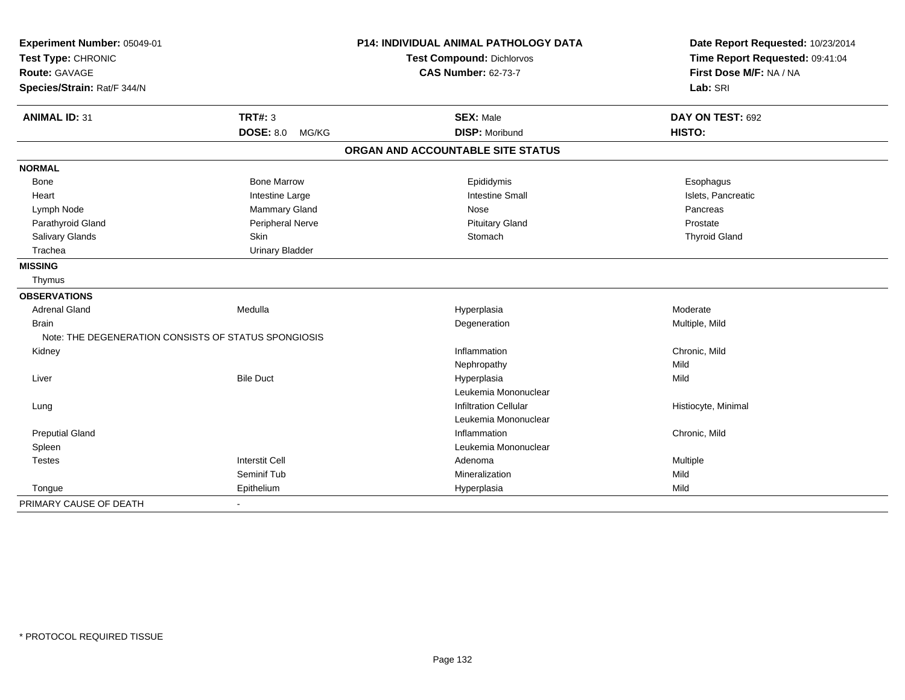| Experiment Number: 05049-01<br>Test Type: CHRONIC<br><b>Route: GAVAGE</b> |                                                      | P14: INDIVIDUAL ANIMAL PATHOLOGY DATA<br><b>Test Compound: Dichlorvos</b> | Date Report Requested: 10/23/2014<br>Time Report Requested: 09:41:04<br>First Dose M/F: NA / NA |
|---------------------------------------------------------------------------|------------------------------------------------------|---------------------------------------------------------------------------|-------------------------------------------------------------------------------------------------|
|                                                                           |                                                      | <b>CAS Number: 62-73-7</b>                                                |                                                                                                 |
| Species/Strain: Rat/F 344/N                                               |                                                      |                                                                           | Lab: SRI                                                                                        |
| <b>ANIMAL ID: 31</b>                                                      | <b>TRT#: 3</b>                                       | <b>SEX: Male</b>                                                          | DAY ON TEST: 692                                                                                |
|                                                                           | <b>DOSE: 8.0</b><br>MG/KG                            | <b>DISP: Moribund</b>                                                     | HISTO:                                                                                          |
|                                                                           |                                                      | ORGAN AND ACCOUNTABLE SITE STATUS                                         |                                                                                                 |
| <b>NORMAL</b>                                                             |                                                      |                                                                           |                                                                                                 |
| Bone                                                                      | <b>Bone Marrow</b>                                   | Epididymis                                                                | Esophagus                                                                                       |
| Heart                                                                     | Intestine Large                                      | <b>Intestine Small</b>                                                    | Islets, Pancreatic                                                                              |
| Lymph Node                                                                | Mammary Gland                                        | Nose                                                                      | Pancreas                                                                                        |
| Parathyroid Gland                                                         | Peripheral Nerve                                     | <b>Pituitary Gland</b>                                                    | Prostate                                                                                        |
| Salivary Glands                                                           | Skin                                                 | Stomach                                                                   | <b>Thyroid Gland</b>                                                                            |
| Trachea                                                                   | <b>Urinary Bladder</b>                               |                                                                           |                                                                                                 |
| <b>MISSING</b>                                                            |                                                      |                                                                           |                                                                                                 |
| Thymus                                                                    |                                                      |                                                                           |                                                                                                 |
| <b>OBSERVATIONS</b>                                                       |                                                      |                                                                           |                                                                                                 |
| <b>Adrenal Gland</b>                                                      | Medulla                                              | Hyperplasia                                                               | Moderate                                                                                        |
| <b>Brain</b>                                                              |                                                      | Degeneration                                                              | Multiple, Mild                                                                                  |
|                                                                           | Note: THE DEGENERATION CONSISTS OF STATUS SPONGIOSIS |                                                                           |                                                                                                 |
| Kidney                                                                    |                                                      | Inflammation                                                              | Chronic, Mild                                                                                   |
|                                                                           |                                                      | Nephropathy                                                               | Mild                                                                                            |
| Liver                                                                     | <b>Bile Duct</b>                                     | Hyperplasia                                                               | Mild                                                                                            |
|                                                                           |                                                      | Leukemia Mononuclear                                                      |                                                                                                 |
| Lung                                                                      |                                                      | <b>Infiltration Cellular</b>                                              | Histiocyte, Minimal                                                                             |
|                                                                           |                                                      | Leukemia Mononuclear                                                      |                                                                                                 |
| <b>Preputial Gland</b>                                                    |                                                      | Inflammation                                                              | Chronic, Mild                                                                                   |
| Spleen                                                                    |                                                      | Leukemia Mononuclear                                                      |                                                                                                 |
| <b>Testes</b>                                                             | <b>Interstit Cell</b>                                | Adenoma                                                                   | Multiple                                                                                        |
|                                                                           | Seminif Tub                                          | Mineralization                                                            | Mild                                                                                            |
| Tongue                                                                    | Epithelium                                           | Hyperplasia                                                               | Mild                                                                                            |
| PRIMARY CAUSE OF DEATH                                                    |                                                      |                                                                           |                                                                                                 |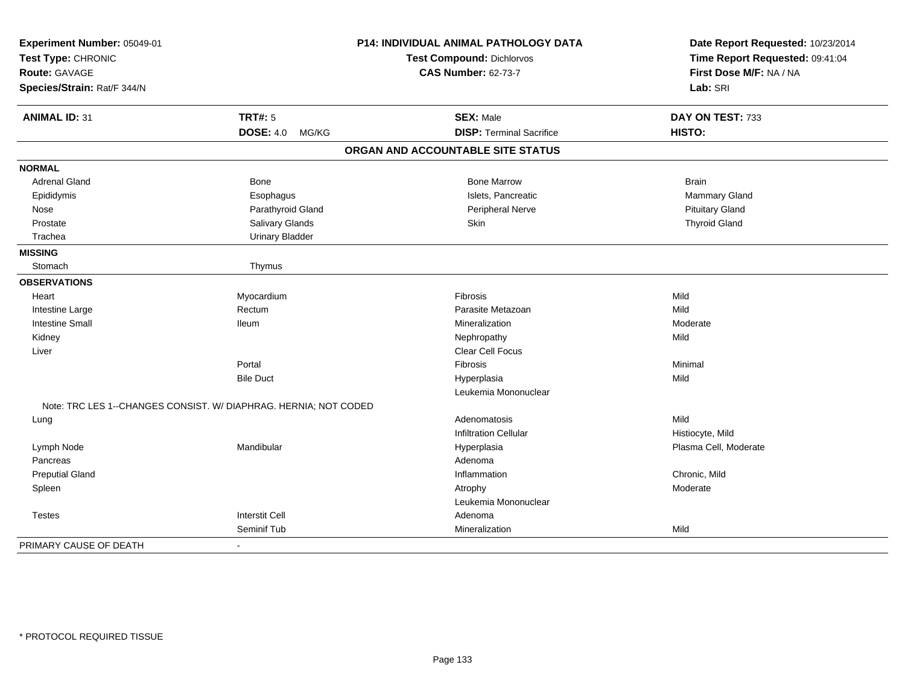| Experiment Number: 05049-01<br>Test Type: CHRONIC |                                                                  | P14: INDIVIDUAL ANIMAL PATHOLOGY DATA<br>Test Compound: Dichlorvos | Date Report Requested: 10/23/2014<br>Time Report Requested: 09:41:04<br>First Dose M/F: NA / NA |
|---------------------------------------------------|------------------------------------------------------------------|--------------------------------------------------------------------|-------------------------------------------------------------------------------------------------|
| Route: GAVAGE                                     |                                                                  | <b>CAS Number: 62-73-7</b>                                         |                                                                                                 |
| Species/Strain: Rat/F 344/N                       |                                                                  |                                                                    | Lab: SRI                                                                                        |
| <b>ANIMAL ID: 31</b>                              | <b>TRT#: 5</b>                                                   | <b>SEX: Male</b>                                                   | DAY ON TEST: 733                                                                                |
|                                                   | <b>DOSE: 4.0</b><br>MG/KG                                        | <b>DISP: Terminal Sacrifice</b>                                    | HISTO:                                                                                          |
|                                                   |                                                                  | ORGAN AND ACCOUNTABLE SITE STATUS                                  |                                                                                                 |
| <b>NORMAL</b>                                     |                                                                  |                                                                    |                                                                                                 |
| <b>Adrenal Gland</b>                              | Bone                                                             | <b>Bone Marrow</b>                                                 | <b>Brain</b>                                                                                    |
| Epididymis                                        | Esophagus                                                        | Islets, Pancreatic                                                 | Mammary Gland                                                                                   |
| Nose                                              | Parathyroid Gland                                                | Peripheral Nerve                                                   | <b>Pituitary Gland</b>                                                                          |
| Prostate                                          | Salivary Glands                                                  | Skin                                                               | <b>Thyroid Gland</b>                                                                            |
| Trachea                                           | <b>Urinary Bladder</b>                                           |                                                                    |                                                                                                 |
| <b>MISSING</b>                                    |                                                                  |                                                                    |                                                                                                 |
| Stomach                                           | Thymus                                                           |                                                                    |                                                                                                 |
| <b>OBSERVATIONS</b>                               |                                                                  |                                                                    |                                                                                                 |
| Heart                                             | Myocardium                                                       | Fibrosis                                                           | Mild                                                                                            |
| Intestine Large                                   | Rectum                                                           | Parasite Metazoan                                                  | Mild                                                                                            |
| <b>Intestine Small</b>                            | <b>Ileum</b>                                                     | Mineralization                                                     | Moderate                                                                                        |
| Kidney                                            |                                                                  | Nephropathy                                                        | Mild                                                                                            |
| Liver                                             |                                                                  | Clear Cell Focus                                                   |                                                                                                 |
|                                                   | Portal                                                           | Fibrosis                                                           | Minimal                                                                                         |
|                                                   | <b>Bile Duct</b>                                                 | Hyperplasia                                                        | Mild                                                                                            |
|                                                   |                                                                  | Leukemia Mononuclear                                               |                                                                                                 |
|                                                   | Note: TRC LES 1--CHANGES CONSIST. W/ DIAPHRAG. HERNIA; NOT CODED |                                                                    |                                                                                                 |
| Lung                                              |                                                                  | Adenomatosis                                                       | Mild                                                                                            |
|                                                   |                                                                  | <b>Infiltration Cellular</b>                                       | Histiocyte, Mild                                                                                |
| Lymph Node                                        | Mandibular                                                       | Hyperplasia                                                        | Plasma Cell, Moderate                                                                           |
| Pancreas                                          |                                                                  | Adenoma                                                            |                                                                                                 |
| <b>Preputial Gland</b>                            |                                                                  | Inflammation                                                       | Chronic, Mild                                                                                   |
| Spleen                                            |                                                                  | Atrophy                                                            | Moderate                                                                                        |
|                                                   |                                                                  | Leukemia Mononuclear                                               |                                                                                                 |
| <b>Testes</b>                                     | <b>Interstit Cell</b>                                            | Adenoma                                                            |                                                                                                 |
|                                                   | Seminif Tub                                                      | Mineralization                                                     | Mild                                                                                            |
| PRIMARY CAUSE OF DEATH                            | $\blacksquare$                                                   |                                                                    |                                                                                                 |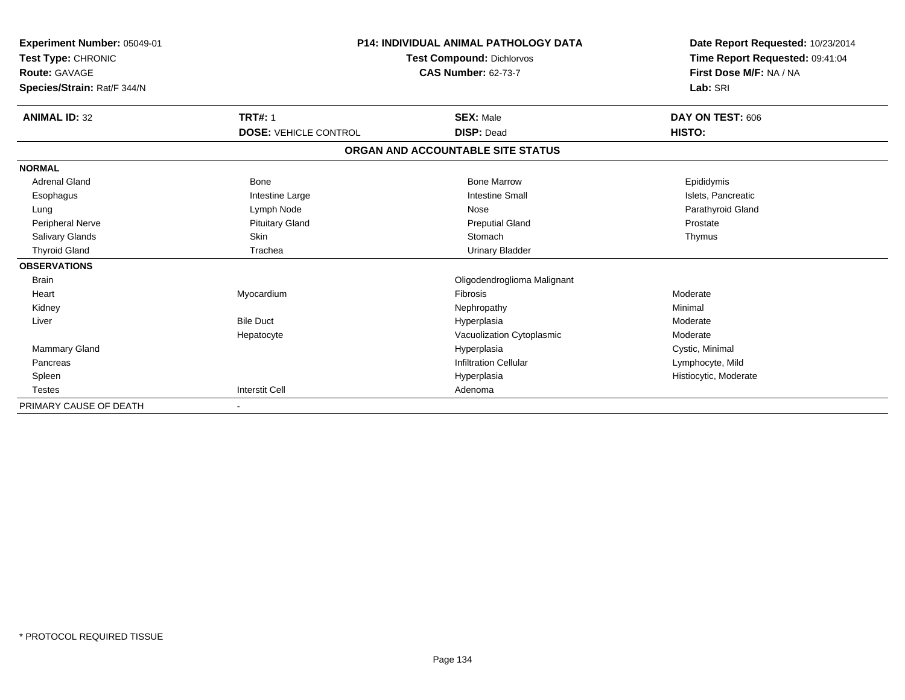| Experiment Number: 05049-01<br>Test Type: CHRONIC<br><b>Route: GAVAGE</b><br>Species/Strain: Rat/F 344/N |                              | <b>P14: INDIVIDUAL ANIMAL PATHOLOGY DATA</b><br><b>Test Compound: Dichlorvos</b><br><b>CAS Number: 62-73-7</b> |                       |
|----------------------------------------------------------------------------------------------------------|------------------------------|----------------------------------------------------------------------------------------------------------------|-----------------------|
| <b>ANIMAL ID: 32</b>                                                                                     | <b>TRT#: 1</b>               | <b>SEX: Male</b>                                                                                               | DAY ON TEST: 606      |
|                                                                                                          | <b>DOSE: VEHICLE CONTROL</b> | <b>DISP: Dead</b>                                                                                              | HISTO:                |
|                                                                                                          |                              | ORGAN AND ACCOUNTABLE SITE STATUS                                                                              |                       |
| <b>NORMAL</b>                                                                                            |                              |                                                                                                                |                       |
| <b>Adrenal Gland</b>                                                                                     | <b>Bone</b>                  | <b>Bone Marrow</b>                                                                                             | Epididymis            |
| Esophagus                                                                                                | Intestine Large              | <b>Intestine Small</b>                                                                                         | Islets, Pancreatic    |
| Lung                                                                                                     | Lymph Node                   | Nose                                                                                                           | Parathyroid Gland     |
| Peripheral Nerve                                                                                         | <b>Pituitary Gland</b>       | <b>Preputial Gland</b>                                                                                         | Prostate              |
| Salivary Glands                                                                                          | <b>Skin</b>                  | Stomach                                                                                                        | Thymus                |
| <b>Thyroid Gland</b>                                                                                     | Trachea                      | <b>Urinary Bladder</b>                                                                                         |                       |
| <b>OBSERVATIONS</b>                                                                                      |                              |                                                                                                                |                       |
| <b>Brain</b>                                                                                             |                              | Oligodendroglioma Malignant                                                                                    |                       |
| Heart                                                                                                    | Myocardium                   | Fibrosis                                                                                                       | Moderate              |
| Kidney                                                                                                   |                              | Nephropathy                                                                                                    | Minimal               |
| Liver                                                                                                    | <b>Bile Duct</b>             | Hyperplasia                                                                                                    | Moderate              |
|                                                                                                          | Hepatocyte                   | Vacuolization Cytoplasmic                                                                                      | Moderate              |
| Mammary Gland                                                                                            |                              | Hyperplasia                                                                                                    | Cystic, Minimal       |
| Pancreas                                                                                                 |                              | <b>Infiltration Cellular</b>                                                                                   | Lymphocyte, Mild      |
| Spleen                                                                                                   |                              | Hyperplasia                                                                                                    | Histiocytic, Moderate |
| <b>Testes</b>                                                                                            | <b>Interstit Cell</b>        | Adenoma                                                                                                        |                       |
| PRIMARY CAUSE OF DEATH                                                                                   |                              |                                                                                                                |                       |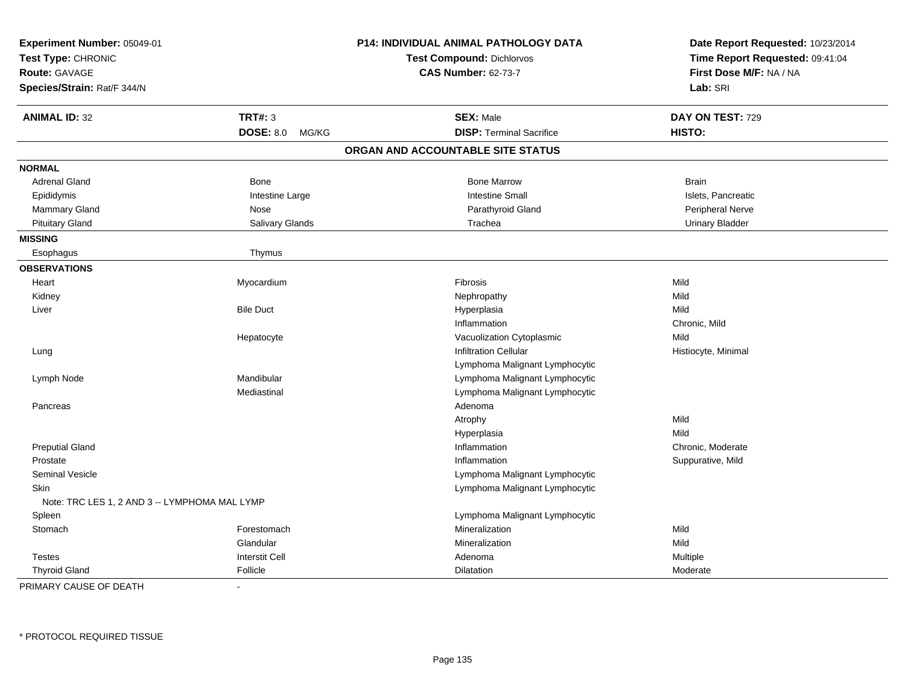| Experiment Number: 05049-01<br>Test Type: CHRONIC<br><b>Route: GAVAGE</b><br>Species/Strain: Rat/F 344/N |                           | P14: INDIVIDUAL ANIMAL PATHOLOGY DATA<br><b>Test Compound: Dichlorvos</b><br><b>CAS Number: 62-73-7</b> | Date Report Requested: 10/23/2014<br>Time Report Requested: 09:41:04<br>First Dose M/F: NA / NA<br>Lab: SRI |
|----------------------------------------------------------------------------------------------------------|---------------------------|---------------------------------------------------------------------------------------------------------|-------------------------------------------------------------------------------------------------------------|
| <b>ANIMAL ID: 32</b>                                                                                     | <b>TRT#: 3</b>            | <b>SEX: Male</b>                                                                                        | DAY ON TEST: 729                                                                                            |
|                                                                                                          | <b>DOSE: 8.0</b><br>MG/KG | <b>DISP: Terminal Sacrifice</b>                                                                         | HISTO:                                                                                                      |
|                                                                                                          |                           | ORGAN AND ACCOUNTABLE SITE STATUS                                                                       |                                                                                                             |
| <b>NORMAL</b>                                                                                            |                           |                                                                                                         |                                                                                                             |
| <b>Adrenal Gland</b>                                                                                     | Bone                      | <b>Bone Marrow</b>                                                                                      | <b>Brain</b>                                                                                                |
| Epididymis                                                                                               | Intestine Large           | <b>Intestine Small</b>                                                                                  | Islets, Pancreatic                                                                                          |
| Mammary Gland                                                                                            | Nose                      | Parathyroid Gland                                                                                       | Peripheral Nerve                                                                                            |
| <b>Pituitary Gland</b>                                                                                   | Salivary Glands           | Trachea                                                                                                 | <b>Urinary Bladder</b>                                                                                      |
| <b>MISSING</b>                                                                                           |                           |                                                                                                         |                                                                                                             |
| Esophagus                                                                                                | Thymus                    |                                                                                                         |                                                                                                             |
| <b>OBSERVATIONS</b>                                                                                      |                           |                                                                                                         |                                                                                                             |
| Heart                                                                                                    | Myocardium                | <b>Fibrosis</b>                                                                                         | Mild                                                                                                        |
| Kidney                                                                                                   |                           | Nephropathy                                                                                             | Mild                                                                                                        |
| Liver                                                                                                    | <b>Bile Duct</b>          | Hyperplasia                                                                                             | Mild                                                                                                        |
|                                                                                                          |                           | Inflammation                                                                                            | Chronic, Mild                                                                                               |
|                                                                                                          | Hepatocyte                | Vacuolization Cytoplasmic                                                                               | Mild                                                                                                        |
| Lung                                                                                                     |                           | <b>Infiltration Cellular</b>                                                                            | Histiocyte, Minimal                                                                                         |
|                                                                                                          |                           | Lymphoma Malignant Lymphocytic                                                                          |                                                                                                             |
| Lymph Node                                                                                               | Mandibular                | Lymphoma Malignant Lymphocytic                                                                          |                                                                                                             |
|                                                                                                          | Mediastinal               | Lymphoma Malignant Lymphocytic                                                                          |                                                                                                             |
| Pancreas                                                                                                 |                           | Adenoma                                                                                                 |                                                                                                             |
|                                                                                                          |                           | Atrophy                                                                                                 | Mild                                                                                                        |
|                                                                                                          |                           | Hyperplasia                                                                                             | Mild                                                                                                        |
| <b>Preputial Gland</b>                                                                                   |                           | Inflammation                                                                                            | Chronic, Moderate                                                                                           |
| Prostate                                                                                                 |                           | Inflammation                                                                                            | Suppurative, Mild                                                                                           |
| <b>Seminal Vesicle</b>                                                                                   |                           | Lymphoma Malignant Lymphocytic                                                                          |                                                                                                             |
| <b>Skin</b>                                                                                              |                           | Lymphoma Malignant Lymphocytic                                                                          |                                                                                                             |
| Note: TRC LES 1, 2 AND 3 -- LYMPHOMA MAL LYMP                                                            |                           |                                                                                                         |                                                                                                             |
| Spleen                                                                                                   |                           | Lymphoma Malignant Lymphocytic                                                                          |                                                                                                             |
| Stomach                                                                                                  | Forestomach               | Mineralization                                                                                          | Mild                                                                                                        |
|                                                                                                          | Glandular                 | Mineralization                                                                                          | Mild                                                                                                        |
| <b>Testes</b>                                                                                            | <b>Interstit Cell</b>     | Adenoma                                                                                                 | Multiple                                                                                                    |
| <b>Thyroid Gland</b>                                                                                     | Follicle                  | Dilatation                                                                                              | Moderate                                                                                                    |

PRIMARY CAUSE OF DEATH-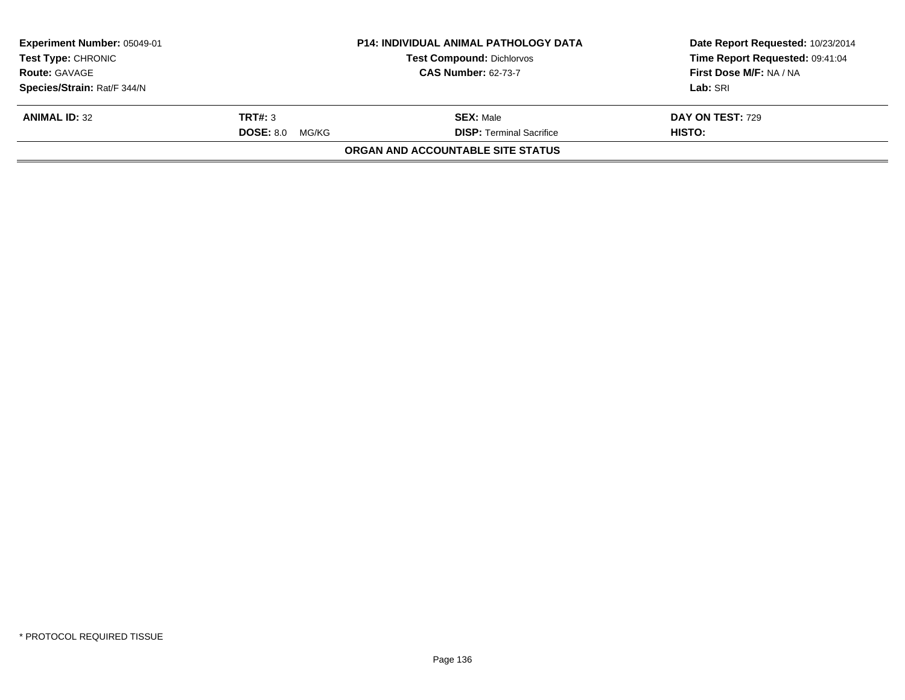| Experiment Number: 05049-01<br><b>Test Type: CHRONIC</b> |                           | <b>P14: INDIVIDUAL ANIMAL PATHOLOGY DATA</b> | Date Report Requested: 10/23/2014<br>Time Report Requested: 09:41:04 |
|----------------------------------------------------------|---------------------------|----------------------------------------------|----------------------------------------------------------------------|
|                                                          |                           | <b>Test Compound: Dichlorvos</b>             |                                                                      |
| <b>Route: GAVAGE</b>                                     |                           | <b>CAS Number: 62-73-7</b>                   | First Dose M/F: NA / NA                                              |
| Species/Strain: Rat/F 344/N                              |                           |                                              | Lab: SRI                                                             |
| <b>ANIMAL ID: 32</b>                                     | TRT#: 3                   | <b>SEX: Male</b>                             | <b>DAY ON TEST: 729</b>                                              |
|                                                          | <b>DOSE: 8.0</b><br>MG/KG | <b>DISP: Terminal Sacrifice</b>              | HISTO:                                                               |
|                                                          |                           | <b>ORGAN AND ACCOUNTABLE SITE STATUS</b>     |                                                                      |
|                                                          |                           |                                              |                                                                      |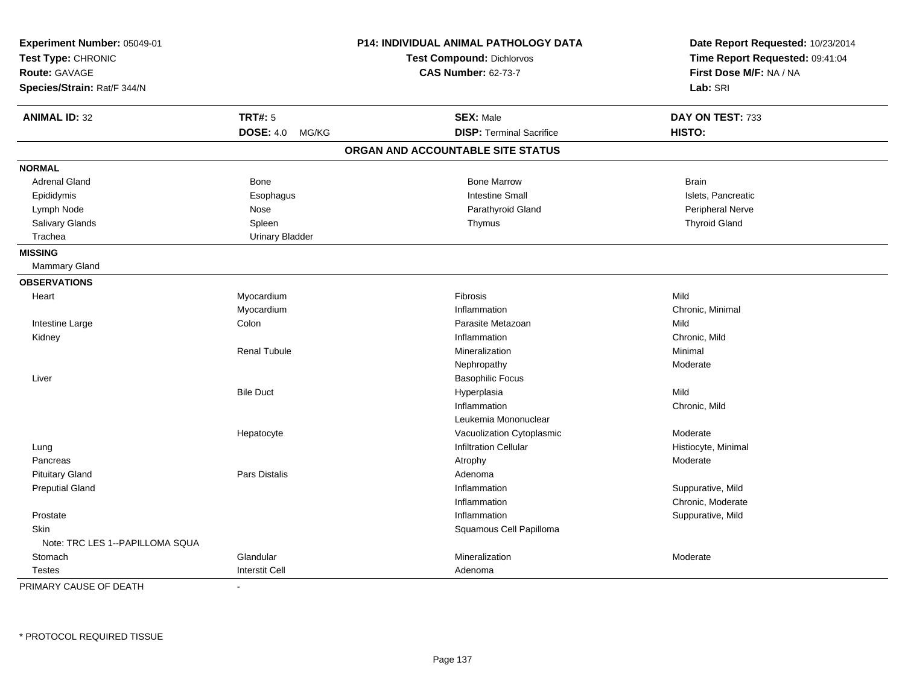| Experiment Number: 05049-01<br>Test Type: CHRONIC<br><b>Route: GAVAGE</b><br>Species/Strain: Rat/F 344/N |                           | P14: INDIVIDUAL ANIMAL PATHOLOGY DATA<br>Test Compound: Dichlorvos<br><b>CAS Number: 62-73-7</b> | Date Report Requested: 10/23/2014<br>Time Report Requested: 09:41:04<br>First Dose M/F: NA / NA<br>Lab: SRI |
|----------------------------------------------------------------------------------------------------------|---------------------------|--------------------------------------------------------------------------------------------------|-------------------------------------------------------------------------------------------------------------|
| <b>ANIMAL ID: 32</b>                                                                                     | <b>TRT#: 5</b>            | <b>SEX: Male</b>                                                                                 | DAY ON TEST: 733                                                                                            |
|                                                                                                          | <b>DOSE: 4.0</b><br>MG/KG | <b>DISP: Terminal Sacrifice</b>                                                                  | HISTO:                                                                                                      |
|                                                                                                          |                           | ORGAN AND ACCOUNTABLE SITE STATUS                                                                |                                                                                                             |
| <b>NORMAL</b>                                                                                            |                           |                                                                                                  |                                                                                                             |
| <b>Adrenal Gland</b>                                                                                     | Bone                      | <b>Bone Marrow</b>                                                                               | <b>Brain</b>                                                                                                |
| Epididymis                                                                                               | Esophagus                 | <b>Intestine Small</b>                                                                           | Islets, Pancreatic                                                                                          |
| Lymph Node                                                                                               | Nose                      | Parathyroid Gland                                                                                | Peripheral Nerve                                                                                            |
| Salivary Glands                                                                                          | Spleen                    | Thymus                                                                                           | <b>Thyroid Gland</b>                                                                                        |
| Trachea                                                                                                  | <b>Urinary Bladder</b>    |                                                                                                  |                                                                                                             |
| <b>MISSING</b>                                                                                           |                           |                                                                                                  |                                                                                                             |
| Mammary Gland                                                                                            |                           |                                                                                                  |                                                                                                             |
| <b>OBSERVATIONS</b>                                                                                      |                           |                                                                                                  |                                                                                                             |
| Heart                                                                                                    | Myocardium                | Fibrosis                                                                                         | Mild                                                                                                        |
|                                                                                                          | Myocardium                | Inflammation                                                                                     | Chronic, Minimal                                                                                            |
| Intestine Large                                                                                          | Colon                     | Parasite Metazoan                                                                                | Mild                                                                                                        |
| Kidney                                                                                                   |                           | Inflammation                                                                                     | Chronic, Mild                                                                                               |
|                                                                                                          | <b>Renal Tubule</b>       | Mineralization                                                                                   | Minimal                                                                                                     |
|                                                                                                          |                           | Nephropathy                                                                                      | Moderate                                                                                                    |
| Liver                                                                                                    |                           | <b>Basophilic Focus</b>                                                                          |                                                                                                             |
|                                                                                                          | <b>Bile Duct</b>          | Hyperplasia                                                                                      | Mild                                                                                                        |
|                                                                                                          |                           | Inflammation                                                                                     | Chronic, Mild                                                                                               |
|                                                                                                          |                           | Leukemia Mononuclear                                                                             |                                                                                                             |
|                                                                                                          | Hepatocyte                | Vacuolization Cytoplasmic                                                                        | Moderate                                                                                                    |
| Lung                                                                                                     |                           | <b>Infiltration Cellular</b>                                                                     | Histiocyte, Minimal                                                                                         |
| Pancreas                                                                                                 |                           | Atrophy                                                                                          | Moderate                                                                                                    |
| <b>Pituitary Gland</b>                                                                                   | Pars Distalis             | Adenoma                                                                                          |                                                                                                             |
| <b>Preputial Gland</b>                                                                                   |                           | Inflammation                                                                                     | Suppurative, Mild                                                                                           |
|                                                                                                          |                           | Inflammation                                                                                     | Chronic, Moderate                                                                                           |
| Prostate                                                                                                 |                           | Inflammation                                                                                     | Suppurative, Mild                                                                                           |
| Skin                                                                                                     |                           | Squamous Cell Papilloma                                                                          |                                                                                                             |
| Note: TRC LES 1--PAPILLOMA SQUA                                                                          |                           |                                                                                                  |                                                                                                             |
| Stomach                                                                                                  | Glandular                 | Mineralization                                                                                   | Moderate                                                                                                    |
| <b>Testes</b>                                                                                            | <b>Interstit Cell</b>     | Adenoma                                                                                          |                                                                                                             |

PRIMARY CAUSE OF DEATH-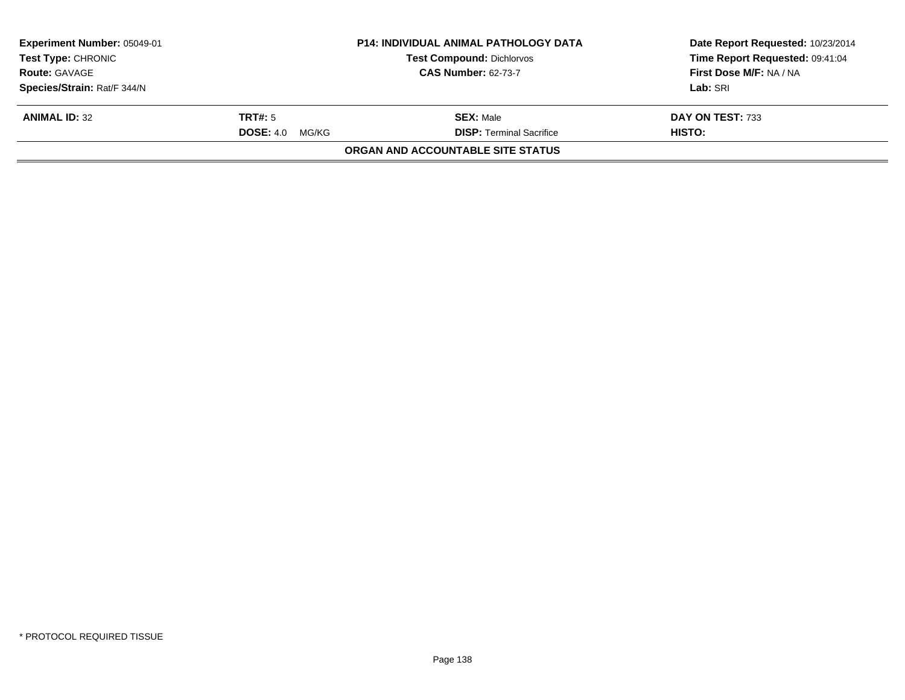| <b>Experiment Number: 05049-01</b><br><b>Test Type: CHRONIC</b> |                        | <b>P14: INDIVIDUAL ANIMAL PATHOLOGY DATA</b> | Date Report Requested: 10/23/2014 |
|-----------------------------------------------------------------|------------------------|----------------------------------------------|-----------------------------------|
|                                                                 |                        | <b>Test Compound: Dichlorvos</b>             | Time Report Requested: 09:41:04   |
| <b>Route: GAVAGE</b>                                            |                        | <b>CAS Number: 62-73-7</b>                   | First Dose M/F: NA / NA           |
| Species/Strain: Rat/F 344/N                                     |                        |                                              | Lab: SRI                          |
| <b>ANIMAL ID: 32</b>                                            | TRT#: 5                | <b>SEX: Male</b>                             | DAY ON TEST: 733                  |
|                                                                 | <b>DOSE: 4.0 MG/KG</b> | <b>DISP:</b> Terminal Sacrifice              | HISTO:                            |
|                                                                 |                        | <b>ORGAN AND ACCOUNTABLE SITE STATUS</b>     |                                   |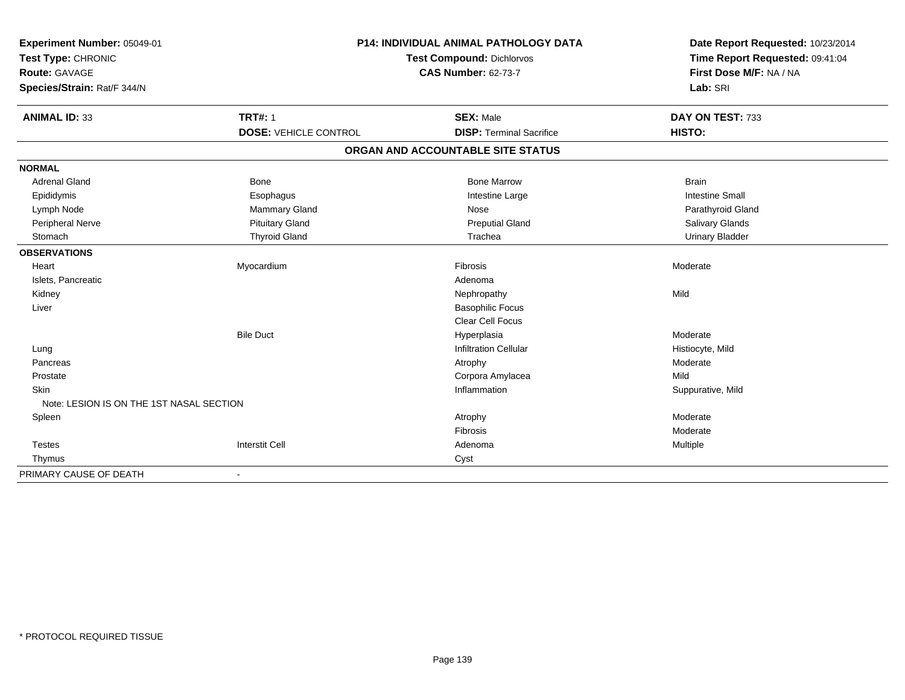| Experiment Number: 05049-01              | P14: INDIVIDUAL ANIMAL PATHOLOGY DATA |                                   | Date Report Requested: 10/23/2014 |
|------------------------------------------|---------------------------------------|-----------------------------------|-----------------------------------|
| Test Type: CHRONIC                       |                                       | <b>Test Compound: Dichlorvos</b>  | Time Report Requested: 09:41:04   |
| Route: GAVAGE                            |                                       | <b>CAS Number: 62-73-7</b>        | First Dose M/F: NA / NA           |
| Species/Strain: Rat/F 344/N              |                                       |                                   | Lab: SRI                          |
| <b>ANIMAL ID: 33</b>                     | <b>TRT#: 1</b>                        | <b>SEX: Male</b>                  | DAY ON TEST: 733                  |
|                                          | <b>DOSE: VEHICLE CONTROL</b>          | <b>DISP: Terminal Sacrifice</b>   | HISTO:                            |
|                                          |                                       | ORGAN AND ACCOUNTABLE SITE STATUS |                                   |
| <b>NORMAL</b>                            |                                       |                                   |                                   |
| <b>Adrenal Gland</b>                     | <b>Bone</b>                           | <b>Bone Marrow</b>                | <b>Brain</b>                      |
| Epididymis                               | Esophagus                             | Intestine Large                   | <b>Intestine Small</b>            |
| Lymph Node                               | Mammary Gland                         | Nose                              | Parathyroid Gland                 |
| Peripheral Nerve                         | <b>Pituitary Gland</b>                | <b>Preputial Gland</b>            | Salivary Glands                   |
| Stomach                                  | <b>Thyroid Gland</b>                  | Trachea                           | <b>Urinary Bladder</b>            |
| <b>OBSERVATIONS</b>                      |                                       |                                   |                                   |
| Heart                                    | Myocardium                            | Fibrosis                          | Moderate                          |
| Islets, Pancreatic                       |                                       | Adenoma                           |                                   |
| Kidney                                   |                                       | Nephropathy                       | Mild                              |
| Liver                                    |                                       | <b>Basophilic Focus</b>           |                                   |
|                                          |                                       | <b>Clear Cell Focus</b>           |                                   |
|                                          | <b>Bile Duct</b>                      | Hyperplasia                       | Moderate                          |
| Lung                                     |                                       | <b>Infiltration Cellular</b>      | Histiocyte, Mild                  |
| Pancreas                                 |                                       | Atrophy                           | Moderate                          |
| Prostate                                 |                                       | Corpora Amylacea                  | Mild                              |
| <b>Skin</b>                              |                                       | Inflammation                      | Suppurative, Mild                 |
| Note: LESION IS ON THE 1ST NASAL SECTION |                                       |                                   |                                   |
| Spleen                                   |                                       | Atrophy                           | Moderate                          |
|                                          |                                       | Fibrosis                          | Moderate                          |
| <b>Testes</b>                            | <b>Interstit Cell</b>                 | Adenoma                           | Multiple                          |
| Thymus                                   |                                       | Cyst                              |                                   |
| PRIMARY CAUSE OF DEATH                   |                                       |                                   |                                   |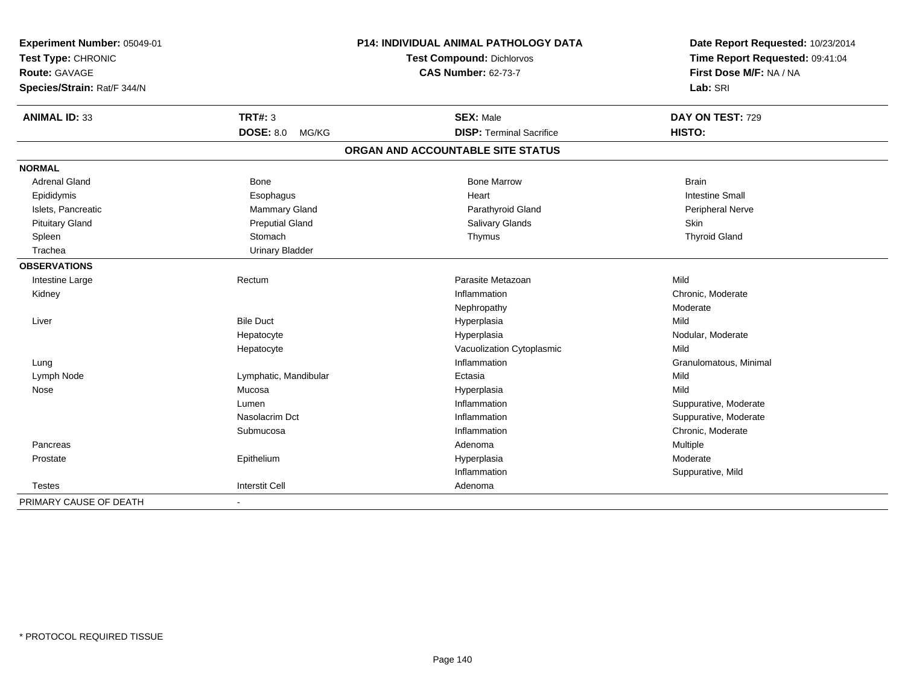| Experiment Number: 05049-01<br>Test Type: CHRONIC<br>Route: GAVAGE<br>Species/Strain: Rat/F 344/N |                           | P14: INDIVIDUAL ANIMAL PATHOLOGY DATA<br>Test Compound: Dichlorvos<br><b>CAS Number: 62-73-7</b> | Date Report Requested: 10/23/2014<br>Time Report Requested: 09:41:04<br>First Dose M/F: NA / NA<br>Lab: SRI |
|---------------------------------------------------------------------------------------------------|---------------------------|--------------------------------------------------------------------------------------------------|-------------------------------------------------------------------------------------------------------------|
| <b>ANIMAL ID: 33</b>                                                                              | <b>TRT#: 3</b>            | <b>SEX: Male</b>                                                                                 | DAY ON TEST: 729                                                                                            |
|                                                                                                   | <b>DOSE: 8.0</b><br>MG/KG | <b>DISP: Terminal Sacrifice</b>                                                                  | HISTO:                                                                                                      |
|                                                                                                   |                           | ORGAN AND ACCOUNTABLE SITE STATUS                                                                |                                                                                                             |
| <b>NORMAL</b>                                                                                     |                           |                                                                                                  |                                                                                                             |
| <b>Adrenal Gland</b>                                                                              | <b>Bone</b>               | <b>Bone Marrow</b>                                                                               | <b>Brain</b>                                                                                                |
| Epididymis                                                                                        | Esophagus                 | Heart                                                                                            | <b>Intestine Small</b>                                                                                      |
| Islets, Pancreatic                                                                                | Mammary Gland             | Parathyroid Gland                                                                                | Peripheral Nerve                                                                                            |
| <b>Pituitary Gland</b>                                                                            | <b>Preputial Gland</b>    | Salivary Glands                                                                                  | Skin                                                                                                        |
| Spleen                                                                                            | Stomach                   | Thymus                                                                                           | <b>Thyroid Gland</b>                                                                                        |
| Trachea                                                                                           | <b>Urinary Bladder</b>    |                                                                                                  |                                                                                                             |
| <b>OBSERVATIONS</b>                                                                               |                           |                                                                                                  |                                                                                                             |
| Intestine Large                                                                                   | Rectum                    | Parasite Metazoan                                                                                | Mild                                                                                                        |
| Kidney                                                                                            |                           | Inflammation                                                                                     | Chronic, Moderate                                                                                           |
|                                                                                                   |                           | Nephropathy                                                                                      | Moderate                                                                                                    |
| Liver                                                                                             | <b>Bile Duct</b>          | Hyperplasia                                                                                      | Mild                                                                                                        |
|                                                                                                   | Hepatocyte                | Hyperplasia                                                                                      | Nodular, Moderate                                                                                           |
|                                                                                                   | Hepatocyte                | Vacuolization Cytoplasmic                                                                        | Mild                                                                                                        |
| Lung                                                                                              |                           | Inflammation                                                                                     | Granulomatous, Minimal                                                                                      |
| Lymph Node                                                                                        | Lymphatic, Mandibular     | Ectasia                                                                                          | Mild                                                                                                        |
| Nose                                                                                              | Mucosa                    | Hyperplasia                                                                                      | Mild                                                                                                        |
|                                                                                                   | Lumen                     | Inflammation                                                                                     | Suppurative, Moderate                                                                                       |
|                                                                                                   | Nasolacrim Dct            | Inflammation                                                                                     | Suppurative, Moderate                                                                                       |
|                                                                                                   | Submucosa                 | Inflammation                                                                                     | Chronic, Moderate                                                                                           |
| Pancreas                                                                                          |                           | Adenoma                                                                                          | Multiple                                                                                                    |
| Prostate                                                                                          | Epithelium                | Hyperplasia                                                                                      | Moderate                                                                                                    |
|                                                                                                   |                           | Inflammation                                                                                     | Suppurative, Mild                                                                                           |
| <b>Testes</b>                                                                                     | <b>Interstit Cell</b>     | Adenoma                                                                                          |                                                                                                             |
| PRIMARY CAUSE OF DEATH                                                                            | $\blacksquare$            |                                                                                                  |                                                                                                             |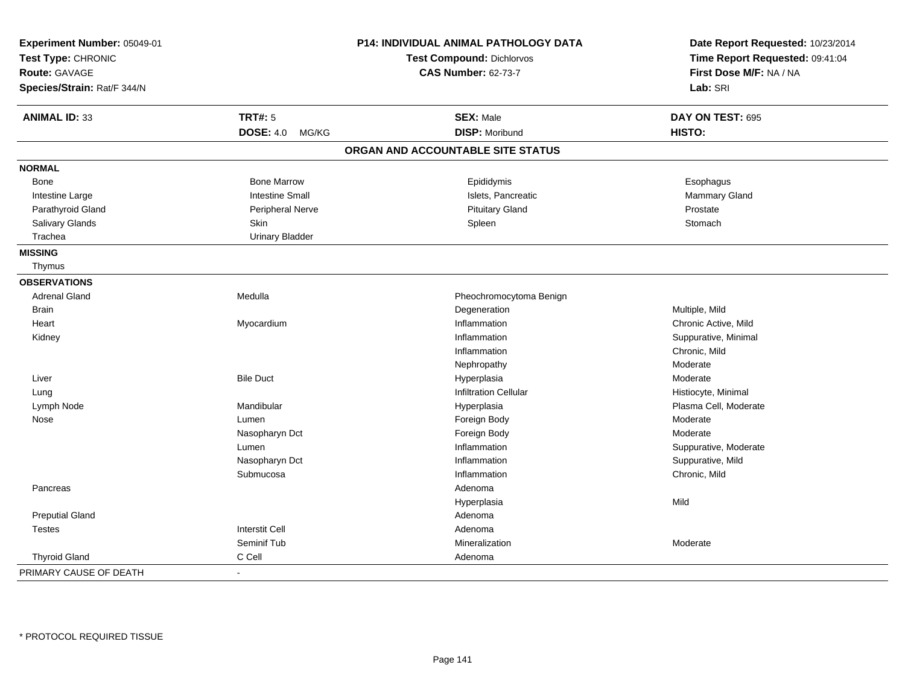| Experiment Number: 05049-01 |                           | P14: INDIVIDUAL ANIMAL PATHOLOGY DATA | Date Report Requested: 10/23/2014 |
|-----------------------------|---------------------------|---------------------------------------|-----------------------------------|
| Test Type: CHRONIC          |                           | <b>Test Compound: Dichlorvos</b>      | Time Report Requested: 09:41:04   |
| Route: GAVAGE               |                           | <b>CAS Number: 62-73-7</b>            | First Dose M/F: NA / NA           |
| Species/Strain: Rat/F 344/N |                           |                                       | Lab: SRI                          |
| <b>ANIMAL ID: 33</b>        | <b>TRT#: 5</b>            | <b>SEX: Male</b>                      | DAY ON TEST: 695                  |
|                             | <b>DOSE: 4.0</b><br>MG/KG | <b>DISP: Moribund</b>                 | HISTO:                            |
|                             |                           | ORGAN AND ACCOUNTABLE SITE STATUS     |                                   |
| <b>NORMAL</b>               |                           |                                       |                                   |
| Bone                        | <b>Bone Marrow</b>        | Epididymis                            | Esophagus                         |
| Intestine Large             | <b>Intestine Small</b>    | Islets, Pancreatic                    | Mammary Gland                     |
| Parathyroid Gland           | Peripheral Nerve          | <b>Pituitary Gland</b>                | Prostate                          |
| Salivary Glands             | Skin                      | Spleen                                | Stomach                           |
| Trachea                     | <b>Urinary Bladder</b>    |                                       |                                   |
| <b>MISSING</b>              |                           |                                       |                                   |
| Thymus                      |                           |                                       |                                   |
| <b>OBSERVATIONS</b>         |                           |                                       |                                   |
| <b>Adrenal Gland</b>        | Medulla                   | Pheochromocytoma Benign               |                                   |
| Brain                       |                           | Degeneration                          | Multiple, Mild                    |
| Heart                       | Myocardium                | Inflammation                          | Chronic Active, Mild              |
| Kidney                      |                           | Inflammation                          | Suppurative, Minimal              |
|                             |                           | Inflammation                          | Chronic, Mild                     |
|                             |                           | Nephropathy                           | Moderate                          |
| Liver                       | <b>Bile Duct</b>          | Hyperplasia                           | Moderate                          |
| Lung                        |                           | <b>Infiltration Cellular</b>          | Histiocyte, Minimal               |
| Lymph Node                  | Mandibular                | Hyperplasia                           | Plasma Cell, Moderate             |
| Nose                        | Lumen                     | Foreign Body                          | Moderate                          |
|                             | Nasopharyn Dct            | Foreign Body                          | Moderate                          |
|                             | Lumen                     | Inflammation                          | Suppurative, Moderate             |
|                             | Nasopharyn Dct            | Inflammation                          | Suppurative, Mild                 |
|                             | Submucosa                 | Inflammation                          | Chronic, Mild                     |
| Pancreas                    |                           | Adenoma                               |                                   |
|                             |                           | Hyperplasia                           | Mild                              |
| <b>Preputial Gland</b>      |                           | Adenoma                               |                                   |
| <b>Testes</b>               | <b>Interstit Cell</b>     | Adenoma                               |                                   |
|                             | Seminif Tub               | Mineralization                        | Moderate                          |
| <b>Thyroid Gland</b>        | C Cell                    | Adenoma                               |                                   |
| PRIMARY CAUSE OF DEATH      |                           |                                       |                                   |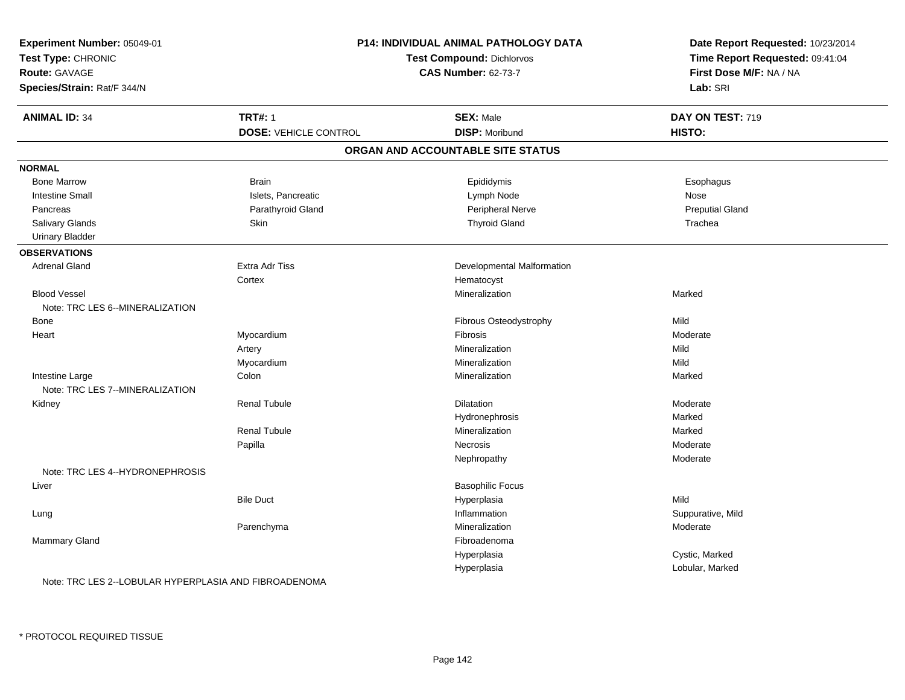| Experiment Number: 05049-01     |                                  | <b>P14: INDIVIDUAL ANIMAL PATHOLOGY DATA</b> | Date Report Requested: 10/23/2014 |  |
|---------------------------------|----------------------------------|----------------------------------------------|-----------------------------------|--|
| Test Type: CHRONIC              | <b>Test Compound: Dichlorvos</b> |                                              | Time Report Requested: 09:41:04   |  |
| <b>Route: GAVAGE</b>            |                                  | <b>CAS Number: 62-73-7</b>                   | First Dose M/F: NA / NA           |  |
| Species/Strain: Rat/F 344/N     |                                  |                                              | Lab: SRI                          |  |
| <b>ANIMAL ID: 34</b>            | <b>TRT#: 1</b>                   | <b>SEX: Male</b>                             | DAY ON TEST: 719                  |  |
|                                 | <b>DOSE: VEHICLE CONTROL</b>     | <b>DISP: Moribund</b>                        | HISTO:                            |  |
|                                 |                                  | ORGAN AND ACCOUNTABLE SITE STATUS            |                                   |  |
| <b>NORMAL</b>                   |                                  |                                              |                                   |  |
| <b>Bone Marrow</b>              | <b>Brain</b>                     | Epididymis                                   | Esophagus                         |  |
| <b>Intestine Small</b>          | Islets, Pancreatic               | Lymph Node                                   | Nose                              |  |
| Pancreas                        | Parathyroid Gland                | Peripheral Nerve                             | <b>Preputial Gland</b>            |  |
| Salivary Glands                 | Skin                             | <b>Thyroid Gland</b>                         | Trachea                           |  |
| <b>Urinary Bladder</b>          |                                  |                                              |                                   |  |
| <b>OBSERVATIONS</b>             |                                  |                                              |                                   |  |
| <b>Adrenal Gland</b>            | <b>Extra Adr Tiss</b>            | Developmental Malformation                   |                                   |  |
|                                 | Cortex                           | Hematocyst                                   |                                   |  |
| <b>Blood Vessel</b>             |                                  | Mineralization                               | Marked                            |  |
| Note: TRC LES 6--MINERALIZATION |                                  |                                              |                                   |  |
| <b>Bone</b>                     |                                  | Fibrous Osteodystrophy                       | Mild                              |  |
| Heart                           | Myocardium                       | Fibrosis                                     | Moderate                          |  |
|                                 | Artery                           | Mineralization                               | Mild                              |  |
|                                 | Myocardium                       | Mineralization                               | Mild                              |  |
| Intestine Large                 | Colon                            | Mineralization                               | Marked                            |  |
| Note: TRC LES 7--MINERALIZATION |                                  |                                              |                                   |  |
| Kidney                          | <b>Renal Tubule</b>              | Dilatation                                   | Moderate                          |  |
|                                 |                                  | Hydronephrosis                               | Marked                            |  |
|                                 | <b>Renal Tubule</b>              | Mineralization                               | Marked                            |  |
|                                 | Papilla                          | <b>Necrosis</b>                              | Moderate                          |  |
|                                 |                                  | Nephropathy                                  | Moderate                          |  |
| Note: TRC LES 4--HYDRONEPHROSIS |                                  |                                              |                                   |  |
| Liver                           |                                  | <b>Basophilic Focus</b>                      |                                   |  |
|                                 | <b>Bile Duct</b>                 | Hyperplasia                                  | Mild                              |  |
| Lung                            |                                  | Inflammation                                 | Suppurative, Mild                 |  |
|                                 | Parenchyma                       | Mineralization                               | Moderate                          |  |
| Mammary Gland                   |                                  | Fibroadenoma                                 |                                   |  |
|                                 |                                  | Hyperplasia                                  | Cystic, Marked                    |  |
|                                 |                                  | Hyperplasia                                  | Lobular, Marked                   |  |

Note: TRC LES 2--LOBULAR HYPERPLASIA AND FIBROADENOMA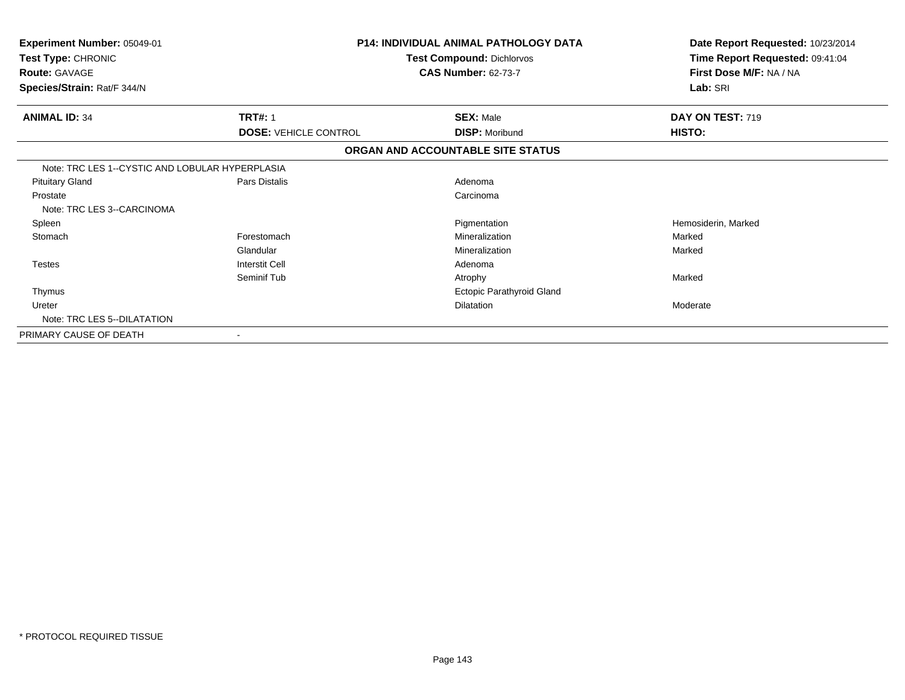| Experiment Number: 05049-01<br>Test Type: CHRONIC<br><b>Route: GAVAGE</b><br>Species/Strain: Rat/F 344/N |                                                | <b>P14: INDIVIDUAL ANIMAL PATHOLOGY DATA</b><br><b>Test Compound: Dichlorvos</b><br><b>CAS Number: 62-73-7</b> | Date Report Requested: 10/23/2014<br>Time Report Requested: 09:41:04<br>First Dose M/F: NA / NA<br>Lab: SRI |
|----------------------------------------------------------------------------------------------------------|------------------------------------------------|----------------------------------------------------------------------------------------------------------------|-------------------------------------------------------------------------------------------------------------|
| <b>ANIMAL ID: 34</b>                                                                                     | <b>TRT#: 1</b><br><b>DOSE: VEHICLE CONTROL</b> | <b>SEX: Male</b><br><b>DISP: Moribund</b>                                                                      | DAY ON TEST: 719<br>HISTO:                                                                                  |
|                                                                                                          |                                                | ORGAN AND ACCOUNTABLE SITE STATUS                                                                              |                                                                                                             |
| Note: TRC LES 1--CYSTIC AND LOBULAR HYPERPLASIA                                                          |                                                |                                                                                                                |                                                                                                             |
| <b>Pituitary Gland</b>                                                                                   | Pars Distalis                                  | Adenoma                                                                                                        |                                                                                                             |
| Prostate<br>Note: TRC LES 3--CARCINOMA                                                                   |                                                | Carcinoma                                                                                                      |                                                                                                             |
| Spleen                                                                                                   |                                                | Pigmentation                                                                                                   | Hemosiderin, Marked                                                                                         |
| Stomach                                                                                                  | Forestomach                                    | Mineralization                                                                                                 | Marked                                                                                                      |
|                                                                                                          | Glandular                                      | Mineralization                                                                                                 | Marked                                                                                                      |
| <b>Testes</b>                                                                                            | <b>Interstit Cell</b>                          | Adenoma                                                                                                        |                                                                                                             |
|                                                                                                          | Seminif Tub                                    | Atrophy                                                                                                        | Marked                                                                                                      |
| Thymus                                                                                                   |                                                | Ectopic Parathyroid Gland                                                                                      |                                                                                                             |
| Ureter                                                                                                   |                                                | <b>Dilatation</b>                                                                                              | Moderate                                                                                                    |
| Note: TRC LES 5--DILATATION                                                                              |                                                |                                                                                                                |                                                                                                             |
| PRIMARY CAUSE OF DEATH                                                                                   | $\blacksquare$                                 |                                                                                                                |                                                                                                             |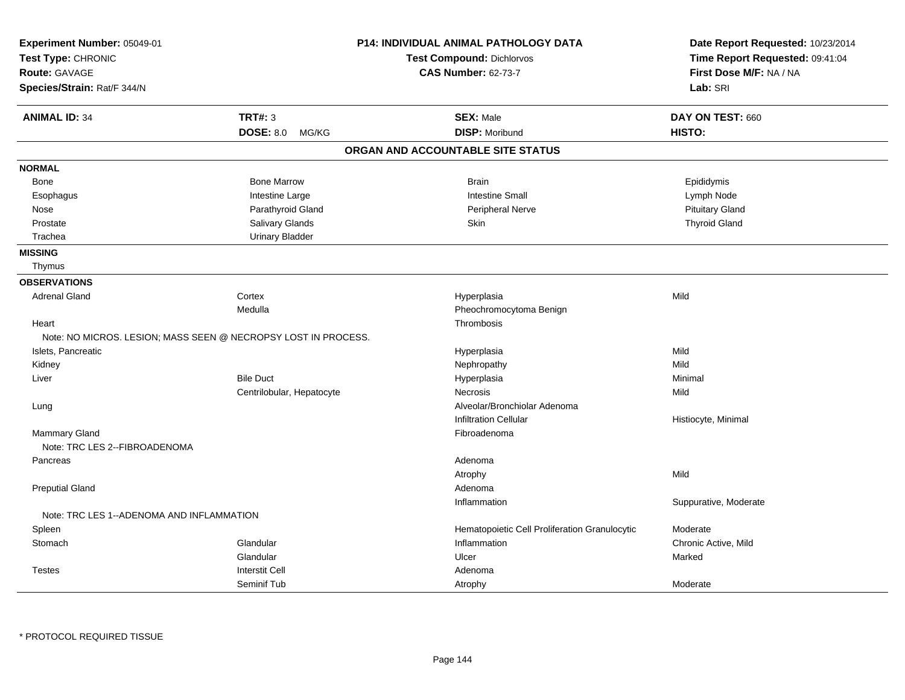| Experiment Number: 05049-01<br>Test Type: CHRONIC              |                           | <b>P14: INDIVIDUAL ANIMAL PATHOLOGY DATA</b><br>Test Compound: Dichlorvos | Date Report Requested: 10/23/2014<br>Time Report Requested: 09:41:04 |
|----------------------------------------------------------------|---------------------------|---------------------------------------------------------------------------|----------------------------------------------------------------------|
| Route: GAVAGE                                                  |                           | <b>CAS Number: 62-73-7</b>                                                | First Dose M/F: NA / NA                                              |
| Species/Strain: Rat/F 344/N                                    |                           |                                                                           | Lab: SRI                                                             |
| <b>ANIMAL ID: 34</b>                                           | <b>TRT#: 3</b>            | <b>SEX: Male</b>                                                          | DAY ON TEST: 660                                                     |
|                                                                | <b>DOSE: 8.0</b><br>MG/KG | <b>DISP: Moribund</b>                                                     | HISTO:                                                               |
|                                                                |                           | ORGAN AND ACCOUNTABLE SITE STATUS                                         |                                                                      |
| <b>NORMAL</b>                                                  |                           |                                                                           |                                                                      |
| Bone                                                           | <b>Bone Marrow</b>        | <b>Brain</b>                                                              | Epididymis                                                           |
| Esophagus                                                      | Intestine Large           | <b>Intestine Small</b>                                                    | Lymph Node                                                           |
| Nose                                                           | Parathyroid Gland         | Peripheral Nerve                                                          | <b>Pituitary Gland</b>                                               |
| Prostate                                                       | Salivary Glands           | Skin                                                                      | <b>Thyroid Gland</b>                                                 |
| Trachea                                                        | <b>Urinary Bladder</b>    |                                                                           |                                                                      |
| <b>MISSING</b>                                                 |                           |                                                                           |                                                                      |
| Thymus                                                         |                           |                                                                           |                                                                      |
| <b>OBSERVATIONS</b>                                            |                           |                                                                           |                                                                      |
| <b>Adrenal Gland</b>                                           | Cortex                    | Hyperplasia                                                               | Mild                                                                 |
|                                                                | Medulla                   | Pheochromocytoma Benign                                                   |                                                                      |
| Heart                                                          |                           | Thrombosis                                                                |                                                                      |
| Note: NO MICROS. LESION; MASS SEEN @ NECROPSY LOST IN PROCESS. |                           |                                                                           |                                                                      |
| Islets, Pancreatic                                             |                           | Hyperplasia                                                               | Mild                                                                 |
| Kidney                                                         |                           | Nephropathy                                                               | Mild                                                                 |
| Liver                                                          | <b>Bile Duct</b>          | Hyperplasia                                                               | Minimal                                                              |
|                                                                | Centrilobular, Hepatocyte | Necrosis                                                                  | Mild                                                                 |
| Lung                                                           |                           | Alveolar/Bronchiolar Adenoma                                              |                                                                      |
|                                                                |                           | <b>Infiltration Cellular</b>                                              | Histiocyte, Minimal                                                  |
| Mammary Gland                                                  |                           | Fibroadenoma                                                              |                                                                      |
| Note: TRC LES 2--FIBROADENOMA                                  |                           |                                                                           |                                                                      |
| Pancreas                                                       |                           | Adenoma                                                                   |                                                                      |
|                                                                |                           | Atrophy                                                                   | Mild                                                                 |
| <b>Preputial Gland</b>                                         |                           | Adenoma                                                                   |                                                                      |
|                                                                |                           | Inflammation                                                              | Suppurative, Moderate                                                |
| Note: TRC LES 1--ADENOMA AND INFLAMMATION                      |                           |                                                                           |                                                                      |
| Spleen                                                         |                           | Hematopoietic Cell Proliferation Granulocytic                             | Moderate                                                             |
| Stomach                                                        | Glandular                 | Inflammation                                                              | Chronic Active, Mild                                                 |
|                                                                | Glandular                 | Ulcer                                                                     | Marked                                                               |
| <b>Testes</b>                                                  | <b>Interstit Cell</b>     | Adenoma                                                                   |                                                                      |
|                                                                | Seminif Tub               | Atrophy                                                                   | Moderate                                                             |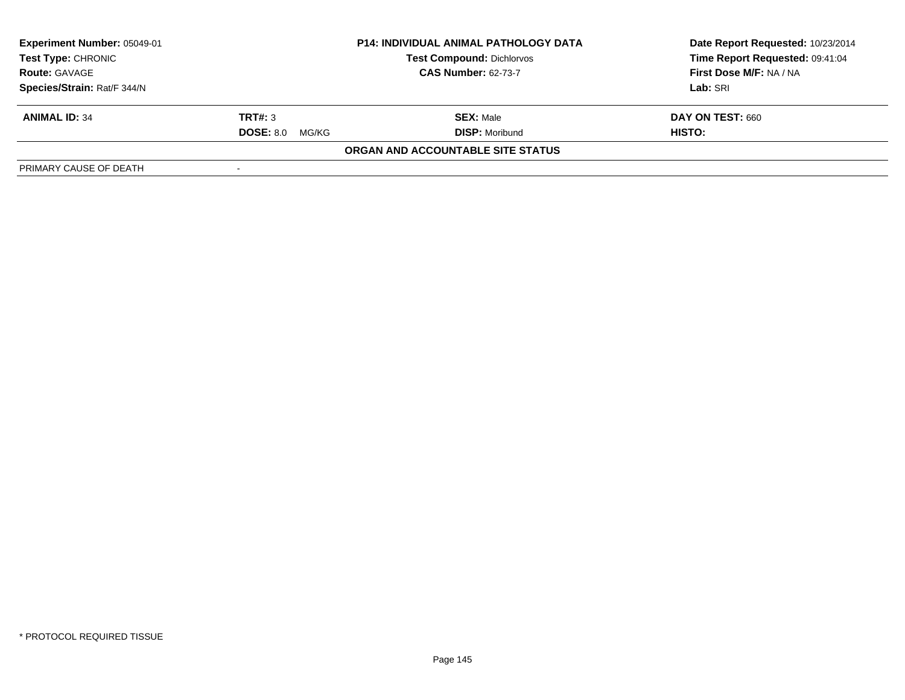| <b>Experiment Number: 05049-01</b><br><b>Test Type: CHRONIC</b> | <b>P14: INDIVIDUAL ANIMAL PATHOLOGY DATA</b><br><b>Test Compound: Dichlorvos</b><br><b>CAS Number: 62-73-7</b> |                                   | Date Report Requested: 10/23/2014<br>Time Report Requested: 09:41:04 |
|-----------------------------------------------------------------|----------------------------------------------------------------------------------------------------------------|-----------------------------------|----------------------------------------------------------------------|
| <b>Route: GAVAGE</b>                                            |                                                                                                                |                                   | First Dose M/F: NA / NA                                              |
| Species/Strain: Rat/F 344/N                                     |                                                                                                                |                                   | Lab: SRI                                                             |
| <b>ANIMAL ID: 34</b>                                            | TRT#: 3                                                                                                        | <b>SEX: Male</b>                  | <b>DAY ON TEST: 660</b>                                              |
|                                                                 | <b>DOSE: 8.0</b><br>MG/KG                                                                                      | <b>DISP: Moribund</b>             | HISTO:                                                               |
|                                                                 |                                                                                                                | ORGAN AND ACCOUNTABLE SITE STATUS |                                                                      |
| PRIMARY CAUSE OF DEATH                                          |                                                                                                                |                                   |                                                                      |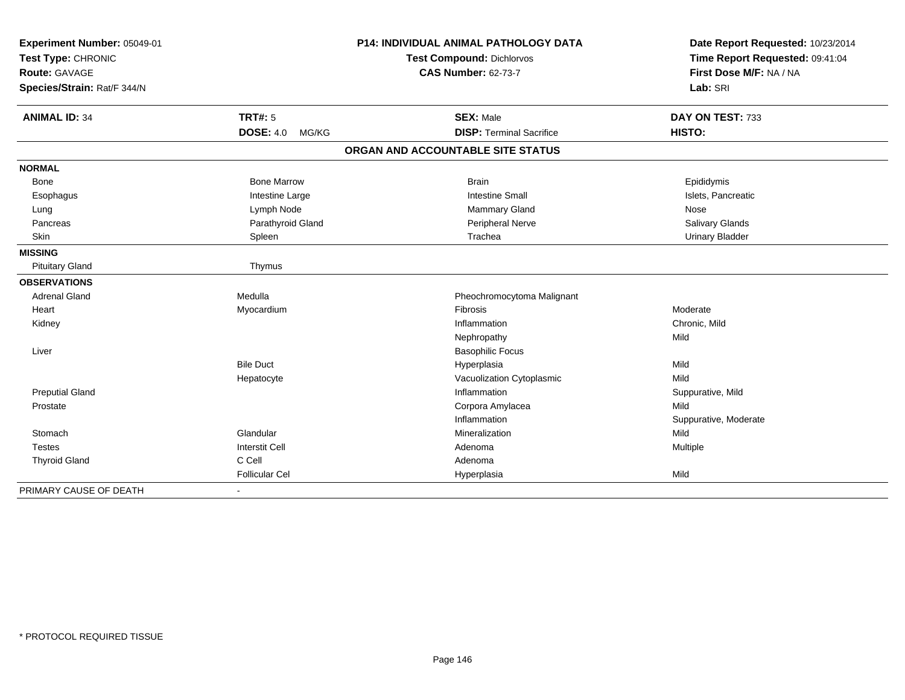| Experiment Number: 05049-01<br>Test Type: CHRONIC |                           | <b>P14: INDIVIDUAL ANIMAL PATHOLOGY DATA</b> | Date Report Requested: 10/23/2014<br>Time Report Requested: 09:41:04 |
|---------------------------------------------------|---------------------------|----------------------------------------------|----------------------------------------------------------------------|
|                                                   |                           | Test Compound: Dichlorvos                    |                                                                      |
| Route: GAVAGE                                     |                           | <b>CAS Number: 62-73-7</b>                   | First Dose M/F: NA / NA                                              |
| Species/Strain: Rat/F 344/N                       |                           |                                              | Lab: SRI                                                             |
| <b>ANIMAL ID: 34</b>                              | <b>TRT#: 5</b>            | <b>SEX: Male</b>                             | DAY ON TEST: 733                                                     |
|                                                   | <b>DOSE: 4.0</b><br>MG/KG | <b>DISP: Terminal Sacrifice</b>              | HISTO:                                                               |
|                                                   |                           | ORGAN AND ACCOUNTABLE SITE STATUS            |                                                                      |
| <b>NORMAL</b>                                     |                           |                                              |                                                                      |
| <b>Bone</b>                                       | <b>Bone Marrow</b>        | <b>Brain</b>                                 | Epididymis                                                           |
| Esophagus                                         | Intestine Large           | <b>Intestine Small</b>                       | Islets, Pancreatic                                                   |
| Lung                                              | Lymph Node                | Mammary Gland                                | Nose                                                                 |
| Pancreas                                          | Parathyroid Gland         | Peripheral Nerve                             | Salivary Glands                                                      |
| Skin                                              | Spleen                    | Trachea                                      | <b>Urinary Bladder</b>                                               |
| <b>MISSING</b>                                    |                           |                                              |                                                                      |
| <b>Pituitary Gland</b>                            | Thymus                    |                                              |                                                                      |
| <b>OBSERVATIONS</b>                               |                           |                                              |                                                                      |
| <b>Adrenal Gland</b>                              | Medulla                   | Pheochromocytoma Malignant                   |                                                                      |
| Heart                                             | Myocardium                | Fibrosis                                     | Moderate                                                             |
| Kidney                                            |                           | Inflammation                                 | Chronic, Mild                                                        |
|                                                   |                           | Nephropathy                                  | Mild                                                                 |
| Liver                                             |                           | <b>Basophilic Focus</b>                      |                                                                      |
|                                                   | <b>Bile Duct</b>          | Hyperplasia                                  | Mild                                                                 |
|                                                   | Hepatocyte                | Vacuolization Cytoplasmic                    | Mild                                                                 |
| <b>Preputial Gland</b>                            |                           | Inflammation                                 | Suppurative, Mild                                                    |
| Prostate                                          |                           | Corpora Amylacea                             | Mild                                                                 |
|                                                   |                           | Inflammation                                 | Suppurative, Moderate                                                |
| Stomach                                           | Glandular                 | Mineralization                               | Mild                                                                 |
| <b>Testes</b>                                     | <b>Interstit Cell</b>     | Adenoma                                      | Multiple                                                             |
| <b>Thyroid Gland</b>                              | C Cell                    | Adenoma                                      |                                                                      |
|                                                   | <b>Follicular Cel</b>     | Hyperplasia                                  | Mild                                                                 |
| PRIMARY CAUSE OF DEATH                            |                           |                                              |                                                                      |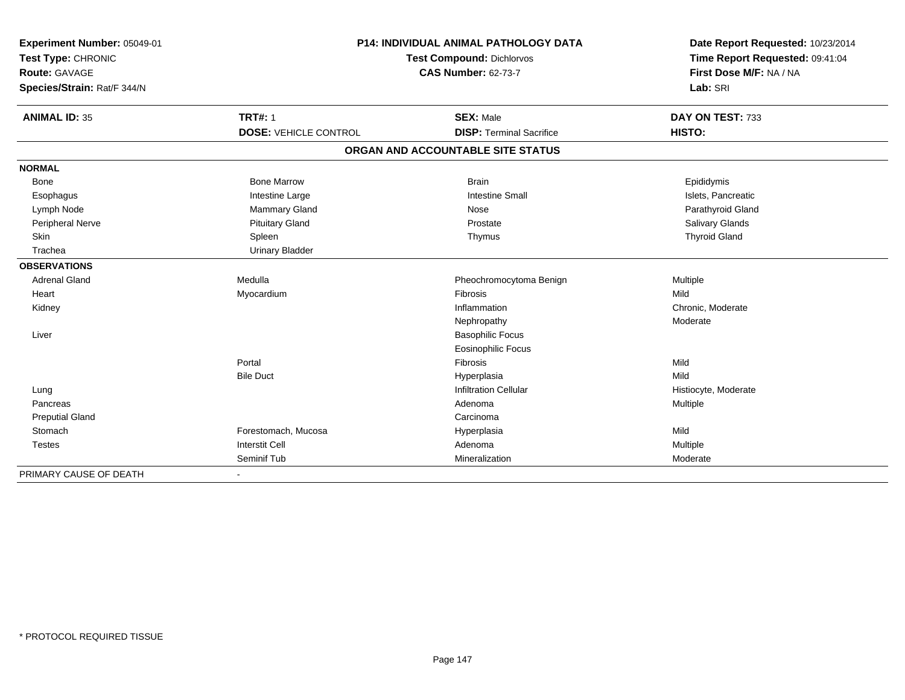| Experiment Number: 05049-01 |                              | <b>P14: INDIVIDUAL ANIMAL PATHOLOGY DATA</b> |                                 |  |
|-----------------------------|------------------------------|----------------------------------------------|---------------------------------|--|
| Test Type: CHRONIC          | Test Compound: Dichlorvos    |                                              | Time Report Requested: 09:41:04 |  |
| Route: GAVAGE               |                              | <b>CAS Number: 62-73-7</b>                   | First Dose M/F: NA / NA         |  |
| Species/Strain: Rat/F 344/N |                              |                                              | Lab: SRI                        |  |
| <b>ANIMAL ID: 35</b>        | <b>TRT#: 1</b>               | <b>SEX: Male</b>                             | DAY ON TEST: 733                |  |
|                             | <b>DOSE: VEHICLE CONTROL</b> | <b>DISP: Terminal Sacrifice</b>              | HISTO:                          |  |
|                             |                              | ORGAN AND ACCOUNTABLE SITE STATUS            |                                 |  |
| <b>NORMAL</b>               |                              |                                              |                                 |  |
| <b>Bone</b>                 | <b>Bone Marrow</b>           | <b>Brain</b>                                 | Epididymis                      |  |
| Esophagus                   | Intestine Large              | <b>Intestine Small</b>                       | Islets, Pancreatic              |  |
| Lymph Node                  | <b>Mammary Gland</b>         | Nose                                         | Parathyroid Gland               |  |
| Peripheral Nerve            | <b>Pituitary Gland</b>       | Prostate                                     | Salivary Glands                 |  |
| Skin                        | Spleen                       | Thymus                                       | <b>Thyroid Gland</b>            |  |
| Trachea                     | <b>Urinary Bladder</b>       |                                              |                                 |  |
| <b>OBSERVATIONS</b>         |                              |                                              |                                 |  |
| <b>Adrenal Gland</b>        | Medulla                      | Pheochromocytoma Benign                      | Multiple                        |  |
| Heart                       | Myocardium                   | Fibrosis                                     | Mild                            |  |
| Kidney                      |                              | Inflammation                                 | Chronic, Moderate               |  |
|                             |                              | Nephropathy                                  | Moderate                        |  |
| Liver                       |                              | <b>Basophilic Focus</b>                      |                                 |  |
|                             |                              | Eosinophilic Focus                           |                                 |  |
|                             | Portal                       | Fibrosis                                     | Mild                            |  |
|                             | <b>Bile Duct</b>             | Hyperplasia                                  | Mild                            |  |
| Lung                        |                              | <b>Infiltration Cellular</b>                 | Histiocyte, Moderate            |  |
| Pancreas                    |                              | Adenoma                                      | Multiple                        |  |
| <b>Preputial Gland</b>      |                              | Carcinoma                                    |                                 |  |
| Stomach                     | Forestomach, Mucosa          | Hyperplasia                                  | Mild                            |  |
| <b>Testes</b>               | <b>Interstit Cell</b>        | Adenoma                                      | Multiple                        |  |
|                             | Seminif Tub                  | Mineralization                               | Moderate                        |  |
| PRIMARY CAUSE OF DEATH      |                              |                                              |                                 |  |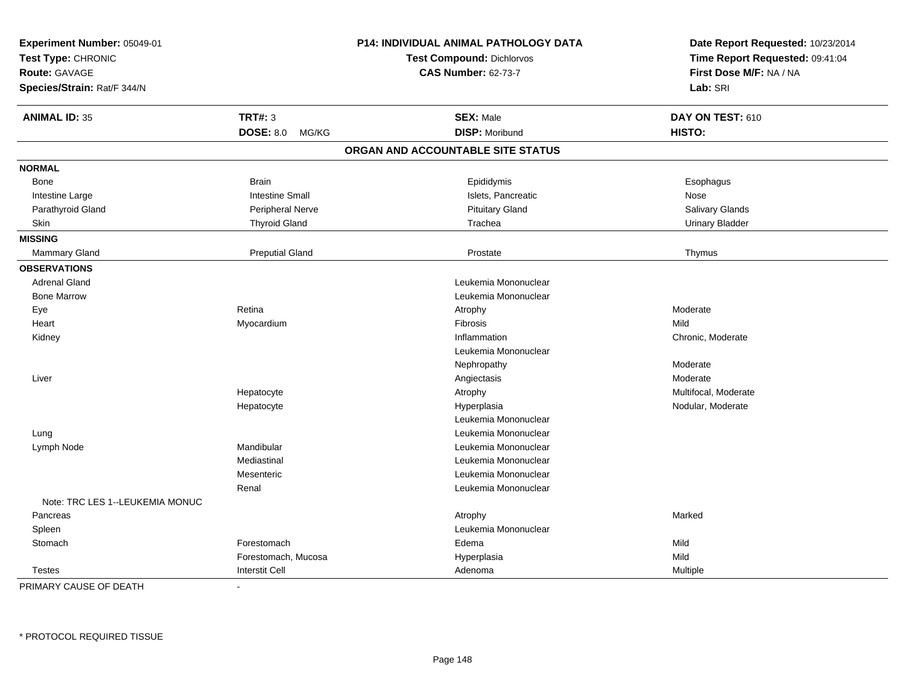| Experiment Number: 05049-01<br>Test Type: CHRONIC<br>Route: GAVAGE<br>Species/Strain: Rat/F 344/N |                           | <b>P14: INDIVIDUAL ANIMAL PATHOLOGY DATA</b><br><b>Test Compound: Dichlorvos</b><br><b>CAS Number: 62-73-7</b> | Date Report Requested: 10/23/2014<br>Time Report Requested: 09:41:04<br>First Dose M/F: NA / NA<br>Lab: SRI |
|---------------------------------------------------------------------------------------------------|---------------------------|----------------------------------------------------------------------------------------------------------------|-------------------------------------------------------------------------------------------------------------|
| <b>ANIMAL ID: 35</b>                                                                              | <b>TRT#: 3</b>            | <b>SEX: Male</b>                                                                                               | DAY ON TEST: 610                                                                                            |
|                                                                                                   | <b>DOSE: 8.0</b><br>MG/KG | <b>DISP: Moribund</b>                                                                                          | HISTO:                                                                                                      |
|                                                                                                   |                           | ORGAN AND ACCOUNTABLE SITE STATUS                                                                              |                                                                                                             |
| <b>NORMAL</b>                                                                                     |                           |                                                                                                                |                                                                                                             |
| Bone                                                                                              | <b>Brain</b>              | Epididymis                                                                                                     | Esophagus                                                                                                   |
| Intestine Large                                                                                   | <b>Intestine Small</b>    | Islets, Pancreatic                                                                                             | <b>Nose</b>                                                                                                 |
| Parathyroid Gland                                                                                 | Peripheral Nerve          | <b>Pituitary Gland</b>                                                                                         | Salivary Glands                                                                                             |
| Skin                                                                                              | <b>Thyroid Gland</b>      | Trachea                                                                                                        | <b>Urinary Bladder</b>                                                                                      |
| <b>MISSING</b>                                                                                    |                           |                                                                                                                |                                                                                                             |
| <b>Mammary Gland</b>                                                                              | <b>Preputial Gland</b>    | Prostate                                                                                                       | Thymus                                                                                                      |
| <b>OBSERVATIONS</b>                                                                               |                           |                                                                                                                |                                                                                                             |
| <b>Adrenal Gland</b>                                                                              |                           | Leukemia Mononuclear                                                                                           |                                                                                                             |
| <b>Bone Marrow</b>                                                                                |                           | Leukemia Mononuclear                                                                                           |                                                                                                             |
| Eye                                                                                               | Retina                    | Atrophy                                                                                                        | Moderate                                                                                                    |
| Heart                                                                                             | Myocardium                | Fibrosis                                                                                                       | Mild                                                                                                        |
| Kidney                                                                                            |                           | Inflammation                                                                                                   | Chronic, Moderate                                                                                           |
|                                                                                                   |                           | Leukemia Mononuclear                                                                                           |                                                                                                             |
|                                                                                                   |                           | Nephropathy                                                                                                    | Moderate                                                                                                    |
| Liver                                                                                             |                           | Angiectasis                                                                                                    | Moderate                                                                                                    |
|                                                                                                   | Hepatocyte                | Atrophy                                                                                                        | Multifocal, Moderate                                                                                        |
|                                                                                                   | Hepatocyte                | Hyperplasia                                                                                                    | Nodular, Moderate                                                                                           |
|                                                                                                   |                           | Leukemia Mononuclear                                                                                           |                                                                                                             |
| Lung                                                                                              |                           | Leukemia Mononuclear                                                                                           |                                                                                                             |
| Lymph Node                                                                                        | Mandibular                | Leukemia Mononuclear                                                                                           |                                                                                                             |
|                                                                                                   | Mediastinal               | Leukemia Mononuclear                                                                                           |                                                                                                             |
|                                                                                                   | Mesenteric                | Leukemia Mononuclear                                                                                           |                                                                                                             |
|                                                                                                   | Renal                     | Leukemia Mononuclear                                                                                           |                                                                                                             |
| Note: TRC LES 1--LEUKEMIA MONUC                                                                   |                           |                                                                                                                |                                                                                                             |
| Pancreas                                                                                          |                           | Atrophy                                                                                                        | Marked                                                                                                      |
| Spleen                                                                                            |                           | Leukemia Mononuclear                                                                                           |                                                                                                             |
| Stomach                                                                                           | Forestomach               | Edema                                                                                                          | Mild                                                                                                        |
|                                                                                                   | Forestomach, Mucosa       | Hyperplasia                                                                                                    | Mild                                                                                                        |
| <b>Testes</b>                                                                                     | <b>Interstit Cell</b>     | Adenoma                                                                                                        | Multiple                                                                                                    |

PRIMARY CAUSE OF DEATH-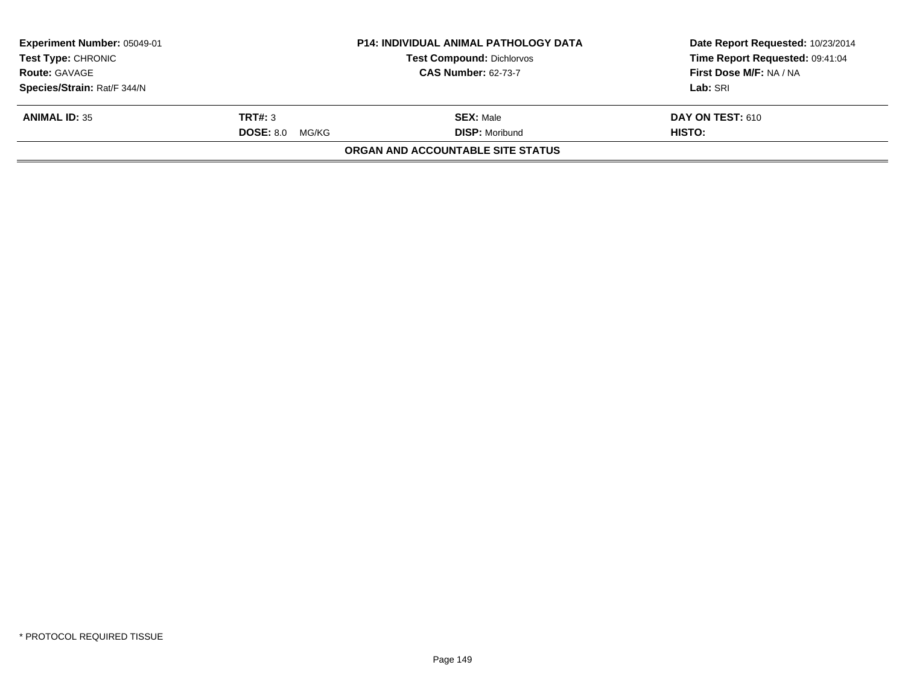| Experiment Number: 05049-01<br><b>Test Type: CHRONIC</b> |                        | <b>P14: INDIVIDUAL ANIMAL PATHOLOGY DATA</b><br><b>Test Compound: Dichlorvos</b> | Date Report Requested: 10/23/2014<br>Time Report Requested: 09:41:04 |
|----------------------------------------------------------|------------------------|----------------------------------------------------------------------------------|----------------------------------------------------------------------|
| <b>CAS Number: 62-73-7</b><br><b>Route: GAVAGE</b>       |                        |                                                                                  | First Dose M/F: NA / NA                                              |
| Species/Strain: Rat/F 344/N                              |                        |                                                                                  | Lab: SRI                                                             |
| <b>ANIMAL ID: 35</b>                                     | TRT#: 3                | <b>SEX: Male</b>                                                                 | <b>DAY ON TEST: 610</b>                                              |
|                                                          | <b>DOSE: 8.0 MG/KG</b> | <b>DISP: Moribund</b>                                                            | HISTO:                                                               |
|                                                          |                        | ORGAN AND ACCOUNTABLE SITE STATUS                                                |                                                                      |
|                                                          |                        |                                                                                  |                                                                      |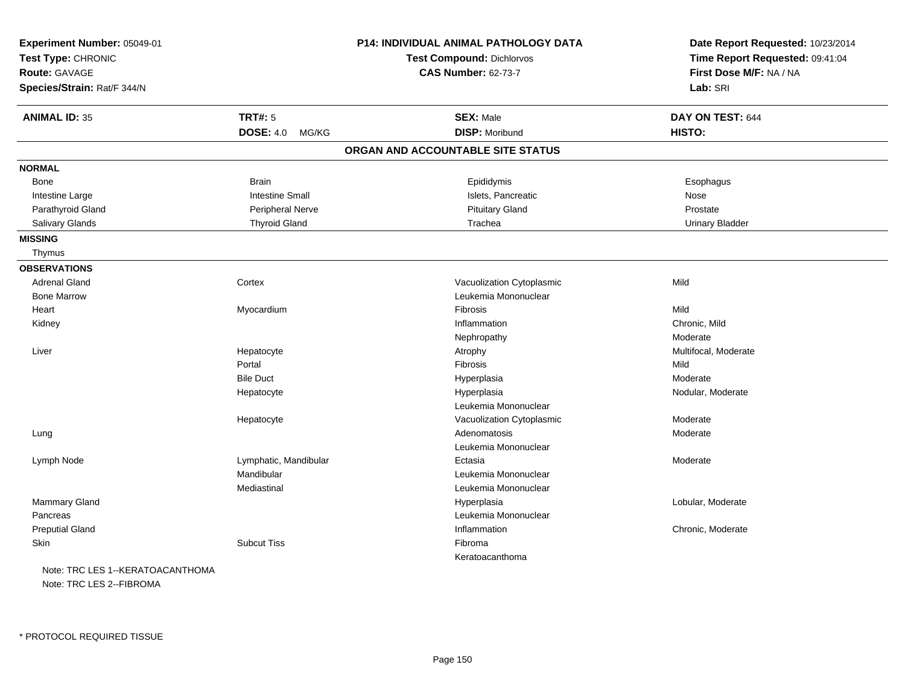| Experiment Number: 05049-01<br>Test Type: CHRONIC<br>Route: GAVAGE<br>Species/Strain: Rat/F 344/N |                           | <b>P14: INDIVIDUAL ANIMAL PATHOLOGY DATA</b><br><b>Test Compound: Dichlorvos</b><br><b>CAS Number: 62-73-7</b> | Date Report Requested: 10/23/2014<br>Time Report Requested: 09:41:04<br>First Dose M/F: NA / NA<br>Lab: SRI |
|---------------------------------------------------------------------------------------------------|---------------------------|----------------------------------------------------------------------------------------------------------------|-------------------------------------------------------------------------------------------------------------|
| <b>ANIMAL ID: 35</b>                                                                              | <b>TRT#: 5</b>            | <b>SEX: Male</b>                                                                                               | DAY ON TEST: 644                                                                                            |
|                                                                                                   | <b>DOSE: 4.0</b><br>MG/KG | <b>DISP: Moribund</b>                                                                                          | HISTO:                                                                                                      |
|                                                                                                   |                           | ORGAN AND ACCOUNTABLE SITE STATUS                                                                              |                                                                                                             |
| <b>NORMAL</b>                                                                                     |                           |                                                                                                                |                                                                                                             |
| Bone                                                                                              | <b>Brain</b>              | Epididymis                                                                                                     | Esophagus                                                                                                   |
| Intestine Large                                                                                   | <b>Intestine Small</b>    | Islets, Pancreatic                                                                                             | Nose                                                                                                        |
| Parathyroid Gland                                                                                 | Peripheral Nerve          | <b>Pituitary Gland</b>                                                                                         | Prostate                                                                                                    |
| <b>Salivary Glands</b>                                                                            | <b>Thyroid Gland</b>      | Trachea                                                                                                        | <b>Urinary Bladder</b>                                                                                      |
| <b>MISSING</b>                                                                                    |                           |                                                                                                                |                                                                                                             |
| Thymus                                                                                            |                           |                                                                                                                |                                                                                                             |
| <b>OBSERVATIONS</b>                                                                               |                           |                                                                                                                |                                                                                                             |
| <b>Adrenal Gland</b>                                                                              | Cortex                    | Vacuolization Cytoplasmic                                                                                      | Mild                                                                                                        |
| <b>Bone Marrow</b>                                                                                |                           | Leukemia Mononuclear                                                                                           |                                                                                                             |
| Heart                                                                                             | Myocardium                | Fibrosis                                                                                                       | Mild                                                                                                        |
| Kidney                                                                                            |                           | Inflammation                                                                                                   | Chronic, Mild                                                                                               |
|                                                                                                   |                           | Nephropathy                                                                                                    | Moderate                                                                                                    |
| Liver                                                                                             | Hepatocyte                | Atrophy                                                                                                        | Multifocal, Moderate                                                                                        |
|                                                                                                   | Portal                    | Fibrosis                                                                                                       | Mild                                                                                                        |
|                                                                                                   | <b>Bile Duct</b>          | Hyperplasia                                                                                                    | Moderate                                                                                                    |
|                                                                                                   | Hepatocyte                | Hyperplasia                                                                                                    | Nodular, Moderate                                                                                           |
|                                                                                                   |                           | Leukemia Mononuclear                                                                                           |                                                                                                             |
|                                                                                                   | Hepatocyte                | Vacuolization Cytoplasmic                                                                                      | Moderate                                                                                                    |
| Lung                                                                                              |                           | Adenomatosis                                                                                                   | Moderate                                                                                                    |
|                                                                                                   |                           | Leukemia Mononuclear                                                                                           |                                                                                                             |
| Lymph Node                                                                                        | Lymphatic, Mandibular     | Ectasia                                                                                                        | Moderate                                                                                                    |
|                                                                                                   | Mandibular                | Leukemia Mononuclear                                                                                           |                                                                                                             |
|                                                                                                   | Mediastinal               | Leukemia Mononuclear                                                                                           |                                                                                                             |
| <b>Mammary Gland</b>                                                                              |                           | Hyperplasia                                                                                                    | Lobular, Moderate                                                                                           |
| Pancreas                                                                                          |                           | Leukemia Mononuclear                                                                                           |                                                                                                             |
| <b>Preputial Gland</b>                                                                            |                           | Inflammation                                                                                                   | Chronic, Moderate                                                                                           |
| <b>Skin</b>                                                                                       | <b>Subcut Tiss</b>        | Fibroma                                                                                                        |                                                                                                             |
|                                                                                                   |                           | Keratoacanthoma                                                                                                |                                                                                                             |
| Note: TRC LES 1--KERATOACANTHOMA                                                                  |                           |                                                                                                                |                                                                                                             |
|                                                                                                   |                           |                                                                                                                |                                                                                                             |

Note: TRC LES 2--FIBROMA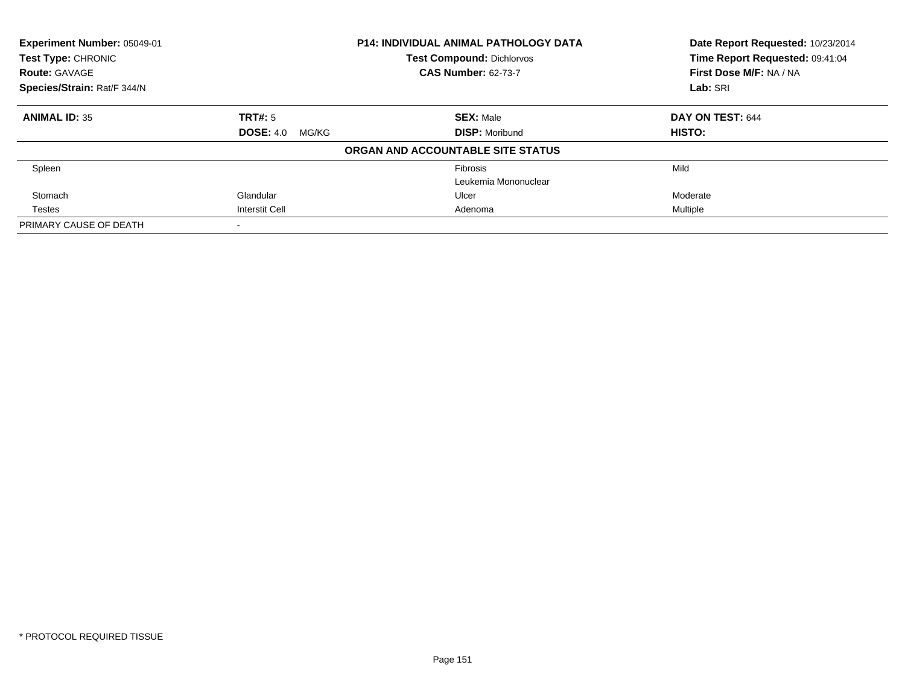| <b>P14: INDIVIDUAL ANIMAL PATHOLOGY DATA</b><br>Experiment Number: 05049-01<br><b>Test Compound: Dichlorvos</b><br>Test Type: CHRONIC |                           | <b>CAS Number: 62-73-7</b>        | Date Report Requested: 10/23/2014<br>Time Report Requested: 09:41:04<br>First Dose M/F: NA / NA |
|---------------------------------------------------------------------------------------------------------------------------------------|---------------------------|-----------------------------------|-------------------------------------------------------------------------------------------------|
| <b>Route: GAVAGE</b><br>Species/Strain: Rat/F 344/N                                                                                   |                           |                                   | Lab: SRI                                                                                        |
| <b>ANIMAL ID: 35</b>                                                                                                                  | <b>TRT#: 5</b>            | <b>SEX: Male</b>                  | DAY ON TEST: 644                                                                                |
|                                                                                                                                       | <b>DOSE: 4.0</b><br>MG/KG | <b>DISP:</b> Moribund             | <b>HISTO:</b>                                                                                   |
|                                                                                                                                       |                           | ORGAN AND ACCOUNTABLE SITE STATUS |                                                                                                 |
| Spleen                                                                                                                                |                           | Fibrosis                          | Mild                                                                                            |
|                                                                                                                                       |                           | Leukemia Mononuclear              |                                                                                                 |
| Stomach                                                                                                                               | Glandular                 | Ulcer                             | Moderate                                                                                        |
| <b>Testes</b>                                                                                                                         | Interstit Cell            | Adenoma                           | Multiple                                                                                        |
| PRIMARY CAUSE OF DEATH                                                                                                                |                           |                                   |                                                                                                 |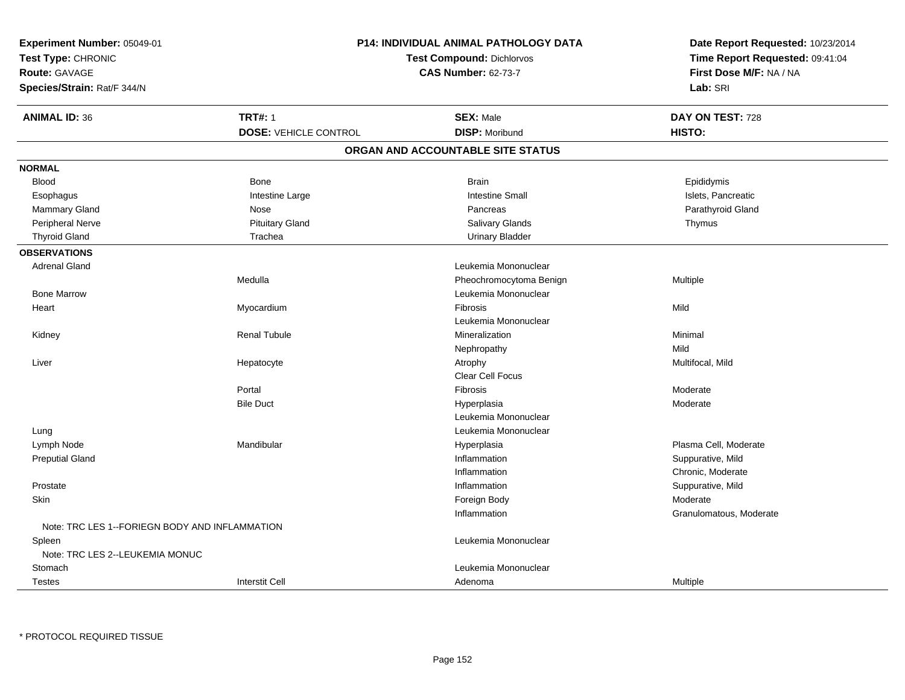| Time Report Requested: 09:41:04<br>Test Type: CHRONIC<br><b>Test Compound: Dichlorvos</b><br><b>CAS Number: 62-73-7</b><br>First Dose M/F: NA / NA<br><b>Route: GAVAGE</b><br>Species/Strain: Rat/F 344/N<br>Lab: SRI<br><b>TRT#: 1</b><br><b>ANIMAL ID: 36</b><br><b>SEX: Male</b><br>DAY ON TEST: 728<br><b>DISP: Moribund</b><br><b>DOSE: VEHICLE CONTROL</b><br>HISTO:<br>ORGAN AND ACCOUNTABLE SITE STATUS<br><b>NORMAL</b><br><b>Blood</b><br><b>Bone</b><br><b>Brain</b><br>Epididymis<br>Intestine Large<br><b>Intestine Small</b><br>Islets, Pancreatic<br>Esophagus<br>Mammary Gland<br>Parathyroid Gland<br>Nose<br>Pancreas<br>Peripheral Nerve<br><b>Pituitary Gland</b><br>Salivary Glands<br>Thymus<br><b>Thyroid Gland</b><br>Trachea<br><b>Urinary Bladder</b><br><b>OBSERVATIONS</b><br><b>Adrenal Gland</b><br>Leukemia Mononuclear<br>Medulla<br>Pheochromocytoma Benign<br>Multiple<br>Leukemia Mononuclear<br><b>Bone Marrow</b><br>Fibrosis<br>Mild<br>Myocardium<br>Heart<br>Leukemia Mononuclear<br><b>Renal Tubule</b><br>Kidney<br>Mineralization<br>Minimal<br>Mild<br>Nephropathy<br>Multifocal, Mild<br>Liver<br>Hepatocyte<br>Atrophy<br><b>Clear Cell Focus</b><br>Portal<br>Fibrosis<br>Moderate<br><b>Bile Duct</b><br>Hyperplasia<br>Moderate<br>Leukemia Mononuclear<br>Leukemia Mononuclear<br>Lung<br>Mandibular<br>Plasma Cell, Moderate<br>Lymph Node<br>Hyperplasia<br>Inflammation<br>Suppurative, Mild<br><b>Preputial Gland</b><br>Inflammation<br>Chronic, Moderate<br>Prostate<br>Inflammation<br>Suppurative, Mild<br>Skin<br>Moderate<br>Foreign Body<br>Granulomatous, Moderate<br>Inflammation<br>Note: TRC LES 1--FORIEGN BODY AND INFLAMMATION<br>Leukemia Mononuclear<br>Spleen<br>Note: TRC LES 2--LEUKEMIA MONUC<br>Leukemia Mononuclear<br>Stomach<br><b>Interstit Cell</b><br><b>Testes</b><br>Adenoma<br>Multiple | Experiment Number: 05049-01 |  | P14: INDIVIDUAL ANIMAL PATHOLOGY DATA | Date Report Requested: 10/23/2014 |
|-----------------------------------------------------------------------------------------------------------------------------------------------------------------------------------------------------------------------------------------------------------------------------------------------------------------------------------------------------------------------------------------------------------------------------------------------------------------------------------------------------------------------------------------------------------------------------------------------------------------------------------------------------------------------------------------------------------------------------------------------------------------------------------------------------------------------------------------------------------------------------------------------------------------------------------------------------------------------------------------------------------------------------------------------------------------------------------------------------------------------------------------------------------------------------------------------------------------------------------------------------------------------------------------------------------------------------------------------------------------------------------------------------------------------------------------------------------------------------------------------------------------------------------------------------------------------------------------------------------------------------------------------------------------------------------------------------------------------------------------------------------------------------------------------------------------------------------------------------------------------------|-----------------------------|--|---------------------------------------|-----------------------------------|
|                                                                                                                                                                                                                                                                                                                                                                                                                                                                                                                                                                                                                                                                                                                                                                                                                                                                                                                                                                                                                                                                                                                                                                                                                                                                                                                                                                                                                                                                                                                                                                                                                                                                                                                                                                                                                                                                             |                             |  |                                       |                                   |
|                                                                                                                                                                                                                                                                                                                                                                                                                                                                                                                                                                                                                                                                                                                                                                                                                                                                                                                                                                                                                                                                                                                                                                                                                                                                                                                                                                                                                                                                                                                                                                                                                                                                                                                                                                                                                                                                             |                             |  |                                       |                                   |
|                                                                                                                                                                                                                                                                                                                                                                                                                                                                                                                                                                                                                                                                                                                                                                                                                                                                                                                                                                                                                                                                                                                                                                                                                                                                                                                                                                                                                                                                                                                                                                                                                                                                                                                                                                                                                                                                             |                             |  |                                       |                                   |
|                                                                                                                                                                                                                                                                                                                                                                                                                                                                                                                                                                                                                                                                                                                                                                                                                                                                                                                                                                                                                                                                                                                                                                                                                                                                                                                                                                                                                                                                                                                                                                                                                                                                                                                                                                                                                                                                             |                             |  |                                       |                                   |
|                                                                                                                                                                                                                                                                                                                                                                                                                                                                                                                                                                                                                                                                                                                                                                                                                                                                                                                                                                                                                                                                                                                                                                                                                                                                                                                                                                                                                                                                                                                                                                                                                                                                                                                                                                                                                                                                             |                             |  |                                       |                                   |
|                                                                                                                                                                                                                                                                                                                                                                                                                                                                                                                                                                                                                                                                                                                                                                                                                                                                                                                                                                                                                                                                                                                                                                                                                                                                                                                                                                                                                                                                                                                                                                                                                                                                                                                                                                                                                                                                             |                             |  |                                       |                                   |
|                                                                                                                                                                                                                                                                                                                                                                                                                                                                                                                                                                                                                                                                                                                                                                                                                                                                                                                                                                                                                                                                                                                                                                                                                                                                                                                                                                                                                                                                                                                                                                                                                                                                                                                                                                                                                                                                             |                             |  |                                       |                                   |
|                                                                                                                                                                                                                                                                                                                                                                                                                                                                                                                                                                                                                                                                                                                                                                                                                                                                                                                                                                                                                                                                                                                                                                                                                                                                                                                                                                                                                                                                                                                                                                                                                                                                                                                                                                                                                                                                             |                             |  |                                       |                                   |
|                                                                                                                                                                                                                                                                                                                                                                                                                                                                                                                                                                                                                                                                                                                                                                                                                                                                                                                                                                                                                                                                                                                                                                                                                                                                                                                                                                                                                                                                                                                                                                                                                                                                                                                                                                                                                                                                             |                             |  |                                       |                                   |
|                                                                                                                                                                                                                                                                                                                                                                                                                                                                                                                                                                                                                                                                                                                                                                                                                                                                                                                                                                                                                                                                                                                                                                                                                                                                                                                                                                                                                                                                                                                                                                                                                                                                                                                                                                                                                                                                             |                             |  |                                       |                                   |
|                                                                                                                                                                                                                                                                                                                                                                                                                                                                                                                                                                                                                                                                                                                                                                                                                                                                                                                                                                                                                                                                                                                                                                                                                                                                                                                                                                                                                                                                                                                                                                                                                                                                                                                                                                                                                                                                             |                             |  |                                       |                                   |
|                                                                                                                                                                                                                                                                                                                                                                                                                                                                                                                                                                                                                                                                                                                                                                                                                                                                                                                                                                                                                                                                                                                                                                                                                                                                                                                                                                                                                                                                                                                                                                                                                                                                                                                                                                                                                                                                             |                             |  |                                       |                                   |
|                                                                                                                                                                                                                                                                                                                                                                                                                                                                                                                                                                                                                                                                                                                                                                                                                                                                                                                                                                                                                                                                                                                                                                                                                                                                                                                                                                                                                                                                                                                                                                                                                                                                                                                                                                                                                                                                             |                             |  |                                       |                                   |
|                                                                                                                                                                                                                                                                                                                                                                                                                                                                                                                                                                                                                                                                                                                                                                                                                                                                                                                                                                                                                                                                                                                                                                                                                                                                                                                                                                                                                                                                                                                                                                                                                                                                                                                                                                                                                                                                             |                             |  |                                       |                                   |
|                                                                                                                                                                                                                                                                                                                                                                                                                                                                                                                                                                                                                                                                                                                                                                                                                                                                                                                                                                                                                                                                                                                                                                                                                                                                                                                                                                                                                                                                                                                                                                                                                                                                                                                                                                                                                                                                             |                             |  |                                       |                                   |
|                                                                                                                                                                                                                                                                                                                                                                                                                                                                                                                                                                                                                                                                                                                                                                                                                                                                                                                                                                                                                                                                                                                                                                                                                                                                                                                                                                                                                                                                                                                                                                                                                                                                                                                                                                                                                                                                             |                             |  |                                       |                                   |
|                                                                                                                                                                                                                                                                                                                                                                                                                                                                                                                                                                                                                                                                                                                                                                                                                                                                                                                                                                                                                                                                                                                                                                                                                                                                                                                                                                                                                                                                                                                                                                                                                                                                                                                                                                                                                                                                             |                             |  |                                       |                                   |
|                                                                                                                                                                                                                                                                                                                                                                                                                                                                                                                                                                                                                                                                                                                                                                                                                                                                                                                                                                                                                                                                                                                                                                                                                                                                                                                                                                                                                                                                                                                                                                                                                                                                                                                                                                                                                                                                             |                             |  |                                       |                                   |
|                                                                                                                                                                                                                                                                                                                                                                                                                                                                                                                                                                                                                                                                                                                                                                                                                                                                                                                                                                                                                                                                                                                                                                                                                                                                                                                                                                                                                                                                                                                                                                                                                                                                                                                                                                                                                                                                             |                             |  |                                       |                                   |
|                                                                                                                                                                                                                                                                                                                                                                                                                                                                                                                                                                                                                                                                                                                                                                                                                                                                                                                                                                                                                                                                                                                                                                                                                                                                                                                                                                                                                                                                                                                                                                                                                                                                                                                                                                                                                                                                             |                             |  |                                       |                                   |
|                                                                                                                                                                                                                                                                                                                                                                                                                                                                                                                                                                                                                                                                                                                                                                                                                                                                                                                                                                                                                                                                                                                                                                                                                                                                                                                                                                                                                                                                                                                                                                                                                                                                                                                                                                                                                                                                             |                             |  |                                       |                                   |
|                                                                                                                                                                                                                                                                                                                                                                                                                                                                                                                                                                                                                                                                                                                                                                                                                                                                                                                                                                                                                                                                                                                                                                                                                                                                                                                                                                                                                                                                                                                                                                                                                                                                                                                                                                                                                                                                             |                             |  |                                       |                                   |
|                                                                                                                                                                                                                                                                                                                                                                                                                                                                                                                                                                                                                                                                                                                                                                                                                                                                                                                                                                                                                                                                                                                                                                                                                                                                                                                                                                                                                                                                                                                                                                                                                                                                                                                                                                                                                                                                             |                             |  |                                       |                                   |
|                                                                                                                                                                                                                                                                                                                                                                                                                                                                                                                                                                                                                                                                                                                                                                                                                                                                                                                                                                                                                                                                                                                                                                                                                                                                                                                                                                                                                                                                                                                                                                                                                                                                                                                                                                                                                                                                             |                             |  |                                       |                                   |
|                                                                                                                                                                                                                                                                                                                                                                                                                                                                                                                                                                                                                                                                                                                                                                                                                                                                                                                                                                                                                                                                                                                                                                                                                                                                                                                                                                                                                                                                                                                                                                                                                                                                                                                                                                                                                                                                             |                             |  |                                       |                                   |
|                                                                                                                                                                                                                                                                                                                                                                                                                                                                                                                                                                                                                                                                                                                                                                                                                                                                                                                                                                                                                                                                                                                                                                                                                                                                                                                                                                                                                                                                                                                                                                                                                                                                                                                                                                                                                                                                             |                             |  |                                       |                                   |
|                                                                                                                                                                                                                                                                                                                                                                                                                                                                                                                                                                                                                                                                                                                                                                                                                                                                                                                                                                                                                                                                                                                                                                                                                                                                                                                                                                                                                                                                                                                                                                                                                                                                                                                                                                                                                                                                             |                             |  |                                       |                                   |
|                                                                                                                                                                                                                                                                                                                                                                                                                                                                                                                                                                                                                                                                                                                                                                                                                                                                                                                                                                                                                                                                                                                                                                                                                                                                                                                                                                                                                                                                                                                                                                                                                                                                                                                                                                                                                                                                             |                             |  |                                       |                                   |
|                                                                                                                                                                                                                                                                                                                                                                                                                                                                                                                                                                                                                                                                                                                                                                                                                                                                                                                                                                                                                                                                                                                                                                                                                                                                                                                                                                                                                                                                                                                                                                                                                                                                                                                                                                                                                                                                             |                             |  |                                       |                                   |
|                                                                                                                                                                                                                                                                                                                                                                                                                                                                                                                                                                                                                                                                                                                                                                                                                                                                                                                                                                                                                                                                                                                                                                                                                                                                                                                                                                                                                                                                                                                                                                                                                                                                                                                                                                                                                                                                             |                             |  |                                       |                                   |
|                                                                                                                                                                                                                                                                                                                                                                                                                                                                                                                                                                                                                                                                                                                                                                                                                                                                                                                                                                                                                                                                                                                                                                                                                                                                                                                                                                                                                                                                                                                                                                                                                                                                                                                                                                                                                                                                             |                             |  |                                       |                                   |
|                                                                                                                                                                                                                                                                                                                                                                                                                                                                                                                                                                                                                                                                                                                                                                                                                                                                                                                                                                                                                                                                                                                                                                                                                                                                                                                                                                                                                                                                                                                                                                                                                                                                                                                                                                                                                                                                             |                             |  |                                       |                                   |
|                                                                                                                                                                                                                                                                                                                                                                                                                                                                                                                                                                                                                                                                                                                                                                                                                                                                                                                                                                                                                                                                                                                                                                                                                                                                                                                                                                                                                                                                                                                                                                                                                                                                                                                                                                                                                                                                             |                             |  |                                       |                                   |
|                                                                                                                                                                                                                                                                                                                                                                                                                                                                                                                                                                                                                                                                                                                                                                                                                                                                                                                                                                                                                                                                                                                                                                                                                                                                                                                                                                                                                                                                                                                                                                                                                                                                                                                                                                                                                                                                             |                             |  |                                       |                                   |
|                                                                                                                                                                                                                                                                                                                                                                                                                                                                                                                                                                                                                                                                                                                                                                                                                                                                                                                                                                                                                                                                                                                                                                                                                                                                                                                                                                                                                                                                                                                                                                                                                                                                                                                                                                                                                                                                             |                             |  |                                       |                                   |
|                                                                                                                                                                                                                                                                                                                                                                                                                                                                                                                                                                                                                                                                                                                                                                                                                                                                                                                                                                                                                                                                                                                                                                                                                                                                                                                                                                                                                                                                                                                                                                                                                                                                                                                                                                                                                                                                             |                             |  |                                       |                                   |
|                                                                                                                                                                                                                                                                                                                                                                                                                                                                                                                                                                                                                                                                                                                                                                                                                                                                                                                                                                                                                                                                                                                                                                                                                                                                                                                                                                                                                                                                                                                                                                                                                                                                                                                                                                                                                                                                             |                             |  |                                       |                                   |

\* PROTOCOL REQUIRED TISSUE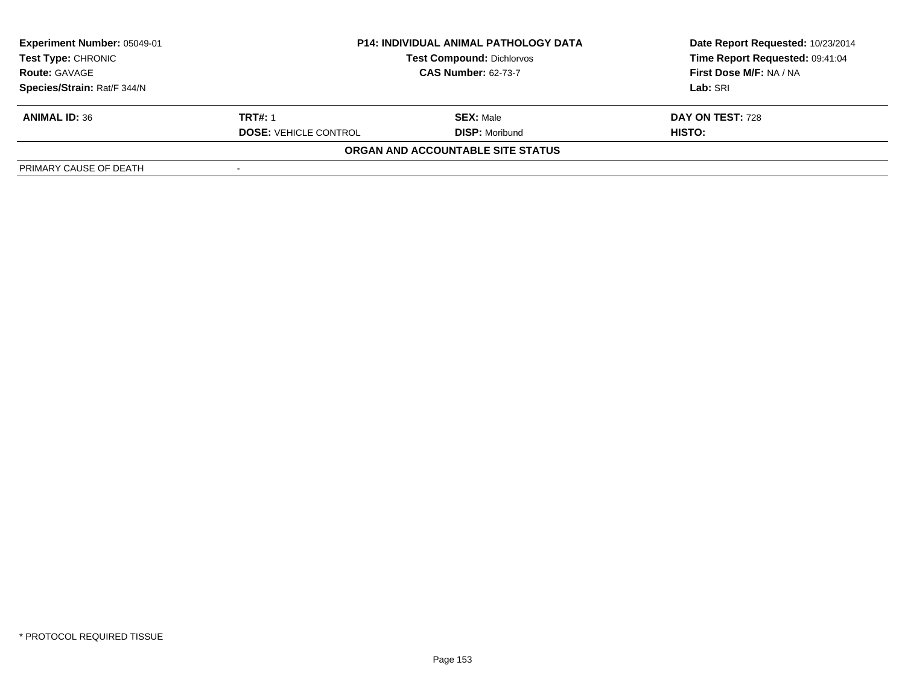| <b>Experiment Number: 05049-01</b><br><b>Test Type: CHRONIC</b> | <b>P14: INDIVIDUAL ANIMAL PATHOLOGY DATA</b><br><b>Test Compound: Dichlorvos</b><br><b>CAS Number: 62-73-7</b> |                                   | Date Report Requested: 10/23/2014<br>Time Report Requested: 09:41:04 |
|-----------------------------------------------------------------|----------------------------------------------------------------------------------------------------------------|-----------------------------------|----------------------------------------------------------------------|
| <b>Route: GAVAGE</b>                                            |                                                                                                                |                                   | First Dose M/F: NA / NA                                              |
| Species/Strain: Rat/F 344/N                                     |                                                                                                                |                                   | Lab: SRI                                                             |
| <b>ANIMAL ID: 36</b>                                            | <b>TRT#: 1</b>                                                                                                 | <b>SEX: Male</b>                  | DAY ON TEST: 728                                                     |
|                                                                 | <b>DOSE: VEHICLE CONTROL</b>                                                                                   | <b>DISP:</b> Moribund             | HISTO:                                                               |
|                                                                 |                                                                                                                | ORGAN AND ACCOUNTABLE SITE STATUS |                                                                      |
| PRIMARY CAUSE OF DEATH                                          |                                                                                                                |                                   |                                                                      |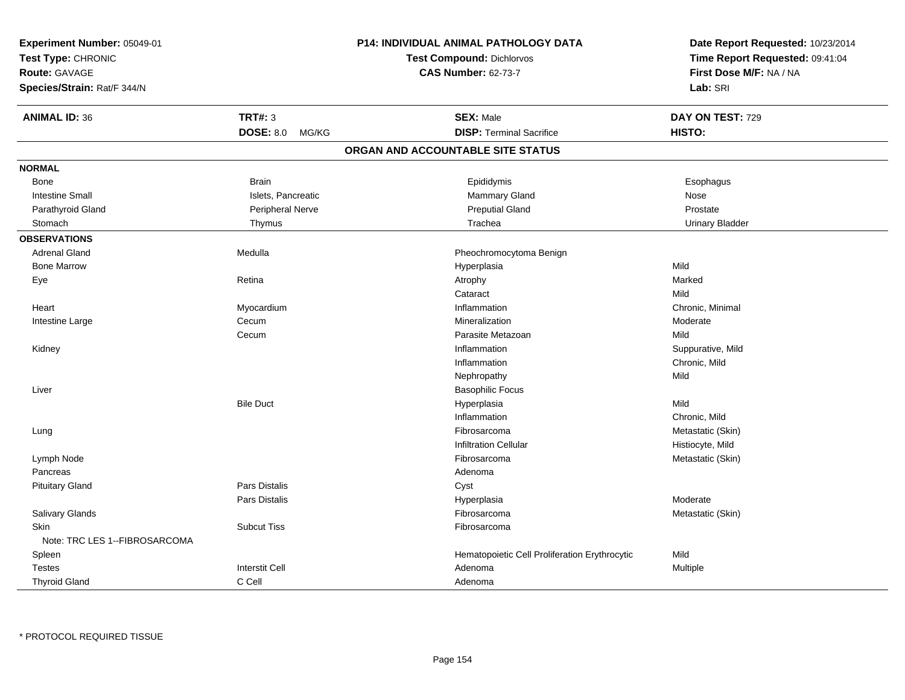| Experiment Number: 05049-01<br>Test Type: CHRONIC<br><b>Route: GAVAGE</b><br>Species/Strain: Rat/F 344/N |                       | P14: INDIVIDUAL ANIMAL PATHOLOGY DATA<br><b>Test Compound: Dichlorvos</b><br><b>CAS Number: 62-73-7</b> | Date Report Requested: 10/23/2014<br>Time Report Requested: 09:41:04<br>First Dose M/F: NA / NA<br>Lab: SRI |
|----------------------------------------------------------------------------------------------------------|-----------------------|---------------------------------------------------------------------------------------------------------|-------------------------------------------------------------------------------------------------------------|
| <b>ANIMAL ID: 36</b>                                                                                     | <b>TRT#: 3</b>        | <b>SEX: Male</b>                                                                                        | DAY ON TEST: 729                                                                                            |
|                                                                                                          | DOSE: 8.0 MG/KG       | <b>DISP: Terminal Sacrifice</b>                                                                         | HISTO:                                                                                                      |
|                                                                                                          |                       | ORGAN AND ACCOUNTABLE SITE STATUS                                                                       |                                                                                                             |
| <b>NORMAL</b>                                                                                            |                       |                                                                                                         |                                                                                                             |
| Bone                                                                                                     | <b>Brain</b>          | Epididymis                                                                                              | Esophagus                                                                                                   |
| <b>Intestine Small</b>                                                                                   | Islets, Pancreatic    | Mammary Gland                                                                                           | Nose                                                                                                        |
| Parathyroid Gland                                                                                        | Peripheral Nerve      | <b>Preputial Gland</b>                                                                                  | Prostate                                                                                                    |
| Stomach                                                                                                  | Thymus                | Trachea                                                                                                 | <b>Urinary Bladder</b>                                                                                      |
| <b>OBSERVATIONS</b>                                                                                      |                       |                                                                                                         |                                                                                                             |
| <b>Adrenal Gland</b>                                                                                     | Medulla               | Pheochromocytoma Benign                                                                                 |                                                                                                             |
| <b>Bone Marrow</b>                                                                                       |                       | Hyperplasia                                                                                             | Mild                                                                                                        |
| Eye                                                                                                      | Retina                | Atrophy                                                                                                 | Marked                                                                                                      |
|                                                                                                          |                       | Cataract                                                                                                | Mild                                                                                                        |
| Heart                                                                                                    | Myocardium            | Inflammation                                                                                            | Chronic, Minimal                                                                                            |
| Intestine Large                                                                                          | Cecum                 | Mineralization                                                                                          | Moderate                                                                                                    |
|                                                                                                          | Cecum                 | Parasite Metazoan                                                                                       | Mild                                                                                                        |
| Kidney                                                                                                   |                       | Inflammation                                                                                            | Suppurative, Mild                                                                                           |
|                                                                                                          |                       | Inflammation                                                                                            | Chronic, Mild                                                                                               |
|                                                                                                          |                       | Nephropathy                                                                                             | Mild                                                                                                        |
| Liver                                                                                                    |                       | <b>Basophilic Focus</b>                                                                                 |                                                                                                             |
|                                                                                                          | <b>Bile Duct</b>      | Hyperplasia                                                                                             | Mild                                                                                                        |
|                                                                                                          |                       | Inflammation                                                                                            | Chronic, Mild                                                                                               |
| Lung                                                                                                     |                       | Fibrosarcoma                                                                                            | Metastatic (Skin)                                                                                           |
|                                                                                                          |                       | <b>Infiltration Cellular</b>                                                                            | Histiocyte, Mild                                                                                            |
| Lymph Node                                                                                               |                       | Fibrosarcoma                                                                                            | Metastatic (Skin)                                                                                           |
| Pancreas                                                                                                 |                       | Adenoma                                                                                                 |                                                                                                             |
| <b>Pituitary Gland</b>                                                                                   | <b>Pars Distalis</b>  | Cyst                                                                                                    |                                                                                                             |
|                                                                                                          | Pars Distalis         | Hyperplasia                                                                                             | Moderate                                                                                                    |
| Salivary Glands                                                                                          |                       | Fibrosarcoma                                                                                            | Metastatic (Skin)                                                                                           |
| <b>Skin</b>                                                                                              | <b>Subcut Tiss</b>    | Fibrosarcoma                                                                                            |                                                                                                             |
| Note: TRC LES 1--FIBROSARCOMA                                                                            |                       |                                                                                                         |                                                                                                             |
| Spleen                                                                                                   |                       | Hematopoietic Cell Proliferation Erythrocytic                                                           | Mild                                                                                                        |
| <b>Testes</b>                                                                                            | <b>Interstit Cell</b> | Adenoma                                                                                                 | Multiple                                                                                                    |
| <b>Thyroid Gland</b>                                                                                     | C Cell                | Adenoma                                                                                                 |                                                                                                             |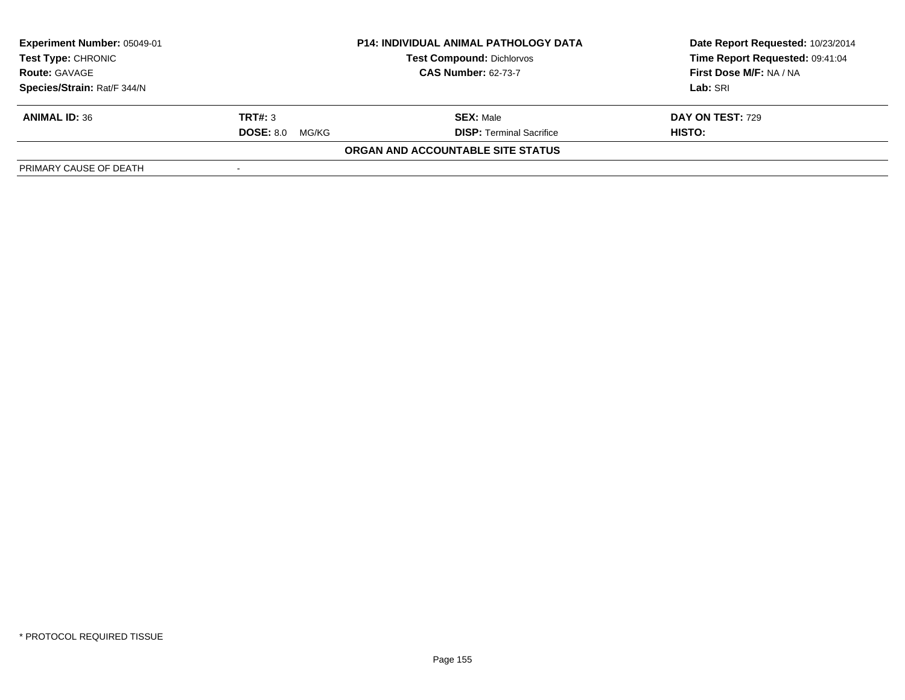| <b>Experiment Number: 05049-01</b><br><b>Test Type: CHRONIC</b><br><b>Route: GAVAGE</b> | <b>P14: INDIVIDUAL ANIMAL PATHOLOGY DATA</b><br><b>Test Compound: Dichlorvos</b><br><b>CAS Number: 62-73-7</b> |                                   | Date Report Requested: 10/23/2014<br>Time Report Requested: 09:41:04<br>First Dose M/F: NA / NA<br>Lab: SRI |
|-----------------------------------------------------------------------------------------|----------------------------------------------------------------------------------------------------------------|-----------------------------------|-------------------------------------------------------------------------------------------------------------|
| Species/Strain: Rat/F 344/N                                                             |                                                                                                                |                                   |                                                                                                             |
| <b>ANIMAL ID: 36</b>                                                                    | TRT#: 3                                                                                                        | <b>SEX: Male</b>                  | <b>DAY ON TEST: 729</b>                                                                                     |
|                                                                                         | <b>DOSE: 8.0</b><br>MG/KG                                                                                      | <b>DISP:</b> Terminal Sacrifice   | HISTO:                                                                                                      |
|                                                                                         |                                                                                                                | ORGAN AND ACCOUNTABLE SITE STATUS |                                                                                                             |
| PRIMARY CAUSE OF DEATH                                                                  |                                                                                                                |                                   |                                                                                                             |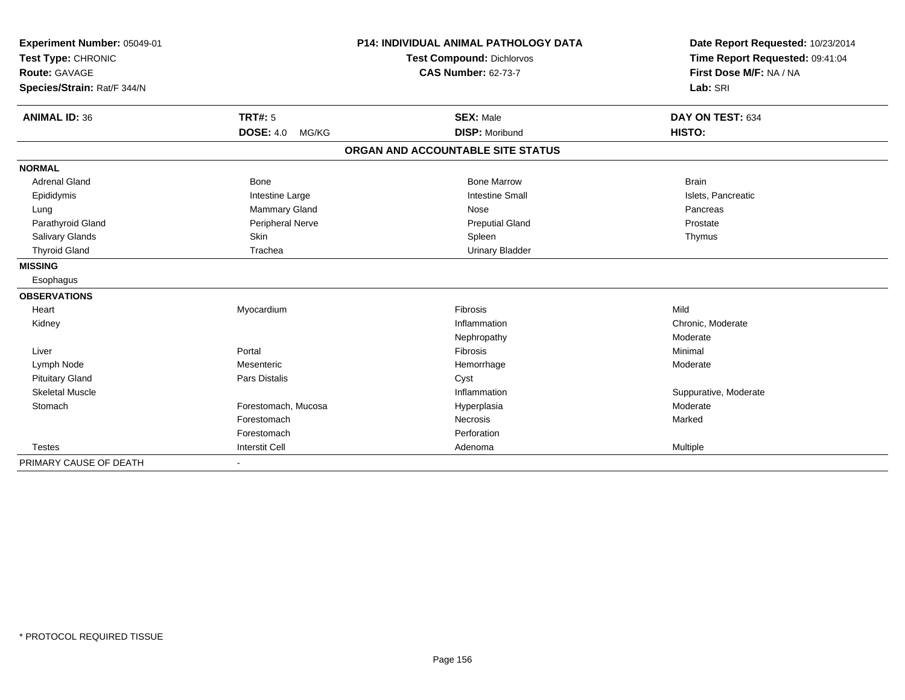| Experiment Number: 05049-01 |                           | <b>P14: INDIVIDUAL ANIMAL PATHOLOGY DATA</b> | Date Report Requested: 10/23/2014 |
|-----------------------------|---------------------------|----------------------------------------------|-----------------------------------|
| Test Type: CHRONIC          |                           | <b>Test Compound: Dichlorvos</b>             | Time Report Requested: 09:41:04   |
| <b>Route: GAVAGE</b>        |                           | <b>CAS Number: 62-73-7</b>                   | First Dose M/F: NA / NA           |
| Species/Strain: Rat/F 344/N |                           |                                              | Lab: SRI                          |
|                             |                           |                                              |                                   |
| <b>ANIMAL ID: 36</b>        | <b>TRT#: 5</b>            | <b>SEX: Male</b>                             | DAY ON TEST: 634                  |
|                             | <b>DOSE: 4.0</b><br>MG/KG | <b>DISP: Moribund</b>                        | HISTO:                            |
|                             |                           | ORGAN AND ACCOUNTABLE SITE STATUS            |                                   |
| <b>NORMAL</b>               |                           |                                              |                                   |
| <b>Adrenal Gland</b>        | Bone                      | <b>Bone Marrow</b>                           | <b>Brain</b>                      |
| Epididymis                  | Intestine Large           | <b>Intestine Small</b>                       | Islets, Pancreatic                |
| Lung                        | Mammary Gland             | Nose                                         | Pancreas                          |
| Parathyroid Gland           | Peripheral Nerve          | <b>Preputial Gland</b>                       | Prostate                          |
| Salivary Glands             | Skin                      | Spleen                                       | Thymus                            |
| <b>Thyroid Gland</b>        | Trachea                   | <b>Urinary Bladder</b>                       |                                   |
| <b>MISSING</b>              |                           |                                              |                                   |
| Esophagus                   |                           |                                              |                                   |
| <b>OBSERVATIONS</b>         |                           |                                              |                                   |
| Heart                       | Myocardium                | Fibrosis                                     | Mild                              |
| Kidney                      |                           | Inflammation                                 | Chronic, Moderate                 |
|                             |                           | Nephropathy                                  | Moderate                          |
| Liver                       | Portal                    | Fibrosis                                     | Minimal                           |
| Lymph Node                  | Mesenteric                | Hemorrhage                                   | Moderate                          |
| <b>Pituitary Gland</b>      | <b>Pars Distalis</b>      | Cyst                                         |                                   |
| <b>Skeletal Muscle</b>      |                           | Inflammation                                 | Suppurative, Moderate             |
| Stomach                     | Forestomach, Mucosa       | Hyperplasia                                  | Moderate                          |
|                             | Forestomach               | <b>Necrosis</b>                              | Marked                            |
|                             | Forestomach               | Perforation                                  |                                   |
| <b>Testes</b>               | <b>Interstit Cell</b>     | Adenoma                                      | Multiple                          |
| PRIMARY CAUSE OF DEATH      |                           |                                              |                                   |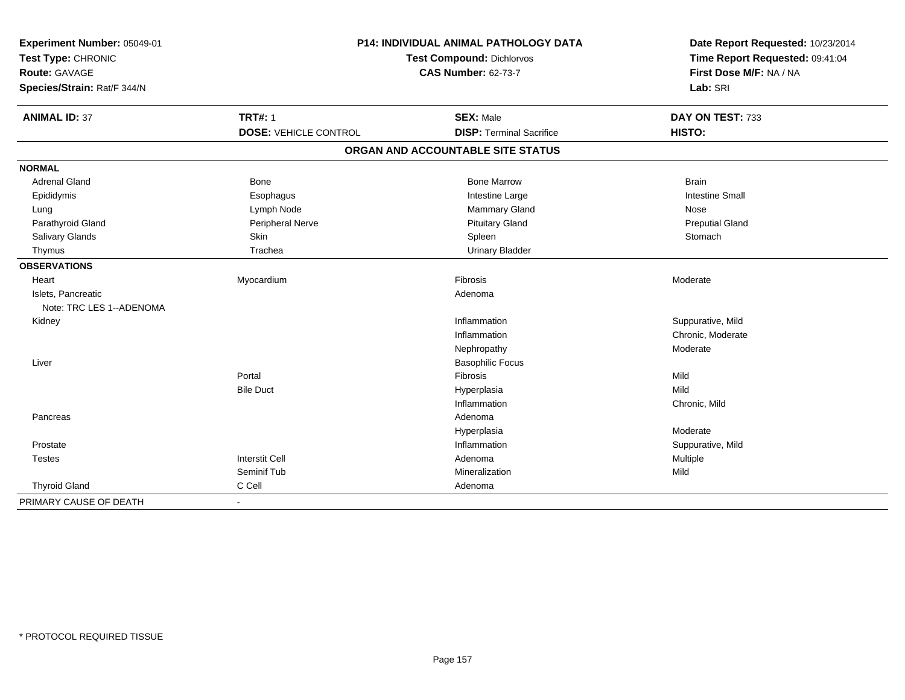| Experiment Number: 05049-01<br>Test Type: CHRONIC<br>Route: GAVAGE<br>Species/Strain: Rat/F 344/N | P14: INDIVIDUAL ANIMAL PATHOLOGY DATA<br><b>Test Compound: Dichlorvos</b><br><b>CAS Number: 62-73-7</b> |                                                     | Date Report Requested: 10/23/2014<br>Time Report Requested: 09:41:04<br>First Dose M/F: NA / NA<br>Lab: SRI |
|---------------------------------------------------------------------------------------------------|---------------------------------------------------------------------------------------------------------|-----------------------------------------------------|-------------------------------------------------------------------------------------------------------------|
| <b>ANIMAL ID: 37</b>                                                                              | <b>TRT#: 1</b><br><b>DOSE: VEHICLE CONTROL</b>                                                          | <b>SEX: Male</b><br><b>DISP: Terminal Sacrifice</b> | DAY ON TEST: 733<br>HISTO:                                                                                  |
|                                                                                                   |                                                                                                         | ORGAN AND ACCOUNTABLE SITE STATUS                   |                                                                                                             |
| <b>NORMAL</b>                                                                                     |                                                                                                         |                                                     |                                                                                                             |
| <b>Adrenal Gland</b>                                                                              | <b>Bone</b>                                                                                             | <b>Bone Marrow</b>                                  | <b>Brain</b>                                                                                                |
| Epididymis                                                                                        | Esophagus                                                                                               | Intestine Large                                     | <b>Intestine Small</b>                                                                                      |
| Lung                                                                                              | Lymph Node                                                                                              | Mammary Gland                                       | <b>Nose</b>                                                                                                 |
| Parathyroid Gland                                                                                 | Peripheral Nerve                                                                                        | <b>Pituitary Gland</b>                              | <b>Preputial Gland</b>                                                                                      |
| Salivary Glands                                                                                   | Skin                                                                                                    | Spleen                                              | Stomach                                                                                                     |
| Thymus                                                                                            | Trachea                                                                                                 | <b>Urinary Bladder</b>                              |                                                                                                             |
| <b>OBSERVATIONS</b>                                                                               |                                                                                                         |                                                     |                                                                                                             |
| Heart                                                                                             | Myocardium                                                                                              | Fibrosis                                            | Moderate                                                                                                    |
| Islets, Pancreatic                                                                                |                                                                                                         | Adenoma                                             |                                                                                                             |
| Note: TRC LES 1--ADENOMA                                                                          |                                                                                                         |                                                     |                                                                                                             |
| Kidney                                                                                            |                                                                                                         | Inflammation                                        | Suppurative, Mild                                                                                           |
|                                                                                                   |                                                                                                         | Inflammation                                        | Chronic, Moderate                                                                                           |
|                                                                                                   |                                                                                                         | Nephropathy                                         | Moderate                                                                                                    |
| Liver                                                                                             |                                                                                                         | <b>Basophilic Focus</b>                             |                                                                                                             |
|                                                                                                   | Portal                                                                                                  | Fibrosis                                            | Mild                                                                                                        |
|                                                                                                   | <b>Bile Duct</b>                                                                                        | Hyperplasia                                         | Mild                                                                                                        |
|                                                                                                   |                                                                                                         | Inflammation                                        | Chronic, Mild                                                                                               |
| Pancreas                                                                                          |                                                                                                         | Adenoma                                             |                                                                                                             |
|                                                                                                   |                                                                                                         | Hyperplasia                                         | Moderate                                                                                                    |
| Prostate                                                                                          |                                                                                                         | Inflammation                                        | Suppurative, Mild                                                                                           |
| <b>Testes</b>                                                                                     | <b>Interstit Cell</b>                                                                                   | Adenoma                                             | Multiple                                                                                                    |
|                                                                                                   | Seminif Tub                                                                                             | Mineralization                                      | Mild                                                                                                        |
| <b>Thyroid Gland</b>                                                                              | C Cell                                                                                                  | Adenoma                                             |                                                                                                             |
| PRIMARY CAUSE OF DEATH                                                                            | $\blacksquare$                                                                                          |                                                     |                                                                                                             |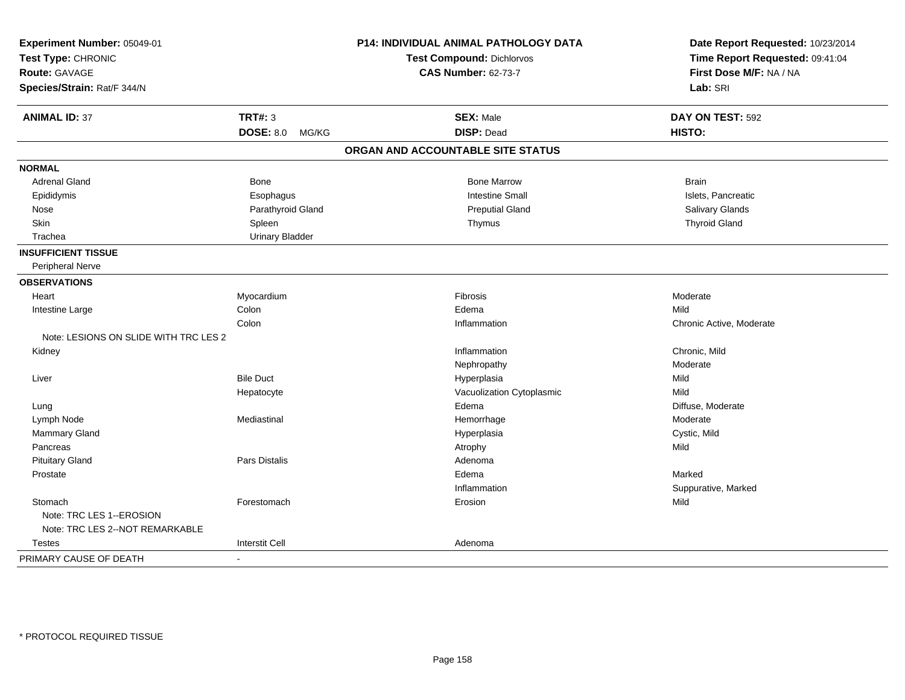| Experiment Number: 05049-01           |                           | <b>P14: INDIVIDUAL ANIMAL PATHOLOGY DATA</b> | Date Report Requested: 10/23/2014 |
|---------------------------------------|---------------------------|----------------------------------------------|-----------------------------------|
| Test Type: CHRONIC                    |                           | <b>Test Compound: Dichlorvos</b>             | Time Report Requested: 09:41:04   |
| <b>Route: GAVAGE</b>                  |                           | <b>CAS Number: 62-73-7</b>                   | First Dose M/F: NA / NA           |
| Species/Strain: Rat/F 344/N           |                           |                                              | Lab: SRI                          |
| <b>ANIMAL ID: 37</b>                  | <b>TRT#: 3</b>            | <b>SEX: Male</b>                             | DAY ON TEST: 592                  |
|                                       | <b>DOSE: 8.0</b><br>MG/KG | <b>DISP: Dead</b>                            | HISTO:                            |
|                                       |                           | ORGAN AND ACCOUNTABLE SITE STATUS            |                                   |
| <b>NORMAL</b>                         |                           |                                              |                                   |
| <b>Adrenal Gland</b>                  | Bone                      | <b>Bone Marrow</b>                           | <b>Brain</b>                      |
| Epididymis                            | Esophagus                 | <b>Intestine Small</b>                       | Islets, Pancreatic                |
| Nose                                  | Parathyroid Gland         | <b>Preputial Gland</b>                       | Salivary Glands                   |
| Skin                                  | Spleen                    | Thymus                                       | <b>Thyroid Gland</b>              |
| Trachea                               | <b>Urinary Bladder</b>    |                                              |                                   |
| <b>INSUFFICIENT TISSUE</b>            |                           |                                              |                                   |
| Peripheral Nerve                      |                           |                                              |                                   |
| <b>OBSERVATIONS</b>                   |                           |                                              |                                   |
| Heart                                 | Myocardium                | Fibrosis                                     | Moderate                          |
| Intestine Large                       | Colon                     | Edema                                        | Mild                              |
|                                       | Colon                     | Inflammation                                 | Chronic Active, Moderate          |
| Note: LESIONS ON SLIDE WITH TRC LES 2 |                           |                                              |                                   |
| Kidney                                |                           | Inflammation                                 | Chronic, Mild                     |
|                                       |                           | Nephropathy                                  | Moderate                          |
| Liver                                 | <b>Bile Duct</b>          | Hyperplasia                                  | Mild                              |
|                                       | Hepatocyte                | Vacuolization Cytoplasmic                    | Mild                              |
| Lung                                  |                           | Edema                                        | Diffuse, Moderate                 |
| Lymph Node                            | Mediastinal               | Hemorrhage                                   | Moderate                          |
| Mammary Gland                         |                           | Hyperplasia                                  | Cystic, Mild                      |
| Pancreas                              |                           | Atrophy                                      | Mild                              |
| <b>Pituitary Gland</b>                | Pars Distalis             | Adenoma                                      |                                   |
| Prostate                              |                           | Edema                                        | Marked                            |
|                                       |                           | Inflammation                                 | Suppurative, Marked               |
| Stomach                               | Forestomach               | Erosion                                      | Mild                              |
| Note: TRC LES 1--EROSION              |                           |                                              |                                   |
| Note: TRC LES 2--NOT REMARKABLE       |                           |                                              |                                   |
| <b>Testes</b>                         | <b>Interstit Cell</b>     | Adenoma                                      |                                   |
| PRIMARY CAUSE OF DEATH                | $\overline{\phantom{a}}$  |                                              |                                   |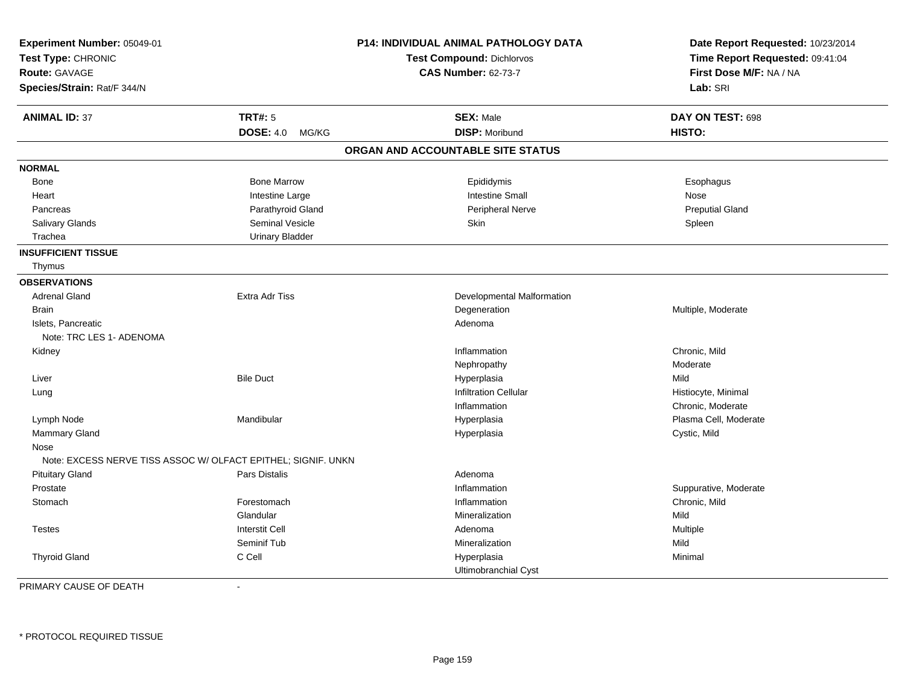| Experiment Number: 05049-01<br>Test Type: CHRONIC<br>Route: GAVAGE |                           | <b>P14: INDIVIDUAL ANIMAL PATHOLOGY DATA</b><br>Test Compound: Dichlorvos<br><b>CAS Number: 62-73-7</b> | Date Report Requested: 10/23/2014<br>Time Report Requested: 09:41:04<br>First Dose M/F: NA / NA |  |
|--------------------------------------------------------------------|---------------------------|---------------------------------------------------------------------------------------------------------|-------------------------------------------------------------------------------------------------|--|
| Species/Strain: Rat/F 344/N                                        |                           |                                                                                                         | Lab: SRI                                                                                        |  |
| <b>ANIMAL ID: 37</b>                                               | <b>TRT#: 5</b>            | <b>SEX: Male</b>                                                                                        | DAY ON TEST: 698                                                                                |  |
|                                                                    | <b>DOSE: 4.0</b><br>MG/KG | <b>DISP: Moribund</b>                                                                                   | HISTO:                                                                                          |  |
|                                                                    |                           | ORGAN AND ACCOUNTABLE SITE STATUS                                                                       |                                                                                                 |  |
| <b>NORMAL</b>                                                      |                           |                                                                                                         |                                                                                                 |  |
| <b>Bone</b>                                                        | <b>Bone Marrow</b>        | Epididymis                                                                                              | Esophagus                                                                                       |  |
| Heart                                                              | Intestine Large           | <b>Intestine Small</b>                                                                                  | Nose                                                                                            |  |
| Pancreas                                                           | Parathyroid Gland         | <b>Peripheral Nerve</b>                                                                                 | <b>Preputial Gland</b>                                                                          |  |
| Salivary Glands                                                    | <b>Seminal Vesicle</b>    | Skin                                                                                                    | Spleen                                                                                          |  |
| Trachea                                                            | <b>Urinary Bladder</b>    |                                                                                                         |                                                                                                 |  |
| <b>INSUFFICIENT TISSUE</b>                                         |                           |                                                                                                         |                                                                                                 |  |
| Thymus                                                             |                           |                                                                                                         |                                                                                                 |  |
| <b>OBSERVATIONS</b>                                                |                           |                                                                                                         |                                                                                                 |  |
| <b>Adrenal Gland</b>                                               | <b>Extra Adr Tiss</b>     | Developmental Malformation                                                                              |                                                                                                 |  |
| <b>Brain</b>                                                       |                           | Degeneration                                                                                            | Multiple, Moderate                                                                              |  |
| Islets, Pancreatic                                                 |                           | Adenoma                                                                                                 |                                                                                                 |  |
| Note: TRC LES 1- ADENOMA                                           |                           |                                                                                                         |                                                                                                 |  |
| Kidney                                                             |                           | Inflammation                                                                                            | Chronic, Mild                                                                                   |  |
|                                                                    |                           | Nephropathy                                                                                             | Moderate                                                                                        |  |
| Liver                                                              | <b>Bile Duct</b>          | Hyperplasia                                                                                             | Mild                                                                                            |  |
| Lung                                                               |                           | <b>Infiltration Cellular</b>                                                                            | Histiocyte, Minimal                                                                             |  |
|                                                                    |                           | Inflammation                                                                                            | Chronic, Moderate                                                                               |  |
| Lymph Node                                                         | Mandibular                | Hyperplasia                                                                                             | Plasma Cell, Moderate                                                                           |  |
| Mammary Gland                                                      |                           | Hyperplasia                                                                                             | Cystic, Mild                                                                                    |  |
| Nose                                                               |                           |                                                                                                         |                                                                                                 |  |
| Note: EXCESS NERVE TISS ASSOC W/ OLFACT EPITHEL; SIGNIF. UNKN      |                           |                                                                                                         |                                                                                                 |  |
| <b>Pituitary Gland</b>                                             | Pars Distalis             | Adenoma                                                                                                 |                                                                                                 |  |
| Prostate                                                           |                           | Inflammation                                                                                            | Suppurative, Moderate                                                                           |  |
| Stomach                                                            | Forestomach               | Inflammation                                                                                            | Chronic, Mild                                                                                   |  |
|                                                                    | Glandular                 | Mineralization                                                                                          | Mild                                                                                            |  |
| <b>Testes</b>                                                      | <b>Interstit Cell</b>     | Adenoma                                                                                                 | Multiple                                                                                        |  |
|                                                                    | Seminif Tub               | Mineralization                                                                                          | Mild                                                                                            |  |
| <b>Thyroid Gland</b>                                               | C Cell                    | Hyperplasia                                                                                             | Minimal                                                                                         |  |
|                                                                    |                           | Ultimobranchial Cyst                                                                                    |                                                                                                 |  |

-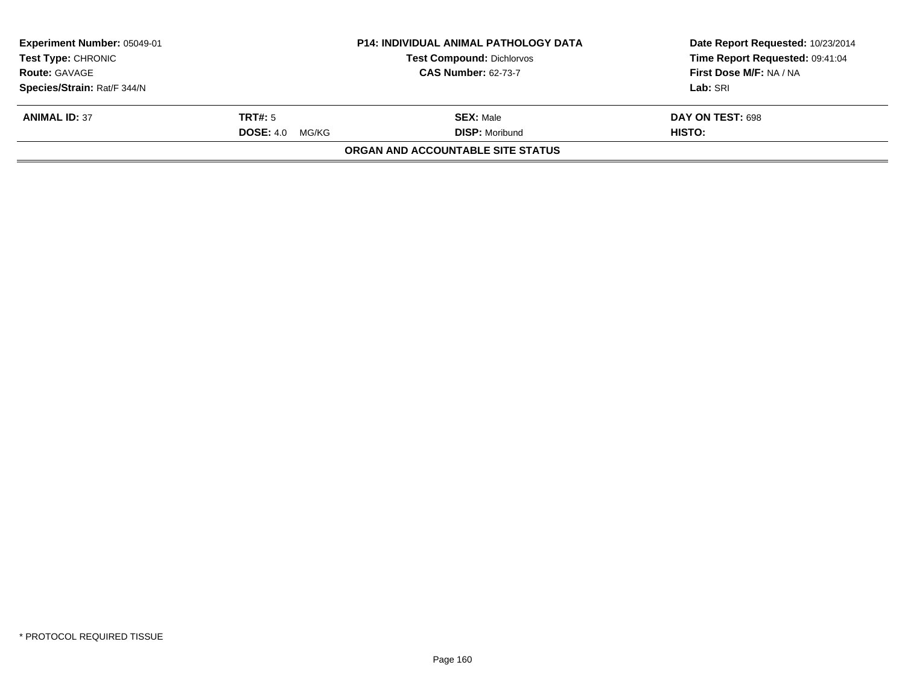| Experiment Number: 05049-01 |                           | <b>P14: INDIVIDUAL ANIMAL PATHOLOGY DATA</b> | Date Report Requested: 10/23/2014 |
|-----------------------------|---------------------------|----------------------------------------------|-----------------------------------|
| <b>Test Type: CHRONIC</b>   |                           | <b>Test Compound: Dichlorvos</b>             | Time Report Requested: 09:41:04   |
| <b>Route: GAVAGE</b>        |                           | <b>CAS Number: 62-73-7</b>                   | First Dose M/F: NA / NA           |
| Species/Strain: Rat/F 344/N |                           |                                              | Lab: SRI                          |
| <b>ANIMAL ID: 37</b>        | TRT#: 5                   | <b>SEX: Male</b>                             | DAY ON TEST: 698                  |
|                             | <b>DOSE: 4.0</b><br>MG/KG | <b>DISP: Moribund</b>                        | HISTO:                            |
|                             |                           | ORGAN AND ACCOUNTABLE SITE STATUS            |                                   |
|                             |                           |                                              |                                   |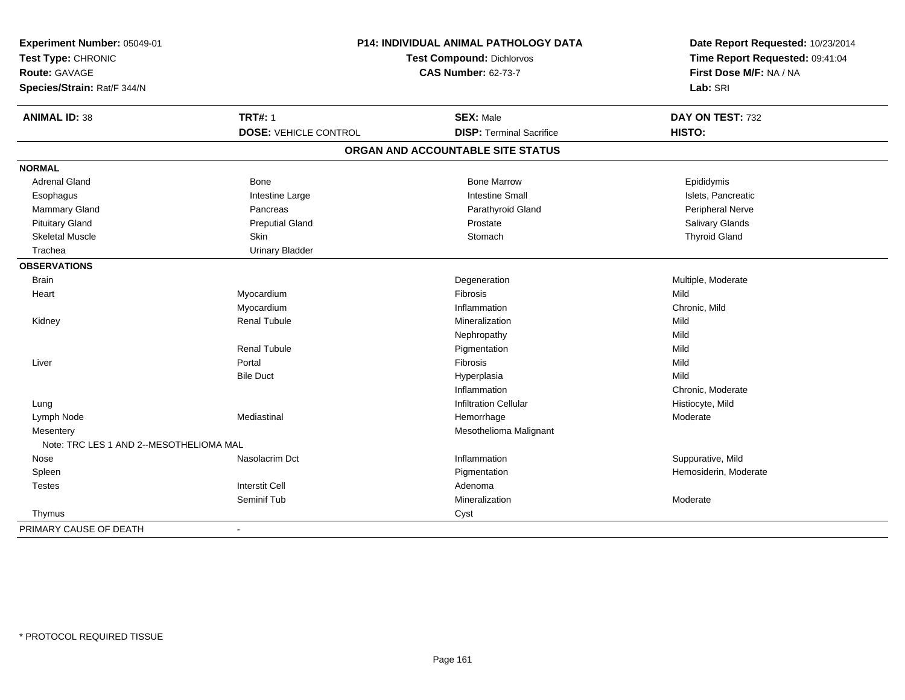| Experiment Number: 05049-01<br>Test Type: CHRONIC<br><b>Route: GAVAGE</b><br>Species/Strain: Rat/F 344/N |                              | P14: INDIVIDUAL ANIMAL PATHOLOGY DATA<br><b>Test Compound: Dichlorvos</b><br><b>CAS Number: 62-73-7</b> | Date Report Requested: 10/23/2014<br>Time Report Requested: 09:41:04<br>First Dose M/F: NA / NA<br>Lab: SRI |
|----------------------------------------------------------------------------------------------------------|------------------------------|---------------------------------------------------------------------------------------------------------|-------------------------------------------------------------------------------------------------------------|
|                                                                                                          |                              |                                                                                                         |                                                                                                             |
| <b>ANIMAL ID: 38</b>                                                                                     | <b>TRT#: 1</b>               | <b>SEX: Male</b>                                                                                        | DAY ON TEST: 732                                                                                            |
|                                                                                                          | <b>DOSE: VEHICLE CONTROL</b> | <b>DISP: Terminal Sacrifice</b>                                                                         | HISTO:                                                                                                      |
|                                                                                                          |                              | ORGAN AND ACCOUNTABLE SITE STATUS                                                                       |                                                                                                             |
| <b>NORMAL</b>                                                                                            |                              |                                                                                                         |                                                                                                             |
| <b>Adrenal Gland</b>                                                                                     | <b>Bone</b>                  | <b>Bone Marrow</b>                                                                                      | Epididymis                                                                                                  |
| Esophagus                                                                                                | Intestine Large              | <b>Intestine Small</b>                                                                                  | Islets, Pancreatic                                                                                          |
| <b>Mammary Gland</b>                                                                                     | Pancreas                     | Parathyroid Gland                                                                                       | Peripheral Nerve                                                                                            |
| <b>Pituitary Gland</b>                                                                                   | <b>Preputial Gland</b>       | Prostate                                                                                                | Salivary Glands                                                                                             |
| <b>Skeletal Muscle</b>                                                                                   | Skin                         | Stomach                                                                                                 | <b>Thyroid Gland</b>                                                                                        |
| Trachea                                                                                                  | <b>Urinary Bladder</b>       |                                                                                                         |                                                                                                             |
| <b>OBSERVATIONS</b>                                                                                      |                              |                                                                                                         |                                                                                                             |
| <b>Brain</b>                                                                                             |                              | Degeneration                                                                                            | Multiple, Moderate                                                                                          |
| Heart                                                                                                    | Myocardium                   | Fibrosis                                                                                                | Mild                                                                                                        |
|                                                                                                          | Myocardium                   | Inflammation                                                                                            | Chronic, Mild                                                                                               |
| Kidney                                                                                                   | <b>Renal Tubule</b>          | Mineralization                                                                                          | Mild                                                                                                        |
|                                                                                                          |                              | Nephropathy                                                                                             | Mild                                                                                                        |
|                                                                                                          | <b>Renal Tubule</b>          | Pigmentation                                                                                            | Mild                                                                                                        |
| Liver                                                                                                    | Portal                       | Fibrosis                                                                                                | Mild                                                                                                        |
|                                                                                                          | <b>Bile Duct</b>             | Hyperplasia                                                                                             | Mild                                                                                                        |
|                                                                                                          |                              | Inflammation                                                                                            | Chronic, Moderate                                                                                           |
| Lung                                                                                                     |                              | <b>Infiltration Cellular</b>                                                                            | Histiocyte, Mild                                                                                            |
| Lymph Node                                                                                               | Mediastinal                  | Hemorrhage                                                                                              | Moderate                                                                                                    |
| Mesentery                                                                                                |                              | Mesothelioma Malignant                                                                                  |                                                                                                             |
| Note: TRC LES 1 AND 2--MESOTHELIOMA MAL                                                                  |                              |                                                                                                         |                                                                                                             |
| Nose                                                                                                     | Nasolacrim Dct               | Inflammation                                                                                            | Suppurative, Mild                                                                                           |
| Spleen                                                                                                   |                              | Pigmentation                                                                                            | Hemosiderin, Moderate                                                                                       |
| <b>Testes</b>                                                                                            | <b>Interstit Cell</b>        | Adenoma                                                                                                 |                                                                                                             |
|                                                                                                          | Seminif Tub                  | Mineralization                                                                                          | Moderate                                                                                                    |
| Thymus                                                                                                   |                              | Cyst                                                                                                    |                                                                                                             |
| PRIMARY CAUSE OF DEATH                                                                                   | $\blacksquare$               |                                                                                                         |                                                                                                             |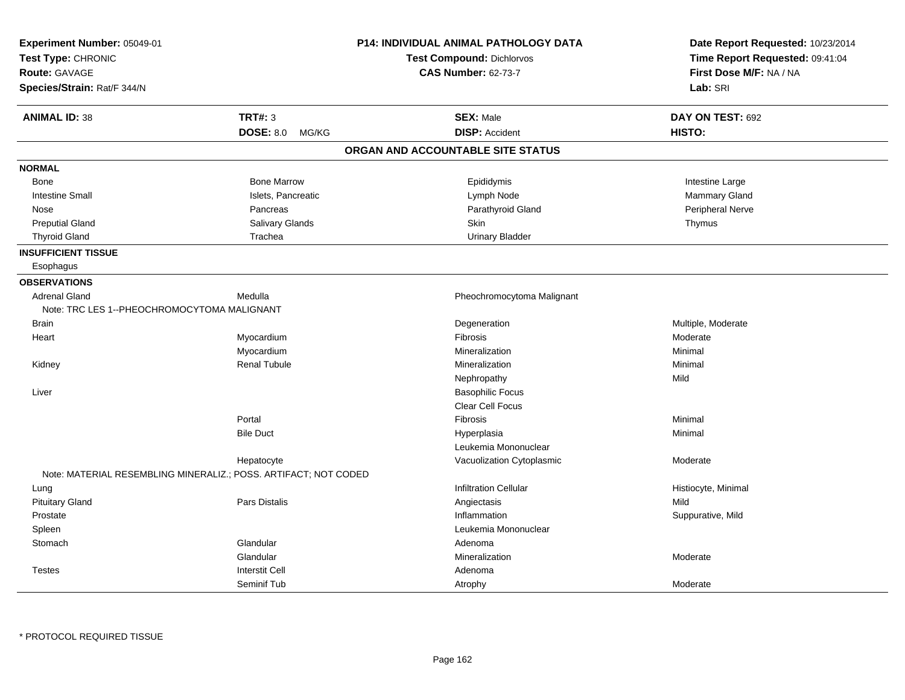| Experiment Number: 05049-01<br>Test Type: CHRONIC<br><b>Route: GAVAGE</b><br>Species/Strain: Rat/F 344/N |                                                                 | <b>P14: INDIVIDUAL ANIMAL PATHOLOGY DATA</b><br><b>Test Compound: Dichlorvos</b><br><b>CAS Number: 62-73-7</b> | Date Report Requested: 10/23/2014<br>Time Report Requested: 09:41:04<br>First Dose M/F: NA / NA<br>Lab: SRI |
|----------------------------------------------------------------------------------------------------------|-----------------------------------------------------------------|----------------------------------------------------------------------------------------------------------------|-------------------------------------------------------------------------------------------------------------|
|                                                                                                          |                                                                 |                                                                                                                |                                                                                                             |
| <b>ANIMAL ID: 38</b>                                                                                     | <b>TRT#: 3</b>                                                  | <b>SEX: Male</b>                                                                                               | DAY ON TEST: 692                                                                                            |
|                                                                                                          | <b>DOSE: 8.0</b><br>MG/KG                                       | <b>DISP: Accident</b>                                                                                          | HISTO:                                                                                                      |
|                                                                                                          |                                                                 | ORGAN AND ACCOUNTABLE SITE STATUS                                                                              |                                                                                                             |
| <b>NORMAL</b>                                                                                            |                                                                 |                                                                                                                |                                                                                                             |
| Bone                                                                                                     | <b>Bone Marrow</b>                                              | Epididymis                                                                                                     | Intestine Large                                                                                             |
| <b>Intestine Small</b>                                                                                   | Islets, Pancreatic                                              | Lymph Node                                                                                                     | Mammary Gland                                                                                               |
| Nose                                                                                                     | Pancreas                                                        | Parathyroid Gland                                                                                              | Peripheral Nerve                                                                                            |
| <b>Preputial Gland</b>                                                                                   | Salivary Glands                                                 | Skin                                                                                                           | Thymus                                                                                                      |
| <b>Thyroid Gland</b>                                                                                     | Trachea                                                         | <b>Urinary Bladder</b>                                                                                         |                                                                                                             |
| <b>INSUFFICIENT TISSUE</b>                                                                               |                                                                 |                                                                                                                |                                                                                                             |
| Esophagus                                                                                                |                                                                 |                                                                                                                |                                                                                                             |
| <b>OBSERVATIONS</b>                                                                                      |                                                                 |                                                                                                                |                                                                                                             |
| <b>Adrenal Gland</b>                                                                                     | Medulla                                                         | Pheochromocytoma Malignant                                                                                     |                                                                                                             |
| Note: TRC LES 1--PHEOCHROMOCYTOMA MALIGNANT                                                              |                                                                 |                                                                                                                |                                                                                                             |
| <b>Brain</b>                                                                                             |                                                                 | Degeneration                                                                                                   | Multiple, Moderate                                                                                          |
| Heart                                                                                                    | Myocardium                                                      | Fibrosis                                                                                                       | Moderate                                                                                                    |
|                                                                                                          | Myocardium                                                      | Mineralization                                                                                                 | Minimal                                                                                                     |
| Kidney                                                                                                   | <b>Renal Tubule</b>                                             | Mineralization                                                                                                 | Minimal                                                                                                     |
|                                                                                                          |                                                                 | Nephropathy                                                                                                    | Mild                                                                                                        |
| Liver                                                                                                    |                                                                 | <b>Basophilic Focus</b>                                                                                        |                                                                                                             |
|                                                                                                          |                                                                 | Clear Cell Focus                                                                                               |                                                                                                             |
|                                                                                                          | Portal                                                          | Fibrosis                                                                                                       | Minimal                                                                                                     |
|                                                                                                          | <b>Bile Duct</b>                                                | Hyperplasia                                                                                                    | Minimal                                                                                                     |
|                                                                                                          |                                                                 | Leukemia Mononuclear                                                                                           |                                                                                                             |
|                                                                                                          | Hepatocyte                                                      | Vacuolization Cytoplasmic                                                                                      | Moderate                                                                                                    |
|                                                                                                          | Note: MATERIAL RESEMBLING MINERALIZ.; POSS. ARTIFACT; NOT CODED |                                                                                                                |                                                                                                             |
| Lung                                                                                                     |                                                                 | <b>Infiltration Cellular</b>                                                                                   | Histiocyte, Minimal                                                                                         |
| <b>Pituitary Gland</b>                                                                                   | Pars Distalis                                                   | Angiectasis                                                                                                    | Mild                                                                                                        |
| Prostate                                                                                                 |                                                                 | Inflammation                                                                                                   | Suppurative, Mild                                                                                           |
| Spleen                                                                                                   |                                                                 | Leukemia Mononuclear                                                                                           |                                                                                                             |
| Stomach                                                                                                  | Glandular                                                       | Adenoma                                                                                                        |                                                                                                             |
|                                                                                                          | Glandular                                                       | Mineralization                                                                                                 | Moderate                                                                                                    |
| <b>Testes</b>                                                                                            | <b>Interstit Cell</b>                                           | Adenoma                                                                                                        |                                                                                                             |
|                                                                                                          | Seminif Tub                                                     | Atrophy                                                                                                        | Moderate                                                                                                    |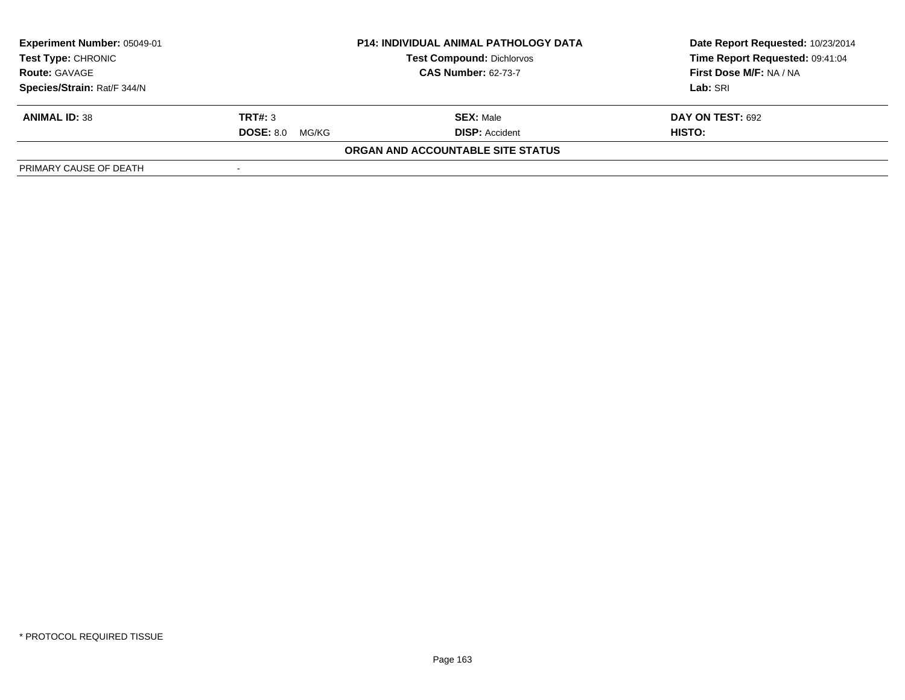| Experiment Number: 05049-01 | <b>P14: INDIVIDUAL ANIMAL PATHOLOGY DATA</b> |                                   | Date Report Requested: 10/23/2014 |
|-----------------------------|----------------------------------------------|-----------------------------------|-----------------------------------|
| <b>Test Type: CHRONIC</b>   |                                              | <b>Test Compound: Dichlorvos</b>  | Time Report Requested: 09:41:04   |
| <b>Route: GAVAGE</b>        |                                              | <b>CAS Number: 62-73-7</b>        | First Dose M/F: NA / NA           |
| Species/Strain: Rat/F 344/N |                                              |                                   | Lab: SRI                          |
| <b>ANIMAL ID: 38</b>        | TRT#: 3                                      | <b>SEX: Male</b>                  | <b>DAY ON TEST: 692</b>           |
|                             | <b>DOSE: 8.0</b><br>MG/KG                    | <b>DISP: Accident</b>             | <b>HISTO:</b>                     |
|                             |                                              | ORGAN AND ACCOUNTABLE SITE STATUS |                                   |
| PRIMARY CAUSE OF DEATH      |                                              |                                   |                                   |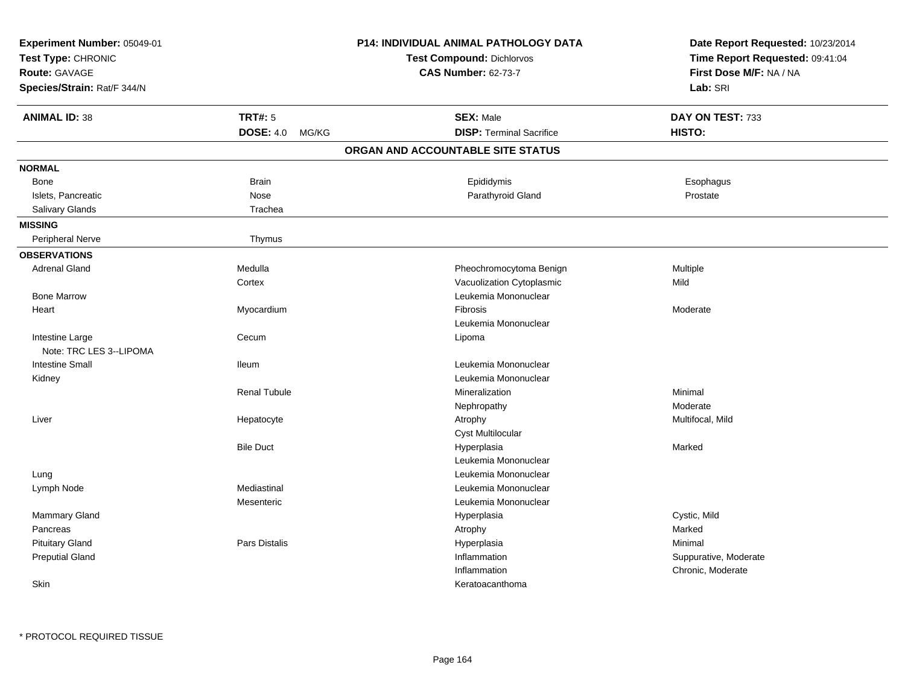| Experiment Number: 05049-01<br>Test Type: CHRONIC<br><b>Route: GAVAGE</b><br>Species/Strain: Rat/F 344/N |                      | <b>P14: INDIVIDUAL ANIMAL PATHOLOGY DATA</b><br><b>Test Compound: Dichlorvos</b><br><b>CAS Number: 62-73-7</b> | Date Report Requested: 10/23/2014<br>Time Report Requested: 09:41:04<br>First Dose M/F: NA / NA<br>Lab: SRI |
|----------------------------------------------------------------------------------------------------------|----------------------|----------------------------------------------------------------------------------------------------------------|-------------------------------------------------------------------------------------------------------------|
| <b>ANIMAL ID: 38</b>                                                                                     | <b>TRT#: 5</b>       | <b>SEX: Male</b>                                                                                               | DAY ON TEST: 733                                                                                            |
|                                                                                                          | DOSE: 4.0 MG/KG      | <b>DISP: Terminal Sacrifice</b>                                                                                | HISTO:                                                                                                      |
|                                                                                                          |                      | ORGAN AND ACCOUNTABLE SITE STATUS                                                                              |                                                                                                             |
| <b>NORMAL</b>                                                                                            |                      |                                                                                                                |                                                                                                             |
| <b>Bone</b>                                                                                              | <b>Brain</b>         | Epididymis                                                                                                     | Esophagus                                                                                                   |
| Islets, Pancreatic                                                                                       | Nose                 | Parathyroid Gland                                                                                              | Prostate                                                                                                    |
| Salivary Glands                                                                                          | Trachea              |                                                                                                                |                                                                                                             |
| <b>MISSING</b>                                                                                           |                      |                                                                                                                |                                                                                                             |
| <b>Peripheral Nerve</b>                                                                                  | Thymus               |                                                                                                                |                                                                                                             |
| <b>OBSERVATIONS</b>                                                                                      |                      |                                                                                                                |                                                                                                             |
| <b>Adrenal Gland</b>                                                                                     | Medulla              | Pheochromocytoma Benign                                                                                        | Multiple                                                                                                    |
|                                                                                                          | Cortex               | Vacuolization Cytoplasmic                                                                                      | Mild                                                                                                        |
| <b>Bone Marrow</b>                                                                                       |                      | Leukemia Mononuclear                                                                                           |                                                                                                             |
| Heart                                                                                                    | Myocardium           | Fibrosis                                                                                                       | Moderate                                                                                                    |
|                                                                                                          |                      | Leukemia Mononuclear                                                                                           |                                                                                                             |
| Intestine Large<br>Note: TRC LES 3--LIPOMA                                                               | Cecum                | Lipoma                                                                                                         |                                                                                                             |
| <b>Intestine Small</b>                                                                                   | lleum                | Leukemia Mononuclear                                                                                           |                                                                                                             |
| Kidney                                                                                                   |                      | Leukemia Mononuclear                                                                                           |                                                                                                             |
|                                                                                                          | <b>Renal Tubule</b>  | Mineralization                                                                                                 | Minimal                                                                                                     |
|                                                                                                          |                      | Nephropathy                                                                                                    | Moderate                                                                                                    |
| Liver                                                                                                    | Hepatocyte           | Atrophy                                                                                                        | Multifocal, Mild                                                                                            |
|                                                                                                          |                      | <b>Cyst Multilocular</b>                                                                                       |                                                                                                             |
|                                                                                                          | <b>Bile Duct</b>     | Hyperplasia                                                                                                    | Marked                                                                                                      |
|                                                                                                          |                      | Leukemia Mononuclear                                                                                           |                                                                                                             |
| Lung                                                                                                     |                      | Leukemia Mononuclear                                                                                           |                                                                                                             |
| Lymph Node                                                                                               | Mediastinal          | Leukemia Mononuclear                                                                                           |                                                                                                             |
|                                                                                                          | Mesenteric           | Leukemia Mononuclear                                                                                           |                                                                                                             |
| Mammary Gland                                                                                            |                      | Hyperplasia                                                                                                    | Cystic, Mild                                                                                                |
| Pancreas                                                                                                 |                      | Atrophy                                                                                                        | Marked                                                                                                      |
| <b>Pituitary Gland</b>                                                                                   | <b>Pars Distalis</b> | Hyperplasia                                                                                                    | Minimal                                                                                                     |
| <b>Preputial Gland</b>                                                                                   |                      | Inflammation                                                                                                   | Suppurative, Moderate                                                                                       |
|                                                                                                          |                      | Inflammation                                                                                                   | Chronic, Moderate                                                                                           |
| Skin                                                                                                     |                      | Keratoacanthoma                                                                                                |                                                                                                             |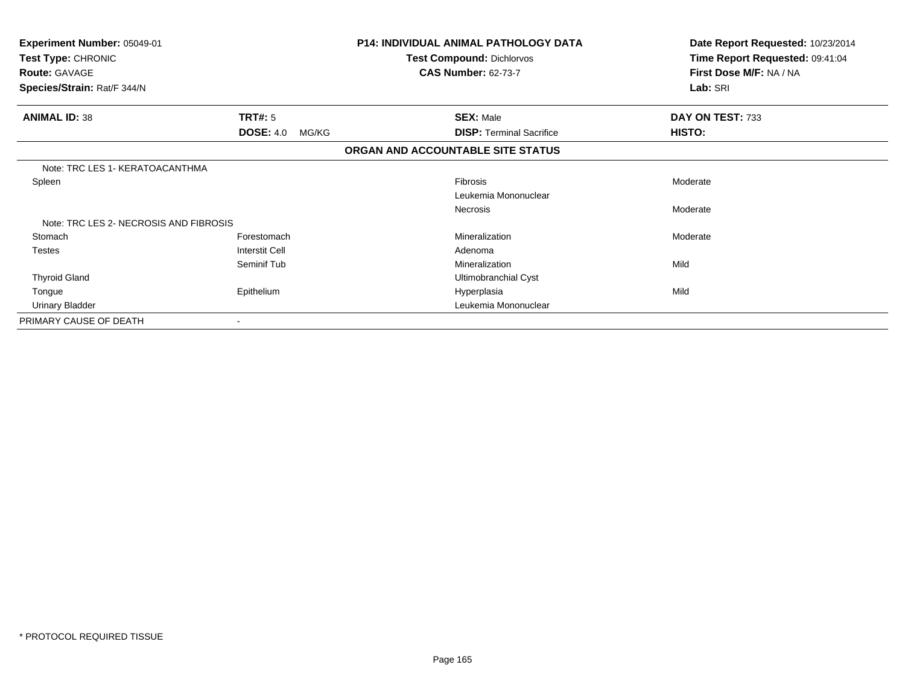| Experiment Number: 05049-01<br>Test Type: CHRONIC |                           | <b>P14: INDIVIDUAL ANIMAL PATHOLOGY DATA</b><br><b>Test Compound: Dichlorvos</b> | Date Report Requested: 10/23/2014<br>Time Report Requested: 09:41:04 |
|---------------------------------------------------|---------------------------|----------------------------------------------------------------------------------|----------------------------------------------------------------------|
| <b>Route: GAVAGE</b>                              |                           | <b>CAS Number: 62-73-7</b>                                                       | First Dose M/F: NA / NA                                              |
| Species/Strain: Rat/F 344/N                       |                           |                                                                                  | Lab: SRI                                                             |
| <b>ANIMAL ID: 38</b>                              | <b>TRT#:</b> 5            | <b>SEX: Male</b>                                                                 | DAY ON TEST: 733                                                     |
|                                                   | <b>DOSE: 4.0</b><br>MG/KG | <b>DISP: Terminal Sacrifice</b>                                                  | HISTO:                                                               |
|                                                   |                           | ORGAN AND ACCOUNTABLE SITE STATUS                                                |                                                                      |
| Note: TRC LES 1 - KERATOACANTHMA                  |                           |                                                                                  |                                                                      |
| Spleen                                            |                           | <b>Fibrosis</b>                                                                  | Moderate                                                             |
|                                                   |                           | Leukemia Mononuclear                                                             |                                                                      |
|                                                   |                           | <b>Necrosis</b>                                                                  | Moderate                                                             |
| Note: TRC LES 2- NECROSIS AND FIBROSIS            |                           |                                                                                  |                                                                      |
| Stomach                                           | Forestomach               | Mineralization                                                                   | Moderate                                                             |
| <b>Testes</b>                                     | <b>Interstit Cell</b>     | Adenoma                                                                          |                                                                      |
|                                                   | Seminif Tub               | Mineralization                                                                   | Mild                                                                 |
| <b>Thyroid Gland</b>                              |                           | Ultimobranchial Cyst                                                             |                                                                      |
| Tongue                                            | Epithelium                | Hyperplasia                                                                      | Mild                                                                 |
| <b>Urinary Bladder</b>                            |                           | Leukemia Mononuclear                                                             |                                                                      |
| PRIMARY CAUSE OF DEATH                            |                           |                                                                                  |                                                                      |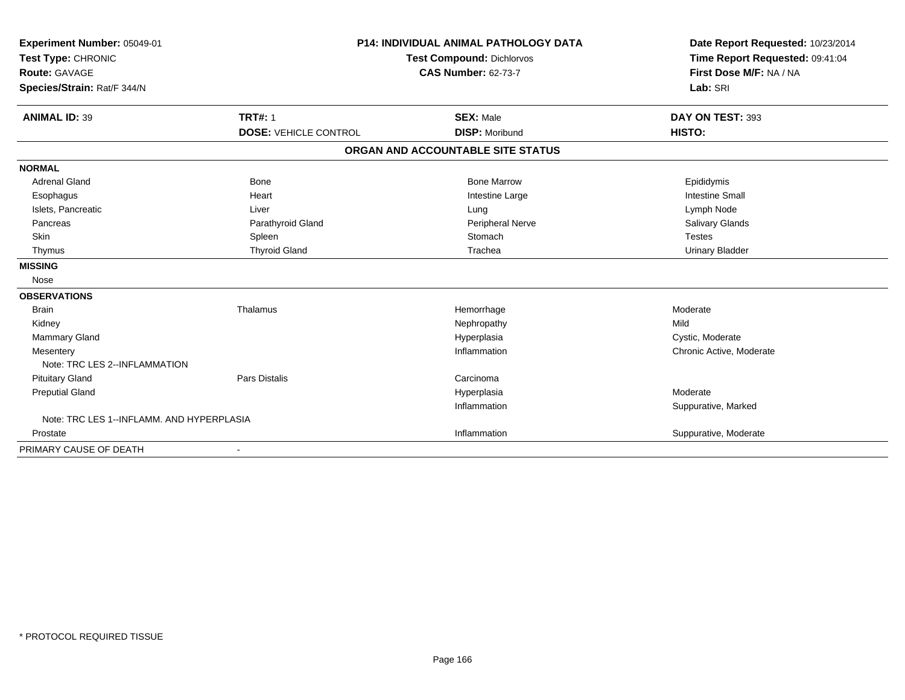| Experiment Number: 05049-01<br>Test Type: CHRONIC<br><b>Route: GAVAGE</b><br>Species/Strain: Rat/F 344/N |                                                | <b>P14: INDIVIDUAL ANIMAL PATHOLOGY DATA</b><br><b>Test Compound: Dichlorvos</b><br><b>CAS Number: 62-73-7</b> | Date Report Requested: 10/23/2014<br>Time Report Requested: 09:41:04<br>First Dose M/F: NA / NA<br>Lab: SRI |
|----------------------------------------------------------------------------------------------------------|------------------------------------------------|----------------------------------------------------------------------------------------------------------------|-------------------------------------------------------------------------------------------------------------|
| <b>ANIMAL ID: 39</b>                                                                                     | <b>TRT#: 1</b><br><b>DOSE: VEHICLE CONTROL</b> | <b>SEX: Male</b><br><b>DISP: Moribund</b>                                                                      | DAY ON TEST: 393<br>HISTO:                                                                                  |
|                                                                                                          |                                                |                                                                                                                |                                                                                                             |
|                                                                                                          |                                                | ORGAN AND ACCOUNTABLE SITE STATUS                                                                              |                                                                                                             |
| <b>NORMAL</b>                                                                                            |                                                |                                                                                                                |                                                                                                             |
| <b>Adrenal Gland</b>                                                                                     | <b>Bone</b>                                    | <b>Bone Marrow</b>                                                                                             | Epididymis                                                                                                  |
| Esophagus                                                                                                | Heart                                          | Intestine Large                                                                                                | <b>Intestine Small</b>                                                                                      |
| Islets, Pancreatic                                                                                       | Liver                                          | Lung                                                                                                           | Lymph Node                                                                                                  |
| Pancreas                                                                                                 | Parathyroid Gland                              | <b>Peripheral Nerve</b>                                                                                        | Salivary Glands                                                                                             |
| <b>Skin</b>                                                                                              | Spleen                                         | Stomach                                                                                                        | <b>Testes</b>                                                                                               |
| Thymus                                                                                                   | <b>Thyroid Gland</b>                           | Trachea                                                                                                        | <b>Urinary Bladder</b>                                                                                      |
| <b>MISSING</b>                                                                                           |                                                |                                                                                                                |                                                                                                             |
| Nose                                                                                                     |                                                |                                                                                                                |                                                                                                             |
| <b>OBSERVATIONS</b>                                                                                      |                                                |                                                                                                                |                                                                                                             |
| <b>Brain</b>                                                                                             | Thalamus                                       | Hemorrhage                                                                                                     | Moderate                                                                                                    |
| Kidney                                                                                                   |                                                | Nephropathy                                                                                                    | Mild                                                                                                        |
| <b>Mammary Gland</b>                                                                                     |                                                | Hyperplasia                                                                                                    | Cystic, Moderate                                                                                            |
| Mesentery                                                                                                |                                                | Inflammation                                                                                                   | Chronic Active, Moderate                                                                                    |
| Note: TRC LES 2--INFLAMMATION                                                                            |                                                |                                                                                                                |                                                                                                             |
| <b>Pituitary Gland</b>                                                                                   | <b>Pars Distalis</b>                           | Carcinoma                                                                                                      |                                                                                                             |
| <b>Preputial Gland</b>                                                                                   |                                                | Hyperplasia                                                                                                    | Moderate                                                                                                    |
|                                                                                                          |                                                | Inflammation                                                                                                   | Suppurative, Marked                                                                                         |
| Note: TRC LES 1--INFLAMM, AND HYPERPLASIA                                                                |                                                |                                                                                                                |                                                                                                             |
| Prostate                                                                                                 |                                                | Inflammation                                                                                                   | Suppurative, Moderate                                                                                       |
| PRIMARY CAUSE OF DEATH                                                                                   |                                                |                                                                                                                |                                                                                                             |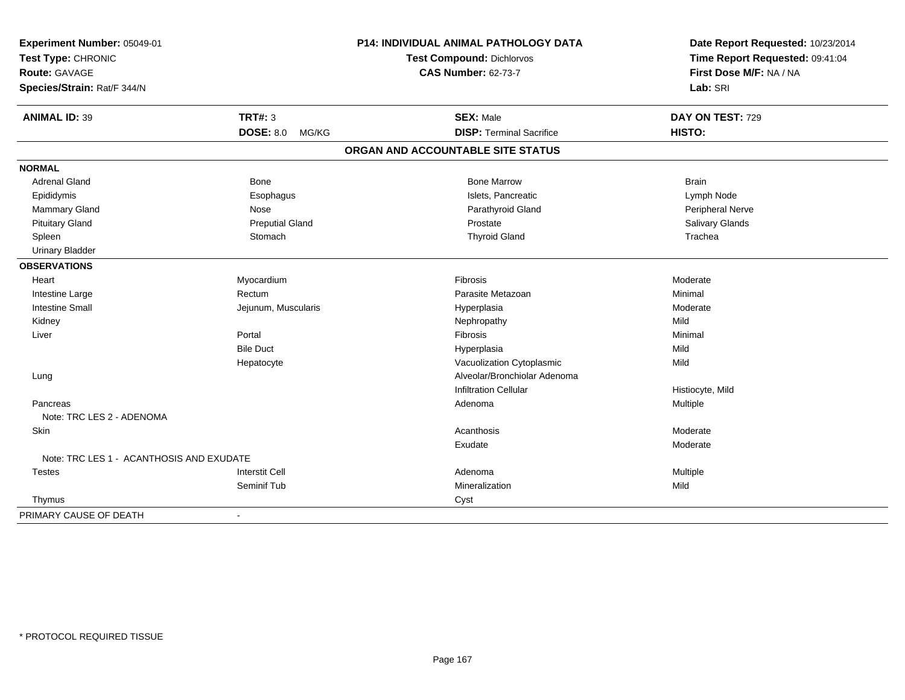| Experiment Number: 05049-01              |                           | <b>P14: INDIVIDUAL ANIMAL PATHOLOGY DATA</b> | Date Report Requested: 10/23/2014                          |
|------------------------------------------|---------------------------|----------------------------------------------|------------------------------------------------------------|
| Test Type: CHRONIC                       |                           | Test Compound: Dichlorvos                    | Time Report Requested: 09:41:04<br>First Dose M/F: NA / NA |
| Route: GAVAGE                            |                           | <b>CAS Number: 62-73-7</b>                   |                                                            |
| Species/Strain: Rat/F 344/N              |                           |                                              | Lab: SRI                                                   |
| <b>ANIMAL ID: 39</b>                     | <b>TRT#: 3</b>            | <b>SEX: Male</b>                             | DAY ON TEST: 729                                           |
|                                          | <b>DOSE: 8.0</b><br>MG/KG | <b>DISP: Terminal Sacrifice</b>              | HISTO:                                                     |
|                                          |                           | ORGAN AND ACCOUNTABLE SITE STATUS            |                                                            |
| <b>NORMAL</b>                            |                           |                                              |                                                            |
| <b>Adrenal Gland</b>                     | Bone                      | <b>Bone Marrow</b>                           | <b>Brain</b>                                               |
| Epididymis                               | Esophagus                 | Islets, Pancreatic                           | Lymph Node                                                 |
| Mammary Gland                            | Nose                      | Parathyroid Gland                            | Peripheral Nerve                                           |
| <b>Pituitary Gland</b>                   | <b>Preputial Gland</b>    | Prostate                                     | Salivary Glands                                            |
| Spleen                                   | Stomach                   | <b>Thyroid Gland</b>                         | Trachea                                                    |
| <b>Urinary Bladder</b>                   |                           |                                              |                                                            |
| <b>OBSERVATIONS</b>                      |                           |                                              |                                                            |
| Heart                                    | Myocardium                | <b>Fibrosis</b>                              | Moderate                                                   |
| Intestine Large                          | Rectum                    | Parasite Metazoan                            | Minimal                                                    |
| <b>Intestine Small</b>                   | Jejunum, Muscularis       | Hyperplasia                                  | Moderate                                                   |
| Kidney                                   |                           | Nephropathy                                  | Mild                                                       |
| Liver                                    | Portal                    | Fibrosis                                     | Minimal                                                    |
|                                          | <b>Bile Duct</b>          | Hyperplasia                                  | Mild                                                       |
|                                          | Hepatocyte                | Vacuolization Cytoplasmic                    | Mild                                                       |
| Lung                                     |                           | Alveolar/Bronchiolar Adenoma                 |                                                            |
|                                          |                           | <b>Infiltration Cellular</b>                 | Histiocyte, Mild                                           |
| Pancreas                                 |                           | Adenoma                                      | Multiple                                                   |
| Note: TRC LES 2 - ADENOMA                |                           |                                              |                                                            |
| Skin                                     |                           | Acanthosis                                   | Moderate                                                   |
|                                          |                           | Exudate                                      | Moderate                                                   |
| Note: TRC LES 1 - ACANTHOSIS AND EXUDATE |                           |                                              |                                                            |
| <b>Testes</b>                            | <b>Interstit Cell</b>     | Adenoma                                      | Multiple                                                   |
|                                          | Seminif Tub               | Mineralization                               | Mild                                                       |
| Thymus                                   |                           | Cyst                                         |                                                            |
| PRIMARY CAUSE OF DEATH                   | $\sim$                    |                                              |                                                            |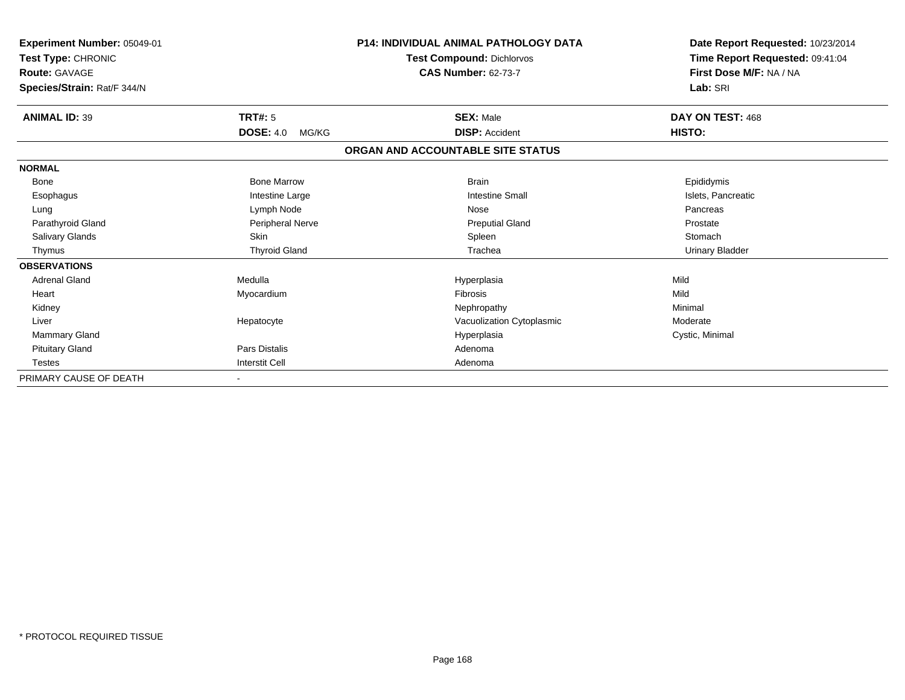| Experiment Number: 05049-01<br>Test Type: CHRONIC<br><b>Route: GAVAGE</b> |                           | <b>P14: INDIVIDUAL ANIMAL PATHOLOGY DATA</b><br><b>Test Compound: Dichlorvos</b><br><b>CAS Number: 62-73-7</b> | Date Report Requested: 10/23/2014<br>Time Report Requested: 09:41:04<br>First Dose M/F: NA / NA |
|---------------------------------------------------------------------------|---------------------------|----------------------------------------------------------------------------------------------------------------|-------------------------------------------------------------------------------------------------|
| Species/Strain: Rat/F 344/N                                               |                           |                                                                                                                | Lab: SRI                                                                                        |
| <b>ANIMAL ID: 39</b>                                                      | <b>TRT#: 5</b>            | <b>SEX: Male</b>                                                                                               | DAY ON TEST: 468                                                                                |
|                                                                           | <b>DOSE: 4.0</b><br>MG/KG | <b>DISP: Accident</b>                                                                                          | HISTO:                                                                                          |
|                                                                           |                           | ORGAN AND ACCOUNTABLE SITE STATUS                                                                              |                                                                                                 |
| <b>NORMAL</b>                                                             |                           |                                                                                                                |                                                                                                 |
| <b>Bone</b>                                                               | <b>Bone Marrow</b>        | <b>Brain</b>                                                                                                   | Epididymis                                                                                      |
| Esophagus                                                                 | Intestine Large           | <b>Intestine Small</b>                                                                                         | Islets, Pancreatic                                                                              |
| Lung                                                                      | Lymph Node                | Nose                                                                                                           | Pancreas                                                                                        |
| Parathyroid Gland                                                         | Peripheral Nerve          | <b>Preputial Gland</b>                                                                                         | Prostate                                                                                        |
| Salivary Glands                                                           | Skin                      | Spleen                                                                                                         | Stomach                                                                                         |
| Thymus                                                                    | <b>Thyroid Gland</b>      | Trachea                                                                                                        | <b>Urinary Bladder</b>                                                                          |
| <b>OBSERVATIONS</b>                                                       |                           |                                                                                                                |                                                                                                 |
| <b>Adrenal Gland</b>                                                      | Medulla                   | Hyperplasia                                                                                                    | Mild                                                                                            |
| Heart                                                                     | Myocardium                | <b>Fibrosis</b>                                                                                                | Mild                                                                                            |
| Kidney                                                                    |                           | Nephropathy                                                                                                    | Minimal                                                                                         |
| Liver                                                                     | Hepatocyte                | Vacuolization Cytoplasmic                                                                                      | Moderate                                                                                        |
| <b>Mammary Gland</b>                                                      |                           | Hyperplasia                                                                                                    | Cystic, Minimal                                                                                 |
| <b>Pituitary Gland</b>                                                    | <b>Pars Distalis</b>      | Adenoma                                                                                                        |                                                                                                 |
| <b>Testes</b>                                                             | <b>Interstit Cell</b>     | Adenoma                                                                                                        |                                                                                                 |
| PRIMARY CAUSE OF DEATH                                                    |                           |                                                                                                                |                                                                                                 |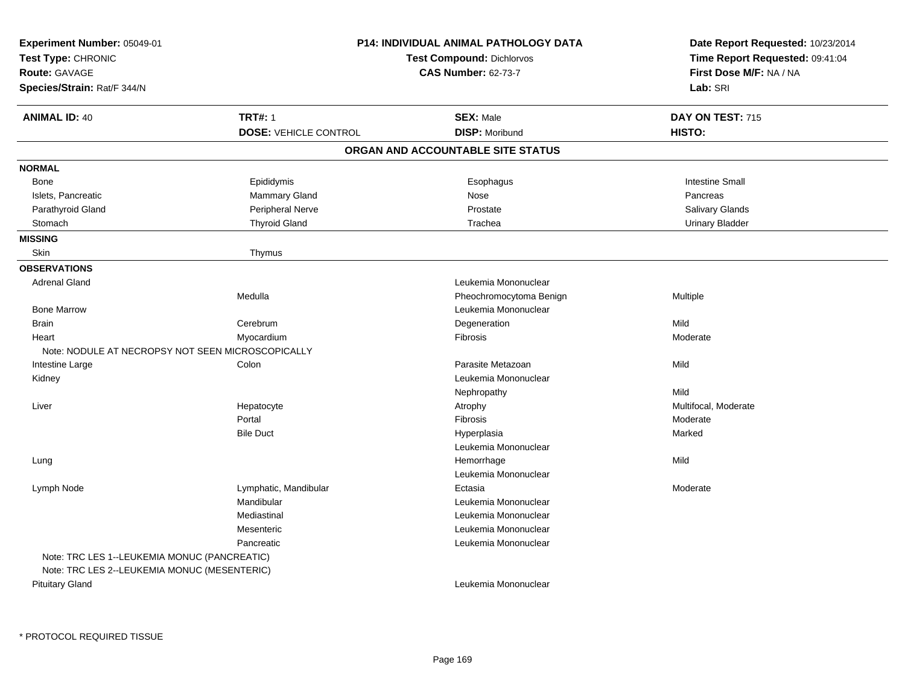| Experiment Number: 05049-01                       |                              | <b>P14: INDIVIDUAL ANIMAL PATHOLOGY DATA</b> | Date Report Requested: 10/23/2014                          |  |
|---------------------------------------------------|------------------------------|----------------------------------------------|------------------------------------------------------------|--|
| Test Type: CHRONIC                                |                              | <b>Test Compound: Dichlorvos</b>             | Time Report Requested: 09:41:04<br>First Dose M/F: NA / NA |  |
| <b>Route: GAVAGE</b>                              |                              | <b>CAS Number: 62-73-7</b>                   |                                                            |  |
| Species/Strain: Rat/F 344/N                       |                              |                                              | Lab: SRI                                                   |  |
| <b>ANIMAL ID: 40</b>                              | <b>TRT#: 1</b>               | <b>SEX: Male</b>                             | DAY ON TEST: 715                                           |  |
|                                                   | <b>DOSE: VEHICLE CONTROL</b> | <b>DISP: Moribund</b>                        | HISTO:                                                     |  |
|                                                   |                              | ORGAN AND ACCOUNTABLE SITE STATUS            |                                                            |  |
| <b>NORMAL</b>                                     |                              |                                              |                                                            |  |
| <b>Bone</b>                                       | Epididymis                   | Esophagus                                    | <b>Intestine Small</b>                                     |  |
| Islets, Pancreatic                                | Mammary Gland                | Nose                                         | Pancreas                                                   |  |
| Parathyroid Gland                                 | Peripheral Nerve             | Prostate                                     | <b>Salivary Glands</b>                                     |  |
| Stomach                                           | <b>Thyroid Gland</b>         | Trachea                                      | <b>Urinary Bladder</b>                                     |  |
| <b>MISSING</b>                                    |                              |                                              |                                                            |  |
| <b>Skin</b>                                       | Thymus                       |                                              |                                                            |  |
| <b>OBSERVATIONS</b>                               |                              |                                              |                                                            |  |
| <b>Adrenal Gland</b>                              |                              | Leukemia Mononuclear                         |                                                            |  |
|                                                   | Medulla                      | Pheochromocytoma Benign                      | Multiple                                                   |  |
| <b>Bone Marrow</b>                                |                              | Leukemia Mononuclear                         |                                                            |  |
| <b>Brain</b>                                      | Cerebrum                     | Degeneration                                 | Mild                                                       |  |
| Heart                                             | Myocardium                   | Fibrosis                                     | Moderate                                                   |  |
| Note: NODULE AT NECROPSY NOT SEEN MICROSCOPICALLY |                              |                                              |                                                            |  |
| Intestine Large                                   | Colon                        | Parasite Metazoan                            | Mild                                                       |  |
| Kidney                                            |                              | Leukemia Mononuclear                         |                                                            |  |
|                                                   |                              | Nephropathy                                  | Mild                                                       |  |
| Liver                                             | Hepatocyte                   | Atrophy                                      | Multifocal, Moderate                                       |  |
|                                                   | Portal                       | Fibrosis                                     | Moderate                                                   |  |
|                                                   | <b>Bile Duct</b>             | Hyperplasia                                  | Marked                                                     |  |
|                                                   |                              | Leukemia Mononuclear                         |                                                            |  |
| Lung                                              |                              | Hemorrhage                                   | Mild                                                       |  |
|                                                   |                              | Leukemia Mononuclear                         |                                                            |  |
| Lymph Node                                        | Lymphatic, Mandibular        | Ectasia                                      | Moderate                                                   |  |
|                                                   | Mandibular                   | Leukemia Mononuclear                         |                                                            |  |
|                                                   | Mediastinal                  | Leukemia Mononuclear                         |                                                            |  |
|                                                   | Mesenteric                   | Leukemia Mononuclear                         |                                                            |  |
|                                                   | Pancreatic                   | Leukemia Mononuclear                         |                                                            |  |
| Note: TRC LES 1--LEUKEMIA MONUC (PANCREATIC)      |                              |                                              |                                                            |  |
| Note: TRC LES 2--LEUKEMIA MONUC (MESENTERIC)      |                              |                                              |                                                            |  |
| <b>Pituitary Gland</b>                            |                              | Leukemia Mononuclear                         |                                                            |  |
|                                                   |                              |                                              |                                                            |  |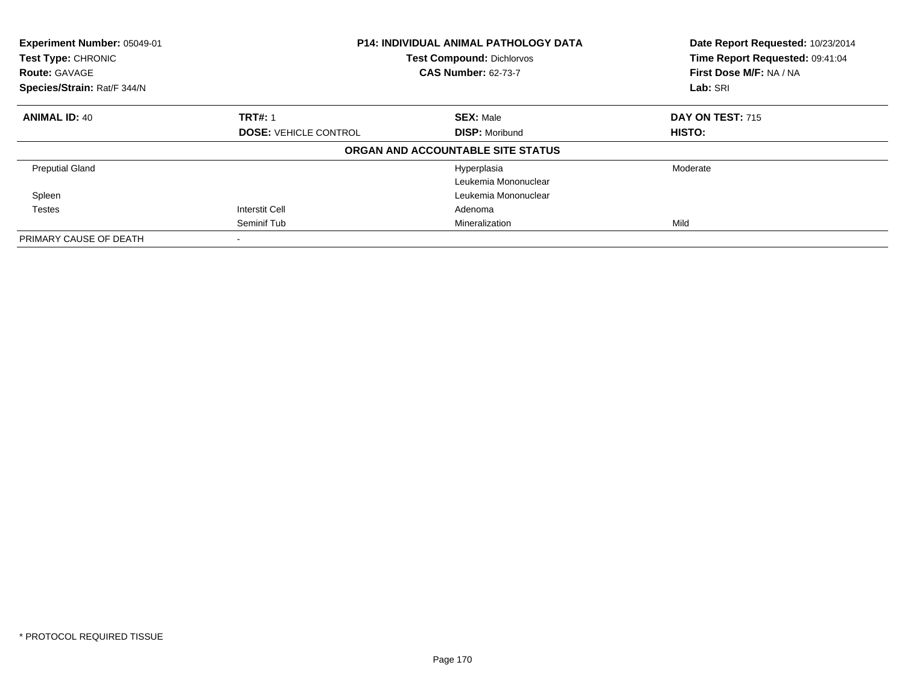| Experiment Number: 05049-01<br>Test Type: CHRONIC<br><b>Route: GAVAGE</b><br>Species/Strain: Rat/F 344/N |                                                | <b>P14: INDIVIDUAL ANIMAL PATHOLOGY DATA</b><br><b>Test Compound: Dichlorvos</b><br><b>CAS Number: 62-73-7</b> |                            |
|----------------------------------------------------------------------------------------------------------|------------------------------------------------|----------------------------------------------------------------------------------------------------------------|----------------------------|
|                                                                                                          |                                                |                                                                                                                | Lab: SRI                   |
| <b>ANIMAL ID: 40</b>                                                                                     | <b>TRT#: 1</b><br><b>DOSE: VEHICLE CONTROL</b> | <b>SEX: Male</b><br><b>DISP: Moribund</b>                                                                      | DAY ON TEST: 715<br>HISTO: |
|                                                                                                          |                                                | ORGAN AND ACCOUNTABLE SITE STATUS                                                                              |                            |
| <b>Preputial Gland</b>                                                                                   |                                                | Hyperplasia<br>Leukemia Mononuclear                                                                            | Moderate                   |
| Spleen                                                                                                   |                                                | Leukemia Mononuclear                                                                                           |                            |
| Testes                                                                                                   | <b>Interstit Cell</b>                          | Adenoma                                                                                                        |                            |
|                                                                                                          | Seminif Tub                                    | Mineralization                                                                                                 | Mild                       |
| PRIMARY CAUSE OF DEATH                                                                                   |                                                |                                                                                                                |                            |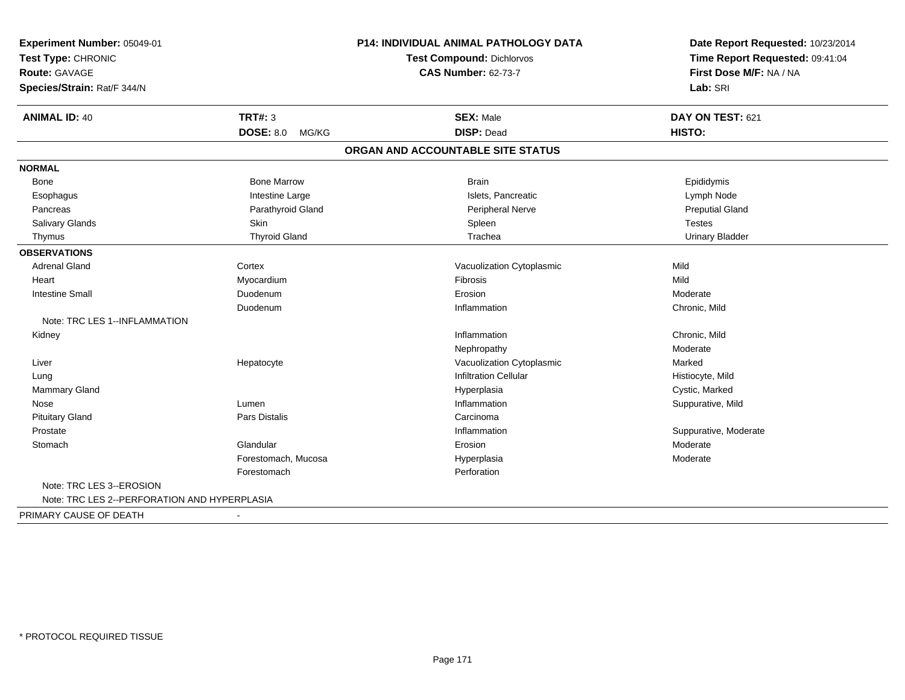| Experiment Number: 05049-01<br>Test Type: CHRONIC |                           | <b>P14: INDIVIDUAL ANIMAL PATHOLOGY DATA</b> | Date Report Requested: 10/23/2014<br>Time Report Requested: 09:41:04 |  |
|---------------------------------------------------|---------------------------|----------------------------------------------|----------------------------------------------------------------------|--|
|                                                   |                           | <b>Test Compound: Dichlorvos</b>             |                                                                      |  |
| <b>Route: GAVAGE</b>                              |                           | <b>CAS Number: 62-73-7</b>                   | First Dose M/F: NA / NA                                              |  |
| Species/Strain: Rat/F 344/N                       |                           |                                              | Lab: SRI                                                             |  |
| <b>ANIMAL ID: 40</b>                              | <b>TRT#: 3</b>            | <b>SEX: Male</b>                             | DAY ON TEST: 621                                                     |  |
|                                                   | <b>DOSE: 8.0</b><br>MG/KG | <b>DISP: Dead</b>                            | <b>HISTO:</b>                                                        |  |
|                                                   |                           | ORGAN AND ACCOUNTABLE SITE STATUS            |                                                                      |  |
| <b>NORMAL</b>                                     |                           |                                              |                                                                      |  |
| Bone                                              | <b>Bone Marrow</b>        | <b>Brain</b>                                 | Epididymis                                                           |  |
| Esophagus                                         | Intestine Large           | Islets, Pancreatic                           | Lymph Node                                                           |  |
| Pancreas                                          | Parathyroid Gland         | Peripheral Nerve                             | <b>Preputial Gland</b>                                               |  |
| <b>Salivary Glands</b>                            | <b>Skin</b>               | Spleen                                       | <b>Testes</b>                                                        |  |
| Thymus                                            | <b>Thyroid Gland</b>      | Trachea                                      | <b>Urinary Bladder</b>                                               |  |
| <b>OBSERVATIONS</b>                               |                           |                                              |                                                                      |  |
| <b>Adrenal Gland</b>                              | Cortex                    | Vacuolization Cytoplasmic                    | Mild                                                                 |  |
| Heart                                             | Myocardium                | Fibrosis                                     | Mild                                                                 |  |
| <b>Intestine Small</b>                            | Duodenum                  | Erosion                                      | Moderate                                                             |  |
|                                                   | Duodenum                  | Inflammation                                 | Chronic, Mild                                                        |  |
| Note: TRC LES 1--INFLAMMATION                     |                           |                                              |                                                                      |  |
| Kidney                                            |                           | Inflammation                                 | Chronic, Mild                                                        |  |
|                                                   |                           | Nephropathy                                  | Moderate                                                             |  |
| Liver                                             | Hepatocyte                | Vacuolization Cytoplasmic                    | Marked                                                               |  |
| Lung                                              |                           | <b>Infiltration Cellular</b>                 | Histiocyte, Mild                                                     |  |
| Mammary Gland                                     |                           | Hyperplasia                                  | Cystic, Marked                                                       |  |
| Nose                                              | Lumen                     | Inflammation                                 | Suppurative, Mild                                                    |  |
| <b>Pituitary Gland</b>                            | Pars Distalis             | Carcinoma                                    |                                                                      |  |
| Prostate                                          |                           | Inflammation                                 | Suppurative, Moderate                                                |  |
| Stomach                                           | Glandular                 | Erosion                                      | Moderate                                                             |  |
|                                                   | Forestomach, Mucosa       | Hyperplasia                                  | Moderate                                                             |  |
|                                                   | Forestomach               | Perforation                                  |                                                                      |  |
| Note: TRC LES 3--EROSION                          |                           |                                              |                                                                      |  |
| Note: TRC LES 2--PERFORATION AND HYPERPLASIA      |                           |                                              |                                                                      |  |
| PRIMARY CAUSE OF DEATH                            |                           |                                              |                                                                      |  |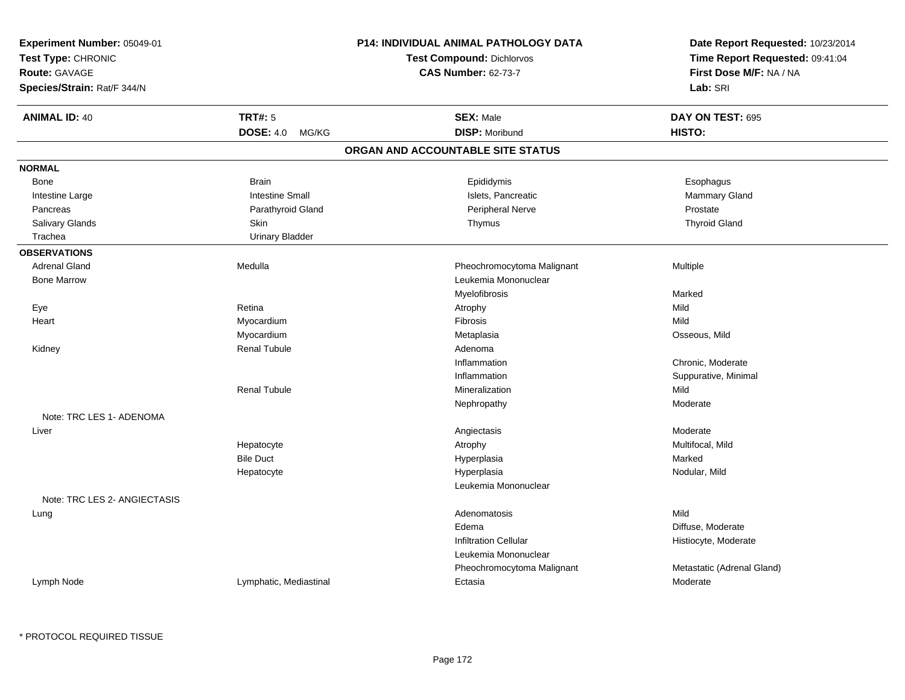| Experiment Number: 05049-01<br>Test Type: CHRONIC<br><b>Route: GAVAGE</b> |                           | <b>P14: INDIVIDUAL ANIMAL PATHOLOGY DATA</b> | Date Report Requested: 10/23/2014                          |  |
|---------------------------------------------------------------------------|---------------------------|----------------------------------------------|------------------------------------------------------------|--|
|                                                                           |                           | <b>Test Compound: Dichlorvos</b>             | Time Report Requested: 09:41:04<br>First Dose M/F: NA / NA |  |
|                                                                           |                           | <b>CAS Number: 62-73-7</b>                   |                                                            |  |
| Species/Strain: Rat/F 344/N                                               |                           |                                              | Lab: SRI                                                   |  |
| <b>ANIMAL ID: 40</b>                                                      | <b>TRT#: 5</b>            | <b>SEX: Male</b>                             | DAY ON TEST: 695                                           |  |
|                                                                           | <b>DOSE: 4.0</b><br>MG/KG | <b>DISP: Moribund</b>                        | HISTO:                                                     |  |
|                                                                           |                           | ORGAN AND ACCOUNTABLE SITE STATUS            |                                                            |  |
| <b>NORMAL</b>                                                             |                           |                                              |                                                            |  |
| Bone                                                                      | <b>Brain</b>              | Epididymis                                   | Esophagus                                                  |  |
| Intestine Large                                                           | <b>Intestine Small</b>    | Islets, Pancreatic                           | Mammary Gland                                              |  |
| Pancreas                                                                  | Parathyroid Gland         | Peripheral Nerve                             | Prostate                                                   |  |
| Salivary Glands                                                           | Skin                      | Thymus                                       | <b>Thyroid Gland</b>                                       |  |
| Trachea                                                                   | <b>Urinary Bladder</b>    |                                              |                                                            |  |
| <b>OBSERVATIONS</b>                                                       |                           |                                              |                                                            |  |
| <b>Adrenal Gland</b>                                                      | Medulla                   | Pheochromocytoma Malignant                   | <b>Multiple</b>                                            |  |
| <b>Bone Marrow</b>                                                        |                           | Leukemia Mononuclear                         |                                                            |  |
|                                                                           |                           | Myelofibrosis                                | Marked                                                     |  |
| Eye                                                                       | Retina                    | Atrophy                                      | Mild                                                       |  |
| Heart                                                                     | Myocardium                | Fibrosis                                     | Mild                                                       |  |
|                                                                           | Myocardium                | Metaplasia                                   | Osseous, Mild                                              |  |
| Kidney                                                                    | <b>Renal Tubule</b>       | Adenoma                                      |                                                            |  |
|                                                                           |                           | Inflammation                                 | Chronic, Moderate                                          |  |
|                                                                           |                           | Inflammation                                 | Suppurative, Minimal                                       |  |
|                                                                           | <b>Renal Tubule</b>       | Mineralization                               | Mild                                                       |  |
|                                                                           |                           | Nephropathy                                  | Moderate                                                   |  |
| Note: TRC LES 1- ADENOMA                                                  |                           |                                              |                                                            |  |
| Liver                                                                     |                           | Angiectasis                                  | Moderate                                                   |  |
|                                                                           | Hepatocyte                | Atrophy                                      | Multifocal, Mild                                           |  |
|                                                                           | <b>Bile Duct</b>          | Hyperplasia                                  | Marked                                                     |  |
|                                                                           | Hepatocyte                | Hyperplasia                                  | Nodular, Mild                                              |  |
|                                                                           |                           | Leukemia Mononuclear                         |                                                            |  |
| Note: TRC LES 2- ANGIECTASIS                                              |                           |                                              |                                                            |  |
| Lung                                                                      |                           | Adenomatosis                                 | Mild                                                       |  |
|                                                                           |                           | Edema                                        | Diffuse, Moderate                                          |  |
|                                                                           |                           | <b>Infiltration Cellular</b>                 | Histiocyte, Moderate                                       |  |
|                                                                           |                           | Leukemia Mononuclear                         |                                                            |  |
|                                                                           |                           | Pheochromocytoma Malignant                   | Metastatic (Adrenal Gland)                                 |  |
| Lymph Node                                                                | Lymphatic, Mediastinal    | Ectasia                                      | Moderate                                                   |  |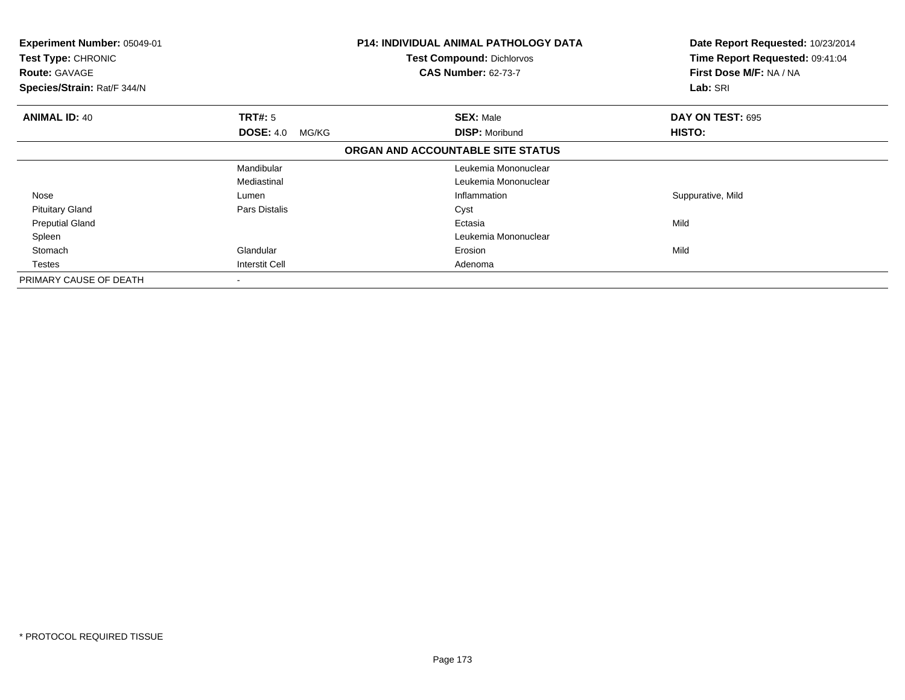| Experiment Number: 05049-01<br><b>Test Type: CHRONIC</b><br><b>Route: GAVAGE</b><br>Species/Strain: Rat/F 344/N |                           | <b>P14: INDIVIDUAL ANIMAL PATHOLOGY DATA</b><br><b>Test Compound: Dichlorvos</b><br><b>CAS Number: 62-73-7</b> | Date Report Requested: 10/23/2014<br>Time Report Requested: 09:41:04<br>First Dose M/F: NA / NA<br>Lab: SRI |
|-----------------------------------------------------------------------------------------------------------------|---------------------------|----------------------------------------------------------------------------------------------------------------|-------------------------------------------------------------------------------------------------------------|
| <b>ANIMAL ID: 40</b>                                                                                            | <b>TRT#: 5</b>            | <b>SEX: Male</b>                                                                                               | DAY ON TEST: 695                                                                                            |
|                                                                                                                 | <b>DOSE: 4.0</b><br>MG/KG | <b>DISP: Moribund</b>                                                                                          | HISTO:                                                                                                      |
|                                                                                                                 |                           | ORGAN AND ACCOUNTABLE SITE STATUS                                                                              |                                                                                                             |
|                                                                                                                 | Mandibular                | Leukemia Mononuclear                                                                                           |                                                                                                             |
|                                                                                                                 | Mediastinal               | Leukemia Mononuclear                                                                                           |                                                                                                             |
| Nose                                                                                                            | Lumen                     | Inflammation                                                                                                   | Suppurative, Mild                                                                                           |
| <b>Pituitary Gland</b>                                                                                          | Pars Distalis             | Cyst                                                                                                           |                                                                                                             |
| <b>Preputial Gland</b>                                                                                          |                           | Ectasia                                                                                                        | Mild                                                                                                        |
| Spleen                                                                                                          |                           | Leukemia Mononuclear                                                                                           |                                                                                                             |
| Stomach                                                                                                         | Glandular                 | Erosion                                                                                                        | Mild                                                                                                        |
| <b>Testes</b>                                                                                                   | <b>Interstit Cell</b>     | Adenoma                                                                                                        |                                                                                                             |
| PRIMARY CAUSE OF DEATH                                                                                          |                           |                                                                                                                |                                                                                                             |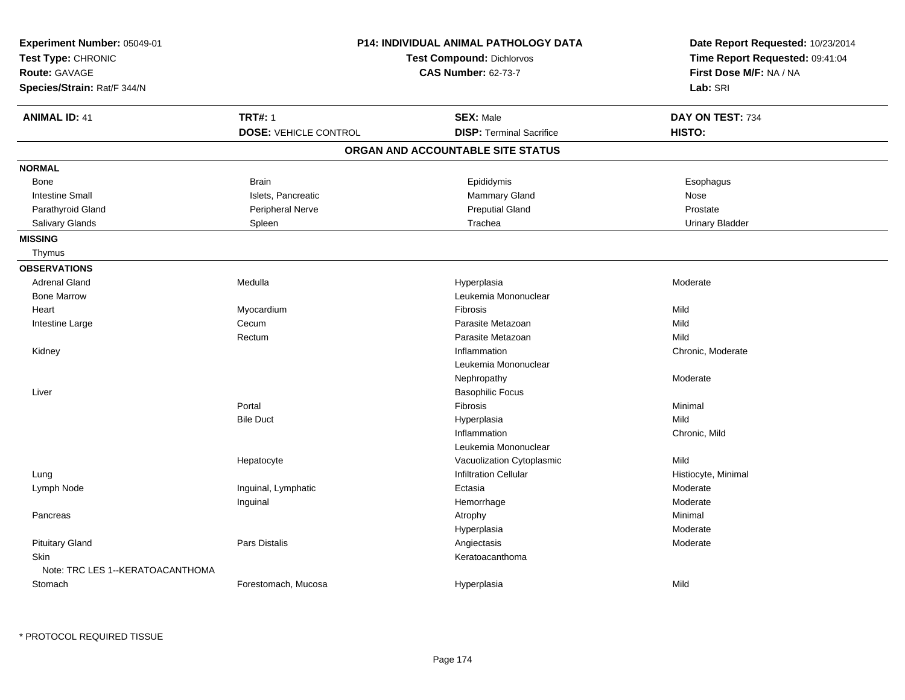| Experiment Number: 05049-01<br>Test Type: CHRONIC<br>Route: GAVAGE<br>Species/Strain: Rat/F 344/N |                              | P14: INDIVIDUAL ANIMAL PATHOLOGY DATA<br><b>Test Compound: Dichlorvos</b><br><b>CAS Number: 62-73-7</b> | Date Report Requested: 10/23/2014<br>Time Report Requested: 09:41:04<br>First Dose M/F: NA / NA<br>Lab: SRI |
|---------------------------------------------------------------------------------------------------|------------------------------|---------------------------------------------------------------------------------------------------------|-------------------------------------------------------------------------------------------------------------|
| <b>ANIMAL ID: 41</b>                                                                              | <b>TRT#: 1</b>               | <b>SEX: Male</b>                                                                                        | DAY ON TEST: 734                                                                                            |
|                                                                                                   | <b>DOSE: VEHICLE CONTROL</b> | <b>DISP: Terminal Sacrifice</b>                                                                         | HISTO:                                                                                                      |
|                                                                                                   |                              | ORGAN AND ACCOUNTABLE SITE STATUS                                                                       |                                                                                                             |
| <b>NORMAL</b>                                                                                     |                              |                                                                                                         |                                                                                                             |
| Bone                                                                                              | <b>Brain</b>                 | Epididymis                                                                                              | Esophagus                                                                                                   |
| <b>Intestine Small</b>                                                                            | Islets, Pancreatic           | Mammary Gland                                                                                           | Nose                                                                                                        |
| Parathyroid Gland                                                                                 | Peripheral Nerve             | <b>Preputial Gland</b>                                                                                  | Prostate                                                                                                    |
| Salivary Glands                                                                                   | Spleen                       | Trachea                                                                                                 | <b>Urinary Bladder</b>                                                                                      |
| <b>MISSING</b>                                                                                    |                              |                                                                                                         |                                                                                                             |
| Thymus                                                                                            |                              |                                                                                                         |                                                                                                             |
| <b>OBSERVATIONS</b>                                                                               |                              |                                                                                                         |                                                                                                             |
| <b>Adrenal Gland</b>                                                                              | Medulla                      | Hyperplasia                                                                                             | Moderate                                                                                                    |
| <b>Bone Marrow</b>                                                                                |                              | Leukemia Mononuclear                                                                                    |                                                                                                             |
| Heart                                                                                             | Myocardium                   | <b>Fibrosis</b>                                                                                         | Mild                                                                                                        |
| Intestine Large                                                                                   | Cecum                        | Parasite Metazoan                                                                                       | Mild                                                                                                        |
|                                                                                                   | Rectum                       | Parasite Metazoan                                                                                       | Mild                                                                                                        |
| Kidney                                                                                            |                              | Inflammation                                                                                            | Chronic, Moderate                                                                                           |
|                                                                                                   |                              | Leukemia Mononuclear                                                                                    |                                                                                                             |
|                                                                                                   |                              | Nephropathy                                                                                             | Moderate                                                                                                    |
| Liver                                                                                             |                              | <b>Basophilic Focus</b>                                                                                 |                                                                                                             |
|                                                                                                   | Portal                       | <b>Fibrosis</b>                                                                                         | Minimal                                                                                                     |
|                                                                                                   | <b>Bile Duct</b>             | Hyperplasia                                                                                             | Mild                                                                                                        |
|                                                                                                   |                              | Inflammation                                                                                            | Chronic, Mild                                                                                               |
|                                                                                                   |                              | Leukemia Mononuclear                                                                                    |                                                                                                             |
|                                                                                                   | Hepatocyte                   | Vacuolization Cytoplasmic                                                                               | Mild                                                                                                        |
| Lung                                                                                              |                              | <b>Infiltration Cellular</b>                                                                            | Histiocyte, Minimal                                                                                         |
| Lymph Node                                                                                        | Inguinal, Lymphatic          | Ectasia                                                                                                 | Moderate                                                                                                    |
|                                                                                                   | Inguinal                     | Hemorrhage                                                                                              | Moderate                                                                                                    |
| Pancreas                                                                                          |                              | Atrophy                                                                                                 | Minimal                                                                                                     |
|                                                                                                   |                              | Hyperplasia                                                                                             | Moderate                                                                                                    |
| <b>Pituitary Gland</b>                                                                            | <b>Pars Distalis</b>         | Angiectasis                                                                                             | Moderate                                                                                                    |
| <b>Skin</b>                                                                                       |                              | Keratoacanthoma                                                                                         |                                                                                                             |
| Note: TRC LES 1--KERATOACANTHOMA                                                                  |                              |                                                                                                         |                                                                                                             |
| Stomach                                                                                           | Forestomach, Mucosa          | Hyperplasia                                                                                             | Mild                                                                                                        |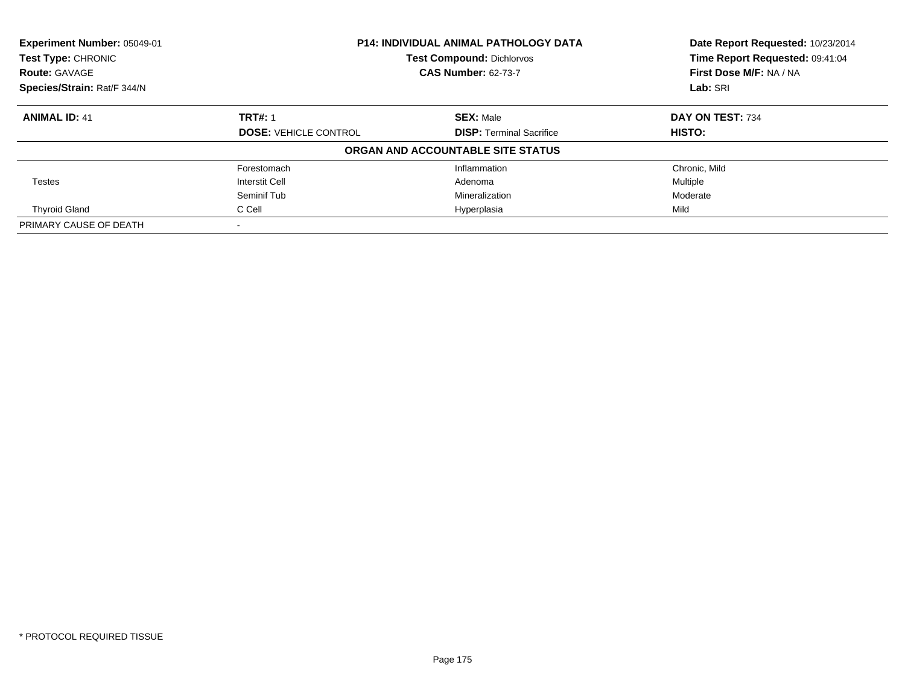| Experiment Number: 05049-01<br>Test Type: CHRONIC<br><b>Route: GAVAGE</b> | <b>P14: INDIVIDUAL ANIMAL PATHOLOGY DATA</b><br><b>Test Compound: Dichlorvos</b><br><b>CAS Number: 62-73-7</b> |                                   | Date Report Requested: 10/23/2014<br>Time Report Requested: 09:41:04<br>First Dose M/F: NA / NA |  |
|---------------------------------------------------------------------------|----------------------------------------------------------------------------------------------------------------|-----------------------------------|-------------------------------------------------------------------------------------------------|--|
| Species/Strain: Rat/F 344/N                                               |                                                                                                                |                                   | Lab: SRI                                                                                        |  |
| <b>ANIMAL ID: 41</b>                                                      | <b>TRT#: 1</b>                                                                                                 | <b>SEX: Male</b>                  | DAY ON TEST: 734                                                                                |  |
|                                                                           | <b>DOSE: VEHICLE CONTROL</b>                                                                                   | <b>DISP:</b> Terminal Sacrifice   | <b>HISTO:</b>                                                                                   |  |
|                                                                           |                                                                                                                | ORGAN AND ACCOUNTABLE SITE STATUS |                                                                                                 |  |
|                                                                           | Forestomach                                                                                                    | Inflammation                      | Chronic, Mild                                                                                   |  |
| <b>Testes</b>                                                             | <b>Interstit Cell</b>                                                                                          | Adenoma                           | Multiple                                                                                        |  |
|                                                                           | Seminif Tub                                                                                                    | Mineralization                    | Moderate                                                                                        |  |
| <b>Thyroid Gland</b>                                                      | C Cell                                                                                                         | Hyperplasia                       | Mild                                                                                            |  |
| PRIMARY CAUSE OF DEATH                                                    |                                                                                                                |                                   |                                                                                                 |  |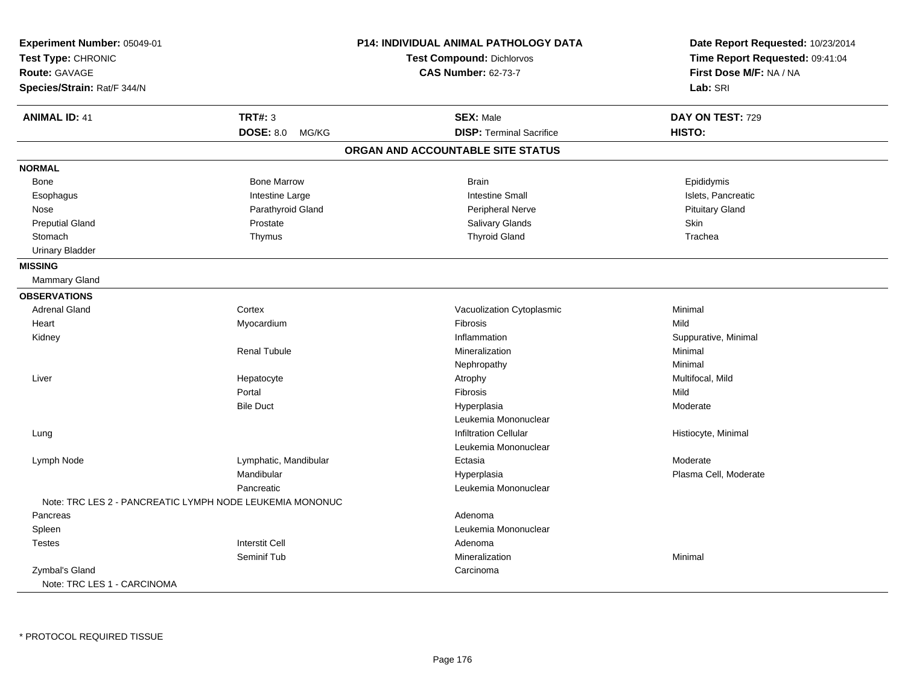| Experiment Number: 05049-01<br>Test Type: CHRONIC<br>Route: GAVAGE |                           | P14: INDIVIDUAL ANIMAL PATHOLOGY DATA<br>Test Compound: Dichlorvos<br><b>CAS Number: 62-73-7</b> | Date Report Requested: 10/23/2014<br>Time Report Requested: 09:41:04<br>First Dose M/F: NA / NA |
|--------------------------------------------------------------------|---------------------------|--------------------------------------------------------------------------------------------------|-------------------------------------------------------------------------------------------------|
| Species/Strain: Rat/F 344/N                                        |                           |                                                                                                  | Lab: SRI                                                                                        |
| <b>ANIMAL ID: 41</b>                                               | <b>TRT#: 3</b>            | <b>SEX: Male</b>                                                                                 | DAY ON TEST: 729                                                                                |
|                                                                    | <b>DOSE: 8.0</b><br>MG/KG | <b>DISP: Terminal Sacrifice</b>                                                                  | HISTO:                                                                                          |
|                                                                    |                           | ORGAN AND ACCOUNTABLE SITE STATUS                                                                |                                                                                                 |
| <b>NORMAL</b>                                                      |                           |                                                                                                  |                                                                                                 |
| Bone                                                               | <b>Bone Marrow</b>        | <b>Brain</b>                                                                                     | Epididymis                                                                                      |
| Esophagus                                                          | Intestine Large           | <b>Intestine Small</b>                                                                           | Islets, Pancreatic                                                                              |
| Nose                                                               | Parathyroid Gland         | <b>Peripheral Nerve</b>                                                                          | <b>Pituitary Gland</b>                                                                          |
| <b>Preputial Gland</b>                                             | Prostate                  | Salivary Glands                                                                                  | Skin                                                                                            |
| Stomach                                                            | Thymus                    | <b>Thyroid Gland</b>                                                                             | Trachea                                                                                         |
| <b>Urinary Bladder</b>                                             |                           |                                                                                                  |                                                                                                 |
| <b>MISSING</b>                                                     |                           |                                                                                                  |                                                                                                 |
| Mammary Gland                                                      |                           |                                                                                                  |                                                                                                 |
| <b>OBSERVATIONS</b>                                                |                           |                                                                                                  |                                                                                                 |
| <b>Adrenal Gland</b>                                               | Cortex                    | Vacuolization Cytoplasmic                                                                        | Minimal                                                                                         |
| Heart                                                              | Myocardium                | Fibrosis                                                                                         | Mild                                                                                            |
| Kidney                                                             |                           | Inflammation                                                                                     | Suppurative, Minimal                                                                            |
|                                                                    | <b>Renal Tubule</b>       | Mineralization                                                                                   | Minimal                                                                                         |
|                                                                    |                           | Nephropathy                                                                                      | Minimal                                                                                         |
| Liver                                                              | Hepatocyte                | Atrophy                                                                                          | Multifocal, Mild                                                                                |
|                                                                    | Portal                    | Fibrosis                                                                                         | Mild                                                                                            |
|                                                                    | <b>Bile Duct</b>          | Hyperplasia                                                                                      | Moderate                                                                                        |
|                                                                    |                           | Leukemia Mononuclear                                                                             |                                                                                                 |
| Lung                                                               |                           | <b>Infiltration Cellular</b>                                                                     | Histiocyte, Minimal                                                                             |
|                                                                    |                           | Leukemia Mononuclear                                                                             |                                                                                                 |
| Lymph Node                                                         | Lymphatic, Mandibular     | Ectasia                                                                                          | Moderate                                                                                        |
|                                                                    | Mandibular                | Hyperplasia                                                                                      | Plasma Cell, Moderate                                                                           |
|                                                                    | Pancreatic                | Leukemia Mononuclear                                                                             |                                                                                                 |
| Note: TRC LES 2 - PANCREATIC LYMPH NODE LEUKEMIA MONONUC           |                           |                                                                                                  |                                                                                                 |
| Pancreas                                                           |                           | Adenoma                                                                                          |                                                                                                 |
| Spleen                                                             |                           | Leukemia Mononuclear                                                                             |                                                                                                 |
| <b>Testes</b>                                                      | <b>Interstit Cell</b>     | Adenoma                                                                                          |                                                                                                 |
|                                                                    | Seminif Tub               | Mineralization                                                                                   | Minimal                                                                                         |
| Zymbal's Gland                                                     |                           | Carcinoma                                                                                        |                                                                                                 |
| Note: TRC LES 1 - CARCINOMA                                        |                           |                                                                                                  |                                                                                                 |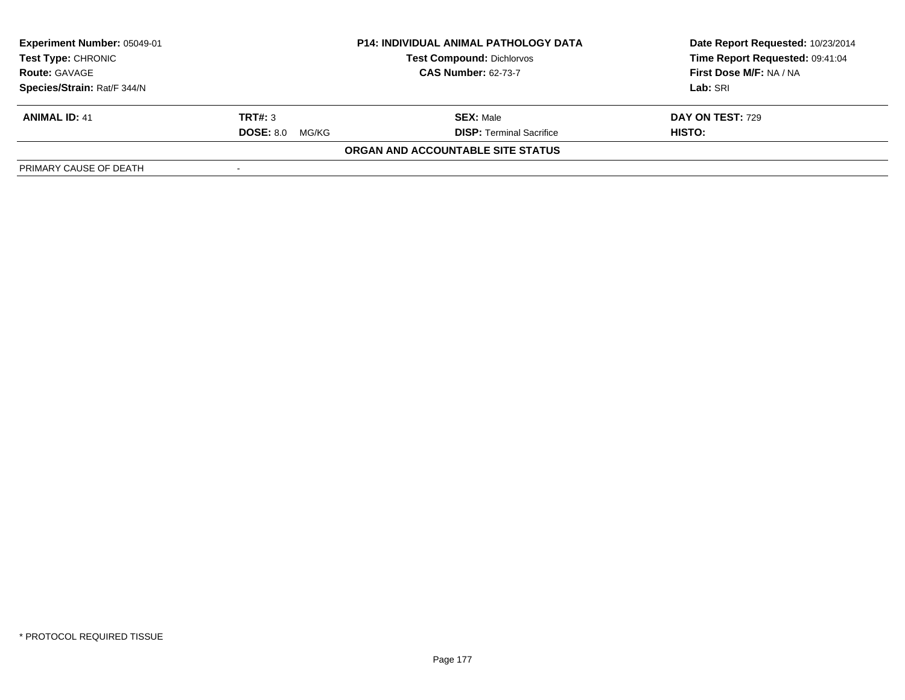| <b>Experiment Number: 05049-01</b><br>Test Type: CHRONIC<br><b>Route: GAVAGE</b><br>Species/Strain: Rat/F 344/N | <b>P14: INDIVIDUAL ANIMAL PATHOLOGY DATA</b><br><b>Test Compound: Dichlorvos</b><br><b>CAS Number: 62-73-7</b> |                                                     | Date Report Requested: 10/23/2014<br>Time Report Requested: 09:41:04<br>First Dose M/F: NA / NA<br>Lab: SRI |
|-----------------------------------------------------------------------------------------------------------------|----------------------------------------------------------------------------------------------------------------|-----------------------------------------------------|-------------------------------------------------------------------------------------------------------------|
| <b>ANIMAL ID: 41</b>                                                                                            | TRT#: 3<br><b>DOSE: 8.0</b><br>MG/KG                                                                           | <b>SEX: Male</b><br><b>DISP:</b> Terminal Sacrifice | DAY ON TEST: 729<br>HISTO:                                                                                  |
| PRIMARY CAUSE OF DEATH                                                                                          |                                                                                                                | ORGAN AND ACCOUNTABLE SITE STATUS                   |                                                                                                             |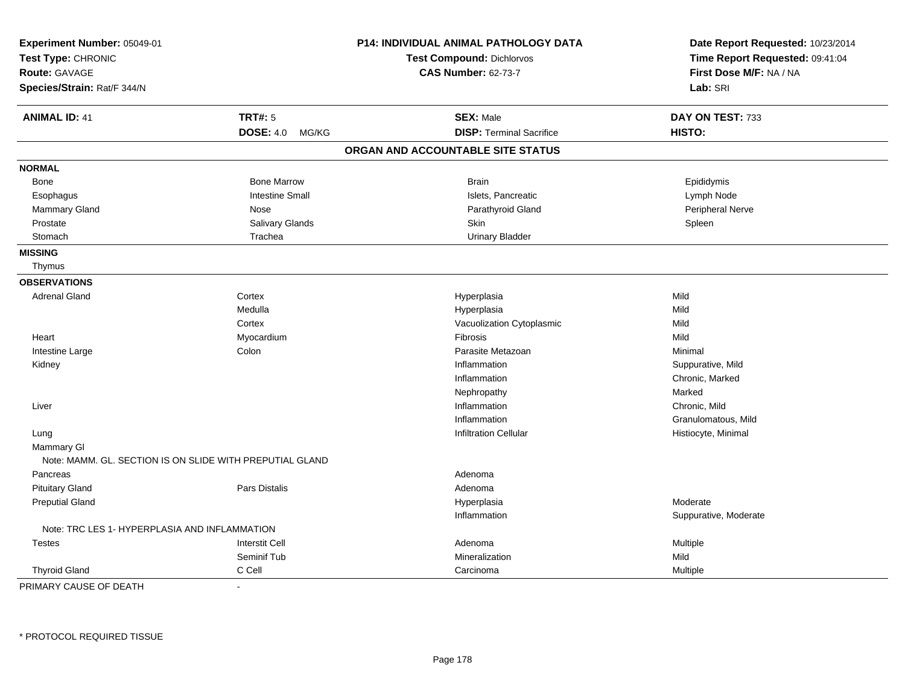| Experiment Number: 05049-01                              |                           | <b>P14: INDIVIDUAL ANIMAL PATHOLOGY DATA</b> | Date Report Requested: 10/23/2014 |  |
|----------------------------------------------------------|---------------------------|----------------------------------------------|-----------------------------------|--|
| Test Type: CHRONIC                                       |                           | Test Compound: Dichlorvos                    | Time Report Requested: 09:41:04   |  |
| Route: GAVAGE                                            |                           | <b>CAS Number: 62-73-7</b>                   | First Dose M/F: NA / NA           |  |
| Species/Strain: Rat/F 344/N                              |                           |                                              | Lab: SRI                          |  |
| <b>ANIMAL ID: 41</b>                                     | <b>TRT#: 5</b>            | <b>SEX: Male</b>                             | DAY ON TEST: 733                  |  |
|                                                          | <b>DOSE: 4.0</b><br>MG/KG | <b>DISP: Terminal Sacrifice</b>              | HISTO:                            |  |
|                                                          |                           | ORGAN AND ACCOUNTABLE SITE STATUS            |                                   |  |
| <b>NORMAL</b>                                            |                           |                                              |                                   |  |
| <b>Bone</b>                                              | <b>Bone Marrow</b>        | <b>Brain</b>                                 | Epididymis                        |  |
| Esophagus                                                | <b>Intestine Small</b>    | Islets, Pancreatic                           | Lymph Node                        |  |
| Mammary Gland                                            | Nose                      | Parathyroid Gland                            | Peripheral Nerve                  |  |
| Prostate                                                 | Salivary Glands           | <b>Skin</b>                                  | Spleen                            |  |
| Stomach                                                  | Trachea                   | <b>Urinary Bladder</b>                       |                                   |  |
| <b>MISSING</b>                                           |                           |                                              |                                   |  |
| Thymus                                                   |                           |                                              |                                   |  |
| <b>OBSERVATIONS</b>                                      |                           |                                              |                                   |  |
| <b>Adrenal Gland</b>                                     | Cortex                    | Hyperplasia                                  | Mild                              |  |
|                                                          | Medulla                   | Hyperplasia                                  | Mild                              |  |
|                                                          | Cortex                    | Vacuolization Cytoplasmic                    | Mild                              |  |
| Heart                                                    | Myocardium                | Fibrosis                                     | Mild                              |  |
| Intestine Large                                          | Colon                     | Parasite Metazoan                            | Minimal                           |  |
| Kidney                                                   |                           | Inflammation                                 | Suppurative, Mild                 |  |
|                                                          |                           | Inflammation                                 | Chronic, Marked                   |  |
|                                                          |                           | Nephropathy                                  | Marked                            |  |
| Liver                                                    |                           | Inflammation                                 | Chronic, Mild                     |  |
|                                                          |                           | Inflammation                                 | Granulomatous, Mild               |  |
| Lung                                                     |                           | <b>Infiltration Cellular</b>                 | Histiocyte, Minimal               |  |
| <b>Mammary GI</b>                                        |                           |                                              |                                   |  |
| Note: MAMM, GL, SECTION IS ON SLIDE WITH PREPUTIAL GLAND |                           |                                              |                                   |  |
| Pancreas                                                 |                           | Adenoma                                      |                                   |  |
| <b>Pituitary Gland</b>                                   | Pars Distalis             | Adenoma                                      |                                   |  |
| <b>Preputial Gland</b>                                   |                           | Hyperplasia                                  | Moderate                          |  |
|                                                          |                           | Inflammation                                 | Suppurative, Moderate             |  |
| Note: TRC LES 1- HYPERPLASIA AND INFLAMMATION            |                           |                                              |                                   |  |
| <b>Testes</b>                                            | <b>Interstit Cell</b>     | Adenoma                                      | Multiple                          |  |
|                                                          | Seminif Tub               | Mineralization                               | Mild                              |  |
| <b>Thyroid Gland</b>                                     | C Cell                    | Carcinoma                                    | Multiple                          |  |

PRIMARY CAUSE OF DEATH-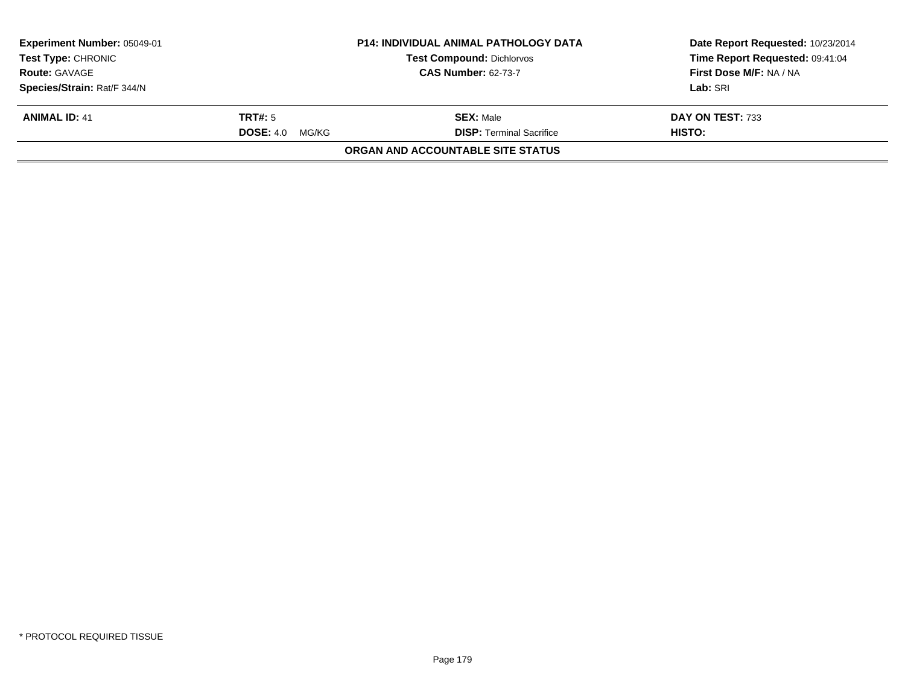| <b>Experiment Number: 05049-01</b><br><b>Test Type: CHRONIC</b> |                            | <b>P14: INDIVIDUAL ANIMAL PATHOLOGY DATA</b><br><b>Test Compound: Dichlorvos</b> | Date Report Requested: 10/23/2014<br>Time Report Requested: 09:41:04 |
|-----------------------------------------------------------------|----------------------------|----------------------------------------------------------------------------------|----------------------------------------------------------------------|
| <b>Route: GAVAGE</b>                                            | <b>CAS Number: 62-73-7</b> |                                                                                  | First Dose M/F: NA / NA                                              |
| Species/Strain: Rat/F 344/N                                     |                            |                                                                                  | Lab: SRI                                                             |
| <b>ANIMAL ID: 41</b>                                            | TRT#: 5                    | <b>SEX: Male</b>                                                                 | DAY ON TEST: 733                                                     |
|                                                                 | <b>DOSE: 4.0</b><br>MG/KG  | <b>DISP: Terminal Sacrifice</b>                                                  | <b>HISTO:</b>                                                        |
|                                                                 |                            | <b>ORGAN AND ACCOUNTABLE SITE STATUS</b>                                         |                                                                      |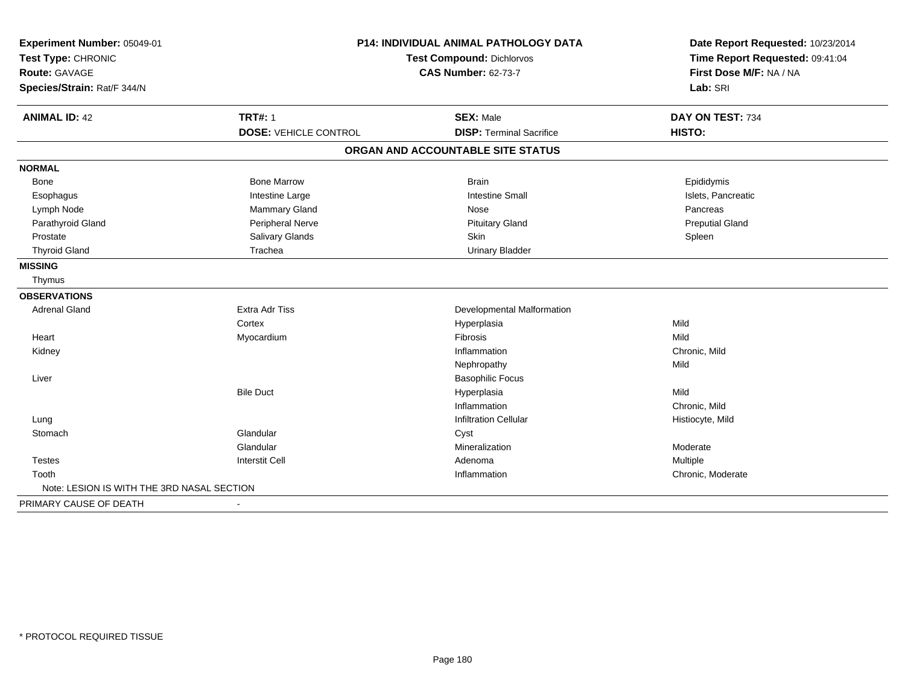| Experiment Number: 05049-01<br>Test Type: CHRONIC   |                              | P14: INDIVIDUAL ANIMAL PATHOLOGY DATA<br><b>Test Compound: Dichlorvos</b> | Date Report Requested: 10/23/2014<br>Time Report Requested: 09:41:04<br>First Dose M/F: NA / NA<br>Lab: SRI |
|-----------------------------------------------------|------------------------------|---------------------------------------------------------------------------|-------------------------------------------------------------------------------------------------------------|
| <b>Route: GAVAGE</b><br>Species/Strain: Rat/F 344/N |                              | <b>CAS Number: 62-73-7</b>                                                |                                                                                                             |
| <b>ANIMAL ID: 42</b>                                | <b>TRT#: 1</b>               | <b>SEX: Male</b>                                                          | DAY ON TEST: 734                                                                                            |
|                                                     | <b>DOSE: VEHICLE CONTROL</b> | <b>DISP: Terminal Sacrifice</b>                                           | HISTO:                                                                                                      |
|                                                     |                              | ORGAN AND ACCOUNTABLE SITE STATUS                                         |                                                                                                             |
| <b>NORMAL</b>                                       |                              |                                                                           |                                                                                                             |
| <b>Bone</b>                                         | <b>Bone Marrow</b>           | <b>Brain</b>                                                              | Epididymis                                                                                                  |
| Esophagus                                           | Intestine Large              | <b>Intestine Small</b>                                                    | Islets, Pancreatic                                                                                          |
| Lymph Node                                          | Mammary Gland                | Nose                                                                      | Pancreas                                                                                                    |
| Parathyroid Gland                                   | Peripheral Nerve             | <b>Pituitary Gland</b>                                                    | <b>Preputial Gland</b>                                                                                      |
| Prostate                                            | Salivary Glands              | Skin                                                                      | Spleen                                                                                                      |
| <b>Thyroid Gland</b>                                | Trachea                      | <b>Urinary Bladder</b>                                                    |                                                                                                             |
| <b>MISSING</b>                                      |                              |                                                                           |                                                                                                             |
| Thymus                                              |                              |                                                                           |                                                                                                             |
| <b>OBSERVATIONS</b>                                 |                              |                                                                           |                                                                                                             |
| <b>Adrenal Gland</b>                                | Extra Adr Tiss               | Developmental Malformation                                                |                                                                                                             |
|                                                     | Cortex                       | Hyperplasia                                                               | Mild                                                                                                        |
| Heart                                               | Myocardium                   | Fibrosis                                                                  | Mild                                                                                                        |
| Kidney                                              |                              | Inflammation                                                              | Chronic, Mild                                                                                               |
|                                                     |                              | Nephropathy                                                               | Mild                                                                                                        |
| Liver                                               |                              | <b>Basophilic Focus</b>                                                   |                                                                                                             |
|                                                     | <b>Bile Duct</b>             | Hyperplasia                                                               | Mild                                                                                                        |
|                                                     |                              | Inflammation                                                              | Chronic, Mild                                                                                               |
| Lung                                                |                              | <b>Infiltration Cellular</b>                                              | Histiocyte, Mild                                                                                            |
| Stomach                                             | Glandular                    | Cyst                                                                      |                                                                                                             |
|                                                     | Glandular                    | Mineralization                                                            | Moderate                                                                                                    |
| <b>Testes</b>                                       | <b>Interstit Cell</b>        | Adenoma                                                                   | Multiple                                                                                                    |
| Tooth                                               |                              | Inflammation                                                              | Chronic, Moderate                                                                                           |
| Note: LESION IS WITH THE 3RD NASAL SECTION          |                              |                                                                           |                                                                                                             |
| PRIMARY CAUSE OF DEATH                              |                              |                                                                           |                                                                                                             |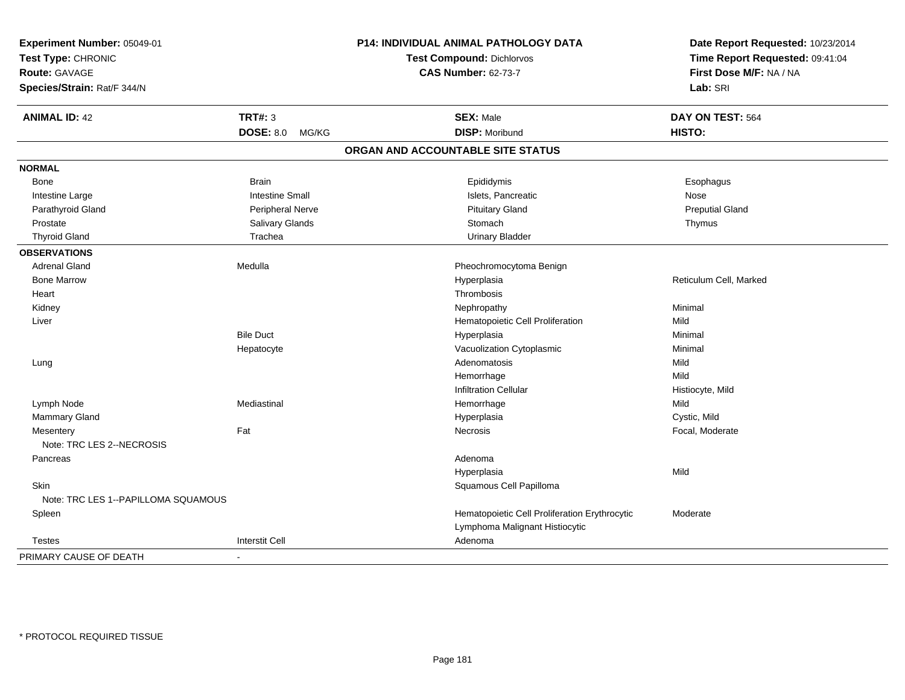| Experiment Number: 05049-01         |                           | P14: INDIVIDUAL ANIMAL PATHOLOGY DATA         | Date Report Requested: 10/23/2014 |
|-------------------------------------|---------------------------|-----------------------------------------------|-----------------------------------|
| Test Type: CHRONIC                  |                           | <b>Test Compound: Dichlorvos</b>              | Time Report Requested: 09:41:04   |
| Route: GAVAGE                       |                           | <b>CAS Number: 62-73-7</b>                    | First Dose M/F: NA / NA           |
| Species/Strain: Rat/F 344/N         |                           |                                               | Lab: SRI                          |
| <b>ANIMAL ID: 42</b>                | <b>TRT#: 3</b>            | <b>SEX: Male</b>                              | DAY ON TEST: 564                  |
|                                     | <b>DOSE: 8.0</b><br>MG/KG | <b>DISP: Moribund</b>                         | HISTO:                            |
|                                     |                           | ORGAN AND ACCOUNTABLE SITE STATUS             |                                   |
| <b>NORMAL</b>                       |                           |                                               |                                   |
| <b>Bone</b>                         | <b>Brain</b>              | Epididymis                                    | Esophagus                         |
| Intestine Large                     | <b>Intestine Small</b>    | Islets, Pancreatic                            | Nose                              |
| Parathyroid Gland                   | <b>Peripheral Nerve</b>   | <b>Pituitary Gland</b>                        | <b>Preputial Gland</b>            |
| Prostate                            | Salivary Glands           | Stomach                                       | Thymus                            |
| <b>Thyroid Gland</b>                | Trachea                   | <b>Urinary Bladder</b>                        |                                   |
| <b>OBSERVATIONS</b>                 |                           |                                               |                                   |
| <b>Adrenal Gland</b>                | Medulla                   | Pheochromocytoma Benign                       |                                   |
| <b>Bone Marrow</b>                  |                           | Hyperplasia                                   | Reticulum Cell, Marked            |
| Heart                               |                           | Thrombosis                                    |                                   |
| Kidney                              |                           | Nephropathy                                   | Minimal                           |
| Liver                               |                           | Hematopoietic Cell Proliferation              | Mild                              |
|                                     | <b>Bile Duct</b>          | Hyperplasia                                   | Minimal                           |
|                                     | Hepatocyte                | Vacuolization Cytoplasmic                     | Minimal                           |
| Lung                                |                           | Adenomatosis                                  | Mild                              |
|                                     |                           | Hemorrhage                                    | Mild                              |
|                                     |                           | <b>Infiltration Cellular</b>                  | Histiocyte, Mild                  |
| Lymph Node                          | Mediastinal               | Hemorrhage                                    | Mild                              |
| <b>Mammary Gland</b>                |                           | Hyperplasia                                   | Cystic, Mild                      |
| Mesentery                           | Fat                       | <b>Necrosis</b>                               | Focal, Moderate                   |
| Note: TRC LES 2--NECROSIS           |                           |                                               |                                   |
| Pancreas                            |                           | Adenoma                                       |                                   |
|                                     |                           | Hyperplasia                                   | Mild                              |
| Skin                                |                           | Squamous Cell Papilloma                       |                                   |
| Note: TRC LES 1--PAPILLOMA SQUAMOUS |                           |                                               |                                   |
| Spleen                              |                           | Hematopoietic Cell Proliferation Erythrocytic | Moderate                          |
|                                     |                           | Lymphoma Malignant Histiocytic                |                                   |
| <b>Testes</b>                       | <b>Interstit Cell</b>     | Adenoma                                       |                                   |
| PRIMARY CAUSE OF DEATH              |                           |                                               |                                   |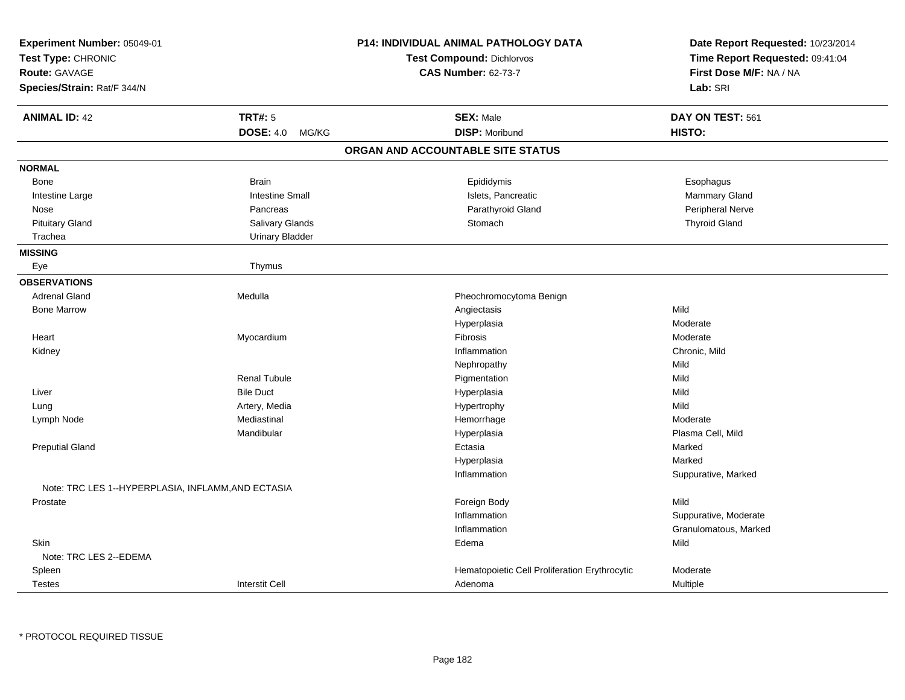| Experiment Number: 05049-01<br>Test Type: CHRONIC<br>Route: GAVAGE<br>Species/Strain: Rat/F 344/N |                        | P14: INDIVIDUAL ANIMAL PATHOLOGY DATA<br><b>Test Compound: Dichlorvos</b><br><b>CAS Number: 62-73-7</b> | Date Report Requested: 10/23/2014<br>Time Report Requested: 09:41:04<br>First Dose M/F: NA / NA<br>Lab: SRI |
|---------------------------------------------------------------------------------------------------|------------------------|---------------------------------------------------------------------------------------------------------|-------------------------------------------------------------------------------------------------------------|
| <b>ANIMAL ID: 42</b>                                                                              | <b>TRT#: 5</b>         | <b>SEX: Male</b>                                                                                        | DAY ON TEST: 561                                                                                            |
|                                                                                                   | DOSE: 4.0 MG/KG        | <b>DISP: Moribund</b>                                                                                   | HISTO:                                                                                                      |
|                                                                                                   |                        | ORGAN AND ACCOUNTABLE SITE STATUS                                                                       |                                                                                                             |
| <b>NORMAL</b>                                                                                     |                        |                                                                                                         |                                                                                                             |
| <b>Bone</b>                                                                                       | <b>Brain</b>           | Epididymis                                                                                              | Esophagus                                                                                                   |
| Intestine Large                                                                                   | <b>Intestine Small</b> | Islets, Pancreatic                                                                                      | Mammary Gland                                                                                               |
| Nose                                                                                              | Pancreas               | Parathyroid Gland                                                                                       | Peripheral Nerve                                                                                            |
| <b>Pituitary Gland</b>                                                                            | Salivary Glands        | Stomach                                                                                                 | <b>Thyroid Gland</b>                                                                                        |
| Trachea                                                                                           | <b>Urinary Bladder</b> |                                                                                                         |                                                                                                             |
| <b>MISSING</b>                                                                                    |                        |                                                                                                         |                                                                                                             |
| Eye                                                                                               | Thymus                 |                                                                                                         |                                                                                                             |
| <b>OBSERVATIONS</b>                                                                               |                        |                                                                                                         |                                                                                                             |
| <b>Adrenal Gland</b>                                                                              | Medulla                | Pheochromocytoma Benign                                                                                 |                                                                                                             |
| <b>Bone Marrow</b>                                                                                |                        | Angiectasis                                                                                             | Mild                                                                                                        |
|                                                                                                   |                        | Hyperplasia                                                                                             | Moderate                                                                                                    |
| Heart                                                                                             | Myocardium             | Fibrosis                                                                                                | Moderate                                                                                                    |
| Kidney                                                                                            |                        | Inflammation                                                                                            | Chronic, Mild                                                                                               |
|                                                                                                   |                        | Nephropathy                                                                                             | Mild                                                                                                        |
|                                                                                                   | <b>Renal Tubule</b>    | Pigmentation                                                                                            | Mild                                                                                                        |
| Liver                                                                                             | <b>Bile Duct</b>       | Hyperplasia                                                                                             | Mild                                                                                                        |
| Lung                                                                                              | Artery, Media          | Hypertrophy                                                                                             | Mild                                                                                                        |
| Lymph Node                                                                                        | Mediastinal            | Hemorrhage                                                                                              | Moderate                                                                                                    |
|                                                                                                   | Mandibular             | Hyperplasia                                                                                             | Plasma Cell, Mild                                                                                           |
| <b>Preputial Gland</b>                                                                            |                        | Ectasia                                                                                                 | Marked                                                                                                      |
|                                                                                                   |                        | Hyperplasia                                                                                             | Marked                                                                                                      |
|                                                                                                   |                        | Inflammation                                                                                            | Suppurative, Marked                                                                                         |
| Note: TRC LES 1--HYPERPLASIA, INFLAMM, AND ECTASIA                                                |                        |                                                                                                         |                                                                                                             |
| Prostate                                                                                          |                        | Foreign Body                                                                                            | Mild                                                                                                        |
|                                                                                                   |                        | Inflammation                                                                                            | Suppurative, Moderate                                                                                       |
|                                                                                                   |                        | Inflammation                                                                                            | Granulomatous, Marked                                                                                       |
| Skin                                                                                              |                        | Edema                                                                                                   | Mild                                                                                                        |
| Note: TRC LES 2--EDEMA                                                                            |                        |                                                                                                         |                                                                                                             |
| Spleen                                                                                            |                        | Hematopoietic Cell Proliferation Erythrocytic                                                           | Moderate                                                                                                    |
| <b>Testes</b>                                                                                     | <b>Interstit Cell</b>  | Adenoma                                                                                                 | Multiple                                                                                                    |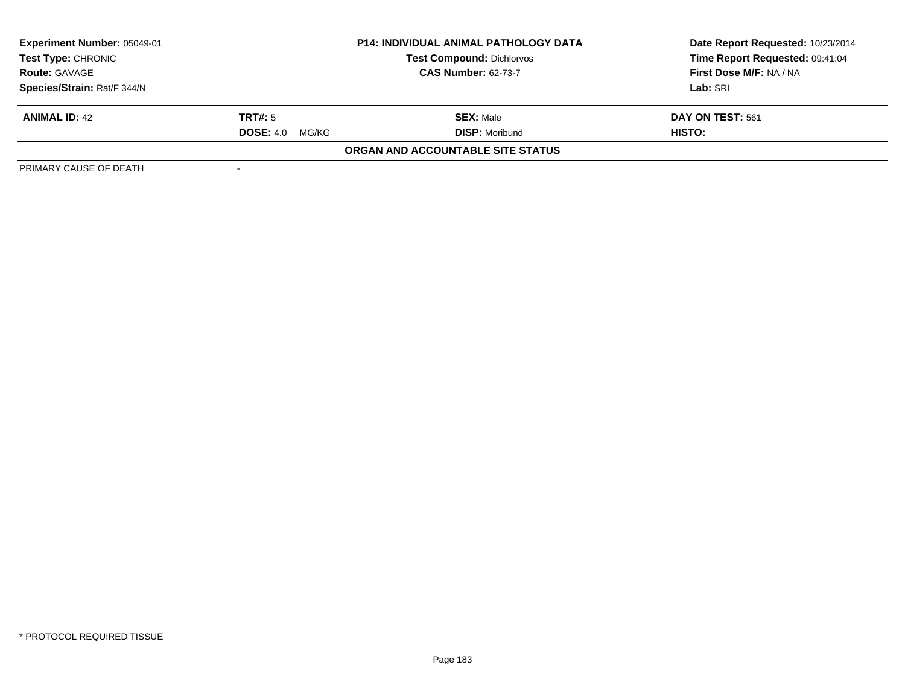| Experiment Number: 05049-01<br><b>Test Type: CHRONIC</b><br><b>Test Compound: Dichlorvos</b><br><b>CAS Number: 62-73-7</b><br><b>Route: GAVAGE</b> |                           | <b>P14: INDIVIDUAL ANIMAL PATHOLOGY DATA</b> | Date Report Requested: 10/23/2014 |
|----------------------------------------------------------------------------------------------------------------------------------------------------|---------------------------|----------------------------------------------|-----------------------------------|
|                                                                                                                                                    |                           |                                              | Time Report Requested: 09:41:04   |
|                                                                                                                                                    |                           |                                              | First Dose M/F: NA / NA           |
| Species/Strain: Rat/F 344/N                                                                                                                        |                           |                                              | Lab: SRI                          |
| <b>ANIMAL ID: 42</b>                                                                                                                               | TRT#: 5                   | <b>SEX: Male</b>                             | DAY ON TEST: 561                  |
|                                                                                                                                                    | <b>DOSE: 4.0</b><br>MG/KG | <b>DISP: Moribund</b>                        | HISTO:                            |
|                                                                                                                                                    |                           | ORGAN AND ACCOUNTABLE SITE STATUS            |                                   |
| PRIMARY CAUSE OF DEATH                                                                                                                             |                           |                                              |                                   |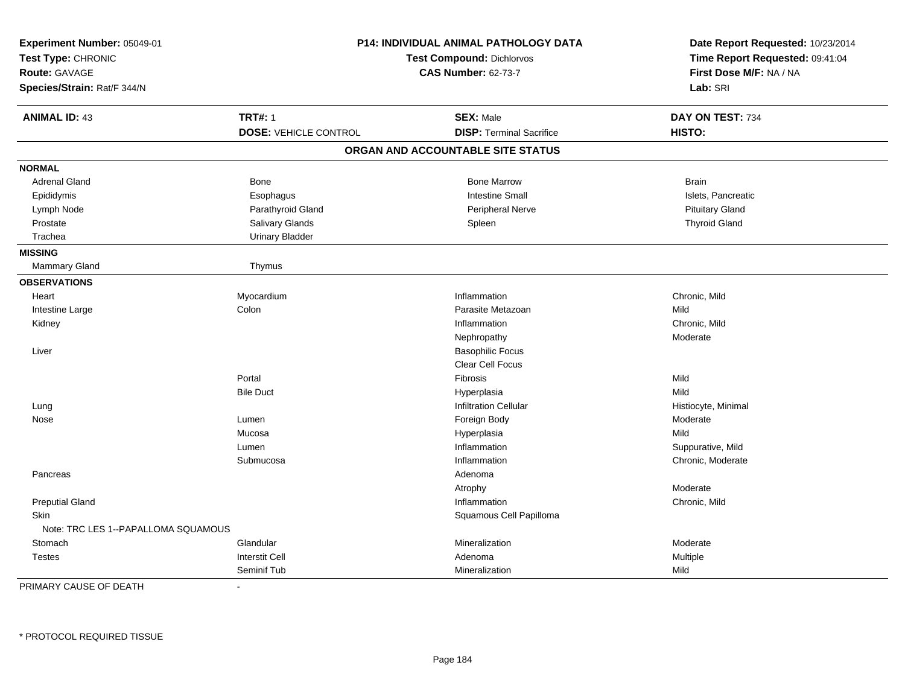| Experiment Number: 05049-01<br>Test Type: CHRONIC<br><b>Route: GAVAGE</b><br>Species/Strain: Rat/F 344/N |                              | P14: INDIVIDUAL ANIMAL PATHOLOGY DATA<br><b>Test Compound: Dichlorvos</b><br><b>CAS Number: 62-73-7</b> | Date Report Requested: 10/23/2014<br>Time Report Requested: 09:41:04<br>First Dose M/F: NA / NA<br>Lab: SRI |
|----------------------------------------------------------------------------------------------------------|------------------------------|---------------------------------------------------------------------------------------------------------|-------------------------------------------------------------------------------------------------------------|
| <b>ANIMAL ID: 43</b>                                                                                     | <b>TRT#: 1</b>               | <b>SEX: Male</b>                                                                                        | DAY ON TEST: 734                                                                                            |
|                                                                                                          | <b>DOSE: VEHICLE CONTROL</b> | <b>DISP: Terminal Sacrifice</b>                                                                         | HISTO:                                                                                                      |
|                                                                                                          |                              | ORGAN AND ACCOUNTABLE SITE STATUS                                                                       |                                                                                                             |
| <b>NORMAL</b>                                                                                            |                              |                                                                                                         |                                                                                                             |
| <b>Adrenal Gland</b>                                                                                     | Bone                         | <b>Bone Marrow</b>                                                                                      | <b>Brain</b>                                                                                                |
| Epididymis                                                                                               | Esophagus                    | <b>Intestine Small</b>                                                                                  | Islets, Pancreatic                                                                                          |
| Lymph Node                                                                                               | Parathyroid Gland            | <b>Peripheral Nerve</b>                                                                                 | <b>Pituitary Gland</b>                                                                                      |
| Prostate                                                                                                 | Salivary Glands              | Spleen                                                                                                  | <b>Thyroid Gland</b>                                                                                        |
| Trachea                                                                                                  | <b>Urinary Bladder</b>       |                                                                                                         |                                                                                                             |
| <b>MISSING</b>                                                                                           |                              |                                                                                                         |                                                                                                             |
| Mammary Gland                                                                                            | Thymus                       |                                                                                                         |                                                                                                             |
| <b>OBSERVATIONS</b>                                                                                      |                              |                                                                                                         |                                                                                                             |
| Heart                                                                                                    | Myocardium                   | Inflammation                                                                                            | Chronic, Mild                                                                                               |
| Intestine Large                                                                                          | Colon                        | Parasite Metazoan                                                                                       | Mild                                                                                                        |
| Kidney                                                                                                   |                              | Inflammation                                                                                            | Chronic, Mild                                                                                               |
|                                                                                                          |                              | Nephropathy                                                                                             | Moderate                                                                                                    |
| Liver                                                                                                    |                              | <b>Basophilic Focus</b>                                                                                 |                                                                                                             |
|                                                                                                          |                              | Clear Cell Focus                                                                                        |                                                                                                             |
|                                                                                                          | Portal                       | Fibrosis                                                                                                | Mild                                                                                                        |
|                                                                                                          | <b>Bile Duct</b>             | Hyperplasia                                                                                             | Mild                                                                                                        |
| Lung                                                                                                     |                              | <b>Infiltration Cellular</b>                                                                            | Histiocyte, Minimal                                                                                         |
| Nose                                                                                                     | Lumen                        | Foreign Body                                                                                            | Moderate                                                                                                    |
|                                                                                                          | Mucosa                       | Hyperplasia                                                                                             | Mild                                                                                                        |
|                                                                                                          | Lumen                        | Inflammation                                                                                            | Suppurative, Mild                                                                                           |
|                                                                                                          | Submucosa                    | Inflammation                                                                                            | Chronic, Moderate                                                                                           |
| Pancreas                                                                                                 |                              | Adenoma                                                                                                 |                                                                                                             |
|                                                                                                          |                              | Atrophy                                                                                                 | Moderate                                                                                                    |
| <b>Preputial Gland</b>                                                                                   |                              | Inflammation                                                                                            | Chronic, Mild                                                                                               |
| Skin                                                                                                     |                              | Squamous Cell Papilloma                                                                                 |                                                                                                             |
| Note: TRC LES 1--PAPALLOMA SQUAMOUS                                                                      |                              |                                                                                                         |                                                                                                             |
| Stomach                                                                                                  | Glandular                    | Mineralization                                                                                          | Moderate                                                                                                    |
| <b>Testes</b>                                                                                            | <b>Interstit Cell</b>        | Adenoma                                                                                                 | Multiple                                                                                                    |
|                                                                                                          | Seminif Tub                  | Mineralization                                                                                          | Mild                                                                                                        |

PRIMARY CAUSE OF DEATH-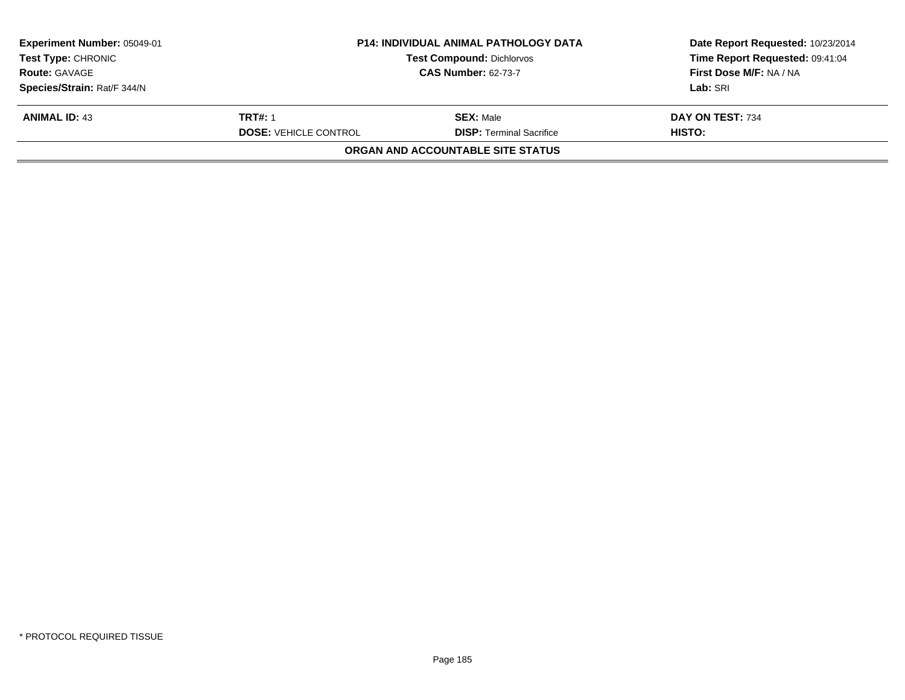| Experiment Number: 05049-01<br><b>Test Type: CHRONIC</b> | <b>P14: INDIVIDUAL ANIMAL PATHOLOGY DATA</b><br><b>Test Compound: Dichlorvos</b> |                                   | Date Report Requested: 10/23/2014<br>Time Report Requested: 09:41:04 |
|----------------------------------------------------------|----------------------------------------------------------------------------------|-----------------------------------|----------------------------------------------------------------------|
| <b>Route: GAVAGE</b>                                     |                                                                                  | <b>CAS Number: 62-73-7</b>        | First Dose M/F: NA / NA                                              |
| Species/Strain: Rat/F 344/N                              |                                                                                  |                                   | Lab: SRI                                                             |
| <b>ANIMAL ID: 43</b>                                     | <b>TRT#: 1</b>                                                                   | <b>SEX: Male</b>                  | DAY ON TEST: 734                                                     |
|                                                          | <b>DOSE: VEHICLE CONTROL</b>                                                     | <b>DISP:</b> Terminal Sacrifice   | HISTO:                                                               |
|                                                          |                                                                                  | ORGAN AND ACCOUNTABLE SITE STATUS |                                                                      |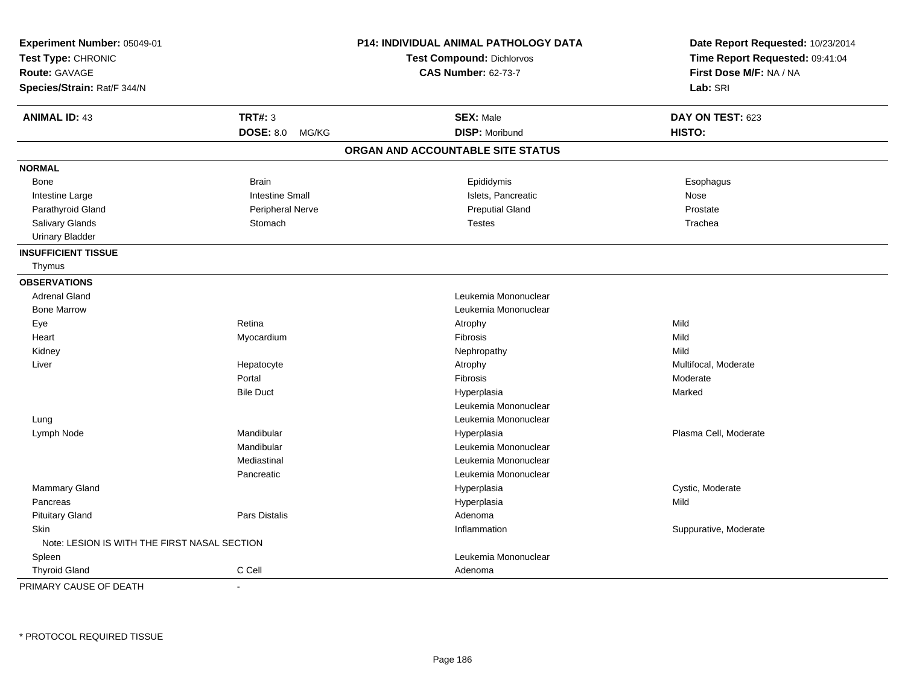| Experiment Number: 05049-01                  |                           | P14: INDIVIDUAL ANIMAL PATHOLOGY DATA | Date Report Requested: 10/23/2014 |
|----------------------------------------------|---------------------------|---------------------------------------|-----------------------------------|
| Test Type: CHRONIC                           |                           | Test Compound: Dichlorvos             | Time Report Requested: 09:41:04   |
| <b>Route: GAVAGE</b>                         |                           | <b>CAS Number: 62-73-7</b>            | First Dose M/F: NA / NA           |
| Species/Strain: Rat/F 344/N                  |                           |                                       | Lab: SRI                          |
| <b>ANIMAL ID: 43</b>                         | <b>TRT#: 3</b>            | <b>SEX: Male</b>                      | DAY ON TEST: 623                  |
|                                              | <b>DOSE: 8.0</b><br>MG/KG | <b>DISP: Moribund</b>                 | HISTO:                            |
|                                              |                           | ORGAN AND ACCOUNTABLE SITE STATUS     |                                   |
| <b>NORMAL</b>                                |                           |                                       |                                   |
| Bone                                         | <b>Brain</b>              | Epididymis                            | Esophagus                         |
| Intestine Large                              | <b>Intestine Small</b>    | Islets, Pancreatic                    | Nose                              |
| Parathyroid Gland                            | Peripheral Nerve          | <b>Preputial Gland</b>                | Prostate                          |
| Salivary Glands                              | Stomach                   | <b>Testes</b>                         | Trachea                           |
| <b>Urinary Bladder</b>                       |                           |                                       |                                   |
| <b>INSUFFICIENT TISSUE</b>                   |                           |                                       |                                   |
| Thymus                                       |                           |                                       |                                   |
| <b>OBSERVATIONS</b>                          |                           |                                       |                                   |
| <b>Adrenal Gland</b>                         |                           | Leukemia Mononuclear                  |                                   |
| <b>Bone Marrow</b>                           |                           | Leukemia Mononuclear                  |                                   |
| Eye                                          | Retina                    | Atrophy                               | Mild                              |
| Heart                                        | Myocardium                | Fibrosis                              | Mild                              |
| Kidney                                       |                           | Nephropathy                           | Mild                              |
| Liver                                        | Hepatocyte                | Atrophy                               | Multifocal, Moderate              |
|                                              | Portal                    | Fibrosis                              | Moderate                          |
|                                              | <b>Bile Duct</b>          | Hyperplasia                           | Marked                            |
|                                              |                           | Leukemia Mononuclear                  |                                   |
| Lung                                         |                           | Leukemia Mononuclear                  |                                   |
| Lymph Node                                   | Mandibular                | Hyperplasia                           | Plasma Cell, Moderate             |
|                                              | Mandibular                | Leukemia Mononuclear                  |                                   |
|                                              | Mediastinal               | Leukemia Mononuclear                  |                                   |
|                                              | Pancreatic                | Leukemia Mononuclear                  |                                   |
| Mammary Gland                                |                           | Hyperplasia                           | Cystic, Moderate                  |
| Pancreas                                     |                           | Hyperplasia                           | Mild                              |
| <b>Pituitary Gland</b>                       | Pars Distalis             | Adenoma                               |                                   |
| Skin                                         |                           | Inflammation                          | Suppurative, Moderate             |
| Note: LESION IS WITH THE FIRST NASAL SECTION |                           |                                       |                                   |
| Spleen                                       |                           | Leukemia Mononuclear                  |                                   |
| <b>Thyroid Gland</b>                         | C Cell                    | Adenoma                               |                                   |
| PRIMARY CAUSE OF DEATH                       |                           |                                       |                                   |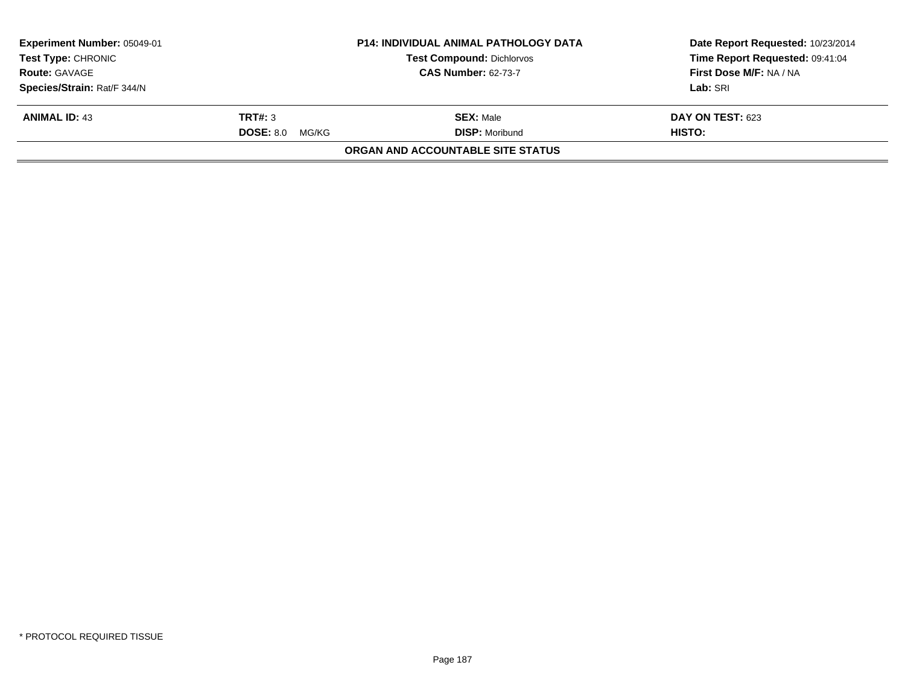|                           | <b>P14: INDIVIDUAL ANIMAL PATHOLOGY DATA</b> | Date Report Requested: 10/23/2014                                            |  |
|---------------------------|----------------------------------------------|------------------------------------------------------------------------------|--|
| <b>Test Type: CHRONIC</b> |                                              | Time Report Requested: 09:41:04                                              |  |
|                           | <b>CAS Number: 62-73-7</b>                   | First Dose M/F: NA / NA                                                      |  |
|                           |                                              | Lab: SRI                                                                     |  |
|                           | <b>SEX: Male</b>                             | DAY ON TEST: 623                                                             |  |
|                           | <b>DISP: Moribund</b>                        | <b>HISTO:</b>                                                                |  |
|                           |                                              |                                                                              |  |
|                           | <b>TRT#: 3</b><br><b>DOSE: 8.0 MG/KG</b>     | <b>Test Compound: Dichlorvos</b><br><b>ORGAN AND ACCOUNTABLE SITE STATUS</b> |  |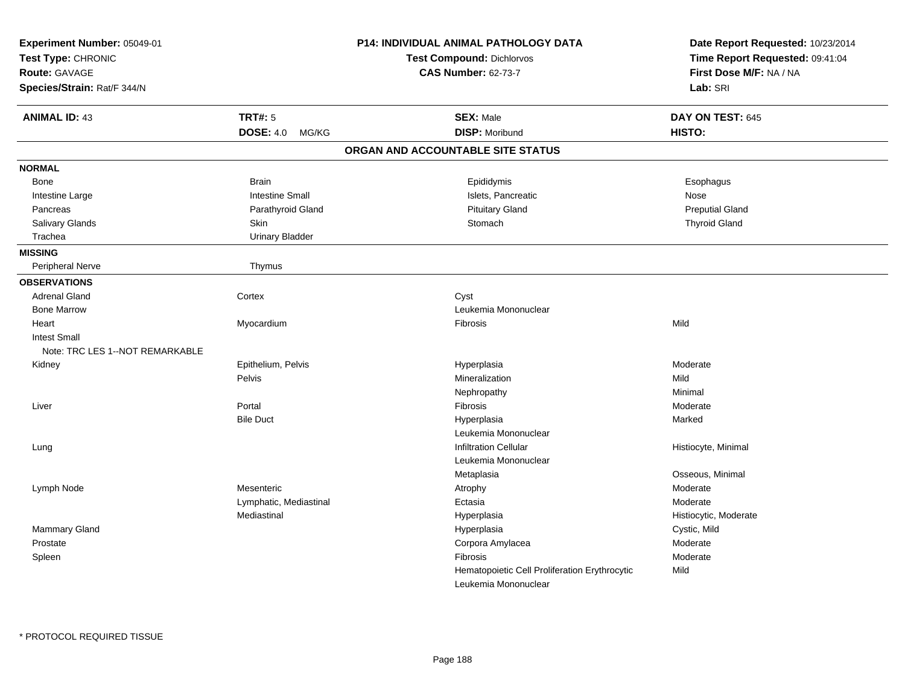| Experiment Number: 05049-01<br>Test Type: CHRONIC<br>Route: GAVAGE<br>Species/Strain: Rat/F 344/N |                        | P14: INDIVIDUAL ANIMAL PATHOLOGY DATA<br>Test Compound: Dichlorvos<br><b>CAS Number: 62-73-7</b> | Date Report Requested: 10/23/2014<br>Time Report Requested: 09:41:04<br>First Dose M/F: NA / NA<br>Lab: SRI |
|---------------------------------------------------------------------------------------------------|------------------------|--------------------------------------------------------------------------------------------------|-------------------------------------------------------------------------------------------------------------|
| <b>ANIMAL ID: 43</b>                                                                              | <b>TRT#: 5</b>         | <b>SEX: Male</b>                                                                                 | DAY ON TEST: 645                                                                                            |
|                                                                                                   | DOSE: 4.0 MG/KG        | <b>DISP: Moribund</b>                                                                            | HISTO:                                                                                                      |
|                                                                                                   |                        | ORGAN AND ACCOUNTABLE SITE STATUS                                                                |                                                                                                             |
| <b>NORMAL</b>                                                                                     |                        |                                                                                                  |                                                                                                             |
| Bone                                                                                              | <b>Brain</b>           | Epididymis                                                                                       | Esophagus                                                                                                   |
| Intestine Large                                                                                   | <b>Intestine Small</b> | Islets, Pancreatic                                                                               | Nose                                                                                                        |
| Pancreas                                                                                          | Parathyroid Gland      | <b>Pituitary Gland</b>                                                                           | <b>Preputial Gland</b>                                                                                      |
| Salivary Glands                                                                                   | Skin                   | Stomach                                                                                          | <b>Thyroid Gland</b>                                                                                        |
| Trachea                                                                                           | <b>Urinary Bladder</b> |                                                                                                  |                                                                                                             |
| <b>MISSING</b>                                                                                    |                        |                                                                                                  |                                                                                                             |
| <b>Peripheral Nerve</b>                                                                           | Thymus                 |                                                                                                  |                                                                                                             |
| <b>OBSERVATIONS</b>                                                                               |                        |                                                                                                  |                                                                                                             |
| <b>Adrenal Gland</b>                                                                              | Cortex                 | Cyst                                                                                             |                                                                                                             |
| <b>Bone Marrow</b>                                                                                |                        | Leukemia Mononuclear                                                                             |                                                                                                             |
| Heart                                                                                             | Myocardium             | Fibrosis                                                                                         | Mild                                                                                                        |
| <b>Intest Small</b>                                                                               |                        |                                                                                                  |                                                                                                             |
| Note: TRC LES 1--NOT REMARKABLE                                                                   |                        |                                                                                                  |                                                                                                             |
| Kidney                                                                                            | Epithelium, Pelvis     | Hyperplasia                                                                                      | Moderate                                                                                                    |
|                                                                                                   | Pelvis                 | Mineralization                                                                                   | Mild                                                                                                        |
|                                                                                                   |                        | Nephropathy                                                                                      | Minimal                                                                                                     |
| Liver                                                                                             | Portal                 | Fibrosis                                                                                         | Moderate                                                                                                    |
|                                                                                                   | <b>Bile Duct</b>       | Hyperplasia                                                                                      | Marked                                                                                                      |
|                                                                                                   |                        | Leukemia Mononuclear                                                                             |                                                                                                             |
| Lung                                                                                              |                        | <b>Infiltration Cellular</b>                                                                     | Histiocyte, Minimal                                                                                         |
|                                                                                                   |                        | Leukemia Mononuclear                                                                             |                                                                                                             |
|                                                                                                   |                        | Metaplasia                                                                                       | Osseous, Minimal                                                                                            |
| Lymph Node                                                                                        | Mesenteric             | Atrophy                                                                                          | Moderate                                                                                                    |
|                                                                                                   | Lymphatic, Mediastinal | Ectasia                                                                                          | Moderate                                                                                                    |
|                                                                                                   | Mediastinal            | Hyperplasia                                                                                      | Histiocytic, Moderate                                                                                       |
| Mammary Gland                                                                                     |                        | Hyperplasia                                                                                      | Cystic, Mild                                                                                                |
| Prostate                                                                                          |                        | Corpora Amylacea                                                                                 | Moderate                                                                                                    |
| Spleen                                                                                            |                        | Fibrosis                                                                                         | Moderate                                                                                                    |
|                                                                                                   |                        | Hematopoietic Cell Proliferation Erythrocytic                                                    | Mild                                                                                                        |
|                                                                                                   |                        | Leukemia Mononuclear                                                                             |                                                                                                             |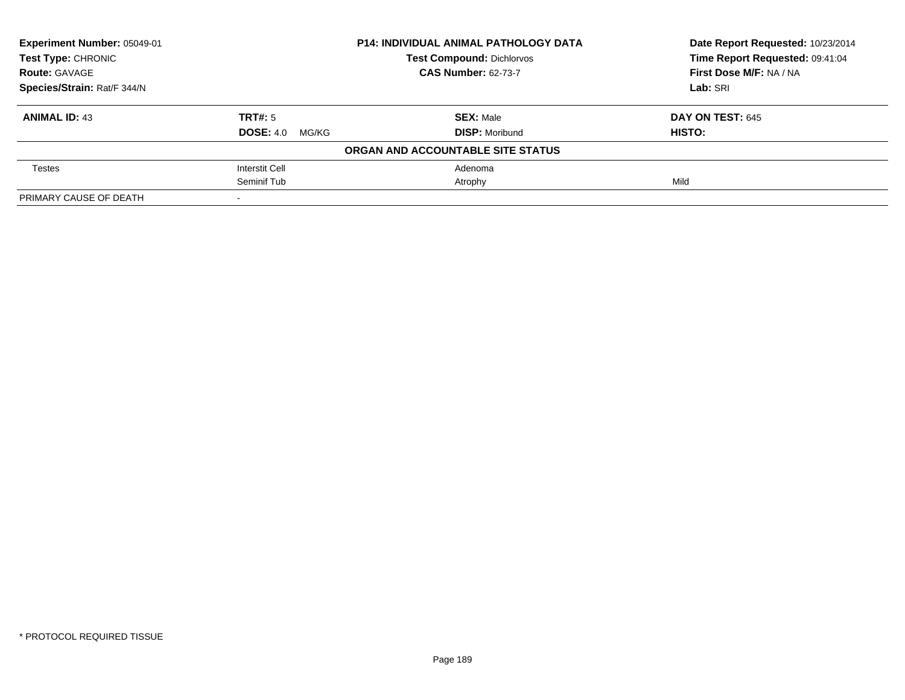| Experiment Number: 05049-01 |                        | <b>P14: INDIVIDUAL ANIMAL PATHOLOGY DATA</b> | Date Report Requested: 10/23/2014 |
|-----------------------------|------------------------|----------------------------------------------|-----------------------------------|
| <b>Test Type: CHRONIC</b>   |                        | <b>Test Compound: Dichlorvos</b>             | Time Report Requested: 09:41:04   |
| <b>Route: GAVAGE</b>        |                        | <b>CAS Number: 62-73-7</b>                   | First Dose M/F: NA / NA           |
| Species/Strain: Rat/F 344/N |                        |                                              | Lab: SRI                          |
| <b>ANIMAL ID: 43</b>        | TRT#: 5                | <b>SEX: Male</b>                             | <b>DAY ON TEST: 645</b>           |
|                             | <b>DOSE: 4.0 MG/KG</b> | <b>DISP:</b> Moribund                        | HISTO:                            |
|                             |                        | ORGAN AND ACCOUNTABLE SITE STATUS            |                                   |
| <b>Testes</b>               | Interstit Cell         | Adenoma                                      |                                   |
|                             | Seminif Tub            | Atrophy                                      | Mild                              |
| PRIMARY CAUSE OF DEATH      |                        |                                              |                                   |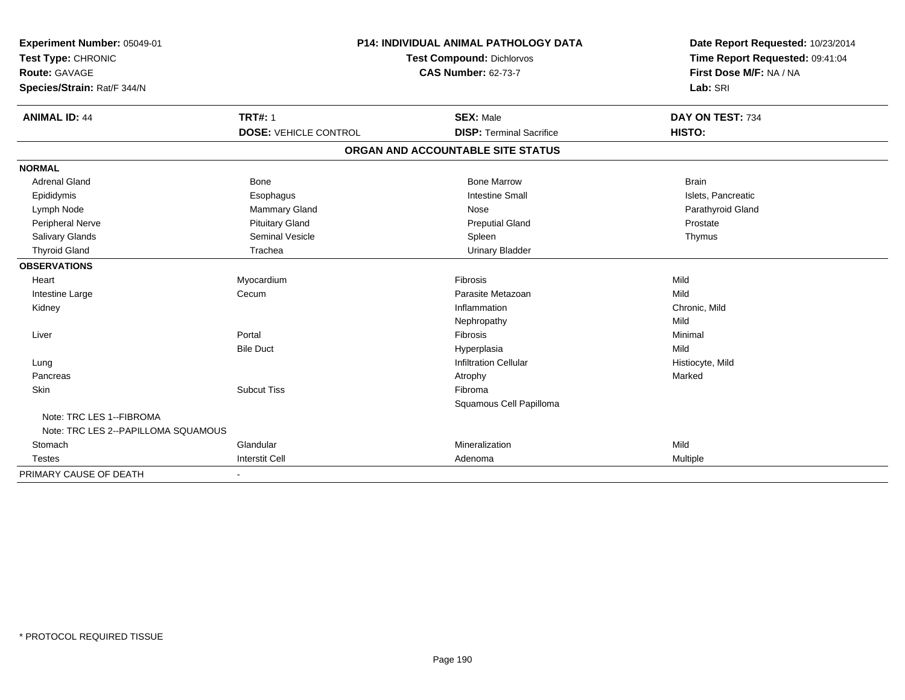| Experiment Number: 05049-01<br>Test Type: CHRONIC<br><b>Route: GAVAGE</b> |                              | <b>P14: INDIVIDUAL ANIMAL PATHOLOGY DATA</b><br><b>Test Compound: Dichlorvos</b><br><b>CAS Number: 62-73-7</b> | Date Report Requested: 10/23/2014<br>Time Report Requested: 09:41:04<br>First Dose M/F: NA / NA |
|---------------------------------------------------------------------------|------------------------------|----------------------------------------------------------------------------------------------------------------|-------------------------------------------------------------------------------------------------|
| Species/Strain: Rat/F 344/N                                               |                              |                                                                                                                | Lab: SRI                                                                                        |
| <b>ANIMAL ID: 44</b>                                                      | <b>TRT#: 1</b>               | <b>SEX: Male</b>                                                                                               | DAY ON TEST: 734                                                                                |
|                                                                           | <b>DOSE: VEHICLE CONTROL</b> | <b>DISP: Terminal Sacrifice</b>                                                                                | HISTO:                                                                                          |
|                                                                           |                              | ORGAN AND ACCOUNTABLE SITE STATUS                                                                              |                                                                                                 |
| <b>NORMAL</b>                                                             |                              |                                                                                                                |                                                                                                 |
| <b>Adrenal Gland</b>                                                      | <b>Bone</b>                  | <b>Bone Marrow</b>                                                                                             | <b>Brain</b>                                                                                    |
| Epididymis                                                                | Esophagus                    | <b>Intestine Small</b>                                                                                         | Islets, Pancreatic                                                                              |
| Lymph Node                                                                | Mammary Gland                | Nose                                                                                                           | Parathyroid Gland                                                                               |
| Peripheral Nerve                                                          | <b>Pituitary Gland</b>       | <b>Preputial Gland</b>                                                                                         | Prostate                                                                                        |
| Salivary Glands                                                           | <b>Seminal Vesicle</b>       | Spleen                                                                                                         | Thymus                                                                                          |
| <b>Thyroid Gland</b>                                                      | Trachea                      | <b>Urinary Bladder</b>                                                                                         |                                                                                                 |
| <b>OBSERVATIONS</b>                                                       |                              |                                                                                                                |                                                                                                 |
| Heart                                                                     | Myocardium                   | Fibrosis                                                                                                       | Mild                                                                                            |
| Intestine Large                                                           | Cecum                        | Parasite Metazoan                                                                                              | Mild                                                                                            |
| Kidney                                                                    |                              | Inflammation                                                                                                   | Chronic, Mild                                                                                   |
|                                                                           |                              | Nephropathy                                                                                                    | Mild                                                                                            |
| Liver                                                                     | Portal                       | Fibrosis                                                                                                       | Minimal                                                                                         |
|                                                                           | <b>Bile Duct</b>             | Hyperplasia                                                                                                    | Mild                                                                                            |
| Lung                                                                      |                              | <b>Infiltration Cellular</b>                                                                                   | Histiocyte, Mild                                                                                |
| Pancreas                                                                  |                              | Atrophy                                                                                                        | Marked                                                                                          |
| Skin                                                                      | <b>Subcut Tiss</b>           | Fibroma                                                                                                        |                                                                                                 |
|                                                                           |                              | Squamous Cell Papilloma                                                                                        |                                                                                                 |
| Note: TRC LES 1--FIBROMA<br>Note: TRC LES 2--PAPILLOMA SQUAMOUS           |                              |                                                                                                                |                                                                                                 |
| Stomach                                                                   | Glandular                    | Mineralization                                                                                                 | Mild                                                                                            |
| <b>Testes</b>                                                             | <b>Interstit Cell</b>        | Adenoma                                                                                                        | Multiple                                                                                        |
| PRIMARY CAUSE OF DEATH                                                    |                              |                                                                                                                |                                                                                                 |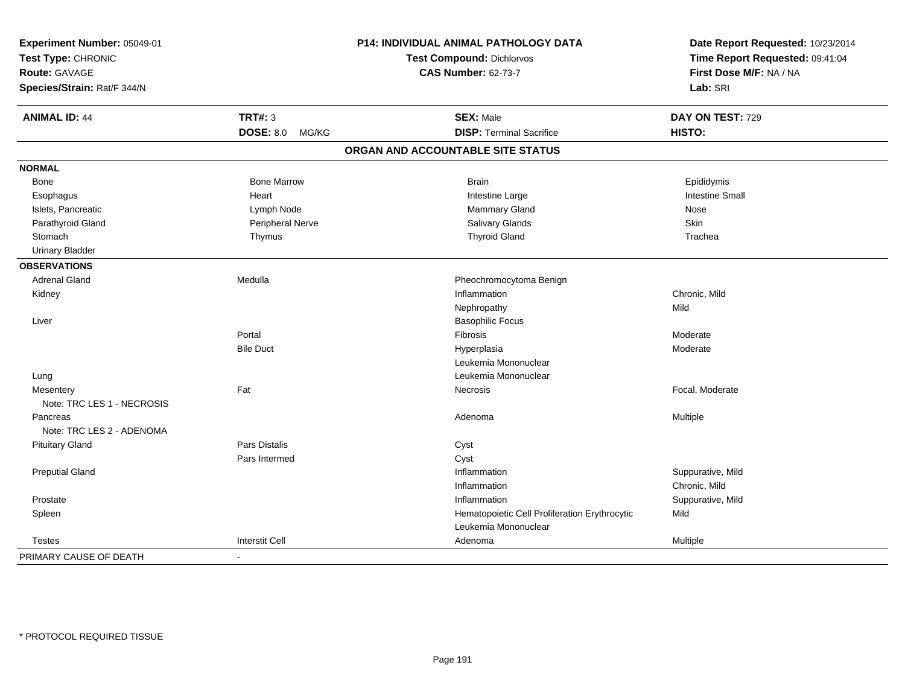| Experiment Number: 05049-01                |                       | <b>P14: INDIVIDUAL ANIMAL PATHOLOGY DATA</b>  | Date Report Requested: 10/23/2014 |
|--------------------------------------------|-----------------------|-----------------------------------------------|-----------------------------------|
| Test Type: CHRONIC<br><b>Route: GAVAGE</b> |                       | <b>Test Compound: Dichlorvos</b>              | Time Report Requested: 09:41:04   |
|                                            |                       | <b>CAS Number: 62-73-7</b>                    | First Dose M/F: NA / NA           |
| Species/Strain: Rat/F 344/N                |                       |                                               | Lab: SRI                          |
| <b>ANIMAL ID: 44</b>                       | <b>TRT#: 3</b>        | <b>SEX: Male</b>                              | DAY ON TEST: 729                  |
|                                            | DOSE: 8.0 MG/KG       | <b>DISP: Terminal Sacrifice</b>               | HISTO:                            |
|                                            |                       | ORGAN AND ACCOUNTABLE SITE STATUS             |                                   |
| <b>NORMAL</b>                              |                       |                                               |                                   |
| Bone                                       | <b>Bone Marrow</b>    | <b>Brain</b>                                  | Epididymis                        |
| Esophagus                                  | Heart                 | Intestine Large                               | <b>Intestine Small</b>            |
| Islets, Pancreatic                         | Lymph Node            | Mammary Gland                                 | Nose                              |
| Parathyroid Gland                          | Peripheral Nerve      | Salivary Glands                               | Skin                              |
| Stomach                                    | Thymus                | <b>Thyroid Gland</b>                          | Trachea                           |
| <b>Urinary Bladder</b>                     |                       |                                               |                                   |
| <b>OBSERVATIONS</b>                        |                       |                                               |                                   |
| <b>Adrenal Gland</b>                       | Medulla               | Pheochromocytoma Benign                       |                                   |
| Kidney                                     |                       | Inflammation                                  | Chronic, Mild                     |
|                                            |                       | Nephropathy                                   | Mild                              |
| Liver                                      |                       | <b>Basophilic Focus</b>                       |                                   |
|                                            | Portal                | Fibrosis                                      | Moderate                          |
|                                            | <b>Bile Duct</b>      | Hyperplasia                                   | Moderate                          |
|                                            |                       | Leukemia Mononuclear                          |                                   |
| Lung                                       |                       | Leukemia Mononuclear                          |                                   |
| Mesentery                                  | Fat                   | Necrosis                                      | Focal, Moderate                   |
| Note: TRC LES 1 - NECROSIS                 |                       |                                               |                                   |
| Pancreas                                   |                       | Adenoma                                       | Multiple                          |
| Note: TRC LES 2 - ADENOMA                  |                       |                                               |                                   |
| <b>Pituitary Gland</b>                     | Pars Distalis         | Cyst                                          |                                   |
|                                            | Pars Intermed         | Cyst                                          |                                   |
| <b>Preputial Gland</b>                     |                       | Inflammation                                  | Suppurative, Mild                 |
|                                            |                       | Inflammation                                  | Chronic, Mild                     |
| Prostate                                   |                       | Inflammation                                  | Suppurative, Mild                 |
| Spleen                                     |                       | Hematopoietic Cell Proliferation Erythrocytic | Mild                              |
|                                            |                       | Leukemia Mononuclear                          |                                   |
| <b>Testes</b>                              | <b>Interstit Cell</b> | Adenoma                                       | Multiple                          |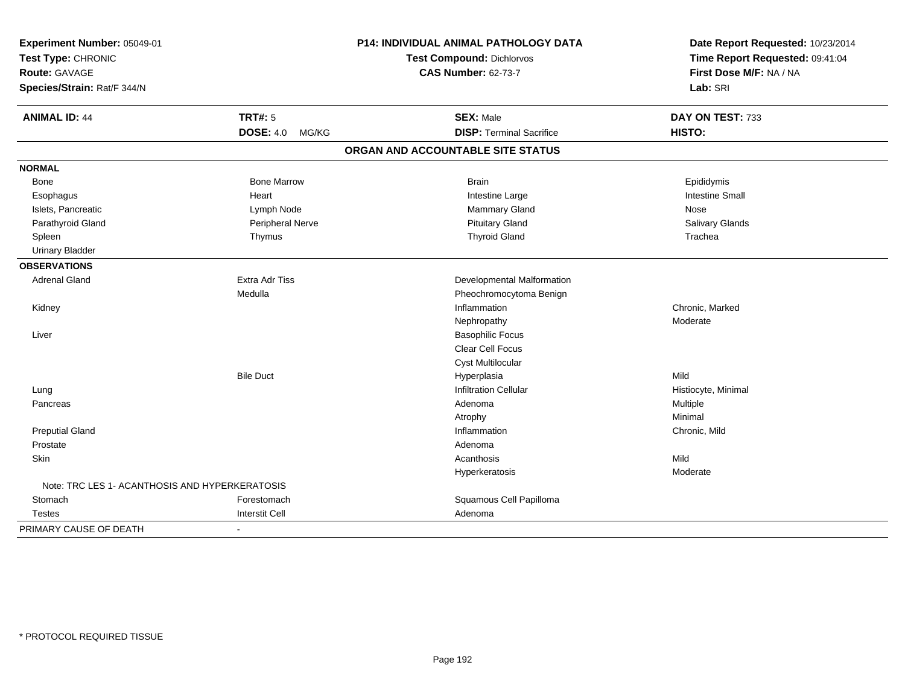| Experiment Number: 05049-01                    |                           | P14: INDIVIDUAL ANIMAL PATHOLOGY DATA | Date Report Requested: 10/23/2014 |
|------------------------------------------------|---------------------------|---------------------------------------|-----------------------------------|
| Test Type: CHRONIC                             |                           | <b>Test Compound: Dichlorvos</b>      | Time Report Requested: 09:41:04   |
| Route: GAVAGE                                  |                           | <b>CAS Number: 62-73-7</b>            | First Dose M/F: NA / NA           |
| Species/Strain: Rat/F 344/N                    |                           |                                       | Lab: SRI                          |
| <b>ANIMAL ID: 44</b>                           | <b>TRT#: 5</b>            | <b>SEX: Male</b>                      | DAY ON TEST: 733                  |
|                                                | <b>DOSE: 4.0</b><br>MG/KG | <b>DISP: Terminal Sacrifice</b>       | <b>HISTO:</b>                     |
|                                                |                           | ORGAN AND ACCOUNTABLE SITE STATUS     |                                   |
| <b>NORMAL</b>                                  |                           |                                       |                                   |
| Bone                                           | <b>Bone Marrow</b>        | <b>Brain</b>                          | Epididymis                        |
| Esophagus                                      | Heart                     | Intestine Large                       | <b>Intestine Small</b>            |
| Islets, Pancreatic                             | Lymph Node                | Mammary Gland                         | Nose                              |
| Parathyroid Gland                              | Peripheral Nerve          | <b>Pituitary Gland</b>                | Salivary Glands                   |
| Spleen                                         | Thymus                    | <b>Thyroid Gland</b>                  | Trachea                           |
| <b>Urinary Bladder</b>                         |                           |                                       |                                   |
| <b>OBSERVATIONS</b>                            |                           |                                       |                                   |
| <b>Adrenal Gland</b>                           | <b>Extra Adr Tiss</b>     | Developmental Malformation            |                                   |
|                                                | Medulla                   | Pheochromocytoma Benign               |                                   |
| Kidney                                         |                           | Inflammation                          | Chronic, Marked                   |
|                                                |                           | Nephropathy                           | Moderate                          |
| Liver                                          |                           | <b>Basophilic Focus</b>               |                                   |
|                                                |                           | Clear Cell Focus                      |                                   |
|                                                |                           | <b>Cyst Multilocular</b>              |                                   |
|                                                | <b>Bile Duct</b>          | Hyperplasia                           | Mild                              |
| Lung                                           |                           | <b>Infiltration Cellular</b>          | Histiocyte, Minimal               |
| Pancreas                                       |                           | Adenoma                               | Multiple                          |
|                                                |                           | Atrophy                               | Minimal                           |
| <b>Preputial Gland</b>                         |                           | Inflammation                          | Chronic, Mild                     |
| Prostate                                       |                           | Adenoma                               |                                   |
| <b>Skin</b>                                    |                           | Acanthosis                            | Mild                              |
|                                                |                           | Hyperkeratosis                        | Moderate                          |
| Note: TRC LES 1- ACANTHOSIS AND HYPERKERATOSIS |                           |                                       |                                   |
| Stomach                                        | Forestomach               | Squamous Cell Papilloma               |                                   |
| <b>Testes</b>                                  | <b>Interstit Cell</b>     | Adenoma                               |                                   |
| PRIMARY CAUSE OF DEATH                         | $\blacksquare$            |                                       |                                   |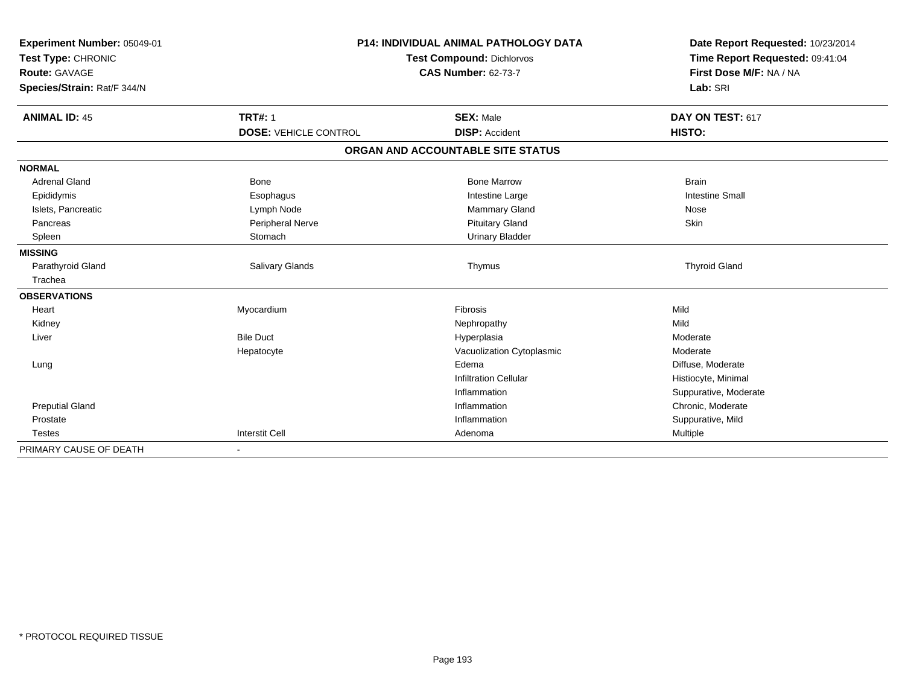| Experiment Number: 05049-01 | <b>P14: INDIVIDUAL ANIMAL PATHOLOGY DATA</b><br><b>Test Compound: Dichlorvos</b><br><b>CAS Number: 62-73-7</b> |                                   | Date Report Requested: 10/23/2014<br>Time Report Requested: 09:41:04 |
|-----------------------------|----------------------------------------------------------------------------------------------------------------|-----------------------------------|----------------------------------------------------------------------|
| Test Type: CHRONIC          |                                                                                                                |                                   |                                                                      |
| <b>Route: GAVAGE</b>        |                                                                                                                |                                   | First Dose M/F: NA / NA                                              |
| Species/Strain: Rat/F 344/N |                                                                                                                |                                   | Lab: SRI                                                             |
| <b>ANIMAL ID: 45</b>        | <b>TRT#: 1</b>                                                                                                 | <b>SEX: Male</b>                  | DAY ON TEST: 617                                                     |
|                             | <b>DOSE: VEHICLE CONTROL</b>                                                                                   | <b>DISP: Accident</b>             | HISTO:                                                               |
|                             |                                                                                                                | ORGAN AND ACCOUNTABLE SITE STATUS |                                                                      |
| <b>NORMAL</b>               |                                                                                                                |                                   |                                                                      |
| <b>Adrenal Gland</b>        | <b>Bone</b>                                                                                                    | <b>Bone Marrow</b>                | <b>Brain</b>                                                         |
| Epididymis                  | Esophagus                                                                                                      | Intestine Large                   | <b>Intestine Small</b>                                               |
| Islets, Pancreatic          | Lymph Node                                                                                                     | Mammary Gland                     | Nose                                                                 |
| Pancreas                    | Peripheral Nerve                                                                                               | <b>Pituitary Gland</b>            | Skin                                                                 |
| Spleen                      | Stomach                                                                                                        | <b>Urinary Bladder</b>            |                                                                      |
| <b>MISSING</b>              |                                                                                                                |                                   |                                                                      |
| Parathyroid Gland           | <b>Salivary Glands</b>                                                                                         | Thymus                            | <b>Thyroid Gland</b>                                                 |
| Trachea                     |                                                                                                                |                                   |                                                                      |
| <b>OBSERVATIONS</b>         |                                                                                                                |                                   |                                                                      |
| Heart                       | Myocardium                                                                                                     | Fibrosis                          | Mild                                                                 |
| Kidney                      |                                                                                                                | Nephropathy                       | Mild                                                                 |
| Liver                       | <b>Bile Duct</b>                                                                                               | Hyperplasia                       | Moderate                                                             |
|                             | Hepatocyte                                                                                                     | Vacuolization Cytoplasmic         | Moderate                                                             |
| Lung                        |                                                                                                                | Edema                             | Diffuse, Moderate                                                    |
|                             |                                                                                                                | <b>Infiltration Cellular</b>      | Histiocyte, Minimal                                                  |
|                             |                                                                                                                | Inflammation                      | Suppurative, Moderate                                                |
| <b>Preputial Gland</b>      |                                                                                                                | Inflammation                      | Chronic, Moderate                                                    |
| Prostate                    |                                                                                                                | Inflammation                      | Suppurative, Mild                                                    |
| <b>Testes</b>               | <b>Interstit Cell</b>                                                                                          | Adenoma                           | Multiple                                                             |
| PRIMARY CAUSE OF DEATH      |                                                                                                                |                                   |                                                                      |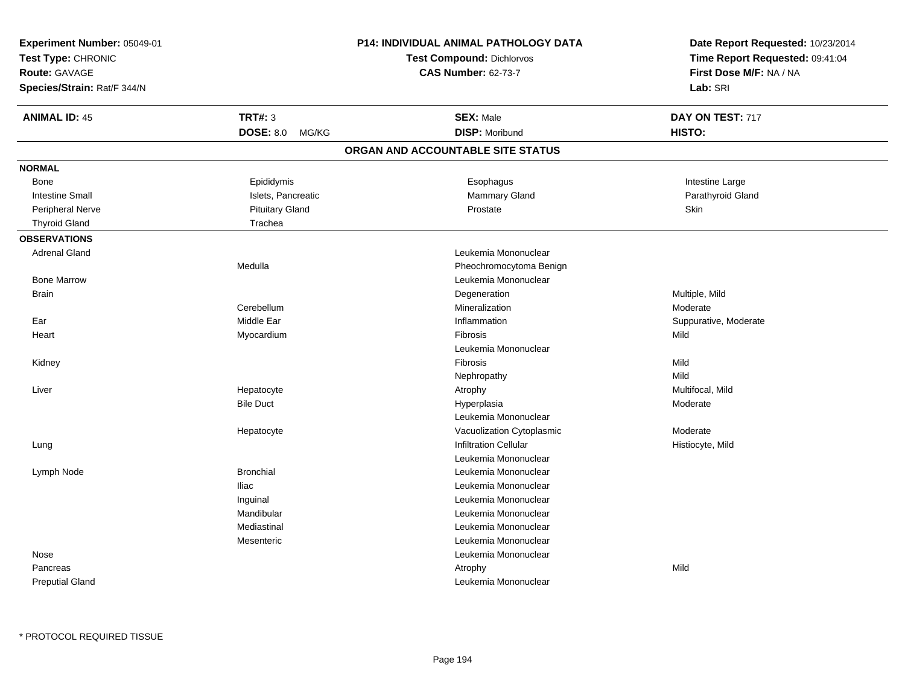| Date Report Requested: 10/23/2014   |  |
|-------------------------------------|--|
| Time Report Requested: 09:41:04     |  |
| First Dose M/F: NA / NA<br>Lab: SRI |  |
|                                     |  |
|                                     |  |
|                                     |  |
|                                     |  |
|                                     |  |
|                                     |  |
|                                     |  |
|                                     |  |
|                                     |  |
|                                     |  |
|                                     |  |
|                                     |  |
|                                     |  |
|                                     |  |
|                                     |  |
|                                     |  |
|                                     |  |
|                                     |  |
|                                     |  |
|                                     |  |
|                                     |  |
|                                     |  |
|                                     |  |
|                                     |  |
|                                     |  |
|                                     |  |
|                                     |  |
|                                     |  |
|                                     |  |
|                                     |  |
|                                     |  |
|                                     |  |
|                                     |  |
|                                     |  |
|                                     |  |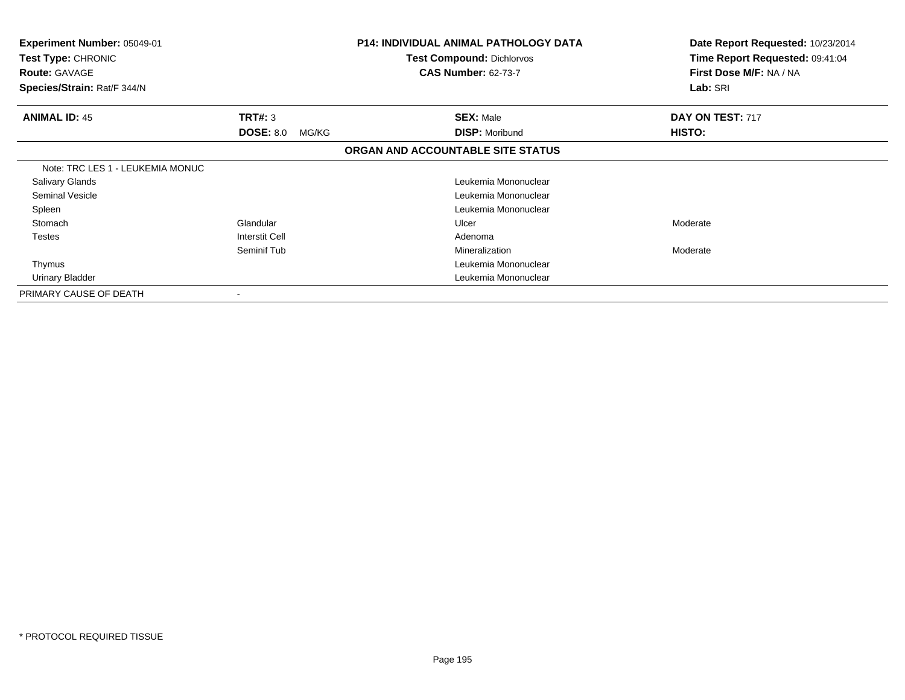| <b>Experiment Number: 05049-01</b><br>Test Type: CHRONIC<br><b>Route: GAVAGE</b><br>Species/Strain: Rat/F 344/N |                           | <b>P14: INDIVIDUAL ANIMAL PATHOLOGY DATA</b><br><b>Test Compound: Dichlorvos</b><br><b>CAS Number: 62-73-7</b> | Date Report Requested: 10/23/2014<br>Time Report Requested: 09:41:04<br>First Dose M/F: NA / NA<br>Lab: SRI |
|-----------------------------------------------------------------------------------------------------------------|---------------------------|----------------------------------------------------------------------------------------------------------------|-------------------------------------------------------------------------------------------------------------|
| <b>ANIMAL ID: 45</b>                                                                                            | TRT#: 3                   | <b>SEX: Male</b>                                                                                               | DAY ON TEST: 717                                                                                            |
|                                                                                                                 | <b>DOSE: 8.0</b><br>MG/KG | <b>DISP: Moribund</b>                                                                                          | HISTO:                                                                                                      |
|                                                                                                                 |                           | ORGAN AND ACCOUNTABLE SITE STATUS                                                                              |                                                                                                             |
| Note: TRC LES 1 - LEUKEMIA MONUC                                                                                |                           |                                                                                                                |                                                                                                             |
| <b>Salivary Glands</b>                                                                                          |                           | Leukemia Mononuclear                                                                                           |                                                                                                             |
| Seminal Vesicle                                                                                                 |                           | Leukemia Mononuclear                                                                                           |                                                                                                             |
| Spleen                                                                                                          |                           | Leukemia Mononuclear                                                                                           |                                                                                                             |
| Stomach                                                                                                         | Glandular                 | Ulcer                                                                                                          | Moderate                                                                                                    |
| Testes                                                                                                          | Interstit Cell            | Adenoma                                                                                                        |                                                                                                             |
|                                                                                                                 | Seminif Tub               | Mineralization                                                                                                 | Moderate                                                                                                    |
| Thymus                                                                                                          |                           | Leukemia Mononuclear                                                                                           |                                                                                                             |
| Urinary Bladder                                                                                                 |                           | Leukemia Mononuclear                                                                                           |                                                                                                             |
| PRIMARY CAUSE OF DEATH                                                                                          |                           |                                                                                                                |                                                                                                             |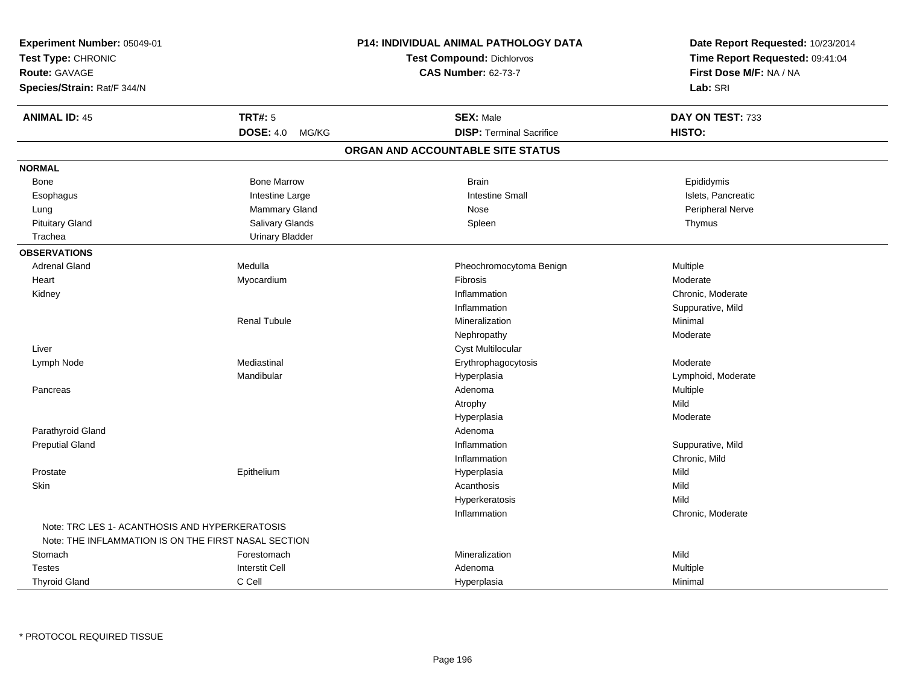| Experiment Number: 05049-01<br>Test Type: CHRONIC<br><b>Route: GAVAGE</b><br>Species/Strain: Rat/F 344/N |                        | <b>P14: INDIVIDUAL ANIMAL PATHOLOGY DATA</b><br><b>Test Compound: Dichlorvos</b><br><b>CAS Number: 62-73-7</b> | Date Report Requested: 10/23/2014<br>Time Report Requested: 09:41:04<br>First Dose M/F: NA / NA<br>Lab: SRI |
|----------------------------------------------------------------------------------------------------------|------------------------|----------------------------------------------------------------------------------------------------------------|-------------------------------------------------------------------------------------------------------------|
| <b>ANIMAL ID: 45</b>                                                                                     | <b>TRT#: 5</b>         | <b>SEX: Male</b>                                                                                               | DAY ON TEST: 733                                                                                            |
|                                                                                                          | DOSE: 4.0 MG/KG        | <b>DISP: Terminal Sacrifice</b>                                                                                | HISTO:                                                                                                      |
|                                                                                                          |                        | ORGAN AND ACCOUNTABLE SITE STATUS                                                                              |                                                                                                             |
| <b>NORMAL</b>                                                                                            |                        |                                                                                                                |                                                                                                             |
| Bone                                                                                                     | <b>Bone Marrow</b>     | <b>Brain</b>                                                                                                   | Epididymis                                                                                                  |
| Esophagus                                                                                                | Intestine Large        | <b>Intestine Small</b>                                                                                         | Islets, Pancreatic                                                                                          |
| Lung                                                                                                     | Mammary Gland          | Nose                                                                                                           | Peripheral Nerve                                                                                            |
| <b>Pituitary Gland</b>                                                                                   | Salivary Glands        | Spleen                                                                                                         | Thymus                                                                                                      |
| Trachea                                                                                                  | <b>Urinary Bladder</b> |                                                                                                                |                                                                                                             |
| <b>OBSERVATIONS</b>                                                                                      |                        |                                                                                                                |                                                                                                             |
| <b>Adrenal Gland</b>                                                                                     | Medulla                | Pheochromocytoma Benign                                                                                        | Multiple                                                                                                    |
| Heart                                                                                                    | Myocardium             | Fibrosis                                                                                                       | Moderate                                                                                                    |
| Kidney                                                                                                   |                        | Inflammation                                                                                                   | Chronic, Moderate                                                                                           |
|                                                                                                          |                        | Inflammation                                                                                                   | Suppurative, Mild                                                                                           |
|                                                                                                          | <b>Renal Tubule</b>    | Mineralization                                                                                                 | Minimal                                                                                                     |
|                                                                                                          |                        | Nephropathy                                                                                                    | Moderate                                                                                                    |
| Liver                                                                                                    |                        | <b>Cyst Multilocular</b>                                                                                       |                                                                                                             |
| Lymph Node                                                                                               | Mediastinal            | Erythrophagocytosis                                                                                            | Moderate                                                                                                    |
|                                                                                                          | Mandibular             | Hyperplasia                                                                                                    | Lymphoid, Moderate                                                                                          |
| Pancreas                                                                                                 |                        | Adenoma                                                                                                        | Multiple                                                                                                    |
|                                                                                                          |                        | Atrophy                                                                                                        | Mild                                                                                                        |
|                                                                                                          |                        | Hyperplasia                                                                                                    | Moderate                                                                                                    |
| Parathyroid Gland                                                                                        |                        | Adenoma                                                                                                        |                                                                                                             |
| <b>Preputial Gland</b>                                                                                   |                        | Inflammation                                                                                                   | Suppurative, Mild                                                                                           |
|                                                                                                          |                        | Inflammation                                                                                                   | Chronic, Mild                                                                                               |
| Prostate                                                                                                 | Epithelium             | Hyperplasia                                                                                                    | Mild                                                                                                        |
| Skin                                                                                                     |                        | Acanthosis                                                                                                     | Mild                                                                                                        |
|                                                                                                          |                        | Hyperkeratosis                                                                                                 | Mild                                                                                                        |
|                                                                                                          |                        | Inflammation                                                                                                   | Chronic, Moderate                                                                                           |
| Note: TRC LES 1- ACANTHOSIS AND HYPERKERATOSIS                                                           |                        |                                                                                                                |                                                                                                             |
| Note: THE INFLAMMATION IS ON THE FIRST NASAL SECTION                                                     |                        |                                                                                                                |                                                                                                             |
| Stomach                                                                                                  | Forestomach            | Mineralization                                                                                                 | Mild                                                                                                        |
| <b>Testes</b>                                                                                            | <b>Interstit Cell</b>  | Adenoma                                                                                                        | Multiple                                                                                                    |
| <b>Thyroid Gland</b>                                                                                     | C Cell                 | Hyperplasia                                                                                                    | Minimal                                                                                                     |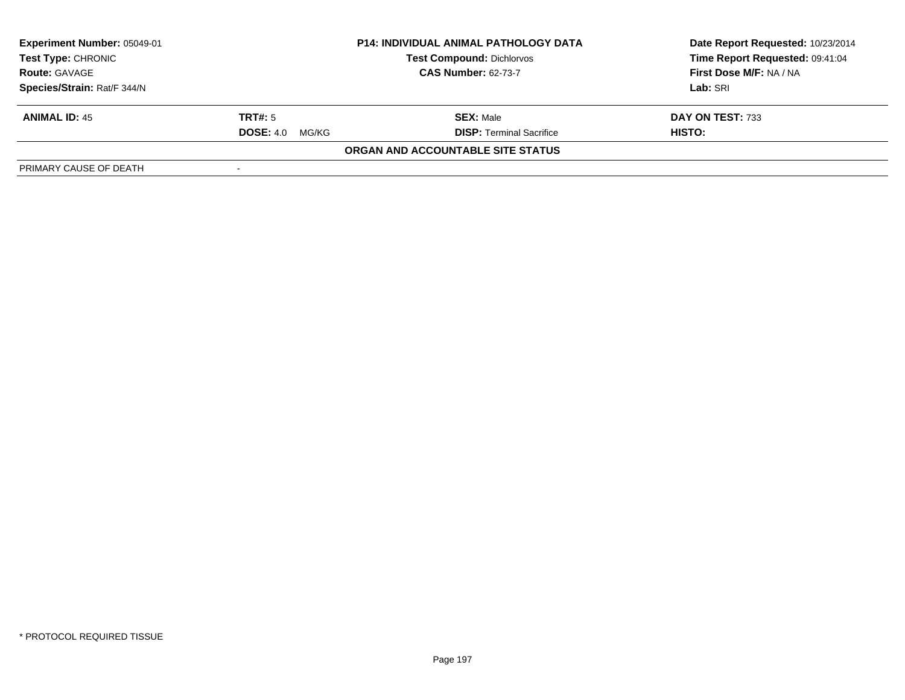| Experiment Number: 05049-01<br><b>Test Type: CHRONIC</b><br><b>Route: GAVAGE</b> | <b>P14: INDIVIDUAL ANIMAL PATHOLOGY DATA</b><br><b>Test Compound: Dichlorvos</b><br><b>CAS Number: 62-73-7</b> |                                   | Date Report Requested: 10/23/2014<br>Time Report Requested: 09:41:04<br>First Dose M/F: NA / NA<br>Lab: SRI |
|----------------------------------------------------------------------------------|----------------------------------------------------------------------------------------------------------------|-----------------------------------|-------------------------------------------------------------------------------------------------------------|
| Species/Strain: Rat/F 344/N                                                      |                                                                                                                |                                   |                                                                                                             |
| <b>ANIMAL ID: 45</b>                                                             | TRT#: 5                                                                                                        | <b>SEX: Male</b>                  | DAY ON TEST: 733                                                                                            |
|                                                                                  | <b>DOSE: 4.0</b><br>MG/KG                                                                                      | <b>DISP:</b> Terminal Sacrifice   | HISTO:                                                                                                      |
|                                                                                  |                                                                                                                | ORGAN AND ACCOUNTABLE SITE STATUS |                                                                                                             |
| PRIMARY CAUSE OF DEATH                                                           |                                                                                                                |                                   |                                                                                                             |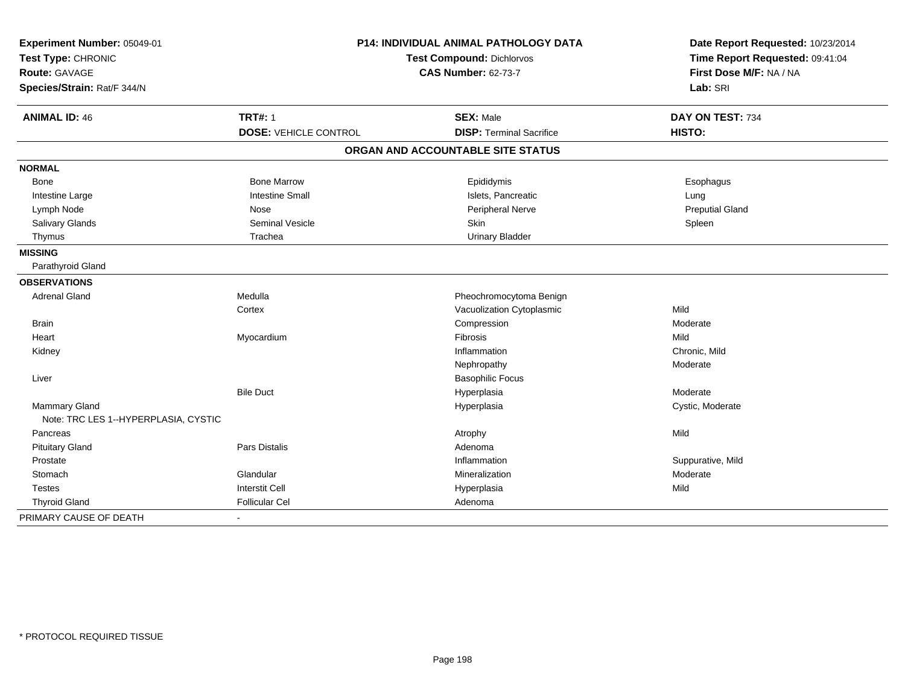| <b>P14: INDIVIDUAL ANIMAL PATHOLOGY DATA</b><br>Experiment Number: 05049-01<br>Test Type: CHRONIC |                              | Test Compound: Dichlorvos         | Date Report Requested: 10/23/2014<br>Time Report Requested: 09:41:04 |
|---------------------------------------------------------------------------------------------------|------------------------------|-----------------------------------|----------------------------------------------------------------------|
| Route: GAVAGE                                                                                     |                              | <b>CAS Number: 62-73-7</b>        | First Dose M/F: NA / NA                                              |
| Species/Strain: Rat/F 344/N                                                                       |                              |                                   | Lab: SRI                                                             |
|                                                                                                   |                              |                                   |                                                                      |
| <b>ANIMAL ID: 46</b>                                                                              | <b>TRT#: 1</b>               | <b>SEX: Male</b>                  | DAY ON TEST: 734                                                     |
|                                                                                                   | <b>DOSE: VEHICLE CONTROL</b> | <b>DISP: Terminal Sacrifice</b>   | HISTO:                                                               |
|                                                                                                   |                              | ORGAN AND ACCOUNTABLE SITE STATUS |                                                                      |
| <b>NORMAL</b>                                                                                     |                              |                                   |                                                                      |
| Bone                                                                                              | <b>Bone Marrow</b>           | Epididymis                        | Esophagus                                                            |
| Intestine Large                                                                                   | <b>Intestine Small</b>       | Islets, Pancreatic                | Lung                                                                 |
| Lymph Node                                                                                        | Nose                         | <b>Peripheral Nerve</b>           | <b>Preputial Gland</b>                                               |
| Salivary Glands                                                                                   | <b>Seminal Vesicle</b>       | Skin                              | Spleen                                                               |
| Thymus                                                                                            | Trachea                      | <b>Urinary Bladder</b>            |                                                                      |
| <b>MISSING</b>                                                                                    |                              |                                   |                                                                      |
| Parathyroid Gland                                                                                 |                              |                                   |                                                                      |
| <b>OBSERVATIONS</b>                                                                               |                              |                                   |                                                                      |
| <b>Adrenal Gland</b>                                                                              | Medulla                      | Pheochromocytoma Benign           |                                                                      |
|                                                                                                   | Cortex                       | Vacuolization Cytoplasmic         | Mild                                                                 |
| <b>Brain</b>                                                                                      |                              | Compression                       | Moderate                                                             |
| Heart                                                                                             | Myocardium                   | <b>Fibrosis</b>                   | Mild                                                                 |
| Kidney                                                                                            |                              | Inflammation                      | Chronic, Mild                                                        |
|                                                                                                   |                              | Nephropathy                       | Moderate                                                             |
| Liver                                                                                             |                              | <b>Basophilic Focus</b>           |                                                                      |
|                                                                                                   | <b>Bile Duct</b>             | Hyperplasia                       | Moderate                                                             |
| Mammary Gland                                                                                     |                              | Hyperplasia                       | Cystic, Moderate                                                     |
| Note: TRC LES 1--HYPERPLASIA, CYSTIC                                                              |                              |                                   |                                                                      |
| Pancreas                                                                                          |                              | Atrophy                           | Mild                                                                 |
| <b>Pituitary Gland</b>                                                                            | Pars Distalis                | Adenoma                           |                                                                      |
| Prostate                                                                                          |                              | Inflammation                      | Suppurative, Mild                                                    |
| Stomach                                                                                           | Glandular                    | Mineralization                    | Moderate                                                             |
| <b>Testes</b>                                                                                     | <b>Interstit Cell</b>        | Hyperplasia                       | Mild                                                                 |
| <b>Thyroid Gland</b>                                                                              | <b>Follicular Cel</b>        | Adenoma                           |                                                                      |
| PRIMARY CAUSE OF DEATH                                                                            | $\blacksquare$               |                                   |                                                                      |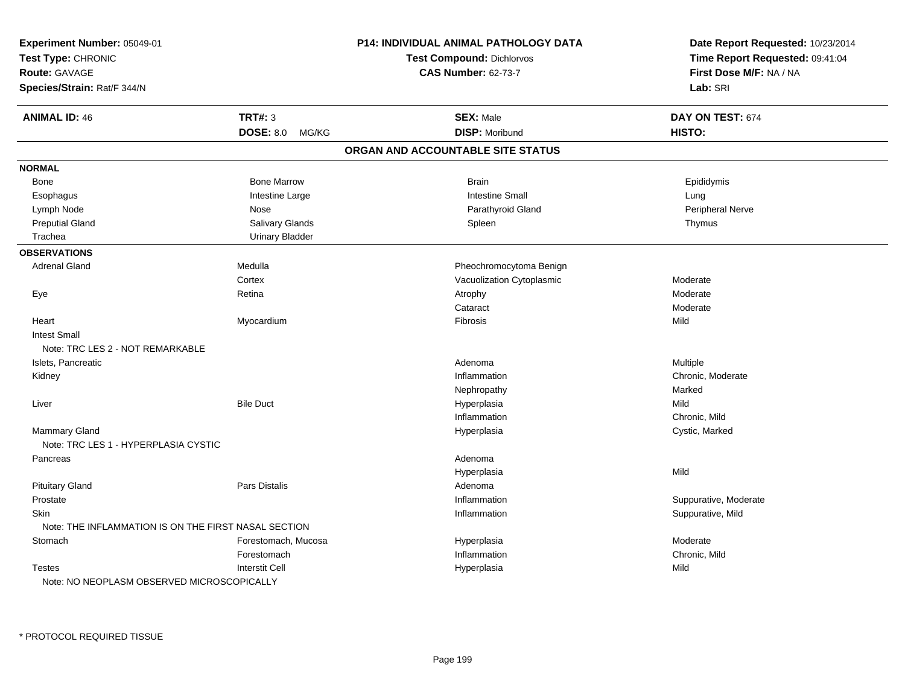| Experiment Number: 05049-01                                               |                                                      | P14: INDIVIDUAL ANIMAL PATHOLOGY DATA | Date Report Requested: 10/23/2014 |
|---------------------------------------------------------------------------|------------------------------------------------------|---------------------------------------|-----------------------------------|
| Test Type: CHRONIC<br><b>Route: GAVAGE</b><br>Species/Strain: Rat/F 344/N |                                                      | <b>Test Compound: Dichlorvos</b>      | Time Report Requested: 09:41:04   |
|                                                                           |                                                      | <b>CAS Number: 62-73-7</b>            | First Dose M/F: NA / NA           |
|                                                                           |                                                      |                                       | Lab: SRI                          |
| <b>ANIMAL ID: 46</b>                                                      | <b>TRT#: 3</b>                                       | <b>SEX: Male</b>                      | DAY ON TEST: 674                  |
|                                                                           | DOSE: 8.0 MG/KG                                      | <b>DISP: Moribund</b>                 | HISTO:                            |
|                                                                           |                                                      | ORGAN AND ACCOUNTABLE SITE STATUS     |                                   |
| <b>NORMAL</b>                                                             |                                                      |                                       |                                   |
| Bone                                                                      | <b>Bone Marrow</b>                                   | <b>Brain</b>                          | Epididymis                        |
| Esophagus                                                                 | Intestine Large                                      | <b>Intestine Small</b>                | Lung                              |
| Lymph Node                                                                | Nose                                                 | Parathyroid Gland                     | Peripheral Nerve                  |
| <b>Preputial Gland</b>                                                    | Salivary Glands                                      | Spleen                                | Thymus                            |
| Trachea                                                                   | <b>Urinary Bladder</b>                               |                                       |                                   |
| <b>OBSERVATIONS</b>                                                       |                                                      |                                       |                                   |
| Adrenal Gland                                                             | Medulla                                              | Pheochromocytoma Benign               |                                   |
|                                                                           | Cortex                                               | Vacuolization Cytoplasmic             | Moderate                          |
| Eye                                                                       | Retina                                               | Atrophy                               | Moderate                          |
|                                                                           |                                                      | Cataract                              | Moderate                          |
| Heart                                                                     | Myocardium                                           | Fibrosis                              | Mild                              |
| <b>Intest Small</b>                                                       |                                                      |                                       |                                   |
| Note: TRC LES 2 - NOT REMARKABLE                                          |                                                      |                                       |                                   |
| Islets, Pancreatic                                                        |                                                      | Adenoma                               | Multiple                          |
| Kidney                                                                    |                                                      | Inflammation                          | Chronic, Moderate                 |
|                                                                           |                                                      | Nephropathy                           | Marked                            |
| Liver                                                                     | <b>Bile Duct</b>                                     | Hyperplasia                           | Mild                              |
|                                                                           |                                                      | Inflammation                          | Chronic, Mild                     |
| <b>Mammary Gland</b>                                                      |                                                      | Hyperplasia                           | Cystic, Marked                    |
| Note: TRC LES 1 - HYPERPLASIA CYSTIC                                      |                                                      |                                       |                                   |
| Pancreas                                                                  |                                                      | Adenoma                               |                                   |
|                                                                           |                                                      | Hyperplasia                           | Mild                              |
| <b>Pituitary Gland</b>                                                    | <b>Pars Distalis</b>                                 | Adenoma                               |                                   |
| Prostate                                                                  |                                                      | Inflammation                          | Suppurative, Moderate             |
| <b>Skin</b>                                                               |                                                      | Inflammation                          | Suppurative, Mild                 |
|                                                                           | Note: THE INFLAMMATION IS ON THE FIRST NASAL SECTION |                                       |                                   |
| Stomach                                                                   | Forestomach, Mucosa                                  | Hyperplasia                           | Moderate                          |
|                                                                           | Forestomach                                          | Inflammation                          | Chronic, Mild                     |
| <b>Testes</b>                                                             | <b>Interstit Cell</b>                                | Hyperplasia                           | Mild                              |
| Note: NO NEOPLASM OBSERVED MICROSCOPICALLY                                |                                                      |                                       |                                   |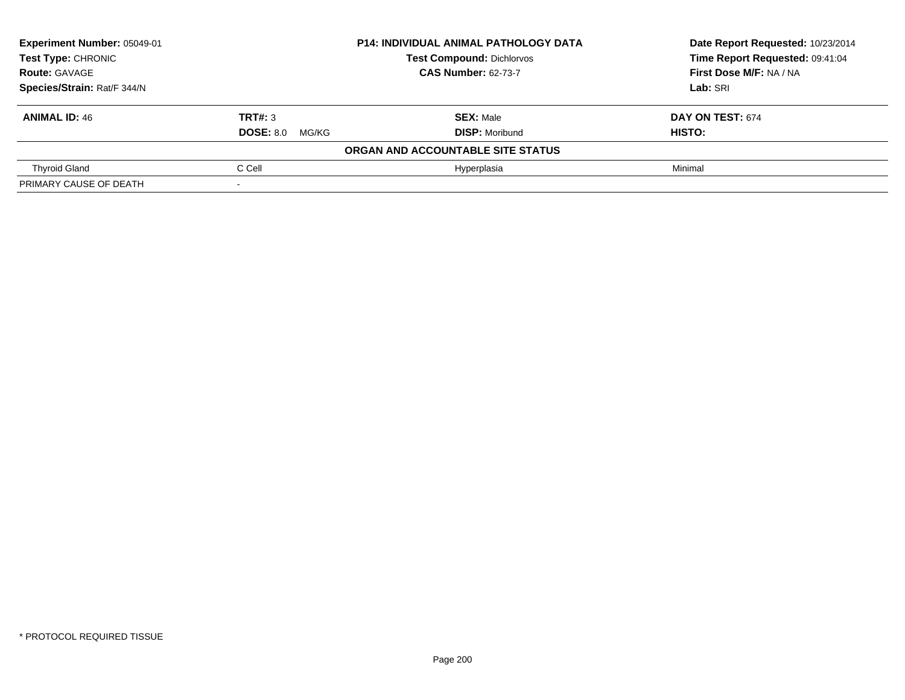| Experiment Number: 05049-01<br><b>P14: INDIVIDUAL ANIMAL PATHOLOGY DATA</b> |                        |                                   | Date Report Requested: 10/23/2014 |
|-----------------------------------------------------------------------------|------------------------|-----------------------------------|-----------------------------------|
| <b>Test Type: CHRONIC</b>                                                   |                        | <b>Test Compound: Dichlorvos</b>  | Time Report Requested: 09:41:04   |
| <b>Route: GAVAGE</b>                                                        |                        | <b>CAS Number: 62-73-7</b>        | First Dose M/F: NA / NA           |
| Species/Strain: Rat/F 344/N                                                 |                        |                                   | Lab: SRI                          |
| <b>ANIMAL ID: 46</b>                                                        | TRT#: 3                | <b>SEX: Male</b>                  | DAY ON TEST: 674                  |
|                                                                             | <b>DOSE: 8.0 MG/KG</b> | <b>DISP: Moribund</b>             | <b>HISTO:</b>                     |
|                                                                             |                        | ORGAN AND ACCOUNTABLE SITE STATUS |                                   |
| <b>Thyroid Gland</b>                                                        | C Cell                 | Hyperplasia                       | Minimal                           |
| PRIMARY CAUSE OF DEATH                                                      |                        |                                   |                                   |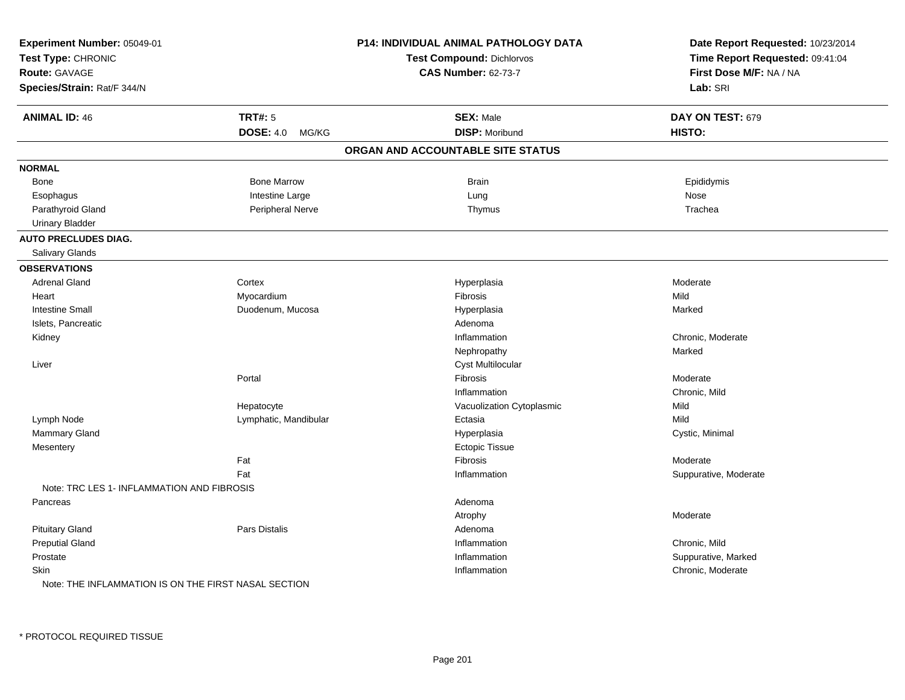| Experiment Number: 05049-01                          |                       | P14: INDIVIDUAL ANIMAL PATHOLOGY DATA | Date Report Requested: 10/23/2014 |
|------------------------------------------------------|-----------------------|---------------------------------------|-----------------------------------|
| Test Type: CHRONIC                                   |                       | <b>Test Compound: Dichlorvos</b>      | Time Report Requested: 09:41:04   |
| Route: GAVAGE                                        |                       | <b>CAS Number: 62-73-7</b>            | First Dose M/F: NA / NA           |
| Species/Strain: Rat/F 344/N                          |                       |                                       | Lab: SRI                          |
| <b>ANIMAL ID: 46</b>                                 | <b>TRT#: 5</b>        | <b>SEX: Male</b>                      | DAY ON TEST: 679                  |
|                                                      | DOSE: 4.0 MG/KG       | <b>DISP: Moribund</b>                 | HISTO:                            |
|                                                      |                       | ORGAN AND ACCOUNTABLE SITE STATUS     |                                   |
| <b>NORMAL</b>                                        |                       |                                       |                                   |
| Bone                                                 | <b>Bone Marrow</b>    | Brain                                 | Epididymis                        |
| Esophagus                                            | Intestine Large       | Lung                                  | Nose                              |
| Parathyroid Gland                                    | Peripheral Nerve      | Thymus                                | Trachea                           |
| <b>Urinary Bladder</b>                               |                       |                                       |                                   |
| <b>AUTO PRECLUDES DIAG.</b>                          |                       |                                       |                                   |
| Salivary Glands                                      |                       |                                       |                                   |
| <b>OBSERVATIONS</b>                                  |                       |                                       |                                   |
| <b>Adrenal Gland</b>                                 | Cortex                | Hyperplasia                           | Moderate                          |
| Heart                                                | Myocardium            | Fibrosis                              | Mild                              |
| <b>Intestine Small</b>                               | Duodenum, Mucosa      | Hyperplasia                           | Marked                            |
| Islets, Pancreatic                                   |                       | Adenoma                               |                                   |
| Kidney                                               |                       | Inflammation                          | Chronic, Moderate                 |
|                                                      |                       | Nephropathy                           | Marked                            |
| Liver                                                |                       | Cyst Multilocular                     |                                   |
|                                                      | Portal                | Fibrosis                              | Moderate                          |
|                                                      |                       | Inflammation                          | Chronic, Mild                     |
|                                                      | Hepatocyte            | Vacuolization Cytoplasmic             | Mild                              |
| Lymph Node                                           | Lymphatic, Mandibular | Ectasia                               | Mild                              |
| Mammary Gland                                        |                       | Hyperplasia                           | Cystic, Minimal                   |
| Mesentery                                            |                       | <b>Ectopic Tissue</b>                 |                                   |
|                                                      | Fat                   | Fibrosis                              | Moderate                          |
|                                                      | Fat                   | Inflammation                          | Suppurative, Moderate             |
| Note: TRC LES 1- INFLAMMATION AND FIBROSIS           |                       |                                       |                                   |
| Pancreas                                             |                       | Adenoma                               |                                   |
|                                                      |                       | Atrophy                               | Moderate                          |
| <b>Pituitary Gland</b>                               | Pars Distalis         | Adenoma                               |                                   |
| <b>Preputial Gland</b>                               |                       | Inflammation                          | Chronic, Mild                     |
| Prostate                                             |                       | Inflammation                          | Suppurative, Marked               |
| Skin                                                 |                       | Inflammation                          | Chronic, Moderate                 |
| Note: THE INFLAMMATION IS ON THE FIRST NASAL SECTION |                       |                                       |                                   |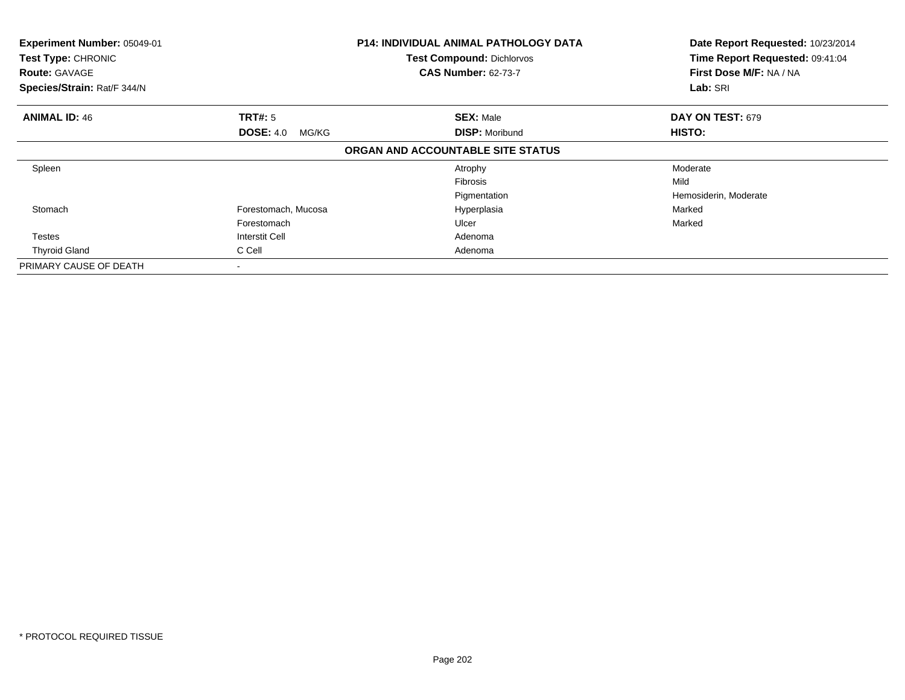| Experiment Number: 05049-01<br>Test Type: CHRONIC<br><b>Route: GAVAGE</b><br>Species/Strain: Rat/F 344/N |                           | <b>P14: INDIVIDUAL ANIMAL PATHOLOGY DATA</b><br><b>Test Compound: Dichlorvos</b><br><b>CAS Number: 62-73-7</b> | Date Report Requested: 10/23/2014<br>Time Report Requested: 09:41:04<br>First Dose M/F: NA / NA<br>Lab: SRI |  |
|----------------------------------------------------------------------------------------------------------|---------------------------|----------------------------------------------------------------------------------------------------------------|-------------------------------------------------------------------------------------------------------------|--|
| <b>ANIMAL ID: 46</b>                                                                                     | <b>TRT#:</b> 5            | <b>SEX: Male</b>                                                                                               | DAY ON TEST: 679                                                                                            |  |
|                                                                                                          | <b>DOSE: 4.0</b><br>MG/KG | <b>DISP: Moribund</b>                                                                                          | HISTO:                                                                                                      |  |
|                                                                                                          |                           | ORGAN AND ACCOUNTABLE SITE STATUS                                                                              |                                                                                                             |  |
| Spleen                                                                                                   |                           | Atrophy                                                                                                        | Moderate                                                                                                    |  |
|                                                                                                          |                           | <b>Fibrosis</b>                                                                                                | Mild                                                                                                        |  |
|                                                                                                          |                           | Pigmentation                                                                                                   | Hemosiderin, Moderate                                                                                       |  |
| Stomach                                                                                                  | Forestomach, Mucosa       | Hyperplasia                                                                                                    | Marked                                                                                                      |  |
|                                                                                                          | Forestomach               | Ulcer                                                                                                          | Marked                                                                                                      |  |
| <b>Testes</b>                                                                                            | Interstit Cell            | Adenoma                                                                                                        |                                                                                                             |  |
| <b>Thyroid Gland</b>                                                                                     | C Cell                    | Adenoma                                                                                                        |                                                                                                             |  |
| PRIMARY CAUSE OF DEATH                                                                                   |                           |                                                                                                                |                                                                                                             |  |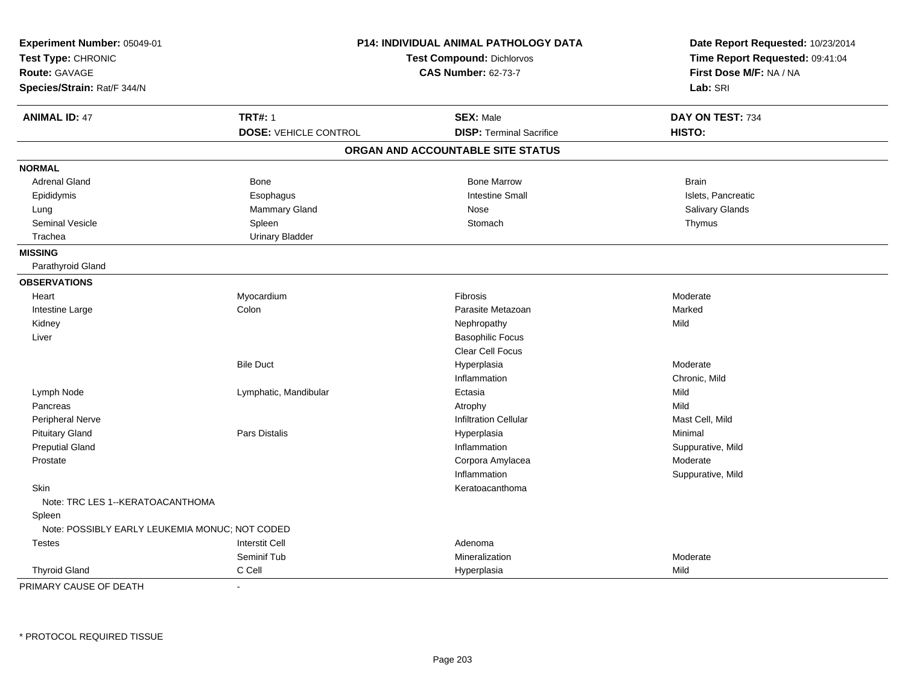| Experiment Number: 05049-01<br>Test Type: CHRONIC<br>Route: GAVAGE |                                                | P14: INDIVIDUAL ANIMAL PATHOLOGY DATA<br>Test Compound: Dichlorvos<br><b>CAS Number: 62-73-7</b> | Date Report Requested: 10/23/2014<br>Time Report Requested: 09:41:04<br>First Dose M/F: NA / NA |  |
|--------------------------------------------------------------------|------------------------------------------------|--------------------------------------------------------------------------------------------------|-------------------------------------------------------------------------------------------------|--|
| Species/Strain: Rat/F 344/N                                        |                                                |                                                                                                  | Lab: SRI                                                                                        |  |
| <b>ANIMAL ID: 47</b>                                               | <b>TRT#: 1</b><br><b>DOSE: VEHICLE CONTROL</b> | <b>SEX: Male</b><br><b>DISP: Terminal Sacrifice</b>                                              | DAY ON TEST: 734<br>HISTO:                                                                      |  |
|                                                                    |                                                | ORGAN AND ACCOUNTABLE SITE STATUS                                                                |                                                                                                 |  |
| <b>NORMAL</b>                                                      |                                                |                                                                                                  |                                                                                                 |  |
| <b>Adrenal Gland</b>                                               | Bone                                           | <b>Bone Marrow</b>                                                                               | <b>Brain</b>                                                                                    |  |
| Epididymis                                                         | Esophagus                                      | <b>Intestine Small</b>                                                                           | Islets, Pancreatic                                                                              |  |
| Lung                                                               | Mammary Gland                                  | Nose                                                                                             | Salivary Glands                                                                                 |  |
| <b>Seminal Vesicle</b>                                             | Spleen                                         | Stomach                                                                                          | Thymus                                                                                          |  |
| Trachea                                                            | <b>Urinary Bladder</b>                         |                                                                                                  |                                                                                                 |  |
| <b>MISSING</b>                                                     |                                                |                                                                                                  |                                                                                                 |  |
| Parathyroid Gland                                                  |                                                |                                                                                                  |                                                                                                 |  |
| <b>OBSERVATIONS</b>                                                |                                                |                                                                                                  |                                                                                                 |  |
| Heart                                                              | Myocardium                                     | Fibrosis                                                                                         | Moderate                                                                                        |  |
| Intestine Large                                                    | Colon                                          | Parasite Metazoan                                                                                | Marked                                                                                          |  |
| Kidney                                                             |                                                | Nephropathy                                                                                      | Mild                                                                                            |  |
| Liver                                                              |                                                | <b>Basophilic Focus</b>                                                                          |                                                                                                 |  |
|                                                                    |                                                | <b>Clear Cell Focus</b>                                                                          |                                                                                                 |  |
|                                                                    | <b>Bile Duct</b>                               | Hyperplasia                                                                                      | Moderate                                                                                        |  |
|                                                                    |                                                | Inflammation                                                                                     | Chronic, Mild                                                                                   |  |
| Lymph Node                                                         | Lymphatic, Mandibular                          | Ectasia                                                                                          | Mild                                                                                            |  |
| Pancreas                                                           |                                                | Atrophy                                                                                          | Mild                                                                                            |  |
| Peripheral Nerve                                                   |                                                | <b>Infiltration Cellular</b>                                                                     | Mast Cell, Mild                                                                                 |  |
| <b>Pituitary Gland</b>                                             | <b>Pars Distalis</b>                           | Hyperplasia                                                                                      | Minimal                                                                                         |  |
| <b>Preputial Gland</b>                                             |                                                | Inflammation                                                                                     | Suppurative, Mild                                                                               |  |
| Prostate                                                           |                                                | Corpora Amylacea                                                                                 | Moderate                                                                                        |  |
|                                                                    |                                                | Inflammation                                                                                     | Suppurative, Mild                                                                               |  |
| Skin                                                               |                                                | Keratoacanthoma                                                                                  |                                                                                                 |  |
| Note: TRC LES 1--KERATOACANTHOMA                                   |                                                |                                                                                                  |                                                                                                 |  |
| Spleen                                                             |                                                |                                                                                                  |                                                                                                 |  |
| Note: POSSIBLY EARLY LEUKEMIA MONUC; NOT CODED                     |                                                |                                                                                                  |                                                                                                 |  |
| <b>Testes</b>                                                      | <b>Interstit Cell</b>                          | Adenoma                                                                                          |                                                                                                 |  |
|                                                                    | Seminif Tub                                    | <b>Mineralization</b>                                                                            | Moderate                                                                                        |  |
| <b>Thyroid Gland</b>                                               | C Cell                                         | Hyperplasia                                                                                      | Mild                                                                                            |  |
| PRIMARY CAUSE OF DEATH                                             | ÷,                                             |                                                                                                  |                                                                                                 |  |

\* PROTOCOL REQUIRED TISSUE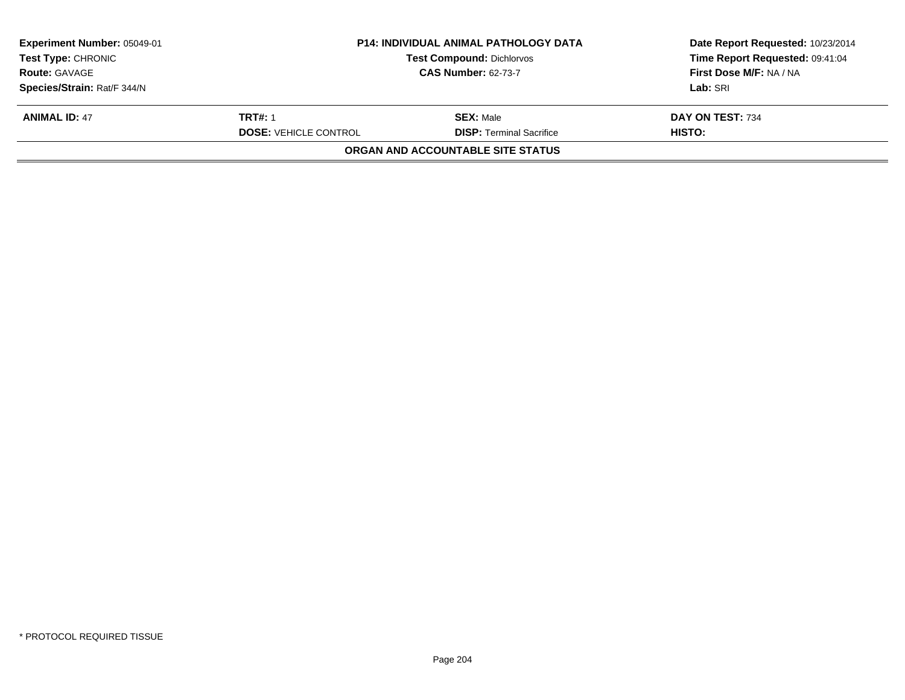| <b>Experiment Number: 05049-01</b> | <b>P14: INDIVIDUAL ANIMAL PATHOLOGY DATA</b> |                                   | Date Report Requested: 10/23/2014 |  |
|------------------------------------|----------------------------------------------|-----------------------------------|-----------------------------------|--|
| <b>Test Type: CHRONIC</b>          |                                              | <b>Test Compound: Dichlorvos</b>  | Time Report Requested: 09:41:04   |  |
| <b>Route: GAVAGE</b>               | <b>CAS Number: 62-73-7</b>                   |                                   | First Dose M/F: NA / NA           |  |
| Species/Strain: Rat/F 344/N        |                                              |                                   | Lab: SRI                          |  |
| <b>ANIMAL ID: 47</b>               | <b>TRT#: 1</b>                               | <b>SEX: Male</b>                  | DAY ON TEST: 734                  |  |
|                                    | <b>DOSE: VEHICLE CONTROL</b>                 | <b>DISP:</b> Terminal Sacrifice   | HISTO:                            |  |
|                                    |                                              | ORGAN AND ACCOUNTABLE SITE STATUS |                                   |  |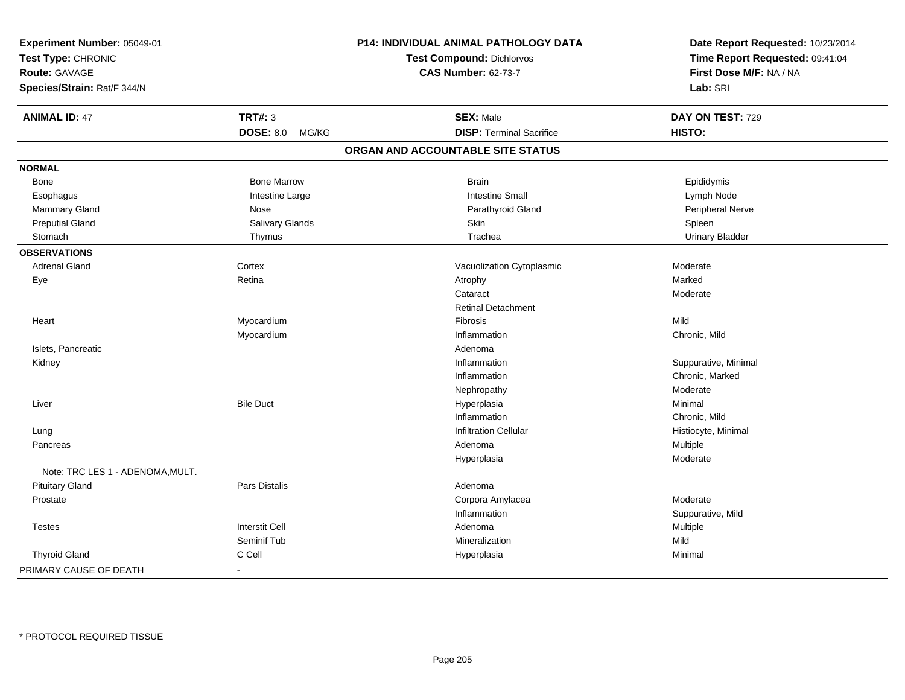| Experiment Number: 05049-01<br>Test Type: CHRONIC |                           | P14: INDIVIDUAL ANIMAL PATHOLOGY DATA<br><b>Test Compound: Dichlorvos</b> | Date Report Requested: 10/23/2014<br>Time Report Requested: 09:41:04 |
|---------------------------------------------------|---------------------------|---------------------------------------------------------------------------|----------------------------------------------------------------------|
| <b>Route: GAVAGE</b>                              |                           | <b>CAS Number: 62-73-7</b>                                                | First Dose M/F: NA / NA                                              |
| Species/Strain: Rat/F 344/N                       |                           |                                                                           | Lab: SRI                                                             |
| <b>ANIMAL ID: 47</b>                              | <b>TRT#: 3</b>            | <b>SEX: Male</b>                                                          | DAY ON TEST: 729                                                     |
|                                                   | <b>DOSE: 8.0</b><br>MG/KG | <b>DISP: Terminal Sacrifice</b>                                           | HISTO:                                                               |
|                                                   |                           | ORGAN AND ACCOUNTABLE SITE STATUS                                         |                                                                      |
| <b>NORMAL</b>                                     |                           |                                                                           |                                                                      |
| Bone                                              | <b>Bone Marrow</b>        | <b>Brain</b>                                                              | Epididymis                                                           |
| Esophagus                                         | Intestine Large           | <b>Intestine Small</b>                                                    | Lymph Node                                                           |
| Mammary Gland                                     | Nose                      | Parathyroid Gland                                                         | Peripheral Nerve                                                     |
| <b>Preputial Gland</b>                            | Salivary Glands           | Skin                                                                      | Spleen                                                               |
| Stomach                                           | Thymus                    | Trachea                                                                   | <b>Urinary Bladder</b>                                               |
| <b>OBSERVATIONS</b>                               |                           |                                                                           |                                                                      |
| <b>Adrenal Gland</b>                              | Cortex                    | Vacuolization Cytoplasmic                                                 | Moderate                                                             |
| Eye                                               | Retina                    | Atrophy                                                                   | Marked                                                               |
|                                                   |                           | Cataract                                                                  | Moderate                                                             |
|                                                   |                           | <b>Retinal Detachment</b>                                                 |                                                                      |
| Heart                                             | Myocardium                | Fibrosis                                                                  | Mild                                                                 |
|                                                   | Myocardium                | Inflammation                                                              | Chronic, Mild                                                        |
| Islets, Pancreatic                                |                           | Adenoma                                                                   |                                                                      |
| Kidney                                            |                           | Inflammation                                                              | Suppurative, Minimal                                                 |
|                                                   |                           | Inflammation                                                              | Chronic, Marked                                                      |
|                                                   |                           | Nephropathy                                                               | Moderate                                                             |
| Liver                                             | <b>Bile Duct</b>          | Hyperplasia                                                               | Minimal                                                              |
|                                                   |                           | Inflammation                                                              | Chronic, Mild                                                        |
| Lung                                              |                           | <b>Infiltration Cellular</b>                                              | Histiocyte, Minimal                                                  |
| Pancreas                                          |                           | Adenoma                                                                   | Multiple                                                             |
|                                                   |                           | Hyperplasia                                                               | Moderate                                                             |
| Note: TRC LES 1 - ADENOMA.MULT.                   |                           |                                                                           |                                                                      |
| <b>Pituitary Gland</b>                            | Pars Distalis             | Adenoma                                                                   |                                                                      |
| Prostate                                          |                           | Corpora Amylacea                                                          | Moderate                                                             |
|                                                   |                           | Inflammation                                                              | Suppurative, Mild                                                    |
| <b>Testes</b>                                     | <b>Interstit Cell</b>     | Adenoma                                                                   | Multiple                                                             |
|                                                   | Seminif Tub               | Mineralization                                                            | Mild                                                                 |
| <b>Thyroid Gland</b>                              | C Cell                    | Hyperplasia                                                               | Minimal                                                              |
| PRIMARY CAUSE OF DEATH                            | $\sim$                    |                                                                           |                                                                      |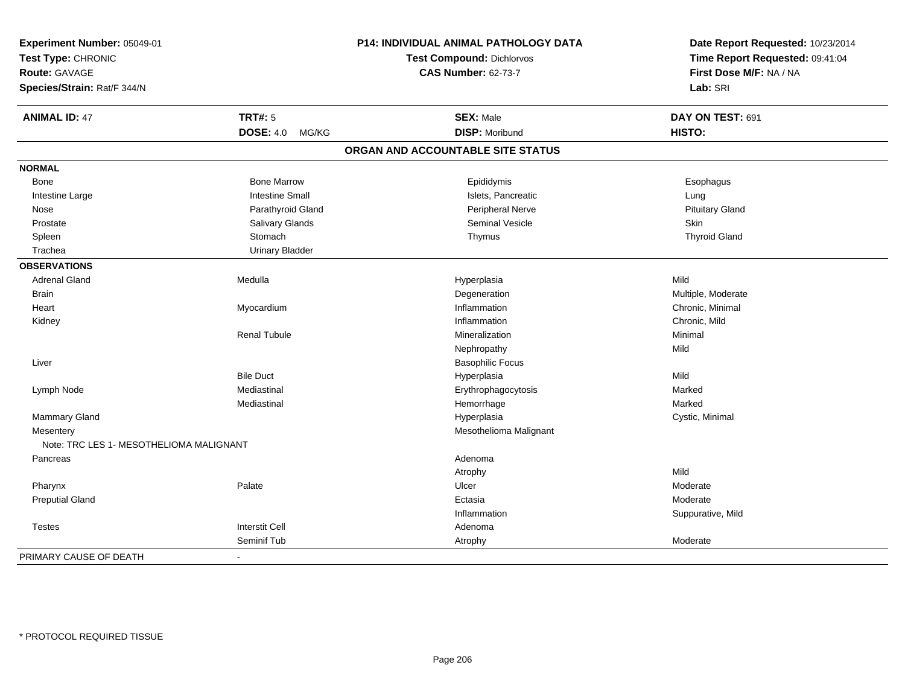| Experiment Number: 05049-01             |                           | P14: INDIVIDUAL ANIMAL PATHOLOGY DATA | Date Report Requested: 10/23/2014 |
|-----------------------------------------|---------------------------|---------------------------------------|-----------------------------------|
| Test Type: CHRONIC                      |                           | <b>Test Compound: Dichlorvos</b>      | Time Report Requested: 09:41:04   |
| Route: GAVAGE                           |                           | <b>CAS Number: 62-73-7</b>            | First Dose M/F: NA / NA           |
| Species/Strain: Rat/F 344/N             |                           |                                       | Lab: SRI                          |
| <b>ANIMAL ID: 47</b>                    | <b>TRT#: 5</b>            | <b>SEX: Male</b>                      | DAY ON TEST: 691                  |
|                                         | <b>DOSE: 4.0</b><br>MG/KG | <b>DISP: Moribund</b>                 | HISTO:                            |
|                                         |                           | ORGAN AND ACCOUNTABLE SITE STATUS     |                                   |
| <b>NORMAL</b>                           |                           |                                       |                                   |
| Bone                                    | <b>Bone Marrow</b>        | Epididymis                            | Esophagus                         |
| Intestine Large                         | <b>Intestine Small</b>    | Islets, Pancreatic                    | Lung                              |
| Nose                                    | Parathyroid Gland         | Peripheral Nerve                      | <b>Pituitary Gland</b>            |
| Prostate                                | Salivary Glands           | Seminal Vesicle                       | Skin                              |
| Spleen                                  | Stomach                   | Thymus                                | <b>Thyroid Gland</b>              |
| Trachea                                 | <b>Urinary Bladder</b>    |                                       |                                   |
| <b>OBSERVATIONS</b>                     |                           |                                       |                                   |
| <b>Adrenal Gland</b>                    | Medulla                   | Hyperplasia                           | Mild                              |
| <b>Brain</b>                            |                           | Degeneration                          | Multiple, Moderate                |
| Heart                                   | Myocardium                | Inflammation                          | Chronic, Minimal                  |
| Kidney                                  |                           | Inflammation                          | Chronic, Mild                     |
|                                         | <b>Renal Tubule</b>       | Mineralization                        | Minimal                           |
|                                         |                           | Nephropathy                           | Mild                              |
| Liver                                   |                           | <b>Basophilic Focus</b>               |                                   |
|                                         | <b>Bile Duct</b>          | Hyperplasia                           | Mild                              |
| Lymph Node                              | Mediastinal               | Erythrophagocytosis                   | Marked                            |
|                                         | Mediastinal               | Hemorrhage                            | Marked                            |
| <b>Mammary Gland</b>                    |                           | Hyperplasia                           | Cystic, Minimal                   |
| Mesentery                               |                           | Mesothelioma Malignant                |                                   |
| Note: TRC LES 1- MESOTHELIOMA MALIGNANT |                           |                                       |                                   |
| Pancreas                                |                           | Adenoma                               |                                   |
|                                         |                           | Atrophy                               | Mild                              |
| Pharynx                                 | Palate                    | Ulcer                                 | Moderate                          |
| <b>Preputial Gland</b>                  |                           | Ectasia                               | Moderate                          |
|                                         |                           | Inflammation                          | Suppurative, Mild                 |
| <b>Testes</b>                           | <b>Interstit Cell</b>     | Adenoma                               |                                   |
|                                         | Seminif Tub               | Atrophy                               | Moderate                          |
| PRIMARY CAUSE OF DEATH                  |                           |                                       |                                   |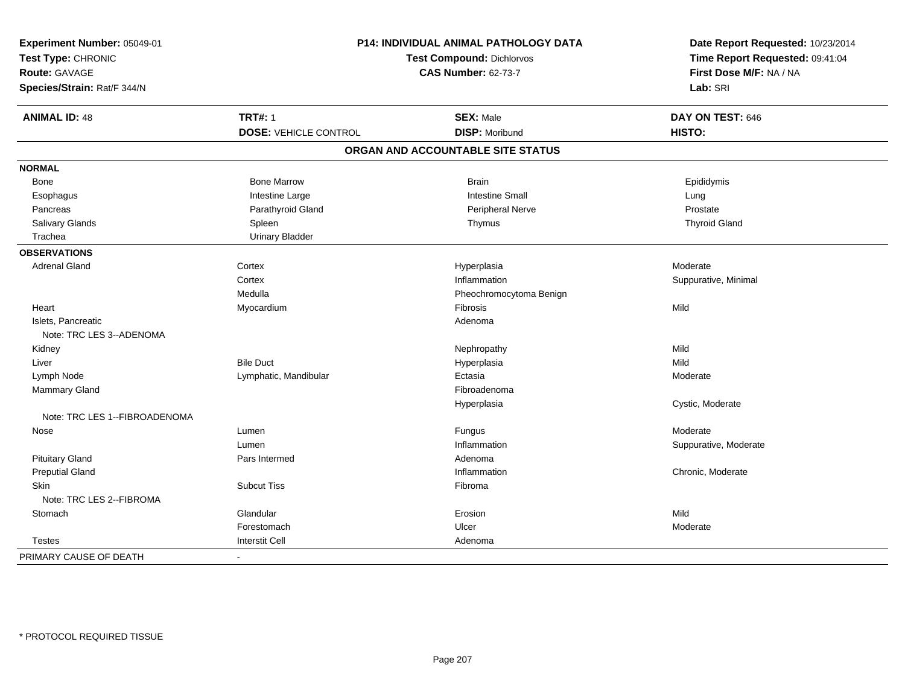| Experiment Number: 05049-01   |                              | P14: INDIVIDUAL ANIMAL PATHOLOGY DATA | Date Report Requested: 10/23/2014 |  |
|-------------------------------|------------------------------|---------------------------------------|-----------------------------------|--|
| Test Type: CHRONIC            |                              | <b>Test Compound: Dichlorvos</b>      | Time Report Requested: 09:41:04   |  |
| <b>Route: GAVAGE</b>          |                              | <b>CAS Number: 62-73-7</b>            | First Dose M/F: NA / NA           |  |
| Species/Strain: Rat/F 344/N   |                              |                                       | Lab: SRI                          |  |
| <b>ANIMAL ID: 48</b>          | <b>TRT#: 1</b>               | <b>SEX: Male</b>                      | DAY ON TEST: 646                  |  |
|                               | <b>DOSE: VEHICLE CONTROL</b> | <b>DISP: Moribund</b>                 | HISTO:                            |  |
|                               |                              | ORGAN AND ACCOUNTABLE SITE STATUS     |                                   |  |
| <b>NORMAL</b>                 |                              |                                       |                                   |  |
| <b>Bone</b>                   | <b>Bone Marrow</b>           | <b>Brain</b>                          | Epididymis                        |  |
| Esophagus                     | Intestine Large              | <b>Intestine Small</b>                | Lung                              |  |
| Pancreas                      | Parathyroid Gland            | <b>Peripheral Nerve</b>               | Prostate                          |  |
| Salivary Glands               | Spleen                       | Thymus                                | <b>Thyroid Gland</b>              |  |
| Trachea                       | <b>Urinary Bladder</b>       |                                       |                                   |  |
| <b>OBSERVATIONS</b>           |                              |                                       |                                   |  |
| <b>Adrenal Gland</b>          | Cortex                       | Hyperplasia                           | Moderate                          |  |
|                               | Cortex                       | Inflammation                          | Suppurative, Minimal              |  |
|                               | Medulla                      | Pheochromocytoma Benign               |                                   |  |
| Heart                         | Myocardium                   | Fibrosis                              | Mild                              |  |
| Islets, Pancreatic            |                              | Adenoma                               |                                   |  |
| Note: TRC LES 3--ADENOMA      |                              |                                       |                                   |  |
| Kidney                        |                              | Nephropathy                           | Mild                              |  |
| Liver                         | <b>Bile Duct</b>             | Hyperplasia                           | Mild                              |  |
| Lymph Node                    | Lymphatic, Mandibular        | Ectasia                               | Moderate                          |  |
| <b>Mammary Gland</b>          |                              | Fibroadenoma                          |                                   |  |
|                               |                              | Hyperplasia                           | Cystic, Moderate                  |  |
| Note: TRC LES 1--FIBROADENOMA |                              |                                       |                                   |  |
| Nose                          | Lumen                        | Fungus                                | Moderate                          |  |
|                               | Lumen                        | Inflammation                          | Suppurative, Moderate             |  |
| <b>Pituitary Gland</b>        | Pars Intermed                | Adenoma                               |                                   |  |
| <b>Preputial Gland</b>        |                              | Inflammation                          | Chronic, Moderate                 |  |
| <b>Skin</b>                   | <b>Subcut Tiss</b>           | Fibroma                               |                                   |  |
| Note: TRC LES 2--FIBROMA      |                              |                                       |                                   |  |
| Stomach                       | Glandular                    | Erosion                               | Mild                              |  |
|                               | Forestomach                  | Ulcer                                 | Moderate                          |  |
| <b>Testes</b>                 | <b>Interstit Cell</b>        | Adenoma                               |                                   |  |
| PRIMARY CAUSE OF DEATH        | $\blacksquare$               |                                       |                                   |  |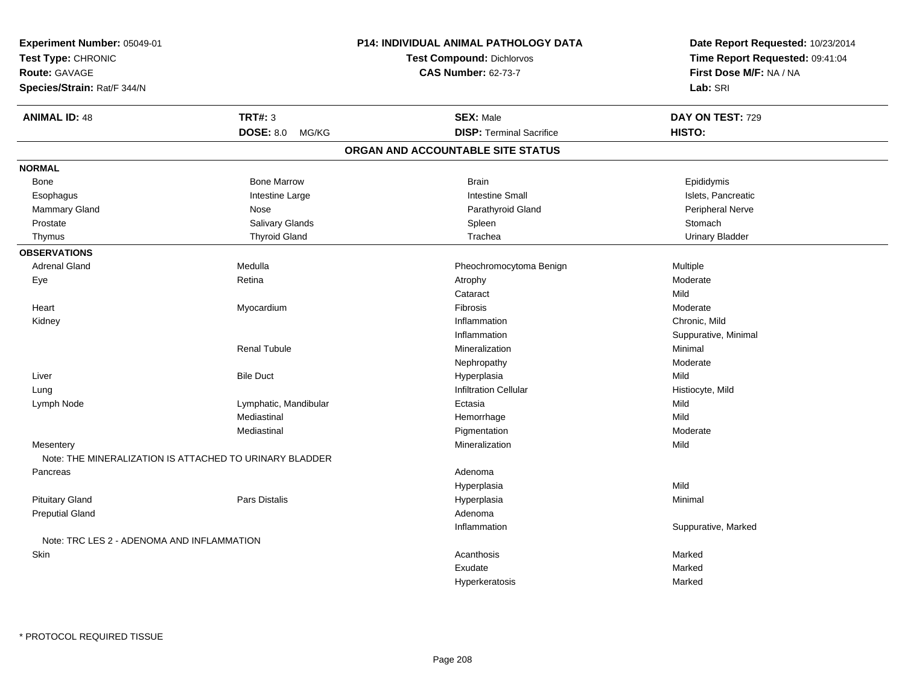| Experiment Number: 05049-01                             |                           | <b>P14: INDIVIDUAL ANIMAL PATHOLOGY DATA</b> | Date Report Requested: 10/23/2014 |  |
|---------------------------------------------------------|---------------------------|----------------------------------------------|-----------------------------------|--|
| Test Type: CHRONIC                                      |                           | <b>Test Compound: Dichlorvos</b>             | Time Report Requested: 09:41:04   |  |
| Route: GAVAGE                                           |                           | <b>CAS Number: 62-73-7</b>                   | First Dose M/F: NA / NA           |  |
| Species/Strain: Rat/F 344/N                             |                           |                                              | Lab: SRI                          |  |
| <b>ANIMAL ID: 48</b>                                    | <b>TRT#: 3</b>            | <b>SEX: Male</b>                             | DAY ON TEST: 729                  |  |
|                                                         | <b>DOSE: 8.0</b><br>MG/KG | <b>DISP: Terminal Sacrifice</b>              | HISTO:                            |  |
|                                                         |                           | ORGAN AND ACCOUNTABLE SITE STATUS            |                                   |  |
| <b>NORMAL</b>                                           |                           |                                              |                                   |  |
| Bone                                                    | <b>Bone Marrow</b>        | <b>Brain</b>                                 | Epididymis                        |  |
| Esophagus                                               | Intestine Large           | <b>Intestine Small</b>                       | Islets, Pancreatic                |  |
| Mammary Gland                                           | Nose                      | Parathyroid Gland                            | Peripheral Nerve                  |  |
| Prostate                                                | Salivary Glands           | Spleen                                       | Stomach                           |  |
| Thymus                                                  | <b>Thyroid Gland</b>      | Trachea                                      | <b>Urinary Bladder</b>            |  |
| <b>OBSERVATIONS</b>                                     |                           |                                              |                                   |  |
| <b>Adrenal Gland</b>                                    | Medulla                   | Pheochromocytoma Benign                      | Multiple                          |  |
| Eye                                                     | Retina                    | Atrophy                                      | Moderate                          |  |
|                                                         |                           | Cataract                                     | Mild                              |  |
| Heart                                                   | Myocardium                | Fibrosis                                     | Moderate                          |  |
| Kidney                                                  |                           | Inflammation                                 | Chronic, Mild                     |  |
|                                                         |                           | Inflammation                                 | Suppurative, Minimal              |  |
|                                                         | <b>Renal Tubule</b>       | Mineralization                               | Minimal                           |  |
|                                                         |                           | Nephropathy                                  | Moderate                          |  |
| Liver                                                   | <b>Bile Duct</b>          | Hyperplasia                                  | Mild                              |  |
| Lung                                                    |                           | <b>Infiltration Cellular</b>                 | Histiocyte, Mild                  |  |
| Lymph Node                                              | Lymphatic, Mandibular     | Ectasia                                      | Mild                              |  |
|                                                         | Mediastinal               | Hemorrhage                                   | Mild                              |  |
|                                                         | Mediastinal               | Pigmentation                                 | Moderate                          |  |
| Mesentery                                               |                           | Mineralization                               | Mild                              |  |
| Note: THE MINERALIZATION IS ATTACHED TO URINARY BLADDER |                           |                                              |                                   |  |
| Pancreas                                                |                           | Adenoma                                      |                                   |  |
|                                                         |                           | Hyperplasia                                  | Mild                              |  |
| <b>Pituitary Gland</b>                                  | Pars Distalis             | Hyperplasia                                  | Minimal                           |  |
| <b>Preputial Gland</b>                                  |                           | Adenoma                                      |                                   |  |
|                                                         |                           | Inflammation                                 | Suppurative, Marked               |  |
| Note: TRC LES 2 - ADENOMA AND INFLAMMATION              |                           |                                              |                                   |  |
| Skin                                                    |                           | Acanthosis                                   | Marked                            |  |
|                                                         |                           | Exudate                                      | Marked                            |  |
|                                                         |                           | Hyperkeratosis                               | Marked                            |  |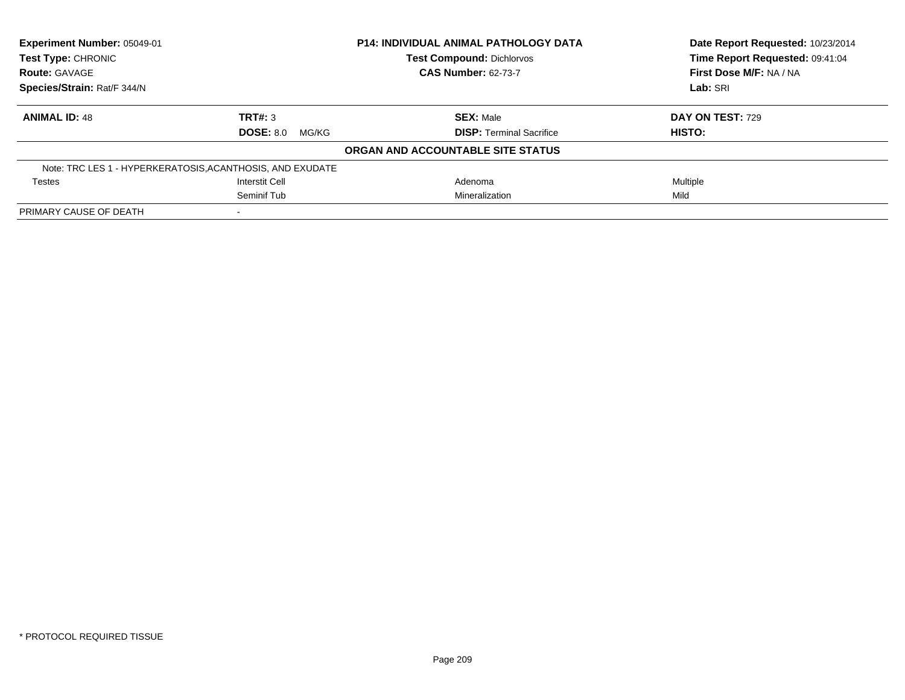| Experiment Number: 05049-01 |                                                           | <b>P14: INDIVIDUAL ANIMAL PATHOLOGY DATA</b> | Date Report Requested: 10/23/2014 |
|-----------------------------|-----------------------------------------------------------|----------------------------------------------|-----------------------------------|
| <b>Test Type: CHRONIC</b>   |                                                           | <b>Test Compound: Dichlorvos</b>             | Time Report Requested: 09:41:04   |
| <b>Route: GAVAGE</b>        |                                                           | <b>CAS Number: 62-73-7</b>                   | First Dose M/F: NA / NA           |
| Species/Strain: Rat/F 344/N |                                                           |                                              | Lab: SRI                          |
| <b>ANIMAL ID: 48</b>        | TRT#: 3                                                   | <b>SEX: Male</b>                             | DAY ON TEST: 729                  |
|                             | $DOSE: 8.0$ MG/KG                                         | <b>DISP: Terminal Sacrifice</b>              | HISTO:                            |
|                             |                                                           | ORGAN AND ACCOUNTABLE SITE STATUS            |                                   |
|                             | Note: TRC LES 1 - HYPERKERATOSIS, ACANTHOSIS, AND EXUDATE |                                              |                                   |
| <b>Testes</b>               | <b>Interstit Cell</b>                                     | Adenoma                                      | Multiple                          |
|                             | Seminif Tub                                               | Mineralization                               | Mild                              |
| PRIMARY CAUSE OF DEATH      |                                                           |                                              |                                   |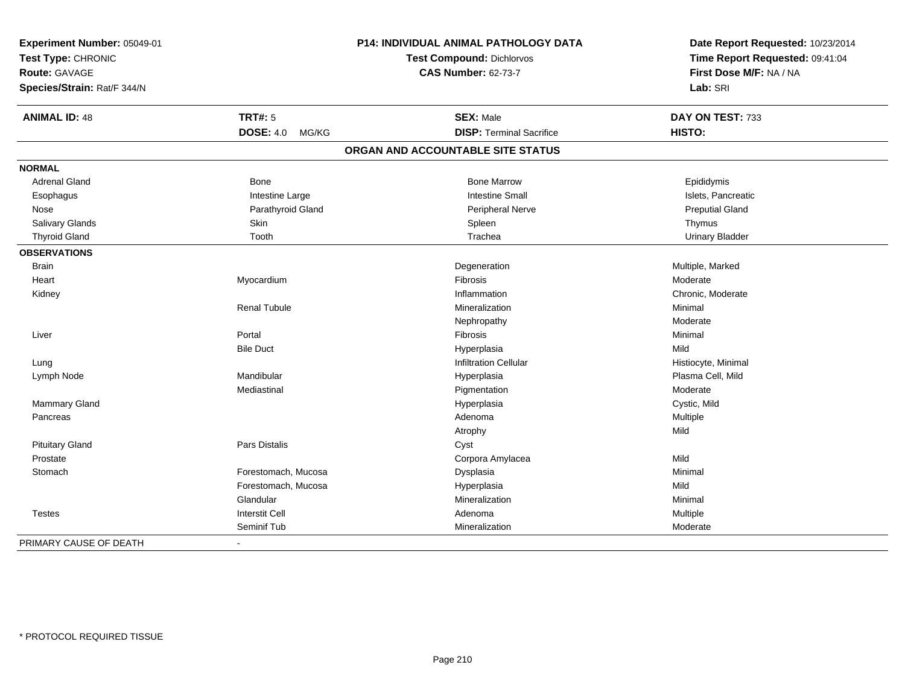| Experiment Number: 05049-01 |                           | P14: INDIVIDUAL ANIMAL PATHOLOGY DATA | Date Report Requested: 10/23/2014 |  |
|-----------------------------|---------------------------|---------------------------------------|-----------------------------------|--|
| Test Type: CHRONIC          |                           | <b>Test Compound: Dichlorvos</b>      | Time Report Requested: 09:41:04   |  |
| <b>Route: GAVAGE</b>        |                           | <b>CAS Number: 62-73-7</b>            | First Dose M/F: NA / NA           |  |
| Species/Strain: Rat/F 344/N |                           |                                       | Lab: SRI                          |  |
| <b>ANIMAL ID: 48</b>        | <b>TRT#: 5</b>            | <b>SEX: Male</b>                      | DAY ON TEST: 733                  |  |
|                             | <b>DOSE: 4.0</b><br>MG/KG | <b>DISP: Terminal Sacrifice</b>       | HISTO:                            |  |
|                             |                           | ORGAN AND ACCOUNTABLE SITE STATUS     |                                   |  |
| <b>NORMAL</b>               |                           |                                       |                                   |  |
| <b>Adrenal Gland</b>        | <b>Bone</b>               | <b>Bone Marrow</b>                    | Epididymis                        |  |
| Esophagus                   | Intestine Large           | <b>Intestine Small</b>                | Islets, Pancreatic                |  |
| Nose                        | Parathyroid Gland         | Peripheral Nerve                      | <b>Preputial Gland</b>            |  |
| Salivary Glands             | Skin                      | Spleen                                | Thymus                            |  |
| <b>Thyroid Gland</b>        | Tooth                     | Trachea                               | <b>Urinary Bladder</b>            |  |
| <b>OBSERVATIONS</b>         |                           |                                       |                                   |  |
| <b>Brain</b>                |                           | Degeneration                          | Multiple, Marked                  |  |
| Heart                       | Myocardium                | Fibrosis                              | Moderate                          |  |
| Kidney                      |                           | Inflammation                          | Chronic, Moderate                 |  |
|                             | <b>Renal Tubule</b>       | Mineralization                        | Minimal                           |  |
|                             |                           | Nephropathy                           | Moderate                          |  |
| Liver                       | Portal                    | Fibrosis                              | Minimal                           |  |
|                             | <b>Bile Duct</b>          | Hyperplasia                           | Mild                              |  |
| Lung                        |                           | <b>Infiltration Cellular</b>          | Histiocyte, Minimal               |  |
| Lymph Node                  | Mandibular                | Hyperplasia                           | Plasma Cell, Mild                 |  |
|                             | Mediastinal               | Pigmentation                          | Moderate                          |  |
| Mammary Gland               |                           | Hyperplasia                           | Cystic, Mild                      |  |
| Pancreas                    |                           | Adenoma                               | Multiple                          |  |
|                             |                           | Atrophy                               | Mild                              |  |
| <b>Pituitary Gland</b>      | Pars Distalis             | Cyst                                  |                                   |  |
| Prostate                    |                           | Corpora Amylacea                      | Mild                              |  |
| Stomach                     | Forestomach, Mucosa       | Dysplasia                             | Minimal                           |  |
|                             | Forestomach, Mucosa       | Hyperplasia                           | Mild                              |  |
|                             | Glandular                 | Mineralization                        | Minimal                           |  |
| <b>Testes</b>               | <b>Interstit Cell</b>     | Adenoma                               | Multiple                          |  |
|                             | Seminif Tub               | Mineralization                        | Moderate                          |  |
| PRIMARY CAUSE OF DEATH      |                           |                                       |                                   |  |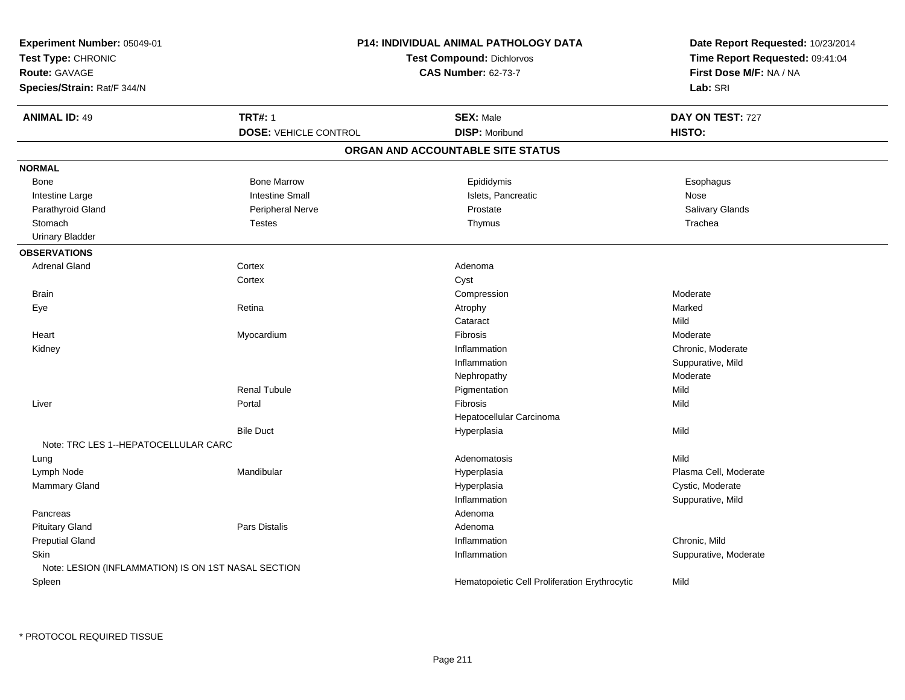| Experiment Number: 05049-01                         |                              | P14: INDIVIDUAL ANIMAL PATHOLOGY DATA         | Date Report Requested: 10/23/2014 |  |
|-----------------------------------------------------|------------------------------|-----------------------------------------------|-----------------------------------|--|
| Test Type: CHRONIC                                  |                              | <b>Test Compound: Dichlorvos</b>              | Time Report Requested: 09:41:04   |  |
| Route: GAVAGE                                       |                              | <b>CAS Number: 62-73-7</b>                    | First Dose M/F: NA / NA           |  |
| Species/Strain: Rat/F 344/N                         |                              |                                               | Lab: SRI                          |  |
| <b>ANIMAL ID: 49</b>                                | <b>TRT#: 1</b>               | <b>SEX: Male</b>                              | DAY ON TEST: 727                  |  |
|                                                     | <b>DOSE: VEHICLE CONTROL</b> | <b>DISP: Moribund</b>                         | HISTO:                            |  |
|                                                     |                              | ORGAN AND ACCOUNTABLE SITE STATUS             |                                   |  |
| <b>NORMAL</b>                                       |                              |                                               |                                   |  |
| Bone                                                | <b>Bone Marrow</b>           | Epididymis                                    | Esophagus                         |  |
| Intestine Large                                     | <b>Intestine Small</b>       | Islets, Pancreatic                            | Nose                              |  |
| Parathyroid Gland                                   | Peripheral Nerve             | Prostate                                      | Salivary Glands                   |  |
| Stomach                                             | <b>Testes</b>                | Thymus                                        | Trachea                           |  |
| <b>Urinary Bladder</b>                              |                              |                                               |                                   |  |
| <b>OBSERVATIONS</b>                                 |                              |                                               |                                   |  |
| <b>Adrenal Gland</b>                                | Cortex                       | Adenoma                                       |                                   |  |
|                                                     | Cortex                       | Cyst                                          |                                   |  |
| <b>Brain</b>                                        |                              | Compression                                   | Moderate                          |  |
| Eye                                                 | Retina                       | Atrophy                                       | Marked                            |  |
|                                                     |                              | Cataract                                      | Mild                              |  |
| Heart                                               | Myocardium                   | Fibrosis                                      | Moderate                          |  |
| Kidney                                              |                              | Inflammation                                  | Chronic, Moderate                 |  |
|                                                     |                              | Inflammation                                  | Suppurative, Mild                 |  |
|                                                     |                              | Nephropathy                                   | Moderate                          |  |
|                                                     | <b>Renal Tubule</b>          | Pigmentation                                  | Mild                              |  |
| Liver                                               | Portal                       | Fibrosis                                      | Mild                              |  |
|                                                     |                              | Hepatocellular Carcinoma                      |                                   |  |
|                                                     | <b>Bile Duct</b>             | Hyperplasia                                   | Mild                              |  |
| Note: TRC LES 1--HEPATOCELLULAR CARC                |                              |                                               |                                   |  |
| Lung                                                |                              | Adenomatosis                                  | Mild                              |  |
| Lymph Node                                          | Mandibular                   | Hyperplasia                                   | Plasma Cell, Moderate             |  |
| Mammary Gland                                       |                              | Hyperplasia                                   | Cystic, Moderate                  |  |
|                                                     |                              | Inflammation                                  | Suppurative, Mild                 |  |
| Pancreas                                            |                              | Adenoma                                       |                                   |  |
| <b>Pituitary Gland</b>                              | Pars Distalis                | Adenoma                                       |                                   |  |
| <b>Preputial Gland</b>                              |                              | Inflammation                                  | Chronic, Mild                     |  |
| <b>Skin</b>                                         |                              | Inflammation                                  | Suppurative, Moderate             |  |
| Note: LESION (INFLAMMATION) IS ON 1ST NASAL SECTION |                              |                                               |                                   |  |
| Spleen                                              |                              | Hematopoietic Cell Proliferation Erythrocytic | Mild                              |  |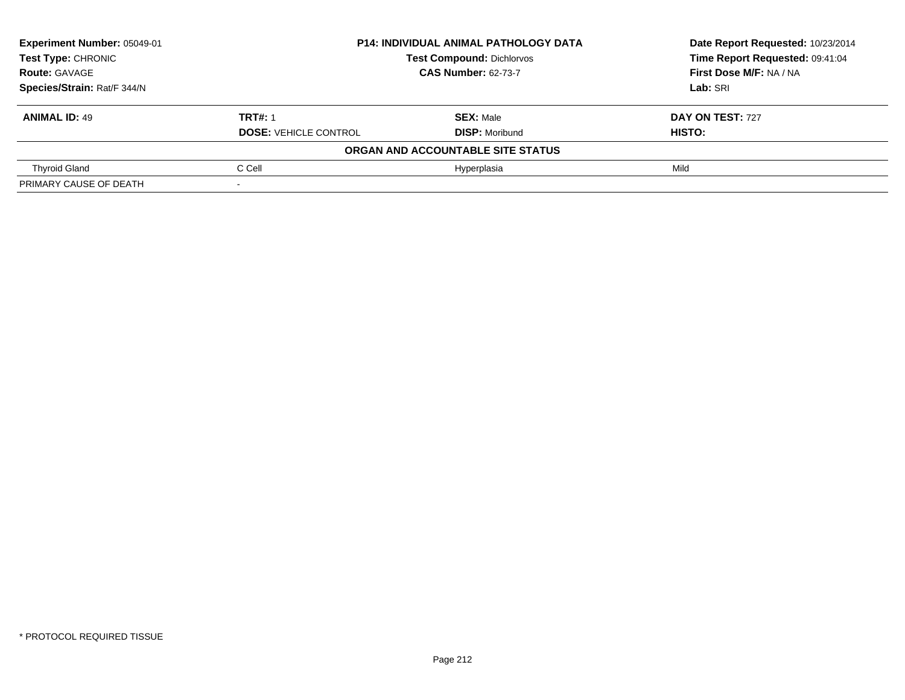| Experiment Number: 05049-01 |                              | <b>P14: INDIVIDUAL ANIMAL PATHOLOGY DATA</b> | Date Report Requested: 10/23/2014 |
|-----------------------------|------------------------------|----------------------------------------------|-----------------------------------|
| <b>Test Type: CHRONIC</b>   |                              | <b>Test Compound: Dichlorvos</b>             | Time Report Requested: 09:41:04   |
| <b>Route: GAVAGE</b>        | <b>CAS Number: 62-73-7</b>   |                                              | First Dose M/F: NA / NA           |
| Species/Strain: Rat/F 344/N |                              |                                              | Lab: SRI                          |
| <b>ANIMAL ID: 49</b>        | <b>TRT#: 1</b>               | <b>SEX: Male</b>                             | DAY ON TEST: 727                  |
|                             | <b>DOSE: VEHICLE CONTROL</b> | <b>DISP: Moribund</b>                        | <b>HISTO:</b>                     |
|                             |                              | ORGAN AND ACCOUNTABLE SITE STATUS            |                                   |
| <b>Thyroid Gland</b>        | C Cell                       | Hyperplasia                                  | Mild                              |
| PRIMARY CAUSE OF DEATH      |                              |                                              |                                   |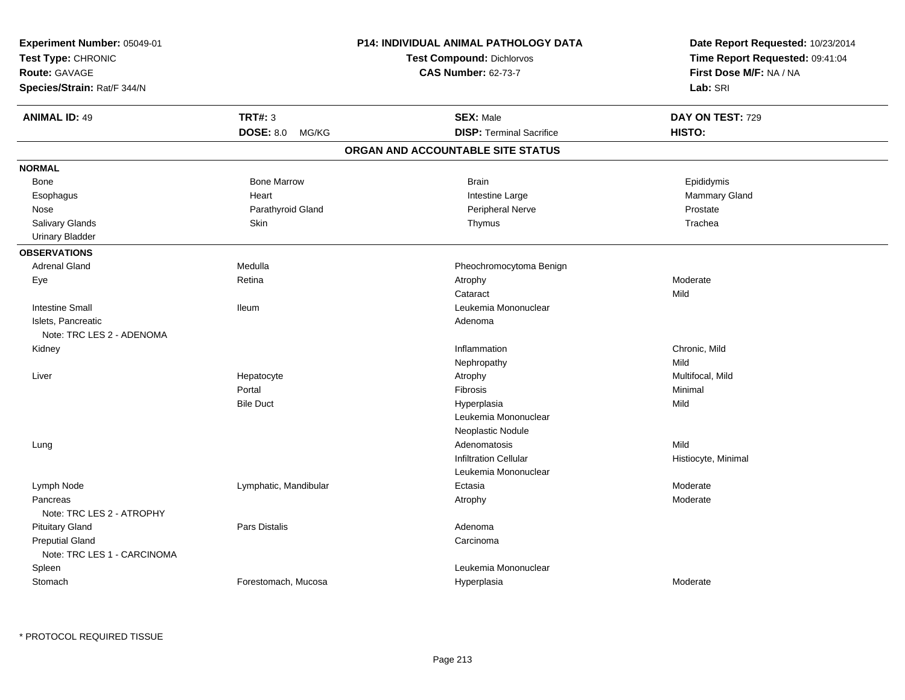| Test Type: CHRONIC<br>Route: GAVAGE<br>Species/Strain: Rat/F 344/N<br><b>TRT#: 3</b><br><b>ANIMAL ID: 49</b><br>DOSE: 8.0 MG/KG<br><b>NORMAL</b><br><b>Bone Marrow</b><br><b>Bone</b><br>Heart<br>Esophagus<br>Parathyroid Gland<br>Nose<br>Salivary Glands<br>Skin<br><b>Urinary Bladder</b><br><b>OBSERVATIONS</b><br><b>Adrenal Gland</b><br>Medulla<br>Retina<br>Eye<br><b>Intestine Small</b><br><b>Ileum</b><br>Islets, Pancreatic<br>Note: TRC LES 2 - ADENOMA<br>Kidney<br>Hepatocyte<br>Liver<br>Portal<br><b>Bile Duct</b> | Test Compound: Dichlorvos<br><b>CAS Number: 62-73-7</b><br><b>SEX: Male</b><br><b>DISP: Terminal Sacrifice</b><br>ORGAN AND ACCOUNTABLE SITE STATUS<br><b>Brain</b><br>Intestine Large<br>Peripheral Nerve<br>Thymus<br>Pheochromocytoma Benign<br>Atrophy<br>Cataract<br>Leukemia Mononuclear<br>Adenoma | Time Report Requested: 09:41:04<br>First Dose M/F: NA / NA<br>Lab: SRI<br>DAY ON TEST: 729<br>HISTO:<br>Epididymis<br>Mammary Gland<br>Prostate<br>Trachea<br>Moderate<br>Mild |
|--------------------------------------------------------------------------------------------------------------------------------------------------------------------------------------------------------------------------------------------------------------------------------------------------------------------------------------------------------------------------------------------------------------------------------------------------------------------------------------------------------------------------------------|-----------------------------------------------------------------------------------------------------------------------------------------------------------------------------------------------------------------------------------------------------------------------------------------------------------|--------------------------------------------------------------------------------------------------------------------------------------------------------------------------------|
|                                                                                                                                                                                                                                                                                                                                                                                                                                                                                                                                      |                                                                                                                                                                                                                                                                                                           |                                                                                                                                                                                |
|                                                                                                                                                                                                                                                                                                                                                                                                                                                                                                                                      |                                                                                                                                                                                                                                                                                                           |                                                                                                                                                                                |
|                                                                                                                                                                                                                                                                                                                                                                                                                                                                                                                                      |                                                                                                                                                                                                                                                                                                           |                                                                                                                                                                                |
|                                                                                                                                                                                                                                                                                                                                                                                                                                                                                                                                      |                                                                                                                                                                                                                                                                                                           |                                                                                                                                                                                |
|                                                                                                                                                                                                                                                                                                                                                                                                                                                                                                                                      |                                                                                                                                                                                                                                                                                                           |                                                                                                                                                                                |
|                                                                                                                                                                                                                                                                                                                                                                                                                                                                                                                                      |                                                                                                                                                                                                                                                                                                           |                                                                                                                                                                                |
|                                                                                                                                                                                                                                                                                                                                                                                                                                                                                                                                      |                                                                                                                                                                                                                                                                                                           |                                                                                                                                                                                |
|                                                                                                                                                                                                                                                                                                                                                                                                                                                                                                                                      |                                                                                                                                                                                                                                                                                                           |                                                                                                                                                                                |
|                                                                                                                                                                                                                                                                                                                                                                                                                                                                                                                                      |                                                                                                                                                                                                                                                                                                           |                                                                                                                                                                                |
|                                                                                                                                                                                                                                                                                                                                                                                                                                                                                                                                      |                                                                                                                                                                                                                                                                                                           |                                                                                                                                                                                |
|                                                                                                                                                                                                                                                                                                                                                                                                                                                                                                                                      |                                                                                                                                                                                                                                                                                                           |                                                                                                                                                                                |
|                                                                                                                                                                                                                                                                                                                                                                                                                                                                                                                                      |                                                                                                                                                                                                                                                                                                           |                                                                                                                                                                                |
|                                                                                                                                                                                                                                                                                                                                                                                                                                                                                                                                      |                                                                                                                                                                                                                                                                                                           |                                                                                                                                                                                |
|                                                                                                                                                                                                                                                                                                                                                                                                                                                                                                                                      |                                                                                                                                                                                                                                                                                                           |                                                                                                                                                                                |
|                                                                                                                                                                                                                                                                                                                                                                                                                                                                                                                                      |                                                                                                                                                                                                                                                                                                           |                                                                                                                                                                                |
|                                                                                                                                                                                                                                                                                                                                                                                                                                                                                                                                      |                                                                                                                                                                                                                                                                                                           |                                                                                                                                                                                |
|                                                                                                                                                                                                                                                                                                                                                                                                                                                                                                                                      |                                                                                                                                                                                                                                                                                                           |                                                                                                                                                                                |
|                                                                                                                                                                                                                                                                                                                                                                                                                                                                                                                                      |                                                                                                                                                                                                                                                                                                           |                                                                                                                                                                                |
|                                                                                                                                                                                                                                                                                                                                                                                                                                                                                                                                      |                                                                                                                                                                                                                                                                                                           |                                                                                                                                                                                |
|                                                                                                                                                                                                                                                                                                                                                                                                                                                                                                                                      | Inflammation                                                                                                                                                                                                                                                                                              | Chronic, Mild                                                                                                                                                                  |
|                                                                                                                                                                                                                                                                                                                                                                                                                                                                                                                                      | Nephropathy                                                                                                                                                                                                                                                                                               | Mild                                                                                                                                                                           |
|                                                                                                                                                                                                                                                                                                                                                                                                                                                                                                                                      | Atrophy                                                                                                                                                                                                                                                                                                   | Multifocal, Mild                                                                                                                                                               |
|                                                                                                                                                                                                                                                                                                                                                                                                                                                                                                                                      | Fibrosis                                                                                                                                                                                                                                                                                                  | Minimal                                                                                                                                                                        |
|                                                                                                                                                                                                                                                                                                                                                                                                                                                                                                                                      | Hyperplasia                                                                                                                                                                                                                                                                                               | Mild                                                                                                                                                                           |
|                                                                                                                                                                                                                                                                                                                                                                                                                                                                                                                                      | Leukemia Mononuclear                                                                                                                                                                                                                                                                                      |                                                                                                                                                                                |
|                                                                                                                                                                                                                                                                                                                                                                                                                                                                                                                                      | Neoplastic Nodule                                                                                                                                                                                                                                                                                         |                                                                                                                                                                                |
| Lung                                                                                                                                                                                                                                                                                                                                                                                                                                                                                                                                 | Adenomatosis                                                                                                                                                                                                                                                                                              | Mild                                                                                                                                                                           |
|                                                                                                                                                                                                                                                                                                                                                                                                                                                                                                                                      | <b>Infiltration Cellular</b>                                                                                                                                                                                                                                                                              | Histiocyte, Minimal                                                                                                                                                            |
|                                                                                                                                                                                                                                                                                                                                                                                                                                                                                                                                      | Leukemia Mononuclear                                                                                                                                                                                                                                                                                      |                                                                                                                                                                                |
| Lymph Node<br>Lymphatic, Mandibular                                                                                                                                                                                                                                                                                                                                                                                                                                                                                                  | Ectasia                                                                                                                                                                                                                                                                                                   | Moderate                                                                                                                                                                       |
| Pancreas<br>Note: TRC LES 2 - ATROPHY                                                                                                                                                                                                                                                                                                                                                                                                                                                                                                | Atrophy                                                                                                                                                                                                                                                                                                   | Moderate                                                                                                                                                                       |
| <b>Pituitary Gland</b><br><b>Pars Distalis</b>                                                                                                                                                                                                                                                                                                                                                                                                                                                                                       | Adenoma                                                                                                                                                                                                                                                                                                   |                                                                                                                                                                                |
| <b>Preputial Gland</b>                                                                                                                                                                                                                                                                                                                                                                                                                                                                                                               | Carcinoma                                                                                                                                                                                                                                                                                                 |                                                                                                                                                                                |
| Note: TRC LES 1 - CARCINOMA                                                                                                                                                                                                                                                                                                                                                                                                                                                                                                          |                                                                                                                                                                                                                                                                                                           |                                                                                                                                                                                |
| Spleen                                                                                                                                                                                                                                                                                                                                                                                                                                                                                                                               | Leukemia Mononuclear                                                                                                                                                                                                                                                                                      |                                                                                                                                                                                |
| Stomach<br>Forestomach, Mucosa                                                                                                                                                                                                                                                                                                                                                                                                                                                                                                       | Hyperplasia                                                                                                                                                                                                                                                                                               | Moderate                                                                                                                                                                       |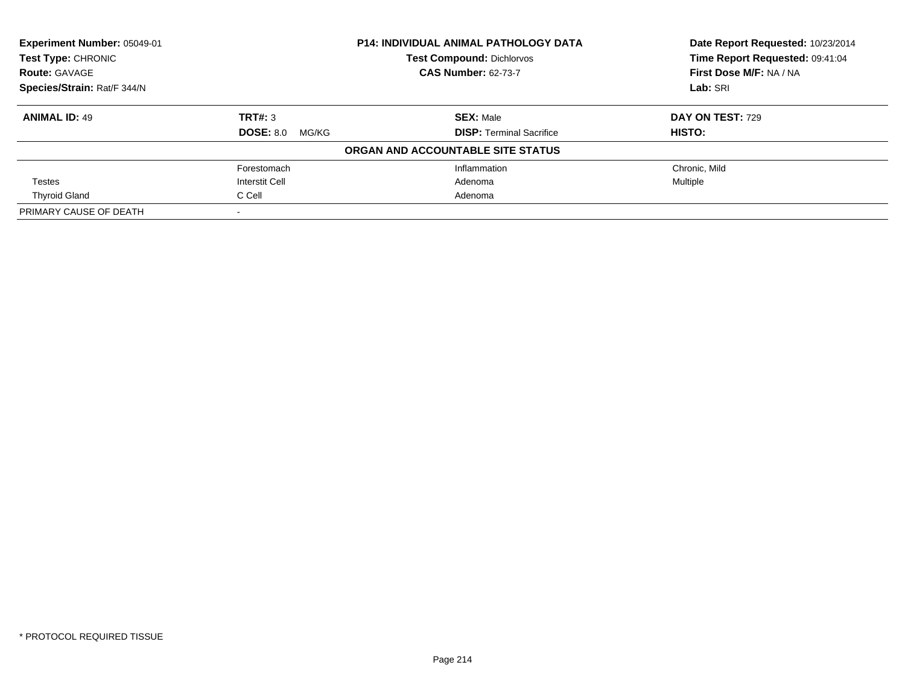| Experiment Number: 05049-01 |                                  | P14: INDIVIDUAL ANIMAL PATHOLOGY DATA | Date Report Requested: 10/23/2014 |
|-----------------------------|----------------------------------|---------------------------------------|-----------------------------------|
| Test Type: CHRONIC          | <b>Test Compound: Dichlorvos</b> |                                       | Time Report Requested: 09:41:04   |
| <b>Route: GAVAGE</b>        |                                  | <b>CAS Number: 62-73-7</b>            | First Dose M/F: NA / NA           |
| Species/Strain: Rat/F 344/N |                                  |                                       | Lab: SRI                          |
| <b>ANIMAL ID: 49</b>        | TRT#: 3                          | <b>SEX: Male</b>                      | <b>DAY ON TEST: 729</b>           |
|                             | <b>DOSE: 8.0</b><br>MG/KG        | <b>DISP:</b> Terminal Sacrifice       | HISTO:                            |
|                             |                                  | ORGAN AND ACCOUNTABLE SITE STATUS     |                                   |
|                             | Forestomach                      | Inflammation                          | Chronic. Mild                     |
| Testes                      | Interstit Cell                   | Adenoma                               | Multiple                          |
| <b>Thyroid Gland</b>        | C Cell                           | Adenoma                               |                                   |
| PRIMARY CAUSE OF DEATH      |                                  |                                       |                                   |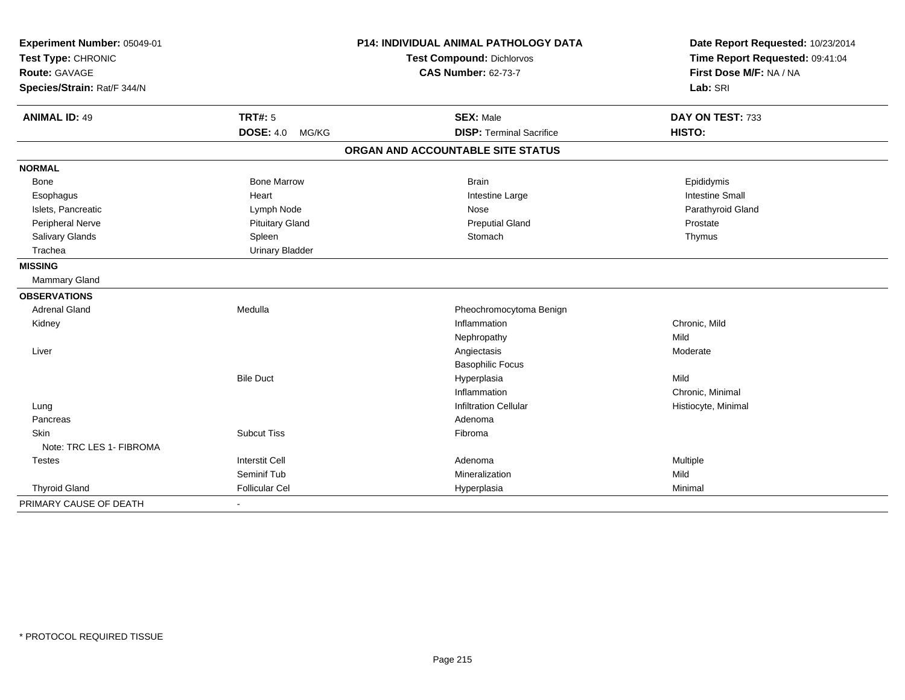| Experiment Number: 05049-01 |                           | P14: INDIVIDUAL ANIMAL PATHOLOGY DATA | Date Report Requested: 10/23/2014 |
|-----------------------------|---------------------------|---------------------------------------|-----------------------------------|
| Test Type: CHRONIC          |                           | <b>Test Compound: Dichlorvos</b>      | Time Report Requested: 09:41:04   |
| <b>Route: GAVAGE</b>        |                           | <b>CAS Number: 62-73-7</b>            | First Dose M/F: NA / NA           |
| Species/Strain: Rat/F 344/N |                           |                                       | Lab: SRI                          |
| <b>ANIMAL ID: 49</b>        | <b>TRT#: 5</b>            | <b>SEX: Male</b>                      | DAY ON TEST: 733                  |
|                             | <b>DOSE: 4.0</b><br>MG/KG | <b>DISP: Terminal Sacrifice</b>       | HISTO:                            |
|                             |                           | ORGAN AND ACCOUNTABLE SITE STATUS     |                                   |
| <b>NORMAL</b>               |                           |                                       |                                   |
| Bone                        | <b>Bone Marrow</b>        | <b>Brain</b>                          | Epididymis                        |
| Esophagus                   | Heart                     | Intestine Large                       | <b>Intestine Small</b>            |
| Islets, Pancreatic          | Lymph Node                | Nose                                  | Parathyroid Gland                 |
| <b>Peripheral Nerve</b>     | <b>Pituitary Gland</b>    | <b>Preputial Gland</b>                | Prostate                          |
| Salivary Glands             | Spleen                    | Stomach                               | Thymus                            |
| Trachea                     | <b>Urinary Bladder</b>    |                                       |                                   |
| <b>MISSING</b>              |                           |                                       |                                   |
| <b>Mammary Gland</b>        |                           |                                       |                                   |
| <b>OBSERVATIONS</b>         |                           |                                       |                                   |
| <b>Adrenal Gland</b>        | Medulla                   | Pheochromocytoma Benign               |                                   |
| Kidney                      |                           | Inflammation                          | Chronic, Mild                     |
|                             |                           | Nephropathy                           | Mild                              |
| Liver                       |                           | Angiectasis                           | Moderate                          |
|                             |                           | <b>Basophilic Focus</b>               |                                   |
|                             | <b>Bile Duct</b>          | Hyperplasia                           | Mild                              |
|                             |                           | Inflammation                          | Chronic, Minimal                  |
| Lung                        |                           | <b>Infiltration Cellular</b>          | Histiocyte, Minimal               |
| Pancreas                    |                           | Adenoma                               |                                   |
| <b>Skin</b>                 | <b>Subcut Tiss</b>        | Fibroma                               |                                   |
| Note: TRC LES 1- FIBROMA    |                           |                                       |                                   |
| <b>Testes</b>               | <b>Interstit Cell</b>     | Adenoma                               | Multiple                          |
|                             | Seminif Tub               | Mineralization                        | Mild                              |
| <b>Thyroid Gland</b>        | <b>Follicular Cel</b>     | Hyperplasia                           | Minimal                           |
| PRIMARY CAUSE OF DEATH      |                           |                                       |                                   |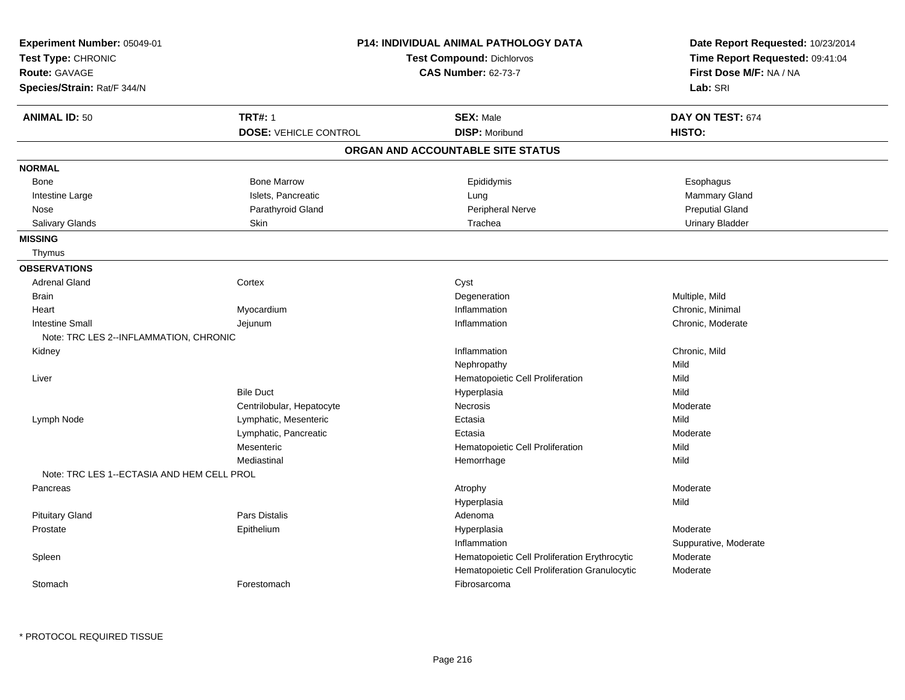| Experiment Number: 05049-01                | <b>P14: INDIVIDUAL ANIMAL PATHOLOGY DATA</b> |                                               | Date Report Requested: 10/23/2014                          |  |
|--------------------------------------------|----------------------------------------------|-----------------------------------------------|------------------------------------------------------------|--|
| Test Type: CHRONIC                         |                                              | <b>Test Compound: Dichlorvos</b>              | Time Report Requested: 09:41:04<br>First Dose M/F: NA / NA |  |
| <b>Route: GAVAGE</b>                       |                                              | <b>CAS Number: 62-73-7</b>                    |                                                            |  |
| Species/Strain: Rat/F 344/N                |                                              |                                               | Lab: SRI                                                   |  |
| <b>ANIMAL ID: 50</b>                       | <b>TRT#: 1</b>                               | <b>SEX: Male</b>                              | DAY ON TEST: 674                                           |  |
|                                            | <b>DOSE: VEHICLE CONTROL</b>                 | <b>DISP: Moribund</b>                         | HISTO:                                                     |  |
|                                            |                                              | ORGAN AND ACCOUNTABLE SITE STATUS             |                                                            |  |
| <b>NORMAL</b>                              |                                              |                                               |                                                            |  |
| <b>Bone</b>                                | <b>Bone Marrow</b>                           | Epididymis                                    | Esophagus                                                  |  |
| Intestine Large                            | Islets, Pancreatic                           | Lung                                          | <b>Mammary Gland</b>                                       |  |
| Nose                                       | Parathyroid Gland                            | Peripheral Nerve                              | <b>Preputial Gland</b>                                     |  |
| Salivary Glands                            | Skin                                         | Trachea                                       | <b>Urinary Bladder</b>                                     |  |
| <b>MISSING</b>                             |                                              |                                               |                                                            |  |
| Thymus                                     |                                              |                                               |                                                            |  |
| <b>OBSERVATIONS</b>                        |                                              |                                               |                                                            |  |
| <b>Adrenal Gland</b>                       | Cortex                                       | Cyst                                          |                                                            |  |
| <b>Brain</b>                               |                                              | Degeneration                                  | Multiple, Mild                                             |  |
| Heart                                      | Myocardium                                   | Inflammation                                  | Chronic, Minimal                                           |  |
| <b>Intestine Small</b>                     | Jejunum                                      | Inflammation                                  | Chronic, Moderate                                          |  |
| Note: TRC LES 2--INFLAMMATION, CHRONIC     |                                              |                                               |                                                            |  |
| Kidney                                     |                                              | Inflammation                                  | Chronic, Mild                                              |  |
|                                            |                                              | Nephropathy                                   | Mild                                                       |  |
| Liver                                      |                                              | Hematopoietic Cell Proliferation              | Mild                                                       |  |
|                                            | <b>Bile Duct</b>                             | Hyperplasia                                   | Mild                                                       |  |
|                                            | Centrilobular, Hepatocyte                    | Necrosis                                      | Moderate                                                   |  |
| Lymph Node                                 | Lymphatic, Mesenteric                        | Ectasia                                       | Mild                                                       |  |
|                                            | Lymphatic, Pancreatic                        | Ectasia                                       | Moderate                                                   |  |
|                                            | Mesenteric                                   | Hematopoietic Cell Proliferation              | Mild                                                       |  |
|                                            | Mediastinal                                  | Hemorrhage                                    | Mild                                                       |  |
| Note: TRC LES 1--ECTASIA AND HEM CELL PROL |                                              |                                               |                                                            |  |
| Pancreas                                   |                                              | Atrophy                                       | Moderate                                                   |  |
|                                            |                                              | Hyperplasia                                   | Mild                                                       |  |
| <b>Pituitary Gland</b>                     | <b>Pars Distalis</b>                         | Adenoma                                       |                                                            |  |
| Prostate                                   | Epithelium                                   | Hyperplasia                                   | Moderate                                                   |  |
|                                            |                                              | Inflammation                                  | Suppurative, Moderate                                      |  |
| Spleen                                     |                                              | Hematopoietic Cell Proliferation Erythrocytic | Moderate                                                   |  |
|                                            |                                              | Hematopoietic Cell Proliferation Granulocytic | Moderate                                                   |  |
| Stomach                                    | Forestomach                                  | Fibrosarcoma                                  |                                                            |  |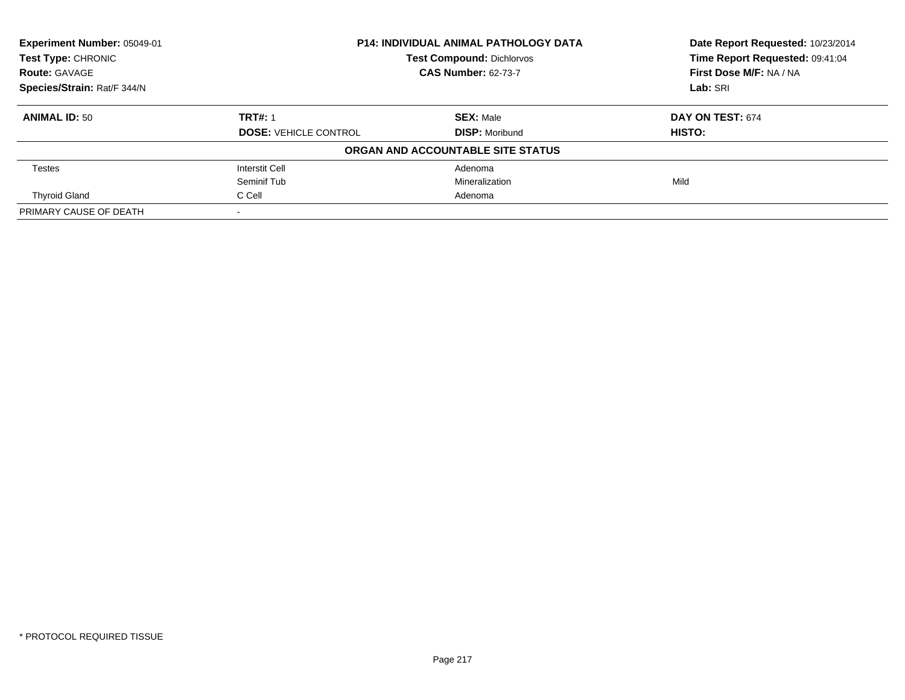| Experiment Number: 05049-01 | <b>P14: INDIVIDUAL ANIMAL PATHOLOGY DATA</b><br><b>Test Compound: Dichlorvos</b> |                                   | Date Report Requested: 10/23/2014 |
|-----------------------------|----------------------------------------------------------------------------------|-----------------------------------|-----------------------------------|
| <b>Test Type: CHRONIC</b>   |                                                                                  |                                   | Time Report Requested: 09:41:04   |
| <b>Route: GAVAGE</b>        |                                                                                  | <b>CAS Number: 62-73-7</b>        | First Dose M/F: NA / NA           |
| Species/Strain: Rat/F 344/N |                                                                                  |                                   | Lab: SRI                          |
| <b>ANIMAL ID: 50</b>        | <b>TRT#: 1</b>                                                                   | <b>SEX: Male</b>                  | DAY ON TEST: 674                  |
|                             | <b>DOSE: VEHICLE CONTROL</b>                                                     | <b>DISP: Moribund</b>             | HISTO:                            |
|                             |                                                                                  | ORGAN AND ACCOUNTABLE SITE STATUS |                                   |
| <b>Testes</b>               | Interstit Cell                                                                   | Adenoma                           |                                   |
|                             | Seminif Tub                                                                      | Mineralization                    | Mild                              |
| <b>Thyroid Gland</b>        | C Cell                                                                           | Adenoma                           |                                   |
| PRIMARY CAUSE OF DEATH      |                                                                                  |                                   |                                   |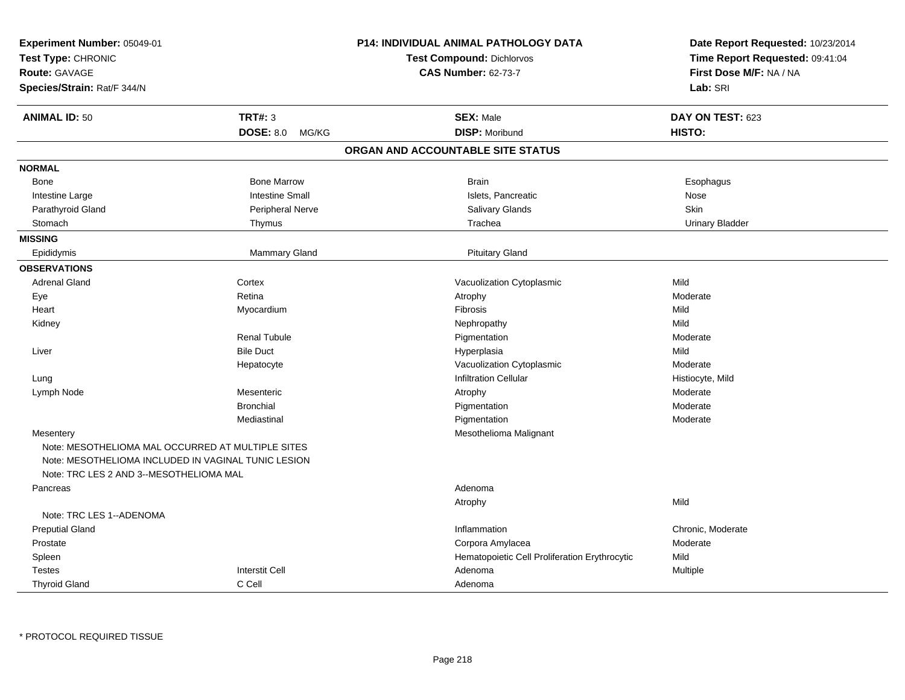| Experiment Number: 05049-01<br>Test Type: CHRONIC<br><b>Route: GAVAGE</b><br>Species/Strain: Rat/F 344/N |                           | <b>P14: INDIVIDUAL ANIMAL PATHOLOGY DATA</b><br><b>Test Compound: Dichlorvos</b><br><b>CAS Number: 62-73-7</b> | Date Report Requested: 10/23/2014<br>Time Report Requested: 09:41:04<br>First Dose M/F: NA / NA<br>Lab: SRI |
|----------------------------------------------------------------------------------------------------------|---------------------------|----------------------------------------------------------------------------------------------------------------|-------------------------------------------------------------------------------------------------------------|
| <b>ANIMAL ID: 50</b>                                                                                     | <b>TRT#: 3</b>            | <b>SEX: Male</b>                                                                                               | DAY ON TEST: 623                                                                                            |
|                                                                                                          | <b>DOSE: 8.0</b><br>MG/KG | <b>DISP: Moribund</b>                                                                                          | HISTO:                                                                                                      |
|                                                                                                          |                           | ORGAN AND ACCOUNTABLE SITE STATUS                                                                              |                                                                                                             |
| <b>NORMAL</b>                                                                                            |                           |                                                                                                                |                                                                                                             |
| Bone                                                                                                     | <b>Bone Marrow</b>        | <b>Brain</b>                                                                                                   | Esophagus                                                                                                   |
| Intestine Large                                                                                          | <b>Intestine Small</b>    | Islets, Pancreatic                                                                                             | Nose                                                                                                        |
| Parathyroid Gland                                                                                        | Peripheral Nerve          | Salivary Glands                                                                                                | <b>Skin</b>                                                                                                 |
| Stomach                                                                                                  | Thymus                    | Trachea                                                                                                        | <b>Urinary Bladder</b>                                                                                      |
| <b>MISSING</b>                                                                                           |                           |                                                                                                                |                                                                                                             |
| Epididymis                                                                                               | Mammary Gland             | <b>Pituitary Gland</b>                                                                                         |                                                                                                             |
| <b>OBSERVATIONS</b>                                                                                      |                           |                                                                                                                |                                                                                                             |
| <b>Adrenal Gland</b>                                                                                     | Cortex                    | Vacuolization Cytoplasmic                                                                                      | Mild                                                                                                        |
| Eye                                                                                                      | Retina                    | Atrophy                                                                                                        | Moderate                                                                                                    |
| Heart                                                                                                    | Myocardium                | Fibrosis                                                                                                       | Mild                                                                                                        |
| Kidney                                                                                                   |                           | Nephropathy                                                                                                    | Mild                                                                                                        |
|                                                                                                          | <b>Renal Tubule</b>       | Pigmentation                                                                                                   | Moderate                                                                                                    |
| Liver                                                                                                    | <b>Bile Duct</b>          | Hyperplasia                                                                                                    | Mild                                                                                                        |
|                                                                                                          | Hepatocyte                | Vacuolization Cytoplasmic                                                                                      | Moderate                                                                                                    |
| Lung                                                                                                     |                           | <b>Infiltration Cellular</b>                                                                                   | Histiocyte, Mild                                                                                            |
| Lymph Node                                                                                               | Mesenteric                | Atrophy                                                                                                        | Moderate                                                                                                    |
|                                                                                                          | <b>Bronchial</b>          | Pigmentation                                                                                                   | Moderate                                                                                                    |
|                                                                                                          | Mediastinal               | Pigmentation                                                                                                   | Moderate                                                                                                    |
| Mesentery                                                                                                |                           | Mesothelioma Malignant                                                                                         |                                                                                                             |
| Note: MESOTHELIOMA MAL OCCURRED AT MULTIPLE SITES                                                        |                           |                                                                                                                |                                                                                                             |
| Note: MESOTHELIOMA INCLUDED IN VAGINAL TUNIC LESION                                                      |                           |                                                                                                                |                                                                                                             |
| Note: TRC LES 2 AND 3--MESOTHELIOMA MAL                                                                  |                           |                                                                                                                |                                                                                                             |
| Pancreas                                                                                                 |                           | Adenoma                                                                                                        |                                                                                                             |
|                                                                                                          |                           | Atrophy                                                                                                        | Mild                                                                                                        |
| Note: TRC LES 1--ADENOMA                                                                                 |                           |                                                                                                                |                                                                                                             |
| <b>Preputial Gland</b>                                                                                   |                           | Inflammation                                                                                                   | Chronic, Moderate                                                                                           |
| Prostate                                                                                                 |                           | Corpora Amylacea                                                                                               | Moderate                                                                                                    |
| Spleen                                                                                                   |                           | Hematopoietic Cell Proliferation Erythrocytic                                                                  | Mild                                                                                                        |
| <b>Testes</b>                                                                                            | <b>Interstit Cell</b>     | Adenoma                                                                                                        | Multiple                                                                                                    |
| <b>Thyroid Gland</b>                                                                                     | C Cell                    | Adenoma                                                                                                        |                                                                                                             |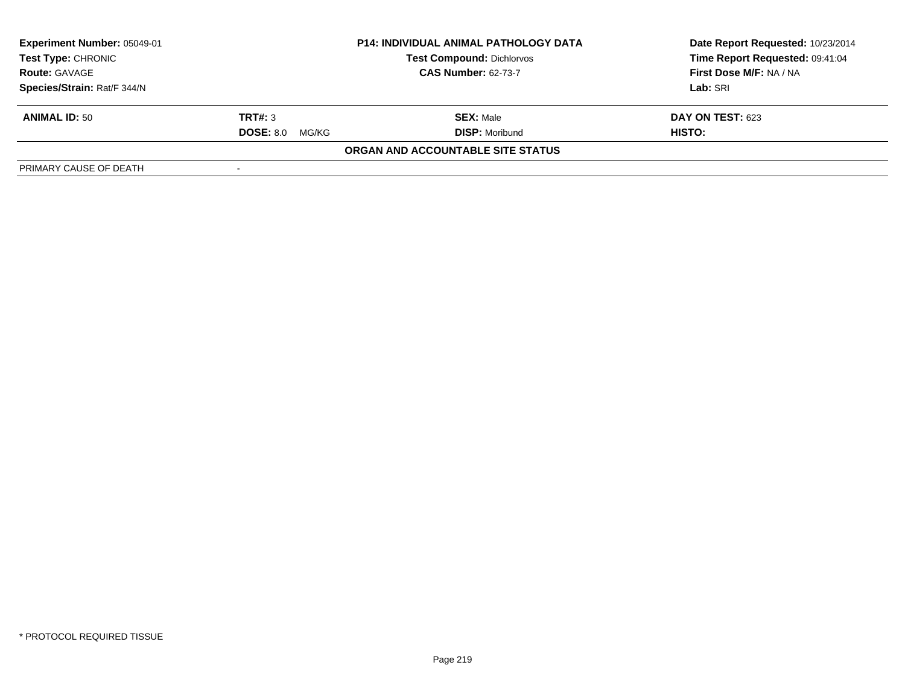| Experiment Number: 05049-01                        | <b>P14: INDIVIDUAL ANIMAL PATHOLOGY DATA</b> |                                   | Date Report Requested: 10/23/2014 |
|----------------------------------------------------|----------------------------------------------|-----------------------------------|-----------------------------------|
| <b>Test Type: CHRONIC</b>                          |                                              | <b>Test Compound: Dichlorvos</b>  | Time Report Requested: 09:41:04   |
| <b>CAS Number: 62-73-7</b><br><b>Route: GAVAGE</b> |                                              | First Dose M/F: NA / NA           |                                   |
| Species/Strain: Rat/F 344/N                        |                                              |                                   | Lab: SRI                          |
| <b>ANIMAL ID: 50</b>                               | TRT#: 3                                      | <b>SEX: Male</b>                  | <b>DAY ON TEST: 623</b>           |
|                                                    | <b>DOSE: 8.0</b><br>MG/KG                    | <b>DISP: Moribund</b>             | <b>HISTO:</b>                     |
|                                                    |                                              | ORGAN AND ACCOUNTABLE SITE STATUS |                                   |
| PRIMARY CAUSE OF DEATH                             |                                              |                                   |                                   |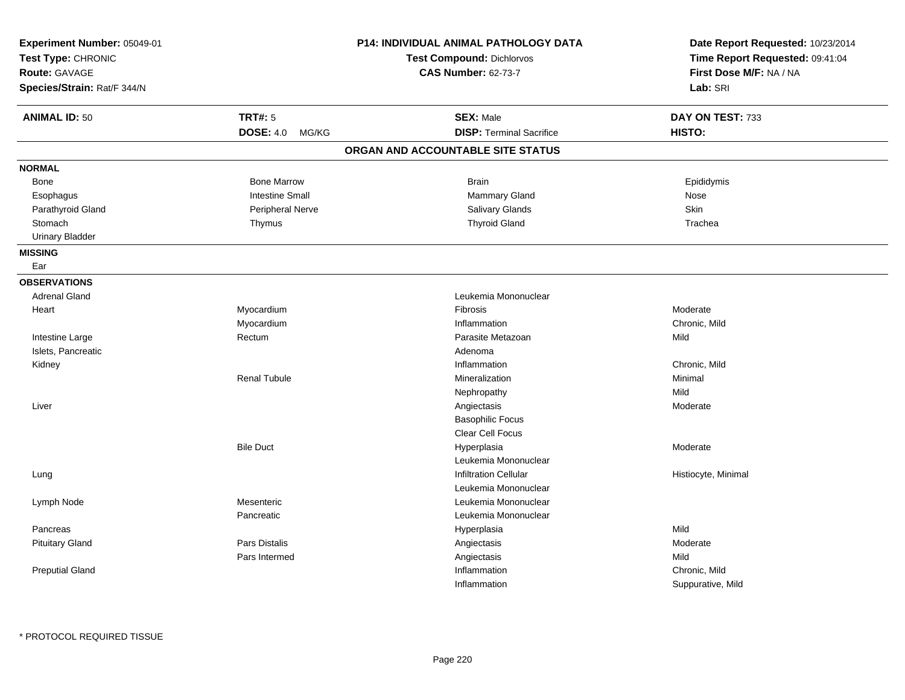| Experiment Number: 05049-01<br>Test Type: CHRONIC<br><b>Route: GAVAGE</b><br>Species/Strain: Rat/F 344/N |                           | P14: INDIVIDUAL ANIMAL PATHOLOGY DATA<br>Test Compound: Dichlorvos<br><b>CAS Number: 62-73-7</b> | Date Report Requested: 10/23/2014<br>Time Report Requested: 09:41:04<br>First Dose M/F: NA / NA<br>Lab: SRI |
|----------------------------------------------------------------------------------------------------------|---------------------------|--------------------------------------------------------------------------------------------------|-------------------------------------------------------------------------------------------------------------|
| <b>ANIMAL ID: 50</b>                                                                                     | <b>TRT#: 5</b>            | <b>SEX: Male</b>                                                                                 | DAY ON TEST: 733                                                                                            |
|                                                                                                          | <b>DOSE: 4.0</b><br>MG/KG | <b>DISP: Terminal Sacrifice</b>                                                                  | HISTO:                                                                                                      |
|                                                                                                          |                           | ORGAN AND ACCOUNTABLE SITE STATUS                                                                |                                                                                                             |
| <b>NORMAL</b>                                                                                            |                           |                                                                                                  |                                                                                                             |
| Bone                                                                                                     | <b>Bone Marrow</b>        | <b>Brain</b>                                                                                     | Epididymis                                                                                                  |
| Esophagus                                                                                                | <b>Intestine Small</b>    | Mammary Gland                                                                                    | Nose                                                                                                        |
| Parathyroid Gland                                                                                        | <b>Peripheral Nerve</b>   | Salivary Glands                                                                                  | Skin                                                                                                        |
| Stomach                                                                                                  | Thymus                    | <b>Thyroid Gland</b>                                                                             | Trachea                                                                                                     |
| <b>Urinary Bladder</b>                                                                                   |                           |                                                                                                  |                                                                                                             |
| <b>MISSING</b>                                                                                           |                           |                                                                                                  |                                                                                                             |
| Ear                                                                                                      |                           |                                                                                                  |                                                                                                             |
| <b>OBSERVATIONS</b>                                                                                      |                           |                                                                                                  |                                                                                                             |
| <b>Adrenal Gland</b>                                                                                     |                           | Leukemia Mononuclear                                                                             |                                                                                                             |
| Heart                                                                                                    | Myocardium                | Fibrosis                                                                                         | Moderate                                                                                                    |
|                                                                                                          | Myocardium                | Inflammation                                                                                     | Chronic, Mild                                                                                               |
| Intestine Large                                                                                          | Rectum                    | Parasite Metazoan                                                                                | Mild                                                                                                        |
| Islets, Pancreatic                                                                                       |                           | Adenoma                                                                                          |                                                                                                             |
| Kidney                                                                                                   |                           | Inflammation                                                                                     | Chronic, Mild                                                                                               |
|                                                                                                          | <b>Renal Tubule</b>       | Mineralization                                                                                   | Minimal                                                                                                     |
|                                                                                                          |                           | Nephropathy                                                                                      | Mild                                                                                                        |
| Liver                                                                                                    |                           | Angiectasis                                                                                      | Moderate                                                                                                    |
|                                                                                                          |                           | <b>Basophilic Focus</b>                                                                          |                                                                                                             |
|                                                                                                          |                           | <b>Clear Cell Focus</b>                                                                          |                                                                                                             |
|                                                                                                          | <b>Bile Duct</b>          | Hyperplasia                                                                                      | Moderate                                                                                                    |
|                                                                                                          |                           | Leukemia Mononuclear                                                                             |                                                                                                             |
| Lung                                                                                                     |                           | <b>Infiltration Cellular</b>                                                                     | Histiocyte, Minimal                                                                                         |
|                                                                                                          |                           | Leukemia Mononuclear                                                                             |                                                                                                             |
| Lymph Node                                                                                               | Mesenteric                | Leukemia Mononuclear                                                                             |                                                                                                             |
|                                                                                                          | Pancreatic                | Leukemia Mononuclear                                                                             |                                                                                                             |
| Pancreas                                                                                                 |                           | Hyperplasia                                                                                      | Mild                                                                                                        |
| <b>Pituitary Gland</b>                                                                                   | Pars Distalis             | Angiectasis                                                                                      | Moderate                                                                                                    |
|                                                                                                          | Pars Intermed             | Angiectasis                                                                                      | Mild                                                                                                        |
| <b>Preputial Gland</b>                                                                                   |                           | Inflammation                                                                                     | Chronic, Mild                                                                                               |
|                                                                                                          |                           | Inflammation                                                                                     | Suppurative, Mild                                                                                           |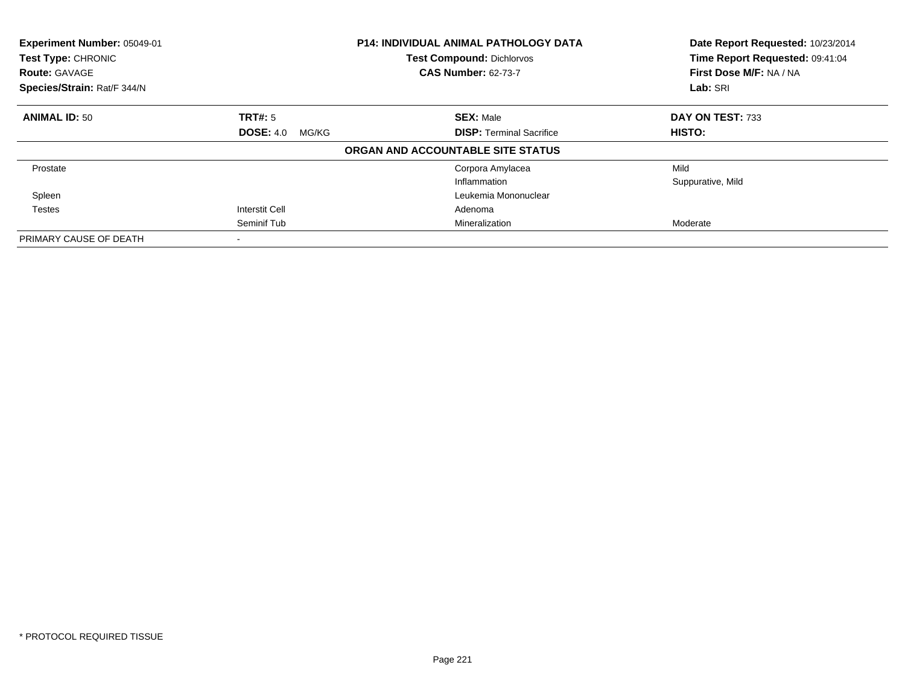| Experiment Number: 05049-01<br>Test Type: CHRONIC<br><b>Route: GAVAGE</b> |                           | <b>P14: INDIVIDUAL ANIMAL PATHOLOGY DATA</b><br><b>Test Compound: Dichlorvos</b><br><b>CAS Number: 62-73-7</b> | Date Report Requested: 10/23/2014<br>Time Report Requested: 09:41:04<br>First Dose M/F: NA / NA |
|---------------------------------------------------------------------------|---------------------------|----------------------------------------------------------------------------------------------------------------|-------------------------------------------------------------------------------------------------|
| Species/Strain: Rat/F 344/N                                               |                           |                                                                                                                | Lab: SRI                                                                                        |
| <b>ANIMAL ID: 50</b>                                                      | <b>TRT#: 5</b>            | <b>SEX: Male</b>                                                                                               | DAY ON TEST: 733                                                                                |
|                                                                           | <b>DOSE: 4.0</b><br>MG/KG | <b>DISP: Terminal Sacrifice</b>                                                                                | <b>HISTO:</b>                                                                                   |
|                                                                           |                           | ORGAN AND ACCOUNTABLE SITE STATUS                                                                              |                                                                                                 |
| Prostate                                                                  |                           | Corpora Amylacea                                                                                               | Mild                                                                                            |
|                                                                           |                           | Inflammation                                                                                                   | Suppurative, Mild                                                                               |
| Spleen                                                                    |                           | Leukemia Mononuclear                                                                                           |                                                                                                 |
| <b>Testes</b>                                                             | Interstit Cell            | Adenoma                                                                                                        |                                                                                                 |
|                                                                           | Seminif Tub               | Mineralization                                                                                                 | Moderate                                                                                        |
| PRIMARY CAUSE OF DEATH                                                    |                           |                                                                                                                |                                                                                                 |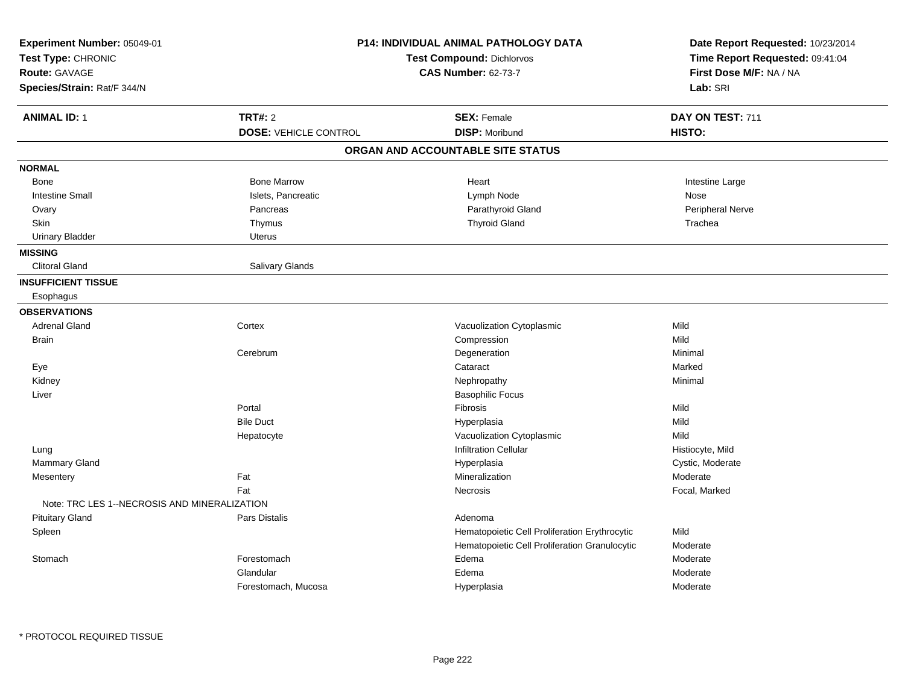| Experiment Number: 05049-01                  |                              | <b>P14: INDIVIDUAL ANIMAL PATHOLOGY DATA</b>  | Date Report Requested: 10/23/2014<br>Time Report Requested: 09:41:04 |
|----------------------------------------------|------------------------------|-----------------------------------------------|----------------------------------------------------------------------|
| Test Type: CHRONIC                           |                              | <b>Test Compound: Dichlorvos</b>              |                                                                      |
| Route: GAVAGE                                |                              | <b>CAS Number: 62-73-7</b>                    | First Dose M/F: NA / NA                                              |
| Species/Strain: Rat/F 344/N                  |                              |                                               | Lab: SRI                                                             |
| <b>ANIMAL ID: 1</b>                          | <b>TRT#: 2</b>               | <b>SEX: Female</b>                            | DAY ON TEST: 711                                                     |
|                                              | <b>DOSE: VEHICLE CONTROL</b> | <b>DISP: Moribund</b>                         | HISTO:                                                               |
|                                              |                              | ORGAN AND ACCOUNTABLE SITE STATUS             |                                                                      |
| <b>NORMAL</b>                                |                              |                                               |                                                                      |
| Bone                                         | <b>Bone Marrow</b>           | Heart                                         | Intestine Large                                                      |
| <b>Intestine Small</b>                       | Islets, Pancreatic           | Lymph Node                                    | Nose                                                                 |
| Ovary                                        | Pancreas                     | Parathyroid Gland                             | Peripheral Nerve                                                     |
| Skin                                         | Thymus                       | <b>Thyroid Gland</b>                          | Trachea                                                              |
| <b>Urinary Bladder</b>                       | Uterus                       |                                               |                                                                      |
| <b>MISSING</b>                               |                              |                                               |                                                                      |
| Clitoral Gland                               | Salivary Glands              |                                               |                                                                      |
| <b>INSUFFICIENT TISSUE</b>                   |                              |                                               |                                                                      |
| Esophagus                                    |                              |                                               |                                                                      |
| <b>OBSERVATIONS</b>                          |                              |                                               |                                                                      |
| <b>Adrenal Gland</b>                         | Cortex                       | Vacuolization Cytoplasmic                     | Mild                                                                 |
| <b>Brain</b>                                 |                              | Compression                                   | Mild                                                                 |
|                                              | Cerebrum                     | Degeneration                                  | Minimal                                                              |
| Eye                                          |                              | Cataract                                      | Marked                                                               |
| Kidney                                       |                              | Nephropathy                                   | Minimal                                                              |
| Liver                                        |                              | <b>Basophilic Focus</b>                       |                                                                      |
|                                              | Portal                       | <b>Fibrosis</b>                               | Mild                                                                 |
|                                              | <b>Bile Duct</b>             | Hyperplasia                                   | Mild                                                                 |
|                                              | Hepatocyte                   | Vacuolization Cytoplasmic                     | Mild                                                                 |
| Lung                                         |                              | <b>Infiltration Cellular</b>                  | Histiocyte, Mild                                                     |
| Mammary Gland                                |                              | Hyperplasia                                   | Cystic, Moderate                                                     |
| Mesentery                                    | Fat                          | Mineralization                                | Moderate                                                             |
|                                              | Fat                          | Necrosis                                      | Focal, Marked                                                        |
| Note: TRC LES 1--NECROSIS AND MINERALIZATION |                              |                                               |                                                                      |
| <b>Pituitary Gland</b>                       | Pars Distalis                | Adenoma                                       |                                                                      |
| Spleen                                       |                              | Hematopoietic Cell Proliferation Erythrocytic | Mild                                                                 |
|                                              |                              | Hematopoietic Cell Proliferation Granulocytic | Moderate                                                             |
| Stomach                                      | Forestomach                  | Edema                                         | Moderate                                                             |
|                                              | Glandular                    | Edema                                         | Moderate                                                             |
|                                              | Forestomach, Mucosa          | Hyperplasia                                   | Moderate                                                             |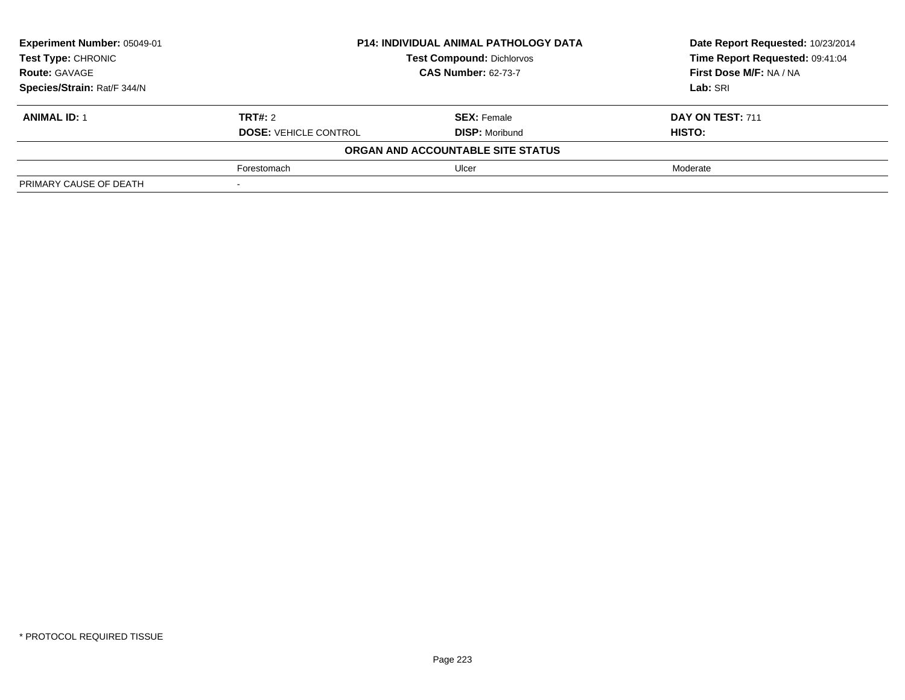| Experiment Number: 05049-01 | <b>P14: INDIVIDUAL ANIMAL PATHOLOGY DATA</b> |                                   | Date Report Requested: 10/23/2014 |
|-----------------------------|----------------------------------------------|-----------------------------------|-----------------------------------|
| Test Type: CHRONIC          |                                              | <b>Test Compound: Dichlorvos</b>  | Time Report Requested: 09:41:04   |
| <b>Route: GAVAGE</b>        |                                              | <b>CAS Number: 62-73-7</b>        |                                   |
| Species/Strain: Rat/F 344/N |                                              |                                   | Lab: SRI                          |
| <b>ANIMAL ID: 1</b>         | <b>TRT#: 2</b>                               | <b>SEX: Female</b>                | DAY ON TEST: 711                  |
|                             | <b>DOSE: VEHICLE CONTROL</b>                 | <b>DISP: Moribund</b>             | HISTO:                            |
|                             |                                              | ORGAN AND ACCOUNTABLE SITE STATUS |                                   |
|                             | Forestomach                                  | Ulcer                             | Moderate                          |
| PRIMARY CAUSE OF DEATH      |                                              |                                   |                                   |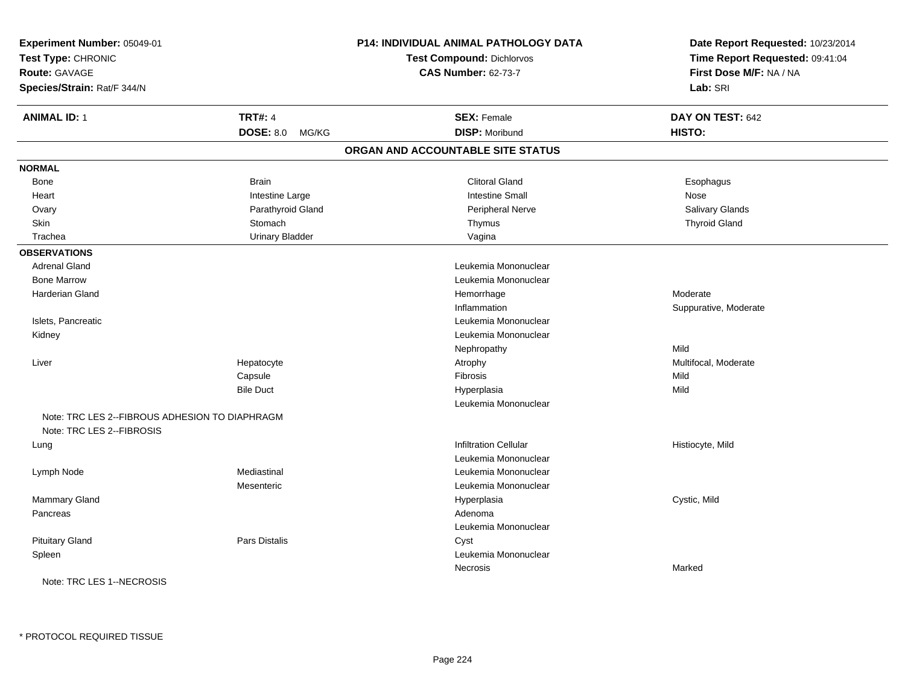| Experiment Number: 05049-01                                                 |                        | P14: INDIVIDUAL ANIMAL PATHOLOGY DATA | Date Report Requested: 10/23/2014                          |  |
|-----------------------------------------------------------------------------|------------------------|---------------------------------------|------------------------------------------------------------|--|
| Test Type: CHRONIC<br><b>Route: GAVAGE</b>                                  |                        | <b>Test Compound: Dichlorvos</b>      | Time Report Requested: 09:41:04<br>First Dose M/F: NA / NA |  |
|                                                                             |                        | <b>CAS Number: 62-73-7</b>            |                                                            |  |
| Species/Strain: Rat/F 344/N                                                 |                        |                                       | Lab: SRI                                                   |  |
| <b>ANIMAL ID: 1</b>                                                         | <b>TRT#: 4</b>         | <b>SEX: Female</b>                    | DAY ON TEST: 642                                           |  |
|                                                                             | DOSE: 8.0 MG/KG        | <b>DISP: Moribund</b>                 | HISTO:                                                     |  |
|                                                                             |                        | ORGAN AND ACCOUNTABLE SITE STATUS     |                                                            |  |
| <b>NORMAL</b>                                                               |                        |                                       |                                                            |  |
| <b>Bone</b>                                                                 | <b>Brain</b>           | <b>Clitoral Gland</b>                 | Esophagus                                                  |  |
| Heart                                                                       | Intestine Large        | <b>Intestine Small</b>                | Nose                                                       |  |
| Ovary                                                                       | Parathyroid Gland      | Peripheral Nerve                      | Salivary Glands                                            |  |
| <b>Skin</b>                                                                 | Stomach                | Thymus                                | <b>Thyroid Gland</b>                                       |  |
| Trachea                                                                     | <b>Urinary Bladder</b> | Vagina                                |                                                            |  |
| <b>OBSERVATIONS</b>                                                         |                        |                                       |                                                            |  |
| <b>Adrenal Gland</b>                                                        |                        | Leukemia Mononuclear                  |                                                            |  |
| <b>Bone Marrow</b>                                                          |                        | Leukemia Mononuclear                  |                                                            |  |
| <b>Harderian Gland</b>                                                      |                        | Hemorrhage                            | Moderate                                                   |  |
|                                                                             |                        | Inflammation                          | Suppurative, Moderate                                      |  |
| Islets, Pancreatic                                                          |                        | Leukemia Mononuclear                  |                                                            |  |
| Kidney                                                                      |                        | Leukemia Mononuclear                  |                                                            |  |
|                                                                             |                        | Nephropathy                           | Mild                                                       |  |
| Liver                                                                       | Hepatocyte             | Atrophy                               | Multifocal, Moderate                                       |  |
|                                                                             | Capsule                | Fibrosis                              | Mild                                                       |  |
|                                                                             | <b>Bile Duct</b>       | Hyperplasia                           | Mild                                                       |  |
|                                                                             |                        | Leukemia Mononuclear                  |                                                            |  |
| Note: TRC LES 2--FIBROUS ADHESION TO DIAPHRAGM<br>Note: TRC LES 2--FIBROSIS |                        |                                       |                                                            |  |
| Lung                                                                        |                        | <b>Infiltration Cellular</b>          | Histiocyte, Mild                                           |  |
|                                                                             |                        | Leukemia Mononuclear                  |                                                            |  |
| Lymph Node                                                                  | Mediastinal            | Leukemia Mononuclear                  |                                                            |  |
|                                                                             | Mesenteric             | Leukemia Mononuclear                  |                                                            |  |
| <b>Mammary Gland</b>                                                        |                        | Hyperplasia                           | Cystic, Mild                                               |  |
| Pancreas                                                                    |                        | Adenoma                               |                                                            |  |
|                                                                             |                        | Leukemia Mononuclear                  |                                                            |  |
| <b>Pituitary Gland</b>                                                      | Pars Distalis          | Cyst                                  |                                                            |  |
| Spleen                                                                      |                        | Leukemia Mononuclear                  |                                                            |  |
|                                                                             |                        | Necrosis                              | Marked                                                     |  |
| Note: TRC LES 1--NECROSIS                                                   |                        |                                       |                                                            |  |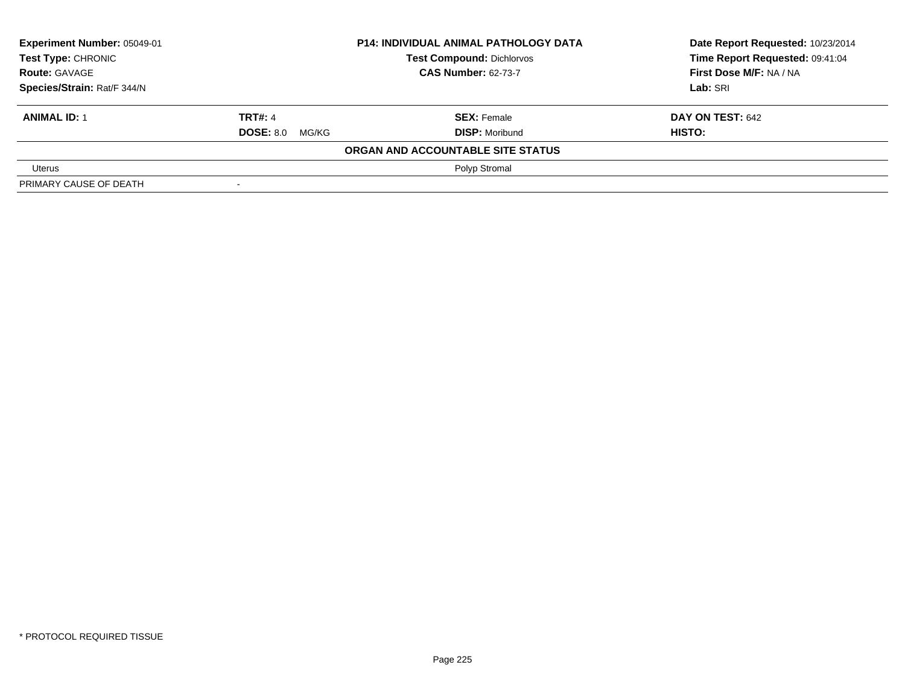| Experiment Number: 05049-01<br>Test Type: CHRONIC |                        | <b>P14: INDIVIDUAL ANIMAL PATHOLOGY DATA</b> | Date Report Requested: 10/23/2014 |
|---------------------------------------------------|------------------------|----------------------------------------------|-----------------------------------|
|                                                   |                        | <b>Test Compound: Dichlorvos</b>             | Time Report Requested: 09:41:04   |
| <b>Route: GAVAGE</b>                              |                        | <b>CAS Number: 62-73-7</b>                   | First Dose M/F: NA / NA           |
| Species/Strain: Rat/F 344/N                       |                        |                                              | Lab: SRI                          |
| <b>ANIMAL ID: 1</b>                               | <b>TRT#: 4</b>         | <b>SEX: Female</b>                           | DAY ON TEST: 642                  |
|                                                   | <b>DOSE: 8.0 MG/KG</b> | <b>DISP: Moribund</b>                        | HISTO:                            |
|                                                   |                        | ORGAN AND ACCOUNTABLE SITE STATUS            |                                   |
| Uterus                                            |                        | Polyp Stromal                                |                                   |
| PRIMARY CAUSE OF DEATH                            |                        |                                              |                                   |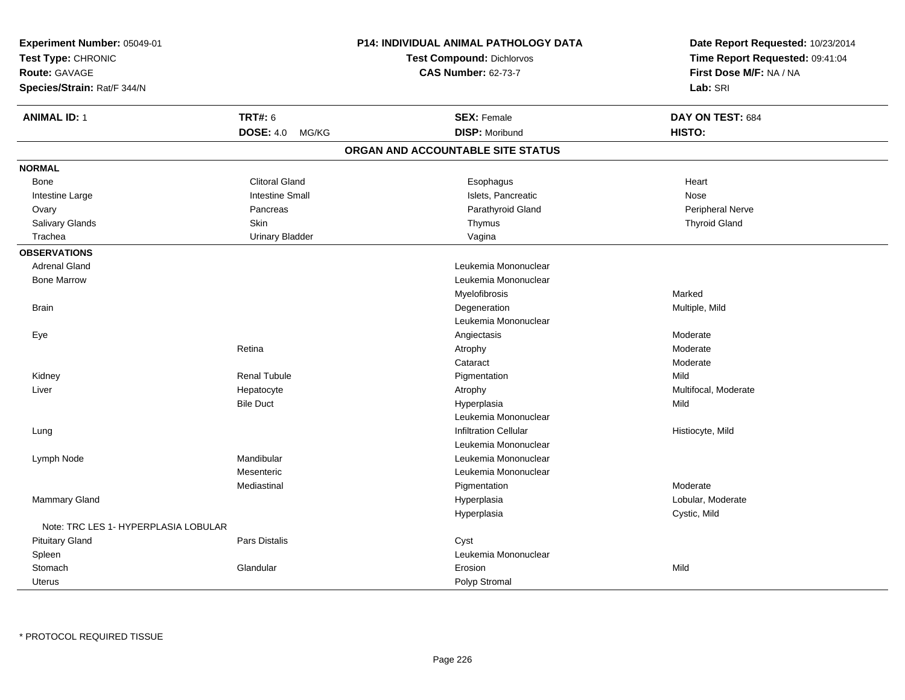| Experiment Number: 05049-01<br>Test Type: CHRONIC<br>Route: GAVAGE<br>Species/Strain: Rat/F 344/N |                           | P14: INDIVIDUAL ANIMAL PATHOLOGY DATA<br><b>Test Compound: Dichlorvos</b><br><b>CAS Number: 62-73-7</b> | Date Report Requested: 10/23/2014<br>Time Report Requested: 09:41:04<br>First Dose M/F: NA / NA<br>Lab: SRI |
|---------------------------------------------------------------------------------------------------|---------------------------|---------------------------------------------------------------------------------------------------------|-------------------------------------------------------------------------------------------------------------|
| <b>ANIMAL ID: 1</b>                                                                               | <b>TRT#: 6</b>            | <b>SEX: Female</b>                                                                                      | DAY ON TEST: 684                                                                                            |
|                                                                                                   | <b>DOSE: 4.0</b><br>MG/KG | <b>DISP: Moribund</b>                                                                                   | HISTO:                                                                                                      |
|                                                                                                   |                           | ORGAN AND ACCOUNTABLE SITE STATUS                                                                       |                                                                                                             |
| <b>NORMAL</b>                                                                                     |                           |                                                                                                         |                                                                                                             |
| Bone                                                                                              | <b>Clitoral Gland</b>     | Esophagus                                                                                               | Heart                                                                                                       |
| Intestine Large                                                                                   | <b>Intestine Small</b>    | Islets, Pancreatic                                                                                      | Nose                                                                                                        |
| Ovary                                                                                             | Pancreas                  | Parathyroid Gland                                                                                       | Peripheral Nerve                                                                                            |
| Salivary Glands                                                                                   | <b>Skin</b>               | Thymus                                                                                                  | <b>Thyroid Gland</b>                                                                                        |
| Trachea                                                                                           | <b>Urinary Bladder</b>    | Vagina                                                                                                  |                                                                                                             |
| <b>OBSERVATIONS</b>                                                                               |                           |                                                                                                         |                                                                                                             |
| <b>Adrenal Gland</b>                                                                              |                           | Leukemia Mononuclear                                                                                    |                                                                                                             |
| <b>Bone Marrow</b>                                                                                |                           | Leukemia Mononuclear                                                                                    |                                                                                                             |
|                                                                                                   |                           | Myelofibrosis                                                                                           | Marked                                                                                                      |
| <b>Brain</b>                                                                                      |                           | Degeneration                                                                                            | Multiple, Mild                                                                                              |
|                                                                                                   |                           | Leukemia Mononuclear                                                                                    |                                                                                                             |
| Eye                                                                                               |                           | Angiectasis                                                                                             | Moderate                                                                                                    |
|                                                                                                   | Retina                    | Atrophy                                                                                                 | Moderate                                                                                                    |
|                                                                                                   |                           | Cataract                                                                                                | Moderate                                                                                                    |
| Kidney                                                                                            | <b>Renal Tubule</b>       | Pigmentation                                                                                            | Mild                                                                                                        |
| Liver                                                                                             | Hepatocyte                | Atrophy                                                                                                 | Multifocal, Moderate                                                                                        |
|                                                                                                   | <b>Bile Duct</b>          | Hyperplasia                                                                                             | Mild                                                                                                        |
|                                                                                                   |                           | Leukemia Mononuclear                                                                                    |                                                                                                             |
| Lung                                                                                              |                           | <b>Infiltration Cellular</b>                                                                            | Histiocyte, Mild                                                                                            |
|                                                                                                   |                           | Leukemia Mononuclear                                                                                    |                                                                                                             |
| Lymph Node                                                                                        | Mandibular                | Leukemia Mononuclear                                                                                    |                                                                                                             |
|                                                                                                   | Mesenteric                | Leukemia Mononuclear                                                                                    |                                                                                                             |
|                                                                                                   | Mediastinal               | Pigmentation                                                                                            | Moderate                                                                                                    |
| <b>Mammary Gland</b>                                                                              |                           | Hyperplasia                                                                                             | Lobular, Moderate                                                                                           |
|                                                                                                   |                           | Hyperplasia                                                                                             | Cystic, Mild                                                                                                |
| Note: TRC LES 1- HYPERPLASIA LOBULAR                                                              |                           |                                                                                                         |                                                                                                             |
| <b>Pituitary Gland</b>                                                                            | Pars Distalis             | Cyst                                                                                                    |                                                                                                             |
| Spleen                                                                                            |                           | Leukemia Mononuclear                                                                                    |                                                                                                             |
| Stomach                                                                                           | Glandular                 | Erosion                                                                                                 | Mild                                                                                                        |
| Uterus                                                                                            |                           | Polyp Stromal                                                                                           |                                                                                                             |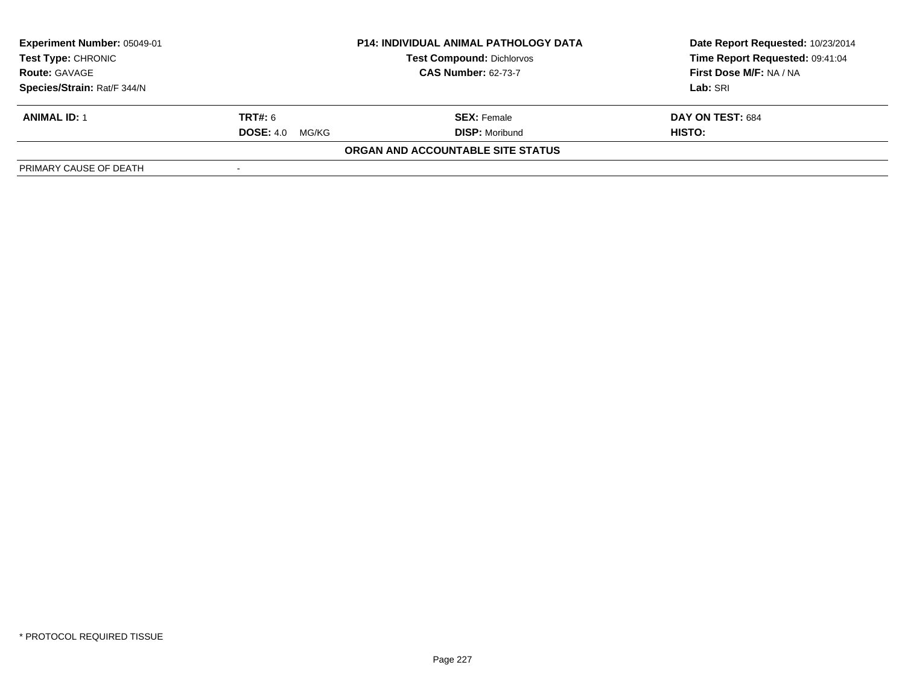| <b>Experiment Number: 05049-01</b><br>Test Type: CHRONIC | <b>P14: INDIVIDUAL ANIMAL PATHOLOGY DATA</b><br><b>Test Compound: Dichlorvos</b><br><b>CAS Number: 62-73-7</b> |                                   | Date Report Requested: 10/23/2014<br>Time Report Requested: 09:41:04 |
|----------------------------------------------------------|----------------------------------------------------------------------------------------------------------------|-----------------------------------|----------------------------------------------------------------------|
| <b>Route: GAVAGE</b>                                     |                                                                                                                |                                   | First Dose M/F: NA / NA                                              |
| Species/Strain: Rat/F 344/N                              |                                                                                                                |                                   | Lab: SRI                                                             |
| <b>ANIMAL ID: 1</b>                                      | <b>TRT#:</b> 6                                                                                                 | <b>SEX: Female</b>                | DAY ON TEST: 684                                                     |
|                                                          | <b>DOSE: 4.0</b><br>MG/KG                                                                                      | <b>DISP:</b> Moribund             | HISTO:                                                               |
|                                                          |                                                                                                                | ORGAN AND ACCOUNTABLE SITE STATUS |                                                                      |
| PRIMARY CAUSE OF DEATH                                   |                                                                                                                |                                   |                                                                      |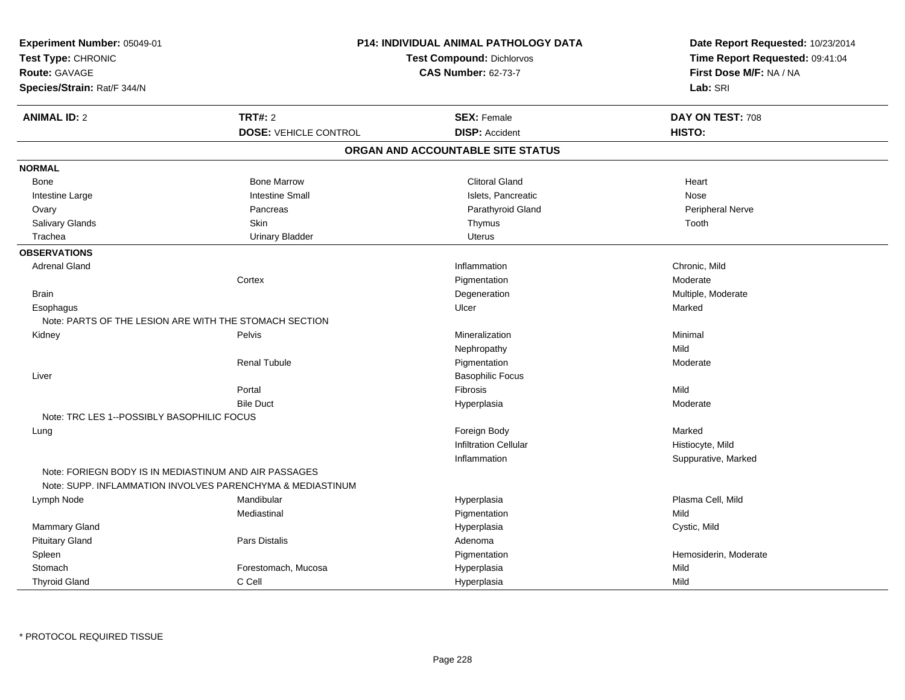| Experiment Number: 05049-01<br>Test Type: CHRONIC<br><b>Route: GAVAGE</b><br>Species/Strain: Rat/F 344/N |                                                            | <b>P14: INDIVIDUAL ANIMAL PATHOLOGY DATA</b><br><b>Test Compound: Dichlorvos</b><br><b>CAS Number: 62-73-7</b> | Date Report Requested: 10/23/2014<br>Time Report Requested: 09:41:04<br>First Dose M/F: NA / NA<br>Lab: SRI |
|----------------------------------------------------------------------------------------------------------|------------------------------------------------------------|----------------------------------------------------------------------------------------------------------------|-------------------------------------------------------------------------------------------------------------|
| <b>ANIMAL ID: 2</b>                                                                                      | <b>TRT#: 2</b>                                             | <b>SEX: Female</b>                                                                                             | DAY ON TEST: 708                                                                                            |
|                                                                                                          | <b>DOSE: VEHICLE CONTROL</b>                               | <b>DISP: Accident</b>                                                                                          | HISTO:                                                                                                      |
|                                                                                                          |                                                            | ORGAN AND ACCOUNTABLE SITE STATUS                                                                              |                                                                                                             |
| <b>NORMAL</b>                                                                                            |                                                            |                                                                                                                |                                                                                                             |
| Bone                                                                                                     | <b>Bone Marrow</b>                                         | <b>Clitoral Gland</b>                                                                                          | Heart                                                                                                       |
| Intestine Large                                                                                          | <b>Intestine Small</b>                                     | Islets, Pancreatic                                                                                             | <b>Nose</b>                                                                                                 |
| Ovary                                                                                                    | Pancreas                                                   | Parathyroid Gland                                                                                              | Peripheral Nerve                                                                                            |
| Salivary Glands                                                                                          | Skin                                                       | Thymus                                                                                                         | Tooth                                                                                                       |
| Trachea                                                                                                  | <b>Urinary Bladder</b>                                     | <b>Uterus</b>                                                                                                  |                                                                                                             |
| <b>OBSERVATIONS</b>                                                                                      |                                                            |                                                                                                                |                                                                                                             |
| <b>Adrenal Gland</b>                                                                                     |                                                            | Inflammation                                                                                                   | Chronic, Mild                                                                                               |
|                                                                                                          | Cortex                                                     | Pigmentation                                                                                                   | Moderate                                                                                                    |
| <b>Brain</b>                                                                                             |                                                            | Degeneration                                                                                                   | Multiple, Moderate                                                                                          |
| Esophagus                                                                                                |                                                            | Ulcer                                                                                                          | Marked                                                                                                      |
| Note: PARTS OF THE LESION ARE WITH THE STOMACH SECTION                                                   |                                                            |                                                                                                                |                                                                                                             |
| Kidney                                                                                                   | Pelvis                                                     | Mineralization                                                                                                 | Minimal                                                                                                     |
|                                                                                                          |                                                            | Nephropathy                                                                                                    | Mild                                                                                                        |
|                                                                                                          | <b>Renal Tubule</b>                                        | Pigmentation                                                                                                   | Moderate                                                                                                    |
| Liver                                                                                                    |                                                            | <b>Basophilic Focus</b>                                                                                        |                                                                                                             |
|                                                                                                          | Portal                                                     | <b>Fibrosis</b>                                                                                                | Mild                                                                                                        |
|                                                                                                          | <b>Bile Duct</b>                                           | Hyperplasia                                                                                                    | Moderate                                                                                                    |
| Note: TRC LES 1--POSSIBLY BASOPHILIC FOCUS                                                               |                                                            |                                                                                                                |                                                                                                             |
| Lung                                                                                                     |                                                            | Foreign Body                                                                                                   | Marked                                                                                                      |
|                                                                                                          |                                                            | <b>Infiltration Cellular</b>                                                                                   | Histiocyte, Mild                                                                                            |
|                                                                                                          |                                                            | Inflammation                                                                                                   | Suppurative, Marked                                                                                         |
| Note: FORIEGN BODY IS IN MEDIASTINUM AND AIR PASSAGES                                                    | Note: SUPP. INFLAMMATION INVOLVES PARENCHYMA & MEDIASTINUM |                                                                                                                |                                                                                                             |
| Lymph Node                                                                                               | Mandibular                                                 | Hyperplasia                                                                                                    | Plasma Cell, Mild                                                                                           |
|                                                                                                          | Mediastinal                                                | Pigmentation                                                                                                   | Mild                                                                                                        |
| Mammary Gland                                                                                            |                                                            | Hyperplasia                                                                                                    | Cystic, Mild                                                                                                |
| <b>Pituitary Gland</b>                                                                                   | Pars Distalis                                              | Adenoma                                                                                                        |                                                                                                             |
| Spleen                                                                                                   |                                                            | Pigmentation                                                                                                   | Hemosiderin, Moderate                                                                                       |
| Stomach                                                                                                  | Forestomach, Mucosa                                        | Hyperplasia                                                                                                    | Mild                                                                                                        |
| <b>Thyroid Gland</b>                                                                                     | C Cell                                                     | Hyperplasia                                                                                                    | Mild                                                                                                        |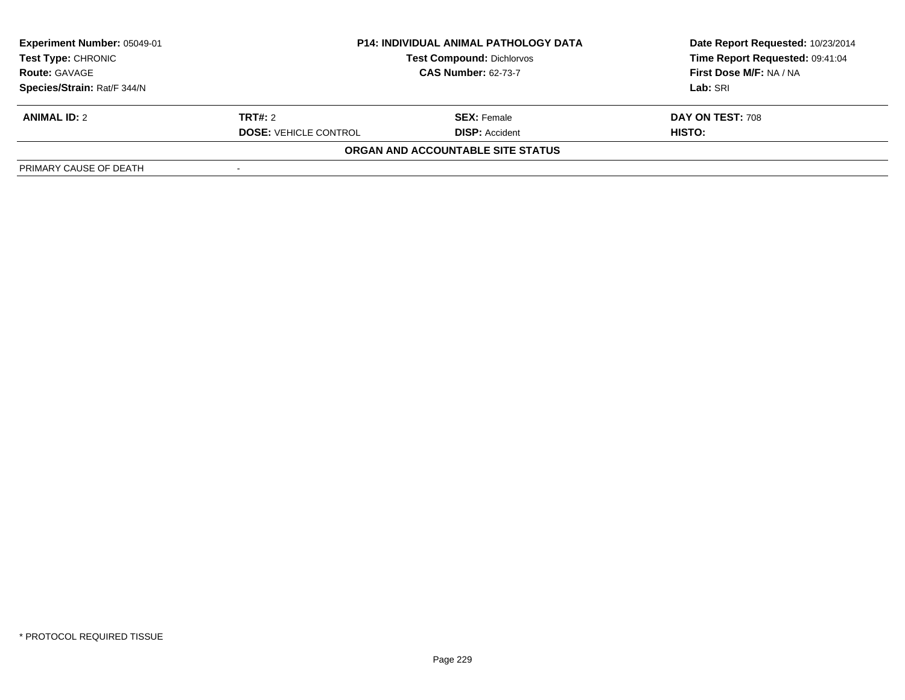| <b>Experiment Number: 05049-01</b><br>Test Type: CHRONIC<br><b>Route: GAVAGE</b> | <b>P14: INDIVIDUAL ANIMAL PATHOLOGY DATA</b><br><b>Test Compound: Dichlorvos</b><br><b>CAS Number: 62-73-7</b> |                                   | Date Report Requested: 10/23/2014<br>Time Report Requested: 09:41:04<br>First Dose M/F: NA / NA |
|----------------------------------------------------------------------------------|----------------------------------------------------------------------------------------------------------------|-----------------------------------|-------------------------------------------------------------------------------------------------|
| Species/Strain: Rat/F 344/N                                                      |                                                                                                                |                                   | Lab: SRI                                                                                        |
| <b>ANIMAL ID: 2</b>                                                              | <b>TRT#:</b> 2                                                                                                 | <b>SEX: Female</b>                | <b>DAY ON TEST: 708</b>                                                                         |
|                                                                                  | <b>DOSE: VEHICLE CONTROL</b>                                                                                   | <b>DISP: Accident</b>             | HISTO:                                                                                          |
|                                                                                  |                                                                                                                | ORGAN AND ACCOUNTABLE SITE STATUS |                                                                                                 |
| PRIMARY CAUSE OF DEATH                                                           |                                                                                                                |                                   |                                                                                                 |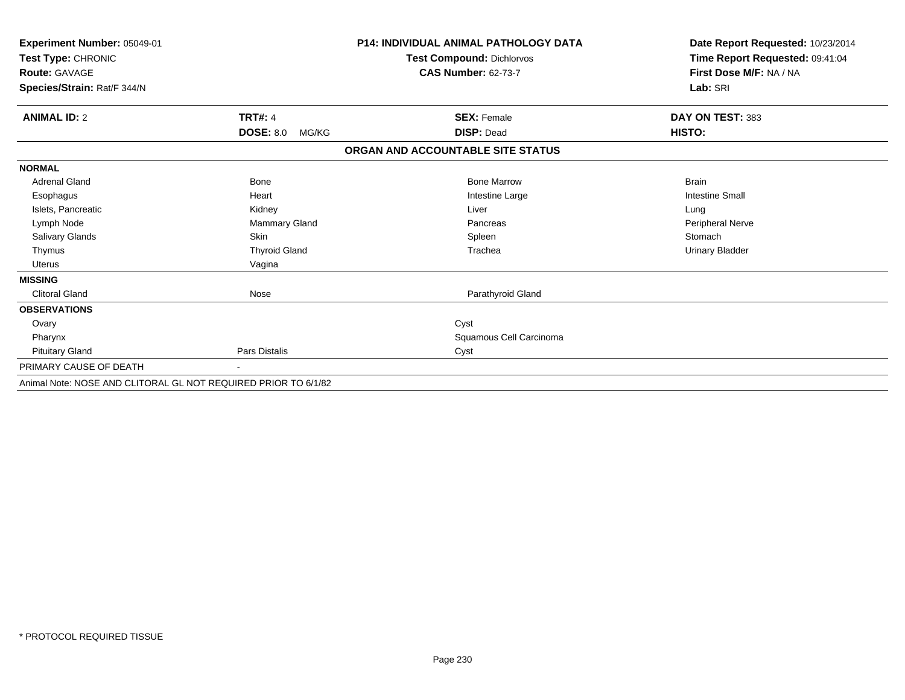| Experiment Number: 05049-01                                    |                           | <b>P14: INDIVIDUAL ANIMAL PATHOLOGY DATA</b> | Date Report Requested: 10/23/2014   |
|----------------------------------------------------------------|---------------------------|----------------------------------------------|-------------------------------------|
| Test Type: CHRONIC                                             |                           | <b>Test Compound: Dichlorvos</b>             | Time Report Requested: 09:41:04     |
| <b>Route: GAVAGE</b>                                           |                           | <b>CAS Number: 62-73-7</b>                   | First Dose M/F: NA / NA<br>Lab: SRI |
| Species/Strain: Rat/F 344/N                                    |                           |                                              |                                     |
| <b>ANIMAL ID: 2</b>                                            | <b>TRT#: 4</b>            | <b>SEX: Female</b>                           | DAY ON TEST: 383                    |
|                                                                | <b>DOSE: 8.0</b><br>MG/KG | <b>DISP: Dead</b>                            | HISTO:                              |
|                                                                |                           | ORGAN AND ACCOUNTABLE SITE STATUS            |                                     |
| <b>NORMAL</b>                                                  |                           |                                              |                                     |
| <b>Adrenal Gland</b>                                           | <b>Bone</b>               | <b>Bone Marrow</b>                           | <b>Brain</b>                        |
| Esophagus                                                      | Heart                     | Intestine Large                              | <b>Intestine Small</b>              |
| Islets, Pancreatic                                             | Kidney                    | Liver                                        | Lung                                |
| Lymph Node                                                     | Mammary Gland             | Pancreas                                     | <b>Peripheral Nerve</b>             |
| Salivary Glands                                                | <b>Skin</b>               | Spleen                                       | Stomach                             |
| Thymus                                                         | <b>Thyroid Gland</b>      | Trachea                                      | Urinary Bladder                     |
| Uterus                                                         | Vagina                    |                                              |                                     |
| <b>MISSING</b>                                                 |                           |                                              |                                     |
| <b>Clitoral Gland</b>                                          | Nose                      | Parathyroid Gland                            |                                     |
| <b>OBSERVATIONS</b>                                            |                           |                                              |                                     |
| Ovary                                                          |                           | Cyst                                         |                                     |
| Pharynx                                                        |                           | Squamous Cell Carcinoma                      |                                     |
| <b>Pituitary Gland</b>                                         | <b>Pars Distalis</b>      | Cyst                                         |                                     |
| PRIMARY CAUSE OF DEATH                                         |                           |                                              |                                     |
| Animal Note: NOSE AND CLITORAL GL NOT REQUIRED PRIOR TO 6/1/82 |                           |                                              |                                     |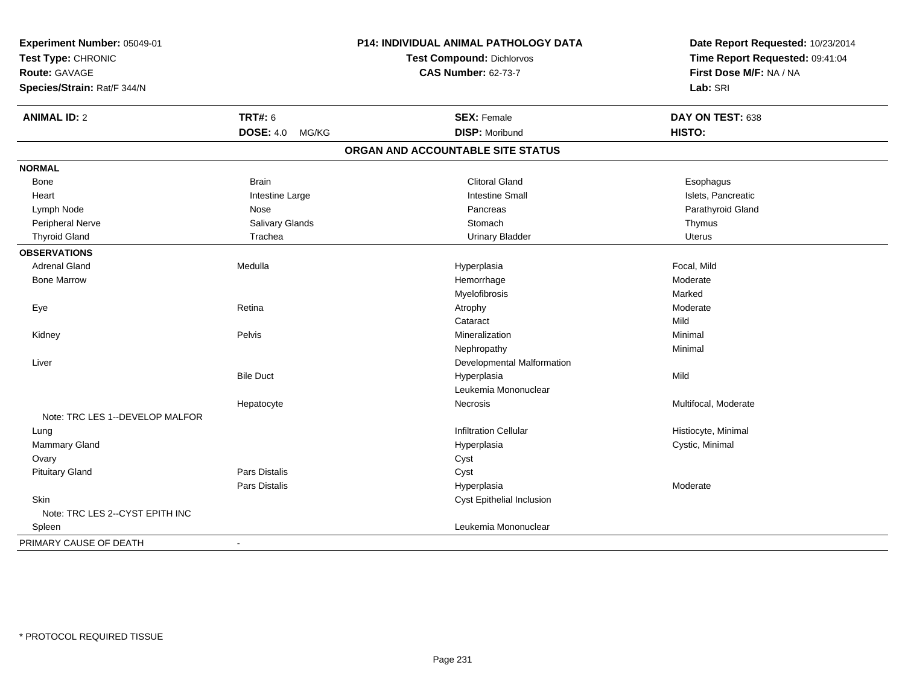| Experiment Number: 05049-01     |                                  | <b>P14: INDIVIDUAL ANIMAL PATHOLOGY DATA</b> | Date Report Requested: 10/23/2014 |
|---------------------------------|----------------------------------|----------------------------------------------|-----------------------------------|
| Test Type: CHRONIC              | <b>Test Compound: Dichlorvos</b> |                                              | Time Report Requested: 09:41:04   |
| Route: GAVAGE                   |                                  | <b>CAS Number: 62-73-7</b>                   | First Dose M/F: NA / NA           |
| Species/Strain: Rat/F 344/N     |                                  |                                              | Lab: SRI                          |
| <b>ANIMAL ID: 2</b>             | <b>TRT#: 6</b>                   | <b>SEX: Female</b>                           | DAY ON TEST: 638                  |
|                                 | <b>DOSE: 4.0</b><br>MG/KG        | <b>DISP: Moribund</b>                        | HISTO:                            |
|                                 |                                  | ORGAN AND ACCOUNTABLE SITE STATUS            |                                   |
| <b>NORMAL</b>                   |                                  |                                              |                                   |
| Bone                            | <b>Brain</b>                     | <b>Clitoral Gland</b>                        | Esophagus                         |
| Heart                           | Intestine Large                  | <b>Intestine Small</b>                       | Islets, Pancreatic                |
| Lymph Node                      | Nose                             | Pancreas                                     | Parathyroid Gland                 |
| <b>Peripheral Nerve</b>         | Salivary Glands                  | Stomach                                      | Thymus                            |
| <b>Thyroid Gland</b>            | Trachea                          | <b>Urinary Bladder</b>                       | <b>Uterus</b>                     |
| <b>OBSERVATIONS</b>             |                                  |                                              |                                   |
| <b>Adrenal Gland</b>            | Medulla                          | Hyperplasia                                  | Focal, Mild                       |
| <b>Bone Marrow</b>              |                                  | Hemorrhage                                   | Moderate                          |
|                                 |                                  | Myelofibrosis                                | Marked                            |
| Eye                             | Retina                           | Atrophy                                      | Moderate                          |
|                                 |                                  | Cataract                                     | Mild                              |
| Kidney                          | Pelvis                           | Mineralization                               | Minimal                           |
|                                 |                                  | Nephropathy                                  | Minimal                           |
| Liver                           |                                  | Developmental Malformation                   |                                   |
|                                 | <b>Bile Duct</b>                 | Hyperplasia                                  | Mild                              |
|                                 |                                  | Leukemia Mononuclear                         |                                   |
|                                 | Hepatocyte                       | Necrosis                                     | Multifocal, Moderate              |
| Note: TRC LES 1--DEVELOP MALFOR |                                  |                                              |                                   |
| Lung                            |                                  | <b>Infiltration Cellular</b>                 | Histiocyte, Minimal               |
| Mammary Gland                   |                                  | Hyperplasia                                  | Cystic, Minimal                   |
| Ovary                           |                                  | Cyst                                         |                                   |
| <b>Pituitary Gland</b>          | Pars Distalis                    | Cyst                                         |                                   |
|                                 | Pars Distalis                    | Hyperplasia                                  | Moderate                          |
| <b>Skin</b>                     |                                  | Cyst Epithelial Inclusion                    |                                   |
| Note: TRC LES 2--CYST EPITH INC |                                  |                                              |                                   |
| Spleen                          |                                  | Leukemia Mononuclear                         |                                   |
| PRIMARY CAUSE OF DEATH          | ÷                                |                                              |                                   |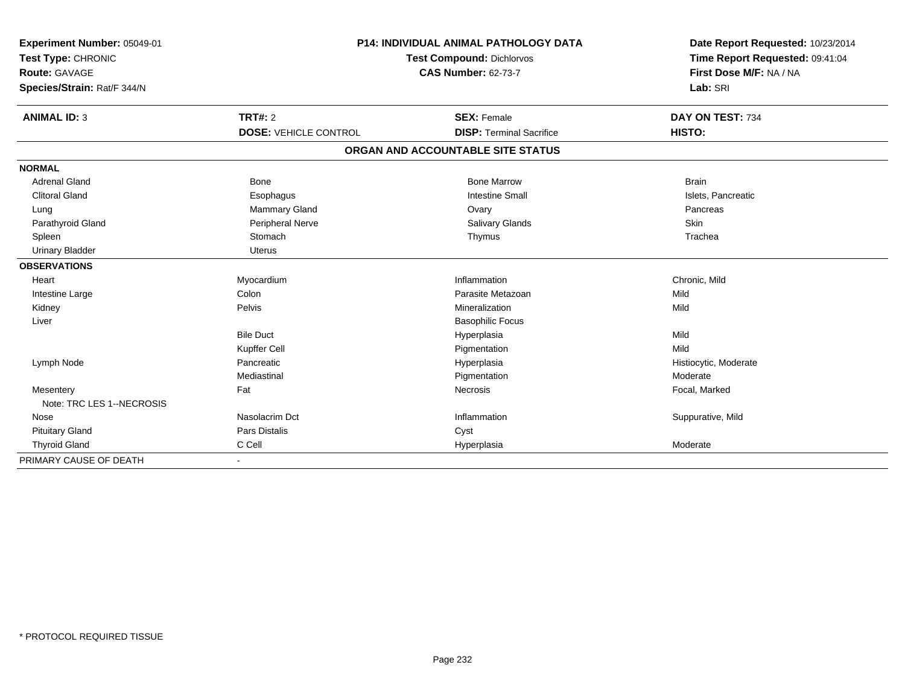| Experiment Number: 05049-01<br>Test Type: CHRONIC<br><b>Route: GAVAGE</b><br>Species/Strain: Rat/F 344/N |                                                | P14: INDIVIDUAL ANIMAL PATHOLOGY DATA<br><b>Test Compound: Dichlorvos</b><br><b>CAS Number: 62-73-7</b> | Date Report Requested: 10/23/2014<br>Time Report Requested: 09:41:04<br>First Dose M/F: NA / NA<br>Lab: SRI |
|----------------------------------------------------------------------------------------------------------|------------------------------------------------|---------------------------------------------------------------------------------------------------------|-------------------------------------------------------------------------------------------------------------|
| <b>ANIMAL ID: 3</b>                                                                                      | <b>TRT#: 2</b><br><b>DOSE: VEHICLE CONTROL</b> | <b>SEX: Female</b><br><b>DISP: Terminal Sacrifice</b>                                                   | DAY ON TEST: 734<br>HISTO:                                                                                  |
|                                                                                                          |                                                | ORGAN AND ACCOUNTABLE SITE STATUS                                                                       |                                                                                                             |
| <b>NORMAL</b>                                                                                            |                                                |                                                                                                         |                                                                                                             |
| <b>Adrenal Gland</b>                                                                                     | <b>Bone</b>                                    | <b>Bone Marrow</b>                                                                                      | <b>Brain</b>                                                                                                |
| <b>Clitoral Gland</b>                                                                                    | Esophagus                                      | <b>Intestine Small</b>                                                                                  | Islets, Pancreatic                                                                                          |
| Lung                                                                                                     | <b>Mammary Gland</b>                           | Ovary                                                                                                   | Pancreas                                                                                                    |
| Parathyroid Gland                                                                                        | Peripheral Nerve                               | Salivary Glands                                                                                         | Skin                                                                                                        |
| Spleen                                                                                                   | Stomach                                        | Thymus                                                                                                  | Trachea                                                                                                     |
| <b>Urinary Bladder</b>                                                                                   | <b>Uterus</b>                                  |                                                                                                         |                                                                                                             |
| <b>OBSERVATIONS</b>                                                                                      |                                                |                                                                                                         |                                                                                                             |
| Heart                                                                                                    | Myocardium                                     | Inflammation                                                                                            | Chronic, Mild                                                                                               |
| Intestine Large                                                                                          | Colon                                          | Parasite Metazoan                                                                                       | Mild                                                                                                        |
| Kidney                                                                                                   | Pelvis                                         | Mineralization                                                                                          | Mild                                                                                                        |
| Liver                                                                                                    |                                                | <b>Basophilic Focus</b>                                                                                 |                                                                                                             |
|                                                                                                          | <b>Bile Duct</b>                               | Hyperplasia                                                                                             | Mild                                                                                                        |
|                                                                                                          | Kupffer Cell                                   | Pigmentation                                                                                            | Mild                                                                                                        |
| Lymph Node                                                                                               | Pancreatic                                     | Hyperplasia                                                                                             | Histiocytic, Moderate                                                                                       |
|                                                                                                          | Mediastinal                                    | Pigmentation                                                                                            | Moderate                                                                                                    |
| Mesentery<br>Note: TRC LES 1--NECROSIS                                                                   | Fat                                            | Necrosis                                                                                                | Focal, Marked                                                                                               |
| Nose                                                                                                     | Nasolacrim Dct                                 | Inflammation                                                                                            | Suppurative, Mild                                                                                           |
| <b>Pituitary Gland</b>                                                                                   | Pars Distalis                                  | Cyst                                                                                                    |                                                                                                             |
| <b>Thyroid Gland</b>                                                                                     | C Cell                                         | Hyperplasia                                                                                             | Moderate                                                                                                    |
| PRIMARY CAUSE OF DEATH                                                                                   |                                                |                                                                                                         |                                                                                                             |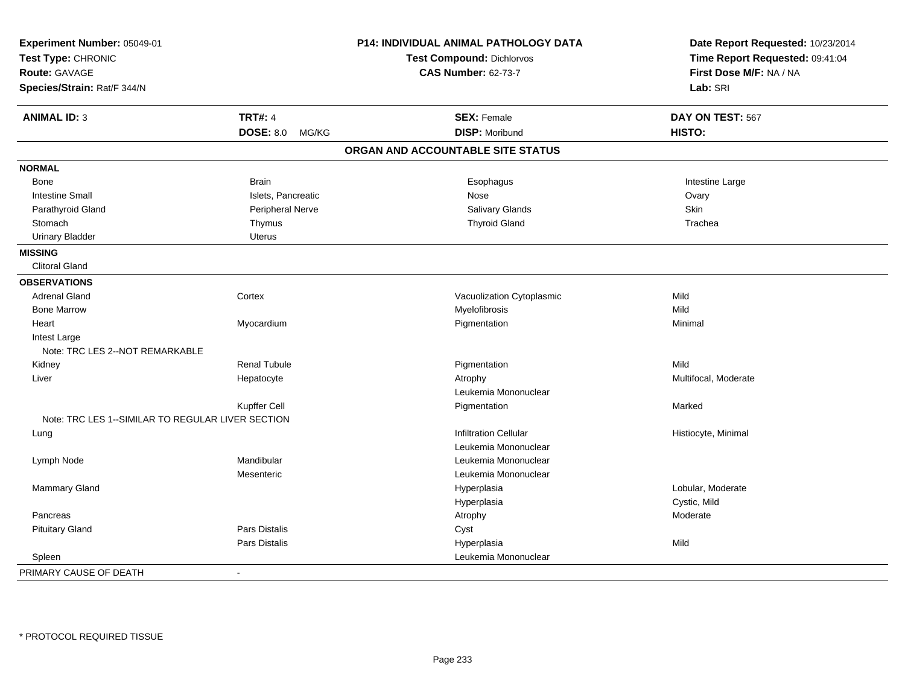| Experiment Number: 05049-01                       |                           | P14: INDIVIDUAL ANIMAL PATHOLOGY DATA | Date Report Requested: 10/23/2014 |
|---------------------------------------------------|---------------------------|---------------------------------------|-----------------------------------|
| Test Type: CHRONIC                                |                           | Test Compound: Dichlorvos             | Time Report Requested: 09:41:04   |
| <b>Route: GAVAGE</b>                              |                           | <b>CAS Number: 62-73-7</b>            | First Dose M/F: NA / NA           |
| Species/Strain: Rat/F 344/N                       |                           |                                       | Lab: SRI                          |
| <b>ANIMAL ID: 3</b>                               | <b>TRT#: 4</b>            | <b>SEX: Female</b>                    | DAY ON TEST: 567                  |
|                                                   | <b>DOSE: 8.0</b><br>MG/KG | <b>DISP: Moribund</b>                 | HISTO:                            |
|                                                   |                           | ORGAN AND ACCOUNTABLE SITE STATUS     |                                   |
| <b>NORMAL</b>                                     |                           |                                       |                                   |
| Bone                                              | <b>Brain</b>              | Esophagus                             | Intestine Large                   |
| <b>Intestine Small</b>                            | Islets, Pancreatic        | Nose                                  | Ovary                             |
| Parathyroid Gland                                 | Peripheral Nerve          | Salivary Glands                       | Skin                              |
| Stomach                                           | Thymus                    | <b>Thyroid Gland</b>                  | Trachea                           |
| <b>Urinary Bladder</b>                            | <b>Uterus</b>             |                                       |                                   |
| <b>MISSING</b>                                    |                           |                                       |                                   |
| <b>Clitoral Gland</b>                             |                           |                                       |                                   |
| <b>OBSERVATIONS</b>                               |                           |                                       |                                   |
| <b>Adrenal Gland</b>                              | Cortex                    | Vacuolization Cytoplasmic             | Mild                              |
| <b>Bone Marrow</b>                                |                           | Myelofibrosis                         | Mild                              |
| Heart                                             | Myocardium                | Pigmentation                          | Minimal                           |
| Intest Large                                      |                           |                                       |                                   |
| Note: TRC LES 2--NOT REMARKABLE                   |                           |                                       |                                   |
| Kidney                                            | <b>Renal Tubule</b>       | Pigmentation                          | Mild                              |
| Liver                                             | Hepatocyte                | Atrophy                               | Multifocal, Moderate              |
|                                                   |                           | Leukemia Mononuclear                  |                                   |
|                                                   | Kupffer Cell              | Pigmentation                          | Marked                            |
| Note: TRC LES 1--SIMILAR TO REGULAR LIVER SECTION |                           |                                       |                                   |
| Lung                                              |                           | <b>Infiltration Cellular</b>          | Histiocyte, Minimal               |
|                                                   |                           | Leukemia Mononuclear                  |                                   |
| Lymph Node                                        | Mandibular                | Leukemia Mononuclear                  |                                   |
|                                                   | Mesenteric                | Leukemia Mononuclear                  |                                   |
| Mammary Gland                                     |                           | Hyperplasia                           | Lobular, Moderate                 |
|                                                   |                           | Hyperplasia                           | Cystic, Mild                      |
| Pancreas                                          |                           | Atrophy                               | Moderate                          |
| <b>Pituitary Gland</b>                            | Pars Distalis             | Cyst                                  |                                   |
|                                                   | Pars Distalis             | Hyperplasia                           | Mild                              |
| Spleen                                            |                           | Leukemia Mononuclear                  |                                   |
| PRIMARY CAUSE OF DEATH                            | $\blacksquare$            |                                       |                                   |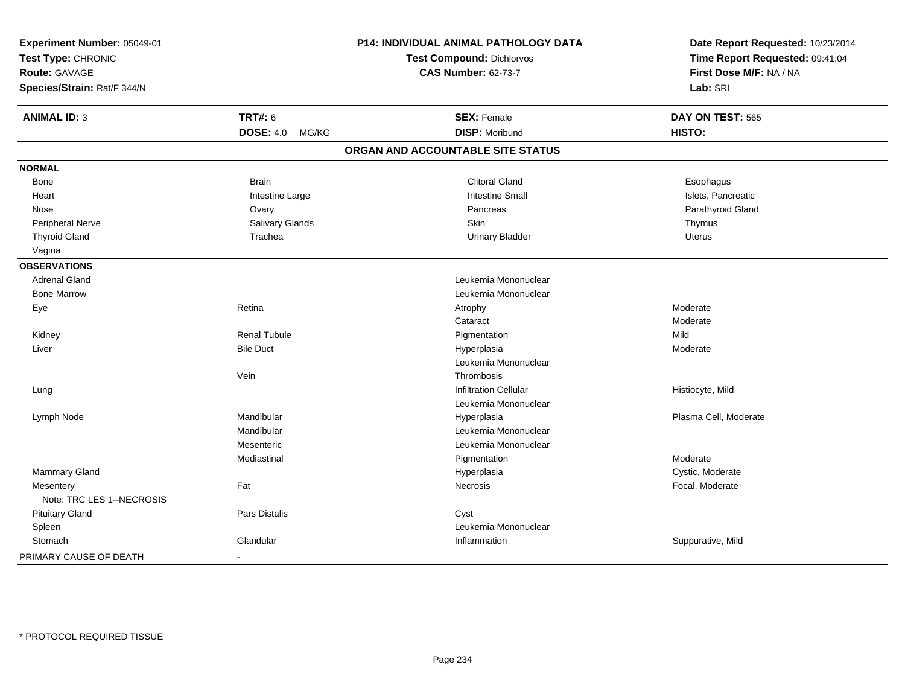| Experiment Number: 05049-01<br>Test Type: CHRONIC |                           | P14: INDIVIDUAL ANIMAL PATHOLOGY DATA<br><b>Test Compound: Dichlorvos</b> | Date Report Requested: 10/23/2014<br>Time Report Requested: 09:41:04 |
|---------------------------------------------------|---------------------------|---------------------------------------------------------------------------|----------------------------------------------------------------------|
| <b>Route: GAVAGE</b>                              |                           | <b>CAS Number: 62-73-7</b>                                                | First Dose M/F: NA / NA                                              |
| Species/Strain: Rat/F 344/N                       |                           |                                                                           | Lab: SRI                                                             |
| <b>ANIMAL ID: 3</b>                               | <b>TRT#: 6</b>            | <b>SEX: Female</b>                                                        | DAY ON TEST: 565                                                     |
|                                                   | <b>DOSE: 4.0</b><br>MG/KG | <b>DISP: Moribund</b>                                                     | HISTO:                                                               |
|                                                   |                           | ORGAN AND ACCOUNTABLE SITE STATUS                                         |                                                                      |
| <b>NORMAL</b>                                     |                           |                                                                           |                                                                      |
| Bone                                              | <b>Brain</b>              | <b>Clitoral Gland</b>                                                     | Esophagus                                                            |
| Heart                                             | Intestine Large           | <b>Intestine Small</b>                                                    | Islets, Pancreatic                                                   |
| Nose                                              | Ovary                     | Pancreas                                                                  | Parathyroid Gland                                                    |
| Peripheral Nerve                                  | Salivary Glands           | Skin                                                                      | Thymus                                                               |
| <b>Thyroid Gland</b>                              | Trachea                   | <b>Urinary Bladder</b>                                                    | Uterus                                                               |
| Vagina                                            |                           |                                                                           |                                                                      |
| <b>OBSERVATIONS</b>                               |                           |                                                                           |                                                                      |
| <b>Adrenal Gland</b>                              |                           | Leukemia Mononuclear                                                      |                                                                      |
| <b>Bone Marrow</b>                                |                           | Leukemia Mononuclear                                                      |                                                                      |
| Eye                                               | Retina                    | Atrophy                                                                   | Moderate                                                             |
|                                                   |                           | Cataract                                                                  | Moderate                                                             |
| Kidney                                            | <b>Renal Tubule</b>       | Pigmentation                                                              | Mild                                                                 |
| Liver                                             | <b>Bile Duct</b>          | Hyperplasia                                                               | Moderate                                                             |
|                                                   |                           | Leukemia Mononuclear                                                      |                                                                      |
|                                                   | Vein                      | Thrombosis                                                                |                                                                      |
| Lung                                              |                           | <b>Infiltration Cellular</b>                                              | Histiocyte, Mild                                                     |
|                                                   |                           | Leukemia Mononuclear                                                      |                                                                      |
| Lymph Node                                        | Mandibular                | Hyperplasia                                                               | Plasma Cell, Moderate                                                |
|                                                   | Mandibular                | Leukemia Mononuclear                                                      |                                                                      |
|                                                   | Mesenteric                | Leukemia Mononuclear                                                      |                                                                      |
|                                                   | Mediastinal               | Pigmentation                                                              | Moderate                                                             |
| Mammary Gland                                     |                           | Hyperplasia                                                               | Cystic, Moderate                                                     |
| Mesentery<br>Note: TRC LES 1--NECROSIS            | Fat                       | Necrosis                                                                  | Focal, Moderate                                                      |
| <b>Pituitary Gland</b>                            | Pars Distalis             | Cyst                                                                      |                                                                      |
| Spleen                                            |                           | Leukemia Mononuclear                                                      |                                                                      |
| Stomach                                           | Glandular                 | Inflammation                                                              | Suppurative, Mild                                                    |
| PRIMARY CAUSE OF DEATH                            | $\sim$                    |                                                                           |                                                                      |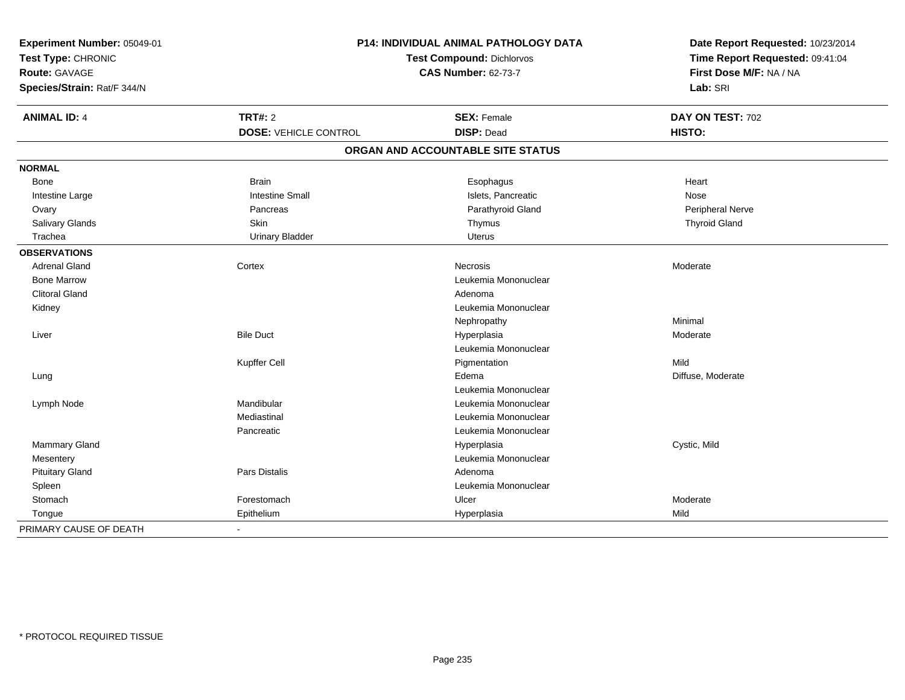| Experiment Number: 05049-01 | P14: INDIVIDUAL ANIMAL PATHOLOGY DATA<br><b>Test Compound: Dichlorvos</b> |                                   | Date Report Requested: 10/23/2014<br>Time Report Requested: 09:41:04 |
|-----------------------------|---------------------------------------------------------------------------|-----------------------------------|----------------------------------------------------------------------|
| Test Type: CHRONIC          |                                                                           |                                   |                                                                      |
| Route: GAVAGE               |                                                                           | <b>CAS Number: 62-73-7</b>        | First Dose M/F: NA / NA                                              |
| Species/Strain: Rat/F 344/N |                                                                           |                                   | Lab: SRI                                                             |
| <b>ANIMAL ID: 4</b>         | TRT#: 2                                                                   | <b>SEX: Female</b>                | DAY ON TEST: 702                                                     |
|                             | <b>DOSE: VEHICLE CONTROL</b>                                              | <b>DISP: Dead</b>                 | HISTO:                                                               |
|                             |                                                                           | ORGAN AND ACCOUNTABLE SITE STATUS |                                                                      |
| <b>NORMAL</b>               |                                                                           |                                   |                                                                      |
| Bone                        | <b>Brain</b>                                                              | Esophagus                         | Heart                                                                |
| Intestine Large             | <b>Intestine Small</b>                                                    | Islets, Pancreatic                | Nose                                                                 |
| Ovary                       | Pancreas                                                                  | Parathyroid Gland                 | Peripheral Nerve                                                     |
| Salivary Glands             | Skin                                                                      | Thymus                            | <b>Thyroid Gland</b>                                                 |
| Trachea                     | <b>Urinary Bladder</b>                                                    | <b>Uterus</b>                     |                                                                      |
| <b>OBSERVATIONS</b>         |                                                                           |                                   |                                                                      |
| <b>Adrenal Gland</b>        | Cortex                                                                    | <b>Necrosis</b>                   | Moderate                                                             |
| <b>Bone Marrow</b>          |                                                                           | Leukemia Mononuclear              |                                                                      |
| <b>Clitoral Gland</b>       |                                                                           | Adenoma                           |                                                                      |
| Kidney                      |                                                                           | Leukemia Mononuclear              |                                                                      |
|                             |                                                                           | Nephropathy                       | Minimal                                                              |
| Liver                       | <b>Bile Duct</b>                                                          | Hyperplasia                       | Moderate                                                             |
|                             |                                                                           | Leukemia Mononuclear              |                                                                      |
|                             | Kupffer Cell                                                              | Pigmentation                      | Mild                                                                 |
| Lung                        |                                                                           | Edema                             | Diffuse, Moderate                                                    |
|                             |                                                                           | Leukemia Mononuclear              |                                                                      |
| Lymph Node                  | Mandibular                                                                | Leukemia Mononuclear              |                                                                      |
|                             | Mediastinal                                                               | Leukemia Mononuclear              |                                                                      |
|                             | Pancreatic                                                                | Leukemia Mononuclear              |                                                                      |
| Mammary Gland               |                                                                           | Hyperplasia                       | Cystic, Mild                                                         |
| Mesentery                   |                                                                           | Leukemia Mononuclear              |                                                                      |
| <b>Pituitary Gland</b>      | Pars Distalis                                                             | Adenoma                           |                                                                      |
| Spleen                      |                                                                           | Leukemia Mononuclear              |                                                                      |
| Stomach                     | Forestomach                                                               | Ulcer                             | Moderate                                                             |
| Tongue                      | Epithelium                                                                | Hyperplasia                       | Mild                                                                 |
| PRIMARY CAUSE OF DEATH      | $\overline{a}$                                                            |                                   |                                                                      |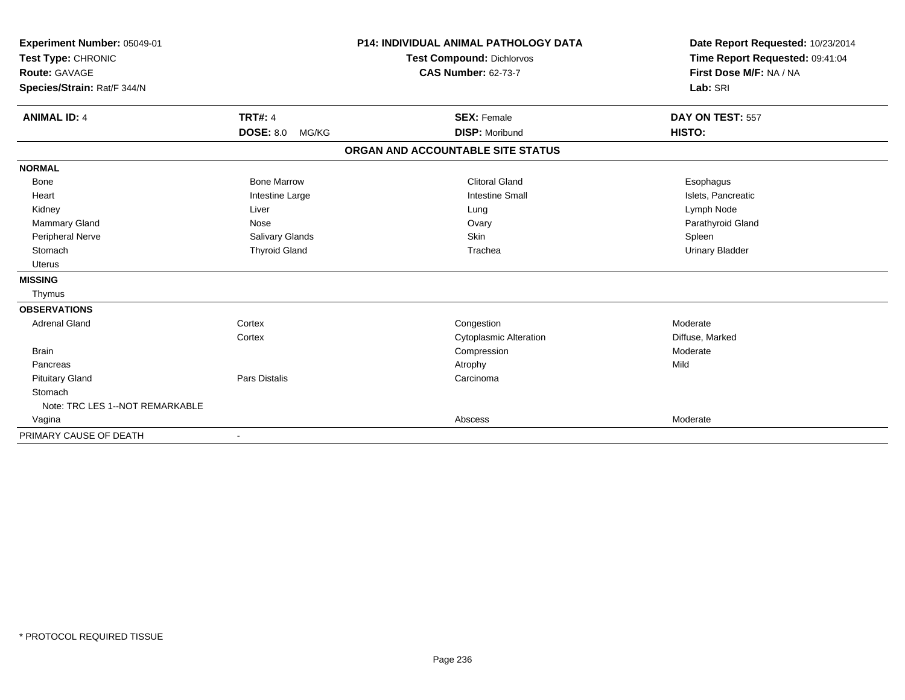| Experiment Number: 05049-01<br>Test Type: CHRONIC<br>Route: GAVAGE<br>Species/Strain: Rat/F 344/N |                                             | <b>P14: INDIVIDUAL ANIMAL PATHOLOGY DATA</b><br><b>Test Compound: Dichlorvos</b><br><b>CAS Number: 62-73-7</b> | Date Report Requested: 10/23/2014<br>Time Report Requested: 09:41:04<br>First Dose M/F: NA / NA<br>Lab: SRI |
|---------------------------------------------------------------------------------------------------|---------------------------------------------|----------------------------------------------------------------------------------------------------------------|-------------------------------------------------------------------------------------------------------------|
| <b>ANIMAL ID: 4</b>                                                                               | <b>TRT#: 4</b><br><b>DOSE: 8.0</b><br>MG/KG | <b>SEX: Female</b><br><b>DISP: Moribund</b>                                                                    | DAY ON TEST: 557<br>HISTO:                                                                                  |
|                                                                                                   |                                             | ORGAN AND ACCOUNTABLE SITE STATUS                                                                              |                                                                                                             |
| <b>NORMAL</b>                                                                                     |                                             |                                                                                                                |                                                                                                             |
| <b>Bone</b>                                                                                       | <b>Bone Marrow</b>                          | <b>Clitoral Gland</b>                                                                                          | Esophagus                                                                                                   |
| Heart                                                                                             | Intestine Large                             | <b>Intestine Small</b>                                                                                         | Islets, Pancreatic                                                                                          |
| Kidney                                                                                            | Liver                                       | Lung                                                                                                           | Lymph Node                                                                                                  |
| Mammary Gland                                                                                     | Nose                                        | Ovary                                                                                                          | Parathyroid Gland                                                                                           |
| Peripheral Nerve                                                                                  | Salivary Glands                             | Skin                                                                                                           | Spleen                                                                                                      |
| Stomach                                                                                           | <b>Thyroid Gland</b>                        | Trachea                                                                                                        | <b>Urinary Bladder</b>                                                                                      |
| <b>Uterus</b>                                                                                     |                                             |                                                                                                                |                                                                                                             |
| <b>MISSING</b>                                                                                    |                                             |                                                                                                                |                                                                                                             |
| Thymus                                                                                            |                                             |                                                                                                                |                                                                                                             |
| <b>OBSERVATIONS</b>                                                                               |                                             |                                                                                                                |                                                                                                             |
| <b>Adrenal Gland</b>                                                                              | Cortex                                      | Congestion                                                                                                     | Moderate                                                                                                    |
|                                                                                                   | Cortex                                      | <b>Cytoplasmic Alteration</b>                                                                                  | Diffuse, Marked                                                                                             |
| <b>Brain</b>                                                                                      |                                             | Compression                                                                                                    | Moderate                                                                                                    |
| Pancreas                                                                                          |                                             | Atrophy                                                                                                        | Mild                                                                                                        |
| <b>Pituitary Gland</b>                                                                            | <b>Pars Distalis</b>                        | Carcinoma                                                                                                      |                                                                                                             |
| Stomach                                                                                           |                                             |                                                                                                                |                                                                                                             |
| Note: TRC LES 1--NOT REMARKABLE                                                                   |                                             |                                                                                                                |                                                                                                             |
| Vagina                                                                                            |                                             | Abscess                                                                                                        | Moderate                                                                                                    |
| PRIMARY CAUSE OF DEATH                                                                            | $\blacksquare$                              |                                                                                                                |                                                                                                             |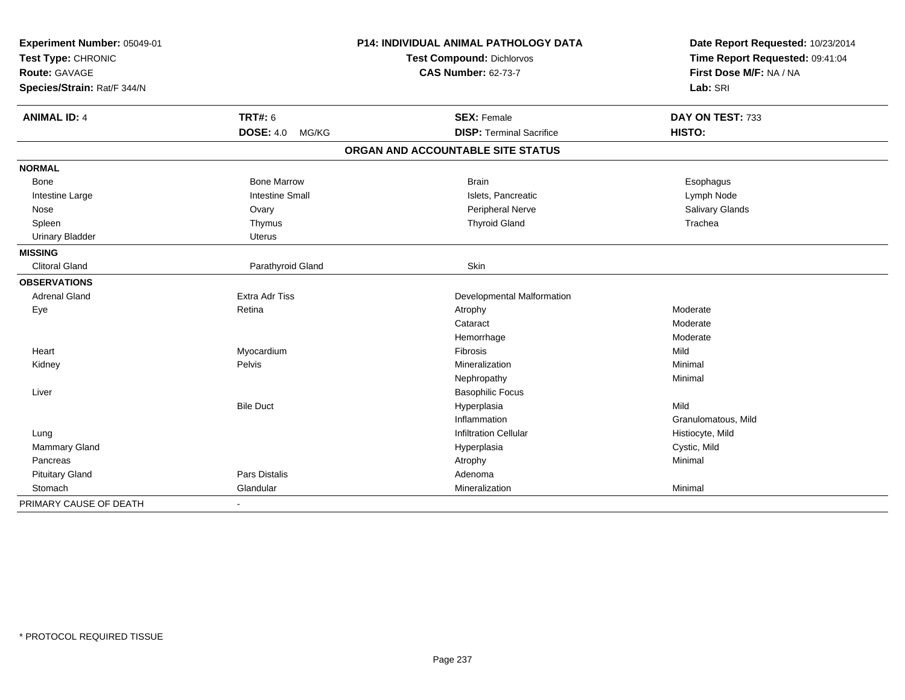| Experiment Number: 05049-01<br>Test Type: CHRONIC<br><b>Route: GAVAGE</b> |                        | <b>P14: INDIVIDUAL ANIMAL PATHOLOGY DATA</b> | Date Report Requested: 10/23/2014<br>Time Report Requested: 09:41:04<br>First Dose M/F: NA / NA |
|---------------------------------------------------------------------------|------------------------|----------------------------------------------|-------------------------------------------------------------------------------------------------|
|                                                                           |                        | Test Compound: Dichlorvos                    |                                                                                                 |
|                                                                           |                        | <b>CAS Number: 62-73-7</b>                   |                                                                                                 |
| Species/Strain: Rat/F 344/N                                               |                        |                                              | Lab: SRI                                                                                        |
| <b>ANIMAL ID: 4</b>                                                       | <b>TRT#: 6</b>         | <b>SEX: Female</b>                           | DAY ON TEST: 733                                                                                |
|                                                                           | DOSE: 4.0 MG/KG        | <b>DISP: Terminal Sacrifice</b>              | HISTO:                                                                                          |
|                                                                           |                        | ORGAN AND ACCOUNTABLE SITE STATUS            |                                                                                                 |
| <b>NORMAL</b>                                                             |                        |                                              |                                                                                                 |
| Bone                                                                      | <b>Bone Marrow</b>     | <b>Brain</b>                                 | Esophagus                                                                                       |
| Intestine Large                                                           | <b>Intestine Small</b> | Islets, Pancreatic                           | Lymph Node                                                                                      |
| Nose                                                                      | Ovary                  | Peripheral Nerve                             | Salivary Glands                                                                                 |
| Spleen                                                                    | Thymus                 | <b>Thyroid Gland</b>                         | Trachea                                                                                         |
| <b>Urinary Bladder</b>                                                    | <b>Uterus</b>          |                                              |                                                                                                 |
| <b>MISSING</b>                                                            |                        |                                              |                                                                                                 |
| <b>Clitoral Gland</b>                                                     | Parathyroid Gland      | Skin                                         |                                                                                                 |
| <b>OBSERVATIONS</b>                                                       |                        |                                              |                                                                                                 |
| <b>Adrenal Gland</b>                                                      | <b>Extra Adr Tiss</b>  | Developmental Malformation                   |                                                                                                 |
| Eye                                                                       | Retina                 | Atrophy                                      | Moderate                                                                                        |
|                                                                           |                        | Cataract                                     | Moderate                                                                                        |
|                                                                           |                        | Hemorrhage                                   | Moderate                                                                                        |
| Heart                                                                     | Myocardium             | Fibrosis                                     | Mild                                                                                            |
| Kidney                                                                    | Pelvis                 | Mineralization                               | Minimal                                                                                         |
|                                                                           |                        | Nephropathy                                  | Minimal                                                                                         |
| Liver                                                                     |                        | <b>Basophilic Focus</b>                      |                                                                                                 |
|                                                                           | <b>Bile Duct</b>       | Hyperplasia                                  | Mild                                                                                            |
|                                                                           |                        | Inflammation                                 | Granulomatous, Mild                                                                             |
| Lung                                                                      |                        | <b>Infiltration Cellular</b>                 | Histiocyte, Mild                                                                                |
| Mammary Gland                                                             |                        | Hyperplasia                                  | Cystic, Mild                                                                                    |
| Pancreas                                                                  |                        | Atrophy                                      | Minimal                                                                                         |
| <b>Pituitary Gland</b>                                                    | Pars Distalis          | Adenoma                                      |                                                                                                 |
| Stomach                                                                   | Glandular              | Mineralization                               | Minimal                                                                                         |
| PRIMARY CAUSE OF DEATH                                                    | $\blacksquare$         |                                              |                                                                                                 |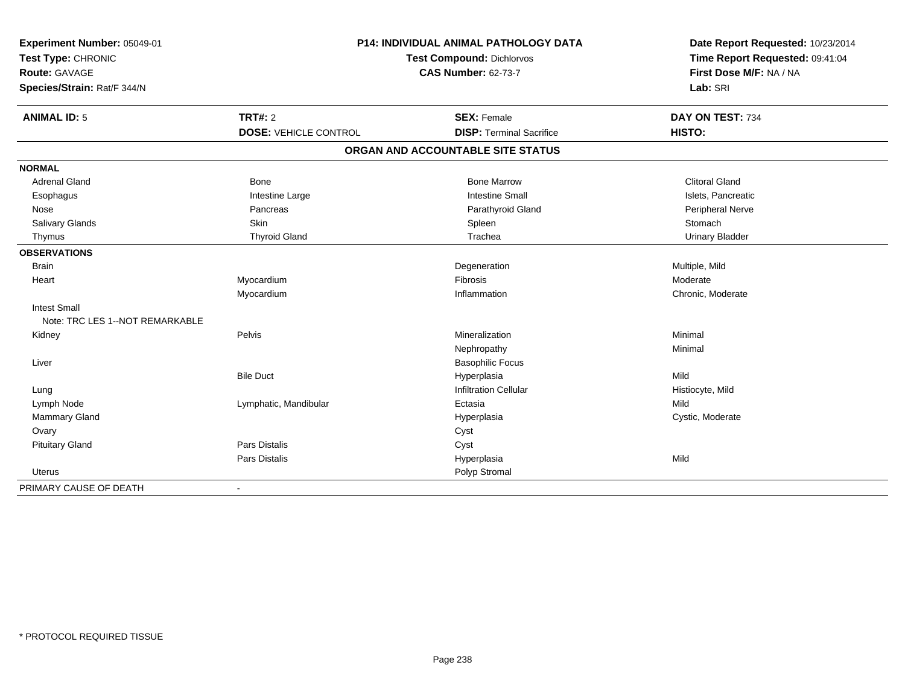| Experiment Number: 05049-01<br>Test Type: CHRONIC<br>Route: GAVAGE<br>Species/Strain: Rat/F 344/N | P14: INDIVIDUAL ANIMAL PATHOLOGY DATA<br>Test Compound: Dichlorvos<br><b>CAS Number: 62-73-7</b> |                                   | Date Report Requested: 10/23/2014<br>Time Report Requested: 09:41:04<br>First Dose M/F: NA / NA<br>Lab: SRI |  |
|---------------------------------------------------------------------------------------------------|--------------------------------------------------------------------------------------------------|-----------------------------------|-------------------------------------------------------------------------------------------------------------|--|
| <b>ANIMAL ID: 5</b>                                                                               | <b>TRT#: 2</b>                                                                                   | <b>SEX: Female</b>                | DAY ON TEST: 734                                                                                            |  |
|                                                                                                   | <b>DOSE: VEHICLE CONTROL</b>                                                                     | <b>DISP: Terminal Sacrifice</b>   | HISTO:                                                                                                      |  |
|                                                                                                   |                                                                                                  | ORGAN AND ACCOUNTABLE SITE STATUS |                                                                                                             |  |
| <b>NORMAL</b>                                                                                     |                                                                                                  |                                   |                                                                                                             |  |
| <b>Adrenal Gland</b>                                                                              | Bone                                                                                             | <b>Bone Marrow</b>                | <b>Clitoral Gland</b>                                                                                       |  |
| Esophagus                                                                                         | Intestine Large                                                                                  | <b>Intestine Small</b>            | Islets, Pancreatic                                                                                          |  |
| Nose                                                                                              | Pancreas                                                                                         | Parathyroid Gland                 | Peripheral Nerve                                                                                            |  |
| <b>Salivary Glands</b>                                                                            | Skin                                                                                             | Spleen                            | Stomach                                                                                                     |  |
| Thymus                                                                                            | <b>Thyroid Gland</b>                                                                             | Trachea                           | <b>Urinary Bladder</b>                                                                                      |  |
| <b>OBSERVATIONS</b>                                                                               |                                                                                                  |                                   |                                                                                                             |  |
| <b>Brain</b>                                                                                      |                                                                                                  | Degeneration                      | Multiple, Mild                                                                                              |  |
| Heart                                                                                             | Myocardium                                                                                       | <b>Fibrosis</b>                   | Moderate                                                                                                    |  |
|                                                                                                   | Myocardium                                                                                       | Inflammation                      | Chronic, Moderate                                                                                           |  |
| <b>Intest Small</b><br>Note: TRC LES 1--NOT REMARKABLE                                            |                                                                                                  |                                   |                                                                                                             |  |
| Kidney                                                                                            | Pelvis                                                                                           | Mineralization                    | Minimal                                                                                                     |  |
|                                                                                                   |                                                                                                  | Nephropathy                       | Minimal                                                                                                     |  |
| Liver                                                                                             |                                                                                                  | <b>Basophilic Focus</b>           |                                                                                                             |  |
|                                                                                                   | <b>Bile Duct</b>                                                                                 | Hyperplasia                       | Mild                                                                                                        |  |
| Lung                                                                                              |                                                                                                  | <b>Infiltration Cellular</b>      | Histiocyte, Mild                                                                                            |  |
| Lymph Node                                                                                        | Lymphatic, Mandibular                                                                            | Ectasia                           | Mild                                                                                                        |  |
| Mammary Gland                                                                                     |                                                                                                  | Hyperplasia                       | Cystic, Moderate                                                                                            |  |
| Ovary                                                                                             |                                                                                                  | Cyst                              |                                                                                                             |  |
| <b>Pituitary Gland</b>                                                                            | Pars Distalis                                                                                    | Cyst                              |                                                                                                             |  |
|                                                                                                   | Pars Distalis                                                                                    | Hyperplasia                       | Mild                                                                                                        |  |
| Uterus                                                                                            |                                                                                                  | Polyp Stromal                     |                                                                                                             |  |
| PRIMARY CAUSE OF DEATH                                                                            | $\blacksquare$                                                                                   |                                   |                                                                                                             |  |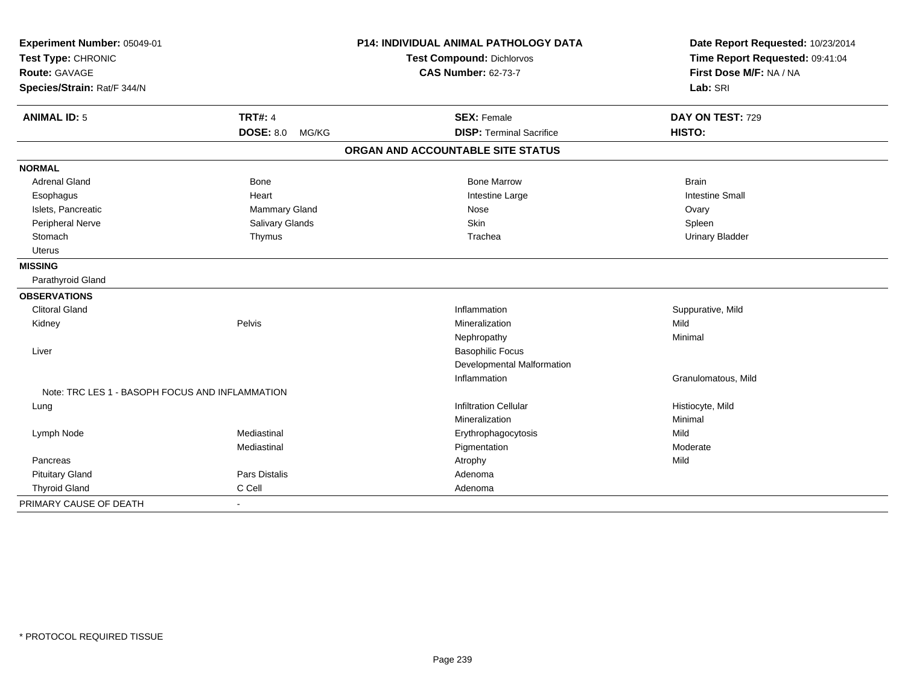| Experiment Number: 05049-01<br>Test Type: CHRONIC<br><b>Route: GAVAGE</b> |                           | <b>P14: INDIVIDUAL ANIMAL PATHOLOGY DATA</b> | Date Report Requested: 10/23/2014<br>Time Report Requested: 09:41:04<br>First Dose M/F: NA / NA |
|---------------------------------------------------------------------------|---------------------------|----------------------------------------------|-------------------------------------------------------------------------------------------------|
|                                                                           |                           | <b>Test Compound: Dichlorvos</b>             |                                                                                                 |
|                                                                           |                           | <b>CAS Number: 62-73-7</b>                   |                                                                                                 |
| Species/Strain: Rat/F 344/N                                               |                           |                                              | Lab: SRI                                                                                        |
| <b>ANIMAL ID: 5</b>                                                       | <b>TRT#: 4</b>            | <b>SEX: Female</b>                           | DAY ON TEST: 729                                                                                |
|                                                                           | <b>DOSE: 8.0</b><br>MG/KG | <b>DISP: Terminal Sacrifice</b>              | HISTO:                                                                                          |
|                                                                           |                           | ORGAN AND ACCOUNTABLE SITE STATUS            |                                                                                                 |
| <b>NORMAL</b>                                                             |                           |                                              |                                                                                                 |
| <b>Adrenal Gland</b>                                                      | Bone                      | <b>Bone Marrow</b>                           | <b>Brain</b>                                                                                    |
| Esophagus                                                                 | Heart                     | Intestine Large                              | <b>Intestine Small</b>                                                                          |
| Islets, Pancreatic                                                        | Mammary Gland             | Nose                                         | Ovary                                                                                           |
| Peripheral Nerve                                                          | Salivary Glands           | Skin                                         | Spleen                                                                                          |
| Stomach                                                                   | Thymus                    | Trachea                                      | <b>Urinary Bladder</b>                                                                          |
| <b>Uterus</b>                                                             |                           |                                              |                                                                                                 |
| <b>MISSING</b>                                                            |                           |                                              |                                                                                                 |
| Parathyroid Gland                                                         |                           |                                              |                                                                                                 |
| <b>OBSERVATIONS</b>                                                       |                           |                                              |                                                                                                 |
| <b>Clitoral Gland</b>                                                     |                           | Inflammation                                 | Suppurative, Mild                                                                               |
| Kidney                                                                    | Pelvis                    | Mineralization                               | Mild                                                                                            |
|                                                                           |                           | Nephropathy                                  | Minimal                                                                                         |
| Liver                                                                     |                           | <b>Basophilic Focus</b>                      |                                                                                                 |
|                                                                           |                           | Developmental Malformation                   |                                                                                                 |
|                                                                           |                           | Inflammation                                 | Granulomatous, Mild                                                                             |
| Note: TRC LES 1 - BASOPH FOCUS AND INFLAMMATION                           |                           |                                              |                                                                                                 |
| Lung                                                                      |                           | <b>Infiltration Cellular</b>                 | Histiocyte, Mild                                                                                |
|                                                                           |                           | Mineralization                               | Minimal                                                                                         |
| Lymph Node                                                                | Mediastinal               | Erythrophagocytosis                          | Mild                                                                                            |
|                                                                           | Mediastinal               | Pigmentation                                 | Moderate                                                                                        |
| Pancreas                                                                  |                           | Atrophy                                      | Mild                                                                                            |
| <b>Pituitary Gland</b>                                                    | <b>Pars Distalis</b>      | Adenoma                                      |                                                                                                 |
| <b>Thyroid Gland</b>                                                      | C Cell                    | Adenoma                                      |                                                                                                 |
| PRIMARY CAUSE OF DEATH                                                    | $\blacksquare$            |                                              |                                                                                                 |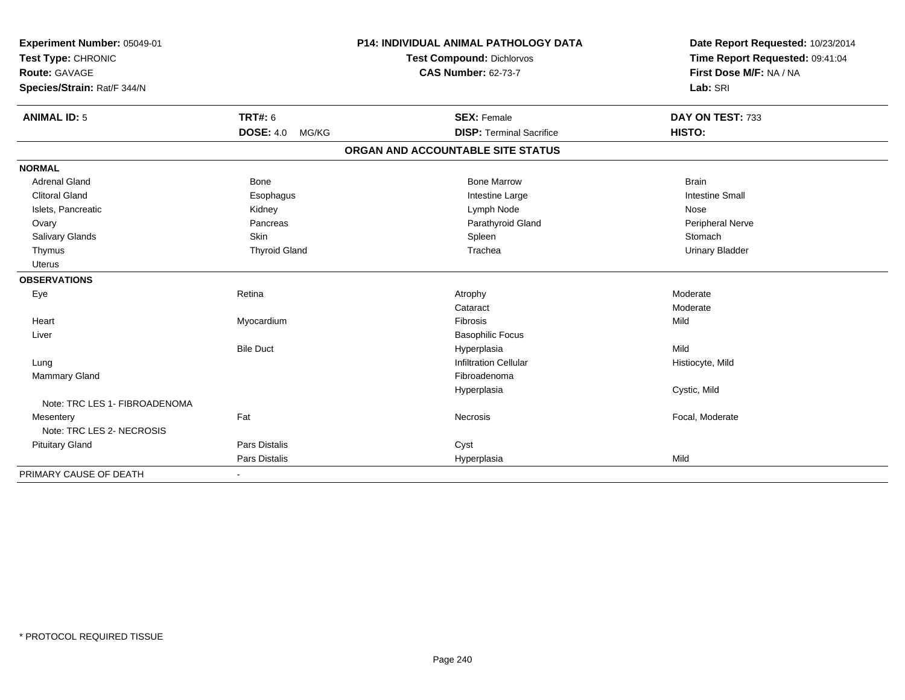| Experiment Number: 05049-01            |                           | <b>P14: INDIVIDUAL ANIMAL PATHOLOGY DATA</b> | Date Report Requested: 10/23/2014 |
|----------------------------------------|---------------------------|----------------------------------------------|-----------------------------------|
| Test Type: CHRONIC                     |                           | <b>Test Compound: Dichlorvos</b>             | Time Report Requested: 09:41:04   |
| <b>Route: GAVAGE</b>                   |                           | <b>CAS Number: 62-73-7</b>                   | First Dose M/F: NA / NA           |
| Species/Strain: Rat/F 344/N            |                           |                                              | Lab: SRI                          |
| <b>ANIMAL ID: 5</b>                    | <b>TRT#: 6</b>            | <b>SEX: Female</b>                           | DAY ON TEST: 733                  |
|                                        | <b>DOSE: 4.0</b><br>MG/KG | <b>DISP: Terminal Sacrifice</b>              | HISTO:                            |
|                                        |                           | ORGAN AND ACCOUNTABLE SITE STATUS            |                                   |
| <b>NORMAL</b>                          |                           |                                              |                                   |
| <b>Adrenal Gland</b>                   | Bone                      | <b>Bone Marrow</b>                           | <b>Brain</b>                      |
| <b>Clitoral Gland</b>                  | Esophagus                 | Intestine Large                              | <b>Intestine Small</b>            |
| Islets, Pancreatic                     | Kidney                    | Lymph Node                                   | Nose                              |
| Ovary                                  | Pancreas                  | Parathyroid Gland                            | Peripheral Nerve                  |
| Salivary Glands                        | Skin                      | Spleen                                       | Stomach                           |
| Thymus                                 | <b>Thyroid Gland</b>      | Trachea                                      | <b>Urinary Bladder</b>            |
| <b>Uterus</b>                          |                           |                                              |                                   |
| <b>OBSERVATIONS</b>                    |                           |                                              |                                   |
| Eye                                    | Retina                    | Atrophy                                      | Moderate                          |
|                                        |                           | Cataract                                     | Moderate                          |
| Heart                                  | Myocardium                | Fibrosis                                     | Mild                              |
| Liver                                  |                           | <b>Basophilic Focus</b>                      |                                   |
|                                        | <b>Bile Duct</b>          | Hyperplasia                                  | Mild                              |
| Lung                                   |                           | <b>Infiltration Cellular</b>                 | Histiocyte, Mild                  |
| Mammary Gland                          |                           | Fibroadenoma                                 |                                   |
|                                        |                           | Hyperplasia                                  | Cystic, Mild                      |
| Note: TRC LES 1- FIBROADENOMA          |                           |                                              |                                   |
| Mesentery<br>Note: TRC LES 2- NECROSIS | Fat                       | Necrosis                                     | Focal, Moderate                   |
| <b>Pituitary Gland</b>                 | Pars Distalis             | Cyst                                         |                                   |
|                                        | Pars Distalis             | Hyperplasia                                  | Mild                              |
| PRIMARY CAUSE OF DEATH                 | $\sim$                    |                                              |                                   |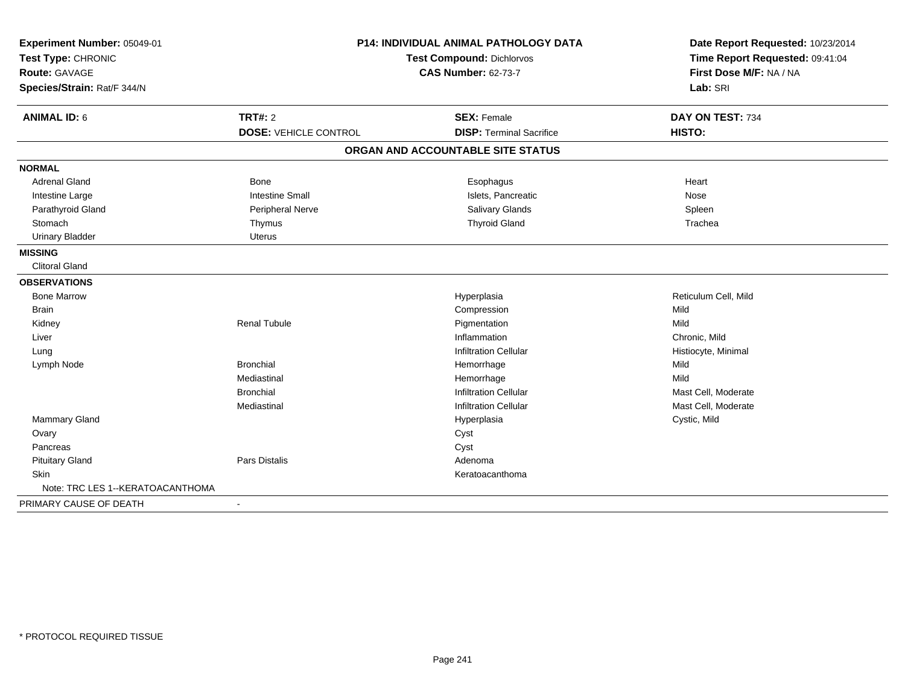| Experiment Number: 05049-01      | <b>P14: INDIVIDUAL ANIMAL PATHOLOGY DATA</b><br><b>Test Compound: Dichlorvos</b> |                                   | Date Report Requested: 10/23/2014<br>Time Report Requested: 09:41:04 |
|----------------------------------|----------------------------------------------------------------------------------|-----------------------------------|----------------------------------------------------------------------|
| Test Type: CHRONIC               |                                                                                  |                                   |                                                                      |
| <b>Route: GAVAGE</b>             |                                                                                  | <b>CAS Number: 62-73-7</b>        | First Dose M/F: NA / NA                                              |
| Species/Strain: Rat/F 344/N      |                                                                                  |                                   | Lab: SRI                                                             |
| <b>ANIMAL ID: 6</b>              | <b>TRT#: 2</b>                                                                   | <b>SEX: Female</b>                | DAY ON TEST: 734                                                     |
|                                  | <b>DOSE: VEHICLE CONTROL</b>                                                     | <b>DISP: Terminal Sacrifice</b>   | HISTO:                                                               |
|                                  |                                                                                  | ORGAN AND ACCOUNTABLE SITE STATUS |                                                                      |
| <b>NORMAL</b>                    |                                                                                  |                                   |                                                                      |
| <b>Adrenal Gland</b>             | Bone                                                                             | Esophagus                         | Heart                                                                |
| Intestine Large                  | <b>Intestine Small</b>                                                           | Islets, Pancreatic                | Nose                                                                 |
| Parathyroid Gland                | Peripheral Nerve                                                                 | Salivary Glands                   | Spleen                                                               |
| Stomach                          | Thymus                                                                           | <b>Thyroid Gland</b>              | Trachea                                                              |
| <b>Urinary Bladder</b>           | <b>Uterus</b>                                                                    |                                   |                                                                      |
| <b>MISSING</b>                   |                                                                                  |                                   |                                                                      |
| <b>Clitoral Gland</b>            |                                                                                  |                                   |                                                                      |
| <b>OBSERVATIONS</b>              |                                                                                  |                                   |                                                                      |
| <b>Bone Marrow</b>               |                                                                                  | Hyperplasia                       | Reticulum Cell, Mild                                                 |
| <b>Brain</b>                     |                                                                                  | Compression                       | Mild                                                                 |
| Kidney                           | <b>Renal Tubule</b>                                                              | Pigmentation                      | Mild                                                                 |
| Liver                            |                                                                                  | Inflammation                      | Chronic, Mild                                                        |
| Lung                             |                                                                                  | <b>Infiltration Cellular</b>      | Histiocyte, Minimal                                                  |
| Lymph Node                       | <b>Bronchial</b>                                                                 | Hemorrhage                        | Mild                                                                 |
|                                  | Mediastinal                                                                      | Hemorrhage                        | Mild                                                                 |
|                                  | <b>Bronchial</b>                                                                 | <b>Infiltration Cellular</b>      | Mast Cell, Moderate                                                  |
|                                  | Mediastinal                                                                      | <b>Infiltration Cellular</b>      | Mast Cell, Moderate                                                  |
| Mammary Gland                    |                                                                                  | Hyperplasia                       | Cystic, Mild                                                         |
| Ovary                            |                                                                                  | Cyst                              |                                                                      |
| Pancreas                         |                                                                                  | Cyst                              |                                                                      |
| <b>Pituitary Gland</b>           | Pars Distalis                                                                    | Adenoma                           |                                                                      |
| Skin                             |                                                                                  | Keratoacanthoma                   |                                                                      |
| Note: TRC LES 1--KERATOACANTHOMA |                                                                                  |                                   |                                                                      |
| PRIMARY CAUSE OF DEATH           | $\blacksquare$                                                                   |                                   |                                                                      |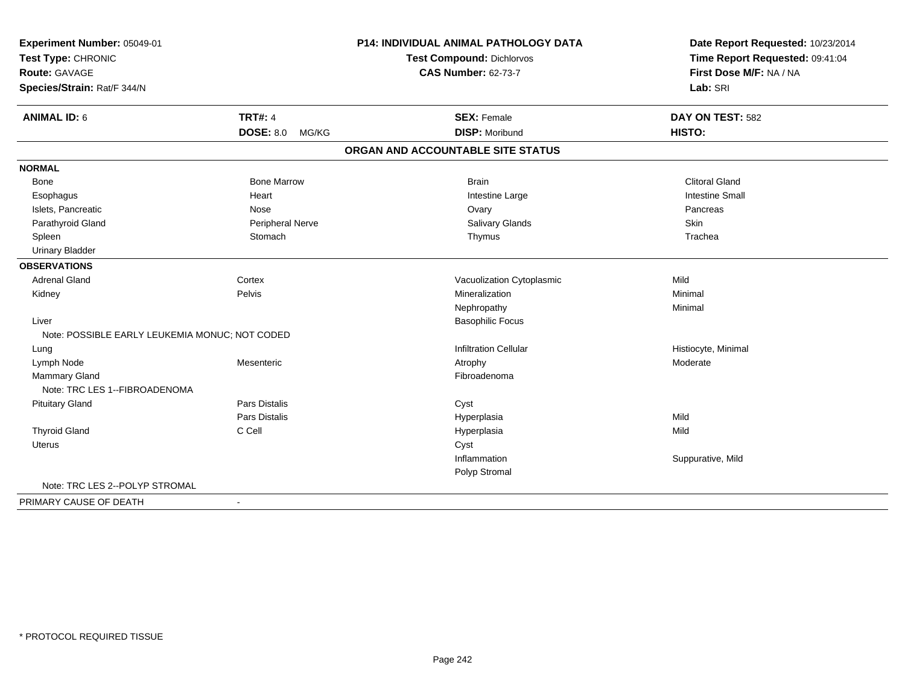| Experiment Number: 05049-01<br>Test Type: CHRONIC |                      | P14: INDIVIDUAL ANIMAL PATHOLOGY DATA | Date Report Requested: 10/23/2014<br>Time Report Requested: 09:41:04 |
|---------------------------------------------------|----------------------|---------------------------------------|----------------------------------------------------------------------|
|                                                   |                      | <b>Test Compound: Dichlorvos</b>      |                                                                      |
| Route: GAVAGE                                     |                      | <b>CAS Number: 62-73-7</b>            | First Dose M/F: NA / NA                                              |
| Species/Strain: Rat/F 344/N                       |                      |                                       | Lab: SRI                                                             |
| <b>ANIMAL ID: 6</b>                               | <b>TRT#: 4</b>       | <b>SEX: Female</b>                    | DAY ON TEST: 582                                                     |
|                                                   | DOSE: 8.0 MG/KG      | <b>DISP: Moribund</b>                 | <b>HISTO:</b>                                                        |
|                                                   |                      | ORGAN AND ACCOUNTABLE SITE STATUS     |                                                                      |
| <b>NORMAL</b>                                     |                      |                                       |                                                                      |
| Bone                                              | <b>Bone Marrow</b>   | <b>Brain</b>                          | <b>Clitoral Gland</b>                                                |
| Esophagus                                         | Heart                | Intestine Large                       | <b>Intestine Small</b>                                               |
| Islets, Pancreatic                                | Nose                 | Ovary                                 | Pancreas                                                             |
| Parathyroid Gland                                 | Peripheral Nerve     | Salivary Glands                       | Skin                                                                 |
| Spleen                                            | Stomach              | Thymus                                | Trachea                                                              |
| <b>Urinary Bladder</b>                            |                      |                                       |                                                                      |
| <b>OBSERVATIONS</b>                               |                      |                                       |                                                                      |
| <b>Adrenal Gland</b>                              | Cortex               | Vacuolization Cytoplasmic             | Mild                                                                 |
| Kidney                                            | Pelvis               | Mineralization                        | Minimal                                                              |
|                                                   |                      | Nephropathy                           | Minimal                                                              |
| Liver                                             |                      | <b>Basophilic Focus</b>               |                                                                      |
| Note: POSSIBLE EARLY LEUKEMIA MONUC; NOT CODED    |                      |                                       |                                                                      |
| Lung                                              |                      | <b>Infiltration Cellular</b>          | Histiocyte, Minimal                                                  |
| Lymph Node                                        | Mesenteric           | Atrophy                               | Moderate                                                             |
| <b>Mammary Gland</b>                              |                      | Fibroadenoma                          |                                                                      |
| Note: TRC LES 1--FIBROADENOMA                     |                      |                                       |                                                                      |
| <b>Pituitary Gland</b>                            | Pars Distalis        | Cyst                                  |                                                                      |
|                                                   | <b>Pars Distalis</b> | Hyperplasia                           | Mild                                                                 |
| <b>Thyroid Gland</b>                              | C Cell               | Hyperplasia                           | Mild                                                                 |
| Uterus                                            |                      | Cyst                                  |                                                                      |
|                                                   |                      | Inflammation                          | Suppurative, Mild                                                    |
|                                                   |                      | Polyp Stromal                         |                                                                      |
| Note: TRC LES 2--POLYP STROMAL                    |                      |                                       |                                                                      |
| PRIMARY CAUSE OF DEATH                            | $\blacksquare$       |                                       |                                                                      |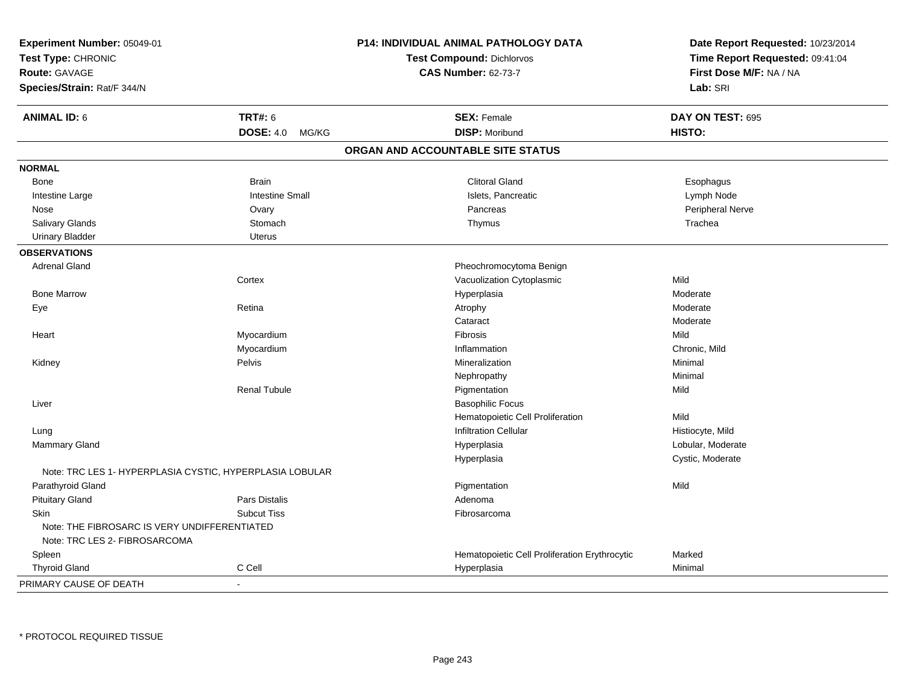| Experiment Number: 05049-01<br>Test Type: CHRONIC<br><b>Route: GAVAGE</b><br>Species/Strain: Rat/F 344/N |                        | P14: INDIVIDUAL ANIMAL PATHOLOGY DATA<br><b>Test Compound: Dichlorvos</b><br><b>CAS Number: 62-73-7</b> | Date Report Requested: 10/23/2014<br>Time Report Requested: 09:41:04<br>First Dose M/F: NA / NA<br>Lab: SRI |
|----------------------------------------------------------------------------------------------------------|------------------------|---------------------------------------------------------------------------------------------------------|-------------------------------------------------------------------------------------------------------------|
| <b>ANIMAL ID: 6</b>                                                                                      | <b>TRT#: 6</b>         | <b>SEX: Female</b>                                                                                      | DAY ON TEST: 695                                                                                            |
|                                                                                                          | DOSE: 4.0 MG/KG        | <b>DISP: Moribund</b>                                                                                   | HISTO:                                                                                                      |
|                                                                                                          |                        | ORGAN AND ACCOUNTABLE SITE STATUS                                                                       |                                                                                                             |
| <b>NORMAL</b>                                                                                            |                        |                                                                                                         |                                                                                                             |
| Bone                                                                                                     | <b>Brain</b>           | <b>Clitoral Gland</b>                                                                                   | Esophagus                                                                                                   |
| Intestine Large                                                                                          | <b>Intestine Small</b> | Islets, Pancreatic                                                                                      | Lymph Node                                                                                                  |
| Nose                                                                                                     | Ovary                  | Pancreas                                                                                                | Peripheral Nerve                                                                                            |
| Salivary Glands                                                                                          | Stomach                | Thymus                                                                                                  | Trachea                                                                                                     |
| <b>Urinary Bladder</b>                                                                                   | <b>Uterus</b>          |                                                                                                         |                                                                                                             |
| <b>OBSERVATIONS</b>                                                                                      |                        |                                                                                                         |                                                                                                             |
| <b>Adrenal Gland</b>                                                                                     |                        | Pheochromocytoma Benign                                                                                 |                                                                                                             |
|                                                                                                          | Cortex                 | Vacuolization Cytoplasmic                                                                               | Mild                                                                                                        |
| <b>Bone Marrow</b>                                                                                       |                        | Hyperplasia                                                                                             | Moderate                                                                                                    |
| Eye                                                                                                      | Retina                 | Atrophy                                                                                                 | Moderate                                                                                                    |
|                                                                                                          |                        | Cataract                                                                                                | Moderate                                                                                                    |
| Heart                                                                                                    | Myocardium             | Fibrosis                                                                                                | Mild                                                                                                        |
|                                                                                                          | Myocardium             | Inflammation                                                                                            | Chronic, Mild                                                                                               |
| Kidney                                                                                                   | Pelvis                 | Mineralization                                                                                          | Minimal                                                                                                     |
|                                                                                                          |                        | Nephropathy                                                                                             | Minimal                                                                                                     |
|                                                                                                          | <b>Renal Tubule</b>    | Pigmentation                                                                                            | Mild                                                                                                        |
| Liver                                                                                                    |                        | <b>Basophilic Focus</b>                                                                                 |                                                                                                             |
|                                                                                                          |                        | Hematopoietic Cell Proliferation                                                                        | Mild                                                                                                        |
| Lung                                                                                                     |                        | <b>Infiltration Cellular</b>                                                                            | Histiocyte, Mild                                                                                            |
| Mammary Gland                                                                                            |                        | Hyperplasia                                                                                             | Lobular, Moderate                                                                                           |
|                                                                                                          |                        | Hyperplasia                                                                                             | Cystic, Moderate                                                                                            |
| Note: TRC LES 1- HYPERPLASIA CYSTIC, HYPERPLASIA LOBULAR                                                 |                        |                                                                                                         |                                                                                                             |
| Parathyroid Gland                                                                                        |                        | Pigmentation                                                                                            | Mild                                                                                                        |
| <b>Pituitary Gland</b>                                                                                   | <b>Pars Distalis</b>   | Adenoma                                                                                                 |                                                                                                             |
| Skin                                                                                                     | <b>Subcut Tiss</b>     | Fibrosarcoma                                                                                            |                                                                                                             |
| Note: THE FIBROSARC IS VERY UNDIFFERENTIATED                                                             |                        |                                                                                                         |                                                                                                             |
| Note: TRC LES 2- FIBROSARCOMA                                                                            |                        |                                                                                                         |                                                                                                             |
| Spleen                                                                                                   |                        | Hematopoietic Cell Proliferation Erythrocytic                                                           | Marked                                                                                                      |
| <b>Thyroid Gland</b>                                                                                     | C Cell                 | Hyperplasia                                                                                             | Minimal                                                                                                     |
| PRIMARY CAUSE OF DEATH                                                                                   | $\blacksquare$         |                                                                                                         |                                                                                                             |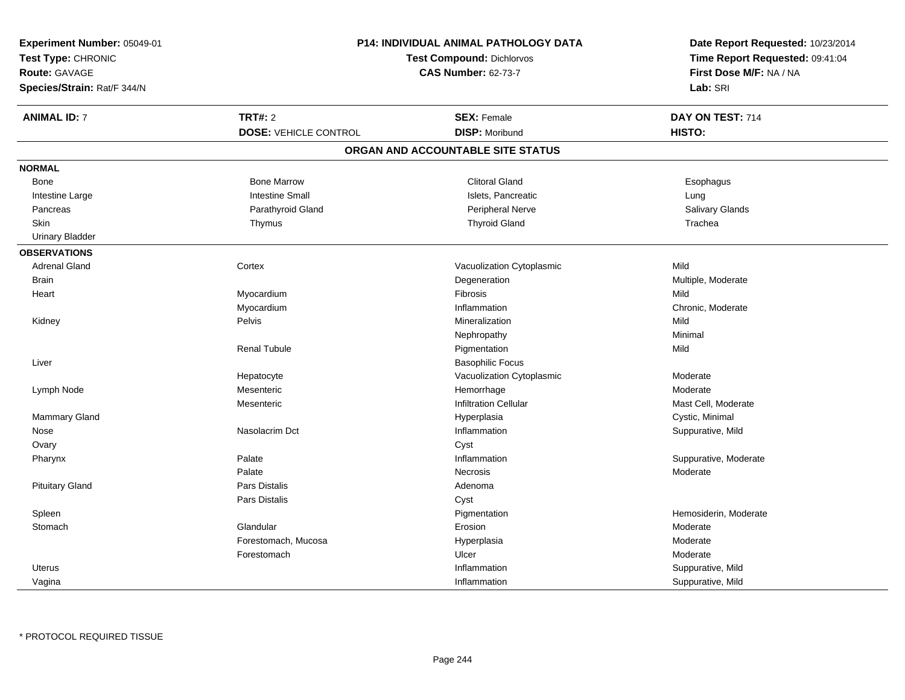| Experiment Number: 05049-01 | <b>P14: INDIVIDUAL ANIMAL PATHOLOGY DATA</b><br><b>Test Compound: Dichlorvos</b><br><b>CAS Number: 62-73-7</b> |                                   | Date Report Requested: 10/23/2014<br>Time Report Requested: 09:41:04<br>First Dose M/F: NA / NA |
|-----------------------------|----------------------------------------------------------------------------------------------------------------|-----------------------------------|-------------------------------------------------------------------------------------------------|
| Test Type: CHRONIC          |                                                                                                                |                                   |                                                                                                 |
| <b>Route: GAVAGE</b>        |                                                                                                                |                                   |                                                                                                 |
| Species/Strain: Rat/F 344/N |                                                                                                                |                                   | Lab: SRI                                                                                        |
| <b>ANIMAL ID: 7</b>         | <b>TRT#: 2</b>                                                                                                 | <b>SEX: Female</b>                | DAY ON TEST: 714                                                                                |
|                             | <b>DOSE: VEHICLE CONTROL</b>                                                                                   | <b>DISP: Moribund</b>             | HISTO:                                                                                          |
|                             |                                                                                                                | ORGAN AND ACCOUNTABLE SITE STATUS |                                                                                                 |
| <b>NORMAL</b>               |                                                                                                                |                                   |                                                                                                 |
| Bone                        | <b>Bone Marrow</b>                                                                                             | <b>Clitoral Gland</b>             | Esophagus                                                                                       |
| Intestine Large             | <b>Intestine Small</b>                                                                                         | Islets, Pancreatic                | Lung                                                                                            |
| Pancreas                    | Parathyroid Gland                                                                                              | Peripheral Nerve                  | Salivary Glands                                                                                 |
| <b>Skin</b>                 | Thymus                                                                                                         | <b>Thyroid Gland</b>              | Trachea                                                                                         |
| <b>Urinary Bladder</b>      |                                                                                                                |                                   |                                                                                                 |
| <b>OBSERVATIONS</b>         |                                                                                                                |                                   |                                                                                                 |
| <b>Adrenal Gland</b>        | Cortex                                                                                                         | Vacuolization Cytoplasmic         | Mild                                                                                            |
| <b>Brain</b>                |                                                                                                                | Degeneration                      | Multiple, Moderate                                                                              |
| Heart                       | Myocardium                                                                                                     | Fibrosis                          | Mild                                                                                            |
|                             | Myocardium                                                                                                     | Inflammation                      | Chronic, Moderate                                                                               |
| Kidney                      | Pelvis                                                                                                         | Mineralization                    | Mild                                                                                            |
|                             |                                                                                                                | Nephropathy                       | Minimal                                                                                         |
|                             | <b>Renal Tubule</b>                                                                                            | Pigmentation                      | Mild                                                                                            |
| Liver                       |                                                                                                                | <b>Basophilic Focus</b>           |                                                                                                 |
|                             | Hepatocyte                                                                                                     | Vacuolization Cytoplasmic         | Moderate                                                                                        |
| Lymph Node                  | Mesenteric                                                                                                     | Hemorrhage                        | Moderate                                                                                        |
|                             | Mesenteric                                                                                                     | <b>Infiltration Cellular</b>      | Mast Cell, Moderate                                                                             |
| Mammary Gland               |                                                                                                                | Hyperplasia                       | Cystic, Minimal                                                                                 |
| Nose                        | Nasolacrim Dct                                                                                                 | Inflammation                      | Suppurative, Mild                                                                               |
| Ovary                       |                                                                                                                | Cyst                              |                                                                                                 |
| Pharynx                     | Palate                                                                                                         | Inflammation                      | Suppurative, Moderate                                                                           |
|                             | Palate                                                                                                         | <b>Necrosis</b>                   | Moderate                                                                                        |
| <b>Pituitary Gland</b>      | <b>Pars Distalis</b>                                                                                           | Adenoma                           |                                                                                                 |
|                             | Pars Distalis                                                                                                  | Cyst                              |                                                                                                 |
| Spleen                      |                                                                                                                | Pigmentation                      | Hemosiderin, Moderate                                                                           |
| Stomach                     | Glandular                                                                                                      | Erosion                           | Moderate                                                                                        |
|                             | Forestomach, Mucosa                                                                                            | Hyperplasia                       | Moderate                                                                                        |
|                             | Forestomach                                                                                                    | Ulcer                             | Moderate                                                                                        |
| <b>Uterus</b>               |                                                                                                                | Inflammation                      | Suppurative, Mild                                                                               |
| Vagina                      |                                                                                                                | Inflammation                      | Suppurative, Mild                                                                               |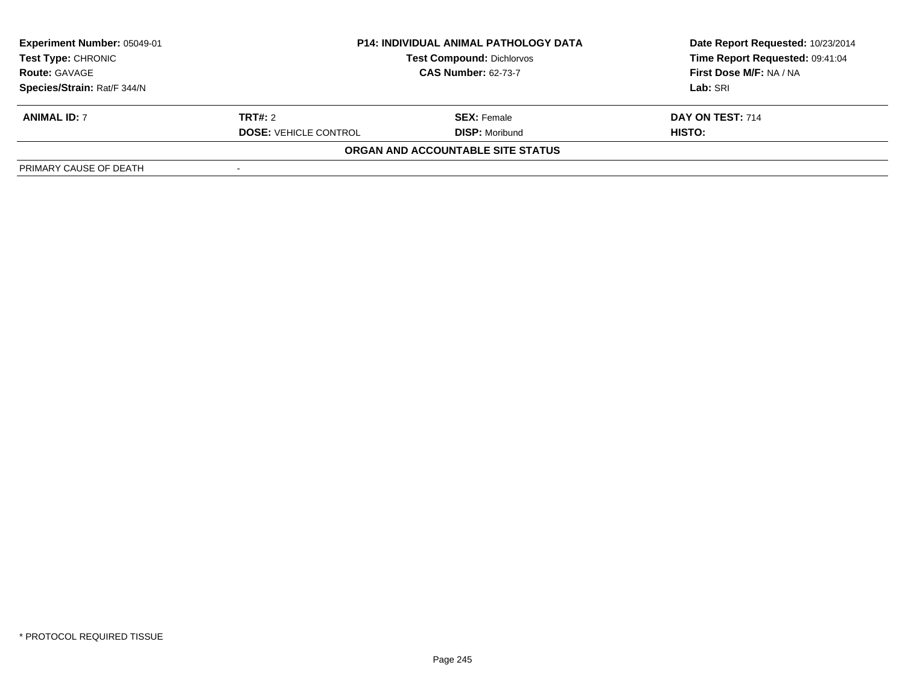| <b>Experiment Number: 05049-01</b><br>Test Type: CHRONIC<br><b>Route: GAVAGE</b> | <b>P14: INDIVIDUAL ANIMAL PATHOLOGY DATA</b><br><b>Test Compound: Dichlorvos</b><br><b>CAS Number: 62-73-7</b> |                                   | Date Report Requested: 10/23/2014<br>Time Report Requested: 09:41:04<br>First Dose M/F: NA / NA |
|----------------------------------------------------------------------------------|----------------------------------------------------------------------------------------------------------------|-----------------------------------|-------------------------------------------------------------------------------------------------|
| Species/Strain: Rat/F 344/N                                                      |                                                                                                                |                                   | Lab: SRI                                                                                        |
| <b>ANIMAL ID: 7</b>                                                              | <b>TRT#:</b> 2                                                                                                 | <b>SEX: Female</b>                | DAY ON TEST: 714                                                                                |
|                                                                                  | <b>DOSE: VEHICLE CONTROL</b>                                                                                   | <b>DISP:</b> Moribund             | HISTO:                                                                                          |
|                                                                                  |                                                                                                                | ORGAN AND ACCOUNTABLE SITE STATUS |                                                                                                 |
| PRIMARY CAUSE OF DEATH                                                           |                                                                                                                |                                   |                                                                                                 |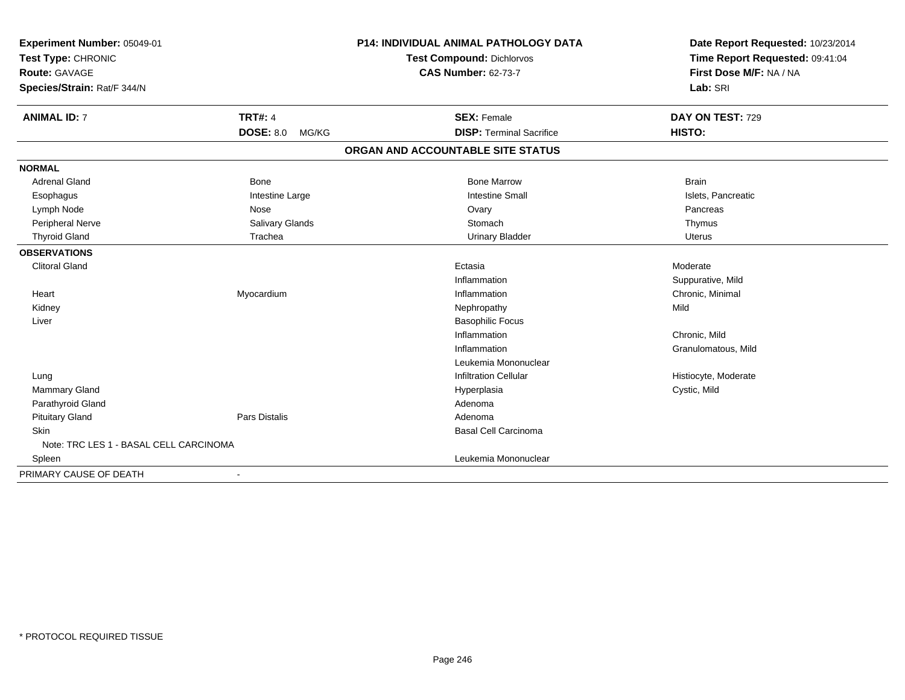| Experiment Number: 05049-01<br>Test Type: CHRONIC<br><b>Route: GAVAGE</b> |                           | <b>P14: INDIVIDUAL ANIMAL PATHOLOGY DATA</b> | Date Report Requested: 10/23/2014 |
|---------------------------------------------------------------------------|---------------------------|----------------------------------------------|-----------------------------------|
|                                                                           |                           | <b>Test Compound: Dichlorvos</b>             | Time Report Requested: 09:41:04   |
|                                                                           |                           | <b>CAS Number: 62-73-7</b>                   | First Dose M/F: NA / NA           |
| Species/Strain: Rat/F 344/N                                               |                           |                                              | Lab: SRI                          |
| <b>ANIMAL ID: 7</b>                                                       | <b>TRT#: 4</b>            | <b>SEX: Female</b>                           | DAY ON TEST: 729                  |
|                                                                           | <b>DOSE: 8.0</b><br>MG/KG | <b>DISP: Terminal Sacrifice</b>              | HISTO:                            |
|                                                                           |                           | ORGAN AND ACCOUNTABLE SITE STATUS            |                                   |
| <b>NORMAL</b>                                                             |                           |                                              |                                   |
| <b>Adrenal Gland</b>                                                      | <b>Bone</b>               | <b>Bone Marrow</b>                           | <b>Brain</b>                      |
| Esophagus                                                                 | Intestine Large           | <b>Intestine Small</b>                       | Islets, Pancreatic                |
| Lymph Node                                                                | Nose                      | Ovary                                        | Pancreas                          |
| Peripheral Nerve                                                          | Salivary Glands           | Stomach                                      | Thymus                            |
| <b>Thyroid Gland</b>                                                      | Trachea                   | <b>Urinary Bladder</b>                       | <b>Uterus</b>                     |
| <b>OBSERVATIONS</b>                                                       |                           |                                              |                                   |
| <b>Clitoral Gland</b>                                                     |                           | Ectasia                                      | Moderate                          |
|                                                                           |                           | Inflammation                                 | Suppurative, Mild                 |
| Heart                                                                     | Myocardium                | Inflammation                                 | Chronic, Minimal                  |
| Kidney                                                                    |                           | Nephropathy                                  | Mild                              |
| Liver                                                                     |                           | <b>Basophilic Focus</b>                      |                                   |
|                                                                           |                           | Inflammation                                 | Chronic, Mild                     |
|                                                                           |                           | Inflammation                                 | Granulomatous, Mild               |
|                                                                           |                           | Leukemia Mononuclear                         |                                   |
| Lung                                                                      |                           | <b>Infiltration Cellular</b>                 | Histiocyte, Moderate              |
| <b>Mammary Gland</b>                                                      |                           | Hyperplasia                                  | Cystic, Mild                      |
| Parathyroid Gland                                                         |                           | Adenoma                                      |                                   |
| <b>Pituitary Gland</b>                                                    | Pars Distalis             | Adenoma                                      |                                   |
| Skin                                                                      |                           | Basal Cell Carcinoma                         |                                   |
| Note: TRC LES 1 - BASAL CELL CARCINOMA                                    |                           |                                              |                                   |
| Spleen                                                                    |                           | Leukemia Mononuclear                         |                                   |
| PRIMARY CAUSE OF DEATH                                                    |                           |                                              |                                   |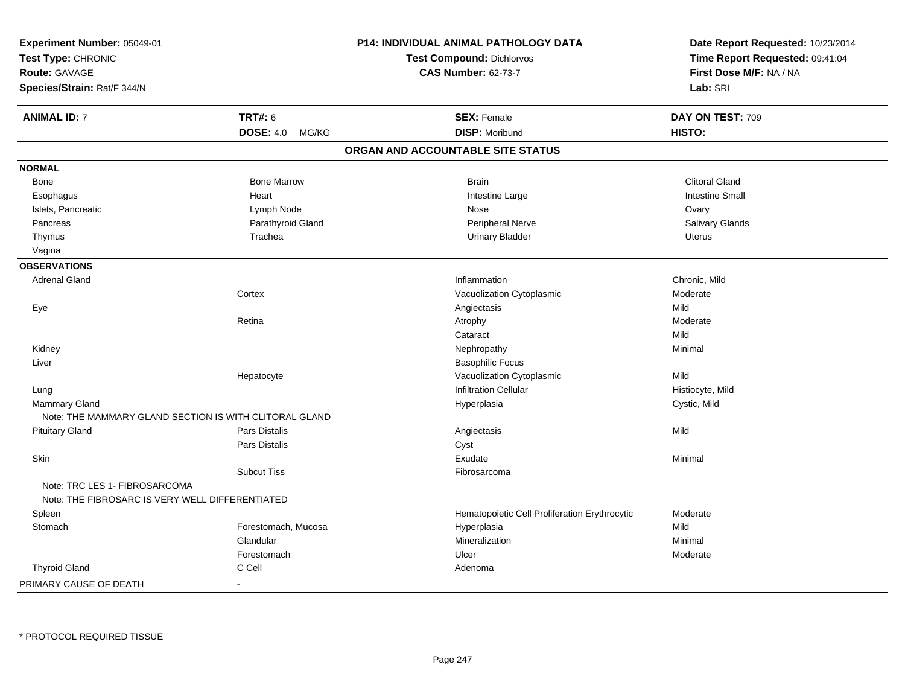| Experiment Number: 05049-01<br>Test Type: CHRONIC<br><b>Route: GAVAGE</b><br>Species/Strain: Rat/F 344/N |                           | P14: INDIVIDUAL ANIMAL PATHOLOGY DATA<br><b>Test Compound: Dichlorvos</b><br><b>CAS Number: 62-73-7</b> | Date Report Requested: 10/23/2014<br>Time Report Requested: 09:41:04<br>First Dose M/F: NA / NA<br>Lab: SRI |
|----------------------------------------------------------------------------------------------------------|---------------------------|---------------------------------------------------------------------------------------------------------|-------------------------------------------------------------------------------------------------------------|
| <b>ANIMAL ID: 7</b>                                                                                      | <b>TRT#: 6</b>            | <b>SEX: Female</b>                                                                                      | DAY ON TEST: 709                                                                                            |
|                                                                                                          | <b>DOSE: 4.0</b><br>MG/KG | <b>DISP: Moribund</b>                                                                                   | HISTO:                                                                                                      |
|                                                                                                          |                           | ORGAN AND ACCOUNTABLE SITE STATUS                                                                       |                                                                                                             |
| <b>NORMAL</b>                                                                                            |                           |                                                                                                         |                                                                                                             |
| Bone                                                                                                     | <b>Bone Marrow</b>        | <b>Brain</b>                                                                                            | <b>Clitoral Gland</b>                                                                                       |
| Esophagus                                                                                                | Heart                     | Intestine Large                                                                                         | <b>Intestine Small</b>                                                                                      |
| Islets, Pancreatic                                                                                       | Lymph Node                | Nose                                                                                                    | Ovary                                                                                                       |
| Pancreas                                                                                                 | Parathyroid Gland         | Peripheral Nerve                                                                                        | Salivary Glands                                                                                             |
| Thymus                                                                                                   | Trachea                   | <b>Urinary Bladder</b>                                                                                  | <b>Uterus</b>                                                                                               |
| Vagina                                                                                                   |                           |                                                                                                         |                                                                                                             |
| <b>OBSERVATIONS</b>                                                                                      |                           |                                                                                                         |                                                                                                             |
| <b>Adrenal Gland</b>                                                                                     |                           | Inflammation                                                                                            | Chronic, Mild                                                                                               |
|                                                                                                          | Cortex                    | Vacuolization Cytoplasmic                                                                               | Moderate                                                                                                    |
| Eye                                                                                                      |                           | Angiectasis                                                                                             | Mild                                                                                                        |
|                                                                                                          | Retina                    | Atrophy                                                                                                 | Moderate                                                                                                    |
|                                                                                                          |                           | Cataract                                                                                                | Mild                                                                                                        |
| Kidney                                                                                                   |                           | Nephropathy                                                                                             | Minimal                                                                                                     |
| Liver                                                                                                    |                           | <b>Basophilic Focus</b>                                                                                 |                                                                                                             |
|                                                                                                          | Hepatocyte                | Vacuolization Cytoplasmic                                                                               | Mild                                                                                                        |
| Lung                                                                                                     |                           | <b>Infiltration Cellular</b>                                                                            | Histiocyte, Mild                                                                                            |
| Mammary Gland                                                                                            |                           | Hyperplasia                                                                                             | Cystic, Mild                                                                                                |
| Note: THE MAMMARY GLAND SECTION IS WITH CLITORAL GLAND                                                   |                           |                                                                                                         |                                                                                                             |
| <b>Pituitary Gland</b>                                                                                   | Pars Distalis             | Angiectasis                                                                                             | Mild                                                                                                        |
|                                                                                                          | Pars Distalis             | Cyst                                                                                                    |                                                                                                             |
| Skin                                                                                                     |                           | Exudate                                                                                                 | Minimal                                                                                                     |
|                                                                                                          | <b>Subcut Tiss</b>        | Fibrosarcoma                                                                                            |                                                                                                             |
| Note: TRC LES 1- FIBROSARCOMA<br>Note: THE FIBROSARC IS VERY WELL DIFFERENTIATED                         |                           |                                                                                                         |                                                                                                             |
| Spleen                                                                                                   |                           | Hematopoietic Cell Proliferation Erythrocytic                                                           | Moderate                                                                                                    |
| Stomach                                                                                                  | Forestomach, Mucosa       | Hyperplasia                                                                                             | Mild                                                                                                        |
|                                                                                                          | Glandular                 | Mineralization                                                                                          | Minimal                                                                                                     |
|                                                                                                          | Forestomach               | Ulcer                                                                                                   | Moderate                                                                                                    |
| <b>Thyroid Gland</b>                                                                                     | C Cell                    | Adenoma                                                                                                 |                                                                                                             |
| PRIMARY CAUSE OF DEATH                                                                                   |                           |                                                                                                         |                                                                                                             |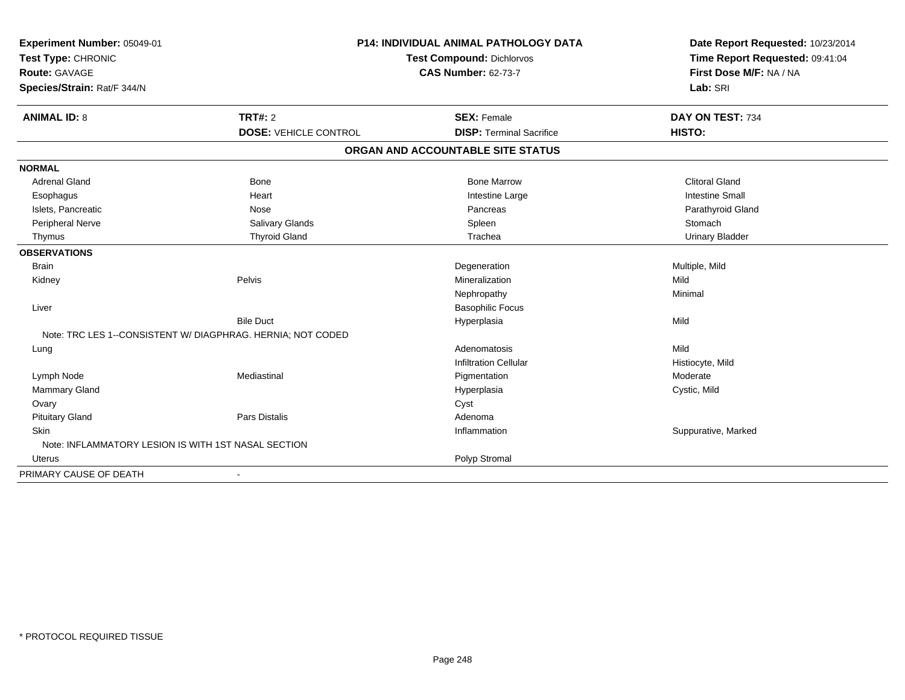| Experiment Number: 05049-01                         |                                                             | P14: INDIVIDUAL ANIMAL PATHOLOGY DATA |                                 |
|-----------------------------------------------------|-------------------------------------------------------------|---------------------------------------|---------------------------------|
| Test Type: CHRONIC                                  |                                                             | <b>Test Compound: Dichlorvos</b>      | Time Report Requested: 09:41:04 |
| Route: GAVAGE                                       |                                                             | <b>CAS Number: 62-73-7</b>            | First Dose M/F: NA / NA         |
| Species/Strain: Rat/F 344/N                         |                                                             |                                       | Lab: SRI                        |
| <b>ANIMAL ID: 8</b>                                 | TRT#: 2                                                     | <b>SEX: Female</b>                    | DAY ON TEST: 734                |
|                                                     | <b>DOSE: VEHICLE CONTROL</b>                                | <b>DISP: Terminal Sacrifice</b>       | HISTO:                          |
|                                                     |                                                             | ORGAN AND ACCOUNTABLE SITE STATUS     |                                 |
| <b>NORMAL</b>                                       |                                                             |                                       |                                 |
| <b>Adrenal Gland</b>                                | Bone                                                        | <b>Bone Marrow</b>                    | <b>Clitoral Gland</b>           |
| Esophagus                                           | Heart                                                       | Intestine Large                       | <b>Intestine Small</b>          |
| Islets, Pancreatic                                  | Nose                                                        | Pancreas                              | Parathyroid Gland               |
| Peripheral Nerve                                    | Salivary Glands                                             | Spleen                                | Stomach                         |
| Thymus                                              | <b>Thyroid Gland</b>                                        | Trachea                               | <b>Urinary Bladder</b>          |
| <b>OBSERVATIONS</b>                                 |                                                             |                                       |                                 |
| <b>Brain</b>                                        |                                                             | Degeneration                          | Multiple, Mild                  |
| Kidney                                              | Pelvis                                                      | Mineralization                        | Mild                            |
|                                                     |                                                             | Nephropathy                           | Minimal                         |
| Liver                                               |                                                             | <b>Basophilic Focus</b>               |                                 |
|                                                     | <b>Bile Duct</b>                                            | Hyperplasia                           | Mild                            |
|                                                     | Note: TRC LES 1--CONSISTENT W/ DIAGPHRAG. HERNIA; NOT CODED |                                       |                                 |
| Lung                                                |                                                             | Adenomatosis                          | Mild                            |
|                                                     |                                                             | <b>Infiltration Cellular</b>          | Histiocyte, Mild                |
| Lymph Node                                          | Mediastinal                                                 | Pigmentation                          | Moderate                        |
| Mammary Gland                                       |                                                             | Hyperplasia                           | Cystic, Mild                    |
| Ovary                                               |                                                             | Cyst                                  |                                 |
| <b>Pituitary Gland</b>                              | Pars Distalis                                               | Adenoma                               |                                 |
| <b>Skin</b>                                         |                                                             | Inflammation                          | Suppurative, Marked             |
| Note: INFLAMMATORY LESION IS WITH 1ST NASAL SECTION |                                                             |                                       |                                 |
| Uterus                                              |                                                             | Polyp Stromal                         |                                 |
| PRIMARY CAUSE OF DEATH                              |                                                             |                                       |                                 |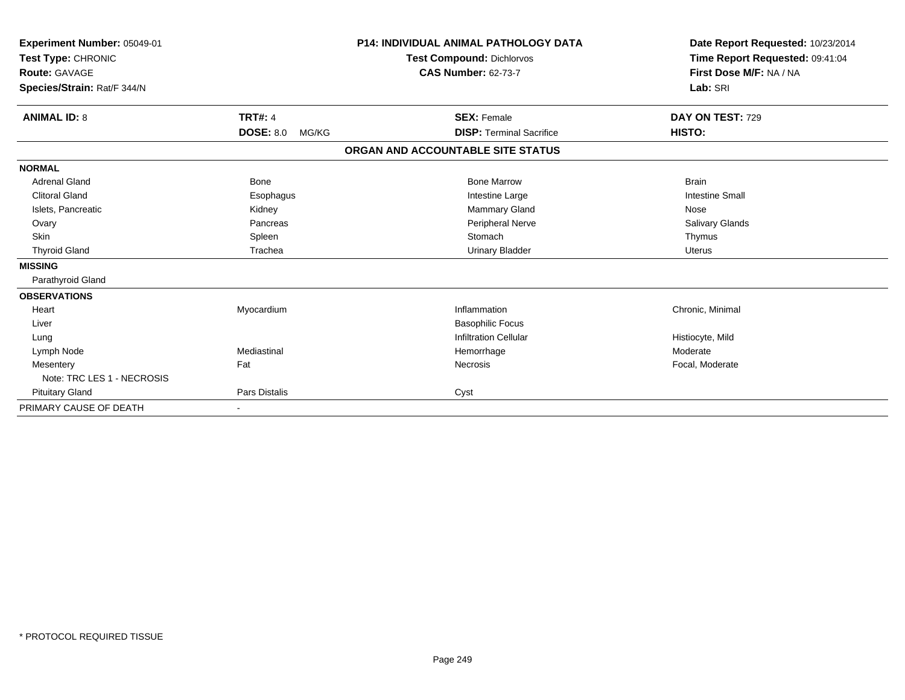| Experiment Number: 05049-01<br>Test Type: CHRONIC |                           | <b>P14: INDIVIDUAL ANIMAL PATHOLOGY DATA</b> | Date Report Requested: 10/23/2014 |
|---------------------------------------------------|---------------------------|----------------------------------------------|-----------------------------------|
|                                                   |                           | <b>Test Compound: Dichlorvos</b>             | Time Report Requested: 09:41:04   |
| Route: GAVAGE                                     |                           | <b>CAS Number: 62-73-7</b>                   | First Dose M/F: NA / NA           |
| Species/Strain: Rat/F 344/N                       |                           |                                              | Lab: SRI                          |
| <b>ANIMAL ID: 8</b>                               | <b>TRT#: 4</b>            | <b>SEX: Female</b>                           | DAY ON TEST: 729                  |
|                                                   | <b>DOSE: 8.0</b><br>MG/KG | <b>DISP: Terminal Sacrifice</b>              | HISTO:                            |
|                                                   |                           | ORGAN AND ACCOUNTABLE SITE STATUS            |                                   |
| <b>NORMAL</b>                                     |                           |                                              |                                   |
| <b>Adrenal Gland</b>                              | Bone                      | <b>Bone Marrow</b>                           | <b>Brain</b>                      |
| <b>Clitoral Gland</b>                             | Esophagus                 | Intestine Large                              | <b>Intestine Small</b>            |
| Islets, Pancreatic                                | Kidney                    | Mammary Gland                                | Nose                              |
| Ovary                                             | Pancreas                  | Peripheral Nerve                             | <b>Salivary Glands</b>            |
| <b>Skin</b>                                       | Spleen                    | Stomach                                      | Thymus                            |
| <b>Thyroid Gland</b>                              | Trachea                   | <b>Urinary Bladder</b>                       | <b>Uterus</b>                     |
| <b>MISSING</b>                                    |                           |                                              |                                   |
| Parathyroid Gland                                 |                           |                                              |                                   |
| <b>OBSERVATIONS</b>                               |                           |                                              |                                   |
| Heart                                             | Myocardium                | Inflammation                                 | Chronic, Minimal                  |
| Liver                                             |                           | <b>Basophilic Focus</b>                      |                                   |
| Lung                                              |                           | <b>Infiltration Cellular</b>                 | Histiocyte, Mild                  |
| Lymph Node                                        | Mediastinal               | Hemorrhage                                   | Moderate                          |
| Mesentery                                         | Fat                       | Necrosis                                     | Focal, Moderate                   |
| Note: TRC LES 1 - NECROSIS                        |                           |                                              |                                   |
| <b>Pituitary Gland</b>                            | Pars Distalis             | Cyst                                         |                                   |
| PRIMARY CAUSE OF DEATH                            | $\overline{\phantom{a}}$  |                                              |                                   |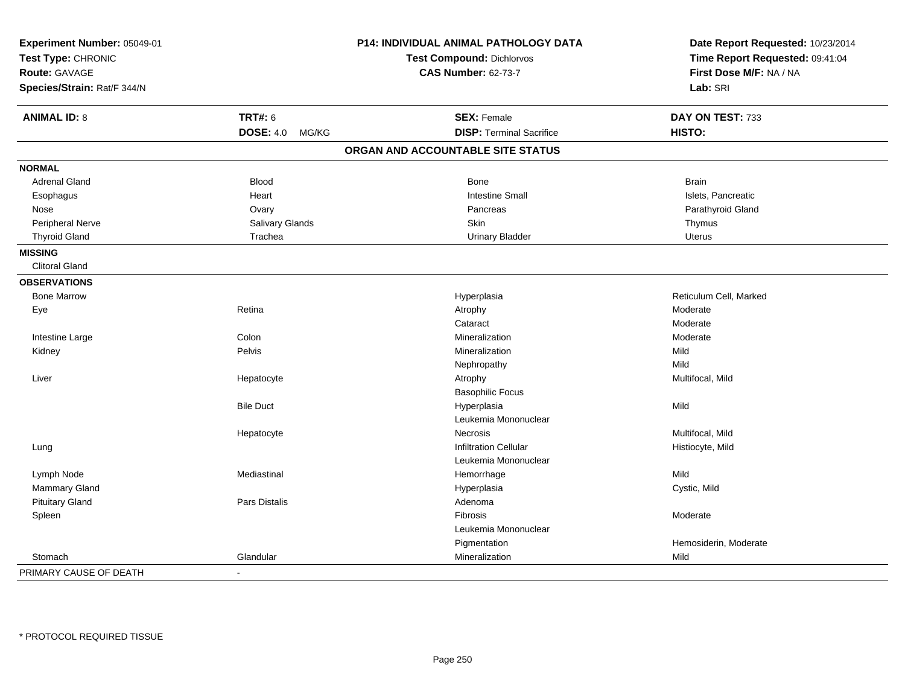| Experiment Number: 05049-01<br>Test Type: CHRONIC<br><b>Route: GAVAGE</b><br>Species/Strain: Rat/F 344/N |                                             | P14: INDIVIDUAL ANIMAL PATHOLOGY DATA<br><b>Test Compound: Dichlorvos</b><br><b>CAS Number: 62-73-7</b> | Date Report Requested: 10/23/2014<br>Time Report Requested: 09:41:04<br>First Dose M/F: NA / NA<br>Lab: SRI |
|----------------------------------------------------------------------------------------------------------|---------------------------------------------|---------------------------------------------------------------------------------------------------------|-------------------------------------------------------------------------------------------------------------|
|                                                                                                          |                                             |                                                                                                         |                                                                                                             |
| <b>ANIMAL ID: 8</b>                                                                                      | <b>TRT#: 6</b><br><b>DOSE: 4.0</b><br>MG/KG | <b>SEX: Female</b><br><b>DISP: Terminal Sacrifice</b>                                                   | DAY ON TEST: 733<br>HISTO:                                                                                  |
|                                                                                                          |                                             |                                                                                                         |                                                                                                             |
|                                                                                                          |                                             | ORGAN AND ACCOUNTABLE SITE STATUS                                                                       |                                                                                                             |
| <b>NORMAL</b>                                                                                            |                                             |                                                                                                         |                                                                                                             |
| <b>Adrenal Gland</b>                                                                                     | <b>Blood</b>                                | <b>Bone</b>                                                                                             | <b>Brain</b>                                                                                                |
| Esophagus                                                                                                | Heart                                       | <b>Intestine Small</b>                                                                                  | Islets, Pancreatic                                                                                          |
| Nose                                                                                                     | Ovary                                       | Pancreas                                                                                                | Parathyroid Gland                                                                                           |
| Peripheral Nerve                                                                                         | Salivary Glands                             | Skin                                                                                                    | Thymus                                                                                                      |
| <b>Thyroid Gland</b>                                                                                     | Trachea                                     | <b>Urinary Bladder</b>                                                                                  | Uterus                                                                                                      |
| <b>MISSING</b>                                                                                           |                                             |                                                                                                         |                                                                                                             |
| <b>Clitoral Gland</b>                                                                                    |                                             |                                                                                                         |                                                                                                             |
| <b>OBSERVATIONS</b>                                                                                      |                                             |                                                                                                         |                                                                                                             |
| <b>Bone Marrow</b>                                                                                       |                                             | Hyperplasia                                                                                             | Reticulum Cell, Marked                                                                                      |
| Eye                                                                                                      | Retina                                      | Atrophy                                                                                                 | Moderate                                                                                                    |
|                                                                                                          |                                             | Cataract                                                                                                | Moderate                                                                                                    |
| Intestine Large                                                                                          | Colon                                       | Mineralization                                                                                          | Moderate                                                                                                    |
| Kidney                                                                                                   | Pelvis                                      | Mineralization                                                                                          | Mild                                                                                                        |
|                                                                                                          |                                             | Nephropathy                                                                                             | Mild                                                                                                        |
| Liver                                                                                                    | Hepatocyte                                  | Atrophy                                                                                                 | Multifocal, Mild                                                                                            |
|                                                                                                          |                                             | <b>Basophilic Focus</b>                                                                                 |                                                                                                             |
|                                                                                                          | <b>Bile Duct</b>                            | Hyperplasia                                                                                             | Mild                                                                                                        |
|                                                                                                          |                                             | Leukemia Mononuclear                                                                                    |                                                                                                             |
|                                                                                                          | Hepatocyte                                  | Necrosis                                                                                                | Multifocal, Mild                                                                                            |
| Lung                                                                                                     |                                             | <b>Infiltration Cellular</b>                                                                            | Histiocyte, Mild                                                                                            |
|                                                                                                          |                                             | Leukemia Mononuclear                                                                                    |                                                                                                             |
| Lymph Node                                                                                               | Mediastinal                                 | Hemorrhage                                                                                              | Mild                                                                                                        |
| Mammary Gland                                                                                            |                                             | Hyperplasia                                                                                             | Cystic, Mild                                                                                                |
| <b>Pituitary Gland</b>                                                                                   | Pars Distalis                               | Adenoma                                                                                                 |                                                                                                             |
| Spleen                                                                                                   |                                             | Fibrosis                                                                                                | Moderate                                                                                                    |
|                                                                                                          |                                             | Leukemia Mononuclear                                                                                    |                                                                                                             |
|                                                                                                          |                                             | Pigmentation                                                                                            | Hemosiderin, Moderate                                                                                       |
| Stomach                                                                                                  | Glandular                                   | Mineralization                                                                                          | Mild                                                                                                        |
|                                                                                                          |                                             |                                                                                                         |                                                                                                             |
| PRIMARY CAUSE OF DEATH                                                                                   |                                             |                                                                                                         |                                                                                                             |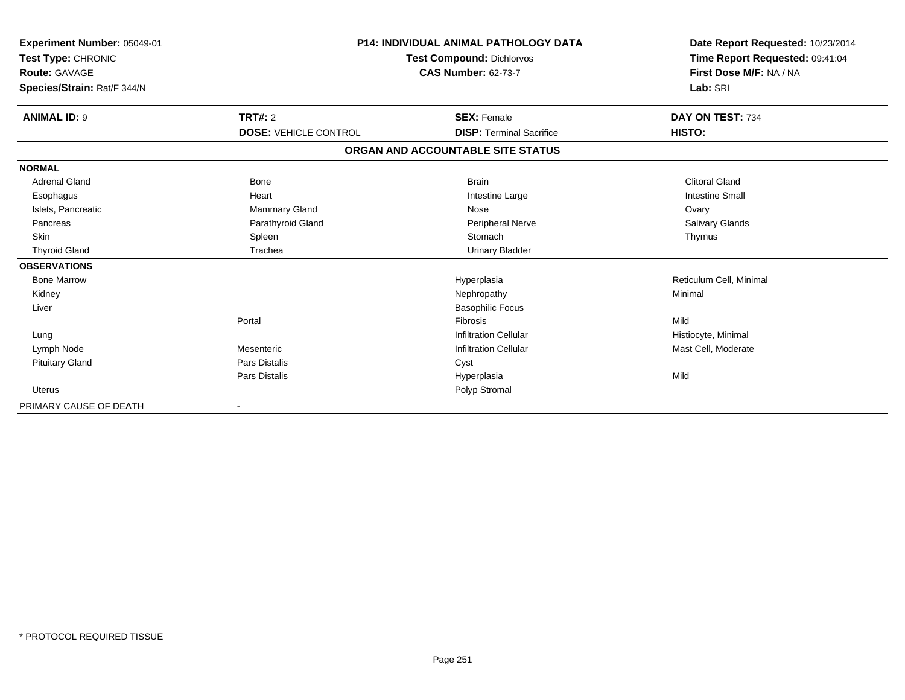| Experiment Number: 05049-01<br>Test Type: CHRONIC<br>Route: GAVAGE<br>Species/Strain: Rat/F 344/N | <b>P14: INDIVIDUAL ANIMAL PATHOLOGY DATA</b><br><b>Test Compound: Dichlorvos</b><br><b>CAS Number: 62-73-7</b> |                                   | Date Report Requested: 10/23/2014<br>Time Report Requested: 09:41:04<br>First Dose M/F: NA / NA<br>Lab: SRI |
|---------------------------------------------------------------------------------------------------|----------------------------------------------------------------------------------------------------------------|-----------------------------------|-------------------------------------------------------------------------------------------------------------|
| <b>ANIMAL ID: 9</b>                                                                               | <b>TRT#: 2</b>                                                                                                 | <b>SEX: Female</b>                | DAY ON TEST: 734                                                                                            |
|                                                                                                   | <b>DOSE: VEHICLE CONTROL</b>                                                                                   | <b>DISP: Terminal Sacrifice</b>   | HISTO:                                                                                                      |
|                                                                                                   |                                                                                                                | ORGAN AND ACCOUNTABLE SITE STATUS |                                                                                                             |
| <b>NORMAL</b>                                                                                     |                                                                                                                |                                   |                                                                                                             |
| <b>Adrenal Gland</b>                                                                              | Bone                                                                                                           | <b>Brain</b>                      | <b>Clitoral Gland</b>                                                                                       |
| Esophagus                                                                                         | Heart                                                                                                          | Intestine Large                   | <b>Intestine Small</b>                                                                                      |
| Islets, Pancreatic                                                                                | Mammary Gland                                                                                                  | Nose                              | Ovary                                                                                                       |
| Pancreas                                                                                          | Parathyroid Gland                                                                                              | <b>Peripheral Nerve</b>           | Salivary Glands                                                                                             |
| Skin                                                                                              | Spleen                                                                                                         | Stomach                           | Thymus                                                                                                      |
| <b>Thyroid Gland</b>                                                                              | Trachea                                                                                                        | <b>Urinary Bladder</b>            |                                                                                                             |
| <b>OBSERVATIONS</b>                                                                               |                                                                                                                |                                   |                                                                                                             |
| <b>Bone Marrow</b>                                                                                |                                                                                                                | Hyperplasia                       | Reticulum Cell, Minimal                                                                                     |
| Kidney                                                                                            |                                                                                                                | Nephropathy                       | Minimal                                                                                                     |
| Liver                                                                                             |                                                                                                                | <b>Basophilic Focus</b>           |                                                                                                             |
|                                                                                                   | Portal                                                                                                         | Fibrosis                          | Mild                                                                                                        |
| Lung                                                                                              |                                                                                                                | <b>Infiltration Cellular</b>      | Histiocyte, Minimal                                                                                         |
| Lymph Node                                                                                        | Mesenteric                                                                                                     | <b>Infiltration Cellular</b>      | Mast Cell, Moderate                                                                                         |
| <b>Pituitary Gland</b>                                                                            | Pars Distalis                                                                                                  | Cyst                              |                                                                                                             |
|                                                                                                   | Pars Distalis                                                                                                  | Hyperplasia                       | Mild                                                                                                        |
| <b>Uterus</b>                                                                                     |                                                                                                                | Polyp Stromal                     |                                                                                                             |
| PRIMARY CAUSE OF DEATH                                                                            |                                                                                                                |                                   |                                                                                                             |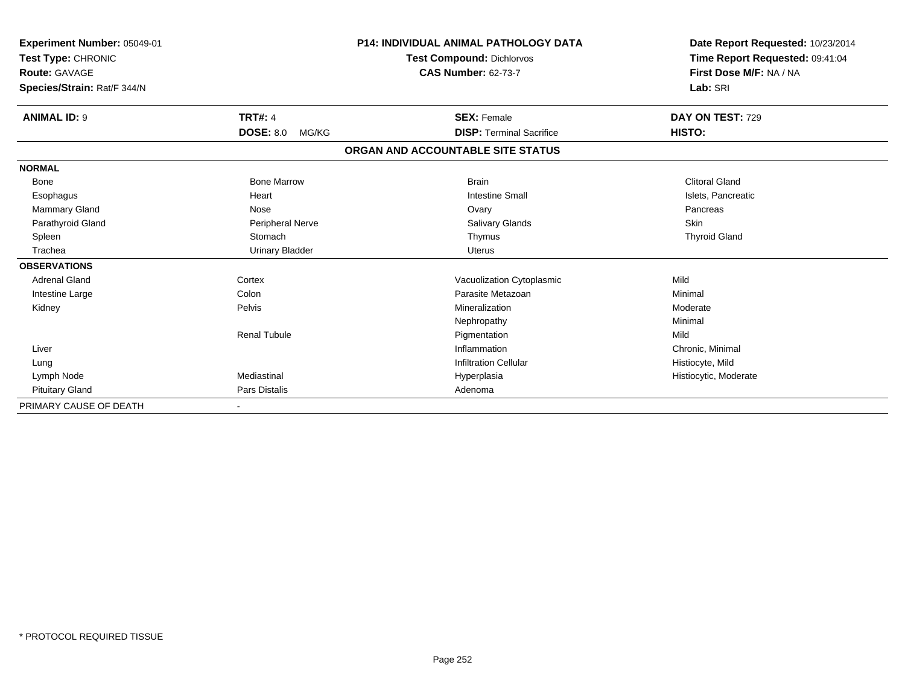| Experiment Number: 05049-01<br>Test Type: CHRONIC<br>Route: GAVAGE<br>Species/Strain: Rat/F 344/N |                           | <b>P14: INDIVIDUAL ANIMAL PATHOLOGY DATA</b><br><b>Test Compound: Dichlorvos</b><br><b>CAS Number: 62-73-7</b> | Date Report Requested: 10/23/2014<br>Time Report Requested: 09:41:04<br>First Dose M/F: NA / NA<br>Lab: SRI |
|---------------------------------------------------------------------------------------------------|---------------------------|----------------------------------------------------------------------------------------------------------------|-------------------------------------------------------------------------------------------------------------|
|                                                                                                   |                           |                                                                                                                |                                                                                                             |
| <b>ANIMAL ID: 9</b>                                                                               | <b>TRT#: 4</b>            | <b>SEX: Female</b>                                                                                             | DAY ON TEST: 729                                                                                            |
|                                                                                                   | <b>DOSE: 8.0</b><br>MG/KG | <b>DISP: Terminal Sacrifice</b>                                                                                | HISTO:                                                                                                      |
|                                                                                                   |                           | ORGAN AND ACCOUNTABLE SITE STATUS                                                                              |                                                                                                             |
| <b>NORMAL</b>                                                                                     |                           |                                                                                                                |                                                                                                             |
| <b>Bone</b>                                                                                       | <b>Bone Marrow</b>        | <b>Brain</b>                                                                                                   | <b>Clitoral Gland</b>                                                                                       |
| Esophagus                                                                                         | Heart                     | <b>Intestine Small</b>                                                                                         | Islets, Pancreatic                                                                                          |
| <b>Mammary Gland</b>                                                                              | Nose                      | Ovary                                                                                                          | Pancreas                                                                                                    |
| Parathyroid Gland                                                                                 | Peripheral Nerve          | <b>Salivary Glands</b>                                                                                         | <b>Skin</b>                                                                                                 |
| Spleen                                                                                            | Stomach                   | Thymus                                                                                                         | <b>Thyroid Gland</b>                                                                                        |
| Trachea                                                                                           | <b>Urinary Bladder</b>    | <b>Uterus</b>                                                                                                  |                                                                                                             |
| <b>OBSERVATIONS</b>                                                                               |                           |                                                                                                                |                                                                                                             |
| <b>Adrenal Gland</b>                                                                              | Cortex                    | Vacuolization Cytoplasmic                                                                                      | Mild                                                                                                        |
| Intestine Large                                                                                   | Colon                     | Parasite Metazoan                                                                                              | Minimal                                                                                                     |
| Kidney                                                                                            | Pelvis                    | Mineralization                                                                                                 | Moderate                                                                                                    |
|                                                                                                   |                           | Nephropathy                                                                                                    | Minimal                                                                                                     |
|                                                                                                   | <b>Renal Tubule</b>       | Pigmentation                                                                                                   | Mild                                                                                                        |
| Liver                                                                                             |                           | Inflammation                                                                                                   | Chronic, Minimal                                                                                            |
| Lung                                                                                              |                           | <b>Infiltration Cellular</b>                                                                                   | Histiocyte, Mild                                                                                            |
| Lymph Node                                                                                        | Mediastinal               | Hyperplasia                                                                                                    | Histiocytic, Moderate                                                                                       |
| <b>Pituitary Gland</b>                                                                            | <b>Pars Distalis</b>      | Adenoma                                                                                                        |                                                                                                             |
| PRIMARY CAUSE OF DEATH                                                                            |                           |                                                                                                                |                                                                                                             |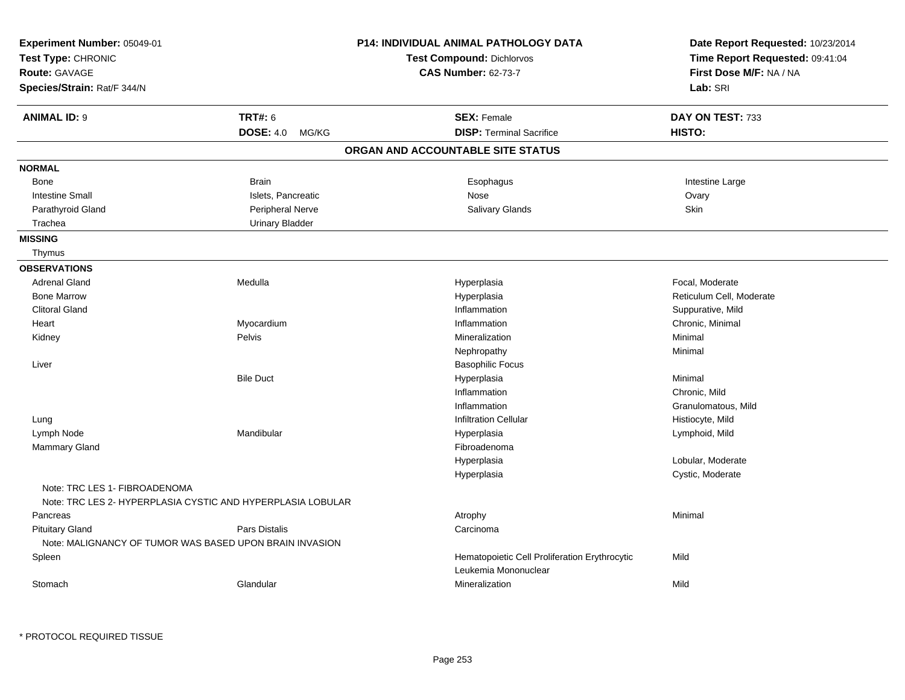| Experiment Number: 05049-01<br>Test Type: CHRONIC<br><b>Route: GAVAGE</b><br>Species/Strain: Rat/F 344/N |                           | <b>P14: INDIVIDUAL ANIMAL PATHOLOGY DATA</b><br><b>Test Compound: Dichlorvos</b><br><b>CAS Number: 62-73-7</b> | Date Report Requested: 10/23/2014<br>Time Report Requested: 09:41:04<br>First Dose M/F: NA / NA<br>Lab: SRI |
|----------------------------------------------------------------------------------------------------------|---------------------------|----------------------------------------------------------------------------------------------------------------|-------------------------------------------------------------------------------------------------------------|
| <b>ANIMAL ID: 9</b>                                                                                      | <b>TRT#: 6</b>            | <b>SEX: Female</b>                                                                                             | DAY ON TEST: 733                                                                                            |
|                                                                                                          | <b>DOSE: 4.0</b><br>MG/KG | <b>DISP: Terminal Sacrifice</b>                                                                                | HISTO:                                                                                                      |
|                                                                                                          |                           | ORGAN AND ACCOUNTABLE SITE STATUS                                                                              |                                                                                                             |
| <b>NORMAL</b>                                                                                            |                           |                                                                                                                |                                                                                                             |
| <b>Bone</b>                                                                                              | <b>Brain</b>              | Esophagus                                                                                                      | Intestine Large                                                                                             |
| <b>Intestine Small</b>                                                                                   | Islets, Pancreatic        | Nose                                                                                                           | Ovary                                                                                                       |
| Parathyroid Gland                                                                                        | Peripheral Nerve          | <b>Salivary Glands</b>                                                                                         | Skin                                                                                                        |
| Trachea                                                                                                  | <b>Urinary Bladder</b>    |                                                                                                                |                                                                                                             |
| <b>MISSING</b>                                                                                           |                           |                                                                                                                |                                                                                                             |
| Thymus                                                                                                   |                           |                                                                                                                |                                                                                                             |
| <b>OBSERVATIONS</b>                                                                                      |                           |                                                                                                                |                                                                                                             |
| <b>Adrenal Gland</b>                                                                                     | Medulla                   | Hyperplasia                                                                                                    | Focal, Moderate                                                                                             |
| <b>Bone Marrow</b>                                                                                       |                           | Hyperplasia                                                                                                    | Reticulum Cell, Moderate                                                                                    |
| <b>Clitoral Gland</b>                                                                                    |                           | Inflammation                                                                                                   | Suppurative, Mild                                                                                           |
| Heart                                                                                                    | Myocardium                | Inflammation                                                                                                   | Chronic, Minimal                                                                                            |
| Kidney                                                                                                   | Pelvis                    | Mineralization                                                                                                 | Minimal                                                                                                     |
|                                                                                                          |                           | Nephropathy                                                                                                    | Minimal                                                                                                     |
| Liver                                                                                                    |                           | <b>Basophilic Focus</b>                                                                                        |                                                                                                             |
|                                                                                                          | <b>Bile Duct</b>          | Hyperplasia                                                                                                    | Minimal                                                                                                     |
|                                                                                                          |                           | Inflammation                                                                                                   | Chronic, Mild                                                                                               |
|                                                                                                          |                           | Inflammation                                                                                                   | Granulomatous, Mild                                                                                         |
| Lung                                                                                                     |                           | <b>Infiltration Cellular</b>                                                                                   | Histiocyte, Mild                                                                                            |
| Lymph Node                                                                                               | Mandibular                | Hyperplasia                                                                                                    | Lymphoid, Mild                                                                                              |
| Mammary Gland                                                                                            |                           | Fibroadenoma                                                                                                   |                                                                                                             |
|                                                                                                          |                           | Hyperplasia                                                                                                    | Lobular, Moderate                                                                                           |
| Note: TRC LES 1- FIBROADENOMA                                                                            |                           | Hyperplasia                                                                                                    | Cystic, Moderate                                                                                            |
| Note: TRC LES 2- HYPERPLASIA CYSTIC AND HYPERPLASIA LOBULAR                                              |                           |                                                                                                                |                                                                                                             |
| Pancreas                                                                                                 |                           | Atrophy                                                                                                        | Minimal                                                                                                     |
| <b>Pituitary Gland</b><br>Note: MALIGNANCY OF TUMOR WAS BASED UPON BRAIN INVASION                        | Pars Distalis             | Carcinoma                                                                                                      |                                                                                                             |
| Spleen                                                                                                   |                           | Hematopoietic Cell Proliferation Erythrocytic                                                                  | Mild                                                                                                        |
|                                                                                                          |                           | Leukemia Mononuclear                                                                                           |                                                                                                             |
| Stomach                                                                                                  | Glandular                 | Mineralization                                                                                                 | Mild                                                                                                        |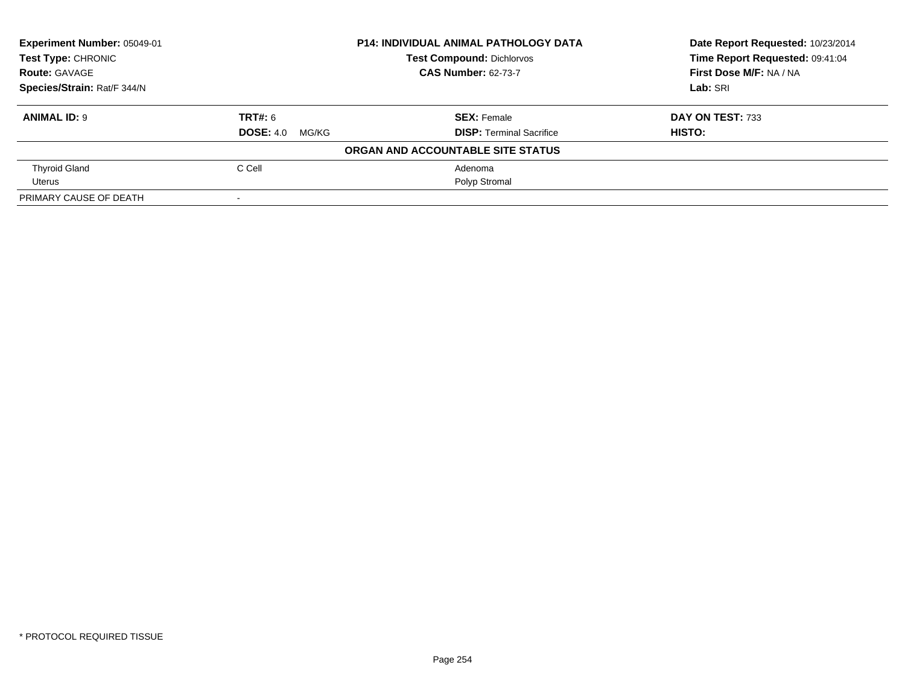| Experiment Number: 05049-01 |                        | <b>P14: INDIVIDUAL ANIMAL PATHOLOGY DATA</b> | Date Report Requested: 10/23/2014 |
|-----------------------------|------------------------|----------------------------------------------|-----------------------------------|
| <b>Test Type: CHRONIC</b>   |                        | <b>Test Compound: Dichlorvos</b>             | Time Report Requested: 09:41:04   |
| <b>Route: GAVAGE</b>        |                        | <b>CAS Number: 62-73-7</b>                   | First Dose M/F: NA / NA           |
| Species/Strain: Rat/F 344/N |                        |                                              | Lab: SRI                          |
| <b>ANIMAL ID: 9</b>         | TRT#: 6                | <b>SEX: Female</b>                           | DAY ON TEST: 733                  |
|                             | <b>DOSE: 4.0 MG/KG</b> | <b>DISP: Terminal Sacrifice</b>              | HISTO:                            |
|                             |                        | ORGAN AND ACCOUNTABLE SITE STATUS            |                                   |
| <b>Thyroid Gland</b>        | C Cell                 | Adenoma                                      |                                   |
| Uterus                      |                        | Polyp Stromal                                |                                   |
| PRIMARY CAUSE OF DEATH      | $\,$ $\,$              |                                              |                                   |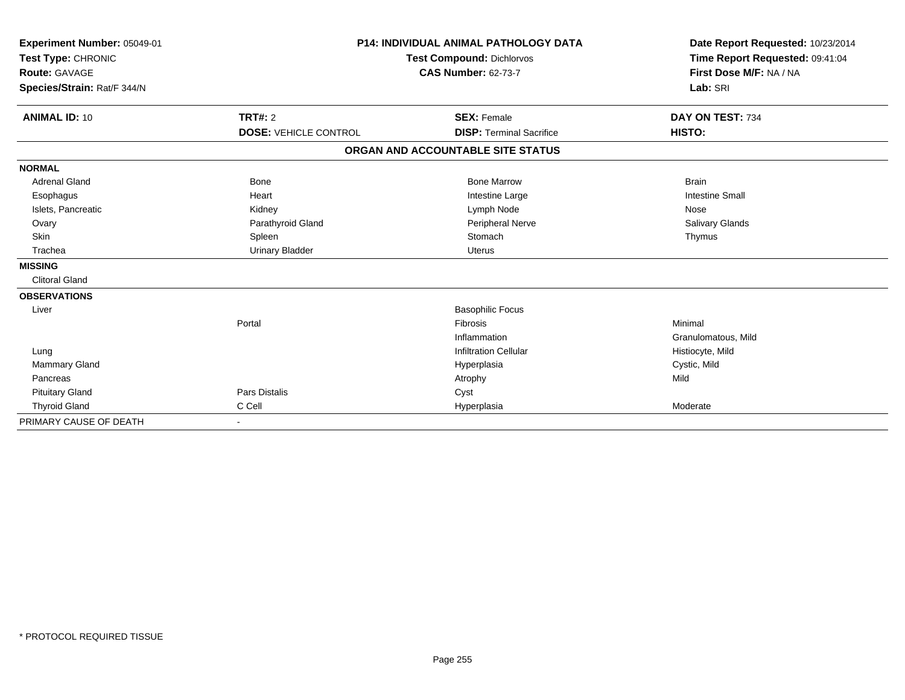| Experiment Number: 05049-01 |                              | <b>P14: INDIVIDUAL ANIMAL PATHOLOGY DATA</b> | Date Report Requested: 10/23/2014<br>Time Report Requested: 09:41:04 |
|-----------------------------|------------------------------|----------------------------------------------|----------------------------------------------------------------------|
| Test Type: CHRONIC          |                              | <b>Test Compound: Dichlorvos</b>             |                                                                      |
| <b>Route: GAVAGE</b>        |                              | <b>CAS Number: 62-73-7</b>                   | First Dose M/F: NA / NA                                              |
| Species/Strain: Rat/F 344/N |                              |                                              | Lab: SRI                                                             |
| <b>ANIMAL ID: 10</b>        | TRT#: 2                      | <b>SEX: Female</b>                           | DAY ON TEST: 734                                                     |
|                             | <b>DOSE: VEHICLE CONTROL</b> | <b>DISP: Terminal Sacrifice</b>              | HISTO:                                                               |
|                             |                              | ORGAN AND ACCOUNTABLE SITE STATUS            |                                                                      |
| <b>NORMAL</b>               |                              |                                              |                                                                      |
| <b>Adrenal Gland</b>        | Bone                         | <b>Bone Marrow</b>                           | <b>Brain</b>                                                         |
| Esophagus                   | Heart                        | Intestine Large                              | <b>Intestine Small</b>                                               |
| Islets, Pancreatic          | Kidney                       | Lymph Node                                   | Nose                                                                 |
| Ovary                       | Parathyroid Gland            | Peripheral Nerve                             | Salivary Glands                                                      |
| <b>Skin</b>                 | Spleen                       | Stomach                                      | Thymus                                                               |
| Trachea                     | <b>Urinary Bladder</b>       | <b>Uterus</b>                                |                                                                      |
| <b>MISSING</b>              |                              |                                              |                                                                      |
| <b>Clitoral Gland</b>       |                              |                                              |                                                                      |
| <b>OBSERVATIONS</b>         |                              |                                              |                                                                      |
| Liver                       |                              | <b>Basophilic Focus</b>                      |                                                                      |
|                             | Portal                       | <b>Fibrosis</b>                              | Minimal                                                              |
|                             |                              | Inflammation                                 | Granulomatous, Mild                                                  |
| Lung                        |                              | <b>Infiltration Cellular</b>                 | Histiocyte, Mild                                                     |
| <b>Mammary Gland</b>        |                              | Hyperplasia                                  | Cystic, Mild                                                         |
| Pancreas                    |                              | Atrophy                                      | Mild                                                                 |
| <b>Pituitary Gland</b>      | <b>Pars Distalis</b>         | Cyst                                         |                                                                      |
| <b>Thyroid Gland</b>        | C Cell                       | Hyperplasia                                  | Moderate                                                             |
| PRIMARY CAUSE OF DEATH      | $\sim$                       |                                              |                                                                      |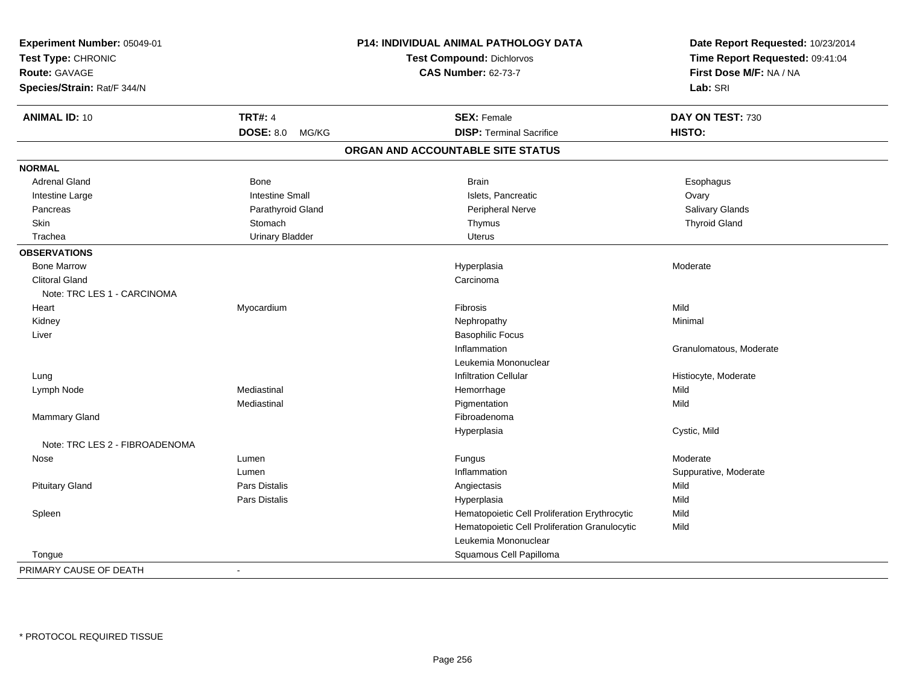| Experiment Number: 05049-01<br>Test Type: CHRONIC |                        | P14: INDIVIDUAL ANIMAL PATHOLOGY DATA<br><b>Test Compound: Dichlorvos</b> | Date Report Requested: 10/23/2014<br>Time Report Requested: 09:41:04 |
|---------------------------------------------------|------------------------|---------------------------------------------------------------------------|----------------------------------------------------------------------|
| <b>Route: GAVAGE</b>                              |                        | <b>CAS Number: 62-73-7</b>                                                | First Dose M/F: NA / NA                                              |
| Species/Strain: Rat/F 344/N                       |                        |                                                                           | Lab: SRI                                                             |
| <b>ANIMAL ID: 10</b>                              | <b>TRT#: 4</b>         | <b>SEX: Female</b>                                                        | DAY ON TEST: 730                                                     |
|                                                   | DOSE: 8.0 MG/KG        | <b>DISP: Terminal Sacrifice</b>                                           | HISTO:                                                               |
|                                                   |                        | ORGAN AND ACCOUNTABLE SITE STATUS                                         |                                                                      |
| <b>NORMAL</b>                                     |                        |                                                                           |                                                                      |
| <b>Adrenal Gland</b>                              | Bone                   | <b>Brain</b>                                                              | Esophagus                                                            |
| Intestine Large                                   | <b>Intestine Small</b> | Islets, Pancreatic                                                        | Ovary                                                                |
| Pancreas                                          | Parathyroid Gland      | <b>Peripheral Nerve</b>                                                   | Salivary Glands                                                      |
| Skin                                              | Stomach                | Thymus                                                                    | <b>Thyroid Gland</b>                                                 |
| Trachea                                           | <b>Urinary Bladder</b> | <b>Uterus</b>                                                             |                                                                      |
| <b>OBSERVATIONS</b>                               |                        |                                                                           |                                                                      |
| <b>Bone Marrow</b>                                |                        | Hyperplasia                                                               | Moderate                                                             |
| <b>Clitoral Gland</b>                             |                        | Carcinoma                                                                 |                                                                      |
| Note: TRC LES 1 - CARCINOMA                       |                        |                                                                           |                                                                      |
| Heart                                             | Myocardium             | Fibrosis                                                                  | Mild                                                                 |
| Kidney                                            |                        | Nephropathy                                                               | Minimal                                                              |
| Liver                                             |                        | <b>Basophilic Focus</b>                                                   |                                                                      |
|                                                   |                        | Inflammation                                                              | Granulomatous, Moderate                                              |
|                                                   |                        | Leukemia Mononuclear                                                      |                                                                      |
| Lung                                              |                        | <b>Infiltration Cellular</b>                                              | Histiocyte, Moderate                                                 |
| Lymph Node                                        | Mediastinal            | Hemorrhage                                                                | Mild                                                                 |
|                                                   | Mediastinal            | Pigmentation                                                              | Mild                                                                 |
| <b>Mammary Gland</b>                              |                        | Fibroadenoma                                                              |                                                                      |
|                                                   |                        | Hyperplasia                                                               | Cystic, Mild                                                         |
| Note: TRC LES 2 - FIBROADENOMA                    |                        |                                                                           |                                                                      |
| Nose                                              | Lumen                  | Fungus                                                                    | Moderate                                                             |
|                                                   | Lumen                  | Inflammation                                                              | Suppurative, Moderate                                                |
| <b>Pituitary Gland</b>                            | <b>Pars Distalis</b>   | Angiectasis                                                               | Mild                                                                 |
|                                                   | Pars Distalis          | Hyperplasia                                                               | Mild                                                                 |
| Spleen                                            |                        | Hematopoietic Cell Proliferation Erythrocytic                             | Mild                                                                 |
|                                                   |                        | Hematopoietic Cell Proliferation Granulocytic                             | Mild                                                                 |
|                                                   |                        | Leukemia Mononuclear                                                      |                                                                      |
| Tongue                                            |                        | Squamous Cell Papilloma                                                   |                                                                      |
| PRIMARY CAUSE OF DEATH                            | $\blacksquare$         |                                                                           |                                                                      |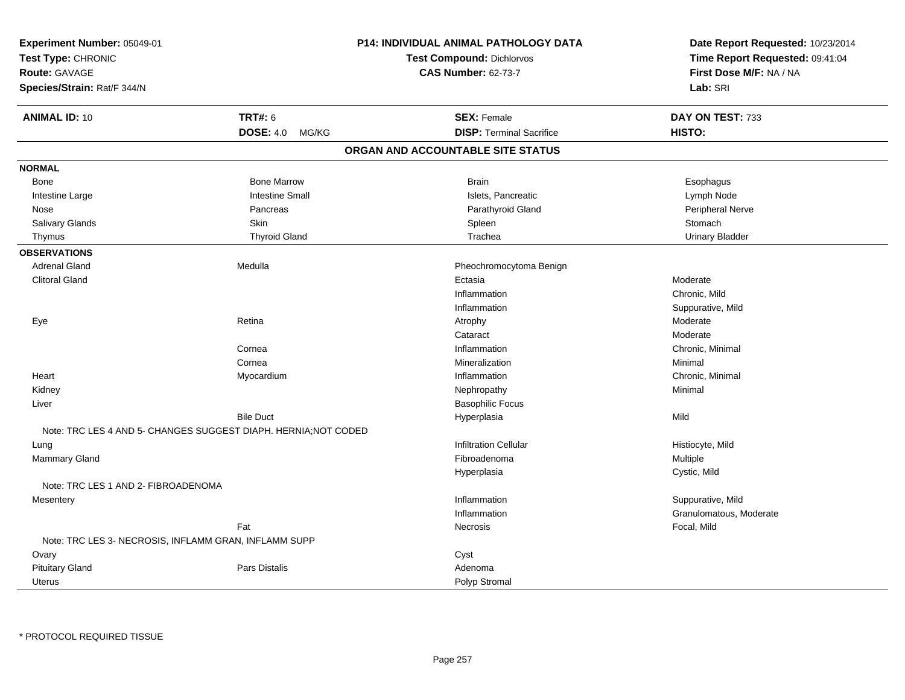| Experiment Number: 05049-01<br>Test Type: CHRONIC<br><b>Route: GAVAGE</b><br>Species/Strain: Rat/F 344/N |                           | P14: INDIVIDUAL ANIMAL PATHOLOGY DATA<br><b>Test Compound: Dichlorvos</b><br><b>CAS Number: 62-73-7</b> | Date Report Requested: 10/23/2014<br>Time Report Requested: 09:41:04<br>First Dose M/F: NA / NA<br>Lab: SRI |
|----------------------------------------------------------------------------------------------------------|---------------------------|---------------------------------------------------------------------------------------------------------|-------------------------------------------------------------------------------------------------------------|
| <b>ANIMAL ID: 10</b>                                                                                     | <b>TRT#: 6</b>            | <b>SEX: Female</b>                                                                                      | DAY ON TEST: 733                                                                                            |
|                                                                                                          | <b>DOSE: 4.0</b><br>MG/KG | <b>DISP: Terminal Sacrifice</b>                                                                         | HISTO:                                                                                                      |
|                                                                                                          |                           | ORGAN AND ACCOUNTABLE SITE STATUS                                                                       |                                                                                                             |
| <b>NORMAL</b>                                                                                            |                           |                                                                                                         |                                                                                                             |
| Bone                                                                                                     | <b>Bone Marrow</b>        | <b>Brain</b>                                                                                            | Esophagus                                                                                                   |
| Intestine Large                                                                                          | <b>Intestine Small</b>    | Islets, Pancreatic                                                                                      | Lymph Node                                                                                                  |
| Nose                                                                                                     | Pancreas                  | Parathyroid Gland                                                                                       | Peripheral Nerve                                                                                            |
| Salivary Glands                                                                                          | Skin                      | Spleen                                                                                                  | Stomach                                                                                                     |
| Thymus                                                                                                   | <b>Thyroid Gland</b>      | Trachea                                                                                                 | <b>Urinary Bladder</b>                                                                                      |
| <b>OBSERVATIONS</b>                                                                                      |                           |                                                                                                         |                                                                                                             |
| <b>Adrenal Gland</b>                                                                                     | Medulla                   | Pheochromocytoma Benign                                                                                 |                                                                                                             |
| <b>Clitoral Gland</b>                                                                                    |                           | Ectasia                                                                                                 | Moderate                                                                                                    |
|                                                                                                          |                           | Inflammation                                                                                            | Chronic, Mild                                                                                               |
|                                                                                                          |                           | Inflammation                                                                                            | Suppurative, Mild                                                                                           |
| Eye                                                                                                      | Retina                    | Atrophy                                                                                                 | Moderate                                                                                                    |
|                                                                                                          |                           | Cataract                                                                                                | Moderate                                                                                                    |
|                                                                                                          | Cornea                    | Inflammation                                                                                            | Chronic, Minimal                                                                                            |
|                                                                                                          | Cornea                    | Mineralization                                                                                          | Minimal                                                                                                     |
| Heart                                                                                                    | Myocardium                | Inflammation                                                                                            | Chronic, Minimal                                                                                            |
| Kidney                                                                                                   |                           | Nephropathy                                                                                             | Minimal                                                                                                     |
| Liver                                                                                                    |                           | <b>Basophilic Focus</b>                                                                                 |                                                                                                             |
|                                                                                                          | <b>Bile Duct</b>          | Hyperplasia                                                                                             | Mild                                                                                                        |
| Note: TRC LES 4 AND 5- CHANGES SUGGEST DIAPH. HERNIA; NOT CODED                                          |                           |                                                                                                         |                                                                                                             |
| Lung                                                                                                     |                           | <b>Infiltration Cellular</b>                                                                            | Histiocyte, Mild                                                                                            |
| Mammary Gland                                                                                            |                           | Fibroadenoma                                                                                            | Multiple                                                                                                    |
|                                                                                                          |                           | Hyperplasia                                                                                             | Cystic, Mild                                                                                                |
| Note: TRC LES 1 AND 2- FIBROADENOMA                                                                      |                           |                                                                                                         |                                                                                                             |
| Mesentery                                                                                                |                           | Inflammation                                                                                            | Suppurative, Mild                                                                                           |
|                                                                                                          |                           | Inflammation                                                                                            | Granulomatous, Moderate                                                                                     |
|                                                                                                          | Fat                       | Necrosis                                                                                                | Focal, Mild                                                                                                 |
| Note: TRC LES 3- NECROSIS, INFLAMM GRAN, INFLAMM SUPP                                                    |                           |                                                                                                         |                                                                                                             |
| Ovary                                                                                                    |                           | Cyst                                                                                                    |                                                                                                             |
| <b>Pituitary Gland</b>                                                                                   | <b>Pars Distalis</b>      | Adenoma                                                                                                 |                                                                                                             |
| Uterus                                                                                                   |                           | Polyp Stromal                                                                                           |                                                                                                             |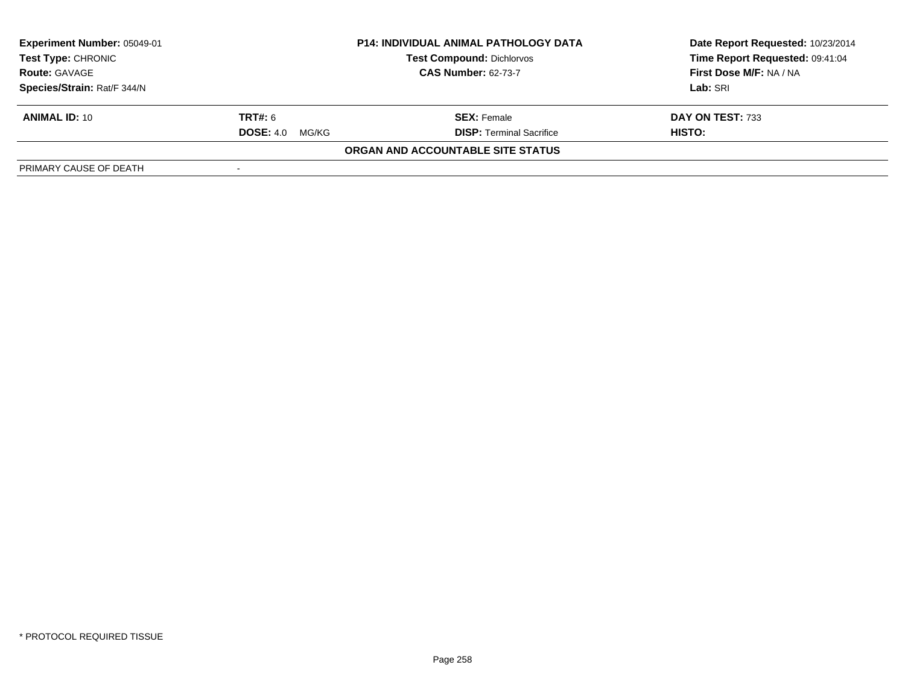| <b>Experiment Number: 05049-01</b><br>Test Type: CHRONIC<br><b>Route: GAVAGE</b> | <b>P14: INDIVIDUAL ANIMAL PATHOLOGY DATA</b><br><b>Test Compound: Dichlorvos</b><br><b>CAS Number: 62-73-7</b> |                                   | Date Report Requested: 10/23/2014<br>Time Report Requested: 09:41:04<br>First Dose M/F: NA / NA |
|----------------------------------------------------------------------------------|----------------------------------------------------------------------------------------------------------------|-----------------------------------|-------------------------------------------------------------------------------------------------|
| Species/Strain: Rat/F 344/N                                                      |                                                                                                                |                                   | Lab: SRI                                                                                        |
| <b>ANIMAL ID: 10</b>                                                             | <b>TRT#:</b> 6                                                                                                 | <b>SEX:</b> Female                | DAY ON TEST: 733                                                                                |
|                                                                                  | <b>DOSE:</b> 4.0<br>MG/KG                                                                                      | <b>DISP: Terminal Sacrifice</b>   | HISTO:                                                                                          |
|                                                                                  |                                                                                                                | ORGAN AND ACCOUNTABLE SITE STATUS |                                                                                                 |
| PRIMARY CAUSE OF DEATH                                                           |                                                                                                                |                                   |                                                                                                 |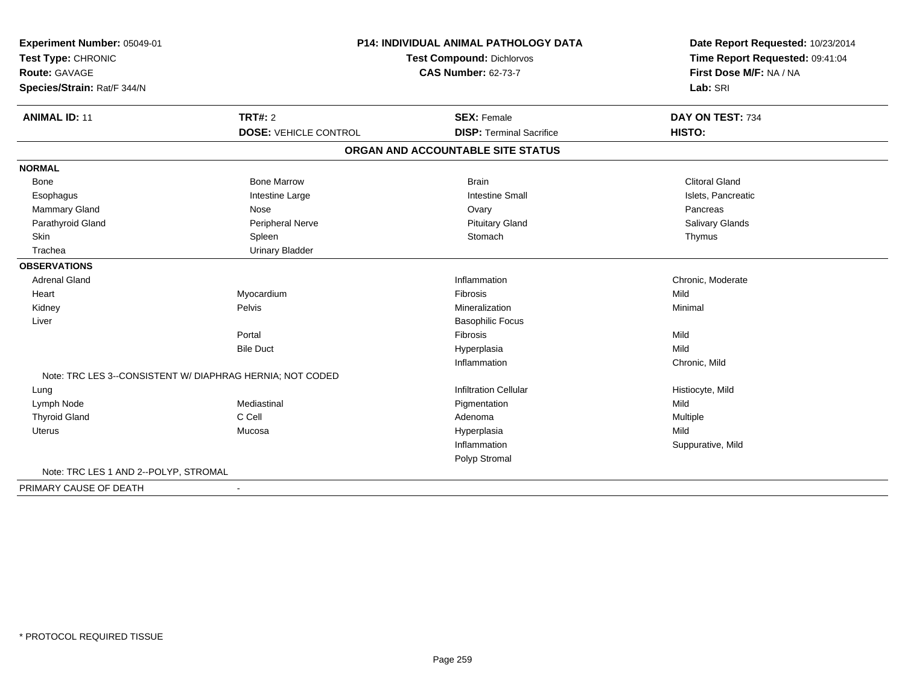| Experiment Number: 05049-01<br>Test Type: CHRONIC         |                              | <b>P14: INDIVIDUAL ANIMAL PATHOLOGY DATA</b><br><b>Test Compound: Dichlorvos</b> |                                                                        |  |
|-----------------------------------------------------------|------------------------------|----------------------------------------------------------------------------------|------------------------------------------------------------------------|--|
| <b>Route: GAVAGE</b><br>Species/Strain: Rat/F 344/N       |                              | <b>CAS Number: 62-73-7</b>                                                       | Time Report Requested: 09:41:04<br>First Dose M/F: NA / NA<br>Lab: SRI |  |
| <b>ANIMAL ID: 11</b>                                      | <b>TRT#: 2</b>               | <b>SEX: Female</b>                                                               | DAY ON TEST: 734                                                       |  |
|                                                           | <b>DOSE: VEHICLE CONTROL</b> | <b>DISP: Terminal Sacrifice</b>                                                  | HISTO:                                                                 |  |
|                                                           |                              | ORGAN AND ACCOUNTABLE SITE STATUS                                                |                                                                        |  |
| <b>NORMAL</b>                                             |                              |                                                                                  |                                                                        |  |
| <b>Bone</b>                                               | <b>Bone Marrow</b>           | <b>Brain</b>                                                                     | <b>Clitoral Gland</b>                                                  |  |
| Esophagus                                                 | Intestine Large              | <b>Intestine Small</b>                                                           | Islets, Pancreatic                                                     |  |
| <b>Mammary Gland</b>                                      | Nose                         | Ovary                                                                            | Pancreas                                                               |  |
| Parathyroid Gland                                         | Peripheral Nerve             | <b>Pituitary Gland</b>                                                           | Salivary Glands                                                        |  |
| Skin                                                      | Spleen                       | Stomach                                                                          | Thymus                                                                 |  |
| Trachea                                                   | <b>Urinary Bladder</b>       |                                                                                  |                                                                        |  |
| <b>OBSERVATIONS</b>                                       |                              |                                                                                  |                                                                        |  |
| <b>Adrenal Gland</b>                                      |                              | Inflammation                                                                     | Chronic, Moderate                                                      |  |
| Heart                                                     | Myocardium                   | Fibrosis                                                                         | Mild                                                                   |  |
| Kidney                                                    | Pelvis                       | Mineralization                                                                   | Minimal                                                                |  |
| Liver                                                     |                              | <b>Basophilic Focus</b>                                                          |                                                                        |  |
|                                                           | Portal                       | Fibrosis                                                                         | Mild                                                                   |  |
|                                                           | <b>Bile Duct</b>             | Hyperplasia                                                                      | Mild                                                                   |  |
|                                                           |                              | Inflammation                                                                     | Chronic, Mild                                                          |  |
| Note: TRC LES 3--CONSISTENT W/ DIAPHRAG HERNIA; NOT CODED |                              |                                                                                  |                                                                        |  |
| Lung                                                      |                              | <b>Infiltration Cellular</b>                                                     | Histiocyte, Mild                                                       |  |
| Lymph Node                                                | Mediastinal                  | Pigmentation                                                                     | Mild                                                                   |  |
| <b>Thyroid Gland</b>                                      | C Cell                       | Adenoma                                                                          | Multiple                                                               |  |
| <b>Uterus</b>                                             | Mucosa                       | Hyperplasia                                                                      | Mild                                                                   |  |
|                                                           |                              | Inflammation                                                                     | Suppurative, Mild                                                      |  |
|                                                           |                              | Polyp Stromal                                                                    |                                                                        |  |
| Note: TRC LES 1 AND 2--POLYP, STROMAL                     |                              |                                                                                  |                                                                        |  |
| PRIMARY CAUSE OF DEATH                                    | $\sim$                       |                                                                                  |                                                                        |  |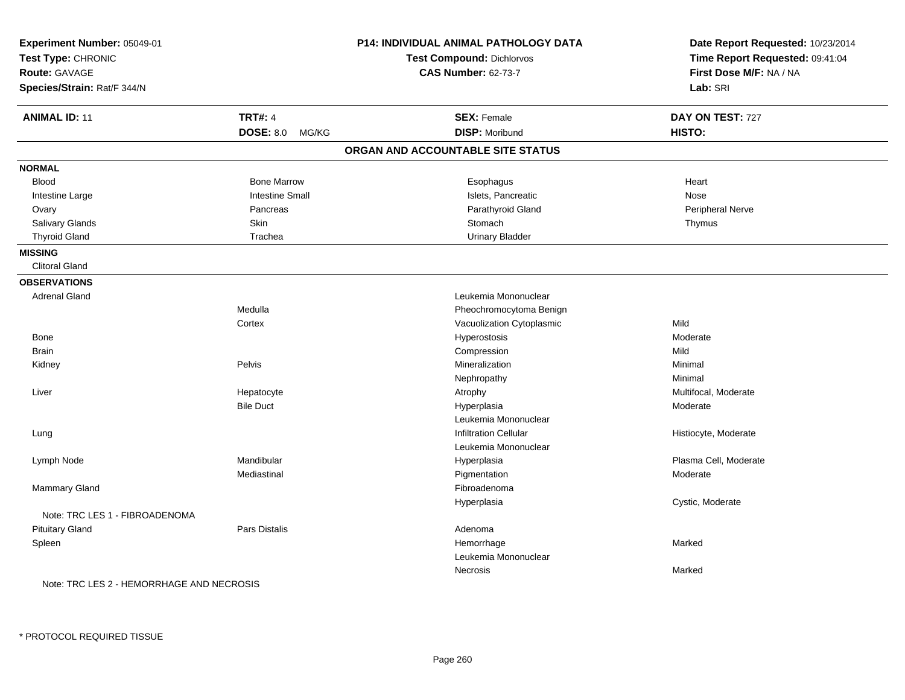| Experiment Number: 05049-01<br>Test Type: CHRONIC<br><b>Route: GAVAGE</b><br>Species/Strain: Rat/F 344/N |                           | P14: INDIVIDUAL ANIMAL PATHOLOGY DATA<br>Test Compound: Dichlorvos<br><b>CAS Number: 62-73-7</b> | Date Report Requested: 10/23/2014<br>Time Report Requested: 09:41:04<br>First Dose M/F: NA / NA<br>Lab: SRI |
|----------------------------------------------------------------------------------------------------------|---------------------------|--------------------------------------------------------------------------------------------------|-------------------------------------------------------------------------------------------------------------|
| <b>ANIMAL ID: 11</b>                                                                                     | <b>TRT#: 4</b>            | <b>SEX: Female</b>                                                                               | DAY ON TEST: 727                                                                                            |
|                                                                                                          | <b>DOSE: 8.0</b><br>MG/KG | <b>DISP: Moribund</b>                                                                            | HISTO:                                                                                                      |
|                                                                                                          |                           | ORGAN AND ACCOUNTABLE SITE STATUS                                                                |                                                                                                             |
| <b>NORMAL</b>                                                                                            |                           |                                                                                                  |                                                                                                             |
| <b>Blood</b>                                                                                             | <b>Bone Marrow</b>        | Esophagus                                                                                        | Heart                                                                                                       |
| Intestine Large                                                                                          | <b>Intestine Small</b>    | Islets, Pancreatic                                                                               | Nose                                                                                                        |
| Ovary                                                                                                    | Pancreas                  | Parathyroid Gland                                                                                | Peripheral Nerve                                                                                            |
| Salivary Glands                                                                                          | Skin                      | Stomach                                                                                          | Thymus                                                                                                      |
| <b>Thyroid Gland</b>                                                                                     | Trachea                   | <b>Urinary Bladder</b>                                                                           |                                                                                                             |
| <b>MISSING</b>                                                                                           |                           |                                                                                                  |                                                                                                             |
| <b>Clitoral Gland</b>                                                                                    |                           |                                                                                                  |                                                                                                             |
| <b>OBSERVATIONS</b>                                                                                      |                           |                                                                                                  |                                                                                                             |
| <b>Adrenal Gland</b>                                                                                     |                           | Leukemia Mononuclear                                                                             |                                                                                                             |
|                                                                                                          | Medulla                   | Pheochromocytoma Benign                                                                          |                                                                                                             |
|                                                                                                          | Cortex                    | Vacuolization Cytoplasmic                                                                        | Mild                                                                                                        |
| Bone                                                                                                     |                           | Hyperostosis                                                                                     | Moderate                                                                                                    |
| Brain                                                                                                    |                           | Compression                                                                                      | Mild                                                                                                        |
| Kidney                                                                                                   | Pelvis                    | Mineralization                                                                                   | Minimal                                                                                                     |
|                                                                                                          |                           | Nephropathy                                                                                      | Minimal                                                                                                     |
| Liver                                                                                                    | Hepatocyte                | Atrophy                                                                                          | Multifocal, Moderate                                                                                        |
|                                                                                                          | <b>Bile Duct</b>          | Hyperplasia                                                                                      | Moderate                                                                                                    |
|                                                                                                          |                           | Leukemia Mononuclear                                                                             |                                                                                                             |
| Lung                                                                                                     |                           | <b>Infiltration Cellular</b>                                                                     | Histiocyte, Moderate                                                                                        |
|                                                                                                          |                           | Leukemia Mononuclear                                                                             |                                                                                                             |
| Lymph Node                                                                                               | Mandibular                | Hyperplasia                                                                                      | Plasma Cell, Moderate                                                                                       |
|                                                                                                          | Mediastinal               | Pigmentation                                                                                     | Moderate                                                                                                    |
| Mammary Gland                                                                                            |                           | Fibroadenoma                                                                                     |                                                                                                             |
|                                                                                                          |                           | Hyperplasia                                                                                      | Cystic, Moderate                                                                                            |
| Note: TRC LES 1 - FIBROADENOMA                                                                           |                           |                                                                                                  |                                                                                                             |
| <b>Pituitary Gland</b>                                                                                   | <b>Pars Distalis</b>      | Adenoma                                                                                          |                                                                                                             |
| Spleen                                                                                                   |                           | Hemorrhage                                                                                       | Marked                                                                                                      |
|                                                                                                          |                           | Leukemia Mononuclear                                                                             |                                                                                                             |
|                                                                                                          |                           | Necrosis                                                                                         | Marked                                                                                                      |
| Note: TRC LES 2 - HEMORRHAGE AND NECROSIS                                                                |                           |                                                                                                  |                                                                                                             |

\* PROTOCOL REQUIRED TISSUE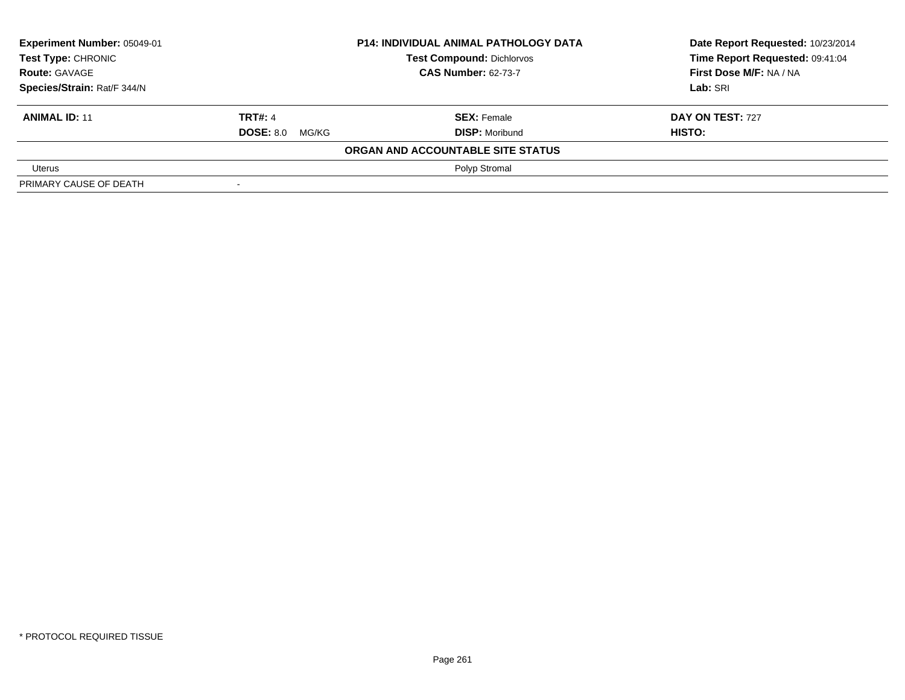| Experiment Number: 05049-01<br>Test Type: CHRONIC |                        | <b>P14: INDIVIDUAL ANIMAL PATHOLOGY DATA</b> | Date Report Requested: 10/23/2014 |
|---------------------------------------------------|------------------------|----------------------------------------------|-----------------------------------|
|                                                   |                        | <b>Test Compound: Dichlorvos</b>             | Time Report Requested: 09:41:04   |
| <b>Route: GAVAGE</b>                              |                        | <b>CAS Number: 62-73-7</b>                   | First Dose M/F: NA / NA           |
| Species/Strain: Rat/F 344/N                       |                        |                                              | Lab: SRI                          |
| <b>ANIMAL ID: 11</b>                              | <b>TRT#: 4</b>         | <b>SEX: Female</b>                           | DAY ON TEST: 727                  |
|                                                   | <b>DOSE: 8.0 MG/KG</b> | <b>DISP: Moribund</b>                        | HISTO:                            |
|                                                   |                        | ORGAN AND ACCOUNTABLE SITE STATUS            |                                   |
| Uterus                                            |                        | Polyp Stromal                                |                                   |
| PRIMARY CAUSE OF DEATH                            |                        |                                              |                                   |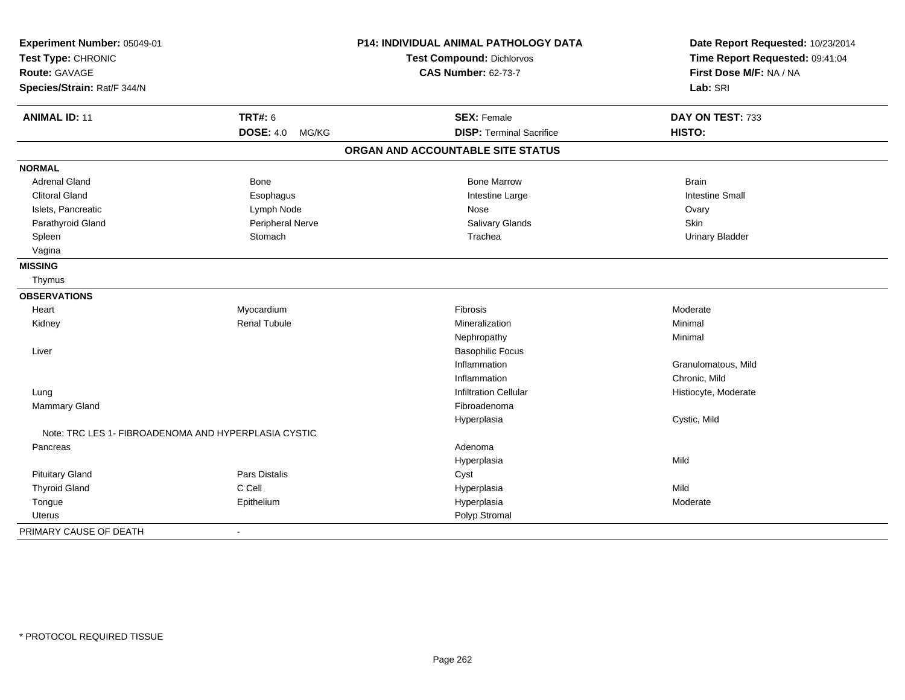| Experiment Number: 05049-01                          |                           | <b>P14: INDIVIDUAL ANIMAL PATHOLOGY DATA</b> | Date Report Requested: 10/23/2014 |
|------------------------------------------------------|---------------------------|----------------------------------------------|-----------------------------------|
| Test Type: CHRONIC                                   |                           | <b>Test Compound: Dichlorvos</b>             | Time Report Requested: 09:41:04   |
| <b>Route: GAVAGE</b>                                 |                           | <b>CAS Number: 62-73-7</b>                   | First Dose M/F: NA / NA           |
| Species/Strain: Rat/F 344/N                          |                           |                                              | Lab: SRI                          |
| <b>ANIMAL ID: 11</b>                                 | <b>TRT#: 6</b>            | <b>SEX: Female</b>                           | DAY ON TEST: 733                  |
|                                                      | <b>DOSE: 4.0</b><br>MG/KG | <b>DISP: Terminal Sacrifice</b>              | HISTO:                            |
|                                                      |                           | ORGAN AND ACCOUNTABLE SITE STATUS            |                                   |
| <b>NORMAL</b>                                        |                           |                                              |                                   |
| <b>Adrenal Gland</b>                                 | Bone                      | <b>Bone Marrow</b>                           | <b>Brain</b>                      |
| <b>Clitoral Gland</b>                                | Esophagus                 | Intestine Large                              | <b>Intestine Small</b>            |
| Islets, Pancreatic                                   | Lymph Node                | Nose                                         | Ovary                             |
| Parathyroid Gland                                    | Peripheral Nerve          | Salivary Glands                              | Skin                              |
| Spleen                                               | Stomach                   | Trachea                                      | <b>Urinary Bladder</b>            |
| Vagina                                               |                           |                                              |                                   |
| <b>MISSING</b>                                       |                           |                                              |                                   |
| Thymus                                               |                           |                                              |                                   |
| <b>OBSERVATIONS</b>                                  |                           |                                              |                                   |
| Heart                                                | Myocardium                | Fibrosis                                     | Moderate                          |
| Kidney                                               | <b>Renal Tubule</b>       | Mineralization                               | Minimal                           |
|                                                      |                           | Nephropathy                                  | Minimal                           |
| Liver                                                |                           | <b>Basophilic Focus</b>                      |                                   |
|                                                      |                           | Inflammation                                 | Granulomatous, Mild               |
|                                                      |                           | Inflammation                                 | Chronic, Mild                     |
| Lung                                                 |                           | <b>Infiltration Cellular</b>                 | Histiocyte, Moderate              |
| <b>Mammary Gland</b>                                 |                           | Fibroadenoma                                 |                                   |
|                                                      |                           | Hyperplasia                                  | Cystic, Mild                      |
| Note: TRC LES 1- FIBROADENOMA AND HYPERPLASIA CYSTIC |                           |                                              |                                   |
| Pancreas                                             |                           | Adenoma                                      |                                   |
|                                                      |                           | Hyperplasia                                  | Mild                              |
| <b>Pituitary Gland</b>                               | Pars Distalis             | Cyst                                         |                                   |
| <b>Thyroid Gland</b>                                 | C Cell                    | Hyperplasia                                  | Mild                              |
| Tongue                                               | Epithelium                | Hyperplasia                                  | Moderate                          |
| <b>Uterus</b>                                        |                           | Polyp Stromal                                |                                   |
| PRIMARY CAUSE OF DEATH                               | $\sim$                    |                                              |                                   |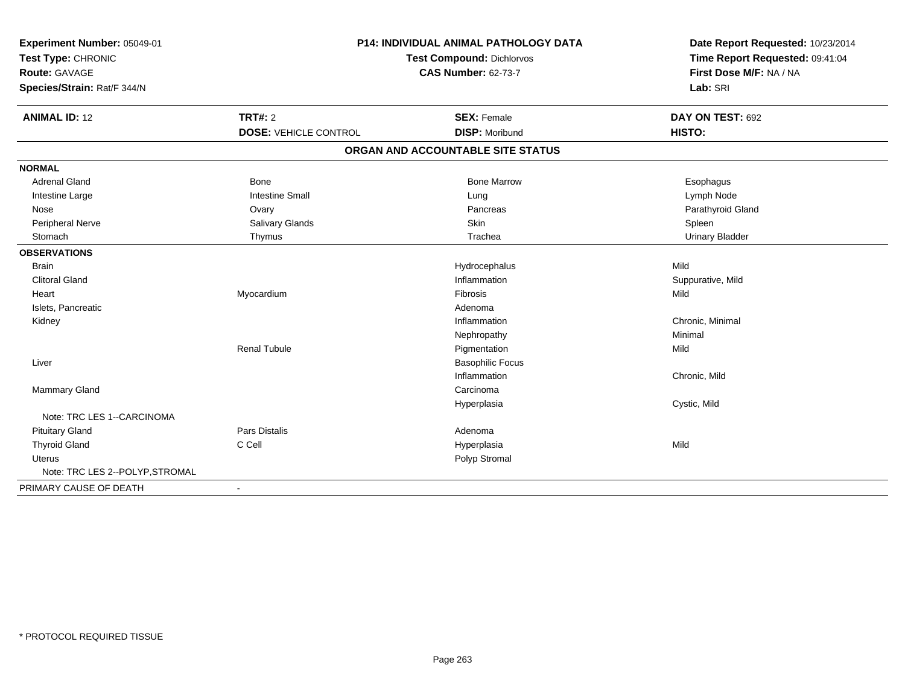| Experiment Number: 05049-01     | P14: INDIVIDUAL ANIMAL PATHOLOGY DATA<br><b>Test Compound: Dichlorvos</b> |                                   | Date Report Requested: 10/23/2014<br>Time Report Requested: 09:41:04 |
|---------------------------------|---------------------------------------------------------------------------|-----------------------------------|----------------------------------------------------------------------|
| Test Type: CHRONIC              |                                                                           |                                   |                                                                      |
| <b>Route: GAVAGE</b>            |                                                                           | <b>CAS Number: 62-73-7</b>        | First Dose M/F: NA / NA                                              |
| Species/Strain: Rat/F 344/N     |                                                                           |                                   | Lab: SRI                                                             |
| <b>ANIMAL ID: 12</b>            | <b>TRT#: 2</b>                                                            | <b>SEX: Female</b>                | DAY ON TEST: 692                                                     |
|                                 | <b>DOSE: VEHICLE CONTROL</b>                                              | <b>DISP: Moribund</b>             | HISTO:                                                               |
|                                 |                                                                           | ORGAN AND ACCOUNTABLE SITE STATUS |                                                                      |
| <b>NORMAL</b>                   |                                                                           |                                   |                                                                      |
| <b>Adrenal Gland</b>            | <b>Bone</b>                                                               | <b>Bone Marrow</b>                | Esophagus                                                            |
| Intestine Large                 | <b>Intestine Small</b>                                                    | Lung                              | Lymph Node                                                           |
| Nose                            | Ovary                                                                     | Pancreas                          | Parathyroid Gland                                                    |
| Peripheral Nerve                | Salivary Glands                                                           | Skin                              | Spleen                                                               |
| Stomach                         | Thymus                                                                    | Trachea                           | <b>Urinary Bladder</b>                                               |
| <b>OBSERVATIONS</b>             |                                                                           |                                   |                                                                      |
| <b>Brain</b>                    |                                                                           | Hydrocephalus                     | Mild                                                                 |
| <b>Clitoral Gland</b>           |                                                                           | Inflammation                      | Suppurative, Mild                                                    |
| Heart                           | Myocardium                                                                | Fibrosis                          | Mild                                                                 |
| Islets, Pancreatic              |                                                                           | Adenoma                           |                                                                      |
| Kidney                          |                                                                           | Inflammation                      | Chronic, Minimal                                                     |
|                                 |                                                                           | Nephropathy                       | Minimal                                                              |
|                                 | <b>Renal Tubule</b>                                                       | Pigmentation                      | Mild                                                                 |
| Liver                           |                                                                           | <b>Basophilic Focus</b>           |                                                                      |
|                                 |                                                                           | Inflammation                      | Chronic, Mild                                                        |
| Mammary Gland                   |                                                                           | Carcinoma                         |                                                                      |
|                                 |                                                                           | Hyperplasia                       | Cystic, Mild                                                         |
| Note: TRC LES 1--CARCINOMA      |                                                                           |                                   |                                                                      |
| <b>Pituitary Gland</b>          | <b>Pars Distalis</b>                                                      | Adenoma                           |                                                                      |
| <b>Thyroid Gland</b>            | C Cell                                                                    | Hyperplasia                       | Mild                                                                 |
| <b>Uterus</b>                   |                                                                           | Polyp Stromal                     |                                                                      |
| Note: TRC LES 2--POLYP, STROMAL |                                                                           |                                   |                                                                      |
| PRIMARY CAUSE OF DEATH          | $\blacksquare$                                                            |                                   |                                                                      |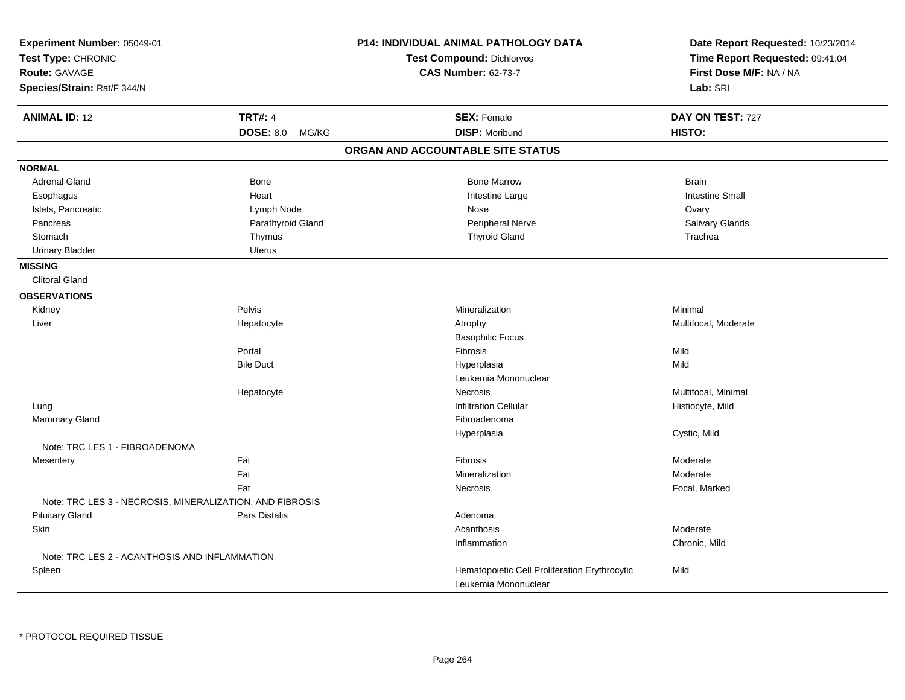| Experiment Number: 05049-01<br>Test Type: CHRONIC<br>Route: GAVAGE<br>Species/Strain: Rat/F 344/N |                           | P14: INDIVIDUAL ANIMAL PATHOLOGY DATA<br>Test Compound: Dichlorvos<br><b>CAS Number: 62-73-7</b> | Date Report Requested: 10/23/2014<br>Time Report Requested: 09:41:04<br>First Dose M/F: NA / NA<br>Lab: SRI |
|---------------------------------------------------------------------------------------------------|---------------------------|--------------------------------------------------------------------------------------------------|-------------------------------------------------------------------------------------------------------------|
| <b>ANIMAL ID: 12</b>                                                                              | <b>TRT#: 4</b>            | <b>SEX: Female</b>                                                                               | DAY ON TEST: 727                                                                                            |
|                                                                                                   | <b>DOSE: 8.0</b><br>MG/KG | <b>DISP: Moribund</b>                                                                            | HISTO:                                                                                                      |
|                                                                                                   |                           | ORGAN AND ACCOUNTABLE SITE STATUS                                                                |                                                                                                             |
| <b>NORMAL</b>                                                                                     |                           |                                                                                                  |                                                                                                             |
| <b>Adrenal Gland</b>                                                                              | <b>Bone</b>               | <b>Bone Marrow</b>                                                                               | <b>Brain</b>                                                                                                |
| Esophagus                                                                                         | Heart                     | Intestine Large                                                                                  | <b>Intestine Small</b>                                                                                      |
| Islets, Pancreatic                                                                                | Lymph Node                | Nose                                                                                             | Ovary                                                                                                       |
| Pancreas                                                                                          | Parathyroid Gland         | Peripheral Nerve                                                                                 | Salivary Glands                                                                                             |
| Stomach                                                                                           | Thymus                    | <b>Thyroid Gland</b>                                                                             | Trachea                                                                                                     |
| <b>Urinary Bladder</b>                                                                            | Uterus                    |                                                                                                  |                                                                                                             |
| <b>MISSING</b>                                                                                    |                           |                                                                                                  |                                                                                                             |
| <b>Clitoral Gland</b>                                                                             |                           |                                                                                                  |                                                                                                             |
| <b>OBSERVATIONS</b>                                                                               |                           |                                                                                                  |                                                                                                             |
| Kidney                                                                                            | Pelvis                    | Mineralization                                                                                   | Minimal                                                                                                     |
| Liver                                                                                             | Hepatocyte                | Atrophy                                                                                          | Multifocal, Moderate                                                                                        |
|                                                                                                   |                           | <b>Basophilic Focus</b>                                                                          |                                                                                                             |
|                                                                                                   | Portal                    | Fibrosis                                                                                         | Mild                                                                                                        |
|                                                                                                   | <b>Bile Duct</b>          | Hyperplasia                                                                                      | Mild                                                                                                        |
|                                                                                                   |                           | Leukemia Mononuclear                                                                             |                                                                                                             |
|                                                                                                   | Hepatocyte                | Necrosis                                                                                         | Multifocal, Minimal                                                                                         |
| Lung                                                                                              |                           | <b>Infiltration Cellular</b>                                                                     | Histiocyte, Mild                                                                                            |
| Mammary Gland                                                                                     |                           | Fibroadenoma                                                                                     |                                                                                                             |
|                                                                                                   |                           | Hyperplasia                                                                                      | Cystic, Mild                                                                                                |
| Note: TRC LES 1 - FIBROADENOMA                                                                    |                           |                                                                                                  |                                                                                                             |
| Mesentery                                                                                         | Fat                       | Fibrosis                                                                                         | Moderate                                                                                                    |
|                                                                                                   | Fat                       | Mineralization                                                                                   | Moderate                                                                                                    |
|                                                                                                   | Fat                       | Necrosis                                                                                         | Focal, Marked                                                                                               |
| Note: TRC LES 3 - NECROSIS, MINERALIZATION, AND FIBROSIS                                          |                           |                                                                                                  |                                                                                                             |
| <b>Pituitary Gland</b>                                                                            | Pars Distalis             | Adenoma                                                                                          |                                                                                                             |
| Skin                                                                                              |                           | Acanthosis                                                                                       | Moderate                                                                                                    |
|                                                                                                   |                           | Inflammation                                                                                     | Chronic, Mild                                                                                               |
| Note: TRC LES 2 - ACANTHOSIS AND INFLAMMATION                                                     |                           |                                                                                                  |                                                                                                             |
| Spleen                                                                                            |                           | Hematopoietic Cell Proliferation Erythrocytic                                                    | Mild                                                                                                        |
|                                                                                                   |                           | Leukemia Mononuclear                                                                             |                                                                                                             |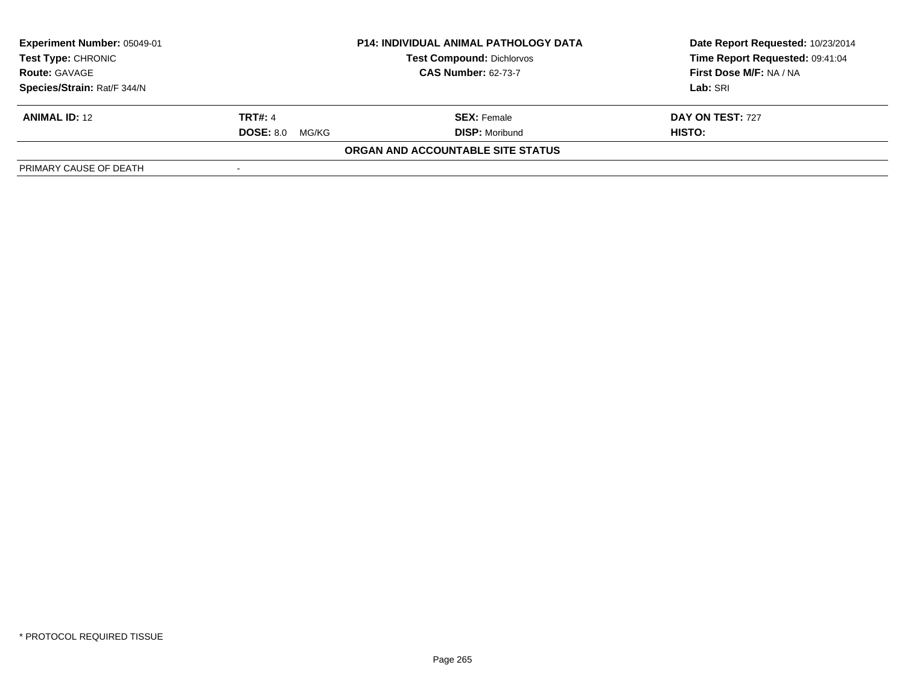| <b>Experiment Number: 05049-01</b><br><b>Test Type: CHRONIC</b> | <b>P14: INDIVIDUAL ANIMAL PATHOLOGY DATA</b><br><b>Test Compound: Dichlorvos</b> |                                   | Date Report Requested: 10/23/2014<br>Time Report Requested: 09:41:04 |
|-----------------------------------------------------------------|----------------------------------------------------------------------------------|-----------------------------------|----------------------------------------------------------------------|
| <b>Route: GAVAGE</b>                                            |                                                                                  | <b>CAS Number: 62-73-7</b>        | First Dose M/F: NA / NA                                              |
| Species/Strain: Rat/F 344/N                                     |                                                                                  |                                   | Lab: SRI                                                             |
| <b>ANIMAL ID: 12</b>                                            | <b>TRT#: 4</b>                                                                   | <b>SEX:</b> Female                | <b>DAY ON TEST: 727</b>                                              |
|                                                                 | <b>DOSE: 8.0</b><br>MG/KG                                                        | <b>DISP:</b> Moribund             | HISTO:                                                               |
|                                                                 |                                                                                  | ORGAN AND ACCOUNTABLE SITE STATUS |                                                                      |
| PRIMARY CAUSE OF DEATH                                          |                                                                                  |                                   |                                                                      |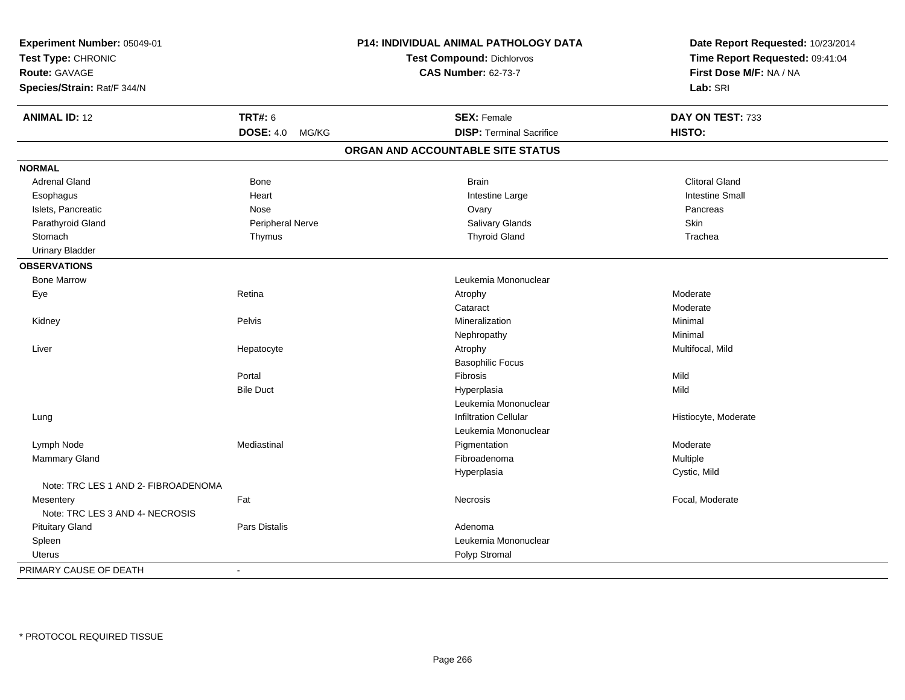| Experiment Number: 05049-01         |                      | P14: INDIVIDUAL ANIMAL PATHOLOGY DATA | Date Report Requested: 10/23/2014 |
|-------------------------------------|----------------------|---------------------------------------|-----------------------------------|
| Test Type: CHRONIC                  |                      | Test Compound: Dichlorvos             | Time Report Requested: 09:41:04   |
| <b>Route: GAVAGE</b>                |                      | <b>CAS Number: 62-73-7</b>            | First Dose M/F: NA / NA           |
| Species/Strain: Rat/F 344/N         |                      |                                       | Lab: SRI                          |
| <b>ANIMAL ID: 12</b>                | <b>TRT#: 6</b>       | <b>SEX: Female</b>                    | DAY ON TEST: 733                  |
|                                     | DOSE: 4.0 MG/KG      | <b>DISP: Terminal Sacrifice</b>       | HISTO:                            |
|                                     |                      | ORGAN AND ACCOUNTABLE SITE STATUS     |                                   |
| <b>NORMAL</b>                       |                      |                                       |                                   |
| <b>Adrenal Gland</b>                | Bone                 | <b>Brain</b>                          | <b>Clitoral Gland</b>             |
| Esophagus                           | Heart                | Intestine Large                       | <b>Intestine Small</b>            |
| Islets, Pancreatic                  | Nose                 | Ovary                                 | Pancreas                          |
| Parathyroid Gland                   | Peripheral Nerve     | Salivary Glands                       | Skin                              |
| Stomach                             | Thymus               | <b>Thyroid Gland</b>                  | Trachea                           |
| <b>Urinary Bladder</b>              |                      |                                       |                                   |
| <b>OBSERVATIONS</b>                 |                      |                                       |                                   |
| <b>Bone Marrow</b>                  |                      | Leukemia Mononuclear                  |                                   |
| Eye                                 | Retina               | Atrophy                               | Moderate                          |
|                                     |                      | Cataract                              | Moderate                          |
| Kidney                              | Pelvis               | Mineralization                        | Minimal                           |
|                                     |                      | Nephropathy                           | Minimal                           |
| Liver                               | Hepatocyte           | Atrophy                               | Multifocal, Mild                  |
|                                     |                      | <b>Basophilic Focus</b>               |                                   |
|                                     | Portal               | Fibrosis                              | Mild                              |
|                                     | <b>Bile Duct</b>     | Hyperplasia                           | Mild                              |
|                                     |                      | Leukemia Mononuclear                  |                                   |
| Lung                                |                      | <b>Infiltration Cellular</b>          | Histiocyte, Moderate              |
|                                     |                      | Leukemia Mononuclear                  |                                   |
| Lymph Node                          | Mediastinal          | Pigmentation                          | Moderate                          |
| Mammary Gland                       |                      | Fibroadenoma                          | Multiple                          |
|                                     |                      | Hyperplasia                           | Cystic, Mild                      |
| Note: TRC LES 1 AND 2- FIBROADENOMA |                      |                                       |                                   |
| Mesentery                           | Fat                  | Necrosis                              | Focal, Moderate                   |
| Note: TRC LES 3 AND 4- NECROSIS     |                      |                                       |                                   |
| <b>Pituitary Gland</b>              | <b>Pars Distalis</b> | Adenoma                               |                                   |
| Spleen                              |                      | Leukemia Mononuclear                  |                                   |
| <b>Uterus</b>                       |                      | Polyp Stromal                         |                                   |
| PRIMARY CAUSE OF DEATH              | $\sim$               |                                       |                                   |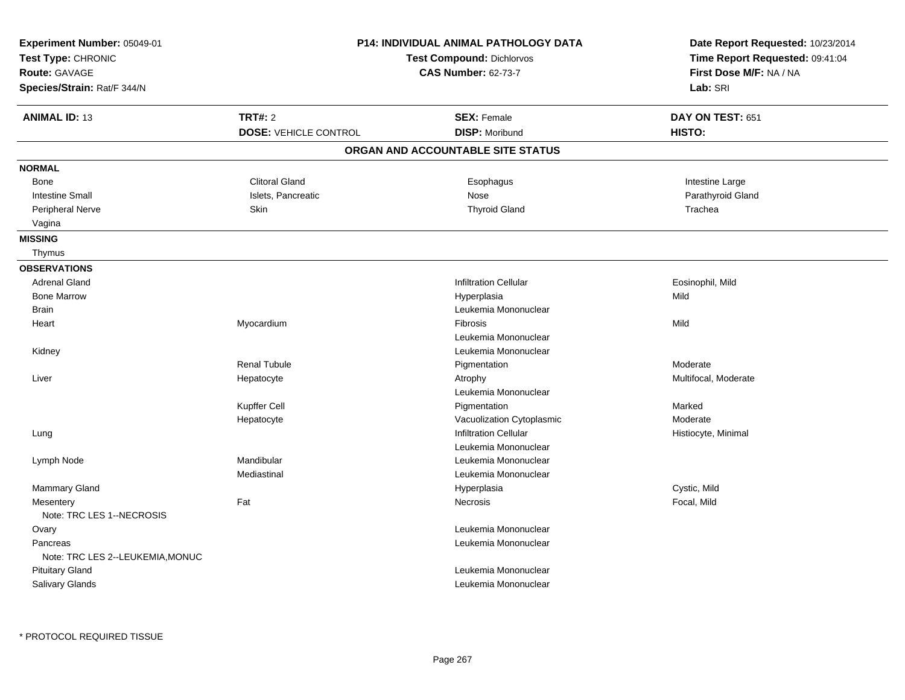| Experiment Number: 05049-01<br>Test Type: CHRONIC<br>Route: GAVAGE<br>Species/Strain: Rat/F 344/N | <b>P14: INDIVIDUAL ANIMAL PATHOLOGY DATA</b><br><b>Test Compound: Dichlorvos</b><br><b>CAS Number: 62-73-7</b> |                                             | Date Report Requested: 10/23/2014<br>Time Report Requested: 09:41:04<br>First Dose M/F: NA / NA<br>Lab: SRI |
|---------------------------------------------------------------------------------------------------|----------------------------------------------------------------------------------------------------------------|---------------------------------------------|-------------------------------------------------------------------------------------------------------------|
| <b>ANIMAL ID: 13</b>                                                                              | <b>TRT#: 2</b><br><b>DOSE: VEHICLE CONTROL</b>                                                                 | <b>SEX: Female</b><br><b>DISP: Moribund</b> | DAY ON TEST: 651<br>HISTO:                                                                                  |
|                                                                                                   |                                                                                                                | ORGAN AND ACCOUNTABLE SITE STATUS           |                                                                                                             |
|                                                                                                   |                                                                                                                |                                             |                                                                                                             |
| <b>NORMAL</b>                                                                                     |                                                                                                                |                                             |                                                                                                             |
| <b>Bone</b>                                                                                       | <b>Clitoral Gland</b>                                                                                          | Esophagus                                   | Intestine Large                                                                                             |
| <b>Intestine Small</b>                                                                            | Islets, Pancreatic                                                                                             | Nose                                        | Parathyroid Gland                                                                                           |
| Peripheral Nerve                                                                                  | Skin                                                                                                           | <b>Thyroid Gland</b>                        | Trachea                                                                                                     |
| Vagina                                                                                            |                                                                                                                |                                             |                                                                                                             |
| <b>MISSING</b><br>Thymus                                                                          |                                                                                                                |                                             |                                                                                                             |
|                                                                                                   |                                                                                                                |                                             |                                                                                                             |
| <b>OBSERVATIONS</b>                                                                               |                                                                                                                |                                             |                                                                                                             |
| <b>Adrenal Gland</b>                                                                              |                                                                                                                | <b>Infiltration Cellular</b>                | Eosinophil, Mild                                                                                            |
| <b>Bone Marrow</b>                                                                                |                                                                                                                | Hyperplasia                                 | Mild                                                                                                        |
| <b>Brain</b>                                                                                      |                                                                                                                | Leukemia Mononuclear                        |                                                                                                             |
| Heart                                                                                             | Myocardium                                                                                                     | <b>Fibrosis</b>                             | Mild                                                                                                        |
|                                                                                                   |                                                                                                                | Leukemia Mononuclear                        |                                                                                                             |
| Kidney                                                                                            |                                                                                                                | Leukemia Mononuclear                        |                                                                                                             |
|                                                                                                   | <b>Renal Tubule</b>                                                                                            | Pigmentation                                | Moderate                                                                                                    |
| Liver                                                                                             | Hepatocyte                                                                                                     | Atrophy                                     | Multifocal, Moderate                                                                                        |
|                                                                                                   |                                                                                                                | Leukemia Mononuclear                        |                                                                                                             |
|                                                                                                   | Kupffer Cell                                                                                                   | Pigmentation                                | Marked                                                                                                      |
|                                                                                                   | Hepatocyte                                                                                                     | Vacuolization Cytoplasmic                   | Moderate                                                                                                    |
| Lung                                                                                              |                                                                                                                | <b>Infiltration Cellular</b>                | Histiocyte, Minimal                                                                                         |
|                                                                                                   |                                                                                                                | Leukemia Mononuclear                        |                                                                                                             |
| Lymph Node                                                                                        | Mandibular                                                                                                     | Leukemia Mononuclear                        |                                                                                                             |
|                                                                                                   | Mediastinal                                                                                                    | Leukemia Mononuclear                        |                                                                                                             |
| Mammary Gland                                                                                     |                                                                                                                | Hyperplasia                                 | Cystic, Mild                                                                                                |
| Mesentery<br>Note: TRC LES 1--NECROSIS                                                            | Fat                                                                                                            | Necrosis                                    | Focal, Mild                                                                                                 |
| Ovary                                                                                             |                                                                                                                | Leukemia Mononuclear                        |                                                                                                             |
| Pancreas                                                                                          |                                                                                                                | Leukemia Mononuclear                        |                                                                                                             |
| Note: TRC LES 2--LEUKEMIA, MONUC                                                                  |                                                                                                                |                                             |                                                                                                             |
| <b>Pituitary Gland</b>                                                                            |                                                                                                                | Leukemia Mononuclear                        |                                                                                                             |
| <b>Salivary Glands</b>                                                                            |                                                                                                                | Leukemia Mononuclear                        |                                                                                                             |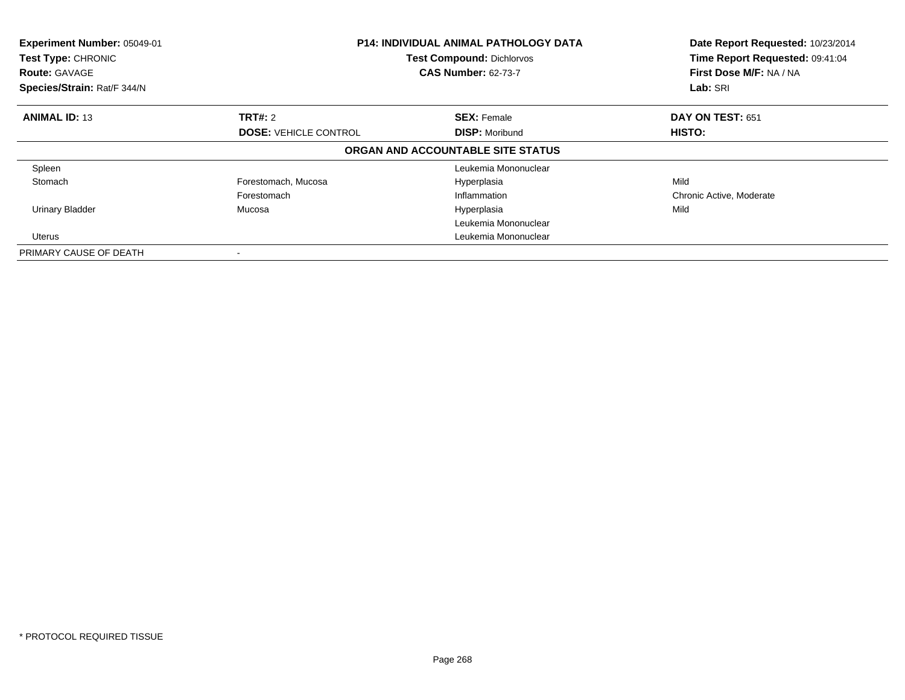| Experiment Number: 05049-01<br>Test Type: CHRONIC<br><b>Route: GAVAGE</b><br>Species/Strain: Rat/F 344/N | <b>P14: INDIVIDUAL ANIMAL PATHOLOGY DATA</b><br><b>Test Compound: Dichlorvos</b><br><b>CAS Number: 62-73-7</b> |                                   | Date Report Requested: 10/23/2014<br>Time Report Requested: 09:41:04<br>First Dose M/F: NA / NA<br>Lab: SRI |
|----------------------------------------------------------------------------------------------------------|----------------------------------------------------------------------------------------------------------------|-----------------------------------|-------------------------------------------------------------------------------------------------------------|
| <b>ANIMAL ID: 13</b>                                                                                     | <b>TRT#: 2</b>                                                                                                 | <b>SEX: Female</b>                | DAY ON TEST: 651                                                                                            |
|                                                                                                          | <b>DOSE: VEHICLE CONTROL</b><br><b>DISP: Moribund</b>                                                          |                                   | HISTO:                                                                                                      |
|                                                                                                          |                                                                                                                | ORGAN AND ACCOUNTABLE SITE STATUS |                                                                                                             |
| Spleen                                                                                                   |                                                                                                                | Leukemia Mononuclear              |                                                                                                             |
| Stomach                                                                                                  | Forestomach, Mucosa                                                                                            | Hyperplasia                       | Mild                                                                                                        |
|                                                                                                          | Forestomach                                                                                                    | Inflammation                      | Chronic Active, Moderate                                                                                    |
| <b>Urinary Bladder</b>                                                                                   | Mucosa                                                                                                         | Hyperplasia                       | Mild                                                                                                        |
|                                                                                                          |                                                                                                                | Leukemia Mononuclear              |                                                                                                             |
| Uterus                                                                                                   |                                                                                                                | Leukemia Mononuclear              |                                                                                                             |
| PRIMARY CAUSE OF DEATH                                                                                   |                                                                                                                |                                   |                                                                                                             |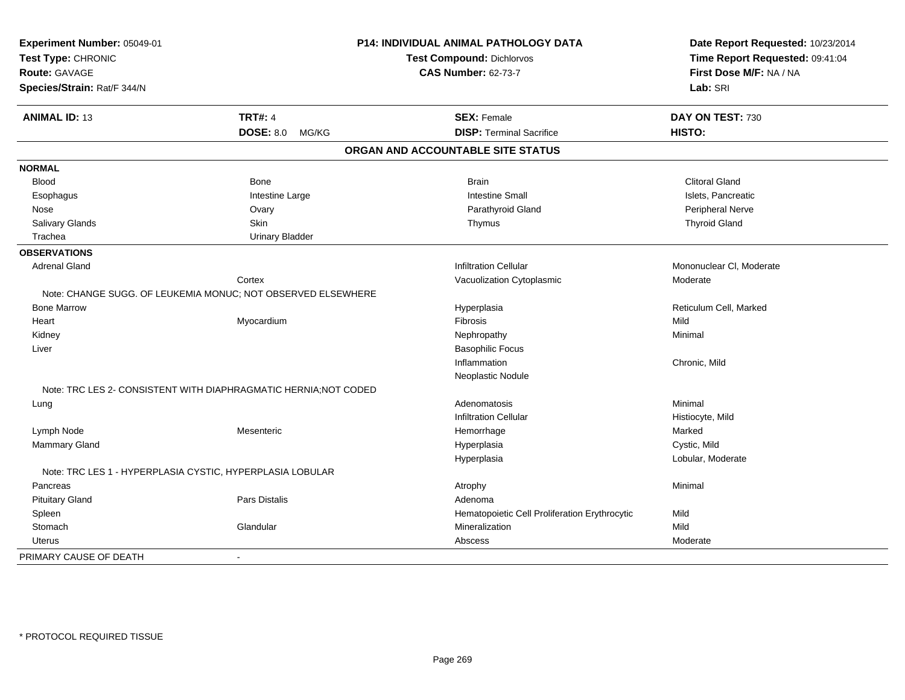| Experiment Number: 05049-01                               |                                                                  | P14: INDIVIDUAL ANIMAL PATHOLOGY DATA         | Date Report Requested: 10/23/2014 |
|-----------------------------------------------------------|------------------------------------------------------------------|-----------------------------------------------|-----------------------------------|
| Test Type: CHRONIC                                        |                                                                  | <b>Test Compound: Dichlorvos</b>              | Time Report Requested: 09:41:04   |
| <b>Route: GAVAGE</b>                                      |                                                                  | <b>CAS Number: 62-73-7</b>                    | First Dose M/F: NA / NA           |
| Species/Strain: Rat/F 344/N                               |                                                                  |                                               | Lab: SRI                          |
| <b>ANIMAL ID: 13</b>                                      | <b>TRT#: 4</b>                                                   | <b>SEX: Female</b>                            | DAY ON TEST: 730                  |
|                                                           | DOSE: 8.0 MG/KG                                                  | <b>DISP: Terminal Sacrifice</b>               | HISTO:                            |
|                                                           |                                                                  | ORGAN AND ACCOUNTABLE SITE STATUS             |                                   |
| <b>NORMAL</b>                                             |                                                                  |                                               |                                   |
| <b>Blood</b>                                              | Bone                                                             | <b>Brain</b>                                  | <b>Clitoral Gland</b>             |
| Esophagus                                                 | Intestine Large                                                  | <b>Intestine Small</b>                        | Islets, Pancreatic                |
| Nose                                                      | Ovary                                                            | Parathyroid Gland                             | Peripheral Nerve                  |
| Salivary Glands                                           | Skin                                                             | Thymus                                        | <b>Thyroid Gland</b>              |
| Trachea                                                   | <b>Urinary Bladder</b>                                           |                                               |                                   |
| <b>OBSERVATIONS</b>                                       |                                                                  |                                               |                                   |
| <b>Adrenal Gland</b>                                      |                                                                  | <b>Infiltration Cellular</b>                  | Mononuclear CI, Moderate          |
|                                                           | Cortex                                                           | Vacuolization Cytoplasmic                     | Moderate                          |
|                                                           | Note: CHANGE SUGG, OF LEUKEMIA MONUC: NOT OBSERVED ELSEWHERE     |                                               |                                   |
| <b>Bone Marrow</b>                                        |                                                                  | Hyperplasia                                   | Reticulum Cell, Marked            |
| Heart                                                     | Myocardium                                                       | Fibrosis                                      | Mild                              |
| Kidney                                                    |                                                                  | Nephropathy                                   | Minimal                           |
| Liver                                                     |                                                                  | <b>Basophilic Focus</b>                       |                                   |
|                                                           |                                                                  | Inflammation                                  | Chronic, Mild                     |
|                                                           |                                                                  | Neoplastic Nodule                             |                                   |
|                                                           | Note: TRC LES 2- CONSISTENT WITH DIAPHRAGMATIC HERNIA; NOT CODED |                                               |                                   |
| Lung                                                      |                                                                  | Adenomatosis                                  | Minimal                           |
|                                                           |                                                                  | <b>Infiltration Cellular</b>                  | Histiocyte, Mild                  |
| Lymph Node                                                | Mesenteric                                                       | Hemorrhage                                    | Marked                            |
| Mammary Gland                                             |                                                                  | Hyperplasia                                   | Cystic, Mild                      |
|                                                           |                                                                  | Hyperplasia                                   | Lobular, Moderate                 |
| Note: TRC LES 1 - HYPERPLASIA CYSTIC, HYPERPLASIA LOBULAR |                                                                  |                                               |                                   |
| Pancreas                                                  |                                                                  | Atrophy                                       | Minimal                           |
| <b>Pituitary Gland</b>                                    | <b>Pars Distalis</b>                                             | Adenoma                                       |                                   |
| Spleen                                                    |                                                                  | Hematopoietic Cell Proliferation Erythrocytic | Mild                              |
| Stomach                                                   | Glandular                                                        | Mineralization                                | Mild                              |
| <b>Uterus</b>                                             |                                                                  | Abscess                                       | Moderate                          |
| PRIMARY CAUSE OF DEATH                                    | ä,                                                               |                                               |                                   |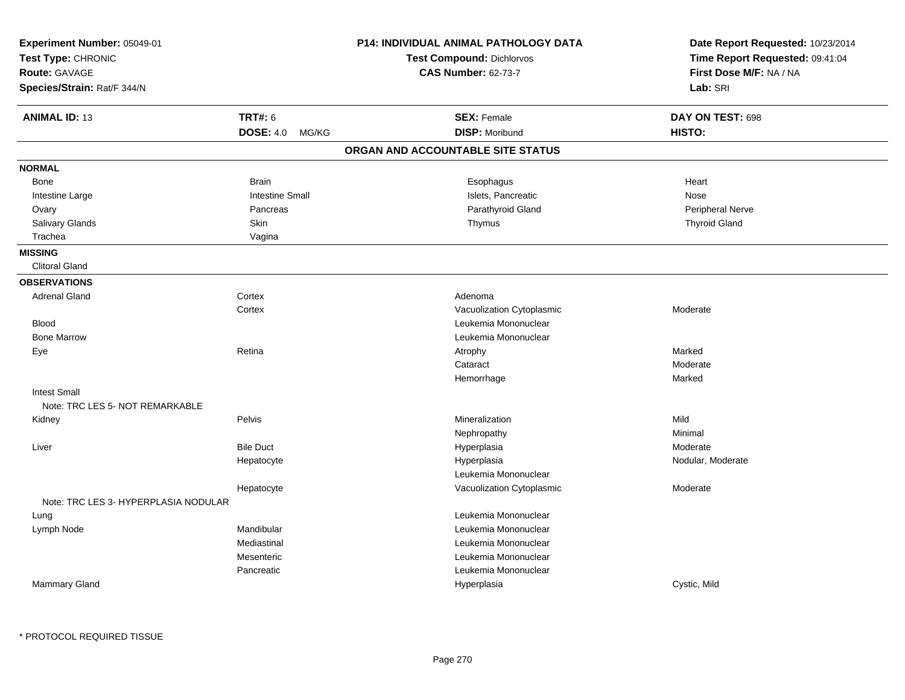| <b>TRT#: 6</b><br><b>SEX: Female</b><br>DAY ON TEST: 698<br><b>DISP: Moribund</b><br>DOSE: 4.0 MG/KG<br>HISTO:<br>ORGAN AND ACCOUNTABLE SITE STATUS<br><b>Brain</b><br>Heart<br>Bone<br>Esophagus<br><b>Intestine Small</b><br>Islets, Pancreatic<br>Nose<br>Intestine Large<br>Pancreas<br>Parathyroid Gland<br>Peripheral Nerve<br>Ovary<br>Salivary Glands<br>Skin<br><b>Thyroid Gland</b><br>Thymus<br>Trachea<br>Vagina<br><b>Clitoral Gland</b><br><b>Adrenal Gland</b><br>Cortex<br>Adenoma<br>Cortex<br>Vacuolization Cytoplasmic<br>Moderate<br>Leukemia Mononuclear<br><b>Blood</b><br><b>Bone Marrow</b><br>Leukemia Mononuclear<br>Retina<br>Marked<br>Eye<br>Atrophy<br>Cataract<br>Moderate<br>Hemorrhage<br>Marked<br><b>Intest Small</b><br>Note: TRC LES 5- NOT REMARKABLE<br>Pelvis<br>Mild<br>Mineralization<br>Kidney<br>Minimal<br>Nephropathy<br><b>Bile Duct</b><br>Moderate<br>Liver<br>Hyperplasia<br>Hyperplasia<br>Nodular, Moderate<br>Hepatocyte<br>Leukemia Mononuclear<br>Vacuolization Cytoplasmic<br>Moderate<br>Hepatocyte<br>Note: TRC LES 3- HYPERPLASIA NODULAR<br>Leukemia Mononuclear<br>Lung<br>Mandibular<br>Leukemia Mononuclear<br>Lymph Node<br>Mediastinal<br>Leukemia Mononuclear<br>Leukemia Mononuclear<br>Mesenteric<br>Pancreatic<br>Leukemia Mononuclear | Experiment Number: 05049-01<br>Test Type: CHRONIC<br><b>Route: GAVAGE</b><br>Species/Strain: Rat/F 344/N | P14: INDIVIDUAL ANIMAL PATHOLOGY DATA<br><b>Test Compound: Dichlorvos</b><br><b>CAS Number: 62-73-7</b> | Date Report Requested: 10/23/2014<br>Time Report Requested: 09:41:04<br>First Dose M/F: NA / NA<br>Lab: SRI |
|-------------------------------------------------------------------------------------------------------------------------------------------------------------------------------------------------------------------------------------------------------------------------------------------------------------------------------------------------------------------------------------------------------------------------------------------------------------------------------------------------------------------------------------------------------------------------------------------------------------------------------------------------------------------------------------------------------------------------------------------------------------------------------------------------------------------------------------------------------------------------------------------------------------------------------------------------------------------------------------------------------------------------------------------------------------------------------------------------------------------------------------------------------------------------------------------------------------------------------------------------------------------------------------------------------------|----------------------------------------------------------------------------------------------------------|---------------------------------------------------------------------------------------------------------|-------------------------------------------------------------------------------------------------------------|
|                                                                                                                                                                                                                                                                                                                                                                                                                                                                                                                                                                                                                                                                                                                                                                                                                                                                                                                                                                                                                                                                                                                                                                                                                                                                                                             | <b>ANIMAL ID: 13</b>                                                                                     |                                                                                                         |                                                                                                             |
|                                                                                                                                                                                                                                                                                                                                                                                                                                                                                                                                                                                                                                                                                                                                                                                                                                                                                                                                                                                                                                                                                                                                                                                                                                                                                                             |                                                                                                          |                                                                                                         |                                                                                                             |
|                                                                                                                                                                                                                                                                                                                                                                                                                                                                                                                                                                                                                                                                                                                                                                                                                                                                                                                                                                                                                                                                                                                                                                                                                                                                                                             |                                                                                                          |                                                                                                         |                                                                                                             |
|                                                                                                                                                                                                                                                                                                                                                                                                                                                                                                                                                                                                                                                                                                                                                                                                                                                                                                                                                                                                                                                                                                                                                                                                                                                                                                             | <b>NORMAL</b>                                                                                            |                                                                                                         |                                                                                                             |
|                                                                                                                                                                                                                                                                                                                                                                                                                                                                                                                                                                                                                                                                                                                                                                                                                                                                                                                                                                                                                                                                                                                                                                                                                                                                                                             |                                                                                                          |                                                                                                         |                                                                                                             |
|                                                                                                                                                                                                                                                                                                                                                                                                                                                                                                                                                                                                                                                                                                                                                                                                                                                                                                                                                                                                                                                                                                                                                                                                                                                                                                             |                                                                                                          |                                                                                                         |                                                                                                             |
|                                                                                                                                                                                                                                                                                                                                                                                                                                                                                                                                                                                                                                                                                                                                                                                                                                                                                                                                                                                                                                                                                                                                                                                                                                                                                                             |                                                                                                          |                                                                                                         |                                                                                                             |
|                                                                                                                                                                                                                                                                                                                                                                                                                                                                                                                                                                                                                                                                                                                                                                                                                                                                                                                                                                                                                                                                                                                                                                                                                                                                                                             |                                                                                                          |                                                                                                         |                                                                                                             |
|                                                                                                                                                                                                                                                                                                                                                                                                                                                                                                                                                                                                                                                                                                                                                                                                                                                                                                                                                                                                                                                                                                                                                                                                                                                                                                             |                                                                                                          |                                                                                                         |                                                                                                             |
|                                                                                                                                                                                                                                                                                                                                                                                                                                                                                                                                                                                                                                                                                                                                                                                                                                                                                                                                                                                                                                                                                                                                                                                                                                                                                                             | <b>MISSING</b>                                                                                           |                                                                                                         |                                                                                                             |
|                                                                                                                                                                                                                                                                                                                                                                                                                                                                                                                                                                                                                                                                                                                                                                                                                                                                                                                                                                                                                                                                                                                                                                                                                                                                                                             |                                                                                                          |                                                                                                         |                                                                                                             |
|                                                                                                                                                                                                                                                                                                                                                                                                                                                                                                                                                                                                                                                                                                                                                                                                                                                                                                                                                                                                                                                                                                                                                                                                                                                                                                             | <b>OBSERVATIONS</b>                                                                                      |                                                                                                         |                                                                                                             |
|                                                                                                                                                                                                                                                                                                                                                                                                                                                                                                                                                                                                                                                                                                                                                                                                                                                                                                                                                                                                                                                                                                                                                                                                                                                                                                             |                                                                                                          |                                                                                                         |                                                                                                             |
|                                                                                                                                                                                                                                                                                                                                                                                                                                                                                                                                                                                                                                                                                                                                                                                                                                                                                                                                                                                                                                                                                                                                                                                                                                                                                                             |                                                                                                          |                                                                                                         |                                                                                                             |
|                                                                                                                                                                                                                                                                                                                                                                                                                                                                                                                                                                                                                                                                                                                                                                                                                                                                                                                                                                                                                                                                                                                                                                                                                                                                                                             |                                                                                                          |                                                                                                         |                                                                                                             |
|                                                                                                                                                                                                                                                                                                                                                                                                                                                                                                                                                                                                                                                                                                                                                                                                                                                                                                                                                                                                                                                                                                                                                                                                                                                                                                             |                                                                                                          |                                                                                                         |                                                                                                             |
|                                                                                                                                                                                                                                                                                                                                                                                                                                                                                                                                                                                                                                                                                                                                                                                                                                                                                                                                                                                                                                                                                                                                                                                                                                                                                                             |                                                                                                          |                                                                                                         |                                                                                                             |
|                                                                                                                                                                                                                                                                                                                                                                                                                                                                                                                                                                                                                                                                                                                                                                                                                                                                                                                                                                                                                                                                                                                                                                                                                                                                                                             |                                                                                                          |                                                                                                         |                                                                                                             |
|                                                                                                                                                                                                                                                                                                                                                                                                                                                                                                                                                                                                                                                                                                                                                                                                                                                                                                                                                                                                                                                                                                                                                                                                                                                                                                             |                                                                                                          |                                                                                                         |                                                                                                             |
|                                                                                                                                                                                                                                                                                                                                                                                                                                                                                                                                                                                                                                                                                                                                                                                                                                                                                                                                                                                                                                                                                                                                                                                                                                                                                                             |                                                                                                          |                                                                                                         |                                                                                                             |
|                                                                                                                                                                                                                                                                                                                                                                                                                                                                                                                                                                                                                                                                                                                                                                                                                                                                                                                                                                                                                                                                                                                                                                                                                                                                                                             |                                                                                                          |                                                                                                         |                                                                                                             |
|                                                                                                                                                                                                                                                                                                                                                                                                                                                                                                                                                                                                                                                                                                                                                                                                                                                                                                                                                                                                                                                                                                                                                                                                                                                                                                             |                                                                                                          |                                                                                                         |                                                                                                             |
|                                                                                                                                                                                                                                                                                                                                                                                                                                                                                                                                                                                                                                                                                                                                                                                                                                                                                                                                                                                                                                                                                                                                                                                                                                                                                                             |                                                                                                          |                                                                                                         |                                                                                                             |
|                                                                                                                                                                                                                                                                                                                                                                                                                                                                                                                                                                                                                                                                                                                                                                                                                                                                                                                                                                                                                                                                                                                                                                                                                                                                                                             |                                                                                                          |                                                                                                         |                                                                                                             |
|                                                                                                                                                                                                                                                                                                                                                                                                                                                                                                                                                                                                                                                                                                                                                                                                                                                                                                                                                                                                                                                                                                                                                                                                                                                                                                             |                                                                                                          |                                                                                                         |                                                                                                             |
|                                                                                                                                                                                                                                                                                                                                                                                                                                                                                                                                                                                                                                                                                                                                                                                                                                                                                                                                                                                                                                                                                                                                                                                                                                                                                                             |                                                                                                          |                                                                                                         |                                                                                                             |
|                                                                                                                                                                                                                                                                                                                                                                                                                                                                                                                                                                                                                                                                                                                                                                                                                                                                                                                                                                                                                                                                                                                                                                                                                                                                                                             |                                                                                                          |                                                                                                         |                                                                                                             |
|                                                                                                                                                                                                                                                                                                                                                                                                                                                                                                                                                                                                                                                                                                                                                                                                                                                                                                                                                                                                                                                                                                                                                                                                                                                                                                             |                                                                                                          |                                                                                                         |                                                                                                             |
|                                                                                                                                                                                                                                                                                                                                                                                                                                                                                                                                                                                                                                                                                                                                                                                                                                                                                                                                                                                                                                                                                                                                                                                                                                                                                                             |                                                                                                          |                                                                                                         |                                                                                                             |
|                                                                                                                                                                                                                                                                                                                                                                                                                                                                                                                                                                                                                                                                                                                                                                                                                                                                                                                                                                                                                                                                                                                                                                                                                                                                                                             |                                                                                                          |                                                                                                         |                                                                                                             |
|                                                                                                                                                                                                                                                                                                                                                                                                                                                                                                                                                                                                                                                                                                                                                                                                                                                                                                                                                                                                                                                                                                                                                                                                                                                                                                             |                                                                                                          |                                                                                                         |                                                                                                             |
|                                                                                                                                                                                                                                                                                                                                                                                                                                                                                                                                                                                                                                                                                                                                                                                                                                                                                                                                                                                                                                                                                                                                                                                                                                                                                                             |                                                                                                          |                                                                                                         |                                                                                                             |
|                                                                                                                                                                                                                                                                                                                                                                                                                                                                                                                                                                                                                                                                                                                                                                                                                                                                                                                                                                                                                                                                                                                                                                                                                                                                                                             | Mammary Gland                                                                                            | Hyperplasia                                                                                             | Cystic, Mild                                                                                                |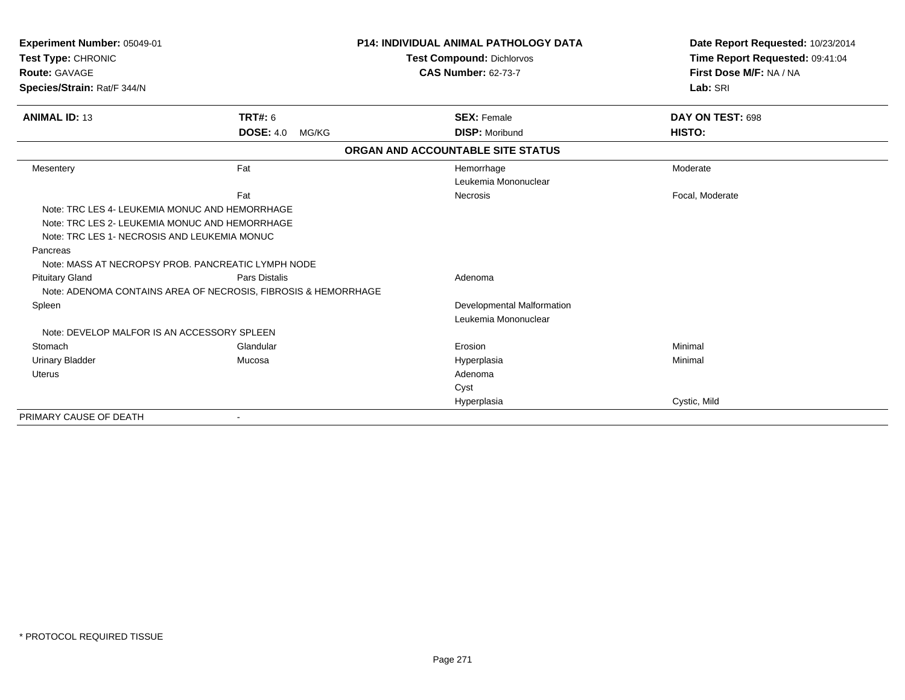| Experiment Number: 05049-01                                                                    |                                                                                 | <b>P14: INDIVIDUAL ANIMAL PATHOLOGY DATA</b> | Date Report Requested: 10/23/2014 |
|------------------------------------------------------------------------------------------------|---------------------------------------------------------------------------------|----------------------------------------------|-----------------------------------|
| Test Type: CHRONIC                                                                             |                                                                                 | <b>Test Compound: Dichlorvos</b>             | Time Report Requested: 09:41:04   |
| <b>Route: GAVAGE</b>                                                                           |                                                                                 | <b>CAS Number: 62-73-7</b>                   | First Dose M/F: NA / NA           |
| Species/Strain: Rat/F 344/N                                                                    |                                                                                 |                                              | Lab: SRI                          |
| <b>ANIMAL ID: 13</b>                                                                           | <b>TRT#: 6</b>                                                                  | <b>SEX: Female</b>                           | DAY ON TEST: 698                  |
|                                                                                                | <b>DOSE: 4.0</b><br>MG/KG                                                       | <b>DISP: Moribund</b>                        | HISTO:                            |
|                                                                                                |                                                                                 | ORGAN AND ACCOUNTABLE SITE STATUS            |                                   |
| Mesentery                                                                                      | Fat                                                                             | Hemorrhage                                   | Moderate                          |
|                                                                                                |                                                                                 | Leukemia Mononuclear                         |                                   |
|                                                                                                | Fat                                                                             | <b>Necrosis</b>                              | Focal, Moderate                   |
| Note: TRC LES 4- LEUKEMIA MONUC AND HEMORRHAGE                                                 |                                                                                 |                                              |                                   |
| Note: TRC LES 2- LEUKEMIA MONUC AND HEMORRHAGE<br>Note: TRC LES 1- NECROSIS AND LEUKEMIA MONUC |                                                                                 |                                              |                                   |
| Pancreas                                                                                       |                                                                                 |                                              |                                   |
| Note: MASS AT NECROPSY PROB. PANCREATIC LYMPH NODE                                             |                                                                                 |                                              |                                   |
| <b>Pituitary Gland</b>                                                                         | Pars Distalis<br>Note: ADENOMA CONTAINS AREA OF NECROSIS, FIBROSIS & HEMORRHAGE | Adenoma                                      |                                   |
| Spleen                                                                                         |                                                                                 | Developmental Malformation                   |                                   |
|                                                                                                |                                                                                 | Leukemia Mononuclear                         |                                   |
| Note: DEVELOP MALFOR IS AN ACCESSORY SPLEEN                                                    |                                                                                 |                                              |                                   |
| Stomach                                                                                        | Glandular                                                                       | Erosion                                      | Minimal                           |
| <b>Urinary Bladder</b>                                                                         | Mucosa                                                                          | Hyperplasia                                  | Minimal                           |
| <b>Uterus</b>                                                                                  |                                                                                 | Adenoma                                      |                                   |
|                                                                                                |                                                                                 | Cyst                                         |                                   |
|                                                                                                |                                                                                 | Hyperplasia                                  | Cystic, Mild                      |
| PRIMARY CAUSE OF DEATH                                                                         |                                                                                 |                                              |                                   |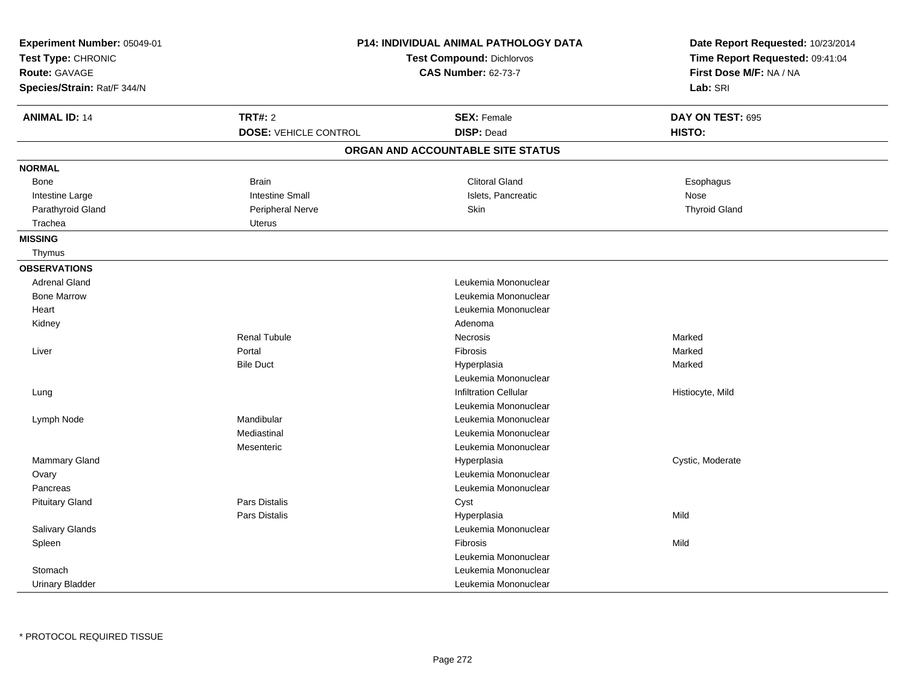| Experiment Number: 05049-01<br>Test Type: CHRONIC<br><b>Route: GAVAGE</b><br>Species/Strain: Rat/F 344/N |                              | <b>P14: INDIVIDUAL ANIMAL PATHOLOGY DATA</b><br><b>Test Compound: Dichlorvos</b><br><b>CAS Number: 62-73-7</b> | Date Report Requested: 10/23/2014<br>Time Report Requested: 09:41:04<br>First Dose M/F: NA / NA<br>Lab: SRI |
|----------------------------------------------------------------------------------------------------------|------------------------------|----------------------------------------------------------------------------------------------------------------|-------------------------------------------------------------------------------------------------------------|
| <b>ANIMAL ID: 14</b>                                                                                     | <b>TRT#: 2</b>               | <b>SEX: Female</b>                                                                                             | DAY ON TEST: 695                                                                                            |
|                                                                                                          | <b>DOSE: VEHICLE CONTROL</b> | <b>DISP: Dead</b>                                                                                              | HISTO:                                                                                                      |
|                                                                                                          |                              | ORGAN AND ACCOUNTABLE SITE STATUS                                                                              |                                                                                                             |
| <b>NORMAL</b>                                                                                            |                              |                                                                                                                |                                                                                                             |
| Bone                                                                                                     | <b>Brain</b>                 | <b>Clitoral Gland</b>                                                                                          | Esophagus                                                                                                   |
| Intestine Large                                                                                          | <b>Intestine Small</b>       | Islets, Pancreatic                                                                                             | Nose                                                                                                        |
| Parathyroid Gland                                                                                        | Peripheral Nerve             | Skin                                                                                                           | <b>Thyroid Gland</b>                                                                                        |
| Trachea                                                                                                  | <b>Uterus</b>                |                                                                                                                |                                                                                                             |
| <b>MISSING</b>                                                                                           |                              |                                                                                                                |                                                                                                             |
| Thymus                                                                                                   |                              |                                                                                                                |                                                                                                             |
| <b>OBSERVATIONS</b>                                                                                      |                              |                                                                                                                |                                                                                                             |
| <b>Adrenal Gland</b>                                                                                     |                              | Leukemia Mononuclear                                                                                           |                                                                                                             |
| <b>Bone Marrow</b>                                                                                       |                              | Leukemia Mononuclear                                                                                           |                                                                                                             |
| Heart                                                                                                    |                              | Leukemia Mononuclear                                                                                           |                                                                                                             |
| Kidney                                                                                                   |                              | Adenoma                                                                                                        |                                                                                                             |
|                                                                                                          | <b>Renal Tubule</b>          | Necrosis                                                                                                       | Marked                                                                                                      |
| Liver                                                                                                    | Portal                       | Fibrosis                                                                                                       | Marked                                                                                                      |
|                                                                                                          | <b>Bile Duct</b>             | Hyperplasia                                                                                                    | Marked                                                                                                      |
|                                                                                                          |                              | Leukemia Mononuclear                                                                                           |                                                                                                             |
| Lung                                                                                                     |                              | <b>Infiltration Cellular</b>                                                                                   | Histiocyte, Mild                                                                                            |
|                                                                                                          |                              | Leukemia Mononuclear                                                                                           |                                                                                                             |
| Lymph Node                                                                                               | Mandibular                   | Leukemia Mononuclear                                                                                           |                                                                                                             |
|                                                                                                          | Mediastinal                  | Leukemia Mononuclear                                                                                           |                                                                                                             |
|                                                                                                          | Mesenteric                   | Leukemia Mononuclear                                                                                           |                                                                                                             |
| Mammary Gland                                                                                            |                              | Hyperplasia                                                                                                    | Cystic, Moderate                                                                                            |
| Ovary                                                                                                    |                              | Leukemia Mononuclear                                                                                           |                                                                                                             |
| Pancreas                                                                                                 |                              | Leukemia Mononuclear                                                                                           |                                                                                                             |
| <b>Pituitary Gland</b>                                                                                   | Pars Distalis                | Cyst                                                                                                           |                                                                                                             |
|                                                                                                          | Pars Distalis                | Hyperplasia                                                                                                    | Mild                                                                                                        |
| Salivary Glands                                                                                          |                              | Leukemia Mononuclear                                                                                           |                                                                                                             |
| Spleen                                                                                                   |                              | Fibrosis                                                                                                       | Mild                                                                                                        |
|                                                                                                          |                              | Leukemia Mononuclear                                                                                           |                                                                                                             |
| Stomach                                                                                                  |                              | Leukemia Mononuclear                                                                                           |                                                                                                             |
| <b>Urinary Bladder</b>                                                                                   |                              | Leukemia Mononuclear                                                                                           |                                                                                                             |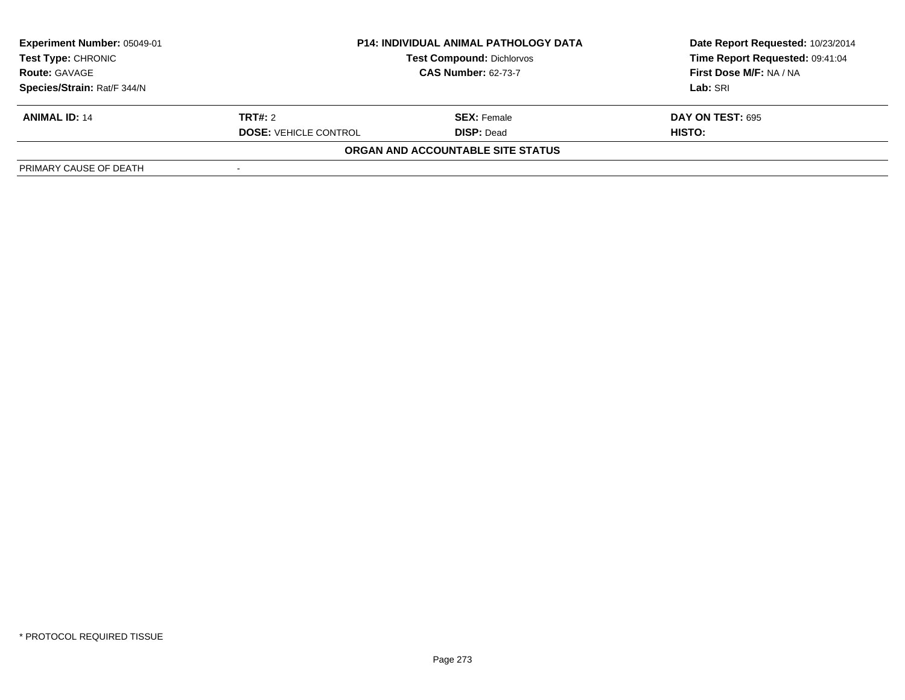| <b>Experiment Number: 05049-01</b><br><b>Test Type: CHRONIC</b> |                              | <b>P14: INDIVIDUAL ANIMAL PATHOLOGY DATA</b><br><b>Test Compound: Dichlorvos</b> | Date Report Requested: 10/23/2014<br>Time Report Requested: 09:41:04 |
|-----------------------------------------------------------------|------------------------------|----------------------------------------------------------------------------------|----------------------------------------------------------------------|
| <b>Route: GAVAGE</b>                                            | <b>CAS Number: 62-73-7</b>   |                                                                                  | First Dose M/F: NA / NA                                              |
| Species/Strain: Rat/F 344/N                                     |                              |                                                                                  | Lab: SRI                                                             |
| <b>ANIMAL ID: 14</b>                                            | <b>TRT#:</b> 2               | <b>SEX:</b> Female                                                               | <b>DAY ON TEST: 695</b>                                              |
|                                                                 | <b>DOSE: VEHICLE CONTROL</b> | <b>DISP: Dead</b>                                                                | HISTO:                                                               |
|                                                                 |                              | ORGAN AND ACCOUNTABLE SITE STATUS                                                |                                                                      |
| PRIMARY CAUSE OF DEATH                                          |                              |                                                                                  |                                                                      |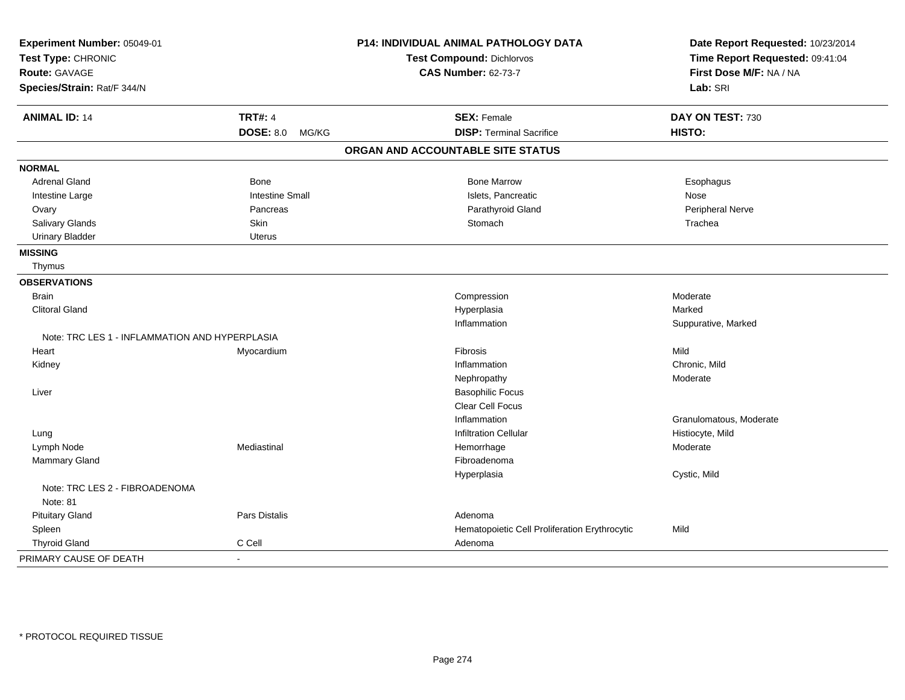| Experiment Number: 05049-01                    |                        | P14: INDIVIDUAL ANIMAL PATHOLOGY DATA         | Date Report Requested: 10/23/2014 |
|------------------------------------------------|------------------------|-----------------------------------------------|-----------------------------------|
| Test Type: CHRONIC<br>Route: GAVAGE            |                        | <b>Test Compound: Dichlorvos</b>              | Time Report Requested: 09:41:04   |
|                                                |                        | <b>CAS Number: 62-73-7</b>                    | First Dose M/F: NA / NA           |
| Species/Strain: Rat/F 344/N                    |                        |                                               | Lab: SRI                          |
| <b>ANIMAL ID: 14</b>                           | <b>TRT#: 4</b>         | <b>SEX: Female</b>                            | DAY ON TEST: 730                  |
|                                                | <b>DOSE: 8.0 MG/KG</b> | <b>DISP: Terminal Sacrifice</b>               | HISTO:                            |
|                                                |                        | ORGAN AND ACCOUNTABLE SITE STATUS             |                                   |
| <b>NORMAL</b>                                  |                        |                                               |                                   |
| <b>Adrenal Gland</b>                           | Bone                   | <b>Bone Marrow</b>                            | Esophagus                         |
| Intestine Large                                | <b>Intestine Small</b> | Islets, Pancreatic                            | Nose                              |
| Ovary                                          | Pancreas               | Parathyroid Gland                             | Peripheral Nerve                  |
| Salivary Glands                                | Skin                   | Stomach                                       | Trachea                           |
| <b>Urinary Bladder</b>                         | <b>Uterus</b>          |                                               |                                   |
| <b>MISSING</b>                                 |                        |                                               |                                   |
| Thymus                                         |                        |                                               |                                   |
| <b>OBSERVATIONS</b>                            |                        |                                               |                                   |
| <b>Brain</b>                                   |                        | Compression                                   | Moderate                          |
| <b>Clitoral Gland</b>                          |                        | Hyperplasia                                   | Marked                            |
|                                                |                        | Inflammation                                  | Suppurative, Marked               |
| Note: TRC LES 1 - INFLAMMATION AND HYPERPLASIA |                        |                                               |                                   |
| Heart                                          | Myocardium             | Fibrosis                                      | Mild                              |
| Kidney                                         |                        | Inflammation                                  | Chronic, Mild                     |
|                                                |                        | Nephropathy                                   | Moderate                          |
| Liver                                          |                        | <b>Basophilic Focus</b>                       |                                   |
|                                                |                        | Clear Cell Focus                              |                                   |
|                                                |                        | Inflammation                                  | Granulomatous, Moderate           |
| Lung                                           |                        | <b>Infiltration Cellular</b>                  | Histiocyte, Mild                  |
| Lymph Node                                     | Mediastinal            | Hemorrhage                                    | Moderate                          |
| <b>Mammary Gland</b>                           |                        | Fibroadenoma                                  |                                   |
|                                                |                        | Hyperplasia                                   | Cystic, Mild                      |
| Note: TRC LES 2 - FIBROADENOMA<br>Note: 81     |                        |                                               |                                   |
| <b>Pituitary Gland</b>                         | <b>Pars Distalis</b>   | Adenoma                                       |                                   |
| Spleen                                         |                        | Hematopoietic Cell Proliferation Erythrocytic | Mild                              |
| <b>Thyroid Gland</b>                           | C Cell                 | Adenoma                                       |                                   |
| PRIMARY CAUSE OF DEATH                         | $\blacksquare$         |                                               |                                   |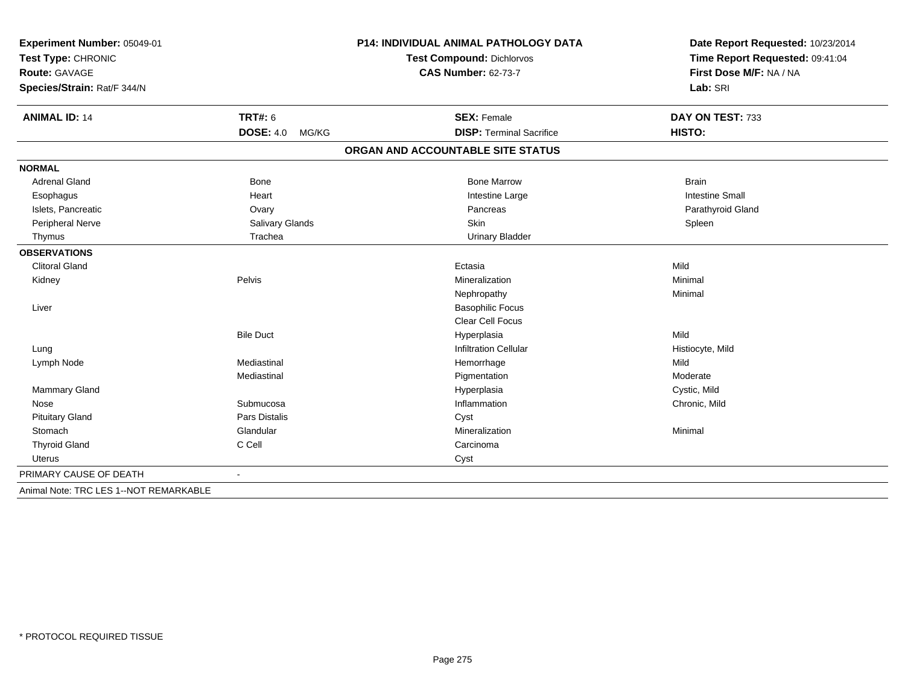| Experiment Number: 05049-01<br>Test Type: CHRONIC |                           | <b>P14: INDIVIDUAL ANIMAL PATHOLOGY DATA</b> | Date Report Requested: 10/23/2014<br>Time Report Requested: 09:41:04 |  |
|---------------------------------------------------|---------------------------|----------------------------------------------|----------------------------------------------------------------------|--|
|                                                   |                           | <b>Test Compound: Dichlorvos</b>             |                                                                      |  |
| <b>Route: GAVAGE</b>                              |                           | <b>CAS Number: 62-73-7</b>                   | First Dose M/F: NA / NA                                              |  |
| Species/Strain: Rat/F 344/N                       |                           |                                              | Lab: SRI                                                             |  |
| <b>ANIMAL ID: 14</b>                              | <b>TRT#: 6</b>            | <b>SEX: Female</b>                           | DAY ON TEST: 733                                                     |  |
|                                                   | <b>DOSE: 4.0</b><br>MG/KG | <b>DISP: Terminal Sacrifice</b>              | HISTO:                                                               |  |
|                                                   |                           | ORGAN AND ACCOUNTABLE SITE STATUS            |                                                                      |  |
| <b>NORMAL</b>                                     |                           |                                              |                                                                      |  |
| <b>Adrenal Gland</b>                              | <b>Bone</b>               | <b>Bone Marrow</b>                           | <b>Brain</b>                                                         |  |
| Esophagus                                         | Heart                     | Intestine Large                              | <b>Intestine Small</b>                                               |  |
| Islets, Pancreatic                                | Ovary                     | Pancreas                                     | Parathyroid Gland                                                    |  |
| Peripheral Nerve                                  | Salivary Glands           | Skin                                         | Spleen                                                               |  |
| Thymus                                            | Trachea                   | <b>Urinary Bladder</b>                       |                                                                      |  |
| <b>OBSERVATIONS</b>                               |                           |                                              |                                                                      |  |
| <b>Clitoral Gland</b>                             |                           | Ectasia                                      | Mild                                                                 |  |
| Kidney                                            | Pelvis                    | Mineralization                               | Minimal                                                              |  |
|                                                   |                           | Nephropathy                                  | Minimal                                                              |  |
| Liver                                             |                           | <b>Basophilic Focus</b>                      |                                                                      |  |
|                                                   |                           | <b>Clear Cell Focus</b>                      |                                                                      |  |
|                                                   | <b>Bile Duct</b>          | Hyperplasia                                  | Mild                                                                 |  |
| Lung                                              |                           | <b>Infiltration Cellular</b>                 | Histiocyte, Mild                                                     |  |
| Lymph Node                                        | Mediastinal               | Hemorrhage                                   | Mild                                                                 |  |
|                                                   | Mediastinal               | Pigmentation                                 | Moderate                                                             |  |
| Mammary Gland                                     |                           | Hyperplasia                                  | Cystic, Mild                                                         |  |
| Nose                                              | Submucosa                 | Inflammation                                 | Chronic, Mild                                                        |  |
| <b>Pituitary Gland</b>                            | <b>Pars Distalis</b>      | Cyst                                         |                                                                      |  |
| Stomach                                           | Glandular                 | Mineralization                               | Minimal                                                              |  |
| <b>Thyroid Gland</b>                              | C Cell                    | Carcinoma                                    |                                                                      |  |
| <b>Uterus</b>                                     |                           | Cyst                                         |                                                                      |  |
| PRIMARY CAUSE OF DEATH                            | $\blacksquare$            |                                              |                                                                      |  |
| Animal Note: TRC LES 1--NOT REMARKABLE            |                           |                                              |                                                                      |  |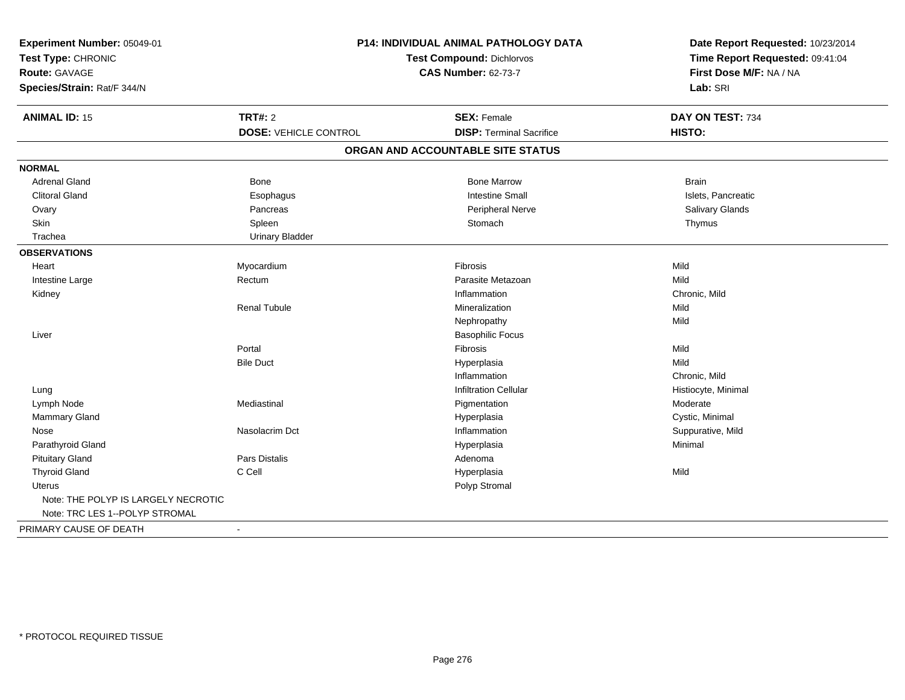| Experiment Number: 05049-01<br>Test Type: CHRONIC<br><b>Route: GAVAGE</b><br>Species/Strain: Rat/F 344/N | P14: INDIVIDUAL ANIMAL PATHOLOGY DATA<br><b>Test Compound: Dichlorvos</b><br><b>CAS Number: 62-73-7</b> |                                   | Date Report Requested: 10/23/2014<br>Time Report Requested: 09:41:04<br>First Dose M/F: NA / NA<br>Lab: SRI |
|----------------------------------------------------------------------------------------------------------|---------------------------------------------------------------------------------------------------------|-----------------------------------|-------------------------------------------------------------------------------------------------------------|
| <b>ANIMAL ID: 15</b>                                                                                     | <b>TRT#: 2</b>                                                                                          | <b>SEX: Female</b>                | DAY ON TEST: 734                                                                                            |
|                                                                                                          | <b>DOSE: VEHICLE CONTROL</b>                                                                            | <b>DISP: Terminal Sacrifice</b>   | HISTO:                                                                                                      |
|                                                                                                          |                                                                                                         | ORGAN AND ACCOUNTABLE SITE STATUS |                                                                                                             |
| <b>NORMAL</b>                                                                                            |                                                                                                         |                                   |                                                                                                             |
| <b>Adrenal Gland</b>                                                                                     | Bone                                                                                                    | <b>Bone Marrow</b>                | <b>Brain</b>                                                                                                |
| <b>Clitoral Gland</b>                                                                                    | Esophagus                                                                                               | <b>Intestine Small</b>            | Islets, Pancreatic                                                                                          |
| Ovary                                                                                                    | Pancreas                                                                                                | Peripheral Nerve                  | Salivary Glands                                                                                             |
| Skin                                                                                                     | Spleen                                                                                                  | Stomach                           | Thymus                                                                                                      |
| Trachea                                                                                                  | <b>Urinary Bladder</b>                                                                                  |                                   |                                                                                                             |
| <b>OBSERVATIONS</b>                                                                                      |                                                                                                         |                                   |                                                                                                             |
| Heart                                                                                                    | Myocardium                                                                                              | Fibrosis                          | Mild                                                                                                        |
| Intestine Large                                                                                          | Rectum                                                                                                  | Parasite Metazoan                 | Mild                                                                                                        |
| Kidney                                                                                                   |                                                                                                         | Inflammation                      | Chronic, Mild                                                                                               |
|                                                                                                          | <b>Renal Tubule</b>                                                                                     | Mineralization                    | Mild                                                                                                        |
|                                                                                                          |                                                                                                         | Nephropathy                       | Mild                                                                                                        |
| Liver                                                                                                    |                                                                                                         | <b>Basophilic Focus</b>           |                                                                                                             |
|                                                                                                          | Portal                                                                                                  | Fibrosis                          | Mild                                                                                                        |
|                                                                                                          | <b>Bile Duct</b>                                                                                        | Hyperplasia                       | Mild                                                                                                        |
|                                                                                                          |                                                                                                         | Inflammation                      | Chronic, Mild                                                                                               |
| Lung                                                                                                     |                                                                                                         | <b>Infiltration Cellular</b>      | Histiocyte, Minimal                                                                                         |
| Lymph Node                                                                                               | Mediastinal                                                                                             | Pigmentation                      | Moderate                                                                                                    |
| Mammary Gland                                                                                            |                                                                                                         | Hyperplasia                       | Cystic, Minimal                                                                                             |
| Nose                                                                                                     | Nasolacrim Dct                                                                                          | Inflammation                      | Suppurative, Mild                                                                                           |
| Parathyroid Gland                                                                                        |                                                                                                         | Hyperplasia                       | Minimal                                                                                                     |
| <b>Pituitary Gland</b>                                                                                   | <b>Pars Distalis</b>                                                                                    | Adenoma                           |                                                                                                             |
| <b>Thyroid Gland</b>                                                                                     | C Cell                                                                                                  | Hyperplasia                       | Mild                                                                                                        |
| Uterus                                                                                                   |                                                                                                         | Polyp Stromal                     |                                                                                                             |
| Note: THE POLYP IS LARGELY NECROTIC<br>Note: TRC LES 1--POLYP STROMAL                                    |                                                                                                         |                                   |                                                                                                             |
| PRIMARY CAUSE OF DEATH                                                                                   | $\blacksquare$                                                                                          |                                   |                                                                                                             |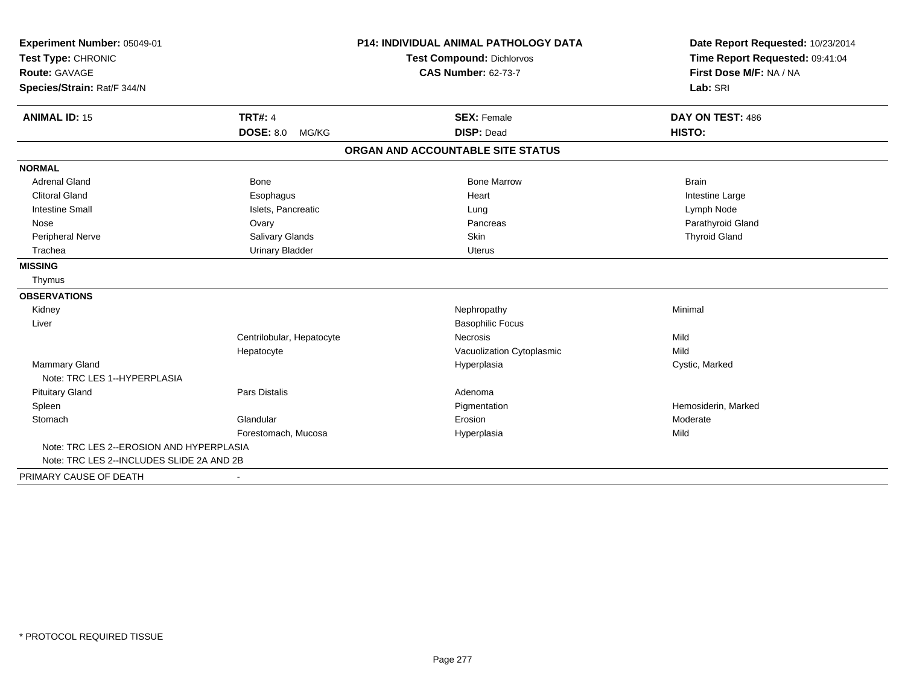| Experiment Number: 05049-01<br>Test Type: CHRONIC<br><b>Route: GAVAGE</b> |                           | <b>P14: INDIVIDUAL ANIMAL PATHOLOGY DATA</b> | Date Report Requested: 10/23/2014                          |
|---------------------------------------------------------------------------|---------------------------|----------------------------------------------|------------------------------------------------------------|
|                                                                           |                           | <b>Test Compound: Dichlorvos</b>             | Time Report Requested: 09:41:04<br>First Dose M/F: NA / NA |
|                                                                           |                           | <b>CAS Number: 62-73-7</b>                   |                                                            |
| Species/Strain: Rat/F 344/N                                               |                           |                                              | Lab: SRI                                                   |
| <b>ANIMAL ID: 15</b>                                                      | <b>TRT#: 4</b>            | <b>SEX: Female</b>                           | DAY ON TEST: 486                                           |
|                                                                           | <b>DOSE: 8.0</b><br>MG/KG | <b>DISP: Dead</b>                            | HISTO:                                                     |
|                                                                           |                           | ORGAN AND ACCOUNTABLE SITE STATUS            |                                                            |
| <b>NORMAL</b>                                                             |                           |                                              |                                                            |
| <b>Adrenal Gland</b>                                                      | <b>Bone</b>               | <b>Bone Marrow</b>                           | <b>Brain</b>                                               |
| <b>Clitoral Gland</b>                                                     | Esophagus                 | Heart                                        | Intestine Large                                            |
| <b>Intestine Small</b>                                                    | Islets, Pancreatic        | Lung                                         | Lymph Node                                                 |
| Nose                                                                      | Ovary                     | Pancreas                                     | Parathyroid Gland                                          |
| Peripheral Nerve                                                          | Salivary Glands           | Skin                                         | <b>Thyroid Gland</b>                                       |
| Trachea                                                                   | <b>Urinary Bladder</b>    | <b>Uterus</b>                                |                                                            |
| <b>MISSING</b>                                                            |                           |                                              |                                                            |
| Thymus                                                                    |                           |                                              |                                                            |
| <b>OBSERVATIONS</b>                                                       |                           |                                              |                                                            |
| Kidney                                                                    |                           | Nephropathy                                  | Minimal                                                    |
| Liver                                                                     |                           | <b>Basophilic Focus</b>                      |                                                            |
|                                                                           | Centrilobular, Hepatocyte | <b>Necrosis</b>                              | Mild                                                       |
|                                                                           | Hepatocyte                | Vacuolization Cytoplasmic                    | Mild                                                       |
| <b>Mammary Gland</b><br>Note: TRC LES 1--HYPERPLASIA                      |                           | Hyperplasia                                  | Cystic, Marked                                             |
| <b>Pituitary Gland</b>                                                    | <b>Pars Distalis</b>      | Adenoma                                      |                                                            |
| Spleen                                                                    |                           | Pigmentation                                 | Hemosiderin, Marked                                        |
| Stomach                                                                   | Glandular                 | Erosion                                      | Moderate                                                   |
|                                                                           | Forestomach, Mucosa       | Hyperplasia                                  | Mild                                                       |
| Note: TRC LES 2--EROSION AND HYPERPLASIA                                  |                           |                                              |                                                            |
| Note: TRC LES 2--INCLUDES SLIDE 2A AND 2B                                 |                           |                                              |                                                            |
| PRIMARY CAUSE OF DEATH                                                    |                           |                                              |                                                            |
|                                                                           |                           |                                              |                                                            |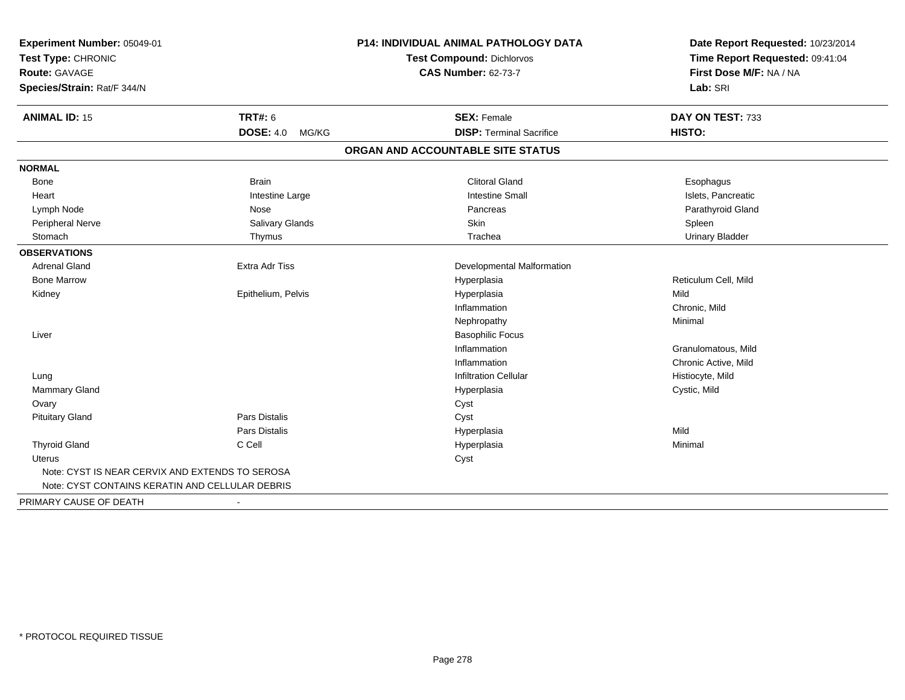| Experiment Number: 05049-01<br>Test Type: CHRONIC |                           | P14: INDIVIDUAL ANIMAL PATHOLOGY DATA | Date Report Requested: 10/23/2014<br>Time Report Requested: 09:41:04 |
|---------------------------------------------------|---------------------------|---------------------------------------|----------------------------------------------------------------------|
|                                                   |                           | <b>Test Compound: Dichlorvos</b>      |                                                                      |
| Route: GAVAGE                                     |                           | <b>CAS Number: 62-73-7</b>            | First Dose M/F: NA / NA                                              |
| Species/Strain: Rat/F 344/N                       |                           |                                       | Lab: SRI                                                             |
| <b>ANIMAL ID: 15</b>                              | <b>TRT#: 6</b>            | <b>SEX: Female</b>                    | DAY ON TEST: 733                                                     |
|                                                   | <b>DOSE: 4.0</b><br>MG/KG | <b>DISP: Terminal Sacrifice</b>       | HISTO:                                                               |
|                                                   |                           | ORGAN AND ACCOUNTABLE SITE STATUS     |                                                                      |
| <b>NORMAL</b>                                     |                           |                                       |                                                                      |
| <b>Bone</b>                                       | <b>Brain</b>              | <b>Clitoral Gland</b>                 | Esophagus                                                            |
| Heart                                             | Intestine Large           | <b>Intestine Small</b>                | Islets, Pancreatic                                                   |
| Lymph Node                                        | Nose                      | Pancreas                              | Parathyroid Gland                                                    |
| Peripheral Nerve                                  | Salivary Glands           | Skin                                  | Spleen                                                               |
| Stomach                                           | Thymus                    | Trachea                               | <b>Urinary Bladder</b>                                               |
| <b>OBSERVATIONS</b>                               |                           |                                       |                                                                      |
| <b>Adrenal Gland</b>                              | <b>Extra Adr Tiss</b>     | Developmental Malformation            |                                                                      |
| <b>Bone Marrow</b>                                |                           | Hyperplasia                           | Reticulum Cell, Mild                                                 |
| Kidney                                            | Epithelium, Pelvis        | Hyperplasia                           | Mild                                                                 |
|                                                   |                           | Inflammation                          | Chronic, Mild                                                        |
|                                                   |                           | Nephropathy                           | Minimal                                                              |
| Liver                                             |                           | <b>Basophilic Focus</b>               |                                                                      |
|                                                   |                           | Inflammation                          | Granulomatous, Mild                                                  |
|                                                   |                           | Inflammation                          | Chronic Active, Mild                                                 |
| Lung                                              |                           | <b>Infiltration Cellular</b>          | Histiocyte, Mild                                                     |
| Mammary Gland                                     |                           | Hyperplasia                           | Cystic, Mild                                                         |
| Ovary                                             |                           | Cyst                                  |                                                                      |
| <b>Pituitary Gland</b>                            | <b>Pars Distalis</b>      | Cyst                                  |                                                                      |
|                                                   | Pars Distalis             | Hyperplasia                           | Mild                                                                 |
| <b>Thyroid Gland</b>                              | C Cell                    | Hyperplasia                           | Minimal                                                              |
| <b>Uterus</b>                                     |                           | Cyst                                  |                                                                      |
| Note: CYST IS NEAR CERVIX AND EXTENDS TO SEROSA   |                           |                                       |                                                                      |
| Note: CYST CONTAINS KERATIN AND CELLULAR DEBRIS   |                           |                                       |                                                                      |
| PRIMARY CAUSE OF DEATH                            | $\blacksquare$            |                                       |                                                                      |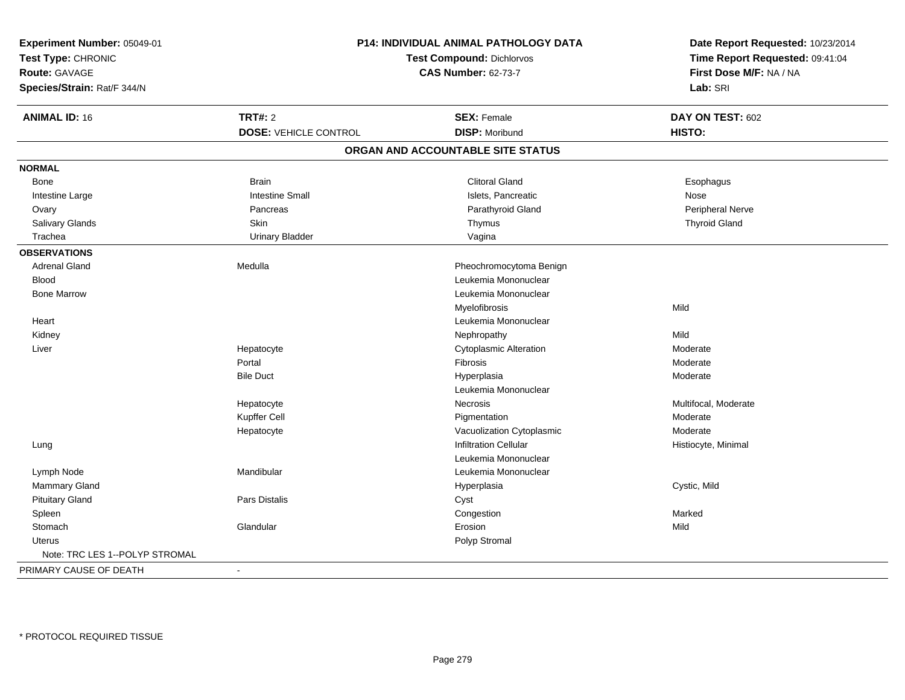| Experiment Number: 05049-01<br>Test Type: CHRONIC<br><b>Route: GAVAGE</b><br>Species/Strain: Rat/F 344/N | P14: INDIVIDUAL ANIMAL PATHOLOGY DATA<br><b>Test Compound: Dichlorvos</b><br><b>CAS Number: 62-73-7</b> |                                   | Date Report Requested: 10/23/2014<br>Time Report Requested: 09:41:04<br>First Dose M/F: NA / NA<br>Lab: SRI |
|----------------------------------------------------------------------------------------------------------|---------------------------------------------------------------------------------------------------------|-----------------------------------|-------------------------------------------------------------------------------------------------------------|
| <b>ANIMAL ID: 16</b>                                                                                     | <b>TRT#: 2</b>                                                                                          | <b>SEX: Female</b>                | DAY ON TEST: 602                                                                                            |
|                                                                                                          | <b>DOSE: VEHICLE CONTROL</b>                                                                            | <b>DISP: Moribund</b>             | HISTO:                                                                                                      |
|                                                                                                          |                                                                                                         | ORGAN AND ACCOUNTABLE SITE STATUS |                                                                                                             |
| <b>NORMAL</b>                                                                                            |                                                                                                         |                                   |                                                                                                             |
| Bone                                                                                                     | <b>Brain</b>                                                                                            | <b>Clitoral Gland</b>             | Esophagus                                                                                                   |
| Intestine Large                                                                                          | <b>Intestine Small</b>                                                                                  | Islets, Pancreatic                | Nose                                                                                                        |
| Ovary                                                                                                    | Pancreas                                                                                                | Parathyroid Gland                 | Peripheral Nerve                                                                                            |
| Salivary Glands                                                                                          | Skin                                                                                                    | Thymus                            | <b>Thyroid Gland</b>                                                                                        |
| Trachea                                                                                                  | <b>Urinary Bladder</b>                                                                                  | Vagina                            |                                                                                                             |
| <b>OBSERVATIONS</b>                                                                                      |                                                                                                         |                                   |                                                                                                             |
| <b>Adrenal Gland</b>                                                                                     | Medulla                                                                                                 | Pheochromocytoma Benign           |                                                                                                             |
| <b>Blood</b>                                                                                             |                                                                                                         | Leukemia Mononuclear              |                                                                                                             |
| <b>Bone Marrow</b>                                                                                       |                                                                                                         | Leukemia Mononuclear              |                                                                                                             |
|                                                                                                          |                                                                                                         | Myelofibrosis                     | Mild                                                                                                        |
| Heart                                                                                                    |                                                                                                         | Leukemia Mononuclear              |                                                                                                             |
| Kidney                                                                                                   |                                                                                                         | Nephropathy                       | Mild                                                                                                        |
| Liver                                                                                                    | Hepatocyte                                                                                              | <b>Cytoplasmic Alteration</b>     | Moderate                                                                                                    |
|                                                                                                          | Portal                                                                                                  | Fibrosis                          | Moderate                                                                                                    |
|                                                                                                          | <b>Bile Duct</b>                                                                                        | Hyperplasia                       | Moderate                                                                                                    |
|                                                                                                          |                                                                                                         | Leukemia Mononuclear              |                                                                                                             |
|                                                                                                          | Hepatocyte                                                                                              | Necrosis                          | Multifocal, Moderate                                                                                        |
|                                                                                                          | Kupffer Cell                                                                                            | Pigmentation                      | Moderate                                                                                                    |
|                                                                                                          | Hepatocyte                                                                                              | Vacuolization Cytoplasmic         | Moderate                                                                                                    |
| Lung                                                                                                     |                                                                                                         | <b>Infiltration Cellular</b>      | Histiocyte, Minimal                                                                                         |
|                                                                                                          |                                                                                                         | Leukemia Mononuclear              |                                                                                                             |
| Lymph Node                                                                                               | Mandibular                                                                                              | Leukemia Mononuclear              |                                                                                                             |
| <b>Mammary Gland</b>                                                                                     |                                                                                                         | Hyperplasia                       | Cystic, Mild                                                                                                |
| <b>Pituitary Gland</b>                                                                                   | <b>Pars Distalis</b>                                                                                    | Cyst                              |                                                                                                             |
| Spleen                                                                                                   |                                                                                                         | Congestion                        | Marked                                                                                                      |
| Stomach                                                                                                  | Glandular                                                                                               | Erosion                           | Mild                                                                                                        |
| <b>Uterus</b>                                                                                            |                                                                                                         | Polyp Stromal                     |                                                                                                             |
| Note: TRC LES 1--POLYP STROMAL                                                                           |                                                                                                         |                                   |                                                                                                             |
| PRIMARY CAUSE OF DEATH                                                                                   |                                                                                                         |                                   |                                                                                                             |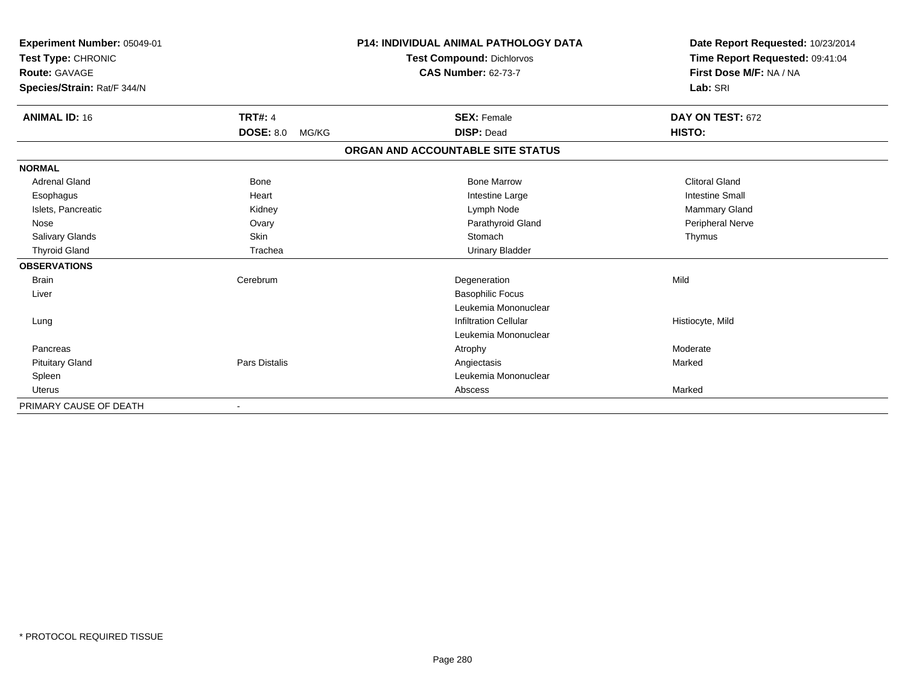| Experiment Number: 05049-01<br>Test Type: CHRONIC<br><b>Route: GAVAGE</b> |                           | <b>P14: INDIVIDUAL ANIMAL PATHOLOGY DATA</b><br><b>Test Compound: Dichlorvos</b><br><b>CAS Number: 62-73-7</b> | Date Report Requested: 10/23/2014<br>Time Report Requested: 09:41:04<br>First Dose M/F: NA / NA |
|---------------------------------------------------------------------------|---------------------------|----------------------------------------------------------------------------------------------------------------|-------------------------------------------------------------------------------------------------|
| Species/Strain: Rat/F 344/N                                               |                           |                                                                                                                | Lab: SRI                                                                                        |
| <b>ANIMAL ID: 16</b>                                                      | <b>TRT#: 4</b>            | <b>SEX: Female</b>                                                                                             | DAY ON TEST: 672                                                                                |
|                                                                           | <b>DOSE: 8.0</b><br>MG/KG | <b>DISP: Dead</b>                                                                                              | HISTO:                                                                                          |
|                                                                           |                           | ORGAN AND ACCOUNTABLE SITE STATUS                                                                              |                                                                                                 |
| <b>NORMAL</b>                                                             |                           |                                                                                                                |                                                                                                 |
| <b>Adrenal Gland</b>                                                      | Bone                      | <b>Bone Marrow</b>                                                                                             | <b>Clitoral Gland</b>                                                                           |
| Esophagus                                                                 | Heart                     | Intestine Large                                                                                                | <b>Intestine Small</b>                                                                          |
| Islets, Pancreatic                                                        | Kidney                    | Lymph Node                                                                                                     | Mammary Gland                                                                                   |
| Nose                                                                      | Ovary                     | Parathyroid Gland                                                                                              | Peripheral Nerve                                                                                |
| <b>Salivary Glands</b>                                                    | Skin                      | Stomach                                                                                                        | Thymus                                                                                          |
| <b>Thyroid Gland</b>                                                      | Trachea                   | <b>Urinary Bladder</b>                                                                                         |                                                                                                 |
| <b>OBSERVATIONS</b>                                                       |                           |                                                                                                                |                                                                                                 |
| <b>Brain</b>                                                              | Cerebrum                  | Degeneration                                                                                                   | Mild                                                                                            |
| Liver                                                                     |                           | <b>Basophilic Focus</b>                                                                                        |                                                                                                 |
|                                                                           |                           | Leukemia Mononuclear                                                                                           |                                                                                                 |
| Lung                                                                      |                           | <b>Infiltration Cellular</b>                                                                                   | Histiocyte, Mild                                                                                |
|                                                                           |                           | Leukemia Mononuclear                                                                                           |                                                                                                 |
| Pancreas                                                                  |                           | Atrophy                                                                                                        | Moderate                                                                                        |
| <b>Pituitary Gland</b>                                                    | Pars Distalis             | Angiectasis                                                                                                    | Marked                                                                                          |
| Spleen                                                                    |                           | Leukemia Mononuclear                                                                                           |                                                                                                 |
| <b>Uterus</b>                                                             |                           | Abscess                                                                                                        | Marked                                                                                          |
| PRIMARY CAUSE OF DEATH                                                    |                           |                                                                                                                |                                                                                                 |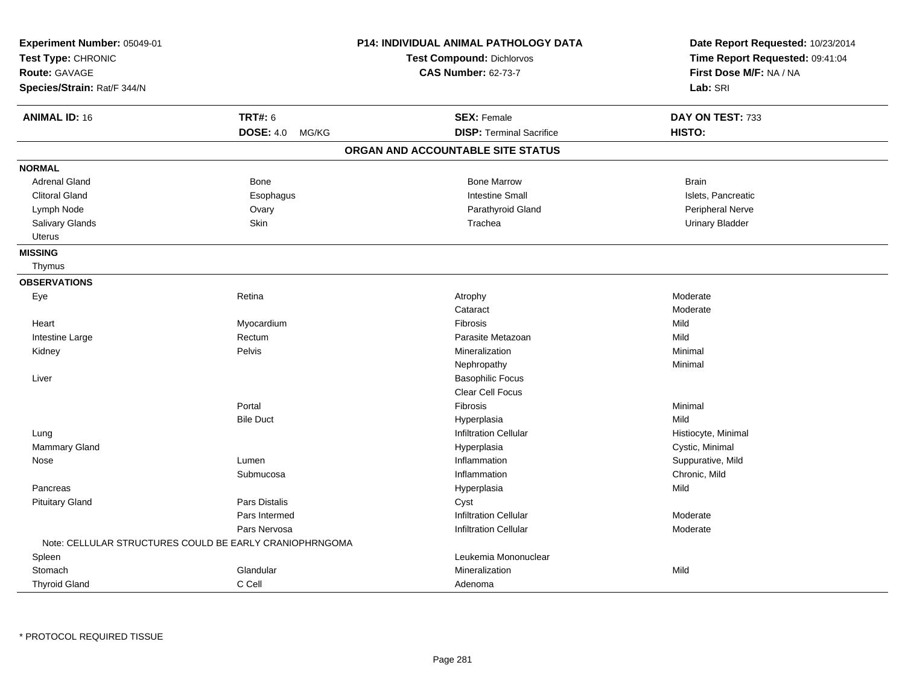| Experiment Number: 05049-01<br>Test Type: CHRONIC<br>Route: GAVAGE<br>Species/Strain: Rat/F 344/N |                           | P14: INDIVIDUAL ANIMAL PATHOLOGY DATA<br><b>Test Compound: Dichlorvos</b><br><b>CAS Number: 62-73-7</b> | Date Report Requested: 10/23/2014<br>Time Report Requested: 09:41:04<br>First Dose M/F: NA / NA<br>Lab: SRI |
|---------------------------------------------------------------------------------------------------|---------------------------|---------------------------------------------------------------------------------------------------------|-------------------------------------------------------------------------------------------------------------|
| <b>ANIMAL ID: 16</b>                                                                              | <b>TRT#: 6</b>            | <b>SEX: Female</b>                                                                                      | DAY ON TEST: 733                                                                                            |
|                                                                                                   | <b>DOSE: 4.0</b><br>MG/KG | <b>DISP: Terminal Sacrifice</b>                                                                         | HISTO:                                                                                                      |
|                                                                                                   |                           | ORGAN AND ACCOUNTABLE SITE STATUS                                                                       |                                                                                                             |
| <b>NORMAL</b>                                                                                     |                           |                                                                                                         |                                                                                                             |
| <b>Adrenal Gland</b>                                                                              | Bone                      | <b>Bone Marrow</b>                                                                                      | <b>Brain</b>                                                                                                |
| <b>Clitoral Gland</b>                                                                             | Esophagus                 | <b>Intestine Small</b>                                                                                  | Islets, Pancreatic                                                                                          |
| Lymph Node                                                                                        | Ovary                     | Parathyroid Gland                                                                                       | Peripheral Nerve                                                                                            |
| Salivary Glands                                                                                   | Skin                      | Trachea                                                                                                 | <b>Urinary Bladder</b>                                                                                      |
| <b>Uterus</b>                                                                                     |                           |                                                                                                         |                                                                                                             |
| <b>MISSING</b>                                                                                    |                           |                                                                                                         |                                                                                                             |
| Thymus                                                                                            |                           |                                                                                                         |                                                                                                             |
| <b>OBSERVATIONS</b>                                                                               |                           |                                                                                                         |                                                                                                             |
| Eye                                                                                               | Retina                    | Atrophy                                                                                                 | Moderate                                                                                                    |
|                                                                                                   |                           | Cataract                                                                                                | Moderate                                                                                                    |
| Heart                                                                                             | Myocardium                | Fibrosis                                                                                                | Mild                                                                                                        |
| Intestine Large                                                                                   | Rectum                    | Parasite Metazoan                                                                                       | Mild                                                                                                        |
| Kidney                                                                                            | Pelvis                    | Mineralization                                                                                          | Minimal                                                                                                     |
|                                                                                                   |                           | Nephropathy                                                                                             | Minimal                                                                                                     |
| Liver                                                                                             |                           | <b>Basophilic Focus</b>                                                                                 |                                                                                                             |
|                                                                                                   |                           | Clear Cell Focus                                                                                        |                                                                                                             |
|                                                                                                   | Portal                    | Fibrosis                                                                                                | Minimal                                                                                                     |
|                                                                                                   | <b>Bile Duct</b>          | Hyperplasia                                                                                             | Mild                                                                                                        |
| Lung                                                                                              |                           | <b>Infiltration Cellular</b>                                                                            | Histiocyte, Minimal                                                                                         |
| Mammary Gland                                                                                     |                           | Hyperplasia                                                                                             | Cystic, Minimal                                                                                             |
| Nose                                                                                              | Lumen                     | Inflammation                                                                                            | Suppurative, Mild                                                                                           |
|                                                                                                   | Submucosa                 | Inflammation                                                                                            | Chronic, Mild                                                                                               |
| Pancreas                                                                                          |                           | Hyperplasia                                                                                             | Mild                                                                                                        |
| <b>Pituitary Gland</b>                                                                            | Pars Distalis             | Cyst                                                                                                    |                                                                                                             |
|                                                                                                   | Pars Intermed             | <b>Infiltration Cellular</b>                                                                            | Moderate                                                                                                    |
|                                                                                                   | Pars Nervosa              | <b>Infiltration Cellular</b>                                                                            | Moderate                                                                                                    |
| Note: CELLULAR STRUCTURES COULD BE EARLY CRANIOPHRNGOMA                                           |                           |                                                                                                         |                                                                                                             |
| Spleen                                                                                            |                           | Leukemia Mononuclear                                                                                    |                                                                                                             |
| Stomach                                                                                           | Glandular                 | Mineralization                                                                                          | Mild                                                                                                        |
| <b>Thyroid Gland</b>                                                                              | C Cell                    | Adenoma                                                                                                 |                                                                                                             |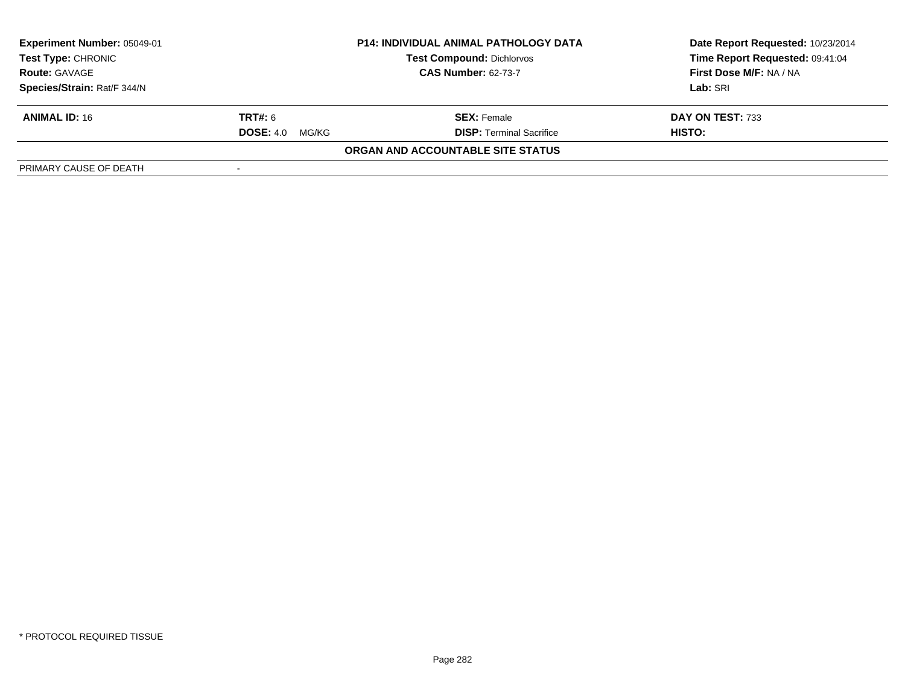| Experiment Number: 05049-01<br><b>Test Type: CHRONIC</b><br><b>Route: GAVAGE</b> | <b>P14: INDIVIDUAL ANIMAL PATHOLOGY DATA</b><br><b>Test Compound: Dichlorvos</b><br><b>CAS Number: 62-73-7</b> |                                   | Date Report Requested: 10/23/2014<br>Time Report Requested: 09:41:04<br>First Dose M/F: NA / NA |
|----------------------------------------------------------------------------------|----------------------------------------------------------------------------------------------------------------|-----------------------------------|-------------------------------------------------------------------------------------------------|
| Species/Strain: Rat/F 344/N                                                      |                                                                                                                |                                   | Lab: SRI                                                                                        |
| <b>ANIMAL ID: 16</b>                                                             | <b>TRT#:</b> 6                                                                                                 | <b>SEX: Female</b>                | DAY ON TEST: 733                                                                                |
|                                                                                  | <b>DOSE: 4.0</b><br>MG/KG                                                                                      | <b>DISP:</b> Terminal Sacrifice   | HISTO:                                                                                          |
|                                                                                  |                                                                                                                | ORGAN AND ACCOUNTABLE SITE STATUS |                                                                                                 |
| PRIMARY CAUSE OF DEATH                                                           |                                                                                                                |                                   |                                                                                                 |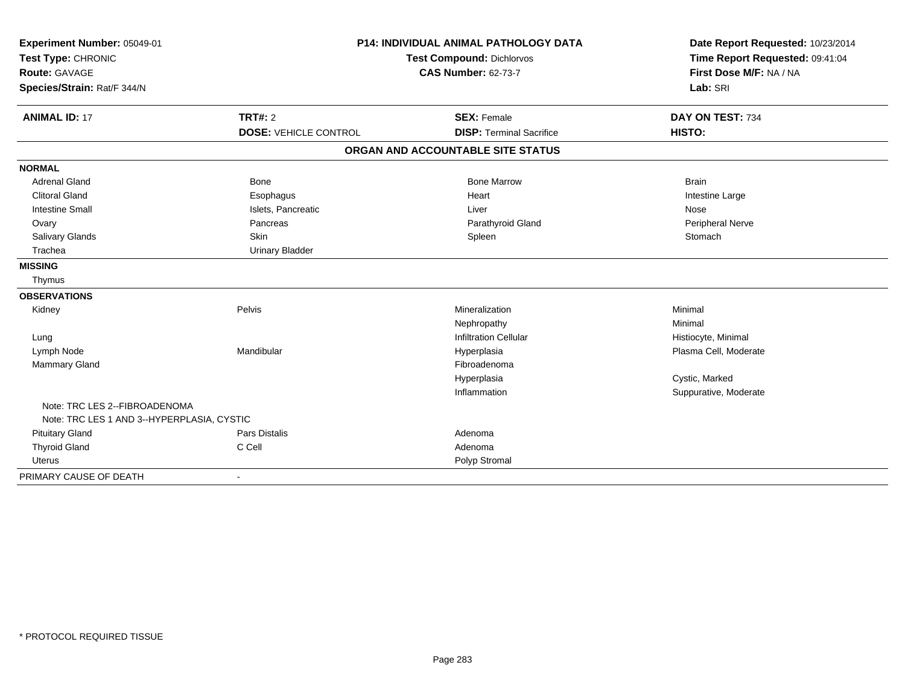| Experiment Number: 05049-01                |                              | <b>P14: INDIVIDUAL ANIMAL PATHOLOGY DATA</b> | Date Report Requested: 10/23/2014 |
|--------------------------------------------|------------------------------|----------------------------------------------|-----------------------------------|
| Test Type: CHRONIC                         |                              | <b>Test Compound: Dichlorvos</b>             | Time Report Requested: 09:41:04   |
| <b>Route: GAVAGE</b>                       |                              | <b>CAS Number: 62-73-7</b>                   | First Dose M/F: NA / NA           |
| Species/Strain: Rat/F 344/N                |                              |                                              | Lab: SRI                          |
| <b>ANIMAL ID: 17</b>                       | <b>TRT#: 2</b>               | <b>SEX: Female</b>                           | DAY ON TEST: 734                  |
|                                            | <b>DOSE: VEHICLE CONTROL</b> | <b>DISP: Terminal Sacrifice</b>              | <b>HISTO:</b>                     |
|                                            |                              | ORGAN AND ACCOUNTABLE SITE STATUS            |                                   |
| <b>NORMAL</b>                              |                              |                                              |                                   |
| <b>Adrenal Gland</b>                       | <b>Bone</b>                  | <b>Bone Marrow</b>                           | <b>Brain</b>                      |
| <b>Clitoral Gland</b>                      | Esophagus                    | Heart                                        | Intestine Large                   |
| <b>Intestine Small</b>                     | Islets, Pancreatic           | Liver                                        | Nose                              |
| Ovary                                      | Pancreas                     | Parathyroid Gland                            | Peripheral Nerve                  |
| Salivary Glands                            | Skin                         | Spleen                                       | Stomach                           |
| Trachea                                    | <b>Urinary Bladder</b>       |                                              |                                   |
| <b>MISSING</b>                             |                              |                                              |                                   |
| Thymus                                     |                              |                                              |                                   |
| <b>OBSERVATIONS</b>                        |                              |                                              |                                   |
| Kidney                                     | Pelvis                       | Mineralization                               | Minimal                           |
|                                            |                              | Nephropathy                                  | Minimal                           |
| Lung                                       |                              | <b>Infiltration Cellular</b>                 | Histiocyte, Minimal               |
| Lymph Node                                 | Mandibular                   | Hyperplasia                                  | Plasma Cell, Moderate             |
| Mammary Gland                              |                              | Fibroadenoma                                 |                                   |
|                                            |                              | Hyperplasia                                  | Cystic, Marked                    |
|                                            |                              | Inflammation                                 | Suppurative, Moderate             |
| Note: TRC LES 2--FIBROADENOMA              |                              |                                              |                                   |
| Note: TRC LES 1 AND 3--HYPERPLASIA, CYSTIC |                              |                                              |                                   |
| <b>Pituitary Gland</b>                     | <b>Pars Distalis</b>         | Adenoma                                      |                                   |
| <b>Thyroid Gland</b>                       | C Cell                       | Adenoma                                      |                                   |
| Uterus                                     |                              | Polyp Stromal                                |                                   |
| PRIMARY CAUSE OF DEATH                     |                              |                                              |                                   |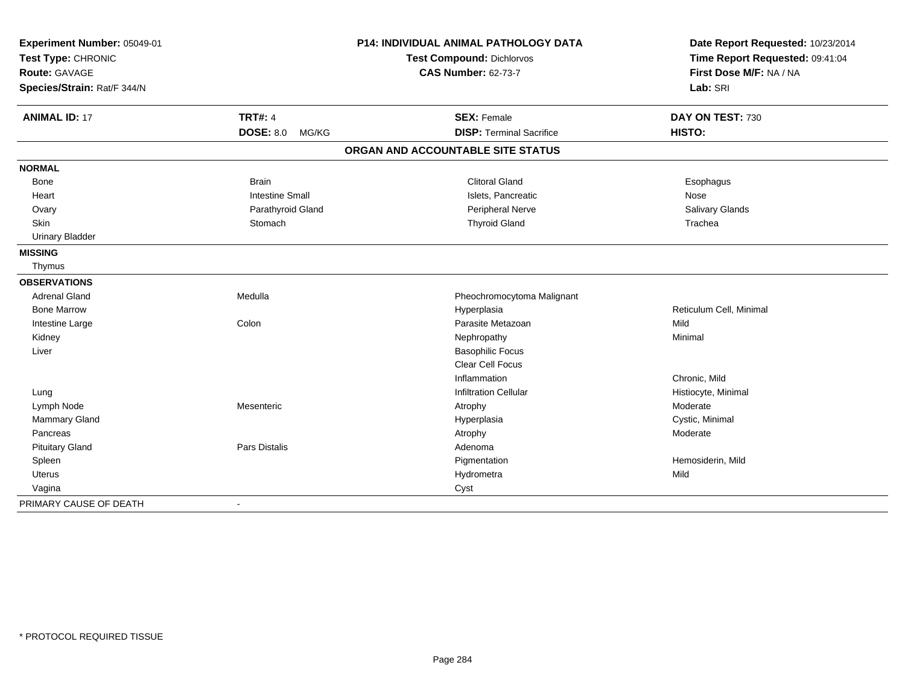| Experiment Number: 05049-01<br>Test Type: CHRONIC |                           | <b>P14: INDIVIDUAL ANIMAL PATHOLOGY DATA</b> | Date Report Requested: 10/23/2014<br>Time Report Requested: 09:41:04 |
|---------------------------------------------------|---------------------------|----------------------------------------------|----------------------------------------------------------------------|
|                                                   |                           | <b>Test Compound: Dichlorvos</b>             |                                                                      |
| <b>Route: GAVAGE</b>                              |                           | <b>CAS Number: 62-73-7</b>                   | First Dose M/F: NA / NA                                              |
| Species/Strain: Rat/F 344/N                       |                           |                                              | Lab: SRI                                                             |
| <b>ANIMAL ID: 17</b>                              | <b>TRT#: 4</b>            | <b>SEX: Female</b>                           | DAY ON TEST: 730                                                     |
|                                                   | <b>DOSE: 8.0</b><br>MG/KG | <b>DISP: Terminal Sacrifice</b>              | HISTO:                                                               |
|                                                   |                           | ORGAN AND ACCOUNTABLE SITE STATUS            |                                                                      |
| <b>NORMAL</b>                                     |                           |                                              |                                                                      |
| Bone                                              | <b>Brain</b>              | <b>Clitoral Gland</b>                        | Esophagus                                                            |
| Heart                                             | <b>Intestine Small</b>    | Islets, Pancreatic                           | Nose                                                                 |
| Ovary                                             | Parathyroid Gland         | Peripheral Nerve                             | Salivary Glands                                                      |
| Skin                                              | Stomach                   | <b>Thyroid Gland</b>                         | Trachea                                                              |
| <b>Urinary Bladder</b>                            |                           |                                              |                                                                      |
| <b>MISSING</b>                                    |                           |                                              |                                                                      |
| Thymus                                            |                           |                                              |                                                                      |
| <b>OBSERVATIONS</b>                               |                           |                                              |                                                                      |
| <b>Adrenal Gland</b>                              | Medulla                   | Pheochromocytoma Malignant                   |                                                                      |
| <b>Bone Marrow</b>                                |                           | Hyperplasia                                  | Reticulum Cell, Minimal                                              |
| Intestine Large                                   | Colon                     | Parasite Metazoan                            | Mild                                                                 |
| Kidney                                            |                           | Nephropathy                                  | Minimal                                                              |
| Liver                                             |                           | <b>Basophilic Focus</b>                      |                                                                      |
|                                                   |                           | Clear Cell Focus                             |                                                                      |
|                                                   |                           | Inflammation                                 | Chronic, Mild                                                        |
| Lung                                              |                           | <b>Infiltration Cellular</b>                 | Histiocyte, Minimal                                                  |
| Lymph Node                                        | Mesenteric                | Atrophy                                      | Moderate                                                             |
| <b>Mammary Gland</b>                              |                           | Hyperplasia                                  | Cystic, Minimal                                                      |
| Pancreas                                          |                           | Atrophy                                      | Moderate                                                             |
| <b>Pituitary Gland</b>                            | Pars Distalis             | Adenoma                                      |                                                                      |
| Spleen                                            |                           | Pigmentation                                 | Hemosiderin, Mild                                                    |
| <b>Uterus</b>                                     |                           | Hydrometra                                   | Mild                                                                 |
| Vagina                                            |                           | Cyst                                         |                                                                      |
| PRIMARY CAUSE OF DEATH                            | $\blacksquare$            |                                              |                                                                      |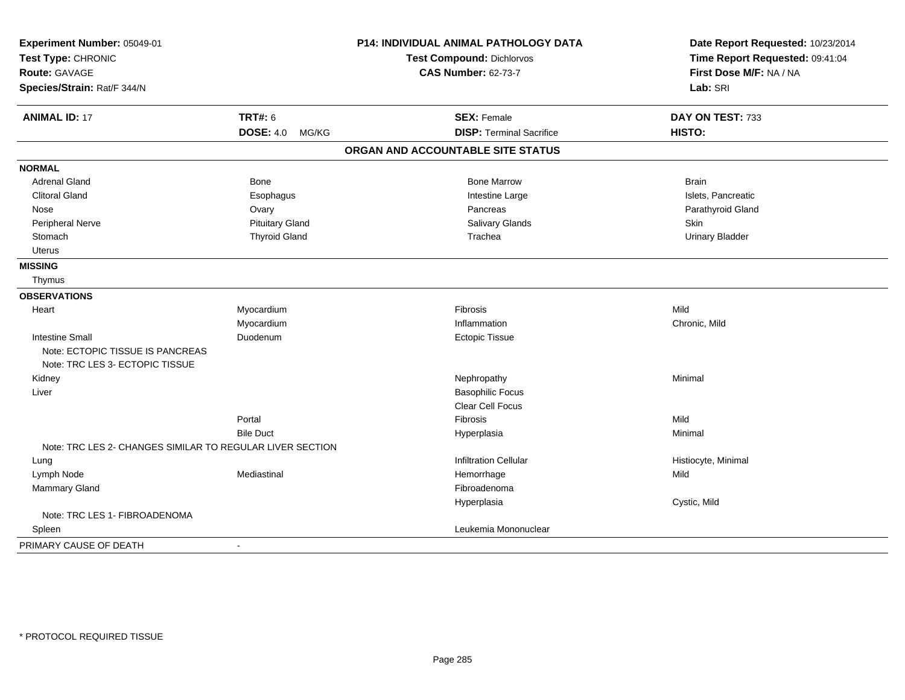| Experiment Number: 05049-01<br>Test Type: CHRONIC<br><b>Route: GAVAGE</b> |                           | P14: INDIVIDUAL ANIMAL PATHOLOGY DATA | Date Report Requested: 10/23/2014<br>Time Report Requested: 09:41:04<br>First Dose M/F: NA / NA |
|---------------------------------------------------------------------------|---------------------------|---------------------------------------|-------------------------------------------------------------------------------------------------|
|                                                                           |                           | <b>Test Compound: Dichlorvos</b>      |                                                                                                 |
|                                                                           |                           | <b>CAS Number: 62-73-7</b>            |                                                                                                 |
| Species/Strain: Rat/F 344/N                                               |                           |                                       | Lab: SRI                                                                                        |
| <b>ANIMAL ID: 17</b>                                                      | <b>TRT#: 6</b>            | <b>SEX: Female</b>                    | DAY ON TEST: 733                                                                                |
|                                                                           | <b>DOSE: 4.0</b><br>MG/KG | <b>DISP: Terminal Sacrifice</b>       | HISTO:                                                                                          |
|                                                                           |                           | ORGAN AND ACCOUNTABLE SITE STATUS     |                                                                                                 |
| <b>NORMAL</b>                                                             |                           |                                       |                                                                                                 |
| <b>Adrenal Gland</b>                                                      | <b>Bone</b>               | <b>Bone Marrow</b>                    | <b>Brain</b>                                                                                    |
| <b>Clitoral Gland</b>                                                     | Esophagus                 | Intestine Large                       | Islets, Pancreatic                                                                              |
| Nose                                                                      | Ovary                     | Pancreas                              | Parathyroid Gland                                                                               |
| Peripheral Nerve                                                          | <b>Pituitary Gland</b>    | Salivary Glands                       | Skin                                                                                            |
| Stomach                                                                   | <b>Thyroid Gland</b>      | Trachea                               | <b>Urinary Bladder</b>                                                                          |
| <b>Uterus</b>                                                             |                           |                                       |                                                                                                 |
| <b>MISSING</b>                                                            |                           |                                       |                                                                                                 |
| Thymus                                                                    |                           |                                       |                                                                                                 |
| <b>OBSERVATIONS</b>                                                       |                           |                                       |                                                                                                 |
| Heart                                                                     | Myocardium                | Fibrosis                              | Mild                                                                                            |
|                                                                           | Myocardium                | Inflammation                          | Chronic, Mild                                                                                   |
| <b>Intestine Small</b>                                                    | Duodenum                  | <b>Ectopic Tissue</b>                 |                                                                                                 |
| Note: ECTOPIC TISSUE IS PANCREAS<br>Note: TRC LES 3- ECTOPIC TISSUE       |                           |                                       |                                                                                                 |
| Kidney                                                                    |                           | Nephropathy                           | Minimal                                                                                         |
| Liver                                                                     |                           | <b>Basophilic Focus</b>               |                                                                                                 |
|                                                                           |                           | Clear Cell Focus                      |                                                                                                 |
|                                                                           | Portal                    | <b>Fibrosis</b>                       | Mild                                                                                            |
|                                                                           | <b>Bile Duct</b>          | Hyperplasia                           | Minimal                                                                                         |
| Note: TRC LES 2- CHANGES SIMILAR TO REGULAR LIVER SECTION                 |                           |                                       |                                                                                                 |
| Lung                                                                      |                           | <b>Infiltration Cellular</b>          | Histiocyte, Minimal                                                                             |
| Lymph Node                                                                | Mediastinal               | Hemorrhage                            | Mild                                                                                            |
| <b>Mammary Gland</b>                                                      |                           | Fibroadenoma                          |                                                                                                 |
|                                                                           |                           | Hyperplasia                           | Cystic, Mild                                                                                    |
| Note: TRC LES 1- FIBROADENOMA                                             |                           |                                       |                                                                                                 |
| Spleen                                                                    |                           | Leukemia Mononuclear                  |                                                                                                 |
| PRIMARY CAUSE OF DEATH                                                    | $\blacksquare$            |                                       |                                                                                                 |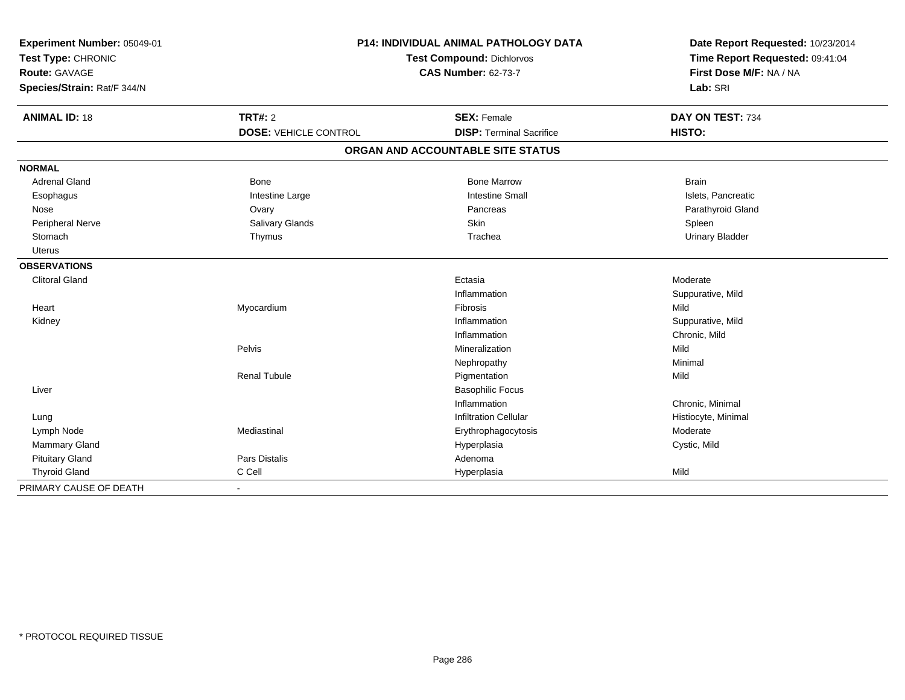| Experiment Number: 05049-01<br>Test Type: CHRONIC<br><b>Route: GAVAGE</b><br>Species/Strain: Rat/F 344/N |                              | <b>P14: INDIVIDUAL ANIMAL PATHOLOGY DATA</b><br><b>Test Compound: Dichlorvos</b><br><b>CAS Number: 62-73-7</b> | Date Report Requested: 10/23/2014<br>Time Report Requested: 09:41:04<br>First Dose M/F: NA / NA<br>Lab: SRI |
|----------------------------------------------------------------------------------------------------------|------------------------------|----------------------------------------------------------------------------------------------------------------|-------------------------------------------------------------------------------------------------------------|
| <b>ANIMAL ID: 18</b>                                                                                     | <b>TRT#: 2</b>               | <b>SEX: Female</b>                                                                                             | DAY ON TEST: 734                                                                                            |
|                                                                                                          | <b>DOSE: VEHICLE CONTROL</b> | <b>DISP: Terminal Sacrifice</b>                                                                                | HISTO:                                                                                                      |
|                                                                                                          |                              | ORGAN AND ACCOUNTABLE SITE STATUS                                                                              |                                                                                                             |
| <b>NORMAL</b>                                                                                            |                              |                                                                                                                |                                                                                                             |
| <b>Adrenal Gland</b>                                                                                     | Bone                         | <b>Bone Marrow</b>                                                                                             | <b>Brain</b>                                                                                                |
| Esophagus                                                                                                | Intestine Large              | <b>Intestine Small</b>                                                                                         | Islets, Pancreatic                                                                                          |
| Nose                                                                                                     | Ovary                        | Pancreas                                                                                                       | Parathyroid Gland                                                                                           |
| <b>Peripheral Nerve</b>                                                                                  | Salivary Glands              | Skin                                                                                                           | Spleen                                                                                                      |
| Stomach                                                                                                  | Thymus                       | Trachea                                                                                                        | <b>Urinary Bladder</b>                                                                                      |
| <b>Uterus</b>                                                                                            |                              |                                                                                                                |                                                                                                             |
| <b>OBSERVATIONS</b>                                                                                      |                              |                                                                                                                |                                                                                                             |
| <b>Clitoral Gland</b>                                                                                    |                              | Ectasia                                                                                                        | Moderate                                                                                                    |
|                                                                                                          |                              | Inflammation                                                                                                   | Suppurative, Mild                                                                                           |
| Heart                                                                                                    | Myocardium                   | Fibrosis                                                                                                       | Mild                                                                                                        |
| Kidney                                                                                                   |                              | Inflammation                                                                                                   | Suppurative, Mild                                                                                           |
|                                                                                                          |                              | Inflammation                                                                                                   | Chronic, Mild                                                                                               |
|                                                                                                          | Pelvis                       | Mineralization                                                                                                 | Mild                                                                                                        |
|                                                                                                          |                              | Nephropathy                                                                                                    | Minimal                                                                                                     |
|                                                                                                          | <b>Renal Tubule</b>          | Pigmentation                                                                                                   | Mild                                                                                                        |
| Liver                                                                                                    |                              | <b>Basophilic Focus</b>                                                                                        |                                                                                                             |
|                                                                                                          |                              | Inflammation                                                                                                   | Chronic, Minimal                                                                                            |
| Lung                                                                                                     |                              | <b>Infiltration Cellular</b>                                                                                   | Histiocyte, Minimal                                                                                         |
| Lymph Node                                                                                               | Mediastinal                  | Erythrophagocytosis                                                                                            | Moderate                                                                                                    |
| Mammary Gland                                                                                            |                              | Hyperplasia                                                                                                    | Cystic, Mild                                                                                                |
| <b>Pituitary Gland</b>                                                                                   | Pars Distalis                | Adenoma                                                                                                        |                                                                                                             |
| <b>Thyroid Gland</b>                                                                                     | C Cell                       | Hyperplasia                                                                                                    | Mild                                                                                                        |
| PRIMARY CAUSE OF DEATH                                                                                   |                              |                                                                                                                |                                                                                                             |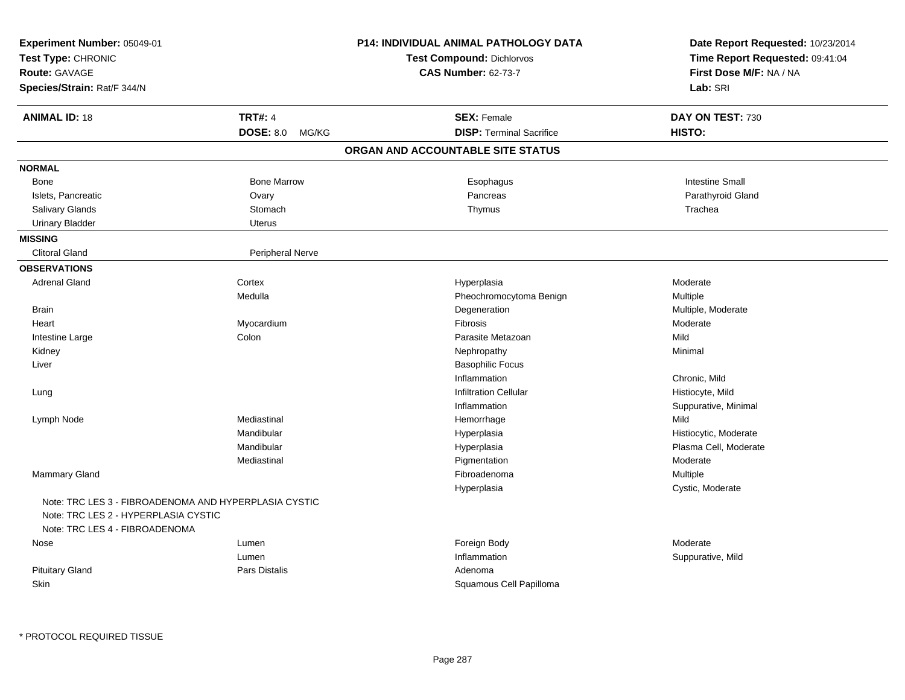| Experiment Number: 05049-01<br>Test Type: CHRONIC<br><b>Route: GAVAGE</b><br>Species/Strain: Rat/F 344/N                        |                         | P14: INDIVIDUAL ANIMAL PATHOLOGY DATA<br><b>Test Compound: Dichlorvos</b><br><b>CAS Number: 62-73-7</b> | Date Report Requested: 10/23/2014<br>Time Report Requested: 09:41:04<br>First Dose M/F: NA / NA<br>Lab: SRI |
|---------------------------------------------------------------------------------------------------------------------------------|-------------------------|---------------------------------------------------------------------------------------------------------|-------------------------------------------------------------------------------------------------------------|
| <b>ANIMAL ID: 18</b>                                                                                                            | <b>TRT#: 4</b>          | <b>SEX: Female</b>                                                                                      | DAY ON TEST: 730                                                                                            |
|                                                                                                                                 | DOSE: 8.0 MG/KG         | <b>DISP: Terminal Sacrifice</b>                                                                         | HISTO:                                                                                                      |
|                                                                                                                                 |                         | ORGAN AND ACCOUNTABLE SITE STATUS                                                                       |                                                                                                             |
| <b>NORMAL</b>                                                                                                                   |                         |                                                                                                         |                                                                                                             |
| <b>Bone</b>                                                                                                                     | <b>Bone Marrow</b>      | Esophagus                                                                                               | <b>Intestine Small</b>                                                                                      |
| Islets, Pancreatic                                                                                                              | Ovary                   | Pancreas                                                                                                | Parathyroid Gland                                                                                           |
| Salivary Glands                                                                                                                 | Stomach                 | Thymus                                                                                                  | Trachea                                                                                                     |
| <b>Urinary Bladder</b>                                                                                                          | <b>Uterus</b>           |                                                                                                         |                                                                                                             |
| <b>MISSING</b>                                                                                                                  |                         |                                                                                                         |                                                                                                             |
| <b>Clitoral Gland</b>                                                                                                           | <b>Peripheral Nerve</b> |                                                                                                         |                                                                                                             |
| <b>OBSERVATIONS</b>                                                                                                             |                         |                                                                                                         |                                                                                                             |
| <b>Adrenal Gland</b>                                                                                                            | Cortex                  | Hyperplasia                                                                                             | Moderate                                                                                                    |
|                                                                                                                                 | Medulla                 | Pheochromocytoma Benign                                                                                 | Multiple                                                                                                    |
| <b>Brain</b>                                                                                                                    |                         | Degeneration                                                                                            | Multiple, Moderate                                                                                          |
| Heart                                                                                                                           | Myocardium              | <b>Fibrosis</b>                                                                                         | Moderate                                                                                                    |
| Intestine Large                                                                                                                 | Colon                   | Parasite Metazoan                                                                                       | Mild                                                                                                        |
| Kidney                                                                                                                          |                         | Nephropathy                                                                                             | Minimal                                                                                                     |
| Liver                                                                                                                           |                         | <b>Basophilic Focus</b>                                                                                 |                                                                                                             |
|                                                                                                                                 |                         | Inflammation                                                                                            | Chronic, Mild                                                                                               |
| Lung                                                                                                                            |                         | <b>Infiltration Cellular</b>                                                                            | Histiocyte, Mild                                                                                            |
|                                                                                                                                 |                         | Inflammation                                                                                            | Suppurative, Minimal                                                                                        |
| Lymph Node                                                                                                                      | Mediastinal             | Hemorrhage                                                                                              | Mild                                                                                                        |
|                                                                                                                                 | Mandibular              | Hyperplasia                                                                                             | Histiocytic, Moderate                                                                                       |
|                                                                                                                                 | Mandibular              | Hyperplasia                                                                                             | Plasma Cell, Moderate                                                                                       |
|                                                                                                                                 | Mediastinal             | Pigmentation                                                                                            | Moderate                                                                                                    |
| <b>Mammary Gland</b>                                                                                                            |                         | Fibroadenoma                                                                                            | Multiple                                                                                                    |
|                                                                                                                                 |                         | Hyperplasia                                                                                             | Cystic, Moderate                                                                                            |
| Note: TRC LES 3 - FIBROADENOMA AND HYPERPLASIA CYSTIC<br>Note: TRC LES 2 - HYPERPLASIA CYSTIC<br>Note: TRC LES 4 - FIBROADENOMA |                         |                                                                                                         |                                                                                                             |
| Nose                                                                                                                            | Lumen                   | Foreign Body                                                                                            | Moderate                                                                                                    |
|                                                                                                                                 | Lumen                   | Inflammation                                                                                            | Suppurative, Mild                                                                                           |
| <b>Pituitary Gland</b>                                                                                                          | Pars Distalis           | Adenoma                                                                                                 |                                                                                                             |
| Skin                                                                                                                            |                         | Squamous Cell Papilloma                                                                                 |                                                                                                             |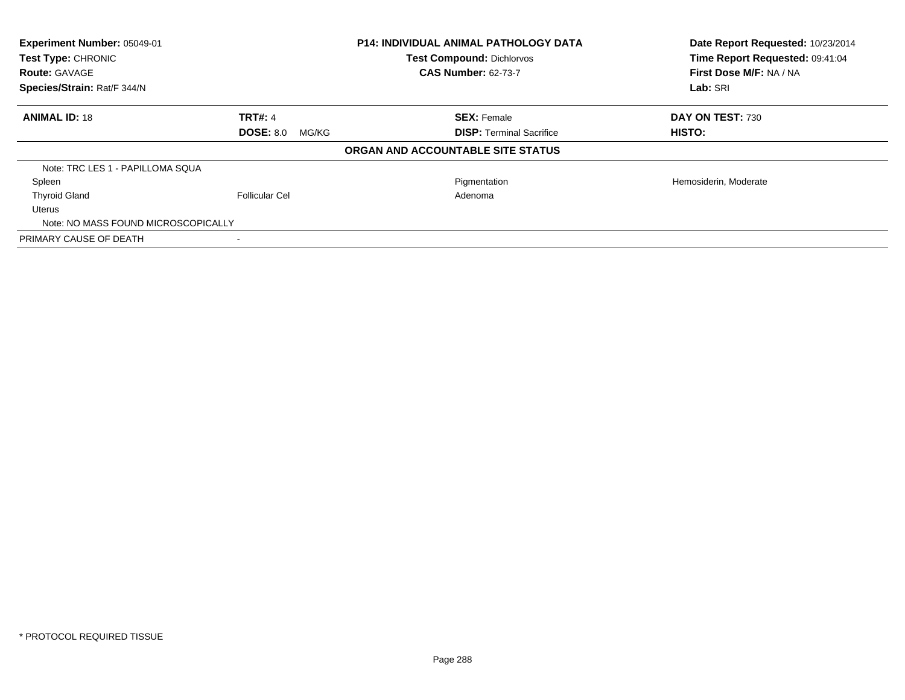| Experiment Number: 05049-01<br>Test Type: CHRONIC<br><b>Route: GAVAGE</b><br>Species/Strain: Rat/F 344/N |                           | <b>P14: INDIVIDUAL ANIMAL PATHOLOGY DATA</b><br><b>Test Compound: Dichlorvos</b><br><b>CAS Number: 62-73-7</b> | Date Report Requested: 10/23/2014<br>Time Report Requested: 09:41:04<br>First Dose M/F: NA / NA<br>Lab: SRI |
|----------------------------------------------------------------------------------------------------------|---------------------------|----------------------------------------------------------------------------------------------------------------|-------------------------------------------------------------------------------------------------------------|
|                                                                                                          |                           |                                                                                                                |                                                                                                             |
| <b>ANIMAL ID: 18</b>                                                                                     | <b>TRT#: 4</b>            | <b>SEX: Female</b>                                                                                             | DAY ON TEST: 730                                                                                            |
|                                                                                                          | <b>DOSE: 8.0</b><br>MG/KG | <b>DISP: Terminal Sacrifice</b>                                                                                | <b>HISTO:</b>                                                                                               |
|                                                                                                          |                           | ORGAN AND ACCOUNTABLE SITE STATUS                                                                              |                                                                                                             |
| Note: TRC LES 1 - PAPILLOMA SQUA                                                                         |                           |                                                                                                                |                                                                                                             |
| Spleen                                                                                                   |                           | Pigmentation                                                                                                   | Hemosiderin, Moderate                                                                                       |
| <b>Thyroid Gland</b>                                                                                     | <b>Follicular Cel</b>     | Adenoma                                                                                                        |                                                                                                             |
| Uterus                                                                                                   |                           |                                                                                                                |                                                                                                             |
| Note: NO MASS FOUND MICROSCOPICALLY                                                                      |                           |                                                                                                                |                                                                                                             |
| PRIMARY CAUSE OF DEATH                                                                                   |                           |                                                                                                                |                                                                                                             |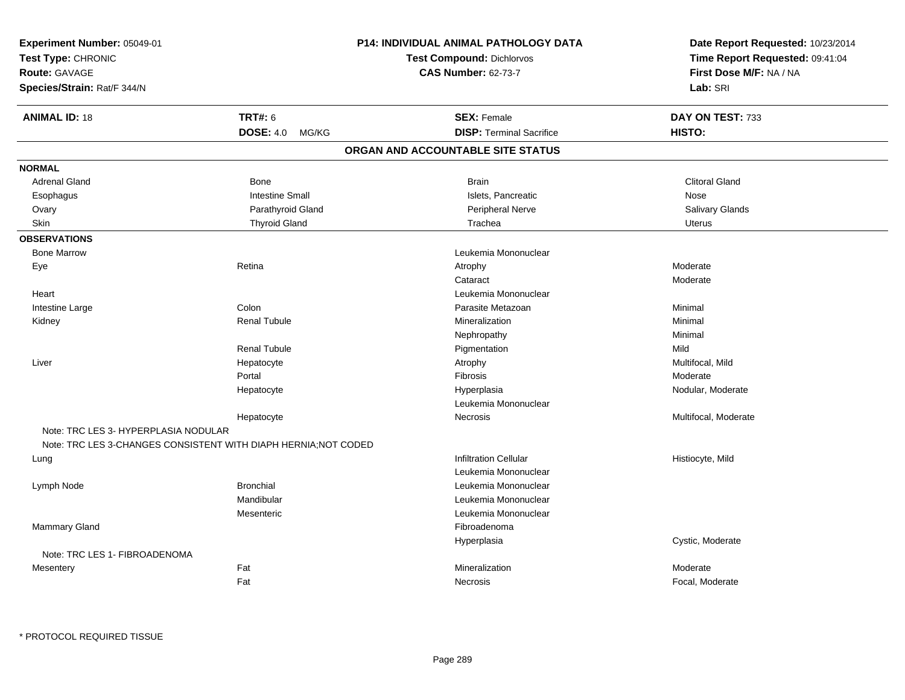| <b>TRT#: 6</b><br><b>ANIMAL ID: 18</b><br><b>SEX: Female</b><br>DAY ON TEST: 733<br><b>DISP: Terminal Sacrifice</b><br>HISTO:<br>DOSE: 4.0 MG/KG<br>ORGAN AND ACCOUNTABLE SITE STATUS<br><b>NORMAL</b><br><b>Adrenal Gland</b><br><b>Clitoral Gland</b><br><b>Bone</b><br><b>Brain</b><br><b>Intestine Small</b><br>Islets, Pancreatic<br>Esophagus<br>Nose<br>Salivary Glands<br>Ovary<br>Parathyroid Gland<br>Peripheral Nerve<br><b>Thyroid Gland</b><br>Skin<br>Trachea<br><b>Uterus</b><br><b>OBSERVATIONS</b><br><b>Bone Marrow</b><br>Leukemia Mononuclear<br>Retina<br>Moderate<br>Eye<br>Atrophy<br>Moderate<br>Cataract<br>Leukemia Mononuclear<br>Heart<br>Colon<br>Intestine Large<br>Parasite Metazoan<br>Minimal<br><b>Renal Tubule</b><br>Mineralization<br>Minimal<br>Kidney<br>Nephropathy<br>Minimal<br><b>Renal Tubule</b><br>Mild<br>Pigmentation<br>Multifocal, Mild<br>Liver<br>Hepatocyte<br>Atrophy<br>Portal<br>Fibrosis<br>Moderate<br>Hepatocyte<br>Hyperplasia<br>Nodular, Moderate<br>Leukemia Mononuclear<br>Necrosis<br>Multifocal, Moderate<br>Hepatocyte<br>Note: TRC LES 3- HYPERPLASIA NODULAR<br>Note: TRC LES 3-CHANGES CONSISTENT WITH DIAPH HERNIA; NOT CODED<br><b>Infiltration Cellular</b><br>Histiocyte, Mild<br>Lung<br>Leukemia Mononuclear<br><b>Bronchial</b><br>Lymph Node<br>Leukemia Mononuclear<br>Mandibular<br>Leukemia Mononuclear<br>Leukemia Mononuclear<br>Mesenteric<br><b>Mammary Gland</b><br>Fibroadenoma<br>Hyperplasia<br>Cystic, Moderate<br>Note: TRC LES 1- FIBROADENOMA<br>Fat<br>Mineralization<br>Moderate<br>Mesentery<br>Fat<br>Focal, Moderate<br>Necrosis | Experiment Number: 05049-01<br>Test Type: CHRONIC<br><b>Route: GAVAGE</b><br>Species/Strain: Rat/F 344/N | <b>P14: INDIVIDUAL ANIMAL PATHOLOGY DATA</b><br><b>Test Compound: Dichlorvos</b><br><b>CAS Number: 62-73-7</b> | Date Report Requested: 10/23/2014<br>Time Report Requested: 09:41:04<br>First Dose M/F: NA / NA<br>Lab: SRI |
|------------------------------------------------------------------------------------------------------------------------------------------------------------------------------------------------------------------------------------------------------------------------------------------------------------------------------------------------------------------------------------------------------------------------------------------------------------------------------------------------------------------------------------------------------------------------------------------------------------------------------------------------------------------------------------------------------------------------------------------------------------------------------------------------------------------------------------------------------------------------------------------------------------------------------------------------------------------------------------------------------------------------------------------------------------------------------------------------------------------------------------------------------------------------------------------------------------------------------------------------------------------------------------------------------------------------------------------------------------------------------------------------------------------------------------------------------------------------------------------------------------------------------------------------------------------------------------------------------------------------------------|----------------------------------------------------------------------------------------------------------|----------------------------------------------------------------------------------------------------------------|-------------------------------------------------------------------------------------------------------------|
|                                                                                                                                                                                                                                                                                                                                                                                                                                                                                                                                                                                                                                                                                                                                                                                                                                                                                                                                                                                                                                                                                                                                                                                                                                                                                                                                                                                                                                                                                                                                                                                                                                    |                                                                                                          |                                                                                                                |                                                                                                             |
|                                                                                                                                                                                                                                                                                                                                                                                                                                                                                                                                                                                                                                                                                                                                                                                                                                                                                                                                                                                                                                                                                                                                                                                                                                                                                                                                                                                                                                                                                                                                                                                                                                    |                                                                                                          |                                                                                                                |                                                                                                             |
|                                                                                                                                                                                                                                                                                                                                                                                                                                                                                                                                                                                                                                                                                                                                                                                                                                                                                                                                                                                                                                                                                                                                                                                                                                                                                                                                                                                                                                                                                                                                                                                                                                    |                                                                                                          |                                                                                                                |                                                                                                             |
|                                                                                                                                                                                                                                                                                                                                                                                                                                                                                                                                                                                                                                                                                                                                                                                                                                                                                                                                                                                                                                                                                                                                                                                                                                                                                                                                                                                                                                                                                                                                                                                                                                    |                                                                                                          |                                                                                                                |                                                                                                             |
|                                                                                                                                                                                                                                                                                                                                                                                                                                                                                                                                                                                                                                                                                                                                                                                                                                                                                                                                                                                                                                                                                                                                                                                                                                                                                                                                                                                                                                                                                                                                                                                                                                    |                                                                                                          |                                                                                                                |                                                                                                             |
|                                                                                                                                                                                                                                                                                                                                                                                                                                                                                                                                                                                                                                                                                                                                                                                                                                                                                                                                                                                                                                                                                                                                                                                                                                                                                                                                                                                                                                                                                                                                                                                                                                    |                                                                                                          |                                                                                                                |                                                                                                             |
|                                                                                                                                                                                                                                                                                                                                                                                                                                                                                                                                                                                                                                                                                                                                                                                                                                                                                                                                                                                                                                                                                                                                                                                                                                                                                                                                                                                                                                                                                                                                                                                                                                    |                                                                                                          |                                                                                                                |                                                                                                             |
|                                                                                                                                                                                                                                                                                                                                                                                                                                                                                                                                                                                                                                                                                                                                                                                                                                                                                                                                                                                                                                                                                                                                                                                                                                                                                                                                                                                                                                                                                                                                                                                                                                    |                                                                                                          |                                                                                                                |                                                                                                             |
|                                                                                                                                                                                                                                                                                                                                                                                                                                                                                                                                                                                                                                                                                                                                                                                                                                                                                                                                                                                                                                                                                                                                                                                                                                                                                                                                                                                                                                                                                                                                                                                                                                    |                                                                                                          |                                                                                                                |                                                                                                             |
|                                                                                                                                                                                                                                                                                                                                                                                                                                                                                                                                                                                                                                                                                                                                                                                                                                                                                                                                                                                                                                                                                                                                                                                                                                                                                                                                                                                                                                                                                                                                                                                                                                    |                                                                                                          |                                                                                                                |                                                                                                             |
|                                                                                                                                                                                                                                                                                                                                                                                                                                                                                                                                                                                                                                                                                                                                                                                                                                                                                                                                                                                                                                                                                                                                                                                                                                                                                                                                                                                                                                                                                                                                                                                                                                    |                                                                                                          |                                                                                                                |                                                                                                             |
|                                                                                                                                                                                                                                                                                                                                                                                                                                                                                                                                                                                                                                                                                                                                                                                                                                                                                                                                                                                                                                                                                                                                                                                                                                                                                                                                                                                                                                                                                                                                                                                                                                    |                                                                                                          |                                                                                                                |                                                                                                             |
|                                                                                                                                                                                                                                                                                                                                                                                                                                                                                                                                                                                                                                                                                                                                                                                                                                                                                                                                                                                                                                                                                                                                                                                                                                                                                                                                                                                                                                                                                                                                                                                                                                    |                                                                                                          |                                                                                                                |                                                                                                             |
|                                                                                                                                                                                                                                                                                                                                                                                                                                                                                                                                                                                                                                                                                                                                                                                                                                                                                                                                                                                                                                                                                                                                                                                                                                                                                                                                                                                                                                                                                                                                                                                                                                    |                                                                                                          |                                                                                                                |                                                                                                             |
|                                                                                                                                                                                                                                                                                                                                                                                                                                                                                                                                                                                                                                                                                                                                                                                                                                                                                                                                                                                                                                                                                                                                                                                                                                                                                                                                                                                                                                                                                                                                                                                                                                    |                                                                                                          |                                                                                                                |                                                                                                             |
|                                                                                                                                                                                                                                                                                                                                                                                                                                                                                                                                                                                                                                                                                                                                                                                                                                                                                                                                                                                                                                                                                                                                                                                                                                                                                                                                                                                                                                                                                                                                                                                                                                    |                                                                                                          |                                                                                                                |                                                                                                             |
|                                                                                                                                                                                                                                                                                                                                                                                                                                                                                                                                                                                                                                                                                                                                                                                                                                                                                                                                                                                                                                                                                                                                                                                                                                                                                                                                                                                                                                                                                                                                                                                                                                    |                                                                                                          |                                                                                                                |                                                                                                             |
|                                                                                                                                                                                                                                                                                                                                                                                                                                                                                                                                                                                                                                                                                                                                                                                                                                                                                                                                                                                                                                                                                                                                                                                                                                                                                                                                                                                                                                                                                                                                                                                                                                    |                                                                                                          |                                                                                                                |                                                                                                             |
|                                                                                                                                                                                                                                                                                                                                                                                                                                                                                                                                                                                                                                                                                                                                                                                                                                                                                                                                                                                                                                                                                                                                                                                                                                                                                                                                                                                                                                                                                                                                                                                                                                    |                                                                                                          |                                                                                                                |                                                                                                             |
|                                                                                                                                                                                                                                                                                                                                                                                                                                                                                                                                                                                                                                                                                                                                                                                                                                                                                                                                                                                                                                                                                                                                                                                                                                                                                                                                                                                                                                                                                                                                                                                                                                    |                                                                                                          |                                                                                                                |                                                                                                             |
|                                                                                                                                                                                                                                                                                                                                                                                                                                                                                                                                                                                                                                                                                                                                                                                                                                                                                                                                                                                                                                                                                                                                                                                                                                                                                                                                                                                                                                                                                                                                                                                                                                    |                                                                                                          |                                                                                                                |                                                                                                             |
|                                                                                                                                                                                                                                                                                                                                                                                                                                                                                                                                                                                                                                                                                                                                                                                                                                                                                                                                                                                                                                                                                                                                                                                                                                                                                                                                                                                                                                                                                                                                                                                                                                    |                                                                                                          |                                                                                                                |                                                                                                             |
|                                                                                                                                                                                                                                                                                                                                                                                                                                                                                                                                                                                                                                                                                                                                                                                                                                                                                                                                                                                                                                                                                                                                                                                                                                                                                                                                                                                                                                                                                                                                                                                                                                    |                                                                                                          |                                                                                                                |                                                                                                             |
|                                                                                                                                                                                                                                                                                                                                                                                                                                                                                                                                                                                                                                                                                                                                                                                                                                                                                                                                                                                                                                                                                                                                                                                                                                                                                                                                                                                                                                                                                                                                                                                                                                    |                                                                                                          |                                                                                                                |                                                                                                             |
|                                                                                                                                                                                                                                                                                                                                                                                                                                                                                                                                                                                                                                                                                                                                                                                                                                                                                                                                                                                                                                                                                                                                                                                                                                                                                                                                                                                                                                                                                                                                                                                                                                    |                                                                                                          |                                                                                                                |                                                                                                             |
|                                                                                                                                                                                                                                                                                                                                                                                                                                                                                                                                                                                                                                                                                                                                                                                                                                                                                                                                                                                                                                                                                                                                                                                                                                                                                                                                                                                                                                                                                                                                                                                                                                    |                                                                                                          |                                                                                                                |                                                                                                             |
|                                                                                                                                                                                                                                                                                                                                                                                                                                                                                                                                                                                                                                                                                                                                                                                                                                                                                                                                                                                                                                                                                                                                                                                                                                                                                                                                                                                                                                                                                                                                                                                                                                    |                                                                                                          |                                                                                                                |                                                                                                             |
|                                                                                                                                                                                                                                                                                                                                                                                                                                                                                                                                                                                                                                                                                                                                                                                                                                                                                                                                                                                                                                                                                                                                                                                                                                                                                                                                                                                                                                                                                                                                                                                                                                    |                                                                                                          |                                                                                                                |                                                                                                             |
|                                                                                                                                                                                                                                                                                                                                                                                                                                                                                                                                                                                                                                                                                                                                                                                                                                                                                                                                                                                                                                                                                                                                                                                                                                                                                                                                                                                                                                                                                                                                                                                                                                    |                                                                                                          |                                                                                                                |                                                                                                             |
|                                                                                                                                                                                                                                                                                                                                                                                                                                                                                                                                                                                                                                                                                                                                                                                                                                                                                                                                                                                                                                                                                                                                                                                                                                                                                                                                                                                                                                                                                                                                                                                                                                    |                                                                                                          |                                                                                                                |                                                                                                             |
|                                                                                                                                                                                                                                                                                                                                                                                                                                                                                                                                                                                                                                                                                                                                                                                                                                                                                                                                                                                                                                                                                                                                                                                                                                                                                                                                                                                                                                                                                                                                                                                                                                    |                                                                                                          |                                                                                                                |                                                                                                             |
|                                                                                                                                                                                                                                                                                                                                                                                                                                                                                                                                                                                                                                                                                                                                                                                                                                                                                                                                                                                                                                                                                                                                                                                                                                                                                                                                                                                                                                                                                                                                                                                                                                    |                                                                                                          |                                                                                                                |                                                                                                             |
|                                                                                                                                                                                                                                                                                                                                                                                                                                                                                                                                                                                                                                                                                                                                                                                                                                                                                                                                                                                                                                                                                                                                                                                                                                                                                                                                                                                                                                                                                                                                                                                                                                    |                                                                                                          |                                                                                                                |                                                                                                             |
|                                                                                                                                                                                                                                                                                                                                                                                                                                                                                                                                                                                                                                                                                                                                                                                                                                                                                                                                                                                                                                                                                                                                                                                                                                                                                                                                                                                                                                                                                                                                                                                                                                    |                                                                                                          |                                                                                                                |                                                                                                             |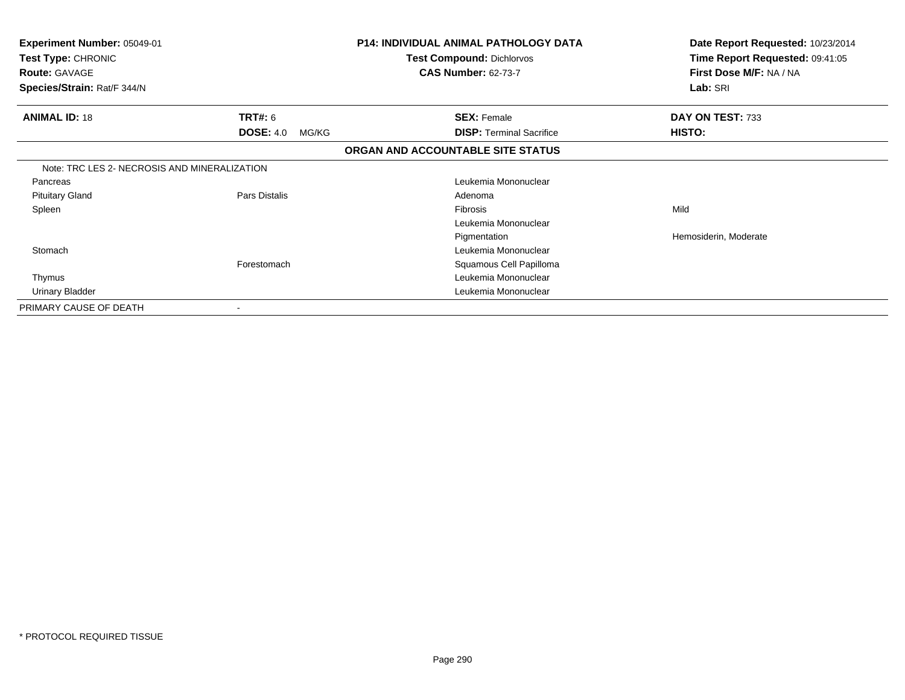| Experiment Number: 05049-01<br>Test Type: CHRONIC<br><b>Route: GAVAGE</b><br>Species/Strain: Rat/F 344/N |                           | <b>P14: INDIVIDUAL ANIMAL PATHOLOGY DATA</b><br><b>Test Compound: Dichlorvos</b><br><b>CAS Number: 62-73-7</b> | Date Report Requested: 10/23/2014<br>Time Report Requested: 09:41:05<br>First Dose M/F: NA / NA<br>Lab: SRI |
|----------------------------------------------------------------------------------------------------------|---------------------------|----------------------------------------------------------------------------------------------------------------|-------------------------------------------------------------------------------------------------------------|
| <b>ANIMAL ID: 18</b>                                                                                     | <b>TRT#: 6</b>            | <b>SEX: Female</b>                                                                                             | DAY ON TEST: 733                                                                                            |
|                                                                                                          | <b>DOSE: 4.0</b><br>MG/KG | <b>DISP:</b> Terminal Sacrifice                                                                                | HISTO:                                                                                                      |
|                                                                                                          |                           | ORGAN AND ACCOUNTABLE SITE STATUS                                                                              |                                                                                                             |
| Note: TRC LES 2- NECROSIS AND MINERALIZATION                                                             |                           |                                                                                                                |                                                                                                             |
| Pancreas                                                                                                 |                           | Leukemia Mononuclear                                                                                           |                                                                                                             |
| <b>Pituitary Gland</b>                                                                                   | Pars Distalis             | Adenoma                                                                                                        |                                                                                                             |
| Spleen                                                                                                   |                           | <b>Fibrosis</b>                                                                                                | Mild                                                                                                        |
|                                                                                                          |                           | Leukemia Mononuclear                                                                                           |                                                                                                             |
|                                                                                                          |                           | Pigmentation                                                                                                   | Hemosiderin, Moderate                                                                                       |
| Stomach                                                                                                  |                           | Leukemia Mononuclear                                                                                           |                                                                                                             |
|                                                                                                          | Forestomach               | Squamous Cell Papilloma                                                                                        |                                                                                                             |
| Thymus                                                                                                   |                           | Leukemia Mononuclear                                                                                           |                                                                                                             |
| Urinary Bladder                                                                                          |                           | Leukemia Mononuclear                                                                                           |                                                                                                             |
| PRIMARY CAUSE OF DEATH                                                                                   | $\overline{\phantom{a}}$  |                                                                                                                |                                                                                                             |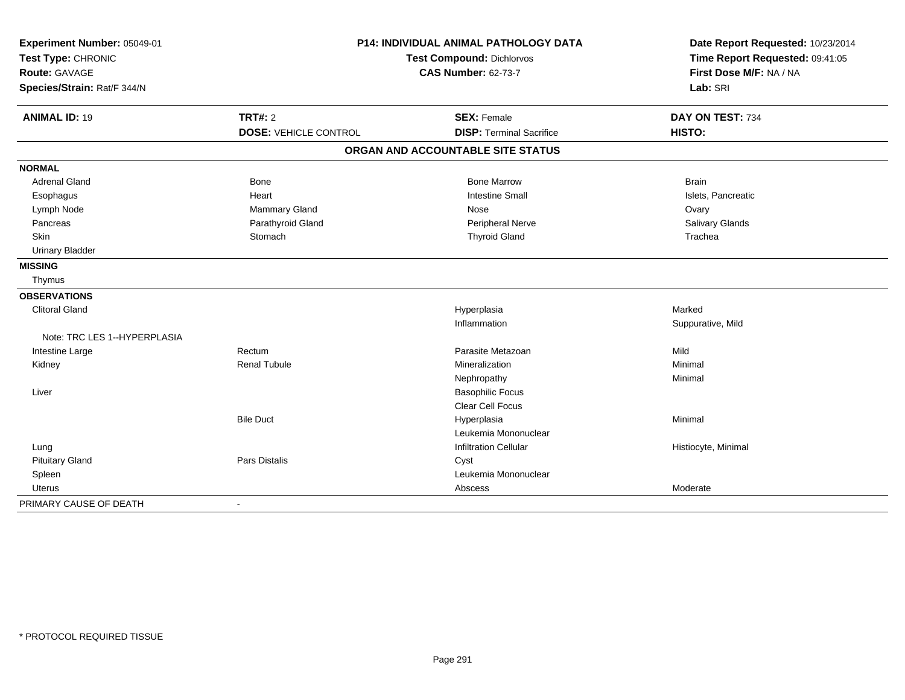| Experiment Number: 05049-01  |                              | <b>P14: INDIVIDUAL ANIMAL PATHOLOGY DATA</b> | Date Report Requested: 10/23/2014 |
|------------------------------|------------------------------|----------------------------------------------|-----------------------------------|
| Test Type: CHRONIC           | Test Compound: Dichlorvos    |                                              | Time Report Requested: 09:41:05   |
| <b>Route: GAVAGE</b>         |                              | <b>CAS Number: 62-73-7</b>                   | First Dose M/F: NA / NA           |
| Species/Strain: Rat/F 344/N  |                              |                                              | Lab: SRI                          |
| <b>ANIMAL ID: 19</b>         | <b>TRT#: 2</b>               | <b>SEX: Female</b>                           | DAY ON TEST: 734                  |
|                              | <b>DOSE: VEHICLE CONTROL</b> | <b>DISP: Terminal Sacrifice</b>              | HISTO:                            |
|                              |                              | ORGAN AND ACCOUNTABLE SITE STATUS            |                                   |
| <b>NORMAL</b>                |                              |                                              |                                   |
| <b>Adrenal Gland</b>         | <b>Bone</b>                  | <b>Bone Marrow</b>                           | <b>Brain</b>                      |
| Esophagus                    | Heart                        | <b>Intestine Small</b>                       | Islets, Pancreatic                |
| Lymph Node                   | <b>Mammary Gland</b>         | Nose                                         | Ovary                             |
| Pancreas                     | Parathyroid Gland            | Peripheral Nerve                             | Salivary Glands                   |
| Skin                         | Stomach                      | <b>Thyroid Gland</b>                         | Trachea                           |
| <b>Urinary Bladder</b>       |                              |                                              |                                   |
| <b>MISSING</b>               |                              |                                              |                                   |
| Thymus                       |                              |                                              |                                   |
| <b>OBSERVATIONS</b>          |                              |                                              |                                   |
| <b>Clitoral Gland</b>        |                              | Hyperplasia                                  | Marked                            |
|                              |                              | Inflammation                                 | Suppurative, Mild                 |
| Note: TRC LES 1--HYPERPLASIA |                              |                                              |                                   |
| Intestine Large              | Rectum                       | Parasite Metazoan                            | Mild                              |
| Kidney                       | <b>Renal Tubule</b>          | Mineralization                               | Minimal                           |
|                              |                              | Nephropathy                                  | Minimal                           |
| Liver                        |                              | <b>Basophilic Focus</b>                      |                                   |
|                              |                              | <b>Clear Cell Focus</b>                      |                                   |
|                              | <b>Bile Duct</b>             | Hyperplasia                                  | Minimal                           |
|                              |                              | Leukemia Mononuclear                         |                                   |
| Lung                         |                              | <b>Infiltration Cellular</b>                 | Histiocyte, Minimal               |
| <b>Pituitary Gland</b>       | Pars Distalis                | Cyst                                         |                                   |
| Spleen                       |                              | Leukemia Mononuclear                         |                                   |
| Uterus                       |                              | Abscess                                      | Moderate                          |
| PRIMARY CAUSE OF DEATH       | $\blacksquare$               |                                              |                                   |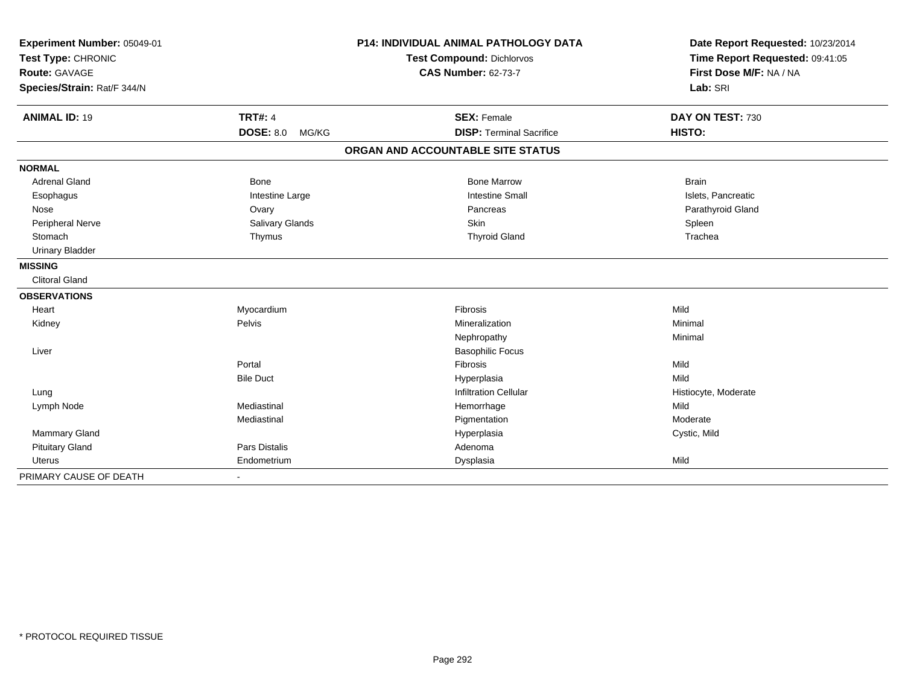| Experiment Number: 05049-01 |                           | <b>P14: INDIVIDUAL ANIMAL PATHOLOGY DATA</b> | Date Report Requested: 10/23/2014                          |
|-----------------------------|---------------------------|----------------------------------------------|------------------------------------------------------------|
| Test Type: CHRONIC          |                           | Test Compound: Dichlorvos                    | Time Report Requested: 09:41:05<br>First Dose M/F: NA / NA |
| Route: GAVAGE               |                           | <b>CAS Number: 62-73-7</b>                   |                                                            |
| Species/Strain: Rat/F 344/N |                           |                                              | Lab: SRI                                                   |
|                             |                           |                                              |                                                            |
| <b>ANIMAL ID: 19</b>        | <b>TRT#: 4</b>            | <b>SEX: Female</b>                           | DAY ON TEST: 730                                           |
|                             | <b>DOSE: 8.0</b><br>MG/KG | <b>DISP: Terminal Sacrifice</b>              | HISTO:                                                     |
|                             |                           | ORGAN AND ACCOUNTABLE SITE STATUS            |                                                            |
| <b>NORMAL</b>               |                           |                                              |                                                            |
| <b>Adrenal Gland</b>        | Bone                      | <b>Bone Marrow</b>                           | <b>Brain</b>                                               |
| Esophagus                   | Intestine Large           | <b>Intestine Small</b>                       | Islets, Pancreatic                                         |
| Nose                        | Ovary                     | Pancreas                                     | Parathyroid Gland                                          |
| Peripheral Nerve            | Salivary Glands           | Skin                                         | Spleen                                                     |
| Stomach                     | Thymus                    | <b>Thyroid Gland</b>                         | Trachea                                                    |
| <b>Urinary Bladder</b>      |                           |                                              |                                                            |
| <b>MISSING</b>              |                           |                                              |                                                            |
| <b>Clitoral Gland</b>       |                           |                                              |                                                            |
| <b>OBSERVATIONS</b>         |                           |                                              |                                                            |
| Heart                       | Myocardium                | Fibrosis                                     | Mild                                                       |
| Kidney                      | Pelvis                    | Mineralization                               | Minimal                                                    |
|                             |                           | Nephropathy                                  | Minimal                                                    |
| Liver                       |                           | <b>Basophilic Focus</b>                      |                                                            |
|                             | Portal                    | Fibrosis                                     | Mild                                                       |
|                             | <b>Bile Duct</b>          | Hyperplasia                                  | Mild                                                       |
| Lung                        |                           | <b>Infiltration Cellular</b>                 | Histiocyte, Moderate                                       |
| Lymph Node                  | Mediastinal               | Hemorrhage                                   | Mild                                                       |
|                             | Mediastinal               | Pigmentation                                 | Moderate                                                   |
| Mammary Gland               |                           | Hyperplasia                                  | Cystic, Mild                                               |
| <b>Pituitary Gland</b>      | Pars Distalis             | Adenoma                                      |                                                            |
| <b>Uterus</b>               | Endometrium               | Dysplasia                                    | Mild                                                       |
| PRIMARY CAUSE OF DEATH      | $\blacksquare$            |                                              |                                                            |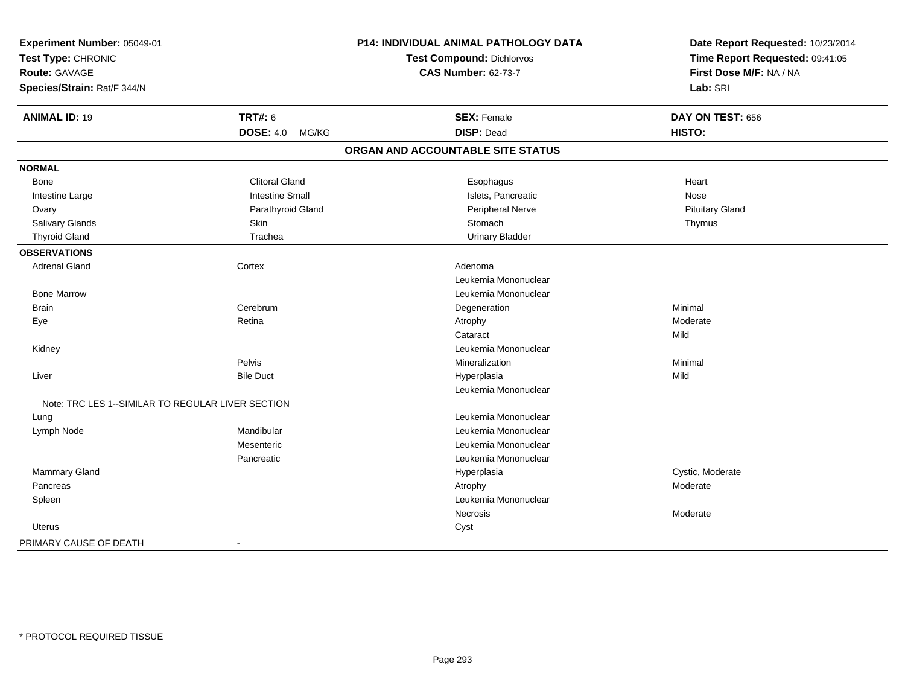| Experiment Number: 05049-01<br>Test Type: CHRONIC |                           | P14: INDIVIDUAL ANIMAL PATHOLOGY DATA<br>Test Compound: Dichlorvos | Date Report Requested: 10/23/2014<br>Time Report Requested: 09:41:05<br>First Dose M/F: NA / NA |
|---------------------------------------------------|---------------------------|--------------------------------------------------------------------|-------------------------------------------------------------------------------------------------|
| Route: GAVAGE                                     |                           | <b>CAS Number: 62-73-7</b>                                         |                                                                                                 |
| Species/Strain: Rat/F 344/N                       |                           |                                                                    | Lab: SRI                                                                                        |
| <b>ANIMAL ID: 19</b>                              | <b>TRT#: 6</b>            | <b>SEX: Female</b>                                                 | DAY ON TEST: 656                                                                                |
|                                                   | <b>DOSE: 4.0</b><br>MG/KG | <b>DISP: Dead</b>                                                  | HISTO:                                                                                          |
|                                                   |                           | ORGAN AND ACCOUNTABLE SITE STATUS                                  |                                                                                                 |
| <b>NORMAL</b>                                     |                           |                                                                    |                                                                                                 |
| Bone                                              | <b>Clitoral Gland</b>     | Esophagus                                                          | Heart                                                                                           |
| Intestine Large                                   | <b>Intestine Small</b>    | Islets, Pancreatic                                                 | Nose                                                                                            |
| Ovary                                             | Parathyroid Gland         | Peripheral Nerve                                                   | <b>Pituitary Gland</b>                                                                          |
| Salivary Glands                                   | <b>Skin</b>               | Stomach                                                            | Thymus                                                                                          |
| <b>Thyroid Gland</b>                              | Trachea                   | <b>Urinary Bladder</b>                                             |                                                                                                 |
| <b>OBSERVATIONS</b>                               |                           |                                                                    |                                                                                                 |
| <b>Adrenal Gland</b>                              | Cortex                    | Adenoma                                                            |                                                                                                 |
|                                                   |                           | Leukemia Mononuclear                                               |                                                                                                 |
| <b>Bone Marrow</b>                                |                           | Leukemia Mononuclear                                               |                                                                                                 |
| <b>Brain</b>                                      | Cerebrum                  | Degeneration                                                       | Minimal                                                                                         |
| Eye                                               | Retina                    | Atrophy                                                            | Moderate                                                                                        |
|                                                   |                           | Cataract                                                           | Mild                                                                                            |
| Kidney                                            |                           | Leukemia Mononuclear                                               |                                                                                                 |
|                                                   | Pelvis                    | Mineralization                                                     | Minimal                                                                                         |
| Liver                                             | <b>Bile Duct</b>          | Hyperplasia                                                        | Mild                                                                                            |
|                                                   |                           | Leukemia Mononuclear                                               |                                                                                                 |
| Note: TRC LES 1--SIMILAR TO REGULAR LIVER SECTION |                           |                                                                    |                                                                                                 |
| Lung                                              |                           | Leukemia Mononuclear                                               |                                                                                                 |
| Lymph Node                                        | Mandibular                | Leukemia Mononuclear                                               |                                                                                                 |
|                                                   | Mesenteric                | Leukemia Mononuclear                                               |                                                                                                 |
|                                                   | Pancreatic                | Leukemia Mononuclear                                               |                                                                                                 |
| <b>Mammary Gland</b>                              |                           | Hyperplasia                                                        | Cystic, Moderate                                                                                |
| Pancreas                                          |                           | Atrophy                                                            | Moderate                                                                                        |
| Spleen                                            |                           | Leukemia Mononuclear                                               |                                                                                                 |
|                                                   |                           | Necrosis                                                           | Moderate                                                                                        |
| Uterus                                            |                           | Cyst                                                               |                                                                                                 |
| PRIMARY CAUSE OF DEATH                            | $\blacksquare$            |                                                                    |                                                                                                 |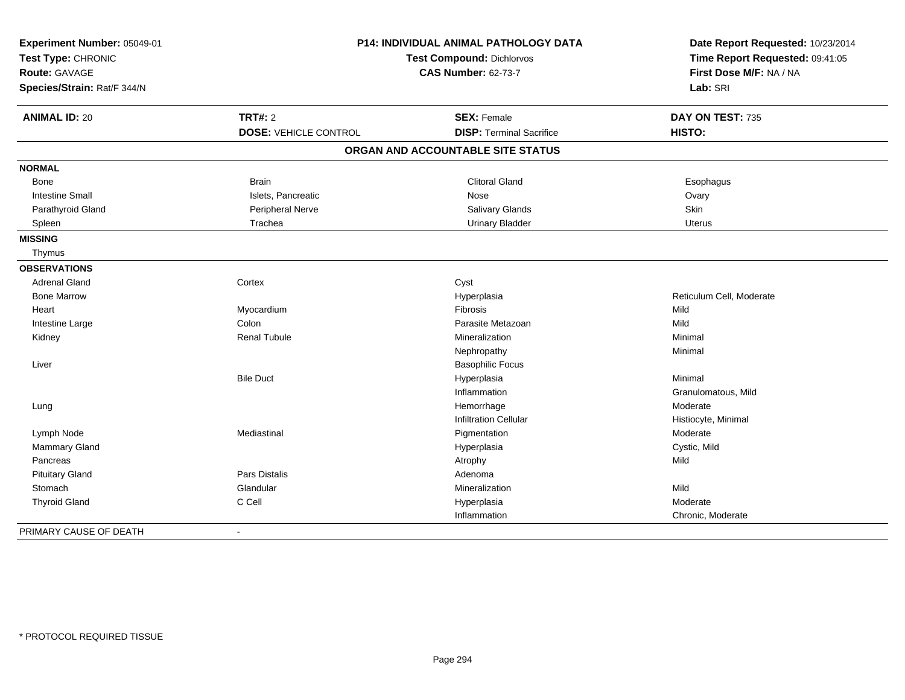| Experiment Number: 05049-01<br>Test Type: CHRONIC<br>Route: GAVAGE<br>Species/Strain: Rat/F 344/N | <b>P14: INDIVIDUAL ANIMAL PATHOLOGY DATA</b><br>Test Compound: Dichlorvos<br><b>CAS Number: 62-73-7</b> |                                                       | Date Report Requested: 10/23/2014<br>Time Report Requested: 09:41:05<br>First Dose M/F: NA / NA<br>Lab: SRI |
|---------------------------------------------------------------------------------------------------|---------------------------------------------------------------------------------------------------------|-------------------------------------------------------|-------------------------------------------------------------------------------------------------------------|
| <b>ANIMAL ID: 20</b>                                                                              | <b>TRT#: 2</b><br><b>DOSE: VEHICLE CONTROL</b>                                                          | <b>SEX: Female</b><br><b>DISP: Terminal Sacrifice</b> | DAY ON TEST: 735<br>HISTO:                                                                                  |
|                                                                                                   |                                                                                                         |                                                       |                                                                                                             |
|                                                                                                   |                                                                                                         | ORGAN AND ACCOUNTABLE SITE STATUS                     |                                                                                                             |
| <b>NORMAL</b>                                                                                     |                                                                                                         |                                                       |                                                                                                             |
| Bone                                                                                              | <b>Brain</b>                                                                                            | <b>Clitoral Gland</b>                                 | Esophagus                                                                                                   |
| <b>Intestine Small</b>                                                                            | Islets, Pancreatic                                                                                      | Nose                                                  | Ovary                                                                                                       |
| Parathyroid Gland                                                                                 | Peripheral Nerve                                                                                        | Salivary Glands                                       | Skin                                                                                                        |
| Spleen                                                                                            | Trachea                                                                                                 | <b>Urinary Bladder</b>                                | Uterus                                                                                                      |
| <b>MISSING</b>                                                                                    |                                                                                                         |                                                       |                                                                                                             |
| Thymus                                                                                            |                                                                                                         |                                                       |                                                                                                             |
| <b>OBSERVATIONS</b>                                                                               |                                                                                                         |                                                       |                                                                                                             |
| Adrenal Gland                                                                                     | Cortex                                                                                                  | Cyst                                                  |                                                                                                             |
| <b>Bone Marrow</b>                                                                                |                                                                                                         | Hyperplasia                                           | Reticulum Cell, Moderate                                                                                    |
| Heart                                                                                             | Myocardium                                                                                              | Fibrosis                                              | Mild                                                                                                        |
| Intestine Large                                                                                   | Colon                                                                                                   | Parasite Metazoan                                     | Mild                                                                                                        |
| Kidney                                                                                            | <b>Renal Tubule</b>                                                                                     | Mineralization                                        | Minimal                                                                                                     |
|                                                                                                   |                                                                                                         | Nephropathy                                           | Minimal                                                                                                     |
| Liver                                                                                             |                                                                                                         | <b>Basophilic Focus</b>                               |                                                                                                             |
|                                                                                                   | <b>Bile Duct</b>                                                                                        | Hyperplasia                                           | Minimal                                                                                                     |
|                                                                                                   |                                                                                                         | Inflammation                                          | Granulomatous, Mild                                                                                         |
| Lung                                                                                              |                                                                                                         | Hemorrhage                                            | Moderate                                                                                                    |
|                                                                                                   |                                                                                                         | <b>Infiltration Cellular</b>                          | Histiocyte, Minimal                                                                                         |
| Lymph Node                                                                                        | Mediastinal                                                                                             | Pigmentation                                          | Moderate                                                                                                    |
| <b>Mammary Gland</b>                                                                              |                                                                                                         | Hyperplasia                                           | Cystic, Mild                                                                                                |
| Pancreas                                                                                          |                                                                                                         | Atrophy                                               | Mild                                                                                                        |
| <b>Pituitary Gland</b>                                                                            | <b>Pars Distalis</b>                                                                                    | Adenoma                                               |                                                                                                             |
| Stomach                                                                                           | Glandular                                                                                               | Mineralization                                        | Mild                                                                                                        |
| <b>Thyroid Gland</b>                                                                              | C Cell                                                                                                  | Hyperplasia                                           | Moderate                                                                                                    |
|                                                                                                   |                                                                                                         | Inflammation                                          | Chronic, Moderate                                                                                           |
| PRIMARY CAUSE OF DEATH                                                                            |                                                                                                         |                                                       |                                                                                                             |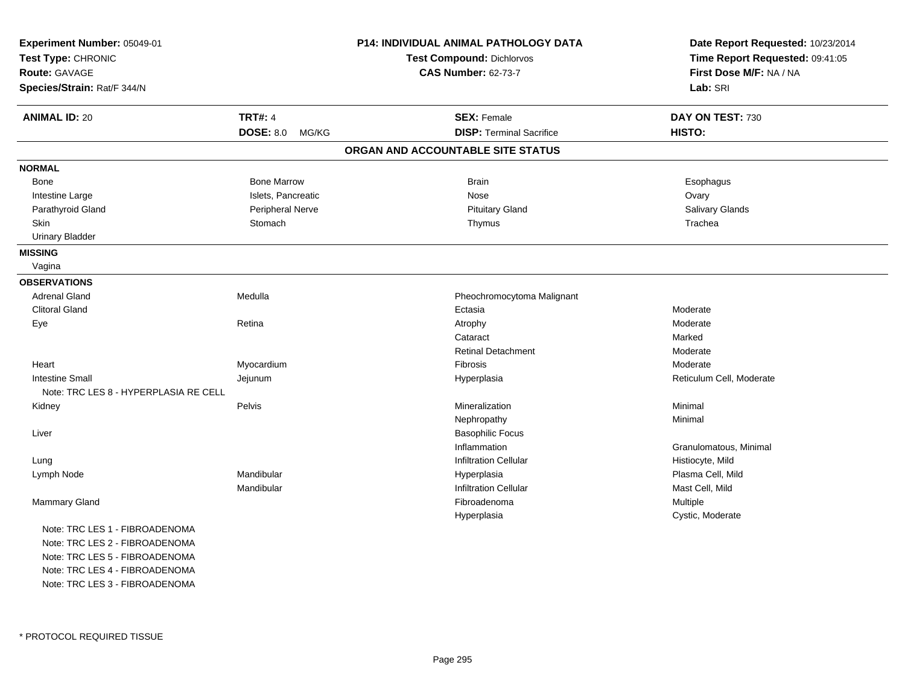| Experiment Number: 05049-01<br>Test Type: CHRONIC |                           | P14: INDIVIDUAL ANIMAL PATHOLOGY DATA<br>Test Compound: Dichlorvos | Date Report Requested: 10/23/2014<br>Time Report Requested: 09:41:05 |
|---------------------------------------------------|---------------------------|--------------------------------------------------------------------|----------------------------------------------------------------------|
| Route: GAVAGE                                     |                           | <b>CAS Number: 62-73-7</b>                                         | First Dose M/F: NA / NA                                              |
| Species/Strain: Rat/F 344/N                       |                           |                                                                    | Lab: SRI                                                             |
| <b>ANIMAL ID: 20</b>                              | <b>TRT#: 4</b>            | <b>SEX: Female</b>                                                 | DAY ON TEST: 730                                                     |
|                                                   | <b>DOSE: 8.0</b><br>MG/KG | <b>DISP: Terminal Sacrifice</b>                                    | HISTO:                                                               |
|                                                   |                           | ORGAN AND ACCOUNTABLE SITE STATUS                                  |                                                                      |
| <b>NORMAL</b>                                     |                           |                                                                    |                                                                      |
| Bone                                              | <b>Bone Marrow</b>        | <b>Brain</b>                                                       | Esophagus                                                            |
| Intestine Large                                   | Islets, Pancreatic        | Nose                                                               | Ovary                                                                |
| Parathyroid Gland                                 | Peripheral Nerve          | <b>Pituitary Gland</b>                                             | Salivary Glands                                                      |
| Skin                                              | Stomach                   | Thymus                                                             | Trachea                                                              |
| <b>Urinary Bladder</b>                            |                           |                                                                    |                                                                      |
| <b>MISSING</b>                                    |                           |                                                                    |                                                                      |
| Vagina                                            |                           |                                                                    |                                                                      |
| <b>OBSERVATIONS</b>                               |                           |                                                                    |                                                                      |
| <b>Adrenal Gland</b>                              | Medulla                   | Pheochromocytoma Malignant                                         |                                                                      |
| <b>Clitoral Gland</b>                             |                           | Ectasia                                                            | Moderate                                                             |
| Eye                                               | Retina                    | Atrophy                                                            | Moderate                                                             |
|                                                   |                           | Cataract                                                           | Marked                                                               |
|                                                   |                           | <b>Retinal Detachment</b>                                          | Moderate                                                             |
| Heart                                             | Myocardium                | Fibrosis                                                           | Moderate                                                             |
| <b>Intestine Small</b>                            | Jejunum                   | Hyperplasia                                                        | Reticulum Cell, Moderate                                             |
| Note: TRC LES 8 - HYPERPLASIA RE CELL             |                           |                                                                    |                                                                      |
| Kidney                                            | Pelvis                    | Mineralization                                                     | Minimal                                                              |
|                                                   |                           | Nephropathy                                                        | Minimal                                                              |
| Liver                                             |                           | <b>Basophilic Focus</b>                                            |                                                                      |
|                                                   |                           | Inflammation                                                       | Granulomatous, Minimal                                               |
| Lung                                              |                           | Infiltration Cellular                                              | Histiocyte, Mild                                                     |
| Lymph Node                                        | Mandibular                | Hyperplasia                                                        | Plasma Cell, Mild                                                    |
|                                                   | Mandibular                | <b>Infiltration Cellular</b>                                       | Mast Cell, Mild                                                      |
| Mammary Gland                                     |                           | Fibroadenoma                                                       | Multiple                                                             |
|                                                   |                           | Hyperplasia                                                        | Cystic, Moderate                                                     |
| Note: TRC LES 1 - FIBROADENOMA                    |                           |                                                                    |                                                                      |
| Note: TRC LES 2 - FIBROADENOMA                    |                           |                                                                    |                                                                      |
| Note: TRC LES 5 - FIBROADENOMA                    |                           |                                                                    |                                                                      |
| Note: TRC LES 4 - FIBROADENOMA                    |                           |                                                                    |                                                                      |
| Note: TRC LES 3 - FIBROADENOMA                    |                           |                                                                    |                                                                      |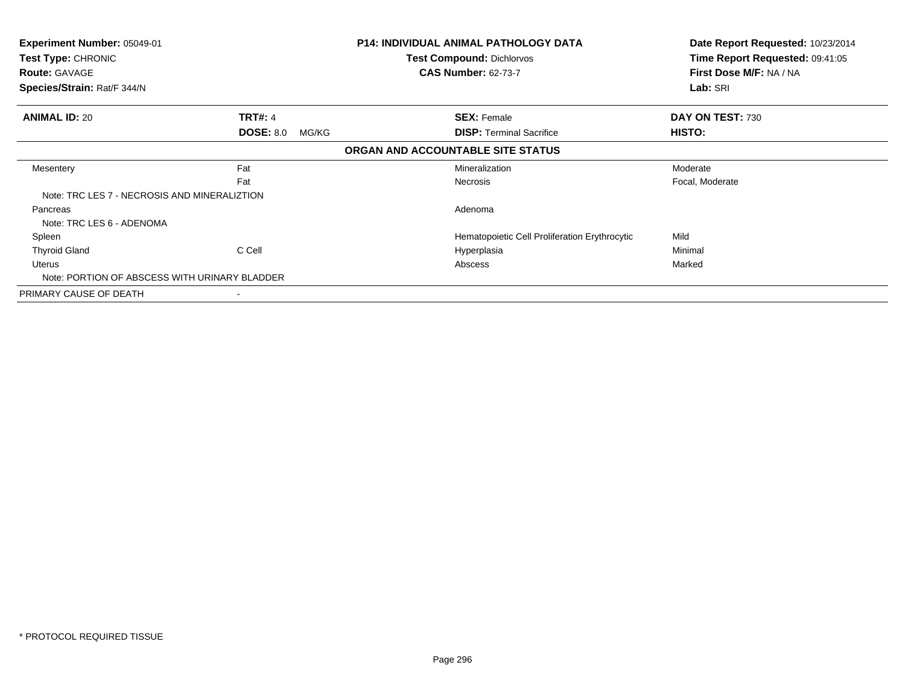| Experiment Number: 05049-01<br>Test Type: CHRONIC<br><b>Route: GAVAGE</b><br>Species/Strain: Rat/F 344/N |                                             | <b>P14: INDIVIDUAL ANIMAL PATHOLOGY DATA</b><br><b>Test Compound: Dichlorvos</b><br><b>CAS Number: 62-73-7</b> | Date Report Requested: 10/23/2014<br>Time Report Requested: 09:41:05<br>First Dose M/F: NA / NA<br>Lab: SRI |
|----------------------------------------------------------------------------------------------------------|---------------------------------------------|----------------------------------------------------------------------------------------------------------------|-------------------------------------------------------------------------------------------------------------|
| <b>ANIMAL ID: 20</b>                                                                                     | <b>TRT#: 4</b><br><b>DOSE: 8.0</b><br>MG/KG | <b>SEX: Female</b><br><b>DISP:</b> Terminal Sacrifice                                                          | DAY ON TEST: 730<br>HISTO:                                                                                  |
|                                                                                                          |                                             | ORGAN AND ACCOUNTABLE SITE STATUS                                                                              |                                                                                                             |
| Mesentery                                                                                                | Fat<br>Fat                                  | Mineralization<br><b>Necrosis</b>                                                                              | Moderate<br>Focal, Moderate                                                                                 |
| Note: TRC LES 7 - NECROSIS AND MINERALIZTION                                                             |                                             |                                                                                                                |                                                                                                             |
| Pancreas<br>Note: TRC LES 6 - ADENOMA                                                                    |                                             | Adenoma                                                                                                        |                                                                                                             |
| Spleen                                                                                                   |                                             | Hematopoietic Cell Proliferation Erythrocytic                                                                  | Mild                                                                                                        |
| <b>Thyroid Gland</b>                                                                                     | C Cell                                      | Hyperplasia                                                                                                    | Minimal                                                                                                     |
| Uterus<br>Note: PORTION OF ABSCESS WITH URINARY BLADDER                                                  |                                             | Abscess                                                                                                        | Marked                                                                                                      |
| PRIMARY CAUSE OF DEATH                                                                                   |                                             |                                                                                                                |                                                                                                             |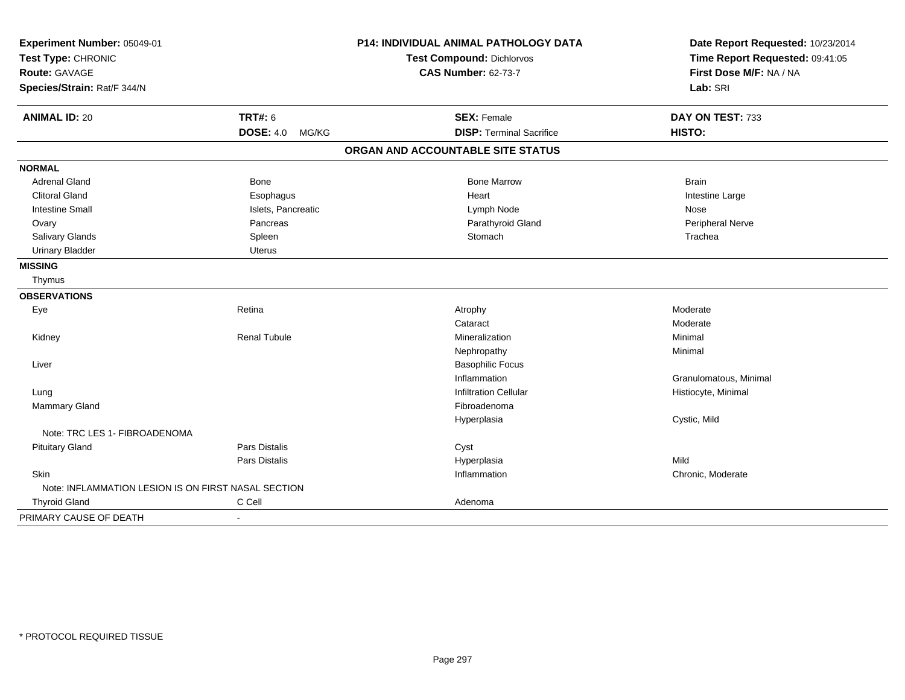| Experiment Number: 05049-01                         |                           | <b>P14: INDIVIDUAL ANIMAL PATHOLOGY DATA</b> | Date Report Requested: 10/23/2014 |
|-----------------------------------------------------|---------------------------|----------------------------------------------|-----------------------------------|
| Test Type: CHRONIC                                  |                           | Test Compound: Dichlorvos                    | Time Report Requested: 09:41:05   |
| <b>Route: GAVAGE</b>                                |                           | <b>CAS Number: 62-73-7</b>                   | First Dose M/F: NA / NA           |
| Species/Strain: Rat/F 344/N                         |                           |                                              | Lab: SRI                          |
| <b>ANIMAL ID: 20</b>                                | <b>TRT#: 6</b>            | <b>SEX: Female</b>                           | DAY ON TEST: 733                  |
|                                                     | <b>DOSE: 4.0</b><br>MG/KG | <b>DISP: Terminal Sacrifice</b>              | HISTO:                            |
|                                                     |                           | ORGAN AND ACCOUNTABLE SITE STATUS            |                                   |
| <b>NORMAL</b>                                       |                           |                                              |                                   |
| <b>Adrenal Gland</b>                                | Bone                      | <b>Bone Marrow</b>                           | <b>Brain</b>                      |
| <b>Clitoral Gland</b>                               | Esophagus                 | Heart                                        | Intestine Large                   |
| <b>Intestine Small</b>                              | Islets, Pancreatic        | Lymph Node                                   | Nose                              |
| Ovary                                               | Pancreas                  | Parathyroid Gland                            | Peripheral Nerve                  |
| Salivary Glands                                     | Spleen                    | Stomach                                      | Trachea                           |
| <b>Urinary Bladder</b>                              | <b>Uterus</b>             |                                              |                                   |
| <b>MISSING</b>                                      |                           |                                              |                                   |
| Thymus                                              |                           |                                              |                                   |
| <b>OBSERVATIONS</b>                                 |                           |                                              |                                   |
| Eye                                                 | Retina                    | Atrophy                                      | Moderate                          |
|                                                     |                           | Cataract                                     | Moderate                          |
| Kidney                                              | <b>Renal Tubule</b>       | Mineralization                               | Minimal                           |
|                                                     |                           | Nephropathy                                  | Minimal                           |
| Liver                                               |                           | <b>Basophilic Focus</b>                      |                                   |
|                                                     |                           | Inflammation                                 | Granulomatous, Minimal            |
| Lung                                                |                           | <b>Infiltration Cellular</b>                 | Histiocyte, Minimal               |
| Mammary Gland                                       |                           | Fibroadenoma                                 |                                   |
|                                                     |                           | Hyperplasia                                  | Cystic, Mild                      |
| Note: TRC LES 1- FIBROADENOMA                       |                           |                                              |                                   |
| <b>Pituitary Gland</b>                              | <b>Pars Distalis</b>      | Cyst                                         |                                   |
|                                                     | Pars Distalis             | Hyperplasia                                  | Mild                              |
| Skin                                                |                           | Inflammation                                 | Chronic, Moderate                 |
| Note: INFLAMMATION LESION IS ON FIRST NASAL SECTION |                           |                                              |                                   |
| <b>Thyroid Gland</b>                                | C Cell                    | Adenoma                                      |                                   |
| PRIMARY CAUSE OF DEATH                              | $\blacksquare$            |                                              |                                   |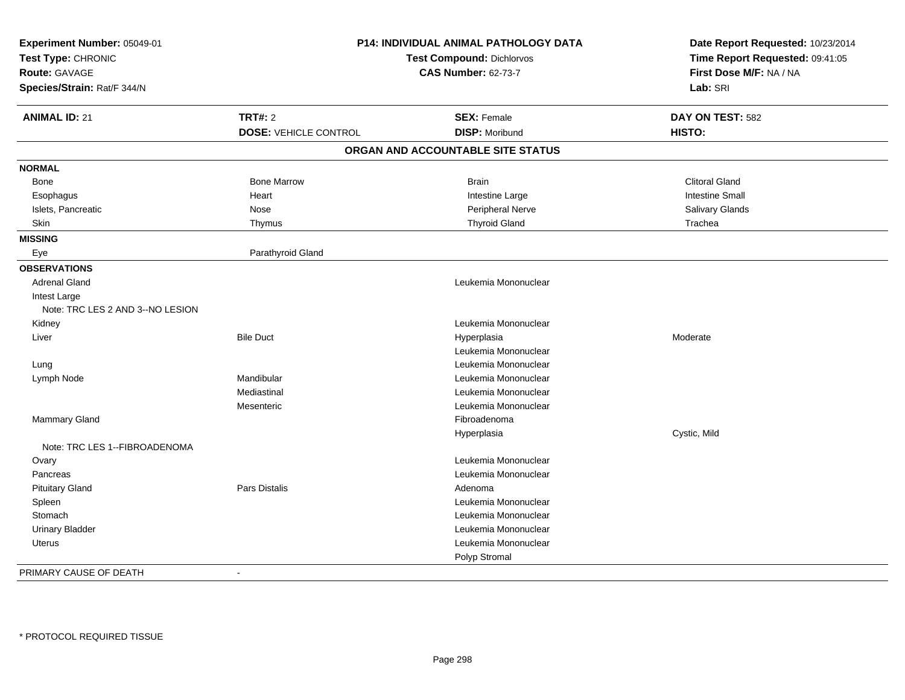| Experiment Number: 05049-01<br>Test Type: CHRONIC |                              | P14: INDIVIDUAL ANIMAL PATHOLOGY DATA<br>Test Compound: Dichlorvos | Date Report Requested: 10/23/2014<br>Time Report Requested: 09:41:05 |
|---------------------------------------------------|------------------------------|--------------------------------------------------------------------|----------------------------------------------------------------------|
| <b>Route: GAVAGE</b>                              |                              | <b>CAS Number: 62-73-7</b>                                         | First Dose M/F: NA / NA                                              |
| Species/Strain: Rat/F 344/N                       |                              |                                                                    | Lab: SRI                                                             |
| <b>ANIMAL ID: 21</b>                              | <b>TRT#: 2</b>               | <b>SEX: Female</b>                                                 | DAY ON TEST: 582                                                     |
|                                                   | <b>DOSE: VEHICLE CONTROL</b> | <b>DISP: Moribund</b>                                              | HISTO:                                                               |
|                                                   |                              | ORGAN AND ACCOUNTABLE SITE STATUS                                  |                                                                      |
| <b>NORMAL</b>                                     |                              |                                                                    |                                                                      |
| Bone                                              | <b>Bone Marrow</b>           | <b>Brain</b>                                                       | <b>Clitoral Gland</b>                                                |
| Esophagus                                         | Heart                        | Intestine Large                                                    | <b>Intestine Small</b>                                               |
| Islets, Pancreatic                                | Nose                         | Peripheral Nerve                                                   | Salivary Glands                                                      |
| <b>Skin</b>                                       | Thymus                       | <b>Thyroid Gland</b>                                               | Trachea                                                              |
| <b>MISSING</b>                                    |                              |                                                                    |                                                                      |
| Eye                                               | Parathyroid Gland            |                                                                    |                                                                      |
| <b>OBSERVATIONS</b>                               |                              |                                                                    |                                                                      |
| <b>Adrenal Gland</b>                              |                              | Leukemia Mononuclear                                               |                                                                      |
| Intest Large                                      |                              |                                                                    |                                                                      |
| Note: TRC LES 2 AND 3--NO LESION                  |                              |                                                                    |                                                                      |
| Kidney                                            |                              | Leukemia Mononuclear                                               |                                                                      |
| Liver                                             | <b>Bile Duct</b>             | Hyperplasia<br>Leukemia Mononuclear                                | Moderate                                                             |
|                                                   |                              |                                                                    |                                                                      |
| Lung                                              |                              | Leukemia Mononuclear                                               |                                                                      |
| Lymph Node                                        | Mandibular                   | Leukemia Mononuclear                                               |                                                                      |
|                                                   | Mediastinal                  | Leukemia Mononuclear                                               |                                                                      |
|                                                   | Mesenteric                   | Leukemia Mononuclear                                               |                                                                      |
| Mammary Gland                                     |                              | Fibroadenoma                                                       |                                                                      |
| Note: TRC LES 1--FIBROADENOMA                     |                              | Hyperplasia                                                        | Cystic, Mild                                                         |
| Ovary                                             |                              | Leukemia Mononuclear                                               |                                                                      |
| Pancreas                                          |                              | Leukemia Mononuclear                                               |                                                                      |
| <b>Pituitary Gland</b>                            | Pars Distalis                | Adenoma                                                            |                                                                      |
| Spleen                                            |                              | Leukemia Mononuclear                                               |                                                                      |
| Stomach                                           |                              | Leukemia Mononuclear                                               |                                                                      |
| <b>Urinary Bladder</b>                            |                              | Leukemia Mononuclear                                               |                                                                      |
| <b>Uterus</b>                                     |                              | Leukemia Mononuclear                                               |                                                                      |
|                                                   |                              | Polyp Stromal                                                      |                                                                      |
| PRIMARY CAUSE OF DEATH                            | $\sim$                       |                                                                    |                                                                      |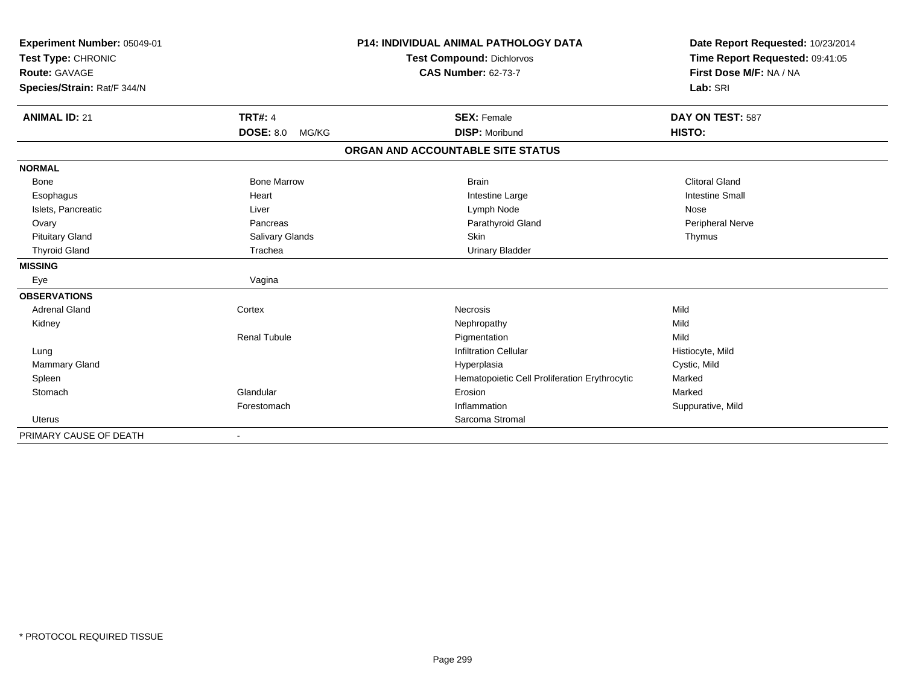| Experiment Number: 05049-01<br>Test Type: CHRONIC |                           | <b>P14: INDIVIDUAL ANIMAL PATHOLOGY DATA</b><br><b>Test Compound: Dichlorvos</b> | Date Report Requested: 10/23/2014<br>Time Report Requested: 09:41:05 |
|---------------------------------------------------|---------------------------|----------------------------------------------------------------------------------|----------------------------------------------------------------------|
| <b>Route: GAVAGE</b>                              |                           | <b>CAS Number: 62-73-7</b>                                                       | First Dose M/F: NA / NA                                              |
| Species/Strain: Rat/F 344/N                       |                           |                                                                                  | Lab: SRI                                                             |
| <b>ANIMAL ID: 21</b>                              | <b>TRT#: 4</b>            | <b>SEX: Female</b>                                                               | DAY ON TEST: 587                                                     |
|                                                   | <b>DOSE: 8.0</b><br>MG/KG | <b>DISP: Moribund</b>                                                            | HISTO:                                                               |
|                                                   |                           | ORGAN AND ACCOUNTABLE SITE STATUS                                                |                                                                      |
| <b>NORMAL</b>                                     |                           |                                                                                  |                                                                      |
| Bone                                              | <b>Bone Marrow</b>        | <b>Brain</b>                                                                     | <b>Clitoral Gland</b>                                                |
| Esophagus                                         | Heart                     | Intestine Large                                                                  | <b>Intestine Small</b>                                               |
| Islets, Pancreatic                                | Liver                     | Lymph Node                                                                       | Nose                                                                 |
| Ovary                                             | Pancreas                  | Parathyroid Gland                                                                | Peripheral Nerve                                                     |
| <b>Pituitary Gland</b>                            | <b>Salivary Glands</b>    | Skin                                                                             | Thymus                                                               |
| <b>Thyroid Gland</b>                              | Trachea                   | <b>Urinary Bladder</b>                                                           |                                                                      |
| <b>MISSING</b>                                    |                           |                                                                                  |                                                                      |
| Eye                                               | Vagina                    |                                                                                  |                                                                      |
| <b>OBSERVATIONS</b>                               |                           |                                                                                  |                                                                      |
| <b>Adrenal Gland</b>                              | Cortex                    | Necrosis                                                                         | Mild                                                                 |
| Kidney                                            |                           | Nephropathy                                                                      | Mild                                                                 |
|                                                   | <b>Renal Tubule</b>       | Pigmentation                                                                     | Mild                                                                 |
| Lung                                              |                           | <b>Infiltration Cellular</b>                                                     | Histiocyte, Mild                                                     |
| Mammary Gland                                     |                           | Hyperplasia                                                                      | Cystic, Mild                                                         |
| Spleen                                            |                           | Hematopoietic Cell Proliferation Erythrocytic                                    | Marked                                                               |
| Stomach                                           | Glandular                 | Erosion                                                                          | Marked                                                               |
|                                                   | Forestomach               | Inflammation                                                                     | Suppurative, Mild                                                    |
| <b>Uterus</b>                                     |                           | Sarcoma Stromal                                                                  |                                                                      |
| PRIMARY CAUSE OF DEATH                            | $\overline{\phantom{a}}$  |                                                                                  |                                                                      |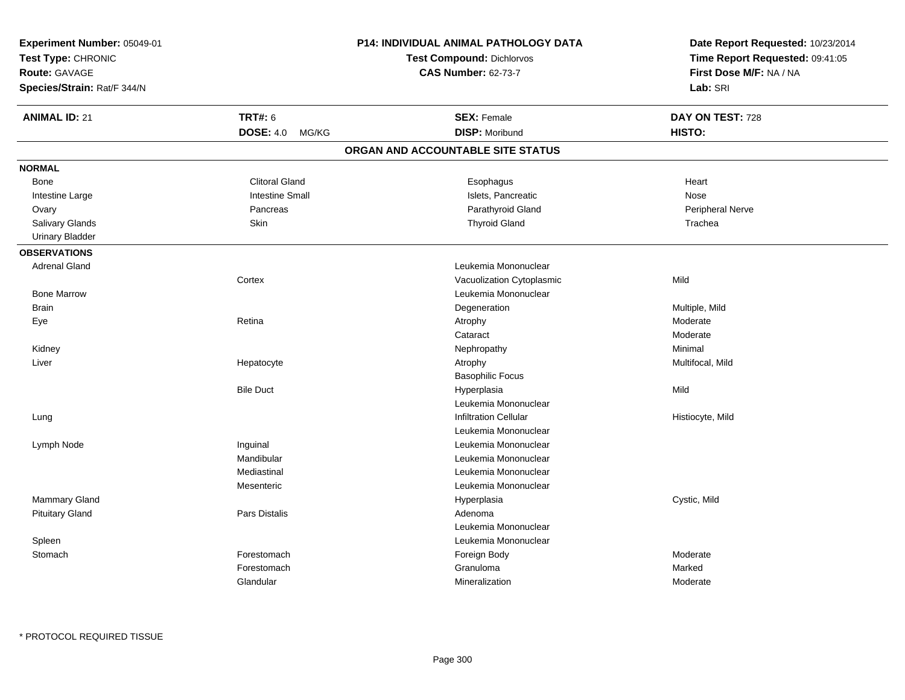| Experiment Number: 05049-01<br>Test Type: CHRONIC<br><b>Route: GAVAGE</b><br>Species/Strain: Rat/F 344/N |                        | P14: INDIVIDUAL ANIMAL PATHOLOGY DATA<br><b>Test Compound: Dichlorvos</b><br><b>CAS Number: 62-73-7</b> | Date Report Requested: 10/23/2014<br>Time Report Requested: 09:41:05<br>First Dose M/F: NA / NA<br>Lab: SRI |
|----------------------------------------------------------------------------------------------------------|------------------------|---------------------------------------------------------------------------------------------------------|-------------------------------------------------------------------------------------------------------------|
| <b>ANIMAL ID: 21</b>                                                                                     | <b>TRT#: 6</b>         | <b>SEX: Female</b>                                                                                      | DAY ON TEST: 728                                                                                            |
|                                                                                                          | DOSE: 4.0 MG/KG        | <b>DISP: Moribund</b>                                                                                   | HISTO:                                                                                                      |
|                                                                                                          |                        | ORGAN AND ACCOUNTABLE SITE STATUS                                                                       |                                                                                                             |
| <b>NORMAL</b>                                                                                            |                        |                                                                                                         |                                                                                                             |
| Bone                                                                                                     | <b>Clitoral Gland</b>  | Esophagus                                                                                               | Heart                                                                                                       |
| Intestine Large                                                                                          | <b>Intestine Small</b> | Islets, Pancreatic                                                                                      | Nose                                                                                                        |
| Ovary                                                                                                    | Pancreas               | Parathyroid Gland                                                                                       | Peripheral Nerve                                                                                            |
| Salivary Glands                                                                                          | Skin                   | <b>Thyroid Gland</b>                                                                                    | Trachea                                                                                                     |
| <b>Urinary Bladder</b>                                                                                   |                        |                                                                                                         |                                                                                                             |
| <b>OBSERVATIONS</b>                                                                                      |                        |                                                                                                         |                                                                                                             |
| <b>Adrenal Gland</b>                                                                                     |                        | Leukemia Mononuclear                                                                                    |                                                                                                             |
|                                                                                                          | Cortex                 | Vacuolization Cytoplasmic                                                                               | Mild                                                                                                        |
| <b>Bone Marrow</b>                                                                                       |                        | Leukemia Mononuclear                                                                                    |                                                                                                             |
| <b>Brain</b>                                                                                             |                        | Degeneration                                                                                            | Multiple, Mild                                                                                              |
| Eye                                                                                                      | Retina                 | Atrophy                                                                                                 | Moderate                                                                                                    |
|                                                                                                          |                        | Cataract                                                                                                | Moderate                                                                                                    |
| Kidney                                                                                                   |                        | Nephropathy                                                                                             | Minimal                                                                                                     |
| Liver                                                                                                    | Hepatocyte             | Atrophy                                                                                                 | Multifocal, Mild                                                                                            |
|                                                                                                          |                        | <b>Basophilic Focus</b>                                                                                 |                                                                                                             |
|                                                                                                          | <b>Bile Duct</b>       | Hyperplasia                                                                                             | Mild                                                                                                        |
|                                                                                                          |                        | Leukemia Mononuclear                                                                                    |                                                                                                             |
| Lung                                                                                                     |                        | <b>Infiltration Cellular</b>                                                                            | Histiocyte, Mild                                                                                            |
|                                                                                                          |                        | Leukemia Mononuclear                                                                                    |                                                                                                             |
| Lymph Node                                                                                               | Inguinal               | Leukemia Mononuclear                                                                                    |                                                                                                             |
|                                                                                                          | Mandibular             | Leukemia Mononuclear                                                                                    |                                                                                                             |
|                                                                                                          | Mediastinal            | Leukemia Mononuclear                                                                                    |                                                                                                             |
|                                                                                                          | Mesenteric             | Leukemia Mononuclear                                                                                    |                                                                                                             |
| Mammary Gland                                                                                            |                        | Hyperplasia                                                                                             | Cystic, Mild                                                                                                |
| <b>Pituitary Gland</b>                                                                                   | Pars Distalis          | Adenoma                                                                                                 |                                                                                                             |
|                                                                                                          |                        | Leukemia Mononuclear                                                                                    |                                                                                                             |
| Spleen                                                                                                   |                        | Leukemia Mononuclear                                                                                    |                                                                                                             |
| Stomach                                                                                                  | Forestomach            | Foreign Body                                                                                            | Moderate                                                                                                    |
|                                                                                                          | Forestomach            | Granuloma                                                                                               | Marked                                                                                                      |
|                                                                                                          | Glandular              | Mineralization                                                                                          | Moderate                                                                                                    |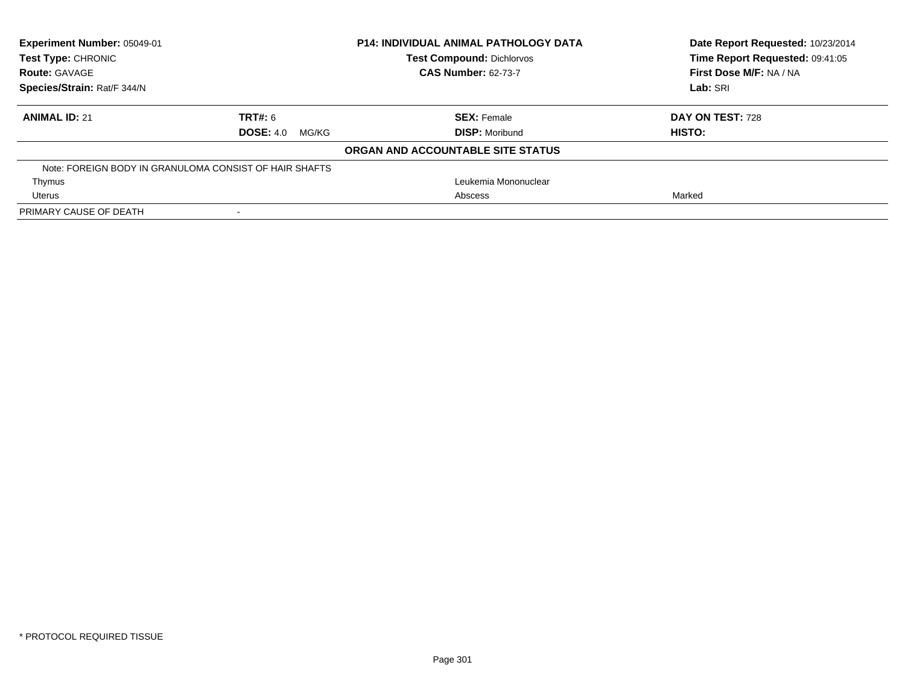| Experiment Number: 05049-01<br>Test Type: CHRONIC<br><b>Route: GAVAGE</b> |                           | <b>P14: INDIVIDUAL ANIMAL PATHOLOGY DATA</b><br><b>Test Compound: Dichlorvos</b><br><b>CAS Number: 62-73-7</b> | Date Report Requested: 10/23/2014<br>Time Report Requested: 09:41:05<br>First Dose M/F: NA / NA |
|---------------------------------------------------------------------------|---------------------------|----------------------------------------------------------------------------------------------------------------|-------------------------------------------------------------------------------------------------|
| Species/Strain: Rat/F 344/N                                               |                           |                                                                                                                | Lab: SRI                                                                                        |
| <b>ANIMAL ID: 21</b>                                                      | <b>TRT#: 6</b>            | <b>SEX: Female</b>                                                                                             | DAY ON TEST: 728                                                                                |
|                                                                           | <b>DOSE: 4.0</b><br>MG/KG | <b>DISP:</b> Moribund                                                                                          | HISTO:                                                                                          |
|                                                                           |                           | ORGAN AND ACCOUNTABLE SITE STATUS                                                                              |                                                                                                 |
| Note: FOREIGN BODY IN GRANULOMA CONSIST OF HAIR SHAFTS                    |                           |                                                                                                                |                                                                                                 |
| Thymus                                                                    |                           | Leukemia Mononuclear                                                                                           |                                                                                                 |
| Uterus                                                                    |                           | Abscess                                                                                                        | Marked                                                                                          |
| PRIMARY CAUSE OF DEATH                                                    |                           |                                                                                                                |                                                                                                 |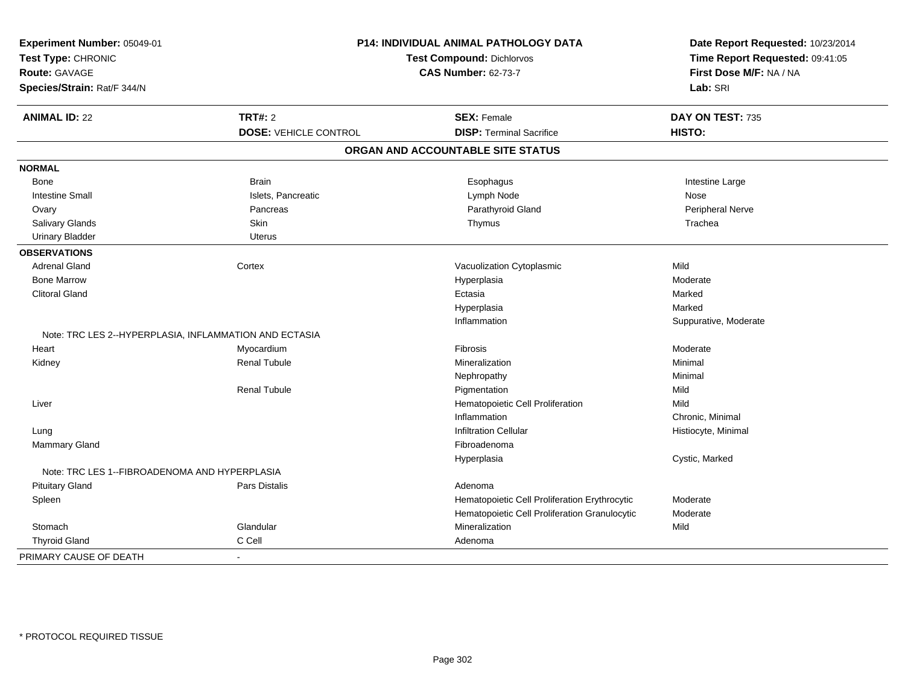| Experiment Number: 05049-01<br>Test Type: CHRONIC<br><b>Route: GAVAGE</b> |                              | P14: INDIVIDUAL ANIMAL PATHOLOGY DATA<br><b>Test Compound: Dichlorvos</b><br><b>CAS Number: 62-73-7</b> |                       |
|---------------------------------------------------------------------------|------------------------------|---------------------------------------------------------------------------------------------------------|-----------------------|
| Species/Strain: Rat/F 344/N                                               |                              |                                                                                                         | Lab: SRI              |
| <b>ANIMAL ID: 22</b>                                                      | <b>TRT#: 2</b>               | <b>SEX: Female</b>                                                                                      | DAY ON TEST: 735      |
|                                                                           | <b>DOSE: VEHICLE CONTROL</b> | <b>DISP: Terminal Sacrifice</b>                                                                         | HISTO:                |
|                                                                           |                              | ORGAN AND ACCOUNTABLE SITE STATUS                                                                       |                       |
| <b>NORMAL</b>                                                             |                              |                                                                                                         |                       |
| Bone                                                                      | <b>Brain</b>                 | Esophagus                                                                                               | Intestine Large       |
| <b>Intestine Small</b>                                                    | Islets, Pancreatic           | Lymph Node                                                                                              | Nose                  |
| Ovary                                                                     | Pancreas                     | Parathyroid Gland                                                                                       | Peripheral Nerve      |
| Salivary Glands                                                           | Skin                         | Thymus                                                                                                  | Trachea               |
| <b>Urinary Bladder</b>                                                    | Uterus                       |                                                                                                         |                       |
| <b>OBSERVATIONS</b>                                                       |                              |                                                                                                         |                       |
| <b>Adrenal Gland</b>                                                      | Cortex                       | Vacuolization Cytoplasmic                                                                               | Mild                  |
| <b>Bone Marrow</b>                                                        |                              | Hyperplasia                                                                                             | Moderate              |
| <b>Clitoral Gland</b>                                                     |                              | Ectasia                                                                                                 | Marked                |
|                                                                           |                              | Hyperplasia                                                                                             | Marked                |
|                                                                           |                              | Inflammation                                                                                            | Suppurative, Moderate |
| Note: TRC LES 2--HYPERPLASIA, INFLAMMATION AND ECTASIA                    |                              |                                                                                                         |                       |
| Heart                                                                     | Myocardium                   | Fibrosis                                                                                                | Moderate              |
| Kidney                                                                    | <b>Renal Tubule</b>          | Mineralization                                                                                          | Minimal               |
|                                                                           |                              | Nephropathy                                                                                             | Minimal               |
|                                                                           | <b>Renal Tubule</b>          | Pigmentation                                                                                            | Mild                  |
| Liver                                                                     |                              | Hematopoietic Cell Proliferation                                                                        | Mild                  |
|                                                                           |                              | Inflammation                                                                                            | Chronic, Minimal      |
| Lung                                                                      |                              | <b>Infiltration Cellular</b>                                                                            | Histiocyte, Minimal   |
| <b>Mammary Gland</b>                                                      |                              | Fibroadenoma                                                                                            |                       |
|                                                                           |                              | Hyperplasia                                                                                             | Cystic, Marked        |
| Note: TRC LES 1--FIBROADENOMA AND HYPERPLASIA                             |                              |                                                                                                         |                       |
| <b>Pituitary Gland</b>                                                    | Pars Distalis                | Adenoma                                                                                                 |                       |
| Spleen                                                                    |                              | Hematopoietic Cell Proliferation Erythrocytic                                                           | Moderate              |
|                                                                           |                              | Hematopoietic Cell Proliferation Granulocytic                                                           | Moderate              |
| Stomach                                                                   | Glandular                    | Mineralization                                                                                          | Mild                  |
| <b>Thyroid Gland</b>                                                      | C Cell                       | Adenoma                                                                                                 |                       |
| PRIMARY CAUSE OF DEATH                                                    | $\blacksquare$               |                                                                                                         |                       |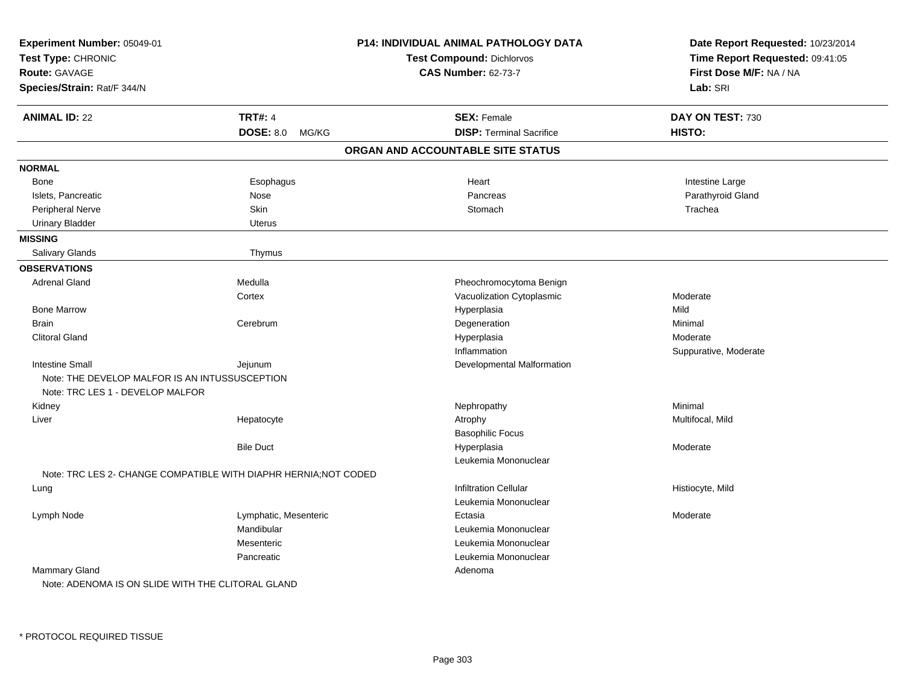| Experiment Number: 05049-01<br>Test Type: CHRONIC<br><b>Route: GAVAGE</b><br>Species/Strain: Rat/F 344/N |                                   | <b>P14: INDIVIDUAL ANIMAL PATHOLOGY DATA</b><br><b>Test Compound: Dichlorvos</b><br><b>CAS Number: 62-73-7</b> | Date Report Requested: 10/23/2014<br>Time Report Requested: 09:41:05<br>First Dose M/F: NA / NA<br>Lab: SRI |
|----------------------------------------------------------------------------------------------------------|-----------------------------------|----------------------------------------------------------------------------------------------------------------|-------------------------------------------------------------------------------------------------------------|
| <b>ANIMAL ID: 22</b>                                                                                     | <b>TRT#: 4</b><br>DOSE: 8.0 MG/KG | <b>SEX: Female</b><br><b>DISP: Terminal Sacrifice</b>                                                          | DAY ON TEST: 730<br>HISTO:                                                                                  |
|                                                                                                          |                                   | ORGAN AND ACCOUNTABLE SITE STATUS                                                                              |                                                                                                             |
| <b>NORMAL</b>                                                                                            |                                   |                                                                                                                |                                                                                                             |
| <b>Bone</b>                                                                                              | Esophagus                         | Heart                                                                                                          | Intestine Large                                                                                             |
| Islets, Pancreatic                                                                                       | Nose                              | Pancreas                                                                                                       | Parathyroid Gland                                                                                           |
| Peripheral Nerve                                                                                         | Skin                              | Stomach                                                                                                        | Trachea                                                                                                     |
| <b>Urinary Bladder</b>                                                                                   | Uterus                            |                                                                                                                |                                                                                                             |
| <b>MISSING</b>                                                                                           |                                   |                                                                                                                |                                                                                                             |
| Salivary Glands                                                                                          | Thymus                            |                                                                                                                |                                                                                                             |
| <b>OBSERVATIONS</b>                                                                                      |                                   |                                                                                                                |                                                                                                             |
| <b>Adrenal Gland</b>                                                                                     | Medulla                           | Pheochromocytoma Benign                                                                                        |                                                                                                             |
|                                                                                                          | Cortex                            | Vacuolization Cytoplasmic                                                                                      | Moderate                                                                                                    |
| <b>Bone Marrow</b>                                                                                       |                                   | Hyperplasia                                                                                                    | Mild                                                                                                        |
| <b>Brain</b>                                                                                             | Cerebrum                          | Degeneration                                                                                                   | Minimal                                                                                                     |
| <b>Clitoral Gland</b>                                                                                    |                                   | Hyperplasia                                                                                                    | Moderate                                                                                                    |
|                                                                                                          |                                   | Inflammation                                                                                                   | Suppurative, Moderate                                                                                       |
| <b>Intestine Small</b>                                                                                   | Jejunum                           | Developmental Malformation                                                                                     |                                                                                                             |
| Note: THE DEVELOP MALFOR IS AN INTUSSUSCEPTION<br>Note: TRC LES 1 - DEVELOP MALFOR                       |                                   |                                                                                                                |                                                                                                             |
| Kidney                                                                                                   |                                   | Nephropathy                                                                                                    | Minimal                                                                                                     |
| Liver                                                                                                    | Hepatocyte                        | Atrophy                                                                                                        | Multifocal, Mild                                                                                            |
|                                                                                                          |                                   | <b>Basophilic Focus</b>                                                                                        |                                                                                                             |
|                                                                                                          | <b>Bile Duct</b>                  | Hyperplasia                                                                                                    | Moderate                                                                                                    |
|                                                                                                          |                                   | Leukemia Mononuclear                                                                                           |                                                                                                             |
| Note: TRC LES 2- CHANGE COMPATIBLE WITH DIAPHR HERNIA; NOT CODED                                         |                                   |                                                                                                                |                                                                                                             |
| Lung                                                                                                     |                                   | <b>Infiltration Cellular</b>                                                                                   | Histiocyte, Mild                                                                                            |
|                                                                                                          |                                   | Leukemia Mononuclear                                                                                           |                                                                                                             |
| Lymph Node                                                                                               | Lymphatic, Mesenteric             | Ectasia                                                                                                        | Moderate                                                                                                    |
|                                                                                                          | Mandibular                        | Leukemia Mononuclear                                                                                           |                                                                                                             |
|                                                                                                          | Mesenteric                        | Leukemia Mononuclear                                                                                           |                                                                                                             |
|                                                                                                          | Pancreatic                        | Leukemia Mononuclear                                                                                           |                                                                                                             |
| Mammary Gland                                                                                            |                                   | Adenoma                                                                                                        |                                                                                                             |
| Note: ADENOMA IS ON SLIDE WITH THE CLITORAL GLAND                                                        |                                   |                                                                                                                |                                                                                                             |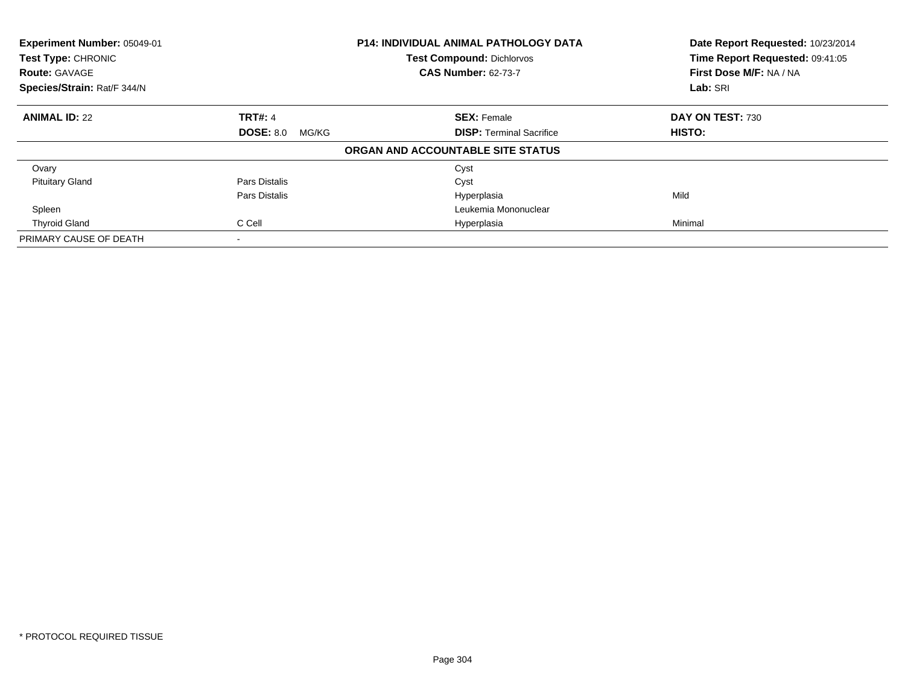| Experiment Number: 05049-01<br>Test Type: CHRONIC<br><b>Route: GAVAGE</b> |                           | <b>P14: INDIVIDUAL ANIMAL PATHOLOGY DATA</b><br><b>Test Compound: Dichlorvos</b><br><b>CAS Number: 62-73-7</b> | Date Report Requested: 10/23/2014<br>Time Report Requested: 09:41:05<br>First Dose M/F: NA / NA |
|---------------------------------------------------------------------------|---------------------------|----------------------------------------------------------------------------------------------------------------|-------------------------------------------------------------------------------------------------|
| Species/Strain: Rat/F 344/N                                               |                           |                                                                                                                | Lab: SRI                                                                                        |
| <b>ANIMAL ID: 22</b>                                                      | <b>TRT#: 4</b>            | <b>SEX: Female</b>                                                                                             | DAY ON TEST: 730                                                                                |
|                                                                           | <b>DOSE: 8.0</b><br>MG/KG | <b>DISP: Terminal Sacrifice</b>                                                                                | <b>HISTO:</b>                                                                                   |
|                                                                           |                           | ORGAN AND ACCOUNTABLE SITE STATUS                                                                              |                                                                                                 |
| Ovary                                                                     |                           | Cyst                                                                                                           |                                                                                                 |
| <b>Pituitary Gland</b>                                                    | Pars Distalis             | Cyst                                                                                                           |                                                                                                 |
|                                                                           | Pars Distalis             | Hyperplasia                                                                                                    | Mild                                                                                            |
| Spleen                                                                    |                           | Leukemia Mononuclear                                                                                           |                                                                                                 |
| <b>Thyroid Gland</b>                                                      | C Cell                    | Hyperplasia                                                                                                    | Minimal                                                                                         |
| PRIMARY CAUSE OF DEATH                                                    |                           |                                                                                                                |                                                                                                 |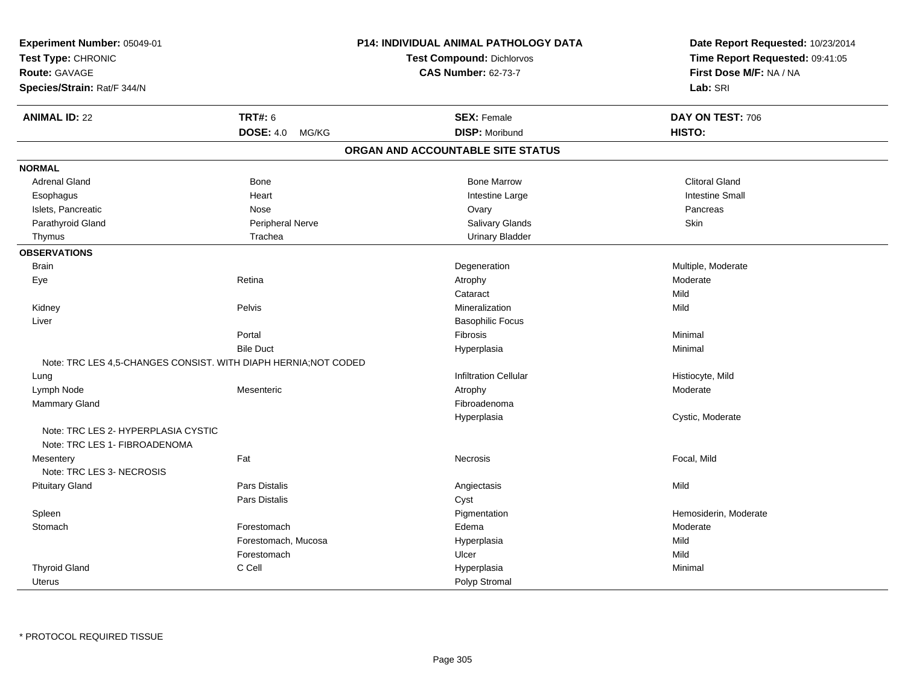| Experiment Number: 05049-01<br>Test Type: CHRONIC<br>Route: GAVAGE<br>Species/Strain: Rat/F 344/N |                     | <b>P14: INDIVIDUAL ANIMAL PATHOLOGY DATA</b><br><b>Test Compound: Dichlorvos</b><br><b>CAS Number: 62-73-7</b> | Date Report Requested: 10/23/2014<br>Time Report Requested: 09:41:05<br>First Dose M/F: NA / NA<br>Lab: SRI |
|---------------------------------------------------------------------------------------------------|---------------------|----------------------------------------------------------------------------------------------------------------|-------------------------------------------------------------------------------------------------------------|
| <b>ANIMAL ID: 22</b>                                                                              | <b>TRT#: 6</b>      | <b>SEX: Female</b>                                                                                             | DAY ON TEST: 706                                                                                            |
|                                                                                                   | DOSE: 4.0 MG/KG     | <b>DISP: Moribund</b>                                                                                          | HISTO:                                                                                                      |
|                                                                                                   |                     | ORGAN AND ACCOUNTABLE SITE STATUS                                                                              |                                                                                                             |
| <b>NORMAL</b>                                                                                     |                     |                                                                                                                |                                                                                                             |
| <b>Adrenal Gland</b>                                                                              | Bone                | <b>Bone Marrow</b>                                                                                             | <b>Clitoral Gland</b>                                                                                       |
| Esophagus                                                                                         | Heart               | Intestine Large                                                                                                | <b>Intestine Small</b>                                                                                      |
| Islets, Pancreatic                                                                                | Nose                | Ovary                                                                                                          | Pancreas                                                                                                    |
| Parathyroid Gland                                                                                 | Peripheral Nerve    | Salivary Glands                                                                                                | Skin                                                                                                        |
| Thymus                                                                                            | Trachea             | <b>Urinary Bladder</b>                                                                                         |                                                                                                             |
| <b>OBSERVATIONS</b>                                                                               |                     |                                                                                                                |                                                                                                             |
| <b>Brain</b>                                                                                      |                     | Degeneration                                                                                                   | Multiple, Moderate                                                                                          |
| Eye                                                                                               | Retina              | Atrophy                                                                                                        | Moderate                                                                                                    |
|                                                                                                   |                     | Cataract                                                                                                       | Mild                                                                                                        |
| Kidney                                                                                            | Pelvis              | Mineralization                                                                                                 | Mild                                                                                                        |
| Liver                                                                                             |                     | <b>Basophilic Focus</b>                                                                                        |                                                                                                             |
|                                                                                                   | Portal              | Fibrosis                                                                                                       | Minimal                                                                                                     |
|                                                                                                   | <b>Bile Duct</b>    | Hyperplasia                                                                                                    | Minimal                                                                                                     |
| Note: TRC LES 4,5-CHANGES CONSIST. WITH DIAPH HERNIA; NOT CODED                                   |                     |                                                                                                                |                                                                                                             |
| Lung                                                                                              |                     | <b>Infiltration Cellular</b>                                                                                   | Histiocyte, Mild                                                                                            |
| Lymph Node                                                                                        | Mesenteric          | Atrophy                                                                                                        | Moderate                                                                                                    |
| Mammary Gland                                                                                     |                     | Fibroadenoma                                                                                                   |                                                                                                             |
|                                                                                                   |                     | Hyperplasia                                                                                                    | Cystic, Moderate                                                                                            |
| Note: TRC LES 2- HYPERPLASIA CYSTIC                                                               |                     |                                                                                                                |                                                                                                             |
| Note: TRC LES 1- FIBROADENOMA                                                                     |                     |                                                                                                                |                                                                                                             |
| Mesentery                                                                                         | Fat                 | Necrosis                                                                                                       | Focal, Mild                                                                                                 |
| Note: TRC LES 3- NECROSIS                                                                         |                     |                                                                                                                |                                                                                                             |
| <b>Pituitary Gland</b>                                                                            | Pars Distalis       | Angiectasis                                                                                                    | Mild                                                                                                        |
|                                                                                                   | Pars Distalis       | Cyst                                                                                                           |                                                                                                             |
| Spleen                                                                                            |                     | Pigmentation                                                                                                   | Hemosiderin, Moderate                                                                                       |
| Stomach                                                                                           | Forestomach         | Edema                                                                                                          | Moderate                                                                                                    |
|                                                                                                   | Forestomach, Mucosa | Hyperplasia                                                                                                    | Mild                                                                                                        |
|                                                                                                   | Forestomach         | Ulcer                                                                                                          | Mild                                                                                                        |
| <b>Thyroid Gland</b>                                                                              | C Cell              | Hyperplasia                                                                                                    | Minimal                                                                                                     |
| <b>Uterus</b>                                                                                     |                     | Polyp Stromal                                                                                                  |                                                                                                             |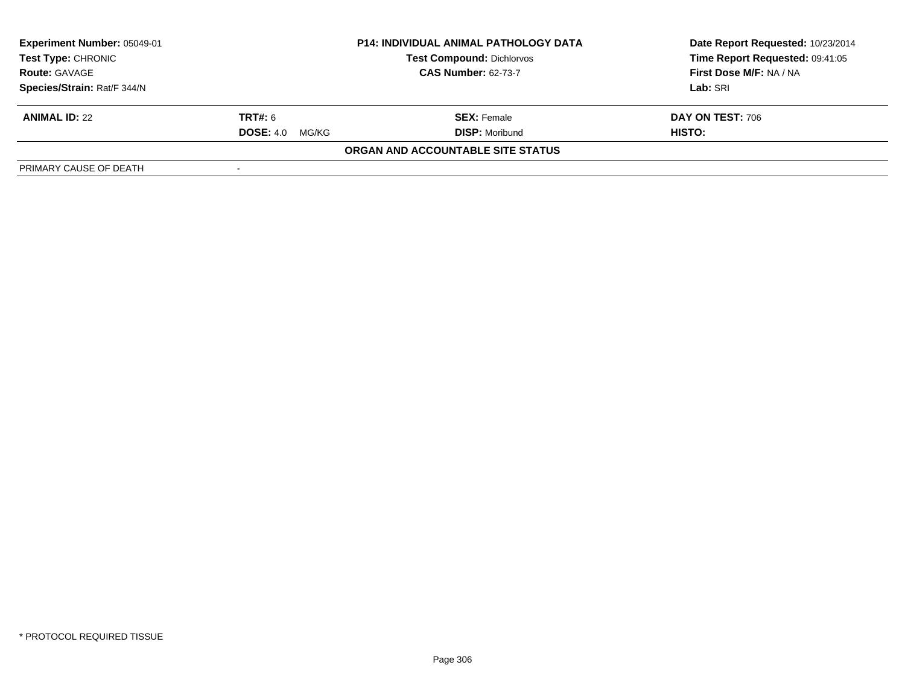| <b>Experiment Number: 05049-01</b><br><b>Test Type: CHRONIC</b> |                           | <b>P14: INDIVIDUAL ANIMAL PATHOLOGY DATA</b><br><b>Test Compound: Dichlorvos</b> | Date Report Requested: 10/23/2014<br>Time Report Requested: 09:41:05 |
|-----------------------------------------------------------------|---------------------------|----------------------------------------------------------------------------------|----------------------------------------------------------------------|
| <b>Route: GAVAGE</b>                                            |                           | <b>CAS Number: 62-73-7</b>                                                       | First Dose M/F: NA / NA                                              |
| Species/Strain: Rat/F 344/N                                     |                           |                                                                                  | Lab: SRI                                                             |
| <b>ANIMAL ID: 22</b>                                            | <b>TRT#: 6</b>            | <b>SEX:</b> Female                                                               | DAY ON TEST: 706                                                     |
|                                                                 | <b>DOSE: 4.0</b><br>MG/KG | <b>DISP:</b> Moribund                                                            | HISTO:                                                               |
|                                                                 |                           | ORGAN AND ACCOUNTABLE SITE STATUS                                                |                                                                      |
| PRIMARY CAUSE OF DEATH                                          |                           |                                                                                  |                                                                      |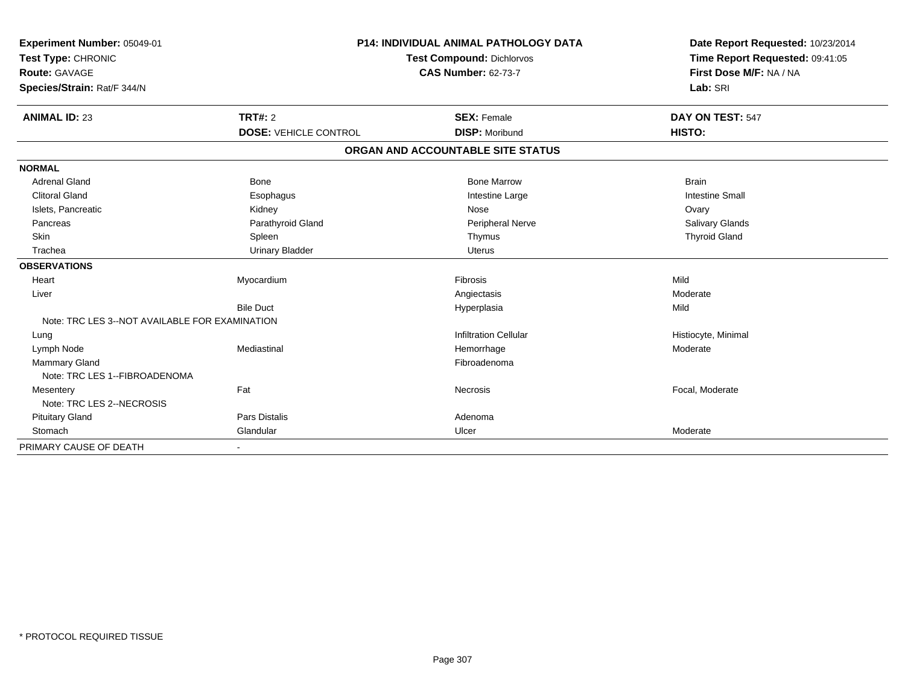| Experiment Number: 05049-01<br>Test Type: CHRONIC<br><b>Route: GAVAGE</b> |                              | <b>P14: INDIVIDUAL ANIMAL PATHOLOGY DATA</b><br><b>Test Compound: Dichlorvos</b><br><b>CAS Number: 62-73-7</b> | Date Report Requested: 10/23/2014<br>Time Report Requested: 09:41:05<br>First Dose M/F: NA / NA |
|---------------------------------------------------------------------------|------------------------------|----------------------------------------------------------------------------------------------------------------|-------------------------------------------------------------------------------------------------|
| Species/Strain: Rat/F 344/N                                               |                              |                                                                                                                | Lab: SRI                                                                                        |
| <b>ANIMAL ID: 23</b>                                                      | TRT#: 2                      | <b>SEX: Female</b>                                                                                             | DAY ON TEST: 547                                                                                |
|                                                                           | <b>DOSE: VEHICLE CONTROL</b> | <b>DISP: Moribund</b>                                                                                          | HISTO:                                                                                          |
|                                                                           |                              | ORGAN AND ACCOUNTABLE SITE STATUS                                                                              |                                                                                                 |
| <b>NORMAL</b>                                                             |                              |                                                                                                                |                                                                                                 |
| <b>Adrenal Gland</b>                                                      | <b>Bone</b>                  | <b>Bone Marrow</b>                                                                                             | <b>Brain</b>                                                                                    |
| <b>Clitoral Gland</b>                                                     | Esophagus                    | Intestine Large                                                                                                | <b>Intestine Small</b>                                                                          |
| Islets, Pancreatic                                                        | Kidney                       | Nose                                                                                                           | Ovary                                                                                           |
| Pancreas                                                                  | Parathyroid Gland            | Peripheral Nerve                                                                                               | <b>Salivary Glands</b>                                                                          |
| Skin                                                                      | Spleen                       | Thymus                                                                                                         | <b>Thyroid Gland</b>                                                                            |
| Trachea                                                                   | <b>Urinary Bladder</b>       | <b>Uterus</b>                                                                                                  |                                                                                                 |
| <b>OBSERVATIONS</b>                                                       |                              |                                                                                                                |                                                                                                 |
| Heart                                                                     | Myocardium                   | Fibrosis                                                                                                       | Mild                                                                                            |
| Liver                                                                     |                              | Angiectasis                                                                                                    | Moderate                                                                                        |
|                                                                           | <b>Bile Duct</b>             | Hyperplasia                                                                                                    | Mild                                                                                            |
| Note: TRC LES 3--NOT AVAILABLE FOR EXAMINATION                            |                              |                                                                                                                |                                                                                                 |
| Lung                                                                      |                              | <b>Infiltration Cellular</b>                                                                                   | Histiocyte, Minimal                                                                             |
| Lymph Node                                                                | Mediastinal                  | Hemorrhage                                                                                                     | Moderate                                                                                        |
| <b>Mammary Gland</b>                                                      |                              | Fibroadenoma                                                                                                   |                                                                                                 |
| Note: TRC LES 1--FIBROADENOMA                                             |                              |                                                                                                                |                                                                                                 |
| Mesentery                                                                 | Fat                          | Necrosis                                                                                                       | Focal, Moderate                                                                                 |
| Note: TRC LES 2--NECROSIS                                                 |                              |                                                                                                                |                                                                                                 |
| <b>Pituitary Gland</b>                                                    | <b>Pars Distalis</b>         | Adenoma                                                                                                        |                                                                                                 |
| Stomach                                                                   | Glandular                    | Ulcer                                                                                                          | Moderate                                                                                        |
| PRIMARY CAUSE OF DEATH                                                    |                              |                                                                                                                |                                                                                                 |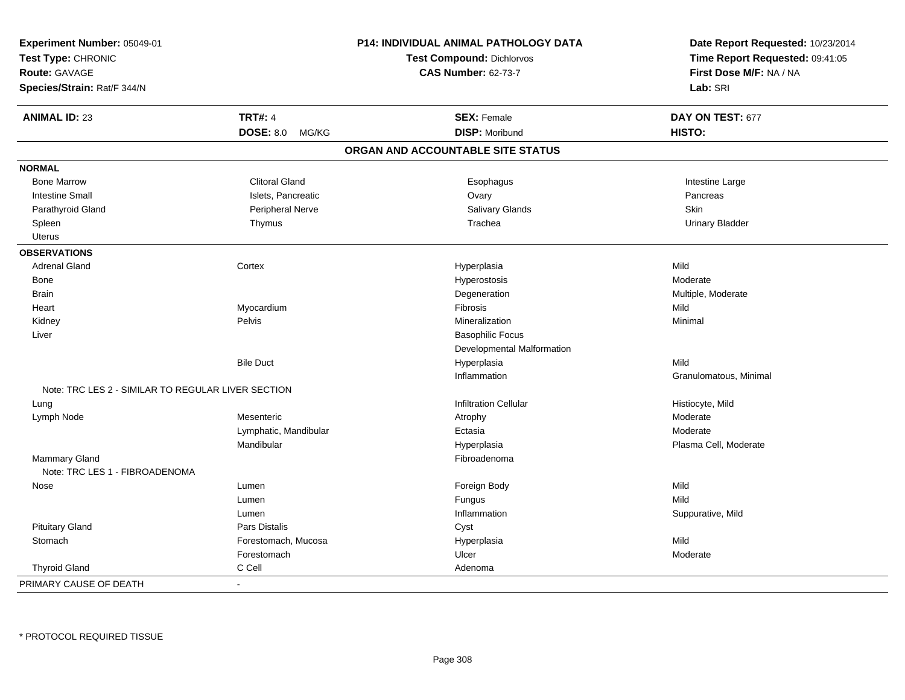| Experiment Number: 05049-01<br>Test Type: CHRONIC<br>Route: GAVAGE<br>Species/Strain: Rat/F 344/N |                       | P14: INDIVIDUAL ANIMAL PATHOLOGY DATA<br><b>Test Compound: Dichlorvos</b><br><b>CAS Number: 62-73-7</b> | Date Report Requested: 10/23/2014<br>Time Report Requested: 09:41:05<br>First Dose M/F: NA / NA<br>Lab: SRI |
|---------------------------------------------------------------------------------------------------|-----------------------|---------------------------------------------------------------------------------------------------------|-------------------------------------------------------------------------------------------------------------|
| <b>ANIMAL ID: 23</b>                                                                              | <b>TRT#: 4</b>        | <b>SEX: Female</b>                                                                                      | DAY ON TEST: 677                                                                                            |
|                                                                                                   | DOSE: 8.0 MG/KG       | <b>DISP: Moribund</b>                                                                                   | HISTO:                                                                                                      |
|                                                                                                   |                       | ORGAN AND ACCOUNTABLE SITE STATUS                                                                       |                                                                                                             |
| <b>NORMAL</b>                                                                                     |                       |                                                                                                         |                                                                                                             |
| <b>Bone Marrow</b>                                                                                | <b>Clitoral Gland</b> | Esophagus                                                                                               | Intestine Large                                                                                             |
| <b>Intestine Small</b>                                                                            | Islets, Pancreatic    | Ovary                                                                                                   | Pancreas                                                                                                    |
| Parathyroid Gland                                                                                 | Peripheral Nerve      | Salivary Glands                                                                                         | <b>Skin</b>                                                                                                 |
| Spleen                                                                                            | Thymus                | Trachea                                                                                                 | <b>Urinary Bladder</b>                                                                                      |
| Uterus                                                                                            |                       |                                                                                                         |                                                                                                             |
| <b>OBSERVATIONS</b>                                                                               |                       |                                                                                                         |                                                                                                             |
| <b>Adrenal Gland</b>                                                                              | Cortex                | Hyperplasia                                                                                             | Mild                                                                                                        |
| Bone                                                                                              |                       | Hyperostosis                                                                                            | Moderate                                                                                                    |
| <b>Brain</b>                                                                                      |                       | Degeneration                                                                                            | Multiple, Moderate                                                                                          |
| Heart                                                                                             | Myocardium            | Fibrosis                                                                                                | Mild                                                                                                        |
| Kidney                                                                                            | Pelvis                | Mineralization                                                                                          | Minimal                                                                                                     |
| Liver                                                                                             |                       | <b>Basophilic Focus</b>                                                                                 |                                                                                                             |
|                                                                                                   |                       | Developmental Malformation                                                                              |                                                                                                             |
|                                                                                                   | <b>Bile Duct</b>      | Hyperplasia                                                                                             | Mild                                                                                                        |
|                                                                                                   |                       | Inflammation                                                                                            | Granulomatous, Minimal                                                                                      |
| Note: TRC LES 2 - SIMILAR TO REGULAR LIVER SECTION                                                |                       |                                                                                                         |                                                                                                             |
| Lung                                                                                              |                       | <b>Infiltration Cellular</b>                                                                            | Histiocyte, Mild                                                                                            |
| Lymph Node                                                                                        | Mesenteric            | Atrophy                                                                                                 | Moderate                                                                                                    |
|                                                                                                   | Lymphatic, Mandibular | Ectasia                                                                                                 | Moderate                                                                                                    |
|                                                                                                   | Mandibular            | Hyperplasia                                                                                             | Plasma Cell, Moderate                                                                                       |
| <b>Mammary Gland</b><br>Note: TRC LES 1 - FIBROADENOMA                                            |                       | Fibroadenoma                                                                                            |                                                                                                             |
| Nose                                                                                              | Lumen                 | Foreign Body                                                                                            | Mild                                                                                                        |
|                                                                                                   | Lumen                 | Fungus                                                                                                  | Mild                                                                                                        |
|                                                                                                   | Lumen                 | Inflammation                                                                                            | Suppurative, Mild                                                                                           |
| <b>Pituitary Gland</b>                                                                            | Pars Distalis         | Cyst                                                                                                    |                                                                                                             |
| Stomach                                                                                           | Forestomach, Mucosa   | Hyperplasia                                                                                             | Mild                                                                                                        |
|                                                                                                   | Forestomach           | Ulcer                                                                                                   | Moderate                                                                                                    |
| <b>Thyroid Gland</b>                                                                              | C Cell                | Adenoma                                                                                                 |                                                                                                             |
| PRIMARY CAUSE OF DEATH                                                                            | ÷,                    |                                                                                                         |                                                                                                             |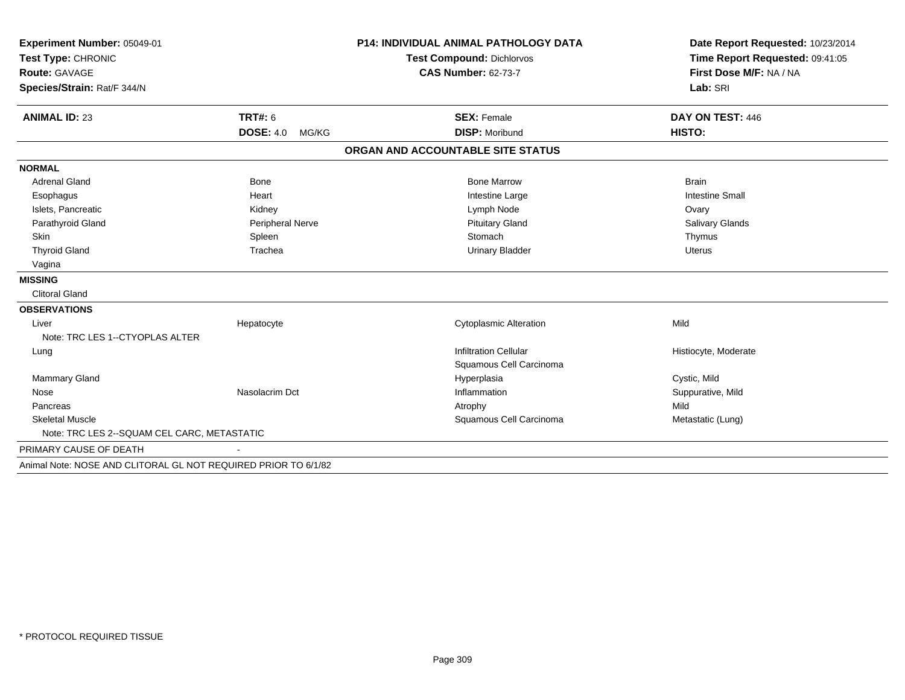| Experiment Number: 05049-01<br>Test Type: CHRONIC              |                           | <b>P14: INDIVIDUAL ANIMAL PATHOLOGY DATA</b> | Date Report Requested: 10/23/2014<br>Time Report Requested: 09:41:05 |
|----------------------------------------------------------------|---------------------------|----------------------------------------------|----------------------------------------------------------------------|
|                                                                |                           | <b>Test Compound: Dichlorvos</b>             |                                                                      |
| <b>Route: GAVAGE</b>                                           |                           | <b>CAS Number: 62-73-7</b>                   | First Dose M/F: NA / NA<br>Lab: SRI                                  |
| Species/Strain: Rat/F 344/N                                    |                           |                                              |                                                                      |
| <b>ANIMAL ID: 23</b>                                           | <b>TRT#: 6</b>            | <b>SEX: Female</b>                           | DAY ON TEST: 446                                                     |
|                                                                | <b>DOSE: 4.0</b><br>MG/KG | <b>DISP: Moribund</b>                        | HISTO:                                                               |
|                                                                |                           | ORGAN AND ACCOUNTABLE SITE STATUS            |                                                                      |
| <b>NORMAL</b>                                                  |                           |                                              |                                                                      |
| <b>Adrenal Gland</b>                                           | <b>Bone</b>               | <b>Bone Marrow</b>                           | <b>Brain</b>                                                         |
| Esophagus                                                      | Heart                     | Intestine Large                              | <b>Intestine Small</b>                                               |
| Islets, Pancreatic                                             | Kidney                    | Lymph Node                                   | Ovary                                                                |
| Parathyroid Gland                                              | Peripheral Nerve          | <b>Pituitary Gland</b>                       | Salivary Glands                                                      |
| Skin                                                           | Spleen                    | Stomach                                      | Thymus                                                               |
| <b>Thyroid Gland</b>                                           | Trachea                   | <b>Urinary Bladder</b>                       | <b>Uterus</b>                                                        |
| Vagina                                                         |                           |                                              |                                                                      |
| <b>MISSING</b>                                                 |                           |                                              |                                                                      |
| <b>Clitoral Gland</b>                                          |                           |                                              |                                                                      |
| <b>OBSERVATIONS</b>                                            |                           |                                              |                                                                      |
| Liver                                                          | Hepatocyte                | <b>Cytoplasmic Alteration</b>                | Mild                                                                 |
| Note: TRC LES 1--CTYOPLAS ALTER                                |                           |                                              |                                                                      |
| Lung                                                           |                           | <b>Infiltration Cellular</b>                 | Histiocyte, Moderate                                                 |
|                                                                |                           | Squamous Cell Carcinoma                      |                                                                      |
| <b>Mammary Gland</b>                                           |                           | Hyperplasia                                  | Cystic, Mild                                                         |
| Nose                                                           | Nasolacrim Dct            | Inflammation                                 | Suppurative, Mild                                                    |
| Pancreas                                                       |                           | Atrophy                                      | Mild                                                                 |
| <b>Skeletal Muscle</b>                                         |                           | Squamous Cell Carcinoma                      | Metastatic (Lung)                                                    |
| Note: TRC LES 2--SQUAM CEL CARC, METASTATIC                    |                           |                                              |                                                                      |
| PRIMARY CAUSE OF DEATH                                         |                           |                                              |                                                                      |
| Animal Note: NOSE AND CLITORAL GL NOT REQUIRED PRIOR TO 6/1/82 |                           |                                              |                                                                      |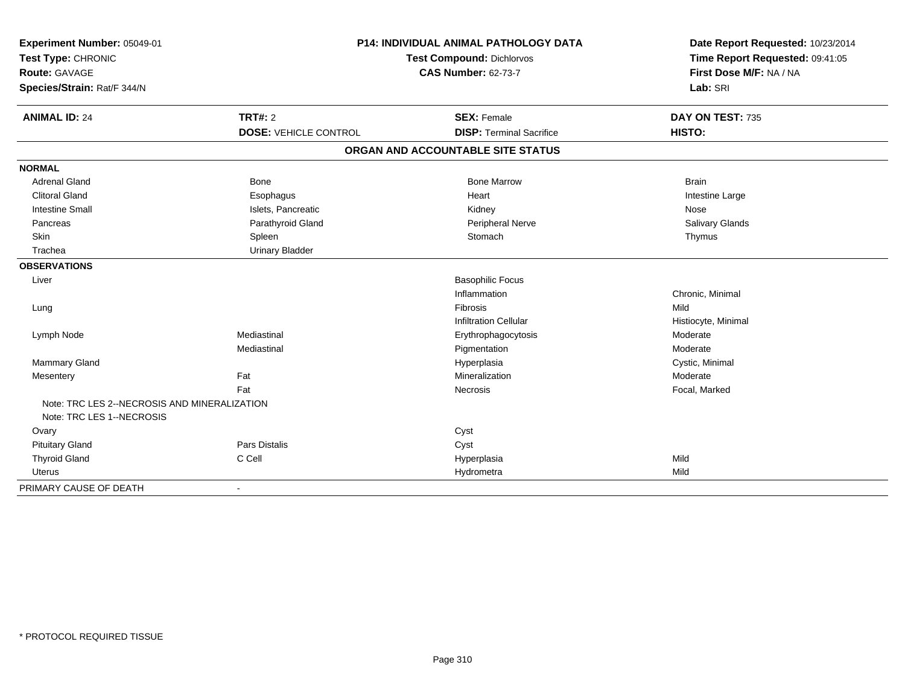| Experiment Number: 05049-01<br>Test Type: CHRONIC<br><b>Route: GAVAGE</b><br>Species/Strain: Rat/F 344/N |                              | <b>P14: INDIVIDUAL ANIMAL PATHOLOGY DATA</b><br>Test Compound: Dichlorvos<br><b>CAS Number: 62-73-7</b> | Date Report Requested: 10/23/2014<br>Time Report Requested: 09:41:05<br>First Dose M/F: NA / NA<br>Lab: SRI |
|----------------------------------------------------------------------------------------------------------|------------------------------|---------------------------------------------------------------------------------------------------------|-------------------------------------------------------------------------------------------------------------|
| <b>ANIMAL ID: 24</b>                                                                                     | <b>TRT#: 2</b>               | <b>SEX: Female</b>                                                                                      | DAY ON TEST: 735                                                                                            |
|                                                                                                          | <b>DOSE: VEHICLE CONTROL</b> | <b>DISP: Terminal Sacrifice</b>                                                                         | HISTO:                                                                                                      |
|                                                                                                          |                              | ORGAN AND ACCOUNTABLE SITE STATUS                                                                       |                                                                                                             |
| <b>NORMAL</b>                                                                                            |                              |                                                                                                         |                                                                                                             |
| <b>Adrenal Gland</b>                                                                                     | <b>Bone</b>                  | <b>Bone Marrow</b>                                                                                      | <b>Brain</b>                                                                                                |
| <b>Clitoral Gland</b>                                                                                    | Esophagus                    | Heart                                                                                                   | Intestine Large                                                                                             |
| <b>Intestine Small</b>                                                                                   | Islets, Pancreatic           | Kidney                                                                                                  | Nose                                                                                                        |
| Pancreas                                                                                                 | Parathyroid Gland            | Peripheral Nerve                                                                                        | Salivary Glands                                                                                             |
| Skin                                                                                                     | Spleen                       | Stomach                                                                                                 | Thymus                                                                                                      |
| Trachea                                                                                                  | <b>Urinary Bladder</b>       |                                                                                                         |                                                                                                             |
| <b>OBSERVATIONS</b>                                                                                      |                              |                                                                                                         |                                                                                                             |
| Liver                                                                                                    |                              | <b>Basophilic Focus</b>                                                                                 |                                                                                                             |
|                                                                                                          |                              | Inflammation                                                                                            | Chronic, Minimal                                                                                            |
| Lung                                                                                                     |                              | Fibrosis                                                                                                | Mild                                                                                                        |
|                                                                                                          |                              | <b>Infiltration Cellular</b>                                                                            | Histiocyte, Minimal                                                                                         |
| Lymph Node                                                                                               | Mediastinal                  | Erythrophagocytosis                                                                                     | Moderate                                                                                                    |
|                                                                                                          | Mediastinal                  | Pigmentation                                                                                            | Moderate                                                                                                    |
| <b>Mammary Gland</b>                                                                                     |                              | Hyperplasia                                                                                             | Cystic, Minimal                                                                                             |
| Mesentery                                                                                                | Fat                          | Mineralization                                                                                          | Moderate                                                                                                    |
|                                                                                                          | Fat                          | Necrosis                                                                                                | Focal, Marked                                                                                               |
| Note: TRC LES 2--NECROSIS AND MINERALIZATION                                                             |                              |                                                                                                         |                                                                                                             |
| Note: TRC LES 1--NECROSIS                                                                                |                              |                                                                                                         |                                                                                                             |
| Ovary                                                                                                    |                              | Cyst                                                                                                    |                                                                                                             |
| <b>Pituitary Gland</b>                                                                                   | Pars Distalis<br>C Cell      | Cyst                                                                                                    | Mild                                                                                                        |
| <b>Thyroid Gland</b><br><b>Uterus</b>                                                                    |                              | Hyperplasia                                                                                             | Mild                                                                                                        |
|                                                                                                          |                              | Hydrometra                                                                                              |                                                                                                             |
| PRIMARY CAUSE OF DEATH                                                                                   |                              |                                                                                                         |                                                                                                             |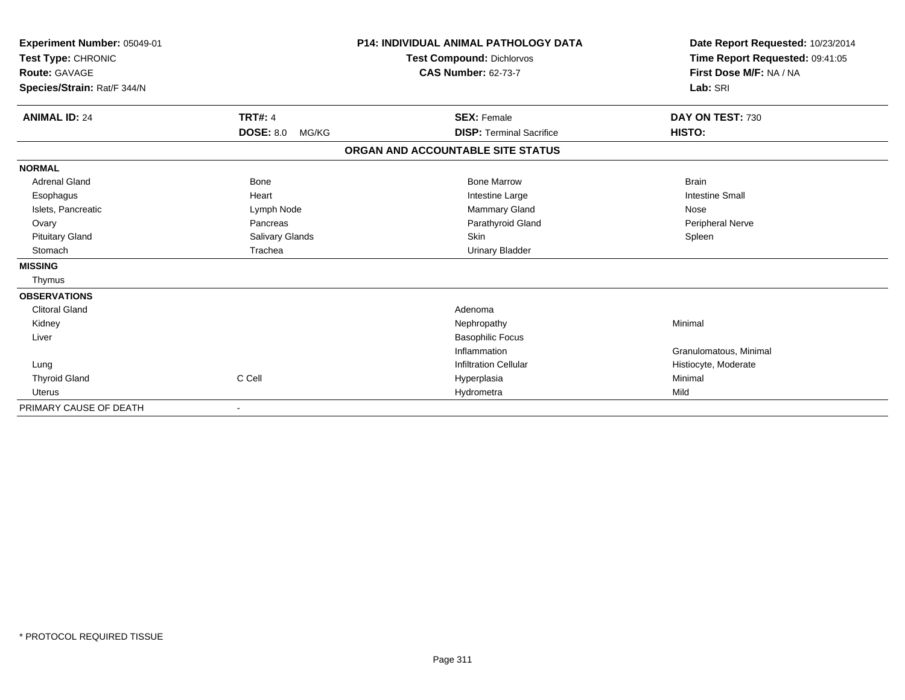| Experiment Number: 05049-01<br>Test Type: CHRONIC<br>Route: GAVAGE |                           | <b>P14: INDIVIDUAL ANIMAL PATHOLOGY DATA</b><br>Test Compound: Dichlorvos<br><b>CAS Number: 62-73-7</b> | Date Report Requested: 10/23/2014<br>Time Report Requested: 09:41:05<br>First Dose M/F: NA / NA |
|--------------------------------------------------------------------|---------------------------|---------------------------------------------------------------------------------------------------------|-------------------------------------------------------------------------------------------------|
| Species/Strain: Rat/F 344/N                                        |                           |                                                                                                         | Lab: SRI                                                                                        |
| <b>ANIMAL ID: 24</b>                                               | <b>TRT#: 4</b>            | <b>SEX: Female</b>                                                                                      | DAY ON TEST: 730                                                                                |
|                                                                    | <b>DOSE: 8.0</b><br>MG/KG | <b>DISP: Terminal Sacrifice</b>                                                                         | HISTO:                                                                                          |
|                                                                    |                           | ORGAN AND ACCOUNTABLE SITE STATUS                                                                       |                                                                                                 |
| <b>NORMAL</b>                                                      |                           |                                                                                                         |                                                                                                 |
| <b>Adrenal Gland</b>                                               | <b>Bone</b>               | <b>Bone Marrow</b>                                                                                      | <b>Brain</b>                                                                                    |
| Esophagus                                                          | Heart                     | Intestine Large                                                                                         | <b>Intestine Small</b>                                                                          |
| Islets, Pancreatic                                                 | Lymph Node                | Mammary Gland                                                                                           | Nose                                                                                            |
| Ovary                                                              | Pancreas                  | Parathyroid Gland                                                                                       | <b>Peripheral Nerve</b>                                                                         |
| <b>Pituitary Gland</b>                                             | Salivary Glands           | Skin                                                                                                    | Spleen                                                                                          |
| Stomach                                                            | Trachea                   | <b>Urinary Bladder</b>                                                                                  |                                                                                                 |
| <b>MISSING</b>                                                     |                           |                                                                                                         |                                                                                                 |
| Thymus                                                             |                           |                                                                                                         |                                                                                                 |
| <b>OBSERVATIONS</b>                                                |                           |                                                                                                         |                                                                                                 |
| <b>Clitoral Gland</b>                                              |                           | Adenoma                                                                                                 |                                                                                                 |
| Kidney                                                             |                           | Nephropathy                                                                                             | Minimal                                                                                         |
| Liver                                                              |                           | <b>Basophilic Focus</b>                                                                                 |                                                                                                 |
|                                                                    |                           | Inflammation                                                                                            | Granulomatous, Minimal                                                                          |
| Lung                                                               |                           | <b>Infiltration Cellular</b>                                                                            | Histiocyte, Moderate                                                                            |
| <b>Thyroid Gland</b>                                               | C Cell                    | Hyperplasia                                                                                             | Minimal                                                                                         |
| <b>Uterus</b>                                                      |                           | Hydrometra                                                                                              | Mild                                                                                            |
| PRIMARY CAUSE OF DEATH                                             |                           |                                                                                                         |                                                                                                 |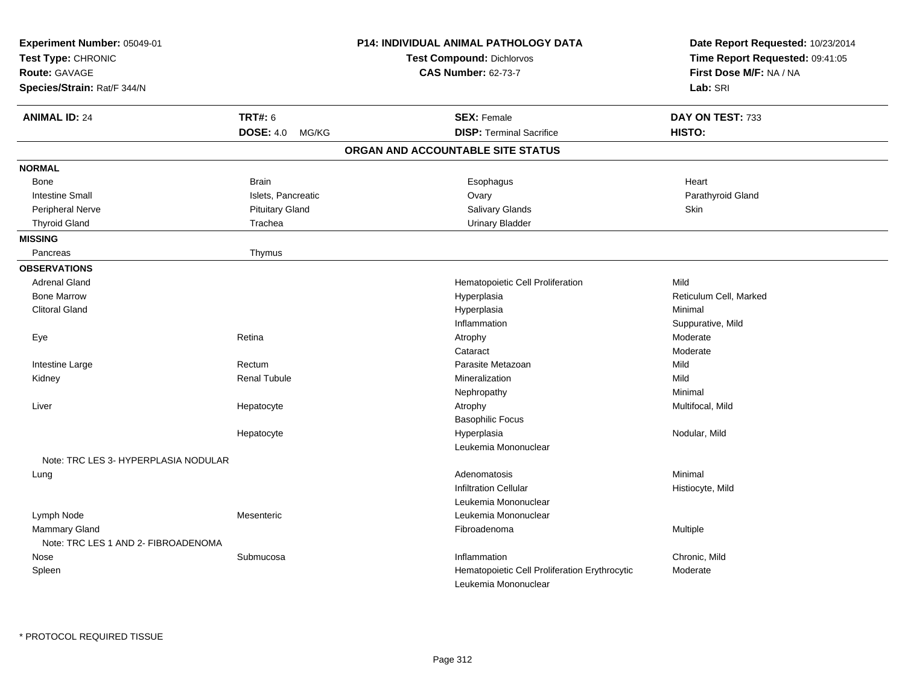| Experiment Number: 05049-01<br>Test Type: CHRONIC<br>Route: GAVAGE<br>Species/Strain: Rat/F 344/N |                           | P14: INDIVIDUAL ANIMAL PATHOLOGY DATA<br><b>Test Compound: Dichlorvos</b><br><b>CAS Number: 62-73-7</b> | Date Report Requested: 10/23/2014<br>Time Report Requested: 09:41:05<br>First Dose M/F: NA / NA<br>Lab: SRI |
|---------------------------------------------------------------------------------------------------|---------------------------|---------------------------------------------------------------------------------------------------------|-------------------------------------------------------------------------------------------------------------|
| <b>ANIMAL ID: 24</b>                                                                              | <b>TRT#: 6</b>            | <b>SEX: Female</b>                                                                                      | DAY ON TEST: 733                                                                                            |
|                                                                                                   | <b>DOSE: 4.0</b><br>MG/KG | <b>DISP: Terminal Sacrifice</b>                                                                         | HISTO:                                                                                                      |
|                                                                                                   |                           | ORGAN AND ACCOUNTABLE SITE STATUS                                                                       |                                                                                                             |
| <b>NORMAL</b>                                                                                     |                           |                                                                                                         |                                                                                                             |
| Bone                                                                                              | <b>Brain</b>              | Esophagus                                                                                               | Heart                                                                                                       |
| <b>Intestine Small</b>                                                                            | Islets, Pancreatic        | Ovary                                                                                                   | Parathyroid Gland                                                                                           |
| Peripheral Nerve                                                                                  | <b>Pituitary Gland</b>    | Salivary Glands                                                                                         | Skin                                                                                                        |
| <b>Thyroid Gland</b>                                                                              | Trachea                   | <b>Urinary Bladder</b>                                                                                  |                                                                                                             |
| <b>MISSING</b>                                                                                    |                           |                                                                                                         |                                                                                                             |
| Pancreas                                                                                          | Thymus                    |                                                                                                         |                                                                                                             |
| <b>OBSERVATIONS</b>                                                                               |                           |                                                                                                         |                                                                                                             |
| <b>Adrenal Gland</b>                                                                              |                           | Hematopoietic Cell Proliferation                                                                        | Mild                                                                                                        |
| <b>Bone Marrow</b>                                                                                |                           | Hyperplasia                                                                                             | Reticulum Cell, Marked                                                                                      |
| <b>Clitoral Gland</b>                                                                             |                           | Hyperplasia                                                                                             | Minimal                                                                                                     |
|                                                                                                   |                           | Inflammation                                                                                            | Suppurative, Mild                                                                                           |
| Eye                                                                                               | Retina                    | Atrophy                                                                                                 | Moderate                                                                                                    |
|                                                                                                   |                           | Cataract                                                                                                | Moderate                                                                                                    |
| Intestine Large                                                                                   | Rectum                    | Parasite Metazoan                                                                                       | Mild                                                                                                        |
| Kidney                                                                                            | <b>Renal Tubule</b>       | Mineralization                                                                                          | Mild                                                                                                        |
|                                                                                                   |                           | Nephropathy                                                                                             | Minimal                                                                                                     |
| Liver                                                                                             | Hepatocyte                | Atrophy                                                                                                 | Multifocal, Mild                                                                                            |
|                                                                                                   |                           | <b>Basophilic Focus</b>                                                                                 |                                                                                                             |
|                                                                                                   | Hepatocyte                | Hyperplasia                                                                                             | Nodular, Mild                                                                                               |
|                                                                                                   |                           | Leukemia Mononuclear                                                                                    |                                                                                                             |
| Note: TRC LES 3- HYPERPLASIA NODULAR                                                              |                           |                                                                                                         |                                                                                                             |
| Lung                                                                                              |                           | Adenomatosis                                                                                            | Minimal                                                                                                     |
|                                                                                                   |                           | <b>Infiltration Cellular</b>                                                                            | Histiocyte, Mild                                                                                            |
|                                                                                                   |                           | Leukemia Mononuclear                                                                                    |                                                                                                             |
| Lymph Node                                                                                        | Mesenteric                | Leukemia Mononuclear                                                                                    |                                                                                                             |
| <b>Mammary Gland</b>                                                                              |                           | Fibroadenoma                                                                                            | Multiple                                                                                                    |
| Note: TRC LES 1 AND 2- FIBROADENOMA                                                               |                           |                                                                                                         |                                                                                                             |
| Nose                                                                                              | Submucosa                 | Inflammation                                                                                            | Chronic, Mild                                                                                               |
| Spleen                                                                                            |                           | Hematopoietic Cell Proliferation Erythrocytic                                                           | Moderate                                                                                                    |
|                                                                                                   |                           | Leukemia Mononuclear                                                                                    |                                                                                                             |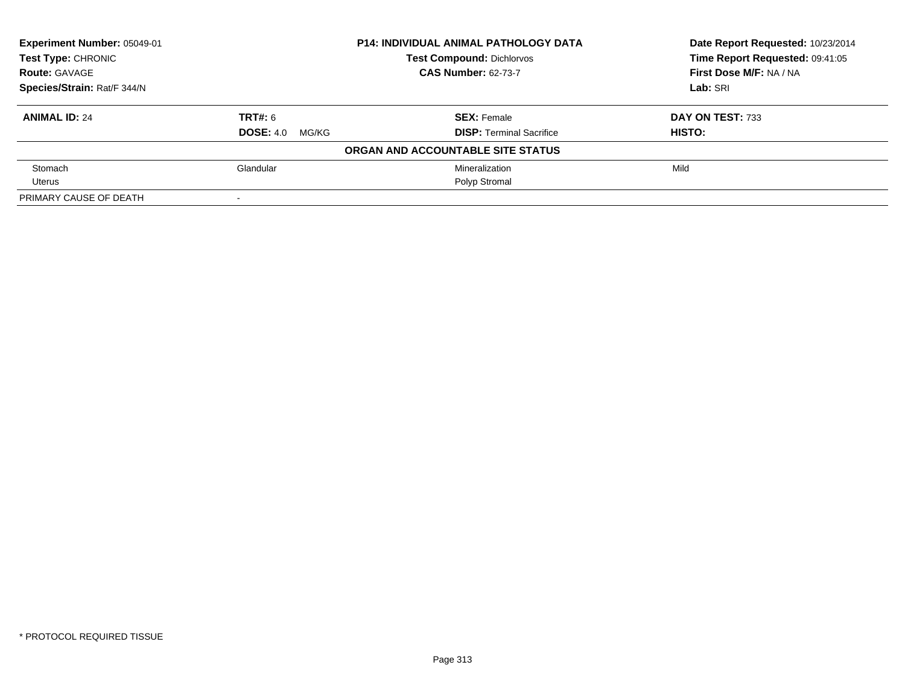| Experiment Number: 05049-01 |                           | <b>P14: INDIVIDUAL ANIMAL PATHOLOGY DATA</b> | Date Report Requested: 10/23/2014 |
|-----------------------------|---------------------------|----------------------------------------------|-----------------------------------|
| Test Type: CHRONIC          |                           | <b>Test Compound: Dichlorvos</b>             | Time Report Requested: 09:41:05   |
| <b>Route: GAVAGE</b>        |                           | <b>CAS Number: 62-73-7</b>                   | First Dose M/F: NA / NA           |
| Species/Strain: Rat/F 344/N |                           |                                              | Lab: SRI                          |
| <b>ANIMAL ID: 24</b>        | TRT#: 6                   | <b>SEX: Female</b>                           | DAY ON TEST: 733                  |
|                             | <b>DOSE: 4.0</b><br>MG/KG | <b>DISP: Terminal Sacrifice</b>              | <b>HISTO:</b>                     |
|                             |                           | ORGAN AND ACCOUNTABLE SITE STATUS            |                                   |
| Stomach                     | Glandular                 | Mineralization                               | Mild                              |
| Uterus                      |                           | Polyp Stromal                                |                                   |
| PRIMARY CAUSE OF DEATH      | $\blacksquare$            |                                              |                                   |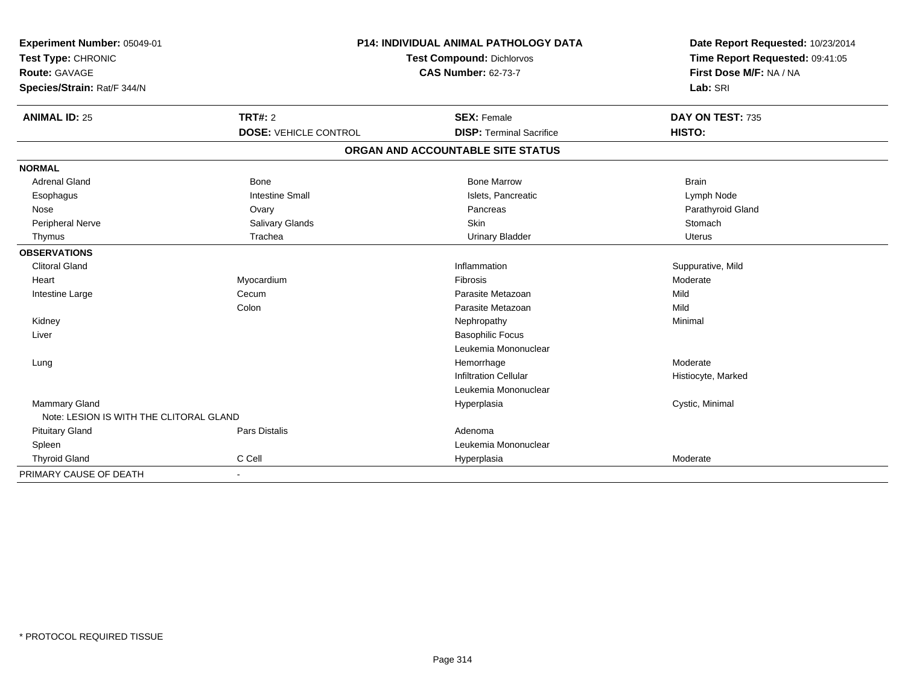| Experiment Number: 05049-01             | P14: INDIVIDUAL ANIMAL PATHOLOGY DATA |                                   | Date Report Requested: 10/23/2014 |
|-----------------------------------------|---------------------------------------|-----------------------------------|-----------------------------------|
| Test Type: CHRONIC                      |                                       | Test Compound: Dichlorvos         | Time Report Requested: 09:41:05   |
| Route: GAVAGE                           |                                       | <b>CAS Number: 62-73-7</b>        | First Dose M/F: NA / NA           |
| Species/Strain: Rat/F 344/N             |                                       |                                   | Lab: SRI                          |
| <b>ANIMAL ID: 25</b>                    | TRT#: 2                               | <b>SEX: Female</b>                | DAY ON TEST: 735                  |
|                                         | <b>DOSE: VEHICLE CONTROL</b>          | <b>DISP: Terminal Sacrifice</b>   | HISTO:                            |
|                                         |                                       | ORGAN AND ACCOUNTABLE SITE STATUS |                                   |
| <b>NORMAL</b>                           |                                       |                                   |                                   |
| <b>Adrenal Gland</b>                    | Bone                                  | <b>Bone Marrow</b>                | <b>Brain</b>                      |
| Esophagus                               | <b>Intestine Small</b>                | Islets, Pancreatic                | Lymph Node                        |
| Nose                                    | Ovary                                 | Pancreas                          | Parathyroid Gland                 |
| Peripheral Nerve                        | Salivary Glands                       | Skin                              | Stomach                           |
| Thymus                                  | Trachea                               | <b>Urinary Bladder</b>            | <b>Uterus</b>                     |
| <b>OBSERVATIONS</b>                     |                                       |                                   |                                   |
| <b>Clitoral Gland</b>                   |                                       | Inflammation                      | Suppurative, Mild                 |
| Heart                                   | Myocardium                            | Fibrosis                          | Moderate                          |
| Intestine Large                         | Cecum                                 | Parasite Metazoan                 | Mild                              |
|                                         | Colon                                 | Parasite Metazoan                 | Mild                              |
| Kidney                                  |                                       | Nephropathy                       | Minimal                           |
| Liver                                   |                                       | <b>Basophilic Focus</b>           |                                   |
|                                         |                                       | Leukemia Mononuclear              |                                   |
| Lung                                    |                                       | Hemorrhage                        | Moderate                          |
|                                         |                                       | <b>Infiltration Cellular</b>      | Histiocyte, Marked                |
|                                         |                                       | Leukemia Mononuclear              |                                   |
| <b>Mammary Gland</b>                    |                                       | Hyperplasia                       | Cystic, Minimal                   |
| Note: LESION IS WITH THE CLITORAL GLAND |                                       |                                   |                                   |
| <b>Pituitary Gland</b>                  | <b>Pars Distalis</b>                  | Adenoma                           |                                   |
| Spleen                                  |                                       | Leukemia Mononuclear              |                                   |
| <b>Thyroid Gland</b>                    | C Cell                                | Hyperplasia                       | Moderate                          |
| PRIMARY CAUSE OF DEATH                  |                                       |                                   |                                   |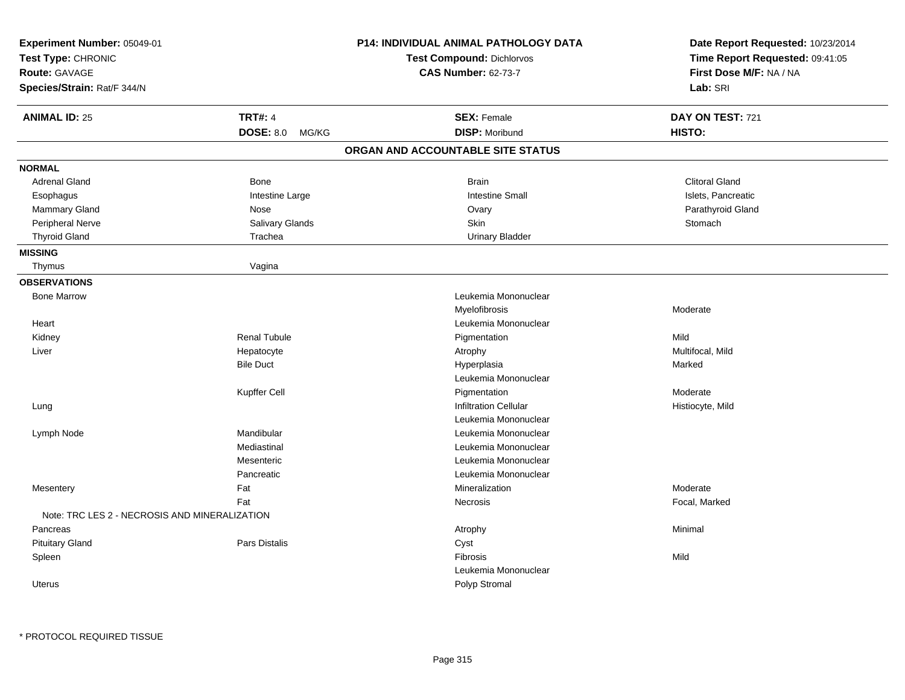| Experiment Number: 05049-01<br>Test Type: CHRONIC<br><b>Route: GAVAGE</b><br>Species/Strain: Rat/F 344/N |                     | <b>P14: INDIVIDUAL ANIMAL PATHOLOGY DATA</b><br><b>Test Compound: Dichlorvos</b><br><b>CAS Number: 62-73-7</b> | Date Report Requested: 10/23/2014<br>Time Report Requested: 09:41:05<br>First Dose M/F: NA / NA<br>Lab: SRI |
|----------------------------------------------------------------------------------------------------------|---------------------|----------------------------------------------------------------------------------------------------------------|-------------------------------------------------------------------------------------------------------------|
| <b>ANIMAL ID: 25</b>                                                                                     | <b>TRT#: 4</b>      | <b>SEX: Female</b>                                                                                             | DAY ON TEST: 721                                                                                            |
|                                                                                                          | DOSE: 8.0 MG/KG     | <b>DISP: Moribund</b>                                                                                          | HISTO:                                                                                                      |
|                                                                                                          |                     | ORGAN AND ACCOUNTABLE SITE STATUS                                                                              |                                                                                                             |
| <b>NORMAL</b>                                                                                            |                     |                                                                                                                |                                                                                                             |
| <b>Adrenal Gland</b>                                                                                     | Bone                | <b>Brain</b>                                                                                                   | <b>Clitoral Gland</b>                                                                                       |
| Esophagus                                                                                                | Intestine Large     | <b>Intestine Small</b>                                                                                         | Islets, Pancreatic                                                                                          |
| <b>Mammary Gland</b>                                                                                     | Nose                | Ovary                                                                                                          | Parathyroid Gland                                                                                           |
| Peripheral Nerve                                                                                         | Salivary Glands     | Skin                                                                                                           | Stomach                                                                                                     |
| <b>Thyroid Gland</b>                                                                                     | Trachea             | <b>Urinary Bladder</b>                                                                                         |                                                                                                             |
| <b>MISSING</b>                                                                                           |                     |                                                                                                                |                                                                                                             |
| Thymus                                                                                                   | Vagina              |                                                                                                                |                                                                                                             |
| <b>OBSERVATIONS</b>                                                                                      |                     |                                                                                                                |                                                                                                             |
| <b>Bone Marrow</b>                                                                                       |                     | Leukemia Mononuclear                                                                                           |                                                                                                             |
|                                                                                                          |                     | Myelofibrosis                                                                                                  | Moderate                                                                                                    |
| Heart                                                                                                    |                     | Leukemia Mononuclear                                                                                           |                                                                                                             |
| Kidney                                                                                                   | <b>Renal Tubule</b> | Pigmentation                                                                                                   | Mild                                                                                                        |
| Liver                                                                                                    | Hepatocyte          | Atrophy                                                                                                        | Multifocal, Mild                                                                                            |
|                                                                                                          | <b>Bile Duct</b>    | Hyperplasia                                                                                                    | Marked                                                                                                      |
|                                                                                                          |                     | Leukemia Mononuclear                                                                                           |                                                                                                             |
|                                                                                                          | Kupffer Cell        | Pigmentation                                                                                                   | Moderate                                                                                                    |
| Lung                                                                                                     |                     | <b>Infiltration Cellular</b>                                                                                   | Histiocyte, Mild                                                                                            |
|                                                                                                          |                     | Leukemia Mononuclear                                                                                           |                                                                                                             |
| Lymph Node                                                                                               | Mandibular          | Leukemia Mononuclear                                                                                           |                                                                                                             |
|                                                                                                          | Mediastinal         | Leukemia Mononuclear                                                                                           |                                                                                                             |
|                                                                                                          | Mesenteric          | Leukemia Mononuclear                                                                                           |                                                                                                             |
|                                                                                                          | Pancreatic          | Leukemia Mononuclear                                                                                           |                                                                                                             |
| Mesentery                                                                                                | Fat                 | Mineralization                                                                                                 | Moderate                                                                                                    |
|                                                                                                          | Fat                 | Necrosis                                                                                                       | Focal, Marked                                                                                               |
| Note: TRC LES 2 - NECROSIS AND MINERALIZATION                                                            |                     |                                                                                                                |                                                                                                             |
| Pancreas                                                                                                 |                     | Atrophy                                                                                                        | Minimal                                                                                                     |
| <b>Pituitary Gland</b>                                                                                   | Pars Distalis       | Cyst                                                                                                           |                                                                                                             |
| Spleen                                                                                                   |                     | Fibrosis                                                                                                       | Mild                                                                                                        |
|                                                                                                          |                     | Leukemia Mononuclear                                                                                           |                                                                                                             |
| Uterus                                                                                                   |                     | Polyp Stromal                                                                                                  |                                                                                                             |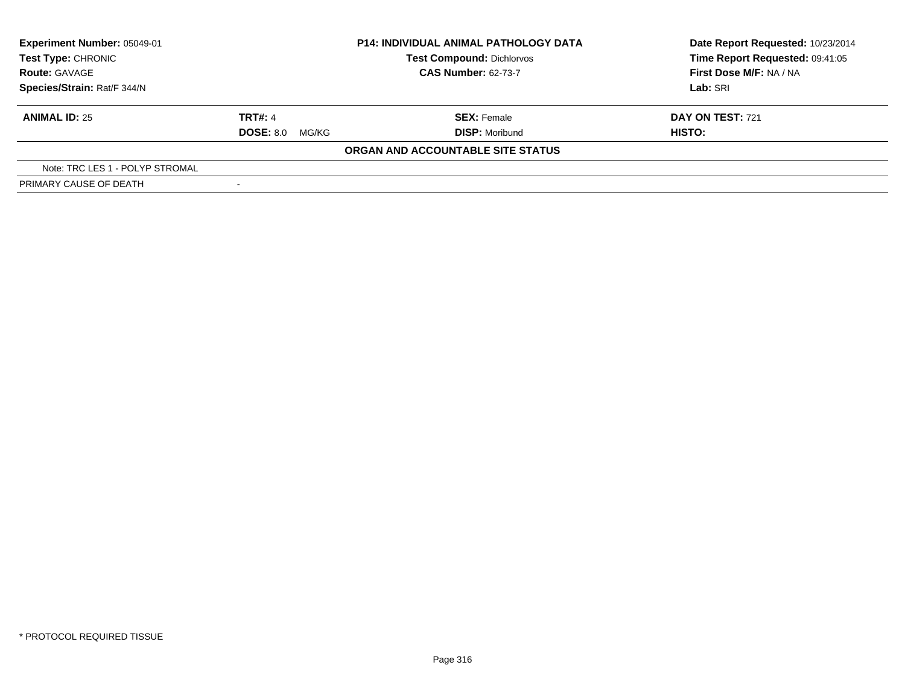| Experiment Number: 05049-01<br><b>Test Type: CHRONIC</b><br><b>Route: GAVAGE</b> |                           | <b>P14: INDIVIDUAL ANIMAL PATHOLOGY DATA</b><br><b>Test Compound: Dichlorvos</b><br><b>CAS Number: 62-73-7</b> | Date Report Requested: 10/23/2014<br>Time Report Requested: 09:41:05<br>First Dose M/F: NA / NA |
|----------------------------------------------------------------------------------|---------------------------|----------------------------------------------------------------------------------------------------------------|-------------------------------------------------------------------------------------------------|
| Species/Strain: Rat/F 344/N                                                      |                           |                                                                                                                | Lab: SRI                                                                                        |
| <b>ANIMAL ID: 25</b>                                                             | <b>TRT#: 4</b>            | <b>SEX: Female</b>                                                                                             | <b>DAY ON TEST: 721</b>                                                                         |
|                                                                                  | <b>DOSE: 8.0</b><br>MG/KG | <b>DISP: Moribund</b>                                                                                          | HISTO:                                                                                          |
|                                                                                  |                           | ORGAN AND ACCOUNTABLE SITE STATUS                                                                              |                                                                                                 |
| Note: TRC LES 1 - POLYP STROMAL                                                  |                           |                                                                                                                |                                                                                                 |
| PRIMARY CAUSE OF DEATH                                                           |                           |                                                                                                                |                                                                                                 |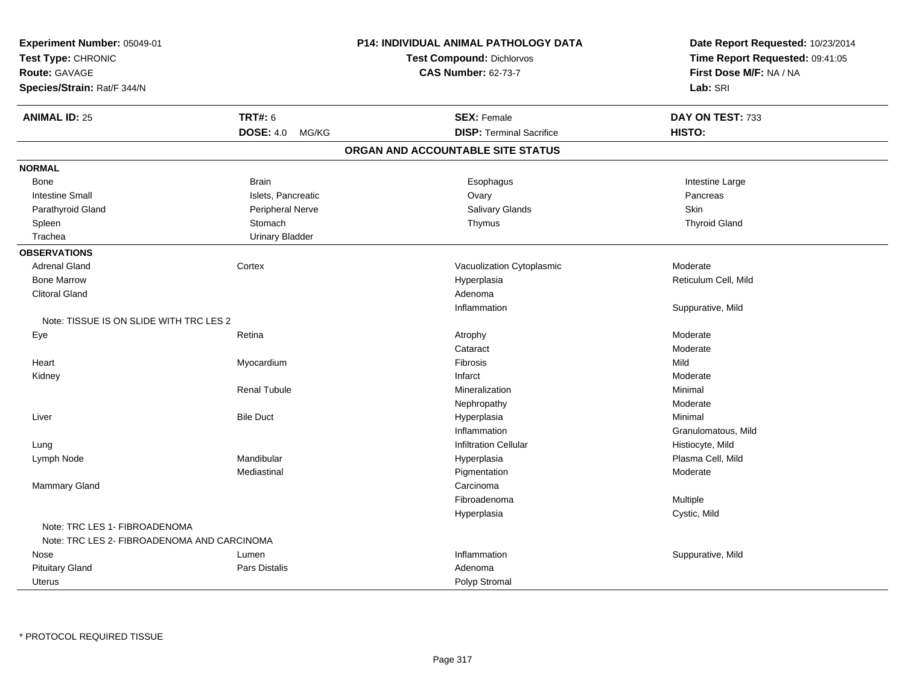| Experiment Number: 05049-01                 |                           | P14: INDIVIDUAL ANIMAL PATHOLOGY DATA | Date Report Requested: 10/23/2014 |
|---------------------------------------------|---------------------------|---------------------------------------|-----------------------------------|
| Test Type: CHRONIC                          |                           | Test Compound: Dichlorvos             | Time Report Requested: 09:41:05   |
| <b>Route: GAVAGE</b>                        |                           | <b>CAS Number: 62-73-7</b>            | First Dose M/F: NA / NA           |
| Species/Strain: Rat/F 344/N                 |                           |                                       | Lab: SRI                          |
| <b>ANIMAL ID: 25</b>                        | <b>TRT#: 6</b>            | <b>SEX: Female</b>                    | DAY ON TEST: 733                  |
|                                             | <b>DOSE: 4.0</b><br>MG/KG | <b>DISP: Terminal Sacrifice</b>       | HISTO:                            |
|                                             |                           | ORGAN AND ACCOUNTABLE SITE STATUS     |                                   |
| <b>NORMAL</b>                               |                           |                                       |                                   |
| Bone                                        | <b>Brain</b>              | Esophagus                             | Intestine Large                   |
| <b>Intestine Small</b>                      | Islets, Pancreatic        | Ovary                                 | Pancreas                          |
| Parathyroid Gland                           | Peripheral Nerve          | <b>Salivary Glands</b>                | Skin                              |
| Spleen                                      | Stomach                   | Thymus                                | <b>Thyroid Gland</b>              |
| Trachea                                     | <b>Urinary Bladder</b>    |                                       |                                   |
| <b>OBSERVATIONS</b>                         |                           |                                       |                                   |
| <b>Adrenal Gland</b>                        | Cortex                    | Vacuolization Cytoplasmic             | Moderate                          |
| <b>Bone Marrow</b>                          |                           | Hyperplasia                           | Reticulum Cell, Mild              |
| <b>Clitoral Gland</b>                       |                           | Adenoma                               |                                   |
|                                             |                           | Inflammation                          | Suppurative, Mild                 |
| Note: TISSUE IS ON SLIDE WITH TRC LES 2     |                           |                                       |                                   |
| Eye                                         | Retina                    | Atrophy                               | Moderate                          |
|                                             |                           | Cataract                              | Moderate                          |
| Heart                                       | Myocardium                | Fibrosis                              | Mild                              |
| Kidney                                      |                           | Infarct                               | Moderate                          |
|                                             | <b>Renal Tubule</b>       | Mineralization                        | Minimal                           |
|                                             |                           | Nephropathy                           | Moderate                          |
| Liver                                       | <b>Bile Duct</b>          | Hyperplasia                           | Minimal                           |
|                                             |                           | Inflammation                          | Granulomatous, Mild               |
| Lung                                        |                           | Infiltration Cellular                 | Histiocyte, Mild                  |
| Lymph Node                                  | Mandibular                | Hyperplasia                           | Plasma Cell, Mild                 |
|                                             | Mediastinal               | Pigmentation                          | Moderate                          |
| Mammary Gland                               |                           | Carcinoma                             |                                   |
|                                             |                           | Fibroadenoma                          | Multiple                          |
|                                             |                           | Hyperplasia                           | Cystic, Mild                      |
| Note: TRC LES 1- FIBROADENOMA               |                           |                                       |                                   |
| Note: TRC LES 2- FIBROADENOMA AND CARCINOMA |                           |                                       |                                   |
| Nose                                        | Lumen                     | Inflammation                          | Suppurative, Mild                 |
| <b>Pituitary Gland</b>                      | Pars Distalis             | Adenoma                               |                                   |
| <b>Uterus</b>                               |                           | Polyp Stromal                         |                                   |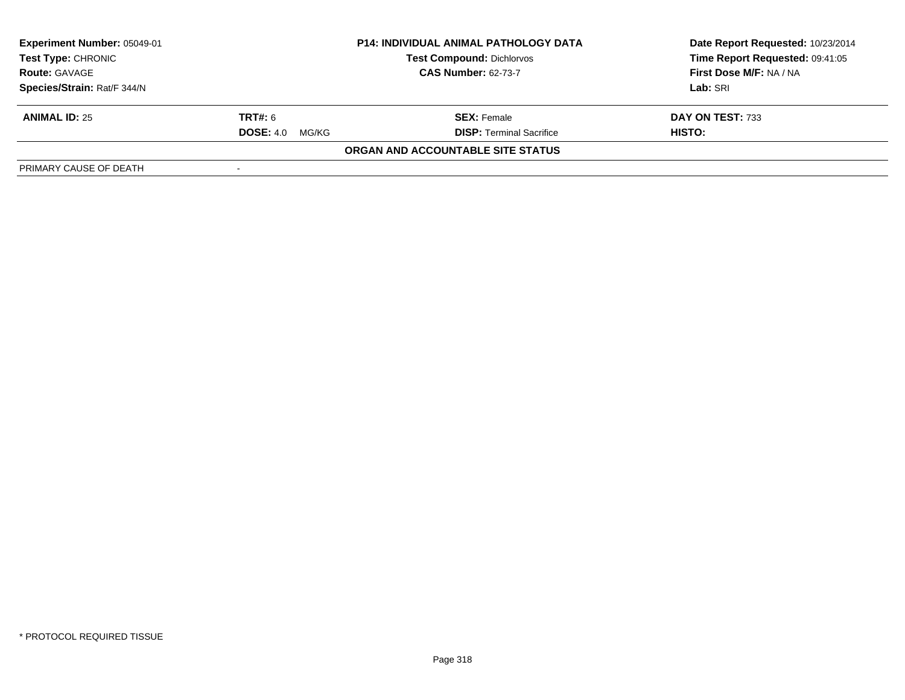| Experiment Number: 05049-01                                                                                         |                    | <b>P14: INDIVIDUAL ANIMAL PATHOLOGY DATA</b> | Date Report Requested: 10/23/2014 |
|---------------------------------------------------------------------------------------------------------------------|--------------------|----------------------------------------------|-----------------------------------|
| <b>Test Type: CHRONIC</b><br><b>Test Compound: Dichlorvos</b><br><b>CAS Number: 62-73-7</b><br><b>Route: GAVAGE</b> |                    |                                              | Time Report Requested: 09:41:05   |
|                                                                                                                     |                    | First Dose M/F: NA / NA                      |                                   |
| Species/Strain: Rat/F 344/N                                                                                         |                    |                                              | Lab: SRI                          |
| <b>ANIMAL ID: 25</b>                                                                                                | <b>TRT#:</b> 6     | <b>SEX: Female</b>                           | DAY ON TEST: 733                  |
|                                                                                                                     | DOSE: 4.0<br>MG/KG | <b>DISP: Terminal Sacrifice</b>              | HISTO:                            |
|                                                                                                                     |                    | ORGAN AND ACCOUNTABLE SITE STATUS            |                                   |
| PRIMARY CAUSE OF DEATH                                                                                              |                    |                                              |                                   |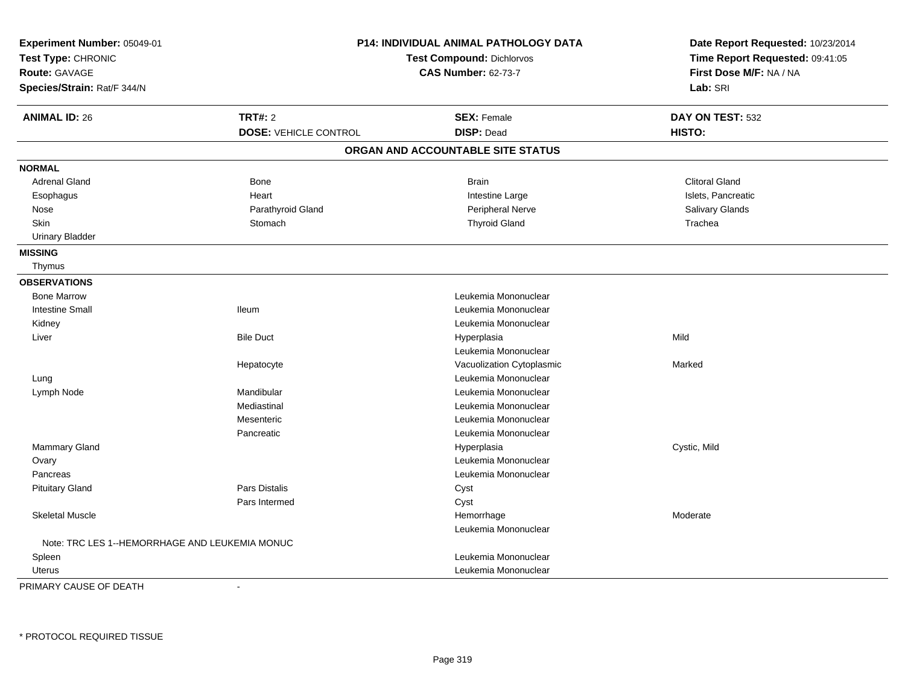| Experiment Number: 05049-01<br>Test Type: CHRONIC<br><b>Route: GAVAGE</b><br>Species/Strain: Rat/F 344/N |                              | <b>P14: INDIVIDUAL ANIMAL PATHOLOGY DATA</b><br>Test Compound: Dichlorvos<br><b>CAS Number: 62-73-7</b> | Date Report Requested: 10/23/2014<br>Time Report Requested: 09:41:05<br>First Dose M/F: NA / NA<br>Lab: SRI |
|----------------------------------------------------------------------------------------------------------|------------------------------|---------------------------------------------------------------------------------------------------------|-------------------------------------------------------------------------------------------------------------|
| <b>ANIMAL ID: 26</b>                                                                                     | <b>TRT#: 2</b>               | <b>SEX: Female</b>                                                                                      | DAY ON TEST: 532                                                                                            |
|                                                                                                          | <b>DOSE: VEHICLE CONTROL</b> | <b>DISP: Dead</b>                                                                                       | HISTO:                                                                                                      |
|                                                                                                          |                              | ORGAN AND ACCOUNTABLE SITE STATUS                                                                       |                                                                                                             |
| <b>NORMAL</b>                                                                                            |                              |                                                                                                         |                                                                                                             |
| <b>Adrenal Gland</b>                                                                                     | <b>Bone</b>                  | <b>Brain</b>                                                                                            | <b>Clitoral Gland</b>                                                                                       |
| Esophagus                                                                                                | Heart                        | Intestine Large                                                                                         | Islets, Pancreatic                                                                                          |
| Nose                                                                                                     | Parathyroid Gland            | Peripheral Nerve                                                                                        | Salivary Glands                                                                                             |
| <b>Skin</b>                                                                                              | Stomach                      | <b>Thyroid Gland</b>                                                                                    | Trachea                                                                                                     |
| <b>Urinary Bladder</b>                                                                                   |                              |                                                                                                         |                                                                                                             |
| <b>MISSING</b>                                                                                           |                              |                                                                                                         |                                                                                                             |
| Thymus                                                                                                   |                              |                                                                                                         |                                                                                                             |
| <b>OBSERVATIONS</b>                                                                                      |                              |                                                                                                         |                                                                                                             |
| <b>Bone Marrow</b>                                                                                       |                              | Leukemia Mononuclear                                                                                    |                                                                                                             |
| <b>Intestine Small</b>                                                                                   | <b>Ileum</b>                 | Leukemia Mononuclear                                                                                    |                                                                                                             |
| Kidney                                                                                                   |                              | Leukemia Mononuclear                                                                                    |                                                                                                             |
| Liver                                                                                                    | <b>Bile Duct</b>             | Hyperplasia                                                                                             | Mild                                                                                                        |
|                                                                                                          |                              | Leukemia Mononuclear                                                                                    |                                                                                                             |
|                                                                                                          | Hepatocyte                   | Vacuolization Cytoplasmic                                                                               | Marked                                                                                                      |
| Lung                                                                                                     |                              | Leukemia Mononuclear                                                                                    |                                                                                                             |
| Lymph Node                                                                                               | Mandibular                   | Leukemia Mononuclear                                                                                    |                                                                                                             |
|                                                                                                          | Mediastinal                  | Leukemia Mononuclear                                                                                    |                                                                                                             |
|                                                                                                          | Mesenteric                   | Leukemia Mononuclear                                                                                    |                                                                                                             |
|                                                                                                          | Pancreatic                   | Leukemia Mononuclear                                                                                    |                                                                                                             |
| Mammary Gland                                                                                            |                              | Hyperplasia                                                                                             | Cystic, Mild                                                                                                |
| Ovary                                                                                                    |                              | Leukemia Mononuclear                                                                                    |                                                                                                             |
| Pancreas                                                                                                 |                              | Leukemia Mononuclear                                                                                    |                                                                                                             |
| <b>Pituitary Gland</b>                                                                                   | Pars Distalis                | Cyst                                                                                                    |                                                                                                             |
|                                                                                                          | Pars Intermed                | Cyst                                                                                                    |                                                                                                             |
| <b>Skeletal Muscle</b>                                                                                   |                              | Hemorrhage                                                                                              | Moderate                                                                                                    |
|                                                                                                          |                              | Leukemia Mononuclear                                                                                    |                                                                                                             |
| Note: TRC LES 1--HEMORRHAGE AND LEUKEMIA MONUC                                                           |                              |                                                                                                         |                                                                                                             |
| Spleen                                                                                                   |                              | Leukemia Mononuclear                                                                                    |                                                                                                             |
| Uterus                                                                                                   |                              | Leukemia Mononuclear                                                                                    |                                                                                                             |

PRIMARY CAUSE OF DEATH-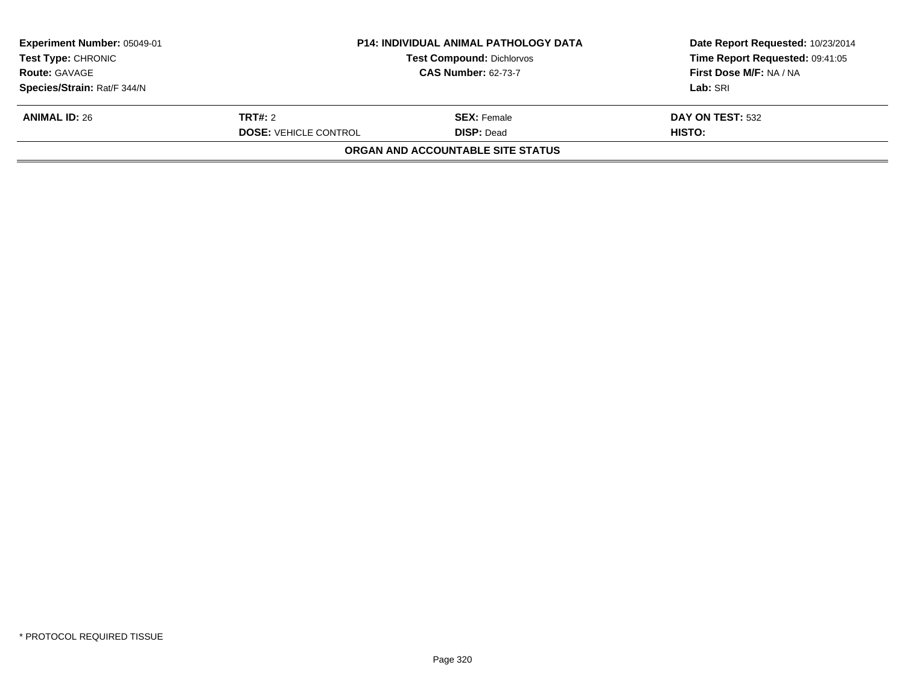| <b>Experiment Number: 05049-01</b><br><b>Test Type: CHRONIC</b> | <b>P14: INDIVIDUAL ANIMAL PATHOLOGY DATA</b>                   |                                          | Date Report Requested: 10/23/2014<br>Time Report Requested: 09:41:05 |  |
|-----------------------------------------------------------------|----------------------------------------------------------------|------------------------------------------|----------------------------------------------------------------------|--|
| <b>Route: GAVAGE</b>                                            | <b>Test Compound: Dichlorvos</b><br><b>CAS Number: 62-73-7</b> |                                          | First Dose M/F: NA / NA                                              |  |
| Species/Strain: Rat/F 344/N                                     |                                                                |                                          | Lab: SRI                                                             |  |
| <b>ANIMAL ID: 26</b>                                            | <b>TRT#:</b> 2                                                 | <b>SEX: Female</b>                       | DAY ON TEST: 532                                                     |  |
|                                                                 | <b>DOSE: VEHICLE CONTROL</b>                                   | <b>DISP:</b> Dead                        | <b>HISTO:</b>                                                        |  |
|                                                                 |                                                                | <b>ORGAN AND ACCOUNTABLE SITE STATUS</b> |                                                                      |  |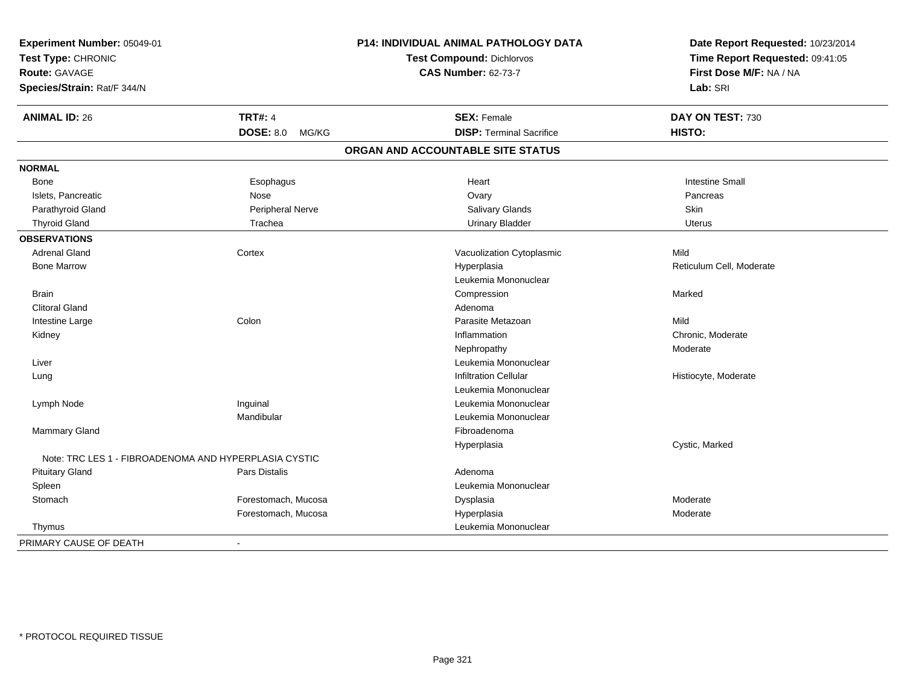| Experiment Number: 05049-01<br>Test Type: CHRONIC<br><b>Route: GAVAGE</b><br>Species/Strain: Rat/F 344/N |                          | <b>P14: INDIVIDUAL ANIMAL PATHOLOGY DATA</b><br>Test Compound: Dichlorvos<br><b>CAS Number: 62-73-7</b> | Date Report Requested: 10/23/2014<br>Time Report Requested: 09:41:05<br>First Dose M/F: NA / NA<br>Lab: SRI |
|----------------------------------------------------------------------------------------------------------|--------------------------|---------------------------------------------------------------------------------------------------------|-------------------------------------------------------------------------------------------------------------|
| <b>ANIMAL ID: 26</b>                                                                                     | <b>TRT#: 4</b>           | <b>SEX: Female</b>                                                                                      | DAY ON TEST: 730                                                                                            |
|                                                                                                          | DOSE: 8.0 MG/KG          | <b>DISP: Terminal Sacrifice</b>                                                                         | HISTO:                                                                                                      |
|                                                                                                          |                          | ORGAN AND ACCOUNTABLE SITE STATUS                                                                       |                                                                                                             |
| <b>NORMAL</b>                                                                                            |                          |                                                                                                         |                                                                                                             |
| Bone                                                                                                     | Esophagus                | Heart                                                                                                   | <b>Intestine Small</b>                                                                                      |
| Islets, Pancreatic                                                                                       | Nose                     | Ovary                                                                                                   | Pancreas                                                                                                    |
| Parathyroid Gland                                                                                        | Peripheral Nerve         | Salivary Glands                                                                                         | Skin                                                                                                        |
| <b>Thyroid Gland</b>                                                                                     | Trachea                  | <b>Urinary Bladder</b>                                                                                  | <b>Uterus</b>                                                                                               |
| <b>OBSERVATIONS</b>                                                                                      |                          |                                                                                                         |                                                                                                             |
| <b>Adrenal Gland</b>                                                                                     | Cortex                   | Vacuolization Cytoplasmic                                                                               | Mild                                                                                                        |
| <b>Bone Marrow</b>                                                                                       |                          | Hyperplasia                                                                                             | Reticulum Cell, Moderate                                                                                    |
|                                                                                                          |                          | Leukemia Mononuclear                                                                                    |                                                                                                             |
| <b>Brain</b>                                                                                             |                          | Compression                                                                                             | Marked                                                                                                      |
| <b>Clitoral Gland</b>                                                                                    |                          | Adenoma                                                                                                 |                                                                                                             |
| Intestine Large                                                                                          | Colon                    | Parasite Metazoan                                                                                       | Mild                                                                                                        |
| Kidney                                                                                                   |                          | Inflammation                                                                                            | Chronic, Moderate                                                                                           |
|                                                                                                          |                          | Nephropathy                                                                                             | Moderate                                                                                                    |
| Liver                                                                                                    |                          | Leukemia Mononuclear                                                                                    |                                                                                                             |
| Lung                                                                                                     |                          | <b>Infiltration Cellular</b>                                                                            | Histiocyte, Moderate                                                                                        |
|                                                                                                          |                          | Leukemia Mononuclear                                                                                    |                                                                                                             |
| Lymph Node                                                                                               | Inguinal                 | Leukemia Mononuclear                                                                                    |                                                                                                             |
|                                                                                                          | Mandibular               | Leukemia Mononuclear                                                                                    |                                                                                                             |
| <b>Mammary Gland</b>                                                                                     |                          | Fibroadenoma                                                                                            |                                                                                                             |
|                                                                                                          |                          | Hyperplasia                                                                                             | Cystic, Marked                                                                                              |
| Note: TRC LES 1 - FIBROADENOMA AND HYPERPLASIA CYSTIC                                                    |                          |                                                                                                         |                                                                                                             |
| <b>Pituitary Gland</b>                                                                                   | Pars Distalis            | Adenoma                                                                                                 |                                                                                                             |
| Spleen                                                                                                   |                          | Leukemia Mononuclear                                                                                    |                                                                                                             |
| Stomach                                                                                                  | Forestomach, Mucosa      | Dysplasia                                                                                               | Moderate                                                                                                    |
|                                                                                                          | Forestomach, Mucosa      | Hyperplasia                                                                                             | Moderate                                                                                                    |
| Thymus                                                                                                   |                          | Leukemia Mononuclear                                                                                    |                                                                                                             |
| PRIMARY CAUSE OF DEATH                                                                                   | $\overline{\phantom{a}}$ |                                                                                                         |                                                                                                             |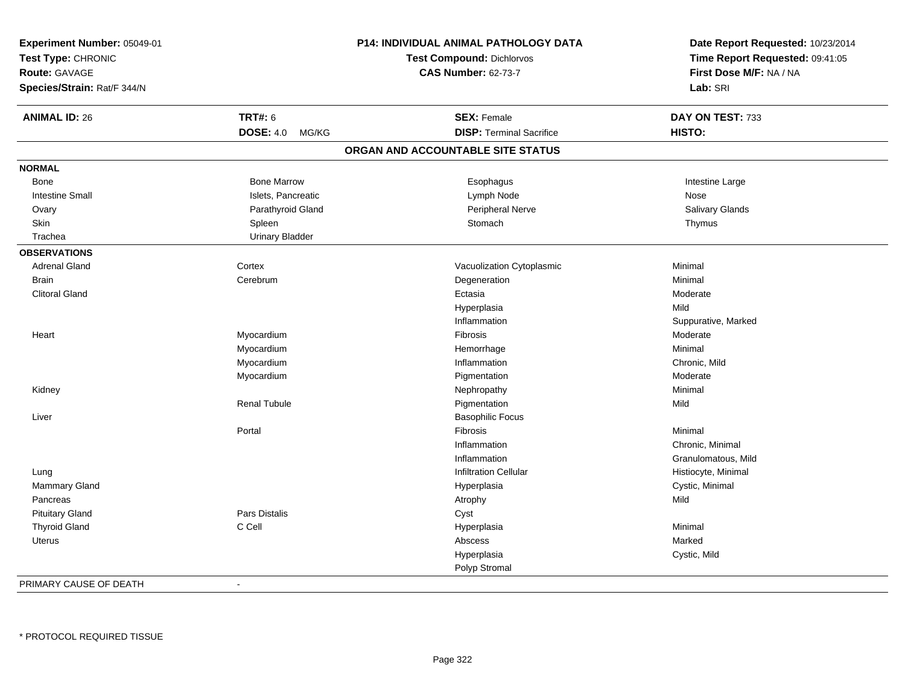| Experiment Number: 05049-01<br>Test Type: CHRONIC<br><b>Route: GAVAGE</b><br>Species/Strain: Rat/F 344/N |                        | <b>P14: INDIVIDUAL ANIMAL PATHOLOGY DATA</b><br><b>Test Compound: Dichlorvos</b><br><b>CAS Number: 62-73-7</b> | Date Report Requested: 10/23/2014<br>Time Report Requested: 09:41:05<br>First Dose M/F: NA / NA<br>Lab: SRI |
|----------------------------------------------------------------------------------------------------------|------------------------|----------------------------------------------------------------------------------------------------------------|-------------------------------------------------------------------------------------------------------------|
| <b>ANIMAL ID: 26</b>                                                                                     | <b>TRT#: 6</b>         | <b>SEX: Female</b>                                                                                             | DAY ON TEST: 733                                                                                            |
|                                                                                                          | DOSE: 4.0 MG/KG        | <b>DISP: Terminal Sacrifice</b>                                                                                | HISTO:                                                                                                      |
|                                                                                                          |                        | ORGAN AND ACCOUNTABLE SITE STATUS                                                                              |                                                                                                             |
| <b>NORMAL</b>                                                                                            |                        |                                                                                                                |                                                                                                             |
| Bone                                                                                                     | <b>Bone Marrow</b>     | Esophagus                                                                                                      | Intestine Large                                                                                             |
| <b>Intestine Small</b>                                                                                   | Islets, Pancreatic     | Lymph Node                                                                                                     | Nose                                                                                                        |
| Ovary                                                                                                    | Parathyroid Gland      | Peripheral Nerve                                                                                               | Salivary Glands                                                                                             |
| Skin                                                                                                     | Spleen                 | Stomach                                                                                                        | Thymus                                                                                                      |
| Trachea                                                                                                  | <b>Urinary Bladder</b> |                                                                                                                |                                                                                                             |
| <b>OBSERVATIONS</b>                                                                                      |                        |                                                                                                                |                                                                                                             |
| <b>Adrenal Gland</b>                                                                                     | Cortex                 | Vacuolization Cytoplasmic                                                                                      | Minimal                                                                                                     |
| <b>Brain</b>                                                                                             | Cerebrum               | Degeneration                                                                                                   | Minimal                                                                                                     |
| <b>Clitoral Gland</b>                                                                                    |                        | Ectasia                                                                                                        | Moderate                                                                                                    |
|                                                                                                          |                        | Hyperplasia                                                                                                    | Mild                                                                                                        |
|                                                                                                          |                        | Inflammation                                                                                                   | Suppurative, Marked                                                                                         |
| Heart                                                                                                    | Myocardium             | <b>Fibrosis</b>                                                                                                | Moderate                                                                                                    |
|                                                                                                          | Myocardium             | Hemorrhage                                                                                                     | Minimal                                                                                                     |
|                                                                                                          | Myocardium             | Inflammation                                                                                                   | Chronic, Mild                                                                                               |
|                                                                                                          | Myocardium             | Pigmentation                                                                                                   | Moderate                                                                                                    |
| Kidney                                                                                                   |                        | Nephropathy                                                                                                    | Minimal                                                                                                     |
|                                                                                                          | <b>Renal Tubule</b>    | Pigmentation                                                                                                   | Mild                                                                                                        |
| Liver                                                                                                    |                        | <b>Basophilic Focus</b>                                                                                        |                                                                                                             |
|                                                                                                          | Portal                 | Fibrosis                                                                                                       | Minimal                                                                                                     |
|                                                                                                          |                        | Inflammation                                                                                                   | Chronic, Minimal                                                                                            |
|                                                                                                          |                        | Inflammation                                                                                                   | Granulomatous, Mild                                                                                         |
| Lung                                                                                                     |                        | <b>Infiltration Cellular</b>                                                                                   | Histiocyte, Minimal                                                                                         |
| <b>Mammary Gland</b>                                                                                     |                        | Hyperplasia                                                                                                    | Cystic, Minimal                                                                                             |
| Pancreas                                                                                                 |                        | Atrophy                                                                                                        | Mild                                                                                                        |
| <b>Pituitary Gland</b>                                                                                   | <b>Pars Distalis</b>   | Cyst                                                                                                           |                                                                                                             |
| <b>Thyroid Gland</b>                                                                                     | C Cell                 | Hyperplasia                                                                                                    | Minimal                                                                                                     |
| <b>Uterus</b>                                                                                            |                        | Abscess                                                                                                        | Marked                                                                                                      |
|                                                                                                          |                        | Hyperplasia                                                                                                    | Cystic, Mild                                                                                                |
|                                                                                                          |                        | Polyp Stromal                                                                                                  |                                                                                                             |
| PRIMARY CAUSE OF DEATH                                                                                   | $\blacksquare$         |                                                                                                                |                                                                                                             |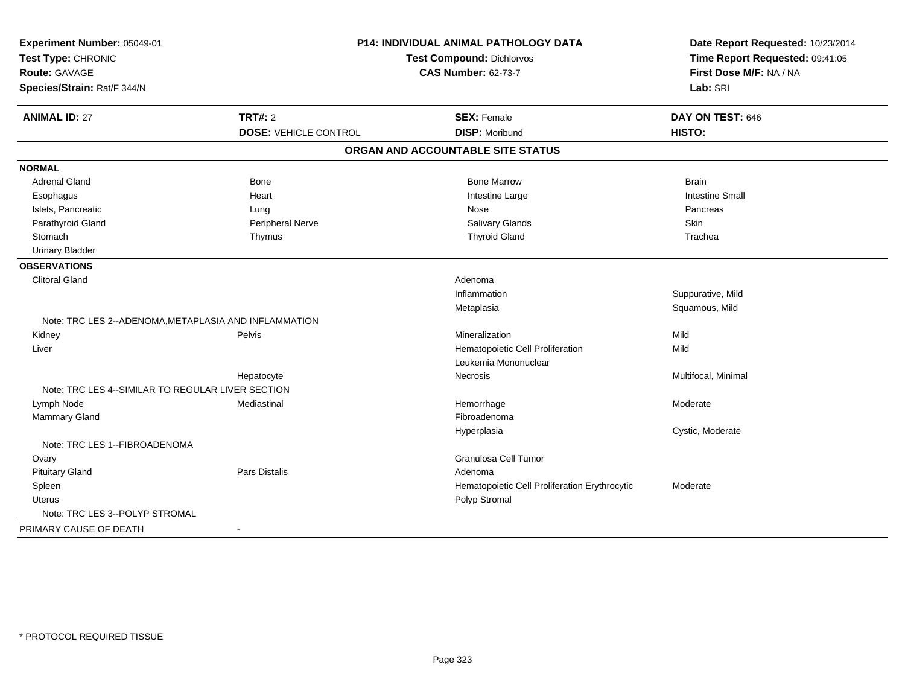| Experiment Number: 05049-01                           | <b>P14: INDIVIDUAL ANIMAL PATHOLOGY DATA</b> |                                               | Date Report Requested: 10/23/2014 |
|-------------------------------------------------------|----------------------------------------------|-----------------------------------------------|-----------------------------------|
| Test Type: CHRONIC                                    |                                              | <b>Test Compound: Dichlorvos</b>              | Time Report Requested: 09:41:05   |
| Route: GAVAGE                                         |                                              | <b>CAS Number: 62-73-7</b>                    | First Dose M/F: NA / NA           |
| Species/Strain: Rat/F 344/N                           |                                              |                                               | Lab: SRI                          |
| <b>ANIMAL ID: 27</b>                                  | <b>TRT#: 2</b>                               | <b>SEX: Female</b>                            | DAY ON TEST: 646                  |
|                                                       | <b>DOSE: VEHICLE CONTROL</b>                 | <b>DISP: Moribund</b>                         | <b>HISTO:</b>                     |
|                                                       |                                              | ORGAN AND ACCOUNTABLE SITE STATUS             |                                   |
| <b>NORMAL</b>                                         |                                              |                                               |                                   |
| Adrenal Gland                                         | <b>Bone</b>                                  | <b>Bone Marrow</b>                            | <b>Brain</b>                      |
| Esophagus                                             | Heart                                        | Intestine Large                               | <b>Intestine Small</b>            |
| Islets, Pancreatic                                    | Lung                                         | Nose                                          | Pancreas                          |
| Parathyroid Gland                                     | Peripheral Nerve                             | Salivary Glands                               | Skin                              |
| Stomach                                               | Thymus                                       | <b>Thyroid Gland</b>                          | Trachea                           |
| <b>Urinary Bladder</b>                                |                                              |                                               |                                   |
| <b>OBSERVATIONS</b>                                   |                                              |                                               |                                   |
| <b>Clitoral Gland</b>                                 |                                              | Adenoma                                       |                                   |
|                                                       |                                              | Inflammation                                  | Suppurative, Mild                 |
|                                                       |                                              | Metaplasia                                    | Squamous, Mild                    |
| Note: TRC LES 2--ADENOMA, METAPLASIA AND INFLAMMATION |                                              |                                               |                                   |
| Kidney                                                | Pelvis                                       | Mineralization                                | Mild                              |
| Liver                                                 |                                              | Hematopoietic Cell Proliferation              | Mild                              |
|                                                       |                                              | Leukemia Mononuclear                          |                                   |
|                                                       | Hepatocyte                                   | Necrosis                                      | Multifocal, Minimal               |
| Note: TRC LES 4--SIMILAR TO REGULAR LIVER SECTION     |                                              |                                               |                                   |
| Lymph Node                                            | Mediastinal                                  | Hemorrhage                                    | Moderate                          |
| <b>Mammary Gland</b>                                  |                                              | Fibroadenoma                                  |                                   |
|                                                       |                                              | Hyperplasia                                   | Cystic, Moderate                  |
| Note: TRC LES 1--FIBROADENOMA                         |                                              |                                               |                                   |
| Ovary                                                 |                                              | Granulosa Cell Tumor                          |                                   |
| <b>Pituitary Gland</b>                                | Pars Distalis                                | Adenoma                                       |                                   |
| Spleen                                                |                                              | Hematopoietic Cell Proliferation Erythrocytic | Moderate                          |
| <b>Uterus</b>                                         |                                              | Polyp Stromal                                 |                                   |
| Note: TRC LES 3--POLYP STROMAL                        |                                              |                                               |                                   |
| PRIMARY CAUSE OF DEATH                                | $\sim$                                       |                                               |                                   |
|                                                       |                                              |                                               |                                   |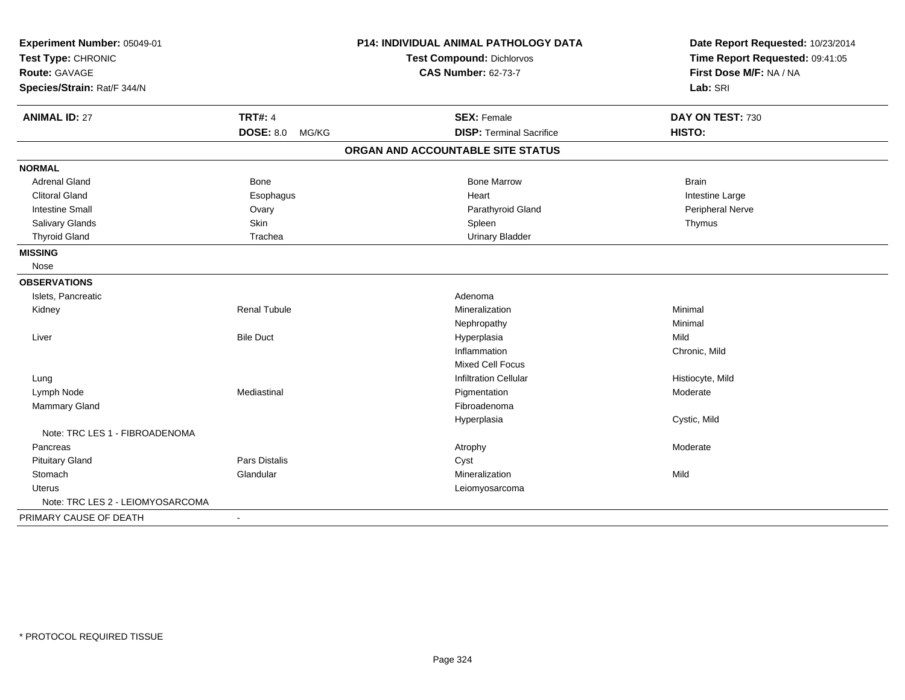| Experiment Number: 05049-01      |                      | <b>P14: INDIVIDUAL ANIMAL PATHOLOGY DATA</b> | Date Report Requested: 10/23/2014 |
|----------------------------------|----------------------|----------------------------------------------|-----------------------------------|
| Test Type: CHRONIC               |                      | <b>Test Compound: Dichlorvos</b>             | Time Report Requested: 09:41:05   |
| Route: GAVAGE                    |                      | <b>CAS Number: 62-73-7</b>                   | First Dose M/F: NA / NA           |
| Species/Strain: Rat/F 344/N      |                      |                                              | Lab: SRI                          |
| <b>ANIMAL ID: 27</b>             | <b>TRT#: 4</b>       | <b>SEX: Female</b>                           | DAY ON TEST: 730                  |
|                                  | DOSE: 8.0 MG/KG      | <b>DISP: Terminal Sacrifice</b>              | HISTO:                            |
|                                  |                      | ORGAN AND ACCOUNTABLE SITE STATUS            |                                   |
| <b>NORMAL</b>                    |                      |                                              |                                   |
| <b>Adrenal Gland</b>             | Bone                 | <b>Bone Marrow</b>                           | <b>Brain</b>                      |
| <b>Clitoral Gland</b>            | Esophagus            | Heart                                        | Intestine Large                   |
| <b>Intestine Small</b>           | Ovary                | Parathyroid Gland                            | Peripheral Nerve                  |
| Salivary Glands                  | Skin                 | Spleen                                       | Thymus                            |
| <b>Thyroid Gland</b>             | Trachea              | <b>Urinary Bladder</b>                       |                                   |
| <b>MISSING</b>                   |                      |                                              |                                   |
| Nose                             |                      |                                              |                                   |
| <b>OBSERVATIONS</b>              |                      |                                              |                                   |
| Islets, Pancreatic               |                      | Adenoma                                      |                                   |
| Kidney                           | <b>Renal Tubule</b>  | Mineralization                               | Minimal                           |
|                                  |                      | Nephropathy                                  | Minimal                           |
| Liver                            | <b>Bile Duct</b>     | Hyperplasia                                  | Mild                              |
|                                  |                      | Inflammation                                 | Chronic, Mild                     |
|                                  |                      | <b>Mixed Cell Focus</b>                      |                                   |
| Lung                             |                      | <b>Infiltration Cellular</b>                 | Histiocyte, Mild                  |
| Lymph Node                       | Mediastinal          | Pigmentation                                 | Moderate                          |
| Mammary Gland                    |                      | Fibroadenoma                                 |                                   |
|                                  |                      | Hyperplasia                                  | Cystic, Mild                      |
| Note: TRC LES 1 - FIBROADENOMA   |                      |                                              |                                   |
| Pancreas                         |                      | Atrophy                                      | Moderate                          |
| <b>Pituitary Gland</b>           | <b>Pars Distalis</b> | Cyst                                         |                                   |
| Stomach                          | Glandular            | Mineralization                               | Mild                              |
| <b>Uterus</b>                    |                      | Leiomyosarcoma                               |                                   |
| Note: TRC LES 2 - LEIOMYOSARCOMA |                      |                                              |                                   |
| PRIMARY CAUSE OF DEATH           | $\blacksquare$       |                                              |                                   |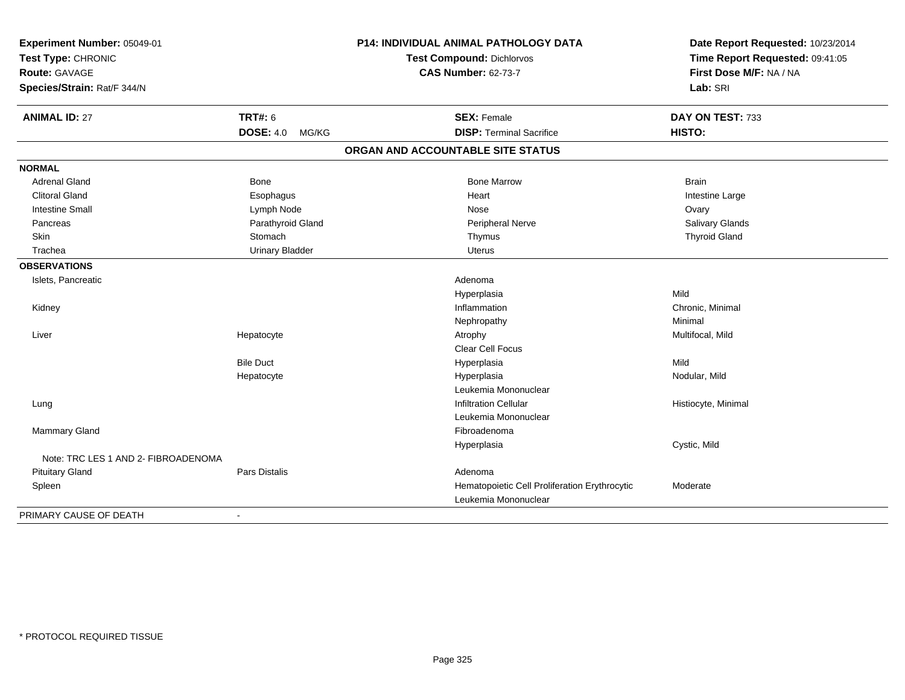| Experiment Number: 05049-01<br>Test Type: CHRONIC |                           | P14: INDIVIDUAL ANIMAL PATHOLOGY DATA         | Date Report Requested: 10/23/2014 |  |
|---------------------------------------------------|---------------------------|-----------------------------------------------|-----------------------------------|--|
|                                                   |                           | <b>Test Compound: Dichlorvos</b>              | Time Report Requested: 09:41:05   |  |
| <b>Route: GAVAGE</b>                              |                           | <b>CAS Number: 62-73-7</b>                    | First Dose M/F: NA / NA           |  |
| Species/Strain: Rat/F 344/N                       |                           |                                               | Lab: SRI                          |  |
| <b>ANIMAL ID: 27</b>                              | <b>TRT#: 6</b>            | <b>SEX: Female</b>                            | DAY ON TEST: 733                  |  |
|                                                   | <b>DOSE: 4.0</b><br>MG/KG | <b>DISP: Terminal Sacrifice</b>               | HISTO:                            |  |
|                                                   |                           | ORGAN AND ACCOUNTABLE SITE STATUS             |                                   |  |
| <b>NORMAL</b>                                     |                           |                                               |                                   |  |
| Adrenal Gland                                     | <b>Bone</b>               | <b>Bone Marrow</b>                            | <b>Brain</b>                      |  |
| <b>Clitoral Gland</b>                             | Esophagus                 | Heart                                         | Intestine Large                   |  |
| <b>Intestine Small</b>                            | Lymph Node                | Nose                                          | Ovary                             |  |
| Pancreas                                          | Parathyroid Gland         | Peripheral Nerve                              | Salivary Glands                   |  |
| Skin                                              | Stomach                   | Thymus                                        | <b>Thyroid Gland</b>              |  |
| Trachea                                           | <b>Urinary Bladder</b>    | <b>Uterus</b>                                 |                                   |  |
| <b>OBSERVATIONS</b>                               |                           |                                               |                                   |  |
| Islets, Pancreatic                                |                           | Adenoma                                       |                                   |  |
|                                                   |                           | Hyperplasia                                   | Mild                              |  |
| Kidney                                            |                           | Inflammation                                  | Chronic, Minimal                  |  |
|                                                   |                           | Nephropathy                                   | Minimal                           |  |
| Liver                                             | Hepatocyte                | Atrophy                                       | Multifocal, Mild                  |  |
|                                                   |                           | <b>Clear Cell Focus</b>                       |                                   |  |
|                                                   | <b>Bile Duct</b>          | Hyperplasia                                   | Mild                              |  |
|                                                   | Hepatocyte                | Hyperplasia                                   | Nodular, Mild                     |  |
|                                                   |                           | Leukemia Mononuclear                          |                                   |  |
| Lung                                              |                           | <b>Infiltration Cellular</b>                  | Histiocyte, Minimal               |  |
|                                                   |                           | Leukemia Mononuclear                          |                                   |  |
| Mammary Gland                                     |                           | Fibroadenoma                                  |                                   |  |
|                                                   |                           | Hyperplasia                                   | Cystic, Mild                      |  |
| Note: TRC LES 1 AND 2- FIBROADENOMA               |                           |                                               |                                   |  |
| <b>Pituitary Gland</b>                            | Pars Distalis             | Adenoma                                       |                                   |  |
| Spleen                                            |                           | Hematopoietic Cell Proliferation Erythrocytic | Moderate                          |  |
|                                                   |                           | Leukemia Mononuclear                          |                                   |  |
| PRIMARY CAUSE OF DEATH                            | $\overline{\phantom{a}}$  |                                               |                                   |  |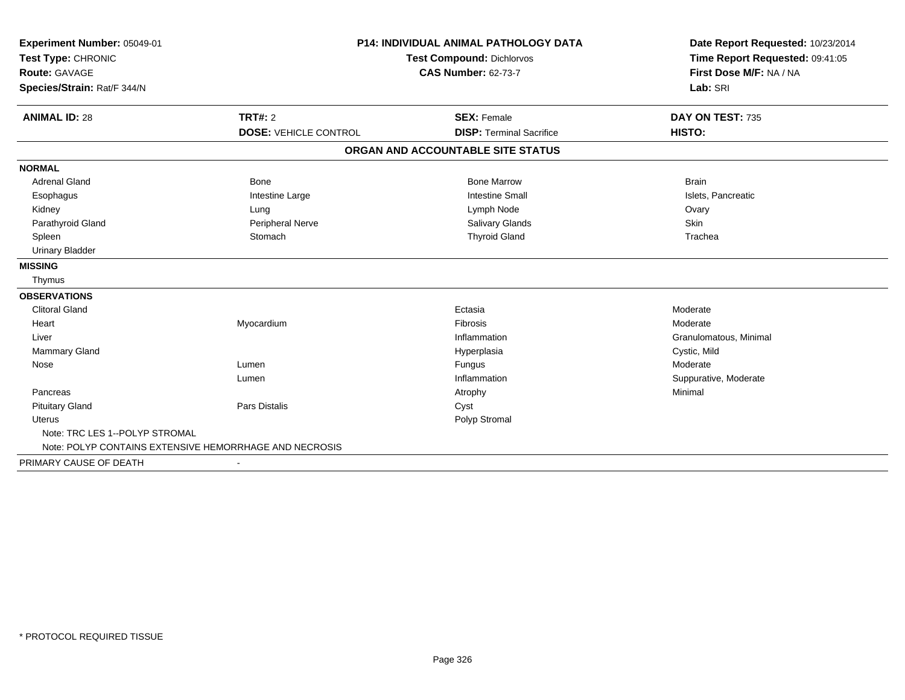| Experiment Number: 05049-01                            | <b>P14: INDIVIDUAL ANIMAL PATHOLOGY DATA</b><br>Test Compound: Dichlorvos<br><b>CAS Number: 62-73-7</b> |                                   | Date Report Requested: 10/23/2014<br>Time Report Requested: 09:41:05 |  |
|--------------------------------------------------------|---------------------------------------------------------------------------------------------------------|-----------------------------------|----------------------------------------------------------------------|--|
| Test Type: CHRONIC                                     |                                                                                                         |                                   |                                                                      |  |
| Route: GAVAGE                                          |                                                                                                         |                                   | First Dose M/F: NA / NA                                              |  |
| Species/Strain: Rat/F 344/N                            |                                                                                                         |                                   | Lab: SRI                                                             |  |
| <b>ANIMAL ID: 28</b>                                   | <b>TRT#: 2</b>                                                                                          | <b>SEX: Female</b>                | DAY ON TEST: 735                                                     |  |
|                                                        | <b>DOSE: VEHICLE CONTROL</b>                                                                            | <b>DISP: Terminal Sacrifice</b>   | HISTO:                                                               |  |
|                                                        |                                                                                                         |                                   |                                                                      |  |
|                                                        |                                                                                                         | ORGAN AND ACCOUNTABLE SITE STATUS |                                                                      |  |
| <b>NORMAL</b>                                          |                                                                                                         |                                   |                                                                      |  |
| <b>Adrenal Gland</b>                                   | Bone                                                                                                    | <b>Bone Marrow</b>                | <b>Brain</b>                                                         |  |
| Esophagus                                              | Intestine Large                                                                                         | <b>Intestine Small</b>            | Islets, Pancreatic                                                   |  |
| Kidney                                                 | Lung                                                                                                    | Lymph Node                        | Ovary                                                                |  |
| Parathyroid Gland                                      | Peripheral Nerve                                                                                        | Salivary Glands                   | Skin                                                                 |  |
| Spleen                                                 | Stomach                                                                                                 | <b>Thyroid Gland</b>              | Trachea                                                              |  |
| <b>Urinary Bladder</b>                                 |                                                                                                         |                                   |                                                                      |  |
| <b>MISSING</b>                                         |                                                                                                         |                                   |                                                                      |  |
| Thymus                                                 |                                                                                                         |                                   |                                                                      |  |
| <b>OBSERVATIONS</b>                                    |                                                                                                         |                                   |                                                                      |  |
| <b>Clitoral Gland</b>                                  |                                                                                                         | Ectasia                           | Moderate                                                             |  |
| Heart                                                  | Myocardium                                                                                              | Fibrosis                          | Moderate                                                             |  |
| Liver                                                  |                                                                                                         | Inflammation                      | Granulomatous, Minimal                                               |  |
| <b>Mammary Gland</b>                                   |                                                                                                         | Hyperplasia                       | Cystic, Mild                                                         |  |
| Nose                                                   | Lumen                                                                                                   | Fungus                            | Moderate                                                             |  |
|                                                        | Lumen                                                                                                   | Inflammation                      | Suppurative, Moderate                                                |  |
| Pancreas                                               |                                                                                                         | Atrophy                           | Minimal                                                              |  |
| <b>Pituitary Gland</b>                                 | Pars Distalis                                                                                           | Cyst                              |                                                                      |  |
| Uterus                                                 |                                                                                                         | Polyp Stromal                     |                                                                      |  |
| Note: TRC LES 1--POLYP STROMAL                         |                                                                                                         |                                   |                                                                      |  |
| Note: POLYP CONTAINS EXTENSIVE HEMORRHAGE AND NECROSIS |                                                                                                         |                                   |                                                                      |  |
| PRIMARY CAUSE OF DEATH                                 | $\overline{\phantom{a}}$                                                                                |                                   |                                                                      |  |
|                                                        |                                                                                                         |                                   |                                                                      |  |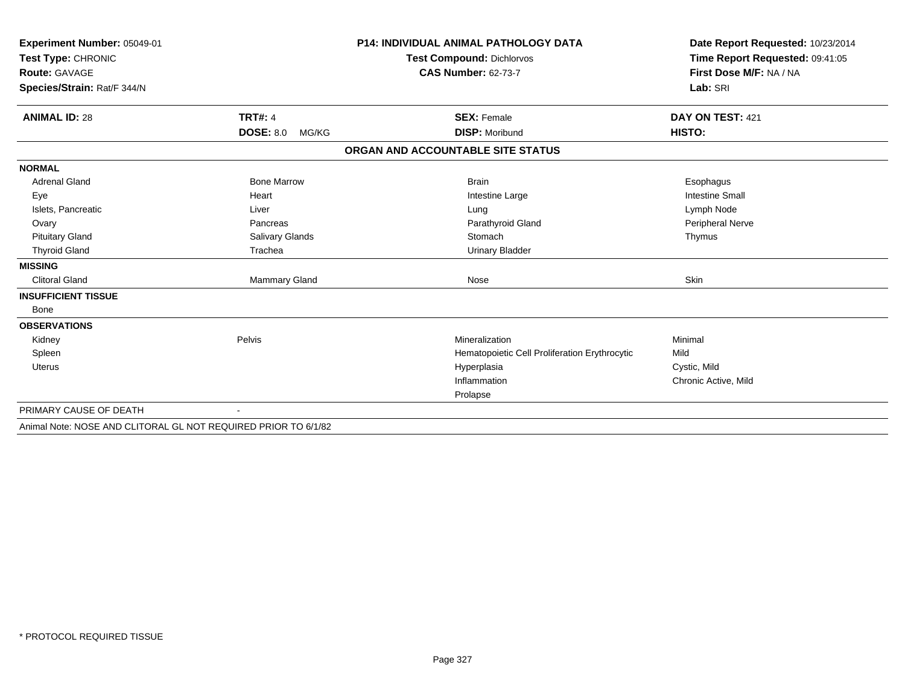| Experiment Number: 05049-01<br>Test Type: CHRONIC              |                           | <b>P14: INDIVIDUAL ANIMAL PATHOLOGY DATA</b>  | Date Report Requested: 10/23/2014<br>Time Report Requested: 09:41:05 |
|----------------------------------------------------------------|---------------------------|-----------------------------------------------|----------------------------------------------------------------------|
|                                                                |                           | Test Compound: Dichlorvos                     |                                                                      |
| Route: GAVAGE                                                  |                           | <b>CAS Number: 62-73-7</b>                    | First Dose M/F: NA / NA<br>Lab: SRI                                  |
| Species/Strain: Rat/F 344/N                                    |                           |                                               |                                                                      |
|                                                                |                           |                                               |                                                                      |
| <b>ANIMAL ID: 28</b>                                           | <b>TRT#: 4</b>            | <b>SEX: Female</b>                            | DAY ON TEST: 421                                                     |
|                                                                | <b>DOSE: 8.0</b><br>MG/KG | <b>DISP: Moribund</b>                         | HISTO:                                                               |
|                                                                |                           | ORGAN AND ACCOUNTABLE SITE STATUS             |                                                                      |
| <b>NORMAL</b>                                                  |                           |                                               |                                                                      |
| <b>Adrenal Gland</b>                                           | <b>Bone Marrow</b>        | <b>Brain</b>                                  | Esophagus                                                            |
| Eye                                                            | Heart                     | Intestine Large                               | <b>Intestine Small</b>                                               |
| Islets, Pancreatic                                             | Liver                     | Lung                                          | Lymph Node                                                           |
| Ovary                                                          | Pancreas                  | Parathyroid Gland                             | Peripheral Nerve                                                     |
| <b>Pituitary Gland</b>                                         | Salivary Glands           | Stomach                                       | Thymus                                                               |
| <b>Thyroid Gland</b>                                           | Trachea                   | <b>Urinary Bladder</b>                        |                                                                      |
| <b>MISSING</b>                                                 |                           |                                               |                                                                      |
| <b>Clitoral Gland</b>                                          | Mammary Gland             | Nose                                          | Skin                                                                 |
| <b>INSUFFICIENT TISSUE</b>                                     |                           |                                               |                                                                      |
| Bone                                                           |                           |                                               |                                                                      |
| <b>OBSERVATIONS</b>                                            |                           |                                               |                                                                      |
| Kidney                                                         | Pelvis                    | Mineralization                                | Minimal                                                              |
| Spleen                                                         |                           | Hematopoietic Cell Proliferation Erythrocytic | Mild                                                                 |
| <b>Uterus</b>                                                  |                           | Hyperplasia                                   | Cystic, Mild                                                         |
|                                                                |                           | Inflammation                                  | Chronic Active, Mild                                                 |
|                                                                |                           | Prolapse                                      |                                                                      |
| PRIMARY CAUSE OF DEATH                                         |                           |                                               |                                                                      |
| Animal Note: NOSE AND CLITORAL GL NOT REQUIRED PRIOR TO 6/1/82 |                           |                                               |                                                                      |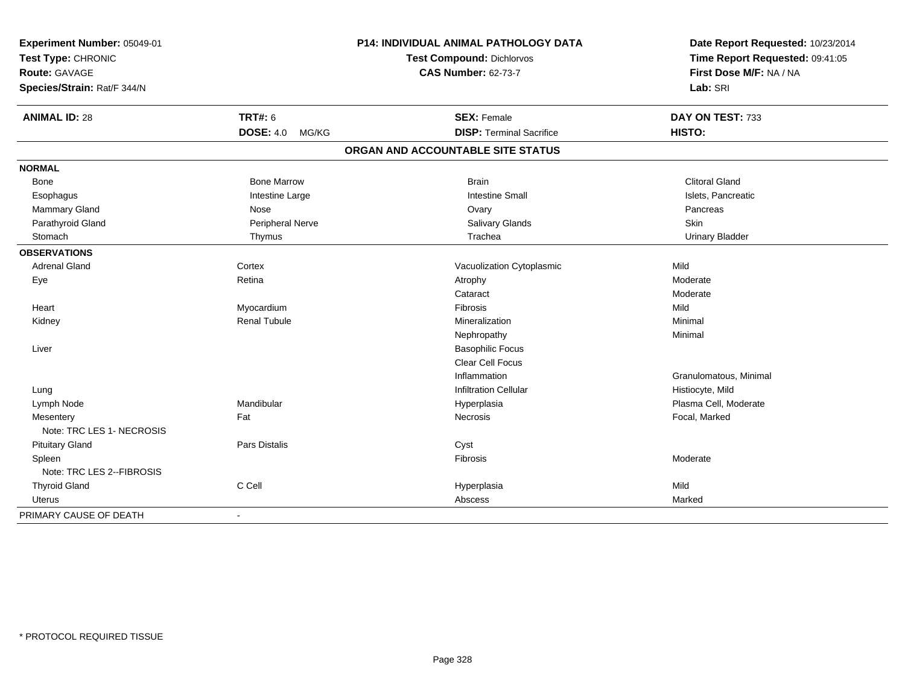| Experiment Number: 05049-01             | P14: INDIVIDUAL ANIMAL PATHOLOGY DATA | Date Report Requested: 10/23/2014                          |  |
|-----------------------------------------|---------------------------------------|------------------------------------------------------------|--|
| Test Type: CHRONIC                      | <b>Test Compound: Dichlorvos</b>      | Time Report Requested: 09:41:05<br>First Dose M/F: NA / NA |  |
| Route: GAVAGE                           | <b>CAS Number: 62-73-7</b>            |                                                            |  |
| Species/Strain: Rat/F 344/N             |                                       | Lab: SRI                                                   |  |
| <b>TRT#: 6</b><br><b>ANIMAL ID: 28</b>  | <b>SEX: Female</b>                    | DAY ON TEST: 733                                           |  |
| <b>DOSE: 4.0</b><br>MG/KG               | <b>DISP: Terminal Sacrifice</b>       | HISTO:                                                     |  |
|                                         | ORGAN AND ACCOUNTABLE SITE STATUS     |                                                            |  |
| <b>NORMAL</b>                           |                                       |                                                            |  |
| <b>Bone Marrow</b><br>Bone              | <b>Brain</b>                          | <b>Clitoral Gland</b>                                      |  |
| Esophagus<br>Intestine Large            | <b>Intestine Small</b>                | Islets, Pancreatic                                         |  |
| Mammary Gland<br>Nose                   | Ovary                                 | Pancreas                                                   |  |
| Parathyroid Gland<br>Peripheral Nerve   | Salivary Glands                       | Skin                                                       |  |
| Stomach<br>Thymus                       | Trachea                               | <b>Urinary Bladder</b>                                     |  |
| <b>OBSERVATIONS</b>                     |                                       |                                                            |  |
| <b>Adrenal Gland</b><br>Cortex          | Vacuolization Cytoplasmic             | Mild                                                       |  |
| Retina<br>Eye                           | Atrophy                               | Moderate                                                   |  |
|                                         | Cataract                              | Moderate                                                   |  |
| Myocardium<br>Heart                     | Fibrosis                              | Mild                                                       |  |
| <b>Renal Tubule</b><br>Kidney           | Mineralization                        | Minimal                                                    |  |
|                                         | Nephropathy                           | Minimal                                                    |  |
| Liver                                   | <b>Basophilic Focus</b>               |                                                            |  |
|                                         | Clear Cell Focus                      |                                                            |  |
|                                         | Inflammation                          | Granulomatous, Minimal                                     |  |
| Lung                                    | <b>Infiltration Cellular</b>          | Histiocyte, Mild                                           |  |
| Mandibular<br>Lymph Node                | Hyperplasia                           | Plasma Cell, Moderate                                      |  |
| Fat<br>Mesentery                        | <b>Necrosis</b>                       | Focal, Marked                                              |  |
| Note: TRC LES 1- NECROSIS               |                                       |                                                            |  |
| <b>Pituitary Gland</b><br>Pars Distalis | Cyst                                  |                                                            |  |
| Spleen                                  | Fibrosis                              | Moderate                                                   |  |
| Note: TRC LES 2--FIBROSIS               |                                       |                                                            |  |
| C Cell<br><b>Thyroid Gland</b>          | Hyperplasia                           | Mild                                                       |  |
| Uterus                                  | Abscess                               | Marked                                                     |  |
| PRIMARY CAUSE OF DEATH                  |                                       |                                                            |  |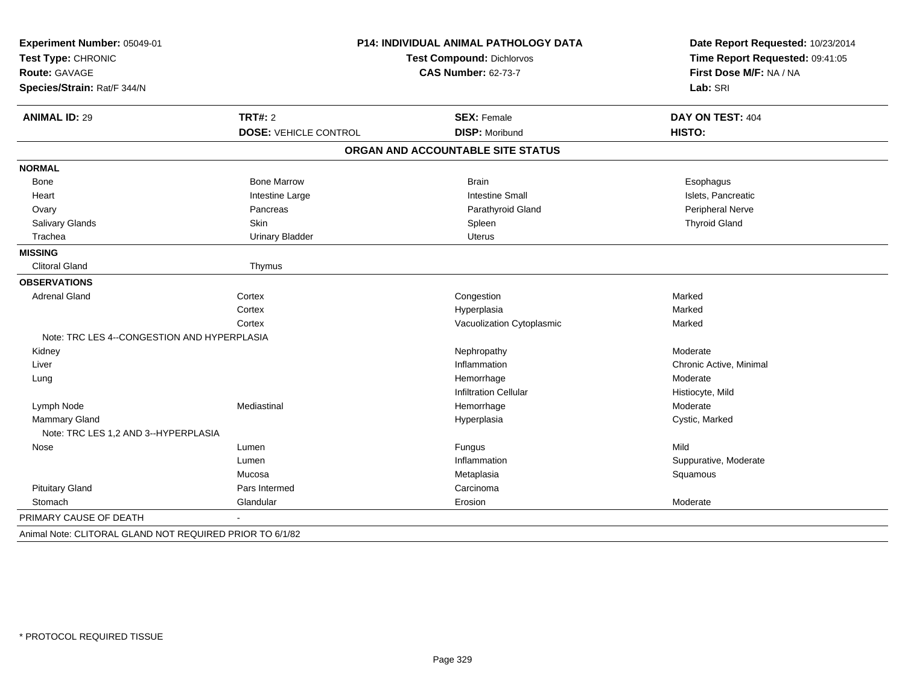| Experiment Number: 05049-01<br>Test Type: CHRONIC<br><b>Route: GAVAGE</b> |                              | P14: INDIVIDUAL ANIMAL PATHOLOGY DATA<br><b>Test Compound: Dichlorvos</b><br><b>CAS Number: 62-73-7</b> | Date Report Requested: 10/23/2014<br>Time Report Requested: 09:41:05<br>First Dose M/F: NA / NA |
|---------------------------------------------------------------------------|------------------------------|---------------------------------------------------------------------------------------------------------|-------------------------------------------------------------------------------------------------|
| Species/Strain: Rat/F 344/N                                               |                              |                                                                                                         | Lab: SRI                                                                                        |
| <b>ANIMAL ID: 29</b>                                                      | <b>TRT#: 2</b>               | <b>SEX: Female</b>                                                                                      | DAY ON TEST: 404                                                                                |
|                                                                           | <b>DOSE: VEHICLE CONTROL</b> | <b>DISP: Moribund</b>                                                                                   | HISTO:                                                                                          |
|                                                                           |                              | ORGAN AND ACCOUNTABLE SITE STATUS                                                                       |                                                                                                 |
| <b>NORMAL</b>                                                             |                              |                                                                                                         |                                                                                                 |
| Bone                                                                      | <b>Bone Marrow</b>           | <b>Brain</b>                                                                                            | Esophagus                                                                                       |
| Heart                                                                     | Intestine Large              | <b>Intestine Small</b>                                                                                  | Islets, Pancreatic                                                                              |
| Ovary                                                                     | Pancreas                     | Parathyroid Gland                                                                                       | Peripheral Nerve                                                                                |
| Salivary Glands                                                           | Skin                         | Spleen                                                                                                  | <b>Thyroid Gland</b>                                                                            |
| Trachea                                                                   | <b>Urinary Bladder</b>       | <b>Uterus</b>                                                                                           |                                                                                                 |
| <b>MISSING</b>                                                            |                              |                                                                                                         |                                                                                                 |
| <b>Clitoral Gland</b>                                                     | Thymus                       |                                                                                                         |                                                                                                 |
| <b>OBSERVATIONS</b>                                                       |                              |                                                                                                         |                                                                                                 |
| <b>Adrenal Gland</b>                                                      | Cortex                       | Congestion                                                                                              | Marked                                                                                          |
|                                                                           | Cortex                       | Hyperplasia                                                                                             | Marked                                                                                          |
|                                                                           | Cortex                       | Vacuolization Cytoplasmic                                                                               | Marked                                                                                          |
| Note: TRC LES 4--CONGESTION AND HYPERPLASIA                               |                              |                                                                                                         |                                                                                                 |
| Kidney                                                                    |                              | Nephropathy                                                                                             | Moderate                                                                                        |
| Liver                                                                     |                              | Inflammation                                                                                            | Chronic Active, Minimal                                                                         |
| Lung                                                                      |                              | Hemorrhage                                                                                              | Moderate                                                                                        |
|                                                                           |                              | Infiltration Cellular                                                                                   | Histiocyte, Mild                                                                                |
| Lymph Node                                                                | Mediastinal                  | Hemorrhage                                                                                              | Moderate                                                                                        |
| Mammary Gland                                                             |                              | Hyperplasia                                                                                             | Cystic, Marked                                                                                  |
| Note: TRC LES 1,2 AND 3--HYPERPLASIA                                      |                              |                                                                                                         |                                                                                                 |
| Nose                                                                      | Lumen                        | Fungus                                                                                                  | Mild                                                                                            |
|                                                                           | Lumen                        | Inflammation                                                                                            | Suppurative, Moderate                                                                           |
|                                                                           | Mucosa                       | Metaplasia                                                                                              | Squamous                                                                                        |
| <b>Pituitary Gland</b>                                                    | Pars Intermed                | Carcinoma                                                                                               |                                                                                                 |
| Stomach                                                                   | Glandular                    | Erosion                                                                                                 | Moderate                                                                                        |
| PRIMARY CAUSE OF DEATH                                                    |                              |                                                                                                         |                                                                                                 |
| Animal Note: CLITORAL GLAND NOT REQUIRED PRIOR TO 6/1/82                  |                              |                                                                                                         |                                                                                                 |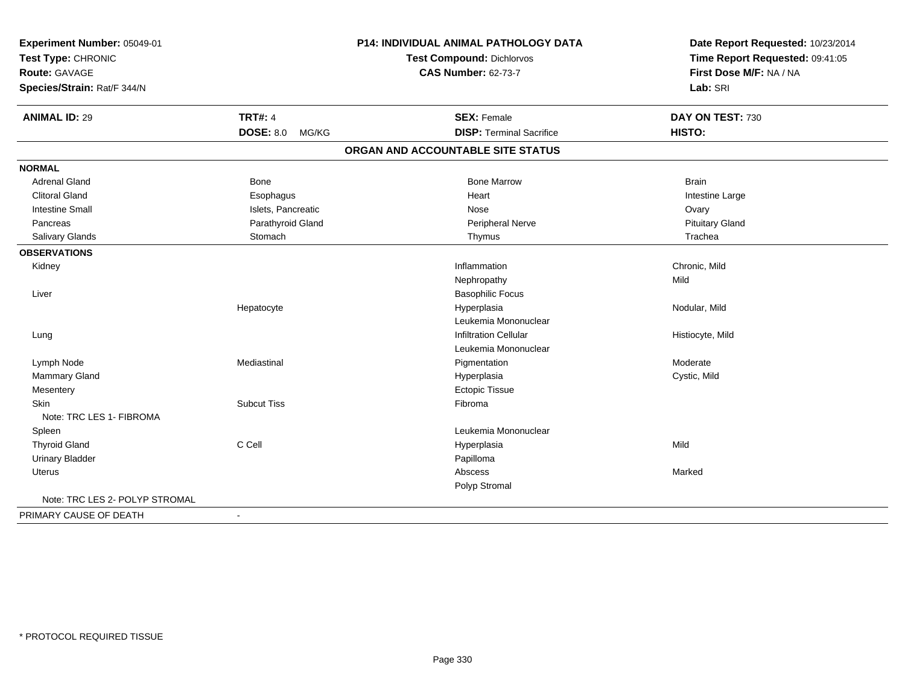| Experiment Number: 05049-01    |                           | P14: INDIVIDUAL ANIMAL PATHOLOGY DATA | Date Report Requested: 10/23/2014 |
|--------------------------------|---------------------------|---------------------------------------|-----------------------------------|
| Test Type: CHRONIC             |                           | Test Compound: Dichlorvos             | Time Report Requested: 09:41:05   |
| <b>Route: GAVAGE</b>           |                           | <b>CAS Number: 62-73-7</b>            | First Dose M/F: NA / NA           |
| Species/Strain: Rat/F 344/N    |                           |                                       | Lab: SRI                          |
| <b>ANIMAL ID: 29</b>           | <b>TRT#: 4</b>            | <b>SEX: Female</b>                    | DAY ON TEST: 730                  |
|                                | <b>DOSE: 8.0</b><br>MG/KG | <b>DISP: Terminal Sacrifice</b>       | HISTO:                            |
|                                |                           | ORGAN AND ACCOUNTABLE SITE STATUS     |                                   |
| <b>NORMAL</b>                  |                           |                                       |                                   |
| <b>Adrenal Gland</b>           | Bone                      | <b>Bone Marrow</b>                    | <b>Brain</b>                      |
| <b>Clitoral Gland</b>          | Esophagus                 | Heart                                 | Intestine Large                   |
| <b>Intestine Small</b>         | Islets, Pancreatic        | Nose                                  | Ovary                             |
| Pancreas                       | Parathyroid Gland         | <b>Peripheral Nerve</b>               | <b>Pituitary Gland</b>            |
| Salivary Glands                | Stomach                   | Thymus                                | Trachea                           |
| <b>OBSERVATIONS</b>            |                           |                                       |                                   |
| Kidney                         |                           | Inflammation                          | Chronic, Mild                     |
|                                |                           | Nephropathy                           | Mild                              |
| Liver                          |                           | <b>Basophilic Focus</b>               |                                   |
|                                | Hepatocyte                | Hyperplasia                           | Nodular, Mild                     |
|                                |                           | Leukemia Mononuclear                  |                                   |
| Lung                           |                           | <b>Infiltration Cellular</b>          | Histiocyte, Mild                  |
|                                |                           | Leukemia Mononuclear                  |                                   |
| Lymph Node                     | Mediastinal               | Pigmentation                          | Moderate                          |
| Mammary Gland                  |                           | Hyperplasia                           | Cystic, Mild                      |
| Mesentery                      |                           | <b>Ectopic Tissue</b>                 |                                   |
| Skin                           | <b>Subcut Tiss</b>        | Fibroma                               |                                   |
| Note: TRC LES 1- FIBROMA       |                           |                                       |                                   |
| Spleen                         |                           | Leukemia Mononuclear                  |                                   |
| <b>Thyroid Gland</b>           | C Cell                    | Hyperplasia                           | Mild                              |
| <b>Urinary Bladder</b>         |                           | Papilloma                             |                                   |
| <b>Uterus</b>                  |                           | Abscess                               | Marked                            |
|                                |                           | Polyp Stromal                         |                                   |
| Note: TRC LES 2- POLYP STROMAL |                           |                                       |                                   |
| PRIMARY CAUSE OF DEATH         |                           |                                       |                                   |
|                                |                           |                                       |                                   |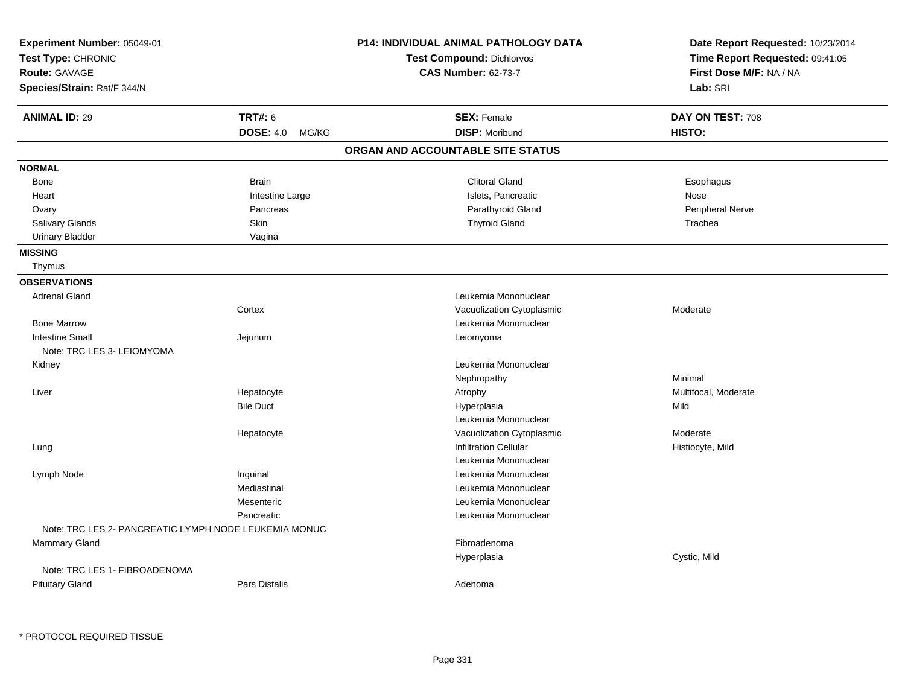| Experiment Number: 05049-01<br>Test Type: CHRONIC<br><b>Route: GAVAGE</b><br>Species/Strain: Rat/F 344/N |                                             | <b>P14: INDIVIDUAL ANIMAL PATHOLOGY DATA</b><br><b>Test Compound: Dichlorvos</b><br><b>CAS Number: 62-73-7</b> | Date Report Requested: 10/23/2014<br>Time Report Requested: 09:41:05<br>First Dose M/F: NA / NA<br>Lab: SRI |
|----------------------------------------------------------------------------------------------------------|---------------------------------------------|----------------------------------------------------------------------------------------------------------------|-------------------------------------------------------------------------------------------------------------|
| <b>ANIMAL ID: 29</b>                                                                                     | <b>TRT#: 6</b><br><b>DOSE: 4.0</b><br>MG/KG | <b>SEX: Female</b><br><b>DISP: Moribund</b>                                                                    | DAY ON TEST: 708<br>HISTO:                                                                                  |
|                                                                                                          |                                             | ORGAN AND ACCOUNTABLE SITE STATUS                                                                              |                                                                                                             |
| <b>NORMAL</b>                                                                                            |                                             |                                                                                                                |                                                                                                             |
| Bone                                                                                                     | <b>Brain</b>                                | <b>Clitoral Gland</b>                                                                                          | Esophagus                                                                                                   |
| Heart                                                                                                    | Intestine Large                             | Islets, Pancreatic                                                                                             | Nose                                                                                                        |
| Ovary                                                                                                    | Pancreas                                    | Parathyroid Gland                                                                                              | Peripheral Nerve                                                                                            |
| Salivary Glands                                                                                          | Skin                                        | <b>Thyroid Gland</b>                                                                                           | Trachea                                                                                                     |
| <b>Urinary Bladder</b>                                                                                   | Vagina                                      |                                                                                                                |                                                                                                             |
| <b>MISSING</b>                                                                                           |                                             |                                                                                                                |                                                                                                             |
| Thymus                                                                                                   |                                             |                                                                                                                |                                                                                                             |
| <b>OBSERVATIONS</b>                                                                                      |                                             |                                                                                                                |                                                                                                             |
| <b>Adrenal Gland</b>                                                                                     |                                             | Leukemia Mononuclear                                                                                           |                                                                                                             |
|                                                                                                          | Cortex                                      | Vacuolization Cytoplasmic                                                                                      | Moderate                                                                                                    |
| <b>Bone Marrow</b>                                                                                       |                                             | Leukemia Mononuclear                                                                                           |                                                                                                             |
| <b>Intestine Small</b>                                                                                   | Jejunum                                     | Leiomyoma                                                                                                      |                                                                                                             |
| Note: TRC LES 3- LEIOMYOMA                                                                               |                                             |                                                                                                                |                                                                                                             |
| Kidney                                                                                                   |                                             | Leukemia Mononuclear                                                                                           |                                                                                                             |
|                                                                                                          |                                             | Nephropathy                                                                                                    | Minimal                                                                                                     |
| Liver                                                                                                    | Hepatocyte                                  | Atrophy                                                                                                        | Multifocal, Moderate                                                                                        |
|                                                                                                          | <b>Bile Duct</b>                            | Hyperplasia                                                                                                    | Mild                                                                                                        |
|                                                                                                          |                                             | Leukemia Mononuclear                                                                                           |                                                                                                             |
|                                                                                                          | Hepatocyte                                  | Vacuolization Cytoplasmic                                                                                      | Moderate                                                                                                    |
| Lung                                                                                                     |                                             | <b>Infiltration Cellular</b>                                                                                   | Histiocyte, Mild                                                                                            |
|                                                                                                          |                                             | Leukemia Mononuclear                                                                                           |                                                                                                             |
| Lymph Node                                                                                               | Inguinal                                    | Leukemia Mononuclear                                                                                           |                                                                                                             |
|                                                                                                          | Mediastinal                                 | Leukemia Mononuclear                                                                                           |                                                                                                             |
|                                                                                                          | Mesenteric                                  | Leukemia Mononuclear                                                                                           |                                                                                                             |
|                                                                                                          | Pancreatic                                  | Leukemia Mononuclear                                                                                           |                                                                                                             |
| Note: TRC LES 2- PANCREATIC LYMPH NODE LEUKEMIA MONUC                                                    |                                             |                                                                                                                |                                                                                                             |
| Mammary Gland                                                                                            |                                             | Fibroadenoma                                                                                                   |                                                                                                             |
|                                                                                                          |                                             | Hyperplasia                                                                                                    | Cystic, Mild                                                                                                |
| Note: TRC LES 1- FIBROADENOMA                                                                            |                                             |                                                                                                                |                                                                                                             |
| <b>Pituitary Gland</b>                                                                                   | <b>Pars Distalis</b>                        | Adenoma                                                                                                        |                                                                                                             |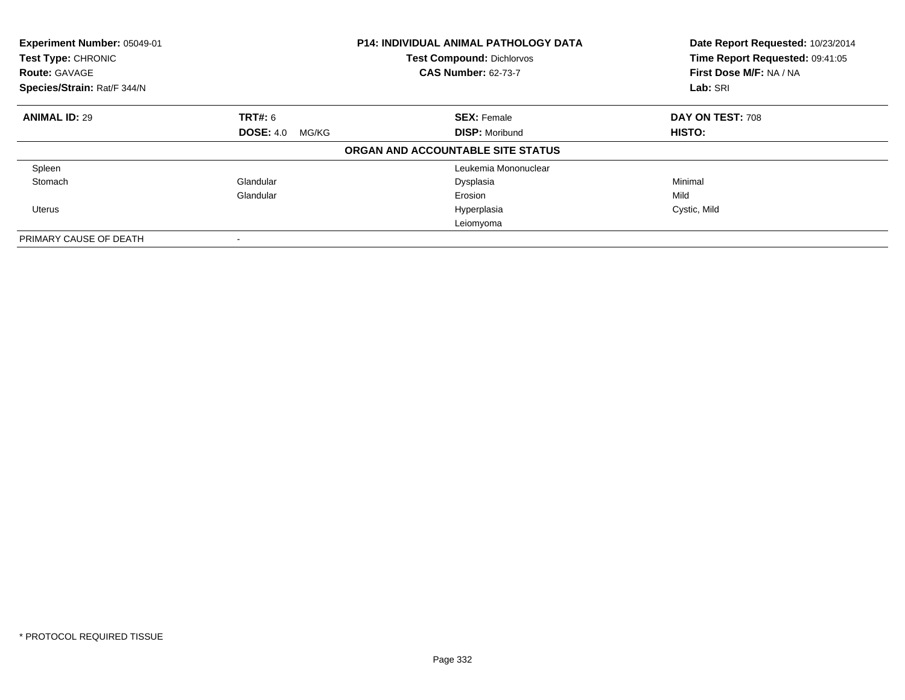| Experiment Number: 05049-01<br>Test Type: CHRONIC<br><b>Route: GAVAGE</b> |                           | <b>P14: INDIVIDUAL ANIMAL PATHOLOGY DATA</b><br><b>Test Compound: Dichlorvos</b><br><b>CAS Number: 62-73-7</b> | Date Report Requested: 10/23/2014<br>Time Report Requested: 09:41:05<br>First Dose M/F: NA / NA |
|---------------------------------------------------------------------------|---------------------------|----------------------------------------------------------------------------------------------------------------|-------------------------------------------------------------------------------------------------|
| Species/Strain: Rat/F 344/N                                               |                           |                                                                                                                | Lab: SRI                                                                                        |
| <b>ANIMAL ID: 29</b>                                                      | <b>TRT#:</b> 6            | <b>SEX: Female</b>                                                                                             | DAY ON TEST: 708                                                                                |
|                                                                           | <b>DOSE: 4.0</b><br>MG/KG | <b>DISP: Moribund</b>                                                                                          | <b>HISTO:</b>                                                                                   |
|                                                                           |                           | ORGAN AND ACCOUNTABLE SITE STATUS                                                                              |                                                                                                 |
| Spleen                                                                    |                           | Leukemia Mononuclear                                                                                           |                                                                                                 |
| Stomach                                                                   | Glandular                 | Dysplasia                                                                                                      | Minimal                                                                                         |
|                                                                           | Glandular                 | Erosion                                                                                                        | Mild                                                                                            |
| Uterus                                                                    |                           | Hyperplasia                                                                                                    | Cystic, Mild                                                                                    |
|                                                                           |                           | Leiomyoma                                                                                                      |                                                                                                 |
| PRIMARY CAUSE OF DEATH                                                    |                           |                                                                                                                |                                                                                                 |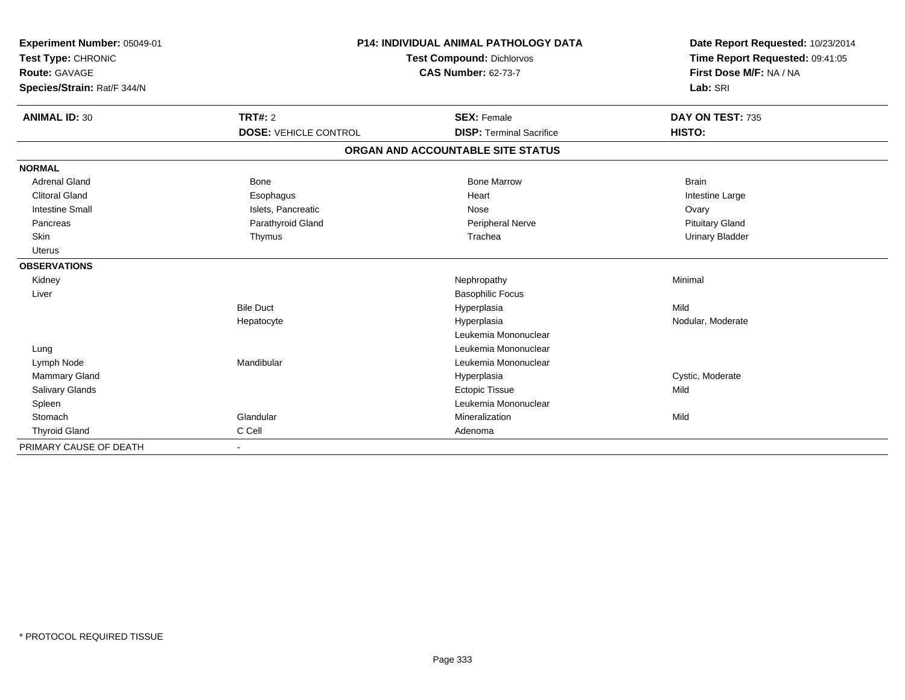| Experiment Number: 05049-01<br>Test Type: CHRONIC<br>Route: GAVAGE<br>Species/Strain: Rat/F 344/N |                              | <b>P14: INDIVIDUAL ANIMAL PATHOLOGY DATA</b><br><b>Test Compound: Dichlorvos</b><br><b>CAS Number: 62-73-7</b> | Date Report Requested: 10/23/2014<br>Time Report Requested: 09:41:05<br>First Dose M/F: NA / NA<br>Lab: SRI |  |
|---------------------------------------------------------------------------------------------------|------------------------------|----------------------------------------------------------------------------------------------------------------|-------------------------------------------------------------------------------------------------------------|--|
| <b>ANIMAL ID: 30</b>                                                                              | TRT#: 2                      | <b>SEX: Female</b>                                                                                             | DAY ON TEST: 735                                                                                            |  |
|                                                                                                   | <b>DOSE: VEHICLE CONTROL</b> | <b>DISP: Terminal Sacrifice</b>                                                                                | HISTO:                                                                                                      |  |
|                                                                                                   |                              | ORGAN AND ACCOUNTABLE SITE STATUS                                                                              |                                                                                                             |  |
| <b>NORMAL</b>                                                                                     |                              |                                                                                                                |                                                                                                             |  |
| <b>Adrenal Gland</b>                                                                              | Bone                         | <b>Bone Marrow</b>                                                                                             | <b>Brain</b>                                                                                                |  |
| <b>Clitoral Gland</b>                                                                             | Esophagus                    | Heart                                                                                                          | Intestine Large                                                                                             |  |
| <b>Intestine Small</b>                                                                            | Islets, Pancreatic           | Nose                                                                                                           | Ovary                                                                                                       |  |
| Pancreas                                                                                          | Parathyroid Gland            | Peripheral Nerve                                                                                               | <b>Pituitary Gland</b>                                                                                      |  |
| Skin                                                                                              | Thymus                       | Trachea                                                                                                        | <b>Urinary Bladder</b>                                                                                      |  |
| <b>Uterus</b>                                                                                     |                              |                                                                                                                |                                                                                                             |  |
| <b>OBSERVATIONS</b>                                                                               |                              |                                                                                                                |                                                                                                             |  |
| Kidney                                                                                            |                              | Nephropathy                                                                                                    | Minimal                                                                                                     |  |
| Liver                                                                                             |                              | <b>Basophilic Focus</b>                                                                                        |                                                                                                             |  |
|                                                                                                   | <b>Bile Duct</b>             | Hyperplasia                                                                                                    | Mild                                                                                                        |  |
|                                                                                                   | Hepatocyte                   | Hyperplasia                                                                                                    | Nodular, Moderate                                                                                           |  |
|                                                                                                   |                              | Leukemia Mononuclear                                                                                           |                                                                                                             |  |
| Lung                                                                                              |                              | Leukemia Mononuclear                                                                                           |                                                                                                             |  |
| Lymph Node                                                                                        | Mandibular                   | Leukemia Mononuclear                                                                                           |                                                                                                             |  |
| <b>Mammary Gland</b>                                                                              |                              | Hyperplasia                                                                                                    | Cystic, Moderate                                                                                            |  |
| Salivary Glands                                                                                   |                              | <b>Ectopic Tissue</b>                                                                                          | Mild                                                                                                        |  |
| Spleen                                                                                            |                              | Leukemia Mononuclear                                                                                           |                                                                                                             |  |
| Stomach                                                                                           | Glandular                    | Mineralization                                                                                                 | Mild                                                                                                        |  |
| <b>Thyroid Gland</b>                                                                              | C Cell                       | Adenoma                                                                                                        |                                                                                                             |  |
| PRIMARY CAUSE OF DEATH                                                                            |                              |                                                                                                                |                                                                                                             |  |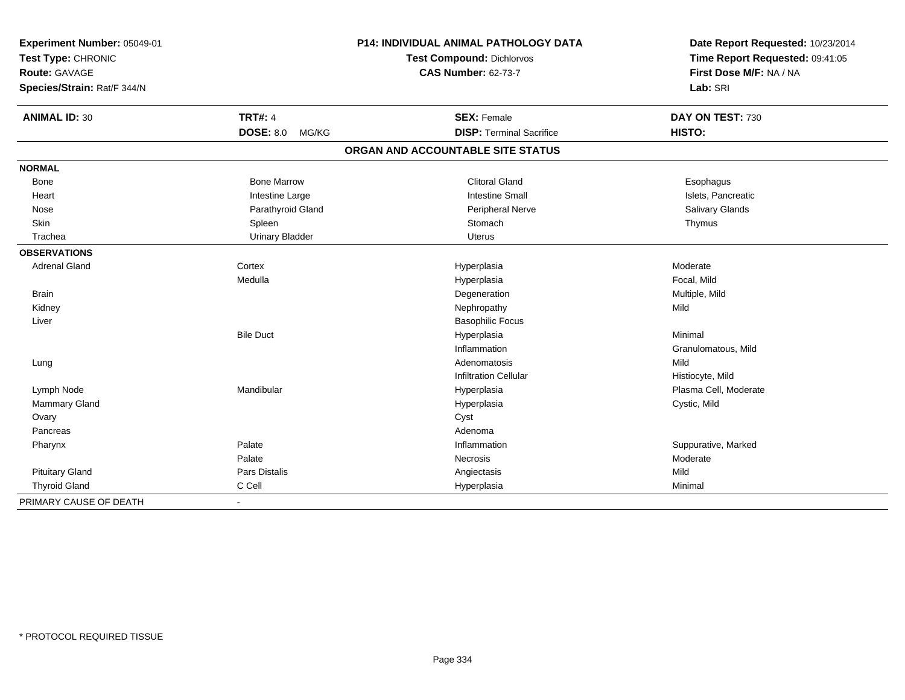| Experiment Number: 05049-01<br>Test Type: CHRONIC |                           | P14: INDIVIDUAL ANIMAL PATHOLOGY DATA | Date Report Requested: 10/23/2014<br>Time Report Requested: 09:41:05 |  |
|---------------------------------------------------|---------------------------|---------------------------------------|----------------------------------------------------------------------|--|
|                                                   |                           | Test Compound: Dichlorvos             |                                                                      |  |
| <b>Route: GAVAGE</b>                              |                           | <b>CAS Number: 62-73-7</b>            | First Dose M/F: NA / NA                                              |  |
| Species/Strain: Rat/F 344/N                       |                           |                                       | Lab: SRI                                                             |  |
| <b>ANIMAL ID: 30</b>                              | <b>TRT#: 4</b>            | <b>SEX: Female</b>                    | DAY ON TEST: 730                                                     |  |
|                                                   | <b>DOSE: 8.0</b><br>MG/KG | <b>DISP: Terminal Sacrifice</b>       | HISTO:                                                               |  |
|                                                   |                           | ORGAN AND ACCOUNTABLE SITE STATUS     |                                                                      |  |
| <b>NORMAL</b>                                     |                           |                                       |                                                                      |  |
| Bone                                              | <b>Bone Marrow</b>        | <b>Clitoral Gland</b>                 | Esophagus                                                            |  |
| Heart                                             | Intestine Large           | <b>Intestine Small</b>                | Islets, Pancreatic                                                   |  |
| Nose                                              | Parathyroid Gland         | Peripheral Nerve                      | Salivary Glands                                                      |  |
| Skin                                              | Spleen                    | Stomach                               | Thymus                                                               |  |
| Trachea                                           | <b>Urinary Bladder</b>    | Uterus                                |                                                                      |  |
| <b>OBSERVATIONS</b>                               |                           |                                       |                                                                      |  |
| <b>Adrenal Gland</b>                              | Cortex                    | Hyperplasia                           | Moderate                                                             |  |
|                                                   | Medulla                   | Hyperplasia                           | Focal, Mild                                                          |  |
| <b>Brain</b>                                      |                           | Degeneration                          | Multiple, Mild                                                       |  |
| Kidney                                            |                           | Nephropathy                           | Mild                                                                 |  |
| Liver                                             |                           | <b>Basophilic Focus</b>               |                                                                      |  |
|                                                   | <b>Bile Duct</b>          | Hyperplasia                           | Minimal                                                              |  |
|                                                   |                           | Inflammation                          | Granulomatous, Mild                                                  |  |
| Lung                                              |                           | Adenomatosis                          | Mild                                                                 |  |
|                                                   |                           | <b>Infiltration Cellular</b>          | Histiocyte, Mild                                                     |  |
| Lymph Node                                        | Mandibular                | Hyperplasia                           | Plasma Cell, Moderate                                                |  |
| Mammary Gland                                     |                           | Hyperplasia                           | Cystic, Mild                                                         |  |
| Ovary                                             |                           | Cyst                                  |                                                                      |  |
| Pancreas                                          |                           | Adenoma                               |                                                                      |  |
| Pharynx                                           | Palate                    | Inflammation                          | Suppurative, Marked                                                  |  |
|                                                   | Palate                    | Necrosis                              | Moderate                                                             |  |
| <b>Pituitary Gland</b>                            | Pars Distalis             | Angiectasis                           | Mild                                                                 |  |
| <b>Thyroid Gland</b>                              | C Cell                    | Hyperplasia                           | Minimal                                                              |  |
| PRIMARY CAUSE OF DEATH                            | $\blacksquare$            |                                       |                                                                      |  |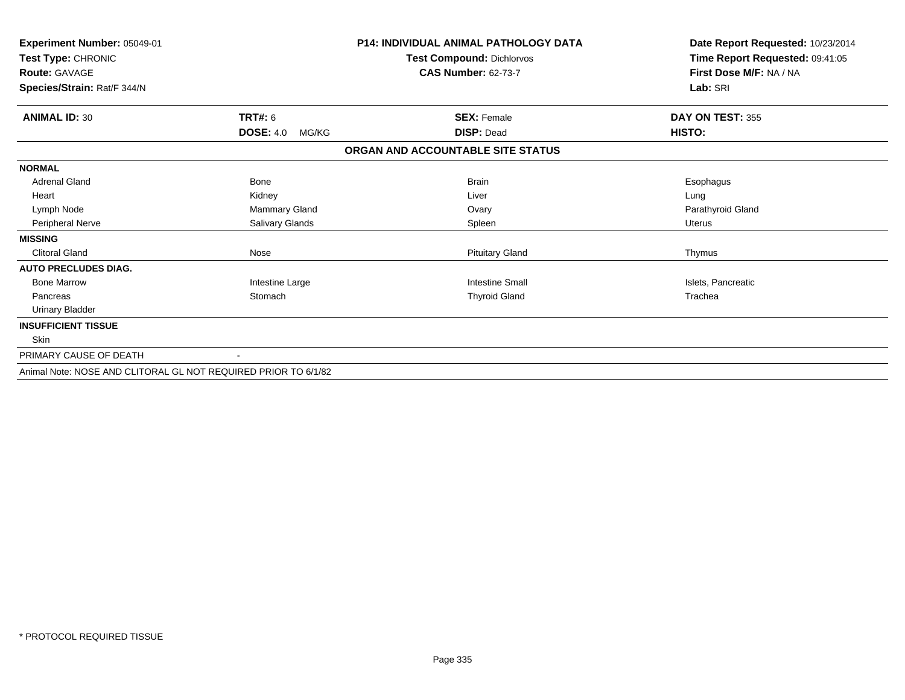| Experiment Number: 05049-01<br>Test Type: CHRONIC<br><b>Route: GAVAGE</b> |                           | <b>P14: INDIVIDUAL ANIMAL PATHOLOGY DATA</b><br>Test Compound: Dichlorvos<br><b>CAS Number: 62-73-7</b> | Date Report Requested: 10/23/2014<br>Time Report Requested: 09:41:05<br>First Dose M/F: NA / NA |  |
|---------------------------------------------------------------------------|---------------------------|---------------------------------------------------------------------------------------------------------|-------------------------------------------------------------------------------------------------|--|
| Species/Strain: Rat/F 344/N                                               |                           |                                                                                                         | Lab: SRI                                                                                        |  |
| <b>ANIMAL ID: 30</b>                                                      | <b>TRT#: 6</b>            | <b>SEX: Female</b>                                                                                      | DAY ON TEST: 355                                                                                |  |
|                                                                           | <b>DOSE: 4.0</b><br>MG/KG | <b>DISP: Dead</b>                                                                                       | <b>HISTO:</b>                                                                                   |  |
|                                                                           |                           | ORGAN AND ACCOUNTABLE SITE STATUS                                                                       |                                                                                                 |  |
| <b>NORMAL</b>                                                             |                           |                                                                                                         |                                                                                                 |  |
| <b>Adrenal Gland</b>                                                      | Bone                      | <b>Brain</b>                                                                                            | Esophagus                                                                                       |  |
| Heart                                                                     | Kidney                    | Liver                                                                                                   | Lung                                                                                            |  |
| Lymph Node                                                                | Mammary Gland             | Ovary                                                                                                   | Parathyroid Gland                                                                               |  |
| Peripheral Nerve                                                          | Salivary Glands           | Spleen                                                                                                  | <b>Uterus</b>                                                                                   |  |
| <b>MISSING</b>                                                            |                           |                                                                                                         |                                                                                                 |  |
| <b>Clitoral Gland</b>                                                     | Nose                      | <b>Pituitary Gland</b>                                                                                  | Thymus                                                                                          |  |
| <b>AUTO PRECLUDES DIAG.</b>                                               |                           |                                                                                                         |                                                                                                 |  |
| <b>Bone Marrow</b>                                                        | Intestine Large           | <b>Intestine Small</b>                                                                                  | Islets, Pancreatic                                                                              |  |
| Pancreas                                                                  | Stomach                   | <b>Thyroid Gland</b>                                                                                    | Trachea                                                                                         |  |
| <b>Urinary Bladder</b>                                                    |                           |                                                                                                         |                                                                                                 |  |
| <b>INSUFFICIENT TISSUE</b>                                                |                           |                                                                                                         |                                                                                                 |  |
| Skin                                                                      |                           |                                                                                                         |                                                                                                 |  |
| PRIMARY CAUSE OF DEATH                                                    |                           |                                                                                                         |                                                                                                 |  |
| Animal Note: NOSE AND CLITORAL GL NOT REQUIRED PRIOR TO 6/1/82            |                           |                                                                                                         |                                                                                                 |  |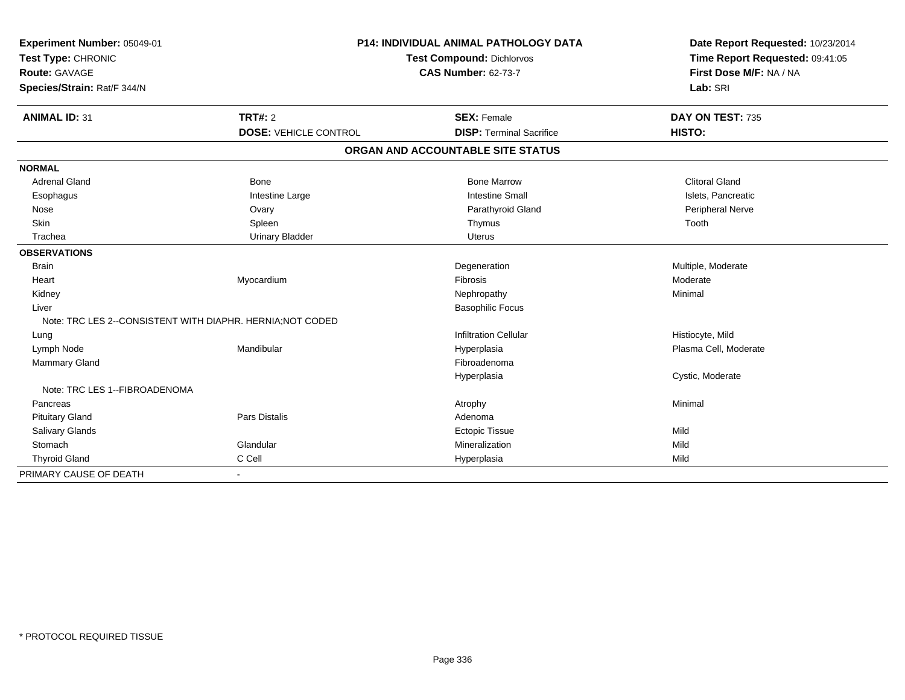| Experiment Number: 05049-01                                |                              | <b>P14: INDIVIDUAL ANIMAL PATHOLOGY DATA</b> |                                 |
|------------------------------------------------------------|------------------------------|----------------------------------------------|---------------------------------|
| Test Type: CHRONIC                                         |                              | Test Compound: Dichlorvos                    | Time Report Requested: 09:41:05 |
| <b>Route: GAVAGE</b>                                       |                              | <b>CAS Number: 62-73-7</b>                   | First Dose M/F: NA / NA         |
| Species/Strain: Rat/F 344/N                                |                              |                                              | Lab: SRI                        |
| <b>ANIMAL ID: 31</b>                                       | TRT#: 2                      | <b>SEX: Female</b>                           | DAY ON TEST: 735                |
|                                                            | <b>DOSE: VEHICLE CONTROL</b> | <b>DISP: Terminal Sacrifice</b>              | HISTO:                          |
|                                                            |                              | ORGAN AND ACCOUNTABLE SITE STATUS            |                                 |
| <b>NORMAL</b>                                              |                              |                                              |                                 |
| <b>Adrenal Gland</b>                                       | <b>Bone</b>                  | <b>Bone Marrow</b>                           | <b>Clitoral Gland</b>           |
| Esophagus                                                  | Intestine Large              | <b>Intestine Small</b>                       | Islets, Pancreatic              |
| Nose                                                       | Ovary                        | Parathyroid Gland                            | Peripheral Nerve                |
| <b>Skin</b>                                                | Spleen                       | Thymus                                       | Tooth                           |
| Trachea                                                    | <b>Urinary Bladder</b>       | <b>Uterus</b>                                |                                 |
| <b>OBSERVATIONS</b>                                        |                              |                                              |                                 |
| <b>Brain</b>                                               |                              | Degeneration                                 | Multiple, Moderate              |
| Heart                                                      | Myocardium                   | Fibrosis                                     | Moderate                        |
| Kidney                                                     |                              | Nephropathy                                  | Minimal                         |
| Liver                                                      |                              | <b>Basophilic Focus</b>                      |                                 |
| Note: TRC LES 2--CONSISTENT WITH DIAPHR. HERNIA; NOT CODED |                              |                                              |                                 |
| Lung                                                       |                              | <b>Infiltration Cellular</b>                 | Histiocyte, Mild                |
| Lymph Node                                                 | Mandibular                   | Hyperplasia                                  | Plasma Cell, Moderate           |
| Mammary Gland                                              |                              | Fibroadenoma                                 |                                 |
|                                                            |                              | Hyperplasia                                  | Cystic, Moderate                |
| Note: TRC LES 1--FIBROADENOMA                              |                              |                                              |                                 |
| Pancreas                                                   |                              | Atrophy                                      | Minimal                         |
| <b>Pituitary Gland</b>                                     | <b>Pars Distalis</b>         | Adenoma                                      |                                 |
| Salivary Glands                                            |                              | <b>Ectopic Tissue</b>                        | Mild                            |
| Stomach                                                    | Glandular                    | Mineralization                               | Mild                            |
| <b>Thyroid Gland</b>                                       | C Cell                       | Hyperplasia                                  | Mild                            |
| PRIMARY CAUSE OF DEATH                                     |                              |                                              |                                 |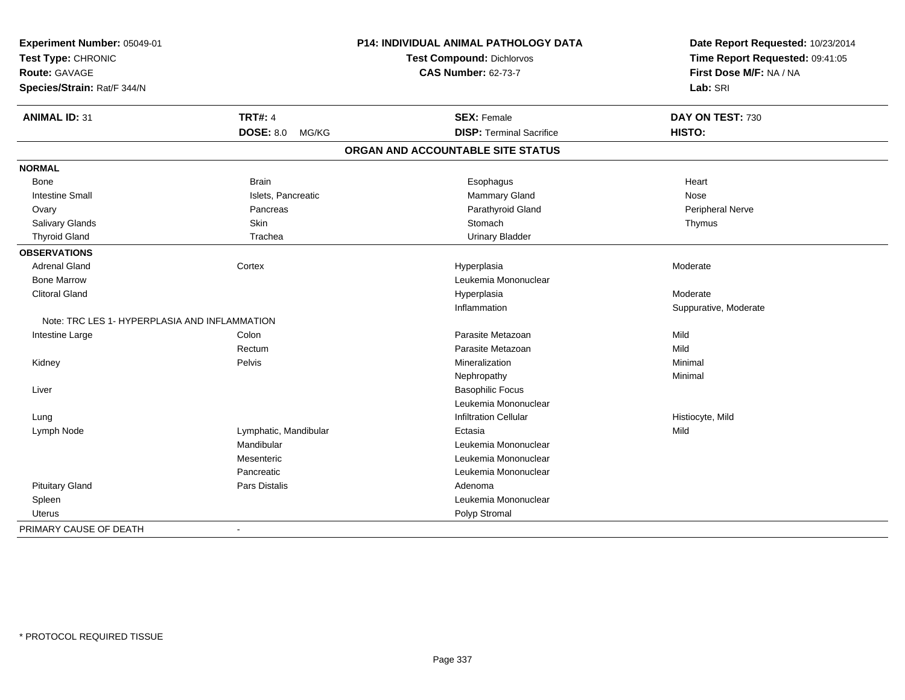| Experiment Number: 05049-01<br>Test Type: CHRONIC |                          | P14: INDIVIDUAL ANIMAL PATHOLOGY DATA | Date Report Requested: 10/23/2014<br>Time Report Requested: 09:41:05 |  |
|---------------------------------------------------|--------------------------|---------------------------------------|----------------------------------------------------------------------|--|
|                                                   |                          | <b>Test Compound: Dichlorvos</b>      |                                                                      |  |
| Route: GAVAGE                                     |                          | <b>CAS Number: 62-73-7</b>            | First Dose M/F: NA / NA                                              |  |
| Species/Strain: Rat/F 344/N                       |                          |                                       | Lab: SRI                                                             |  |
| <b>ANIMAL ID: 31</b>                              | <b>TRT#: 4</b>           | <b>SEX: Female</b>                    | DAY ON TEST: 730                                                     |  |
|                                                   | <b>DOSE: 8.0 MG/KG</b>   | <b>DISP: Terminal Sacrifice</b>       | HISTO:                                                               |  |
|                                                   |                          | ORGAN AND ACCOUNTABLE SITE STATUS     |                                                                      |  |
| <b>NORMAL</b>                                     |                          |                                       |                                                                      |  |
| Bone                                              | <b>Brain</b>             | Esophagus                             | Heart                                                                |  |
| <b>Intestine Small</b>                            | Islets, Pancreatic       | <b>Mammary Gland</b>                  | Nose                                                                 |  |
| Ovary                                             | Pancreas                 | Parathyroid Gland                     | Peripheral Nerve                                                     |  |
| Salivary Glands                                   | Skin                     | Stomach                               | Thymus                                                               |  |
| <b>Thyroid Gland</b>                              | Trachea                  | <b>Urinary Bladder</b>                |                                                                      |  |
| <b>OBSERVATIONS</b>                               |                          |                                       |                                                                      |  |
| <b>Adrenal Gland</b>                              | Cortex                   | Hyperplasia                           | Moderate                                                             |  |
| <b>Bone Marrow</b>                                |                          | Leukemia Mononuclear                  |                                                                      |  |
| <b>Clitoral Gland</b>                             |                          | Hyperplasia                           | Moderate                                                             |  |
|                                                   |                          | Inflammation                          | Suppurative, Moderate                                                |  |
| Note: TRC LES 1- HYPERPLASIA AND INFLAMMATION     |                          |                                       |                                                                      |  |
| Intestine Large                                   | Colon                    | Parasite Metazoan                     | Mild                                                                 |  |
|                                                   | Rectum                   | Parasite Metazoan                     | Mild                                                                 |  |
| Kidney                                            | Pelvis                   | Mineralization                        | Minimal                                                              |  |
|                                                   |                          | Nephropathy                           | Minimal                                                              |  |
| Liver                                             |                          | <b>Basophilic Focus</b>               |                                                                      |  |
|                                                   |                          | Leukemia Mononuclear                  |                                                                      |  |
| Lung                                              |                          | <b>Infiltration Cellular</b>          | Histiocyte, Mild                                                     |  |
| Lymph Node                                        | Lymphatic, Mandibular    | Ectasia                               | Mild                                                                 |  |
|                                                   | Mandibular               | Leukemia Mononuclear                  |                                                                      |  |
|                                                   | Mesenteric               | Leukemia Mononuclear                  |                                                                      |  |
|                                                   | Pancreatic               | Leukemia Mononuclear                  |                                                                      |  |
| <b>Pituitary Gland</b>                            | <b>Pars Distalis</b>     | Adenoma                               |                                                                      |  |
| Spleen                                            |                          | Leukemia Mononuclear                  |                                                                      |  |
| Uterus                                            |                          | Polyp Stromal                         |                                                                      |  |
| PRIMARY CAUSE OF DEATH                            | $\overline{\phantom{a}}$ |                                       |                                                                      |  |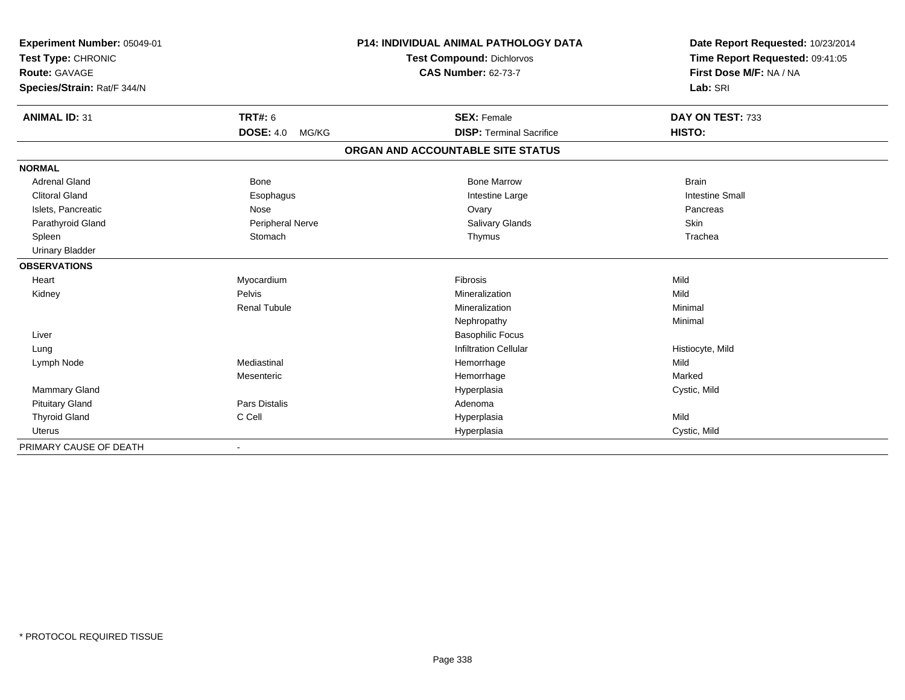| Experiment Number: 05049-01<br>Test Type: CHRONIC |                           | <b>P14: INDIVIDUAL ANIMAL PATHOLOGY DATA</b> | Date Report Requested: 10/23/2014<br>Time Report Requested: 09:41:05 |
|---------------------------------------------------|---------------------------|----------------------------------------------|----------------------------------------------------------------------|
|                                                   |                           | <b>Test Compound: Dichlorvos</b>             |                                                                      |
| <b>Route: GAVAGE</b>                              |                           | <b>CAS Number: 62-73-7</b>                   | First Dose M/F: NA / NA                                              |
| Species/Strain: Rat/F 344/N                       |                           |                                              | Lab: SRI                                                             |
| <b>ANIMAL ID: 31</b>                              | <b>TRT#: 6</b>            | <b>SEX: Female</b>                           | DAY ON TEST: 733                                                     |
|                                                   | <b>DOSE: 4.0</b><br>MG/KG | <b>DISP: Terminal Sacrifice</b>              | HISTO:                                                               |
|                                                   |                           | ORGAN AND ACCOUNTABLE SITE STATUS            |                                                                      |
| <b>NORMAL</b>                                     |                           |                                              |                                                                      |
| <b>Adrenal Gland</b>                              | <b>Bone</b>               | <b>Bone Marrow</b>                           | <b>Brain</b>                                                         |
| <b>Clitoral Gland</b>                             | Esophagus                 | Intestine Large                              | <b>Intestine Small</b>                                               |
| Islets, Pancreatic                                | Nose                      | Ovary                                        | Pancreas                                                             |
| Parathyroid Gland                                 | Peripheral Nerve          | Salivary Glands                              | Skin                                                                 |
| Spleen                                            | Stomach                   | Thymus                                       | Trachea                                                              |
| <b>Urinary Bladder</b>                            |                           |                                              |                                                                      |
| <b>OBSERVATIONS</b>                               |                           |                                              |                                                                      |
| Heart                                             | Myocardium                | Fibrosis                                     | Mild                                                                 |
| Kidney                                            | Pelvis                    | Mineralization                               | Mild                                                                 |
|                                                   | <b>Renal Tubule</b>       | Mineralization                               | Minimal                                                              |
|                                                   |                           | Nephropathy                                  | Minimal                                                              |
| Liver                                             |                           | <b>Basophilic Focus</b>                      |                                                                      |
| Lung                                              |                           | <b>Infiltration Cellular</b>                 | Histiocyte, Mild                                                     |
| Lymph Node                                        | Mediastinal               | Hemorrhage                                   | Mild                                                                 |
|                                                   | Mesenteric                | Hemorrhage                                   | Marked                                                               |
| <b>Mammary Gland</b>                              |                           | Hyperplasia                                  | Cystic, Mild                                                         |
| <b>Pituitary Gland</b>                            | Pars Distalis             | Adenoma                                      |                                                                      |
| <b>Thyroid Gland</b>                              | C Cell                    | Hyperplasia                                  | Mild                                                                 |
| <b>Uterus</b>                                     |                           | Hyperplasia                                  | Cystic, Mild                                                         |
| PRIMARY CAUSE OF DEATH                            |                           |                                              |                                                                      |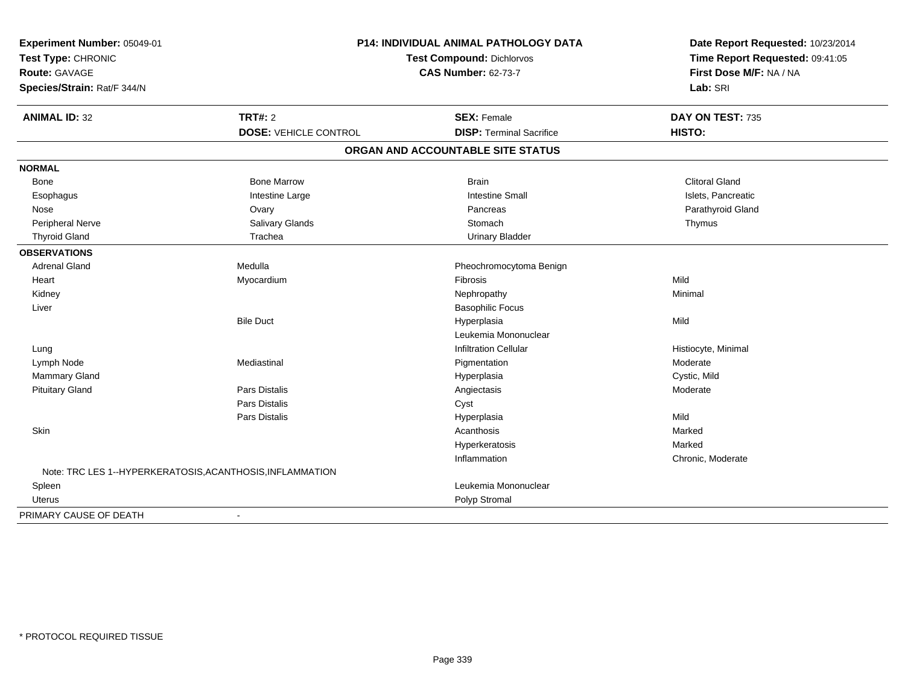| Experiment Number: 05049-01<br>Test Type: CHRONIC<br><b>Route: GAVAGE</b><br>Species/Strain: Rat/F 344/N | <b>P14: INDIVIDUAL ANIMAL PATHOLOGY DATA</b><br>Test Compound: Dichlorvos<br><b>CAS Number: 62-73-7</b> |                                     | Date Report Requested: 10/23/2014<br>Time Report Requested: 09:41:05<br>First Dose M/F: NA / NA<br>Lab: SRI |
|----------------------------------------------------------------------------------------------------------|---------------------------------------------------------------------------------------------------------|-------------------------------------|-------------------------------------------------------------------------------------------------------------|
| <b>ANIMAL ID: 32</b>                                                                                     | <b>TRT#: 2</b>                                                                                          | <b>SEX: Female</b>                  | DAY ON TEST: 735                                                                                            |
|                                                                                                          | <b>DOSE: VEHICLE CONTROL</b>                                                                            | <b>DISP: Terminal Sacrifice</b>     | HISTO:                                                                                                      |
|                                                                                                          |                                                                                                         | ORGAN AND ACCOUNTABLE SITE STATUS   |                                                                                                             |
| <b>NORMAL</b>                                                                                            |                                                                                                         |                                     |                                                                                                             |
| <b>Bone</b>                                                                                              | <b>Bone Marrow</b>                                                                                      | <b>Brain</b>                        | <b>Clitoral Gland</b>                                                                                       |
|                                                                                                          | Intestine Large                                                                                         | <b>Intestine Small</b>              | Islets, Pancreatic                                                                                          |
| Esophagus<br>Nose                                                                                        |                                                                                                         | Pancreas                            | Parathyroid Gland                                                                                           |
| Peripheral Nerve                                                                                         | Ovary<br>Salivary Glands                                                                                | Stomach                             | Thymus                                                                                                      |
| <b>Thyroid Gland</b>                                                                                     | Trachea                                                                                                 | <b>Urinary Bladder</b>              |                                                                                                             |
| <b>OBSERVATIONS</b>                                                                                      |                                                                                                         |                                     |                                                                                                             |
| <b>Adrenal Gland</b>                                                                                     | Medulla                                                                                                 | Pheochromocytoma Benign             |                                                                                                             |
|                                                                                                          |                                                                                                         | <b>Fibrosis</b>                     | Mild                                                                                                        |
| Heart                                                                                                    | Myocardium                                                                                              |                                     | Minimal                                                                                                     |
| Kidney                                                                                                   |                                                                                                         | Nephropathy                         |                                                                                                             |
| Liver                                                                                                    | <b>Bile Duct</b>                                                                                        | <b>Basophilic Focus</b>             |                                                                                                             |
|                                                                                                          |                                                                                                         | Hyperplasia<br>Leukemia Mononuclear | Mild                                                                                                        |
|                                                                                                          |                                                                                                         |                                     |                                                                                                             |
| Lung                                                                                                     |                                                                                                         | <b>Infiltration Cellular</b>        | Histiocyte, Minimal                                                                                         |
| Lymph Node                                                                                               | Mediastinal                                                                                             | Pigmentation                        | Moderate                                                                                                    |
| Mammary Gland                                                                                            |                                                                                                         | Hyperplasia                         | Cystic, Mild                                                                                                |
| <b>Pituitary Gland</b>                                                                                   | Pars Distalis                                                                                           | Angiectasis                         | Moderate                                                                                                    |
|                                                                                                          | Pars Distalis                                                                                           | Cyst                                |                                                                                                             |
|                                                                                                          | Pars Distalis                                                                                           | Hyperplasia                         | Mild                                                                                                        |
| Skin                                                                                                     |                                                                                                         | Acanthosis                          | Marked                                                                                                      |
|                                                                                                          |                                                                                                         | Hyperkeratosis                      | Marked                                                                                                      |
|                                                                                                          |                                                                                                         | Inflammation                        | Chronic, Moderate                                                                                           |
| Note: TRC LES 1--HYPERKERATOSIS, ACANTHOSIS, INFLAMMATION                                                |                                                                                                         |                                     |                                                                                                             |
| Spleen                                                                                                   |                                                                                                         | Leukemia Mononuclear                |                                                                                                             |
| Uterus                                                                                                   |                                                                                                         | Polyp Stromal                       |                                                                                                             |
| PRIMARY CAUSE OF DEATH                                                                                   | $\overline{\phantom{a}}$                                                                                |                                     |                                                                                                             |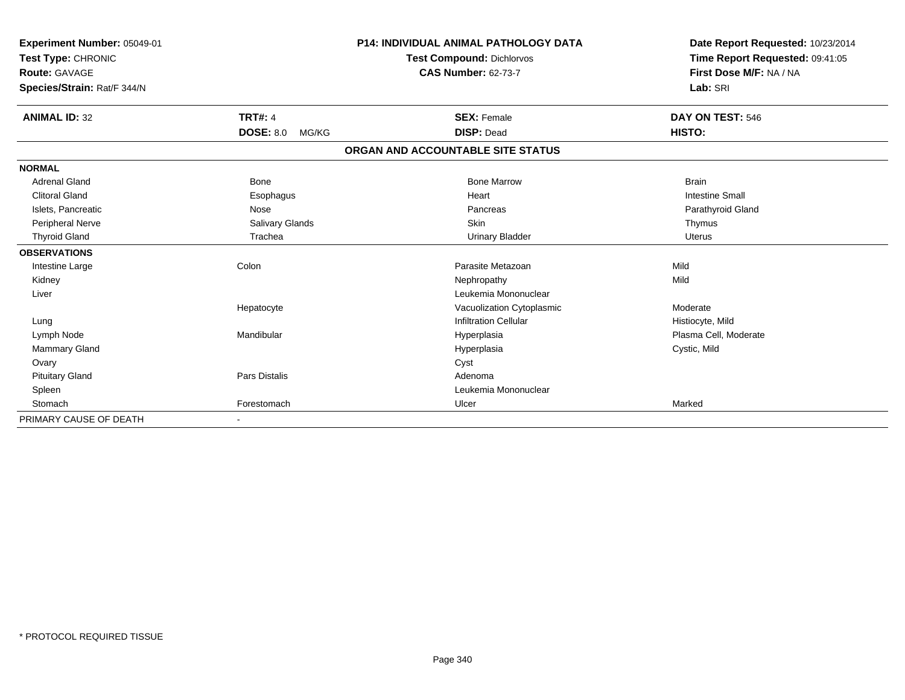| Experiment Number: 05049-01<br>Test Type: CHRONIC<br>Route: GAVAGE |                           | <b>P14: INDIVIDUAL ANIMAL PATHOLOGY DATA</b><br><b>Test Compound: Dichlorvos</b><br><b>CAS Number: 62-73-7</b> | Date Report Requested: 10/23/2014<br>Time Report Requested: 09:41:05<br>First Dose M/F: NA / NA |
|--------------------------------------------------------------------|---------------------------|----------------------------------------------------------------------------------------------------------------|-------------------------------------------------------------------------------------------------|
| Species/Strain: Rat/F 344/N                                        |                           |                                                                                                                | Lab: SRI                                                                                        |
| <b>ANIMAL ID: 32</b>                                               | <b>TRT#: 4</b>            | <b>SEX: Female</b>                                                                                             | DAY ON TEST: 546                                                                                |
|                                                                    | <b>DOSE: 8.0</b><br>MG/KG | <b>DISP: Dead</b>                                                                                              | HISTO:                                                                                          |
|                                                                    |                           | ORGAN AND ACCOUNTABLE SITE STATUS                                                                              |                                                                                                 |
| <b>NORMAL</b>                                                      |                           |                                                                                                                |                                                                                                 |
| <b>Adrenal Gland</b>                                               | Bone                      | <b>Bone Marrow</b>                                                                                             | <b>Brain</b>                                                                                    |
| <b>Clitoral Gland</b>                                              | Esophagus                 | Heart                                                                                                          | <b>Intestine Small</b>                                                                          |
| Islets, Pancreatic                                                 | Nose                      | Pancreas                                                                                                       | Parathyroid Gland                                                                               |
| Peripheral Nerve                                                   | Salivary Glands           | <b>Skin</b>                                                                                                    | Thymus                                                                                          |
| <b>Thyroid Gland</b>                                               | Trachea                   | <b>Urinary Bladder</b>                                                                                         | <b>Uterus</b>                                                                                   |
| <b>OBSERVATIONS</b>                                                |                           |                                                                                                                |                                                                                                 |
| Intestine Large                                                    | Colon                     | Parasite Metazoan                                                                                              | Mild                                                                                            |
| Kidney                                                             |                           | Nephropathy                                                                                                    | Mild                                                                                            |
| Liver                                                              |                           | Leukemia Mononuclear                                                                                           |                                                                                                 |
|                                                                    | Hepatocyte                | Vacuolization Cytoplasmic                                                                                      | Moderate                                                                                        |
| Lung                                                               |                           | <b>Infiltration Cellular</b>                                                                                   | Histiocyte, Mild                                                                                |
| Lymph Node                                                         | Mandibular                | Hyperplasia                                                                                                    | Plasma Cell, Moderate                                                                           |
| Mammary Gland                                                      |                           | Hyperplasia                                                                                                    | Cystic, Mild                                                                                    |
| Ovary                                                              |                           | Cyst                                                                                                           |                                                                                                 |
| <b>Pituitary Gland</b>                                             | Pars Distalis             | Adenoma                                                                                                        |                                                                                                 |
| Spleen                                                             |                           | Leukemia Mononuclear                                                                                           |                                                                                                 |
| Stomach                                                            | Forestomach               | Ulcer                                                                                                          | Marked                                                                                          |
| PRIMARY CAUSE OF DEATH                                             |                           |                                                                                                                |                                                                                                 |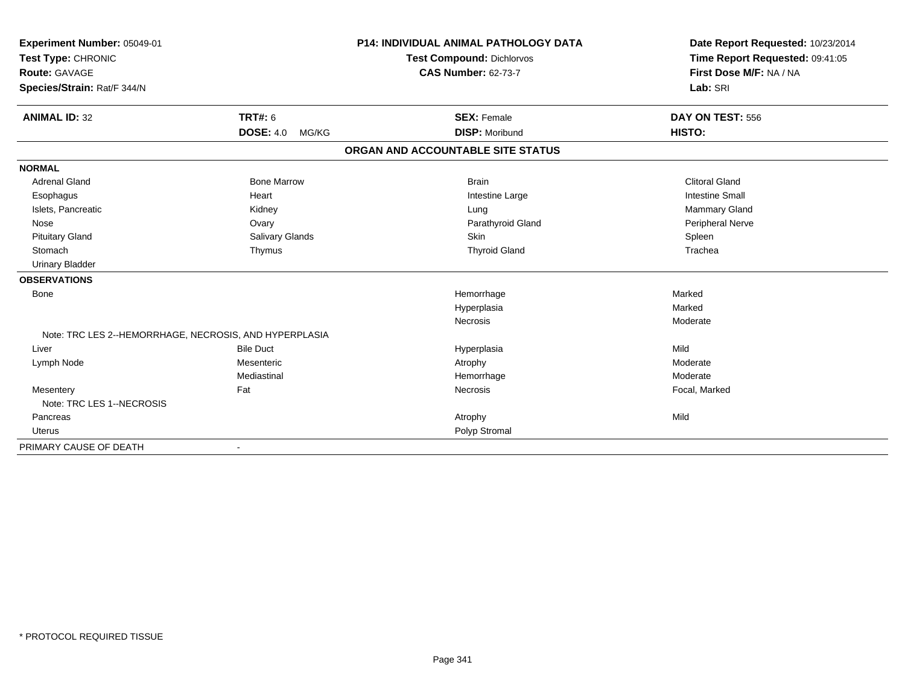| Experiment Number: 05049-01<br>Test Type: CHRONIC<br>Route: GAVAGE<br>Species/Strain: Rat/F 344/N |                           | <b>P14: INDIVIDUAL ANIMAL PATHOLOGY DATA</b><br><b>Test Compound: Dichlorvos</b><br><b>CAS Number: 62-73-7</b> | Date Report Requested: 10/23/2014<br>Time Report Requested: 09:41:05<br>First Dose M/F: NA / NA<br>Lab: SRI |
|---------------------------------------------------------------------------------------------------|---------------------------|----------------------------------------------------------------------------------------------------------------|-------------------------------------------------------------------------------------------------------------|
| <b>ANIMAL ID: 32</b>                                                                              | <b>TRT#: 6</b>            | <b>SEX: Female</b>                                                                                             | DAY ON TEST: 556                                                                                            |
|                                                                                                   | <b>DOSE: 4.0</b><br>MG/KG | <b>DISP: Moribund</b>                                                                                          | HISTO:                                                                                                      |
|                                                                                                   |                           | ORGAN AND ACCOUNTABLE SITE STATUS                                                                              |                                                                                                             |
| <b>NORMAL</b>                                                                                     |                           |                                                                                                                |                                                                                                             |
| <b>Adrenal Gland</b>                                                                              | <b>Bone Marrow</b>        | <b>Brain</b>                                                                                                   | <b>Clitoral Gland</b>                                                                                       |
| Esophagus                                                                                         | Heart                     | Intestine Large                                                                                                | <b>Intestine Small</b>                                                                                      |
| Islets, Pancreatic                                                                                | Kidney                    | Lung                                                                                                           | Mammary Gland                                                                                               |
| Nose                                                                                              | Ovary                     | Parathyroid Gland                                                                                              | <b>Peripheral Nerve</b>                                                                                     |
| <b>Pituitary Gland</b>                                                                            | Salivary Glands           | <b>Skin</b>                                                                                                    | Spleen                                                                                                      |
| Stomach                                                                                           | Thymus                    | <b>Thyroid Gland</b>                                                                                           | Trachea                                                                                                     |
| <b>Urinary Bladder</b>                                                                            |                           |                                                                                                                |                                                                                                             |
| <b>OBSERVATIONS</b>                                                                               |                           |                                                                                                                |                                                                                                             |
| Bone                                                                                              |                           | Hemorrhage                                                                                                     | Marked                                                                                                      |
|                                                                                                   |                           | Hyperplasia                                                                                                    | Marked                                                                                                      |
|                                                                                                   |                           | Necrosis                                                                                                       | Moderate                                                                                                    |
| Note: TRC LES 2--HEMORRHAGE, NECROSIS, AND HYPERPLASIA                                            |                           |                                                                                                                |                                                                                                             |
| Liver                                                                                             | <b>Bile Duct</b>          | Hyperplasia                                                                                                    | Mild                                                                                                        |
| Lymph Node                                                                                        | Mesenteric                | Atrophy                                                                                                        | Moderate                                                                                                    |
|                                                                                                   | Mediastinal               | Hemorrhage                                                                                                     | Moderate                                                                                                    |
| Mesentery                                                                                         | Fat                       | Necrosis                                                                                                       | Focal, Marked                                                                                               |
| Note: TRC LES 1--NECROSIS                                                                         |                           |                                                                                                                |                                                                                                             |
| Pancreas                                                                                          |                           | Atrophy                                                                                                        | Mild                                                                                                        |
| <b>Uterus</b>                                                                                     |                           | Polyp Stromal                                                                                                  |                                                                                                             |
| PRIMARY CAUSE OF DEATH                                                                            |                           |                                                                                                                |                                                                                                             |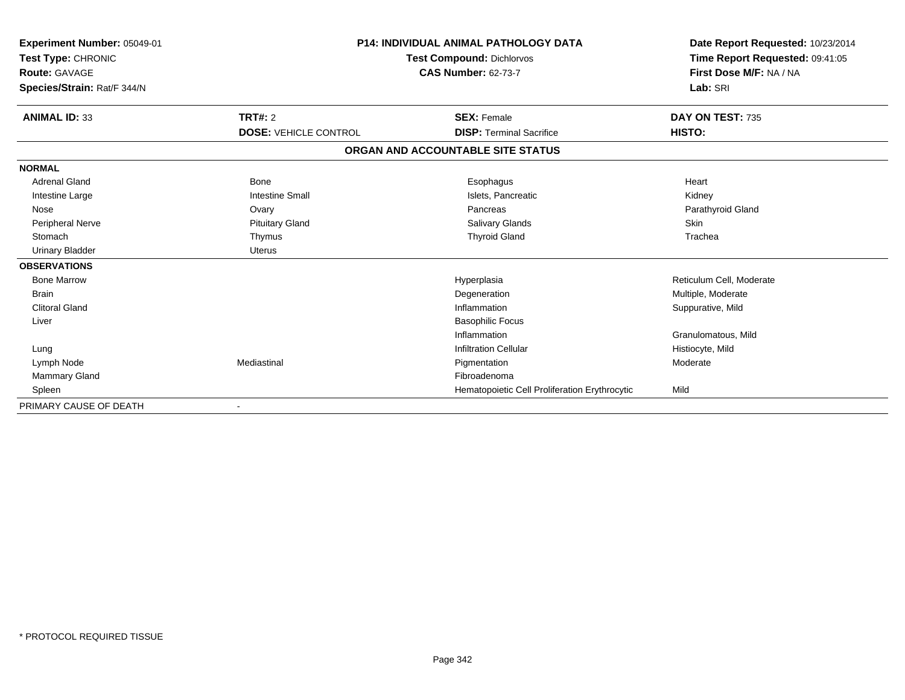| Experiment Number: 05049-01<br>Test Type: CHRONIC |                              | <b>P14: INDIVIDUAL ANIMAL PATHOLOGY DATA</b><br><b>Test Compound: Dichlorvos</b> | Date Report Requested: 10/23/2014                          |
|---------------------------------------------------|------------------------------|----------------------------------------------------------------------------------|------------------------------------------------------------|
| Route: GAVAGE                                     |                              | <b>CAS Number: 62-73-7</b>                                                       | Time Report Requested: 09:41:05<br>First Dose M/F: NA / NA |
| Species/Strain: Rat/F 344/N                       |                              |                                                                                  | Lab: SRI                                                   |
| <b>ANIMAL ID: 33</b>                              | TRT#: 2                      | <b>SEX: Female</b>                                                               | DAY ON TEST: 735                                           |
|                                                   | <b>DOSE: VEHICLE CONTROL</b> | <b>DISP: Terminal Sacrifice</b>                                                  | HISTO:                                                     |
|                                                   |                              | ORGAN AND ACCOUNTABLE SITE STATUS                                                |                                                            |
| <b>NORMAL</b>                                     |                              |                                                                                  |                                                            |
| <b>Adrenal Gland</b>                              | Bone                         | Esophagus                                                                        | Heart                                                      |
| Intestine Large                                   | <b>Intestine Small</b>       | Islets, Pancreatic                                                               | Kidney                                                     |
| Nose                                              | Ovary                        | Pancreas                                                                         | Parathyroid Gland                                          |
| <b>Peripheral Nerve</b>                           | <b>Pituitary Gland</b>       | <b>Salivary Glands</b>                                                           | <b>Skin</b>                                                |
| Stomach                                           | Thymus                       | <b>Thyroid Gland</b>                                                             | Trachea                                                    |
| <b>Urinary Bladder</b>                            | <b>Uterus</b>                |                                                                                  |                                                            |
| <b>OBSERVATIONS</b>                               |                              |                                                                                  |                                                            |
| <b>Bone Marrow</b>                                |                              | Hyperplasia                                                                      | Reticulum Cell, Moderate                                   |
| <b>Brain</b>                                      |                              | Degeneration                                                                     | Multiple, Moderate                                         |
| <b>Clitoral Gland</b>                             |                              | Inflammation                                                                     | Suppurative, Mild                                          |
| Liver                                             |                              | <b>Basophilic Focus</b>                                                          |                                                            |
|                                                   |                              | Inflammation                                                                     | Granulomatous, Mild                                        |
| Lung                                              |                              | <b>Infiltration Cellular</b>                                                     | Histiocyte, Mild                                           |
| Lymph Node                                        | Mediastinal                  | Pigmentation                                                                     | Moderate                                                   |
| <b>Mammary Gland</b>                              |                              | Fibroadenoma                                                                     |                                                            |
| Spleen                                            |                              | Hematopoietic Cell Proliferation Erythrocytic                                    | Mild                                                       |
| PRIMARY CAUSE OF DEATH                            |                              |                                                                                  |                                                            |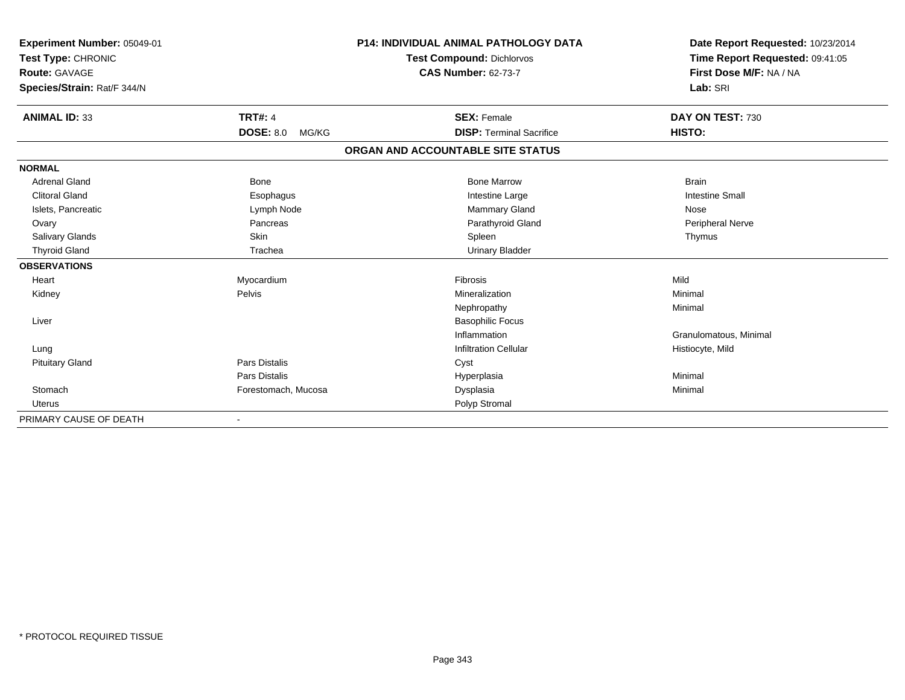| Experiment Number: 05049-01         |                           | <b>P14: INDIVIDUAL ANIMAL PATHOLOGY DATA</b><br><b>Test Compound: Dichlorvos</b> | Date Report Requested: 10/23/2014<br>Time Report Requested: 09:41:05 |
|-------------------------------------|---------------------------|----------------------------------------------------------------------------------|----------------------------------------------------------------------|
| Test Type: CHRONIC<br>Route: GAVAGE |                           | <b>CAS Number: 62-73-7</b>                                                       | First Dose M/F: NA / NA                                              |
|                                     |                           |                                                                                  | Lab: SRI                                                             |
| Species/Strain: Rat/F 344/N         |                           |                                                                                  |                                                                      |
| <b>ANIMAL ID: 33</b>                | <b>TRT#: 4</b>            | <b>SEX: Female</b>                                                               | DAY ON TEST: 730                                                     |
|                                     | <b>DOSE: 8.0</b><br>MG/KG | <b>DISP: Terminal Sacrifice</b>                                                  | HISTO:                                                               |
|                                     |                           | ORGAN AND ACCOUNTABLE SITE STATUS                                                |                                                                      |
| <b>NORMAL</b>                       |                           |                                                                                  |                                                                      |
| <b>Adrenal Gland</b>                | Bone                      | <b>Bone Marrow</b>                                                               | <b>Brain</b>                                                         |
| <b>Clitoral Gland</b>               | Esophagus                 | Intestine Large                                                                  | <b>Intestine Small</b>                                               |
| Islets, Pancreatic                  | Lymph Node                | Mammary Gland                                                                    | Nose                                                                 |
| Ovary                               | Pancreas                  | Parathyroid Gland                                                                | Peripheral Nerve                                                     |
| Salivary Glands                     | Skin                      | Spleen                                                                           | Thymus                                                               |
| <b>Thyroid Gland</b>                | Trachea                   | <b>Urinary Bladder</b>                                                           |                                                                      |
| <b>OBSERVATIONS</b>                 |                           |                                                                                  |                                                                      |
| Heart                               | Myocardium                | Fibrosis                                                                         | Mild                                                                 |
| Kidney                              | Pelvis                    | Mineralization                                                                   | Minimal                                                              |
|                                     |                           | Nephropathy                                                                      | Minimal                                                              |
| Liver                               |                           | <b>Basophilic Focus</b>                                                          |                                                                      |
|                                     |                           | Inflammation                                                                     | Granulomatous, Minimal                                               |
| Lung                                |                           | <b>Infiltration Cellular</b>                                                     | Histiocyte, Mild                                                     |
| <b>Pituitary Gland</b>              | Pars Distalis             | Cyst                                                                             |                                                                      |
|                                     | Pars Distalis             | Hyperplasia                                                                      | Minimal                                                              |
| Stomach                             | Forestomach, Mucosa       | Dysplasia                                                                        | Minimal                                                              |
| Uterus                              |                           | Polyp Stromal                                                                    |                                                                      |
| PRIMARY CAUSE OF DEATH              |                           |                                                                                  |                                                                      |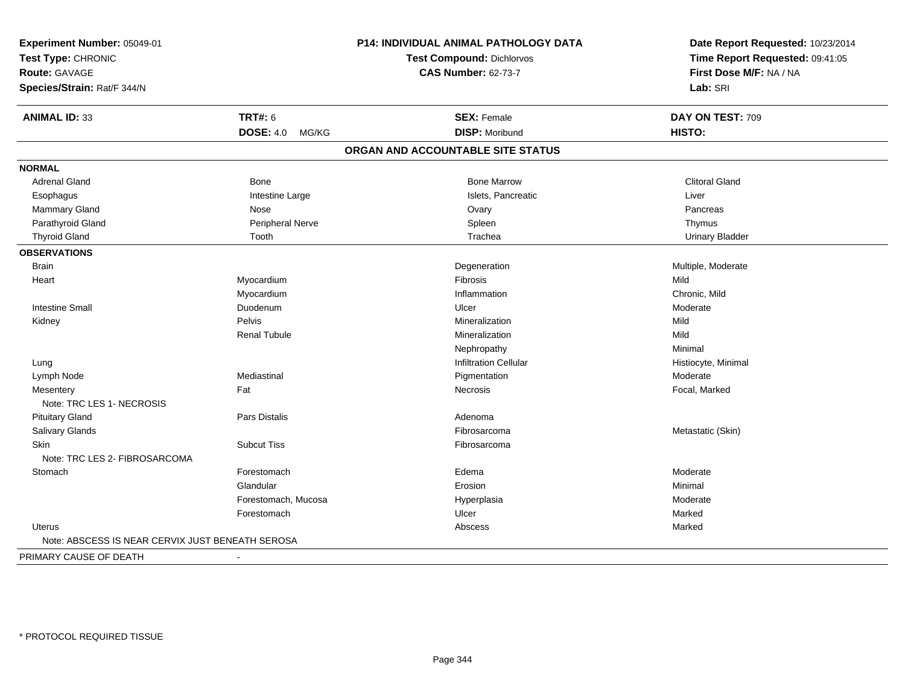| Experiment Number: 05049-01<br>Test Type: CHRONIC<br><b>Route: GAVAGE</b> |                      | <b>P14: INDIVIDUAL ANIMAL PATHOLOGY DATA</b> | Date Report Requested: 10/23/2014<br>Time Report Requested: 09:41:05<br>First Dose M/F: NA / NA |  |
|---------------------------------------------------------------------------|----------------------|----------------------------------------------|-------------------------------------------------------------------------------------------------|--|
|                                                                           |                      | <b>Test Compound: Dichlorvos</b>             |                                                                                                 |  |
|                                                                           |                      | <b>CAS Number: 62-73-7</b>                   |                                                                                                 |  |
| Species/Strain: Rat/F 344/N                                               |                      |                                              | Lab: SRI                                                                                        |  |
| <b>ANIMAL ID: 33</b>                                                      | <b>TRT#: 6</b>       | <b>SEX: Female</b>                           | DAY ON TEST: 709                                                                                |  |
|                                                                           | DOSE: 4.0 MG/KG      | <b>DISP: Moribund</b>                        | HISTO:                                                                                          |  |
|                                                                           |                      | ORGAN AND ACCOUNTABLE SITE STATUS            |                                                                                                 |  |
| <b>NORMAL</b>                                                             |                      |                                              |                                                                                                 |  |
| <b>Adrenal Gland</b>                                                      | Bone                 | <b>Bone Marrow</b>                           | <b>Clitoral Gland</b>                                                                           |  |
| Esophagus                                                                 | Intestine Large      | Islets, Pancreatic                           | Liver                                                                                           |  |
| Mammary Gland                                                             | Nose                 | Ovary                                        | Pancreas                                                                                        |  |
| Parathyroid Gland                                                         | Peripheral Nerve     | Spleen                                       | Thymus                                                                                          |  |
| <b>Thyroid Gland</b>                                                      | Tooth                | Trachea                                      | <b>Urinary Bladder</b>                                                                          |  |
| <b>OBSERVATIONS</b>                                                       |                      |                                              |                                                                                                 |  |
| <b>Brain</b>                                                              |                      | Degeneration                                 | Multiple, Moderate                                                                              |  |
| Heart                                                                     | Myocardium           | Fibrosis                                     | Mild                                                                                            |  |
|                                                                           | Myocardium           | Inflammation                                 | Chronic, Mild                                                                                   |  |
| <b>Intestine Small</b>                                                    | Duodenum             | Ulcer                                        | Moderate                                                                                        |  |
| Kidney                                                                    | Pelvis               | Mineralization                               | Mild                                                                                            |  |
|                                                                           | <b>Renal Tubule</b>  | Mineralization                               | Mild                                                                                            |  |
|                                                                           |                      | Nephropathy                                  | Minimal                                                                                         |  |
| Lung                                                                      |                      | <b>Infiltration Cellular</b>                 | Histiocyte, Minimal                                                                             |  |
| Lymph Node                                                                | Mediastinal          | Pigmentation                                 | Moderate                                                                                        |  |
| Mesentery                                                                 | Fat                  | Necrosis                                     | Focal, Marked                                                                                   |  |
| Note: TRC LES 1- NECROSIS                                                 |                      |                                              |                                                                                                 |  |
| <b>Pituitary Gland</b>                                                    | <b>Pars Distalis</b> | Adenoma                                      |                                                                                                 |  |
| Salivary Glands                                                           |                      | Fibrosarcoma                                 | Metastatic (Skin)                                                                               |  |
| Skin<br>Note: TRC LES 2- FIBROSARCOMA                                     | <b>Subcut Tiss</b>   | Fibrosarcoma                                 |                                                                                                 |  |
| Stomach                                                                   | Forestomach          | Edema                                        | Moderate                                                                                        |  |
|                                                                           | Glandular            | Erosion                                      | Minimal                                                                                         |  |
|                                                                           | Forestomach, Mucosa  | Hyperplasia                                  | Moderate                                                                                        |  |
|                                                                           | Forestomach          | Ulcer                                        | Marked                                                                                          |  |
| Uterus                                                                    |                      | Abscess                                      | Marked                                                                                          |  |
| Note: ABSCESS IS NEAR CERVIX JUST BENEATH SEROSA                          |                      |                                              |                                                                                                 |  |
| PRIMARY CAUSE OF DEATH                                                    |                      |                                              |                                                                                                 |  |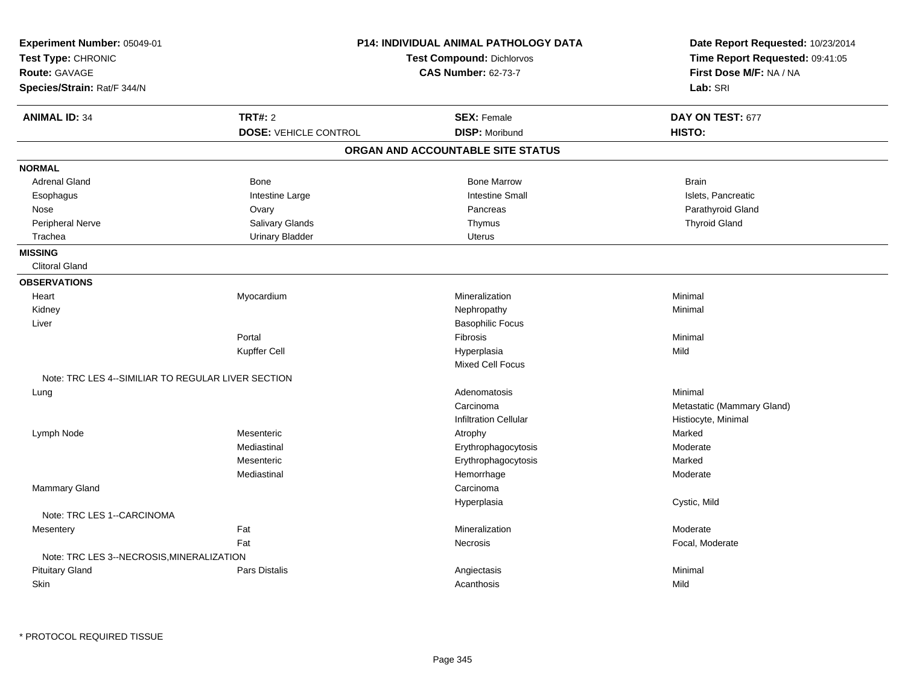| Experiment Number: 05049-01<br>Test Type: CHRONIC<br><b>Route: GAVAGE</b><br>Species/Strain: Rat/F 344/N |                                                | <b>P14: INDIVIDUAL ANIMAL PATHOLOGY DATA</b><br><b>Test Compound: Dichlorvos</b><br><b>CAS Number: 62-73-7</b> | Date Report Requested: 10/23/2014<br>Time Report Requested: 09:41:05<br>First Dose M/F: NA / NA<br>Lab: SRI |
|----------------------------------------------------------------------------------------------------------|------------------------------------------------|----------------------------------------------------------------------------------------------------------------|-------------------------------------------------------------------------------------------------------------|
| <b>ANIMAL ID: 34</b>                                                                                     | <b>TRT#: 2</b><br><b>DOSE: VEHICLE CONTROL</b> | <b>SEX: Female</b><br><b>DISP: Moribund</b>                                                                    | DAY ON TEST: 677<br>HISTO:                                                                                  |
|                                                                                                          |                                                | ORGAN AND ACCOUNTABLE SITE STATUS                                                                              |                                                                                                             |
| <b>NORMAL</b>                                                                                            |                                                |                                                                                                                |                                                                                                             |
| <b>Adrenal Gland</b>                                                                                     | Bone                                           | <b>Bone Marrow</b>                                                                                             | <b>Brain</b>                                                                                                |
| Esophagus                                                                                                | Intestine Large                                | <b>Intestine Small</b>                                                                                         | Islets, Pancreatic                                                                                          |
| Nose                                                                                                     | Ovary                                          | Pancreas                                                                                                       | Parathyroid Gland                                                                                           |
| Peripheral Nerve                                                                                         | Salivary Glands                                | Thymus                                                                                                         | <b>Thyroid Gland</b>                                                                                        |
| Trachea                                                                                                  | <b>Urinary Bladder</b>                         | <b>Uterus</b>                                                                                                  |                                                                                                             |
| <b>MISSING</b>                                                                                           |                                                |                                                                                                                |                                                                                                             |
| <b>Clitoral Gland</b>                                                                                    |                                                |                                                                                                                |                                                                                                             |
| <b>OBSERVATIONS</b>                                                                                      |                                                |                                                                                                                |                                                                                                             |
| Heart                                                                                                    | Myocardium                                     | Mineralization                                                                                                 | Minimal                                                                                                     |
| Kidney                                                                                                   |                                                | Nephropathy                                                                                                    | Minimal                                                                                                     |
| Liver                                                                                                    |                                                | <b>Basophilic Focus</b>                                                                                        |                                                                                                             |
|                                                                                                          | Portal                                         | Fibrosis                                                                                                       | Minimal                                                                                                     |
|                                                                                                          | Kupffer Cell                                   | Hyperplasia                                                                                                    | Mild                                                                                                        |
|                                                                                                          |                                                | Mixed Cell Focus                                                                                               |                                                                                                             |
| Note: TRC LES 4--SIMILIAR TO REGULAR LIVER SECTION                                                       |                                                |                                                                                                                |                                                                                                             |
| Lung                                                                                                     |                                                | Adenomatosis                                                                                                   | Minimal                                                                                                     |
|                                                                                                          |                                                | Carcinoma                                                                                                      | Metastatic (Mammary Gland)                                                                                  |
|                                                                                                          |                                                | <b>Infiltration Cellular</b>                                                                                   | Histiocyte, Minimal                                                                                         |
| Lymph Node                                                                                               | Mesenteric                                     | Atrophy                                                                                                        | Marked                                                                                                      |
|                                                                                                          | Mediastinal                                    | Erythrophagocytosis                                                                                            | Moderate                                                                                                    |
|                                                                                                          | Mesenteric                                     | Erythrophagocytosis                                                                                            | Marked                                                                                                      |
|                                                                                                          | Mediastinal                                    | Hemorrhage                                                                                                     | Moderate                                                                                                    |
| Mammary Gland                                                                                            |                                                | Carcinoma                                                                                                      |                                                                                                             |
|                                                                                                          |                                                | Hyperplasia                                                                                                    | Cystic, Mild                                                                                                |
| Note: TRC LES 1--CARCINOMA                                                                               |                                                |                                                                                                                |                                                                                                             |
| Mesentery                                                                                                | Fat                                            | Mineralization                                                                                                 | Moderate                                                                                                    |
|                                                                                                          | Fat                                            | Necrosis                                                                                                       | Focal, Moderate                                                                                             |
| Note: TRC LES 3--NECROSIS, MINERALIZATION                                                                |                                                |                                                                                                                |                                                                                                             |
| <b>Pituitary Gland</b>                                                                                   | <b>Pars Distalis</b>                           | Angiectasis                                                                                                    | Minimal                                                                                                     |
| Skin                                                                                                     |                                                | Acanthosis                                                                                                     | Mild                                                                                                        |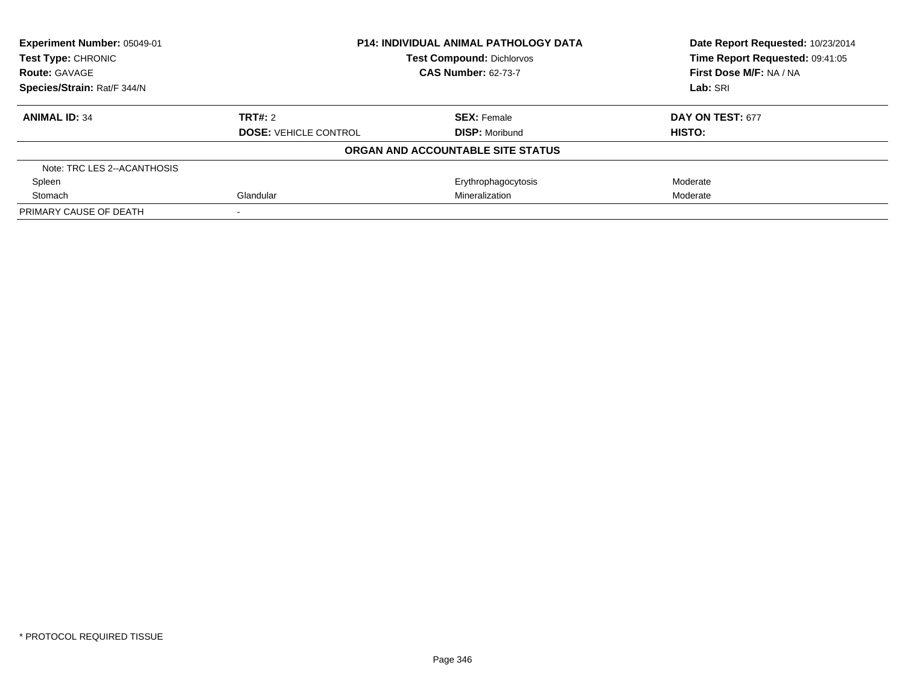| Experiment Number: 05049-01 | <b>P14: INDIVIDUAL ANIMAL PATHOLOGY DATA</b><br><b>Test Compound: Dichlorvos</b><br><b>CAS Number: 62-73-7</b> |                                   | Date Report Requested: 10/23/2014 |
|-----------------------------|----------------------------------------------------------------------------------------------------------------|-----------------------------------|-----------------------------------|
| Test Type: CHRONIC          |                                                                                                                |                                   | Time Report Requested: 09:41:05   |
| <b>Route: GAVAGE</b>        |                                                                                                                |                                   | First Dose M/F: NA / NA           |
| Species/Strain: Rat/F 344/N |                                                                                                                |                                   | Lab: SRI                          |
| <b>ANIMAL ID: 34</b>        | TRT#: 2                                                                                                        | <b>SEX: Female</b>                | DAY ON TEST: 677                  |
|                             | <b>DOSE: VEHICLE CONTROL</b>                                                                                   | <b>DISP: Moribund</b>             | HISTO:                            |
|                             |                                                                                                                | ORGAN AND ACCOUNTABLE SITE STATUS |                                   |
| Note: TRC LES 2--ACANTHOSIS |                                                                                                                |                                   |                                   |
| Spleen                      |                                                                                                                | Erythrophagocytosis               | Moderate                          |
| Stomach                     | Glandular<br>Mineralization                                                                                    |                                   | Moderate                          |
| PRIMARY CAUSE OF DEATH      |                                                                                                                |                                   |                                   |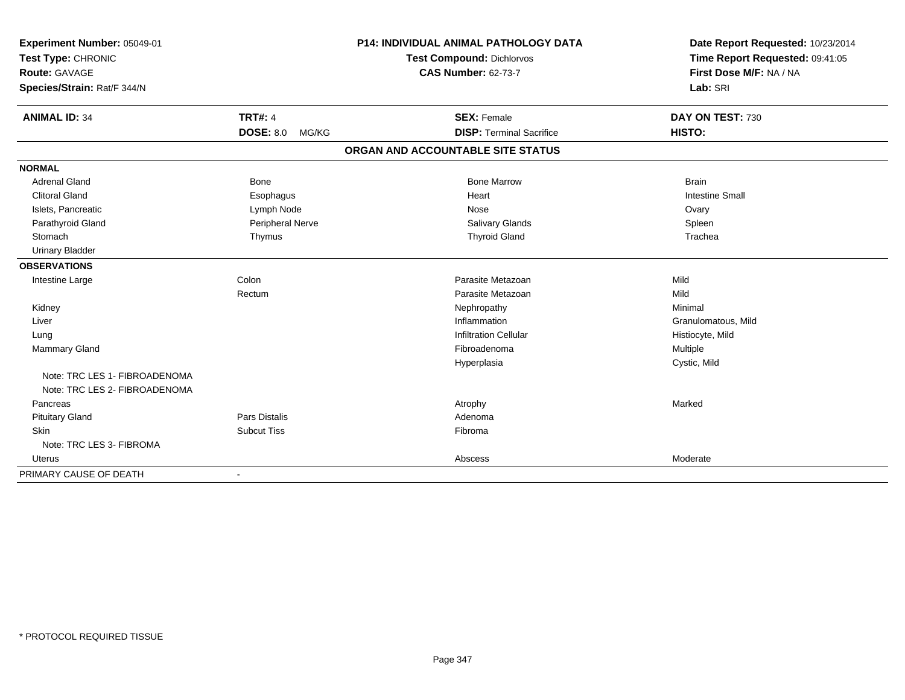| Experiment Number: 05049-01<br>Test Type: CHRONIC<br><b>Route: GAVAGE</b> |                           | <b>P14: INDIVIDUAL ANIMAL PATHOLOGY DATA</b> | Date Report Requested: 10/23/2014<br>Time Report Requested: 09:41:05 |
|---------------------------------------------------------------------------|---------------------------|----------------------------------------------|----------------------------------------------------------------------|
|                                                                           |                           | <b>Test Compound: Dichlorvos</b>             |                                                                      |
|                                                                           |                           | <b>CAS Number: 62-73-7</b>                   | First Dose M/F: NA / NA                                              |
| Species/Strain: Rat/F 344/N                                               |                           |                                              | Lab: SRI                                                             |
| <b>ANIMAL ID: 34</b>                                                      | <b>TRT#: 4</b>            | <b>SEX: Female</b>                           | DAY ON TEST: 730                                                     |
|                                                                           | <b>DOSE: 8.0</b><br>MG/KG | <b>DISP: Terminal Sacrifice</b>              | HISTO:                                                               |
|                                                                           |                           | ORGAN AND ACCOUNTABLE SITE STATUS            |                                                                      |
| <b>NORMAL</b>                                                             |                           |                                              |                                                                      |
| <b>Adrenal Gland</b>                                                      | <b>Bone</b>               | <b>Bone Marrow</b>                           | <b>Brain</b>                                                         |
| <b>Clitoral Gland</b>                                                     | Esophagus                 | Heart                                        | <b>Intestine Small</b>                                               |
| Islets, Pancreatic                                                        | Lymph Node                | Nose                                         | Ovary                                                                |
| Parathyroid Gland                                                         | Peripheral Nerve          | Salivary Glands                              | Spleen                                                               |
| Stomach                                                                   | Thymus                    | <b>Thyroid Gland</b>                         | Trachea                                                              |
| <b>Urinary Bladder</b>                                                    |                           |                                              |                                                                      |
| <b>OBSERVATIONS</b>                                                       |                           |                                              |                                                                      |
| Intestine Large                                                           | Colon                     | Parasite Metazoan                            | Mild                                                                 |
|                                                                           | Rectum                    | Parasite Metazoan                            | Mild                                                                 |
| Kidney                                                                    |                           | Nephropathy                                  | Minimal                                                              |
| Liver                                                                     |                           | Inflammation                                 | Granulomatous, Mild                                                  |
| Lung                                                                      |                           | <b>Infiltration Cellular</b>                 | Histiocyte, Mild                                                     |
| <b>Mammary Gland</b>                                                      |                           | Fibroadenoma                                 | Multiple                                                             |
|                                                                           |                           | Hyperplasia                                  | Cystic, Mild                                                         |
| Note: TRC LES 1- FIBROADENOMA<br>Note: TRC LES 2- FIBROADENOMA            |                           |                                              |                                                                      |
| Pancreas                                                                  |                           | Atrophy                                      | Marked                                                               |
| <b>Pituitary Gland</b>                                                    | <b>Pars Distalis</b>      | Adenoma                                      |                                                                      |
| Skin                                                                      | <b>Subcut Tiss</b>        | Fibroma                                      |                                                                      |
| Note: TRC LES 3- FIBROMA                                                  |                           |                                              |                                                                      |
| <b>Uterus</b>                                                             |                           | Abscess                                      | Moderate                                                             |
| PRIMARY CAUSE OF DEATH                                                    |                           |                                              |                                                                      |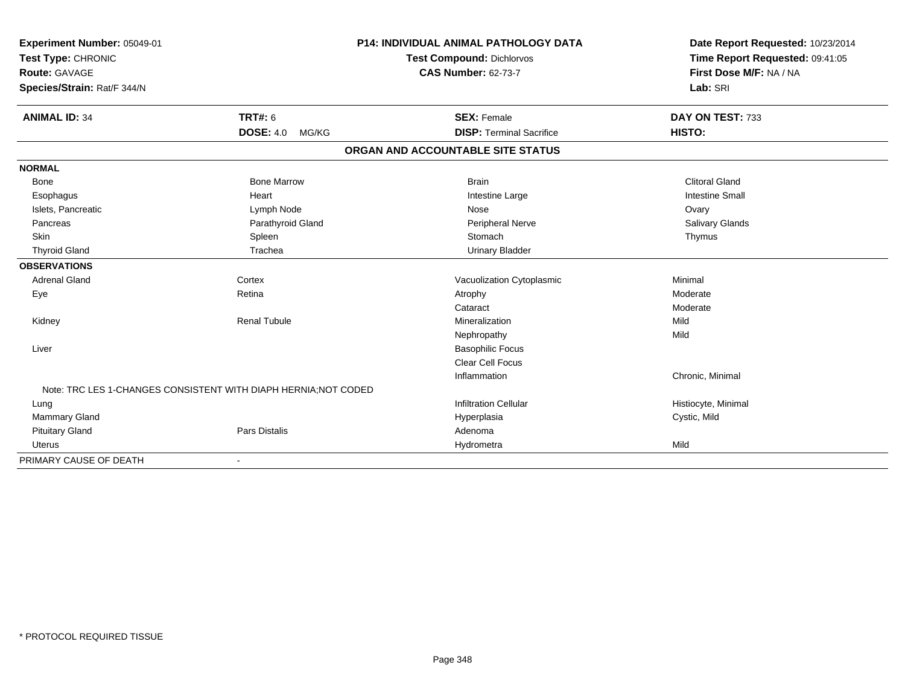| Experiment Number: 05049-01                                     |                           | <b>P14: INDIVIDUAL ANIMAL PATHOLOGY DATA</b> | Date Report Requested: 10/23/2014 |
|-----------------------------------------------------------------|---------------------------|----------------------------------------------|-----------------------------------|
| Test Type: CHRONIC                                              |                           | Test Compound: Dichlorvos                    | Time Report Requested: 09:41:05   |
| Route: GAVAGE                                                   |                           | <b>CAS Number: 62-73-7</b>                   | First Dose M/F: NA / NA           |
| Species/Strain: Rat/F 344/N                                     |                           |                                              | Lab: SRI                          |
| <b>ANIMAL ID: 34</b>                                            | <b>TRT#: 6</b>            | <b>SEX: Female</b>                           | DAY ON TEST: 733                  |
|                                                                 | <b>DOSE: 4.0</b><br>MG/KG | <b>DISP: Terminal Sacrifice</b>              | HISTO:                            |
|                                                                 |                           | ORGAN AND ACCOUNTABLE SITE STATUS            |                                   |
| <b>NORMAL</b>                                                   |                           |                                              |                                   |
| Bone                                                            | <b>Bone Marrow</b>        | <b>Brain</b>                                 | <b>Clitoral Gland</b>             |
| Esophagus                                                       | Heart                     | Intestine Large                              | <b>Intestine Small</b>            |
| Islets, Pancreatic                                              | Lymph Node                | Nose                                         | Ovary                             |
| Pancreas                                                        | Parathyroid Gland         | Peripheral Nerve                             | Salivary Glands                   |
| Skin                                                            | Spleen                    | Stomach                                      | Thymus                            |
| <b>Thyroid Gland</b>                                            | Trachea                   | <b>Urinary Bladder</b>                       |                                   |
| <b>OBSERVATIONS</b>                                             |                           |                                              |                                   |
| <b>Adrenal Gland</b>                                            | Cortex                    | Vacuolization Cytoplasmic                    | Minimal                           |
| Eye                                                             | Retina                    | Atrophy                                      | Moderate                          |
|                                                                 |                           | Cataract                                     | Moderate                          |
| Kidney                                                          | <b>Renal Tubule</b>       | Mineralization                               | Mild                              |
|                                                                 |                           | Nephropathy                                  | Mild                              |
| Liver                                                           |                           | <b>Basophilic Focus</b>                      |                                   |
|                                                                 |                           | Clear Cell Focus                             |                                   |
|                                                                 |                           | Inflammation                                 | Chronic, Minimal                  |
| Note: TRC LES 1-CHANGES CONSISTENT WITH DIAPH HERNIA: NOT CODED |                           |                                              |                                   |
| Lung                                                            |                           | <b>Infiltration Cellular</b>                 | Histiocyte, Minimal               |
| <b>Mammary Gland</b>                                            |                           | Hyperplasia                                  | Cystic, Mild                      |
| <b>Pituitary Gland</b>                                          | <b>Pars Distalis</b>      | Adenoma                                      |                                   |
| Uterus                                                          |                           | Hydrometra                                   | Mild                              |
| PRIMARY CAUSE OF DEATH                                          | $\blacksquare$            |                                              |                                   |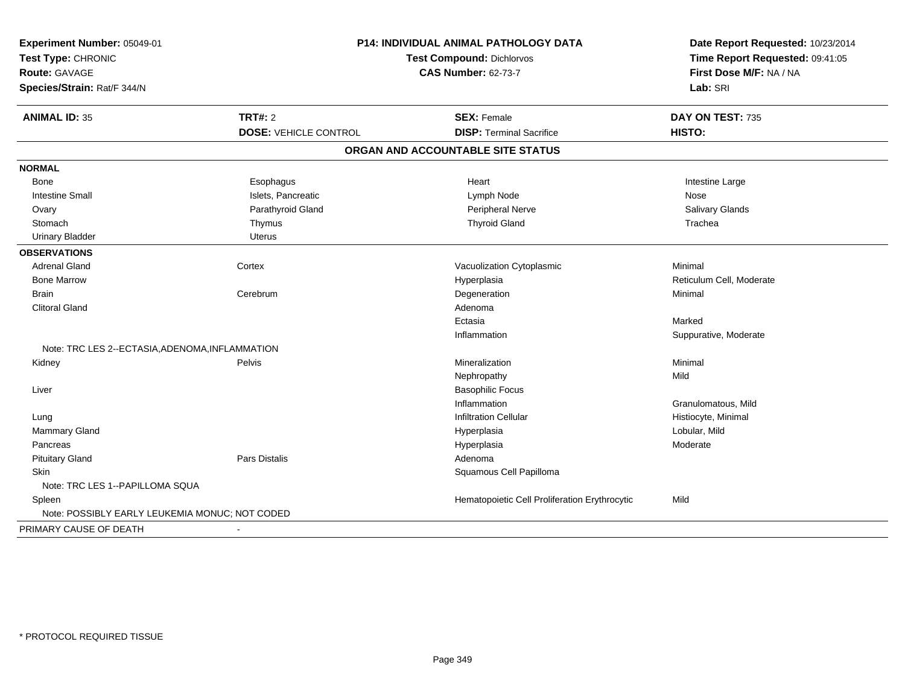| P14: INDIVIDUAL ANIMAL PATHOLOGY DATA<br>Experiment Number: 05049-01<br>Test Type: CHRONIC<br><b>Test Compound: Dichlorvos</b><br><b>Route: GAVAGE</b><br><b>CAS Number: 62-73-7</b><br>Species/Strain: Rat/F 344/N |                                         | Date Report Requested: 10/23/2014<br>Time Report Requested: 09:41:05<br>First Dose M/F: NA / NA<br>Lab: SRI |                            |
|---------------------------------------------------------------------------------------------------------------------------------------------------------------------------------------------------------------------|-----------------------------------------|-------------------------------------------------------------------------------------------------------------|----------------------------|
| <b>ANIMAL ID: 35</b>                                                                                                                                                                                                | TRT#: 2<br><b>DOSE: VEHICLE CONTROL</b> | <b>SEX: Female</b><br><b>DISP: Terminal Sacrifice</b>                                                       | DAY ON TEST: 735<br>HISTO: |
|                                                                                                                                                                                                                     |                                         |                                                                                                             |                            |
|                                                                                                                                                                                                                     |                                         | ORGAN AND ACCOUNTABLE SITE STATUS                                                                           |                            |
| <b>NORMAL</b>                                                                                                                                                                                                       |                                         |                                                                                                             |                            |
| Bone                                                                                                                                                                                                                | Esophagus                               | Heart                                                                                                       | Intestine Large            |
| <b>Intestine Small</b>                                                                                                                                                                                              | Islets, Pancreatic                      | Lymph Node                                                                                                  | Nose                       |
| Ovary                                                                                                                                                                                                               | Parathyroid Gland                       | Peripheral Nerve                                                                                            | Salivary Glands            |
| Stomach                                                                                                                                                                                                             | Thymus                                  | <b>Thyroid Gland</b>                                                                                        | Trachea                    |
| <b>Urinary Bladder</b>                                                                                                                                                                                              | <b>Uterus</b>                           |                                                                                                             |                            |
| <b>OBSERVATIONS</b>                                                                                                                                                                                                 |                                         |                                                                                                             |                            |
| <b>Adrenal Gland</b>                                                                                                                                                                                                | Cortex                                  | Vacuolization Cytoplasmic                                                                                   | Minimal                    |
| <b>Bone Marrow</b>                                                                                                                                                                                                  |                                         | Hyperplasia                                                                                                 | Reticulum Cell, Moderate   |
| <b>Brain</b>                                                                                                                                                                                                        | Cerebrum                                | Degeneration                                                                                                | Minimal                    |
| <b>Clitoral Gland</b>                                                                                                                                                                                               |                                         | Adenoma                                                                                                     |                            |
|                                                                                                                                                                                                                     |                                         | Ectasia                                                                                                     | Marked                     |
|                                                                                                                                                                                                                     |                                         | Inflammation                                                                                                | Suppurative, Moderate      |
| Note: TRC LES 2--ECTASIA, ADENOMA, INFLAMMATION                                                                                                                                                                     |                                         |                                                                                                             |                            |
| Kidney                                                                                                                                                                                                              | Pelvis                                  | Mineralization                                                                                              | Minimal                    |
|                                                                                                                                                                                                                     |                                         | Nephropathy                                                                                                 | Mild                       |
| Liver                                                                                                                                                                                                               |                                         | <b>Basophilic Focus</b>                                                                                     |                            |
|                                                                                                                                                                                                                     |                                         | Inflammation                                                                                                | Granulomatous, Mild        |
| Lung                                                                                                                                                                                                                |                                         | <b>Infiltration Cellular</b>                                                                                | Histiocyte, Minimal        |
| Mammary Gland                                                                                                                                                                                                       |                                         | Hyperplasia                                                                                                 | Lobular, Mild              |
| Pancreas                                                                                                                                                                                                            |                                         | Hyperplasia                                                                                                 | Moderate                   |
| <b>Pituitary Gland</b>                                                                                                                                                                                              | <b>Pars Distalis</b>                    | Adenoma                                                                                                     |                            |
| Skin                                                                                                                                                                                                                |                                         | Squamous Cell Papilloma                                                                                     |                            |
| Note: TRC LES 1--PAPILLOMA SQUA                                                                                                                                                                                     |                                         |                                                                                                             |                            |
| Spleen                                                                                                                                                                                                              |                                         | Hematopoietic Cell Proliferation Erythrocytic                                                               | Mild                       |
| Note: POSSIBLY EARLY LEUKEMIA MONUC; NOT CODED                                                                                                                                                                      |                                         |                                                                                                             |                            |
| PRIMARY CAUSE OF DEATH                                                                                                                                                                                              | $\blacksquare$                          |                                                                                                             |                            |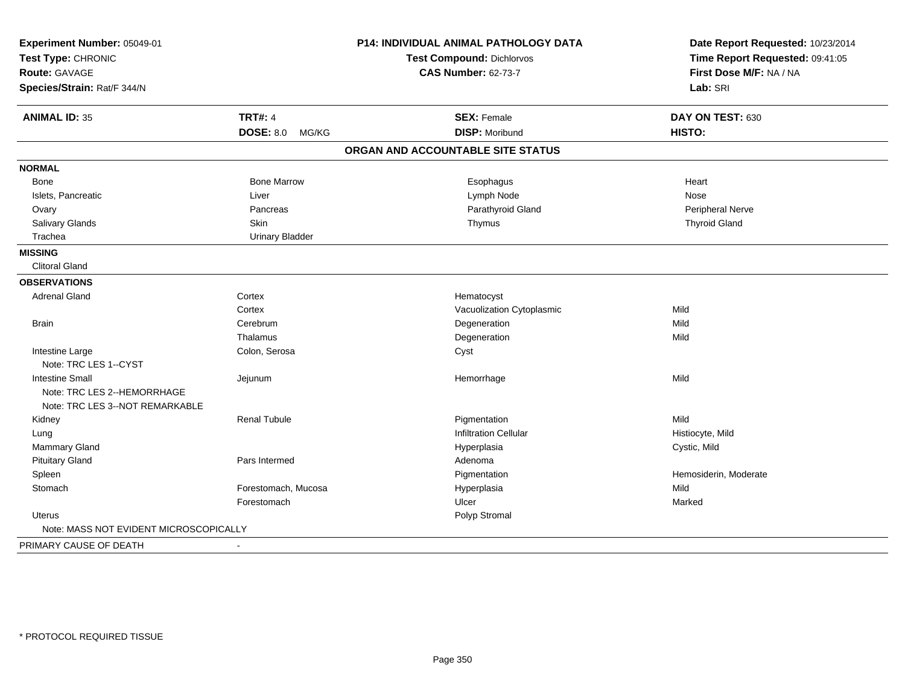| Experiment Number: 05049-01<br>Test Type: CHRONIC<br>Route: GAVAGE |                           | P14: INDIVIDUAL ANIMAL PATHOLOGY DATA                          | Date Report Requested: 10/23/2014<br>Time Report Requested: 09:41:05<br>First Dose M/F: NA / NA |
|--------------------------------------------------------------------|---------------------------|----------------------------------------------------------------|-------------------------------------------------------------------------------------------------|
|                                                                    |                           | <b>Test Compound: Dichlorvos</b><br><b>CAS Number: 62-73-7</b> |                                                                                                 |
| Species/Strain: Rat/F 344/N                                        |                           |                                                                | Lab: SRI                                                                                        |
|                                                                    |                           |                                                                |                                                                                                 |
| <b>ANIMAL ID: 35</b>                                               | <b>TRT#: 4</b>            | <b>SEX: Female</b>                                             | DAY ON TEST: 630                                                                                |
|                                                                    | <b>DOSE: 8.0</b><br>MG/KG | <b>DISP: Moribund</b>                                          | HISTO:                                                                                          |
|                                                                    |                           | ORGAN AND ACCOUNTABLE SITE STATUS                              |                                                                                                 |
| <b>NORMAL</b>                                                      |                           |                                                                |                                                                                                 |
| Bone                                                               | <b>Bone Marrow</b>        | Esophagus                                                      | Heart                                                                                           |
| Islets, Pancreatic                                                 | Liver                     | Lymph Node                                                     | <b>Nose</b>                                                                                     |
| Ovary                                                              | Pancreas                  | Parathyroid Gland                                              | Peripheral Nerve                                                                                |
| Salivary Glands                                                    | Skin                      | Thymus                                                         | <b>Thyroid Gland</b>                                                                            |
| Trachea                                                            | <b>Urinary Bladder</b>    |                                                                |                                                                                                 |
| <b>MISSING</b>                                                     |                           |                                                                |                                                                                                 |
| <b>Clitoral Gland</b>                                              |                           |                                                                |                                                                                                 |
| <b>OBSERVATIONS</b>                                                |                           |                                                                |                                                                                                 |
| <b>Adrenal Gland</b>                                               | Cortex                    | Hematocyst                                                     |                                                                                                 |
|                                                                    | Cortex                    | Vacuolization Cytoplasmic                                      | Mild                                                                                            |
| <b>Brain</b>                                                       | Cerebrum                  | Degeneration                                                   | Mild                                                                                            |
|                                                                    | Thalamus                  | Degeneration                                                   | Mild                                                                                            |
| Intestine Large                                                    | Colon, Serosa             | Cyst                                                           |                                                                                                 |
| Note: TRC LES 1--CYST                                              |                           |                                                                |                                                                                                 |
| <b>Intestine Small</b>                                             | Jejunum                   | Hemorrhage                                                     | Mild                                                                                            |
| Note: TRC LES 2--HEMORRHAGE                                        |                           |                                                                |                                                                                                 |
| Note: TRC LES 3--NOT REMARKABLE                                    |                           |                                                                |                                                                                                 |
| Kidney                                                             | <b>Renal Tubule</b>       | Pigmentation                                                   | Mild                                                                                            |
| Lung                                                               |                           | <b>Infiltration Cellular</b>                                   | Histiocyte, Mild                                                                                |
| Mammary Gland                                                      |                           | Hyperplasia                                                    | Cystic, Mild                                                                                    |
| <b>Pituitary Gland</b>                                             | Pars Intermed             | Adenoma                                                        |                                                                                                 |
| Spleen                                                             |                           | Pigmentation                                                   | Hemosiderin, Moderate                                                                           |
| Stomach                                                            | Forestomach, Mucosa       | Hyperplasia                                                    | Mild                                                                                            |
|                                                                    | Forestomach               | Ulcer                                                          | Marked                                                                                          |
| Uterus                                                             |                           | Polyp Stromal                                                  |                                                                                                 |
| Note: MASS NOT EVIDENT MICROSCOPICALLY                             |                           |                                                                |                                                                                                 |
| PRIMARY CAUSE OF DEATH                                             | $\blacksquare$            |                                                                |                                                                                                 |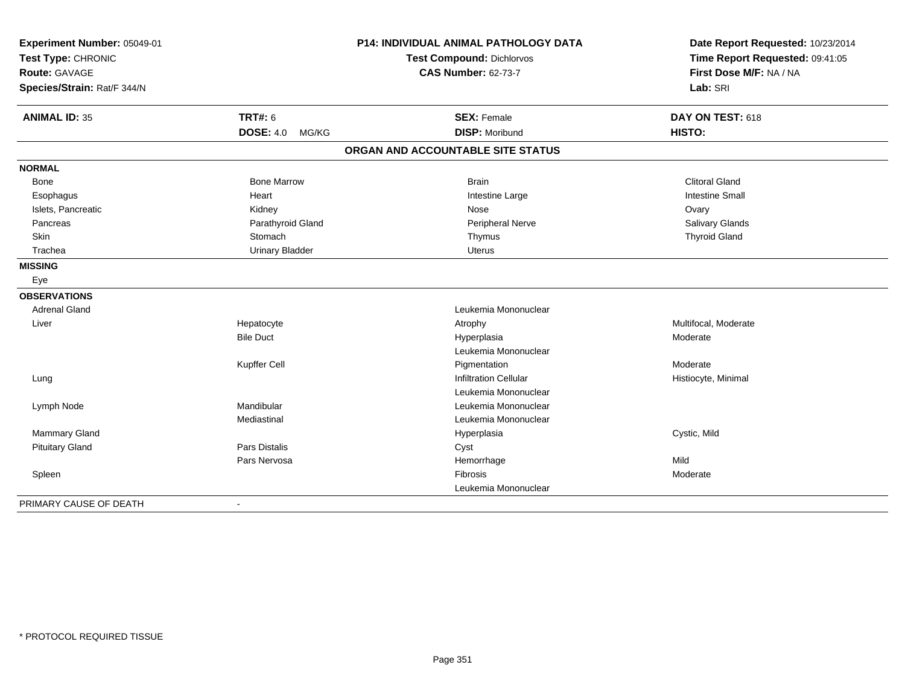| Experiment Number: 05049-01<br>Test Type: CHRONIC |                        | P14: INDIVIDUAL ANIMAL PATHOLOGY DATA | Date Report Requested: 10/23/2014<br>Time Report Requested: 09:41:05 |
|---------------------------------------------------|------------------------|---------------------------------------|----------------------------------------------------------------------|
|                                                   |                        | Test Compound: Dichlorvos             |                                                                      |
| <b>Route: GAVAGE</b>                              |                        | <b>CAS Number: 62-73-7</b>            | First Dose M/F: NA / NA                                              |
| Species/Strain: Rat/F 344/N                       |                        |                                       | Lab: SRI                                                             |
| <b>ANIMAL ID: 35</b>                              | <b>TRT#: 6</b>         | <b>SEX: Female</b>                    | DAY ON TEST: 618                                                     |
|                                                   | DOSE: 4.0 MG/KG        | <b>DISP: Moribund</b>                 | HISTO:                                                               |
|                                                   |                        | ORGAN AND ACCOUNTABLE SITE STATUS     |                                                                      |
| <b>NORMAL</b>                                     |                        |                                       |                                                                      |
| <b>Bone</b>                                       | <b>Bone Marrow</b>     | <b>Brain</b>                          | <b>Clitoral Gland</b>                                                |
| Esophagus                                         | Heart                  | Intestine Large                       | <b>Intestine Small</b>                                               |
| Islets, Pancreatic                                | Kidney                 | Nose                                  | Ovary                                                                |
| Pancreas                                          | Parathyroid Gland      | Peripheral Nerve                      | Salivary Glands                                                      |
| Skin                                              | Stomach                | Thymus                                | <b>Thyroid Gland</b>                                                 |
| Trachea                                           | <b>Urinary Bladder</b> | <b>Uterus</b>                         |                                                                      |
| <b>MISSING</b>                                    |                        |                                       |                                                                      |
| Eye                                               |                        |                                       |                                                                      |
| <b>OBSERVATIONS</b>                               |                        |                                       |                                                                      |
| <b>Adrenal Gland</b>                              |                        | Leukemia Mononuclear                  |                                                                      |
| Liver                                             | Hepatocyte             | Atrophy                               | Multifocal, Moderate                                                 |
|                                                   | <b>Bile Duct</b>       | Hyperplasia                           | Moderate                                                             |
|                                                   |                        | Leukemia Mononuclear                  |                                                                      |
|                                                   | Kupffer Cell           | Pigmentation                          | Moderate                                                             |
| Lung                                              |                        | <b>Infiltration Cellular</b>          | Histiocyte, Minimal                                                  |
|                                                   |                        | Leukemia Mononuclear                  |                                                                      |
| Lymph Node                                        | Mandibular             | Leukemia Mononuclear                  |                                                                      |
|                                                   | Mediastinal            | Leukemia Mononuclear                  |                                                                      |
| <b>Mammary Gland</b>                              |                        | Hyperplasia                           | Cystic, Mild                                                         |
| <b>Pituitary Gland</b>                            | Pars Distalis          | Cyst                                  |                                                                      |
|                                                   | Pars Nervosa           | Hemorrhage                            | Mild                                                                 |
| Spleen                                            |                        | Fibrosis                              | Moderate                                                             |
|                                                   |                        | Leukemia Mononuclear                  |                                                                      |
| PRIMARY CAUSE OF DEATH                            |                        |                                       |                                                                      |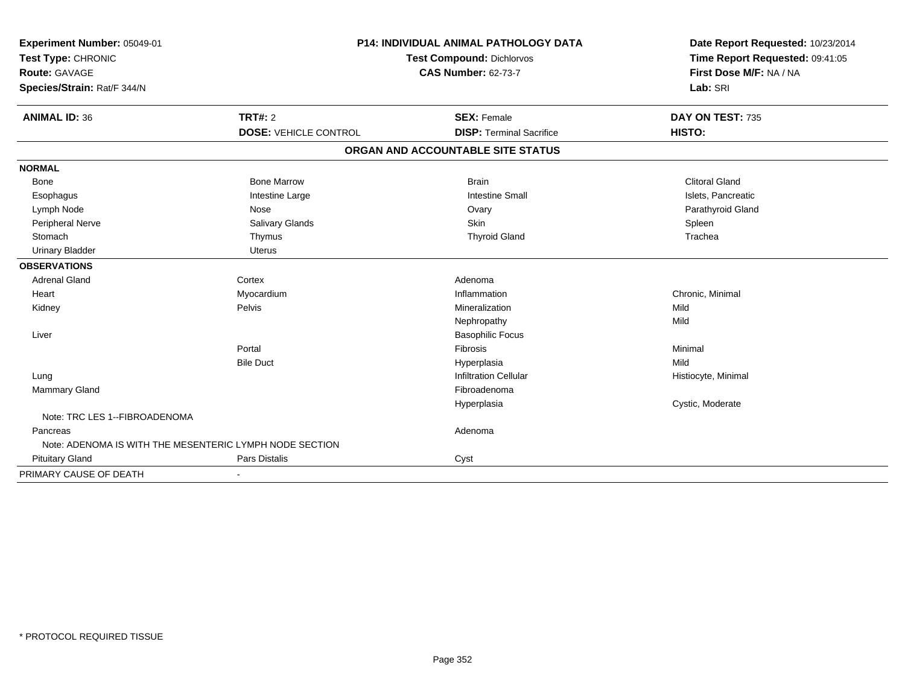| Experiment Number: 05049-01                             | <b>P14: INDIVIDUAL ANIMAL PATHOLOGY DATA</b> |                                   | Date Report Requested: 10/23/2014                          |
|---------------------------------------------------------|----------------------------------------------|-----------------------------------|------------------------------------------------------------|
| Test Type: CHRONIC                                      |                                              | <b>Test Compound: Dichlorvos</b>  |                                                            |
| <b>Route: GAVAGE</b>                                    |                                              | <b>CAS Number: 62-73-7</b>        | Time Report Requested: 09:41:05<br>First Dose M/F: NA / NA |
| Species/Strain: Rat/F 344/N                             |                                              |                                   | Lab: SRI                                                   |
| <b>ANIMAL ID: 36</b>                                    | TRT#: 2                                      | <b>SEX: Female</b>                | DAY ON TEST: 735                                           |
|                                                         | <b>DOSE: VEHICLE CONTROL</b>                 | <b>DISP: Terminal Sacrifice</b>   | HISTO:                                                     |
|                                                         |                                              | ORGAN AND ACCOUNTABLE SITE STATUS |                                                            |
| <b>NORMAL</b>                                           |                                              |                                   |                                                            |
| Bone                                                    | <b>Bone Marrow</b>                           | <b>Brain</b>                      | <b>Clitoral Gland</b>                                      |
| Esophagus                                               | Intestine Large                              | <b>Intestine Small</b>            | Islets, Pancreatic                                         |
| Lymph Node                                              | Nose                                         | Ovary                             | Parathyroid Gland                                          |
| Peripheral Nerve                                        | Salivary Glands                              | Skin                              | Spleen                                                     |
| Stomach                                                 | Thymus                                       | <b>Thyroid Gland</b>              | Trachea                                                    |
| <b>Urinary Bladder</b>                                  | <b>Uterus</b>                                |                                   |                                                            |
| <b>OBSERVATIONS</b>                                     |                                              |                                   |                                                            |
| <b>Adrenal Gland</b>                                    | Cortex                                       | Adenoma                           |                                                            |
| Heart                                                   | Myocardium                                   | Inflammation                      | Chronic, Minimal                                           |
| Kidney                                                  | Pelvis                                       | Mineralization                    | Mild                                                       |
|                                                         |                                              | Nephropathy                       | Mild                                                       |
| Liver                                                   |                                              | <b>Basophilic Focus</b>           |                                                            |
|                                                         | Portal                                       | Fibrosis                          | Minimal                                                    |
|                                                         | <b>Bile Duct</b>                             | Hyperplasia                       | Mild                                                       |
| Lung                                                    |                                              | <b>Infiltration Cellular</b>      | Histiocyte, Minimal                                        |
| <b>Mammary Gland</b>                                    |                                              | Fibroadenoma                      |                                                            |
|                                                         |                                              | Hyperplasia                       | Cystic, Moderate                                           |
| Note: TRC LES 1--FIBROADENOMA                           |                                              |                                   |                                                            |
| Pancreas                                                |                                              | Adenoma                           |                                                            |
| Note: ADENOMA IS WITH THE MESENTERIC LYMPH NODE SECTION |                                              |                                   |                                                            |
| <b>Pituitary Gland</b>                                  | Pars Distalis                                | Cyst                              |                                                            |
| PRIMARY CAUSE OF DEATH                                  |                                              |                                   |                                                            |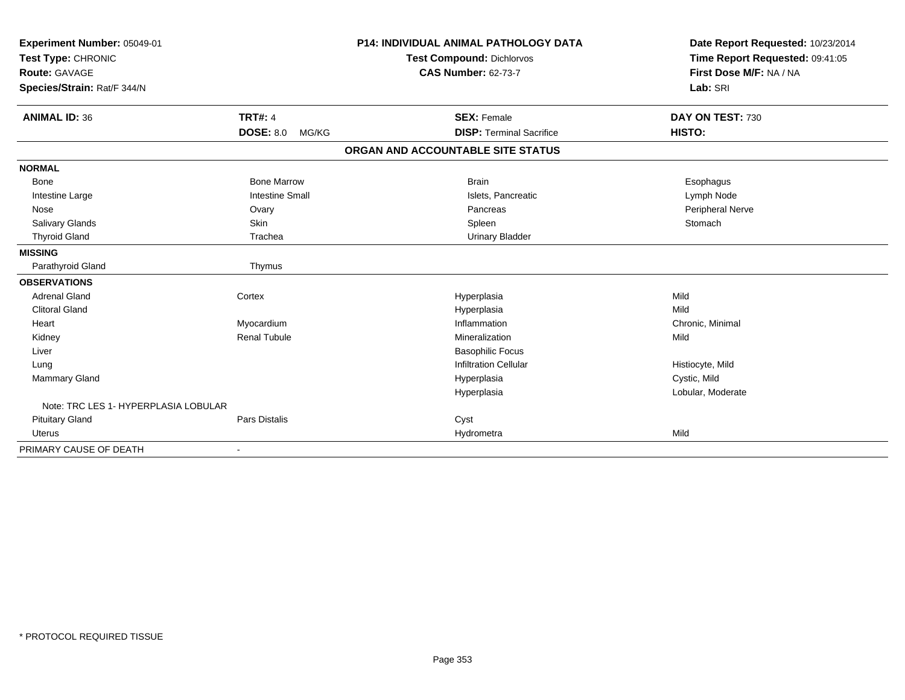| Experiment Number: 05049-01<br>Test Type: CHRONIC<br><b>Route: GAVAGE</b> |                           | <b>P14: INDIVIDUAL ANIMAL PATHOLOGY DATA</b><br>Test Compound: Dichlorvos<br><b>CAS Number: 62-73-7</b> | Date Report Requested: 10/23/2014<br>Time Report Requested: 09:41:05<br>First Dose M/F: NA / NA |
|---------------------------------------------------------------------------|---------------------------|---------------------------------------------------------------------------------------------------------|-------------------------------------------------------------------------------------------------|
| Species/Strain: Rat/F 344/N                                               |                           |                                                                                                         | Lab: SRI                                                                                        |
| <b>ANIMAL ID: 36</b>                                                      | <b>TRT#: 4</b>            | <b>SEX: Female</b>                                                                                      | DAY ON TEST: 730                                                                                |
|                                                                           | <b>DOSE: 8.0</b><br>MG/KG | <b>DISP: Terminal Sacrifice</b>                                                                         | HISTO:                                                                                          |
|                                                                           |                           | ORGAN AND ACCOUNTABLE SITE STATUS                                                                       |                                                                                                 |
| <b>NORMAL</b>                                                             |                           |                                                                                                         |                                                                                                 |
| Bone                                                                      | <b>Bone Marrow</b>        | <b>Brain</b>                                                                                            | Esophagus                                                                                       |
| Intestine Large                                                           | <b>Intestine Small</b>    | Islets, Pancreatic                                                                                      | Lymph Node                                                                                      |
| Nose                                                                      | Ovary                     | Pancreas                                                                                                | Peripheral Nerve                                                                                |
| Salivary Glands                                                           | Skin                      | Spleen                                                                                                  | Stomach                                                                                         |
| <b>Thyroid Gland</b>                                                      | Trachea                   | <b>Urinary Bladder</b>                                                                                  |                                                                                                 |
| <b>MISSING</b>                                                            |                           |                                                                                                         |                                                                                                 |
| Parathyroid Gland                                                         | Thymus                    |                                                                                                         |                                                                                                 |
| <b>OBSERVATIONS</b>                                                       |                           |                                                                                                         |                                                                                                 |
| <b>Adrenal Gland</b>                                                      | Cortex                    | Hyperplasia                                                                                             | Mild                                                                                            |
| <b>Clitoral Gland</b>                                                     |                           | Hyperplasia                                                                                             | Mild                                                                                            |
| Heart                                                                     | Myocardium                | Inflammation                                                                                            | Chronic, Minimal                                                                                |
| Kidney                                                                    | <b>Renal Tubule</b>       | Mineralization                                                                                          | Mild                                                                                            |
| Liver                                                                     |                           | <b>Basophilic Focus</b>                                                                                 |                                                                                                 |
| Lung                                                                      |                           | Infiltration Cellular                                                                                   | Histiocyte, Mild                                                                                |
| Mammary Gland                                                             |                           | Hyperplasia                                                                                             | Cystic, Mild                                                                                    |
|                                                                           |                           | Hyperplasia                                                                                             | Lobular, Moderate                                                                               |
| Note: TRC LES 1- HYPERPLASIA LOBULAR                                      |                           |                                                                                                         |                                                                                                 |
| <b>Pituitary Gland</b>                                                    | Pars Distalis             | Cyst                                                                                                    |                                                                                                 |
| <b>Uterus</b>                                                             |                           | Hydrometra                                                                                              | Mild                                                                                            |
| PRIMARY CAUSE OF DEATH                                                    | $\blacksquare$            |                                                                                                         |                                                                                                 |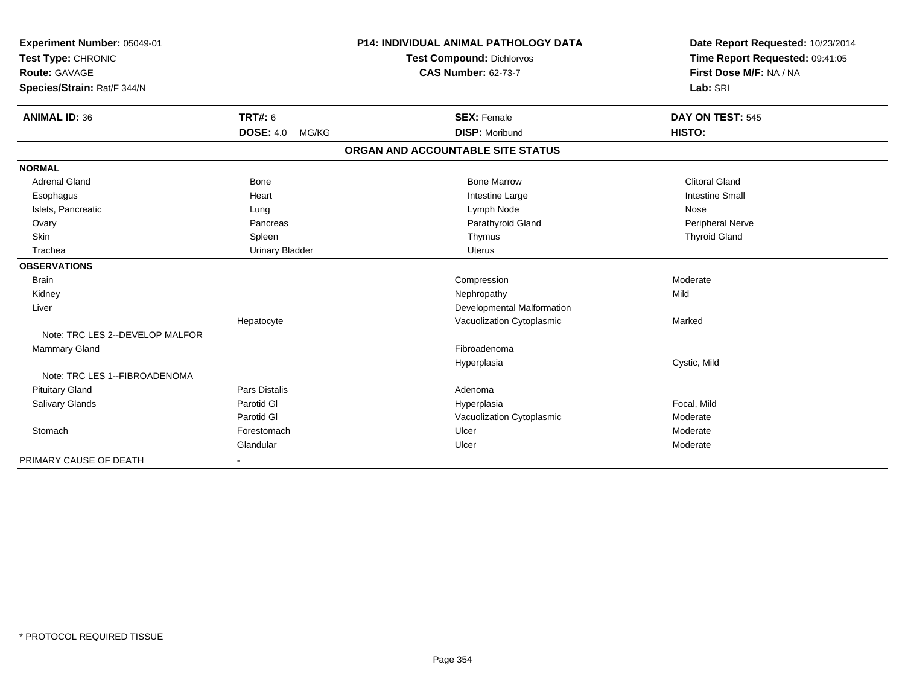| Experiment Number: 05049-01     |                           | <b>P14: INDIVIDUAL ANIMAL PATHOLOGY DATA</b> | Date Report Requested: 10/23/2014 |
|---------------------------------|---------------------------|----------------------------------------------|-----------------------------------|
| Test Type: CHRONIC              |                           | <b>Test Compound: Dichlorvos</b>             | Time Report Requested: 09:41:05   |
| <b>Route: GAVAGE</b>            |                           | <b>CAS Number: 62-73-7</b>                   | First Dose M/F: NA / NA           |
| Species/Strain: Rat/F 344/N     |                           |                                              | Lab: SRI                          |
| <b>ANIMAL ID: 36</b>            | <b>TRT#: 6</b>            | <b>SEX: Female</b>                           | DAY ON TEST: 545                  |
|                                 | <b>DOSE: 4.0</b><br>MG/KG | <b>DISP: Moribund</b>                        | HISTO:                            |
|                                 |                           | ORGAN AND ACCOUNTABLE SITE STATUS            |                                   |
| <b>NORMAL</b>                   |                           |                                              |                                   |
| <b>Adrenal Gland</b>            | <b>Bone</b>               | <b>Bone Marrow</b>                           | <b>Clitoral Gland</b>             |
| Esophagus                       | Heart                     | Intestine Large                              | <b>Intestine Small</b>            |
| Islets, Pancreatic              | Lung                      | Lymph Node                                   | Nose                              |
| Ovary                           | Pancreas                  | Parathyroid Gland                            | <b>Peripheral Nerve</b>           |
| Skin                            | Spleen                    | Thymus                                       | <b>Thyroid Gland</b>              |
| Trachea                         | <b>Urinary Bladder</b>    | <b>Uterus</b>                                |                                   |
| <b>OBSERVATIONS</b>             |                           |                                              |                                   |
| <b>Brain</b>                    |                           | Compression                                  | Moderate                          |
| Kidney                          |                           | Nephropathy                                  | Mild                              |
| Liver                           |                           | Developmental Malformation                   |                                   |
|                                 | Hepatocyte                | Vacuolization Cytoplasmic                    | Marked                            |
| Note: TRC LES 2--DEVELOP MALFOR |                           |                                              |                                   |
| <b>Mammary Gland</b>            |                           | Fibroadenoma                                 |                                   |
|                                 |                           | Hyperplasia                                  | Cystic, Mild                      |
| Note: TRC LES 1--FIBROADENOMA   |                           |                                              |                                   |
| <b>Pituitary Gland</b>          | Pars Distalis             | Adenoma                                      |                                   |
| <b>Salivary Glands</b>          | Parotid GI                | Hyperplasia                                  | Focal, Mild                       |
|                                 | Parotid GI                | Vacuolization Cytoplasmic                    | Moderate                          |
| Stomach                         | Forestomach               | Ulcer                                        | Moderate                          |
|                                 | Glandular                 | Ulcer                                        | Moderate                          |
| PRIMARY CAUSE OF DEATH          |                           |                                              |                                   |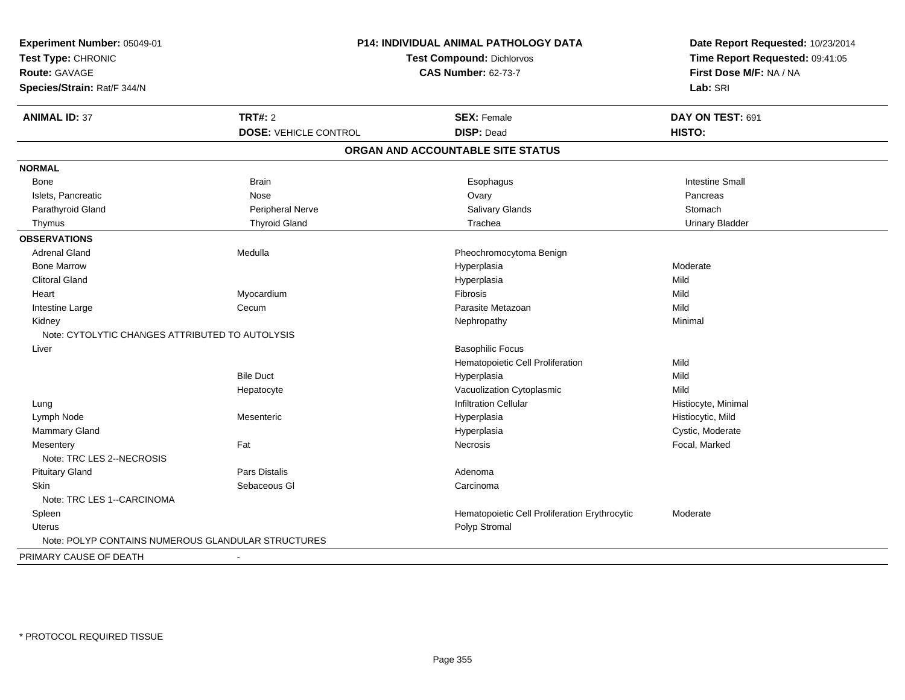| Experiment Number: 05049-01                        | P14: INDIVIDUAL ANIMAL PATHOLOGY DATA |                                               | Date Report Requested: 10/23/2014 |
|----------------------------------------------------|---------------------------------------|-----------------------------------------------|-----------------------------------|
| Test Type: CHRONIC                                 |                                       | <b>Test Compound: Dichlorvos</b>              | Time Report Requested: 09:41:05   |
| Route: GAVAGE                                      |                                       | <b>CAS Number: 62-73-7</b>                    | First Dose M/F: NA / NA           |
| Species/Strain: Rat/F 344/N                        |                                       |                                               | Lab: SRI                          |
| <b>ANIMAL ID: 37</b>                               | <b>TRT#: 2</b>                        | <b>SEX: Female</b>                            | DAY ON TEST: 691                  |
|                                                    | <b>DOSE: VEHICLE CONTROL</b>          | <b>DISP: Dead</b>                             | HISTO:                            |
|                                                    |                                       | ORGAN AND ACCOUNTABLE SITE STATUS             |                                   |
| <b>NORMAL</b>                                      |                                       |                                               |                                   |
| Bone                                               | <b>Brain</b>                          | Esophagus                                     | <b>Intestine Small</b>            |
| Islets, Pancreatic                                 | Nose                                  | Ovary                                         | Pancreas                          |
| Parathyroid Gland                                  | Peripheral Nerve                      | Salivary Glands                               | Stomach                           |
| Thymus                                             | <b>Thyroid Gland</b>                  | Trachea                                       | <b>Urinary Bladder</b>            |
| <b>OBSERVATIONS</b>                                |                                       |                                               |                                   |
| <b>Adrenal Gland</b>                               | Medulla                               | Pheochromocytoma Benign                       |                                   |
| <b>Bone Marrow</b>                                 |                                       | Hyperplasia                                   | Moderate                          |
| <b>Clitoral Gland</b>                              |                                       | Hyperplasia                                   | Mild                              |
| Heart                                              | Myocardium                            | Fibrosis                                      | Mild                              |
| Intestine Large                                    | Cecum                                 | Parasite Metazoan                             | Mild                              |
| Kidney                                             |                                       | Nephropathy                                   | Minimal                           |
| Note: CYTOLYTIC CHANGES ATTRIBUTED TO AUTOLYSIS    |                                       |                                               |                                   |
| Liver                                              |                                       | <b>Basophilic Focus</b>                       |                                   |
|                                                    |                                       | Hematopoietic Cell Proliferation              | Mild                              |
|                                                    | <b>Bile Duct</b>                      | Hyperplasia                                   | Mild                              |
|                                                    | Hepatocyte                            | Vacuolization Cytoplasmic                     | Mild                              |
| Lung                                               |                                       | <b>Infiltration Cellular</b>                  | Histiocyte, Minimal               |
| Lymph Node                                         | Mesenteric                            | Hyperplasia                                   | Histiocytic, Mild                 |
| Mammary Gland                                      |                                       | Hyperplasia                                   | Cystic, Moderate                  |
| Mesentery<br>Note: TRC LES 2--NECROSIS             | Fat                                   | <b>Necrosis</b>                               | Focal, Marked                     |
| <b>Pituitary Gland</b>                             | <b>Pars Distalis</b>                  | Adenoma                                       |                                   |
| <b>Skin</b>                                        | Sebaceous GI                          | Carcinoma                                     |                                   |
| Note: TRC LES 1--CARCINOMA                         |                                       |                                               |                                   |
| Spleen                                             |                                       | Hematopoietic Cell Proliferation Erythrocytic | Moderate                          |
| Uterus                                             |                                       | Polyp Stromal                                 |                                   |
| Note: POLYP CONTAINS NUMEROUS GLANDULAR STRUCTURES |                                       |                                               |                                   |
| PRIMARY CAUSE OF DEATH                             |                                       |                                               |                                   |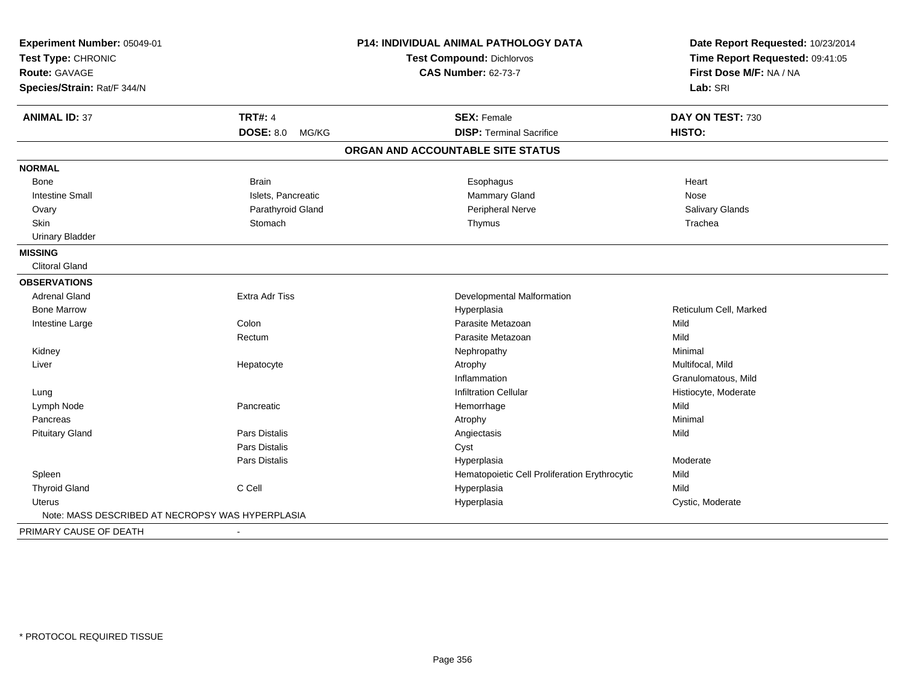| Experiment Number: 05049-01<br>Test Type: CHRONIC |                              | <b>P14: INDIVIDUAL ANIMAL PATHOLOGY DATA</b>  | Date Report Requested: 10/23/2014<br>Time Report Requested: 09:41:05 |
|---------------------------------------------------|------------------------------|-----------------------------------------------|----------------------------------------------------------------------|
|                                                   |                              | Test Compound: Dichlorvos                     |                                                                      |
| Route: GAVAGE                                     |                              | <b>CAS Number: 62-73-7</b>                    | First Dose M/F: NA / NA                                              |
| Species/Strain: Rat/F 344/N                       |                              |                                               | Lab: SRI                                                             |
| <b>ANIMAL ID: 37</b>                              | <b>TRT#: 4</b>               | <b>SEX: Female</b>                            | DAY ON TEST: 730                                                     |
|                                                   | <b>DOSE: 8.0</b><br>MG/KG    | <b>DISP: Terminal Sacrifice</b>               | HISTO:                                                               |
|                                                   |                              | ORGAN AND ACCOUNTABLE SITE STATUS             |                                                                      |
| <b>NORMAL</b>                                     |                              |                                               |                                                                      |
| <b>Bone</b>                                       | <b>Brain</b>                 | Esophagus                                     | Heart                                                                |
| <b>Intestine Small</b>                            | Islets, Pancreatic           | <b>Mammary Gland</b>                          | Nose                                                                 |
| Ovary                                             | Parathyroid Gland            | Peripheral Nerve                              | Salivary Glands                                                      |
| Skin                                              | Stomach                      | Thymus                                        | Trachea                                                              |
| <b>Urinary Bladder</b>                            |                              |                                               |                                                                      |
| <b>MISSING</b>                                    |                              |                                               |                                                                      |
| <b>Clitoral Gland</b>                             |                              |                                               |                                                                      |
| <b>OBSERVATIONS</b>                               |                              |                                               |                                                                      |
| <b>Adrenal Gland</b>                              | <b>Extra Adr Tiss</b>        | Developmental Malformation                    |                                                                      |
| <b>Bone Marrow</b>                                |                              | Hyperplasia                                   | Reticulum Cell, Marked                                               |
| Intestine Large                                   | Colon                        | Parasite Metazoan                             | Mild                                                                 |
|                                                   | Rectum                       | Parasite Metazoan                             | Mild                                                                 |
| Kidney                                            |                              | Nephropathy                                   | Minimal                                                              |
| Liver                                             | Hepatocyte                   | Atrophy                                       | Multifocal, Mild                                                     |
|                                                   |                              | Inflammation                                  | Granulomatous, Mild                                                  |
| Lung                                              |                              | <b>Infiltration Cellular</b>                  | Histiocyte, Moderate                                                 |
| Lymph Node                                        | Pancreatic                   | Hemorrhage                                    | Mild                                                                 |
| Pancreas                                          |                              | Atrophy                                       | Minimal                                                              |
| <b>Pituitary Gland</b>                            | <b>Pars Distalis</b>         | Angiectasis                                   | Mild                                                                 |
|                                                   | Pars Distalis                | Cyst                                          |                                                                      |
|                                                   | Pars Distalis                | Hyperplasia                                   | Moderate                                                             |
| Spleen                                            |                              | Hematopoietic Cell Proliferation Erythrocytic | Mild                                                                 |
| <b>Thyroid Gland</b>                              | C Cell                       | Hyperplasia                                   | Mild                                                                 |
| Uterus                                            |                              | Hyperplasia                                   | Cystic, Moderate                                                     |
| Note: MASS DESCRIBED AT NECROPSY WAS HYPERPLASIA  |                              |                                               |                                                                      |
| PRIMARY CAUSE OF DEATH                            | $\qquad \qquad \blacksquare$ |                                               |                                                                      |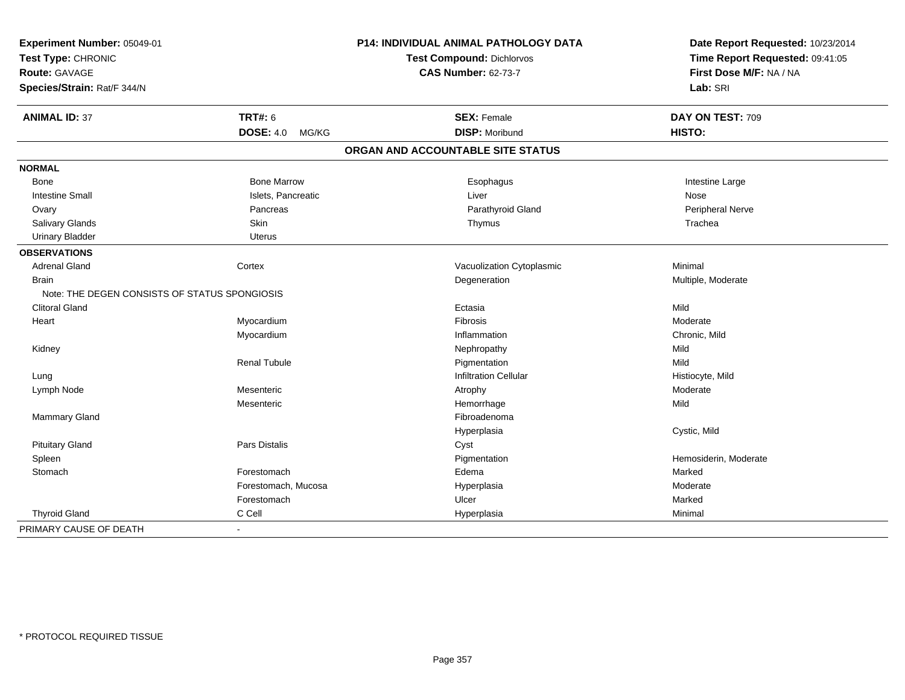| Experiment Number: 05049-01<br>Test Type: CHRONIC<br><b>Route: GAVAGE</b> |                           | P14: INDIVIDUAL ANIMAL PATHOLOGY DATA | Date Report Requested: 10/23/2014 |
|---------------------------------------------------------------------------|---------------------------|---------------------------------------|-----------------------------------|
|                                                                           |                           | Test Compound: Dichlorvos             | Time Report Requested: 09:41:05   |
|                                                                           |                           | <b>CAS Number: 62-73-7</b>            | First Dose M/F: NA / NA           |
| Species/Strain: Rat/F 344/N                                               |                           |                                       | Lab: SRI                          |
| <b>ANIMAL ID: 37</b>                                                      | <b>TRT#: 6</b>            | <b>SEX: Female</b>                    | DAY ON TEST: 709                  |
|                                                                           | <b>DOSE: 4.0</b><br>MG/KG | <b>DISP: Moribund</b>                 | HISTO:                            |
|                                                                           |                           | ORGAN AND ACCOUNTABLE SITE STATUS     |                                   |
| <b>NORMAL</b>                                                             |                           |                                       |                                   |
| Bone                                                                      | <b>Bone Marrow</b>        | Esophagus                             | Intestine Large                   |
| <b>Intestine Small</b>                                                    | Islets, Pancreatic        | Liver                                 | Nose                              |
| Ovary                                                                     | Pancreas                  | Parathyroid Gland                     | Peripheral Nerve                  |
| Salivary Glands                                                           | Skin                      | Thymus                                | Trachea                           |
| <b>Urinary Bladder</b>                                                    | <b>Uterus</b>             |                                       |                                   |
| <b>OBSERVATIONS</b>                                                       |                           |                                       |                                   |
| <b>Adrenal Gland</b>                                                      | Cortex                    | Vacuolization Cytoplasmic             | Minimal                           |
| <b>Brain</b>                                                              |                           | Degeneration                          | Multiple, Moderate                |
| Note: THE DEGEN CONSISTS OF STATUS SPONGIOSIS                             |                           |                                       |                                   |
| <b>Clitoral Gland</b>                                                     |                           | Ectasia                               | Mild                              |
| Heart                                                                     | Myocardium                | Fibrosis                              | Moderate                          |
|                                                                           | Myocardium                | Inflammation                          | Chronic, Mild                     |
| Kidney                                                                    |                           | Nephropathy                           | Mild                              |
|                                                                           | <b>Renal Tubule</b>       | Pigmentation                          | Mild                              |
| Lung                                                                      |                           | Infiltration Cellular                 | Histiocyte, Mild                  |
| Lymph Node                                                                | Mesenteric                | Atrophy                               | Moderate                          |
|                                                                           | Mesenteric                | Hemorrhage                            | Mild                              |
| Mammary Gland                                                             |                           | Fibroadenoma                          |                                   |
|                                                                           |                           | Hyperplasia                           | Cystic, Mild                      |
| <b>Pituitary Gland</b>                                                    | Pars Distalis             | Cyst                                  |                                   |
| Spleen                                                                    |                           | Pigmentation                          | Hemosiderin, Moderate             |
| Stomach                                                                   | Forestomach               | Edema                                 | Marked                            |
|                                                                           | Forestomach, Mucosa       | Hyperplasia                           | Moderate                          |
|                                                                           | Forestomach               | Ulcer                                 | Marked                            |
| <b>Thyroid Gland</b>                                                      | C Cell                    | Hyperplasia                           | Minimal                           |
| PRIMARY CAUSE OF DEATH                                                    | $\blacksquare$            |                                       |                                   |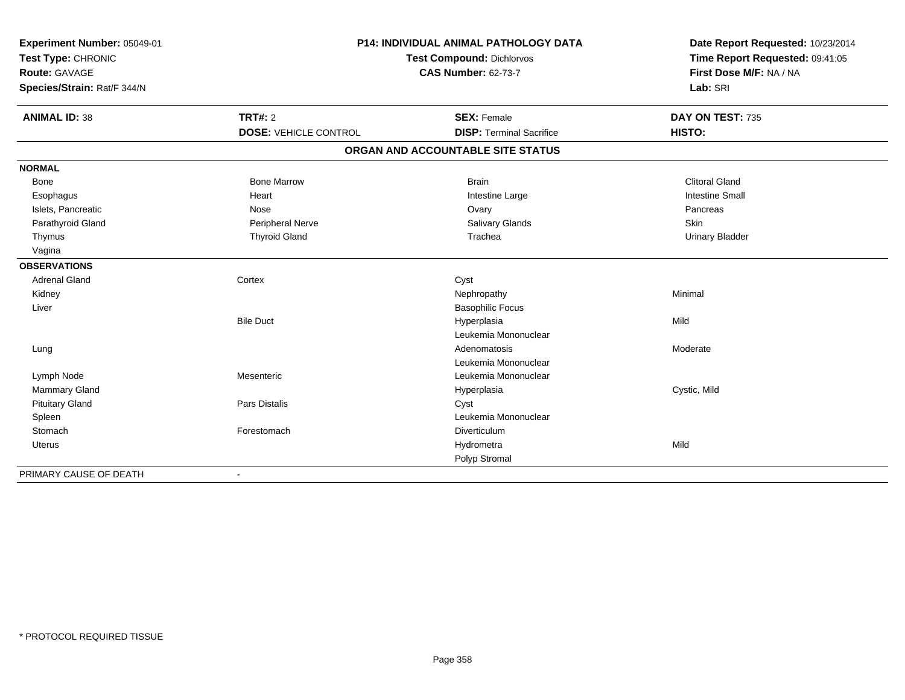| Experiment Number: 05049-01 | <b>P14: INDIVIDUAL ANIMAL PATHOLOGY DATA</b> |                                   | Date Report Requested: 10/23/2014 |
|-----------------------------|----------------------------------------------|-----------------------------------|-----------------------------------|
| Test Type: CHRONIC          |                                              | <b>Test Compound: Dichlorvos</b>  | Time Report Requested: 09:41:05   |
| <b>Route: GAVAGE</b>        |                                              | <b>CAS Number: 62-73-7</b>        | First Dose M/F: NA / NA           |
| Species/Strain: Rat/F 344/N |                                              |                                   | Lab: SRI                          |
| <b>ANIMAL ID: 38</b>        | <b>TRT#: 2</b>                               | <b>SEX: Female</b>                | DAY ON TEST: 735                  |
|                             | <b>DOSE: VEHICLE CONTROL</b>                 | <b>DISP: Terminal Sacrifice</b>   | HISTO:                            |
|                             |                                              | ORGAN AND ACCOUNTABLE SITE STATUS |                                   |
| <b>NORMAL</b>               |                                              |                                   |                                   |
| <b>Bone</b>                 | <b>Bone Marrow</b>                           | <b>Brain</b>                      | <b>Clitoral Gland</b>             |
| Esophagus                   | Heart                                        | Intestine Large                   | <b>Intestine Small</b>            |
| Islets, Pancreatic          | Nose                                         | Ovary                             | Pancreas                          |
| Parathyroid Gland           | Peripheral Nerve                             | <b>Salivary Glands</b>            | Skin                              |
| Thymus                      | <b>Thyroid Gland</b>                         | Trachea                           | <b>Urinary Bladder</b>            |
| Vagina                      |                                              |                                   |                                   |
| <b>OBSERVATIONS</b>         |                                              |                                   |                                   |
| <b>Adrenal Gland</b>        | Cortex                                       | Cyst                              |                                   |
| Kidney                      |                                              | Nephropathy                       | Minimal                           |
| Liver                       |                                              | <b>Basophilic Focus</b>           |                                   |
|                             | <b>Bile Duct</b>                             | Hyperplasia                       | Mild                              |
|                             |                                              | Leukemia Mononuclear              |                                   |
| Lung                        |                                              | Adenomatosis                      | Moderate                          |
|                             |                                              | Leukemia Mononuclear              |                                   |
| Lymph Node                  | Mesenteric                                   | Leukemia Mononuclear              |                                   |
| Mammary Gland               |                                              | Hyperplasia                       | Cystic, Mild                      |
| <b>Pituitary Gland</b>      | <b>Pars Distalis</b>                         | Cyst                              |                                   |
| Spleen                      |                                              | Leukemia Mononuclear              |                                   |
| Stomach                     | Forestomach                                  | Diverticulum                      |                                   |
| Uterus                      |                                              | Hydrometra                        | Mild                              |
|                             |                                              | Polyp Stromal                     |                                   |
| PRIMARY CAUSE OF DEATH      |                                              |                                   |                                   |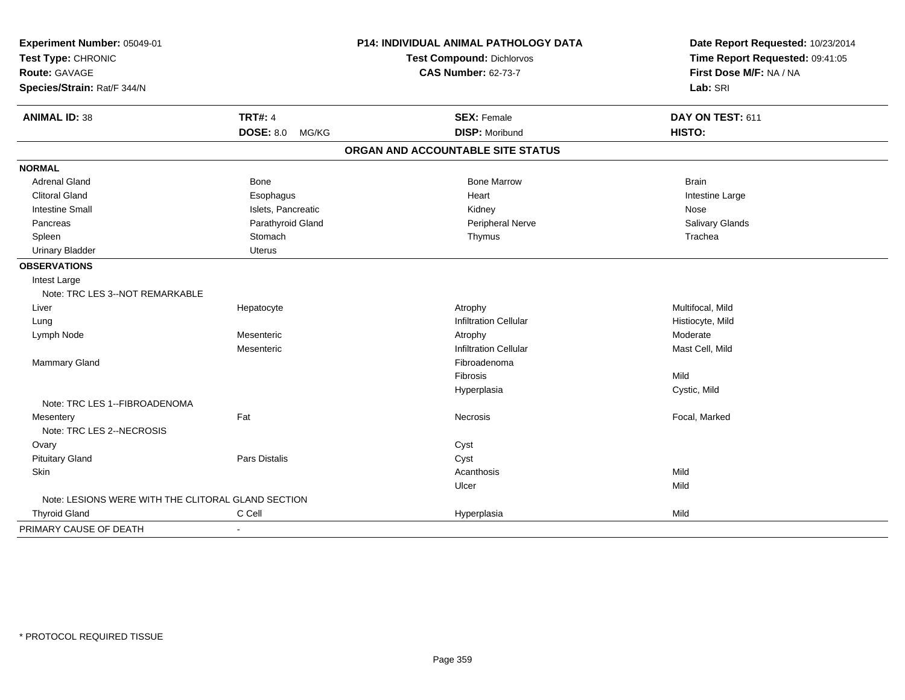| Experiment Number: 05049-01                        |                           | P14: INDIVIDUAL ANIMAL PATHOLOGY DATA | Date Report Requested: 10/23/2014 |
|----------------------------------------------------|---------------------------|---------------------------------------|-----------------------------------|
| Test Type: CHRONIC                                 |                           | <b>Test Compound: Dichlorvos</b>      | Time Report Requested: 09:41:05   |
| Route: GAVAGE                                      |                           | <b>CAS Number: 62-73-7</b>            | First Dose M/F: NA / NA           |
| Species/Strain: Rat/F 344/N                        |                           |                                       | Lab: SRI                          |
| <b>ANIMAL ID: 38</b>                               | <b>TRT#: 4</b>            | <b>SEX: Female</b>                    | DAY ON TEST: 611                  |
|                                                    | <b>DOSE: 8.0</b><br>MG/KG | <b>DISP: Moribund</b>                 | HISTO:                            |
|                                                    |                           | ORGAN AND ACCOUNTABLE SITE STATUS     |                                   |
| <b>NORMAL</b>                                      |                           |                                       |                                   |
| <b>Adrenal Gland</b>                               | Bone                      | <b>Bone Marrow</b>                    | <b>Brain</b>                      |
| <b>Clitoral Gland</b>                              | Esophagus                 | Heart                                 | Intestine Large                   |
| <b>Intestine Small</b>                             | Islets, Pancreatic        | Kidney                                | Nose                              |
| Pancreas                                           | Parathyroid Gland         | Peripheral Nerve                      | Salivary Glands                   |
| Spleen                                             | Stomach                   | Thymus                                | Trachea                           |
| <b>Urinary Bladder</b>                             | <b>Uterus</b>             |                                       |                                   |
| <b>OBSERVATIONS</b>                                |                           |                                       |                                   |
| Intest Large                                       |                           |                                       |                                   |
| Note: TRC LES 3--NOT REMARKABLE                    |                           |                                       |                                   |
| Liver                                              | Hepatocyte                | Atrophy                               | Multifocal, Mild                  |
| Lung                                               |                           | <b>Infiltration Cellular</b>          | Histiocyte, Mild                  |
| Lymph Node                                         | Mesenteric                | Atrophy                               | Moderate                          |
|                                                    | Mesenteric                | <b>Infiltration Cellular</b>          | Mast Cell, Mild                   |
| Mammary Gland                                      |                           | Fibroadenoma                          |                                   |
|                                                    |                           | Fibrosis                              | Mild                              |
|                                                    |                           | Hyperplasia                           | Cystic, Mild                      |
| Note: TRC LES 1--FIBROADENOMA                      |                           |                                       |                                   |
| Mesentery                                          | Fat                       | <b>Necrosis</b>                       | Focal, Marked                     |
| Note: TRC LES 2--NECROSIS                          |                           |                                       |                                   |
| Ovary                                              |                           | Cyst                                  |                                   |
| <b>Pituitary Gland</b>                             | Pars Distalis             | Cyst                                  |                                   |
| <b>Skin</b>                                        |                           | Acanthosis                            | Mild                              |
|                                                    |                           | Ulcer                                 | Mild                              |
| Note: LESIONS WERE WITH THE CLITORAL GLAND SECTION |                           |                                       |                                   |
| <b>Thyroid Gland</b>                               | C Cell                    | Hyperplasia                           | Mild                              |
| PRIMARY CAUSE OF DEATH                             | $\blacksquare$            |                                       |                                   |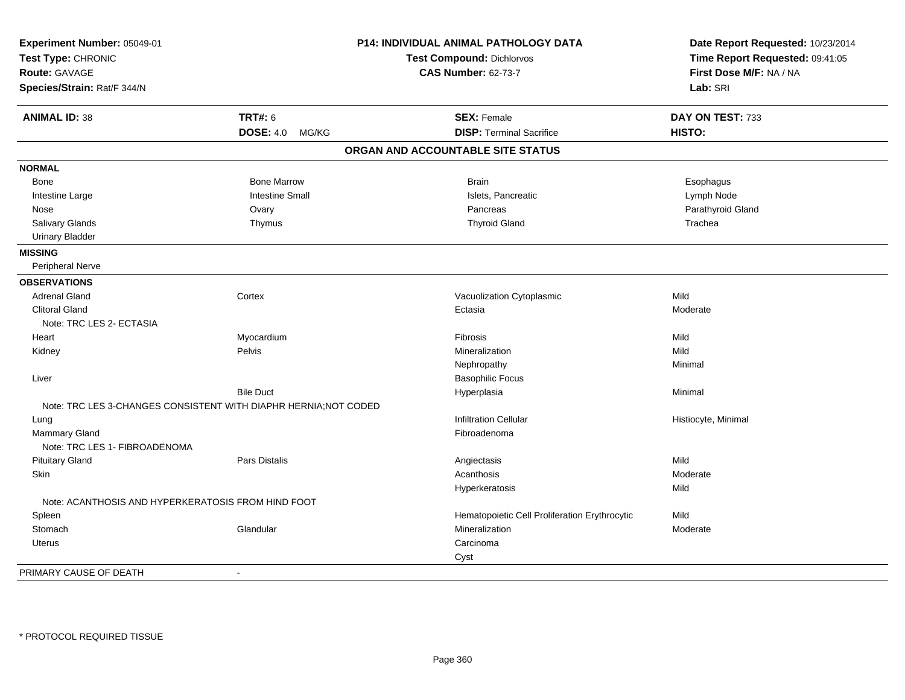| Experiment Number: 05049-01                                      |                           | P14: INDIVIDUAL ANIMAL PATHOLOGY DATA         | Date Report Requested: 10/23/2014 |
|------------------------------------------------------------------|---------------------------|-----------------------------------------------|-----------------------------------|
| Test Type: CHRONIC                                               |                           | <b>Test Compound: Dichlorvos</b>              | Time Report Requested: 09:41:05   |
| <b>Route: GAVAGE</b>                                             |                           | <b>CAS Number: 62-73-7</b>                    | First Dose M/F: NA / NA           |
| Species/Strain: Rat/F 344/N                                      |                           |                                               | Lab: SRI                          |
| <b>ANIMAL ID: 38</b>                                             | <b>TRT#: 6</b>            | <b>SEX: Female</b>                            | DAY ON TEST: 733                  |
|                                                                  | <b>DOSE: 4.0</b><br>MG/KG | <b>DISP: Terminal Sacrifice</b>               | HISTO:                            |
|                                                                  |                           | ORGAN AND ACCOUNTABLE SITE STATUS             |                                   |
| <b>NORMAL</b>                                                    |                           |                                               |                                   |
| Bone                                                             | <b>Bone Marrow</b>        | <b>Brain</b>                                  | Esophagus                         |
| Intestine Large                                                  | <b>Intestine Small</b>    | Islets, Pancreatic                            | Lymph Node                        |
| Nose                                                             | Ovary                     | Pancreas                                      | Parathyroid Gland                 |
| Salivary Glands                                                  | Thymus                    | <b>Thyroid Gland</b>                          | Trachea                           |
| <b>Urinary Bladder</b>                                           |                           |                                               |                                   |
| <b>MISSING</b>                                                   |                           |                                               |                                   |
| Peripheral Nerve                                                 |                           |                                               |                                   |
| <b>OBSERVATIONS</b>                                              |                           |                                               |                                   |
| <b>Adrenal Gland</b>                                             | Cortex                    | Vacuolization Cytoplasmic                     | Mild                              |
| <b>Clitoral Gland</b>                                            |                           | Ectasia                                       | Moderate                          |
| Note: TRC LES 2- ECTASIA                                         |                           |                                               |                                   |
| Heart                                                            | Myocardium                | Fibrosis                                      | Mild                              |
| Kidney                                                           | Pelvis                    | Mineralization                                | Mild                              |
|                                                                  |                           | Nephropathy                                   | Minimal                           |
| Liver                                                            |                           | <b>Basophilic Focus</b>                       |                                   |
|                                                                  | <b>Bile Duct</b>          | Hyperplasia                                   | Minimal                           |
| Note: TRC LES 3-CHANGES CONSISTENT WITH DIAPHR HERNIA: NOT CODED |                           |                                               |                                   |
| Lung                                                             |                           | <b>Infiltration Cellular</b>                  | Histiocyte, Minimal               |
| <b>Mammary Gland</b>                                             |                           | Fibroadenoma                                  |                                   |
| Note: TRC LES 1- FIBROADENOMA                                    |                           |                                               |                                   |
| <b>Pituitary Gland</b>                                           | Pars Distalis             | Angiectasis                                   | Mild                              |
| Skin                                                             |                           | Acanthosis                                    | Moderate                          |
|                                                                  |                           | Hyperkeratosis                                | Mild                              |
| Note: ACANTHOSIS AND HYPERKERATOSIS FROM HIND FOOT               |                           |                                               |                                   |
| Spleen                                                           |                           | Hematopoietic Cell Proliferation Erythrocytic | Mild                              |
| Stomach                                                          | Glandular                 | Mineralization                                | Moderate                          |
| <b>Uterus</b>                                                    |                           | Carcinoma                                     |                                   |
|                                                                  |                           | Cyst                                          |                                   |
| PRIMARY CAUSE OF DEATH                                           | $\blacksquare$            |                                               |                                   |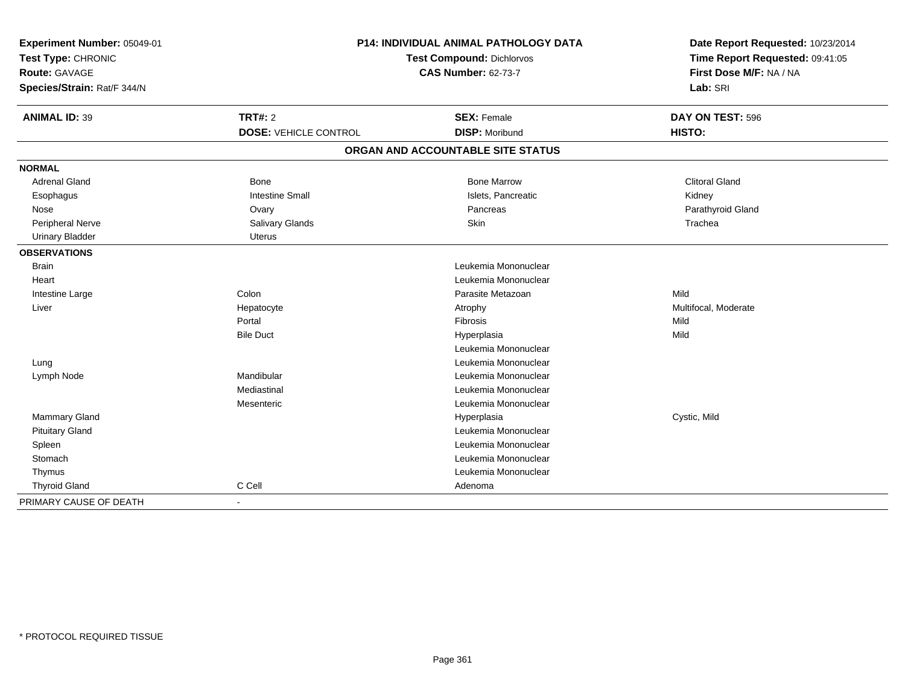| Experiment Number: 05049-01<br>Test Type: CHRONIC<br><b>Route: GAVAGE</b><br>Species/Strain: Rat/F 344/N | P14: INDIVIDUAL ANIMAL PATHOLOGY DATA<br><b>Test Compound: Dichlorvos</b><br><b>CAS Number: 62-73-7</b> |                                             | Date Report Requested: 10/23/2014<br>Time Report Requested: 09:41:05<br>First Dose M/F: NA / NA<br>Lab: SRI |
|----------------------------------------------------------------------------------------------------------|---------------------------------------------------------------------------------------------------------|---------------------------------------------|-------------------------------------------------------------------------------------------------------------|
| <b>ANIMAL ID: 39</b>                                                                                     | <b>TRT#: 2</b><br><b>DOSE: VEHICLE CONTROL</b>                                                          | <b>SEX: Female</b><br><b>DISP: Moribund</b> | DAY ON TEST: 596<br><b>HISTO:</b>                                                                           |
|                                                                                                          |                                                                                                         | ORGAN AND ACCOUNTABLE SITE STATUS           |                                                                                                             |
| <b>NORMAL</b>                                                                                            |                                                                                                         |                                             |                                                                                                             |
| <b>Adrenal Gland</b>                                                                                     | Bone                                                                                                    | <b>Bone Marrow</b>                          | <b>Clitoral Gland</b>                                                                                       |
| Esophagus                                                                                                | <b>Intestine Small</b>                                                                                  | Islets, Pancreatic                          | Kidney                                                                                                      |
| Nose                                                                                                     | Ovary                                                                                                   | Pancreas                                    | Parathyroid Gland                                                                                           |
| <b>Peripheral Nerve</b>                                                                                  | <b>Salivary Glands</b>                                                                                  | Skin                                        | Trachea                                                                                                     |
| <b>Urinary Bladder</b>                                                                                   | <b>Uterus</b>                                                                                           |                                             |                                                                                                             |
| <b>OBSERVATIONS</b>                                                                                      |                                                                                                         |                                             |                                                                                                             |
| <b>Brain</b>                                                                                             |                                                                                                         | Leukemia Mononuclear                        |                                                                                                             |
| Heart                                                                                                    |                                                                                                         | Leukemia Mononuclear                        |                                                                                                             |
| Intestine Large                                                                                          | Colon                                                                                                   | Parasite Metazoan                           | Mild                                                                                                        |
| Liver                                                                                                    | Hepatocyte                                                                                              | Atrophy                                     | Multifocal, Moderate                                                                                        |
|                                                                                                          | Portal                                                                                                  | Fibrosis                                    | Mild                                                                                                        |
|                                                                                                          | <b>Bile Duct</b>                                                                                        | Hyperplasia                                 | Mild                                                                                                        |
|                                                                                                          |                                                                                                         | Leukemia Mononuclear                        |                                                                                                             |
| Lung                                                                                                     |                                                                                                         | Leukemia Mononuclear                        |                                                                                                             |
| Lymph Node                                                                                               | Mandibular                                                                                              | Leukemia Mononuclear                        |                                                                                                             |
|                                                                                                          | Mediastinal                                                                                             | Leukemia Mononuclear                        |                                                                                                             |
|                                                                                                          | Mesenteric                                                                                              | Leukemia Mononuclear                        |                                                                                                             |
| Mammary Gland                                                                                            |                                                                                                         | Hyperplasia                                 | Cystic, Mild                                                                                                |
| <b>Pituitary Gland</b>                                                                                   |                                                                                                         | Leukemia Mononuclear                        |                                                                                                             |
| Spleen                                                                                                   |                                                                                                         | Leukemia Mononuclear                        |                                                                                                             |
| Stomach                                                                                                  |                                                                                                         | Leukemia Mononuclear                        |                                                                                                             |
| Thymus                                                                                                   |                                                                                                         | Leukemia Mononuclear                        |                                                                                                             |
| <b>Thyroid Gland</b>                                                                                     | C Cell                                                                                                  | Adenoma                                     |                                                                                                             |
| PRIMARY CAUSE OF DEATH                                                                                   | $\blacksquare$                                                                                          |                                             |                                                                                                             |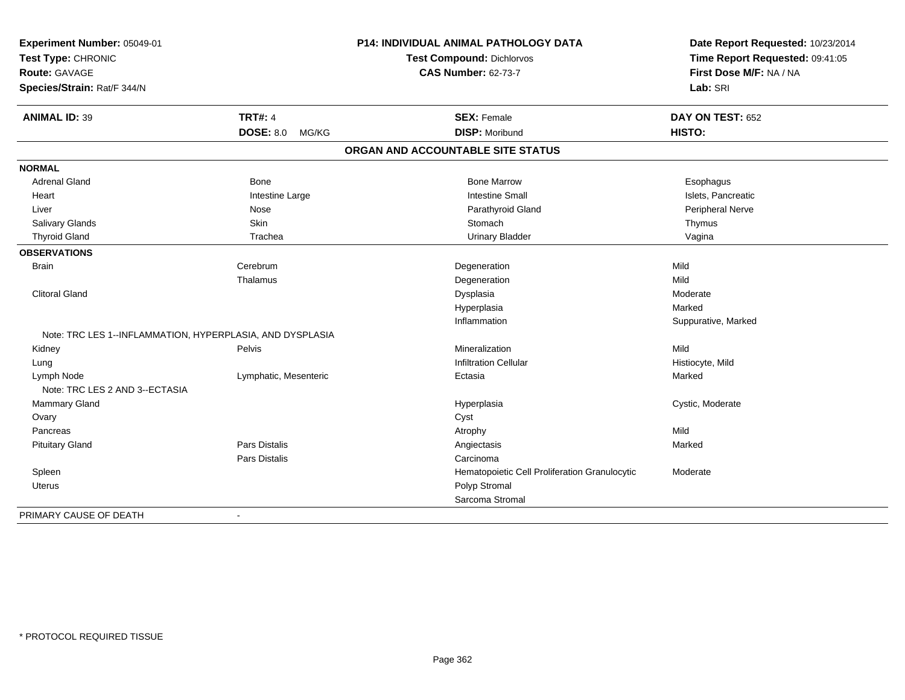| Experiment Number: 05049-01                               |                           | P14: INDIVIDUAL ANIMAL PATHOLOGY DATA         | Date Report Requested: 10/23/2014<br>Time Report Requested: 09:41:05 |
|-----------------------------------------------------------|---------------------------|-----------------------------------------------|----------------------------------------------------------------------|
| Test Type: CHRONIC                                        |                           | Test Compound: Dichlorvos                     |                                                                      |
| <b>Route: GAVAGE</b>                                      |                           | <b>CAS Number: 62-73-7</b>                    | First Dose M/F: NA / NA                                              |
| Species/Strain: Rat/F 344/N                               |                           |                                               | Lab: SRI                                                             |
| <b>ANIMAL ID: 39</b>                                      | <b>TRT#: 4</b>            | <b>SEX: Female</b>                            | DAY ON TEST: 652                                                     |
|                                                           | <b>DOSE: 8.0</b><br>MG/KG | <b>DISP: Moribund</b>                         | HISTO:                                                               |
|                                                           |                           | ORGAN AND ACCOUNTABLE SITE STATUS             |                                                                      |
| <b>NORMAL</b>                                             |                           |                                               |                                                                      |
| <b>Adrenal Gland</b>                                      | Bone                      | <b>Bone Marrow</b>                            | Esophagus                                                            |
| Heart                                                     | Intestine Large           | <b>Intestine Small</b>                        | Islets, Pancreatic                                                   |
| Liver                                                     | Nose                      | Parathyroid Gland                             | Peripheral Nerve                                                     |
| Salivary Glands                                           | Skin                      | Stomach                                       | Thymus                                                               |
| <b>Thyroid Gland</b>                                      | Trachea                   | <b>Urinary Bladder</b>                        | Vagina                                                               |
| <b>OBSERVATIONS</b>                                       |                           |                                               |                                                                      |
| <b>Brain</b>                                              | Cerebrum                  | Degeneration                                  | Mild                                                                 |
|                                                           | Thalamus                  | Degeneration                                  | Mild                                                                 |
| <b>Clitoral Gland</b>                                     |                           | Dysplasia                                     | Moderate                                                             |
|                                                           |                           | Hyperplasia                                   | Marked                                                               |
|                                                           |                           | Inflammation                                  | Suppurative, Marked                                                  |
| Note: TRC LES 1--INFLAMMATION, HYPERPLASIA, AND DYSPLASIA |                           |                                               |                                                                      |
| Kidney                                                    | Pelvis                    | Mineralization                                | Mild                                                                 |
| Lung                                                      |                           | <b>Infiltration Cellular</b>                  | Histiocyte, Mild                                                     |
| Lymph Node<br>Note: TRC LES 2 AND 3--ECTASIA              | Lymphatic, Mesenteric     | Ectasia                                       | Marked                                                               |
| <b>Mammary Gland</b>                                      |                           | Hyperplasia                                   | Cystic, Moderate                                                     |
| Ovary                                                     |                           | Cyst                                          |                                                                      |
| Pancreas                                                  |                           | Atrophy                                       | Mild                                                                 |
| <b>Pituitary Gland</b>                                    | Pars Distalis             | Angiectasis                                   | Marked                                                               |
|                                                           | Pars Distalis             | Carcinoma                                     |                                                                      |
| Spleen                                                    |                           | Hematopoietic Cell Proliferation Granulocytic | Moderate                                                             |
| Uterus                                                    |                           | Polyp Stromal                                 |                                                                      |
|                                                           |                           | Sarcoma Stromal                               |                                                                      |
| PRIMARY CAUSE OF DEATH                                    | $\sim$                    |                                               |                                                                      |
|                                                           |                           |                                               |                                                                      |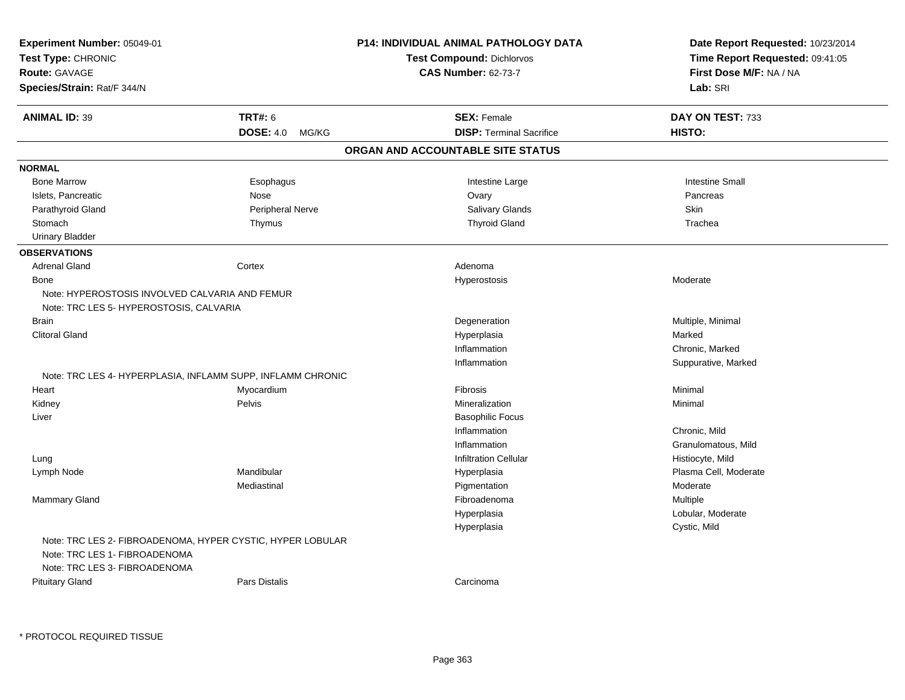| Experiment Number: 05049-01<br>Test Type: CHRONIC              |                      | <b>P14: INDIVIDUAL ANIMAL PATHOLOGY DATA</b><br><b>Test Compound: Dichlorvos</b> | Date Report Requested: 10/23/2014<br>Time Report Requested: 09:41:05 |
|----------------------------------------------------------------|----------------------|----------------------------------------------------------------------------------|----------------------------------------------------------------------|
| Route: GAVAGE                                                  |                      | <b>CAS Number: 62-73-7</b>                                                       | First Dose M/F: NA / NA                                              |
| Species/Strain: Rat/F 344/N                                    |                      |                                                                                  | Lab: SRI                                                             |
|                                                                |                      |                                                                                  |                                                                      |
| <b>ANIMAL ID: 39</b>                                           | <b>TRT#: 6</b>       | <b>SEX: Female</b>                                                               | DAY ON TEST: 733                                                     |
|                                                                | DOSE: 4.0 MG/KG      | <b>DISP: Terminal Sacrifice</b>                                                  | HISTO:                                                               |
|                                                                |                      | ORGAN AND ACCOUNTABLE SITE STATUS                                                |                                                                      |
| <b>NORMAL</b>                                                  |                      |                                                                                  |                                                                      |
| <b>Bone Marrow</b>                                             | Esophagus            | Intestine Large                                                                  | <b>Intestine Small</b>                                               |
| Islets, Pancreatic                                             | Nose                 | Ovary                                                                            | Pancreas                                                             |
| Parathyroid Gland                                              | Peripheral Nerve     | <b>Salivary Glands</b>                                                           | Skin                                                                 |
| Stomach                                                        | Thymus               | <b>Thyroid Gland</b>                                                             | Trachea                                                              |
| <b>Urinary Bladder</b>                                         |                      |                                                                                  |                                                                      |
| <b>OBSERVATIONS</b>                                            |                      |                                                                                  |                                                                      |
| <b>Adrenal Gland</b>                                           | Cortex               | Adenoma                                                                          |                                                                      |
| Bone                                                           |                      | Hyperostosis                                                                     | Moderate                                                             |
| Note: HYPEROSTOSIS INVOLVED CALVARIA AND FEMUR                 |                      |                                                                                  |                                                                      |
| Note: TRC LES 5- HYPEROSTOSIS, CALVARIA                        |                      |                                                                                  |                                                                      |
| <b>Brain</b>                                                   |                      | Degeneration                                                                     | Multiple, Minimal                                                    |
| <b>Clitoral Gland</b>                                          |                      | Hyperplasia                                                                      | Marked                                                               |
|                                                                |                      | Inflammation                                                                     | Chronic, Marked                                                      |
|                                                                |                      | Inflammation                                                                     | Suppurative, Marked                                                  |
| Note: TRC LES 4- HYPERPLASIA, INFLAMM SUPP, INFLAMM CHRONIC    |                      |                                                                                  |                                                                      |
| Heart                                                          | Myocardium           | Fibrosis                                                                         | Minimal                                                              |
| Kidney                                                         | Pelvis               | Mineralization                                                                   | Minimal                                                              |
| Liver                                                          |                      | <b>Basophilic Focus</b>                                                          |                                                                      |
|                                                                |                      | Inflammation                                                                     | Chronic, Mild                                                        |
|                                                                |                      | Inflammation                                                                     | Granulomatous, Mild                                                  |
| Lung                                                           |                      | <b>Infiltration Cellular</b>                                                     | Histiocyte, Mild                                                     |
| Lymph Node                                                     | Mandibular           | Hyperplasia                                                                      | Plasma Cell, Moderate                                                |
|                                                                | Mediastinal          | Pigmentation                                                                     | Moderate                                                             |
| Mammary Gland                                                  |                      | Fibroadenoma                                                                     | Multiple                                                             |
|                                                                |                      | Hyperplasia                                                                      | Lobular, Moderate                                                    |
|                                                                |                      | Hyperplasia                                                                      | Cystic, Mild                                                         |
| Note: TRC LES 2- FIBROADENOMA, HYPER CYSTIC, HYPER LOBULAR     |                      |                                                                                  |                                                                      |
| Note: TRC LES 1- FIBROADENOMA<br>Note: TRC LES 3- FIBROADENOMA |                      |                                                                                  |                                                                      |
| <b>Pituitary Gland</b>                                         | <b>Pars Distalis</b> | Carcinoma                                                                        |                                                                      |
|                                                                |                      |                                                                                  |                                                                      |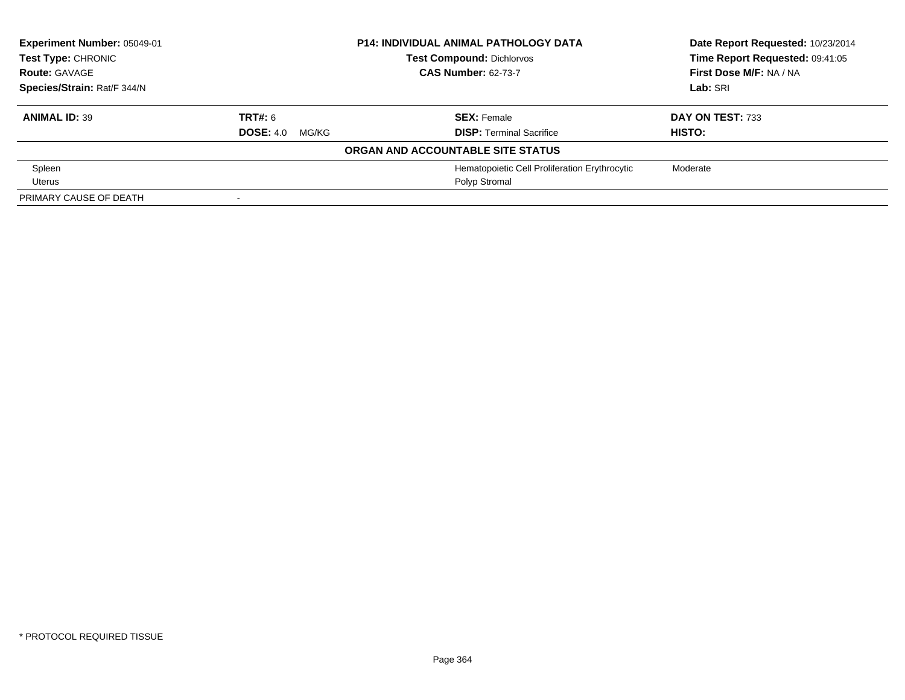| Experiment Number: 05049-01 |                           | <b>P14: INDIVIDUAL ANIMAL PATHOLOGY DATA</b>  | Date Report Requested: 10/23/2014 |
|-----------------------------|---------------------------|-----------------------------------------------|-----------------------------------|
| Test Type: CHRONIC          |                           | <b>Test Compound: Dichlorvos</b>              | Time Report Requested: 09:41:05   |
| <b>Route: GAVAGE</b>        |                           | <b>CAS Number: 62-73-7</b>                    |                                   |
| Species/Strain: Rat/F 344/N |                           |                                               | Lab: SRI                          |
| <b>ANIMAL ID: 39</b>        | TRT#: 6                   | <b>SEX: Female</b>                            | DAY ON TEST: 733                  |
|                             | <b>DOSE: 4.0</b><br>MG/KG | <b>DISP: Terminal Sacrifice</b>               | <b>HISTO:</b>                     |
|                             |                           | ORGAN AND ACCOUNTABLE SITE STATUS             |                                   |
| Spleen                      |                           | Hematopoietic Cell Proliferation Erythrocytic | Moderate                          |
| Uterus                      |                           | Polyp Stromal                                 |                                   |
| PRIMARY CAUSE OF DEATH      |                           |                                               |                                   |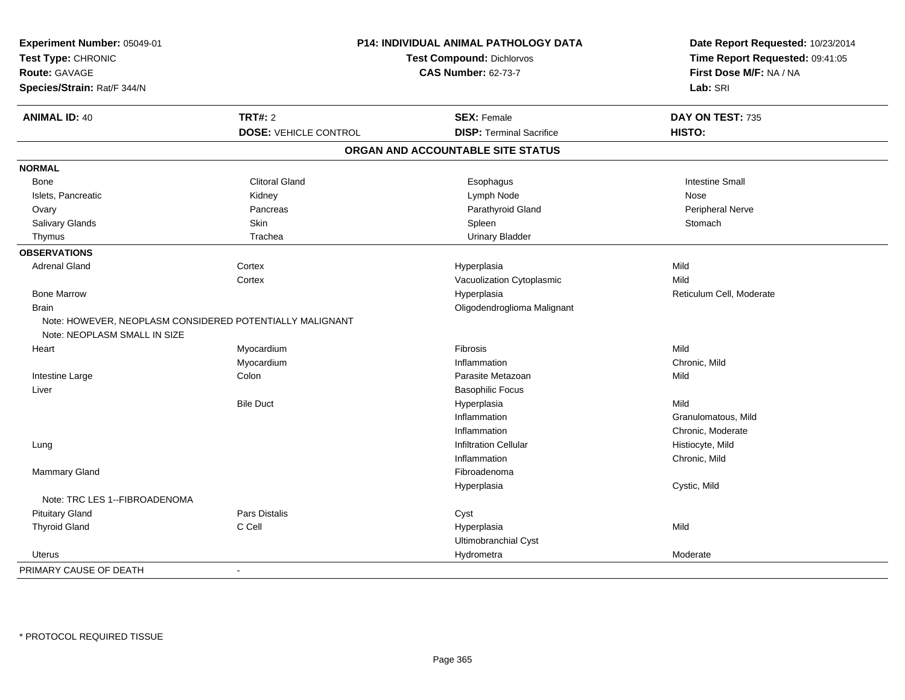| Experiment Number: 05049-01<br>Test Type: CHRONIC        |                              | P14: INDIVIDUAL ANIMAL PATHOLOGY DATA<br><b>Test Compound: Dichlorvos</b> | Date Report Requested: 10/23/2014<br>Time Report Requested: 09:41:05 |
|----------------------------------------------------------|------------------------------|---------------------------------------------------------------------------|----------------------------------------------------------------------|
| <b>Route: GAVAGE</b>                                     |                              | <b>CAS Number: 62-73-7</b>                                                | First Dose M/F: NA / NA                                              |
| Species/Strain: Rat/F 344/N                              |                              |                                                                           | Lab: SRI                                                             |
| <b>ANIMAL ID: 40</b>                                     | <b>TRT#: 2</b>               | <b>SEX: Female</b>                                                        | DAY ON TEST: 735                                                     |
|                                                          | <b>DOSE: VEHICLE CONTROL</b> | <b>DISP: Terminal Sacrifice</b>                                           | HISTO:                                                               |
|                                                          |                              | ORGAN AND ACCOUNTABLE SITE STATUS                                         |                                                                      |
| <b>NORMAL</b>                                            |                              |                                                                           |                                                                      |
| Bone                                                     | <b>Clitoral Gland</b>        | Esophagus                                                                 | <b>Intestine Small</b>                                               |
| Islets, Pancreatic                                       | Kidney                       | Lymph Node                                                                | Nose                                                                 |
| Ovary                                                    | Pancreas                     | Parathyroid Gland                                                         | <b>Peripheral Nerve</b>                                              |
| Salivary Glands                                          | Skin                         | Spleen                                                                    | Stomach                                                              |
| Thymus                                                   | Trachea                      | <b>Urinary Bladder</b>                                                    |                                                                      |
| <b>OBSERVATIONS</b>                                      |                              |                                                                           |                                                                      |
| <b>Adrenal Gland</b>                                     | Cortex                       | Hyperplasia                                                               | Mild                                                                 |
|                                                          | Cortex                       | Vacuolization Cytoplasmic                                                 | Mild                                                                 |
| <b>Bone Marrow</b>                                       |                              | Hyperplasia                                                               | Reticulum Cell, Moderate                                             |
| <b>Brain</b>                                             |                              | Oligodendroglioma Malignant                                               |                                                                      |
| Note: HOWEVER, NEOPLASM CONSIDERED POTENTIALLY MALIGNANT |                              |                                                                           |                                                                      |
| Note: NEOPLASM SMALL IN SIZE                             |                              |                                                                           |                                                                      |
| Heart                                                    | Myocardium                   | Fibrosis                                                                  | Mild                                                                 |
|                                                          | Myocardium                   | Inflammation                                                              | Chronic, Mild                                                        |
| Intestine Large                                          | Colon                        | Parasite Metazoan                                                         | Mild                                                                 |
| Liver                                                    |                              | <b>Basophilic Focus</b>                                                   |                                                                      |
|                                                          | <b>Bile Duct</b>             | Hyperplasia                                                               | Mild                                                                 |
|                                                          |                              | Inflammation                                                              | Granulomatous, Mild                                                  |
|                                                          |                              | Inflammation                                                              | Chronic, Moderate                                                    |
| Lung                                                     |                              | <b>Infiltration Cellular</b>                                              | Histiocyte, Mild                                                     |
|                                                          |                              | Inflammation                                                              | Chronic, Mild                                                        |
| Mammary Gland                                            |                              | Fibroadenoma                                                              |                                                                      |
|                                                          |                              | Hyperplasia                                                               | Cystic, Mild                                                         |
| Note: TRC LES 1--FIBROADENOMA                            |                              |                                                                           |                                                                      |
| <b>Pituitary Gland</b>                                   | <b>Pars Distalis</b>         | Cyst                                                                      |                                                                      |
| <b>Thyroid Gland</b>                                     | C Cell                       | Hyperplasia                                                               | Mild                                                                 |
|                                                          |                              | Ultimobranchial Cyst                                                      |                                                                      |
| <b>Uterus</b>                                            |                              | Hydrometra                                                                | Moderate                                                             |
| PRIMARY CAUSE OF DEATH                                   | $\blacksquare$               |                                                                           |                                                                      |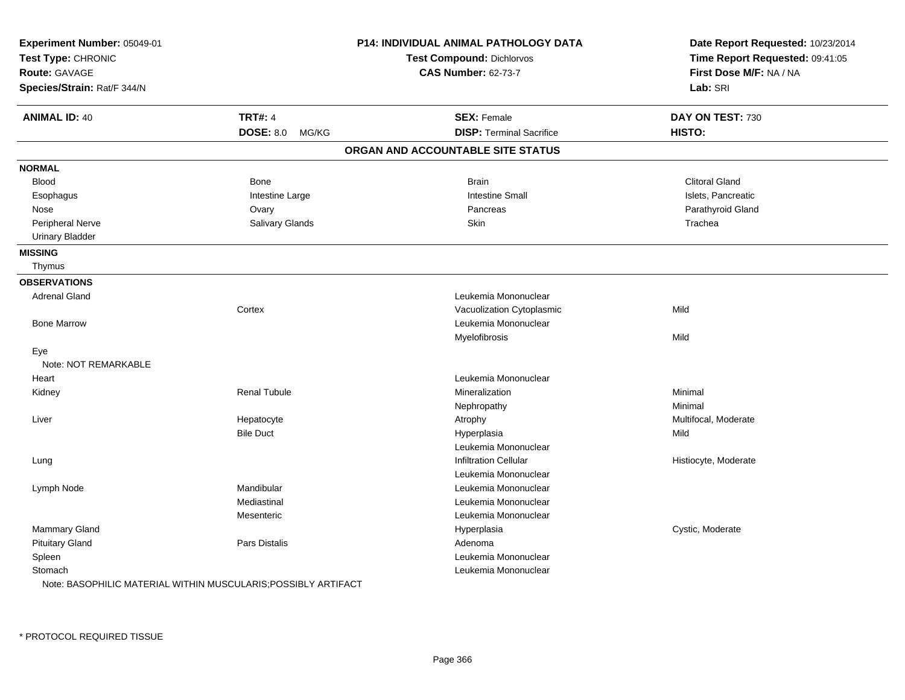| Experiment Number: 05049-01 |                     | P14: INDIVIDUAL ANIMAL PATHOLOGY DATA | Date Report Requested: 10/23/2014 |  |
|-----------------------------|---------------------|---------------------------------------|-----------------------------------|--|
| Test Type: CHRONIC          |                     | Test Compound: Dichlorvos             | Time Report Requested: 09:41:05   |  |
| <b>Route: GAVAGE</b>        |                     | <b>CAS Number: 62-73-7</b>            | First Dose M/F: NA / NA           |  |
| Species/Strain: Rat/F 344/N |                     |                                       | Lab: SRI                          |  |
| <b>ANIMAL ID: 40</b>        | <b>TRT#: 4</b>      | <b>SEX: Female</b>                    | DAY ON TEST: 730                  |  |
|                             | DOSE: 8.0 MG/KG     | <b>DISP: Terminal Sacrifice</b>       | HISTO:                            |  |
|                             |                     | ORGAN AND ACCOUNTABLE SITE STATUS     |                                   |  |
| <b>NORMAL</b>               |                     |                                       |                                   |  |
| <b>Blood</b>                | Bone                | <b>Brain</b>                          | <b>Clitoral Gland</b>             |  |
| Esophagus                   | Intestine Large     | <b>Intestine Small</b>                | Islets, Pancreatic                |  |
| Nose                        | Ovary               | Pancreas                              | Parathyroid Gland                 |  |
| Peripheral Nerve            | Salivary Glands     | Skin                                  | Trachea                           |  |
| <b>Urinary Bladder</b>      |                     |                                       |                                   |  |
| <b>MISSING</b>              |                     |                                       |                                   |  |
| Thymus                      |                     |                                       |                                   |  |
| <b>OBSERVATIONS</b>         |                     |                                       |                                   |  |
| <b>Adrenal Gland</b>        |                     | Leukemia Mononuclear                  |                                   |  |
|                             | Cortex              | Vacuolization Cytoplasmic             | Mild                              |  |
| <b>Bone Marrow</b>          |                     | Leukemia Mononuclear                  |                                   |  |
|                             |                     | Myelofibrosis                         | Mild                              |  |
| Eye                         |                     |                                       |                                   |  |
| Note: NOT REMARKABLE        |                     |                                       |                                   |  |
| Heart                       |                     | Leukemia Mononuclear                  |                                   |  |
| Kidney                      | <b>Renal Tubule</b> | Mineralization                        | Minimal                           |  |
|                             |                     | Nephropathy                           | Minimal                           |  |
| Liver                       | Hepatocyte          | Atrophy                               | Multifocal, Moderate              |  |
|                             | <b>Bile Duct</b>    | Hyperplasia                           | Mild                              |  |
|                             |                     | Leukemia Mononuclear                  |                                   |  |
| Lung                        |                     | <b>Infiltration Cellular</b>          | Histiocyte, Moderate              |  |
|                             |                     | Leukemia Mononuclear                  |                                   |  |
| Lymph Node                  | Mandibular          | Leukemia Mononuclear                  |                                   |  |
|                             | Mediastinal         | Leukemia Mononuclear                  |                                   |  |
|                             | Mesenteric          | Leukemia Mononuclear                  |                                   |  |
| <b>Mammary Gland</b>        |                     | Hyperplasia                           | Cystic, Moderate                  |  |
| <b>Pituitary Gland</b>      | Pars Distalis       | Adenoma                               |                                   |  |
| Spleen                      |                     | Leukemia Mononuclear                  |                                   |  |
| Stomach                     |                     | Leukemia Mononuclear                  |                                   |  |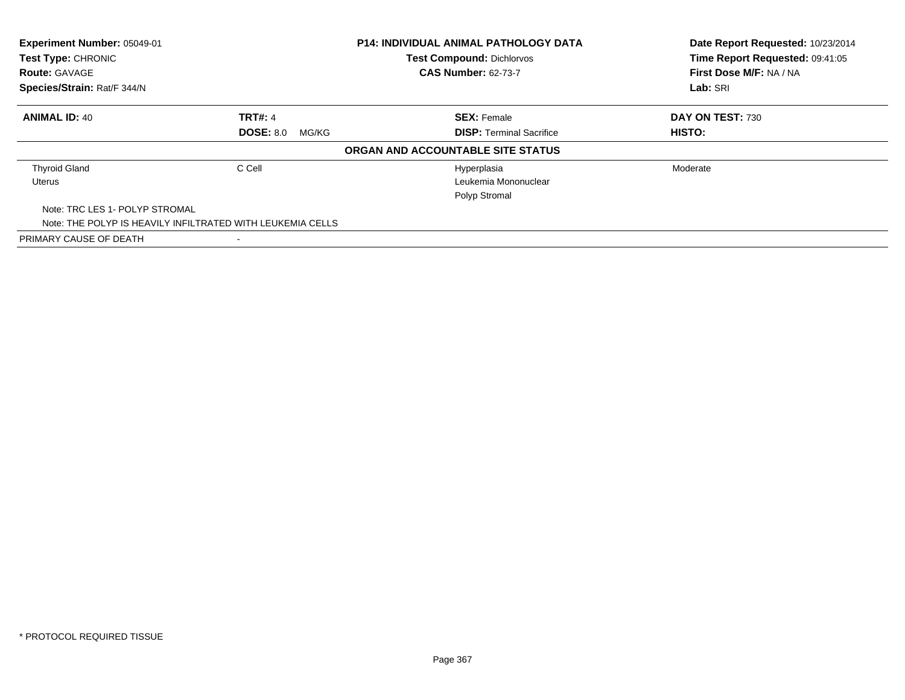| Experiment Number: 05049-01<br>Test Type: CHRONIC<br><b>Route: GAVAGE</b><br>Species/Strain: Rat/F 344/N |                                                            | <b>P14: INDIVIDUAL ANIMAL PATHOLOGY DATA</b><br><b>Test Compound: Dichlorvos</b><br><b>CAS Number: 62-73-7</b> | Date Report Requested: 10/23/2014<br>Time Report Requested: 09:41:05<br>First Dose M/F: NA / NA |
|----------------------------------------------------------------------------------------------------------|------------------------------------------------------------|----------------------------------------------------------------------------------------------------------------|-------------------------------------------------------------------------------------------------|
|                                                                                                          |                                                            |                                                                                                                | Lab: SRI                                                                                        |
| <b>ANIMAL ID: 40</b>                                                                                     | <b>TRT#: 4</b>                                             | <b>SEX: Female</b>                                                                                             | DAY ON TEST: 730                                                                                |
|                                                                                                          | <b>DOSE: 8.0</b><br>MG/KG                                  | <b>DISP: Terminal Sacrifice</b>                                                                                | HISTO:                                                                                          |
|                                                                                                          |                                                            | ORGAN AND ACCOUNTABLE SITE STATUS                                                                              |                                                                                                 |
| <b>Thyroid Gland</b>                                                                                     | C Cell                                                     | Hyperplasia                                                                                                    | Moderate                                                                                        |
| Uterus                                                                                                   |                                                            | Leukemia Mononuclear                                                                                           |                                                                                                 |
|                                                                                                          |                                                            | Polyp Stromal                                                                                                  |                                                                                                 |
| Note: TRC LES 1- POLYP STROMAL                                                                           |                                                            |                                                                                                                |                                                                                                 |
|                                                                                                          | Note: THE POLYP IS HEAVILY INFILTRATED WITH LEUKEMIA CELLS |                                                                                                                |                                                                                                 |
| PRIMARY CAUSE OF DEATH                                                                                   | $\overline{\phantom{0}}$                                   |                                                                                                                |                                                                                                 |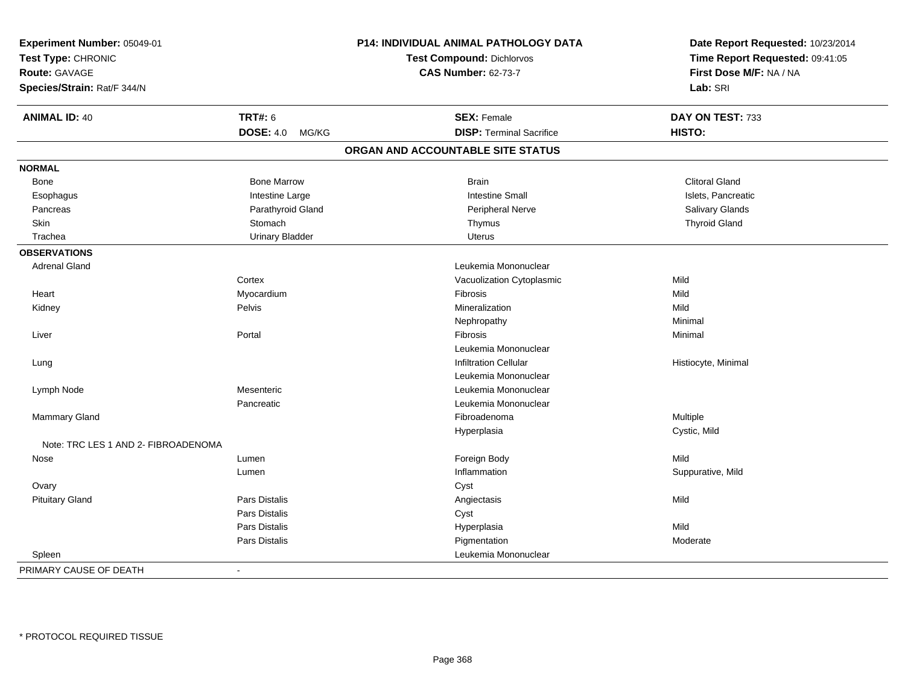| Experiment Number: 05049-01<br>Test Type: CHRONIC<br>Route: GAVAGE<br>Species/Strain: Rat/F 344/N |                           | P14: INDIVIDUAL ANIMAL PATHOLOGY DATA<br>Test Compound: Dichlorvos<br><b>CAS Number: 62-73-7</b> | Date Report Requested: 10/23/2014<br>Time Report Requested: 09:41:05<br>First Dose M/F: NA / NA<br>Lab: SRI |
|---------------------------------------------------------------------------------------------------|---------------------------|--------------------------------------------------------------------------------------------------|-------------------------------------------------------------------------------------------------------------|
| <b>ANIMAL ID: 40</b>                                                                              | <b>TRT#: 6</b>            | <b>SEX: Female</b>                                                                               | DAY ON TEST: 733                                                                                            |
|                                                                                                   | <b>DOSE: 4.0</b><br>MG/KG | <b>DISP: Terminal Sacrifice</b>                                                                  | HISTO:                                                                                                      |
|                                                                                                   |                           | ORGAN AND ACCOUNTABLE SITE STATUS                                                                |                                                                                                             |
| <b>NORMAL</b>                                                                                     |                           |                                                                                                  |                                                                                                             |
| Bone                                                                                              | <b>Bone Marrow</b>        | <b>Brain</b>                                                                                     | <b>Clitoral Gland</b>                                                                                       |
| Esophagus                                                                                         | Intestine Large           | <b>Intestine Small</b>                                                                           | Islets, Pancreatic                                                                                          |
| Pancreas                                                                                          | Parathyroid Gland         | Peripheral Nerve                                                                                 | Salivary Glands                                                                                             |
| Skin                                                                                              | Stomach                   | Thymus                                                                                           | <b>Thyroid Gland</b>                                                                                        |
| Trachea                                                                                           | <b>Urinary Bladder</b>    | <b>Uterus</b>                                                                                    |                                                                                                             |
| <b>OBSERVATIONS</b>                                                                               |                           |                                                                                                  |                                                                                                             |
| <b>Adrenal Gland</b>                                                                              |                           | Leukemia Mononuclear                                                                             |                                                                                                             |
|                                                                                                   | Cortex                    | Vacuolization Cytoplasmic                                                                        | Mild                                                                                                        |
| Heart                                                                                             | Myocardium                | Fibrosis                                                                                         | Mild                                                                                                        |
| Kidney                                                                                            | Pelvis                    | Mineralization                                                                                   | Mild                                                                                                        |
|                                                                                                   |                           | Nephropathy                                                                                      | Minimal                                                                                                     |
| Liver                                                                                             | Portal                    | Fibrosis                                                                                         | Minimal                                                                                                     |
|                                                                                                   |                           | Leukemia Mononuclear                                                                             |                                                                                                             |
| Lung                                                                                              |                           | <b>Infiltration Cellular</b>                                                                     | Histiocyte, Minimal                                                                                         |
|                                                                                                   |                           | Leukemia Mononuclear                                                                             |                                                                                                             |
| Lymph Node                                                                                        | Mesenteric                | Leukemia Mononuclear                                                                             |                                                                                                             |
|                                                                                                   | Pancreatic                | Leukemia Mononuclear                                                                             |                                                                                                             |
| Mammary Gland                                                                                     |                           | Fibroadenoma                                                                                     | Multiple                                                                                                    |
|                                                                                                   |                           | Hyperplasia                                                                                      | Cystic, Mild                                                                                                |
| Note: TRC LES 1 AND 2- FIBROADENOMA                                                               |                           |                                                                                                  |                                                                                                             |
| Nose                                                                                              | Lumen                     | Foreign Body                                                                                     | Mild                                                                                                        |
|                                                                                                   | Lumen                     | Inflammation                                                                                     | Suppurative, Mild                                                                                           |
| Ovary                                                                                             |                           | Cyst                                                                                             |                                                                                                             |
| <b>Pituitary Gland</b>                                                                            | Pars Distalis             | Angiectasis                                                                                      | Mild                                                                                                        |
|                                                                                                   | Pars Distalis             | Cyst                                                                                             |                                                                                                             |
|                                                                                                   | Pars Distalis             | Hyperplasia                                                                                      | Mild                                                                                                        |
|                                                                                                   | Pars Distalis             | Pigmentation                                                                                     | Moderate                                                                                                    |
| Spleen                                                                                            |                           | Leukemia Mononuclear                                                                             |                                                                                                             |
| PRIMARY CAUSE OF DEATH                                                                            | $\blacksquare$            |                                                                                                  |                                                                                                             |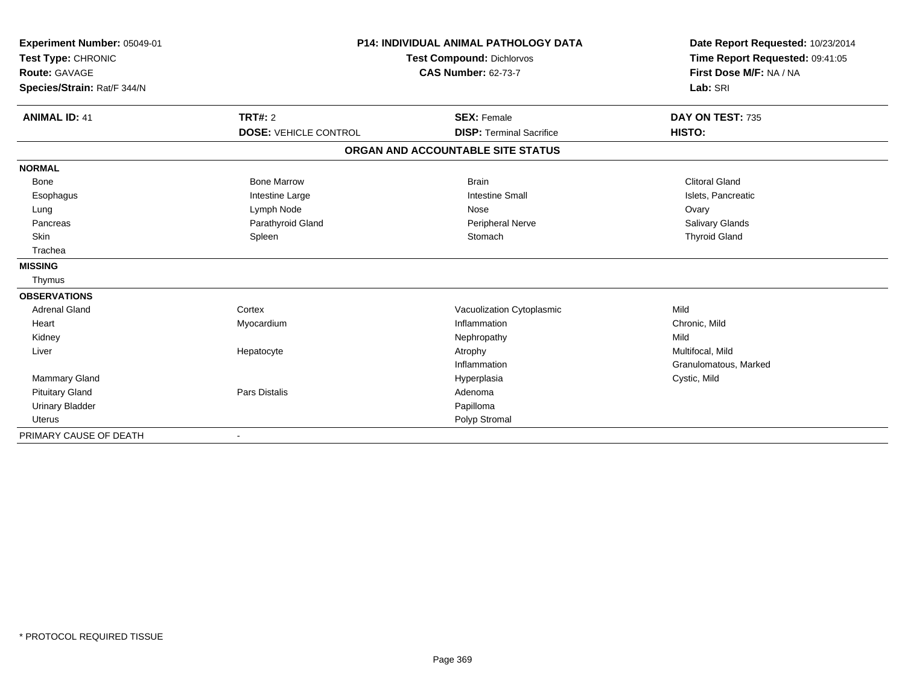| Experiment Number: 05049-01<br>Test Type: CHRONIC<br>Route: GAVAGE<br>Species/Strain: Rat/F 344/N |                                                | <b>P14: INDIVIDUAL ANIMAL PATHOLOGY DATA</b><br><b>Test Compound: Dichlorvos</b><br><b>CAS Number: 62-73-7</b> | Date Report Requested: 10/23/2014<br>Time Report Requested: 09:41:05<br>First Dose M/F: NA / NA<br>Lab: SRI |
|---------------------------------------------------------------------------------------------------|------------------------------------------------|----------------------------------------------------------------------------------------------------------------|-------------------------------------------------------------------------------------------------------------|
| <b>ANIMAL ID: 41</b>                                                                              | <b>TRT#: 2</b><br><b>DOSE: VEHICLE CONTROL</b> | <b>SEX: Female</b><br><b>DISP: Terminal Sacrifice</b>                                                          | DAY ON TEST: 735<br>HISTO:                                                                                  |
|                                                                                                   |                                                | ORGAN AND ACCOUNTABLE SITE STATUS                                                                              |                                                                                                             |
| <b>NORMAL</b>                                                                                     |                                                |                                                                                                                |                                                                                                             |
| <b>Bone</b>                                                                                       | <b>Bone Marrow</b>                             | <b>Brain</b>                                                                                                   | <b>Clitoral Gland</b>                                                                                       |
| Esophagus                                                                                         | Intestine Large                                | <b>Intestine Small</b>                                                                                         | Islets, Pancreatic                                                                                          |
| Lung                                                                                              | Lymph Node                                     | Nose                                                                                                           | Ovary                                                                                                       |
| Pancreas                                                                                          | Parathyroid Gland                              | Peripheral Nerve                                                                                               | Salivary Glands                                                                                             |
| <b>Skin</b>                                                                                       | Spleen                                         | Stomach                                                                                                        | <b>Thyroid Gland</b>                                                                                        |
| Trachea                                                                                           |                                                |                                                                                                                |                                                                                                             |
| <b>MISSING</b>                                                                                    |                                                |                                                                                                                |                                                                                                             |
| Thymus                                                                                            |                                                |                                                                                                                |                                                                                                             |
| <b>OBSERVATIONS</b>                                                                               |                                                |                                                                                                                |                                                                                                             |
| <b>Adrenal Gland</b>                                                                              | Cortex                                         | Vacuolization Cytoplasmic                                                                                      | Mild                                                                                                        |
| Heart                                                                                             | Myocardium                                     | Inflammation                                                                                                   | Chronic, Mild                                                                                               |
| Kidney                                                                                            |                                                | Nephropathy                                                                                                    | Mild                                                                                                        |
| Liver                                                                                             | Hepatocyte                                     | Atrophy                                                                                                        | Multifocal, Mild                                                                                            |
|                                                                                                   |                                                | Inflammation                                                                                                   | Granulomatous, Marked                                                                                       |
| Mammary Gland                                                                                     |                                                | Hyperplasia                                                                                                    | Cystic, Mild                                                                                                |
| <b>Pituitary Gland</b>                                                                            | Pars Distalis                                  | Adenoma                                                                                                        |                                                                                                             |
| <b>Urinary Bladder</b>                                                                            |                                                | Papilloma                                                                                                      |                                                                                                             |
| Uterus                                                                                            |                                                | Polyp Stromal                                                                                                  |                                                                                                             |
| PRIMARY CAUSE OF DEATH                                                                            |                                                |                                                                                                                |                                                                                                             |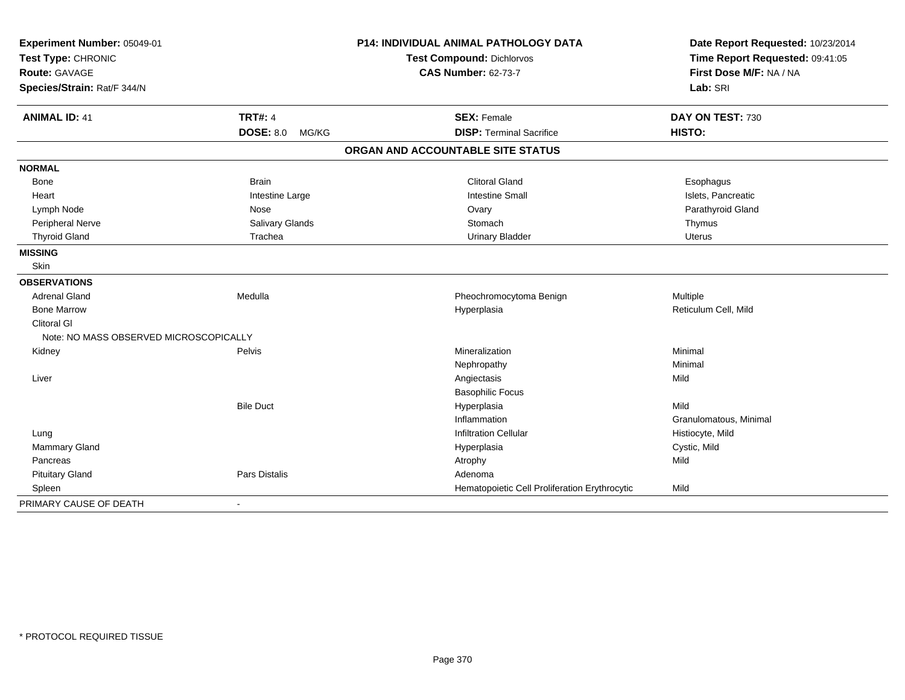| Experiment Number: 05049-01<br>Test Type: CHRONIC<br><b>Route: GAVAGE</b> |                           | P14: INDIVIDUAL ANIMAL PATHOLOGY DATA         | Date Report Requested: 10/23/2014<br>Time Report Requested: 09:41:05<br>First Dose M/F: NA / NA |
|---------------------------------------------------------------------------|---------------------------|-----------------------------------------------|-------------------------------------------------------------------------------------------------|
|                                                                           |                           | <b>Test Compound: Dichlorvos</b>              |                                                                                                 |
|                                                                           |                           | <b>CAS Number: 62-73-7</b>                    |                                                                                                 |
| Species/Strain: Rat/F 344/N                                               |                           |                                               | Lab: SRI                                                                                        |
| <b>ANIMAL ID: 41</b>                                                      | <b>TRT#: 4</b>            | <b>SEX: Female</b>                            | DAY ON TEST: 730                                                                                |
|                                                                           | <b>DOSE: 8.0</b><br>MG/KG | <b>DISP: Terminal Sacrifice</b>               | HISTO:                                                                                          |
|                                                                           |                           | ORGAN AND ACCOUNTABLE SITE STATUS             |                                                                                                 |
| <b>NORMAL</b>                                                             |                           |                                               |                                                                                                 |
| Bone                                                                      | <b>Brain</b>              | <b>Clitoral Gland</b>                         | Esophagus                                                                                       |
| Heart                                                                     | Intestine Large           | <b>Intestine Small</b>                        | Islets, Pancreatic                                                                              |
| Lymph Node                                                                | Nose                      | Ovary                                         | Parathyroid Gland                                                                               |
| Peripheral Nerve                                                          | Salivary Glands           | Stomach                                       | Thymus                                                                                          |
| <b>Thyroid Gland</b>                                                      | Trachea                   | <b>Urinary Bladder</b>                        | <b>Uterus</b>                                                                                   |
| <b>MISSING</b>                                                            |                           |                                               |                                                                                                 |
| Skin                                                                      |                           |                                               |                                                                                                 |
| <b>OBSERVATIONS</b>                                                       |                           |                                               |                                                                                                 |
| <b>Adrenal Gland</b>                                                      | Medulla                   | Pheochromocytoma Benign                       | Multiple                                                                                        |
| <b>Bone Marrow</b>                                                        |                           | Hyperplasia                                   | Reticulum Cell, Mild                                                                            |
| <b>Clitoral GI</b>                                                        |                           |                                               |                                                                                                 |
| Note: NO MASS OBSERVED MICROSCOPICALLY                                    |                           |                                               |                                                                                                 |
| Kidney                                                                    | <b>Pelvis</b>             | Mineralization                                | Minimal                                                                                         |
|                                                                           |                           | Nephropathy                                   | Minimal                                                                                         |
| Liver                                                                     |                           | Angiectasis                                   | Mild                                                                                            |
|                                                                           |                           | <b>Basophilic Focus</b>                       |                                                                                                 |
|                                                                           | <b>Bile Duct</b>          | Hyperplasia                                   | Mild                                                                                            |
|                                                                           |                           | Inflammation                                  | Granulomatous, Minimal                                                                          |
| Lung                                                                      |                           | <b>Infiltration Cellular</b>                  | Histiocyte, Mild                                                                                |
| <b>Mammary Gland</b>                                                      |                           | Hyperplasia                                   | Cystic, Mild                                                                                    |
| Pancreas                                                                  |                           | Atrophy                                       | Mild                                                                                            |
| <b>Pituitary Gland</b>                                                    | Pars Distalis             | Adenoma                                       |                                                                                                 |
| Spleen                                                                    |                           | Hematopoietic Cell Proliferation Erythrocytic | Mild                                                                                            |
| PRIMARY CAUSE OF DEATH                                                    | $\blacksquare$            |                                               |                                                                                                 |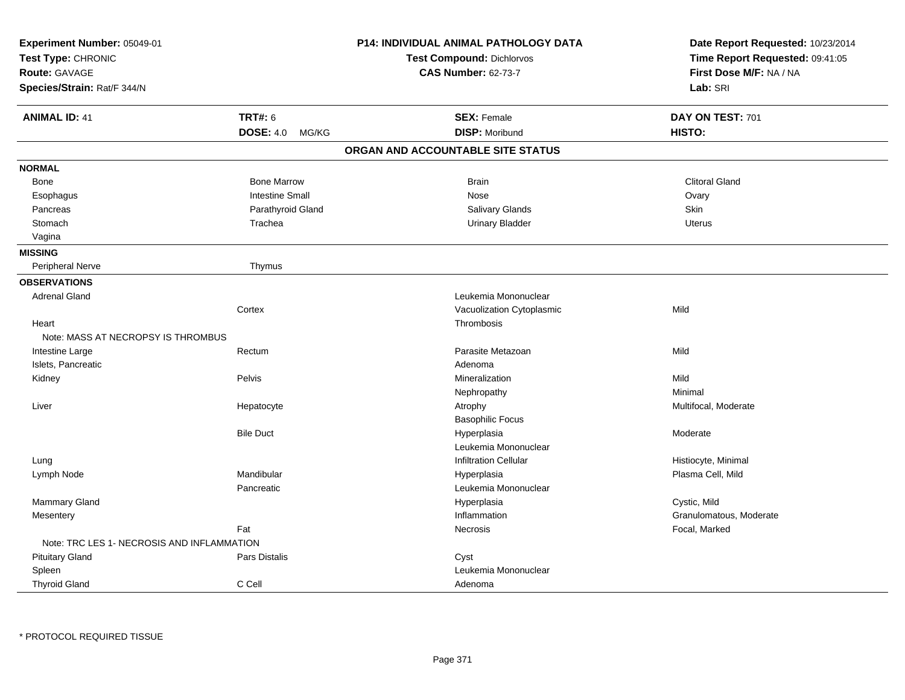| Experiment Number: 05049-01                |                           | P14: INDIVIDUAL ANIMAL PATHOLOGY DATA | Date Report Requested: 10/23/2014 |
|--------------------------------------------|---------------------------|---------------------------------------|-----------------------------------|
| Test Type: CHRONIC                         |                           | Test Compound: Dichlorvos             | Time Report Requested: 09:41:05   |
| <b>Route: GAVAGE</b>                       |                           | <b>CAS Number: 62-73-7</b>            | First Dose M/F: NA / NA           |
| Species/Strain: Rat/F 344/N                |                           |                                       | Lab: SRI                          |
| <b>ANIMAL ID: 41</b>                       | <b>TRT#: 6</b>            | <b>SEX: Female</b>                    | DAY ON TEST: 701                  |
|                                            | <b>DOSE: 4.0</b><br>MG/KG | <b>DISP: Moribund</b>                 | HISTO:                            |
|                                            |                           | ORGAN AND ACCOUNTABLE SITE STATUS     |                                   |
| <b>NORMAL</b>                              |                           |                                       |                                   |
| Bone                                       | <b>Bone Marrow</b>        | <b>Brain</b>                          | <b>Clitoral Gland</b>             |
| Esophagus                                  | <b>Intestine Small</b>    | Nose                                  | Ovary                             |
| Pancreas                                   | Parathyroid Gland         | Salivary Glands                       | <b>Skin</b>                       |
| Stomach                                    | Trachea                   | <b>Urinary Bladder</b>                | <b>Uterus</b>                     |
| Vagina                                     |                           |                                       |                                   |
| <b>MISSING</b>                             |                           |                                       |                                   |
| Peripheral Nerve                           | Thymus                    |                                       |                                   |
| <b>OBSERVATIONS</b>                        |                           |                                       |                                   |
| <b>Adrenal Gland</b>                       |                           | Leukemia Mononuclear                  |                                   |
|                                            | Cortex                    | Vacuolization Cytoplasmic             | Mild                              |
| Heart                                      |                           | Thrombosis                            |                                   |
| Note: MASS AT NECROPSY IS THROMBUS         |                           |                                       |                                   |
| Intestine Large                            | Rectum                    | Parasite Metazoan                     | Mild                              |
| Islets, Pancreatic                         |                           | Adenoma                               |                                   |
| Kidney                                     | Pelvis                    | Mineralization                        | Mild                              |
|                                            |                           | Nephropathy                           | Minimal                           |
| Liver                                      | Hepatocyte                | Atrophy                               | Multifocal, Moderate              |
|                                            |                           | <b>Basophilic Focus</b>               |                                   |
|                                            | <b>Bile Duct</b>          | Hyperplasia                           | Moderate                          |
|                                            |                           | Leukemia Mononuclear                  |                                   |
| Lung                                       |                           | <b>Infiltration Cellular</b>          | Histiocyte, Minimal               |
| Lymph Node                                 | Mandibular                | Hyperplasia                           | Plasma Cell, Mild                 |
|                                            | Pancreatic                | Leukemia Mononuclear                  |                                   |
| Mammary Gland                              |                           | Hyperplasia                           | Cystic, Mild                      |
| Mesentery                                  |                           | Inflammation                          | Granulomatous, Moderate           |
|                                            | Fat                       | Necrosis                              | Focal, Marked                     |
| Note: TRC LES 1- NECROSIS AND INFLAMMATION |                           |                                       |                                   |
| <b>Pituitary Gland</b>                     | Pars Distalis             | Cyst                                  |                                   |
| Spleen                                     |                           | Leukemia Mononuclear                  |                                   |
| <b>Thyroid Gland</b>                       | C Cell                    | Adenoma                               |                                   |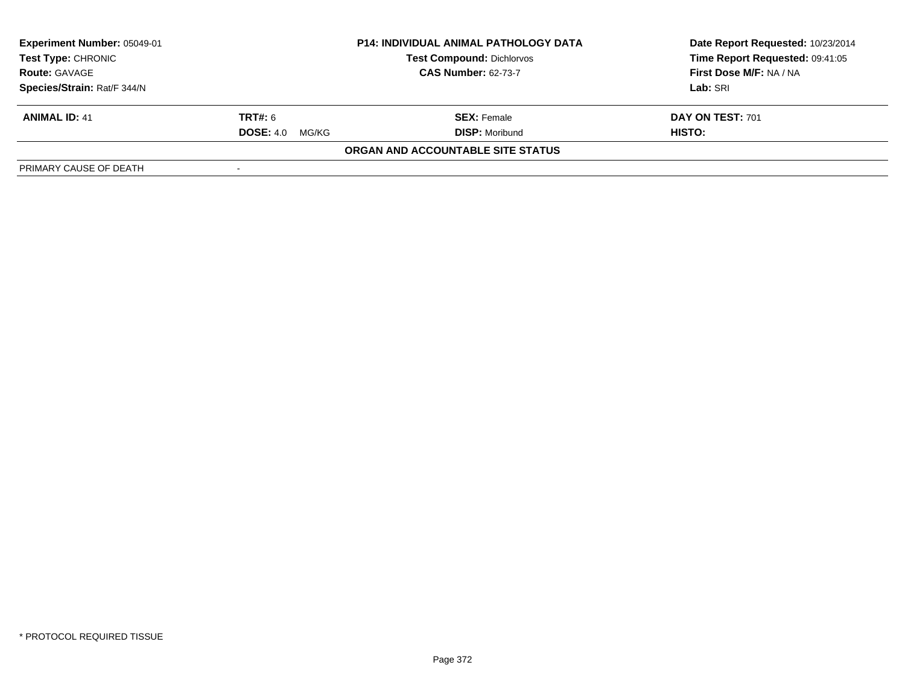| <b>Experiment Number: 05049-01</b><br><b>P14: INDIVIDUAL ANIMAL PATHOLOGY DATA</b><br><b>Test Type: CHRONIC</b><br><b>Test Compound: Dichlorvos</b><br><b>CAS Number: 62-73-7</b><br><b>Route: GAVAGE</b> |                           | Date Report Requested: 10/23/2014<br>Time Report Requested: 09:41:05 |                         |
|-----------------------------------------------------------------------------------------------------------------------------------------------------------------------------------------------------------|---------------------------|----------------------------------------------------------------------|-------------------------|
|                                                                                                                                                                                                           |                           |                                                                      | First Dose M/F: NA / NA |
| Species/Strain: Rat/F 344/N                                                                                                                                                                               |                           |                                                                      | Lab: SRI                |
| <b>ANIMAL ID: 41</b>                                                                                                                                                                                      | <b>TRT#: 6</b>            | <b>SEX:</b> Female                                                   | <b>DAY ON TEST: 701</b> |
|                                                                                                                                                                                                           | <b>DOSE: 4.0</b><br>MG/KG | <b>DISP:</b> Moribund                                                | HISTO:                  |
|                                                                                                                                                                                                           |                           | ORGAN AND ACCOUNTABLE SITE STATUS                                    |                         |
| PRIMARY CAUSE OF DEATH                                                                                                                                                                                    |                           |                                                                      |                         |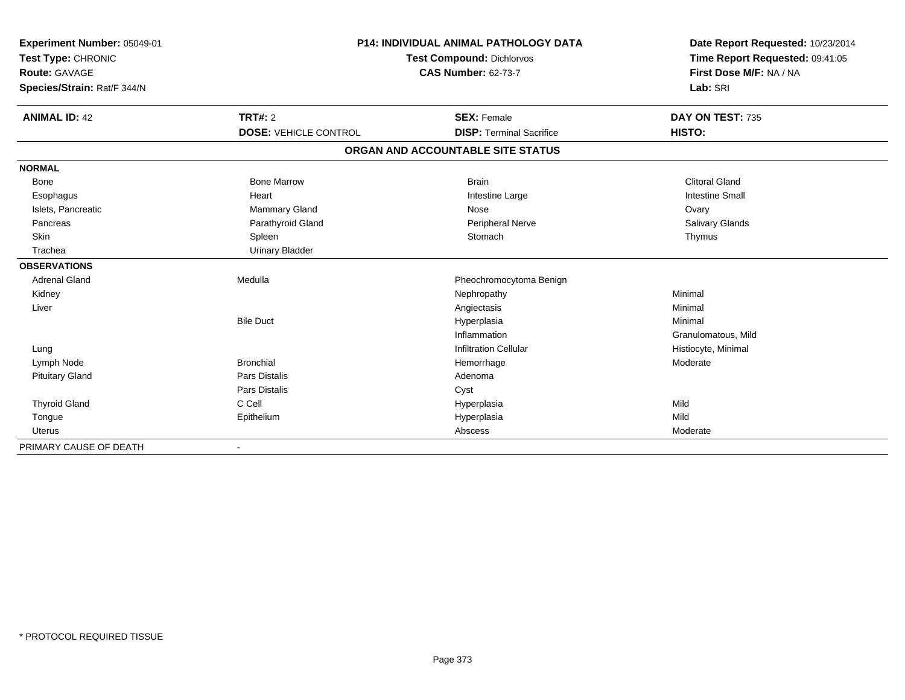| Experiment Number: 05049-01<br>Test Type: CHRONIC<br>Route: GAVAGE<br>Species/Strain: Rat/F 344/N |                              | <b>P14: INDIVIDUAL ANIMAL PATHOLOGY DATA</b><br><b>Test Compound: Dichlorvos</b><br><b>CAS Number: 62-73-7</b> | Date Report Requested: 10/23/2014<br>Time Report Requested: 09:41:05<br>First Dose M/F: NA / NA<br>Lab: SRI |  |
|---------------------------------------------------------------------------------------------------|------------------------------|----------------------------------------------------------------------------------------------------------------|-------------------------------------------------------------------------------------------------------------|--|
| <b>ANIMAL ID: 42</b>                                                                              | TRT#: 2                      | <b>SEX: Female</b>                                                                                             | DAY ON TEST: 735                                                                                            |  |
|                                                                                                   | <b>DOSE: VEHICLE CONTROL</b> | <b>DISP: Terminal Sacrifice</b>                                                                                | HISTO:                                                                                                      |  |
|                                                                                                   |                              | ORGAN AND ACCOUNTABLE SITE STATUS                                                                              |                                                                                                             |  |
| <b>NORMAL</b>                                                                                     |                              |                                                                                                                |                                                                                                             |  |
| <b>Bone</b>                                                                                       | <b>Bone Marrow</b>           | <b>Brain</b>                                                                                                   | <b>Clitoral Gland</b>                                                                                       |  |
| Esophagus                                                                                         | Heart                        | Intestine Large                                                                                                | <b>Intestine Small</b>                                                                                      |  |
| Islets, Pancreatic                                                                                | <b>Mammary Gland</b>         | Nose                                                                                                           | Ovary                                                                                                       |  |
| Pancreas                                                                                          | Parathyroid Gland            | Peripheral Nerve                                                                                               | Salivary Glands                                                                                             |  |
| Skin                                                                                              | Spleen                       | Stomach                                                                                                        | Thymus                                                                                                      |  |
| Trachea                                                                                           | <b>Urinary Bladder</b>       |                                                                                                                |                                                                                                             |  |
| <b>OBSERVATIONS</b>                                                                               |                              |                                                                                                                |                                                                                                             |  |
| <b>Adrenal Gland</b>                                                                              | Medulla                      | Pheochromocytoma Benign                                                                                        |                                                                                                             |  |
| Kidney                                                                                            |                              | Nephropathy                                                                                                    | Minimal                                                                                                     |  |
| Liver                                                                                             |                              | Angiectasis                                                                                                    | Minimal                                                                                                     |  |
|                                                                                                   | <b>Bile Duct</b>             | Hyperplasia                                                                                                    | Minimal                                                                                                     |  |
|                                                                                                   |                              | Inflammation                                                                                                   | Granulomatous, Mild                                                                                         |  |
| Lung                                                                                              |                              | <b>Infiltration Cellular</b>                                                                                   | Histiocyte, Minimal                                                                                         |  |
| Lymph Node                                                                                        | <b>Bronchial</b>             | Hemorrhage                                                                                                     | Moderate                                                                                                    |  |
| <b>Pituitary Gland</b>                                                                            | Pars Distalis                | Adenoma                                                                                                        |                                                                                                             |  |
|                                                                                                   | Pars Distalis                | Cyst                                                                                                           |                                                                                                             |  |
| <b>Thyroid Gland</b>                                                                              | C Cell                       | Hyperplasia                                                                                                    | Mild                                                                                                        |  |
| Tongue                                                                                            | Epithelium                   | Hyperplasia                                                                                                    | Mild                                                                                                        |  |
| <b>Uterus</b>                                                                                     |                              | Abscess                                                                                                        | Moderate                                                                                                    |  |
| PRIMARY CAUSE OF DEATH                                                                            |                              |                                                                                                                |                                                                                                             |  |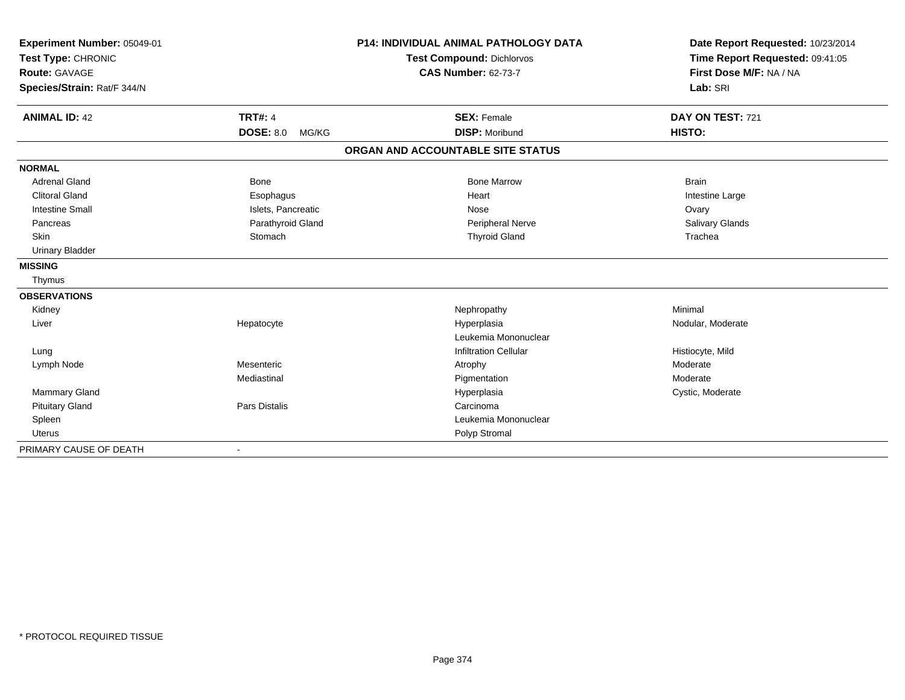| Experiment Number: 05049-01<br>Test Type: CHRONIC |                           | <b>P14: INDIVIDUAL ANIMAL PATHOLOGY DATA</b> | Date Report Requested: 10/23/2014 |  |
|---------------------------------------------------|---------------------------|----------------------------------------------|-----------------------------------|--|
|                                                   |                           | <b>Test Compound: Dichlorvos</b>             | Time Report Requested: 09:41:05   |  |
| <b>Route: GAVAGE</b>                              |                           | <b>CAS Number: 62-73-7</b>                   | First Dose M/F: NA / NA           |  |
| Species/Strain: Rat/F 344/N                       |                           |                                              | Lab: SRI                          |  |
| <b>ANIMAL ID: 42</b>                              | <b>TRT#: 4</b>            | <b>SEX: Female</b>                           | DAY ON TEST: 721                  |  |
|                                                   | <b>DOSE: 8.0</b><br>MG/KG | <b>DISP: Moribund</b>                        | <b>HISTO:</b>                     |  |
|                                                   |                           | ORGAN AND ACCOUNTABLE SITE STATUS            |                                   |  |
| <b>NORMAL</b>                                     |                           |                                              |                                   |  |
| <b>Adrenal Gland</b>                              | Bone                      | <b>Bone Marrow</b>                           | <b>Brain</b>                      |  |
| <b>Clitoral Gland</b>                             | Esophagus                 | Heart                                        | Intestine Large                   |  |
| <b>Intestine Small</b>                            | Islets, Pancreatic        | Nose                                         | Ovary                             |  |
| Pancreas                                          | Parathyroid Gland         | Peripheral Nerve                             | Salivary Glands                   |  |
| <b>Skin</b>                                       | Stomach                   | <b>Thyroid Gland</b>                         | Trachea                           |  |
| <b>Urinary Bladder</b>                            |                           |                                              |                                   |  |
| <b>MISSING</b>                                    |                           |                                              |                                   |  |
| Thymus                                            |                           |                                              |                                   |  |
| <b>OBSERVATIONS</b>                               |                           |                                              |                                   |  |
| Kidney                                            |                           | Nephropathy                                  | Minimal                           |  |
| Liver                                             | Hepatocyte                | Hyperplasia                                  | Nodular, Moderate                 |  |
|                                                   |                           | Leukemia Mononuclear                         |                                   |  |
| Lung                                              |                           | <b>Infiltration Cellular</b>                 | Histiocyte, Mild                  |  |
| Lymph Node                                        | Mesenteric                | Atrophy                                      | Moderate                          |  |
|                                                   | Mediastinal               | Pigmentation                                 | Moderate                          |  |
| Mammary Gland                                     |                           | Hyperplasia                                  | Cystic, Moderate                  |  |
| <b>Pituitary Gland</b>                            | <b>Pars Distalis</b>      | Carcinoma                                    |                                   |  |
| Spleen                                            |                           | Leukemia Mononuclear                         |                                   |  |
| <b>Uterus</b>                                     |                           | Polyp Stromal                                |                                   |  |
| PRIMARY CAUSE OF DEATH                            |                           |                                              |                                   |  |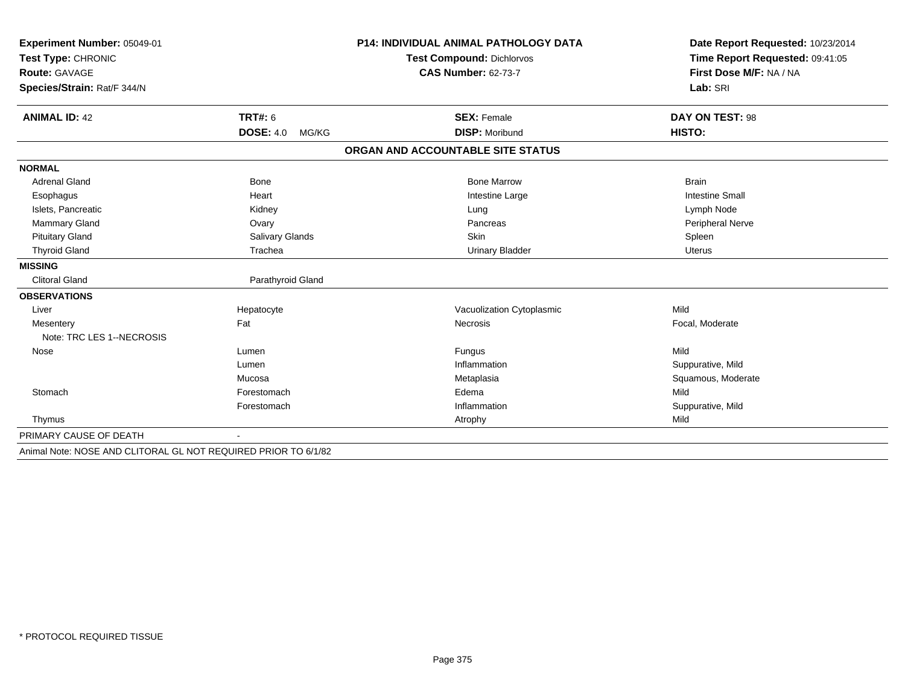| Experiment Number: 05049-01<br>Test Type: CHRONIC              |                           | <b>P14: INDIVIDUAL ANIMAL PATHOLOGY DATA</b> | Date Report Requested: 10/23/2014 |  |
|----------------------------------------------------------------|---------------------------|----------------------------------------------|-----------------------------------|--|
|                                                                |                           | Test Compound: Dichlorvos                    | Time Report Requested: 09:41:05   |  |
| <b>Route: GAVAGE</b>                                           |                           | <b>CAS Number: 62-73-7</b>                   | First Dose M/F: NA / NA           |  |
| Species/Strain: Rat/F 344/N                                    |                           |                                              | Lab: SRI                          |  |
|                                                                |                           |                                              |                                   |  |
| <b>ANIMAL ID: 42</b>                                           | <b>TRT#: 6</b>            | <b>SEX: Female</b>                           | DAY ON TEST: 98                   |  |
|                                                                | <b>DOSE: 4.0</b><br>MG/KG | <b>DISP: Moribund</b>                        | HISTO:                            |  |
|                                                                |                           | ORGAN AND ACCOUNTABLE SITE STATUS            |                                   |  |
| <b>NORMAL</b>                                                  |                           |                                              |                                   |  |
| <b>Adrenal Gland</b>                                           | Bone                      | <b>Bone Marrow</b>                           | <b>Brain</b>                      |  |
| Esophagus                                                      | Heart                     | Intestine Large                              | <b>Intestine Small</b>            |  |
| Islets, Pancreatic                                             | Kidney                    | Lung                                         | Lymph Node                        |  |
| Mammary Gland                                                  | Ovary                     | Pancreas                                     | Peripheral Nerve                  |  |
| <b>Pituitary Gland</b>                                         | Salivary Glands           | Skin                                         | Spleen                            |  |
| <b>Thyroid Gland</b>                                           | Trachea                   | <b>Urinary Bladder</b>                       | <b>Uterus</b>                     |  |
| <b>MISSING</b>                                                 |                           |                                              |                                   |  |
| <b>Clitoral Gland</b>                                          | Parathyroid Gland         |                                              |                                   |  |
| <b>OBSERVATIONS</b>                                            |                           |                                              |                                   |  |
| Liver                                                          | Hepatocyte                | Vacuolization Cytoplasmic                    | Mild                              |  |
| Mesentery                                                      | Fat                       | Necrosis                                     | Focal, Moderate                   |  |
| Note: TRC LES 1--NECROSIS                                      |                           |                                              |                                   |  |
| Nose                                                           | Lumen                     | Fungus                                       | Mild                              |  |
|                                                                | Lumen                     | Inflammation                                 | Suppurative, Mild                 |  |
|                                                                | Mucosa                    | Metaplasia                                   | Squamous, Moderate                |  |
| Stomach                                                        | Forestomach               | Edema                                        | Mild                              |  |
|                                                                | Forestomach               | Inflammation                                 | Suppurative, Mild                 |  |
| Thymus                                                         |                           | Atrophy                                      | Mild                              |  |
| PRIMARY CAUSE OF DEATH                                         |                           |                                              |                                   |  |
| Animal Note: NOSE AND CLITORAL GL NOT REQUIRED PRIOR TO 6/1/82 |                           |                                              |                                   |  |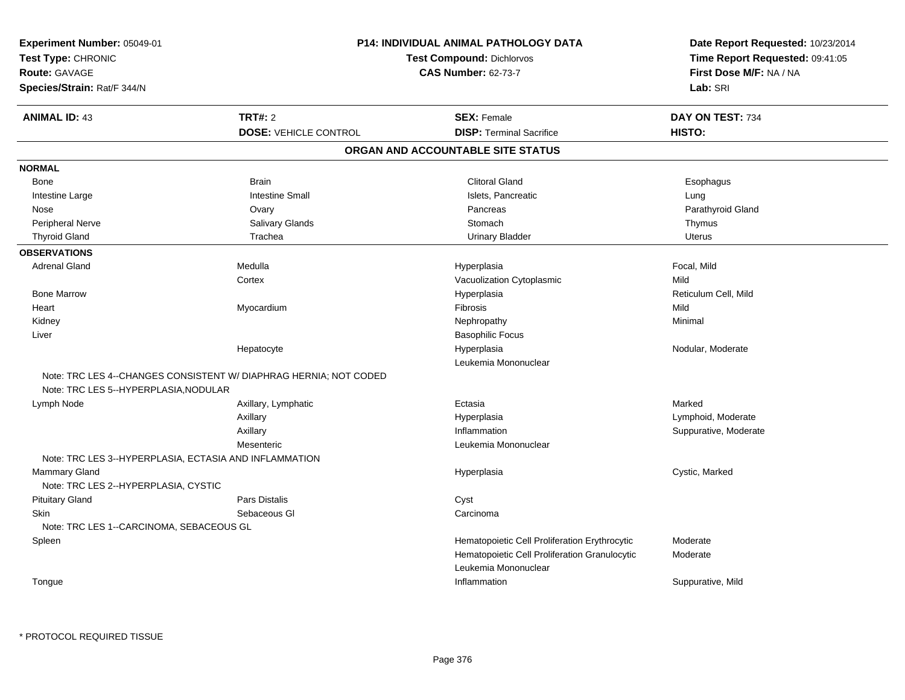| Experiment Number: 05049-01                                  | P14: INDIVIDUAL ANIMAL PATHOLOGY DATA                             |                                               | Date Report Requested: 10/23/2014 |  |
|--------------------------------------------------------------|-------------------------------------------------------------------|-----------------------------------------------|-----------------------------------|--|
| Test Type: CHRONIC                                           |                                                                   | <b>Test Compound: Dichlorvos</b>              | Time Report Requested: 09:41:05   |  |
| Route: GAVAGE                                                |                                                                   | <b>CAS Number: 62-73-7</b>                    | First Dose M/F: NA / NA           |  |
| Species/Strain: Rat/F 344/N                                  |                                                                   |                                               | Lab: SRI                          |  |
|                                                              |                                                                   |                                               |                                   |  |
| <b>ANIMAL ID: 43</b>                                         | <b>TRT#: 2</b>                                                    | <b>SEX: Female</b>                            | DAY ON TEST: 734                  |  |
|                                                              | <b>DOSE: VEHICLE CONTROL</b>                                      | <b>DISP: Terminal Sacrifice</b>               | HISTO:                            |  |
|                                                              |                                                                   | ORGAN AND ACCOUNTABLE SITE STATUS             |                                   |  |
| <b>NORMAL</b>                                                |                                                                   |                                               |                                   |  |
| Bone                                                         | <b>Brain</b>                                                      | <b>Clitoral Gland</b>                         | Esophagus                         |  |
| Intestine Large                                              | <b>Intestine Small</b>                                            | Islets, Pancreatic                            | Lung                              |  |
| Nose                                                         | Ovary                                                             | Pancreas                                      | Parathyroid Gland                 |  |
| <b>Peripheral Nerve</b>                                      | Salivary Glands                                                   | Stomach                                       | Thymus                            |  |
| <b>Thyroid Gland</b>                                         | Trachea                                                           | <b>Urinary Bladder</b>                        | Uterus                            |  |
| <b>OBSERVATIONS</b>                                          |                                                                   |                                               |                                   |  |
| <b>Adrenal Gland</b>                                         | Medulla                                                           | Hyperplasia                                   | Focal, Mild                       |  |
|                                                              | Cortex                                                            | Vacuolization Cytoplasmic                     | Mild                              |  |
| <b>Bone Marrow</b>                                           |                                                                   | Hyperplasia                                   | Reticulum Cell, Mild              |  |
| Heart                                                        | Myocardium                                                        | Fibrosis                                      | Mild                              |  |
| Kidney                                                       |                                                                   | Nephropathy                                   | Minimal                           |  |
| Liver                                                        |                                                                   | <b>Basophilic Focus</b>                       |                                   |  |
|                                                              | Hepatocyte                                                        | Hyperplasia                                   | Nodular, Moderate                 |  |
|                                                              |                                                                   | Leukemia Mononuclear                          |                                   |  |
|                                                              | Note: TRC LES 4--CHANGES CONSISTENT W/ DIAPHRAG HERNIA; NOT CODED |                                               |                                   |  |
| Note: TRC LES 5--HYPERPLASIA, NODULAR                        |                                                                   |                                               |                                   |  |
| Lymph Node                                                   | Axillary, Lymphatic                                               | Ectasia                                       | Marked                            |  |
|                                                              | Axillary                                                          | Hyperplasia                                   | Lymphoid, Moderate                |  |
|                                                              | Axillary                                                          | Inflammation                                  | Suppurative, Moderate             |  |
|                                                              | Mesenteric                                                        | Leukemia Mononuclear                          |                                   |  |
| Note: TRC LES 3--HYPERPLASIA, ECTASIA AND INFLAMMATION       |                                                                   |                                               |                                   |  |
| <b>Mammary Gland</b><br>Note: TRC LES 2--HYPERPLASIA, CYSTIC |                                                                   | Hyperplasia                                   | Cystic, Marked                    |  |
| <b>Pituitary Gland</b>                                       | <b>Pars Distalis</b>                                              | Cyst                                          |                                   |  |
| <b>Skin</b>                                                  | Sebaceous GI                                                      | Carcinoma                                     |                                   |  |
| Note: TRC LES 1--CARCINOMA, SEBACEOUS GL                     |                                                                   |                                               |                                   |  |
| Spleen                                                       |                                                                   | Hematopoietic Cell Proliferation Erythrocytic | Moderate                          |  |
|                                                              |                                                                   | Hematopoietic Cell Proliferation Granulocytic | Moderate                          |  |
|                                                              |                                                                   | Leukemia Mononuclear                          |                                   |  |
| Tongue                                                       |                                                                   | Inflammation                                  | Suppurative, Mild                 |  |
|                                                              |                                                                   |                                               |                                   |  |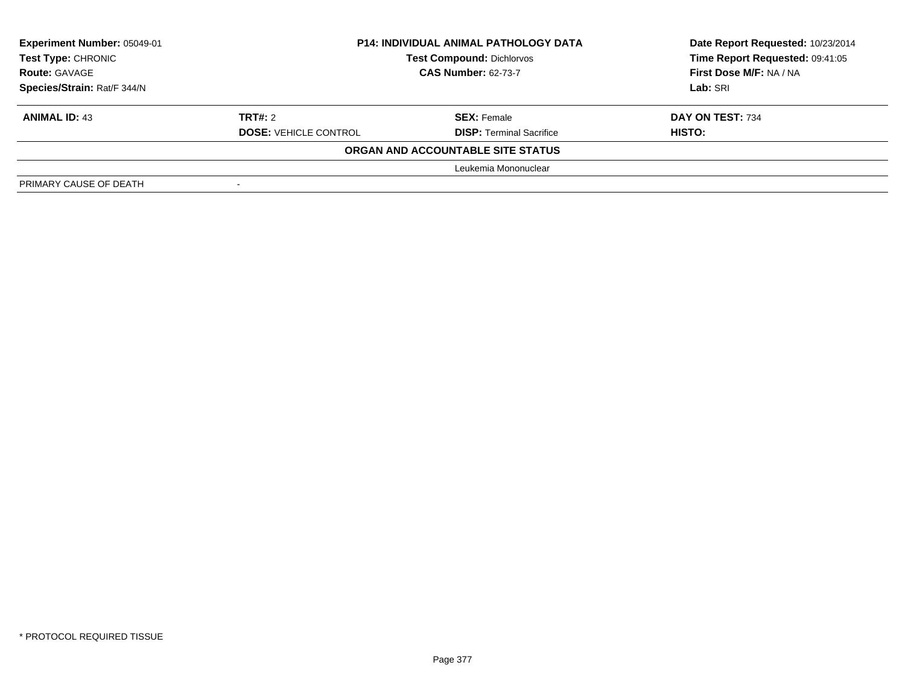| Experiment Number: 05049-01 | <b>P14: INDIVIDUAL ANIMAL PATHOLOGY DATA</b> |                                   | Date Report Requested: 10/23/2014 |  |
|-----------------------------|----------------------------------------------|-----------------------------------|-----------------------------------|--|
| <b>Test Type: CHRONIC</b>   |                                              | <b>Test Compound: Dichlorvos</b>  | Time Report Requested: 09:41:05   |  |
| <b>Route: GAVAGE</b>        | <b>CAS Number: 62-73-7</b>                   |                                   | First Dose M/F: NA / NA           |  |
| Species/Strain: Rat/F 344/N |                                              |                                   | Lab: SRI                          |  |
| <b>ANIMAL ID: 43</b>        | <b>TRT#: 2</b>                               | <b>SEX: Female</b>                | DAY ON TEST: 734                  |  |
|                             | <b>DOSE: VEHICLE CONTROL</b>                 | <b>DISP: Terminal Sacrifice</b>   | <b>HISTO:</b>                     |  |
|                             |                                              | ORGAN AND ACCOUNTABLE SITE STATUS |                                   |  |
|                             |                                              | Leukemia Mononuclear              |                                   |  |
| PRIMARY CAUSE OF DEATH      |                                              |                                   |                                   |  |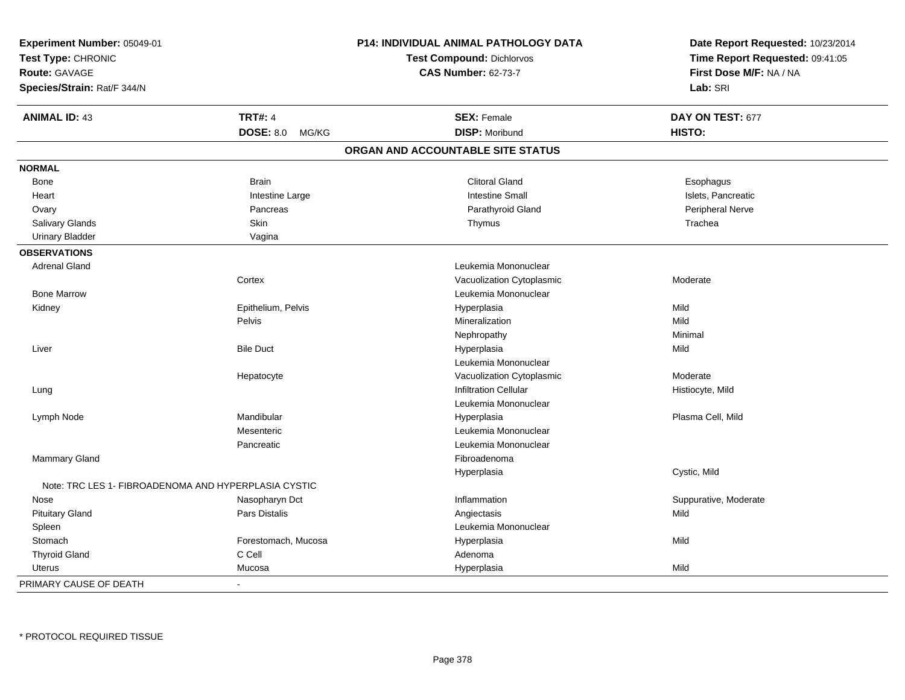| Experiment Number: 05049-01                          |                           | <b>P14: INDIVIDUAL ANIMAL PATHOLOGY DATA</b> | Date Report Requested: 10/23/2014<br>Time Report Requested: 09:41:05 |  |
|------------------------------------------------------|---------------------------|----------------------------------------------|----------------------------------------------------------------------|--|
| Test Type: CHRONIC                                   |                           | <b>Test Compound: Dichlorvos</b>             |                                                                      |  |
| <b>Route: GAVAGE</b>                                 |                           | <b>CAS Number: 62-73-7</b>                   | First Dose M/F: NA / NA                                              |  |
| Species/Strain: Rat/F 344/N                          |                           |                                              | Lab: SRI                                                             |  |
| <b>ANIMAL ID: 43</b>                                 | <b>TRT#: 4</b>            | <b>SEX: Female</b>                           | DAY ON TEST: 677                                                     |  |
|                                                      | <b>DOSE: 8.0</b><br>MG/KG | <b>DISP: Moribund</b>                        | HISTO:                                                               |  |
|                                                      |                           | ORGAN AND ACCOUNTABLE SITE STATUS            |                                                                      |  |
| <b>NORMAL</b>                                        |                           |                                              |                                                                      |  |
| Bone                                                 | <b>Brain</b>              | <b>Clitoral Gland</b>                        | Esophagus                                                            |  |
| Heart                                                | Intestine Large           | <b>Intestine Small</b>                       | Islets, Pancreatic                                                   |  |
| Ovary                                                | Pancreas                  | Parathyroid Gland                            | Peripheral Nerve                                                     |  |
| Salivary Glands                                      | Skin                      | Thymus                                       | Trachea                                                              |  |
| <b>Urinary Bladder</b>                               | Vagina                    |                                              |                                                                      |  |
| <b>OBSERVATIONS</b>                                  |                           |                                              |                                                                      |  |
| <b>Adrenal Gland</b>                                 |                           | Leukemia Mononuclear                         |                                                                      |  |
|                                                      | Cortex                    | Vacuolization Cytoplasmic                    | Moderate                                                             |  |
| <b>Bone Marrow</b>                                   |                           | Leukemia Mononuclear                         |                                                                      |  |
| Kidney                                               | Epithelium, Pelvis        | Hyperplasia                                  | Mild                                                                 |  |
|                                                      | Pelvis                    | Mineralization                               | Mild                                                                 |  |
|                                                      |                           | Nephropathy                                  | Minimal                                                              |  |
| Liver                                                | <b>Bile Duct</b>          | Hyperplasia                                  | Mild                                                                 |  |
|                                                      |                           | Leukemia Mononuclear                         |                                                                      |  |
|                                                      | Hepatocyte                | Vacuolization Cytoplasmic                    | Moderate                                                             |  |
| Lung                                                 |                           | <b>Infiltration Cellular</b>                 | Histiocyte, Mild                                                     |  |
|                                                      |                           | Leukemia Mononuclear                         |                                                                      |  |
| Lymph Node                                           | Mandibular                | Hyperplasia                                  | Plasma Cell, Mild                                                    |  |
|                                                      | Mesenteric                | Leukemia Mononuclear                         |                                                                      |  |
|                                                      | Pancreatic                | Leukemia Mononuclear                         |                                                                      |  |
| Mammary Gland                                        |                           | Fibroadenoma                                 |                                                                      |  |
|                                                      |                           | Hyperplasia                                  | Cystic, Mild                                                         |  |
| Note: TRC LES 1- FIBROADENOMA AND HYPERPLASIA CYSTIC |                           |                                              |                                                                      |  |
| Nose                                                 | Nasopharyn Dct            | Inflammation                                 | Suppurative, Moderate                                                |  |
| <b>Pituitary Gland</b>                               | Pars Distalis             | Angiectasis                                  | Mild                                                                 |  |
| Spleen                                               |                           | Leukemia Mononuclear                         |                                                                      |  |
| Stomach                                              | Forestomach, Mucosa       | Hyperplasia                                  | Mild                                                                 |  |
| <b>Thyroid Gland</b>                                 | C Cell                    | Adenoma                                      |                                                                      |  |
| Uterus                                               | Mucosa                    | Hyperplasia                                  | Mild                                                                 |  |
| PRIMARY CAUSE OF DEATH                               | $\blacksquare$            |                                              |                                                                      |  |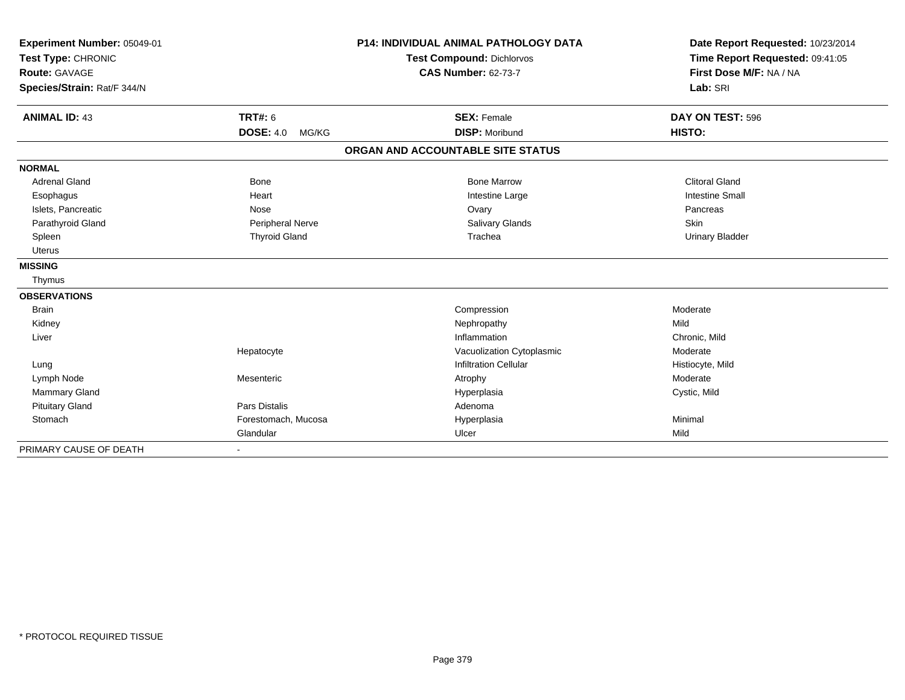| Experiment Number: 05049-01<br>Test Type: CHRONIC |                           | <b>P14: INDIVIDUAL ANIMAL PATHOLOGY DATA</b><br><b>Test Compound: Dichlorvos</b> | Date Report Requested: 10/23/2014<br>Time Report Requested: 09:41:05 |
|---------------------------------------------------|---------------------------|----------------------------------------------------------------------------------|----------------------------------------------------------------------|
| <b>Route: GAVAGE</b>                              |                           | <b>CAS Number: 62-73-7</b>                                                       | First Dose M/F: NA / NA                                              |
| Species/Strain: Rat/F 344/N                       |                           |                                                                                  | Lab: SRI                                                             |
| <b>ANIMAL ID: 43</b>                              | <b>TRT#: 6</b>            | <b>SEX: Female</b>                                                               | DAY ON TEST: 596                                                     |
|                                                   | <b>DOSE: 4.0</b><br>MG/KG | <b>DISP: Moribund</b>                                                            | HISTO:                                                               |
|                                                   |                           | ORGAN AND ACCOUNTABLE SITE STATUS                                                |                                                                      |
| <b>NORMAL</b>                                     |                           |                                                                                  |                                                                      |
| <b>Adrenal Gland</b>                              | <b>Bone</b>               | <b>Bone Marrow</b>                                                               | <b>Clitoral Gland</b>                                                |
| Esophagus                                         | Heart                     | Intestine Large                                                                  | <b>Intestine Small</b>                                               |
| Islets, Pancreatic                                | Nose                      | Ovary                                                                            | Pancreas                                                             |
| Parathyroid Gland                                 | Peripheral Nerve          | Salivary Glands                                                                  | Skin                                                                 |
| Spleen                                            | <b>Thyroid Gland</b>      | Trachea                                                                          | <b>Urinary Bladder</b>                                               |
| <b>Uterus</b>                                     |                           |                                                                                  |                                                                      |
| <b>MISSING</b>                                    |                           |                                                                                  |                                                                      |
| Thymus                                            |                           |                                                                                  |                                                                      |
| <b>OBSERVATIONS</b>                               |                           |                                                                                  |                                                                      |
| <b>Brain</b>                                      |                           | Compression                                                                      | Moderate                                                             |
| Kidney                                            |                           | Nephropathy                                                                      | Mild                                                                 |
| Liver                                             |                           | Inflammation                                                                     | Chronic, Mild                                                        |
|                                                   | Hepatocyte                | Vacuolization Cytoplasmic                                                        | Moderate                                                             |
| Lung                                              |                           | <b>Infiltration Cellular</b>                                                     | Histiocyte, Mild                                                     |
| Lymph Node                                        | Mesenteric                | Atrophy                                                                          | Moderate                                                             |
| <b>Mammary Gland</b>                              |                           | Hyperplasia                                                                      | Cystic, Mild                                                         |
| <b>Pituitary Gland</b>                            | Pars Distalis             | Adenoma                                                                          |                                                                      |
| Stomach                                           | Forestomach, Mucosa       | Hyperplasia                                                                      | Minimal                                                              |
|                                                   | Glandular                 | Ulcer                                                                            | Mild                                                                 |
| PRIMARY CAUSE OF DEATH                            |                           |                                                                                  |                                                                      |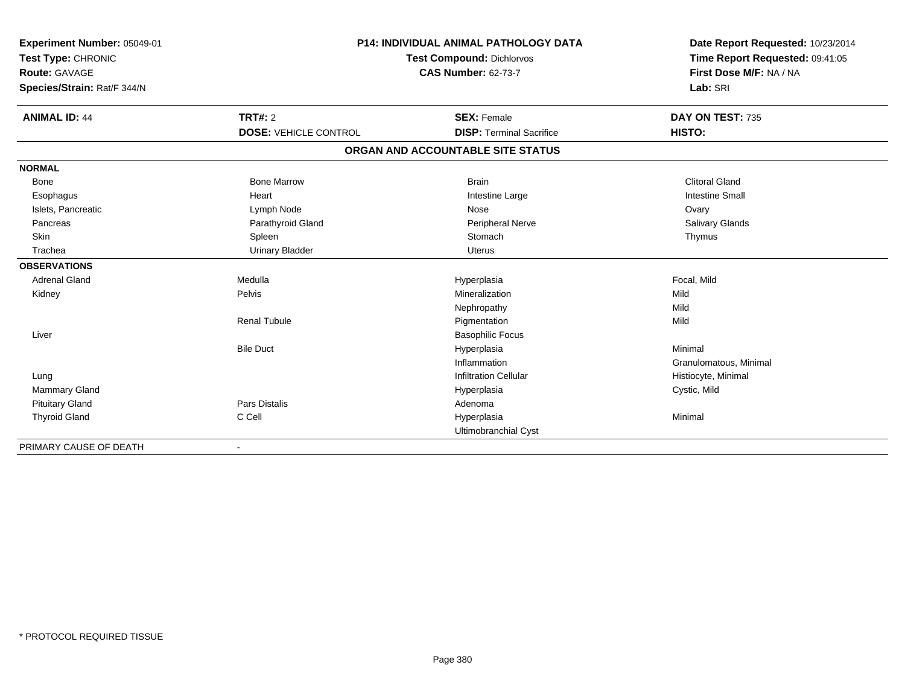| Experiment Number: 05049-01 | <b>P14: INDIVIDUAL ANIMAL PATHOLOGY DATA</b> |                                   | Date Report Requested: 10/23/2014 |
|-----------------------------|----------------------------------------------|-----------------------------------|-----------------------------------|
| Test Type: CHRONIC          |                                              | <b>Test Compound: Dichlorvos</b>  | Time Report Requested: 09:41:05   |
| <b>Route: GAVAGE</b>        |                                              | <b>CAS Number: 62-73-7</b>        | First Dose M/F: NA / NA           |
| Species/Strain: Rat/F 344/N |                                              |                                   | Lab: SRI                          |
| <b>ANIMAL ID: 44</b>        | TRT#: 2                                      | <b>SEX: Female</b>                | DAY ON TEST: 735                  |
|                             | <b>DOSE: VEHICLE CONTROL</b>                 | <b>DISP: Terminal Sacrifice</b>   | HISTO:                            |
|                             |                                              | ORGAN AND ACCOUNTABLE SITE STATUS |                                   |
| <b>NORMAL</b>               |                                              |                                   |                                   |
| Bone                        | <b>Bone Marrow</b>                           | <b>Brain</b>                      | <b>Clitoral Gland</b>             |
| Esophagus                   | Heart                                        | Intestine Large                   | <b>Intestine Small</b>            |
| Islets, Pancreatic          | Lymph Node                                   | Nose                              | Ovary                             |
| Pancreas                    | Parathyroid Gland                            | Peripheral Nerve                  | <b>Salivary Glands</b>            |
| Skin                        | Spleen                                       | Stomach                           | Thymus                            |
| Trachea                     | <b>Urinary Bladder</b>                       | <b>Uterus</b>                     |                                   |
| <b>OBSERVATIONS</b>         |                                              |                                   |                                   |
| Adrenal Gland               | Medulla                                      | Hyperplasia                       | Focal, Mild                       |
| Kidney                      | Pelvis                                       | Mineralization                    | Mild                              |
|                             |                                              | Nephropathy                       | Mild                              |
|                             | <b>Renal Tubule</b>                          | Pigmentation                      | Mild                              |
| Liver                       |                                              | <b>Basophilic Focus</b>           |                                   |
|                             | <b>Bile Duct</b>                             | Hyperplasia                       | Minimal                           |
|                             |                                              | Inflammation                      | Granulomatous, Minimal            |
| Lung                        |                                              | <b>Infiltration Cellular</b>      | Histiocyte, Minimal               |
| <b>Mammary Gland</b>        |                                              | Hyperplasia                       | Cystic, Mild                      |
| <b>Pituitary Gland</b>      | <b>Pars Distalis</b>                         | Adenoma                           |                                   |
| <b>Thyroid Gland</b>        | C Cell                                       | Hyperplasia                       | Minimal                           |
|                             |                                              | Ultimobranchial Cyst              |                                   |
| PRIMARY CAUSE OF DEATH      |                                              |                                   |                                   |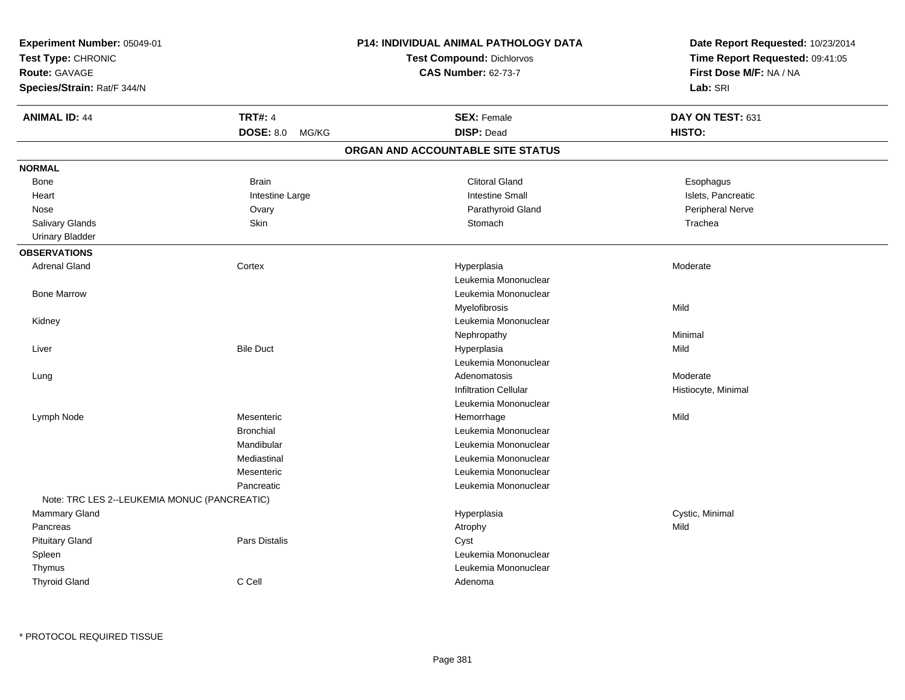| Experiment Number: 05049-01<br>Test Type: CHRONIC<br><b>Route: GAVAGE</b> |                           | P14: INDIVIDUAL ANIMAL PATHOLOGY DATA | Date Report Requested: 10/23/2014<br>Time Report Requested: 09:41:05<br>First Dose M/F: NA / NA |  |
|---------------------------------------------------------------------------|---------------------------|---------------------------------------|-------------------------------------------------------------------------------------------------|--|
|                                                                           |                           | <b>Test Compound: Dichlorvos</b>      |                                                                                                 |  |
|                                                                           |                           | <b>CAS Number: 62-73-7</b>            |                                                                                                 |  |
| Species/Strain: Rat/F 344/N                                               |                           |                                       | Lab: SRI                                                                                        |  |
| <b>ANIMAL ID: 44</b>                                                      | <b>TRT#: 4</b>            | <b>SEX: Female</b>                    | DAY ON TEST: 631                                                                                |  |
|                                                                           | <b>DOSE: 8.0</b><br>MG/KG | <b>DISP: Dead</b>                     | HISTO:                                                                                          |  |
|                                                                           |                           | ORGAN AND ACCOUNTABLE SITE STATUS     |                                                                                                 |  |
| <b>NORMAL</b>                                                             |                           |                                       |                                                                                                 |  |
| Bone                                                                      | <b>Brain</b>              | <b>Clitoral Gland</b>                 | Esophagus                                                                                       |  |
| Heart                                                                     | Intestine Large           | <b>Intestine Small</b>                | Islets, Pancreatic                                                                              |  |
| Nose                                                                      | Ovary                     | Parathyroid Gland                     | Peripheral Nerve                                                                                |  |
| Salivary Glands                                                           | Skin                      | Stomach                               | Trachea                                                                                         |  |
| <b>Urinary Bladder</b>                                                    |                           |                                       |                                                                                                 |  |
| <b>OBSERVATIONS</b>                                                       |                           |                                       |                                                                                                 |  |
| <b>Adrenal Gland</b>                                                      | Cortex                    | Hyperplasia                           | Moderate                                                                                        |  |
|                                                                           |                           | Leukemia Mononuclear                  |                                                                                                 |  |
| <b>Bone Marrow</b>                                                        |                           | Leukemia Mononuclear                  |                                                                                                 |  |
|                                                                           |                           | Myelofibrosis                         | Mild                                                                                            |  |
| Kidney                                                                    |                           | Leukemia Mononuclear                  |                                                                                                 |  |
|                                                                           |                           | Nephropathy                           | Minimal                                                                                         |  |
| Liver                                                                     | <b>Bile Duct</b>          | Hyperplasia                           | Mild                                                                                            |  |
|                                                                           |                           | Leukemia Mononuclear                  |                                                                                                 |  |
| Lung                                                                      |                           | Adenomatosis                          | Moderate                                                                                        |  |
|                                                                           |                           | <b>Infiltration Cellular</b>          | Histiocyte, Minimal                                                                             |  |
|                                                                           |                           | Leukemia Mononuclear                  |                                                                                                 |  |
| Lymph Node                                                                | Mesenteric                | Hemorrhage                            | Mild                                                                                            |  |
|                                                                           | <b>Bronchial</b>          | Leukemia Mononuclear                  |                                                                                                 |  |
|                                                                           | Mandibular                | Leukemia Mononuclear                  |                                                                                                 |  |
|                                                                           | Mediastinal               | Leukemia Mononuclear                  |                                                                                                 |  |
|                                                                           | Mesenteric                | Leukemia Mononuclear                  |                                                                                                 |  |
|                                                                           | Pancreatic                | Leukemia Mononuclear                  |                                                                                                 |  |
| Note: TRC LES 2--LEUKEMIA MONUC (PANCREATIC)                              |                           |                                       |                                                                                                 |  |
| Mammary Gland                                                             |                           | Hyperplasia                           | Cystic, Minimal                                                                                 |  |
| Pancreas                                                                  |                           | Atrophy                               | Mild                                                                                            |  |
| <b>Pituitary Gland</b>                                                    | Pars Distalis             | Cyst                                  |                                                                                                 |  |
| Spleen                                                                    |                           | Leukemia Mononuclear                  |                                                                                                 |  |
| Thymus                                                                    |                           | Leukemia Mononuclear                  |                                                                                                 |  |
| <b>Thyroid Gland</b>                                                      | C Cell                    | Adenoma                               |                                                                                                 |  |
|                                                                           |                           |                                       |                                                                                                 |  |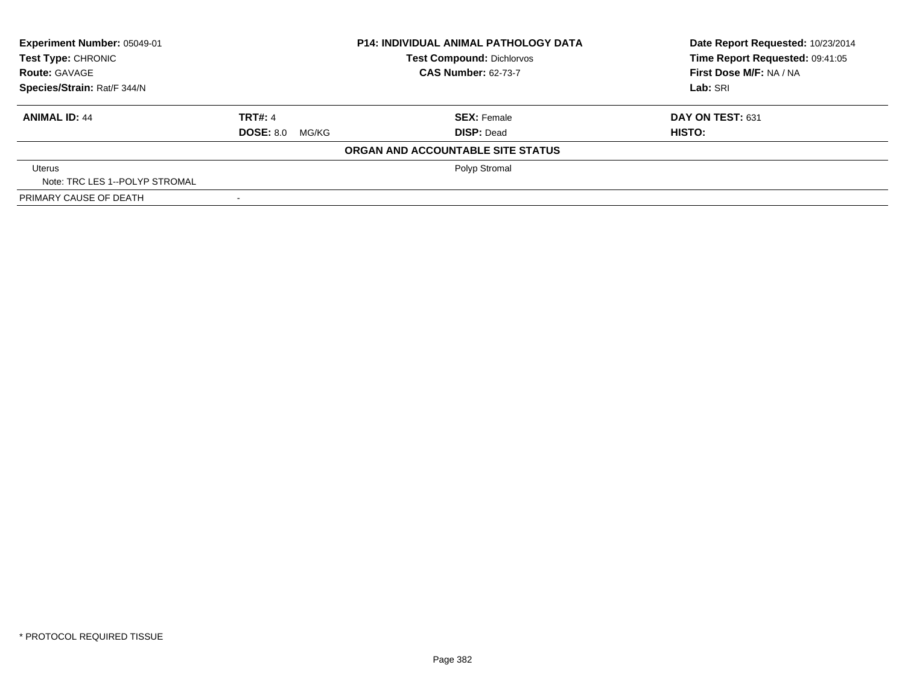| Experiment Number: 05049-01    |                            | <b>P14: INDIVIDUAL ANIMAL PATHOLOGY DATA</b> | Date Report Requested: 10/23/2014 |  |
|--------------------------------|----------------------------|----------------------------------------------|-----------------------------------|--|
| Test Type: CHRONIC             |                            | <b>Test Compound: Dichlorvos</b>             | Time Report Requested: 09:41:05   |  |
| <b>Route: GAVAGE</b>           | <b>CAS Number: 62-73-7</b> |                                              | First Dose M/F: NA / NA           |  |
| Species/Strain: Rat/F 344/N    |                            |                                              | Lab: SRI                          |  |
| <b>ANIMAL ID: 44</b>           | <b>TRT#: 4</b>             | <b>SEX: Female</b>                           | DAY ON TEST: 631                  |  |
|                                | <b>DOSE: 8.0</b><br>MG/KG  | <b>DISP: Dead</b>                            | HISTO:                            |  |
|                                |                            | ORGAN AND ACCOUNTABLE SITE STATUS            |                                   |  |
| Uterus                         |                            | Polyp Stromal                                |                                   |  |
| Note: TRC LES 1--POLYP STROMAL |                            |                                              |                                   |  |
| PRIMARY CAUSE OF DEATH         |                            |                                              |                                   |  |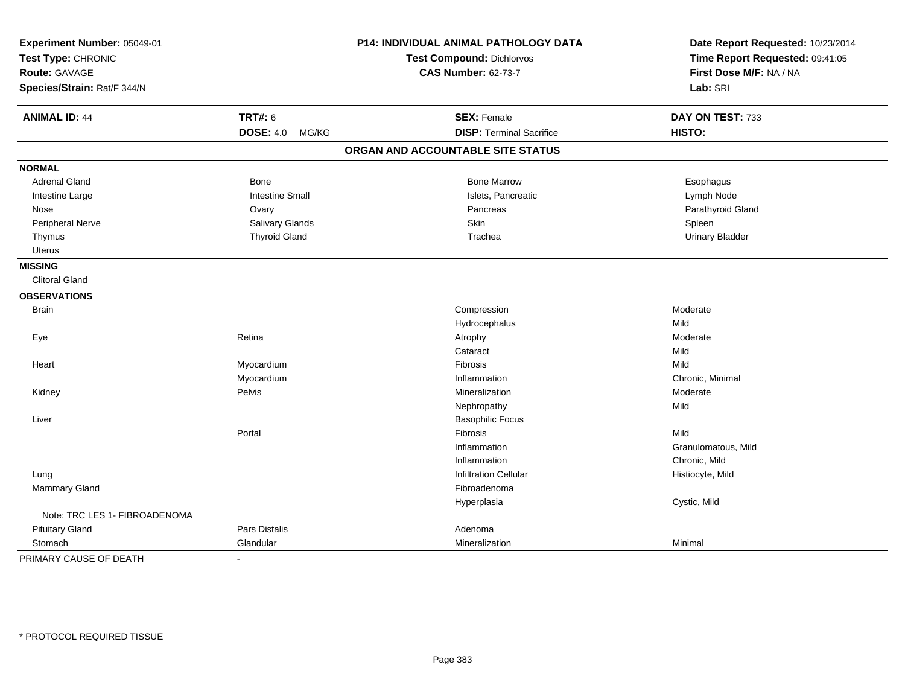| Experiment Number: 05049-01<br>Test Type: CHRONIC |                           | P14: INDIVIDUAL ANIMAL PATHOLOGY DATA<br><b>Test Compound: Dichlorvos</b> | Date Report Requested: 10/23/2014<br>Time Report Requested: 09:41:05 |
|---------------------------------------------------|---------------------------|---------------------------------------------------------------------------|----------------------------------------------------------------------|
| <b>Route: GAVAGE</b>                              |                           | <b>CAS Number: 62-73-7</b>                                                | First Dose M/F: NA / NA                                              |
|                                                   |                           |                                                                           |                                                                      |
| Species/Strain: Rat/F 344/N                       |                           |                                                                           | Lab: SRI                                                             |
| <b>ANIMAL ID: 44</b>                              | <b>TRT#: 6</b>            | <b>SEX: Female</b>                                                        | DAY ON TEST: 733                                                     |
|                                                   | <b>DOSE: 4.0</b><br>MG/KG | <b>DISP: Terminal Sacrifice</b>                                           | HISTO:                                                               |
|                                                   |                           | ORGAN AND ACCOUNTABLE SITE STATUS                                         |                                                                      |
| <b>NORMAL</b>                                     |                           |                                                                           |                                                                      |
| <b>Adrenal Gland</b>                              | <b>Bone</b>               | <b>Bone Marrow</b>                                                        | Esophagus                                                            |
| Intestine Large                                   | <b>Intestine Small</b>    | Islets, Pancreatic                                                        | Lymph Node                                                           |
| Nose                                              | Ovary                     | Pancreas                                                                  | Parathyroid Gland                                                    |
| Peripheral Nerve                                  | <b>Salivary Glands</b>    | Skin                                                                      | Spleen                                                               |
| Thymus                                            | <b>Thyroid Gland</b>      | Trachea                                                                   | <b>Urinary Bladder</b>                                               |
| Uterus                                            |                           |                                                                           |                                                                      |
| <b>MISSING</b>                                    |                           |                                                                           |                                                                      |
| <b>Clitoral Gland</b>                             |                           |                                                                           |                                                                      |
| <b>OBSERVATIONS</b>                               |                           |                                                                           |                                                                      |
| <b>Brain</b>                                      |                           | Compression                                                               | Moderate                                                             |
|                                                   |                           | Hydrocephalus                                                             | Mild                                                                 |
| Eye                                               | Retina                    | Atrophy                                                                   | Moderate                                                             |
|                                                   |                           | Cataract                                                                  | Mild                                                                 |
| Heart                                             | Myocardium                | <b>Fibrosis</b>                                                           | Mild                                                                 |
|                                                   | Myocardium                | Inflammation                                                              | Chronic, Minimal                                                     |
| Kidney                                            | Pelvis                    | Mineralization                                                            | Moderate                                                             |
|                                                   |                           | Nephropathy                                                               | Mild                                                                 |
| Liver                                             |                           | <b>Basophilic Focus</b>                                                   |                                                                      |
|                                                   | Portal                    | Fibrosis                                                                  | Mild                                                                 |
|                                                   |                           | Inflammation                                                              | Granulomatous, Mild                                                  |
|                                                   |                           | Inflammation                                                              | Chronic, Mild                                                        |
| Lung                                              |                           | <b>Infiltration Cellular</b>                                              | Histiocyte, Mild                                                     |
| Mammary Gland                                     |                           | Fibroadenoma                                                              |                                                                      |
|                                                   |                           | Hyperplasia                                                               | Cystic, Mild                                                         |
| Note: TRC LES 1- FIBROADENOMA                     |                           |                                                                           |                                                                      |
| <b>Pituitary Gland</b>                            | <b>Pars Distalis</b>      | Adenoma                                                                   |                                                                      |
| Stomach                                           | Glandular                 | Mineralization                                                            | Minimal                                                              |
| PRIMARY CAUSE OF DEATH                            | $\overline{\phantom{a}}$  |                                                                           |                                                                      |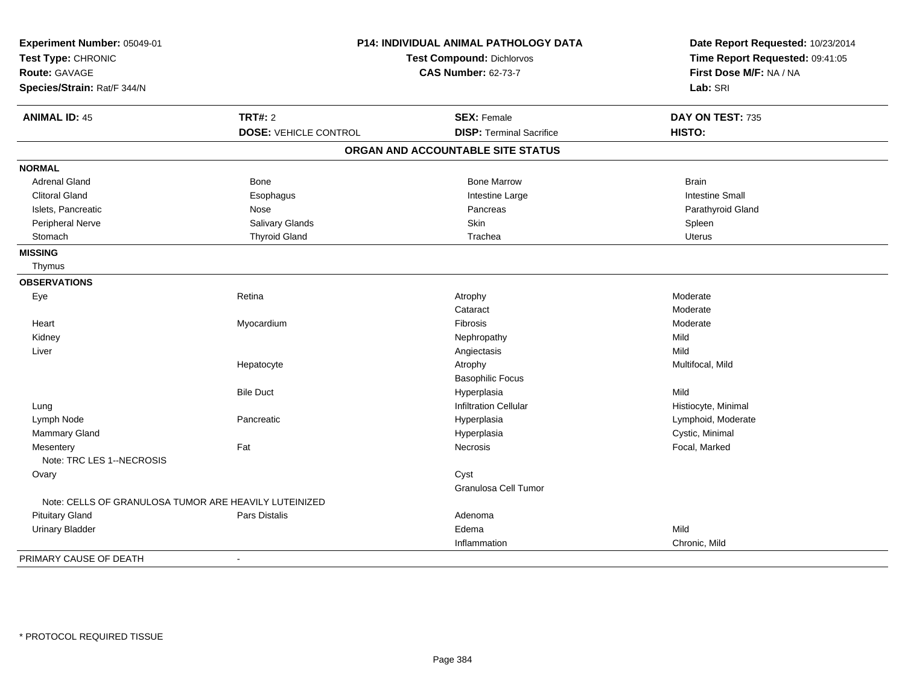| Experiment Number: 05049-01<br>Test Type: CHRONIC<br>Route: GAVAGE<br>Species/Strain: Rat/F 344/N |                              | P14: INDIVIDUAL ANIMAL PATHOLOGY DATA<br><b>Test Compound: Dichlorvos</b><br><b>CAS Number: 62-73-7</b> | Date Report Requested: 10/23/2014<br>Time Report Requested: 09:41:05<br>First Dose M/F: NA / NA<br>Lab: SRI |
|---------------------------------------------------------------------------------------------------|------------------------------|---------------------------------------------------------------------------------------------------------|-------------------------------------------------------------------------------------------------------------|
| <b>ANIMAL ID: 45</b>                                                                              | <b>TRT#: 2</b>               | <b>SEX: Female</b>                                                                                      | DAY ON TEST: 735                                                                                            |
|                                                                                                   | <b>DOSE: VEHICLE CONTROL</b> | <b>DISP: Terminal Sacrifice</b>                                                                         | HISTO:                                                                                                      |
|                                                                                                   |                              | ORGAN AND ACCOUNTABLE SITE STATUS                                                                       |                                                                                                             |
| <b>NORMAL</b>                                                                                     |                              |                                                                                                         |                                                                                                             |
| <b>Adrenal Gland</b>                                                                              | <b>Bone</b>                  | <b>Bone Marrow</b>                                                                                      | <b>Brain</b>                                                                                                |
| <b>Clitoral Gland</b>                                                                             | Esophagus                    | Intestine Large                                                                                         | <b>Intestine Small</b>                                                                                      |
| Islets, Pancreatic                                                                                | Nose                         | Pancreas                                                                                                | Parathyroid Gland                                                                                           |
| Peripheral Nerve                                                                                  | Salivary Glands              | Skin                                                                                                    | Spleen                                                                                                      |
| Stomach                                                                                           | <b>Thyroid Gland</b>         | Trachea                                                                                                 | <b>Uterus</b>                                                                                               |
| <b>MISSING</b>                                                                                    |                              |                                                                                                         |                                                                                                             |
| Thymus                                                                                            |                              |                                                                                                         |                                                                                                             |
| <b>OBSERVATIONS</b>                                                                               |                              |                                                                                                         |                                                                                                             |
| Eye                                                                                               | Retina                       | Atrophy                                                                                                 | Moderate                                                                                                    |
|                                                                                                   |                              | Cataract                                                                                                | Moderate                                                                                                    |
| Heart                                                                                             | Myocardium                   | Fibrosis                                                                                                | Moderate                                                                                                    |
| Kidney                                                                                            |                              | Nephropathy                                                                                             | Mild                                                                                                        |
| Liver                                                                                             |                              | Angiectasis                                                                                             | Mild                                                                                                        |
|                                                                                                   | Hepatocyte                   | Atrophy                                                                                                 | Multifocal, Mild                                                                                            |
|                                                                                                   |                              | <b>Basophilic Focus</b>                                                                                 |                                                                                                             |
|                                                                                                   | <b>Bile Duct</b>             | Hyperplasia                                                                                             | Mild                                                                                                        |
| Lung                                                                                              |                              | <b>Infiltration Cellular</b>                                                                            | Histiocyte, Minimal                                                                                         |
| Lymph Node                                                                                        | Pancreatic                   | Hyperplasia                                                                                             | Lymphoid, Moderate                                                                                          |
| <b>Mammary Gland</b>                                                                              |                              | Hyperplasia                                                                                             | Cystic, Minimal                                                                                             |
| Mesentery<br>Note: TRC LES 1--NECROSIS                                                            | Fat                          | Necrosis                                                                                                | Focal, Marked                                                                                               |
| Ovary                                                                                             |                              | Cyst                                                                                                    |                                                                                                             |
|                                                                                                   |                              | Granulosa Cell Tumor                                                                                    |                                                                                                             |
| Note: CELLS OF GRANULOSA TUMOR ARE HEAVILY LUTEINIZED                                             |                              |                                                                                                         |                                                                                                             |
| <b>Pituitary Gland</b>                                                                            | Pars Distalis                | Adenoma                                                                                                 |                                                                                                             |
| <b>Urinary Bladder</b>                                                                            |                              | Edema                                                                                                   | Mild                                                                                                        |
|                                                                                                   |                              | Inflammation                                                                                            | Chronic, Mild                                                                                               |
| PRIMARY CAUSE OF DEATH                                                                            | $\blacksquare$               |                                                                                                         |                                                                                                             |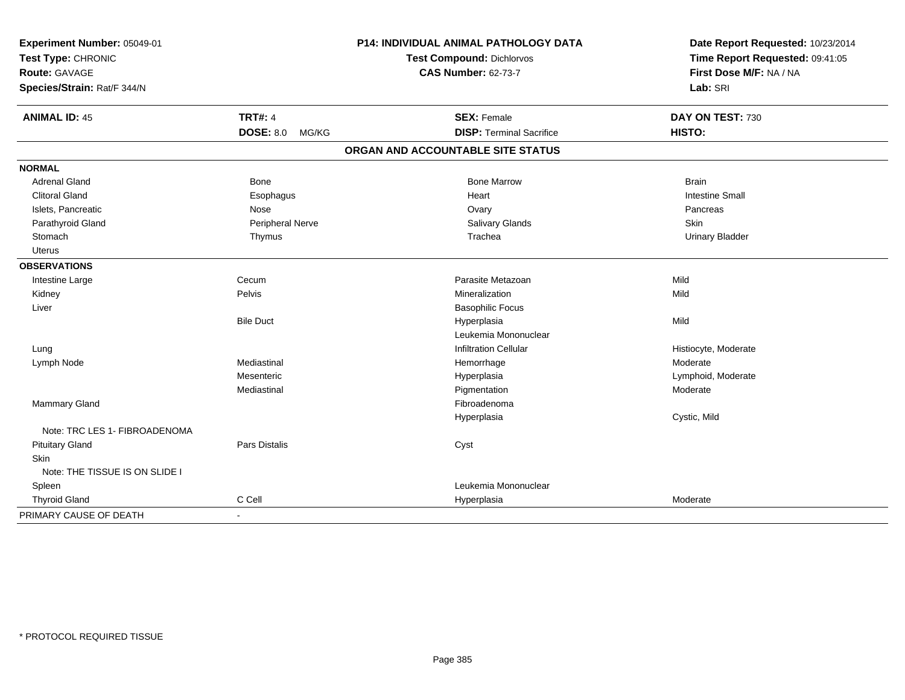| Experiment Number: 05049-01    |                      | <b>P14: INDIVIDUAL ANIMAL PATHOLOGY DATA</b> | Date Report Requested: 10/23/2014 |
|--------------------------------|----------------------|----------------------------------------------|-----------------------------------|
| Test Type: CHRONIC             |                      | <b>Test Compound: Dichlorvos</b>             | Time Report Requested: 09:41:05   |
| Route: GAVAGE                  |                      | <b>CAS Number: 62-73-7</b>                   | First Dose M/F: NA / NA           |
| Species/Strain: Rat/F 344/N    |                      |                                              | Lab: SRI                          |
| <b>ANIMAL ID: 45</b>           | <b>TRT#: 4</b>       | <b>SEX: Female</b>                           | DAY ON TEST: 730                  |
|                                | DOSE: 8.0 MG/KG      | <b>DISP: Terminal Sacrifice</b>              | HISTO:                            |
|                                |                      | ORGAN AND ACCOUNTABLE SITE STATUS            |                                   |
| <b>NORMAL</b>                  |                      |                                              |                                   |
| <b>Adrenal Gland</b>           | Bone                 | <b>Bone Marrow</b>                           | <b>Brain</b>                      |
| <b>Clitoral Gland</b>          | Esophagus            | Heart                                        | <b>Intestine Small</b>            |
| Islets, Pancreatic             | Nose                 | Ovary                                        | Pancreas                          |
| Parathyroid Gland              | Peripheral Nerve     | <b>Salivary Glands</b>                       | Skin                              |
| Stomach                        | Thymus               | Trachea                                      | <b>Urinary Bladder</b>            |
| Uterus                         |                      |                                              |                                   |
| <b>OBSERVATIONS</b>            |                      |                                              |                                   |
| Intestine Large                | Cecum                | Parasite Metazoan                            | Mild                              |
| Kidney                         | Pelvis               | Mineralization                               | Mild                              |
| Liver                          |                      | <b>Basophilic Focus</b>                      |                                   |
|                                | <b>Bile Duct</b>     | Hyperplasia                                  | Mild                              |
|                                |                      | Leukemia Mononuclear                         |                                   |
| Lung                           |                      | <b>Infiltration Cellular</b>                 | Histiocyte, Moderate              |
| Lymph Node                     | Mediastinal          | Hemorrhage                                   | Moderate                          |
|                                | Mesenteric           | Hyperplasia                                  | Lymphoid, Moderate                |
|                                | Mediastinal          | Pigmentation                                 | Moderate                          |
| <b>Mammary Gland</b>           |                      | Fibroadenoma                                 |                                   |
|                                |                      | Hyperplasia                                  | Cystic, Mild                      |
| Note: TRC LES 1- FIBROADENOMA  |                      |                                              |                                   |
| <b>Pituitary Gland</b>         | <b>Pars Distalis</b> | Cyst                                         |                                   |
| <b>Skin</b>                    |                      |                                              |                                   |
| Note: THE TISSUE IS ON SLIDE I |                      |                                              |                                   |
| Spleen                         |                      | Leukemia Mononuclear                         |                                   |
| <b>Thyroid Gland</b>           | C Cell               | Hyperplasia                                  | Moderate                          |
| PRIMARY CAUSE OF DEATH         | $\sim$               |                                              |                                   |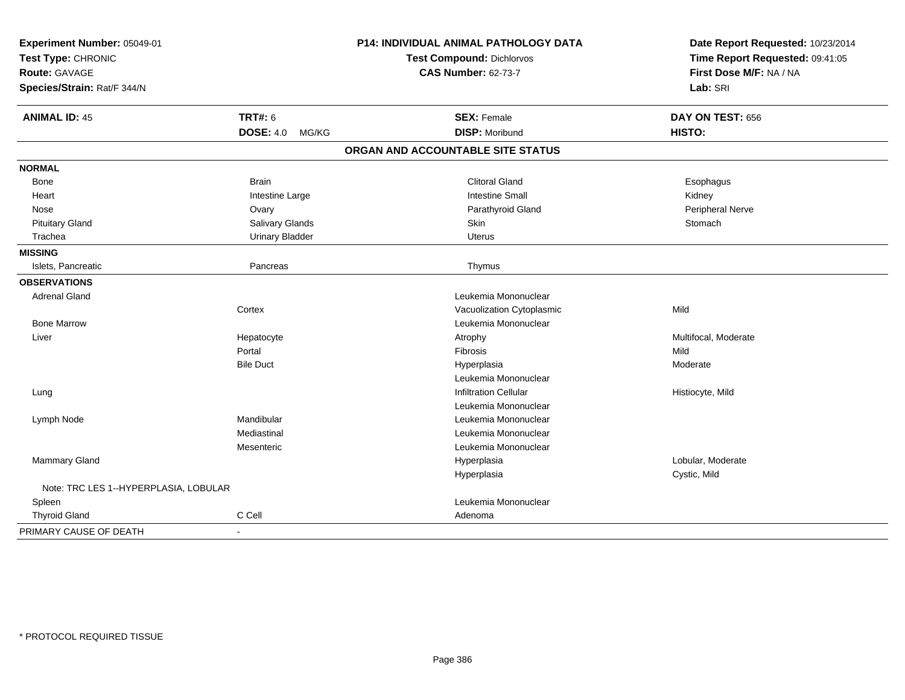| Experiment Number: 05049-01<br>Test Type: CHRONIC |                           | P14: INDIVIDUAL ANIMAL PATHOLOGY DATA | Date Report Requested: 10/23/2014 |
|---------------------------------------------------|---------------------------|---------------------------------------|-----------------------------------|
|                                                   |                           | Test Compound: Dichlorvos             | Time Report Requested: 09:41:05   |
| Route: GAVAGE                                     |                           | <b>CAS Number: 62-73-7</b>            | First Dose M/F: NA / NA           |
| Species/Strain: Rat/F 344/N                       |                           |                                       | Lab: SRI                          |
| <b>ANIMAL ID: 45</b>                              | <b>TRT#: 6</b>            | <b>SEX: Female</b>                    | DAY ON TEST: 656                  |
|                                                   | <b>DOSE: 4.0</b><br>MG/KG | <b>DISP: Moribund</b>                 | HISTO:                            |
|                                                   |                           | ORGAN AND ACCOUNTABLE SITE STATUS     |                                   |
| <b>NORMAL</b>                                     |                           |                                       |                                   |
| <b>Bone</b>                                       | <b>Brain</b>              | <b>Clitoral Gland</b>                 | Esophagus                         |
| Heart                                             | Intestine Large           | <b>Intestine Small</b>                | Kidney                            |
| Nose                                              | Ovary                     | Parathyroid Gland                     | Peripheral Nerve                  |
| <b>Pituitary Gland</b>                            | Salivary Glands           | Skin                                  | Stomach                           |
| Trachea                                           | <b>Urinary Bladder</b>    | <b>Uterus</b>                         |                                   |
| <b>MISSING</b>                                    |                           |                                       |                                   |
| Islets, Pancreatic                                | Pancreas                  | Thymus                                |                                   |
| <b>OBSERVATIONS</b>                               |                           |                                       |                                   |
| <b>Adrenal Gland</b>                              |                           | Leukemia Mononuclear                  |                                   |
|                                                   | Cortex                    | Vacuolization Cytoplasmic             | Mild                              |
| <b>Bone Marrow</b>                                |                           | Leukemia Mononuclear                  |                                   |
| Liver                                             | Hepatocyte                | Atrophy                               | Multifocal, Moderate              |
|                                                   | Portal                    | Fibrosis                              | Mild                              |
|                                                   | <b>Bile Duct</b>          | Hyperplasia                           | Moderate                          |
|                                                   |                           | Leukemia Mononuclear                  |                                   |
| Lung                                              |                           | <b>Infiltration Cellular</b>          | Histiocyte, Mild                  |
|                                                   |                           | Leukemia Mononuclear                  |                                   |
| Lymph Node                                        | Mandibular                | Leukemia Mononuclear                  |                                   |
|                                                   | Mediastinal               | Leukemia Mononuclear                  |                                   |
|                                                   | Mesenteric                | Leukemia Mononuclear                  |                                   |
| Mammary Gland                                     |                           | Hyperplasia                           | Lobular, Moderate                 |
|                                                   |                           | Hyperplasia                           | Cystic, Mild                      |
| Note: TRC LES 1--HYPERPLASIA, LOBULAR             |                           |                                       |                                   |
| Spleen                                            |                           | Leukemia Mononuclear                  |                                   |
| <b>Thyroid Gland</b>                              | C Cell                    | Adenoma                               |                                   |
| PRIMARY CAUSE OF DEATH                            | ÷,                        |                                       |                                   |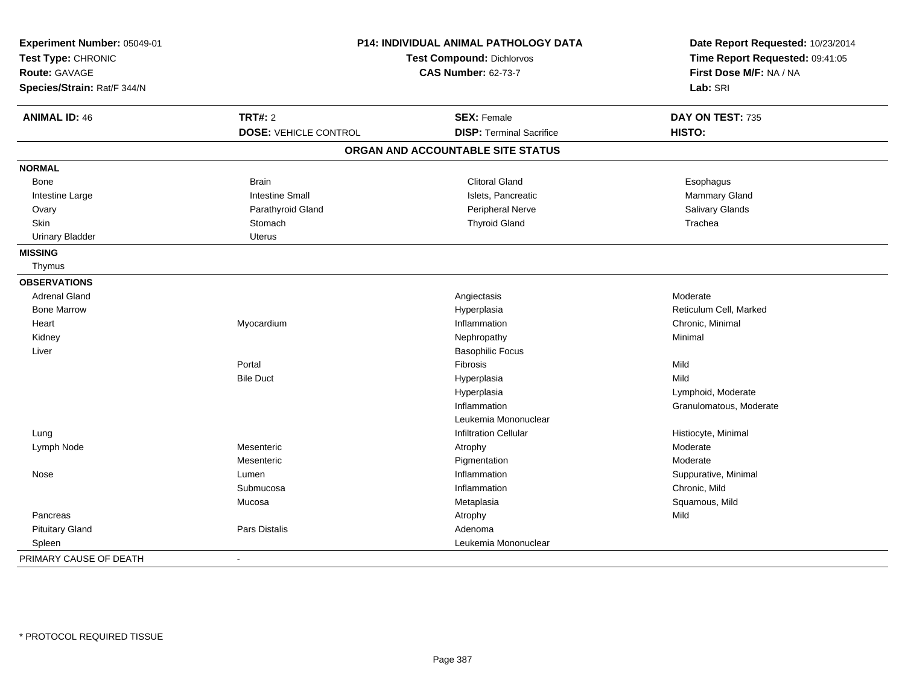| Experiment Number: 05049-01<br>Test Type: CHRONIC<br><b>Route: GAVAGE</b><br>Species/Strain: Rat/F 344/N |                              | <b>P14: INDIVIDUAL ANIMAL PATHOLOGY DATA</b><br><b>Test Compound: Dichlorvos</b><br><b>CAS Number: 62-73-7</b> |                         |
|----------------------------------------------------------------------------------------------------------|------------------------------|----------------------------------------------------------------------------------------------------------------|-------------------------|
| <b>ANIMAL ID: 46</b>                                                                                     | <b>TRT#: 2</b>               | <b>SEX: Female</b>                                                                                             | DAY ON TEST: 735        |
|                                                                                                          | <b>DOSE: VEHICLE CONTROL</b> | <b>DISP: Terminal Sacrifice</b>                                                                                | HISTO:                  |
|                                                                                                          |                              | ORGAN AND ACCOUNTABLE SITE STATUS                                                                              |                         |
| <b>NORMAL</b>                                                                                            |                              |                                                                                                                |                         |
| Bone                                                                                                     | <b>Brain</b>                 | <b>Clitoral Gland</b>                                                                                          | Esophagus               |
| Intestine Large                                                                                          | <b>Intestine Small</b>       | Islets, Pancreatic                                                                                             | Mammary Gland           |
| Ovary                                                                                                    | Parathyroid Gland            | Peripheral Nerve                                                                                               | Salivary Glands         |
| Skin                                                                                                     | Stomach                      | <b>Thyroid Gland</b>                                                                                           | Trachea                 |
| <b>Urinary Bladder</b>                                                                                   | <b>Uterus</b>                |                                                                                                                |                         |
| <b>MISSING</b>                                                                                           |                              |                                                                                                                |                         |
| Thymus                                                                                                   |                              |                                                                                                                |                         |
| <b>OBSERVATIONS</b>                                                                                      |                              |                                                                                                                |                         |
| <b>Adrenal Gland</b>                                                                                     |                              | Angiectasis                                                                                                    | Moderate                |
| <b>Bone Marrow</b>                                                                                       |                              | Hyperplasia                                                                                                    | Reticulum Cell, Marked  |
| Heart                                                                                                    | Myocardium                   | Inflammation                                                                                                   | Chronic, Minimal        |
| Kidney                                                                                                   |                              | Nephropathy                                                                                                    | Minimal                 |
| Liver                                                                                                    |                              | <b>Basophilic Focus</b>                                                                                        |                         |
|                                                                                                          | Portal                       | Fibrosis                                                                                                       | Mild                    |
|                                                                                                          | <b>Bile Duct</b>             | Hyperplasia                                                                                                    | Mild                    |
|                                                                                                          |                              | Hyperplasia                                                                                                    | Lymphoid, Moderate      |
|                                                                                                          |                              | Inflammation                                                                                                   | Granulomatous, Moderate |
|                                                                                                          |                              | Leukemia Mononuclear                                                                                           |                         |
| Lung                                                                                                     |                              | <b>Infiltration Cellular</b>                                                                                   | Histiocyte, Minimal     |
| Lymph Node                                                                                               | Mesenteric                   | Atrophy                                                                                                        | Moderate                |
|                                                                                                          | Mesenteric                   | Pigmentation                                                                                                   | Moderate                |
| Nose                                                                                                     | Lumen                        | Inflammation                                                                                                   | Suppurative, Minimal    |
|                                                                                                          | Submucosa                    | Inflammation                                                                                                   | Chronic, Mild           |
|                                                                                                          | Mucosa                       | Metaplasia                                                                                                     | Squamous, Mild          |
| Pancreas                                                                                                 |                              | Atrophy                                                                                                        | Mild                    |
| <b>Pituitary Gland</b>                                                                                   | <b>Pars Distalis</b>         | Adenoma                                                                                                        |                         |
| Spleen                                                                                                   |                              | Leukemia Mononuclear                                                                                           |                         |
| PRIMARY CAUSE OF DEATH                                                                                   | $\blacksquare$               |                                                                                                                |                         |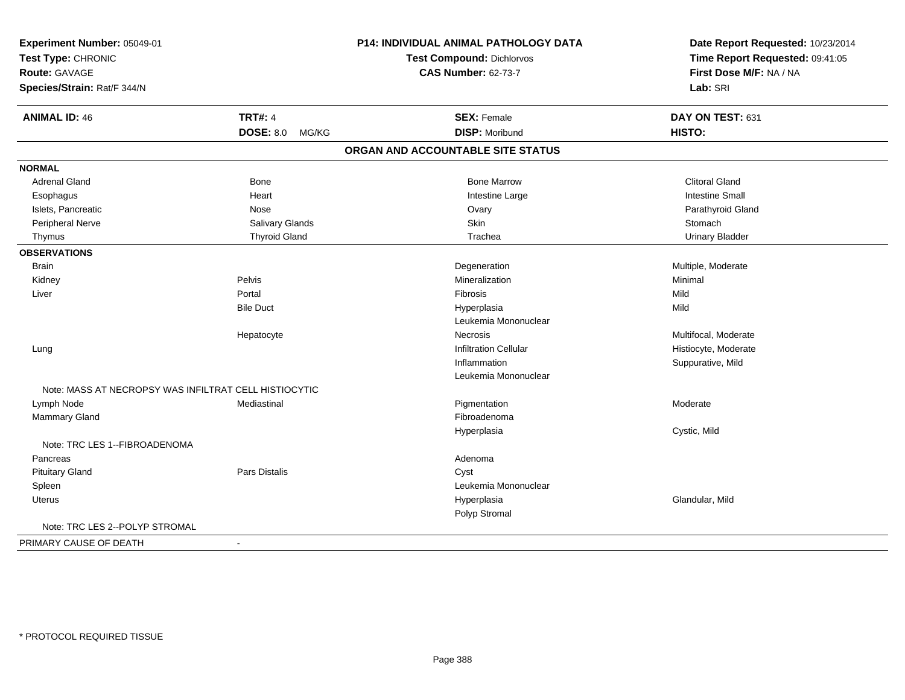| Experiment Number: 05049-01                           |                      | <b>P14: INDIVIDUAL ANIMAL PATHOLOGY DATA</b> | Date Report Requested: 10/23/2014 |
|-------------------------------------------------------|----------------------|----------------------------------------------|-----------------------------------|
| Test Type: CHRONIC<br><b>Route: GAVAGE</b>            |                      | <b>Test Compound: Dichlorvos</b>             | Time Report Requested: 09:41:05   |
|                                                       |                      | <b>CAS Number: 62-73-7</b>                   | First Dose M/F: NA / NA           |
| Species/Strain: Rat/F 344/N                           |                      |                                              | Lab: SRI                          |
| <b>ANIMAL ID: 46</b>                                  | <b>TRT#: 4</b>       | <b>SEX: Female</b>                           | DAY ON TEST: 631                  |
|                                                       | DOSE: 8.0 MG/KG      | <b>DISP: Moribund</b>                        | HISTO:                            |
|                                                       |                      | ORGAN AND ACCOUNTABLE SITE STATUS            |                                   |
| <b>NORMAL</b>                                         |                      |                                              |                                   |
| <b>Adrenal Gland</b>                                  | Bone                 | <b>Bone Marrow</b>                           | <b>Clitoral Gland</b>             |
| Esophagus                                             | Heart                | Intestine Large                              | <b>Intestine Small</b>            |
| Islets, Pancreatic                                    | Nose                 | Ovary                                        | Parathyroid Gland                 |
| Peripheral Nerve                                      | Salivary Glands      | Skin                                         | Stomach                           |
| Thymus                                                | <b>Thyroid Gland</b> | Trachea                                      | <b>Urinary Bladder</b>            |
| <b>OBSERVATIONS</b>                                   |                      |                                              |                                   |
| <b>Brain</b>                                          |                      | Degeneration                                 | Multiple, Moderate                |
| Kidney                                                | Pelvis               | Mineralization                               | Minimal                           |
| Liver                                                 | Portal               | Fibrosis                                     | Mild                              |
|                                                       | <b>Bile Duct</b>     | Hyperplasia                                  | Mild                              |
|                                                       |                      | Leukemia Mononuclear                         |                                   |
|                                                       | Hepatocyte           | <b>Necrosis</b>                              | Multifocal, Moderate              |
| Lung                                                  |                      | <b>Infiltration Cellular</b>                 | Histiocyte, Moderate              |
|                                                       |                      | Inflammation                                 | Suppurative, Mild                 |
|                                                       |                      | Leukemia Mononuclear                         |                                   |
| Note: MASS AT NECROPSY WAS INFILTRAT CELL HISTIOCYTIC |                      |                                              |                                   |
| Lymph Node                                            | Mediastinal          | Pigmentation                                 | Moderate                          |
| Mammary Gland                                         |                      | Fibroadenoma                                 |                                   |
|                                                       |                      | Hyperplasia                                  | Cystic, Mild                      |
| Note: TRC LES 1--FIBROADENOMA                         |                      |                                              |                                   |
| Pancreas                                              |                      | Adenoma                                      |                                   |
| <b>Pituitary Gland</b>                                | Pars Distalis        | Cyst                                         |                                   |
| Spleen                                                |                      | Leukemia Mononuclear                         |                                   |
| Uterus                                                |                      | Hyperplasia                                  | Glandular, Mild                   |
|                                                       |                      | Polyp Stromal                                |                                   |
| Note: TRC LES 2--POLYP STROMAL                        |                      |                                              |                                   |
| PRIMARY CAUSE OF DEATH                                | $\sim$               |                                              |                                   |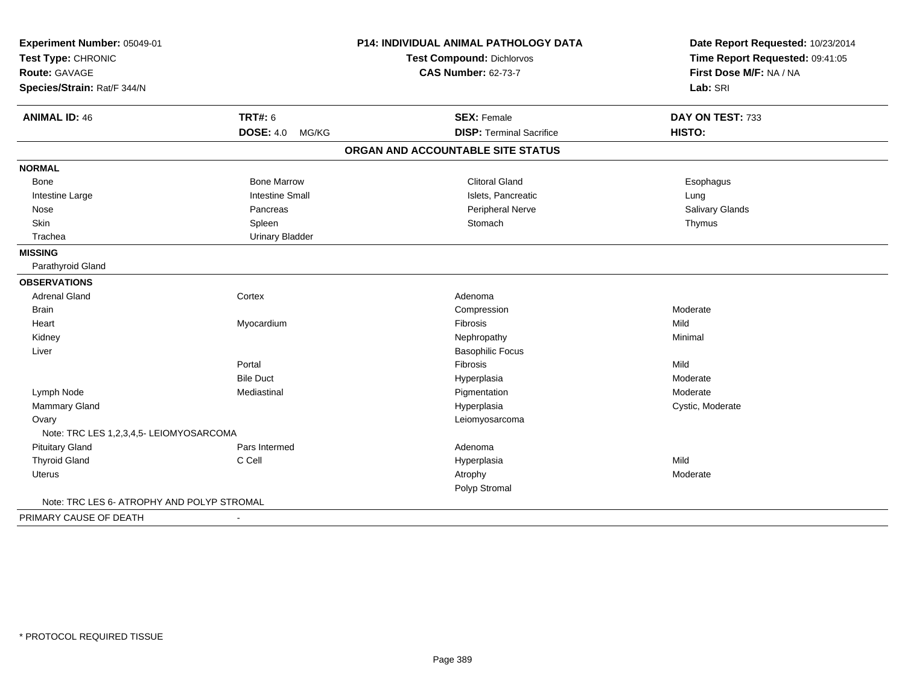| Experiment Number: 05049-01<br>Test Type: CHRONIC |                        | <b>P14: INDIVIDUAL ANIMAL PATHOLOGY DATA</b> | Date Report Requested: 10/23/2014<br>Time Report Requested: 09:41:05 |  |
|---------------------------------------------------|------------------------|----------------------------------------------|----------------------------------------------------------------------|--|
|                                                   |                        | Test Compound: Dichlorvos                    |                                                                      |  |
| Route: GAVAGE                                     |                        | <b>CAS Number: 62-73-7</b>                   | First Dose M/F: NA / NA                                              |  |
| Species/Strain: Rat/F 344/N                       |                        |                                              | Lab: SRI                                                             |  |
| <b>ANIMAL ID: 46</b>                              | <b>TRT#: 6</b>         | <b>SEX: Female</b>                           | DAY ON TEST: 733                                                     |  |
|                                                   | DOSE: 4.0 MG/KG        | <b>DISP: Terminal Sacrifice</b>              | HISTO:                                                               |  |
|                                                   |                        | ORGAN AND ACCOUNTABLE SITE STATUS            |                                                                      |  |
| <b>NORMAL</b>                                     |                        |                                              |                                                                      |  |
| <b>Bone</b>                                       | <b>Bone Marrow</b>     | <b>Clitoral Gland</b>                        | Esophagus                                                            |  |
| Intestine Large                                   | <b>Intestine Small</b> | Islets, Pancreatic                           | Lung                                                                 |  |
| Nose                                              | Pancreas               | Peripheral Nerve                             | Salivary Glands                                                      |  |
| Skin                                              | Spleen                 | Stomach                                      | Thymus                                                               |  |
| Trachea                                           | <b>Urinary Bladder</b> |                                              |                                                                      |  |
| <b>MISSING</b>                                    |                        |                                              |                                                                      |  |
| Parathyroid Gland                                 |                        |                                              |                                                                      |  |
| <b>OBSERVATIONS</b>                               |                        |                                              |                                                                      |  |
| Adrenal Gland                                     | Cortex                 | Adenoma                                      |                                                                      |  |
| <b>Brain</b>                                      |                        | Compression                                  | Moderate                                                             |  |
| Heart                                             | Myocardium             | <b>Fibrosis</b>                              | Mild                                                                 |  |
| Kidney                                            |                        | Nephropathy                                  | Minimal                                                              |  |
| Liver                                             |                        | <b>Basophilic Focus</b>                      |                                                                      |  |
|                                                   | Portal                 | Fibrosis                                     | Mild                                                                 |  |
|                                                   | <b>Bile Duct</b>       | Hyperplasia                                  | Moderate                                                             |  |
| Lymph Node                                        | Mediastinal            | Pigmentation                                 | Moderate                                                             |  |
| Mammary Gland                                     |                        | Hyperplasia                                  | Cystic, Moderate                                                     |  |
| Ovary                                             |                        | Leiomyosarcoma                               |                                                                      |  |
| Note: TRC LES 1,2,3,4,5- LEIOMYOSARCOMA           |                        |                                              |                                                                      |  |
| <b>Pituitary Gland</b>                            | Pars Intermed          | Adenoma                                      |                                                                      |  |
| <b>Thyroid Gland</b>                              | C Cell                 | Hyperplasia                                  | Mild                                                                 |  |
| Uterus                                            |                        | Atrophy                                      | Moderate                                                             |  |
|                                                   |                        | Polyp Stromal                                |                                                                      |  |
| Note: TRC LES 6- ATROPHY AND POLYP STROMAL        |                        |                                              |                                                                      |  |
| PRIMARY CAUSE OF DEATH                            |                        |                                              |                                                                      |  |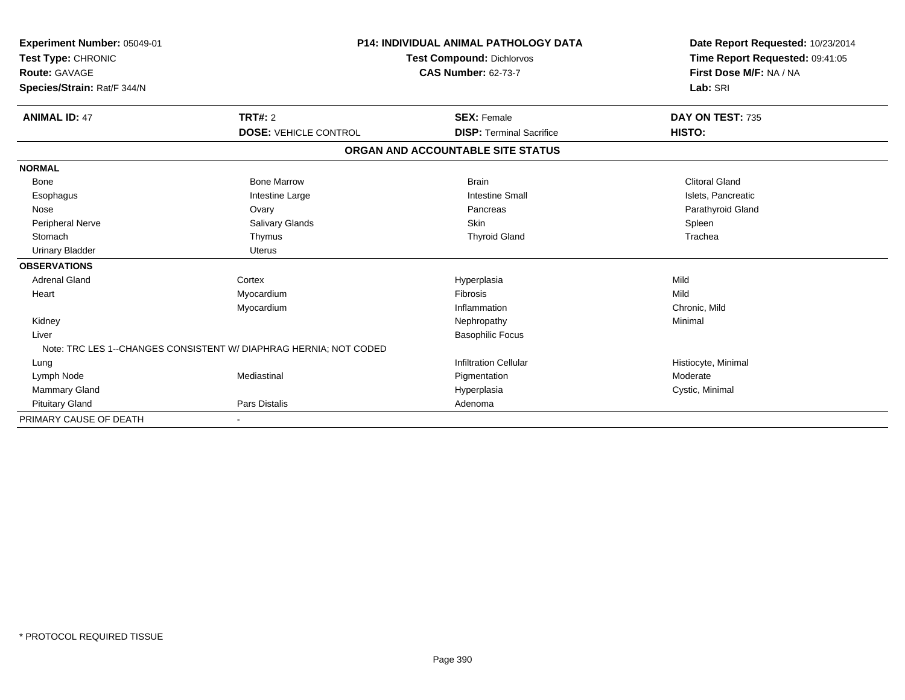| Experiment Number: 05049-01<br>Test Type: CHRONIC<br><b>Route: GAVAGE</b><br>Species/Strain: Rat/F 344/N |                                                                   | <b>P14: INDIVIDUAL ANIMAL PATHOLOGY DATA</b><br>Test Compound: Dichlorvos<br><b>CAS Number: 62-73-7</b> | Date Report Requested: 10/23/2014<br>Time Report Requested: 09:41:05<br>First Dose M/F: NA / NA<br>Lab: SRI |
|----------------------------------------------------------------------------------------------------------|-------------------------------------------------------------------|---------------------------------------------------------------------------------------------------------|-------------------------------------------------------------------------------------------------------------|
| <b>ANIMAL ID: 47</b>                                                                                     | TRT#: 2                                                           | <b>SEX: Female</b>                                                                                      | DAY ON TEST: 735                                                                                            |
|                                                                                                          | <b>DOSE: VEHICLE CONTROL</b>                                      | <b>DISP: Terminal Sacrifice</b>                                                                         | HISTO:                                                                                                      |
|                                                                                                          |                                                                   | ORGAN AND ACCOUNTABLE SITE STATUS                                                                       |                                                                                                             |
| <b>NORMAL</b>                                                                                            |                                                                   |                                                                                                         |                                                                                                             |
| Bone                                                                                                     | <b>Bone Marrow</b>                                                | <b>Brain</b>                                                                                            | <b>Clitoral Gland</b>                                                                                       |
| Esophagus                                                                                                | Intestine Large                                                   | <b>Intestine Small</b>                                                                                  | Islets, Pancreatic                                                                                          |
| Nose                                                                                                     | Ovary                                                             | Pancreas                                                                                                | Parathyroid Gland                                                                                           |
| <b>Peripheral Nerve</b>                                                                                  | <b>Salivary Glands</b>                                            | Skin                                                                                                    | Spleen                                                                                                      |
| Stomach                                                                                                  | Thymus                                                            | <b>Thyroid Gland</b>                                                                                    | Trachea                                                                                                     |
| <b>Urinary Bladder</b>                                                                                   | <b>Uterus</b>                                                     |                                                                                                         |                                                                                                             |
| <b>OBSERVATIONS</b>                                                                                      |                                                                   |                                                                                                         |                                                                                                             |
| <b>Adrenal Gland</b>                                                                                     | Cortex                                                            | Hyperplasia                                                                                             | Mild                                                                                                        |
| Heart                                                                                                    | Myocardium                                                        | <b>Fibrosis</b>                                                                                         | Mild                                                                                                        |
|                                                                                                          | Myocardium                                                        | Inflammation                                                                                            | Chronic, Mild                                                                                               |
| Kidney                                                                                                   |                                                                   | Nephropathy                                                                                             | Minimal                                                                                                     |
| Liver                                                                                                    |                                                                   | <b>Basophilic Focus</b>                                                                                 |                                                                                                             |
|                                                                                                          | Note: TRC LES 1--CHANGES CONSISTENT W/ DIAPHRAG HERNIA; NOT CODED |                                                                                                         |                                                                                                             |
| Lung                                                                                                     |                                                                   | <b>Infiltration Cellular</b>                                                                            | Histiocyte, Minimal                                                                                         |
| Lymph Node                                                                                               | Mediastinal                                                       | Pigmentation                                                                                            | Moderate                                                                                                    |
| <b>Mammary Gland</b>                                                                                     |                                                                   | Hyperplasia                                                                                             | Cystic, Minimal                                                                                             |
| <b>Pituitary Gland</b>                                                                                   | Pars Distalis                                                     | Adenoma                                                                                                 |                                                                                                             |
| PRIMARY CAUSE OF DEATH                                                                                   |                                                                   |                                                                                                         |                                                                                                             |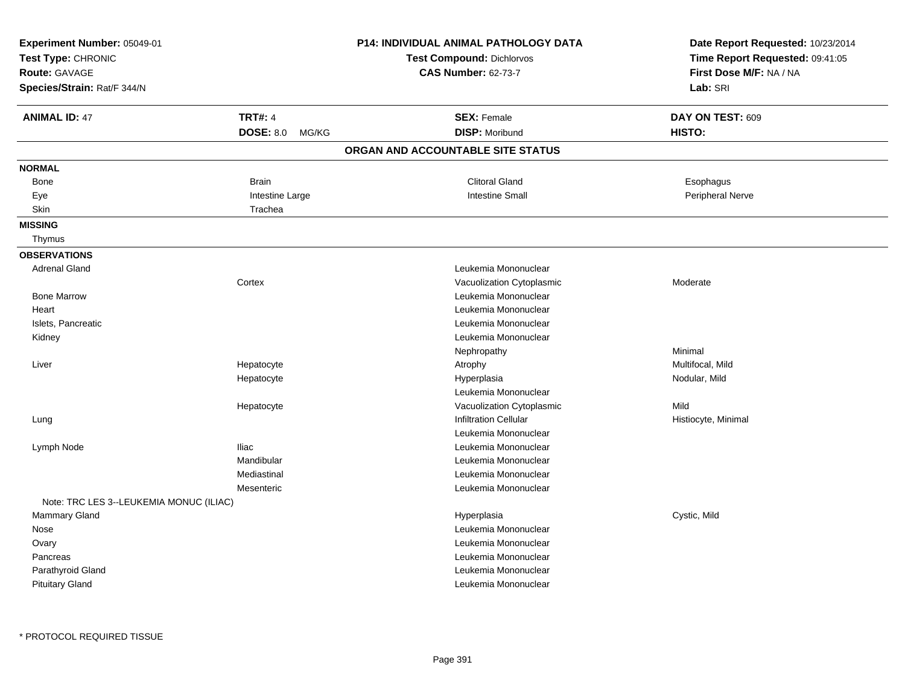| Experiment Number: 05049-01<br>Test Type: CHRONIC<br>Route: GAVAGE<br>Species/Strain: Rat/F 344/N |                                             | P14: INDIVIDUAL ANIMAL PATHOLOGY DATA<br>Test Compound: Dichlorvos<br><b>CAS Number: 62-73-7</b> | Date Report Requested: 10/23/2014<br>Time Report Requested: 09:41:05<br>First Dose M/F: NA / NA<br>Lab: SRI |
|---------------------------------------------------------------------------------------------------|---------------------------------------------|--------------------------------------------------------------------------------------------------|-------------------------------------------------------------------------------------------------------------|
| <b>ANIMAL ID: 47</b>                                                                              | <b>TRT#: 4</b><br><b>DOSE: 8.0</b><br>MG/KG | <b>SEX: Female</b><br><b>DISP: Moribund</b>                                                      | DAY ON TEST: 609<br>HISTO:                                                                                  |
|                                                                                                   |                                             | ORGAN AND ACCOUNTABLE SITE STATUS                                                                |                                                                                                             |
| <b>NORMAL</b>                                                                                     |                                             |                                                                                                  |                                                                                                             |
| <b>Bone</b>                                                                                       | <b>Brain</b>                                | <b>Clitoral Gland</b>                                                                            | Esophagus                                                                                                   |
| Eye                                                                                               | Intestine Large                             | <b>Intestine Small</b>                                                                           | Peripheral Nerve                                                                                            |
| Skin                                                                                              | Trachea                                     |                                                                                                  |                                                                                                             |
| <b>MISSING</b>                                                                                    |                                             |                                                                                                  |                                                                                                             |
| Thymus                                                                                            |                                             |                                                                                                  |                                                                                                             |
| <b>OBSERVATIONS</b>                                                                               |                                             |                                                                                                  |                                                                                                             |
| <b>Adrenal Gland</b>                                                                              |                                             | Leukemia Mononuclear                                                                             |                                                                                                             |
|                                                                                                   | Cortex                                      | Vacuolization Cytoplasmic                                                                        | Moderate                                                                                                    |
| <b>Bone Marrow</b>                                                                                |                                             | Leukemia Mononuclear                                                                             |                                                                                                             |
| Heart                                                                                             |                                             | Leukemia Mononuclear                                                                             |                                                                                                             |
| Islets, Pancreatic                                                                                |                                             | Leukemia Mononuclear                                                                             |                                                                                                             |
| Kidney                                                                                            |                                             | Leukemia Mononuclear                                                                             |                                                                                                             |
|                                                                                                   |                                             | Nephropathy                                                                                      | Minimal                                                                                                     |
| Liver                                                                                             | Hepatocyte                                  | Atrophy                                                                                          | Multifocal, Mild                                                                                            |
|                                                                                                   | Hepatocyte                                  | Hyperplasia                                                                                      | Nodular, Mild                                                                                               |
|                                                                                                   |                                             | Leukemia Mononuclear                                                                             |                                                                                                             |
|                                                                                                   | Hepatocyte                                  | Vacuolization Cytoplasmic                                                                        | Mild                                                                                                        |
| Lung                                                                                              |                                             | Infiltration Cellular                                                                            | Histiocyte, Minimal                                                                                         |
|                                                                                                   |                                             | Leukemia Mononuclear                                                                             |                                                                                                             |
| Lymph Node                                                                                        | <b>Iliac</b>                                | Leukemia Mononuclear                                                                             |                                                                                                             |
|                                                                                                   | Mandibular                                  | Leukemia Mononuclear                                                                             |                                                                                                             |
|                                                                                                   | Mediastinal                                 | Leukemia Mononuclear                                                                             |                                                                                                             |
|                                                                                                   | Mesenteric                                  | Leukemia Mononuclear                                                                             |                                                                                                             |
| Note: TRC LES 3--LEUKEMIA MONUC (ILIAC)                                                           |                                             |                                                                                                  |                                                                                                             |
| Mammary Gland                                                                                     |                                             | Hyperplasia                                                                                      | Cystic, Mild                                                                                                |
| Nose                                                                                              |                                             | Leukemia Mononuclear                                                                             |                                                                                                             |
| Ovary                                                                                             |                                             | Leukemia Mononuclear                                                                             |                                                                                                             |
| Pancreas                                                                                          |                                             | Leukemia Mononuclear                                                                             |                                                                                                             |
| Parathyroid Gland                                                                                 |                                             | Leukemia Mononuclear                                                                             |                                                                                                             |
| <b>Pituitary Gland</b>                                                                            |                                             | Leukemia Mononuclear                                                                             |                                                                                                             |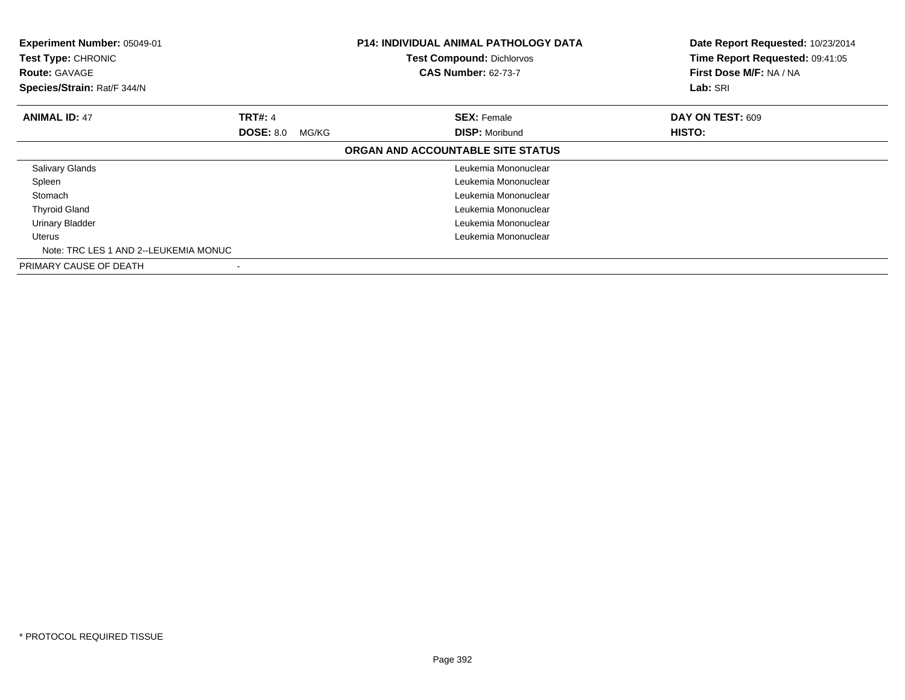| Experiment Number: 05049-01<br>Test Type: CHRONIC<br><b>Route: GAVAGE</b><br>Species/Strain: Rat/F 344/N |                           | P14: INDIVIDUAL ANIMAL PATHOLOGY DATA<br><b>Test Compound: Dichlorvos</b><br><b>CAS Number: 62-73-7</b> | Date Report Requested: 10/23/2014<br>Time Report Requested: 09:41:05<br>First Dose M/F: NA / NA<br>Lab: SRI |
|----------------------------------------------------------------------------------------------------------|---------------------------|---------------------------------------------------------------------------------------------------------|-------------------------------------------------------------------------------------------------------------|
| <b>ANIMAL ID: 47</b>                                                                                     | <b>TRT#: 4</b>            | <b>SEX: Female</b>                                                                                      | <b>DAY ON TEST: 609</b>                                                                                     |
|                                                                                                          | <b>DOSE: 8.0</b><br>MG/KG | <b>DISP: Moribund</b>                                                                                   | <b>HISTO:</b>                                                                                               |
|                                                                                                          |                           | ORGAN AND ACCOUNTABLE SITE STATUS                                                                       |                                                                                                             |
| <b>Salivary Glands</b>                                                                                   |                           | Leukemia Mononuclear                                                                                    |                                                                                                             |
| Spleen                                                                                                   |                           | Leukemia Mononuclear                                                                                    |                                                                                                             |
| Stomach                                                                                                  |                           | Leukemia Mononuclear                                                                                    |                                                                                                             |
| <b>Thyroid Gland</b>                                                                                     |                           | Leukemia Mononuclear                                                                                    |                                                                                                             |
| <b>Urinary Bladder</b>                                                                                   |                           | Leukemia Mononuclear                                                                                    |                                                                                                             |
| Uterus                                                                                                   |                           | Leukemia Mononuclear                                                                                    |                                                                                                             |
| Note: TRC LES 1 AND 2--LEUKEMIA MONUC                                                                    |                           |                                                                                                         |                                                                                                             |
| PRIMARY CAUSE OF DEATH                                                                                   |                           |                                                                                                         |                                                                                                             |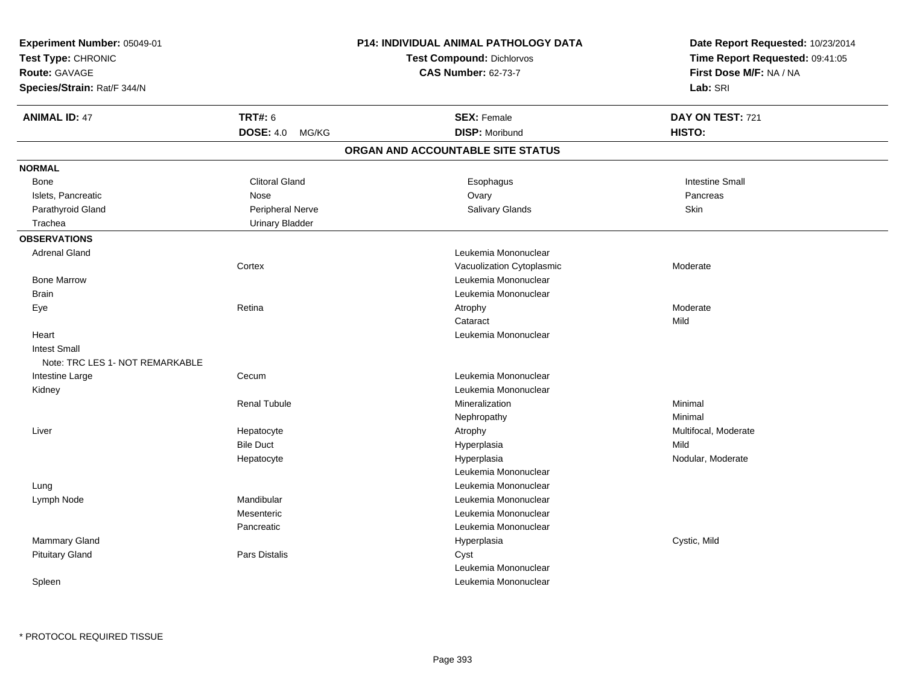| Experiment Number: 05049-01     |                           | <b>P14: INDIVIDUAL ANIMAL PATHOLOGY DATA</b> | Date Report Requested: 10/23/2014 |  |
|---------------------------------|---------------------------|----------------------------------------------|-----------------------------------|--|
| Test Type: CHRONIC              |                           | <b>Test Compound: Dichlorvos</b>             | Time Report Requested: 09:41:05   |  |
| Route: GAVAGE                   |                           | <b>CAS Number: 62-73-7</b>                   | First Dose M/F: NA / NA           |  |
| Species/Strain: Rat/F 344/N     |                           |                                              | Lab: SRI                          |  |
| <b>ANIMAL ID: 47</b>            | <b>TRT#: 6</b>            | <b>SEX: Female</b>                           | DAY ON TEST: 721                  |  |
|                                 | <b>DOSE: 4.0</b><br>MG/KG | <b>DISP: Moribund</b>                        | HISTO:                            |  |
|                                 |                           | ORGAN AND ACCOUNTABLE SITE STATUS            |                                   |  |
| <b>NORMAL</b>                   |                           |                                              |                                   |  |
| <b>Bone</b>                     | <b>Clitoral Gland</b>     | Esophagus                                    | <b>Intestine Small</b>            |  |
| Islets, Pancreatic              | Nose                      | Ovary                                        | Pancreas                          |  |
| Parathyroid Gland               | Peripheral Nerve          | Salivary Glands                              | Skin                              |  |
| Trachea                         | <b>Urinary Bladder</b>    |                                              |                                   |  |
| <b>OBSERVATIONS</b>             |                           |                                              |                                   |  |
| <b>Adrenal Gland</b>            |                           | Leukemia Mononuclear                         |                                   |  |
|                                 | Cortex                    | Vacuolization Cytoplasmic                    | Moderate                          |  |
| <b>Bone Marrow</b>              |                           | Leukemia Mononuclear                         |                                   |  |
| <b>Brain</b>                    |                           | Leukemia Mononuclear                         |                                   |  |
| Eye                             | Retina                    | Atrophy                                      | Moderate                          |  |
|                                 |                           | Cataract                                     | Mild                              |  |
| Heart                           |                           | Leukemia Mononuclear                         |                                   |  |
| <b>Intest Small</b>             |                           |                                              |                                   |  |
| Note: TRC LES 1- NOT REMARKABLE |                           |                                              |                                   |  |
| Intestine Large                 | Cecum                     | Leukemia Mononuclear                         |                                   |  |
| Kidney                          |                           | Leukemia Mononuclear                         |                                   |  |
|                                 | <b>Renal Tubule</b>       | Mineralization                               | Minimal                           |  |
|                                 |                           | Nephropathy                                  | Minimal                           |  |
| Liver                           | Hepatocyte                | Atrophy                                      | Multifocal, Moderate              |  |
|                                 | <b>Bile Duct</b>          | Hyperplasia                                  | Mild                              |  |
|                                 | Hepatocyte                | Hyperplasia                                  | Nodular, Moderate                 |  |
|                                 |                           | Leukemia Mononuclear                         |                                   |  |
| Lung                            |                           | Leukemia Mononuclear                         |                                   |  |
| Lymph Node                      | Mandibular                | Leukemia Mononuclear                         |                                   |  |
|                                 | Mesenteric                | Leukemia Mononuclear                         |                                   |  |
|                                 | Pancreatic                | Leukemia Mononuclear                         |                                   |  |
| <b>Mammary Gland</b>            |                           | Hyperplasia                                  | Cystic, Mild                      |  |
| <b>Pituitary Gland</b>          | Pars Distalis             | Cyst                                         |                                   |  |
|                                 |                           | Leukemia Mononuclear                         |                                   |  |
| Spleen                          |                           | Leukemia Mononuclear                         |                                   |  |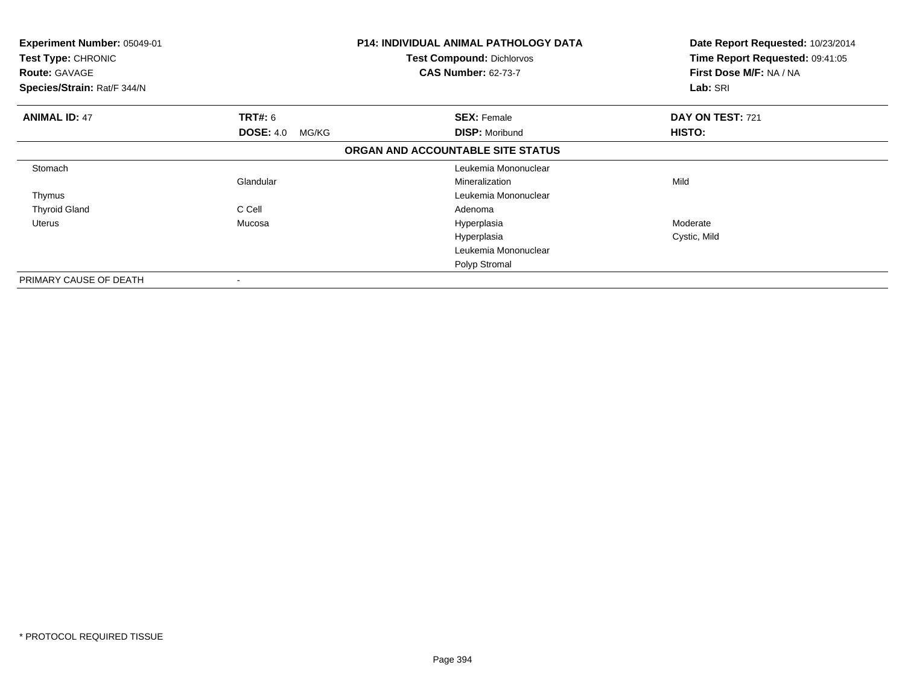| <b>Experiment Number: 05049-01</b><br>Test Type: CHRONIC<br><b>Route: GAVAGE</b><br>Species/Strain: Rat/F 344/N |                           | <b>P14: INDIVIDUAL ANIMAL PATHOLOGY DATA</b><br><b>Test Compound: Dichlorvos</b><br><b>CAS Number: 62-73-7</b> | Date Report Requested: 10/23/2014<br>Time Report Requested: 09:41:05<br>First Dose M/F: NA / NA<br>Lab: SRI |
|-----------------------------------------------------------------------------------------------------------------|---------------------------|----------------------------------------------------------------------------------------------------------------|-------------------------------------------------------------------------------------------------------------|
| <b>ANIMAL ID: 47</b>                                                                                            | <b>TRT#: 6</b>            | <b>SEX: Female</b>                                                                                             | DAY ON TEST: 721                                                                                            |
|                                                                                                                 | <b>DOSE: 4.0</b><br>MG/KG | <b>DISP: Moribund</b>                                                                                          | <b>HISTO:</b>                                                                                               |
|                                                                                                                 |                           | ORGAN AND ACCOUNTABLE SITE STATUS                                                                              |                                                                                                             |
| Stomach                                                                                                         |                           | Leukemia Mononuclear                                                                                           |                                                                                                             |
|                                                                                                                 | Glandular                 | Mineralization                                                                                                 | Mild                                                                                                        |
| Thymus                                                                                                          |                           | Leukemia Mononuclear                                                                                           |                                                                                                             |
| <b>Thyroid Gland</b>                                                                                            | C Cell                    | Adenoma                                                                                                        |                                                                                                             |
| Uterus                                                                                                          | Mucosa                    | Hyperplasia                                                                                                    | Moderate                                                                                                    |
|                                                                                                                 |                           | Hyperplasia                                                                                                    | Cystic, Mild                                                                                                |
|                                                                                                                 |                           | Leukemia Mononuclear                                                                                           |                                                                                                             |
|                                                                                                                 |                           | Polyp Stromal                                                                                                  |                                                                                                             |
| PRIMARY CAUSE OF DEATH                                                                                          | ۰                         |                                                                                                                |                                                                                                             |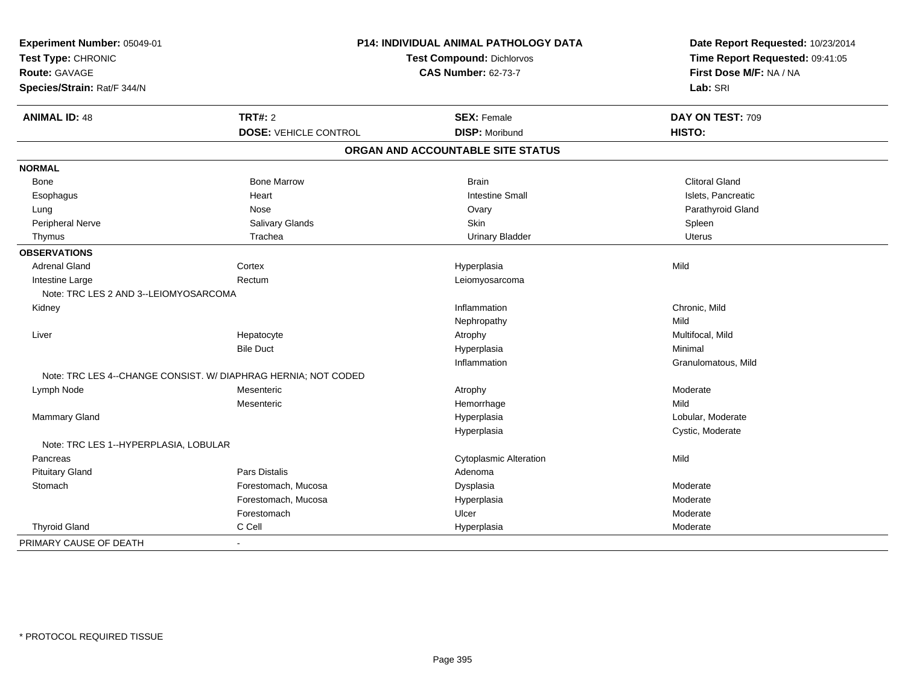| Experiment Number: 05049-01           |                                                                | <b>P14: INDIVIDUAL ANIMAL PATHOLOGY DATA</b> | Date Report Requested: 10/23/2014 |
|---------------------------------------|----------------------------------------------------------------|----------------------------------------------|-----------------------------------|
| Test Type: CHRONIC                    |                                                                | <b>Test Compound: Dichlorvos</b>             | Time Report Requested: 09:41:05   |
| Route: GAVAGE                         |                                                                | <b>CAS Number: 62-73-7</b>                   | First Dose M/F: NA / NA           |
| Species/Strain: Rat/F 344/N           |                                                                |                                              | Lab: SRI                          |
| <b>ANIMAL ID: 48</b>                  | <b>TRT#: 2</b>                                                 | <b>SEX: Female</b>                           | DAY ON TEST: 709                  |
|                                       | <b>DOSE: VEHICLE CONTROL</b>                                   | <b>DISP: Moribund</b>                        | HISTO:                            |
|                                       |                                                                | ORGAN AND ACCOUNTABLE SITE STATUS            |                                   |
| <b>NORMAL</b>                         |                                                                |                                              |                                   |
| Bone                                  | <b>Bone Marrow</b>                                             | <b>Brain</b>                                 | <b>Clitoral Gland</b>             |
| Esophagus                             | Heart                                                          | <b>Intestine Small</b>                       | Islets, Pancreatic                |
| Lung                                  | Nose                                                           | Ovary                                        | Parathyroid Gland                 |
| Peripheral Nerve                      | Salivary Glands                                                | Skin                                         | Spleen                            |
| Thymus                                | Trachea                                                        | <b>Urinary Bladder</b>                       | <b>Uterus</b>                     |
| <b>OBSERVATIONS</b>                   |                                                                |                                              |                                   |
| <b>Adrenal Gland</b>                  | Cortex                                                         | Hyperplasia                                  | Mild                              |
| Intestine Large                       | Rectum                                                         | Leiomyosarcoma                               |                                   |
| Note: TRC LES 2 AND 3--LEIOMYOSARCOMA |                                                                |                                              |                                   |
| Kidney                                |                                                                | Inflammation                                 | Chronic, Mild                     |
|                                       |                                                                | Nephropathy                                  | Mild                              |
| Liver                                 | Hepatocyte                                                     | Atrophy                                      | Multifocal, Mild                  |
|                                       | <b>Bile Duct</b>                                               | Hyperplasia                                  | Minimal                           |
|                                       |                                                                | Inflammation                                 | Granulomatous, Mild               |
|                                       | Note: TRC LES 4--CHANGE CONSIST. W/ DIAPHRAG HERNIA; NOT CODED |                                              |                                   |
| Lymph Node                            | Mesenteric                                                     | Atrophy                                      | Moderate                          |
|                                       | Mesenteric                                                     | Hemorrhage                                   | Mild                              |
| Mammary Gland                         |                                                                | Hyperplasia                                  | Lobular, Moderate                 |
|                                       |                                                                | Hyperplasia                                  | Cystic, Moderate                  |
| Note: TRC LES 1--HYPERPLASIA, LOBULAR |                                                                |                                              |                                   |
| Pancreas                              |                                                                | <b>Cytoplasmic Alteration</b>                | Mild                              |
| <b>Pituitary Gland</b>                | <b>Pars Distalis</b>                                           | Adenoma                                      |                                   |
| Stomach                               | Forestomach, Mucosa                                            | Dysplasia                                    | Moderate                          |
|                                       | Forestomach, Mucosa                                            | Hyperplasia                                  | Moderate                          |
|                                       | Forestomach                                                    | Ulcer                                        | Moderate                          |
| <b>Thyroid Gland</b>                  | C Cell                                                         | Hyperplasia                                  | Moderate                          |
| PRIMARY CAUSE OF DEATH                | $\overline{a}$                                                 |                                              |                                   |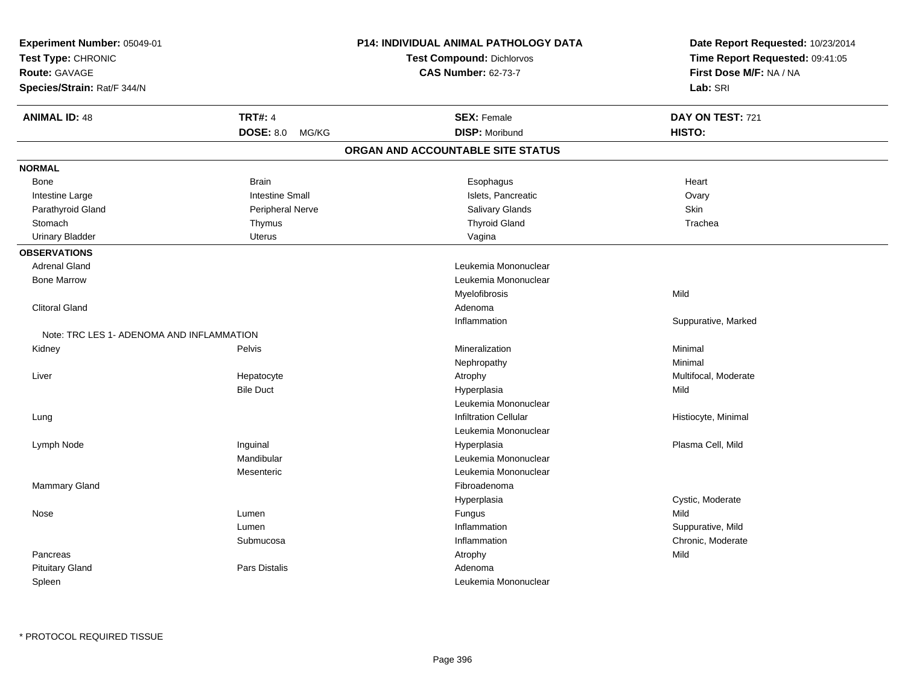| <b>CAS Number: 62-73-7</b><br>First Dose M/F: NA / NA<br>Lab: SRI<br><b>ANIMAL ID: 48</b><br><b>TRT#: 4</b><br><b>SEX: Female</b><br>DAY ON TEST: 721<br>DOSE: 8.0 MG/KG<br><b>DISP: Moribund</b><br>HISTO:<br>ORGAN AND ACCOUNTABLE SITE STATUS<br><b>Brain</b><br>Esophagus<br>Heart<br>Bone<br><b>Intestine Small</b><br>Islets, Pancreatic<br>Ovary<br>Intestine Large<br>Salivary Glands<br>Skin<br>Parathyroid Gland<br>Peripheral Nerve<br><b>Thyroid Gland</b><br>Trachea<br>Stomach<br>Thymus<br><b>Uterus</b><br>Urinary Bladder<br>Vagina<br><b>Adrenal Gland</b><br>Leukemia Mononuclear<br><b>Bone Marrow</b><br>Leukemia Mononuclear<br>Myelofibrosis<br>Mild<br><b>Clitoral Gland</b><br>Adenoma<br>Suppurative, Marked<br>Inflammation<br>Note: TRC LES 1- ADENOMA AND INFLAMMATION<br>Minimal<br>Kidney<br>Pelvis<br>Mineralization<br>Minimal<br>Nephropathy<br>Liver<br>Hepatocyte<br>Multifocal, Moderate<br>Atrophy<br><b>Bile Duct</b><br>Hyperplasia<br>Mild<br>Leukemia Mononuclear<br><b>Infiltration Cellular</b><br>Histiocyte, Minimal<br>Lung<br>Leukemia Mononuclear<br>Inguinal<br>Plasma Cell, Mild<br>Lymph Node<br>Hyperplasia<br>Mandibular<br>Leukemia Mononuclear<br>Leukemia Mononuclear<br>Mesenteric<br>Mammary Gland<br>Fibroadenoma<br>Cystic, Moderate<br>Hyperplasia<br>Mild<br>Lumen<br>Nose<br>Fungus<br>Lumen<br>Inflammation<br>Suppurative, Mild<br>Submucosa<br>Inflammation<br>Chronic, Moderate<br>Mild<br>Pancreas<br>Atrophy<br><b>Pituitary Gland</b><br>Pars Distalis<br>Adenoma | Experiment Number: 05049-01<br>Test Type: CHRONIC | P14: INDIVIDUAL ANIMAL PATHOLOGY DATA<br><b>Test Compound: Dichlorvos</b> | Date Report Requested: 10/23/2014<br>Time Report Requested: 09:41:05 |
|------------------------------------------------------------------------------------------------------------------------------------------------------------------------------------------------------------------------------------------------------------------------------------------------------------------------------------------------------------------------------------------------------------------------------------------------------------------------------------------------------------------------------------------------------------------------------------------------------------------------------------------------------------------------------------------------------------------------------------------------------------------------------------------------------------------------------------------------------------------------------------------------------------------------------------------------------------------------------------------------------------------------------------------------------------------------------------------------------------------------------------------------------------------------------------------------------------------------------------------------------------------------------------------------------------------------------------------------------------------------------------------------------------------------------------------------------------------------------------------------------------------------------------------|---------------------------------------------------|---------------------------------------------------------------------------|----------------------------------------------------------------------|
|                                                                                                                                                                                                                                                                                                                                                                                                                                                                                                                                                                                                                                                                                                                                                                                                                                                                                                                                                                                                                                                                                                                                                                                                                                                                                                                                                                                                                                                                                                                                          | Route: GAVAGE                                     |                                                                           |                                                                      |
|                                                                                                                                                                                                                                                                                                                                                                                                                                                                                                                                                                                                                                                                                                                                                                                                                                                                                                                                                                                                                                                                                                                                                                                                                                                                                                                                                                                                                                                                                                                                          | Species/Strain: Rat/F 344/N                       |                                                                           |                                                                      |
|                                                                                                                                                                                                                                                                                                                                                                                                                                                                                                                                                                                                                                                                                                                                                                                                                                                                                                                                                                                                                                                                                                                                                                                                                                                                                                                                                                                                                                                                                                                                          |                                                   |                                                                           |                                                                      |
|                                                                                                                                                                                                                                                                                                                                                                                                                                                                                                                                                                                                                                                                                                                                                                                                                                                                                                                                                                                                                                                                                                                                                                                                                                                                                                                                                                                                                                                                                                                                          |                                                   |                                                                           |                                                                      |
|                                                                                                                                                                                                                                                                                                                                                                                                                                                                                                                                                                                                                                                                                                                                                                                                                                                                                                                                                                                                                                                                                                                                                                                                                                                                                                                                                                                                                                                                                                                                          |                                                   |                                                                           |                                                                      |
|                                                                                                                                                                                                                                                                                                                                                                                                                                                                                                                                                                                                                                                                                                                                                                                                                                                                                                                                                                                                                                                                                                                                                                                                                                                                                                                                                                                                                                                                                                                                          | <b>NORMAL</b>                                     |                                                                           |                                                                      |
|                                                                                                                                                                                                                                                                                                                                                                                                                                                                                                                                                                                                                                                                                                                                                                                                                                                                                                                                                                                                                                                                                                                                                                                                                                                                                                                                                                                                                                                                                                                                          |                                                   |                                                                           |                                                                      |
|                                                                                                                                                                                                                                                                                                                                                                                                                                                                                                                                                                                                                                                                                                                                                                                                                                                                                                                                                                                                                                                                                                                                                                                                                                                                                                                                                                                                                                                                                                                                          |                                                   |                                                                           |                                                                      |
|                                                                                                                                                                                                                                                                                                                                                                                                                                                                                                                                                                                                                                                                                                                                                                                                                                                                                                                                                                                                                                                                                                                                                                                                                                                                                                                                                                                                                                                                                                                                          |                                                   |                                                                           |                                                                      |
|                                                                                                                                                                                                                                                                                                                                                                                                                                                                                                                                                                                                                                                                                                                                                                                                                                                                                                                                                                                                                                                                                                                                                                                                                                                                                                                                                                                                                                                                                                                                          |                                                   |                                                                           |                                                                      |
|                                                                                                                                                                                                                                                                                                                                                                                                                                                                                                                                                                                                                                                                                                                                                                                                                                                                                                                                                                                                                                                                                                                                                                                                                                                                                                                                                                                                                                                                                                                                          |                                                   |                                                                           |                                                                      |
|                                                                                                                                                                                                                                                                                                                                                                                                                                                                                                                                                                                                                                                                                                                                                                                                                                                                                                                                                                                                                                                                                                                                                                                                                                                                                                                                                                                                                                                                                                                                          | <b>OBSERVATIONS</b>                               |                                                                           |                                                                      |
|                                                                                                                                                                                                                                                                                                                                                                                                                                                                                                                                                                                                                                                                                                                                                                                                                                                                                                                                                                                                                                                                                                                                                                                                                                                                                                                                                                                                                                                                                                                                          |                                                   |                                                                           |                                                                      |
|                                                                                                                                                                                                                                                                                                                                                                                                                                                                                                                                                                                                                                                                                                                                                                                                                                                                                                                                                                                                                                                                                                                                                                                                                                                                                                                                                                                                                                                                                                                                          |                                                   |                                                                           |                                                                      |
|                                                                                                                                                                                                                                                                                                                                                                                                                                                                                                                                                                                                                                                                                                                                                                                                                                                                                                                                                                                                                                                                                                                                                                                                                                                                                                                                                                                                                                                                                                                                          |                                                   |                                                                           |                                                                      |
|                                                                                                                                                                                                                                                                                                                                                                                                                                                                                                                                                                                                                                                                                                                                                                                                                                                                                                                                                                                                                                                                                                                                                                                                                                                                                                                                                                                                                                                                                                                                          |                                                   |                                                                           |                                                                      |
|                                                                                                                                                                                                                                                                                                                                                                                                                                                                                                                                                                                                                                                                                                                                                                                                                                                                                                                                                                                                                                                                                                                                                                                                                                                                                                                                                                                                                                                                                                                                          |                                                   |                                                                           |                                                                      |
|                                                                                                                                                                                                                                                                                                                                                                                                                                                                                                                                                                                                                                                                                                                                                                                                                                                                                                                                                                                                                                                                                                                                                                                                                                                                                                                                                                                                                                                                                                                                          |                                                   |                                                                           |                                                                      |
|                                                                                                                                                                                                                                                                                                                                                                                                                                                                                                                                                                                                                                                                                                                                                                                                                                                                                                                                                                                                                                                                                                                                                                                                                                                                                                                                                                                                                                                                                                                                          |                                                   |                                                                           |                                                                      |
|                                                                                                                                                                                                                                                                                                                                                                                                                                                                                                                                                                                                                                                                                                                                                                                                                                                                                                                                                                                                                                                                                                                                                                                                                                                                                                                                                                                                                                                                                                                                          |                                                   |                                                                           |                                                                      |
|                                                                                                                                                                                                                                                                                                                                                                                                                                                                                                                                                                                                                                                                                                                                                                                                                                                                                                                                                                                                                                                                                                                                                                                                                                                                                                                                                                                                                                                                                                                                          |                                                   |                                                                           |                                                                      |
|                                                                                                                                                                                                                                                                                                                                                                                                                                                                                                                                                                                                                                                                                                                                                                                                                                                                                                                                                                                                                                                                                                                                                                                                                                                                                                                                                                                                                                                                                                                                          |                                                   |                                                                           |                                                                      |
|                                                                                                                                                                                                                                                                                                                                                                                                                                                                                                                                                                                                                                                                                                                                                                                                                                                                                                                                                                                                                                                                                                                                                                                                                                                                                                                                                                                                                                                                                                                                          |                                                   |                                                                           |                                                                      |
|                                                                                                                                                                                                                                                                                                                                                                                                                                                                                                                                                                                                                                                                                                                                                                                                                                                                                                                                                                                                                                                                                                                                                                                                                                                                                                                                                                                                                                                                                                                                          |                                                   |                                                                           |                                                                      |
|                                                                                                                                                                                                                                                                                                                                                                                                                                                                                                                                                                                                                                                                                                                                                                                                                                                                                                                                                                                                                                                                                                                                                                                                                                                                                                                                                                                                                                                                                                                                          |                                                   |                                                                           |                                                                      |
|                                                                                                                                                                                                                                                                                                                                                                                                                                                                                                                                                                                                                                                                                                                                                                                                                                                                                                                                                                                                                                                                                                                                                                                                                                                                                                                                                                                                                                                                                                                                          |                                                   |                                                                           |                                                                      |
|                                                                                                                                                                                                                                                                                                                                                                                                                                                                                                                                                                                                                                                                                                                                                                                                                                                                                                                                                                                                                                                                                                                                                                                                                                                                                                                                                                                                                                                                                                                                          |                                                   |                                                                           |                                                                      |
|                                                                                                                                                                                                                                                                                                                                                                                                                                                                                                                                                                                                                                                                                                                                                                                                                                                                                                                                                                                                                                                                                                                                                                                                                                                                                                                                                                                                                                                                                                                                          |                                                   |                                                                           |                                                                      |
|                                                                                                                                                                                                                                                                                                                                                                                                                                                                                                                                                                                                                                                                                                                                                                                                                                                                                                                                                                                                                                                                                                                                                                                                                                                                                                                                                                                                                                                                                                                                          |                                                   |                                                                           |                                                                      |
|                                                                                                                                                                                                                                                                                                                                                                                                                                                                                                                                                                                                                                                                                                                                                                                                                                                                                                                                                                                                                                                                                                                                                                                                                                                                                                                                                                                                                                                                                                                                          |                                                   |                                                                           |                                                                      |
|                                                                                                                                                                                                                                                                                                                                                                                                                                                                                                                                                                                                                                                                                                                                                                                                                                                                                                                                                                                                                                                                                                                                                                                                                                                                                                                                                                                                                                                                                                                                          |                                                   |                                                                           |                                                                      |
|                                                                                                                                                                                                                                                                                                                                                                                                                                                                                                                                                                                                                                                                                                                                                                                                                                                                                                                                                                                                                                                                                                                                                                                                                                                                                                                                                                                                                                                                                                                                          |                                                   |                                                                           |                                                                      |
|                                                                                                                                                                                                                                                                                                                                                                                                                                                                                                                                                                                                                                                                                                                                                                                                                                                                                                                                                                                                                                                                                                                                                                                                                                                                                                                                                                                                                                                                                                                                          |                                                   |                                                                           |                                                                      |
|                                                                                                                                                                                                                                                                                                                                                                                                                                                                                                                                                                                                                                                                                                                                                                                                                                                                                                                                                                                                                                                                                                                                                                                                                                                                                                                                                                                                                                                                                                                                          |                                                   |                                                                           |                                                                      |
|                                                                                                                                                                                                                                                                                                                                                                                                                                                                                                                                                                                                                                                                                                                                                                                                                                                                                                                                                                                                                                                                                                                                                                                                                                                                                                                                                                                                                                                                                                                                          |                                                   |                                                                           |                                                                      |
|                                                                                                                                                                                                                                                                                                                                                                                                                                                                                                                                                                                                                                                                                                                                                                                                                                                                                                                                                                                                                                                                                                                                                                                                                                                                                                                                                                                                                                                                                                                                          | Spleen                                            | Leukemia Mononuclear                                                      |                                                                      |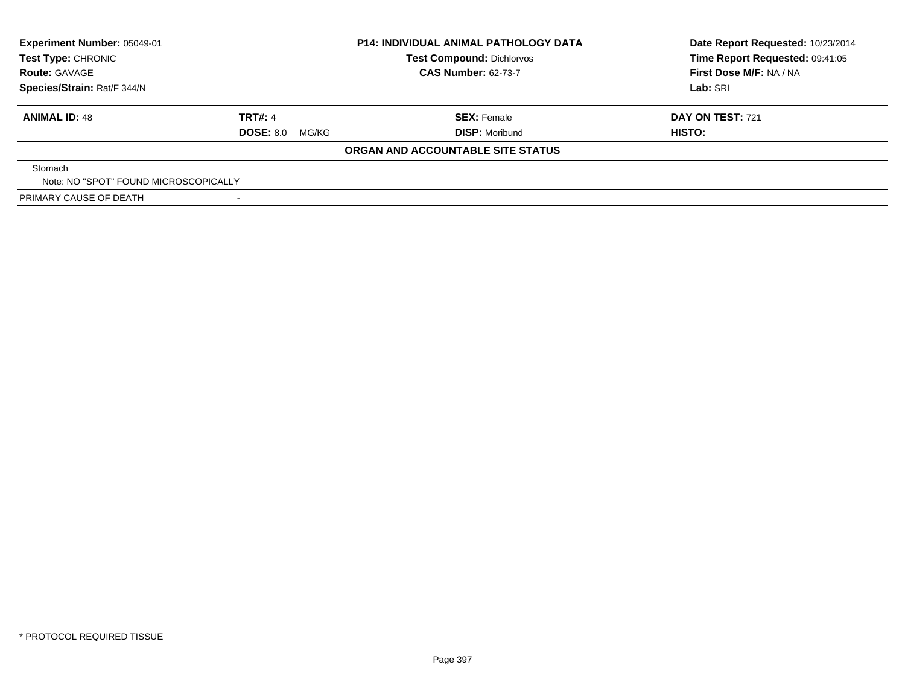| <b>Experiment Number: 05049-01</b><br>Test Type: CHRONIC | <b>P14: INDIVIDUAL ANIMAL PATHOLOGY DATA</b><br><b>Test Compound: Dichlorvos</b> |                                   | Date Report Requested: 10/23/2014<br>Time Report Requested: 09:41:05 |  |
|----------------------------------------------------------|----------------------------------------------------------------------------------|-----------------------------------|----------------------------------------------------------------------|--|
| <b>Route: GAVAGE</b>                                     |                                                                                  | <b>CAS Number: 62-73-7</b>        | First Dose M/F: NA / NA                                              |  |
| Species/Strain: Rat/F 344/N                              |                                                                                  |                                   | Lab: SRI                                                             |  |
| <b>ANIMAL ID: 48</b>                                     | TRT#: 4                                                                          | <b>SEX: Female</b>                | <b>DAY ON TEST: 721</b>                                              |  |
|                                                          | <b>DOSE: 8.0 MG/KG</b>                                                           | <b>DISP: Moribund</b>             | HISTO:                                                               |  |
|                                                          |                                                                                  | ORGAN AND ACCOUNTABLE SITE STATUS |                                                                      |  |
| Stomach                                                  |                                                                                  |                                   |                                                                      |  |
| Note: NO "SPOT" FOUND MICROSCOPICALLY                    |                                                                                  |                                   |                                                                      |  |
| PRIMARY CAUSE OF DEATH                                   |                                                                                  |                                   |                                                                      |  |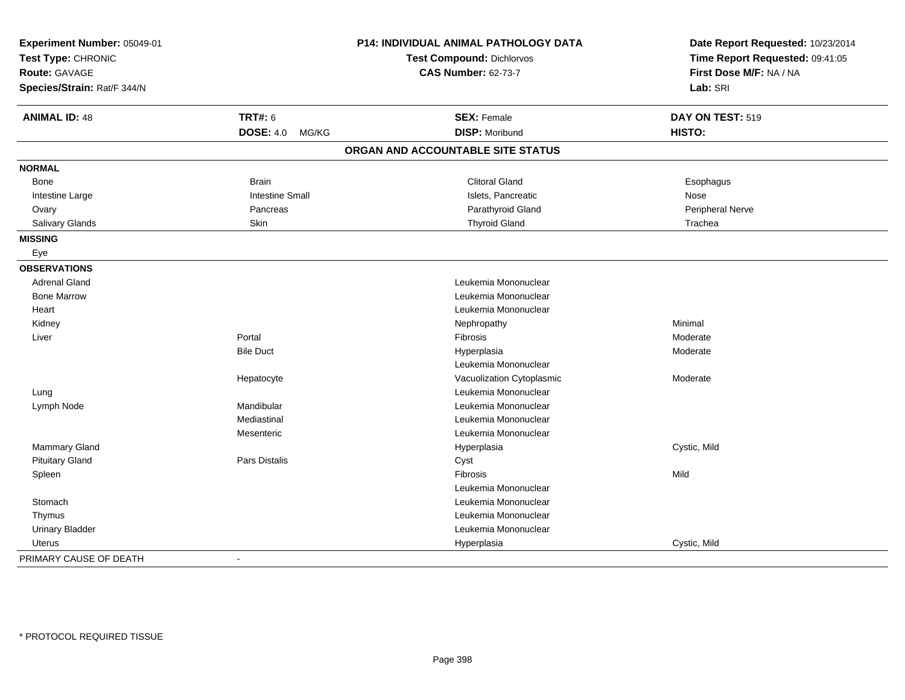| Experiment Number: 05049-01<br>Test Type: CHRONIC<br><b>Route: GAVAGE</b> |                           | P14: INDIVIDUAL ANIMAL PATHOLOGY DATA<br>Test Compound: Dichlorvos<br><b>CAS Number: 62-73-7</b> | Date Report Requested: 10/23/2014<br>Time Report Requested: 09:41:05<br>First Dose M/F: NA / NA |
|---------------------------------------------------------------------------|---------------------------|--------------------------------------------------------------------------------------------------|-------------------------------------------------------------------------------------------------|
| Species/Strain: Rat/F 344/N                                               |                           |                                                                                                  | Lab: SRI                                                                                        |
| <b>ANIMAL ID: 48</b>                                                      | <b>TRT#: 6</b>            | <b>SEX: Female</b>                                                                               | DAY ON TEST: 519                                                                                |
|                                                                           | <b>DOSE: 4.0</b><br>MG/KG | <b>DISP: Moribund</b>                                                                            | HISTO:                                                                                          |
|                                                                           |                           | ORGAN AND ACCOUNTABLE SITE STATUS                                                                |                                                                                                 |
| <b>NORMAL</b>                                                             |                           |                                                                                                  |                                                                                                 |
| Bone                                                                      | <b>Brain</b>              | <b>Clitoral Gland</b>                                                                            | Esophagus                                                                                       |
| Intestine Large                                                           | <b>Intestine Small</b>    | Islets, Pancreatic                                                                               | Nose                                                                                            |
| Ovary                                                                     | Pancreas                  | Parathyroid Gland                                                                                | Peripheral Nerve                                                                                |
| Salivary Glands                                                           | <b>Skin</b>               | <b>Thyroid Gland</b>                                                                             | Trachea                                                                                         |
| <b>MISSING</b>                                                            |                           |                                                                                                  |                                                                                                 |
| Eye                                                                       |                           |                                                                                                  |                                                                                                 |
| <b>OBSERVATIONS</b>                                                       |                           |                                                                                                  |                                                                                                 |
| <b>Adrenal Gland</b>                                                      |                           | Leukemia Mononuclear                                                                             |                                                                                                 |
| <b>Bone Marrow</b>                                                        |                           | Leukemia Mononuclear                                                                             |                                                                                                 |
| Heart                                                                     |                           | Leukemia Mononuclear                                                                             |                                                                                                 |
| Kidney                                                                    |                           | Nephropathy                                                                                      | Minimal                                                                                         |
| Liver                                                                     | Portal                    | Fibrosis                                                                                         | Moderate                                                                                        |
|                                                                           | <b>Bile Duct</b>          | Hyperplasia                                                                                      | Moderate                                                                                        |
|                                                                           |                           | Leukemia Mononuclear                                                                             |                                                                                                 |
|                                                                           | Hepatocyte                | Vacuolization Cytoplasmic                                                                        | Moderate                                                                                        |
| Lung                                                                      |                           | Leukemia Mononuclear                                                                             |                                                                                                 |
| Lymph Node                                                                | Mandibular                | Leukemia Mononuclear                                                                             |                                                                                                 |
|                                                                           | Mediastinal               | Leukemia Mononuclear                                                                             |                                                                                                 |
|                                                                           | Mesenteric                | Leukemia Mononuclear                                                                             |                                                                                                 |
| <b>Mammary Gland</b>                                                      |                           | Hyperplasia                                                                                      | Cystic, Mild                                                                                    |
| <b>Pituitary Gland</b>                                                    | Pars Distalis             | Cyst                                                                                             |                                                                                                 |
| Spleen                                                                    |                           | Fibrosis                                                                                         | Mild                                                                                            |
|                                                                           |                           | Leukemia Mononuclear                                                                             |                                                                                                 |
| Stomach                                                                   |                           | Leukemia Mononuclear                                                                             |                                                                                                 |
| Thymus                                                                    |                           | Leukemia Mononuclear                                                                             |                                                                                                 |
| <b>Urinary Bladder</b>                                                    |                           | Leukemia Mononuclear                                                                             |                                                                                                 |
| <b>Uterus</b>                                                             |                           | Hyperplasia                                                                                      | Cystic, Mild                                                                                    |
| PRIMARY CAUSE OF DEATH                                                    | $\mathbf{r}$              |                                                                                                  |                                                                                                 |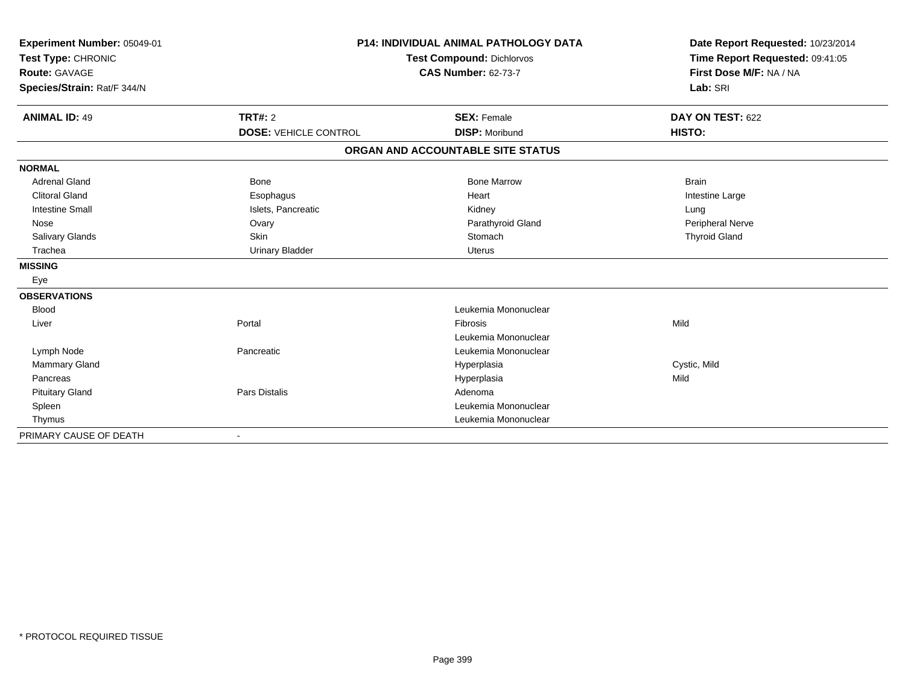| Experiment Number: 05049-01<br>Test Type: CHRONIC<br>Route: GAVAGE<br>Species/Strain: Rat/F 344/N |                              | P14: INDIVIDUAL ANIMAL PATHOLOGY DATA<br><b>Test Compound: Dichlorvos</b><br><b>CAS Number: 62-73-7</b> | Date Report Requested: 10/23/2014<br>Time Report Requested: 09:41:05<br>First Dose M/F: NA / NA<br>Lab: SRI |
|---------------------------------------------------------------------------------------------------|------------------------------|---------------------------------------------------------------------------------------------------------|-------------------------------------------------------------------------------------------------------------|
|                                                                                                   |                              |                                                                                                         |                                                                                                             |
| <b>ANIMAL ID: 49</b>                                                                              | <b>TRT#: 2</b>               | <b>SEX: Female</b>                                                                                      | DAY ON TEST: 622                                                                                            |
|                                                                                                   | <b>DOSE: VEHICLE CONTROL</b> | <b>DISP: Moribund</b>                                                                                   | HISTO:                                                                                                      |
|                                                                                                   |                              | ORGAN AND ACCOUNTABLE SITE STATUS                                                                       |                                                                                                             |
| <b>NORMAL</b>                                                                                     |                              |                                                                                                         |                                                                                                             |
| <b>Adrenal Gland</b>                                                                              | <b>Bone</b>                  | <b>Bone Marrow</b>                                                                                      | <b>Brain</b>                                                                                                |
| <b>Clitoral Gland</b>                                                                             | Esophagus                    | Heart                                                                                                   | Intestine Large                                                                                             |
| <b>Intestine Small</b>                                                                            | Islets, Pancreatic           | Kidney                                                                                                  | Lung                                                                                                        |
| Nose                                                                                              | Ovary                        | Parathyroid Gland                                                                                       | Peripheral Nerve                                                                                            |
| Salivary Glands                                                                                   | <b>Skin</b>                  | Stomach                                                                                                 | <b>Thyroid Gland</b>                                                                                        |
| Trachea                                                                                           | <b>Urinary Bladder</b>       | <b>Uterus</b>                                                                                           |                                                                                                             |
| <b>MISSING</b>                                                                                    |                              |                                                                                                         |                                                                                                             |
| Eye                                                                                               |                              |                                                                                                         |                                                                                                             |
| <b>OBSERVATIONS</b>                                                                               |                              |                                                                                                         |                                                                                                             |
| <b>Blood</b>                                                                                      |                              | Leukemia Mononuclear                                                                                    |                                                                                                             |
| Liver                                                                                             | Portal                       | Fibrosis                                                                                                | Mild                                                                                                        |
|                                                                                                   |                              | Leukemia Mononuclear                                                                                    |                                                                                                             |
| Lymph Node                                                                                        | Pancreatic                   | Leukemia Mononuclear                                                                                    |                                                                                                             |
| <b>Mammary Gland</b>                                                                              |                              | Hyperplasia                                                                                             | Cystic, Mild                                                                                                |
| Pancreas                                                                                          |                              | Hyperplasia                                                                                             | Mild                                                                                                        |
| <b>Pituitary Gland</b>                                                                            | Pars Distalis                | Adenoma                                                                                                 |                                                                                                             |
| Spleen                                                                                            |                              | Leukemia Mononuclear                                                                                    |                                                                                                             |
| Thymus                                                                                            |                              | Leukemia Mononuclear                                                                                    |                                                                                                             |
| PRIMARY CAUSE OF DEATH                                                                            |                              |                                                                                                         |                                                                                                             |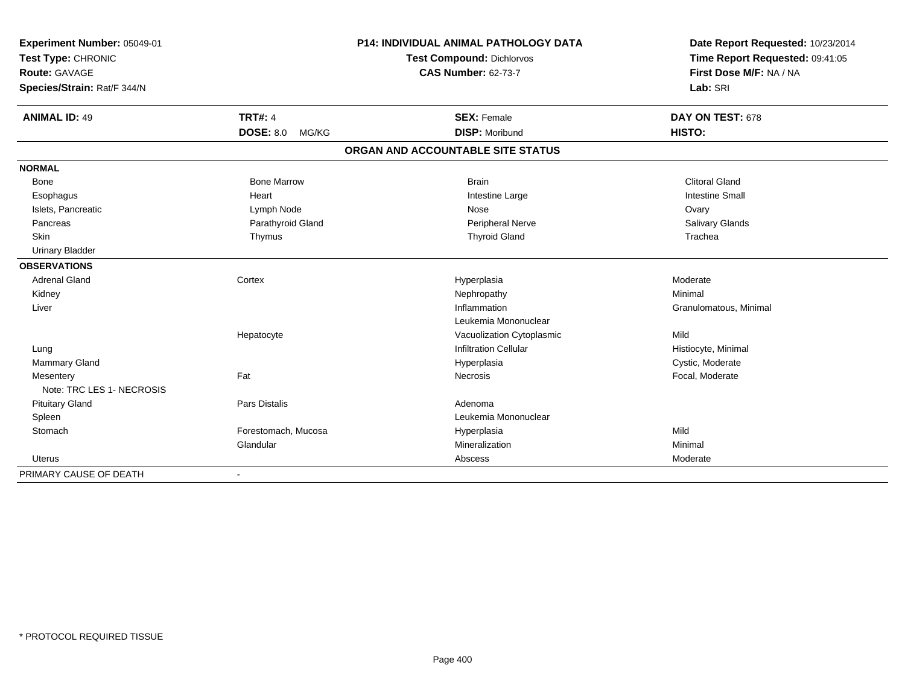| Experiment Number: 05049-01<br>Test Type: CHRONIC<br>Route: GAVAGE |                           | P14: INDIVIDUAL ANIMAL PATHOLOGY DATA | Date Report Requested: 10/23/2014<br>Time Report Requested: 09:41:05<br>First Dose M/F: NA / NA |  |
|--------------------------------------------------------------------|---------------------------|---------------------------------------|-------------------------------------------------------------------------------------------------|--|
|                                                                    |                           | Test Compound: Dichlorvos             |                                                                                                 |  |
|                                                                    |                           | <b>CAS Number: 62-73-7</b>            |                                                                                                 |  |
| Species/Strain: Rat/F 344/N                                        |                           |                                       | Lab: SRI                                                                                        |  |
| <b>ANIMAL ID: 49</b>                                               | <b>TRT#: 4</b>            | <b>SEX: Female</b>                    | DAY ON TEST: 678                                                                                |  |
|                                                                    | <b>DOSE: 8.0</b><br>MG/KG | <b>DISP: Moribund</b>                 | HISTO:                                                                                          |  |
|                                                                    |                           | ORGAN AND ACCOUNTABLE SITE STATUS     |                                                                                                 |  |
| <b>NORMAL</b>                                                      |                           |                                       |                                                                                                 |  |
| <b>Bone</b>                                                        | <b>Bone Marrow</b>        | <b>Brain</b>                          | <b>Clitoral Gland</b>                                                                           |  |
| Esophagus                                                          | Heart                     | Intestine Large                       | <b>Intestine Small</b>                                                                          |  |
| Islets, Pancreatic                                                 | Lymph Node                | Nose                                  | Ovary                                                                                           |  |
| Pancreas                                                           | Parathyroid Gland         | Peripheral Nerve                      | Salivary Glands                                                                                 |  |
| Skin                                                               | Thymus                    | <b>Thyroid Gland</b>                  | Trachea                                                                                         |  |
| <b>Urinary Bladder</b>                                             |                           |                                       |                                                                                                 |  |
| <b>OBSERVATIONS</b>                                                |                           |                                       |                                                                                                 |  |
| <b>Adrenal Gland</b>                                               | Cortex                    | Hyperplasia                           | Moderate                                                                                        |  |
| Kidney                                                             |                           | Nephropathy                           | Minimal                                                                                         |  |
| Liver                                                              |                           | Inflammation                          | Granulomatous, Minimal                                                                          |  |
|                                                                    |                           | Leukemia Mononuclear                  |                                                                                                 |  |
|                                                                    | Hepatocyte                | Vacuolization Cytoplasmic             | Mild                                                                                            |  |
| Lung                                                               |                           | <b>Infiltration Cellular</b>          | Histiocyte, Minimal                                                                             |  |
| Mammary Gland                                                      |                           | Hyperplasia                           | Cystic, Moderate                                                                                |  |
| Mesentery                                                          | Fat                       | Necrosis                              | Focal, Moderate                                                                                 |  |
| Note: TRC LES 1- NECROSIS                                          |                           |                                       |                                                                                                 |  |
| <b>Pituitary Gland</b>                                             | <b>Pars Distalis</b>      | Adenoma                               |                                                                                                 |  |
| Spleen                                                             |                           | Leukemia Mononuclear                  |                                                                                                 |  |
| Stomach                                                            | Forestomach, Mucosa       | Hyperplasia                           | Mild                                                                                            |  |
|                                                                    | Glandular                 | Mineralization                        | Minimal                                                                                         |  |
| Uterus                                                             |                           | Abscess                               | Moderate                                                                                        |  |
| PRIMARY CAUSE OF DEATH                                             | $\overline{\phantom{a}}$  |                                       |                                                                                                 |  |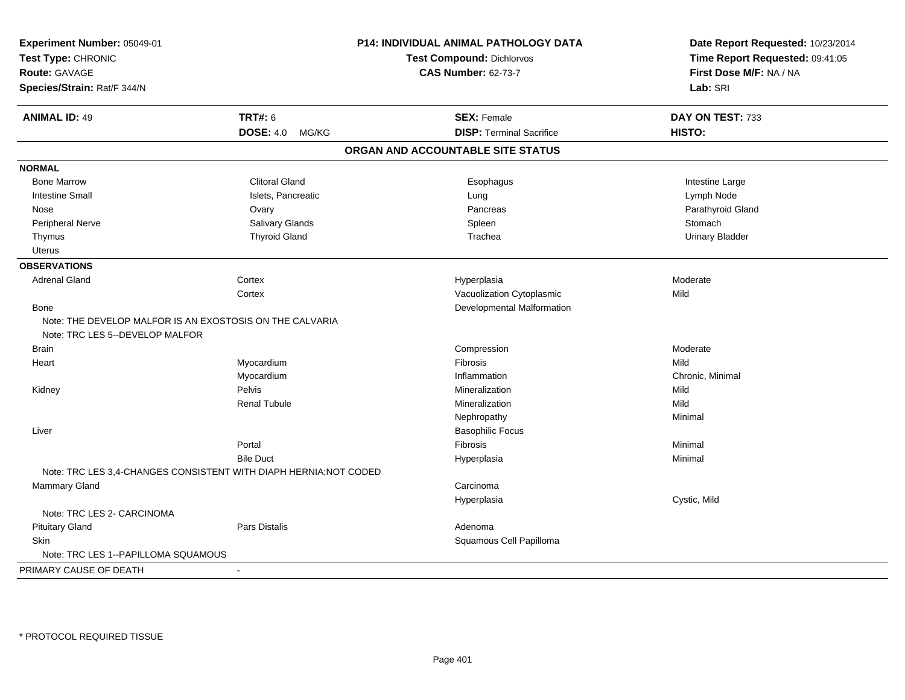| Experiment Number: 05049-01<br>Test Type: CHRONIC<br><b>Route: GAVAGE</b><br>Species/Strain: Rat/F 344/N |                                                                   | P14: INDIVIDUAL ANIMAL PATHOLOGY DATA<br>Test Compound: Dichlorvos<br><b>CAS Number: 62-73-7</b> | Date Report Requested: 10/23/2014<br>Time Report Requested: 09:41:05<br>First Dose M/F: NA / NA<br>Lab: SRI |
|----------------------------------------------------------------------------------------------------------|-------------------------------------------------------------------|--------------------------------------------------------------------------------------------------|-------------------------------------------------------------------------------------------------------------|
|                                                                                                          |                                                                   |                                                                                                  |                                                                                                             |
| <b>ANIMAL ID: 49</b>                                                                                     | <b>TRT#: 6</b>                                                    | <b>SEX: Female</b>                                                                               | DAY ON TEST: 733                                                                                            |
|                                                                                                          | <b>DOSE: 4.0</b><br>MG/KG                                         | <b>DISP: Terminal Sacrifice</b>                                                                  | HISTO:                                                                                                      |
|                                                                                                          |                                                                   | ORGAN AND ACCOUNTABLE SITE STATUS                                                                |                                                                                                             |
| <b>NORMAL</b>                                                                                            |                                                                   |                                                                                                  |                                                                                                             |
| <b>Bone Marrow</b>                                                                                       | <b>Clitoral Gland</b>                                             | Esophagus                                                                                        | Intestine Large                                                                                             |
| <b>Intestine Small</b>                                                                                   | Islets, Pancreatic                                                | Lung                                                                                             | Lymph Node                                                                                                  |
| Nose                                                                                                     | Ovary                                                             | Pancreas                                                                                         | Parathyroid Gland                                                                                           |
| Peripheral Nerve                                                                                         | Salivary Glands                                                   | Spleen                                                                                           | Stomach                                                                                                     |
| Thymus                                                                                                   | <b>Thyroid Gland</b>                                              | Trachea                                                                                          | <b>Urinary Bladder</b>                                                                                      |
| Uterus                                                                                                   |                                                                   |                                                                                                  |                                                                                                             |
| <b>OBSERVATIONS</b>                                                                                      |                                                                   |                                                                                                  |                                                                                                             |
| <b>Adrenal Gland</b>                                                                                     | Cortex                                                            | Hyperplasia                                                                                      | Moderate                                                                                                    |
|                                                                                                          | Cortex                                                            | Vacuolization Cytoplasmic                                                                        | Mild                                                                                                        |
| Bone                                                                                                     |                                                                   | Developmental Malformation                                                                       |                                                                                                             |
|                                                                                                          | Note: THE DEVELOP MALFOR IS AN EXOSTOSIS ON THE CALVARIA          |                                                                                                  |                                                                                                             |
| Note: TRC LES 5--DEVELOP MALFOR                                                                          |                                                                   |                                                                                                  |                                                                                                             |
| <b>Brain</b>                                                                                             |                                                                   | Compression                                                                                      | Moderate                                                                                                    |
| Heart                                                                                                    | Myocardium                                                        | <b>Fibrosis</b>                                                                                  | Mild                                                                                                        |
|                                                                                                          | Myocardium                                                        | Inflammation                                                                                     | Chronic, Minimal                                                                                            |
| Kidney                                                                                                   | Pelvis                                                            | Mineralization                                                                                   | Mild                                                                                                        |
|                                                                                                          | <b>Renal Tubule</b>                                               | Mineralization                                                                                   | Mild                                                                                                        |
|                                                                                                          |                                                                   | Nephropathy                                                                                      | Minimal                                                                                                     |
| Liver                                                                                                    |                                                                   | <b>Basophilic Focus</b>                                                                          |                                                                                                             |
|                                                                                                          | Portal                                                            | Fibrosis                                                                                         | Minimal                                                                                                     |
|                                                                                                          | <b>Bile Duct</b>                                                  | Hyperplasia                                                                                      | Minimal                                                                                                     |
|                                                                                                          | Note: TRC LES 3,4-CHANGES CONSISTENT WITH DIAPH HERNIA; NOT CODED |                                                                                                  |                                                                                                             |
| Mammary Gland                                                                                            |                                                                   | Carcinoma                                                                                        |                                                                                                             |
|                                                                                                          |                                                                   | Hyperplasia                                                                                      | Cystic, Mild                                                                                                |
| Note: TRC LES 2- CARCINOMA                                                                               |                                                                   |                                                                                                  |                                                                                                             |
| <b>Pituitary Gland</b>                                                                                   | Pars Distalis                                                     | Adenoma                                                                                          |                                                                                                             |
| <b>Skin</b>                                                                                              |                                                                   | Squamous Cell Papilloma                                                                          |                                                                                                             |
| Note: TRC LES 1--PAPILLOMA SQUAMOUS                                                                      |                                                                   |                                                                                                  |                                                                                                             |
| PRIMARY CAUSE OF DEATH                                                                                   | $\blacksquare$                                                    |                                                                                                  |                                                                                                             |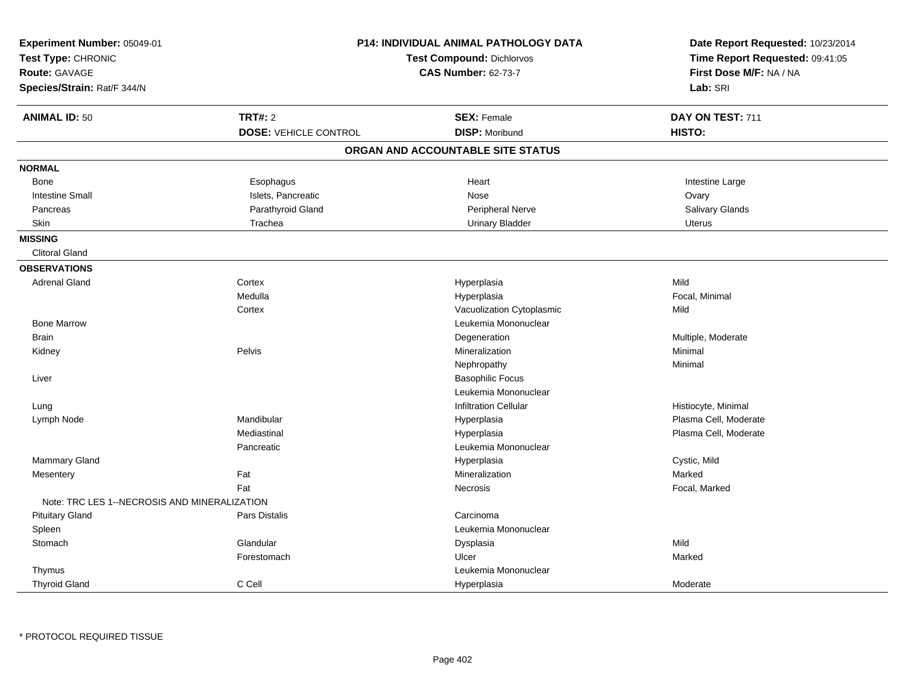| Experiment Number: 05049-01<br>Test Type: CHRONIC<br><b>Route: GAVAGE</b><br>Species/Strain: Rat/F 344/N |                              | P14: INDIVIDUAL ANIMAL PATHOLOGY DATA<br>Test Compound: Dichlorvos<br><b>CAS Number: 62-73-7</b> | Date Report Requested: 10/23/2014<br>Time Report Requested: 09:41:05<br>First Dose M/F: NA / NA<br>Lab: SRI |
|----------------------------------------------------------------------------------------------------------|------------------------------|--------------------------------------------------------------------------------------------------|-------------------------------------------------------------------------------------------------------------|
| <b>ANIMAL ID: 50</b>                                                                                     | <b>TRT#: 2</b>               | <b>SEX: Female</b>                                                                               | DAY ON TEST: 711                                                                                            |
|                                                                                                          | <b>DOSE: VEHICLE CONTROL</b> | <b>DISP: Moribund</b>                                                                            | HISTO:                                                                                                      |
|                                                                                                          |                              | ORGAN AND ACCOUNTABLE SITE STATUS                                                                |                                                                                                             |
| <b>NORMAL</b>                                                                                            |                              |                                                                                                  |                                                                                                             |
| Bone                                                                                                     | Esophagus                    | Heart                                                                                            | Intestine Large                                                                                             |
| <b>Intestine Small</b>                                                                                   | Islets, Pancreatic           | Nose                                                                                             | Ovary                                                                                                       |
| Pancreas                                                                                                 | Parathyroid Gland            | Peripheral Nerve                                                                                 | Salivary Glands                                                                                             |
| Skin                                                                                                     | Trachea                      | <b>Urinary Bladder</b>                                                                           | <b>Uterus</b>                                                                                               |
| <b>MISSING</b>                                                                                           |                              |                                                                                                  |                                                                                                             |
| <b>Clitoral Gland</b>                                                                                    |                              |                                                                                                  |                                                                                                             |
| <b>OBSERVATIONS</b>                                                                                      |                              |                                                                                                  |                                                                                                             |
| <b>Adrenal Gland</b>                                                                                     | Cortex                       | Hyperplasia                                                                                      | Mild                                                                                                        |
|                                                                                                          | Medulla                      | Hyperplasia                                                                                      | Focal, Minimal                                                                                              |
|                                                                                                          | Cortex                       | Vacuolization Cytoplasmic                                                                        | Mild                                                                                                        |
| <b>Bone Marrow</b>                                                                                       |                              | Leukemia Mononuclear                                                                             |                                                                                                             |
| <b>Brain</b>                                                                                             |                              | Degeneration                                                                                     | Multiple, Moderate                                                                                          |
| Kidney                                                                                                   | Pelvis                       | Mineralization                                                                                   | Minimal                                                                                                     |
|                                                                                                          |                              | Nephropathy                                                                                      | Minimal                                                                                                     |
| Liver                                                                                                    |                              | <b>Basophilic Focus</b>                                                                          |                                                                                                             |
|                                                                                                          |                              | Leukemia Mononuclear                                                                             |                                                                                                             |
| Lung                                                                                                     |                              | <b>Infiltration Cellular</b>                                                                     | Histiocyte, Minimal                                                                                         |
| Lymph Node                                                                                               | Mandibular                   | Hyperplasia                                                                                      | Plasma Cell, Moderate                                                                                       |
|                                                                                                          | Mediastinal                  | Hyperplasia                                                                                      | Plasma Cell, Moderate                                                                                       |
|                                                                                                          | Pancreatic                   | Leukemia Mononuclear                                                                             |                                                                                                             |
| <b>Mammary Gland</b>                                                                                     |                              | Hyperplasia                                                                                      | Cystic, Mild                                                                                                |
| Mesentery                                                                                                | Fat                          | Mineralization                                                                                   | Marked                                                                                                      |
|                                                                                                          | Fat                          | Necrosis                                                                                         | Focal, Marked                                                                                               |
| Note: TRC LES 1--NECROSIS AND MINERALIZATION                                                             |                              |                                                                                                  |                                                                                                             |
| <b>Pituitary Gland</b>                                                                                   | Pars Distalis                | Carcinoma                                                                                        |                                                                                                             |
| Spleen                                                                                                   |                              | Leukemia Mononuclear                                                                             |                                                                                                             |
| Stomach                                                                                                  | Glandular                    | Dysplasia                                                                                        | Mild                                                                                                        |
|                                                                                                          | Forestomach                  | Ulcer                                                                                            | Marked                                                                                                      |
| Thymus                                                                                                   |                              | Leukemia Mononuclear                                                                             |                                                                                                             |
| <b>Thyroid Gland</b>                                                                                     | C Cell                       | Hyperplasia                                                                                      | Moderate                                                                                                    |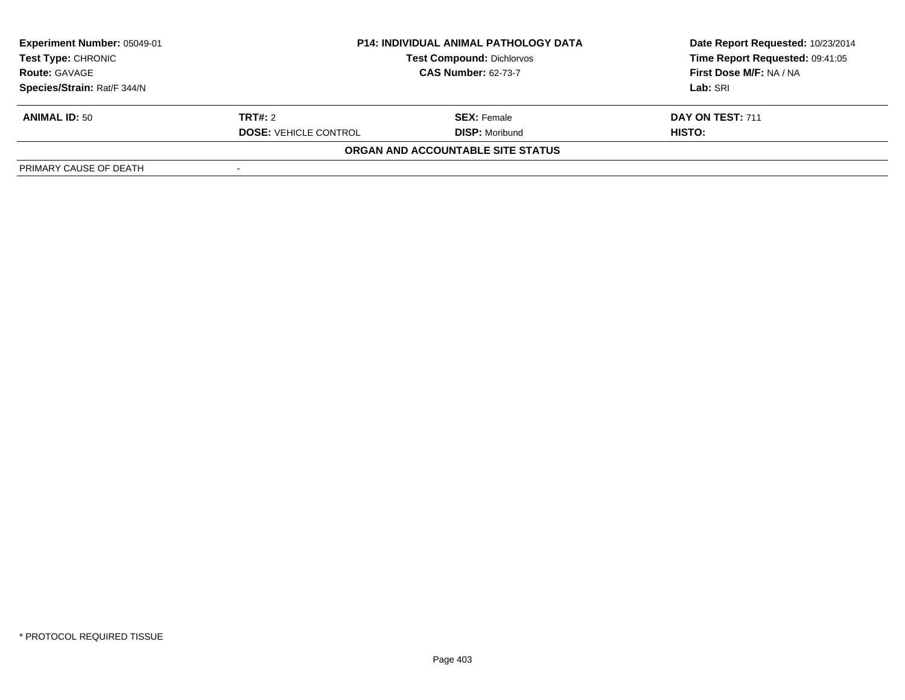| <b>Experiment Number: 05049-01</b><br>Test Type: CHRONIC<br><b>Route: GAVAGE</b> | <b>P14: INDIVIDUAL ANIMAL PATHOLOGY DATA</b><br><b>Test Compound: Dichlorvos</b><br><b>CAS Number: 62-73-7</b> |                                   | Date Report Requested: 10/23/2014<br>Time Report Requested: 09:41:05<br>First Dose M/F: NA / NA |
|----------------------------------------------------------------------------------|----------------------------------------------------------------------------------------------------------------|-----------------------------------|-------------------------------------------------------------------------------------------------|
| Species/Strain: Rat/F 344/N                                                      |                                                                                                                |                                   | Lab: SRI                                                                                        |
| <b>ANIMAL ID: 50</b>                                                             | <b>TRT#:</b> 2                                                                                                 | <b>SEX: Female</b>                | DAY ON TEST: 711                                                                                |
|                                                                                  | <b>DOSE: VEHICLE CONTROL</b>                                                                                   | <b>DISP:</b> Moribund             | HISTO:                                                                                          |
|                                                                                  |                                                                                                                | ORGAN AND ACCOUNTABLE SITE STATUS |                                                                                                 |
| PRIMARY CAUSE OF DEATH                                                           |                                                                                                                |                                   |                                                                                                 |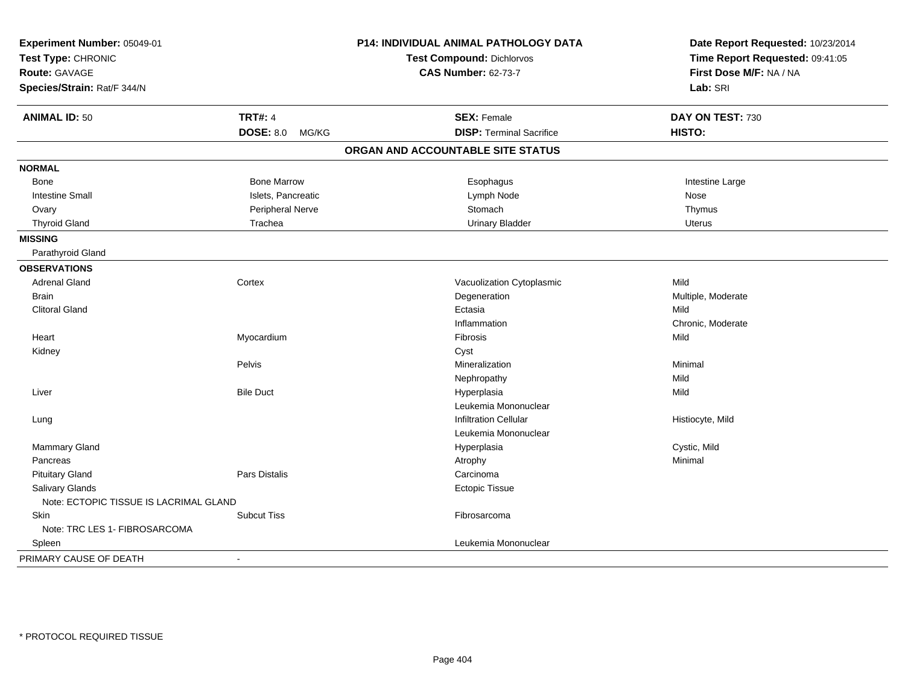| Experiment Number: 05049-01                |                    | P14: INDIVIDUAL ANIMAL PATHOLOGY DATA | Date Report Requested: 10/23/2014 |  |
|--------------------------------------------|--------------------|---------------------------------------|-----------------------------------|--|
| Test Type: CHRONIC<br><b>Route: GAVAGE</b> |                    | <b>Test Compound: Dichlorvos</b>      | Time Report Requested: 09:41:05   |  |
|                                            |                    | <b>CAS Number: 62-73-7</b>            | First Dose M/F: NA / NA           |  |
| Species/Strain: Rat/F 344/N                |                    |                                       | Lab: SRI                          |  |
| <b>ANIMAL ID: 50</b>                       | <b>TRT#: 4</b>     | <b>SEX: Female</b>                    | DAY ON TEST: 730                  |  |
|                                            | DOSE: 8.0 MG/KG    | <b>DISP: Terminal Sacrifice</b>       | HISTO:                            |  |
|                                            |                    | ORGAN AND ACCOUNTABLE SITE STATUS     |                                   |  |
| <b>NORMAL</b>                              |                    |                                       |                                   |  |
| Bone                                       | <b>Bone Marrow</b> | Esophagus                             | Intestine Large                   |  |
| <b>Intestine Small</b>                     | Islets, Pancreatic | Lymph Node                            | Nose                              |  |
| Ovary                                      | Peripheral Nerve   | Stomach                               | Thymus                            |  |
| <b>Thyroid Gland</b>                       | Trachea            | <b>Urinary Bladder</b>                | <b>Uterus</b>                     |  |
| <b>MISSING</b>                             |                    |                                       |                                   |  |
| Parathyroid Gland                          |                    |                                       |                                   |  |
| <b>OBSERVATIONS</b>                        |                    |                                       |                                   |  |
| <b>Adrenal Gland</b>                       | Cortex             | Vacuolization Cytoplasmic             | Mild                              |  |
| <b>Brain</b>                               |                    | Degeneration                          | Multiple, Moderate                |  |
| <b>Clitoral Gland</b>                      |                    | Ectasia                               | Mild                              |  |
|                                            |                    | Inflammation                          | Chronic, Moderate                 |  |
| Heart                                      | Myocardium         | Fibrosis                              | Mild                              |  |
| Kidney                                     |                    | Cyst                                  |                                   |  |
|                                            | Pelvis             | Mineralization                        | Minimal                           |  |
|                                            |                    | Nephropathy                           | Mild                              |  |
| Liver                                      | <b>Bile Duct</b>   | Hyperplasia                           | Mild                              |  |
|                                            |                    | Leukemia Mononuclear                  |                                   |  |
| Lung                                       |                    | <b>Infiltration Cellular</b>          | Histiocyte, Mild                  |  |
|                                            |                    | Leukemia Mononuclear                  |                                   |  |
| Mammary Gland                              |                    | Hyperplasia                           | Cystic, Mild                      |  |
| Pancreas                                   |                    | Atrophy                               | Minimal                           |  |
| <b>Pituitary Gland</b>                     | Pars Distalis      | Carcinoma                             |                                   |  |
| Salivary Glands                            |                    | <b>Ectopic Tissue</b>                 |                                   |  |
| Note: ECTOPIC TISSUE IS LACRIMAL GLAND     |                    |                                       |                                   |  |
| Skin                                       | <b>Subcut Tiss</b> | Fibrosarcoma                          |                                   |  |
| Note: TRC LES 1- FIBROSARCOMA              |                    |                                       |                                   |  |
| Spleen                                     |                    | Leukemia Mononuclear                  |                                   |  |
| PRIMARY CAUSE OF DEATH                     | $\blacksquare$     |                                       |                                   |  |
|                                            |                    |                                       |                                   |  |